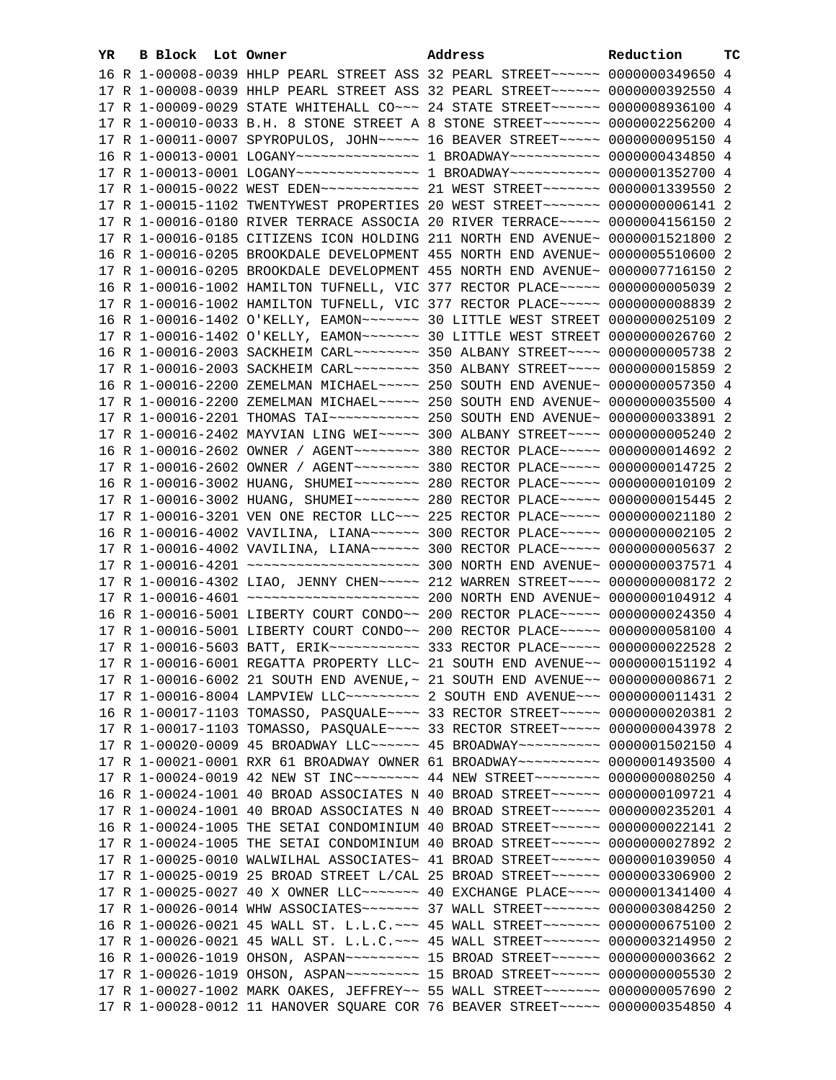| YR. | B Block Lot Owner |  | Address                                                                                | Reduction | ТC |
|-----|-------------------|--|----------------------------------------------------------------------------------------|-----------|----|
|     |                   |  | 16 R 1-00008-0039 HHLP PEARL STREET ASS 32 PEARL STREET~~~~~~~ 0000000349650 4         |           |    |
|     |                   |  | 17 R 1-00008-0039 HHLP PEARL STREET ASS 32 PEARL STREET~~~~~~ 0000000392550 4          |           |    |
|     |                   |  | 17 R 1-00009-0029 STATE WHITEHALL CO~~~ 24 STATE STREET~~~~~~ 0000008936100 4          |           |    |
|     |                   |  | 17 R 1-00010-0033 B.H. 8 STONE STREET A 8 STONE STREET~~~~~~~ 0000002256200 4          |           |    |
|     |                   |  | 17 R 1-00011-0007 SPYROPULOS, JOHN~~~~~ 16 BEAVER STREET~~~~~ 0000000095150 4          |           |    |
|     |                   |  | 16 R 1-00013-0001 LOGANY~~~~~~~~~~~~~~~~~~ 1 BROADWAY~~~~~~~~~~~ 0000000434850 4       |           |    |
|     |                   |  | 17 R 1-00013-0001 LOGANY~~~~~~~~~~~~~~~~~ 1 BROADWAY~~~~~~~~~~~ 0000001352700 4        |           |    |
|     |                   |  | 17 R 1-00015-0022 WEST EDEN~~~~~~~~~~~~~~~~~~ 21 WEST STREET~~~~~~~~~ 0000001339550 2  |           |    |
|     |                   |  | 17 R 1-00015-1102 TWENTYWEST PROPERTIES 20 WEST STREET~~~~~~~ 0000000006141 2          |           |    |
|     |                   |  | 17 R 1-00016-0180 RIVER TERRACE ASSOCIA 20 RIVER TERRACE~~~~~ 0000004156150 2          |           |    |
|     |                   |  | 17 R 1-00016-0185 CITIZENS ICON HOLDING 211 NORTH END AVENUE~ 0000001521800 2          |           |    |
|     |                   |  | 16 R 1-00016-0205 BROOKDALE DEVELOPMENT 455 NORTH END AVENUE~ 0000005510600 2          |           |    |
|     |                   |  | 17 R 1-00016-0205 BROOKDALE DEVELOPMENT 455 NORTH END AVENUE~ 0000007716150 2          |           |    |
|     |                   |  | 16 R 1-00016-1002 HAMILTON TUFNELL, VIC 377 RECTOR PLACE~~~~~ 0000000005039 2          |           |    |
|     |                   |  | 17 R 1-00016-1002 HAMILTON TUFNELL, VIC 377 RECTOR PLACE~~~~~ 0000000008839 2          |           |    |
|     |                   |  |                                                                                        |           |    |
|     |                   |  |                                                                                        |           |    |
|     |                   |  | 16 R 1-00016-2003 SACKHEIM CARL~~~~~~~~ 350 ALBANY STREET~~~~ 0000000005738 2          |           |    |
|     |                   |  | 17 R 1-00016-2003 SACKHEIM CARL~~~~~~~~ 350 ALBANY STREET~~~~ 0000000015859 2          |           |    |
|     |                   |  | 16 R 1-00016-2200 ZEMELMAN MICHAEL~~~~~ 250 SOUTH END AVENUE~ 0000000057350 4          |           |    |
|     |                   |  | 17 R 1-00016-2200 ZEMELMAN MICHAEL~~~~~ 250 SOUTH END AVENUE~ 0000000035500 4          |           |    |
|     |                   |  |                                                                                        |           |    |
|     |                   |  | 17 R 1-00016-2402 MAYVIAN LING WEI~~~~~ 300 ALBANY STREET~~~~ 0000000005240 2          |           |    |
|     |                   |  | 16 R 1-00016-2602 OWNER / AGENT~~~~~~~~ 380 RECTOR PLACE~~~~~ 0000000014692 2          |           |    |
|     |                   |  | 17 R 1-00016-2602 OWNER / AGENT~~~~~~~~ 380 RECTOR PLACE~~~~~ 0000000014725 2          |           |    |
|     |                   |  | 16 R 1-00016-3002 HUANG, SHUMEI~~~~~~~~~ 280 RECTOR PLACE~~~~~ 00000000010109 2        |           |    |
|     |                   |  | 17 R 1-00016-3002 HUANG, SHUMEI~~~~~~~~ 280 RECTOR PLACE~~~~~ 0000000015445 2          |           |    |
|     |                   |  | 17 R 1-00016-3201 VEN ONE RECTOR LLC~~~ 225 RECTOR PLACE~~~~~ 0000000021180 2          |           |    |
|     |                   |  | 16 R 1-00016-4002 VAVILINA, LIANA~~~~~~ 300 RECTOR PLACE~~~~~ 0000000002105 2          |           |    |
|     |                   |  | 17 R 1-00016-4002 VAVILINA, LIANA~~~~~~ 300 RECTOR PLACE~~~~~ 0000000005637 2          |           |    |
|     |                   |  |                                                                                        |           |    |
|     |                   |  | 17 R 1-00016-4302 LIAO, JENNY CHEN~~~~~ 212 WARREN STREET~~~~ 0000000008172 2          |           |    |
|     |                   |  | 16 R 1-00016-5001 LIBERTY COURT CONDO~~ 200 RECTOR PLACE~~~~~ 0000000024350 4          |           |    |
|     |                   |  | 17 R 1-00016-5001 LIBERTY COURT CONDO~~ 200 RECTOR PLACE~~~~~ 0000000058100 4          |           |    |
|     |                   |  | 17 R 1-00016-5603 BATT, ERIK~~~~~~~~~~~ 333 RECTOR PLACE~~~~~ 0000000022528 2          |           |    |
|     |                   |  | 17 R 1-00016-6001 REGATTA PROPERTY LLC~ 21 SOUTH END AVENUE~~ 0000000151192 4          |           |    |
|     |                   |  | 17 R 1-00016-6002 21 SOUTH END AVENUE, ~ 21 SOUTH END AVENUE~~ 00000000006671 2        |           |    |
|     |                   |  |                                                                                        |           |    |
|     |                   |  | 16 R 1-00017-1103 TOMASSO, PASQUALE~~~~ 33 RECTOR STREET~~~~~ 0000000020381 2          |           |    |
|     |                   |  | 17 R 1-00017-1103 TOMASSO, PASQUALE~~~~ 33 RECTOR STREET~~~~~ 0000000043978 2          |           |    |
|     |                   |  | 17 R 1-00020-0009 45 BROADWAY LLC~~~~~~~ 45 BROADWAY~~~~~~~~~~ 0000001502150 4         |           |    |
|     |                   |  | 17 R 1-00021-0001 RXR 61 BROADWAY OWNER 61 BROADWAY~~~~~~~~~~ 0000001493500 4          |           |    |
|     |                   |  | 17 R 1-00024-0019 42 NEW ST INC~~~~~~~~~~~~~~ 44 NEW STREET~~~~~~~~~~~ 0000000080250 4 |           |    |
|     |                   |  | 16 R 1-00024-1001 40 BROAD ASSOCIATES N 40 BROAD STREET~~~~~~ 0000000109721 4          |           |    |
|     |                   |  | 17 R 1-00024-1001 40 BROAD ASSOCIATES N 40 BROAD STREET~~~~~~ 0000000235201 4          |           |    |
|     |                   |  | 16 R 1-00024-1005 THE SETAI CONDOMINIUM 40 BROAD STREET~~~~~~ 0000000022141 2          |           |    |
|     |                   |  | 17 R 1-00024-1005 THE SETAI CONDOMINIUM 40 BROAD STREET~~~~~~~ 0000000027892 2         |           |    |
|     |                   |  | 17 R 1-00025-0010 WALWILHAL ASSOCIATES~ 41 BROAD STREET~~~~~~~ 0000001039050 4         |           |    |
|     |                   |  | 17 R 1-00025-0019 25 BROAD STREET L/CAL 25 BROAD STREET~~~~~~ 0000003306900 2          |           |    |
|     |                   |  | 17 R 1-00025-0027 40 X OWNER LLC~~~~~~~~~~~~~~~~~~ 0LACE~~~~~~~~~~~ 0000001341400 4    |           |    |
|     |                   |  | 17 R 1-00026-0014 WHW ASSOCIATES~~~~~~~ 37 WALL STREET~~~~~~~ 0000003084250 2          |           |    |
|     |                   |  | 16 R 1-00026-0021 45 WALL ST. L.L.C. ~~~ 45 WALL STREET ~~~~~~~~ 0000000675100 2       |           |    |
|     |                   |  | 17 R 1-00026-0021 45 WALL ST. L.L.C. ~~~ 45 WALL STREET~~~~~~~~ 0000003214950 2        |           |    |
|     |                   |  | 16 R 1-00026-1019 OHSON, ASPAN~~~~~~~~~~~~~~ 15 BROAD STREET~~~~~~~ 00000000003662 2   |           |    |
|     |                   |  | 17 R 1-00026-1019 OHSON, ASPAN~~~~~~~~~~~~~~ 15 BROAD STREET~~~~~~~ 0000000005530 2    |           |    |
|     |                   |  | 17 R 1-00027-1002 MARK OAKES, JEFFREY~~ 55 WALL STREET~~~~~~~ 0000000057690 2          |           |    |
|     |                   |  | 17 R 1-00028-0012 11 HANOVER SQUARE COR 76 BEAVER STREET~~~~~ 0000000354850 4          |           |    |
|     |                   |  |                                                                                        |           |    |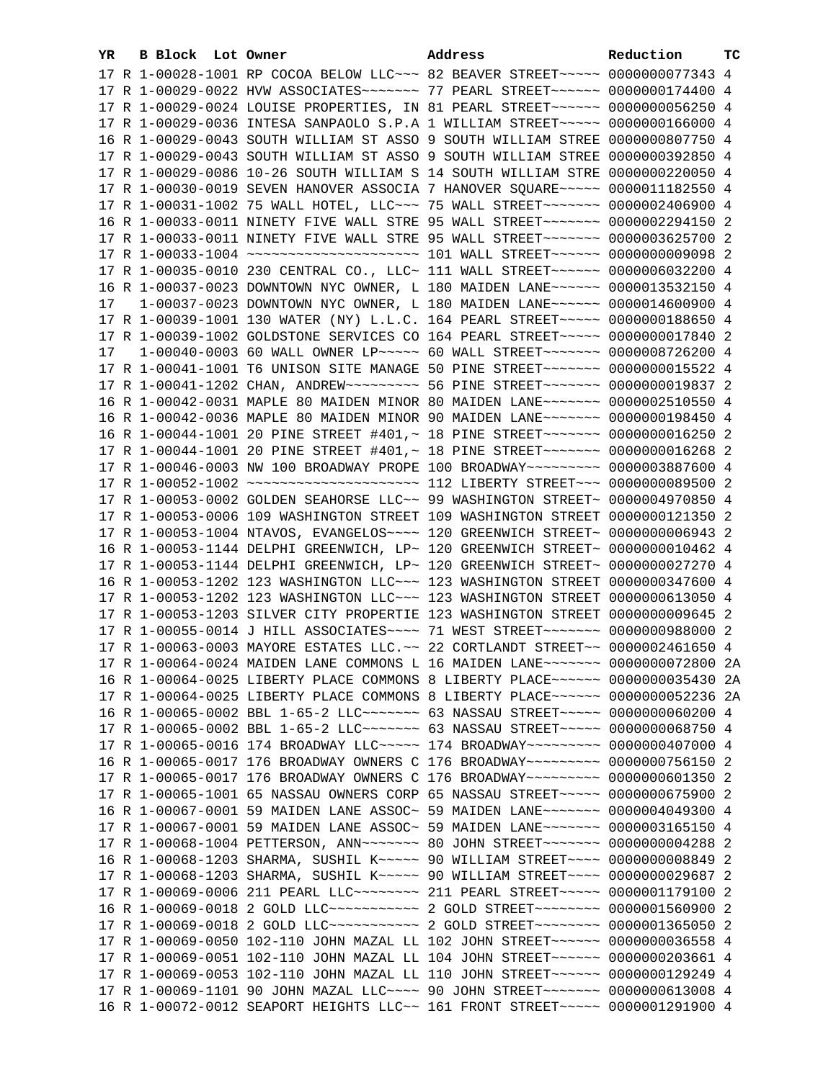| YR. | B Block Lot Owner | Address                                                                               | Reduction       | ТC |
|-----|-------------------|---------------------------------------------------------------------------------------|-----------------|----|
|     |                   | 17 R 1-00028-1001 RP COCOA BELOW LLC~~~ 82 BEAVER STREET~~~~~ 0000000077343 4         |                 |    |
|     |                   | 17 R 1-00029-0022 HVW ASSOCIATES~~~~~~~ 77 PEARL STREET~~~~~~ 0000000174400 4         |                 |    |
|     |                   | 17 R 1-00029-0024 LOUISE PROPERTIES, IN 81 PEARL STREET~~~~~~ 0000000056250 4         |                 |    |
|     |                   | 17 R 1-00029-0036 INTESA SANPAOLO S.P.A 1 WILLIAM STREET~~~~~ 0000000166000 4         |                 |    |
|     |                   | 16 R 1-00029-0043 SOUTH WILLIAM ST ASSO 9 SOUTH WILLIAM STREE 0000000807750 4         |                 |    |
|     |                   | 17 R 1-00029-0043 SOUTH WILLIAM ST ASSO 9 SOUTH WILLIAM STREE 0000000392850 4         |                 |    |
|     |                   | 17 R 1-00029-0086 10-26 SOUTH WILLIAM S 14 SOUTH WILLIAM STRE                         | 0000000220050 4 |    |
|     |                   | 17 R 1-00030-0019 SEVEN HANOVER ASSOCIA 7 HANOVER SQUARE~~~~~ 0000011182550 4         |                 |    |
|     |                   | 17 R 1-00031-1002 75 WALL HOTEL, LLC -~~ 75 WALL STREET -~~~~~~ 0000002406900 4       |                 |    |
|     |                   | 16 R 1-00033-0011 NINETY FIVE WALL STRE 95 WALL STREET~~~~~~~ 0000002294150 2         |                 |    |
|     |                   | 17 R 1-00033-0011 NINETY FIVE WALL STRE 95 WALL STREET~~~~~~~ 0000003625700 2         |                 |    |
|     |                   | 17 R 1-00033-1004 ~~~~~~~~~~~~~~~~~~~~~~~~~~~~ 101 WALL STREET~~~~~~~ 0000000009098 2 |                 |    |
|     |                   | 17 R 1-00035-0010 230 CENTRAL CO., LLC~ 111 WALL STREET~~~~~~ 0000006032200 4         |                 |    |
|     |                   | 16 R 1-00037-0023 DOWNTOWN NYC OWNER, L 180 MAIDEN LANE~~~~~~ 0000013532150 4         |                 |    |
| 17  |                   | 1-00037-0023 DOWNTOWN NYC OWNER, L 180 MAIDEN LANE~~~~~~ 0000014600900 4              |                 |    |
|     |                   | 17 R 1-00039-1001 130 WATER (NY) L.L.C. 164 PEARL STREET~~~~~ 0000000188650 4         |                 |    |
|     |                   | 17 R 1-00039-1002 GOLDSTONE SERVICES CO 164 PEARL STREET~~~~~ 0000000017840 2         |                 |    |
| 17  |                   | 1-00040-0003 60 WALL OWNER LP ~~~~~ 60 WALL STREET ~~~~~~~ 0000008726200 4            |                 |    |
|     |                   | 17 R 1-00041-1001 T6 UNISON SITE MANAGE 50 PINE STREET~~~~~~~ 0000000015522 4         |                 |    |
|     |                   | 17 R 1-00041-1202 CHAN, ANDREW~~~~~~~~~~~~~~~ 56 PINE STREET~~~~~~~~ 0000000019837 2  |                 |    |
|     |                   | 16 R 1-00042-0031 MAPLE 80 MAIDEN MINOR 80 MAIDEN LANE~~~~~~~ 0000002510550 4         |                 |    |
|     |                   | 16 R 1-00042-0036 MAPLE 80 MAIDEN MINOR 90 MAIDEN LANE~~~~~~~ 0000000198450 4         |                 |    |
|     |                   | 16 R 1-00044-1001 20 PINE STREET #401,~ 18 PINE STREET~~~~~~~ 0000000016250 2         |                 |    |
|     |                   | 17 R 1-00044-1001 20 PINE STREET #401,~ 18 PINE STREET~~~~~~~~ 0000000016268 2        |                 |    |
|     |                   | 17 R 1-00046-0003 NW 100 BROADWAY PROPE 100 BROADWAY~~~~~~~~~ 0000003887600 4         |                 |    |
|     |                   |                                                                                       |                 |    |
|     |                   | 17 R 1-00053-0002 GOLDEN SEAHORSE LLC~~ 99 WASHINGTON STREET~ 0000004970850 4         |                 |    |
|     |                   | 17 R 1-00053-0006 109 WASHINGTON STREET 109 WASHINGTON STREET 0000000121350 2         |                 |    |
|     |                   | 17 R 1-00053-1004 NTAVOS, EVANGELOS~~~~ 120 GREENWICH STREET~ 0000000006943 2         |                 |    |
|     |                   | 16 R 1-00053-1144 DELPHI GREENWICH, LP~ 120 GREENWICH STREET~ 0000000010462 4         |                 |    |
|     |                   | 17 R 1-00053-1144 DELPHI GREENWICH, LP~ 120 GREENWICH STREET~ 0000000027270 4         |                 |    |
|     |                   | 16 R 1-00053-1202 123 WASHINGTON LLC~~~ 123 WASHINGTON STREET 0000000347600 4         |                 |    |
|     |                   | 17 R 1-00053-1202 123 WASHINGTON LLC~~~ 123 WASHINGTON STREET 0000000613050 4         |                 |    |
|     |                   | 17 R 1-00053-1203 SILVER CITY PROPERTIE 123 WASHINGTON STREET 0000000009645 2         |                 |    |
|     |                   | 17 R 1-00055-0014 J HILL ASSOCIATES~~~~ 71 WEST STREET~~~~~~~ 0000000988000 2         |                 |    |
|     |                   | 17 R 1-00063-0003 MAYORE ESTATES LLC. ~~ 22 CORTLANDT STREET~~ 0000002461650 4        |                 |    |
|     |                   | 17 R 1-00064-0024 MAIDEN LANE COMMONS L 16 MAIDEN LANE~~~~~~~ 0000000072800 2A        |                 |    |
|     |                   | 16 R 1-00064-0025 LIBERTY PLACE COMMONS 8 LIBERTY PLACE~~~~~~ 0000000035430 2A        |                 |    |
|     |                   | 17 R 1-00064-0025 LIBERTY PLACE COMMONS 8 LIBERTY PLACE~~~~~~ 0000000052236 2A        |                 |    |
|     |                   | 16 R 1-00065-0002 BBL 1-65-2 LLC~~~~~~~~ 63 NASSAU STREET~~~~~ 0000000060200 4        |                 |    |
|     |                   | 17 R 1-00065-0002 BBL 1-65-2 LLC~~~~~~~~ 63 NASSAU STREET~~~~~ 0000000068750 4        |                 |    |
|     |                   | 17 R 1-00065-0016 174 BROADWAY LLC~~~~~ 174 BROADWAY~~~~~~~~~ 0000000407000 4         |                 |    |
|     |                   | 16 R 1-00065-0017 176 BROADWAY OWNERS C 176 BROADWAY~~~~~~~~~ 0000000756150 2         |                 |    |
|     |                   | 17 R 1-00065-0017 176 BROADWAY OWNERS C 176 BROADWAY~~~~~~~~~ 0000000601350 2         |                 |    |
|     |                   | 17 R 1-00065-1001 65 NASSAU OWNERS CORP 65 NASSAU STREET~~~~~ 0000000675900 2         |                 |    |
|     |                   | 16 R 1-00067-0001 59 MAIDEN LANE ASSOC~ 59 MAIDEN LANE~~~~~~~~ 0000004049300 4        |                 |    |
|     |                   | 17 R 1-00067-0001 59 MAIDEN LANE ASSOC~ 59 MAIDEN LANE~~~~~~~~ 0000003165150 4        |                 |    |
|     |                   |                                                                                       |                 |    |
|     |                   | 16 R 1-00068-1203 SHARMA, SUSHIL K~~~~~ 90 WILLIAM STREET~~~~ 0000000008849 2         |                 |    |
|     |                   | 17 R 1-00068-1203 SHARMA, SUSHIL K~~~~~ 90 WILLIAM STREET~~~~ 0000000029687 2         |                 |    |
|     |                   | 17 R 1-00069-0006 211 PEARL LLC -------- 211 PEARL STREET ----- 0000001179100 2       |                 |    |
|     |                   | 16 R 1-00069-0018 2 GOLD LLC ------------ 2 GOLD STREET -------- 0000001560900 2      |                 |    |
|     |                   | 17 R 1-00069-0018 2 GOLD LLC ------------ 2 GOLD STREET -------- 0000001365050 2      |                 |    |
|     |                   | 17 R 1-00069-0050 102-110 JOHN MAZAL LL 102 JOHN STREET~~~~~~ 0000000036558 4         |                 |    |
|     |                   | 17 R 1-00069-0051 102-110 JOHN MAZAL LL 104 JOHN STREET~~~~~~ 0000000203661 4         |                 |    |
|     |                   | 17 R 1-00069-0053 102-110 JOHN MAZAL LL 110 JOHN STREET~~~~~~ 0000000129249 4         |                 |    |
|     |                   | 17 R 1-00069-1101 90 JOHN MAZAL LLC~~~~ 90 JOHN STREET~~~~~~~ 0000000613008 4         |                 |    |
|     |                   | 16 R 1-00072-0012 SEAPORT HEIGHTS LLC~~ 161 FRONT STREET~~~~~ 0000001291900 4         |                 |    |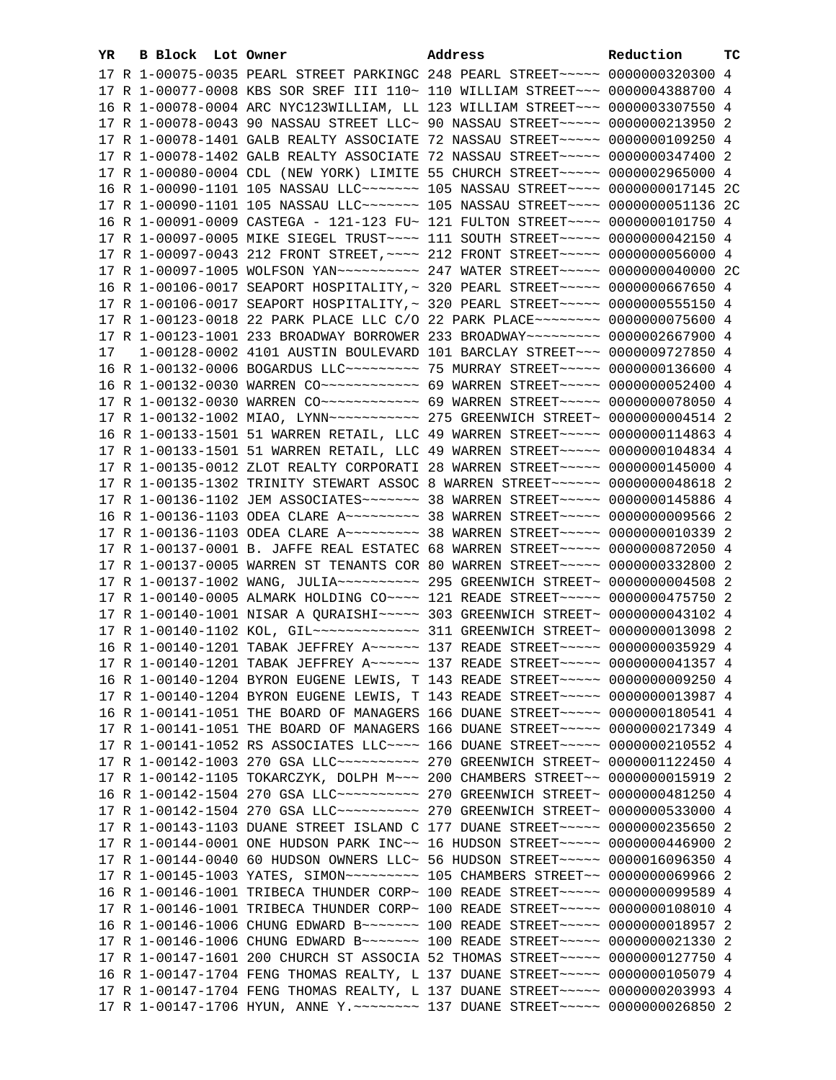| YR. | B Block Lot Owner |                                                                                                                                                                 | Address | Reduction | тc |
|-----|-------------------|-----------------------------------------------------------------------------------------------------------------------------------------------------------------|---------|-----------|----|
|     |                   | 17 R 1-00075-0035 PEARL STREET PARKINGC 248 PEARL STREET~~~~~ 0000000320300 4                                                                                   |         |           |    |
|     |                   | 17 R 1-00077-0008 KBS SOR SREF III 110~ 110 WILLIAM STREET~~~ 0000004388700 4                                                                                   |         |           |    |
|     |                   | 16 R 1-00078-0004 ARC NYC123WILLIAM, LL 123 WILLIAM STREET~~~ 0000003307550 4                                                                                   |         |           |    |
|     |                   | 17 R 1-00078-0043 90 NASSAU STREET LLC~ 90 NASSAU STREET~~~~~~ 0000000213950 2                                                                                  |         |           |    |
|     |                   | 17 R 1-00078-1401 GALB REALTY ASSOCIATE 72 NASSAU STREET~~~~~ 0000000109250 4                                                                                   |         |           |    |
|     |                   | 17 R 1-00078-1402 GALB REALTY ASSOCIATE 72 NASSAU STREET~~~~~ 0000000347400 2                                                                                   |         |           |    |
|     |                   | 17 R 1-00080-0004 CDL (NEW YORK) LIMITE 55 CHURCH STREET~~~~~ 0000002965000 4                                                                                   |         |           |    |
|     |                   | 16 R 1-00090-1101 105 NASSAU LLC~~~~~~~~ 105 NASSAU STREET~~~~ 0000000017145 2C                                                                                 |         |           |    |
|     |                   | 17 R 1-00090-1101 105 NASSAU LLC ------ 105 NASSAU STREET --- 00000000051136 2C                                                                                 |         |           |    |
|     |                   | 16 R 1-00091-0009 CASTEGA - 121-123 FU~ 121 FULTON STREET~~~~ 0000000101750 4                                                                                   |         |           |    |
|     |                   |                                                                                                                                                                 |         |           |    |
|     |                   | 17 R 1-00097-0005 MIKE SIEGEL TRUST~~~~ 111 SOUTH STREET~~~~~ 0000000042150 4<br>17 R 1-00097-0043 212 FRONT STREET, ~~~~ 212 FRONT STREET~~~~~ 0000000056000 4 |         |           |    |
|     |                   |                                                                                                                                                                 |         |           |    |
|     |                   | 17 R 1-00097-1005 WOLFSON YAN ---------- 247 WATER STREET ---- 0000000040000 2C                                                                                 |         |           |    |
|     |                   | 16 R 1-00106-0017 SEAPORT HOSPITALITY, ~ 320 PEARL STREET~~~~~ 0000000667650 4                                                                                  |         |           |    |
|     |                   | 17 R 1-00106-0017 SEAPORT HOSPITALITY, ~ 320 PEARL STREET~~~~~ 0000000555150 4                                                                                  |         |           |    |
|     |                   | 17 R 1-00123-0018 22 PARK PLACE LLC C/O 22 PARK PLACE~~~~~~~~ 0000000075600 4                                                                                   |         |           |    |
|     |                   | 17 R 1-00123-1001 233 BROADWAY BORROWER 233 BROADWAY~~~~~~~~~ 0000002667900 4                                                                                   |         |           |    |
| 17  |                   | 1-00128-0002 4101 AUSTIN BOULEVARD 101 BARCLAY STREET~~~ 0000009727850 4                                                                                        |         |           |    |
|     |                   | 16 R 1-00132-0006 BOGARDUS LLC -------- 75 MURRAY STREET ---- 0000000136600 4                                                                                   |         |           |    |
|     |                   | 16 R 1-00132-0030 WARREN CO ------------ 69 WARREN STREET ----- 0000000052400 4                                                                                 |         |           |    |
|     |                   | 17 R 1-00132-0030 WARREN CO ------------ 69 WARREN STREET ----- 0000000078050 4                                                                                 |         |           |    |
|     |                   |                                                                                                                                                                 |         |           |    |
|     |                   | 16 R 1-00133-1501 51 WARREN RETAIL, LLC 49 WARREN STREET~~~~~ 0000000114863 4                                                                                   |         |           |    |
|     |                   | 17 R 1-00133-1501 51 WARREN RETAIL, LLC 49 WARREN STREET~~~~~ 0000000104834 4                                                                                   |         |           |    |
|     |                   | 17 R 1-00135-0012 ZLOT REALTY CORPORATI 28 WARREN STREET~~~~~ 0000000145000 4                                                                                   |         |           |    |
|     |                   | 17 R 1-00135-1302 TRINITY STEWART ASSOC 8 WARREN STREET~~~~~~ 0000000048618 2                                                                                   |         |           |    |
|     |                   | 17 R 1-00136-1102 JEM ASSOCIATES~~~~~~~ 38 WARREN STREET~~~~~ 0000000145886 4                                                                                   |         |           |    |
|     |                   | 16 R 1-00136-1103 ODEA CLARE A~~~~~~~~~ 38 WARREN STREET~~~~~ 0000000009566 2                                                                                   |         |           |    |
|     |                   | 17 R 1-00136-1103 ODEA CLARE A~~~~~~~~~ 38 WARREN STREET~~~~~ 0000000010339 2                                                                                   |         |           |    |
|     |                   | 17 R 1-00137-0001 B. JAFFE REAL ESTATEC 68 WARREN STREET~~~~~ 0000000872050 4                                                                                   |         |           |    |
|     |                   | 17 R 1-00137-0005 WARREN ST TENANTS COR 80 WARREN STREET~~~~~ 0000000332800 2                                                                                   |         |           |    |
|     |                   |                                                                                                                                                                 |         |           |    |
|     |                   | 17 R 1-00140-0005 ALMARK HOLDING CO~~~~ 121 READE STREET~~~~~ 0000000475750 2                                                                                   |         |           |    |
|     |                   | 17 R 1-00140-1001 NISAR A QURAISHI~~~~~ 303 GREENWICH STREET~ 0000000043102 4                                                                                   |         |           |    |
|     |                   |                                                                                                                                                                 |         |           |    |
|     |                   | 16 R 1-00140-1201 TABAK JEFFREY A~~~~~~ 137 READE STREET~~~~~ 0000000035929 4                                                                                   |         |           |    |
|     |                   | 17 R 1-00140-1201 TABAK JEFFREY A~~~~~~ 137 READE STREET~~~~~ 0000000041357 4                                                                                   |         |           |    |
|     |                   | 16 R 1-00140-1204 BYRON EUGENE LEWIS, T 143 READE STREET~~~~~ 0000000009250 4                                                                                   |         |           |    |
|     |                   | 17 R 1-00140-1204 BYRON EUGENE LEWIS, T 143 READE STREET~~~~~ 0000000013987 4                                                                                   |         |           |    |
|     |                   | 16 R 1-00141-1051 THE BOARD OF MANAGERS 166 DUANE STREET~~~~~ 0000000180541 4                                                                                   |         |           |    |
|     |                   | 17 R 1-00141-1051 THE BOARD OF MANAGERS 166 DUANE STREET~~~~~ 0000000217349 4                                                                                   |         |           |    |
|     |                   | 17 R 1-00141-1052 RS ASSOCIATES LLC~~~~ 166 DUANE STREET~~~~~ 0000000210552 4                                                                                   |         |           |    |
|     |                   | 17 R 1-00142-1003 270 GSA LLC ---------- 270 GREENWICH STREET ~ 0000001122450 4                                                                                 |         |           |    |
|     |                   | 17 R 1-00142-1105 TOKARCZYK, DOLPH M~~~ 200 CHAMBERS STREET~~ 0000000015919 2                                                                                   |         |           |    |
|     |                   | 16 R 1-00142-1504 270 GSA LLC ---------- 270 GREENWICH STREET ~ 0000000481250 4                                                                                 |         |           |    |
|     |                   | 17 R 1-00142-1504 270 GSA LLC ---------- 270 GREENWICH STREET ~ 0000000533000 4                                                                                 |         |           |    |
|     |                   | 17 R 1-00143-1103 DUANE STREET ISLAND C 177 DUANE STREET~~~~~ 0000000235650 2                                                                                   |         |           |    |
|     |                   | 17 R 1-00144-0001 ONE HUDSON PARK INC~~ 16 HUDSON STREET~~~~~ 0000000446900 2                                                                                   |         |           |    |
|     |                   | 17 R 1-00144-0040 60 HUDSON OWNERS LLC~ 56 HUDSON STREET~~~~~ 0000016096350 4                                                                                   |         |           |    |
|     |                   | 17 R 1-00145-1003 YATES, SIMON~~~~~~~~~~~~~ 105 CHAMBERS STREET~~ 0000000069966 2                                                                               |         |           |    |
|     |                   | 16 R 1-00146-1001 TRIBECA THUNDER CORP~ 100 READE STREET~~~~~ 0000000099589 4                                                                                   |         |           |    |
|     |                   | 17 R 1-00146-1001 TRIBECA THUNDER CORP~ 100 READE STREET~~~~~ 0000000108010 4                                                                                   |         |           |    |
|     |                   | 16 R 1-00146-1006 CHUNG EDWARD B ------ 100 READE STREET ---- 0000000018957 2                                                                                   |         |           |    |
|     |                   | 17 R 1-00146-1006 CHUNG EDWARD B ------ 100 READE STREET ---- 0000000021330 2                                                                                   |         |           |    |
|     |                   | 17 R 1-00147-1601 200 CHURCH ST ASSOCIA 52 THOMAS STREET~~~~~ 0000000127750 4                                                                                   |         |           |    |
|     |                   | 16 R 1-00147-1704 FENG THOMAS REALTY, L 137 DUANE STREET~~~~~ 0000000105079 4                                                                                   |         |           |    |
|     |                   | 17 R 1-00147-1704 FENG THOMAS REALTY, L 137 DUANE STREET~~~~~ 0000000203993 4                                                                                   |         |           |    |
|     |                   | 17 R 1-00147-1706 HYUN, ANNE Y. ~~~~~~~~~~~~~~ 137 DUANE STREET~~~~~~ 0000000026850 2                                                                           |         |           |    |
|     |                   |                                                                                                                                                                 |         |           |    |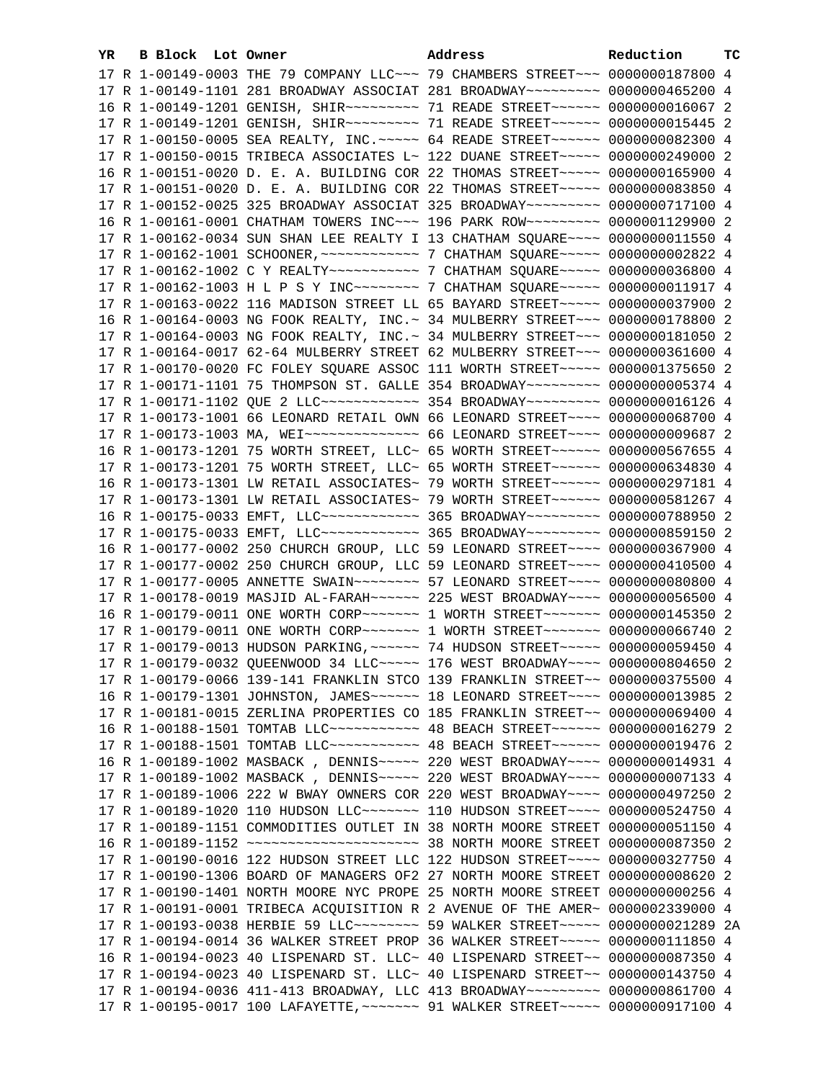| YR. | B Block Lot Owner |                                                                                        | Address | Reduction | <b>TC</b> |
|-----|-------------------|----------------------------------------------------------------------------------------|---------|-----------|-----------|
|     |                   | 17 R 1-00149-0003 THE 79 COMPANY LLC ~~~ 79 CHAMBERS STREET ~~~ 0000000187800 4        |         |           |           |
|     |                   | 17 R 1-00149-1101 281 BROADWAY ASSOCIAT 281 BROADWAY~~~~~~~~~ 0000000465200 4          |         |           |           |
|     |                   | 16 R 1-00149-1201 GENISH, SHIR -------- 71 READE STREET ------ 0000000016067 2         |         |           |           |
|     |                   | 17 R 1-00149-1201 GENISH, SHIR -------- 71 READE STREET ------ 0000000015445 2         |         |           |           |
|     |                   | 17 R 1-00150-0005 SEA REALTY, INC. ~~~~~ 64 READE STREET~~~~~~ 0000000082300 4         |         |           |           |
|     |                   | 17 R 1-00150-0015 TRIBECA ASSOCIATES L~ 122 DUANE STREET~~~~~~ 0000000249000 2         |         |           |           |
|     |                   | 16 R 1-00151-0020 D. E. A. BUILDING COR 22 THOMAS STREET~~~~~ 0000000165900 4          |         |           |           |
|     |                   | 17 R 1-00151-0020 D. E. A. BUILDING COR 22 THOMAS STREET~~~~~ 0000000083850 4          |         |           |           |
|     |                   | 17 R 1-00152-0025 325 BROADWAY ASSOCIAT 325 BROADWAY~~~~~~~~~ 0000000717100 4          |         |           |           |
|     |                   | 16 R 1-00161-0001 CHATHAM TOWERS INC~~~ 196 PARK ROW~~~~~~~~~ 0000001129900 2          |         |           |           |
|     |                   |                                                                                        |         |           |           |
|     |                   | 17 R 1-00162-0034 SUN SHAN LEE REALTY I 13 CHATHAM SQUARE~~~~ 0000000011550 4          |         |           |           |
|     |                   |                                                                                        |         |           |           |
|     |                   | 17 R 1-00162-1002 C Y REALTY ----------- 7 CHATHAM SQUARE ---- 0000000036800 4         |         |           |           |
|     |                   |                                                                                        |         |           |           |
|     |                   | 17 R 1-00163-0022 116 MADISON STREET LL 65 BAYARD STREET~~~~~ 0000000037900 2          |         |           |           |
|     |                   | 16 R 1-00164-0003 NG FOOK REALTY, INC. ~ 34 MULBERRY STREET ~~~ 0000000178800 2        |         |           |           |
|     |                   | 17 R 1-00164-0003 NG FOOK REALTY, INC. ~ 34 MULBERRY STREET ~~~ 0000000181050 2        |         |           |           |
|     |                   | 17 R 1-00164-0017 62-64 MULBERRY STREET 62 MULBERRY STREET~~~ 0000000361600 4          |         |           |           |
|     |                   | 17 R 1-00170-0020 FC FOLEY SQUARE ASSOC 111 WORTH STREET~~~~~ 0000001375650 2          |         |           |           |
|     |                   | 17 R 1-00171-1101 75 THOMPSON ST. GALLE 354 BROADWAY~~~~~~~~~ 0000000005374 4          |         |           |           |
|     |                   | 17 R 1-00171-1102 QUE 2 LLC ------------ 354 BROADWAY -------- 0000000016126 4         |         |           |           |
|     |                   | 17 R 1-00173-1001 66 LEONARD RETAIL OWN 66 LEONARD STREET~~~~ 0000000068700 4          |         |           |           |
|     |                   | 17 R 1-00173-1003 MA, WEI~~~~~~~~~~~~~~~ 66 LEONARD STREET~~~~ 0000000009687 2         |         |           |           |
|     |                   | 16 R 1-00173-1201 75 WORTH STREET, LLC~ 65 WORTH STREET~~~~~~~ 0000000567655 4         |         |           |           |
|     |                   | 17 R 1-00173-1201 75 WORTH STREET, LLC~ 65 WORTH STREET~~~~~~~ 0000000634830 4         |         |           |           |
|     |                   | 16 R 1-00173-1301 LW RETAIL ASSOCIATES~ 79 WORTH STREET~~~~~~ 0000000297181 4          |         |           |           |
|     |                   | 17 R 1-00173-1301 LW RETAIL ASSOCIATES~ 79 WORTH STREET~~~~~~ 0000000581267 4          |         |           |           |
|     |                   | 16 R 1-00175-0033 EMFT, LLC ------------ 365 BROADWAY -------- 0000000788950 2         |         |           |           |
|     |                   | 17 R 1-00175-0033 EMFT, LLC ------------ 365 BROADWAY --------- 0000000859150 2        |         |           |           |
|     |                   | 16 R 1-00177-0002 250 CHURCH GROUP, LLC 59 LEONARD STREET~~~~ 0000000367900 4          |         |           |           |
|     |                   | 17 R 1-00177-0002 250 CHURCH GROUP, LLC 59 LEONARD STREET~~~~ 0000000410500 4          |         |           |           |
|     |                   | 17 R 1-00177-0005 ANNETTE SWAIN~~~~~~~~ 57 LEONARD STREET~~~~ 0000000080800 4          |         |           |           |
|     |                   | 17 R 1-00178-0019 MASJID AL-FARAH~~~~~~ 225 WEST BROADWAY~~~~ 0000000056500 4          |         |           |           |
|     |                   | 16 R 1-00179-0011 ONE WORTH CORP~~~~~~~ 1 WORTH STREET~~~~~~~ 0000000145350 2          |         |           |           |
|     |                   | 17 R 1-00179-0011 ONE WORTH CORP~~~~~~~~~~~~~~ I WORTH STREET~~~~~~~~~ 0000000066740 2 |         |           |           |
|     |                   | 17 R 1-00179-0013 HUDSON PARKING, ~~~~~~ 74 HUDSON STREET~~~~~ 0000000059450 4         |         |           |           |
|     |                   | 17 R 1-00179-0032 QUEENWOOD 34 LLC ---- 176 WEST BROADWAY --- 0000000804650 2          |         |           |           |
|     |                   | 17 R 1-00179-0066 139-141 FRANKLIN STCO 139 FRANKLIN STREET~~ 0000000375500 4          |         |           |           |
|     |                   | 16 R 1-00179-1301 JOHNSTON, JAMES~~~~~~~~~~~~ 18 LEONARD STREET~~~~~ 0000000013985 2   |         |           |           |
|     |                   | 17 R 1-00181-0015 ZERLINA PROPERTIES CO 185 FRANKLIN STREET~~ 0000000069400 4          |         |           |           |
|     |                   | 16 R 1-00188-1501 TOMTAB LLC ----------- 48 BEACH STREET ----- 0000000016279 2         |         |           |           |
|     |                   | 17 R 1-00188-1501 TOMTAB LLC ----------- 48 BEACH STREET ----- 0000000019476 2         |         |           |           |
|     |                   | 16 R 1-00189-1002 MASBACK, DENNIS~~~~~ 220 WEST BROADWAY~~~~ 0000000014931 4           |         |           |           |
|     |                   | 17 R 1-00189-1002 MASBACK, DENNIS~~~~~ 220 WEST BROADWAY~~~~ 0000000007133 4           |         |           |           |
|     |                   | 17 R 1-00189-1006 222 W BWAY OWNERS COR 220 WEST BROADWAY~~~~ 0000000497250 2          |         |           |           |
|     |                   | 17 R 1-00189-1020 110 HUDSON LLC ------- 110 HUDSON STREET --- 0000000524750 4         |         |           |           |
|     |                   | 17 R 1-00189-1151 COMMODITIES OUTLET IN 38 NORTH MOORE STREET 0000000051150 4          |         |           |           |
|     |                   |                                                                                        |         |           |           |
|     |                   | 17 R 1-00190-0016 122 HUDSON STREET LLC 122 HUDSON STREET~~~~ 0000000327750 4          |         |           |           |
|     |                   | 17 R 1-00190-1306 BOARD OF MANAGERS OF2 27 NORTH MOORE STREET 0000000008620 2          |         |           |           |
|     |                   | 17 R 1-00190-1401 NORTH MOORE NYC PROPE 25 NORTH MOORE STREET 0000000000256 4          |         |           |           |
|     |                   | 17 R 1-00191-0001 TRIBECA ACQUISITION R 2 AVENUE OF THE AMER~ 0000002339000 4          |         |           |           |
|     |                   | 17 R 1-00193-0038 HERBIE 59 LLC -------- 59 WALKER STREET ---- 0000000021289 2A        |         |           |           |
|     |                   | 17 R 1-00194-0014 36 WALKER STREET PROP 36 WALKER STREET~~~~~ 0000000111850 4          |         |           |           |
|     |                   | 16 R 1-00194-0023 40 LISPENARD ST. LLC~ 40 LISPENARD STREET~~ 0000000087350 4          |         |           |           |
|     |                   | 17 R 1-00194-0023 40 LISPENARD ST. LLC~ 40 LISPENARD STREET~~ 0000000143750 4          |         |           |           |
|     |                   | 17 R 1-00194-0036 411-413 BROADWAY, LLC 413 BROADWAY~~~~~~~~~ 0000000861700 4          |         |           |           |
|     |                   | 17 R 1-00195-0017 100 LAFAYETTE, ~~~~~~~ 91 WALKER STREET~~~~~ 0000000917100 4         |         |           |           |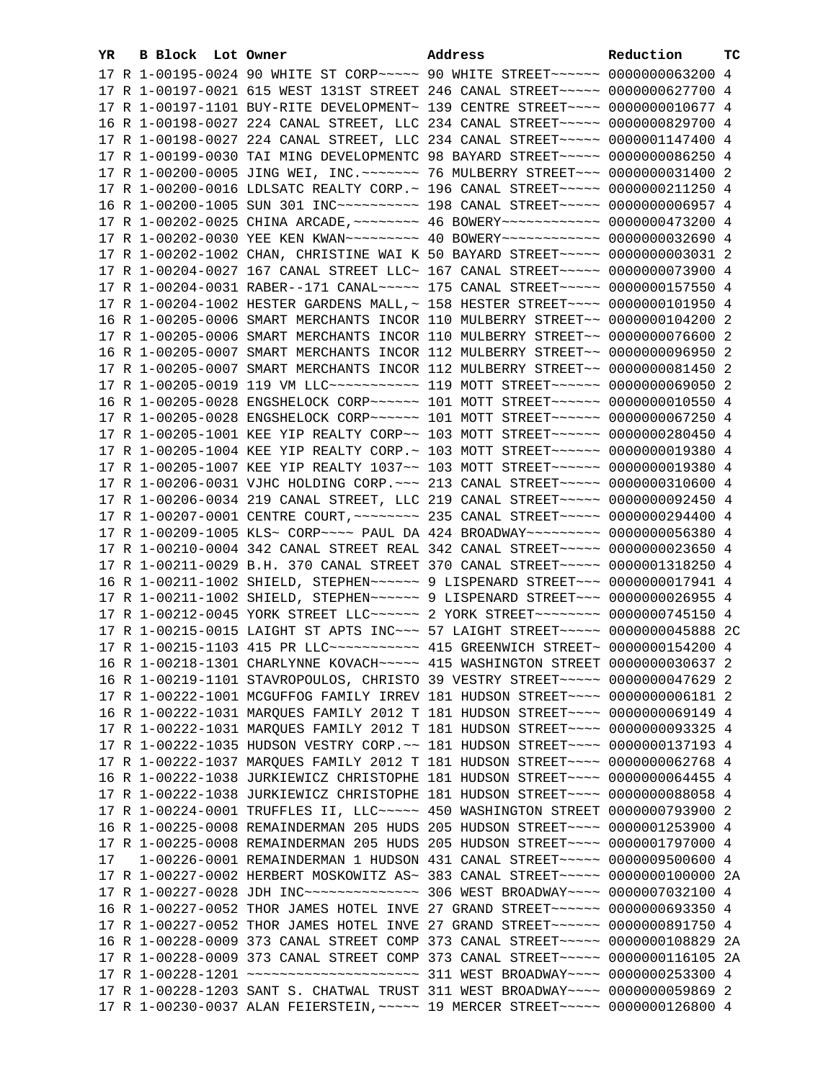| YR | B Block Lot Owner |                                                                                            | Address | Reduction | тc |
|----|-------------------|--------------------------------------------------------------------------------------------|---------|-----------|----|
|    |                   | 17 R 1-00195-0024 90 WHITE ST CORP~~~~~ 90 WHITE STREET~~~~~~ 0000000063200 4              |         |           |    |
|    |                   | 17 R 1-00197-0021 615 WEST 131ST STREET 246 CANAL STREET~~~~~ 0000000627700 4              |         |           |    |
|    |                   | 17 R 1-00197-1101 BUY-RITE DEVELOPMENT~ 139 CENTRE STREET~~~~ 0000000010677 4              |         |           |    |
|    |                   | 16 R 1-00198-0027 224 CANAL STREET, LLC 234 CANAL STREET~~~~~ 0000000829700 4              |         |           |    |
|    |                   | 17 R 1-00198-0027 224 CANAL STREET, LLC 234 CANAL STREET~~~~~ 0000001147400 4              |         |           |    |
|    |                   | 17 R 1-00199-0030 TAI MING DEVELOPMENTC 98 BAYARD STREET~~~~~ 0000000086250 4              |         |           |    |
|    |                   | 17 R 1-00200-0005 JING WEI, INC. ~~~~~~~ 76 MULBERRY STREET~~~ 0000000031400 2             |         |           |    |
|    |                   | 17 R 1-00200-0016 LDLSATC REALTY CORP. ~ 196 CANAL STREET ~~~~~ 0000000211250 4            |         |           |    |
|    |                   | 16 R 1-00200-1005 SUN 301 INC~~~~~~~~~~~~~~~ 198 CANAL STREET~~~~~~ 00000000006957 4       |         |           |    |
|    |                   | 17 R 1-00202-0025 CHINA ARCADE, ~~~~~~~~ 46 BOWERY~~~~~~~~~~~~ 0000000473200 4             |         |           |    |
|    |                   | 17 R 1-00202-0030 YEE KEN KWAN -------- 40 BOWERY ----------- 0000000032690 4              |         |           |    |
|    |                   | 17 R 1-00202-1002 CHAN, CHRISTINE WAI K 50 BAYARD STREET~~~~~ 00000000003031 2             |         |           |    |
|    |                   | 17 R 1-00204-0027 167 CANAL STREET LLC~ 167 CANAL STREET~~~~~ 0000000073900 4              |         |           |    |
|    |                   | 17 R 1-00204-0031 RABER--171 CANAL~~~~~ 175 CANAL STREET~~~~~ 0000000157550 4              |         |           |    |
|    |                   | 17 R 1-00204-1002 HESTER GARDENS MALL, ~ 158 HESTER STREET~~~~ 0000000101950 4             |         |           |    |
|    |                   | 16 R 1-00205-0006 SMART MERCHANTS INCOR 110 MULBERRY STREET~~ 0000000104200 2              |         |           |    |
|    |                   | 17 R 1-00205-0006 SMART MERCHANTS INCOR 110 MULBERRY STREET~~ 0000000076600 2              |         |           |    |
|    |                   | 16 R 1-00205-0007 SMART MERCHANTS INCOR 112 MULBERRY STREET~~ 0000000096950 2              |         |           |    |
|    |                   | 17 R 1-00205-0007 SMART MERCHANTS INCOR 112 MULBERRY STREET~~ 0000000081450 2              |         |           |    |
|    |                   | 17 R 1-00205-0019 119 VM LLC ----------- 119 MOTT STREET ------ 0000000069050 2            |         |           |    |
|    |                   | 16 R 1-00205-0028 ENGSHELOCK CORP~~~~~~ 101 MOTT STREET~~~~~~ 0000000010550 4              |         |           |    |
|    |                   | 17 R 1-00205-0028 ENGSHELOCK CORP~~~~~~ 101 MOTT STREET~~~~~~ 0000000067250 4              |         |           |    |
|    |                   | 17 R 1-00205-1001 KEE YIP REALTY CORP~~ 103 MOTT STREET~~~~~~ 0000000280450 4              |         |           |    |
|    |                   | 17 R 1-00205-1004 KEE YIP REALTY CORP. ~ 103 MOTT STREET ~~~~~~ 0000000019380 4            |         |           |    |
|    |                   | 17 R 1-00205-1007 KEE YIP REALTY 1037~~ 103 MOTT STREET~~~~~~ 0000000019380 4              |         |           |    |
|    |                   | 17 R 1-00206-0031 VJHC HOLDING CORP. ~~~ 213 CANAL STREET~~~~~ 0000000310600 4             |         |           |    |
|    |                   | 17 R 1-00206-0034 219 CANAL STREET, LLC 219 CANAL STREET~~~~~ 0000000092450 4              |         |           |    |
|    |                   | 17 R 1-00207-0001 CENTRE COURT, ~~~~~~~~ 235 CANAL STREET~~~~~ 0000000294400 4             |         |           |    |
|    |                   | 17 R 1-00209-1005 KLS~ CORP~~~~ PAUL DA 424 BROADWAY~~~~~~~~~ 0000000056380 4              |         |           |    |
|    |                   | 17 R 1-00210-0004 342 CANAL STREET REAL 342 CANAL STREET~~~~~ 0000000023650 4              |         |           |    |
|    |                   | 17 R 1-00211-0029 B.H. 370 CANAL STREET 370 CANAL STREET~~~~~ 0000001318250 4              |         |           |    |
|    |                   | 16 R 1-00211-1002 SHIELD, STEPHEN~~~~~~~ 9 LISPENARD STREET~~~ 0000000017941 4             |         |           |    |
|    |                   | 17 R 1-00211-1002 SHIELD, STEPHEN~~~~~~~ 9 LISPENARD STREET~~~ 0000000026955 4             |         |           |    |
|    |                   | 17 R 1-00212-0045 YORK STREET LLC ----- 2 YORK STREET ------- 0000000745150 4              |         |           |    |
|    |                   | 17 R 1-00215-0015 LAIGHT ST APTS INC~~~ 57 LAIGHT STREET~~~~~ 0000000045888 2C             |         |           |    |
|    |                   | 17 R 1-00215-1103 415 PR LLC ----------- 415 GREENWICH STREET ~ 0000000154200 4            |         |           |    |
|    |                   | 16 R 1-00218-1301 CHARLYNNE KOVACH~~~~~ 415 WASHINGTON STREET 0000000030637 2              |         |           |    |
|    |                   | 16 R 1-00219-1101 STAVROPOULOS, CHRISTO 39 VESTRY STREET~~~~~ 0000000047629 2              |         |           |    |
|    |                   | 17 R 1-00222-1001 MCGUFFOG FAMILY IRREV 181 HUDSON STREET~~~~ 00000000006181 2             |         |           |    |
|    |                   | 16 R 1-00222-1031 MARQUES FAMILY 2012 T 181 HUDSON STREET~~~~ 0000000069149 4              |         |           |    |
|    |                   | 17 R 1-00222-1031 MARQUES FAMILY 2012 T 181 HUDSON STREET~~~~ 0000000093325 4              |         |           |    |
|    |                   | 17 R 1-00222-1035 HUDSON VESTRY CORP. ~~ 181 HUDSON STREET~~~~ 0000000137193 4             |         |           |    |
|    |                   | 17 R 1-00222-1037 MARQUES FAMILY 2012 T 181 HUDSON STREET~~~~ 0000000062768 4              |         |           |    |
|    |                   | 16 R 1-00222-1038 JURKIEWICZ CHRISTOPHE 181 HUDSON STREET~~~~ 0000000064455 4              |         |           |    |
|    |                   | 17 R 1-00222-1038 JURKIEWICZ CHRISTOPHE 181 HUDSON STREET~~~~ 0000000088058 4              |         |           |    |
|    |                   | 17 R 1-00224-0001 TRUFFLES II, LLC ---- 450 WASHINGTON STREET 0000000793900 2              |         |           |    |
|    |                   | 16 R 1-00225-0008 REMAINDERMAN 205 HUDS 205 HUDSON STREET~~~~ 0000001253900 4              |         |           |    |
|    |                   | 17 R 1-00225-0008 REMAINDERMAN 205 HUDS 205 HUDSON STREET~~~~ 0000001797000 4              |         |           |    |
| 17 |                   | 1-00226-0001 REMAINDERMAN 1 HUDSON 431 CANAL STREET~~~~~ 0000009500600 4                   |         |           |    |
|    |                   | 17 R 1-00227-0002 HERBERT MOSKOWITZ AS~ 383 CANAL STREET~~~~~ 0000000100000 2A             |         |           |    |
|    |                   | 17 R 1-00227-0028 JDH INC~~~~~~~~~~~~~~~~~~~~~~~~~ 306 WEST BROADWAY~~~~~ 0000007032100 4  |         |           |    |
|    |                   | 16 R 1-00227-0052 THOR JAMES HOTEL INVE 27 GRAND STREET~~~~~~ 0000000693350 4              |         |           |    |
|    |                   | 17 R 1-00227-0052 THOR JAMES HOTEL INVE 27 GRAND STREET~~~~~~ 0000000891750 4              |         |           |    |
|    |                   | 16 R 1-00228-0009 373 CANAL STREET COMP 373 CANAL STREET~~~~~ 0000000108829 2A             |         |           |    |
|    |                   | 17 R 1-00228-0009 373 CANAL STREET COMP 373 CANAL STREET~~~~~ 0000000116105 2A             |         |           |    |
|    |                   | 17 R 1-00228-1201 ~~~~~~~~~~~~~~~~~~~~~~~~~~~~~~~~~ 311 WEST BROADWAY~~~~~ 0000000253300 4 |         |           |    |
|    |                   | 17 R 1-00228-1203 SANT S. CHATWAL TRUST 311 WEST BROADWAY~~~~ 0000000059869 2              |         |           |    |
|    |                   | 17 R 1-00230-0037 ALAN FEIERSTEIN, ~~~~~ 19 MERCER STREET~~~~~ 0000000126800 4             |         |           |    |
|    |                   |                                                                                            |         |           |    |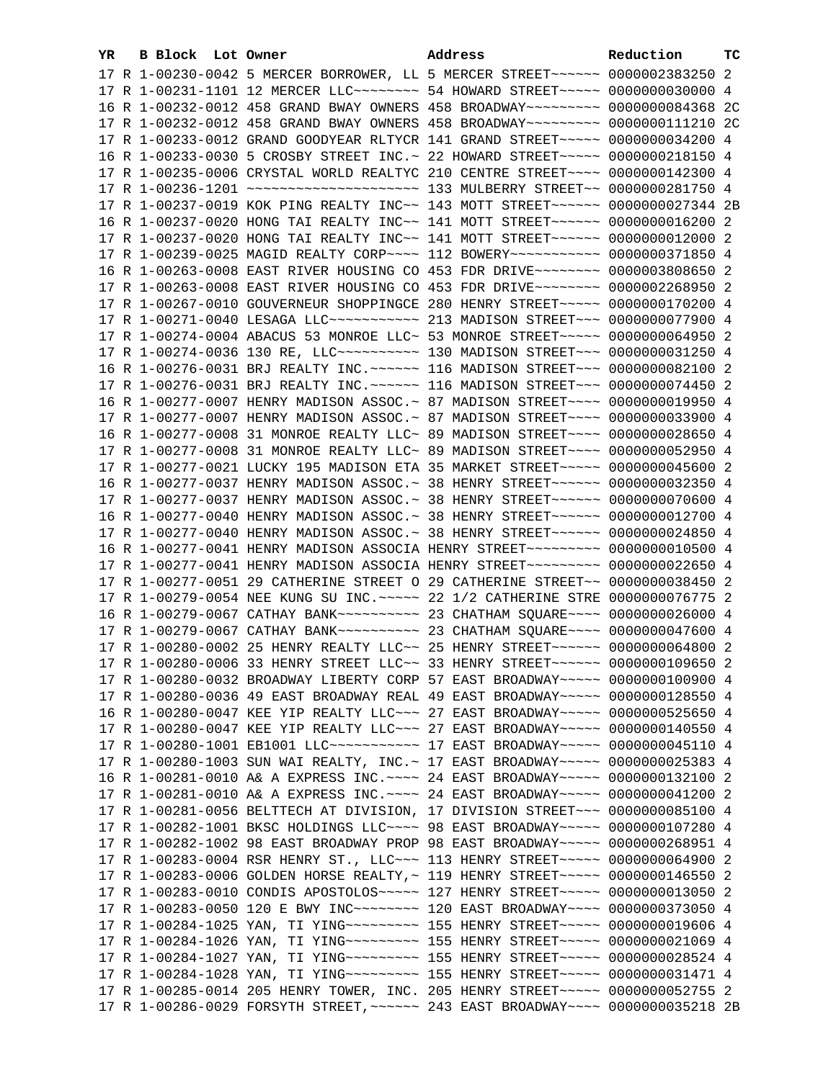| YR. | B Block Lot Owner |                                                                                     | Address | Reduction | тc |
|-----|-------------------|-------------------------------------------------------------------------------------|---------|-----------|----|
|     |                   | 17 R 1-00230-0042 5 MERCER BORROWER, LL 5 MERCER STREET~~~~~~ 0000002383250 2       |         |           |    |
|     |                   | 17 R 1-00231-1101 12 MERCER LLC ------- 54 HOWARD STREET ---- 0000000030000 4       |         |           |    |
|     |                   | 16 R 1-00232-0012 458 GRAND BWAY OWNERS 458 BROADWAY~~~~~~~~~~ 0000000084368 2C     |         |           |    |
|     |                   | 17 R 1-00232-0012 458 GRAND BWAY OWNERS 458 BROADWAY~~~~~~~~~~ 0000000111210 2C     |         |           |    |
|     |                   | 17 R 1-00233-0012 GRAND GOODYEAR RLTYCR 141 GRAND STREET~~~~~ 0000000034200 4       |         |           |    |
|     |                   | 16 R 1-00233-0030 5 CROSBY STREET INC. ~ 22 HOWARD STREET ~~~~~ 0000000218150 4     |         |           |    |
|     |                   | 17 R 1-00235-0006 CRYSTAL WORLD REALTYC 210 CENTRE STREET~~~~ 0000000142300 4       |         |           |    |
|     |                   |                                                                                     |         |           |    |
|     |                   | 17 R 1-00237-0019 KOK PING REALTY INC~~ 143 MOTT STREET~~~~~~~ 0000000027344 2B     |         |           |    |
|     |                   | 16 R 1-00237-0020 HONG TAI REALTY INC~~ 141 MOTT STREET~~~~~~~ 0000000016200 2      |         |           |    |
|     |                   | 17 R 1-00237-0020 HONG TAI REALTY INC~~ 141 MOTT STREET~~~~~~ 0000000012000 2       |         |           |    |
|     |                   | 17 R 1-00239-0025 MAGID REALTY CORP~~~~ 112 BOWERY~~~~~~~~~~~ 0000000371850 4       |         |           |    |
|     |                   | 16 R 1-00263-0008 EAST RIVER HOUSING CO 453 FDR DRIVE~~~~~~~~ 0000003808650 2       |         |           |    |
|     |                   | 17 R 1-00263-0008 EAST RIVER HOUSING CO 453 FDR DRIVE~~~~~~~~ 0000002268950 2       |         |           |    |
|     |                   | 17 R 1-00267-0010 GOUVERNEUR SHOPPINGCE 280 HENRY STREET~~~~~ 0000000170200 4       |         |           |    |
|     |                   | 17 R 1-00271-0040 LESAGA LLC ----------- 213 MADISON STREET --- 0000000077900 4     |         |           |    |
|     |                   | 17 R 1-00274-0004 ABACUS 53 MONROE LLC~ 53 MONROE STREET~~~~~ 0000000064950 2       |         |           |    |
|     |                   | 17 R 1-00274-0036 130 RE, LLC ---------- 130 MADISON STREET --- 0000000031250 4     |         |           |    |
|     |                   | 16 R 1-00276-0031 BRJ REALTY INC. ~~~~~~ 116 MADISON STREET~~~ 0000000082100 2      |         |           |    |
|     |                   | 17 R 1-00276-0031 BRJ REALTY INC. ~~~~~~ 116 MADISON STREET~~~ 0000000074450 2      |         |           |    |
|     |                   | 16 R 1-00277-0007 HENRY MADISON ASSOC. ~ 87 MADISON STREET~~~~ 0000000019950 4      |         |           |    |
|     |                   | 17 R 1-00277-0007 HENRY MADISON ASSOC.~ 87 MADISON STREET~~~~ 0000000033900 4       |         |           |    |
|     |                   | 16 R 1-00277-0008 31 MONROE REALTY LLC~ 89 MADISON STREET~~~~ 0000000028650 4       |         |           |    |
|     |                   | 17 R 1-00277-0008 31 MONROE REALTY LLC~ 89 MADISON STREET~~~~ 0000000052950 4       |         |           |    |
|     |                   | 17 R 1-00277-0021 LUCKY 195 MADISON ETA 35 MARKET STREET~~~~~ 0000000045600 2       |         |           |    |
|     |                   | 16 R 1-00277-0037 HENRY MADISON ASSOC.~ 38 HENRY STREET~~~~~~~ 0000000032350 4      |         |           |    |
|     |                   | 17 R 1-00277-0037 HENRY MADISON ASSOC.~ 38 HENRY STREET~~~~~~~ 0000000070600 4      |         |           |    |
|     |                   | 16 R 1-00277-0040 HENRY MADISON ASSOC.~ 38 HENRY STREET~~~~~~ 0000000012700 4       |         |           |    |
|     |                   | 17 R 1-00277-0040 HENRY MADISON ASSOC.~ 38 HENRY STREET~~~~~~~ 0000000024850 4      |         |           |    |
|     |                   | 16 R 1-00277-0041 HENRY MADISON ASSOCIA HENRY STREET~~~~~~~~~ 0000000010500 4       |         |           |    |
|     |                   | 17 R 1-00277-0041 HENRY MADISON ASSOCIA HENRY STREET~~~~~~~~~ 0000000022650 4       |         |           |    |
|     |                   | 17 R 1-00277-0051 29 CATHERINE STREET O 29 CATHERINE STREET~~ 0000000038450 2       |         |           |    |
|     |                   | 17 R 1-00279-0054 NEE KUNG SU INC. ~~~~~ 22 1/2 CATHERINE STRE 0000000076775 2      |         |           |    |
|     |                   |                                                                                     |         |           |    |
|     |                   |                                                                                     |         |           |    |
|     |                   | 17 R 1-00280-0002 25 HENRY REALTY LLC~~ 25 HENRY STREET~~~~~~ 0000000064800 2       |         |           |    |
|     |                   | 17 R 1-00280-0006 33 HENRY STREET LLC~~ 33 HENRY STREET~~~~~~ 0000000109650 2       |         |           |    |
|     |                   | 17 R 1-00280-0032 BROADWAY LIBERTY CORP 57 EAST BROADWAY~~~~~ 0000000100900 4       |         |           |    |
|     |                   | 17 R 1-00280-0036 49 EAST BROADWAY REAL 49 EAST BROADWAY~~~~~ 0000000128550 4       |         |           |    |
|     |                   | 16 R 1-00280-0047 KEE YIP REALTY LLC ~~~ 27 EAST BROADWAY ~~~~~ 0000000525650 4     |         |           |    |
|     |                   | 17 R 1-00280-0047 KEE YIP REALTY LLC -~~ 27 EAST BROADWAY -~~~~ 0000000140550 4     |         |           |    |
|     |                   | 17 R 1-00280-1001 EB1001 LLC ----------- 17 EAST BROADWAY ---- 0000000045110 4      |         |           |    |
|     |                   | 17 R 1-00280-1003 SUN WAI REALTY, INC. ~ 17 EAST BROADWAY ~~~~~ 0000000025383 4     |         |           |    |
|     |                   | 16 R 1-00281-0010 A& A EXPRESS INC. ~~~~ 24 EAST BROADWAY~~~~~ 0000000132100 2      |         |           |    |
|     |                   | 17 R 1-00281-0010 A& A EXPRESS INC. ~~~~ 24 EAST BROADWAY~~~~~ 0000000041200 2      |         |           |    |
|     |                   | 17 R 1-00281-0056 BELTTECH AT DIVISION, 17 DIVISION STREET~~~ 0000000085100 4       |         |           |    |
|     |                   | 17 R 1-00282-1001 BKSC HOLDINGS LLC~~~~ 98 EAST BROADWAY~~~~~ 0000000107280 4       |         |           |    |
|     |                   | 17 R 1-00282-1002 98 EAST BROADWAY PROP 98 EAST BROADWAY~~~~~ 0000000268951 4       |         |           |    |
|     |                   | 17 R 1-00283-0004 RSR HENRY ST., LLC ~~~ 113 HENRY STREET ~~~~~ 0000000064900 2     |         |           |    |
|     |                   | 17 R 1-00283-0006 GOLDEN HORSE REALTY, ~ 119 HENRY STREET~~~~~ 0000000146550 2      |         |           |    |
|     |                   | 17 R 1-00283-0010 CONDIS APOSTOLOS ~~~~~ 127 HENRY STREET ~~~~~ 0000000013050 2     |         |           |    |
|     |                   | 17 R 1-00283-0050 120 E BWY INC~~~~~~~~~~~~~ 120 EAST BROADWAY~~~~~ 0000000373050 4 |         |           |    |
|     |                   | 17 R 1-00284-1025 YAN, TI YING~~~~~~~~~~~~~~ 155 HENRY STREET~~~~~~ 0000000019606 4 |         |           |    |
|     |                   | 17 R 1-00284-1026 YAN, TI YING~~~~~~~~~~~~~~ 155 HENRY STREET~~~~~~ 0000000021069 4 |         |           |    |
|     |                   | 17 R 1-00284-1027 YAN, TI YING~~~~~~~~~~~~~~ 155 HENRY STREET~~~~~~ 0000000028524 4 |         |           |    |
|     |                   | 17 R 1-00284-1028 YAN, TI YING~~~~~~~~~~~~~~ 155 HENRY STREET~~~~~~ 0000000031471 4 |         |           |    |
|     |                   | 17 R 1-00285-0014 205 HENRY TOWER, INC. 205 HENRY STREET~~~~~ 0000000052755 2       |         |           |    |
|     |                   | 17 R 1-00286-0029 FORSYTH STREET, ~~~~~~ 243 EAST BROADWAY~~~~ 0000000035218 2B     |         |           |    |
|     |                   |                                                                                     |         |           |    |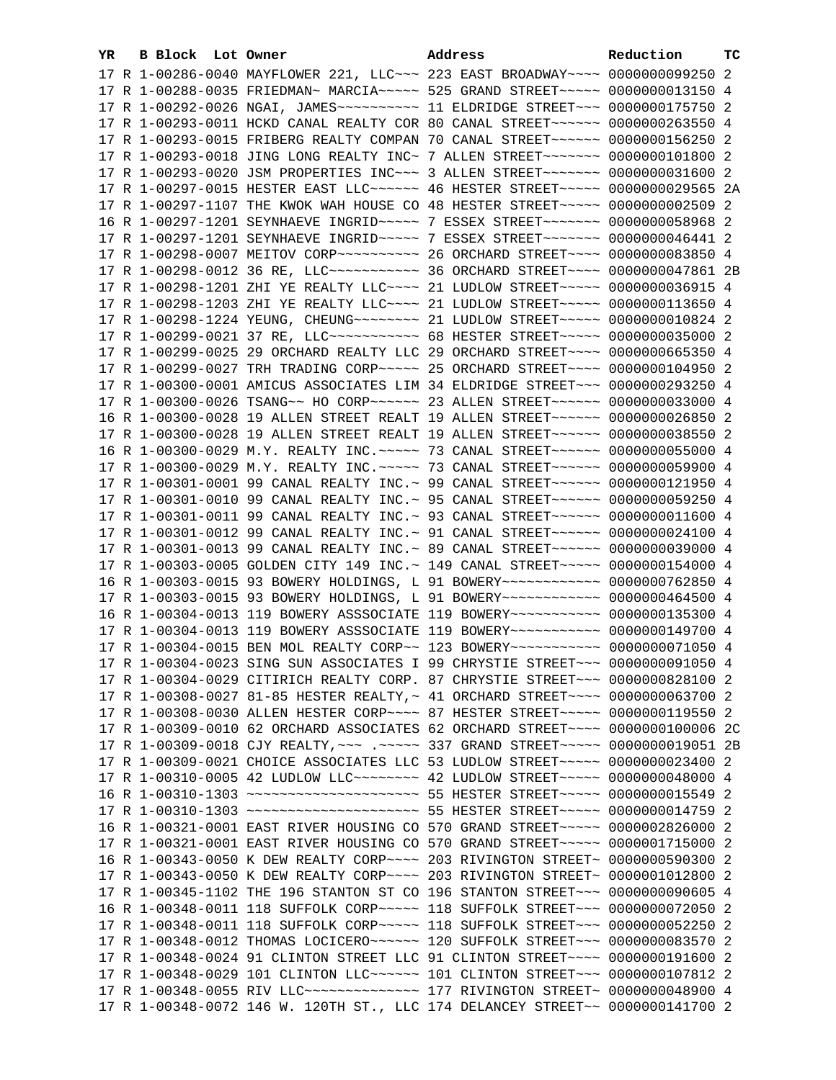| YR. | B Block Lot Owner |                                                                                        | Address | Reduction | тc |
|-----|-------------------|----------------------------------------------------------------------------------------|---------|-----------|----|
|     |                   | 17 R 1-00286-0040 MAYFLOWER 221, LLC ~~~ 223 EAST BROADWAY ~~~~ 0000000099250 2        |         |           |    |
|     |                   | 17 R 1-00288-0035 FRIEDMAN~ MARCIA~~~~~ 525 GRAND STREET~~~~~ 0000000013150 4          |         |           |    |
|     |                   | 17 R 1-00292-0026 NGAI, JAMES~~~~~~~~~~~~~~~~ 11 ELDRIDGE STREET~~~~ 0000000175750 2   |         |           |    |
|     |                   | 17 R 1-00293-0011 HCKD CANAL REALTY COR 80 CANAL STREET~~~~~~~ 0000000263550 4         |         |           |    |
|     |                   | 17 R 1-00293-0015 FRIBERG REALTY COMPAN 70 CANAL STREET~~~~~~~ 0000000156250 2         |         |           |    |
|     |                   | 17 R 1-00293-0018 JING LONG REALTY INC~ 7 ALLEN STREET~~~~~~~~ 0000000101800 2         |         |           |    |
|     |                   | 17 R 1-00293-0020 JSM PROPERTIES INC~~~ 3 ALLEN STREET~~~~~~~ 0000000031600 2          |         |           |    |
|     |                   | 17 R 1-00297-0015 HESTER EAST LLC ----- 46 HESTER STREET ---- 0000000029565 2A         |         |           |    |
|     |                   | 17 R 1-00297-1107 THE KWOK WAH HOUSE CO 48 HESTER STREET~~~~~ 0000000002509 2          |         |           |    |
|     |                   | 16 R 1-00297-1201 SEYNHAEVE INGRID~~~~~ 7 ESSEX STREET~~~~~~~ 0000000058968 2          |         |           |    |
|     |                   |                                                                                        |         |           |    |
|     |                   | 17 R 1-00298-0007 MEITOV CORP~~~~~~~~~~~~~~~~~~~~ SORCHARD STREET~~~~~ 0000000083850 4 |         |           |    |
|     |                   | 17 R 1-00298-0012 36 RE, LLC ----------- 36 ORCHARD STREET ---- 0000000047861 2B       |         |           |    |
|     |                   | 17 R 1-00298-1201 ZHI YE REALTY LLC --- 21 LUDLOW STREET ---- 0000000036915 4          |         |           |    |
|     |                   | 17 R 1-00298-1203 ZHI YE REALTY LLC --- 21 LUDLOW STREET ---- 0000000113650 4          |         |           |    |
|     |                   | 17 R 1-00298-1224 YEUNG, CHEUNG~~~~~~~~ 21 LUDLOW STREET~~~~~ 0000000010824 2          |         |           |    |
|     |                   | 17 R 1-00299-0021 37 RE, LLC ----------- 68 HESTER STREET ----- 0000000035000 2        |         |           |    |
|     |                   | 17 R 1-00299-0025 29 ORCHARD REALTY LLC 29 ORCHARD STREET~~~~ 0000000665350 4          |         |           |    |
|     |                   | 17 R 1-00299-0027 TRH TRADING CORP~~~~~ 25 ORCHARD STREET~~~~ 0000000104950 2          |         |           |    |
|     |                   | 17 R 1-00300-0001 AMICUS ASSOCIATES LIM 34 ELDRIDGE STREET~~~ 0000000293250 4          |         |           |    |
|     |                   | 17 R 1-00300-0026 TSANG~~ HO CORP~~~~~~~ 23 ALLEN STREET~~~~~~~ 0000000033000 4        |         |           |    |
|     |                   | 16 R 1-00300-0028 19 ALLEN STREET REALT 19 ALLEN STREET~~~~~~ 0000000026850 2          |         |           |    |
|     |                   | 17 R 1-00300-0028 19 ALLEN STREET REALT 19 ALLEN STREET~~~~~~ 0000000038550 2          |         |           |    |
|     |                   | 16 R 1-00300-0029 M.Y. REALTY INC. ~~~~~ 73 CANAL STREET~~~~~~ 0000000055000 4         |         |           |    |
|     |                   | 17 R 1-00300-0029 M.Y. REALTY INC. ~~~~~ 73 CANAL STREET~~~~~~ 0000000059900 4         |         |           |    |
|     |                   | 17 R 1-00301-0001 99 CANAL REALTY INC.~ 99 CANAL STREET~~~~~~~ 0000000121950 4         |         |           |    |
|     |                   | 17 R 1-00301-0010 99 CANAL REALTY INC.~ 95 CANAL STREET~~~~~~~ 0000000059250 4         |         |           |    |
|     |                   | 17 R 1-00301-0011 99 CANAL REALTY INC.~ 93 CANAL STREET~~~~~~~ 0000000011600 4         |         |           |    |
|     |                   | 17 R 1-00301-0012 99 CANAL REALTY INC.~ 91 CANAL STREET~~~~~~~ 0000000024100 4         |         |           |    |
|     |                   | 17 R 1-00301-0013 99 CANAL REALTY INC.~ 89 CANAL STREET~~~~~~~ 0000000039000 4         |         |           |    |
|     |                   | 17 R 1-00303-0005 GOLDEN CITY 149 INC. ~ 149 CANAL STREET ~~~~~ 0000000154000 4        |         |           |    |
|     |                   | 16 R 1-00303-0015 93 BOWERY HOLDINGS, L 91 BOWERY~~~~~~~~~~~~ 0000000762850 4          |         |           |    |
|     |                   | 17 R 1-00303-0015 93 BOWERY HOLDINGS, L 91 BOWERY~~~~~~~~~~~~ 0000000464500 4          |         |           |    |
|     |                   | 16 R 1-00304-0013 119 BOWERY ASSSOCIATE 119 BOWERY~~~~~~~~~~~ 0000000135300 4          |         |           |    |
|     |                   | 17 R 1-00304-0013 119 BOWERY ASSSOCIATE 119 BOWERY~~~~~~~~~~~ 0000000149700 4          |         |           |    |
|     |                   | 17 R 1-00304-0015 BEN MOL REALTY CORP~~ 123 BOWERY~~~~~~~~~~~ 0000000071050 4          |         |           |    |
|     |                   | 17 R 1-00304-0023 SING SUN ASSOCIATES I 99 CHRYSTIE STREET~~~ 0000000091050 4          |         |           |    |
|     |                   | 17 R 1-00304-0029 CITIRICH REALTY CORP. 87 CHRYSTIE STREET~~~ 0000000828100 2          |         |           |    |
|     |                   | 17 R 1-00308-0027 81-85 HESTER REALTY, ~ 41 ORCHARD STREET~~~~ 0000000063700 2         |         |           |    |
|     |                   | 17 R 1-00308-0030 ALLEN HESTER CORP~~~~ 87 HESTER STREET~~~~~ 0000000119550 2          |         |           |    |
|     |                   | 17 R 1-00309-0010 62 ORCHARD ASSOCIATES 62 ORCHARD STREET~~~~ 0000000100006 2C         |         |           |    |
|     |                   | 17 R 1-00309-0018 CJY REALTY, ~~~ .~~~~~ 337 GRAND STREET~~~~~ 0000000019051 2B        |         |           |    |
|     |                   | 17 R 1-00309-0021 CHOICE ASSOCIATES LLC 53 LUDLOW STREET~~~~~ 0000000023400 2          |         |           |    |
|     |                   | 17 R 1-00310-0005 42 LUDLOW LLC -------- 42 LUDLOW STREET ---- 0000000048000 4         |         |           |    |
|     |                   | 16 R 1-00310-1303 ~~~~~~~~~~~~~~~~~~~~~~~ 55 HESTER STREET~~~~~ 0000000015549 2        |         |           |    |
|     |                   | 17 R 1-00310-1303 ~~~~~~~~~~~~~~~~~~~~~~~ 55 HESTER STREET~~~~~ 0000000014759 2        |         |           |    |
|     |                   | 16 R 1-00321-0001 EAST RIVER HOUSING CO 570 GRAND STREET~~~~~ 0000002826000 2          |         |           |    |
|     |                   | 17 R 1-00321-0001 EAST RIVER HOUSING CO 570 GRAND STREET~~~~~ 0000001715000 2          |         |           |    |
|     |                   | 16 R 1-00343-0050 K DEW REALTY CORP~~~~ 203 RIVINGTON STREET~ 0000000590300 2          |         |           |    |
|     |                   | 17 R 1-00343-0050 K DEW REALTY CORP~~~~ 203 RIVINGTON STREET~ 0000001012800 2          |         |           |    |
|     |                   | 17 R 1-00345-1102 THE 196 STANTON ST CO 196 STANTON STREET~~~ 0000000090605 4          |         |           |    |
|     |                   | 16 R 1-00348-0011 118 SUFFOLK CORP~~~~~ 118 SUFFOLK STREET~~~ 0000000072050 2          |         |           |    |
|     |                   | 17 R 1-00348-0011 118 SUFFOLK CORP~~~~~ 118 SUFFOLK STREET~~~ 0000000052250 2          |         |           |    |
|     |                   | 17 R 1-00348-0012 THOMAS LOCICERO~~~~~~ 120 SUFFOLK STREET~~~ 0000000083570 2          |         |           |    |
|     |                   | 17 R 1-00348-0024 91 CLINTON STREET LLC 91 CLINTON STREET~~~~ 0000000191600 2          |         |           |    |
|     |                   | 17 R 1-00348-0029 101 CLINTON LLC ----- 101 CLINTON STREET -- 0000000107812 2          |         |           |    |
|     |                   | 17 R 1-00348-0055 RIV LLC --------------- 177 RIVINGTON STREET ~ 0000000048900 4       |         |           |    |
|     |                   | 17 R 1-00348-0072 146 W. 120TH ST., LLC 174 DELANCEY STREET~~ 0000000141700 2          |         |           |    |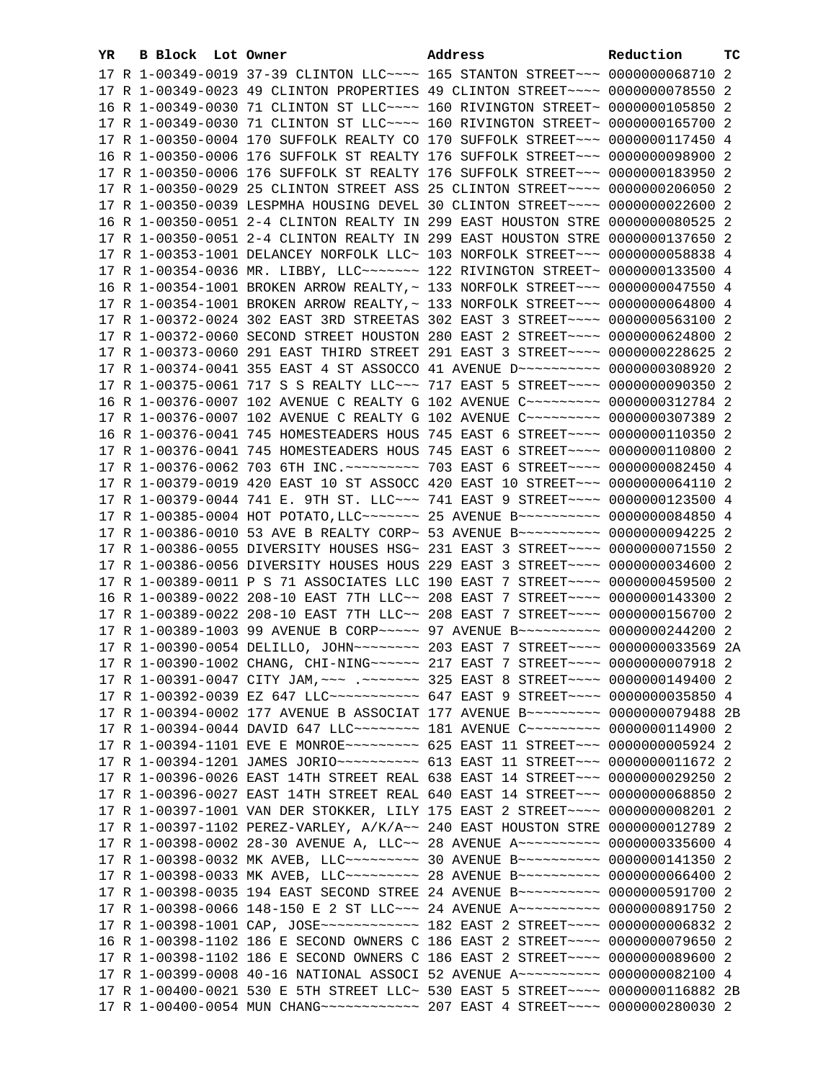| YR | B Block Lot Owner |  | Address                                                                                                                                                           | Reduction | тc |
|----|-------------------|--|-------------------------------------------------------------------------------------------------------------------------------------------------------------------|-----------|----|
|    |                   |  | 17 R 1-00349-0019 37-39 CLINTON LLC --- 165 STANTON STREET -- 0000000068710 2                                                                                     |           |    |
|    |                   |  | 17 R 1-00349-0023 49 CLINTON PROPERTIES 49 CLINTON STREET~~~~ 0000000078550 2                                                                                     |           |    |
|    |                   |  | 16 R 1-00349-0030 71 CLINTON ST LLC ~~~~ 160 RIVINGTON STREET~ 0000000105850 2                                                                                    |           |    |
|    |                   |  | 17 R 1-00349-0030 71 CLINTON ST LLC ~~~~ 160 RIVINGTON STREET~ 0000000165700 2                                                                                    |           |    |
|    |                   |  | 17 R 1-00350-0004 170 SUFFOLK REALTY CO 170 SUFFOLK STREET~~~ 0000000117450 4                                                                                     |           |    |
|    |                   |  | 16 R 1-00350-0006 176 SUFFOLK ST REALTY 176 SUFFOLK STREET~~~ 0000000098900 2                                                                                     |           |    |
|    |                   |  | 17 R 1-00350-0006 176 SUFFOLK ST REALTY 176 SUFFOLK STREET~~~ 0000000183950 2                                                                                     |           |    |
|    |                   |  | 17 R 1-00350-0029 25 CLINTON STREET ASS 25 CLINTON STREET~~~~ 0000000206050 2                                                                                     |           |    |
|    |                   |  | 17 R 1-00350-0039 LESPMHA HOUSING DEVEL 30 CLINTON STREET~~~~ 0000000022600                                                                                       |           | -2 |
|    |                   |  | 16 R 1-00350-0051 2-4 CLINTON REALTY IN 299 EAST HOUSTON STRE 0000000080525 2                                                                                     |           |    |
|    |                   |  | 17 R 1-00350-0051 2-4 CLINTON REALTY IN 299 EAST HOUSTON STRE 0000000137650 2                                                                                     |           |    |
|    |                   |  | 17 R 1-00353-1001 DELANCEY NORFOLK LLC~ 103 NORFOLK STREET~~~ 0000000058838 4                                                                                     |           |    |
|    |                   |  | 17 R 1-00354-0036 MR. LIBBY, LLC ------- 122 RIVINGTON STREET ~ 0000000133500 4                                                                                   |           |    |
|    |                   |  | 16 R 1-00354-1001 BROKEN ARROW REALTY, ~ 133 NORFOLK STREET~~~ 0000000047550 4                                                                                    |           |    |
|    |                   |  | 17 R 1-00354-1001 BROKEN ARROW REALTY, ~ 133 NORFOLK STREET~~~ 0000000064800 4                                                                                    |           |    |
|    |                   |  | 17 R 1-00372-0024 302 EAST 3RD STREETAS 302 EAST 3 STREET~~~~ 0000000563100 2                                                                                     |           |    |
|    |                   |  | 17 R 1-00372-0060 SECOND STREET HOUSTON 280 EAST 2 STREET~~~~ 0000000624800 2                                                                                     |           |    |
|    |                   |  | 17 R 1-00373-0060 291 EAST THIRD STREET 291 EAST 3 STREET~~~~ 0000000228625 2                                                                                     |           |    |
|    |                   |  | 17 R 1-00374-0041 355 EAST 4 ST ASSOCCO 41 AVENUE D ~~~~~~~~~~ 0000000308920 2                                                                                    |           |    |
|    |                   |  | 17 R 1-00375-0061 717 S S REALTY LLC ~~~ 717 EAST 5 STREET ~~~~ 0000000090350 2                                                                                   |           |    |
|    |                   |  | 16 R 1-00376-0007 102 AVENUE C REALTY G 102 AVENUE C --------- 0000000312784 2                                                                                    |           |    |
|    |                   |  | 17 R 1-00376-0007 102 AVENUE C REALTY G 102 AVENUE C~~~~~~~~~ 0000000307389 2                                                                                     |           |    |
|    |                   |  | 16 R 1-00376-0041 745 HOMESTEADERS HOUS 745 EAST 6 STREET~~~~ 0000000110350 2                                                                                     |           |    |
|    |                   |  | 17 R 1-00376-0041 745 HOMESTEADERS HOUS 745 EAST 6 STREET~~~~ 0000000110800 2                                                                                     |           |    |
|    |                   |  | 17 R 1-00376-0062 703 6TH INC. ~~~~~~~~~ 703 EAST 6 STREET~~~~ 0000000082450 4                                                                                    |           |    |
|    |                   |  | 17 R 1-00379-0019 420 EAST 10 ST ASSOCC 420 EAST 10 STREET~~~ 0000000064110 2                                                                                     |           |    |
|    |                   |  | 17 R 1-00379-0044 741 E. 9TH ST. LLC ~~~ 741 EAST 9 STREET ~~~~ 0000000123500 4                                                                                   |           |    |
|    |                   |  | 17 R 1-00385-0004 HOT POTATO, LLC~~~~~~~ 25 AVENUE B~~~~~~~~~~ 0000000084850 4                                                                                    |           |    |
|    |                   |  | 17 R 1-00386-0010 53 AVE B REALTY CORP~ 53 AVENUE B~~~~~~~~~~ 0000000094225 2                                                                                     |           |    |
|    |                   |  | 17 R 1-00386-0055 DIVERSITY HOUSES HSG~ 231 EAST 3 STREET~~~~ 0000000071550 2                                                                                     |           |    |
|    |                   |  | 17 R 1-00386-0056 DIVERSITY HOUSES HOUS 229 EAST 3 STREET~~~~ 0000000034600 2                                                                                     |           |    |
|    |                   |  | 17 R 1-00389-0011 P S 71 ASSOCIATES LLC 190 EAST 7 STREET~~~~ 0000000459500 2                                                                                     |           |    |
|    |                   |  | 16 R 1-00389-0022 208-10 EAST 7TH LLC~~ 208 EAST 7 STREET~~~~ 0000000143300 2                                                                                     |           |    |
|    |                   |  | 17 R 1-00389-0022 208-10 EAST 7TH LLC~~ 208 EAST 7 STREET~~~~ 0000000156700 2                                                                                     |           |    |
|    |                   |  | 17 R 1-00389-1003 99 AVENUE B CORP~~~~~ 97 AVENUE B~~~~~~~~~~ 0000000244200 2                                                                                     |           |    |
|    |                   |  | 17 R 1-00390-0054 DELILLO, JOHN~~~~~~~~~ 203 EAST 7 STREET~~~~ 0000000033569 2A                                                                                   |           |    |
|    |                   |  | 17 R 1-00390-1002 CHANG, CHI-NING ~~~~~~ 217 EAST 7 STREET ~~~~ 0000000007918 2                                                                                   |           |    |
|    |                   |  | 17 R 1-00391-0047 CITY JAM, ~~~ .~~~~~~~ 325 EAST 8 STREET~~~~ 0000000149400 2                                                                                    |           |    |
|    |                   |  | 17 R 1-00392-0039 EZ 647 LLC ----------- 647 EAST 9 STREET --- 0000000035850 4                                                                                    |           |    |
|    |                   |  | 17 R 1-00394-0002 177 AVENUE B ASSOCIAT 177 AVENUE B~~~~~~~~~~ 0000000079488 2B                                                                                   |           |    |
|    |                   |  | 17 R 1-00394-0044 DAVID 647 LLC -------- 181 AVENUE C --------- 0000000114900 2                                                                                   |           |    |
|    |                   |  | 17 R 1-00394-1101 EVE E MONROE~~~~~~~~~~ 625 EAST 11 STREET~~~ 0000000005924 2                                                                                    |           |    |
|    |                   |  | 17 R 1-00394-1201 JAMES JORIO~~~~~~~~~~~ 613 EAST 11 STREET~~~ 0000000011672 2                                                                                    |           |    |
|    |                   |  | 17 R 1-00396-0026 EAST 14TH STREET REAL 638 EAST 14 STREET~~~ 0000000029250 2                                                                                     |           |    |
|    |                   |  | 17 R 1-00396-0027 EAST 14TH STREET REAL 640 EAST 14 STREET~~~ 0000000068850 2                                                                                     |           |    |
|    |                   |  | 17 R 1-00397-1001 VAN DER STOKKER, LILY 175 EAST 2 STREET~~~~ 0000000008201 2                                                                                     |           |    |
|    |                   |  | 17 R 1-00397-1102 PEREZ-VARLEY, A/K/A~~ 240 EAST HOUSTON STRE 0000000012789 2                                                                                     |           |    |
|    |                   |  | 17 R 1-00398-0002 28-30 AVENUE A, LLC~~ 28 AVENUE A~~~~~~~~~~ 0000000335600 4                                                                                     |           |    |
|    |                   |  | 17 R 1-00398-0032 MK AVEB, LLC --------- 30 AVENUE B ---------- 0000000141350 2                                                                                   |           |    |
|    |                   |  | 17 R 1-00398-0033 MK AVEB, LLC~~~~~~~~~~~~~~~ 28 AVENUE B~~~~~~~~~~~~ 0000000066400 2                                                                             |           |    |
|    |                   |  | 17 R 1-00398-0035 194 EAST SECOND STREE 24 AVENUE B~~~~~~~~~~ 0000000591700 2                                                                                     |           |    |
|    |                   |  | 17 R 1-00398-0066 148-150 E 2 ST LLC -- 24 AVENUE A --------- 0000000891750 2                                                                                     |           |    |
|    |                   |  | 17 R 1-00398-1001 CAP, JOSE ------------ 182 EAST 2 STREET ---- 00000000006832 2<br>16 R 1-00398-1102 186 E SECOND OWNERS C 186 EAST 2 STREET~~~~ 0000000079650 2 |           |    |
|    |                   |  | 17 R 1-00398-1102 186 E SECOND OWNERS C 186 EAST 2 STREET~~~~ 0000000089600 2                                                                                     |           |    |
|    |                   |  | 17 R 1-00399-0008 40-16 NATIONAL ASSOCI 52 AVENUE A~~~~~~~~~~ 0000000082100 4                                                                                     |           |    |
|    |                   |  | 17 R 1-00400-0021 530 E 5TH STREET LLC~ 530 EAST 5 STREET~~~~ 0000000116882 2B                                                                                    |           |    |
|    |                   |  | 17 R 1-00400-0054 MUN CHANG ------------ 207 EAST 4 STREET ---- 0000000280030 2                                                                                   |           |    |
|    |                   |  |                                                                                                                                                                   |           |    |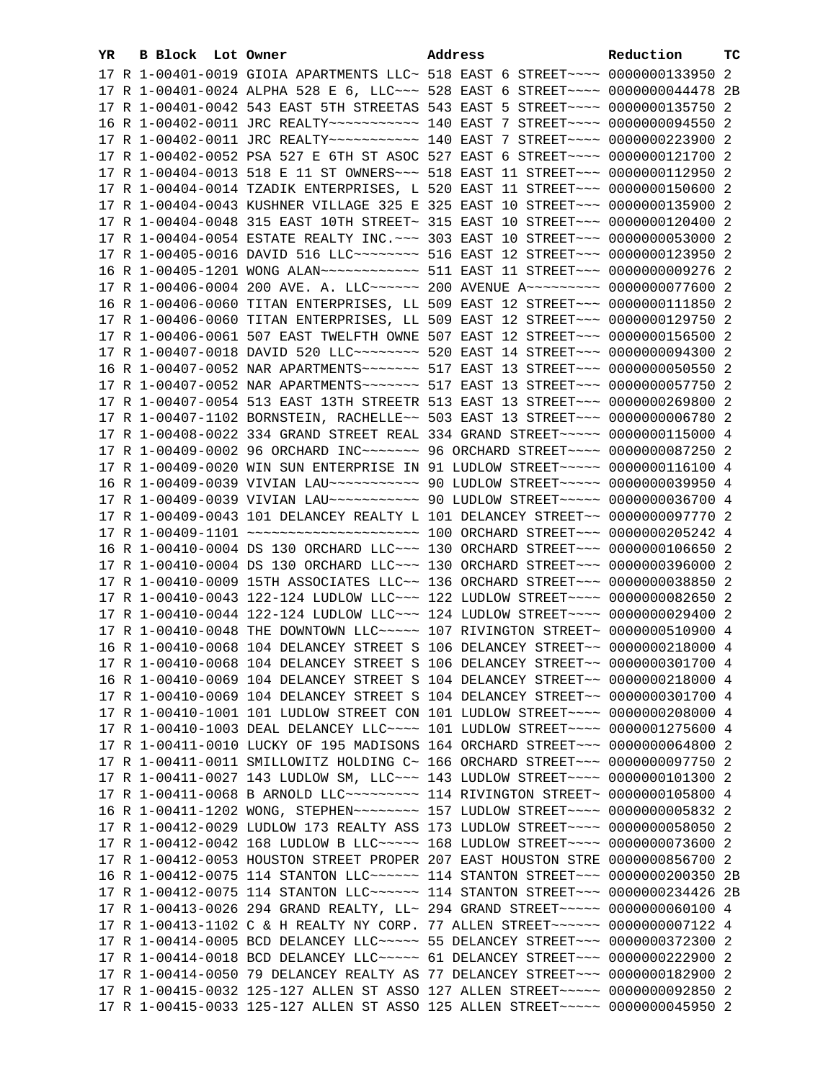| YR. | B Block Lot Owner | Address                                                                             | Reduction | тc |
|-----|-------------------|-------------------------------------------------------------------------------------|-----------|----|
|     |                   | 17 R 1-00401-0019 GIOIA APARTMENTS LLC~ 518 EAST 6 STREET~~~~ 0000000133950 2       |           |    |
|     |                   | 17 R 1-00401-0024 ALPHA 528 E 6, LLC -~~ 528 EAST 6 STREET -~~~ 0000000044478 2B    |           |    |
|     |                   | 17 R 1-00401-0042 543 EAST 5TH STREETAS 543 EAST 5 STREET~~~~ 0000000135750 2       |           |    |
|     |                   | 16 R 1-00402-0011 JRC REALTY~~~~~~~~~~~~~~~~ 140 EAST 7 STREET~~~~~ 0000000094550 2 |           |    |
|     |                   | 17 R 1-00402-0011 JRC REALTY~~~~~~~~~~~~~~~~ 140 EAST 7 STREET~~~~~ 0000000223900 2 |           |    |
|     |                   | 17 R 1-00402-0052 PSA 527 E 6TH ST ASOC 527 EAST 6 STREET~~~~ 0000000121700 2       |           |    |
|     |                   | 17 R 1-00404-0013 518 E 11 ST OWNERS~~~ 518 EAST 11 STREET~~~ 0000000112950 2       |           |    |
|     |                   | 17 R 1-00404-0014 TZADIK ENTERPRISES, L 520 EAST 11 STREET~~~ 0000000150600 2       |           |    |
|     |                   | 17 R 1-00404-0043 KUSHNER VILLAGE 325 E 325 EAST 10 STREET~~~ 0000000135900 2       |           |    |
|     |                   | 17 R 1-00404-0048 315 EAST 10TH STREET~ 315 EAST 10 STREET~~~ 0000000120400 2       |           |    |
|     |                   | 17 R 1-00404-0054 ESTATE REALTY INC. ~~~ 303 EAST 10 STREET~~~ 0000000053000 2      |           |    |
|     |                   | 17 R 1-00405-0016 DAVID 516 LLC -------- 516 EAST 12 STREET --- 0000000123950 2     |           |    |
|     |                   | 16 R 1-00405-1201 WONG ALAN ------------ 511 EAST 11 STREET --- 0000000009276 2     |           |    |
|     |                   |                                                                                     |           |    |
|     |                   | 17 R 1-00406-0004 200 AVE. A. LLC ----- 200 AVENUE A -------- 0000000077600 2       |           |    |
|     |                   | 16 R 1-00406-0060 TITAN ENTERPRISES, LL 509 EAST 12 STREET~~~ 0000000111850 2       |           |    |
|     |                   | 17 R 1-00406-0060 TITAN ENTERPRISES, LL 509 EAST 12 STREET~~~ 0000000129750 2       |           |    |
|     |                   | 17 R 1-00406-0061 507 EAST TWELFTH OWNE 507 EAST 12 STREET~~~ 0000000156500 2       |           |    |
|     |                   | 17 R 1-00407-0018 DAVID 520 LLC -------- 520 EAST 14 STREET --- 0000000094300 2     |           |    |
|     |                   |                                                                                     |           |    |
|     |                   |                                                                                     |           |    |
|     |                   | 17 R 1-00407-0054 513 EAST 13TH STREETR 513 EAST 13 STREET~~~ 0000000269800 2       |           |    |
|     |                   | 17 R 1-00407-1102 BORNSTEIN, RACHELLE~~ 503 EAST 13 STREET~~~ 0000000006780 2       |           |    |
|     |                   | 17 R 1-00408-0022 334 GRAND STREET REAL 334 GRAND STREET~~~~~ 0000000115000 4       |           |    |
|     |                   | 17 R 1-00409-0002 96 ORCHARD INC~~~~~~~~ 96 ORCHARD STREET~~~~ 0000000087250 2      |           |    |
|     |                   | 17 R 1-00409-0020 WIN SUN ENTERPRISE IN 91 LUDLOW STREET~~~~~ 0000000116100 4       |           |    |
|     |                   | 16 R 1-00409-0039 VIVIAN LAU~~~~~~~~~~~~~~~~ 90 LUDLOW STREET~~~~~~ 0000000039950 4 |           |    |
|     |                   | 17 R 1-00409-0039 VIVIAN LAU ----------- 90 LUDLOW STREET ---- 0000000036700 4      |           |    |
|     |                   | 17 R 1-00409-0043 101 DELANCEY REALTY L 101 DELANCEY STREET~~ 0000000097770 2       |           |    |
|     |                   | 16 R 1-00410-0004 DS 130 ORCHARD LLC~~~ 130 ORCHARD STREET~~~ 0000000106650 2       |           |    |
|     |                   | 17 R 1-00410-0004 DS 130 ORCHARD LLC~~~ 130 ORCHARD STREET~~~ 0000000396000 2       |           |    |
|     |                   | 17 R 1-00410-0009 15TH ASSOCIATES LLC~~ 136 ORCHARD STREET~~~ 0000000038850 2       |           |    |
|     |                   | 17 R 1-00410-0043 122-124 LUDLOW LLC~~~ 122 LUDLOW STREET~~~~ 0000000082650 2       |           |    |
|     |                   | 17 R 1-00410-0044 122-124 LUDLOW LLC ~~~ 124 LUDLOW STREET ~~~~ 0000000029400 2     |           |    |
|     |                   | 17 R 1-00410-0048 THE DOWNTOWN LLC ~~~~~ 107 RIVINGTON STREET~ 0000000510900 4      |           |    |
|     |                   | 16 R 1-00410-0068 104 DELANCEY STREET S 106 DELANCEY STREET~~ 0000000218000 4       |           |    |
|     |                   | 17 R 1-00410-0068 104 DELANCEY STREET S 106 DELANCEY STREET~~ 0000000301700 4       |           |    |
|     |                   | 16 R 1-00410-0069 104 DELANCEY STREET S 104 DELANCEY STREET~~ 0000000218000 4       |           |    |
|     |                   | 17 R 1-00410-0069 104 DELANCEY STREET S 104 DELANCEY STREET~~ 0000000301700 4       |           |    |
|     |                   | 17 R 1-00410-1001 101 LUDLOW STREET CON 101 LUDLOW STREET~~~~ 0000000208000 4       |           |    |
|     |                   | 17 R 1-00410-1003 DEAL DELANCEY LLC~~~~ 101 LUDLOW STREET~~~~ 0000001275600 4       |           |    |
|     |                   | 17 R 1-00411-0010 LUCKY OF 195 MADISONS 164 ORCHARD STREET~~~ 0000000064800 2       |           |    |
|     |                   | 17 R 1-00411-0011 SMILLOWITZ HOLDING C~ 166 ORCHARD STREET~~~ 0000000097750 2       |           |    |
|     |                   | 17 R 1-00411-0027 143 LUDLOW SM, LLC~~~ 143 LUDLOW STREET~~~~ 0000000101300 2       |           |    |
|     |                   | 17 R 1-00411-0068 B ARNOLD LLC~~~~~~~~~~~~~~ 114 RIVINGTON STREET~ 0000000105800 4  |           |    |
|     |                   | 16 R 1-00411-1202 WONG, STEPHEN~~~~~~~~~~~~~ 157 LUDLOW STREET~~~~~ 0000000005832 2 |           |    |
|     |                   | 17 R 1-00412-0029 LUDLOW 173 REALTY ASS 173 LUDLOW STREET~~~~ 0000000058050 2       |           |    |
|     |                   | 17 R 1-00412-0042 168 LUDLOW B LLC ---- 168 LUDLOW STREET --- 0000000073600 2       |           |    |
|     |                   | 17 R 1-00412-0053 HOUSTON STREET PROPER 207 EAST HOUSTON STRE 0000000856700 2       |           |    |
|     |                   | 16 R 1-00412-0075 114 STANTON LLC~~~~~~ 114 STANTON STREET~~~ 0000000200350 2B      |           |    |
|     |                   | 17 R 1-00412-0075 114 STANTON LLC~~~~~~ 114 STANTON STREET~~~ 0000000234426 2B      |           |    |
|     |                   | 17 R 1-00413-0026 294 GRAND REALTY, LL~ 294 GRAND STREET~~~~~ 0000000060100 4       |           |    |
|     |                   | 17 R 1-00413-1102 C & H REALTY NY CORP. 77 ALLEN STREET~~~~~~ 0000000007122 4       |           |    |
|     |                   | 17 R 1-00414-0005 BCD DELANCEY LLC ---- 55 DELANCEY STREET -- 0000000372300 2       |           |    |
|     |                   | 17 R 1-00414-0018 BCD DELANCEY LLC ---- 61 DELANCEY STREET -- 0000000222900 2       |           |    |
|     |                   | 17 R 1-00414-0050 79 DELANCEY REALTY AS 77 DELANCEY STREET~~~ 0000000182900 2       |           |    |
|     |                   | 17 R 1-00415-0032 125-127 ALLEN ST ASSO 127 ALLEN STREET~~~~~ 0000000092850 2       |           |    |
|     |                   | 17 R 1-00415-0033 125-127 ALLEN ST ASSO 125 ALLEN STREET~~~~~ 0000000045950 2       |           |    |
|     |                   |                                                                                     |           |    |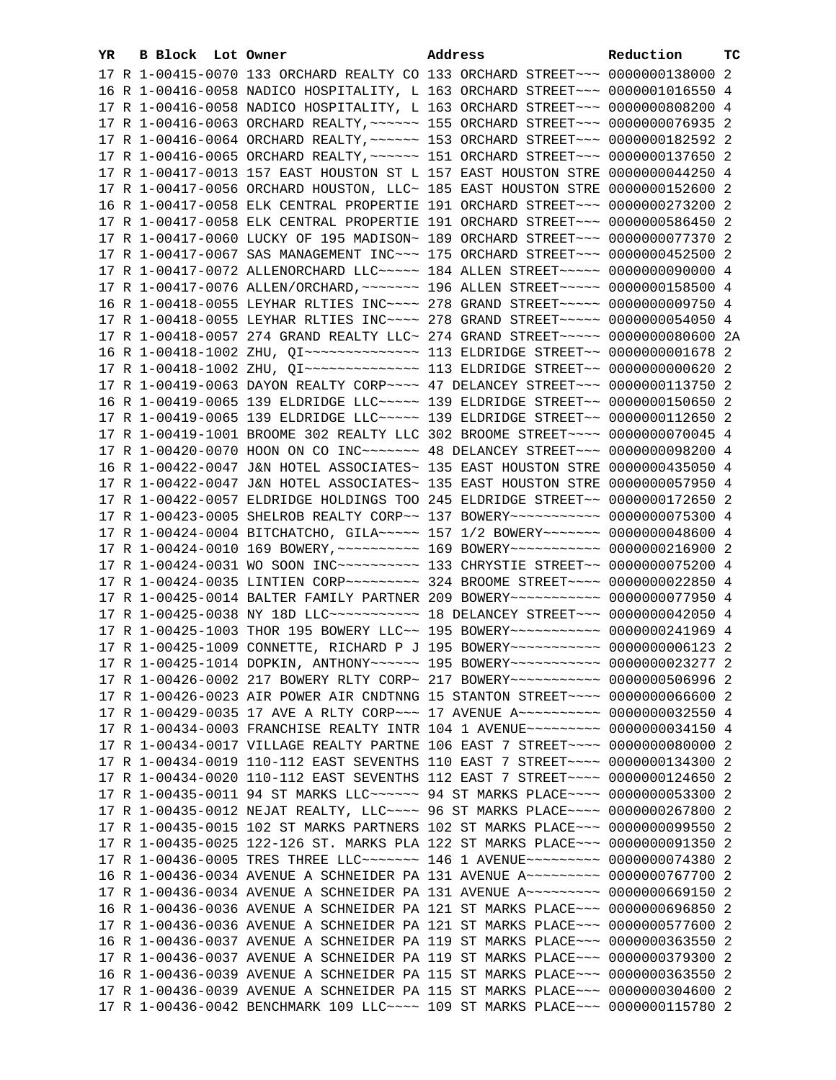| YR. | B Block Lot Owner | Address                                                                                                                                                         | Reduction | тc |
|-----|-------------------|-----------------------------------------------------------------------------------------------------------------------------------------------------------------|-----------|----|
|     |                   | 17 R 1-00415-0070 133 ORCHARD REALTY CO 133 ORCHARD STREET~~~ 0000000138000 2                                                                                   |           |    |
|     |                   | 16 R 1-00416-0058 NADICO HOSPITALITY, L 163 ORCHARD STREET~~~ 0000001016550 4                                                                                   |           |    |
|     |                   | 17 R 1-00416-0058 NADICO HOSPITALITY, L 163 ORCHARD STREET~~~ 0000000808200 4                                                                                   |           |    |
|     |                   | 17 R 1-00416-0063 ORCHARD REALTY, ~~~~~~ 155 ORCHARD STREET~~~ 0000000076935 2                                                                                  |           |    |
|     |                   | 17 R 1-00416-0064 ORCHARD REALTY, ~~~~~~ 153 ORCHARD STREET~~~ 0000000182592 2                                                                                  |           |    |
|     |                   | 17 R 1-00416-0065 ORCHARD REALTY, ~~~~~~ 151 ORCHARD STREET~~~ 0000000137650 2                                                                                  |           |    |
|     |                   | 17 R 1-00417-0013 157 EAST HOUSTON ST L 157 EAST HOUSTON STRE 0000000044250 4                                                                                   |           |    |
|     |                   | 17 R 1-00417-0056 ORCHARD HOUSTON, LLC~ 185 EAST HOUSTON STRE 0000000152600 2                                                                                   |           |    |
|     |                   | 16 R 1-00417-0058 ELK CENTRAL PROPERTIE 191 ORCHARD STREET~~~ 0000000273200 2                                                                                   |           |    |
|     |                   | 17 R 1-00417-0058 ELK CENTRAL PROPERTIE 191 ORCHARD STREET~~~ 0000000586450 2                                                                                   |           |    |
|     |                   | 17 R 1-00417-0060 LUCKY OF 195 MADISON~ 189 ORCHARD STREET~~~ 0000000077370 2                                                                                   |           |    |
|     |                   | 17 R 1-00417-0067 SAS MANAGEMENT INC~~~ 175 ORCHARD STREET~~~ 0000000452500 2                                                                                   |           |    |
|     |                   | 17 R 1-00417-0072 ALLENORCHARD LLC ---- 184 ALLEN STREET ---- 0000000090000 4                                                                                   |           |    |
|     |                   | 17 R 1-00417-0076 ALLEN/ORCHARD, ~~~~~~~ 196 ALLEN STREET~~~~~ 0000000158500 4                                                                                  |           |    |
|     |                   | 16 R 1-00418-0055 LEYHAR RLTIES INC~~~~ 278 GRAND STREET~~~~~ 0000000009750 4                                                                                   |           |    |
|     |                   |                                                                                                                                                                 |           |    |
|     |                   | 17 R 1-00418-0055 LEYHAR RLTIES INC~~~~ 278 GRAND STREET~~~~~ 0000000054050 4<br>17 R 1-00418-0057 274 GRAND REALTY LLC~ 274 GRAND STREET~~~~~ 0000000080600 2A |           |    |
|     |                   |                                                                                                                                                                 |           |    |
|     |                   |                                                                                                                                                                 |           |    |
|     |                   |                                                                                                                                                                 |           |    |
|     |                   | 17 R 1-00419-0063 DAYON REALTY CORP~~~~ 47 DELANCEY STREET~~~ 0000000113750 2                                                                                   |           |    |
|     |                   | 16 R 1-00419-0065 139 ELDRIDGE LLC ~~~~~ 139 ELDRIDGE STREET ~~ 0000000150650 2                                                                                 |           |    |
|     |                   | 17 R 1-00419-0065 139 ELDRIDGE LLC ~~~~~ 139 ELDRIDGE STREET ~~ 0000000112650 2                                                                                 |           |    |
|     |                   | 17 R 1-00419-1001 BROOME 302 REALTY LLC 302 BROOME STREET~~~~ 0000000070045 4                                                                                   |           |    |
|     |                   | 17 R 1-00420-0070 HOON ON CO INC~~~~~~~ 48 DELANCEY STREET~~~ 0000000098200 4                                                                                   |           |    |
|     |                   | 16 R 1-00422-0047 J&N HOTEL ASSOCIATES~ 135 EAST HOUSTON STRE 0000000435050 4                                                                                   |           |    |
|     |                   | 17 R 1-00422-0047 J&N HOTEL ASSOCIATES~ 135 EAST HOUSTON STRE 0000000057950 4                                                                                   |           |    |
|     |                   | 17 R 1-00422-0057 ELDRIDGE HOLDINGS TOO 245 ELDRIDGE STREET~~ 0000000172650 2                                                                                   |           |    |
|     |                   | 17 R 1-00423-0005 SHELROB REALTY CORP~~ 137 BOWERY~~~~~~~~~~~ 0000000075300 4                                                                                   |           |    |
|     |                   | 17 R 1-00424-0004 BITCHATCHO, GILA~~~~~ 157 1/2 BOWERY~~~~~~~ 0000000048600 4                                                                                   |           |    |
|     |                   | 17 R 1-00424-0010 169 BOWERY, ~~~~~~~~~~~~~~ 169 BOWERY~~~~~~~~~~~~~ 0000000216900 2                                                                            |           |    |
|     |                   |                                                                                                                                                                 |           |    |
|     |                   | 17 R 1-00424-0035 LINTIEN CORP ~~~~~~~~~~~~~~~~~~~ 324 BROOME STREET ~~~~~ 0000000022850 4                                                                      |           |    |
|     |                   | 17 R 1-00425-0014 BALTER FAMILY PARTNER 209 BOWERY~~~~~~~~~~~ 0000000077950 4                                                                                   |           |    |
|     |                   | 17 R 1-00425-0038 NY 18D LLC ----------- 18 DELANCEY STREET -- 0000000042050 4                                                                                  |           |    |
|     |                   | 17 R 1-00425-1003 THOR 195 BOWERY LLC~~ 195 BOWERY~~~~~~~~~~~ 0000000241969 4                                                                                   |           |    |
|     |                   | 17 R 1-00425-1009 CONNETTE, RICHARD P J 195 BOWERY ~~~~~~~~~~ 0000000006123 2                                                                                   |           |    |
|     |                   | 17 R 1-00425-1014 DOPKIN, ANTHONY ----- 195 BOWERY ---------- 0000000023277 2                                                                                   |           |    |
|     |                   | 17 R 1-00426-0002 217 BOWERY RLTY CORP~ 217 BOWERY~~~~~~~~~~~ 0000000506996 2                                                                                   |           |    |
|     |                   | 17 R 1-00426-0023 AIR POWER AIR CNDTNNG 15 STANTON STREET~~~~ 0000000066600 2                                                                                   |           |    |
|     |                   | 17 R 1-00429-0035 17 AVE A RLTY CORP~~~ 17 AVENUE A~~~~~~~~~~ 0000000032550 4                                                                                   |           |    |
|     |                   | 17 R 1-00434-0003 FRANCHISE REALTY INTR 104 1 AVENUE~~~~~~~~~ 0000000034150 4                                                                                   |           |    |
|     |                   | 17 R 1-00434-0017 VILLAGE REALTY PARTNE 106 EAST 7 STREET~~~~ 0000000080000 2                                                                                   |           |    |
|     |                   | 17 R 1-00434-0019 110-112 EAST SEVENTHS 110 EAST 7 STREET~~~~ 0000000134300 2                                                                                   |           |    |
|     |                   | 17 R 1-00434-0020 110-112 EAST SEVENTHS 112 EAST 7 STREET~~~~ 0000000124650 2                                                                                   |           |    |
|     |                   | 17 R 1-00435-0011 94 ST MARKS LLC ----- 94 ST MARKS PLACE --- 0000000053300 2                                                                                   |           |    |
|     |                   | 17 R 1-00435-0012 NEJAT REALTY, LLC~~~~ 96 ST MARKS PLACE~~~~ 0000000267800 2                                                                                   |           |    |
|     |                   | 17 R 1-00435-0015 102 ST MARKS PARTNERS 102 ST MARKS PLACE~~~ 0000000099550 2                                                                                   |           |    |
|     |                   | 17 R 1-00435-0025 122-126 ST. MARKS PLA 122 ST MARKS PLACE~~~ 0000000091350 2                                                                                   |           |    |
|     |                   | 17 R 1-00436-0005 TRES THREE LLC ------- 146 1 AVENUE -------- 0000000074380 2                                                                                  |           |    |
|     |                   | 16 R 1-00436-0034 AVENUE A SCHNEIDER PA 131 AVENUE A~~~~~~~~~ 0000000767700 2                                                                                   |           |    |
|     |                   | 17 R 1-00436-0034 AVENUE A SCHNEIDER PA 131 AVENUE A~~~~~~~~~ 0000000669150 2<br>16 R 1-00436-0036 AVENUE A SCHNEIDER PA 121 ST MARKS PLACE~~~ 0000000696850 2  |           |    |
|     |                   | 17 R 1-00436-0036 AVENUE A SCHNEIDER PA 121 ST MARKS PLACE~~~ 0000000577600 2                                                                                   |           |    |
|     |                   | 16 R 1-00436-0037 AVENUE A SCHNEIDER PA 119 ST MARKS PLACE~~~ 0000000363550 2                                                                                   |           |    |
|     |                   | 17 R 1-00436-0037 AVENUE A SCHNEIDER PA 119 ST MARKS PLACE~~~ 0000000379300 2                                                                                   |           |    |
|     |                   | 16 R 1-00436-0039 AVENUE A SCHNEIDER PA 115 ST MARKS PLACE~~~ 0000000363550 2                                                                                   |           |    |
|     |                   | 17 R 1-00436-0039 AVENUE A SCHNEIDER PA 115 ST MARKS PLACE~~~ 0000000304600 2                                                                                   |           |    |
|     |                   | 17 R 1-00436-0042 BENCHMARK 109 LLC~~~~ 109 ST MARKS PLACE~~~ 0000000115780 2                                                                                   |           |    |
|     |                   |                                                                                                                                                                 |           |    |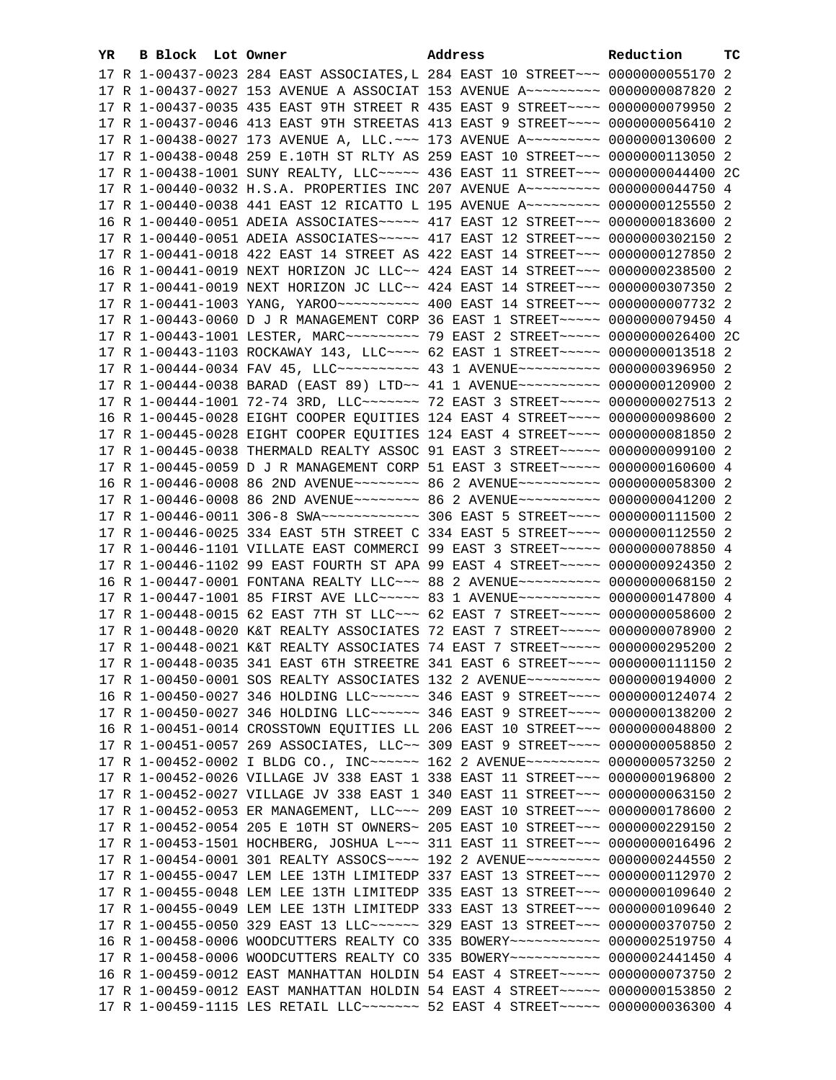| YR. | B Block Lot Owner |  | Address                                                                          | Reduction | тc |
|-----|-------------------|--|----------------------------------------------------------------------------------|-----------|----|
|     |                   |  | 17 R 1-00437-0023 284 EAST ASSOCIATES, L 284 EAST 10 STREET~~~ 0000000055170 2   |           |    |
|     |                   |  | 17 R 1-00437-0027 153 AVENUE A ASSOCIAT 153 AVENUE A~~~~~~~~~ 0000000087820 2    |           |    |
|     |                   |  | 17 R 1-00437-0035 435 EAST 9TH STREET R 435 EAST 9 STREET~~~~ 0000000079950 2    |           |    |
|     |                   |  | 17 R 1-00437-0046 413 EAST 9TH STREETAS 413 EAST 9 STREET~~~~ 0000000056410 2    |           |    |
|     |                   |  | 17 R 1-00438-0027 173 AVENUE A, LLC. ~~~ 173 AVENUE A~~~~~~~~~ 0000000130600 2   |           |    |
|     |                   |  | 17 R 1-00438-0048 259 E.10TH ST RLTY AS 259 EAST 10 STREET~~~ 0000000113050 2    |           |    |
|     |                   |  | 17 R 1-00438-1001 SUNY REALTY, LLC ----- 436 EAST 11 STREET --- 0000000044400 2C |           |    |
|     |                   |  | 17 R 1-00440-0032 H.S.A. PROPERTIES INC 207 AVENUE A~~~~~~~~~ 0000000044750 4    |           |    |
|     |                   |  | 17 R 1-00440-0038 441 EAST 12 RICATTO L 195 AVENUE A~~~~~~~~~ 0000000125550 2    |           |    |
|     |                   |  | 16 R 1-00440-0051 ADEIA ASSOCIATES~~~~~ 417 EAST 12 STREET~~~ 0000000183600 2    |           |    |
|     |                   |  | 17 R 1-00440-0051 ADEIA ASSOCIATES~~~~~ 417 EAST 12 STREET~~~ 0000000302150 2    |           |    |
|     |                   |  | 17 R 1-00441-0018 422 EAST 14 STREET AS 422 EAST 14 STREET~~~ 0000000127850 2    |           |    |
|     |                   |  |                                                                                  |           |    |
|     |                   |  | 16 R 1-00441-0019 NEXT HORIZON JC LLC~~ 424 EAST 14 STREET~~~ 0000000238500 2    |           |    |
|     |                   |  | 17 R 1-00441-0019 NEXT HORIZON JC LLC~~ 424 EAST 14 STREET~~~ 0000000307350 2    |           |    |
|     |                   |  |                                                                                  |           |    |
|     |                   |  | 17 R 1-00443-0060 D J R MANAGEMENT CORP 36 EAST 1 STREET~~~~~ 0000000079450 4    |           |    |
|     |                   |  | 17 R 1-00443-1001 LESTER, MARC --------- 79 EAST 2 STREET ----- 0000000026400 2C |           |    |
|     |                   |  | 17 R 1-00443-1103 ROCKAWAY 143, LLC --- 62 EAST 1 STREET ---- 0000000013518 2    |           |    |
|     |                   |  | 17 R 1-00444-0034 FAV 45, LLC --------- 43 1 AVENUE ---------- 0000000396950 2   |           |    |
|     |                   |  | 17 R 1-00444-0038 BARAD (EAST 89) LTD~~ 41 1 AVENUE~~~~~~~~~~~ 0000000120900 2   |           |    |
|     |                   |  | 17 R 1-00444-1001 72-74 3RD, LLC ------- 72 EAST 3 STREET ---- 0000000027513 2   |           |    |
|     |                   |  | 16 R 1-00445-0028 EIGHT COOPER EQUITIES 124 EAST 4 STREET~~~~ 0000000098600 2    |           |    |
|     |                   |  | 17 R 1-00445-0028 EIGHT COOPER EQUITIES 124 EAST 4 STREET~~~~ 0000000081850 2    |           |    |
|     |                   |  | 17 R 1-00445-0038 THERMALD REALTY ASSOC 91 EAST 3 STREET~~~~~ 0000000099100 2    |           |    |
|     |                   |  | 17 R 1-00445-0059 D J R MANAGEMENT CORP 51 EAST 3 STREET~~~~~ 0000000160600 4    |           |    |
|     |                   |  | 16 R 1-00446-0008 86 2ND AVENUE~~~~~~~~~ 86 2 AVENUE~~~~~~~~~~ 0000000058300 2   |           |    |
|     |                   |  | 17 R 1-00446-0008 86 2ND AVENUE~~~~~~~~ 86 2 AVENUE~~~~~~~~~~ 0000000041200 2    |           |    |
|     |                   |  | 17 R 1-00446-0011 306-8 SWA ------------ 306 EAST 5 STREET ---- 0000000111500 2  |           |    |
|     |                   |  | 17 R 1-00446-0025 334 EAST 5TH STREET C 334 EAST 5 STREET~~~~ 0000000112550 2    |           |    |
|     |                   |  | 17 R 1-00446-1101 VILLATE EAST COMMERCI 99 EAST 3 STREET~~~~~ 0000000078850 4    |           |    |
|     |                   |  | 17 R 1-00446-1102 99 EAST FOURTH ST APA 99 EAST 4 STREET~~~~~ 0000000924350 2    |           |    |
|     |                   |  | 16 R 1-00447-0001 FONTANA REALTY LLC~~~ 88 2 AVENUE~~~~~~~~~~ 0000000068150 2    |           |    |
|     |                   |  | 17 R 1-00447-1001 85 FIRST AVE LLC ---- 83 1 AVENUE ---------- 0000000147800 4   |           |    |
|     |                   |  | 17 R 1-00448-0015 62 EAST 7TH ST LLC -- 62 EAST 7 STREET ---- 0000000058600 2    |           |    |
|     |                   |  | 17 R 1-00448-0020 K&T REALTY ASSOCIATES 72 EAST 7 STREET~~~~~ 0000000078900 2    |           |    |
|     |                   |  | 17 R 1-00448-0021 K&T REALTY ASSOCIATES 74 EAST 7 STREET~~~~~ 0000000295200 2    |           |    |
|     |                   |  | 17 R 1-00448-0035 341 EAST 6TH STREETRE 341 EAST 6 STREET~~~~ 0000000111150 2    |           |    |
|     |                   |  | 17 R 1-00450-0001 SOS REALTY ASSOCIATES 132 2 AVENUE~~~~~~~~~ 0000000194000 2    |           |    |
|     |                   |  | 16 R 1-00450-0027 346 HOLDING LLC ----- 346 EAST 9 STREET --- 0000000124074 2    |           |    |
|     |                   |  | 17 R 1-00450-0027 346 HOLDING LLC ----- 346 EAST 9 STREET --- 0000000138200 2    |           |    |
|     |                   |  | 16 R 1-00451-0014 CROSSTOWN EQUITIES LL 206 EAST 10 STREET~~~ 0000000048800 2    |           |    |
|     |                   |  | 17 R 1-00451-0057 269 ASSOCIATES, LLC~~ 309 EAST 9 STREET~~~~ 0000000058850 2    |           |    |
|     |                   |  | 17 R 1-00452-0002 I BLDG CO., INC~~~~~~ 162 2 AVENUE~~~~~~~~~ 0000000573250 2    |           |    |
|     |                   |  | 17 R 1-00452-0026 VILLAGE JV 338 EAST 1 338 EAST 11 STREET~~~ 0000000196800 2    |           |    |
|     |                   |  | 17 R 1-00452-0027 VILLAGE JV 338 EAST 1 340 EAST 11 STREET~~~ 0000000063150 2    |           |    |
|     |                   |  | 17 R 1-00452-0053 ER MANAGEMENT, LLC -~~ 209 EAST 10 STREET -~~ 0000000178600 2  |           |    |
|     |                   |  | 17 R 1-00452-0054 205 E 10TH ST OWNERS~ 205 EAST 10 STREET~~~ 0000000229150 2    |           |    |
|     |                   |  | 17 R 1-00453-1501 HOCHBERG, JOSHUA L~~~ 311 EAST 11 STREET~~~ 0000000016496 2    |           |    |
|     |                   |  | 17 R 1-00454-0001 301 REALTY ASSOCS --- 192 2 AVENUE -------- 0000000244550 2    |           |    |
|     |                   |  | 17 R 1-00455-0047 LEM LEE 13TH LIMITEDP 337 EAST 13 STREET~~~ 0000000112970 2    |           |    |
|     |                   |  | 17 R 1-00455-0048 LEM LEE 13TH LIMITEDP 335 EAST 13 STREET~~~ 0000000109640 2    |           |    |
|     |                   |  | 17 R 1-00455-0049 LEM LEE 13TH LIMITEDP 333 EAST 13 STREET~~~ 0000000109640 2    |           |    |
|     |                   |  | 17 R 1-00455-0050 329 EAST 13 LLC ----- 329 EAST 13 STREET -- 0000000370750 2    |           |    |
|     |                   |  | 16 R 1-00458-0006 WOODCUTTERS REALTY CO 335 BOWERY~~~~~~~~~~~ 0000002519750 4    |           |    |
|     |                   |  | 17 R 1-00458-0006 WOODCUTTERS REALTY CO 335 BOWERY~~~~~~~~~~~ 0000002441450 4    |           |    |
|     |                   |  | 16 R 1-00459-0012 EAST MANHATTAN HOLDIN 54 EAST 4 STREET~~~~~ 0000000073750 2    |           |    |
|     |                   |  | 17 R 1-00459-0012 EAST MANHATTAN HOLDIN 54 EAST 4 STREET~~~~~ 0000000153850 2    |           |    |
|     |                   |  | 17 R 1-00459-1115 LES RETAIL LLC ------ 52 EAST 4 STREET ---- 0000000036300 4    |           |    |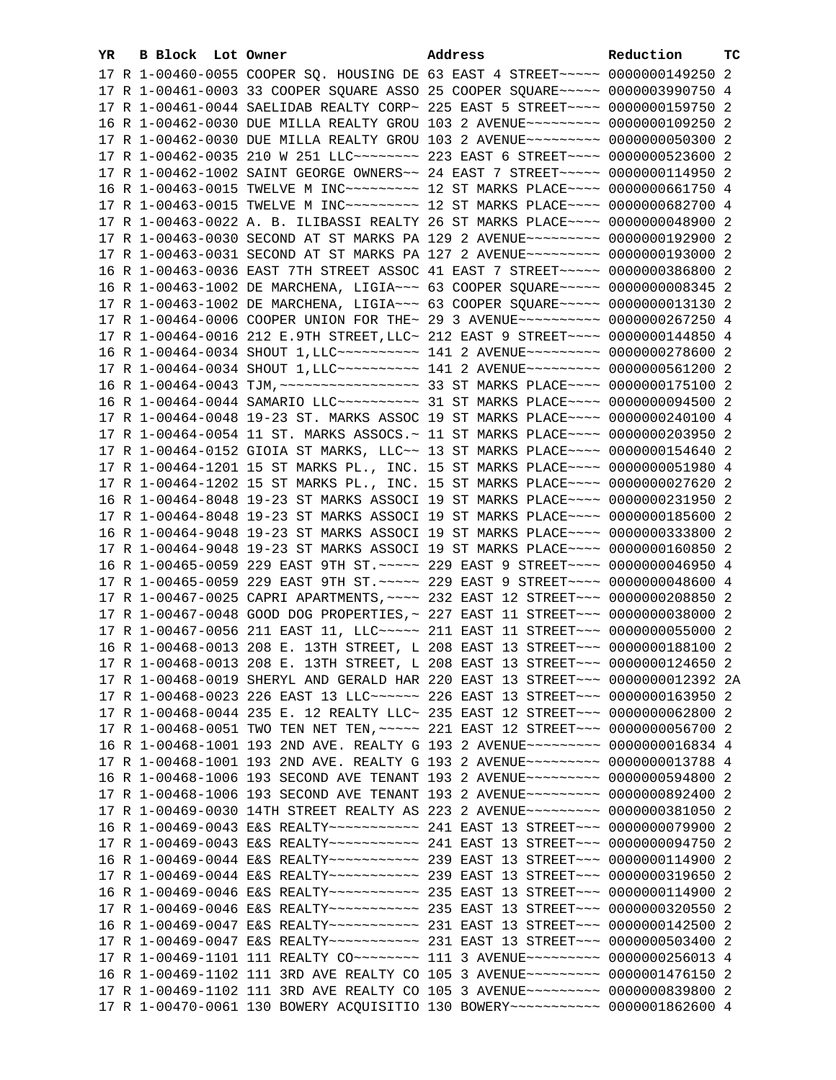| YR. | B Block Lot Owner | Address                                                                                 | Reduction | тc |
|-----|-------------------|-----------------------------------------------------------------------------------------|-----------|----|
|     |                   | 17 R 1-00460-0055 COOPER SQ. HOUSING DE 63 EAST 4 STREET~~~~~ 0000000149250 2           |           |    |
|     |                   | 17 R 1-00461-0003 33 COOPER SQUARE ASSO 25 COOPER SQUARE~~~~~ 0000003990750 4           |           |    |
|     |                   | 17 R 1-00461-0044 SAELIDAB REALTY CORP~ 225 EAST 5 STREET~~~~ 0000000159750 2           |           |    |
|     |                   | 16 R 1-00462-0030 DUE MILLA REALTY GROU 103 2 AVENUE~~~~~~~~~ 0000000109250 2           |           |    |
|     |                   | 17 R 1-00462-0030 DUE MILLA REALTY GROU 103 2 AVENUE~~~~~~~~~ 0000000050300 2           |           |    |
|     |                   | 17 R 1-00462-0035 210 W 251 LLC ------- 223 EAST 6 STREET ---- 0000000523600 2          |           |    |
|     |                   | 17 R 1-00462-1002 SAINT GEORGE OWNERS~~ 24 EAST 7 STREET~~~~~ 0000000114950 2           |           |    |
|     |                   | 16 R 1-00463-0015 TWELVE M INC~~~~~~~~~~~~~~ 12 ST MARKS PLACE~~~~~ 0000000661750 4     |           |    |
|     |                   | 17 R 1-00463-0015 TWELVE M INC~~~~~~~~~~~~~~ 12 ST MARKS PLACE~~~~~ 0000000682700 4     |           |    |
|     |                   | 17 R 1-00463-0022 A. B. ILIBASSI REALTY 26 ST MARKS PLACE~~~~ 0000000048900 2           |           |    |
|     |                   | 17 R 1-00463-0030 SECOND AT ST MARKS PA 129 2 AVENUE~~~~~~~~~ 0000000192900 2           |           |    |
|     |                   | 17 R 1-00463-0031 SECOND AT ST MARKS PA 127 2 AVENUE~~~~~~~~~ 0000000193000 2           |           |    |
|     |                   |                                                                                         |           |    |
|     |                   | 16 R 1-00463-0036 EAST 7TH STREET ASSOC 41 EAST 7 STREET~~~~~ 0000000386800 2           |           |    |
|     |                   | 16 R 1-00463-1002 DE MARCHENA, LIGIA~~~ 63 COOPER SQUARE~~~~~ 0000000008345 2           |           |    |
|     |                   | 17 R 1-00463-1002 DE MARCHENA, LIGIA~~~ 63 COOPER SQUARE~~~~~ 0000000013130 2           |           |    |
|     |                   | 17 R 1-00464-0006 COOPER UNION FOR THE~ 29 3 AVENUE~~~~~~~~~~ 0000000267250 4           |           |    |
|     |                   | 17 R 1-00464-0016 212 E.9TH STREET, LLC~ 212 EAST 9 STREET~~~~ 0000000144850 4          |           |    |
|     |                   | 16 R 1-00464-0034 SHOUT 1, LLC ---------- 141 2 AVENUE--------- 0000000278600 2         |           |    |
|     |                   | 17 R 1-00464-0034 SHOUT 1, LLC ---------- 141 2 AVENUE--------- 0000000561200 2         |           |    |
|     |                   |                                                                                         |           |    |
|     |                   | 16 R 1-00464-0044 SAMARIO LLC ---------- 31 ST MARKS PLACE ---- 0000000094500 2         |           |    |
|     |                   | 17 R 1-00464-0048 19-23 ST. MARKS ASSOC 19 ST MARKS PLACE~~~~ 0000000240100 4           |           |    |
|     |                   | 17 R 1-00464-0054 11 ST. MARKS ASSOCS.~ 11 ST MARKS PLACE~~~~ 0000000203950 2           |           |    |
|     |                   | 17 R 1-00464-0152 GIOIA ST MARKS, LLC~~ 13 ST MARKS PLACE~~~~ 0000000154640 2           |           |    |
|     |                   | 17 R 1-00464-1201 15 ST MARKS PL., INC. 15 ST MARKS PLACE~~~~ 0000000051980 4           |           |    |
|     |                   | 17 R 1-00464-1202 15 ST MARKS PL., INC. 15 ST MARKS PLACE~~~~ 0000000027620 2           |           |    |
|     |                   | 16 R 1-00464-8048 19-23 ST MARKS ASSOCI 19 ST MARKS PLACE~~~~ 0000000231950 2           |           |    |
|     |                   | 17 R 1-00464-8048 19-23 ST MARKS ASSOCI 19 ST MARKS PLACE~~~~ 0000000185600 2           |           |    |
|     |                   | 16 R 1-00464-9048 19-23 ST MARKS ASSOCI 19 ST MARKS PLACE~~~~ 0000000333800 2           |           |    |
|     |                   | 17 R 1-00464-9048 19-23 ST MARKS ASSOCI 19 ST MARKS PLACE~~~~ 0000000160850 2           |           |    |
|     |                   | 16 R 1-00465-0059 229 EAST 9TH ST. ~~~~~ 229 EAST 9 STREET~~~~ 0000000046950 4          |           |    |
|     |                   | 17 R 1-00465-0059 229 EAST 9TH ST. ~~~~~ 229 EAST 9 STREET~~~~ 0000000048600 4          |           |    |
|     |                   | 17 R 1-00467-0025 CAPRI APARTMENTS, ~~~~ 232 EAST 12 STREET~~~ 0000000208850 2          |           |    |
|     |                   | 17 R 1-00467-0048 GOOD DOG PROPERTIES, ~ 227 EAST 11 STREET~~~ 0000000038000 2          |           |    |
|     |                   | 17 R 1-00467-0056 211 EAST 11, LLC ---- 211 EAST 11 STREET -- 0000000055000 2           |           |    |
|     |                   | 16 R 1-00468-0013 208 E. 13TH STREET, L 208 EAST 13 STREET~~~ 0000000188100 2           |           |    |
|     |                   | 17 R 1-00468-0013 208 E. 13TH STREET, L 208 EAST 13 STREET~~~ 0000000124650 2           |           |    |
|     |                   | 17 R 1-00468-0019 SHERYL AND GERALD HAR 220 EAST 13 STREET~~~ 0000000012392 2A          |           |    |
|     |                   | 17 R 1-00468-0023 226 EAST 13 LLC ----- 226 EAST 13 STREET -- 0000000163950 2           |           |    |
|     |                   | 17 R 1-00468-0044 235 E. 12 REALTY LLC~ 235 EAST 12 STREET~~~ 0000000062800 2           |           |    |
|     |                   | 17 R 1-00468-0051 TWO TEN NET TEN, ~~~~~ 221 EAST 12 STREET~~~ 0000000056700 2          |           |    |
|     |                   | 16 R 1-00468-1001 193 2ND AVE. REALTY G 193 2 AVENUE~~~~~~~~~ 0000000016834 4           |           |    |
|     |                   | 17 R 1-00468-1001 193 2ND AVE. REALTY G 193 2 AVENUE~~~~~~~~~ 0000000013788 4           |           |    |
|     |                   | 16 R 1-00468-1006 193 SECOND AVE TENANT 193 2 AVENUE~~~~~~~~~ 0000000594800 2           |           |    |
|     |                   | 17 R 1-00468-1006 193 SECOND AVE TENANT 193 2 AVENUE~~~~~~~~~ 0000000892400 2           |           |    |
|     |                   | 17 R 1-00469-0030 14TH STREET REALTY AS 223 2 AVENUE~~~~~~~~~ 0000000381050 2           |           |    |
|     |                   | 16 R 1-00469-0043 E&S REALTY~~~~~~~~~~~~~~~~ 241 EAST 13 STREET~~~ 00000000079900 2     |           |    |
|     |                   |                                                                                         |           |    |
|     |                   | 16 R 1-00469-0044 E&S REALTY~~~~~~~~~~~~~~~~~ 239 EAST 13 STREET~~~~ 00000000114900 2   |           |    |
|     |                   | 17 R 1-00469-0044 E&S REALTY~~~~~~~~~~~~~~~~ 239 EAST 13 STREET~~~~ 0000000319650 2     |           |    |
|     |                   | 16 R 1-00469-0046 E&S REALTY~~~~~~~~~~~~~~~~ 235 EAST 13 STREET~~~~ 00000000114900 2    |           |    |
|     |                   | 17 R 1-00469-0046 E&S REALTY~~~~~~~~~~~~~~~~ 235 EAST 13 STREET~~~~ 0000000320550 2     |           |    |
|     |                   | 16 R 1-00469-0047 E&S REALTY~~~~~~~~~~~~~~~~~ 231 EAST 13 STREET~~~~ 0000000142500 2    |           |    |
|     |                   | 17 R 1-00469-0047 E&S REALTY~~~~~~~~~~~~~~~~~ 231 EAST 13 STREET~~~~ 0000000503400 2    |           |    |
|     |                   | 17 R 1-00469-1101 111 REALTY CO~~~~~~~~~~~~~ 111 3 AVENUE~~~~~~~~~~~~~~ 0000000256013 4 |           |    |
|     |                   | 16 R 1-00469-1102 111 3RD AVE REALTY CO 105 3 AVENUE~~~~~~~~~ 0000001476150 2           |           |    |
|     |                   | 17 R 1-00469-1102 111 3RD AVE REALTY CO 105 3 AVENUE~~~~~~~~~ 0000000839800 2           |           |    |
|     |                   | 17 R 1-00470-0061 130 BOWERY ACQUISITIO 130 BOWERY~~~~~~~~~~~ 0000001862600 4           |           |    |
|     |                   |                                                                                         |           |    |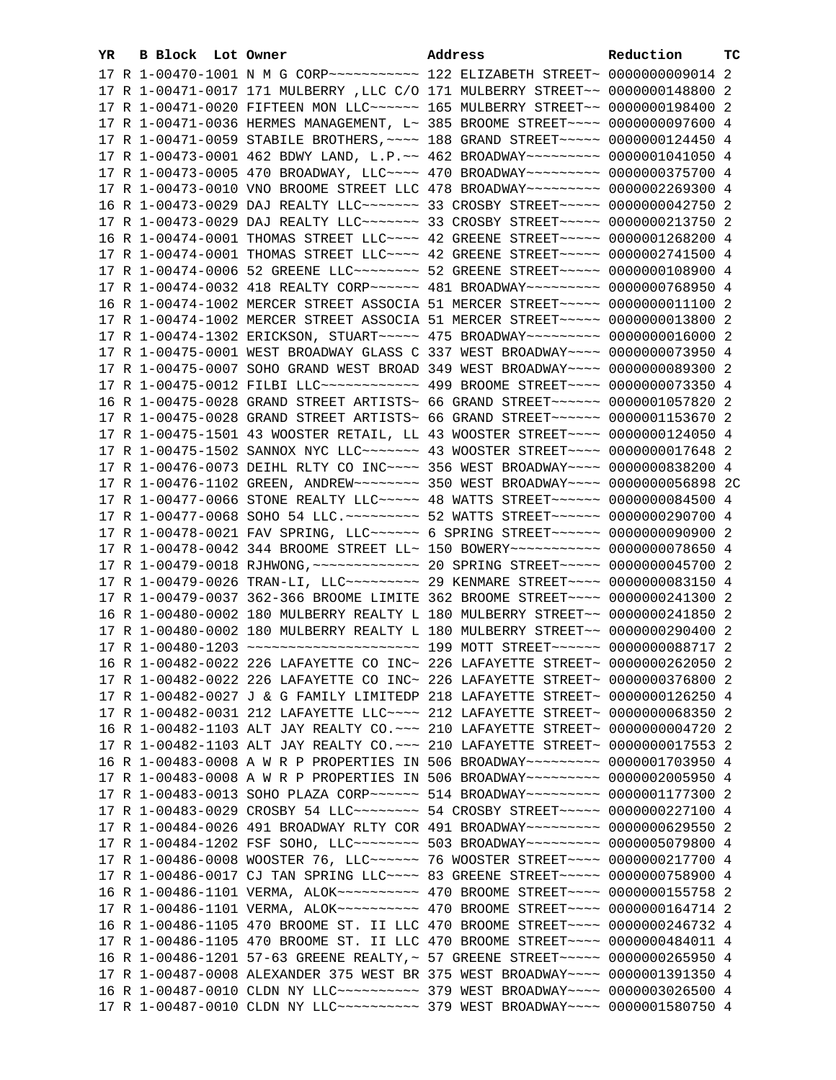| YR. | B Block Lot Owner |                                                                                                                                                                             | Address | Reduction | тc |
|-----|-------------------|-----------------------------------------------------------------------------------------------------------------------------------------------------------------------------|---------|-----------|----|
|     |                   |                                                                                                                                                                             |         |           |    |
|     |                   | 17 R 1-00471-0017 171 MULBERRY , LLC C/O 171 MULBERRY STREET~~ 0000000148800 2                                                                                              |         |           |    |
|     |                   | 17 R 1-00471-0020 FIFTEEN MON LLC ----- 165 MULBERRY STREET -- 0000000198400 2                                                                                              |         |           |    |
|     |                   | 17 R 1-00471-0036 HERMES MANAGEMENT, L~ 385 BROOME STREET~~~~ 0000000097600 4                                                                                               |         |           |    |
|     |                   | 17 R 1-00471-0059 STABILE BROTHERS, ~~~~ 188 GRAND STREET~~~~~ 0000000124450 4                                                                                              |         |           |    |
|     |                   | 17 R 1-00473-0001 462 BDWY LAND, L.P.~~ 462 BROADWAY~~~~~~~~~ 0000001041050 4                                                                                               |         |           |    |
|     |                   | 17 R 1-00473-0005 470 BROADWAY, LLC --- 470 BROADWAY -------- 0000000375700 4                                                                                               |         |           |    |
|     |                   | 17 R 1-00473-0010 VNO BROOME STREET LLC 478 BROADWAY~~~~~~~~~ 0000002269300 4                                                                                               |         |           |    |
|     |                   | 16 R 1-00473-0029 DAJ REALTY LLC ------ 33 CROSBY STREET ---- 0000000042750 2                                                                                               |         |           |    |
|     |                   | 17 R 1-00473-0029 DAJ REALTY LLC ------ 33 CROSBY STREET ---- 0000000213750 2                                                                                               |         |           |    |
|     |                   | 16 R 1-00474-0001 THOMAS STREET LLC~~~~ 42 GREENE STREET~~~~~ 0000001268200 4                                                                                               |         |           |    |
|     |                   | 17 R 1-00474-0001 THOMAS STREET LLC --- 42 GREENE STREET ---- 0000002741500 4                                                                                               |         |           |    |
|     |                   | 17 R 1-00474-0006 52 GREENE LLC -------- 52 GREENE STREET ----- 0000000108900 4                                                                                             |         |           |    |
|     |                   | 17 R 1-00474-0032 418 REALTY CORP~~~~~~ 481 BROADWAY~~~~~~~~~ 0000000768950 4                                                                                               |         |           |    |
|     |                   |                                                                                                                                                                             |         |           |    |
|     |                   | 16 R 1-00474-1002 MERCER STREET ASSOCIA 51 MERCER STREET~~~~~ 0000000011100 2                                                                                               |         |           |    |
|     |                   | 17 R 1-00474-1002 MERCER STREET ASSOCIA 51 MERCER STREET~~~~~ 0000000013800 2                                                                                               |         |           |    |
|     |                   | 17 R 1-00474-1302 ERICKSON, STUART ~~~~~ 475 BROADWAY ~~~~~~~~~ 0000000016000 2                                                                                             |         |           |    |
|     |                   | 17 R 1-00475-0001 WEST BROADWAY GLASS C 337 WEST BROADWAY~~~~ 0000000073950 4                                                                                               |         |           |    |
|     |                   | 17 R 1-00475-0007 SOHO GRAND WEST BROAD 349 WEST BROADWAY~~~~ 0000000089300 2                                                                                               |         |           |    |
|     |                   | 17 R 1-00475-0012 FILBI LLC ------------ 499 BROOME STREET ---- 0000000073350 4                                                                                             |         |           |    |
|     |                   | 16 R 1-00475-0028 GRAND STREET ARTISTS~ 66 GRAND STREET~~~~~~~ 0000001057820 2                                                                                              |         |           |    |
|     |                   | 17 R 1-00475-0028 GRAND STREET ARTISTS~ 66 GRAND STREET~~~~~~ 0000001153670 2                                                                                               |         |           |    |
|     |                   | 17 R 1-00475-1501 43 WOOSTER RETAIL, LL 43 WOOSTER STREET~~~~ 0000000124050 4                                                                                               |         |           |    |
|     |                   | 17 R 1-00475-1502 SANNOX NYC LLC ------ 43 WOOSTER STREET ---- 0000000017648 2                                                                                              |         |           |    |
|     |                   | 17 R 1-00476-0073 DEIHL RLTY CO INC~~~~ 356 WEST BROADWAY~~~~ 0000000838200 4                                                                                               |         |           |    |
|     |                   | 17 R 1-00476-1102 GREEN, ANDREW~~~~~~~~~ 350 WEST BROADWAY~~~~ 0000000056898 2C                                                                                             |         |           |    |
|     |                   | 17 R 1-00477-0066 STONE REALTY LLC ---- 48 WATTS STREET ----- 0000000084500 4                                                                                               |         |           |    |
|     |                   | 17 R 1-00477-0068 SOHO 54 LLC. ~~~~~~~~~ 52 WATTS STREET~~~~~~ 0000000290700 4                                                                                              |         |           |    |
|     |                   | 17 R 1-00478-0021 FAV SPRING, LLC ----- 6 SPRING STREET ----- 0000000090900 2                                                                                               |         |           |    |
|     |                   | 17 R 1-00478-0042 344 BROOME STREET LL~ 150 BOWERY~~~~~~~~~~~ 0000000078650 4                                                                                               |         |           |    |
|     |                   | 17 R 1-00479-0018 RJHWONG, ~~~~~~~~~~~~~~~~~~~~~~~~ 00000000045700 2                                                                                                        |         |           |    |
|     |                   | 17 R 1-00479-0026 TRAN-LI, LLC -------- 29 KENMARE STREET ---- 0000000083150 4                                                                                              |         |           |    |
|     |                   | 17 R 1-00479-0037 362-366 BROOME LIMITE 362 BROOME STREET~~~~ 0000000241300 2                                                                                               |         |           |    |
|     |                   | 16 R 1-00480-0002 180 MULBERRY REALTY L 180 MULBERRY STREET~~ 0000000241850 2                                                                                               |         |           |    |
|     |                   | 17 R 1-00480-0002 180 MULBERRY REALTY L 180 MULBERRY STREET~~ 0000000290400 2<br>17 R 1-00480-1203 ~~~~~~~~~~~~~~~~~~~~~~~~~ 199 MOTT STREET~~~~~~~ 0000000088717 2         |         |           |    |
|     |                   |                                                                                                                                                                             |         |           |    |
|     |                   | 16 R 1-00482-0022 226 LAFAYETTE CO INC~ 226 LAFAYETTE STREET~ 0000000262050 2                                                                                               |         |           |    |
|     |                   | 17 R 1-00482-0022 226 LAFAYETTE CO INC~ 226 LAFAYETTE STREET~ 0000000376800 2                                                                                               |         |           |    |
|     |                   | 17 R 1-00482-0027 J & G FAMILY LIMITEDP 218 LAFAYETTE STREET~ 0000000126250 4                                                                                               |         |           |    |
|     |                   | 17 R 1-00482-0031 212 LAFAYETTE LLC~~~~ 212 LAFAYETTE STREET~ 0000000068350 2                                                                                               |         |           |    |
|     |                   | 16 R 1-00482-1103 ALT JAY REALTY CO. ~~~ 210 LAFAYETTE STREET~ 0000000004720 2                                                                                              |         |           |    |
|     |                   | 17 R 1-00482-1103 ALT JAY REALTY CO. ~~~ 210 LAFAYETTE STREET~ 0000000017553 2                                                                                              |         |           |    |
|     |                   | 16 R 1-00483-0008 A W R P PROPERTIES IN 506 BROADWAY~~~~~~~~~ 0000001703950 4                                                                                               |         |           |    |
|     |                   | 17 R 1-00483-0008 A W R P PROPERTIES IN 506 BROADWAY~~~~~~~~~ 0000002005950 4                                                                                               |         |           |    |
|     |                   | 17 R 1-00483-0013 SOHO PLAZA CORP~~~~~~ 514 BROADWAY~~~~~~~~~ 0000001177300 2<br>17 R 1-00483-0029 CROSBY 54 LLC -------- 54 CROSBY STREET ---- 0000000227100 4             |         |           |    |
|     |                   | 17 R 1-00484-0026 491 BROADWAY RLTY COR 491 BROADWAY~~~~~~~~~ 0000000629550 2                                                                                               |         |           |    |
|     |                   | 17 R 1-00484-1202 FSF SOHO, LLC -------- 503 BROADWAY -------- 0000005079800 4                                                                                              |         |           |    |
|     |                   | 17 R 1-00486-0008 WOOSTER 76, LLC ----- 76 WOOSTER STREET --- 0000000217700 4                                                                                               |         |           |    |
|     |                   | 17 R 1-00486-0017 CJ TAN SPRING LLC~~~~ 83 GREENE STREET~~~~~ 0000000758900 4                                                                                               |         |           |    |
|     |                   | 16 R 1-00486-1101 VERMA, ALOK~~~~~~~~~~~~~~~~~~~~~ 470 BROOME STREET~~~~~~ 0000000155758 2                                                                                  |         |           |    |
|     |                   |                                                                                                                                                                             |         |           |    |
|     |                   | 17 R 1-00486-1101 VERMA, ALOK~~~~~~~~~~~~~~~~~~~~~ 470 BROOME STREET~~~~~~ 0000000164714 2<br>16 R 1-00486-1105 470 BROOME ST. II LLC 470 BROOME STREET~~~~ 0000000246732 4 |         |           |    |
|     |                   | 17 R 1-00486-1105 470 BROOME ST. II LLC 470 BROOME STREET~~~~ 0000000484011 4                                                                                               |         |           |    |
|     |                   | 16 R 1-00486-1201 57-63 GREENE REALTY, ~ 57 GREENE STREET~~~~~ 0000000265950 4                                                                                              |         |           |    |
|     |                   | 17 R 1-00487-0008 ALEXANDER 375 WEST BR 375 WEST BROADWAY~~~~ 0000001391350 4                                                                                               |         |           |    |
|     |                   | 16 R 1-00487-0010 CLDN NY LLC~~~~~~~~~~~~~~~~ 379 WEST BROADWAY~~~~ 0000003026500 4                                                                                         |         |           |    |
|     |                   | 17 R 1-00487-0010 CLDN NY LLC ---------- 379 WEST BROADWAY --- 0000001580750 4                                                                                              |         |           |    |
|     |                   |                                                                                                                                                                             |         |           |    |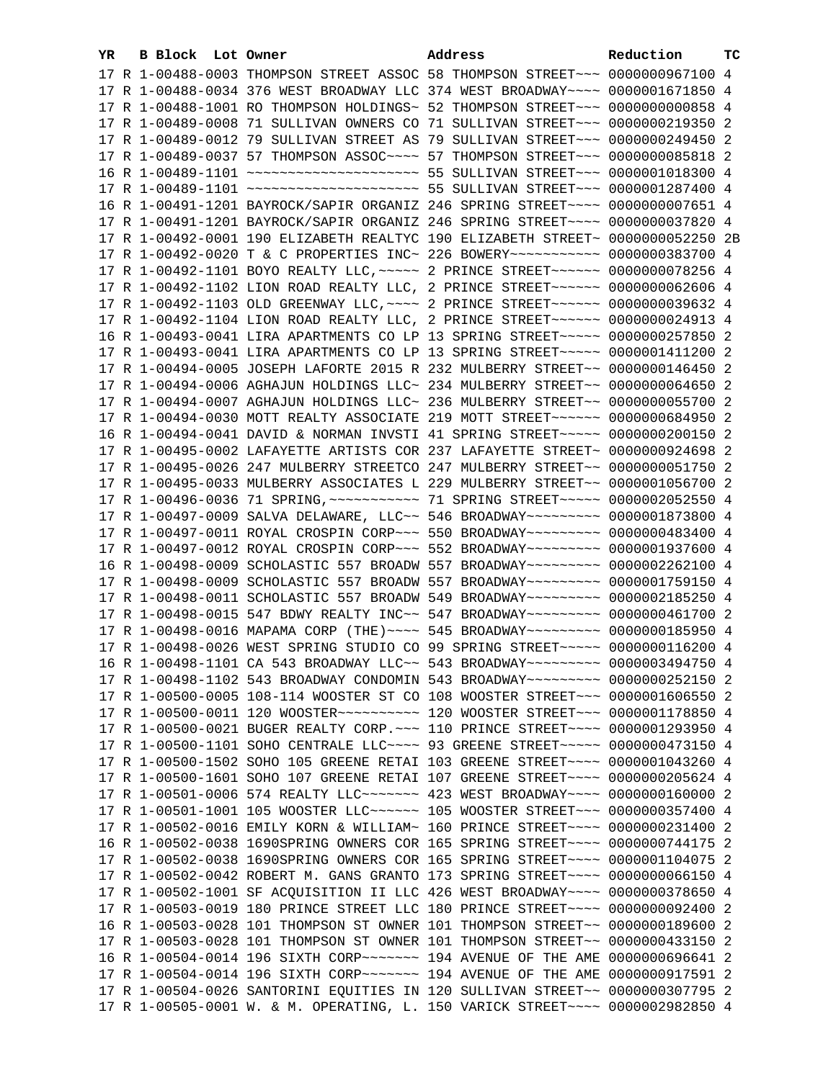| YR. | B Block Lot Owner |  | Address                                                                                                                                                         | Reduction | тc |
|-----|-------------------|--|-----------------------------------------------------------------------------------------------------------------------------------------------------------------|-----------|----|
|     |                   |  | 17 R 1-00488-0003 THOMPSON STREET ASSOC 58 THOMPSON STREET~~~ 0000000967100 4                                                                                   |           |    |
|     |                   |  | 17 R 1-00488-0034 376 WEST BROADWAY LLC 374 WEST BROADWAY~~~~ 0000001671850 4                                                                                   |           |    |
|     |                   |  | 17 R 1-00488-1001 RO THOMPSON HOLDINGS~ 52 THOMPSON STREET~~~ 00000000000858 4                                                                                  |           |    |
|     |                   |  | 17 R 1-00489-0008 71 SULLIVAN OWNERS CO 71 SULLIVAN STREET~~~ 0000000219350 2                                                                                   |           |    |
|     |                   |  | 17 R 1-00489-0012 79 SULLIVAN STREET AS 79 SULLIVAN STREET~~~ 0000000249450                                                                                     |           | -2 |
|     |                   |  | 17 R 1-00489-0037 57 THOMPSON ASSOC~~~~ 57 THOMPSON STREET~~~ 0000000085818 2                                                                                   |           |    |
|     |                   |  |                                                                                                                                                                 |           |    |
|     |                   |  | 17 R 1-00489-1101 ~~~~~~~~~~~~~~~~~~~~~~ 55 SULLIVAN STREET~~~ 0000001287400 4                                                                                  |           |    |
|     |                   |  | 16 R 1-00491-1201 BAYROCK/SAPIR ORGANIZ 246 SPRING STREET~~~~ 00000000007651 4                                                                                  |           |    |
|     |                   |  | 17 R 1-00491-1201 BAYROCK/SAPIR ORGANIZ 246 SPRING STREET~~~~ 0000000037820 4                                                                                   |           |    |
|     |                   |  | 17 R 1-00492-0001 190 ELIZABETH REALTYC 190 ELIZABETH STREET~ 0000000052250 2B                                                                                  |           |    |
|     |                   |  | 17 R 1-00492-0020 T & C PROPERTIES INC~ 226 BOWERY~~~~~~~~~~~ 0000000383700 4                                                                                   |           |    |
|     |                   |  | 17 R 1-00492-1101 BOYO REALTY LLC, ~~~~~ 2 PRINCE STREET~~~~~~ 0000000078256 4                                                                                  |           |    |
|     |                   |  | 17 R 1-00492-1102 LION ROAD REALTY LLC, 2 PRINCE STREET~~~~~~ 0000000062606 4                                                                                   |           |    |
|     |                   |  | 17 R 1-00492-1103 OLD GREENWAY LLC, ~~~~ 2 PRINCE STREET~~~~~~ 0000000039632 4                                                                                  |           |    |
|     |                   |  | 17 R 1-00492-1104 LION ROAD REALTY LLC, 2 PRINCE STREET~~~~~~~ 0000000024913 4                                                                                  |           |    |
|     |                   |  | 16 R 1-00493-0041 LIRA APARTMENTS CO LP 13 SPRING STREET~~~~~ 0000000257850 2                                                                                   |           |    |
|     |                   |  | 17 R 1-00493-0041 LIRA APARTMENTS CO LP 13 SPRING STREET~~~~~ 0000001411200 2                                                                                   |           |    |
|     |                   |  | 17 R 1-00494-0005 JOSEPH LAFORTE 2015 R 232 MULBERRY STREET~~ 0000000146450 2                                                                                   |           |    |
|     |                   |  | 17 R 1-00494-0006 AGHAJUN HOLDINGS LLC~ 234 MULBERRY STREET~~ 0000000064650 2                                                                                   |           |    |
|     |                   |  | 17 R 1-00494-0007 AGHAJUN HOLDINGS LLC~ 236 MULBERRY STREET~~ 0000000055700 2                                                                                   |           |    |
|     |                   |  | 17 R 1-00494-0030 MOTT REALTY ASSOCIATE 219 MOTT STREET~~~~~~~ 0000000684950 2                                                                                  |           |    |
|     |                   |  | 16 R 1-00494-0041 DAVID & NORMAN INVSTI 41 SPRING STREET~~~~~ 0000000200150 2                                                                                   |           |    |
|     |                   |  | 17 R 1-00495-0002 LAFAYETTE ARTISTS COR 237 LAFAYETTE STREET~ 0000000924698 2                                                                                   |           |    |
|     |                   |  | 17 R 1-00495-0026 247 MULBERRY STREETCO 247 MULBERRY STREET~~ 0000000051750 2                                                                                   |           |    |
|     |                   |  | 17 R 1-00495-0033 MULBERRY ASSOCIATES L 229 MULBERRY STREET~~ 0000001056700 2                                                                                   |           |    |
|     |                   |  | 17 R 1-00496-0036 71 SPRING, ~~~~~~~~~~~~~~~~ 71 SPRING STREET~~~~~~ 0000002052550 4                                                                            |           |    |
|     |                   |  | 17 R 1-00497-0009 SALVA DELAWARE, LLC~~ 546 BROADWAY~~~~~~~~~ 0000001873800 4                                                                                   |           |    |
|     |                   |  | 17 R 1-00497-0011 ROYAL CROSPIN CORP~~~ 550 BROADWAY~~~~~~~~~ 0000000483400 4                                                                                   |           |    |
|     |                   |  | 17 R 1-00497-0012 ROYAL CROSPIN CORP~~~ 552 BROADWAY~~~~~~~~~ 0000001937600 4                                                                                   |           |    |
|     |                   |  | 16 R 1-00498-0009 SCHOLASTIC 557 BROADW 557 BROADWAY~~~~~~~~~ 0000002262100 4                                                                                   |           |    |
|     |                   |  | 17 R 1-00498-0009 SCHOLASTIC 557 BROADW 557 BROADWAY~~~~~~~~~ 0000001759150 4                                                                                   |           |    |
|     |                   |  | 17 R 1-00498-0011 SCHOLASTIC 557 BROADW 549 BROADWAY~~~~~~~~~~ 0000002185250 4<br>17 R 1-00498-0015 547 BDWY REALTY INC~~ 547 BROADWAY~~~~~~~~~ 0000000461700 2 |           |    |
|     |                   |  | 17 R 1-00498-0016 MAPAMA CORP (THE) ~~~~ 545 BROADWAY~~~~~~~~~ 0000000185950 4                                                                                  |           |    |
|     |                   |  | 17 R 1-00498-0026 WEST SPRING STUDIO CO 99 SPRING STREET~~~~~ 0000000116200 4                                                                                   |           |    |
|     |                   |  | 16 R 1-00498-1101 CA 543 BROADWAY LLC~~ 543 BROADWAY~~~~~~~~~ 0000003494750 4                                                                                   |           |    |
|     |                   |  | 17 R 1-00498-1102 543 BROADWAY CONDOMIN 543 BROADWAY~~~~~~~~~ 0000000252150 2                                                                                   |           |    |
|     |                   |  | 17 R 1-00500-0005 108-114 WOOSTER ST CO 108 WOOSTER STREET~~~ 0000001606550 2                                                                                   |           |    |
|     |                   |  | 17 R 1-00500-0011 120 WOOSTER --------- 120 WOOSTER STREET -- 0000001178850 4                                                                                   |           |    |
|     |                   |  | 17 R 1-00500-0021 BUGER REALTY CORP. ~~~ 110 PRINCE STREET~~~~ 0000001293950 4                                                                                  |           |    |
|     |                   |  | 17 R 1-00500-1101 SOHO CENTRALE LLC~~~~ 93 GREENE STREET~~~~~ 0000000473150 4                                                                                   |           |    |
|     |                   |  | 17 R 1-00500-1502 SOHO 105 GREENE RETAI 103 GREENE STREET~~~~ 0000001043260 4                                                                                   |           |    |
|     |                   |  | 17 R 1-00500-1601 SOHO 107 GREENE RETAI 107 GREENE STREET~~~~ 0000000205624 4                                                                                   |           |    |
|     |                   |  | 17 R 1-00501-0006 574 REALTY LLC~~~~~~~~ 423 WEST BROADWAY~~~~ 0000000160000 2                                                                                  |           |    |
|     |                   |  | 17 R 1-00501-1001 105 WOOSTER LLC ----- 105 WOOSTER STREET -- 0000000357400 4                                                                                   |           |    |
|     |                   |  | 17 R 1-00502-0016 EMILY KORN & WILLIAM~ 160 PRINCE STREET~~~~ 0000000231400 2                                                                                   |           |    |
|     |                   |  | 16 R 1-00502-0038 1690SPRING OWNERS COR 165 SPRING STREET~~~~ 0000000744175 2                                                                                   |           |    |
|     |                   |  | 17 R 1-00502-0038 1690SPRING OWNERS COR 165 SPRING STREET~~~~ 0000001104075 2                                                                                   |           |    |
|     |                   |  | 17 R 1-00502-0042 ROBERT M. GANS GRANTO 173 SPRING STREET~~~~ 0000000066150 4                                                                                   |           |    |
|     |                   |  | 17 R 1-00502-1001 SF ACQUISITION II LLC 426 WEST BROADWAY~~~~ 0000000378650 4                                                                                   |           |    |
|     |                   |  | 17 R 1-00503-0019 180 PRINCE STREET LLC 180 PRINCE STREET~~~~ 0000000092400 2                                                                                   |           |    |
|     |                   |  | 16 R 1-00503-0028 101 THOMPSON ST OWNER 101 THOMPSON STREET~~ 0000000189600 2                                                                                   |           |    |
|     |                   |  | 17 R 1-00503-0028 101 THOMPSON ST OWNER 101 THOMPSON STREET~~ 0000000433150 2                                                                                   |           |    |
|     |                   |  | 16 R 1-00504-0014 196 SIXTH CORP~~~~~~~~~~~~ 194 AVENUE OF THE AME 0000000696641 2                                                                              |           |    |
|     |                   |  |                                                                                                                                                                 |           |    |
|     |                   |  | 17 R 1-00504-0026 SANTORINI EQUITIES IN 120 SULLIVAN STREET~~ 0000000307795 2                                                                                   |           |    |
|     |                   |  | 17 R 1-00505-0001 W. & M. OPERATING, L. 150 VARICK STREET~~~~ 0000002982850 4                                                                                   |           |    |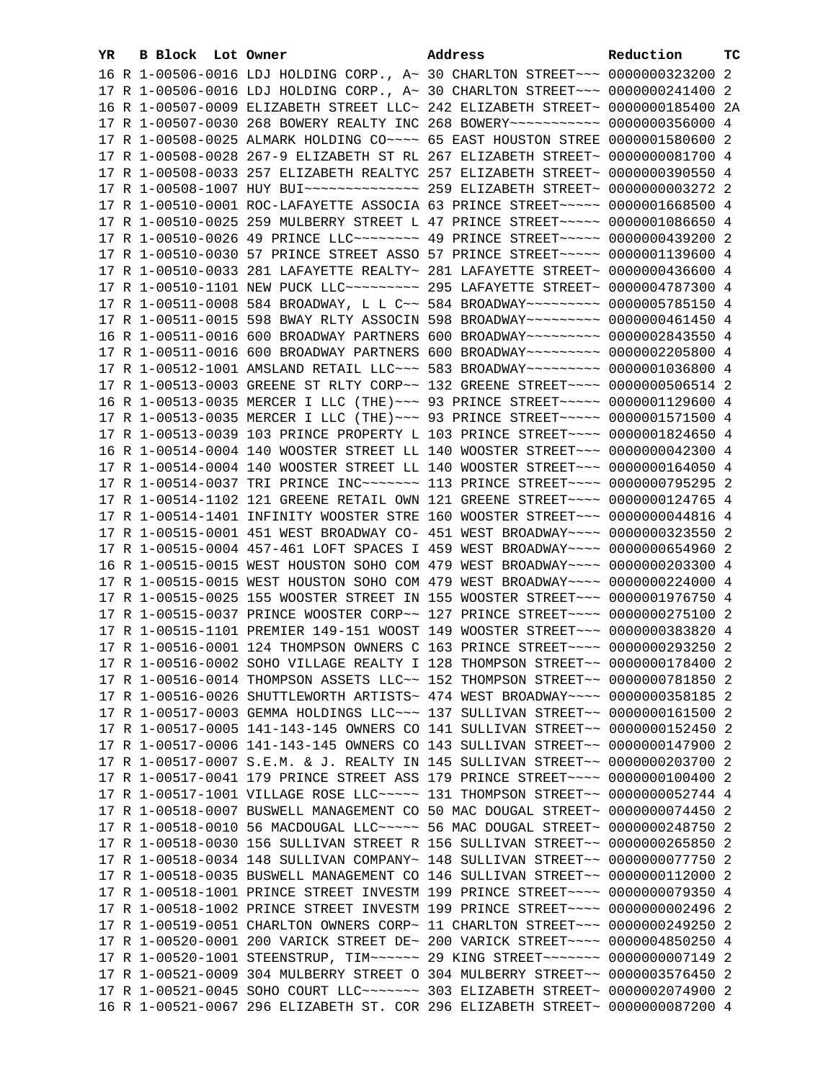| YR. | B Block Lot Owner | Address                                                                              | Reduction | тc |
|-----|-------------------|--------------------------------------------------------------------------------------|-----------|----|
|     |                   | 16 R 1-00506-0016 LDJ HOLDING CORP., A~ 30 CHARLTON STREET~~~ 0000000323200 2        |           |    |
|     |                   | 17 R 1-00506-0016 LDJ HOLDING CORP., A~ 30 CHARLTON STREET~~~ 0000000241400 2        |           |    |
|     |                   | 16 R 1-00507-0009 ELIZABETH STREET LLC~ 242 ELIZABETH STREET~ 0000000185400 2A       |           |    |
|     |                   | 17 R 1-00507-0030 268 BOWERY REALTY INC 268 BOWERY~~~~~~~~~~~ 0000000356000 4        |           |    |
|     |                   | 17 R 1-00508-0025 ALMARK HOLDING CO~~~~ 65 EAST HOUSTON STREE 0000001580600 2        |           |    |
|     |                   | 17 R 1-00508-0028 267-9 ELIZABETH ST RL 267 ELIZABETH STREET~ 0000000081700 4        |           |    |
|     |                   |                                                                                      |           |    |
|     |                   | 17 R 1-00508-0033 257 ELIZABETH REALTYC 257 ELIZABETH STREET~ 0000000390550 4        |           |    |
|     |                   |                                                                                      |           |    |
|     |                   | 17 R 1-00510-0001 ROC-LAFAYETTE ASSOCIA 63 PRINCE STREET~~~~~ 0000001668500 4        |           |    |
|     |                   | 17 R 1-00510-0025 259 MULBERRY STREET L 47 PRINCE STREET~~~~~ 0000001086650 4        |           |    |
|     |                   | 17 R 1-00510-0026 49 PRINCE LLC -------- 49 PRINCE STREET ---- 0000000439200 2       |           |    |
|     |                   | 17 R 1-00510-0030 57 PRINCE STREET ASSO 57 PRINCE STREET~~~~~ 0000001139600 4        |           |    |
|     |                   | 17 R 1-00510-0033 281 LAFAYETTE REALTY~ 281 LAFAYETTE STREET~ 0000000436600 4        |           |    |
|     |                   | 17 R 1-00510-1101 NEW PUCK LLC --------- 295 LAFAYETTE STREET ~ 0000004787300 4      |           |    |
|     |                   | 17 R 1-00511-0008 584 BROADWAY, L L C~~ 584 BROADWAY~~~~~~~~~ 0000005785150 4        |           |    |
|     |                   | 17 R 1-00511-0015 598 BWAY RLTY ASSOCIN 598 BROADWAY~~~~~~~~~ 0000000461450 4        |           |    |
|     |                   | 16 R 1-00511-0016 600 BROADWAY PARTNERS 600 BROADWAY~~~~~~~~~ 0000002843550 4        |           |    |
|     |                   | 17 R 1-00511-0016 600 BROADWAY PARTNERS 600 BROADWAY~~~~~~~~~ 0000002205800 4        |           |    |
|     |                   | 17 R 1-00512-1001 AMSLAND RETAIL LLC~~~ 583 BROADWAY~~~~~~~~~ 0000001036800 4        |           |    |
|     |                   | 17 R 1-00513-0003 GREENE ST RLTY CORP~~ 132 GREENE STREET~~~~ 0000000506514 2        |           |    |
|     |                   | 16 R 1-00513-0035 MERCER I LLC (THE) ~~~ 93 PRINCE STREET ~~~~~ 0000001129600 4      |           |    |
|     |                   | 17 R 1-00513-0035 MERCER I LLC (THE) ~~~ 93 PRINCE STREET ~~~~~ 0000001571500 4      |           |    |
|     |                   | 17 R 1-00513-0039 103 PRINCE PROPERTY L 103 PRINCE STREET~~~~ 0000001824650 4        |           |    |
|     |                   | 16 R 1-00514-0004 140 WOOSTER STREET LL 140 WOOSTER STREET~~~ 0000000042300 4        |           |    |
|     |                   | 17 R 1-00514-0004 140 WOOSTER STREET LL 140 WOOSTER STREET~~~ 0000000164050 4        |           |    |
|     |                   | 17 R 1-00514-0037 TRI PRINCE INC~~~~~~~~~~~~~ 113 PRINCE STREET~~~~~ 0000000795295 2 |           |    |
|     |                   | 17 R 1-00514-1102 121 GREENE RETAIL OWN 121 GREENE STREET~~~~ 0000000124765 4        |           |    |
|     |                   | 17 R 1-00514-1401 INFINITY WOOSTER STRE 160 WOOSTER STREET~~~ 0000000044816 4        |           |    |
|     |                   | 17 R 1-00515-0001 451 WEST BROADWAY CO- 451 WEST BROADWAY~~~~ 0000000323550 2        |           |    |
|     |                   | 17 R 1-00515-0004 457-461 LOFT SPACES I 459 WEST BROADWAY~~~~ 0000000654960 2        |           |    |
|     |                   | 16 R 1-00515-0015 WEST HOUSTON SOHO COM 479 WEST BROADWAY~~~~ 0000000203300 4        |           |    |
|     |                   | 17 R 1-00515-0015 WEST HOUSTON SOHO COM 479 WEST BROADWAY~~~~ 0000000224000 4        |           |    |
|     |                   | 17 R 1-00515-0025 155 WOOSTER STREET IN 155 WOOSTER STREET~~~ 0000001976750 4        |           |    |
|     |                   | 17 R 1-00515-0037 PRINCE WOOSTER CORP~~ 127 PRINCE STREET~~~~ 0000000275100 2        |           |    |
|     |                   | 17 R 1-00515-1101 PREMIER 149-151 WOOST 149 WOOSTER STREET~~~ 0000000383820 4        |           |    |
|     |                   | 17 R 1-00516-0001 124 THOMPSON OWNERS C 163 PRINCE STREET~~~~ 0000000293250 2        |           |    |
|     |                   | 17 R 1-00516-0002 SOHO VILLAGE REALTY I 128 THOMPSON STREET~~ 0000000178400 2        |           |    |
|     |                   |                                                                                      |           |    |
|     |                   | 17 R 1-00516-0014 THOMPSON ASSETS LLC~~ 152 THOMPSON STREET~~ 0000000781850 2        |           |    |
|     |                   | 17 R 1-00516-0026 SHUTTLEWORTH ARTISTS~ 474 WEST BROADWAY~~~~ 0000000358185 2        |           |    |
|     |                   | 17 R 1-00517-0003 GEMMA HOLDINGS LLC~~~ 137 SULLIVAN STREET~~ 0000000161500 2        |           |    |
|     |                   | 17 R 1-00517-0005 141-143-145 OWNERS CO 141 SULLIVAN STREET~~ 0000000152450 2        |           |    |
|     |                   | 17 R 1-00517-0006 141-143-145 OWNERS CO 143 SULLIVAN STREET~~ 0000000147900 2        |           |    |
|     |                   | 17 R 1-00517-0007 S.E.M. & J. REALTY IN 145 SULLIVAN STREET~~ 0000000203700 2        |           |    |
|     |                   | 17 R 1-00517-0041 179 PRINCE STREET ASS 179 PRINCE STREET~~~~ 0000000100400 2        |           |    |
|     |                   | 17 R 1-00517-1001 VILLAGE ROSE LLC~~~~~ 131 THOMPSON STREET~~ 0000000052744 4        |           |    |
|     |                   | 17 R 1-00518-0007 BUSWELL MANAGEMENT CO 50 MAC DOUGAL STREET~ 0000000074450 2        |           |    |
|     |                   | 17 R 1-00518-0010 56 MACDOUGAL LLC ---- 56 MAC DOUGAL STREET ~ 0000000248750 2       |           |    |
|     |                   | 17 R 1-00518-0030 156 SULLIVAN STREET R 156 SULLIVAN STREET~~ 0000000265850 2        |           |    |
|     |                   | 17 R 1-00518-0034 148 SULLIVAN COMPANY~ 148 SULLIVAN STREET~~ 0000000077750 2        |           |    |
|     |                   | 17 R 1-00518-0035 BUSWELL MANAGEMENT CO 146 SULLIVAN STREET~~ 0000000112000 2        |           |    |
|     |                   | 17 R 1-00518-1001 PRINCE STREET INVESTM 199 PRINCE STREET~~~~ 0000000079350 4        |           |    |
|     |                   | 17 R 1-00518-1002 PRINCE STREET INVESTM 199 PRINCE STREET~~~~ 0000000002496 2        |           |    |
|     |                   | 17 R 1-00519-0051 CHARLTON OWNERS CORP~ 11 CHARLTON STREET~~~ 0000000249250 2        |           |    |
|     |                   | 17 R 1-00520-0001 200 VARICK STREET DE~ 200 VARICK STREET~~~~ 0000004850250 4        |           |    |
|     |                   | 17 R 1-00520-1001 STEENSTRUP, TIM~~~~~~ 29 KING STREET~~~~~~~ 0000000007149 2        |           |    |
|     |                   | 17 R 1-00521-0009 304 MULBERRY STREET O 304 MULBERRY STREET~~ 0000003576450 2        |           |    |
|     |                   | 17 R 1-00521-0045 SOHO COURT LLC ------- 303 ELIZABETH STREET ~ 0000002074900 2      |           |    |
|     |                   | 16 R 1-00521-0067 296 ELIZABETH ST. COR 296 ELIZABETH STREET~ 0000000087200 4        |           |    |
|     |                   |                                                                                      |           |    |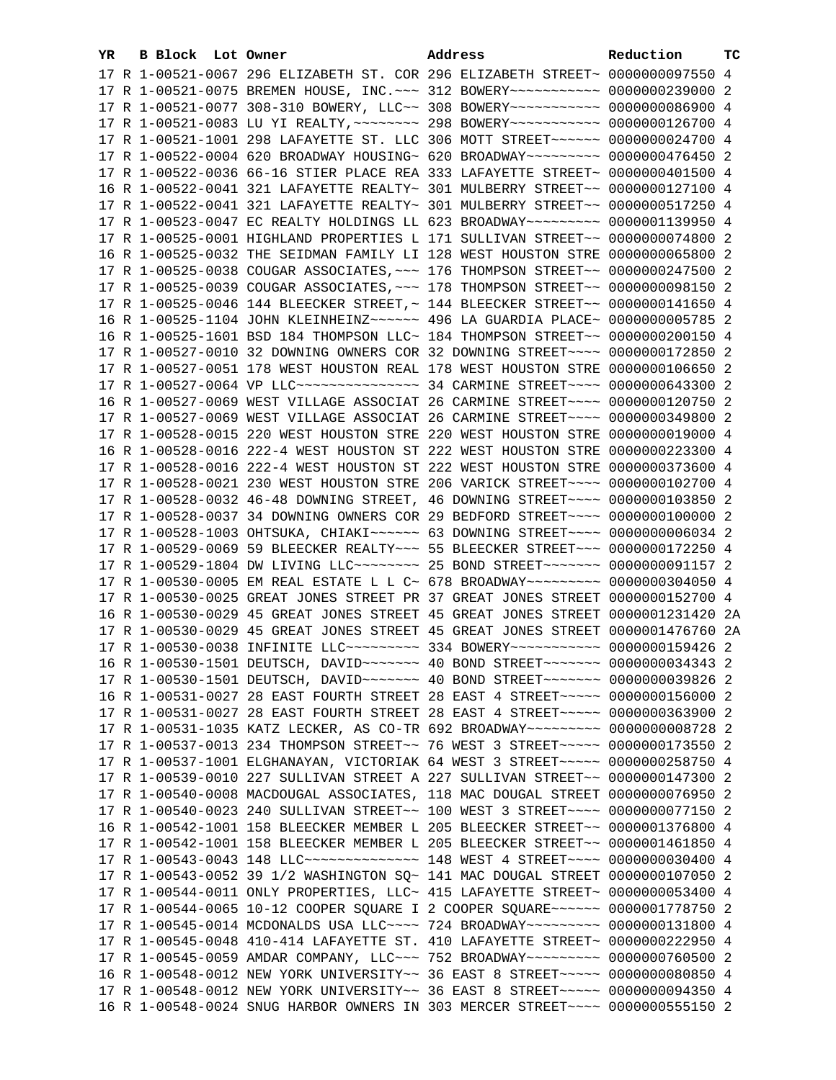| YR. | B Block Lot Owner |  | Address                                                                                                                                                         | Reduction | тC |
|-----|-------------------|--|-----------------------------------------------------------------------------------------------------------------------------------------------------------------|-----------|----|
|     |                   |  | 17 R 1-00521-0067 296 ELIZABETH ST. COR 296 ELIZABETH STREET~ 0000000097550 4                                                                                   |           |    |
|     |                   |  | 17 R 1-00521-0075 BREMEN HOUSE, INC. ~~~ 312 BOWERY~~~~~~~~~~~ 0000000239000 2                                                                                  |           |    |
|     |                   |  | 17 R 1-00521-0077 308-310 BOWERY, LLC~~ 308 BOWERY~~~~~~~~~~~ 0000000086900 4                                                                                   |           |    |
|     |                   |  | 17 R 1-00521-0083 LU YI REALTY, ~~~~~~~~ 298 BOWERY~~~~~~~~~~~ 0000000126700 4                                                                                  |           |    |
|     |                   |  | 17 R 1-00521-1001 298 LAFAYETTE ST. LLC 306 MOTT STREET~~~~~~ 0000000024700 4                                                                                   |           |    |
|     |                   |  | 17 R 1-00522-0004 620 BROADWAY HOUSING~ 620 BROADWAY~~~~~~~~~ 0000000476450 2                                                                                   |           |    |
|     |                   |  | 17 R 1-00522-0036 66-16 STIER PLACE REA 333 LAFAYETTE STREET~ 0000000401500 4                                                                                   |           |    |
|     |                   |  | 16 R 1-00522-0041 321 LAFAYETTE REALTY~ 301 MULBERRY STREET~~ 0000000127100 4                                                                                   |           |    |
|     |                   |  | 17 R 1-00522-0041 321 LAFAYETTE REALTY~ 301 MULBERRY STREET~~ 0000000517250 4                                                                                   |           |    |
|     |                   |  | 17 R 1-00523-0047 EC REALTY HOLDINGS LL 623 BROADWAY~~~~~~~~~ 0000001139950 4                                                                                   |           |    |
|     |                   |  | 17 R 1-00525-0001 HIGHLAND PROPERTIES L 171 SULLIVAN STREET~~ 0000000074800 2                                                                                   |           |    |
|     |                   |  | 16 R 1-00525-0032 THE SEIDMAN FAMILY LI 128 WEST HOUSTON STRE 0000000065800 2                                                                                   |           |    |
|     |                   |  | 17 R 1-00525-0038 COUGAR ASSOCIATES, ~~~ 176 THOMPSON STREET~~ 0000000247500 2                                                                                  |           |    |
|     |                   |  | 17 R 1-00525-0039 COUGAR ASSOCIATES, ~~~ 178 THOMPSON STREET~~ 0000000098150 2                                                                                  |           |    |
|     |                   |  | 17 R 1-00525-0046 144 BLEECKER STREET, ~ 144 BLEECKER STREET~~ 0000000141650 4                                                                                  |           |    |
|     |                   |  | 16 R 1-00525-1104 JOHN KLEINHEINZ~~~~~~ 496 LA GUARDIA PLACE~ 0000000005785 2                                                                                   |           |    |
|     |                   |  |                                                                                                                                                                 |           |    |
|     |                   |  | 16 R 1-00525-1601 BSD 184 THOMPSON LLC~ 184 THOMPSON STREET~~ 0000000200150 4                                                                                   |           |    |
|     |                   |  | 17 R 1-00527-0010 32 DOWNING OWNERS COR 32 DOWNING STREET~~~~ 0000000172850 2                                                                                   |           |    |
|     |                   |  | 17 R 1-00527-0051 178 WEST HOUSTON REAL 178 WEST HOUSTON STRE 0000000106650 2                                                                                   |           |    |
|     |                   |  | 17 R 1-00527-0064 VP LLC --------------- 34 CARMINE STREET ---- 0000000643300 2                                                                                 |           |    |
|     |                   |  | 16 R 1-00527-0069 WEST VILLAGE ASSOCIAT 26 CARMINE STREET~~~~ 0000000120750 2                                                                                   |           |    |
|     |                   |  | 17 R 1-00527-0069 WEST VILLAGE ASSOCIAT 26 CARMINE STREET~~~~ 0000000349800 2                                                                                   |           |    |
|     |                   |  | 17 R 1-00528-0015 220 WEST HOUSTON STRE 220 WEST HOUSTON STRE 0000000019000 4                                                                                   |           |    |
|     |                   |  | 16 R 1-00528-0016 222-4 WEST HOUSTON ST 222 WEST HOUSTON STRE 0000000223300 4                                                                                   |           |    |
|     |                   |  | 17 R 1-00528-0016 222-4 WEST HOUSTON ST 222 WEST HOUSTON STRE 0000000373600 4                                                                                   |           |    |
|     |                   |  | 17 R 1-00528-0021 230 WEST HOUSTON STRE 206 VARICK STREET~~~~ 0000000102700 4                                                                                   |           |    |
|     |                   |  | 17 R 1-00528-0032 46-48 DOWNING STREET, 46 DOWNING STREET~~~~ 0000000103850 2                                                                                   |           |    |
|     |                   |  | 17 R 1-00528-0037 34 DOWNING OWNERS COR 29 BEDFORD STREET~~~~ 0000000100000 2<br>17 R 1-00528-1003 OHTSUKA, CHIAKI~~~~~~ 63 DOWNING STREET~~~~ 00000000006034 2 |           |    |
|     |                   |  | 17 R 1-00529-0069 59 BLEECKER REALTY~~~ 55 BLEECKER STREET~~~ 0000000172250 4                                                                                   |           |    |
|     |                   |  | 17 R 1-00529-1804 DW LIVING LLC ------- 25 BOND STREET ------ 0000000091157 2                                                                                   |           |    |
|     |                   |  | 17 R 1-00530-0005 EM REAL ESTATE L L C~ 678 BROADWAY~~~~~~~~~ 0000000304050 4                                                                                   |           |    |
|     |                   |  | 17 R 1-00530-0025 GREAT JONES STREET PR 37 GREAT JONES STREET 0000000152700 4                                                                                   |           |    |
|     |                   |  | 16 R 1-00530-0029 45 GREAT JONES STREET 45 GREAT JONES STREET 0000001231420 2A                                                                                  |           |    |
|     |                   |  | 17 R 1-00530-0029 45 GREAT JONES STREET 45 GREAT JONES STREET 0000001476760 2A                                                                                  |           |    |
|     |                   |  | 17 R 1-00530-0038 INFINITE LLC -------- 334 BOWERY ---------- 0000000159426 2                                                                                   |           |    |
|     |                   |  | 16 R 1-00530-1501 DEUTSCH, DAVID ------ 40 BOND STREET ------ 0000000034343 2                                                                                   |           |    |
|     |                   |  |                                                                                                                                                                 |           |    |
|     |                   |  | 16 R 1-00531-0027 28 EAST FOURTH STREET 28 EAST 4 STREET~~~~~ 0000000156000 2                                                                                   |           |    |
|     |                   |  | 17 R 1-00531-0027 28 EAST FOURTH STREET 28 EAST 4 STREET~~~~~ 0000000363900 2                                                                                   |           |    |
|     |                   |  | 17 R 1-00531-1035 KATZ LECKER, AS CO-TR 692 BROADWAY~~~~~~~~~ 0000000008728 2                                                                                   |           |    |
|     |                   |  | 17 R 1-00537-0013 234 THOMPSON STREET~~ 76 WEST 3 STREET~~~~~ 0000000173550 2                                                                                   |           |    |
|     |                   |  | 17 R 1-00537-1001 ELGHANAYAN, VICTORIAK 64 WEST 3 STREET~~~~~ 0000000258750 4                                                                                   |           |    |
|     |                   |  | 17 R 1-00539-0010 227 SULLIVAN STREET A 227 SULLIVAN STREET~~ 0000000147300 2                                                                                   |           |    |
|     |                   |  | 17 R 1-00540-0008 MACDOUGAL ASSOCIATES, 118 MAC DOUGAL STREET 0000000076950 2                                                                                   |           |    |
|     |                   |  | 17 R 1-00540-0023 240 SULLIVAN STREET~~ 100 WEST 3 STREET~~~~ 0000000077150 2                                                                                   |           |    |
|     |                   |  | 16 R 1-00542-1001 158 BLEECKER MEMBER L 205 BLEECKER STREET~~ 0000001376800 4                                                                                   |           |    |
|     |                   |  | 17 R 1-00542-1001 158 BLEECKER MEMBER L 205 BLEECKER STREET~~ 0000001461850 4                                                                                   |           |    |
|     |                   |  | 17 R 1-00543-0043 148 LLC --------------- 148 WEST 4 STREET ---- 0000000030400 4                                                                                |           |    |
|     |                   |  | 17 R 1-00543-0052 39 1/2 WASHINGTON SQ~ 141 MAC DOUGAL STREET 0000000107050 2                                                                                   |           |    |
|     |                   |  | 17 R 1-00544-0011 ONLY PROPERTIES, LLC~ 415 LAFAYETTE STREET~ 0000000053400 4                                                                                   |           |    |
|     |                   |  | 17 R 1-00544-0065 10-12 COOPER SQUARE I 2 COOPER SQUARE~~~~~~ 0000001778750 2                                                                                   |           |    |
|     |                   |  | 17 R 1-00545-0014 MCDONALDS USA LLC~~~~ 724 BROADWAY~~~~~~~~~ 0000000131800 4                                                                                   |           |    |
|     |                   |  | 17 R 1-00545-0048 410-414 LAFAYETTE ST. 410 LAFAYETTE STREET~ 0000000222950 4                                                                                   |           |    |
|     |                   |  | 17 R 1-00545-0059 AMDAR COMPANY, LLC -~~ 752 BROADWAY -~~~~~~~~ 0000000760500 2                                                                                 |           |    |
|     |                   |  | 16 R 1-00548-0012 NEW YORK UNIVERSITY~~ 36 EAST 8 STREET~~~~~ 0000000080850 4                                                                                   |           |    |
|     |                   |  | 17 R 1-00548-0012 NEW YORK UNIVERSITY~~ 36 EAST 8 STREET~~~~~ 0000000094350 4                                                                                   |           |    |
|     |                   |  | 16 R 1-00548-0024 SNUG HARBOR OWNERS IN 303 MERCER STREET~~~~ 0000000555150 2                                                                                   |           |    |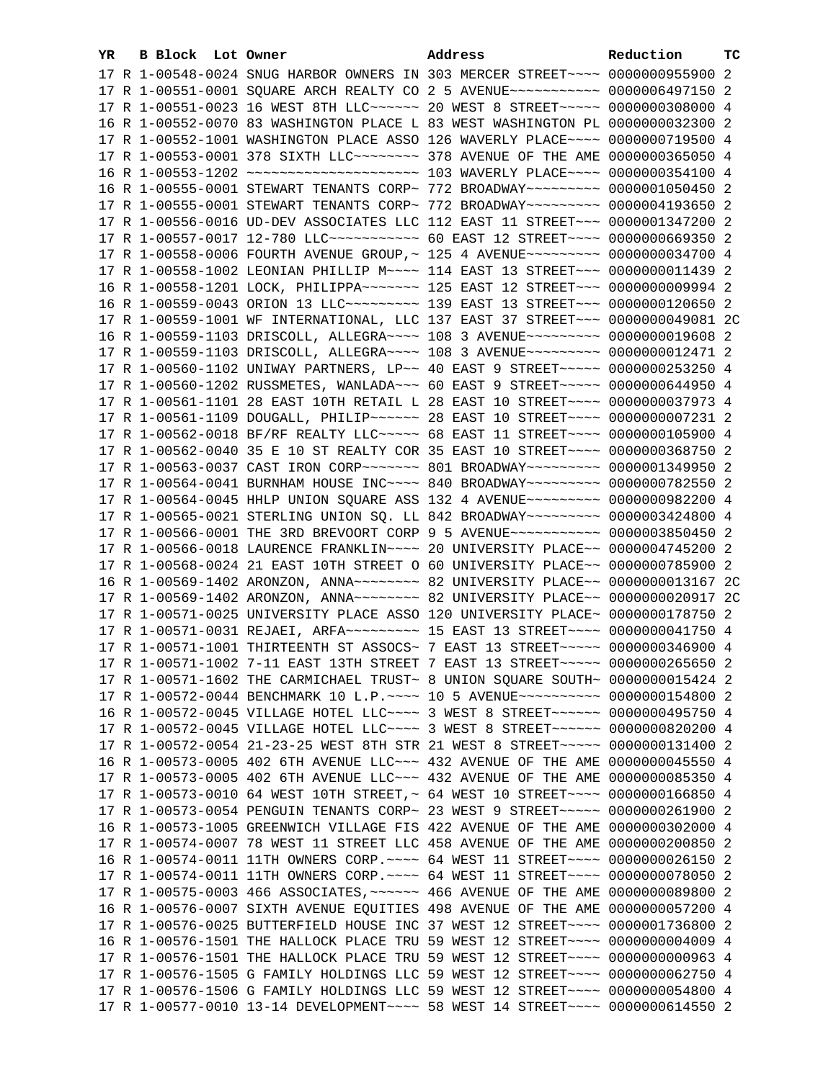| YR. | B Block Lot Owner | Address                                                                                                                                                               | Reduction | тc |
|-----|-------------------|-----------------------------------------------------------------------------------------------------------------------------------------------------------------------|-----------|----|
|     |                   | 17 R 1-00548-0024 SNUG HARBOR OWNERS IN 303 MERCER STREET~~~~ 0000000955900 2                                                                                         |           |    |
|     |                   | 17 R 1-00551-0001 SQUARE ARCH REALTY CO 2 5 AVENUE~~~~~~~~~~~ 0000006497150 2                                                                                         |           |    |
|     |                   | 17 R 1-00551-0023 16 WEST 8TH LLC ----- 20 WEST 8 STREET ---- 0000000308000 4                                                                                         |           |    |
|     |                   | 16 R 1-00552-0070 83 WASHINGTON PLACE L 83 WEST WASHINGTON PL 0000000032300 2                                                                                         |           |    |
|     |                   | 17 R 1-00552-1001 WASHINGTON PLACE ASSO 126 WAVERLY PLACE~~~~ 0000000719500 4                                                                                         |           |    |
|     |                   | 17 R 1-00553-0001 378 SIXTH LLC ------- 378 AVENUE OF THE AME 0000000365050 4                                                                                         |           |    |
|     |                   | 16 R 1-00553-1202 ~~~~~~~~~~~~~~~~~~~~~~~~~~~~~~~~~ 103 WAVERLY PLACE~~~~~ 0000000354100 4                                                                            |           |    |
|     |                   | 16 R 1-00555-0001 STEWART TENANTS CORP~ 772 BROADWAY~~~~~~~~~ 0000001050450 2                                                                                         |           |    |
|     |                   | 17 R 1-00555-0001 STEWART TENANTS CORP~ 772 BROADWAY~~~~~~~~~ 0000004193650 2                                                                                         |           |    |
|     |                   | 17 R 1-00556-0016 UD-DEV ASSOCIATES LLC 112 EAST 11 STREET~~~ 0000001347200 2                                                                                         |           |    |
|     |                   | 17 R 1-00557-0017 12-780 LLC ----------- 60 EAST 12 STREET ---- 0000000669350 2                                                                                       |           |    |
|     |                   | 17 R 1-00558-0006 FOURTH AVENUE GROUP, ~ 125 4 AVENUE~~~~~~~~~ 0000000034700 4                                                                                        |           |    |
|     |                   | 17 R 1-00558-1002 LEONIAN PHILLIP M~~~~ 114 EAST 13 STREET~~~ 0000000011439 2                                                                                         |           |    |
|     |                   |                                                                                                                                                                       |           |    |
|     |                   | 16 R 1-00558-1201 LOCK, PHILIPPA~~~~~~~~ 125 EAST 12 STREET~~~ 0000000009994 2<br>16 R 1-00559-0043 ORION 13 LLC~~~~~~~~~~~~~~ 139 EAST 13 STREET~~~~ 0000000120650 2 |           |    |
|     |                   |                                                                                                                                                                       |           |    |
|     |                   | 17 R 1-00559-1001 WF INTERNATIONAL, LLC 137 EAST 37 STREET~~~ 0000000049081 2C                                                                                        |           |    |
|     |                   | 16 R 1-00559-1103 DRISCOLL, ALLEGRA~~~~ 108 3 AVENUE~~~~~~~~~ 0000000019608 2                                                                                         |           |    |
|     |                   | 17 R 1-00559-1103 DRISCOLL, ALLEGRA~~~~ 108 3 AVENUE~~~~~~~~~ 0000000012471 2                                                                                         |           |    |
|     |                   | 17 R 1-00560-1102 UNIWAY PARTNERS, LP~~ 40 EAST 9 STREET~~~~~ 0000000253250 4                                                                                         |           |    |
|     |                   | 17 R 1-00560-1202 RUSSMETES, WANLADA~~~ 60 EAST 9 STREET~~~~~ 0000000644950 4                                                                                         |           |    |
|     |                   | 17 R 1-00561-1101 28 EAST 10TH RETAIL L 28 EAST 10 STREET~~~~ 0000000037973 4                                                                                         |           |    |
|     |                   | 17 R 1-00561-1109 DOUGALL, PHILIP~~~~~~ 28 EAST 10 STREET~~~~ 0000000007231 2                                                                                         |           |    |
|     |                   | 17 R 1-00562-0018 BF/RF REALTY LLC ---- 68 EAST 11 STREET --- 0000000105900 4                                                                                         |           |    |
|     |                   | 17 R 1-00562-0040 35 E 10 ST REALTY COR 35 EAST 10 STREET~~~~ 0000000368750 2                                                                                         |           |    |
|     |                   | 17 R 1-00563-0037 CAST IRON CORP~~~~~~~~ 801 BROADWAY~~~~~~~~~ 0000001349950 2                                                                                        |           |    |
|     |                   | 17 R 1-00564-0041 BURNHAM HOUSE INC~~~~ 840 BROADWAY~~~~~~~~~ 0000000782550 2                                                                                         |           |    |
|     |                   | 17 R 1-00564-0045 HHLP UNION SQUARE ASS 132 4 AVENUE~~~~~~~~~ 0000000982200 4                                                                                         |           |    |
|     |                   | 17 R 1-00565-0021 STERLING UNION SQ. LL 842 BROADWAY~~~~~~~~~ 0000003424800 4                                                                                         |           |    |
|     |                   | 17 R 1-00566-0001 THE 3RD BREVOORT CORP 9 5 AVENUE~~~~~~~~~~~ 0000003850450 2<br>17 R 1-00566-0018 LAURENCE FRANKLIN~~~~ 20 UNIVERSITY PLACE~~ 0000004745200 2        |           |    |
|     |                   | 17 R 1-00568-0024 21 EAST 10TH STREET O 60 UNIVERSITY PLACE~~ 0000000785900 2                                                                                         |           |    |
|     |                   | 16 R 1-00569-1402 ARONZON, ANNA~~~~~~~~ 82 UNIVERSITY PLACE~~ 0000000013167 2C                                                                                        |           |    |
|     |                   |                                                                                                                                                                       |           |    |
|     |                   | 17 R 1-00571-0025 UNIVERSITY PLACE ASSO 120 UNIVERSITY PLACE~ 0000000178750 2                                                                                         |           |    |
|     |                   | 17 R 1-00571-0031 REJAEI, ARFA~~~~~~~~~~~~~ 15 EAST 13 STREET~~~~~ 0000000041750 4                                                                                    |           |    |
|     |                   | 17 R 1-00571-1001 THIRTEENTH ST ASSOCS~ 7 EAST 13 STREET~~~~~ 0000000346900 4                                                                                         |           |    |
|     |                   | 17 R 1-00571-1002 7-11 EAST 13TH STREET 7 EAST 13 STREET~~~~~ 0000000265650 2                                                                                         |           |    |
|     |                   | 17 R 1-00571-1602 THE CARMICHAEL TRUST~ 8 UNION SQUARE SOUTH~ 0000000015424 2                                                                                         |           |    |
|     |                   | 17 R 1-00572-0044 BENCHMARK 10 L.P. ~~~~ 10 5 AVENUE~~~~~~~~~~ 0000000154800 2                                                                                        |           |    |
|     |                   | 16 R 1-00572-0045 VILLAGE HOTEL LLC~~~~ 3 WEST 8 STREET~~~~~~ 0000000495750 4                                                                                         |           |    |
|     |                   | 17 R 1-00572-0045 VILLAGE HOTEL LLC~~~~ 3 WEST 8 STREET~~~~~~ 0000000820200 4                                                                                         |           |    |
|     |                   | 17 R 1-00572-0054 21-23-25 WEST 8TH STR 21 WEST 8 STREET~~~~~ 0000000131400 2                                                                                         |           |    |
|     |                   | 16 R 1-00573-0005 402 6TH AVENUE LLC~~~ 432 AVENUE OF THE AME 0000000045550 4                                                                                         |           |    |
|     |                   | 17 R 1-00573-0005 402 6TH AVENUE LLC~~~ 432 AVENUE OF THE AME 0000000085350 4                                                                                         |           |    |
|     |                   | 17 R 1-00573-0010 64 WEST 10TH STREET, ~ 64 WEST 10 STREET~~~~ 0000000166850 4                                                                                        |           |    |
|     |                   | 17 R 1-00573-0054 PENGUIN TENANTS CORP~ 23 WEST 9 STREET~~~~~ 0000000261900 2                                                                                         |           |    |
|     |                   | 16 R 1-00573-1005 GREENWICH VILLAGE FIS 422 AVENUE OF THE AME 0000000302000 4                                                                                         |           |    |
|     |                   | 17 R 1-00574-0007 78 WEST 11 STREET LLC 458 AVENUE OF THE AME 0000000200850 2                                                                                         |           |    |
|     |                   | 16 R 1-00574-0011 11TH OWNERS CORP. ~~~~ 64 WEST 11 STREET~~~~ 0000000026150 2                                                                                        |           |    |
|     |                   | 17 R 1-00574-0011 11TH OWNERS CORP. ~~~~ 64 WEST 11 STREET~~~~ 0000000078050 2                                                                                        |           |    |
|     |                   | 17 R 1-00575-0003 466 ASSOCIATES, ~~~~~~ 466 AVENUE OF THE AME 0000000089800 2                                                                                        |           |    |
|     |                   | 16 R 1-00576-0007 SIXTH AVENUE EQUITIES 498 AVENUE OF THE AME 0000000057200 4                                                                                         |           |    |
|     |                   | 17 R 1-00576-0025 BUTTERFIELD HOUSE INC 37 WEST 12 STREET~~~~ 0000001736800 2                                                                                         |           |    |
|     |                   | 16 R 1-00576-1501 THE HALLOCK PLACE TRU 59 WEST 12 STREET~~~~ 00000000004009 4                                                                                        |           |    |
|     |                   | 17 R 1-00576-1501 THE HALLOCK PLACE TRU 59 WEST 12 STREET~~~~ 0000000000963 4                                                                                         |           |    |
|     |                   | 17 R 1-00576-1505 G FAMILY HOLDINGS LLC 59 WEST 12 STREET~~~~ 0000000062750 4                                                                                         |           |    |
|     |                   | 17 R 1-00576-1506 G FAMILY HOLDINGS LLC 59 WEST 12 STREET~~~~ 0000000054800 4                                                                                         |           |    |
|     |                   | 17 R 1-00577-0010 13-14 DEVELOPMENT~~~~ 58 WEST 14 STREET~~~~ 0000000614550 2                                                                                         |           |    |
|     |                   |                                                                                                                                                                       |           |    |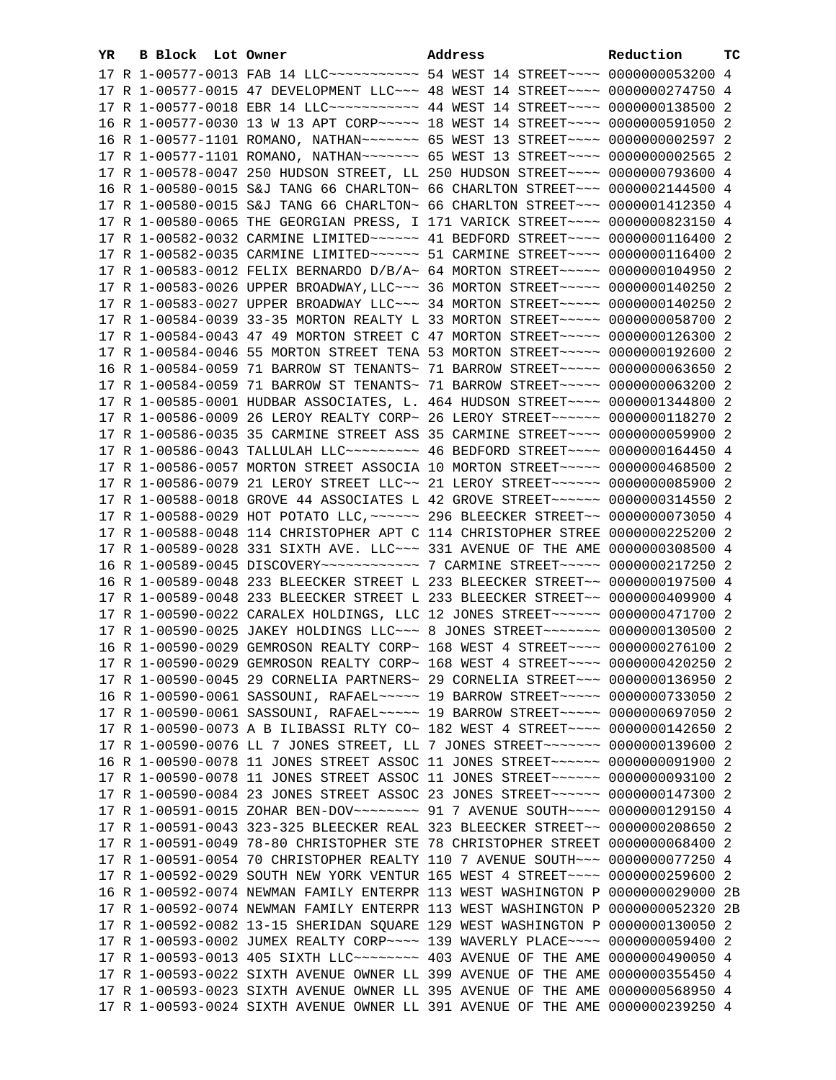| YR | B Block Lot Owner |                                                               | Address                                                                                                                                                           | Reduction        | тc |
|----|-------------------|---------------------------------------------------------------|-------------------------------------------------------------------------------------------------------------------------------------------------------------------|------------------|----|
|    |                   |                                                               | 17 R 1-00577-0013 FAB 14 LLC ----------- 54 WEST 14 STREET ---- 0000000053200 4                                                                                   |                  |    |
|    |                   |                                                               | 17 R 1-00577-0015 47 DEVELOPMENT LLC~~~ 48 WEST 14 STREET~~~~ 0000000274750 4                                                                                     |                  |    |
|    |                   |                                                               | 17 R 1-00577-0018 EBR 14 LLC ----------- 44 WEST 14 STREET --- 0000000138500 2                                                                                    |                  |    |
|    |                   |                                                               | 16 R 1-00577-0030 13 W 13 APT CORP~~~~~ 18 WEST 14 STREET~~~~ 0000000591050 2                                                                                     |                  |    |
|    |                   |                                                               | 16 R 1-00577-1101 ROMANO, NATHAN~~~~~~~ 65 WEST 13 STREET~~~~ 0000000002597 2                                                                                     |                  |    |
|    |                   |                                                               | 17 R 1-00577-1101 ROMANO, NATHAN~~~~~~~ 65 WEST 13 STREET~~~~ 0000000002565 2                                                                                     |                  |    |
|    |                   |                                                               | 17 R 1-00578-0047 250 HUDSON STREET, LL 250 HUDSON STREET~~~~ 0000000793600 4                                                                                     |                  |    |
|    |                   |                                                               | 16 R 1-00580-0015 S&J TANG 66 CHARLTON~ 66 CHARLTON STREET~~~ 0000002144500 4                                                                                     |                  |    |
|    |                   |                                                               | 17 R 1-00580-0015 S&J TANG 66 CHARLTON~ 66 CHARLTON STREET~~~ 0000001412350 4                                                                                     |                  |    |
|    |                   |                                                               | 17 R 1-00580-0065 THE GEORGIAN PRESS, I 171 VARICK STREET~~~~ 0000000823150 4                                                                                     |                  |    |
|    |                   |                                                               | 17 R 1-00582-0032 CARMINE LIMITED ----- 41 BEDFORD STREET --- 0000000116400 2                                                                                     |                  |    |
|    |                   |                                                               | 17 R 1-00582-0035 CARMINE LIMITED ----- 51 CARMINE STREET --- 0000000116400 2                                                                                     |                  |    |
|    |                   |                                                               | 17 R 1-00583-0012 FELIX BERNARDO D/B/A~ 64 MORTON STREET~~~~~ 0000000104950 2                                                                                     |                  |    |
|    |                   |                                                               |                                                                                                                                                                   |                  |    |
|    |                   |                                                               | 17 R 1-00583-0026 UPPER BROADWAY, LLC ~~~ 36 MORTON STREET ~~~~~ 0000000140250 2<br>17 R 1-00583-0027 UPPER BROADWAY LLC~~~ 34 MORTON STREET~~~~~ 0000000140250 2 |                  |    |
|    |                   |                                                               | 17 R 1-00584-0039 33-35 MORTON REALTY L 33 MORTON STREET~~~~~ 0000000058700 2                                                                                     |                  |    |
|    |                   |                                                               |                                                                                                                                                                   |                  |    |
|    |                   |                                                               | 17 R 1-00584-0043 47 49 MORTON STREET C 47 MORTON STREET~~~~~ 0000000126300 2                                                                                     |                  |    |
|    |                   |                                                               | 17 R 1-00584-0046 55 MORTON STREET TENA 53 MORTON STREET~~~~~ 0000000192600 2                                                                                     |                  |    |
|    |                   |                                                               | 16 R 1-00584-0059 71 BARROW ST TENANTS~ 71 BARROW STREET~~~~~ 0000000063650 2                                                                                     |                  |    |
|    |                   |                                                               | 17 R 1-00584-0059 71 BARROW ST TENANTS~ 71 BARROW STREET~~~~~~ 0000000063200 2                                                                                    |                  |    |
|    |                   |                                                               | 17 R 1-00585-0001 HUDBAR ASSOCIATES, L. 464 HUDSON STREET~~~~ 0000001344800 2                                                                                     |                  |    |
|    |                   |                                                               | 17 R 1-00586-0009 26 LEROY REALTY CORP~ 26 LEROY STREET~~~~~~~ 0000000118270 2                                                                                    |                  |    |
|    |                   |                                                               | 17 R 1-00586-0035 35 CARMINE STREET ASS 35 CARMINE STREET~~~~ 0000000059900 2                                                                                     |                  |    |
|    |                   |                                                               | 17 R 1-00586-0043 TALLULAH LLC~~~~~~~~~~~~~~~~~~~ 46 BEDFORD STREET~~~~~ 0000000164450 4                                                                          |                  |    |
|    |                   |                                                               | 17 R 1-00586-0057 MORTON STREET ASSOCIA 10 MORTON STREET~~~~~ 0000000468500 2                                                                                     |                  |    |
|    |                   |                                                               | 17 R 1-00586-0079 21 LEROY STREET LLC~~ 21 LEROY STREET~~~~~~~ 0000000085900 2                                                                                    |                  |    |
|    |                   |                                                               | 17 R 1-00588-0018 GROVE 44 ASSOCIATES L 42 GROVE STREET~~~~~~ 0000000314550 2                                                                                     |                  |    |
|    |                   |                                                               | 17 R 1-00588-0029 HOT POTATO LLC, ~~~~~~ 296 BLEECKER STREET~~ 0000000073050 4                                                                                    |                  |    |
|    |                   |                                                               | 17 R 1-00588-0048 114 CHRISTOPHER APT C 114 CHRISTOPHER STREE 0000000225200 2                                                                                     |                  |    |
|    |                   |                                                               | 17 R 1-00589-0028 331 SIXTH AVE. LLC ~~~ 331 AVENUE OF THE AME 0000000308500 4                                                                                    |                  |    |
|    |                   |                                                               | 16 R 1-00589-0045 DISCOVERY ------------ 7 CARMINE STREET ---- 0000000217250 2                                                                                    |                  |    |
|    |                   |                                                               | 16 R 1-00589-0048 233 BLEECKER STREET L 233 BLEECKER STREET~~ 0000000197500 4                                                                                     |                  |    |
|    |                   |                                                               | 17 R 1-00589-0048 233 BLEECKER STREET L 233 BLEECKER STREET~~ 0000000409900 4<br>17 R 1-00590-0022 CARALEX HOLDINGS, LLC 12 JONES STREET~~~~~~ 0000000471700 2    |                  |    |
|    |                   |                                                               | 17 R 1-00590-0025 JAKEY HOLDINGS LLC ~~~ 8 JONES STREET ~~~~~~~ 0000000130500 2                                                                                   |                  |    |
|    |                   |                                                               | 16 R 1-00590-0029 GEMROSON REALTY CORP~ 168 WEST 4 STREET~~~~ 0000000276100 2                                                                                     |                  |    |
|    |                   |                                                               | 17 R 1-00590-0029 GEMROSON REALTY CORP~ 168 WEST 4 STREET~~~~ 0000000420250 2                                                                                     |                  |    |
|    |                   |                                                               |                                                                                                                                                                   |                  |    |
|    |                   |                                                               | 17 R 1-00590-0045 29 CORNELIA PARTNERS~ 29 CORNELIA STREET~~~ 0000000136950 2                                                                                     |                  |    |
|    |                   |                                                               | 16 R 1-00590-0061 SASSOUNI, RAFAEL~~~~~~ 19 BARROW STREET~~~~~~ 0000000733050 2                                                                                   |                  |    |
|    |                   |                                                               | 17 R 1-00590-0061 SASSOUNI, RAFAEL~~~~~~ 19 BARROW STREET~~~~~~ 0000000697050 2                                                                                   |                  |    |
|    |                   |                                                               | 17 R 1-00590-0073 A B ILIBASSI RLTY CO~ 182 WEST 4 STREET~~~~ 0000000142650 2                                                                                     |                  |    |
|    |                   |                                                               | 17 R 1-00590-0076 LL 7 JONES STREET, LL 7 JONES STREET~~~~~~~ 0000000139600 2<br>16 R 1-00590-0078 11 JONES STREET ASSOC 11 JONES STREET~~~~~~ 0000000091900 2    |                  |    |
|    |                   |                                                               | 17 R 1-00590-0078 11 JONES STREET ASSOC 11 JONES STREET~~~~~~ 0000000093100 2                                                                                     |                  |    |
|    |                   |                                                               | 17 R 1-00590-0084 23 JONES STREET ASSOC 23 JONES STREET~~~~~~ 0000000147300 2                                                                                     |                  |    |
|    |                   |                                                               | 17 R 1-00591-0015 ZOHAR BEN-DOV~~~~~~~~ 91 7 AVENUE SOUTH~~~~ 0000000129150 4                                                                                     |                  |    |
|    |                   |                                                               | 17 R 1-00591-0043 323-325 BLEECKER REAL 323 BLEECKER STREET~~ 0000000208650 2                                                                                     |                  |    |
|    |                   | 17 R 1-00591-0049 78-80 CHRISTOPHER STE 78 CHRISTOPHER STREET |                                                                                                                                                                   | 0000000068400 2  |    |
|    |                   |                                                               | 17 R 1-00591-0054 70 CHRISTOPHER REALTY 110 7 AVENUE SOUTH~~~ 0000000077250 4                                                                                     |                  |    |
|    |                   | 17 R 1-00592-0029 SOUTH NEW YORK VENTUR 165 WEST 4 STREET~~~~ |                                                                                                                                                                   | 0000000259600 2  |    |
|    |                   | 16 R 1-00592-0074 NEWMAN FAMILY ENTERPR 113 WEST WASHINGTON P |                                                                                                                                                                   | 0000000029000 2B |    |
|    |                   |                                                               |                                                                                                                                                                   | 0000000052320 2B |    |
|    |                   | 17 R 1-00592-0074 NEWMAN FAMILY ENTERPR 113 WEST WASHINGTON P | 17 R 1-00592-0082 13-15 SHERIDAN SQUARE 129 WEST WASHINGTON P 0000000130050 2                                                                                     |                  |    |
|    |                   |                                                               |                                                                                                                                                                   |                  |    |
|    |                   |                                                               | 17 R 1-00593-0002 JUMEX REALTY CORP~~~~ 139 WAVERLY PLACE~~~~ 0000000059400 2                                                                                     | 0000000490050 4  |    |
|    |                   |                                                               |                                                                                                                                                                   |                  |    |
|    |                   |                                                               | 17 R 1-00593-0022 SIXTH AVENUE OWNER LL 399 AVENUE OF THE AME 0000000355450 4<br>17 R 1-00593-0023 SIXTH AVENUE OWNER LL 395 AVENUE OF THE AME 0000000568950 4    |                  |    |
|    |                   |                                                               | 17 R 1-00593-0024 SIXTH AVENUE OWNER LL 391 AVENUE OF THE AME 0000000239250 4                                                                                     |                  |    |
|    |                   |                                                               |                                                                                                                                                                   |                  |    |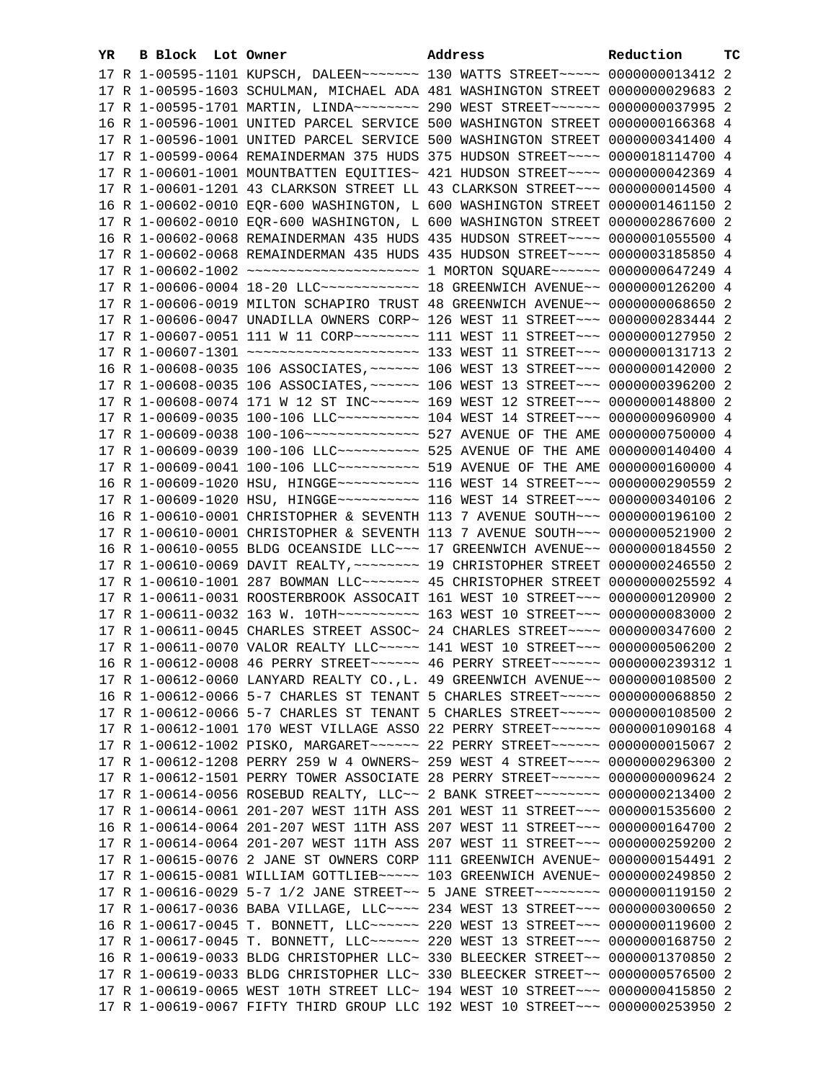| YR. | B Block Lot Owner |                                                                                     | Address | Reduction | ТC |
|-----|-------------------|-------------------------------------------------------------------------------------|---------|-----------|----|
|     |                   | 17 R 1-00595-1101 KUPSCH, DALEEN~~~~~~~ 130 WATTS STREET~~~~~ 0000000013412 2       |         |           |    |
|     |                   | 17 R 1-00595-1603 SCHULMAN, MICHAEL ADA 481 WASHINGTON STREET 0000000029683 2       |         |           |    |
|     |                   | 17 R 1-00595-1701 MARTIN, LINDA~~~~~~~~ 290 WEST STREET~~~~~~ 0000000037995 2       |         |           |    |
|     |                   | 16 R 1-00596-1001 UNITED PARCEL SERVICE 500 WASHINGTON STREET 0000000166368 4       |         |           |    |
|     |                   | 17 R 1-00596-1001 UNITED PARCEL SERVICE 500 WASHINGTON STREET 0000000341400 4       |         |           |    |
|     |                   | 17 R 1-00599-0064 REMAINDERMAN 375 HUDS 375 HUDSON STREET~~~~ 0000018114700 4       |         |           |    |
|     |                   | 17 R 1-00601-1001 MOUNTBATTEN EQUITIES~ 421 HUDSON STREET~~~~ 0000000042369 4       |         |           |    |
|     |                   | 17 R 1-00601-1201 43 CLARKSON STREET LL 43 CLARKSON STREET~~~ 0000000014500 4       |         |           |    |
|     |                   | 16 R 1-00602-0010 EQR-600 WASHINGTON, L 600 WASHINGTON STREET 0000001461150 2       |         |           |    |
|     |                   | 17 R 1-00602-0010 EQR-600 WASHINGTON, L 600 WASHINGTON STREET 0000002867600 2       |         |           |    |
|     |                   |                                                                                     |         |           |    |
|     |                   | 16 R 1-00602-0068 REMAINDERMAN 435 HUDS 435 HUDSON STREET~~~~ 0000001055500 4       |         |           |    |
|     |                   | 17 R 1-00602-0068 REMAINDERMAN 435 HUDS 435 HUDSON STREET~~~~ 0000003185850 4       |         |           |    |
|     |                   | 17 R 1-00602-1002 ~~~~~~~~~~~~~~~~~~~~~~~~~ 1 MORTON SQUARE~~~~~~ 0000000647249 4   |         |           |    |
|     |                   | 17 R 1-00606-0004 18-20 LLC ------------ 18 GREENWICH AVENUE -~ 0000000126200 4     |         |           |    |
|     |                   | 17 R 1-00606-0019 MILTON SCHAPIRO TRUST 48 GREENWICH AVENUE~~ 0000000068650 2       |         |           |    |
|     |                   | 17 R 1-00606-0047 UNADILLA OWNERS CORP~ 126 WEST 11 STREET~~~ 0000000283444 2       |         |           |    |
|     |                   | 17 R 1-00607-0051 111 W 11 CORP~~~~~~~~ 111 WEST 11 STREET~~~ 0000000127950 2       |         |           |    |
|     |                   |                                                                                     |         |           |    |
|     |                   | 16 R 1-00608-0035 106 ASSOCIATES, ~~~~~~ 106 WEST 13 STREET~~~ 0000000142000 2      |         |           |    |
|     |                   | 17 R 1-00608-0035 106 ASSOCIATES, ~~~~~~ 106 WEST 13 STREET~~~ 0000000396200 2      |         |           |    |
|     |                   | 17 R 1-00608-0074 171 W 12 ST INC~~~~~~ 169 WEST 12 STREET~~~ 0000000148800 2       |         |           |    |
|     |                   | 17 R 1-00609-0035 100-106 LLC ---------- 104 WEST 14 STREET --- 0000000960900 4     |         |           |    |
|     |                   | 17 R 1-00609-0038 100-106 --------------- 527 AVENUE OF THE AME 0000000750000 4     |         |           |    |
|     |                   | 17 R 1-00609-0039 100-106 LLC ---------- 525 AVENUE OF THE AME 0000000140400 4      |         |           |    |
|     |                   |                                                                                     |         |           |    |
|     |                   | 16 R 1-00609-1020 HSU, HINGGE~~~~~~~~~~~~~~~ 116 WEST 14 STREET~~~~ 0000000290559 2 |         |           |    |
|     |                   | 17 R 1-00609-1020 HSU, HINGGE~~~~~~~~~~~~~~ 116 WEST 14 STREET~~~~ 0000000340106 2  |         |           |    |
|     |                   | 16 R 1-00610-0001 CHRISTOPHER & SEVENTH 113 7 AVENUE SOUTH~~~ 0000000196100 2       |         |           |    |
|     |                   | 17 R 1-00610-0001 CHRISTOPHER & SEVENTH 113 7 AVENUE SOUTH~~~ 0000000521900 2       |         |           |    |
|     |                   | 16 R 1-00610-0055 BLDG OCEANSIDE LLC~~~ 17 GREENWICH AVENUE~~ 0000000184550 2       |         |           |    |
|     |                   | 17 R 1-00610-0069 DAVIT REALTY, ~~~~~~~~ 19 CHRISTOPHER STREET 0000000246550 2      |         |           |    |
|     |                   | 17 R 1-00610-1001 287 BOWMAN LLC ~~~~~~~ 45 CHRISTOPHER STREET 0000000025592 4      |         |           |    |
|     |                   | 17 R 1-00611-0031 ROOSTERBROOK ASSOCAIT 161 WEST 10 STREET~~~ 0000000120900 2       |         |           |    |
|     |                   | 17 R 1-00611-0032 163 W. 10TH~~~~~~~~~~~~~~~ 163 WEST 10 STREET~~~~ 0000000083000 2 |         |           |    |
|     |                   | 17 R 1-00611-0045 CHARLES STREET ASSOC~ 24 CHARLES STREET~~~~ 0000000347600 2       |         |           |    |
|     |                   | 17 R 1-00611-0070 VALOR REALTY LLC ~~~~~ 141 WEST 10 STREET ~~~ 0000000506200 2     |         |           |    |
|     |                   | 16 R 1-00612-0008 46 PERRY STREET ~~~~~~ 46 PERRY STREET ~~~~~~ 0000000239312 1     |         |           |    |
|     |                   | 17 R 1-00612-0060 LANYARD REALTY CO., L. 49 GREENWICH AVENUE~~ 0000000108500 2      |         |           |    |
|     |                   | 16 R 1-00612-0066 5-7 CHARLES ST TENANT 5 CHARLES STREET~~~~~ 0000000068850 2       |         |           |    |
|     |                   | 17 R 1-00612-0066 5-7 CHARLES ST TENANT 5 CHARLES STREET~~~~~ 0000000108500 2       |         |           |    |
|     |                   | 17 R 1-00612-1001 170 WEST VILLAGE ASSO 22 PERRY STREET~~~~~~ 0000001090168 4       |         |           |    |
|     |                   | 17 R 1-00612-1002 PISKO, MARGARET~~~~~~ 22 PERRY STREET~~~~~~ 0000000015067 2       |         |           |    |
|     |                   | 17 R 1-00612-1208 PERRY 259 W 4 OWNERS~ 259 WEST 4 STREET~~~~ 0000000296300 2       |         |           |    |
|     |                   | 17 R 1-00612-1501 PERRY TOWER ASSOCIATE 28 PERRY STREET~~~~~~ 0000000009624 2       |         |           |    |
|     |                   | 17 R 1-00614-0056 ROSEBUD REALTY, LLC~~ 2 BANK STREET~~~~~~~~~ 0000000213400 2      |         |           |    |
|     |                   | 17 R 1-00614-0061 201-207 WEST 11TH ASS 201 WEST 11 STREET~~~ 0000001535600 2       |         |           |    |
|     |                   | 16 R 1-00614-0064 201-207 WEST 11TH ASS 207 WEST 11 STREET~~~ 0000000164700 2       |         |           |    |
|     |                   | 17 R 1-00614-0064 201-207 WEST 11TH ASS 207 WEST 11 STREET~~~ 0000000259200 2       |         |           |    |
|     |                   | 17 R 1-00615-0076 2 JANE ST OWNERS CORP 111 GREENWICH AVENUE~ 0000000154491 2       |         |           |    |
|     |                   | 17 R 1-00615-0081 WILLIAM GOTTLIEB~~~~~ 103 GREENWICH AVENUE~ 0000000249850 2       |         |           |    |
|     |                   | 17 R 1-00616-0029 5-7 1/2 JANE STREET~~ 5 JANE STREET~~~~~~~~ 0000000119150 2       |         |           |    |
|     |                   | 17 R 1-00617-0036 BABA VILLAGE, LLC~~~~ 234 WEST 13 STREET~~~ 0000000300650 2       |         |           |    |
|     |                   | 16 R 1-00617-0045 T. BONNETT, LLC ----- 220 WEST 13 STREET -- 0000000119600 2       |         |           |    |
|     |                   | 17 R 1-00617-0045 T. BONNETT, LLC ----- 220 WEST 13 STREET -- 0000000168750 2       |         |           |    |
|     |                   | 16 R 1-00619-0033 BLDG CHRISTOPHER LLC~ 330 BLEECKER STREET~~ 0000001370850 2       |         |           |    |
|     |                   | 17 R 1-00619-0033 BLDG CHRISTOPHER LLC~ 330 BLEECKER STREET~~ 0000000576500 2       |         |           |    |
|     |                   | 17 R 1-00619-0065 WEST 10TH STREET LLC~ 194 WEST 10 STREET~~~ 0000000415850 2       |         |           |    |
|     |                   | 17 R 1-00619-0067 FIFTY THIRD GROUP LLC 192 WEST 10 STREET~~~ 0000000253950 2       |         |           |    |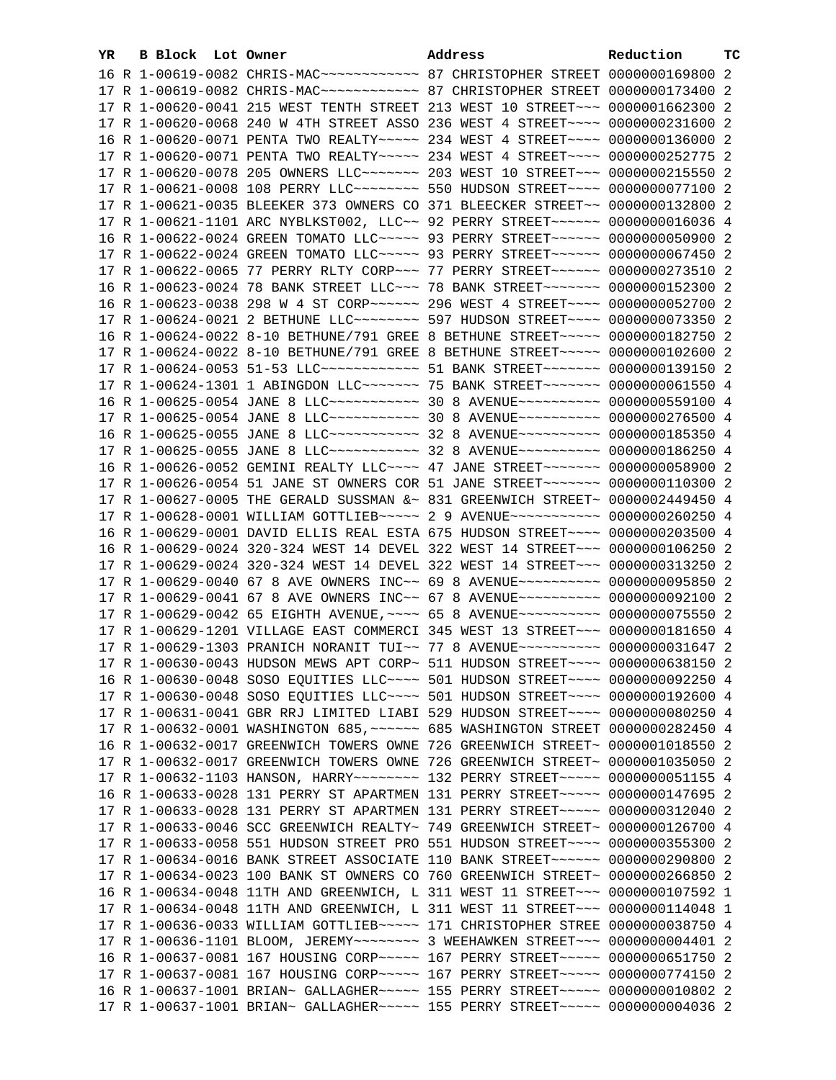| YR. | B Block Lot Owner |                                                                                       | Address | Reduction | тc |
|-----|-------------------|---------------------------------------------------------------------------------------|---------|-----------|----|
|     |                   | 16 R 1-00619-0082 CHRIS-MAC ------------ 87 CHRISTOPHER STREET 0000000169800 2        |         |           |    |
|     |                   | 17 R 1-00619-0082 CHRIS-MAC ------------ 87 CHRISTOPHER STREET 0000000173400 2        |         |           |    |
|     |                   | 17 R 1-00620-0041 215 WEST TENTH STREET 213 WEST 10 STREET~~~ 0000001662300 2         |         |           |    |
|     |                   | 17 R 1-00620-0068 240 W 4TH STREET ASSO 236 WEST 4 STREET~~~~ 0000000231600 2         |         |           |    |
|     |                   | 16 R 1-00620-0071 PENTA TWO REALTY~~~~~ 234 WEST 4 STREET~~~~ 0000000136000 2         |         |           |    |
|     |                   | 17 R 1-00620-0071 PENTA TWO REALTY~~~~~ 234 WEST 4 STREET~~~~ 0000000252775 2         |         |           |    |
|     |                   | 17 R 1-00620-0078 205 OWNERS LLC ------ 203 WEST 10 STREET -- 0000000215550 2         |         |           |    |
|     |                   | 17 R 1-00621-0008 108 PERRY LLC -------- 550 HUDSON STREET --- 0000000077100 2        |         |           |    |
|     |                   | 17 R 1-00621-0035 BLEEKER 373 OWNERS CO 371 BLEECKER STREET~~ 0000000132800 2         |         |           |    |
|     |                   |                                                                                       |         |           |    |
|     |                   | 17 R 1-00621-1101 ARC NYBLKST002, LLC~~ 92 PERRY STREET~~~~~~~ 0000000016036 4        |         |           |    |
|     |                   | 16 R 1-00622-0024 GREEN TOMATO LLC ---- 93 PERRY STREET ----- 0000000050900 2         |         |           |    |
|     |                   | 17 R 1-00622-0024 GREEN TOMATO LLC ---- 93 PERRY STREET ----- 0000000067450 2         |         |           |    |
|     |                   | 17 R 1-00622-0065 77 PERRY RLTY CORP~~~ 77 PERRY STREET~~~~~~ 0000000273510 2         |         |           |    |
|     |                   | 16 R 1-00623-0024 78 BANK STREET LLC ~~~ 78 BANK STREET ~~~~~~~ 0000000152300 2       |         |           |    |
|     |                   | 16 R 1-00623-0038 298 W 4 ST CORP~~~~~~ 296 WEST 4 STREET~~~~ 0000000052700 2         |         |           |    |
|     |                   | 17 R 1-00624-0021 2 BETHUNE LLC ------- 597 HUDSON STREET ---- 0000000073350 2        |         |           |    |
|     |                   | 16 R 1-00624-0022 8-10 BETHUNE/791 GREE 8 BETHUNE STREET~~~~~ 0000000182750 2         |         |           |    |
|     |                   | 17 R 1-00624-0022 8-10 BETHUNE/791 GREE 8 BETHUNE STREET~~~~~ 0000000102600 2         |         |           |    |
|     |                   | 17 R 1-00624-0053 51-53 LLC ------------ 51 BANK STREET ------- 0000000139150 2       |         |           |    |
|     |                   | 17 R 1-00624-1301 1 ABINGDON LLC~~~~~~~~~~~~~ 75 BANK STREET~~~~~~~~~ 0000000061550 4 |         |           |    |
|     |                   | 16 R 1-00625-0054 JANE 8 LLC ----------- 30 8 AVENUE --------- 0000000559100 4        |         |           |    |
|     |                   | 17 R 1-00625-0054 JANE 8 LLC ----------- 30 8 AVENUE ---------- 0000000276500 4       |         |           |    |
|     |                   | 16 R 1-00625-0055 JANE 8 LLC ----------- 32 8 AVENUE ---------- 0000000185350 4       |         |           |    |
|     |                   | 17 R 1-00625-0055 JANE 8 LLC ----------- 32 8 AVENUE ---------- 0000000186250 4       |         |           |    |
|     |                   | 16 R 1-00626-0052 GEMINI REALTY LLC --- 47 JANE STREET ------ 0000000058900 2         |         |           |    |
|     |                   | 17 R 1-00626-0054 51 JANE ST OWNERS COR 51 JANE STREET~~~~~~~ 0000000110300 2         |         |           |    |
|     |                   | 17 R 1-00627-0005 THE GERALD SUSSMAN &~ 831 GREENWICH STREET~ 0000002449450 4         |         |           |    |
|     |                   | 17 R 1-00628-0001 WILLIAM GOTTLIEB~~~~~ 2 9 AVENUE~~~~~~~~~~~ 0000000260250 4         |         |           |    |
|     |                   | 16 R 1-00629-0001 DAVID ELLIS REAL ESTA 675 HUDSON STREET~~~~ 0000000203500 4         |         |           |    |
|     |                   | 16 R 1-00629-0024 320-324 WEST 14 DEVEL 322 WEST 14 STREET~~~ 0000000106250 2         |         |           |    |
|     |                   | 17 R 1-00629-0024 320-324 WEST 14 DEVEL 322 WEST 14 STREET~~~ 0000000313250 2         |         |           |    |
|     |                   | 17 R 1-00629-0040 67 8 AVE OWNERS INC~~ 69 8 AVENUE~~~~~~~~~~ 0000000095850 2         |         |           |    |
|     |                   | 17 R 1-00629-0041 67 8 AVE OWNERS INC~~ 67 8 AVENUE~~~~~~~~~~ 0000000092100 2         |         |           |    |
|     |                   | 17 R 1-00629-0042 65 EIGHTH AVENUE, ~~~~ 65 8 AVENUE~~~~~~~~~~ 0000000075550 2        |         |           |    |
|     |                   | 17 R 1-00629-1201 VILLAGE EAST COMMERCI 345 WEST 13 STREET~~~ 0000000181650 4         |         |           |    |
|     |                   | 17 R 1-00629-1303 PRANICH NORANIT TUI~~ 77 8 AVENUE~~~~~~~~~~ 0000000031647 2         |         |           |    |
|     |                   | 17 R 1-00630-0043 HUDSON MEWS APT CORP~ 511 HUDSON STREET~~~~ 0000000638150 2         |         |           |    |
|     |                   | 16 R 1-00630-0048 SOSO EQUITIES LLC~~~~ 501 HUDSON STREET~~~~ 0000000092250 4         |         |           |    |
|     |                   | 17 R 1-00630-0048 SOSO EQUITIES LLC --- 501 HUDSON STREET --- 0000000192600 4         |         |           |    |
|     |                   | 17 R 1-00631-0041 GBR RRJ LIMITED LIABI 529 HUDSON STREET~~~~ 0000000080250 4         |         |           |    |
|     |                   | 17 R 1-00632-0001 WASHINGTON 685, ~~~~~~ 685 WASHINGTON STREET 0000000282450 4        |         |           |    |
|     |                   | 16 R 1-00632-0017 GREENWICH TOWERS OWNE 726 GREENWICH STREET~ 0000001018550 2         |         |           |    |
|     |                   | 17 R 1-00632-0017 GREENWICH TOWERS OWNE 726 GREENWICH STREET~ 0000001035050 2         |         |           |    |
|     |                   | 17 R 1-00632-1103 HANSON, HARRY~~~~~~~~~~~~~ 132 PERRY STREET~~~~~~ 0000000051155 4   |         |           |    |
|     |                   | 16 R 1-00633-0028 131 PERRY ST APARTMEN 131 PERRY STREET~~~~~ 0000000147695 2         |         |           |    |
|     |                   | 17 R 1-00633-0028 131 PERRY ST APARTMEN 131 PERRY STREET~~~~~ 0000000312040 2         |         |           |    |
|     |                   | 17 R 1-00633-0046 SCC GREENWICH REALTY~ 749 GREENWICH STREET~ 0000000126700 4         |         |           |    |
|     |                   | 17 R 1-00633-0058 551 HUDSON STREET PRO 551 HUDSON STREET~~~~ 0000000355300 2         |         |           |    |
|     |                   | 17 R 1-00634-0016 BANK STREET ASSOCIATE 110 BANK STREET~~~~~~~ 0000000290800 2        |         |           |    |
|     |                   | 17 R 1-00634-0023 100 BANK ST OWNERS CO 760 GREENWICH STREET~ 0000000266850 2         |         |           |    |
|     |                   | 16 R 1-00634-0048 11TH AND GREENWICH, L 311 WEST 11 STREET~~~ 0000000107592 1         |         |           |    |
|     |                   | 17 R 1-00634-0048 11TH AND GREENWICH, L 311 WEST 11 STREET~~~ 0000000114048 1         |         |           |    |
|     |                   | 17 R 1-00636-0033 WILLIAM GOTTLIEB~~~~~ 171 CHRISTOPHER STREE 0000000038750 4         |         |           |    |
|     |                   |                                                                                       |         |           |    |
|     |                   | 16 R 1-00637-0081 167 HOUSING CORP ~~~~~ 167 PERRY STREET ~~~~~ 0000000651750 2       |         |           |    |
|     |                   | 17 R 1-00637-0081 167 HOUSING CORP ~~~~~ 167 PERRY STREET ~~~~~ 0000000774150 2       |         |           |    |
|     |                   | 16 R 1-00637-1001 BRIAN~ GALLAGHER~~~~~ 155 PERRY STREET~~~~~ 0000000010802 2         |         |           |    |
|     |                   |                                                                                       |         |           |    |
|     |                   | 17 R 1-00637-1001 BRIAN~ GALLAGHER~~~~~ 155 PERRY STREET~~~~~ 0000000004036 2         |         |           |    |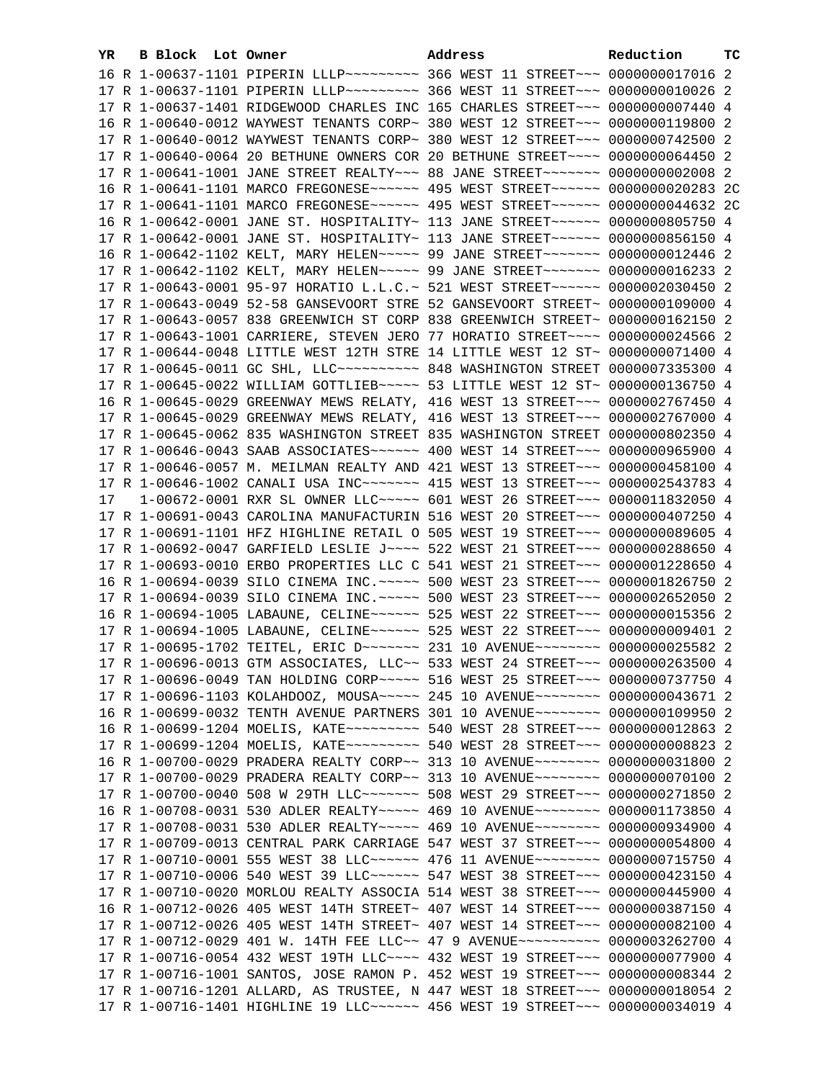| YR. | B Block Lot Owner | Address                                                                                                                                                        | Reduction | тc |
|-----|-------------------|----------------------------------------------------------------------------------------------------------------------------------------------------------------|-----------|----|
|     |                   | 16 R 1-00637-1101 PIPERIN LLLP -------- 366 WEST 11 STREET --- 0000000017016 2                                                                                 |           |    |
|     |                   | 17 R 1-00637-1101 PIPERIN LLLP -------- 366 WEST 11 STREET --- 0000000010026 2                                                                                 |           |    |
|     |                   | 17 R 1-00637-1401 RIDGEWOOD CHARLES INC 165 CHARLES STREET~~~ 0000000007440 4                                                                                  |           |    |
|     |                   | 16 R 1-00640-0012 WAYWEST TENANTS CORP~ 380 WEST 12 STREET~~~ 0000000119800 2                                                                                  |           |    |
|     |                   | 17 R 1-00640-0012 WAYWEST TENANTS CORP~ 380 WEST 12 STREET~~~ 0000000742500 2                                                                                  |           |    |
|     |                   | 17 R 1-00640-0064 20 BETHUNE OWNERS COR 20 BETHUNE STREET~~~~ 0000000064450 2                                                                                  |           |    |
|     |                   | 17 R 1-00641-1001 JANE STREET REALTY~~~ 88 JANE STREET~~~~~~~ 00000000002008 2                                                                                 |           |    |
|     |                   | 16 R 1-00641-1101 MARCO FREGONESE~~~~~~ 495 WEST STREET~~~~~~ 0000000020283 2C                                                                                 |           |    |
|     |                   | 17 R 1-00641-1101 MARCO FREGONESE~~~~~~ 495 WEST STREET~~~~~~ 0000000044632 2C                                                                                 |           |    |
|     |                   | 16 R 1-00642-0001 JANE ST. HOSPITALITY~ 113 JANE STREET~~~~~~~ 0000000805750 4                                                                                 |           |    |
|     |                   | 17 R 1-00642-0001 JANE ST. HOSPITALITY~ 113 JANE STREET~~~~~~~ 0000000856150 4                                                                                 |           |    |
|     |                   | 16 R 1-00642-1102 KELT, MARY HELEN~~~~~ 99 JANE STREET~~~~~~~ 0000000012446 2                                                                                  |           |    |
|     |                   |                                                                                                                                                                |           |    |
|     |                   | 17 R 1-00642-1102 KELT, MARY HELEN~~~~~ 99 JANE STREET~~~~~~~ 0000000016233 2                                                                                  |           |    |
|     |                   | 17 R 1-00643-0001 95-97 HORATIO L.L.C.~ 521 WEST STREET~~~~~~~ 0000002030450 2                                                                                 |           |    |
|     |                   | 17 R 1-00643-0049 52-58 GANSEVOORT STRE 52 GANSEVOORT STREET~ 0000000109000 4                                                                                  |           |    |
|     |                   | 17 R 1-00643-0057 838 GREENWICH ST CORP 838 GREENWICH STREET~ 0000000162150 2                                                                                  |           |    |
|     |                   | 17 R 1-00643-1001 CARRIERE, STEVEN JERO 77 HORATIO STREET~~~~ 0000000024566 2                                                                                  |           |    |
|     |                   | 17 R 1-00644-0048 LITTLE WEST 12TH STRE 14 LITTLE WEST 12 ST~ 0000000071400 4                                                                                  |           |    |
|     |                   | 17 R 1-00645-0011 GC SHL, LLC --------- 848 WASHINGTON STREET 0000007335300 4                                                                                  |           |    |
|     |                   | 17 R 1-00645-0022 WILLIAM GOTTLIEB~~~~~ 53 LITTLE WEST 12 ST~ 0000000136750 4                                                                                  |           |    |
|     |                   | 16 R 1-00645-0029 GREENWAY MEWS RELATY, 416 WEST 13 STREET~~~ 0000002767450 4                                                                                  |           |    |
|     |                   | 17 R 1-00645-0029 GREENWAY MEWS RELATY, 416 WEST 13 STREET~~~ 0000002767000 4                                                                                  |           |    |
|     |                   | 17 R 1-00645-0062 835 WASHINGTON STREET 835 WASHINGTON STREET 0000000802350 4                                                                                  |           |    |
|     |                   | 17 R 1-00646-0043 SAAB ASSOCIATES~~~~~~ 400 WEST 14 STREET~~~ 0000000965900 4                                                                                  |           |    |
|     |                   | 17 R 1-00646-0057 M. MEILMAN REALTY AND 421 WEST 13 STREET~~~ 0000000458100 4                                                                                  |           |    |
|     |                   | 17 R 1-00646-1002 CANALI USA INC~~~~~~~~ 415 WEST 13 STREET~~~ 0000002543783 4                                                                                 |           |    |
| 17  |                   | 1-00672-0001 RXR SL OWNER LLC~~~~~ 601 WEST 26 STREET~~~ 0000011832050 4                                                                                       |           |    |
|     |                   | 17 R 1-00691-0043 CAROLINA MANUFACTURIN 516 WEST 20 STREET~~~ 0000000407250 4                                                                                  |           |    |
|     |                   | 17 R 1-00691-1101 HFZ HIGHLINE RETAIL O 505 WEST 19 STREET~~~ 0000000089605 4<br>17 R 1-00692-0047 GARFIELD LESLIE J~~~~ 522 WEST 21 STREET~~~ 0000000288650 4 |           |    |
|     |                   | 17 R 1-00693-0010 ERBO PROPERTIES LLC C 541 WEST 21 STREET~~~ 0000001228650 4                                                                                  |           |    |
|     |                   | 16 R 1-00694-0039 SILO CINEMA INC. ~~~~~ 500 WEST 23 STREET~~~ 0000001826750 2                                                                                 |           |    |
|     |                   | 17 R 1-00694-0039 SILO CINEMA INC. ~~~~~ 500 WEST 23 STREET~~~ 0000002652050 2                                                                                 |           |    |
|     |                   | 16 R 1-00694-1005 LABAUNE, CELINE~~~~~~ 525 WEST 22 STREET~~~ 0000000015356 2                                                                                  |           |    |
|     |                   | 17 R 1-00694-1005 LABAUNE, CELINE~~~~~~ 525 WEST 22 STREET~~~ 0000000009401 2                                                                                  |           |    |
|     |                   | 17 R 1-00695-1702 TEITEL, ERIC D ------ 231 10 AVENUE ------ 0000000025582 2                                                                                   |           |    |
|     |                   | 17 R 1-00696-0013 GTM ASSOCIATES, LLC~~ 533 WEST 24 STREET~~~ 0000000263500 4                                                                                  |           |    |
|     |                   | 17 R 1-00696-0049 TAN HOLDING CORP~~~~~ 516 WEST 25 STREET~~~ 0000000737750 4                                                                                  |           |    |
|     |                   | 17 R 1-00696-1103 KOLAHDOOZ, MOUSA~~~~~ 245 10 AVENUE~~~~~~~~ 0000000043671 2                                                                                  |           |    |
|     |                   | 16 R 1-00699-0032 TENTH AVENUE PARTNERS 301 10 AVENUE~~~~~~~~ 0000000109950 2                                                                                  |           |    |
|     |                   | 16 R 1-00699-1204 MOELIS, KATE~~~~~~~~~~ 540 WEST 28 STREET~~~ 0000000012863 2                                                                                 |           |    |
|     |                   | 17 R 1-00699-1204 MOELIS, KATE~~~~~~~~~~ 540 WEST 28 STREET~~~ 0000000008823 2                                                                                 |           |    |
|     |                   | 16 R 1-00700-0029 PRADERA REALTY CORP~~ 313 10 AVENUE~~~~~~~~ 0000000031800 2                                                                                  |           |    |
|     |                   | 17 R 1-00700-0029 PRADERA REALTY CORP~~ 313 10 AVENUE~~~~~~~~ 0000000070100 2                                                                                  |           |    |
|     |                   | 17 R 1-00700-0040 508 W 29TH LLC ------- 508 WEST 29 STREET -- 0000000271850 2                                                                                 |           |    |
|     |                   | 16 R 1-00708-0031 530 ADLER REALTY~~~~~ 469 10 AVENUE~~~~~~~~ 0000001173850 4                                                                                  |           |    |
|     |                   | 17 R 1-00708-0031 530 ADLER REALTY~~~~~ 469 10 AVENUE~~~~~~~~ 0000000934900 4                                                                                  |           |    |
|     |                   | 17 R 1-00709-0013 CENTRAL PARK CARRIAGE 547 WEST 37 STREET~~~ 0000000054800 4                                                                                  |           |    |
|     |                   | 17 R 1-00710-0001 555 WEST 38 LLC ----- 476 11 AVENUE ------ 0000000715750 4                                                                                   |           |    |
|     |                   | 17 R 1-00710-0006 540 WEST 39 LLC ----- 547 WEST 38 STREET -- 0000000423150 4                                                                                  |           |    |
|     |                   | 17 R 1-00710-0020 MORLOU REALTY ASSOCIA 514 WEST 38 STREET~~~ 0000000445900 4                                                                                  |           |    |
|     |                   | 16 R 1-00712-0026 405 WEST 14TH STREET~ 407 WEST 14 STREET~~~ 0000000387150 4                                                                                  |           |    |
|     |                   | 17 R 1-00712-0026 405 WEST 14TH STREET~ 407 WEST 14 STREET~~~ 0000000082100 4                                                                                  |           |    |
|     |                   | 17 R 1-00712-0029 401 W. 14TH FEE LLC~~ 47 9 AVENUE~~~~~~~~~~ 0000003262700 4                                                                                  |           |    |
|     |                   | 17 R 1-00716-0054 432 WEST 19TH LLC~~~~ 432 WEST 19 STREET~~~ 0000000077900 4                                                                                  |           |    |
|     |                   | 17 R 1-00716-1001 SANTOS, JOSE RAMON P. 452 WEST 19 STREET~~~ 0000000008344 2                                                                                  |           |    |
|     |                   | 17 R 1-00716-1201 ALLARD, AS TRUSTEE, N 447 WEST 18 STREET~~~ 0000000018054 2                                                                                  |           |    |
|     |                   | 17 R 1-00716-1401 HIGHLINE 19 LLC ----- 456 WEST 19 STREET -- 0000000034019 4                                                                                  |           |    |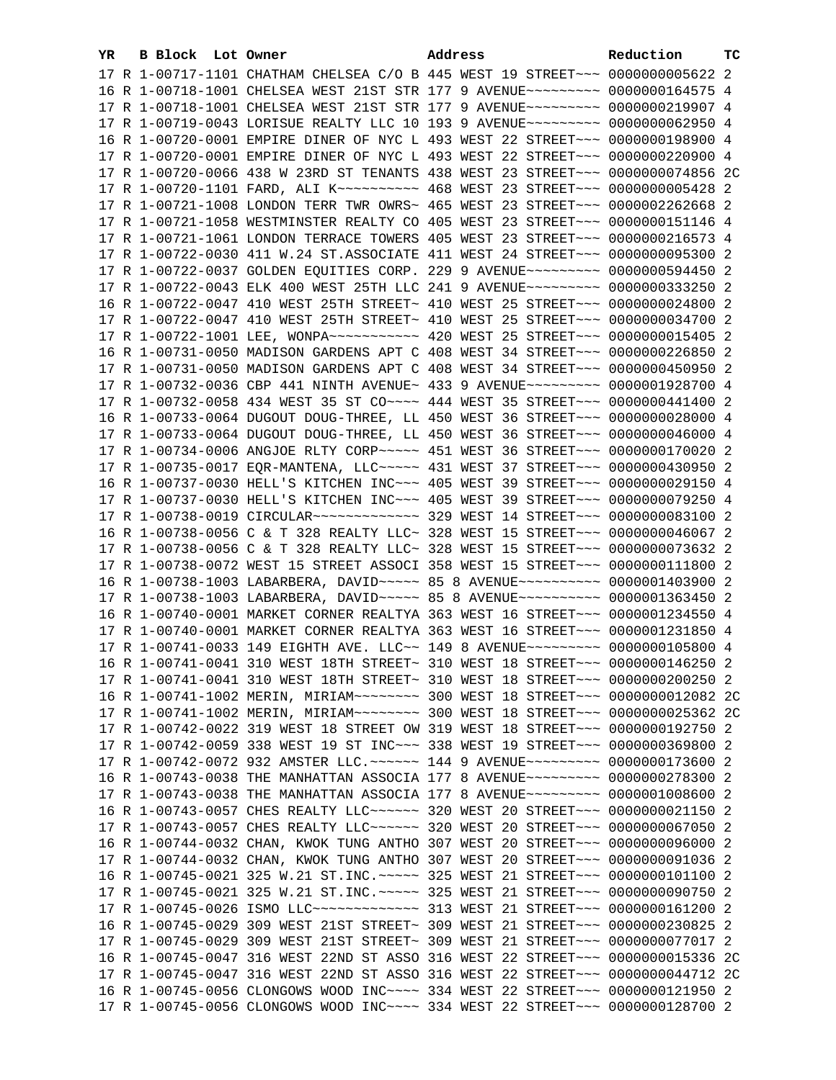| YR. | <b>B Block Lot Owner</b> |                                                                                     | Address |  | Reduction | тc |
|-----|--------------------------|-------------------------------------------------------------------------------------|---------|--|-----------|----|
|     |                          | 17 R 1-00717-1101 CHATHAM CHELSEA C/O B 445 WEST 19 STREET~~~ 0000000005622 2       |         |  |           |    |
|     |                          | 16 R 1-00718-1001 CHELSEA WEST 21ST STR 177 9 AVENUE~~~~~~~~~ 0000000164575 4       |         |  |           |    |
|     |                          | 17 R 1-00718-1001 CHELSEA WEST 21ST STR 177 9 AVENUE~~~~~~~~~ 0000000219907 4       |         |  |           |    |
|     |                          | 17 R 1-00719-0043 LORISUE REALTY LLC 10 193 9 AVENUE~~~~~~~~~ 0000000062950 4       |         |  |           |    |
|     |                          | 16 R 1-00720-0001 EMPIRE DINER OF NYC L 493 WEST 22 STREET~~~ 0000000198900 4       |         |  |           |    |
|     |                          | 17 R 1-00720-0001 EMPIRE DINER OF NYC L 493 WEST 22 STREET~~~ 0000000220900 4       |         |  |           |    |
|     |                          | 17 R 1-00720-0066 438 W 23RD ST TENANTS 438 WEST 23 STREET~~~ 0000000074856 2C      |         |  |           |    |
|     |                          | 17 R 1-00720-1101 FARD, ALI K~~~~~~~~~~~~~~~ 468 WEST 23 STREET~~~~ 0000000005428 2 |         |  |           |    |
|     |                          | 17 R 1-00721-1008 LONDON TERR TWR OWRS~ 465 WEST 23 STREET~~~ 0000002262668 2       |         |  |           |    |
|     |                          | 17 R 1-00721-1058 WESTMINSTER REALTY CO 405 WEST 23 STREET~~~ 0000000151146 4       |         |  |           |    |
|     |                          | 17 R 1-00721-1061 LONDON TERRACE TOWERS 405 WEST 23 STREET~~~ 0000000216573 4       |         |  |           |    |
|     |                          | 17 R 1-00722-0030 411 W.24 ST.ASSOCIATE 411 WEST 24 STREET~~~ 0000000095300 2       |         |  |           |    |
|     |                          | 17 R 1-00722-0037 GOLDEN EQUITIES CORP. 229 9 AVENUE~~~~~~~~~ 0000000594450 2       |         |  |           |    |
|     |                          | 17 R 1-00722-0043 ELK 400 WEST 25TH LLC 241 9 AVENUE~~~~~~~~~ 0000000333250 2       |         |  |           |    |
|     |                          | 16 R 1-00722-0047 410 WEST 25TH STREET~ 410 WEST 25 STREET~~~ 0000000024800 2       |         |  |           |    |
|     |                          | 17 R 1-00722-0047 410 WEST 25TH STREET~ 410 WEST 25 STREET~~~ 0000000034700 2       |         |  |           |    |
|     |                          | 17 R 1-00722-1001 LEE, WONPA~~~~~~~~~~~ 420 WEST 25 STREET~~~ 0000000015405 2       |         |  |           |    |
|     |                          | 16 R 1-00731-0050 MADISON GARDENS APT C 408 WEST 34 STREET~~~ 0000000226850 2       |         |  |           |    |
|     |                          | 17 R 1-00731-0050 MADISON GARDENS APT C 408 WEST 34 STREET~~~ 0000000450950 2       |         |  |           |    |
|     |                          | 17 R 1-00732-0036 CBP 441 NINTH AVENUE~ 433 9 AVENUE~~~~~~~~~~ 0000001928700 4      |         |  |           |    |
|     |                          | 17 R 1-00732-0058 434 WEST 35 ST CO~~~~ 444 WEST 35 STREET~~~ 0000000441400 2       |         |  |           |    |
|     |                          | 16 R 1-00733-0064 DUGOUT DOUG-THREE, LL 450 WEST 36 STREET~~~ 0000000028000 4       |         |  |           |    |
|     |                          | 17 R 1-00733-0064 DUGOUT DOUG-THREE, LL 450 WEST 36 STREET~~~ 0000000046000 4       |         |  |           |    |
|     |                          | 17 R 1-00734-0006 ANGJOE RLTY CORP~~~~~ 451 WEST 36 STREET~~~ 0000000170020 2       |         |  |           |    |
|     |                          | 17 R 1-00735-0017 EQR-MANTENA, LLC ---- 431 WEST 37 STREET -- 0000000430950 2       |         |  |           |    |
|     |                          | 16 R 1-00737-0030 HELL'S KITCHEN INC~~~ 405 WEST 39 STREET~~~ 0000000029150 4       |         |  |           |    |
|     |                          | 17 R 1-00737-0030 HELL'S KITCHEN INC~~~ 405 WEST 39 STREET~~~ 0000000079250 4       |         |  |           |    |
|     |                          | 17 R 1-00738-0019 CIRCULAR ------------- 329 WEST 14 STREET --- 0000000083100 2     |         |  |           |    |
|     |                          | 16 R 1-00738-0056 C & T 328 REALTY LLC~ 328 WEST 15 STREET~~~ 0000000046067 2       |         |  |           |    |
|     |                          | 17 R 1-00738-0056 C & T 328 REALTY LLC~ 328 WEST 15 STREET~~~ 0000000073632 2       |         |  |           |    |
|     |                          | 17 R 1-00738-0072 WEST 15 STREET ASSOCI 358 WEST 15 STREET~~~ 0000000111800 2       |         |  |           |    |
|     |                          | 16 R 1-00738-1003 LABARBERA, DAVID ~~~~~ 85 8 AVENUE ~~~~~~~~~~ 0000001403900 2     |         |  |           |    |
|     |                          | 17 R 1-00738-1003 LABARBERA, DAVID ~~~~~ 85 8 AVENUE ~~~~~~~~~~ 0000001363450 2     |         |  |           |    |
|     |                          | 16 R 1-00740-0001 MARKET CORNER REALTYA 363 WEST 16 STREET~~~ 0000001234550 4       |         |  |           |    |
|     |                          | 17 R 1-00740-0001 MARKET CORNER REALTYA 363 WEST 16 STREET~~~ 0000001231850 4       |         |  |           |    |
|     |                          | 17 R 1-00741-0033 149 EIGHTH AVE. LLC~~ 149 8 AVENUE~~~~~~~~~ 0000000105800 4       |         |  |           |    |
|     |                          | 16 R 1-00741-0041 310 WEST 18TH STREET~ 310 WEST 18 STREET~~~ 0000000146250 2       |         |  |           |    |
|     |                          | 17 R 1-00741-0041 310 WEST 18TH STREET~ 310 WEST 18 STREET~~~ 0000000200250 2       |         |  |           |    |
|     |                          |                                                                                     |         |  |           |    |
|     |                          | 17 R 1-00741-1002 MERIN, MIRIAM~~~~~~~~ 300 WEST 18 STREET~~~ 0000000025362 2C      |         |  |           |    |
|     |                          | 17 R 1-00742-0022 319 WEST 18 STREET OW 319 WEST 18 STREET~~~ 0000000192750 2       |         |  |           |    |
|     |                          | 17 R 1-00742-0059 338 WEST 19 ST INC~~~ 338 WEST 19 STREET~~~ 0000000369800 2       |         |  |           |    |
|     |                          | 17 R 1-00742-0072 932 AMSTER LLC. ~~~~~~ 144 9 AVENUE~~~~~~~~~ 0000000173600 2      |         |  |           |    |
|     |                          | 16 R 1-00743-0038 THE MANHATTAN ASSOCIA 177 8 AVENUE~~~~~~~~~ 0000000278300 2       |         |  |           |    |
|     |                          | 17 R 1-00743-0038 THE MANHATTAN ASSOCIA 177 8 AVENUE~~~~~~~~~ 0000001008600 2       |         |  |           |    |
|     |                          | 16 R 1-00743-0057 CHES REALTY LLC ----- 320 WEST 20 STREET -- 0000000021150 2       |         |  |           |    |
|     |                          | 17 R 1-00743-0057 CHES REALTY LLC ----- 320 WEST 20 STREET -- 0000000067050 2       |         |  |           |    |
|     |                          | 16 R 1-00744-0032 CHAN, KWOK TUNG ANTHO 307 WEST 20 STREET~~~ 0000000096000 2       |         |  |           |    |
|     |                          | 17 R 1-00744-0032 CHAN, KWOK TUNG ANTHO 307 WEST 20 STREET~~~ 0000000091036 2       |         |  |           |    |
|     |                          | 16 R 1-00745-0021 325 W.21 ST.INC. ~~~~~ 325 WEST 21 STREET~~~ 0000000101100 2      |         |  |           |    |
|     |                          | 17 R 1-00745-0021 325 W.21 ST.INC. ~~~~~ 325 WEST 21 STREET~~~ 0000000090750 2      |         |  |           |    |
|     |                          | 17 R 1-00745-0026 ISMO LLC -------------- 313 WEST 21 STREET --- 0000000161200 2    |         |  |           |    |
|     |                          | 16 R 1-00745-0029 309 WEST 21ST STREET~ 309 WEST 21 STREET~~~ 0000000230825 2       |         |  |           |    |
|     |                          | 17 R 1-00745-0029 309 WEST 21ST STREET~ 309 WEST 21 STREET~~~ 0000000077017 2       |         |  |           |    |
|     |                          | 16 R 1-00745-0047 316 WEST 22ND ST ASSO 316 WEST 22 STREET~~~ 0000000015336 2C      |         |  |           |    |
|     |                          | 17 R 1-00745-0047 316 WEST 22ND ST ASSO 316 WEST 22 STREET~~~ 0000000044712 2C      |         |  |           |    |
|     |                          | 16 R 1-00745-0056 CLONGOWS WOOD INC~~~~ 334 WEST 22 STREET~~~ 0000000121950 2       |         |  |           |    |
|     |                          | 17 R 1-00745-0056 CLONGOWS WOOD INC~~~~ 334 WEST 22 STREET~~~ 0000000128700 2       |         |  |           |    |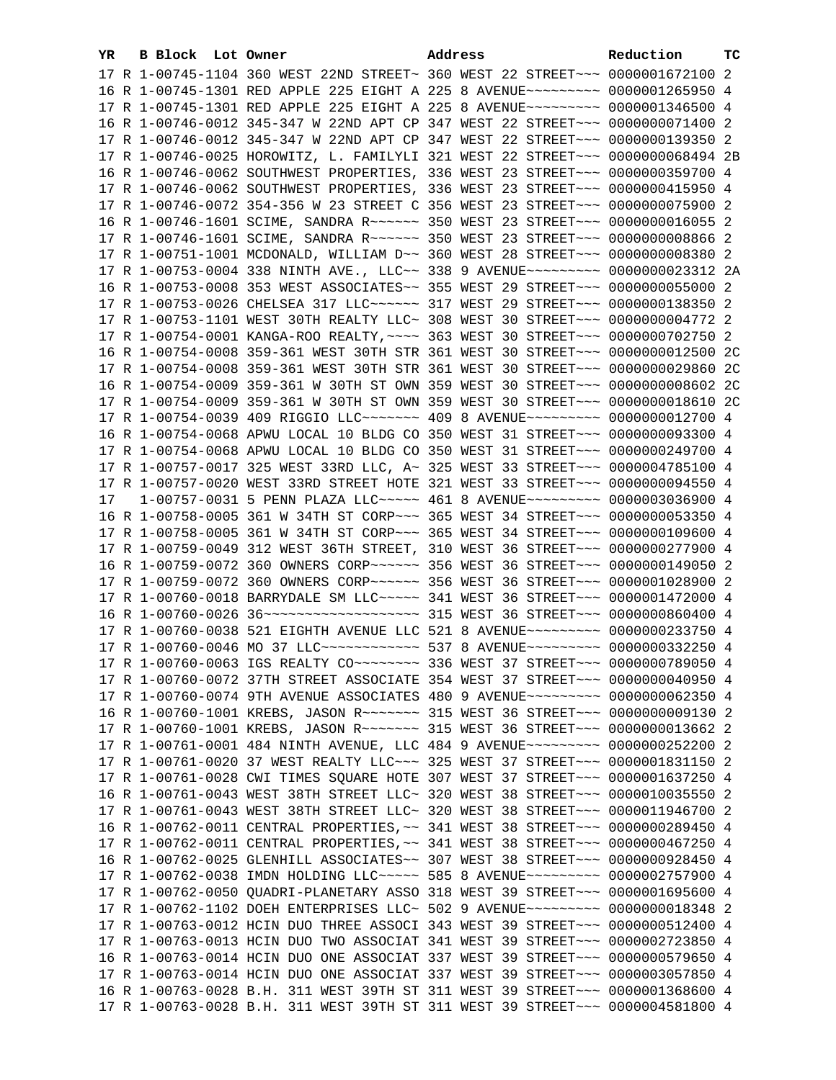| YR | B Block Lot Owner |                                                                                   | Address | Reduction | тc |
|----|-------------------|-----------------------------------------------------------------------------------|---------|-----------|----|
|    |                   | 17 R 1-00745-1104 360 WEST 22ND STREET~ 360 WEST 22 STREET~~~ 0000001672100 2     |         |           |    |
|    |                   | 16 R 1-00745-1301 RED APPLE 225 EIGHT A 225 8 AVENUE~~~~~~~~~ 0000001265950 4     |         |           |    |
|    |                   | 17 R 1-00745-1301 RED APPLE 225 EIGHT A 225 8 AVENUE~~~~~~~~~ 0000001346500 4     |         |           |    |
|    |                   | 16 R 1-00746-0012 345-347 W 22ND APT CP 347 WEST 22 STREET~~~ 0000000071400 2     |         |           |    |
|    |                   | 17 R 1-00746-0012 345-347 W 22ND APT CP 347 WEST 22 STREET~~~ 0000000139350 2     |         |           |    |
|    |                   | 17 R 1-00746-0025 HOROWITZ, L. FAMILYLI 321 WEST 22 STREET~~~ 0000000068494 2B    |         |           |    |
|    |                   | 16 R 1-00746-0062 SOUTHWEST PROPERTIES, 336 WEST 23 STREET~~~ 0000000359700 4     |         |           |    |
|    |                   | 17 R 1-00746-0062 SOUTHWEST PROPERTIES, 336 WEST 23 STREET~~~ 0000000415950 4     |         |           |    |
|    |                   | 17 R 1-00746-0072 354-356 W 23 STREET C 356 WEST 23 STREET~~~ 0000000075900 2     |         |           |    |
|    |                   |                                                                                   |         |           |    |
|    |                   | 16 R 1-00746-1601 SCIME, SANDRA R ---- 350 WEST 23 STREET -- 0000000016055 2      |         |           |    |
|    |                   | 17 R 1-00746-1601 SCIME, SANDRA R ----- 350 WEST 23 STREET -- 00000000008866 2    |         |           |    |
|    |                   | 17 R 1-00751-1001 MCDONALD, WILLIAM D~~ 360 WEST 28 STREET~~~ 0000000008380 2     |         |           |    |
|    |                   | 17 R 1-00753-0004 338 NINTH AVE., LLC~~ 338 9 AVENUE~~~~~~~~~ 0000000023312 2A    |         |           |    |
|    |                   | 16 R 1-00753-0008 353 WEST ASSOCIATES~~ 355 WEST 29 STREET~~~ 0000000055000 2     |         |           |    |
|    |                   | 17 R 1-00753-0026 CHELSEA 317 LLC ~~~~~~ 317 WEST 29 STREET ~~~ 0000000138350 2   |         |           |    |
|    |                   | 17 R 1-00753-1101 WEST 30TH REALTY LLC~ 308 WEST 30 STREET~~~ 0000000004772 2     |         |           |    |
|    |                   | 17 R 1-00754-0001 KANGA-ROO REALTY, ~~~~ 363 WEST 30 STREET~~~ 0000000702750 2    |         |           |    |
|    |                   | 16 R 1-00754-0008 359-361 WEST 30TH STR 361 WEST 30 STREET~~~ 0000000012500 2C    |         |           |    |
|    |                   | 17 R 1-00754-0008 359-361 WEST 30TH STR 361 WEST 30 STREET~~~ 0000000029860 2C    |         |           |    |
|    |                   | 16 R 1-00754-0009 359-361 W 30TH ST OWN 359 WEST 30 STREET~~~ 0000000008602 2C    |         |           |    |
|    |                   | 17 R 1-00754-0009 359-361 W 30TH ST OWN 359 WEST 30 STREET~~~ 0000000018610 2C    |         |           |    |
|    |                   | 17 R 1-00754-0039 409 RIGGIO LLC~~~~~~~ 409 8 AVENUE~~~~~~~~~ 0000000012700 4     |         |           |    |
|    |                   | 16 R 1-00754-0068 APWU LOCAL 10 BLDG CO 350 WEST 31 STREET~~~ 0000000093300 4     |         |           |    |
|    |                   | 17 R 1-00754-0068 APWU LOCAL 10 BLDG CO 350 WEST 31 STREET~~~ 0000000249700 4     |         |           |    |
|    |                   | 17 R 1-00757-0017 325 WEST 33RD LLC, A~ 325 WEST 33 STREET~~~ 0000004785100 4     |         |           |    |
|    |                   | 17 R 1-00757-0020 WEST 33RD STREET HOTE 321 WEST 33 STREET~~~ 0000000094550 4     |         |           |    |
| 17 |                   | 1-00757-0031 5 PENN PLAZA LLC~~~~~ 461 8 AVENUE~~~~~~~~~ 0000003036900 4          |         |           |    |
|    |                   | 16 R 1-00758-0005 361 W 34TH ST CORP~~~ 365 WEST 34 STREET~~~ 0000000053350 4     |         |           |    |
|    |                   | 17 R 1-00758-0005 361 W 34TH ST CORP~~~ 365 WEST 34 STREET~~~ 0000000109600 4     |         |           |    |
|    |                   | 17 R 1-00759-0049 312 WEST 36TH STREET, 310 WEST 36 STREET~~~ 0000000277900 4     |         |           |    |
|    |                   |                                                                                   |         |           |    |
|    |                   | 17 R 1-00759-0072 360 OWNERS CORP~~~~~~ 356 WEST 36 STREET~~~ 0000001028900 2     |         |           |    |
|    |                   | 17 R 1-00760-0018 BARRYDALE SM LLC ~~~~~ 341 WEST 36 STREET ~~~ 0000001472000 4   |         |           |    |
|    |                   | 16 R 1-00760-0026 36 --------------------- 315 WEST 36 STREET --- 0000000860400 4 |         |           |    |
|    |                   | 17 R 1-00760-0038 521 EIGHTH AVENUE LLC 521 8 AVENUE~~~~~~~~~ 0000000233750 4     |         |           |    |
|    |                   | 17 R 1-00760-0046 MO 37 LLC ------------ 537 8 AVENUE --------- 0000000332250 4   |         |           |    |
|    |                   | 17 R 1-00760-0063 IGS REALTY CO ------- 336 WEST 37 STREET -- 0000000789050 4     |         |           |    |
|    |                   | 17 R 1-00760-0072 37TH STREET ASSOCIATE 354 WEST 37 STREET~~~ 0000000040950 4     |         |           |    |
|    |                   | 17 R 1-00760-0074 9TH AVENUE ASSOCIATES 480 9 AVENUE~~~~~~~~~ 0000000062350 4     |         |           |    |
|    |                   | 16 R 1-00760-1001 KREBS, JASON R ------ 315 WEST 36 STREET -- 00000000009130 2    |         |           |    |
|    |                   | 17 R 1-00760-1001 KREBS, JASON R ------ 315 WEST 36 STREET -- 0000000013662 2     |         |           |    |
|    |                   | 17 R 1-00761-0001 484 NINTH AVENUE, LLC 484 9 AVENUE~~~~~~~~~ 0000000252200 2     |         |           |    |
|    |                   | 17 R 1-00761-0020 37 WEST REALTY LLC -~~ 325 WEST 37 STREET -~~ 0000001831150 2   |         |           |    |
|    |                   | 17 R 1-00761-0028 CWI TIMES SQUARE HOTE 307 WEST 37 STREET~~~ 0000001637250 4     |         |           |    |
|    |                   | 16 R 1-00761-0043 WEST 38TH STREET LLC~ 320 WEST 38 STREET~~~ 0000010035550 2     |         |           |    |
|    |                   | 17 R 1-00761-0043 WEST 38TH STREET LLC~ 320 WEST 38 STREET~~~ 0000011946700 2     |         |           |    |
|    |                   | 16 R 1-00762-0011 CENTRAL PROPERTIES, ~~ 341 WEST 38 STREET~~~ 0000000289450 4    |         |           |    |
|    |                   | 17 R 1-00762-0011 CENTRAL PROPERTIES, ~~ 341 WEST 38 STREET~~~ 0000000467250 4    |         |           |    |
|    |                   | 16 R 1-00762-0025 GLENHILL ASSOCIATES~~ 307 WEST 38 STREET~~~ 0000000928450 4     |         |           |    |
|    |                   | 17 R 1-00762-0038 IMDN HOLDING LLC ---- 585 8 AVENUE -------- 0000002757900 4     |         |           |    |
|    |                   | 17 R 1-00762-0050 QUADRI-PLANETARY ASSO 318 WEST 39 STREET~~~ 0000001695600 4     |         |           |    |
|    |                   | 17 R 1-00762-1102 DOEH ENTERPRISES LLC~ 502 9 AVENUE~~~~~~~~~ 0000000018348 2     |         |           |    |
|    |                   | 17 R 1-00763-0012 HCIN DUO THREE ASSOCI 343 WEST 39 STREET~~~ 0000000512400 4     |         |           |    |
|    |                   | 17 R 1-00763-0013 HCIN DUO TWO ASSOCIAT 341 WEST 39 STREET~~~ 0000002723850 4     |         |           |    |
|    |                   | 16 R 1-00763-0014 HCIN DUO ONE ASSOCIAT 337 WEST 39 STREET~~~ 0000000579650 4     |         |           |    |
|    |                   | 17 R 1-00763-0014 HCIN DUO ONE ASSOCIAT 337 WEST 39 STREET~~~ 0000003057850 4     |         |           |    |
|    |                   | 16 R 1-00763-0028 B.H. 311 WEST 39TH ST 311 WEST 39 STREET~~~ 0000001368600 4     |         |           |    |
|    |                   | 17 R 1-00763-0028 B.H. 311 WEST 39TH ST 311 WEST 39 STREET~~~ 0000004581800 4     |         |           |    |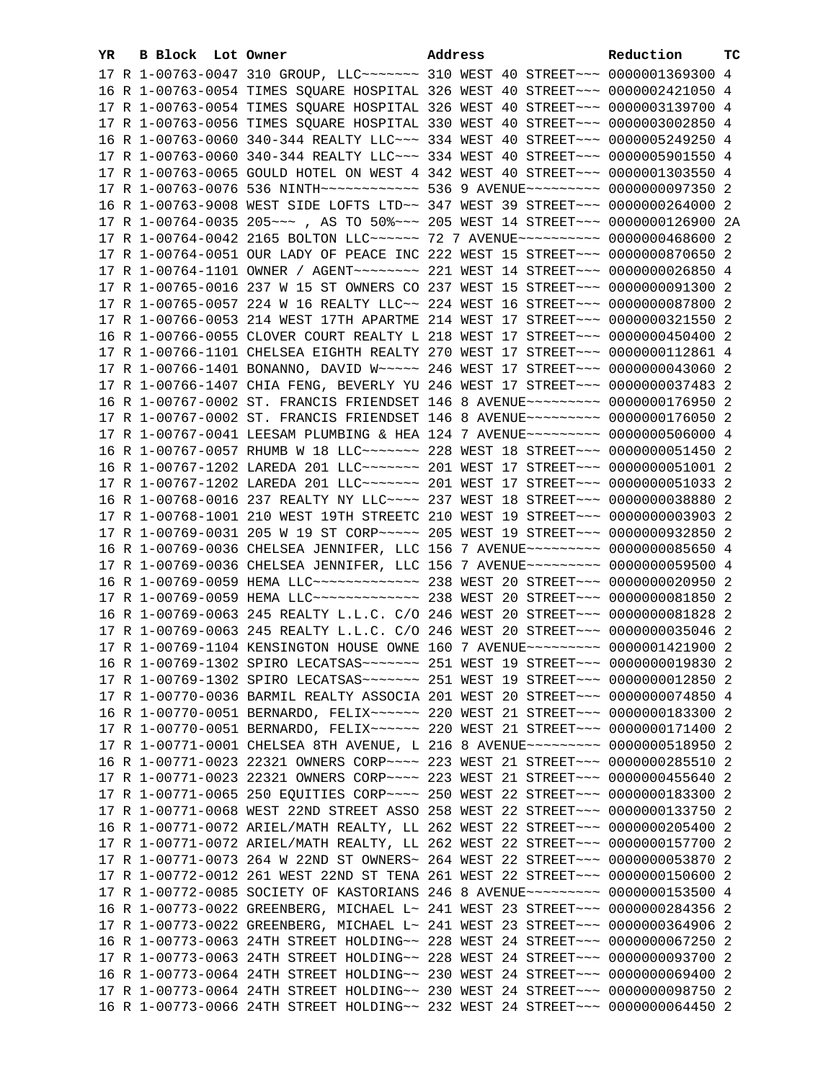| YR. | B Block Lot Owner |                                                                                     | Address |  | Reduction | тc |
|-----|-------------------|-------------------------------------------------------------------------------------|---------|--|-----------|----|
|     |                   | 17 R 1-00763-0047 310 GROUP, LLC ------ 310 WEST 40 STREET --- 0000001369300 4      |         |  |           |    |
|     |                   | 16 R 1-00763-0054 TIMES SQUARE HOSPITAL 326 WEST 40 STREET~~~ 0000002421050 4       |         |  |           |    |
|     |                   | 17 R 1-00763-0054 TIMES SQUARE HOSPITAL 326 WEST 40 STREET~~~ 0000003139700 4       |         |  |           |    |
|     |                   | 17 R 1-00763-0056 TIMES SQUARE HOSPITAL 330 WEST 40 STREET~~~ 0000003002850 4       |         |  |           |    |
|     |                   | 16 R 1-00763-0060 340-344 REALTY LLC -~~ 334 WEST 40 STREET -~~ 0000005249250 4     |         |  |           |    |
|     |                   | 17 R 1-00763-0060 340-344 REALTY LLC -~~ 334 WEST 40 STREET -~~ 0000005901550 4     |         |  |           |    |
|     |                   | 17 R 1-00763-0065 GOULD HOTEL ON WEST 4 342 WEST 40 STREET~~~ 0000001303550 4       |         |  |           |    |
|     |                   | 17 R 1-00763-0076 536 NINTH~~~~~~~~~~~~~~~~~ 536 9 AVENUE~~~~~~~~~~ 0000000097350 2 |         |  |           |    |
|     |                   | 16 R 1-00763-9008 WEST SIDE LOFTS LTD~~ 347 WEST 39 STREET~~~ 0000000264000 2       |         |  |           |    |
|     |                   | 17 R 1-00764-0035 205 ~~~ , AS TO 50% ~~~ 205 WEST 14 STREET ~~~ 0000000126900 2A   |         |  |           |    |
|     |                   | 17 R 1-00764-0042 2165 BOLTON LLC ----- 72 7 AVENUE --------- 0000000468600 2       |         |  |           |    |
|     |                   | 17 R 1-00764-0051 OUR LADY OF PEACE INC 222 WEST 15 STREET~~~ 0000000870650 2       |         |  |           |    |
|     |                   | 17 R 1-00764-1101 OWNER / AGENT~~~~~~~~~ 221 WEST 14 STREET~~~ 0000000026850 4      |         |  |           |    |
|     |                   |                                                                                     |         |  |           |    |
|     |                   | 17 R 1-00765-0016 237 W 15 ST OWNERS CO 237 WEST 15 STREET~~~ 0000000091300 2       |         |  |           |    |
|     |                   | 17 R 1-00765-0057 224 W 16 REALTY LLC~~ 224 WEST 16 STREET~~~ 0000000087800 2       |         |  |           |    |
|     |                   | 17 R 1-00766-0053 214 WEST 17TH APARTME 214 WEST 17 STREET~~~ 0000000321550 2       |         |  |           |    |
|     |                   | 16 R 1-00766-0055 CLOVER COURT REALTY L 218 WEST 17 STREET~~~ 0000000450400 2       |         |  |           |    |
|     |                   | 17 R 1-00766-1101 CHELSEA EIGHTH REALTY 270 WEST 17 STREET~~~ 0000000112861 4       |         |  |           |    |
|     |                   | 17 R 1-00766-1401 BONANNO, DAVID W~~~~~ 246 WEST 17 STREET~~~ 0000000043060 2       |         |  |           |    |
|     |                   | 17 R 1-00766-1407 CHIA FENG, BEVERLY YU 246 WEST 17 STREET~~~ 0000000037483 2       |         |  |           |    |
|     |                   | 16 R 1-00767-0002 ST. FRANCIS FRIENDSET 146 8 AVENUE~~~~~~~~~ 0000000176950 2       |         |  |           |    |
|     |                   | 17 R 1-00767-0002 ST. FRANCIS FRIENDSET 146 8 AVENUE~~~~~~~~~ 0000000176050 2       |         |  |           |    |
|     |                   | 17 R 1-00767-0041 LEESAM PLUMBING & HEA 124 7 AVENUE~~~~~~~~~ 0000000506000 4       |         |  |           |    |
|     |                   | 16 R 1-00767-0057 RHUMB W 18 LLC ~~~~~~~ 228 WEST 18 STREET ~~~ 0000000051450 2     |         |  |           |    |
|     |                   | 16 R 1-00767-1202 LAREDA 201 LLC~~~~~~~ 201 WEST 17 STREET~~~ 0000000051001 2       |         |  |           |    |
|     |                   | 17 R 1-00767-1202 LAREDA 201 LLC~~~~~~~ 201 WEST 17 STREET~~~ 0000000051033 2       |         |  |           |    |
|     |                   | 16 R 1-00768-0016 237 REALTY NY LLC ~~~~ 237 WEST 18 STREET ~~~ 0000000038880 2     |         |  |           |    |
|     |                   | 17 R 1-00768-1001 210 WEST 19TH STREETC 210 WEST 19 STREET~~~ 0000000003903 2       |         |  |           |    |
|     |                   | 17 R 1-00769-0031 205 W 19 ST CORP~~~~~ 205 WEST 19 STREET~~~ 0000000932850 2       |         |  |           |    |
|     |                   | 16 R 1-00769-0036 CHELSEA JENNIFER, LLC 156 7 AVENUE~~~~~~~~~ 0000000085650 4       |         |  |           |    |
|     |                   | 17 R 1-00769-0036 CHELSEA JENNIFER, LLC 156 7 AVENUE~~~~~~~~~ 0000000059500 4       |         |  |           |    |
|     |                   | 16 R 1-00769-0059 HEMA LLC ------------- 238 WEST 20 STREET --- 0000000020950 2     |         |  |           |    |
|     |                   | 17 R 1-00769-0059 HEMA LLC ------------- 238 WEST 20 STREET --- 00000000081850 2    |         |  |           |    |
|     |                   | 16 R 1-00769-0063 245 REALTY L.L.C. C/O 246 WEST 20 STREET~~~ 0000000081828 2       |         |  |           |    |
|     |                   | 17 R 1-00769-0063 245 REALTY L.L.C. C/O 246 WEST 20 STREET~~~ 0000000035046 2       |         |  |           |    |
|     |                   | 17 R 1-00769-1104 KENSINGTON HOUSE OWNE 160 7 AVENUE~~~~~~~~~ 0000001421900 2       |         |  |           |    |
|     |                   | 16 R 1-00769-1302 SPIRO LECATSAS~~~~~~~ 251 WEST 19 STREET~~~ 00000000019830 2      |         |  |           |    |
|     |                   |                                                                                     |         |  |           |    |
|     |                   | 17 R 1-00770-0036 BARMIL REALTY ASSOCIA 201 WEST 20 STREET~~~ 0000000074850 4       |         |  |           |    |
|     |                   | 16 R 1-00770-0051 BERNARDO, FELIX~~~~~~ 220 WEST 21 STREET~~~ 0000000183300 2       |         |  |           |    |
|     |                   | 17 R 1-00770-0051 BERNARDO, FELIX~~~~~~ 220 WEST 21 STREET~~~ 0000000171400 2       |         |  |           |    |
|     |                   | 17 R 1-00771-0001 CHELSEA 8TH AVENUE, L 216 8 AVENUE~~~~~~~~~ 0000000518950 2       |         |  |           |    |
|     |                   | 16 R 1-00771-0023 22321 OWNERS CORP~~~~ 223 WEST 21 STREET~~~ 0000000285510 2       |         |  |           |    |
|     |                   | 17 R 1-00771-0023 22321 OWNERS CORP~~~~ 223 WEST 21 STREET~~~ 0000000455640 2       |         |  |           |    |
|     |                   | 17 R 1-00771-0065 250 EQUITIES CORP~~~~ 250 WEST 22 STREET~~~ 0000000183300 2       |         |  |           |    |
|     |                   | 17 R 1-00771-0068 WEST 22ND STREET ASSO 258 WEST 22 STREET~~~ 0000000133750 2       |         |  |           |    |
|     |                   | 16 R 1-00771-0072 ARIEL/MATH REALTY, LL 262 WEST 22 STREET~~~ 0000000205400 2       |         |  |           |    |
|     |                   | 17 R 1-00771-0072 ARIEL/MATH REALTY, LL 262 WEST 22 STREET~~~ 0000000157700 2       |         |  |           |    |
|     |                   | 17 R 1-00771-0073 264 W 22ND ST OWNERS~ 264 WEST 22 STREET~~~ 0000000053870 2       |         |  |           |    |
|     |                   | 17 R 1-00772-0012 261 WEST 22ND ST TENA 261 WEST 22 STREET~~~ 0000000150600 2       |         |  |           |    |
|     |                   | 17 R 1-00772-0085 SOCIETY OF KASTORIANS 246 8 AVENUE~~~~~~~~~ 0000000153500 4       |         |  |           |    |
|     |                   | 16 R 1-00773-0022 GREENBERG, MICHAEL L~ 241 WEST 23 STREET~~~ 0000000284356 2       |         |  |           |    |
|     |                   | 17 R 1-00773-0022 GREENBERG, MICHAEL L~ 241 WEST 23 STREET~~~ 0000000364906 2       |         |  |           |    |
|     |                   | 16 R 1-00773-0063 24TH STREET HOLDING~~ 228 WEST 24 STREET~~~ 0000000067250 2       |         |  |           |    |
|     |                   | 17 R 1-00773-0063 24TH STREET HOLDING~~ 228 WEST 24 STREET~~~ 0000000093700 2       |         |  |           |    |
|     |                   | 16 R 1-00773-0064 24TH STREET HOLDING~~ 230 WEST 24 STREET~~~ 0000000069400 2       |         |  |           |    |
|     |                   | 17 R 1-00773-0064 24TH STREET HOLDING~~ 230 WEST 24 STREET~~~ 0000000098750 2       |         |  |           |    |
|     |                   | 16 R 1-00773-0066 24TH STREET HOLDING~~ 232 WEST 24 STREET~~~ 0000000064450 2       |         |  |           |    |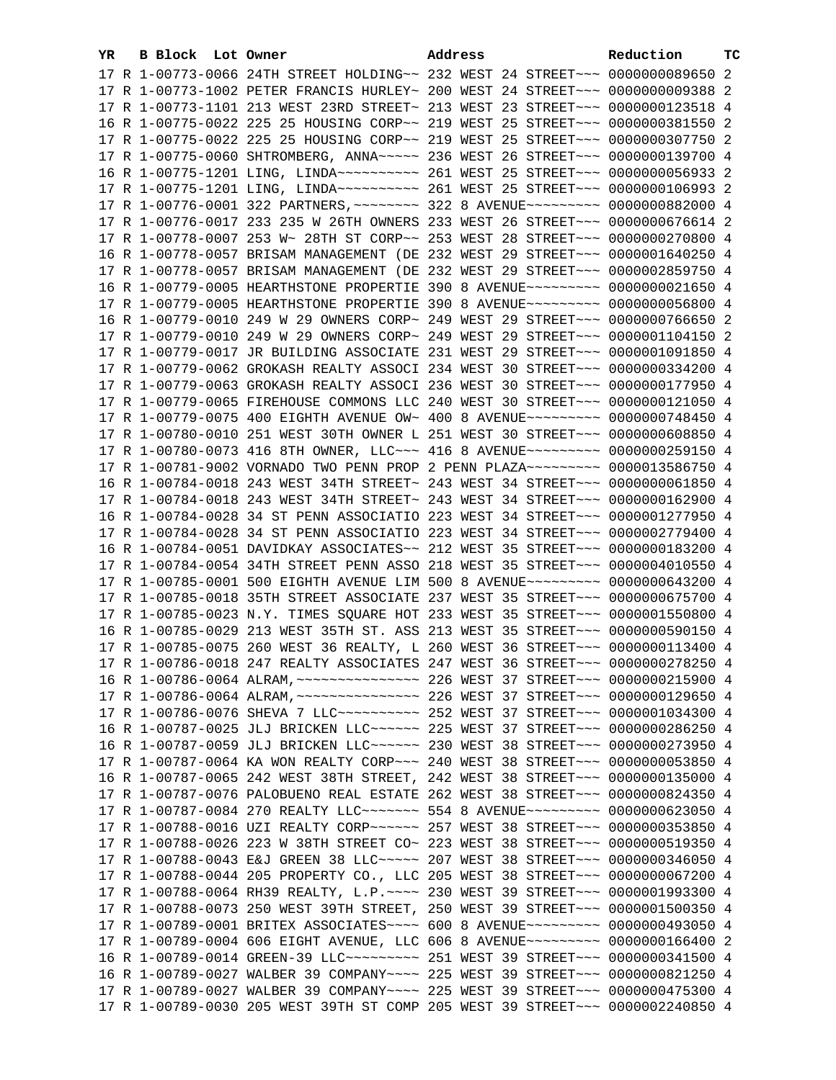| YR. | B Block Lot Owner |                                                                                      | Address |  | Reduction | тc |
|-----|-------------------|--------------------------------------------------------------------------------------|---------|--|-----------|----|
|     |                   | 17 R 1-00773-0066 24TH STREET HOLDING~~ 232 WEST 24 STREET~~~ 0000000089650 2        |         |  |           |    |
|     |                   | 17 R 1-00773-1002 PETER FRANCIS HURLEY~ 200 WEST 24 STREET~~~ 0000000009388 2        |         |  |           |    |
|     |                   | 17 R 1-00773-1101 213 WEST 23RD STREET~ 213 WEST 23 STREET~~~ 0000000123518 4        |         |  |           |    |
|     |                   | 16 R 1-00775-0022 225 25 HOUSING CORP~~ 219 WEST 25 STREET~~~ 0000000381550 2        |         |  |           |    |
|     |                   | 17 R 1-00775-0022 225 25 HOUSING CORP~~ 219 WEST 25 STREET~~~ 0000000307750 2        |         |  |           |    |
|     |                   | 17 R 1-00775-0060 SHTROMBERG, ANNA~~~~~ 236 WEST 26 STREET~~~ 0000000139700 4        |         |  |           |    |
|     |                   |                                                                                      |         |  |           |    |
|     |                   | 17 R 1-00775-1201 LING, LINDA~~~~~~~~~~~~~~~ 261 WEST 25 STREET~~~ 0000000106993 2   |         |  |           |    |
|     |                   | 17 R 1-00776-0001 322 PARTNERS, ~~~~~~~~ 322 8 AVENUE~~~~~~~~~ 0000000882000 4       |         |  |           |    |
|     |                   | 17 R 1-00776-0017 233 235 W 26TH OWNERS 233 WEST 26 STREET~~~ 0000000676614 2        |         |  |           |    |
|     |                   |                                                                                      |         |  |           |    |
|     |                   | 17 R 1-00778-0007 253 W~ 28TH ST CORP~~ 253 WEST 28 STREET~~~ 0000000270800 4        |         |  |           |    |
|     |                   | 16 R 1-00778-0057 BRISAM MANAGEMENT (DE 232 WEST 29 STREET~~~ 0000001640250 4        |         |  |           |    |
|     |                   | 17 R 1-00778-0057 BRISAM MANAGEMENT (DE 232 WEST 29 STREET~~~ 0000002859750 4        |         |  |           |    |
|     |                   | 16 R 1-00779-0005 HEARTHSTONE PROPERTIE 390 8 AVENUE~~~~~~~~~ 0000000021650 4        |         |  |           |    |
|     |                   | 17 R 1-00779-0005 HEARTHSTONE PROPERTIE 390 8 AVENUE~~~~~~~~~ 0000000056800 4        |         |  |           |    |
|     |                   | 16 R 1-00779-0010 249 W 29 OWNERS CORP~ 249 WEST 29 STREET~~~ 0000000766650 2        |         |  |           |    |
|     |                   | 17 R 1-00779-0010 249 W 29 OWNERS CORP~ 249 WEST 29 STREET~~~ 0000001104150 2        |         |  |           |    |
|     |                   | 17 R 1-00779-0017 JR BUILDING ASSOCIATE 231 WEST 29 STREET~~~ 0000001091850 4        |         |  |           |    |
|     |                   | 17 R 1-00779-0062 GROKASH REALTY ASSOCI 234 WEST 30 STREET~~~ 0000000334200 4        |         |  |           |    |
|     |                   | 17 R 1-00779-0063 GROKASH REALTY ASSOCI 236 WEST 30 STREET~~~ 0000000177950 4        |         |  |           |    |
|     |                   | 17 R 1-00779-0065 FIREHOUSE COMMONS LLC 240 WEST 30 STREET~~~ 0000000121050 4        |         |  |           |    |
|     |                   | 17 R 1-00779-0075 400 EIGHTH AVENUE OW~ 400 8 AVENUE~~~~~~~~~ 0000000748450 4        |         |  |           |    |
|     |                   | 17 R 1-00780-0010 251 WEST 30TH OWNER L 251 WEST 30 STREET~~~ 0000000608850 4        |         |  |           |    |
|     |                   | 17 R 1-00780-0073 416 8TH OWNER, LLC -- 416 8 AVENUE -------- 0000000259150 4        |         |  |           |    |
|     |                   | 17 R 1-00781-9002 VORNADO TWO PENN PROP 2 PENN PLAZA~~~~~~~~~ 0000013586750 4        |         |  |           |    |
|     |                   | 16 R 1-00784-0018 243 WEST 34TH STREET~ 243 WEST 34 STREET~~~ 0000000061850 4        |         |  |           |    |
|     |                   | 17 R 1-00784-0018 243 WEST 34TH STREET~ 243 WEST 34 STREET~~~ 0000000162900 4        |         |  |           |    |
|     |                   | 16 R 1-00784-0028 34 ST PENN ASSOCIATIO 223 WEST 34 STREET~~~ 0000001277950 4        |         |  |           |    |
|     |                   | 17 R 1-00784-0028 34 ST PENN ASSOCIATIO 223 WEST 34 STREET~~~ 0000002779400 4        |         |  |           |    |
|     |                   | 16 R 1-00784-0051 DAVIDKAY ASSOCIATES~~ 212 WEST 35 STREET~~~ 0000000183200 4        |         |  |           |    |
|     |                   | 17 R 1-00784-0054 34TH STREET PENN ASSO 218 WEST 35 STREET~~~ 0000004010550 4        |         |  |           |    |
|     |                   | 17 R 1-00785-0001 500 EIGHTH AVENUE LIM 500 8 AVENUE~~~~~~~~~ 0000000643200 4        |         |  |           |    |
|     |                   | 17 R 1-00785-0018 35TH STREET ASSOCIATE 237 WEST 35 STREET~~~ 0000000675700 4        |         |  |           |    |
|     |                   | 17 R 1-00785-0023 N.Y. TIMES SQUARE HOT 233 WEST 35 STREET~~~ 0000001550800 4        |         |  |           |    |
|     |                   | 16 R 1-00785-0029 213 WEST 35TH ST. ASS 213 WEST 35 STREET~~~ 0000000590150 4        |         |  |           |    |
|     |                   | 17 R 1-00785-0075 260 WEST 36 REALTY, L 260 WEST 36 STREET~~~ 0000000113400 4        |         |  |           |    |
|     |                   | 17 R 1-00786-0018 247 REALTY ASSOCIATES 247 WEST 36 STREET~~~ 0000000278250 4        |         |  |           |    |
|     |                   |                                                                                      |         |  |           |    |
|     |                   |                                                                                      |         |  |           |    |
|     |                   | 17 R 1-00786-0076 SHEVA 7 LLC ---------- 252 WEST 37 STREET --- 0000001034300 4      |         |  |           |    |
|     |                   | 16 R 1-00787-0025 JLJ BRICKEN LLC ----- 225 WEST 37 STREET -- 0000000286250 4        |         |  |           |    |
|     |                   | 16 R 1-00787-0059 JLJ BRICKEN LLC ----- 230 WEST 38 STREET -- 0000000273950 4        |         |  |           |    |
|     |                   | 17 R 1-00787-0064 KA WON REALTY CORP~~~ 240 WEST 38 STREET~~~ 0000000053850 4        |         |  |           |    |
|     |                   | 16 R 1-00787-0065 242 WEST 38TH STREET, 242 WEST 38 STREET~~~ 0000000135000 4        |         |  |           |    |
|     |                   | 17 R 1-00787-0076 PALOBUENO REAL ESTATE 262 WEST 38 STREET~~~ 0000000824350 4        |         |  |           |    |
|     |                   | 17 R 1-00787-0084 270 REALTY LLC ------- 554 8 AVENUE --------- 0000000623050 4      |         |  |           |    |
|     |                   | 17 R 1-00788-0016 UZI REALTY CORP~~~~~~ 257 WEST 38 STREET~~~ 0000000353850 4        |         |  |           |    |
|     |                   | 17 R 1-00788-0026 223 W 38TH STREET CO~ 223 WEST 38 STREET~~~ 0000000519350 4        |         |  |           |    |
|     |                   | 17 R 1-00788-0043 E&J GREEN 38 LLC ---- 207 WEST 38 STREET -- 0000000346050 4        |         |  |           |    |
|     |                   | 17 R 1-00788-0044 205 PROPERTY CO., LLC 205 WEST 38 STREET~~~ 0000000067200 4        |         |  |           |    |
|     |                   | 17 R 1-00788-0064 RH39 REALTY, L.P. ~~~~ 230 WEST 39 STREET~~~ 0000001993300 4       |         |  |           |    |
|     |                   | 17 R 1-00788-0073 250 WEST 39TH STREET, 250 WEST 39 STREET~~~ 0000001500350 4        |         |  |           |    |
|     |                   | 17 R 1-00789-0001 BRITEX ASSOCIATES~~~~ 600 8 AVENUE~~~~~~~~~ 0000000493050 4        |         |  |           |    |
|     |                   | 17 R 1-00789-0004 606 EIGHT AVENUE, LLC 606 8 AVENUE~~~~~~~~~ 0000000166400 2        |         |  |           |    |
|     |                   | 16 R 1-00789-0014 GREEN-39 LLC~~~~~~~~~~~~~~~ 251 WEST 39 STREET~~~~ 0000000341500 4 |         |  |           |    |
|     |                   | 16 R 1-00789-0027 WALBER 39 COMPANY~~~~ 225 WEST 39 STREET~~~ 0000000821250 4        |         |  |           |    |
|     |                   | 17 R 1-00789-0027 WALBER 39 COMPANY~~~~ 225 WEST 39 STREET~~~ 0000000475300 4        |         |  |           |    |
|     |                   | 17 R 1-00789-0030 205 WEST 39TH ST COMP 205 WEST 39 STREET~~~ 0000002240850 4        |         |  |           |    |
|     |                   |                                                                                      |         |  |           |    |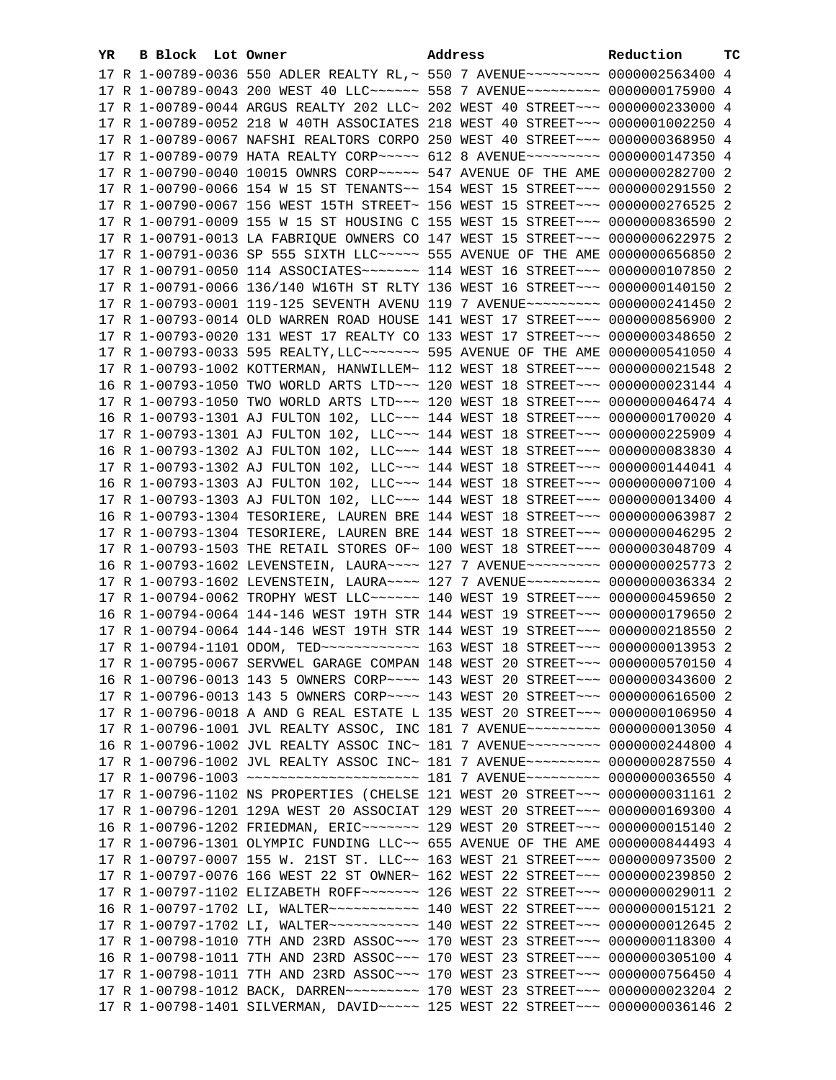| YR. | B Block Lot Owner |                                                                                      | Address | Reduction | ТC |
|-----|-------------------|--------------------------------------------------------------------------------------|---------|-----------|----|
|     |                   | 17 R 1-00789-0036 550 ADLER REALTY RL, ~ 550 7 AVENUE~~~~~~~~~ 0000002563400 4       |         |           |    |
|     |                   | 17 R 1-00789-0043 200 WEST 40 LLC ----- 558 7 AVENUE -------- 0000000175900 4        |         |           |    |
|     |                   | 17 R 1-00789-0044 ARGUS REALTY 202 LLC~ 202 WEST 40 STREET~~~ 0000000233000 4        |         |           |    |
|     |                   | 17 R 1-00789-0052 218 W 40TH ASSOCIATES 218 WEST 40 STREET~~~ 0000001002250 4        |         |           |    |
|     |                   | 17 R 1-00789-0067 NAFSHI REALTORS CORPO 250 WEST 40 STREET~~~ 0000000368950 4        |         |           |    |
|     |                   | 17 R 1-00789-0079 HATA REALTY CORP~~~~~ 612 8 AVENUE~~~~~~~~~ 0000000147350 4        |         |           |    |
|     |                   | 17 R 1-00790-0040 10015 OWNRS CORP~~~~~ 547 AVENUE OF THE AME 0000000282700 2        |         |           |    |
|     |                   | 17 R 1-00790-0066 154 W 15 ST TENANTS~~ 154 WEST 15 STREET~~~ 0000000291550 2        |         |           |    |
|     |                   |                                                                                      |         |           |    |
|     |                   | 17 R 1-00790-0067 156 WEST 15TH STREET~ 156 WEST 15 STREET~~~ 0000000276525 2        |         |           |    |
|     |                   | 17 R 1-00791-0009 155 W 15 ST HOUSING C 155 WEST 15 STREET~~~ 0000000836590 2        |         |           |    |
|     |                   | 17 R 1-00791-0013 LA FABRIQUE OWNERS CO 147 WEST 15 STREET~~~ 0000000622975 2        |         |           |    |
|     |                   | 17 R 1-00791-0036 SP 555 SIXTH LLC ~~~~~ 555 AVENUE OF THE AME 0000000656850 2       |         |           |    |
|     |                   | 17 R 1-00791-0050 114 ASSOCIATES~~~~~~~~ 114 WEST 16 STREET~~~ 0000000107850 2       |         |           |    |
|     |                   | 17 R 1-00791-0066 136/140 W16TH ST RLTY 136 WEST 16 STREET~~~ 0000000140150 2        |         |           |    |
|     |                   | 17 R 1-00793-0001 119-125 SEVENTH AVENU 119 7 AVENUE~~~~~~~~~ 0000000241450 2        |         |           |    |
|     |                   | 17 R 1-00793-0014 OLD WARREN ROAD HOUSE 141 WEST 17 STREET~~~ 0000000856900 2        |         |           |    |
|     |                   | 17 R 1-00793-0020 131 WEST 17 REALTY CO 133 WEST 17 STREET~~~ 0000000348650 2        |         |           |    |
|     |                   |                                                                                      |         |           |    |
|     |                   | 17 R 1-00793-1002 KOTTERMAN, HANWILLEM~ 112 WEST 18 STREET~~~ 0000000021548 2        |         |           |    |
|     |                   | 16 R 1-00793-1050 TWO WORLD ARTS LTD ~~~ 120 WEST 18 STREET ~~~ 0000000023144 4      |         |           |    |
|     |                   | 17 R 1-00793-1050 TWO WORLD ARTS LTD ~~~ 120 WEST 18 STREET ~~~ 0000000046474 4      |         |           |    |
|     |                   | 16 R 1-00793-1301 AJ FULTON 102, LLC ~~~ 144 WEST 18 STREET ~~~ 0000000170020 4      |         |           |    |
|     |                   | 17 R 1-00793-1301 AJ FULTON 102, LLC ~~~ 144 WEST 18 STREET ~~~ 0000000225909 4      |         |           |    |
|     |                   | 16 R 1-00793-1302 AJ FULTON 102, LLC ~~~ 144 WEST 18 STREET ~~~ 0000000083830 4      |         |           |    |
|     |                   | 17 R 1-00793-1302 AJ FULTON 102, LLC ~~~ 144 WEST 18 STREET ~~~ 0000000144041 4      |         |           |    |
|     |                   | 16 R 1-00793-1303 AJ FULTON 102, LLC ~~~ 144 WEST 18 STREET ~~~ 0000000007100 4      |         |           |    |
|     |                   | 17 R 1-00793-1303 AJ FULTON 102, LLC~~~ 144 WEST 18 STREET~~~ 0000000013400 4        |         |           |    |
|     |                   | 16 R 1-00793-1304 TESORIERE, LAUREN BRE 144 WEST 18 STREET~~~ 0000000063987 2        |         |           |    |
|     |                   | 17 R 1-00793-1304 TESORIERE, LAUREN BRE 144 WEST 18 STREET~~~ 0000000046295 2        |         |           |    |
|     |                   | 17 R 1-00793-1503 THE RETAIL STORES OF~ 100 WEST 18 STREET~~~ 0000003048709 4        |         |           |    |
|     |                   | 16 R 1-00793-1602 LEVENSTEIN, LAURA~~~~ 127 7 AVENUE~~~~~~~~~ 0000000025773 2        |         |           |    |
|     |                   | 17 R 1-00793-1602 LEVENSTEIN, LAURA~~~~ 127 7 AVENUE~~~~~~~~~ 0000000036334 2        |         |           |    |
|     |                   | 17 R 1-00794-0062 TROPHY WEST LLC ~~~~~~ 140 WEST 19 STREET ~~~ 0000000459650 2      |         |           |    |
|     |                   | 16 R 1-00794-0064 144-146 WEST 19TH STR 144 WEST 19 STREET~~~ 0000000179650 2        |         |           |    |
|     |                   | 17 R 1-00794-0064 144-146 WEST 19TH STR 144 WEST 19 STREET~~~ 0000000218550 2        |         |           |    |
|     |                   | 17 R 1-00794-1101 ODOM, TED ------------ 163 WEST 18 STREET --- 0000000013953 2      |         |           |    |
|     |                   | 17 R 1-00795-0067 SERVWEL GARAGE COMPAN 148 WEST 20 STREET~~~ 0000000570150 4        |         |           |    |
|     |                   | 16 R 1-00796-0013 143 5 OWNERS CORP~~~~ 143 WEST 20 STREET~~~ 0000000343600 2        |         |           |    |
|     |                   | 17 R 1-00796-0013 143 5 OWNERS CORP~~~~ 143 WEST 20 STREET~~~ 0000000616500 2        |         |           |    |
|     |                   | 17 R 1-00796-0018 A AND G REAL ESTATE L 135 WEST 20 STREET~~~ 0000000106950 4        |         |           |    |
|     |                   | 17 R 1-00796-1001 JVL REALTY ASSOC, INC 181 7 AVENUE~~~~~~~~~ 0000000013050 4        |         |           |    |
|     |                   | 16 R 1-00796-1002 JVL REALTY ASSOC INC~ 181 7 AVENUE~~~~~~~~~ 0000000244800 4        |         |           |    |
|     |                   | 17 R 1-00796-1002 JVL REALTY ASSOC INC~ 181 7 AVENUE~~~~~~~~~ 0000000287550 4        |         |           |    |
|     |                   | 17 R 1-00796-1003 ~~~~~~~~~~~~~~~~~~~~~~~~~~~ 181 7 AVENUE~~~~~~~~~~ 0000000036550 4 |         |           |    |
|     |                   | 17 R 1-00796-1102 NS PROPERTIES (CHELSE 121 WEST 20 STREET~~~ 0000000031161 2        |         |           |    |
|     |                   | 17 R 1-00796-1201 129A WEST 20 ASSOCIAT 129 WEST 20 STREET~~~ 0000000169300 4        |         |           |    |
|     |                   | 16 R 1-00796-1202 FRIEDMAN, ERIC ------- 129 WEST 20 STREET --- 0000000015140 2      |         |           |    |
|     |                   | 17 R 1-00796-1301 OLYMPIC FUNDING LLC~~ 655 AVENUE OF THE AME 0000000844493 4        |         |           |    |
|     |                   | 17 R 1-00797-0007 155 W. 21ST ST. LLC~~ 163 WEST 21 STREET~~~ 0000000973500 2        |         |           |    |
|     |                   | 17 R 1-00797-0076 166 WEST 22 ST OWNER~ 162 WEST 22 STREET~~~ 0000000239850 2        |         |           |    |
|     |                   | 17 R 1-00797-1102 ELIZABETH ROFF~~~~~~~~ 126 WEST 22 STREET~~~ 0000000029011 2       |         |           |    |
|     |                   | 16 R 1-00797-1702 LI, WALTER~~~~~~~~~~~~~~~~ 140 WEST 22 STREET~~~~ 00000000015121 2 |         |           |    |
|     |                   | 17 R 1-00797-1702 LI, WALTER~~~~~~~~~~~~~~~~ 140 WEST 22 STREET~~~~ 0000000012645 2  |         |           |    |
|     |                   | 17 R 1-00798-1010 7TH AND 23RD ASSOC~~~ 170 WEST 23 STREET~~~ 0000000118300 4        |         |           |    |
|     |                   | 16 R 1-00798-1011 7TH AND 23RD ASSOC~~~ 170 WEST 23 STREET~~~ 0000000305100 4        |         |           |    |
|     |                   | 17 R 1-00798-1011 7TH AND 23RD ASSOC~~~ 170 WEST 23 STREET~~~ 0000000756450 4        |         |           |    |
|     |                   | 17 R 1-00798-1012 BACK, DARREN~~~~~~~~~~~~~~ 170 WEST 23 STREET~~~~ 0000000023204 2  |         |           |    |
|     |                   | 17 R 1-00798-1401 SILVERMAN, DAVID~~~~~ 125 WEST 22 STREET~~~ 0000000036146 2        |         |           |    |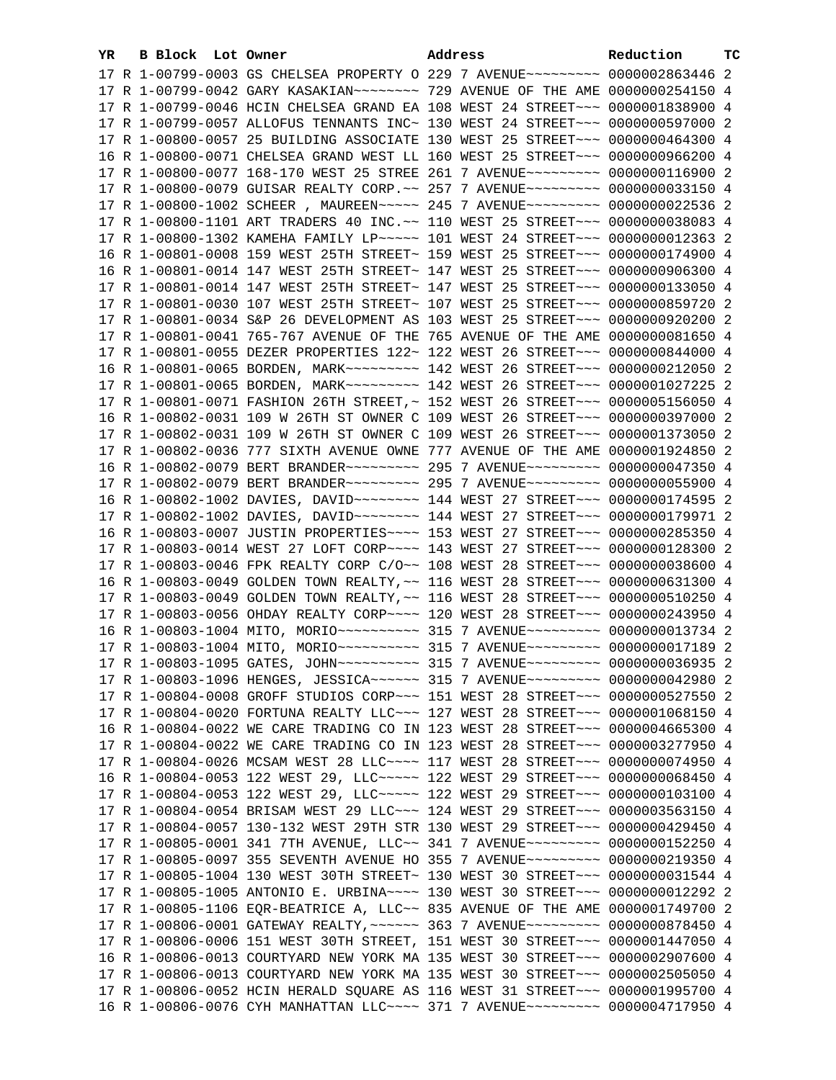| YR | B Block Lot Owner |                                                                                                                                                                  | Address | Reduction | тc |
|----|-------------------|------------------------------------------------------------------------------------------------------------------------------------------------------------------|---------|-----------|----|
|    |                   | 17 R 1-00799-0003 GS CHELSEA PROPERTY O 229 7 AVENUE~~~~~~~~~ 0000002863446 2                                                                                    |         |           |    |
|    |                   | 17 R 1-00799-0042 GARY KASAKIAN~~~~~~~~~~~~~~ 729 AVENUE OF THE AME 0000000254150 4                                                                              |         |           |    |
|    |                   | 17 R 1-00799-0046 HCIN CHELSEA GRAND EA 108 WEST 24 STREET~~~ 0000001838900 4                                                                                    |         |           |    |
|    |                   | 17 R 1-00799-0057 ALLOFUS TENNANTS INC~ 130 WEST 24 STREET~~~ 0000000597000 2                                                                                    |         |           |    |
|    |                   | 17 R 1-00800-0057 25 BUILDING ASSOCIATE 130 WEST 25 STREET~~~ 0000000464300 4                                                                                    |         |           |    |
|    |                   | 16 R 1-00800-0071 CHELSEA GRAND WEST LL 160 WEST 25 STREET~~~ 0000000966200 4                                                                                    |         |           |    |
|    |                   | 17 R 1-00800-0077 168-170 WEST 25 STREE 261 7 AVENUE~~~~~~~~~ 0000000116900 2                                                                                    |         |           |    |
|    |                   | 17 R 1-00800-0079 GUISAR REALTY CORP. ~~ 257 7 AVENUE~~~~~~~~~ 0000000033150 4                                                                                   |         |           |    |
|    |                   | 17 R 1-00800-1002 SCHEER, MAUREEN~~~~~ 245 7 AVENUE~~~~~~~~~ 0000000022536 2                                                                                     |         |           |    |
|    |                   | 17 R 1-00800-1101 ART TRADERS 40 INC. ~~ 110 WEST 25 STREET ~~~ 0000000038083 4                                                                                  |         |           |    |
|    |                   |                                                                                                                                                                  |         |           |    |
|    |                   | 17 R 1-00800-1302 KAMEHA FAMILY LP ~~~~~ 101 WEST 24 STREET ~~~ 0000000012363 2<br>16 R 1-00801-0008 159 WEST 25TH STREET~ 159 WEST 25 STREET~~~ 0000000174900 4 |         |           |    |
|    |                   |                                                                                                                                                                  |         |           |    |
|    |                   | 16 R 1-00801-0014 147 WEST 25TH STREET~ 147 WEST 25 STREET~~~ 0000000906300 4                                                                                    |         |           |    |
|    |                   | 17 R 1-00801-0014 147 WEST 25TH STREET~ 147 WEST 25 STREET~~~ 0000000133050 4                                                                                    |         |           |    |
|    |                   | 17 R 1-00801-0030 107 WEST 25TH STREET~ 107 WEST 25 STREET~~~ 0000000859720 2                                                                                    |         |           |    |
|    |                   | 17 R 1-00801-0034 S&P 26 DEVELOPMENT AS 103 WEST 25 STREET~~~ 0000000920200 2                                                                                    |         |           |    |
|    |                   | 17 R 1-00801-0041 765-767 AVENUE OF THE 765 AVENUE OF THE AME 0000000081650 4                                                                                    |         |           |    |
|    |                   | 17 R 1-00801-0055 DEZER PROPERTIES 122~ 122 WEST 26 STREET~~~ 0000000844000 4                                                                                    |         |           |    |
|    |                   | 16 R 1-00801-0065 BORDEN, MARK~~~~~~~~~ 142 WEST 26 STREET~~~ 0000000212050 2                                                                                    |         |           |    |
|    |                   | 17 R 1-00801-0065 BORDEN, MARK~~~~~~~~~ 142 WEST 26 STREET~~~ 0000001027225 2                                                                                    |         |           |    |
|    |                   | 17 R 1-00801-0071 FASHION 26TH STREET,~ 152 WEST 26 STREET~~~ 0000005156050 4                                                                                    |         |           |    |
|    |                   | 16 R 1-00802-0031 109 W 26TH ST OWNER C 109 WEST 26 STREET~~~ 0000000397000 2                                                                                    |         |           |    |
|    |                   | 17 R 1-00802-0031 109 W 26TH ST OWNER C 109 WEST 26 STREET~~~ 0000001373050 2                                                                                    |         |           |    |
|    |                   | 17 R 1-00802-0036 777 SIXTH AVENUE OWNE 777 AVENUE OF THE AME 0000001924850 2                                                                                    |         |           |    |
|    |                   | 16 R 1-00802-0079 BERT BRANDER -------- 295 7 AVENUE -------- 0000000047350 4                                                                                    |         |           |    |
|    |                   | 17 R 1-00802-0079 BERT BRANDER -------- 295 7 AVENUE --------- 0000000055900 4                                                                                   |         |           |    |
|    |                   |                                                                                                                                                                  |         |           |    |
|    |                   | 17 R 1-00802-1002 DAVIES, DAVID ~~~~~~~~ 144 WEST 27 STREET ~~~ 0000000179971 2                                                                                  |         |           |    |
|    |                   | 16 R 1-00803-0007 JUSTIN PROPERTIES~~~~ 153 WEST 27 STREET~~~ 0000000285350 4                                                                                    |         |           |    |
|    |                   | 17 R 1-00803-0014 WEST 27 LOFT CORP~~~~ 143 WEST 27 STREET~~~ 0000000128300 2                                                                                    |         |           |    |
|    |                   | 17 R 1-00803-0046 FPK REALTY CORP C/O~~ 108 WEST 28 STREET~~~ 0000000038600 4                                                                                    |         |           |    |
|    |                   | 16 R 1-00803-0049 GOLDEN TOWN REALTY, ~~ 116 WEST 28 STREET~~~ 0000000631300 4                                                                                   |         |           |    |
|    |                   | 17 R 1-00803-0049 GOLDEN TOWN REALTY, ~~ 116 WEST 28 STREET~~~ 0000000510250 4                                                                                   |         |           |    |
|    |                   | 17 R 1-00803-0056 OHDAY REALTY CORP~~~~ 120 WEST 28 STREET~~~ 0000000243950 4                                                                                    |         |           |    |
|    |                   |                                                                                                                                                                  |         |           |    |
|    |                   |                                                                                                                                                                  |         |           |    |
|    |                   | 17 R 1-00803-1095 GATES, JOHN~~~~~~~~~~ 315 7 AVENUE~~~~~~~~~ 0000000036935 2                                                                                    |         |           |    |
|    |                   | 17 R 1-00803-1096 HENGES, JESSICA~~~~~~ 315 7 AVENUE~~~~~~~~~ 0000000042980 2                                                                                    |         |           |    |
|    |                   | 17 R 1-00804-0008 GROFF STUDIOS CORP~~~ 151 WEST 28 STREET~~~ 0000000527550 2                                                                                    |         |           |    |
|    |                   | 17 R 1-00804-0020 FORTUNA REALTY LLC -~~ 127 WEST 28 STREET -~~ 0000001068150 4                                                                                  |         |           |    |
|    |                   | 16 R 1-00804-0022 WE CARE TRADING CO IN 123 WEST 28 STREET~~~ 0000004665300 4                                                                                    |         |           |    |
|    |                   | 17 R 1-00804-0022 WE CARE TRADING CO IN 123 WEST 28 STREET~~~ 0000003277950 4                                                                                    |         |           |    |
|    |                   | 17 R 1-00804-0026 MCSAM WEST 28 LLC~~~~ 117 WEST 28 STREET~~~ 0000000074950 4                                                                                    |         |           |    |
|    |                   | 16 R 1-00804-0053 122 WEST 29, LLC ---- 122 WEST 29 STREET -- 00000000068450 4                                                                                   |         |           |    |
|    |                   | 17 R 1-00804-0053 122 WEST 29, LLC ---- 122 WEST 29 STREET -- 0000000103100 4                                                                                    |         |           |    |
|    |                   | 17 R 1-00804-0054 BRISAM WEST 29 LLC ~~~ 124 WEST 29 STREET ~~~ 0000003563150 4                                                                                  |         |           |    |
|    |                   | 17 R 1-00804-0057 130-132 WEST 29TH STR 130 WEST 29 STREET~~~ 0000000429450 4                                                                                    |         |           |    |
|    |                   | 17 R 1-00805-0001 341 7TH AVENUE, LLC~~ 341 7 AVENUE~~~~~~~~~ 0000000152250 4                                                                                    |         |           |    |
|    |                   | 17 R 1-00805-0097 355 SEVENTH AVENUE HO 355 7 AVENUE~~~~~~~~~ 0000000219350 4                                                                                    |         |           |    |
|    |                   | 17 R 1-00805-1004 130 WEST 30TH STREET~ 130 WEST 30 STREET~~~ 0000000031544 4                                                                                    |         |           |    |
|    |                   | 17 R 1-00805-1005 ANTONIO E. URBINA~~~~ 130 WEST 30 STREET~~~ 0000000012292 2                                                                                    |         |           |    |
|    |                   | 17 R 1-00805-1106 EQR-BEATRICE A, LLC~~ 835 AVENUE OF THE AME 0000001749700 2                                                                                    |         |           |    |
|    |                   | 17 R 1-00806-0001 GATEWAY REALTY, ~~~~~~ 363 7 AVENUE~~~~~~~~~ 0000000878450 4                                                                                   |         |           |    |
|    |                   | 17 R 1-00806-0006 151 WEST 30TH STREET, 151 WEST 30 STREET~~~ 0000001447050 4                                                                                    |         |           |    |
|    |                   | 16 R 1-00806-0013 COURTYARD NEW YORK MA 135 WEST 30 STREET~~~ 0000002907600 4                                                                                    |         |           |    |
|    |                   | 17 R 1-00806-0013 COURTYARD NEW YORK MA 135 WEST 30 STREET~~~ 0000002505050 4                                                                                    |         |           |    |
|    |                   | 17 R 1-00806-0052 HCIN HERALD SQUARE AS 116 WEST 31 STREET~~~ 0000001995700 4                                                                                    |         |           |    |
|    |                   | 16 R 1-00806-0076 CYH MANHATTAN LLC~~~~ 371 7 AVENUE~~~~~~~~~ 0000004717950 4                                                                                    |         |           |    |
|    |                   |                                                                                                                                                                  |         |           |    |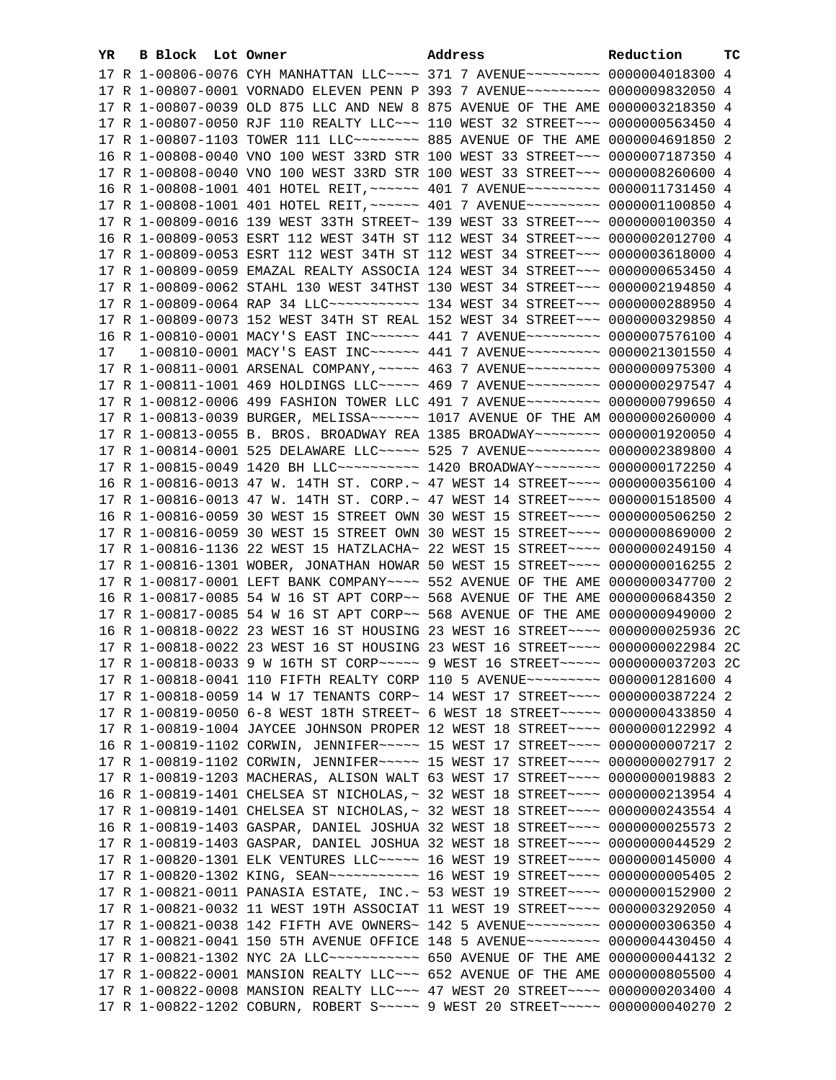| YR. | B Block Lot Owner | Address                                                                                                                                                          | Reduction | тc |
|-----|-------------------|------------------------------------------------------------------------------------------------------------------------------------------------------------------|-----------|----|
|     |                   | 17 R 1-00806-0076 CYH MANHATTAN LLC~~~~ 371 7 AVENUE~~~~~~~~~ 0000004018300 4                                                                                    |           |    |
|     |                   | 17 R 1-00807-0001 VORNADO ELEVEN PENN P 393 7 AVENUE~~~~~~~~~ 0000009832050 4                                                                                    |           |    |
|     |                   | 17 R 1-00807-0039 OLD 875 LLC AND NEW 8 875 AVENUE OF THE AME 0000003218350 4                                                                                    |           |    |
|     |                   | 17 R 1-00807-0050 RJF 110 REALTY LLC~~~ 110 WEST 32 STREET~~~ 0000000563450 4                                                                                    |           |    |
|     |                   | 17 R 1-00807-1103 TOWER 111 LLC ------- 885 AVENUE OF THE AME 0000004691850 2                                                                                    |           |    |
|     |                   | 16 R 1-00808-0040 VNO 100 WEST 33RD STR 100 WEST 33 STREET~~~ 0000007187350 4                                                                                    |           |    |
|     |                   | 17 R 1-00808-0040 VNO 100 WEST 33RD STR 100 WEST 33 STREET~~~ 0000008260600 4                                                                                    |           |    |
|     |                   | 16 R 1-00808-1001 401 HOTEL REIT, ~~~~~~ 401 7 AVENUE~~~~~~~~~ 0000011731450 4                                                                                   |           |    |
|     |                   | 17 R 1-00808-1001 401 HOTEL REIT, ~~~~~~ 401 7 AVENUE~~~~~~~~~ 0000001100850 4                                                                                   |           |    |
|     |                   | 17 R 1-00809-0016 139 WEST 33TH STREET~ 139 WEST 33 STREET~~~ 0000000100350 4                                                                                    |           |    |
|     |                   | 16 R 1-00809-0053 ESRT 112 WEST 34TH ST 112 WEST 34 STREET~~~ 0000002012700 4                                                                                    |           |    |
|     |                   |                                                                                                                                                                  |           |    |
|     |                   | 17 R 1-00809-0053 ESRT 112 WEST 34TH ST 112 WEST 34 STREET~~~ 0000003618000 4                                                                                    |           |    |
|     |                   | 17 R 1-00809-0059 EMAZAL REALTY ASSOCIA 124 WEST 34 STREET~~~ 0000000653450 4                                                                                    |           |    |
|     |                   | 17 R 1-00809-0062 STAHL 130 WEST 34THST 130 WEST 34 STREET~~~ 0000002194850 4                                                                                    |           |    |
|     |                   | 17 R 1-00809-0064 RAP 34 LLC ----------- 134 WEST 34 STREET --- 0000000288950 4                                                                                  |           |    |
|     |                   | 17 R 1-00809-0073 152 WEST 34TH ST REAL 152 WEST 34 STREET~~~ 0000000329850 4                                                                                    |           |    |
|     |                   | 16 R 1-00810-0001 MACY'S EAST INC ----- 441 7 AVENUE -------- 0000007576100 4                                                                                    |           |    |
| 17  |                   | 1-00810-0001 MACY'S EAST INC ------ 441 7 AVENUE -------- 0000021301550 4                                                                                        |           |    |
|     |                   | 17 R 1-00811-0001 ARSENAL COMPANY, ~~~~~ 463 7 AVENUE~~~~~~~~~ 0000000975300 4                                                                                   |           |    |
|     |                   | 17 R 1-00811-1001 469 HOLDINGS LLC ---- 469 7 AVENUE -------- 0000000297547 4                                                                                    |           |    |
|     |                   | 17 R 1-00812-0006 499 FASHION TOWER LLC 491 7 AVENUE~~~~~~~~~ 0000000799650 4                                                                                    |           |    |
|     |                   | 17 R 1-00813-0039 BURGER, MELISSA~~~~~~ 1017 AVENUE OF THE AM 0000000260000 4                                                                                    |           |    |
|     |                   | 17 R 1-00813-0055 B. BROS. BROADWAY REA 1385 BROADWAY~~~~~~~~ 0000001920050 4                                                                                    |           |    |
|     |                   | 17 R 1-00814-0001 525 DELAWARE LLC ---- 525 7 AVENUE -------- 0000002389800 4                                                                                    |           |    |
|     |                   | 17 R 1-00815-0049 1420 BH LLC ---------- 1420 BROADWAY ------- 0000000172250 4                                                                                   |           |    |
|     |                   | 16 R 1-00816-0013 47 W. 14TH ST. CORP. ~ 47 WEST 14 STREET ~~~~ 0000000356100 4                                                                                  |           |    |
|     |                   | 17 R 1-00816-0013 47 W. 14TH ST. CORP.~ 47 WEST 14 STREET~~~~ 0000001518500 4                                                                                    |           |    |
|     |                   | 16 R 1-00816-0059 30 WEST 15 STREET OWN 30 WEST 15 STREET~~~~ 0000000506250 2                                                                                    |           |    |
|     |                   | 17 R 1-00816-0059 30 WEST 15 STREET OWN 30 WEST 15 STREET~~~~ 0000000869000 2                                                                                    |           |    |
|     |                   | 17 R 1-00816-1136 22 WEST 15 HATZLACHA~ 22 WEST 15 STREET~~~~ 0000000249150 4                                                                                    |           |    |
|     |                   | 17 R 1-00816-1301 WOBER, JONATHAN HOWAR 50 WEST 15 STREET~~~~ 0000000016255 2                                                                                    |           |    |
|     |                   | 17 R 1-00817-0001 LEFT BANK COMPANY~~~~ 552 AVENUE OF THE AME 0000000347700 2                                                                                    |           |    |
|     |                   | 16 R 1-00817-0085 54 W 16 ST APT CORP~~ 568 AVENUE OF THE AME 0000000684350 2                                                                                    |           |    |
|     |                   | 17 R 1-00817-0085 54 W 16 ST APT CORP~~ 568 AVENUE OF THE AME 0000000949000 2                                                                                    |           |    |
|     |                   | 16 R 1-00818-0022 23 WEST 16 ST HOUSING 23 WEST 16 STREET~~~~ 0000000025936 2C                                                                                   |           |    |
|     |                   | 17 R 1-00818-0022 23 WEST 16 ST HOUSING 23 WEST 16 STREET~~~~ 0000000022984 2C                                                                                   |           |    |
|     |                   | 17 R 1-00818-0033 9 W 16TH ST CORP ~~~~~ 9 WEST 16 STREET ~~~~~ 0000000037203 2C                                                                                 |           |    |
|     |                   | 17 R 1-00818-0041 110 FIFTH REALTY CORP 110 5 AVENUE~~~~~~~~~ 0000001281600 4                                                                                    |           |    |
|     |                   | 17 R 1-00818-0059 14 W 17 TENANTS CORP~ 14 WEST 17 STREET~~~~ 0000000387224 2                                                                                    |           |    |
|     |                   | 17 R 1-00819-0050 6-8 WEST 18TH STREET~ 6 WEST 18 STREET~~~~~ 0000000433850 4                                                                                    |           |    |
|     |                   | 17 R 1-00819-1004 JAYCEE JOHNSON PROPER 12 WEST 18 STREET~~~~ 0000000122992 4                                                                                    |           |    |
|     |                   | 16 R 1-00819-1102 CORWIN, JENNIFER~~~~~ 15 WEST 17 STREET~~~~ 0000000007217 2<br>17 R 1-00819-1102 CORWIN, JENNIFER~~~~~ 15 WEST 17 STREET~~~~ 0000000027917 2   |           |    |
|     |                   | 17 R 1-00819-1203 MACHERAS, ALISON WALT 63 WEST 17 STREET~~~~ 0000000019883 2                                                                                    |           |    |
|     |                   |                                                                                                                                                                  |           |    |
|     |                   | 16 R 1-00819-1401 CHELSEA ST NICHOLAS, ~ 32 WEST 18 STREET~~~~ 0000000213954 4<br>17 R 1-00819-1401 CHELSEA ST NICHOLAS, ~ 32 WEST 18 STREET~~~~ 0000000243554 4 |           |    |
|     |                   | 16 R 1-00819-1403 GASPAR, DANIEL JOSHUA 32 WEST 18 STREET~~~~ 0000000025573 2                                                                                    |           |    |
|     |                   | 17 R 1-00819-1403 GASPAR, DANIEL JOSHUA 32 WEST 18 STREET~~~~ 0000000044529 2                                                                                    |           |    |
|     |                   | 17 R 1-00820-1301 ELK VENTURES LLC~~~~~ 16 WEST 19 STREET~~~~ 0000000145000 4                                                                                    |           |    |
|     |                   | 17 R 1-00820-1302 KING, SEAN~~~~~~~~~~~~~~~~~ 16 WEST 19 STREET~~~~~ 0000000005405 2                                                                             |           |    |
|     |                   | 17 R 1-00821-0011 PANASIA ESTATE, INC.~ 53 WEST 19 STREET~~~~ 0000000152900 2                                                                                    |           |    |
|     |                   | 17 R 1-00821-0032 11 WEST 19TH ASSOCIAT 11 WEST 19 STREET~~~~ 0000003292050 4                                                                                    |           |    |
|     |                   | 17 R 1-00821-0038 142 FIFTH AVE OWNERS~ 142 5 AVENUE~~~~~~~~~ 0000000306350 4                                                                                    |           |    |
|     |                   | 17 R 1-00821-0041 150 5TH AVENUE OFFICE 148 5 AVENUE~~~~~~~~~ 0000004430450 4                                                                                    |           |    |
|     |                   | 17 R 1-00821-1302 NYC 2A LLC~~~~~~~~~~~~~ 650 AVENUE OF THE AME 0000000044132 2                                                                                  |           |    |
|     |                   | 17 R 1-00822-0001 MANSION REALTY LLC~~~ 652 AVENUE OF THE AME 0000000805500 4                                                                                    |           |    |
|     |                   | 17 R 1-00822-0008 MANSION REALTY LLC -- 47 WEST 20 STREET -- 0000000203400 4                                                                                     |           |    |
|     |                   | 17 R 1-00822-1202 COBURN, ROBERT S ~~~~~ 9 WEST 20 STREET ~~~~~ 0000000040270 2                                                                                  |           |    |
|     |                   |                                                                                                                                                                  |           |    |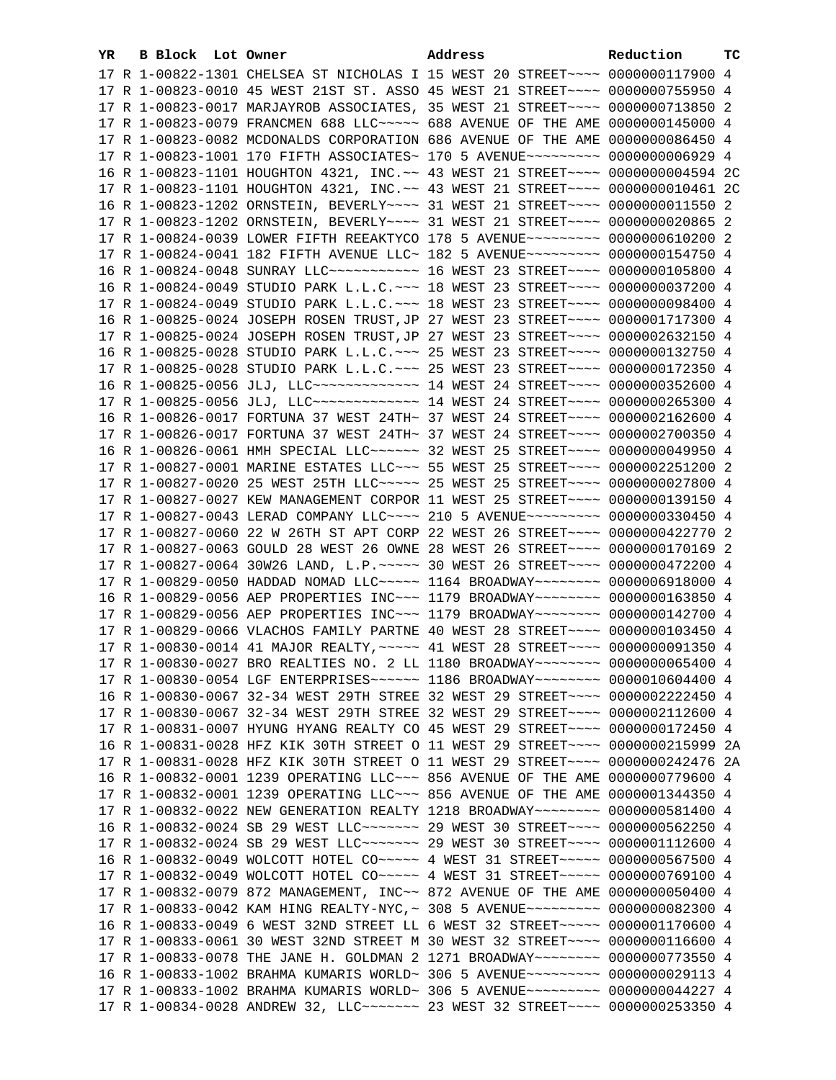| YR. | B Block Lot Owner |  | Address                                                                          | Reduction | тc |
|-----|-------------------|--|----------------------------------------------------------------------------------|-----------|----|
|     |                   |  | 17 R 1-00822-1301 CHELSEA ST NICHOLAS I 15 WEST 20 STREET~~~~ 0000000117900 4    |           |    |
|     |                   |  | 17 R 1-00823-0010 45 WEST 21ST ST. ASSO 45 WEST 21 STREET~~~~ 0000000755950 4    |           |    |
|     |                   |  | 17 R 1-00823-0017 MARJAYROB ASSOCIATES, 35 WEST 21 STREET~~~~ 0000000713850 2    |           |    |
|     |                   |  | 17 R 1-00823-0079 FRANCMEN 688 LLC ~~~~~ 688 AVENUE OF THE AME 0000000145000 4   |           |    |
|     |                   |  | 17 R 1-00823-0082 MCDONALDS CORPORATION 686 AVENUE OF THE AME 0000000086450 4    |           |    |
|     |                   |  | 17 R 1-00823-1001 170 FIFTH ASSOCIATES~ 170 5 AVENUE~~~~~~~~~ 0000000006929 4    |           |    |
|     |                   |  | 16 R 1-00823-1101 HOUGHTON 4321, INC. ~~ 43 WEST 21 STREET ~~~~ 0000000004594 2C |           |    |
|     |                   |  | 17 R 1-00823-1101 HOUGHTON 4321, INC.~~ 43 WEST 21 STREET~~~~ 0000000010461 2C   |           |    |
|     |                   |  | 16 R 1-00823-1202 ORNSTEIN, BEVERLY~~~~ 31 WEST 21 STREET~~~~ 0000000011550 2    |           |    |
|     |                   |  | 17 R 1-00823-1202 ORNSTEIN, BEVERLY~~~~ 31 WEST 21 STREET~~~~ 0000000020865 2    |           |    |
|     |                   |  | 17 R 1-00824-0039 LOWER FIFTH REEAKTYCO 178 5 AVENUE~~~~~~~~~ 0000000610200 2    |           |    |
|     |                   |  | 17 R 1-00824-0041 182 FIFTH AVENUE LLC~ 182 5 AVENUE~~~~~~~~~~ 0000000154750 4   |           |    |
|     |                   |  | 16 R 1-00824-0048 SUNRAY LLC ----------- 16 WEST 23 STREET ---- 0000000105800 4  |           |    |
|     |                   |  | 16 R 1-00824-0049 STUDIO PARK L.L.C. ~~~ 18 WEST 23 STREET ~~~~ 0000000037200 4  |           |    |
|     |                   |  | 17 R 1-00824-0049 STUDIO PARK L.L.C. ~~~ 18 WEST 23 STREET ~~~~ 0000000098400 4  |           |    |
|     |                   |  | 16 R 1-00825-0024 JOSEPH ROSEN TRUST, JP 27 WEST 23 STREET~~~~ 0000001717300 4   |           |    |
|     |                   |  | 17 R 1-00825-0024 JOSEPH ROSEN TRUST, JP 27 WEST 23 STREET~~~~ 0000002632150 4   |           |    |
|     |                   |  | 16 R 1-00825-0028 STUDIO PARK L.L.C. ~~~ 25 WEST 23 STREET ~~~~ 0000000132750 4  |           |    |
|     |                   |  | 17 R 1-00825-0028 STUDIO PARK L.L.C. ~~~ 25 WEST 23 STREET ~~~~ 0000000172350 4  |           |    |
|     |                   |  | 16 R 1-00825-0056 JLJ, LLC -------------- 14 WEST 24 STREET ---- 0000000352600 4 |           |    |
|     |                   |  | 17 R 1-00825-0056 JLJ, LLC -------------- 14 WEST 24 STREET ---- 0000000265300 4 |           |    |
|     |                   |  | 16 R 1-00826-0017 FORTUNA 37 WEST 24TH~ 37 WEST 24 STREET~~~~ 0000002162600 4    |           |    |
|     |                   |  | 17 R 1-00826-0017 FORTUNA 37 WEST 24TH~ 37 WEST 24 STREET~~~~ 0000002700350 4    |           |    |
|     |                   |  | 16 R 1-00826-0061 HMH SPECIAL LLC ~~~~~~ 32 WEST 25 STREET ~~~~ 0000000049950 4  |           |    |
|     |                   |  | 17 R 1-00827-0001 MARINE ESTATES LLC ~~~ 55 WEST 25 STREET ~~~~ 0000002251200 2  |           |    |
|     |                   |  | 17 R 1-00827-0020 25 WEST 25TH LLC ~~~~~ 25 WEST 25 STREET ~~~~ 0000000027800 4  |           |    |
|     |                   |  | 17 R 1-00827-0027 KEW MANAGEMENT CORPOR 11 WEST 25 STREET~~~~ 0000000139150 4    |           |    |
|     |                   |  | 17 R 1-00827-0043 LERAD COMPANY LLC~~~~ 210 5 AVENUE~~~~~~~~~ 0000000330450 4    |           |    |
|     |                   |  | 17 R 1-00827-0060 22 W 26TH ST APT CORP 22 WEST 26 STREET~~~~ 0000000422770 2    |           |    |
|     |                   |  | 17 R 1-00827-0063 GOULD 28 WEST 26 OWNE 28 WEST 26 STREET~~~~ 0000000170169 2    |           |    |
|     |                   |  | 17 R 1-00827-0064 30W26 LAND, L.P. ~~~~~ 30 WEST 26 STREET ~~~~ 0000000472200 4  |           |    |
|     |                   |  | 17 R 1-00829-0050 HADDAD NOMAD LLC~~~~~ 1164 BROADWAY~~~~~~~~ 0000006918000 4    |           |    |
|     |                   |  | 16 R 1-00829-0056 AEP PROPERTIES INC~~~ 1179 BROADWAY~~~~~~~~ 0000000163850 4    |           |    |
|     |                   |  | 17 R 1-00829-0056 AEP PROPERTIES INC~~~ 1179 BROADWAY~~~~~~~~ 0000000142700 4    |           |    |
|     |                   |  | 17 R 1-00829-0066 VLACHOS FAMILY PARTNE 40 WEST 28 STREET~~~~ 0000000103450 4    |           |    |
|     |                   |  | 17 R 1-00830-0014 41 MAJOR REALTY, ~~~~~ 41 WEST 28 STREET~~~~ 0000000091350 4   |           |    |
|     |                   |  | 17 R 1-00830-0027 BRO REALTIES NO. 2 LL 1180 BROADWAY~~~~~~~~ 0000000065400 4    |           |    |
|     |                   |  | 17 R 1-00830-0054 LGF ENTERPRISES~~~~~~ 1186 BROADWAY~~~~~~~~ 0000010604400 4    |           |    |
|     |                   |  | 16 R 1-00830-0067 32-34 WEST 29TH STREE 32 WEST 29 STREET~~~~ 0000002222450 4    |           |    |
|     |                   |  | 17 R 1-00830-0067 32-34 WEST 29TH STREE 32 WEST 29 STREET~~~~ 0000002112600 4    |           |    |
|     |                   |  | 17 R 1-00831-0007 HYUNG HYANG REALTY CO 45 WEST 29 STREET~~~~ 0000000172450 4    |           |    |
|     |                   |  | 16 R 1-00831-0028 HFZ KIK 30TH STREET O 11 WEST 29 STREET~~~~ 0000000215999 2A   |           |    |
|     |                   |  | 17 R 1-00831-0028 HFZ KIK 30TH STREET O 11 WEST 29 STREET~~~~ 0000000242476 2A   |           |    |
|     |                   |  | 16 R 1-00832-0001 1239 OPERATING LLC~~~ 856 AVENUE OF THE AME 0000000779600 4    |           |    |
|     |                   |  | 17 R 1-00832-0001 1239 OPERATING LLC~~~ 856 AVENUE OF THE AME 0000001344350 4    |           |    |
|     |                   |  | 17 R 1-00832-0022 NEW GENERATION REALTY 1218 BROADWAY~~~~~~~~ 0000000581400 4    |           |    |
|     |                   |  | 16 R 1-00832-0024 SB 29 WEST LLC ------- 29 WEST 30 STREET --- 0000000562250 4   |           |    |
|     |                   |  | 17 R 1-00832-0024 SB 29 WEST LLC ------- 29 WEST 30 STREET --- 0000001112600 4   |           |    |
|     |                   |  | 16 R 1-00832-0049 WOLCOTT HOTEL CO~~~~~~ 4 WEST 31 STREET~~~~~~ 0000000567500 4  |           |    |
|     |                   |  | 17 R 1-00832-0049 WOLCOTT HOTEL CO~~~~~~ 4 WEST 31 STREET~~~~~~ 0000000769100 4  |           |    |
|     |                   |  | 17 R 1-00832-0079 872 MANAGEMENT, INC~~ 872 AVENUE OF THE AME 0000000050400 4    |           |    |
|     |                   |  | 17 R 1-00833-0042 KAM HING REALTY-NYC, ~ 308 5 AVENUE~~~~~~~~~ 0000000082300 4   |           |    |
|     |                   |  | 16 R 1-00833-0049 6 WEST 32ND STREET LL 6 WEST 32 STREET~~~~~ 0000001170600 4    |           |    |
|     |                   |  | 17 R 1-00833-0061 30 WEST 32ND STREET M 30 WEST 32 STREET~~~~ 0000000116600 4    |           |    |
|     |                   |  | 17 R 1-00833-0078 THE JANE H. GOLDMAN 2 1271 BROADWAY~~~~~~~~ 0000000773550 4    |           |    |
|     |                   |  | 16 R 1-00833-1002 BRAHMA KUMARIS WORLD~ 306 5 AVENUE~~~~~~~~~ 0000000029113 4    |           |    |
|     |                   |  | 17 R 1-00833-1002 BRAHMA KUMARIS WORLD~ 306 5 AVENUE~~~~~~~~~ 0000000044227 4    |           |    |
|     |                   |  | 17 R 1-00834-0028 ANDREW 32, LLC ------ 23 WEST 32 STREET ---- 0000000253350 4   |           |    |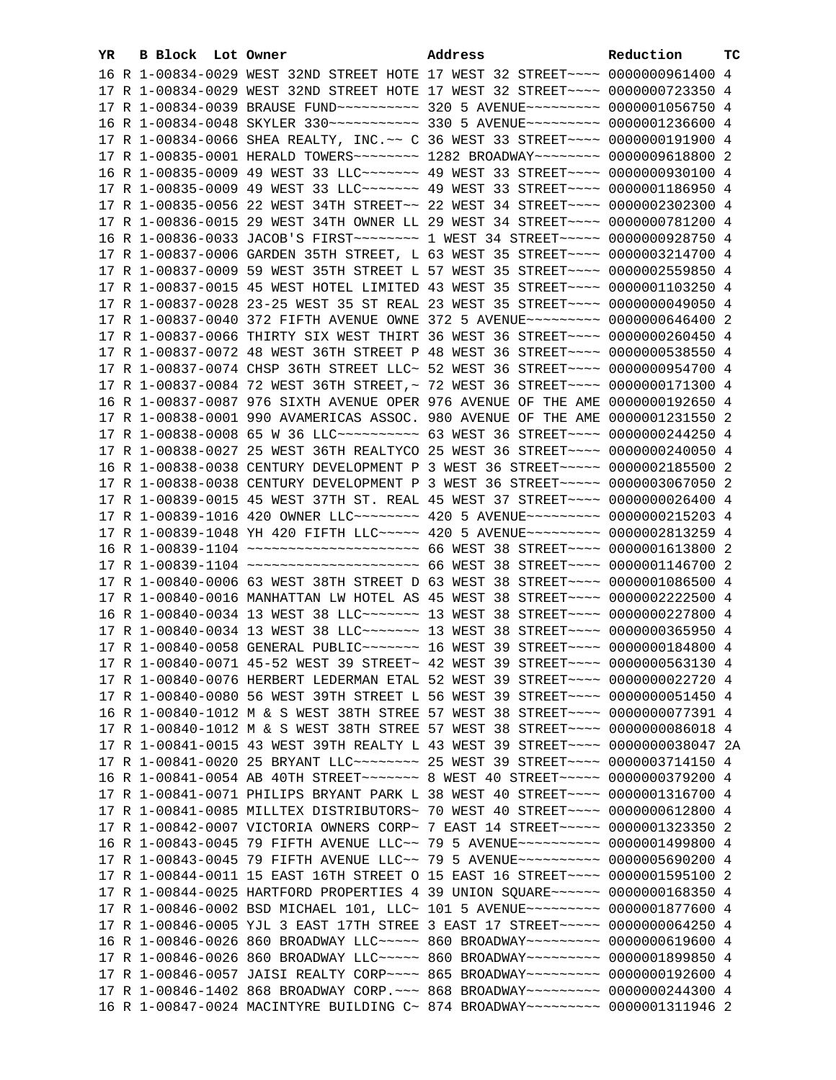| YR | <b>B Block</b> Lot Owner | Address                                                                               | Reduction | тc |
|----|--------------------------|---------------------------------------------------------------------------------------|-----------|----|
|    |                          | 16 R 1-00834-0029 WEST 32ND STREET HOTE 17 WEST 32 STREET~~~~ 0000000961400 4         |           |    |
|    |                          | 17 R 1-00834-0029 WEST 32ND STREET HOTE 17 WEST 32 STREET~~~~ 0000000723350 4         |           |    |
|    |                          | 17 R 1-00834-0039 BRAUSE FUND~~~~~~~~~~ 320 5 AVENUE~~~~~~~~~ 0000001056750 4         |           |    |
|    |                          | 16 R 1-00834-0048 SKYLER 330~~~~~~~~~~~ 330 5 AVENUE~~~~~~~~~ 0000001236600 4         |           |    |
|    |                          | 17 R 1-00834-0066 SHEA REALTY, INC. ~~ C 36 WEST 33 STREET~~~~ 0000000191900 4        |           |    |
|    |                          | 17 R 1-00835-0001 HERALD TOWERS~~~~~~~~~~~~~ 1282 BROADWAY~~~~~~~~~~ 0000009618800 2  |           |    |
|    |                          | 16 R 1-00835-0009 49 WEST 33 LLC~~~~~~~~~~~~ 49 WEST 33 STREET~~~~~ 0000000930100 4   |           |    |
|    |                          | 17 R 1-00835-0009 49 WEST 33 LLC ------- 49 WEST 33 STREET --- 0000001186950 4        |           |    |
|    |                          | 17 R 1-00835-0056 22 WEST 34TH STREET~~ 22 WEST 34 STREET~~~~ 0000002302300 4         |           |    |
|    |                          | 17 R 1-00836-0015 29 WEST 34TH OWNER LL 29 WEST 34 STREET~~~~ 0000000781200 4         |           |    |
|    |                          | 16 R 1-00836-0033 JACOB'S FIRST~~~~~~~~~~~~~ 1 WEST 34 STREET~~~~~~ 0000000928750 4   |           |    |
|    |                          |                                                                                       |           |    |
|    |                          | 17 R 1-00837-0006 GARDEN 35TH STREET, L 63 WEST 35 STREET~~~~ 0000003214700 4         |           |    |
|    |                          | 17 R 1-00837-0009 59 WEST 35TH STREET L 57 WEST 35 STREET~~~~ 0000002559850 4         |           |    |
|    |                          | 17 R 1-00837-0015 45 WEST HOTEL LIMITED 43 WEST 35 STREET~~~~ 0000001103250 4         |           |    |
|    |                          | 17 R 1-00837-0028 23-25 WEST 35 ST REAL 23 WEST 35 STREET~~~~ 0000000049050 4         |           |    |
|    |                          | 17 R 1-00837-0040 372 FIFTH AVENUE OWNE 372 5 AVENUE~~~~~~~~~ 0000000646400 2         |           |    |
|    |                          | 17 R 1-00837-0066 THIRTY SIX WEST THIRT 36 WEST 36 STREET~~~~ 0000000260450 4         |           |    |
|    |                          | 17 R 1-00837-0072 48 WEST 36TH STREET P 48 WEST 36 STREET~~~~ 0000000538550 4         |           |    |
|    |                          | 17 R 1-00837-0074 CHSP 36TH STREET LLC~ 52 WEST 36 STREET~~~~ 0000000954700 4         |           |    |
|    |                          | 17 R 1-00837-0084 72 WEST 36TH STREET, ~ 72 WEST 36 STREET~~~~ 0000000171300 4        |           |    |
|    |                          | 16 R 1-00837-0087 976 SIXTH AVENUE OPER 976 AVENUE OF THE AME 0000000192650 4         |           |    |
|    |                          | 17 R 1-00838-0001 990 AVAMERICAS ASSOC. 980 AVENUE OF THE AME 0000001231550 2         |           |    |
|    |                          | 17 R 1-00838-0008 65 W 36 LLC ---------- 63 WEST 36 STREET ---- 0000000244250 4       |           |    |
|    |                          | 17 R 1-00838-0027 25 WEST 36TH REALTYCO 25 WEST 36 STREET~~~~ 0000000240050 4         |           |    |
|    |                          | 16 R 1-00838-0038 CENTURY DEVELOPMENT P 3 WEST 36 STREET~~~~~ 0000002185500 2         |           |    |
|    |                          | 17 R 1-00838-0038 CENTURY DEVELOPMENT P 3 WEST 36 STREET~~~~~ 0000003067050 2         |           |    |
|    |                          | 17 R 1-00839-0015 45 WEST 37TH ST. REAL 45 WEST 37 STREET~~~~ 0000000026400 4         |           |    |
|    |                          | 17 R 1-00839-1016 420 OWNER LLC ------- 420 5 AVENUE -------- 0000000215203 4         |           |    |
|    |                          | 17 R 1-00839-1048 YH 420 FIFTH LLC ---- 420 5 AVENUE -------- 0000002813259 4         |           |    |
|    |                          | 16 R 1-00839-1104 ~~~~~~~~~~~~~~~~~~~~~~~ 66 WEST 38 STREET~~~~ 0000001613800 2       |           |    |
|    |                          | 17 R 1-00839-1104 ~~~~~~~~~~~~~~~~~~~~~~~ 66 WEST 38 STREET~~~~ 0000001146700 2       |           |    |
|    |                          | 17 R 1-00840-0006 63 WEST 38TH STREET D 63 WEST 38 STREET~~~~ 0000001086500 4         |           |    |
|    |                          | 17 R 1-00840-0016 MANHATTAN LW HOTEL AS 45 WEST 38 STREET~~~~ 0000002222500 4         |           |    |
|    |                          | 16 R 1-00840-0034 13 WEST 38 LLC ------ 13 WEST 38 STREET ---- 0000000227800 4        |           |    |
|    |                          | 17 R 1-00840-0034 13 WEST 38 LLC ------ 13 WEST 38 STREET ---- 0000000365950 4        |           |    |
|    |                          | 17 R 1-00840-0058 GENERAL PUBLIC ------ 16 WEST 39 STREET --- 0000000184800 4         |           |    |
|    |                          | 17 R 1-00840-0071 45-52 WEST 39 STREET~ 42 WEST 39 STREET~~~~ 0000000563130 4         |           |    |
|    |                          | 17 R 1-00840-0076 HERBERT LEDERMAN ETAL 52 WEST 39 STREET~~~~ 0000000022720 4         |           |    |
|    |                          | 17 R 1-00840-0080 56 WEST 39TH STREET L 56 WEST 39 STREET~~~~ 0000000051450 4         |           |    |
|    |                          | 16 R 1-00840-1012 M & S WEST 38TH STREE 57 WEST 38 STREET~~~~ 0000000077391 4         |           |    |
|    |                          | 17 R 1-00840-1012 M & S WEST 38TH STREE 57 WEST 38 STREET~~~~ 0000000086018 4         |           |    |
|    |                          | 17 R 1-00841-0015 43 WEST 39TH REALTY L 43 WEST 39 STREET~~~~ 0000000038047 2A        |           |    |
|    |                          | 17 R 1-00841-0020 25 BRYANT LLC -------- 25 WEST 39 STREET --- 0000003714150 4        |           |    |
|    |                          | 16 R 1-00841-0054 AB 40TH STREET~~~~~~~~~~~~~ 8 WEST 40 STREET~~~~~~~ 0000000379200 4 |           |    |
|    |                          | 17 R 1-00841-0071 PHILIPS BRYANT PARK L 38 WEST 40 STREET~~~~ 0000001316700 4         |           |    |
|    |                          | 17 R 1-00841-0085 MILLTEX DISTRIBUTORS~ 70 WEST 40 STREET~~~~ 0000000612800 4         |           |    |
|    |                          | 17 R 1-00842-0007 VICTORIA OWNERS CORP~ 7 EAST 14 STREET~~~~~ 0000001323350 2         |           |    |
|    |                          | 16 R 1-00843-0045 79 FIFTH AVENUE LLC~~ 79 5 AVENUE~~~~~~~~~~ 0000001499800 4         |           |    |
|    |                          | 17 R 1-00843-0045 79 FIFTH AVENUE LLC~~ 79 5 AVENUE~~~~~~~~~~ 0000005690200 4         |           |    |
|    |                          | 17 R 1-00844-0011 15 EAST 16TH STREET O 15 EAST 16 STREET~~~~ 0000001595100 2         |           |    |
|    |                          | 17 R 1-00844-0025 HARTFORD PROPERTIES 4 39 UNION SQUARE~~~~~~ 0000000168350 4         |           |    |
|    |                          | 17 R 1-00846-0002 BSD MICHAEL 101, LLC~ 101 5 AVENUE~~~~~~~~~ 0000001877600 4         |           |    |
|    |                          | 17 R 1-00846-0005 YJL 3 EAST 17TH STREE 3 EAST 17 STREET~~~~~ 0000000064250 4         |           |    |
|    |                          | 16 R 1-00846-0026 860 BROADWAY LLC ---- 860 BROADWAY -------- 0000000619600 4         |           |    |
|    |                          | 17 R 1-00846-0026 860 BROADWAY LLC ---- 860 BROADWAY -------- 0000001899850 4         |           |    |
|    |                          | 17 R 1-00846-0057 JAISI REALTY CORP~~~~ 865 BROADWAY~~~~~~~~~ 0000000192600 4         |           |    |
|    |                          | 17 R 1-00846-1402 868 BROADWAY CORP. ~~~ 868 BROADWAY~~~~~~~~~ 0000000244300 4        |           |    |
|    |                          | 16 R 1-00847-0024 MACINTYRE BUILDING C~ 874 BROADWAY~~~~~~~~~ 0000001311946 2         |           |    |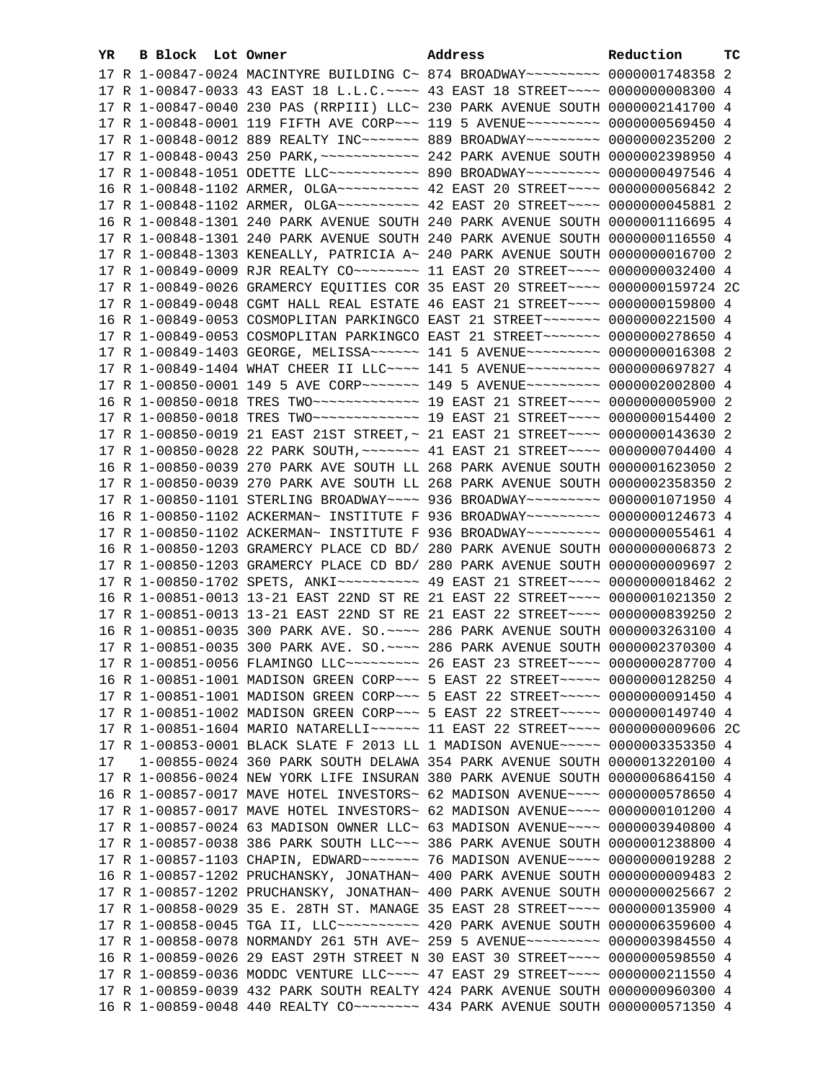| YR. | B Block Lot Owner |  | Address                                                                              | Reduction | тc |
|-----|-------------------|--|--------------------------------------------------------------------------------------|-----------|----|
|     |                   |  | 17 R 1-00847-0024 MACINTYRE BUILDING C~ 874 BROADWAY~~~~~~~~~ 0000001748358 2        |           |    |
|     |                   |  | 17 R 1-00847-0033 43 EAST 18 L.L.C. ~~~~ 43 EAST 18 STREET~~~~ 0000000008300 4       |           |    |
|     |                   |  | 17 R 1-00847-0040 230 PAS (RRPIII) LLC~ 230 PARK AVENUE SOUTH 0000002141700 4        |           |    |
|     |                   |  | 17 R 1-00848-0001 119 FIFTH AVE CORP~~~ 119 5 AVENUE~~~~~~~~~ 0000000569450 4        |           |    |
|     |                   |  | 17 R 1-00848-0012 889 REALTY INC~~~~~~~ 889 BROADWAY~~~~~~~~~ 0000000235200 2        |           |    |
|     |                   |  |                                                                                      |           |    |
|     |                   |  | 17 R 1-00848-1051 ODETTE LLC ---------- 890 BROADWAY -------- 0000000497546 4        |           |    |
|     |                   |  | 16 R 1-00848-1102 ARMER, OLGA~~~~~~~~~~~~~~ 42 EAST 20 STREET~~~~~ 0000000056842 2   |           |    |
|     |                   |  |                                                                                      |           |    |
|     |                   |  | 16 R 1-00848-1301 240 PARK AVENUE SOUTH 240 PARK AVENUE SOUTH 0000001116695 4        |           |    |
|     |                   |  |                                                                                      |           |    |
|     |                   |  | 17 R 1-00848-1301 240 PARK AVENUE SOUTH 240 PARK AVENUE SOUTH 0000000116550 4        |           |    |
|     |                   |  | 17 R 1-00848-1303 KENEALLY, PATRICIA A~ 240 PARK AVENUE SOUTH 0000000016700 2        |           |    |
|     |                   |  | 17 R 1-00849-0009 RJR REALTY CO~~~~~~~~~~~~~~ 11 EAST 20 STREET~~~~~ 0000000032400 4 |           |    |
|     |                   |  | 17 R 1-00849-0026 GRAMERCY EQUITIES COR 35 EAST 20 STREET~~~~ 0000000159724 2C       |           |    |
|     |                   |  | 17 R 1-00849-0048 CGMT HALL REAL ESTATE 46 EAST 21 STREET~~~~ 0000000159800 4        |           |    |
|     |                   |  | 16 R 1-00849-0053 COSMOPLITAN PARKINGCO EAST 21 STREET~~~~~~~ 0000000221500 4        |           |    |
|     |                   |  | 17 R 1-00849-0053 COSMOPLITAN PARKINGCO EAST 21 STREET~~~~~~~ 0000000278650 4        |           |    |
|     |                   |  | 17 R 1-00849-1403 GEORGE, MELISSA~~~~~~ 141 5 AVENUE~~~~~~~~~ 0000000016308 2        |           |    |
|     |                   |  | 17 R 1-00849-1404 WHAT CHEER II LLC --- 141 5 AVENUE -------- 0000000697827 4        |           |    |
|     |                   |  | 17 R 1-00850-0001 149 5 AVE CORP~~~~~~~~ 149 5 AVENUE~~~~~~~~~ 0000002002800 4       |           |    |
|     |                   |  | 16 R 1-00850-0018 TRES TWO ------------- 19 EAST 21 STREET ---- 0000000005900 2      |           |    |
|     |                   |  | 17 R 1-00850-0018 TRES TWO ------------- 19 EAST 21 STREET ---- 0000000154400 2      |           |    |
|     |                   |  | 17 R 1-00850-0019 21 EAST 21ST STREET, ~ 21 EAST 21 STREET ~~~~ 0000000143630 2      |           |    |
|     |                   |  | 17 R 1-00850-0028 22 PARK SOUTH, ~~~~~~~ 41 EAST 21 STREET~~~~ 0000000704400 4       |           |    |
|     |                   |  | 16 R 1-00850-0039 270 PARK AVE SOUTH LL 268 PARK AVENUE SOUTH 0000001623050 2        |           |    |
|     |                   |  | 17 R 1-00850-0039 270 PARK AVE SOUTH LL 268 PARK AVENUE SOUTH 0000002358350 2        |           |    |
|     |                   |  | 17 R 1-00850-1101 STERLING BROADWAY~~~~ 936 BROADWAY~~~~~~~~~ 0000001071950 4        |           |    |
|     |                   |  | 16 R 1-00850-1102 ACKERMAN~ INSTITUTE F 936 BROADWAY~~~~~~~~~ 0000000124673 4        |           |    |
|     |                   |  | 17 R 1-00850-1102 ACKERMAN~ INSTITUTE F 936 BROADWAY~~~~~~~~~ 0000000055461 4        |           |    |
|     |                   |  | 16 R 1-00850-1203 GRAMERCY PLACE CD BD/ 280 PARK AVENUE SOUTH 0000000006873 2        |           |    |
|     |                   |  | 17 R 1-00850-1203 GRAMERCY PLACE CD BD/ 280 PARK AVENUE SOUTH 0000000009697 2        |           |    |
|     |                   |  | 17 R 1-00850-1702 SPETS, ANKI~~~~~~~~~~~~~~ 49 EAST 21 STREET~~~~~ 00000000018462 2  |           |    |
|     |                   |  | 16 R 1-00851-0013 13-21 EAST 22ND ST RE 21 EAST 22 STREET~~~~ 0000001021350 2        |           |    |
|     |                   |  | 17 R 1-00851-0013 13-21 EAST 22ND ST RE 21 EAST 22 STREET~~~~ 0000000839250 2        |           |    |
|     |                   |  | 16 R 1-00851-0035 300 PARK AVE. SO. ~~~~ 286 PARK AVENUE SOUTH 0000003263100 4       |           |    |
|     |                   |  | 17 R 1-00851-0035 300 PARK AVE. SO. ~~~~ 286 PARK AVENUE SOUTH 0000002370300 4       |           |    |
|     |                   |  | 17 R 1-00851-0056 FLAMINGO LLC --------- 26 EAST 23 STREET --- 0000000287700 4       |           |    |
|     |                   |  | 16 R 1-00851-1001 MADISON GREEN CORP~~~ 5 EAST 22 STREET~~~~~ 0000000128250 4        |           |    |
|     |                   |  | 17 R 1-00851-1001 MADISON GREEN CORP~~~ 5 EAST 22 STREET~~~~~ 0000000091450 4        |           |    |
|     |                   |  | 17 R 1-00851-1002 MADISON GREEN CORP~~~ 5 EAST 22 STREET~~~~~ 0000000149740 4        |           |    |
|     |                   |  | 17 R 1-00851-1604 MARIO NATARELLI~~~~~~ 11 EAST 22 STREET~~~~ 0000000009606 2C       |           |    |
|     |                   |  | 17 R 1-00853-0001 BLACK SLATE F 2013 LL 1 MADISON AVENUE~~~~~ 0000003353350 4        |           |    |
| 17  |                   |  | 1-00855-0024 360 PARK SOUTH DELAWA 354 PARK AVENUE SOUTH 0000013220100 4             |           |    |
|     |                   |  | 17 R 1-00856-0024 NEW YORK LIFE INSURAN 380 PARK AVENUE SOUTH 0000006864150 4        |           |    |
|     |                   |  | 16 R 1-00857-0017 MAVE HOTEL INVESTORS~ 62 MADISON AVENUE~~~~ 0000000578650 4        |           |    |
|     |                   |  | 17 R 1-00857-0017 MAVE HOTEL INVESTORS~ 62 MADISON AVENUE~~~~ 0000000101200 4        |           |    |
|     |                   |  | 17 R 1-00857-0024 63 MADISON OWNER LLC~ 63 MADISON AVENUE~~~~ 0000003940800 4        |           |    |
|     |                   |  | 17 R 1-00857-0038 386 PARK SOUTH LLC~~~ 386 PARK AVENUE SOUTH 0000001238800 4        |           |    |
|     |                   |  | 17 R 1-00857-1103 CHAPIN, EDWARD~~~~~~~~~~~~~ 76 MADISON AVENUE~~~~~ 0000000019288 2 |           |    |
|     |                   |  | 16 R 1-00857-1202 PRUCHANSKY, JONATHAN~ 400 PARK AVENUE SOUTH 0000000009483 2        |           |    |
|     |                   |  | 17 R 1-00857-1202 PRUCHANSKY, JONATHAN~ 400 PARK AVENUE SOUTH 0000000025667 2        |           |    |
|     |                   |  | 17 R 1-00858-0029 35 E. 28TH ST. MANAGE 35 EAST 28 STREET~~~~ 0000000135900 4        |           |    |
|     |                   |  | 17 R 1-00858-0045 TGA II, LLC~~~~~~~~~~~~~~ 420 PARK AVENUE SOUTH 0000006359600 4    |           |    |
|     |                   |  | 17 R 1-00858-0078 NORMANDY 261 5TH AVE~ 259 5 AVENUE~~~~~~~~~ 0000003984550 4        |           |    |
|     |                   |  | 16 R 1-00859-0026 29 EAST 29TH STREET N 30 EAST 30 STREET~~~~ 0000000598550 4        |           |    |
|     |                   |  | 17 R 1-00859-0036 MODDC VENTURE LLC~~~~ 47 EAST 29 STREET~~~~ 0000000211550 4        |           |    |
|     |                   |  | 17 R 1-00859-0039 432 PARK SOUTH REALTY 424 PARK AVENUE SOUTH 0000000960300 4        |           |    |
|     |                   |  |                                                                                      |           |    |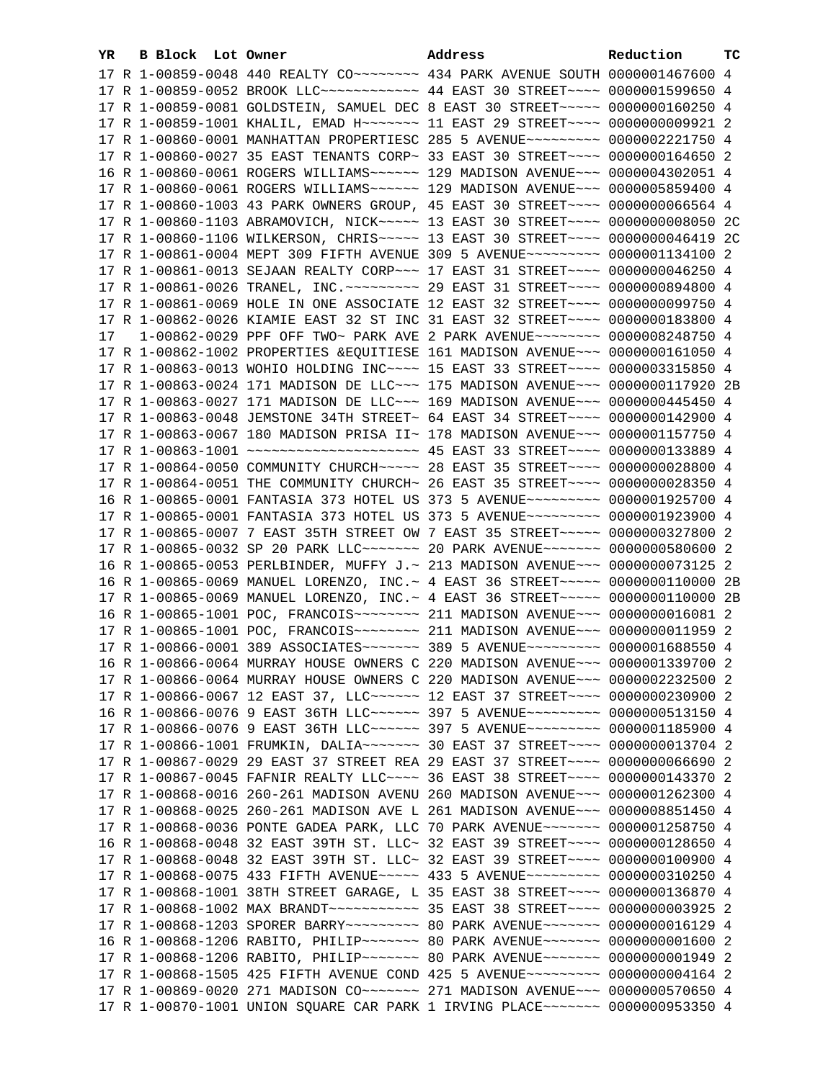| YR. | B Block Lot Owner |                                                                                                                                                                 | Address | Reduction | тc |
|-----|-------------------|-----------------------------------------------------------------------------------------------------------------------------------------------------------------|---------|-----------|----|
|     |                   |                                                                                                                                                                 |         |           |    |
|     |                   | 17 R 1-00859-0052 BROOK LLC ----------- 44 EAST 30 STREET ---- 0000001599650 4                                                                                  |         |           |    |
|     |                   | 17 R 1-00859-0081 GOLDSTEIN, SAMUEL DEC 8 EAST 30 STREET~~~~~ 0000000160250 4                                                                                   |         |           |    |
|     |                   | 17 R 1-00859-1001 KHALIL, EMAD H~~~~~~~ 11 EAST 29 STREET~~~~ 0000000009921 2                                                                                   |         |           |    |
|     |                   | 17 R 1-00860-0001 MANHATTAN PROPERTIESC 285 5 AVENUE~~~~~~~~~ 0000002221750 4                                                                                   |         |           |    |
|     |                   | 17 R 1-00860-0027 35 EAST TENANTS CORP~ 33 EAST 30 STREET~~~~ 0000000164650 2                                                                                   |         |           |    |
|     |                   | 16 R 1-00860-0061 ROGERS WILLIAMS ----- 129 MADISON AVENUE -- 0000004302051 4                                                                                   |         |           |    |
|     |                   | 17 R 1-00860-0061 ROGERS WILLIAMS ----- 129 MADISON AVENUE -- 0000005859400 4                                                                                   |         |           |    |
|     |                   | 17 R 1-00860-1003 43 PARK OWNERS GROUP, 45 EAST 30 STREET~~~~ 0000000066564 4                                                                                   |         |           |    |
|     |                   | 17 R 1-00860-1103 ABRAMOVICH, NICK ---- 13 EAST 30 STREET --- 00000000008050 2C                                                                                 |         |           |    |
|     |                   | 17 R 1-00860-1106 WILKERSON, CHRIS ---- 13 EAST 30 STREET --- 0000000046419 2C                                                                                  |         |           |    |
|     |                   | 17 R 1-00861-0004 MEPT 309 FIFTH AVENUE 309 5 AVENUE~~~~~~~~~ 0000001134100 2                                                                                   |         |           |    |
|     |                   |                                                                                                                                                                 |         |           |    |
|     |                   | 17 R 1-00861-0013 SEJAAN REALTY CORP~~~ 17 EAST 31 STREET~~~~ 0000000046250 4<br>17 R 1-00861-0026 TRANEL, INC. ~~~~~~~~~ 29 EAST 31 STREET~~~~ 0000000894800 4 |         |           |    |
|     |                   |                                                                                                                                                                 |         |           |    |
|     |                   | 17 R 1-00861-0069 HOLE IN ONE ASSOCIATE 12 EAST 32 STREET~~~~ 0000000099750 4                                                                                   |         |           |    |
|     |                   | 17 R 1-00862-0026 KIAMIE EAST 32 ST INC 31 EAST 32 STREET~~~~ 0000000183800 4                                                                                   |         |           |    |
| 17  |                   | 1-00862-0029 PPF OFF TWO~ PARK AVE 2 PARK AVENUE~~~~~~~~ 0000008248750 4                                                                                        |         |           |    |
|     |                   | 17 R 1-00862-1002 PROPERTIES & EQUITIESE 161 MADISON AVENUE~~~ 0000000161050 4                                                                                  |         |           |    |
|     |                   | 17 R 1-00863-0013 WOHIO HOLDING INC~~~~ 15 EAST 33 STREET~~~~ 0000003315850 4                                                                                   |         |           |    |
|     |                   | 17 R 1-00863-0024 171 MADISON DE LLC~~~ 175 MADISON AVENUE~~~ 0000000117920 2B                                                                                  |         |           |    |
|     |                   | 17 R 1-00863-0027 171 MADISON DE LLC~~~ 169 MADISON AVENUE~~~ 0000000445450 4                                                                                   |         |           |    |
|     |                   | 17 R 1-00863-0048 JEMSTONE 34TH STREET~ 64 EAST 34 STREET~~~~ 0000000142900 4                                                                                   |         |           |    |
|     |                   | 17 R 1-00863-0067 180 MADISON PRISA II~ 178 MADISON AVENUE~~~ 0000001157750 4                                                                                   |         |           |    |
|     |                   |                                                                                                                                                                 |         |           |    |
|     |                   | 17 R 1-00864-0050 COMMUNITY CHURCH~~~~~ 28 EAST 35 STREET~~~~ 0000000028800 4                                                                                   |         |           |    |
|     |                   | 17 R 1-00864-0051 THE COMMUNITY CHURCH~ 26 EAST 35 STREET~~~~ 0000000028350 4                                                                                   |         |           |    |
|     |                   | 16 R 1-00865-0001 FANTASIA 373 HOTEL US 373 5 AVENUE~~~~~~~~~ 0000001925700 4                                                                                   |         |           |    |
|     |                   | 17 R 1-00865-0001 FANTASIA 373 HOTEL US 373 5 AVENUE~~~~~~~~~ 0000001923900 4                                                                                   |         |           |    |
|     |                   | 17 R 1-00865-0007 7 EAST 35TH STREET OW 7 EAST 35 STREET~~~~~ 0000000327800 2                                                                                   |         |           |    |
|     |                   | 17 R 1-00865-0032 SP 20 PARK LLC ------ 20 PARK AVENUE ------ 0000000580600 2                                                                                   |         |           |    |
|     |                   | 16 R 1-00865-0053 PERLBINDER, MUFFY J.~ 213 MADISON AVENUE~~~ 0000000073125 2                                                                                   |         |           |    |
|     |                   | 16 R 1-00865-0069 MANUEL LORENZO, INC. ~ 4 EAST 36 STREET~~~~~ 0000000110000 2B                                                                                 |         |           |    |
|     |                   | 17 R 1-00865-0069 MANUEL LORENZO, INC.~ 4 EAST 36 STREET~~~~~ 0000000110000 2B                                                                                  |         |           |    |
|     |                   | 16 R 1-00865-1001 POC, FRANCOIS ------- 211 MADISON AVENUE --- 0000000016081 2                                                                                  |         |           |    |
|     |                   | 17 R 1-00865-1001 POC, FRANCOIS ------- 211 MADISON AVENUE -- 0000000011959 2                                                                                   |         |           |    |
|     |                   | 17 R 1-00866-0001 389 ASSOCIATES~~~~~~~ 389 5 AVENUE~~~~~~~~~ 0000001688550 4                                                                                   |         |           |    |
|     |                   | 16 R 1-00866-0064 MURRAY HOUSE OWNERS C 220 MADISON AVENUE~~~ 0000001339700 2                                                                                   |         |           |    |
|     |                   | 17 R 1-00866-0064 MURRAY HOUSE OWNERS C 220 MADISON AVENUE~~~ 0000002232500 2                                                                                   |         |           |    |
|     |                   | 17 R 1-00866-0067 12 EAST 37, LLC ----- 12 EAST 37 STREET --- 0000000230900 2                                                                                   |         |           |    |
|     |                   | 16 R 1-00866-0076 9 EAST 36TH LLC ----- 397 5 AVENUE -------- 0000000513150 4                                                                                   |         |           |    |
|     |                   | 17 R 1-00866-0076 9 EAST 36TH LLC ----- 397 5 AVENUE -------- 0000001185900 4                                                                                   |         |           |    |
|     |                   | 17 R 1-00866-1001 FRUMKIN, DALIA~~~~~~~~~~~~~ 30 EAST 37 STREET~~~~~ 0000000013704 2                                                                            |         |           |    |
|     |                   | 17 R 1-00867-0029 29 EAST 37 STREET REA 29 EAST 37 STREET~~~~ 0000000066690 2                                                                                   |         |           |    |
|     |                   | 17 R 1-00867-0045 FAFNIR REALTY LLC~~~~ 36 EAST 38 STREET~~~~ 0000000143370 2                                                                                   |         |           |    |
|     |                   | 17 R 1-00868-0016 260-261 MADISON AVENU 260 MADISON AVENUE~~~ 0000001262300 4                                                                                   |         |           |    |
|     |                   | 17 R 1-00868-0025 260-261 MADISON AVE L 261 MADISON AVENUE~~~ 0000008851450 4                                                                                   |         |           |    |
|     |                   | 17 R 1-00868-0036 PONTE GADEA PARK, LLC 70 PARK AVENUE~~~~~~~ 0000001258750 4                                                                                   |         |           |    |
|     |                   | 16 R 1-00868-0048 32 EAST 39TH ST. LLC~ 32 EAST 39 STREET~~~~ 0000000128650 4                                                                                   |         |           |    |
|     |                   | 17 R 1-00868-0048 32 EAST 39TH ST. LLC~ 32 EAST 39 STREET~~~~ 0000000100900 4                                                                                   |         |           |    |
|     |                   | 17 R 1-00868-0075 433 FIFTH AVENUE~~~~~ 433 5 AVENUE~~~~~~~~~ 0000000310250 4                                                                                   |         |           |    |
|     |                   | 17 R 1-00868-1001 38TH STREET GARAGE, L 35 EAST 38 STREET~~~~ 0000000136870 4                                                                                   |         |           |    |
|     |                   |                                                                                                                                                                 |         |           |    |
|     |                   |                                                                                                                                                                 |         |           |    |
|     |                   |                                                                                                                                                                 |         |           |    |
|     |                   |                                                                                                                                                                 |         |           |    |
|     |                   | 17 R 1-00868-1505 425 FIFTH AVENUE COND 425 5 AVENUE~~~~~~~~~ 00000000004164 2                                                                                  |         |           |    |
|     |                   | 17 R 1-00869-0020 271 MADISON CO~~~~~~~ 271 MADISON AVENUE~~~ 0000000570650 4                                                                                   |         |           |    |
|     |                   | 17 R 1-00870-1001 UNION SQUARE CAR PARK 1 IRVING PLACE~~~~~~~ 0000000953350 4                                                                                   |         |           |    |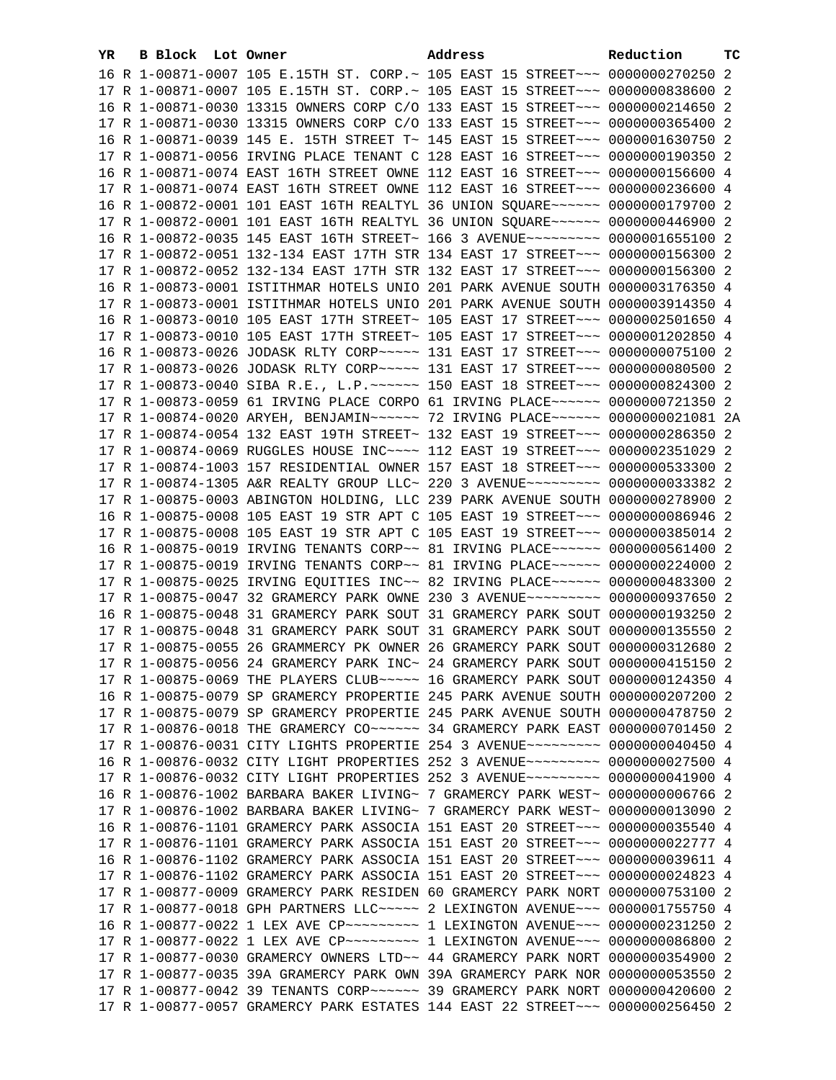| YR. | B Block Lot Owner | Address                                                                                                                                                        | Reduction | тc |
|-----|-------------------|----------------------------------------------------------------------------------------------------------------------------------------------------------------|-----------|----|
|     |                   | 16 R 1-00871-0007 105 E.15TH ST. CORP.~ 105 EAST 15 STREET~~~ 0000000270250 2                                                                                  |           |    |
|     |                   | 17 R 1-00871-0007 105 E.15TH ST. CORP.~ 105 EAST 15 STREET~~~ 00000000838600 2                                                                                 |           |    |
|     |                   | 16 R 1-00871-0030 13315 OWNERS CORP C/O 133 EAST 15 STREET~~~ 0000000214650 2                                                                                  |           |    |
|     |                   | 17 R 1-00871-0030 13315 OWNERS CORP C/O 133 EAST 15 STREET~~~ 0000000365400 2                                                                                  |           |    |
|     |                   | 16 R 1-00871-0039 145 E. 15TH STREET T~ 145 EAST 15 STREET~~~ 0000001630750 2                                                                                  |           |    |
|     |                   | 17 R 1-00871-0056 IRVING PLACE TENANT C 128 EAST 16 STREET~~~ 0000000190350 2                                                                                  |           |    |
|     |                   | 16 R 1-00871-0074 EAST 16TH STREET OWNE 112 EAST 16 STREET~~~ 0000000156600 4                                                                                  |           |    |
|     |                   | 17 R 1-00871-0074 EAST 16TH STREET OWNE 112 EAST 16 STREET~~~ 0000000236600 4                                                                                  |           |    |
|     |                   | 16 R 1-00872-0001 101 EAST 16TH REALTYL 36 UNION SQUARE~~~~~~ 0000000179700 2                                                                                  |           |    |
|     |                   | 17 R 1-00872-0001 101 EAST 16TH REALTYL 36 UNION SQUARE~~~~~~ 0000000446900 2                                                                                  |           |    |
|     |                   | 16 R 1-00872-0035 145 EAST 16TH STREET~ 166 3 AVENUE~~~~~~~~~ 0000001655100 2                                                                                  |           |    |
|     |                   | 17 R 1-00872-0051 132-134 EAST 17TH STR 134 EAST 17 STREET~~~ 0000000156300 2                                                                                  |           |    |
|     |                   | 17 R 1-00872-0052 132-134 EAST 17TH STR 132 EAST 17 STREET~~~ 0000000156300 2                                                                                  |           |    |
|     |                   | 16 R 1-00873-0001 ISTITHMAR HOTELS UNIO 201 PARK AVENUE SOUTH 0000003176350 4                                                                                  |           |    |
|     |                   | 17 R 1-00873-0001 ISTITHMAR HOTELS UNIO 201 PARK AVENUE SOUTH 0000003914350 4                                                                                  |           |    |
|     |                   | 16 R 1-00873-0010 105 EAST 17TH STREET~ 105 EAST 17 STREET~~~ 0000002501650 4                                                                                  |           |    |
|     |                   | 17 R 1-00873-0010 105 EAST 17TH STREET~ 105 EAST 17 STREET~~~ 0000001202850 4                                                                                  |           |    |
|     |                   |                                                                                                                                                                |           |    |
|     |                   | 16 R 1-00873-0026 JODASK RLTY CORP~~~~~ 131 EAST 17 STREET~~~ 0000000075100 2                                                                                  |           |    |
|     |                   | 17 R 1-00873-0026 JODASK RLTY CORP~~~~~ 131 EAST 17 STREET~~~ 0000000080500 2                                                                                  |           |    |
|     |                   |                                                                                                                                                                |           |    |
|     |                   | 17 R 1-00873-0059 61 IRVING PLACE CORPO 61 IRVING PLACE~~~~~~ 0000000721350 2                                                                                  |           |    |
|     |                   | 17 R 1-00874-0020 ARYEH, BENJAMIN~~~~~~ 72 IRVING PLACE~~~~~~ 0000000021081 2A                                                                                 |           |    |
|     |                   | 17 R 1-00874-0054 132 EAST 19TH STREET~ 132 EAST 19 STREET~~~ 0000000286350 2                                                                                  |           |    |
|     |                   | 17 R 1-00874-0069 RUGGLES HOUSE INC~~~~ 112 EAST 19 STREET~~~ 0000002351029 2                                                                                  |           |    |
|     |                   | 17 R 1-00874-1003 157 RESIDENTIAL OWNER 157 EAST 18 STREET~~~ 0000000533300 2                                                                                  |           |    |
|     |                   | 17 R 1-00874-1305 A&R REALTY GROUP LLC~ 220 3 AVENUE~~~~~~~~~ 0000000033382 2                                                                                  |           |    |
|     |                   | 17 R 1-00875-0003 ABINGTON HOLDING, LLC 239 PARK AVENUE SOUTH 0000000278900 2                                                                                  |           |    |
|     |                   | 16 R 1-00875-0008 105 EAST 19 STR APT C 105 EAST 19 STREET~~~ 0000000086946 2                                                                                  |           |    |
|     |                   | 17 R 1-00875-0008 105 EAST 19 STR APT C 105 EAST 19 STREET~~~ 0000000385014 2                                                                                  |           |    |
|     |                   | 16 R 1-00875-0019 IRVING TENANTS CORP~~ 81 IRVING PLACE~~~~~~ 0000000561400 2<br>17 R 1-00875-0019 IRVING TENANTS CORP~~ 81 IRVING PLACE~~~~~~ 0000000224000 2 |           |    |
|     |                   | 17 R 1-00875-0025 IRVING EQUITIES INC~~ 82 IRVING PLACE~~~~~~ 0000000483300 2                                                                                  |           |    |
|     |                   | 17 R 1-00875-0047 32 GRAMERCY PARK OWNE 230 3 AVENUE~~~~~~~~~ 0000000937650 2                                                                                  |           |    |
|     |                   | 16 R 1-00875-0048 31 GRAMERCY PARK SOUT 31 GRAMERCY PARK SOUT 0000000193250 2                                                                                  |           |    |
|     |                   | 17 R 1-00875-0048 31 GRAMERCY PARK SOUT 31 GRAMERCY PARK SOUT 0000000135550 2                                                                                  |           |    |
|     |                   | 17 R 1-00875-0055 26 GRAMMERCY PK OWNER 26 GRAMERCY PARK SOUT 0000000312680 2                                                                                  |           |    |
|     |                   | 17 R 1-00875-0056 24 GRAMERCY PARK INC~ 24 GRAMERCY PARK SOUT 0000000415150 2                                                                                  |           |    |
|     |                   |                                                                                                                                                                |           |    |
|     |                   | 17 R 1-00875-0069 THE PLAYERS CLUB ---- 16 GRAMERCY PARK SOUT 0000000124350 4                                                                                  |           |    |
|     |                   | 16 R 1-00875-0079 SP GRAMERCY PROPERTIE 245 PARK AVENUE SOUTH 0000000207200 2                                                                                  |           |    |
|     |                   | 17 R 1-00875-0079 SP GRAMERCY PROPERTIE 245 PARK AVENUE SOUTH 0000000478750 2                                                                                  |           |    |
|     |                   | 17 R 1-00876-0018 THE GRAMERCY CO ~~~~~~ 34 GRAMERCY PARK EAST 0000000701450 2                                                                                 |           |    |
|     |                   | 17 R 1-00876-0031 CITY LIGHTS PROPERTIE 254 3 AVENUE~~~~~~~~~ 0000000040450 4                                                                                  |           |    |
|     |                   | 16 R 1-00876-0032 CITY LIGHT PROPERTIES 252 3 AVENUE~~~~~~~~~ 0000000027500 4                                                                                  |           |    |
|     |                   | 17 R 1-00876-0032 CITY LIGHT PROPERTIES 252 3 AVENUE~~~~~~~~~ 0000000041900 4                                                                                  |           |    |
|     |                   | 16 R 1-00876-1002 BARBARA BAKER LIVING~ 7 GRAMERCY PARK WEST~ 0000000006766 2                                                                                  |           |    |
|     |                   | 17 R 1-00876-1002 BARBARA BAKER LIVING~ 7 GRAMERCY PARK WEST~ 0000000013090 2                                                                                  |           |    |
|     |                   | 16 R 1-00876-1101 GRAMERCY PARK ASSOCIA 151 EAST 20 STREET~~~ 0000000035540 4                                                                                  |           |    |
|     |                   | 17 R 1-00876-1101 GRAMERCY PARK ASSOCIA 151 EAST 20 STREET~~~ 0000000022777 4                                                                                  |           |    |
|     |                   | 16 R 1-00876-1102 GRAMERCY PARK ASSOCIA 151 EAST 20 STREET~~~ 0000000039611 4<br>17 R 1-00876-1102 GRAMERCY PARK ASSOCIA 151 EAST 20 STREET~~~ 0000000024823 4 |           |    |
|     |                   |                                                                                                                                                                |           |    |
|     |                   | 17 R 1-00877-0009 GRAMERCY PARK RESIDEN 60 GRAMERCY PARK NORT 0000000753100 2<br>17 R 1-00877-0018 GPH PARTNERS LLC~~~~~ 2 LEXINGTON AVENUE~~~ 0000001755750 4 |           |    |
|     |                   | 16 R 1-00877-0022 1 LEX AVE CP~~~~~~~~~~~~~~ 1 LEXINGTON AVENUE~~~~ 0000000231250 2                                                                            |           |    |
|     |                   | 17 R 1-00877-0022 1 LEX AVE CP~~~~~~~~~~~~~~ 1 LEXINGTON AVENUE~~~~ 0000000086800 2                                                                            |           |    |
|     |                   | 17 R 1-00877-0030 GRAMERCY OWNERS LTD ~~ 44 GRAMERCY PARK NORT 0000000354900 2                                                                                 |           |    |
|     |                   | 17 R 1-00877-0035 39A GRAMERCY PARK OWN 39A GRAMERCY PARK NOR 0000000053550 2                                                                                  |           |    |
|     |                   |                                                                                                                                                                |           |    |
|     |                   | 17 R 1-00877-0057 GRAMERCY PARK ESTATES 144 EAST 22 STREET~~~ 0000000256450 2                                                                                  |           |    |
|     |                   |                                                                                                                                                                |           |    |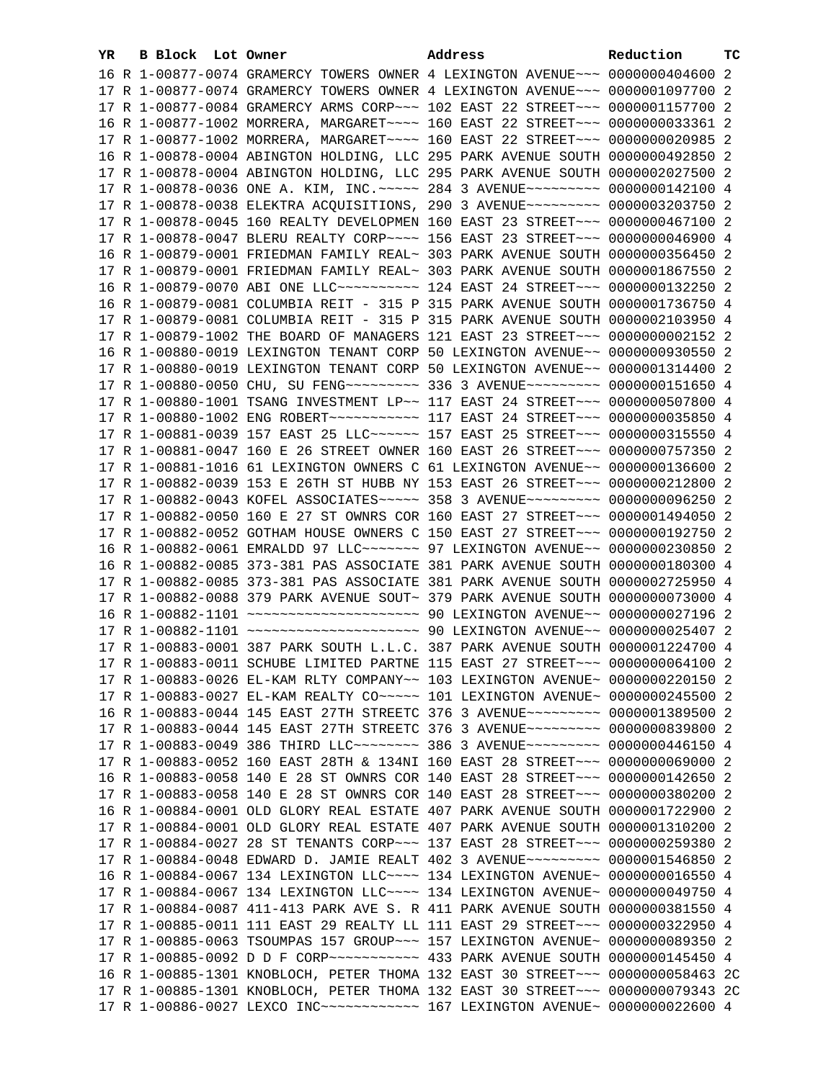| YR. | B Block Lot Owner | Address                                                                                                                                                         | Reduction | тc |
|-----|-------------------|-----------------------------------------------------------------------------------------------------------------------------------------------------------------|-----------|----|
|     |                   | 16 R 1-00877-0074 GRAMERCY TOWERS OWNER 4 LEXINGTON AVENUE~~~ 0000000404600 2                                                                                   |           |    |
|     |                   | 17 R 1-00877-0074 GRAMERCY TOWERS OWNER 4 LEXINGTON AVENUE~~~ 0000001097700 2                                                                                   |           |    |
|     |                   | 17 R 1-00877-0084 GRAMERCY ARMS CORP~~~ 102 EAST 22 STREET~~~ 0000001157700 2                                                                                   |           |    |
|     |                   | 16 R 1-00877-1002 MORRERA, MARGARET~~~~ 160 EAST 22 STREET~~~ 0000000033361 2                                                                                   |           |    |
|     |                   | 17 R 1-00877-1002 MORRERA, MARGARET~~~~ 160 EAST 22 STREET~~~ 0000000020985 2                                                                                   |           |    |
|     |                   | 16 R 1-00878-0004 ABINGTON HOLDING, LLC 295 PARK AVENUE SOUTH 0000000492850 2                                                                                   |           |    |
|     |                   | 17 R 1-00878-0004 ABINGTON HOLDING, LLC 295 PARK AVENUE SOUTH 0000002027500 2                                                                                   |           |    |
|     |                   | 17 R 1-00878-0036 ONE A. KIM, INC. ---- 284 3 AVENUE-------- 0000000142100 4                                                                                    |           |    |
|     |                   | 17 R 1-00878-0038 ELEKTRA ACQUISITIONS, 290 3 AVENUE~~~~~~~~~ 0000003203750 2                                                                                   |           |    |
|     |                   | 17 R 1-00878-0045 160 REALTY DEVELOPMEN 160 EAST 23 STREET~~~ 0000000467100 2                                                                                   |           |    |
|     |                   | 17 R 1-00878-0047 BLERU REALTY CORP~~~~ 156 EAST 23 STREET~~~ 0000000046900 4                                                                                   |           |    |
|     |                   | 16 R 1-00879-0001 FRIEDMAN FAMILY REAL~ 303 PARK AVENUE SOUTH 0000000356450 2                                                                                   |           |    |
|     |                   |                                                                                                                                                                 |           |    |
|     |                   | 17 R 1-00879-0001 FRIEDMAN FAMILY REAL~ 303 PARK AVENUE SOUTH 0000001867550 2                                                                                   |           |    |
|     |                   | 16 R 1-00879-0070 ABI ONE LLC ---------- 124 EAST 24 STREET --- 0000000132250 2                                                                                 |           |    |
|     |                   | 16 R 1-00879-0081 COLUMBIA REIT - 315 P 315 PARK AVENUE SOUTH 0000001736750 4                                                                                   |           |    |
|     |                   | 17 R 1-00879-0081 COLUMBIA REIT - 315 P 315 PARK AVENUE SOUTH 0000002103950 4                                                                                   |           |    |
|     |                   | 17 R 1-00879-1002 THE BOARD OF MANAGERS 121 EAST 23 STREET~~~ 0000000002152 2                                                                                   |           |    |
|     |                   | 16 R 1-00880-0019 LEXINGTON TENANT CORP 50 LEXINGTON AVENUE~~ 0000000930550 2                                                                                   |           |    |
|     |                   | 17 R 1-00880-0019 LEXINGTON TENANT CORP 50 LEXINGTON AVENUE~~ 0000001314400 2                                                                                   |           |    |
|     |                   | 17 R 1-00880-0050 CHU, SU FENG~~~~~~~~~~~~~~~ 336 3 AVENUE~~~~~~~~~~~ 0000000151650 4                                                                           |           |    |
|     |                   | 17 R 1-00880-1001 TSANG INVESTMENT LP~~ 117 EAST 24 STREET~~~ 0000000507800 4                                                                                   |           |    |
|     |                   | 17 R 1-00880-1002 ENG ROBERT~~~~~~~~~~~~~~~~ 117 EAST 24 STREET~~~~ 0000000035850 4                                                                             |           |    |
|     |                   | 17 R 1-00881-0039 157 EAST 25 LLC ----- 157 EAST 25 STREET -- 0000000315550 4                                                                                   |           |    |
|     |                   | 17 R 1-00881-0047 160 E 26 STREET OWNER 160 EAST 26 STREET~~~ 0000000757350 2                                                                                   |           |    |
|     |                   | 17 R 1-00881-1016 61 LEXINGTON OWNERS C 61 LEXINGTON AVENUE~~ 0000000136600 2                                                                                   |           |    |
|     |                   | 17 R 1-00882-0039 153 E 26TH ST HUBB NY 153 EAST 26 STREET~~~ 0000000212800 2                                                                                   |           |    |
|     |                   | 17 R 1-00882-0043 KOFEL ASSOCIATES~~~~~ 358 3 AVENUE~~~~~~~~~ 0000000096250 2                                                                                   |           |    |
|     |                   | 17 R 1-00882-0050 160 E 27 ST OWNRS COR 160 EAST 27 STREET~~~ 0000001494050 2                                                                                   |           |    |
|     |                   | 17 R 1-00882-0052 GOTHAM HOUSE OWNERS C 150 EAST 27 STREET~~~ 0000000192750 2<br>16 R 1-00882-0061 EMRALDD 97 LLC~~~~~~~~ 97 LEXINGTON AVENUE~~ 0000000230850 2 |           |    |
|     |                   | 16 R 1-00882-0085 373-381 PAS ASSOCIATE 381 PARK AVENUE SOUTH 0000000180300 4                                                                                   |           |    |
|     |                   | 17 R 1-00882-0085 373-381 PAS ASSOCIATE 381 PARK AVENUE SOUTH 0000002725950 4                                                                                   |           |    |
|     |                   | 17 R 1-00882-0088 379 PARK AVENUE SOUT~ 379 PARK AVENUE SOUTH 0000000073000 4                                                                                   |           |    |
|     |                   | 16 R 1-00882-1101 ~~~~~~~~~~~~~~~~~~~~~~~~~ 90 LEXINGTON AVENUE~~ 0000000027196 2                                                                               |           |    |
|     |                   | 17 R 1-00882-1101 ~~~~~~~~~~~~~~~~~~~~~~~~~ 90 LEXINGTON AVENUE~~ 0000000025407 2                                                                               |           |    |
|     |                   | 17 R 1-00883-0001 387 PARK SOUTH L.L.C. 387 PARK AVENUE SOUTH 0000001224700 4                                                                                   |           |    |
|     |                   | 17 R 1-00883-0011 SCHUBE LIMITED PARTNE 115 EAST 27 STREET~~~ 0000000064100 2                                                                                   |           |    |
|     |                   | 17 R 1-00883-0026 EL-KAM RLTY COMPANY~~ 103 LEXINGTON AVENUE~ 0000000220150 2                                                                                   |           |    |
|     |                   | 17 R 1-00883-0027 EL-KAM REALTY CO~~~~~ 101 LEXINGTON AVENUE~ 0000000245500 2                                                                                   |           |    |
|     |                   | 16 R 1-00883-0044 145 EAST 27TH STREETC 376 3 AVENUE~~~~~~~~~ 0000001389500 2                                                                                   |           |    |
|     |                   | 17 R 1-00883-0044 145 EAST 27TH STREETC 376 3 AVENUE~~~~~~~~~ 0000000839800 2                                                                                   |           |    |
|     |                   | 17 R 1-00883-0049 386 THIRD LLC -------- 386 3 AVENUE --------- 0000000446150 4                                                                                 |           |    |
|     |                   | 17 R 1-00883-0052 160 EAST 28TH & 134NI 160 EAST 28 STREET~~~ 0000000069000 2                                                                                   |           |    |
|     |                   | 16 R 1-00883-0058 140 E 28 ST OWNRS COR 140 EAST 28 STREET~~~ 0000000142650 2                                                                                   |           |    |
|     |                   | 17 R 1-00883-0058 140 E 28 ST OWNRS COR 140 EAST 28 STREET~~~ 0000000380200 2                                                                                   |           |    |
|     |                   | 16 R 1-00884-0001 OLD GLORY REAL ESTATE 407 PARK AVENUE SOUTH 0000001722900 2                                                                                   |           |    |
|     |                   | 17 R 1-00884-0001 OLD GLORY REAL ESTATE 407 PARK AVENUE SOUTH 0000001310200 2                                                                                   |           |    |
|     |                   | 17 R 1-00884-0027 28 ST TENANTS CORP~~~ 137 EAST 28 STREET~~~ 0000000259380 2                                                                                   |           |    |
|     |                   | 17 R 1-00884-0048 EDWARD D. JAMIE REALT 402 3 AVENUE~~~~~~~~~ 0000001546850 2                                                                                   |           |    |
|     |                   | 16 R 1-00884-0067 134 LEXINGTON LLC~~~~ 134 LEXINGTON AVENUE~ 0000000016550 4                                                                                   |           |    |
|     |                   | 17 R 1-00884-0067 134 LEXINGTON LLC~~~~ 134 LEXINGTON AVENUE~ 0000000049750 4                                                                                   |           |    |
|     |                   | 17 R 1-00884-0087 411-413 PARK AVE S. R 411 PARK AVENUE SOUTH 0000000381550 4                                                                                   |           |    |
|     |                   | 17 R 1-00885-0011 111 EAST 29 REALTY LL 111 EAST 29 STREET~~~ 0000000322950 4                                                                                   |           |    |
|     |                   | 17 R 1-00885-0063 TSOUMPAS 157 GROUP~~~ 157 LEXINGTON AVENUE~ 0000000089350 2                                                                                   |           |    |
|     |                   |                                                                                                                                                                 |           |    |
|     |                   | 16 R 1-00885-1301 KNOBLOCH, PETER THOMA 132 EAST 30 STREET~~~ 0000000058463 2C                                                                                  |           |    |
|     |                   | 17 R 1-00885-1301 KNOBLOCH, PETER THOMA 132 EAST 30 STREET~~~ 0000000079343 2C                                                                                  |           |    |
|     |                   |                                                                                                                                                                 |           |    |
|     |                   |                                                                                                                                                                 |           |    |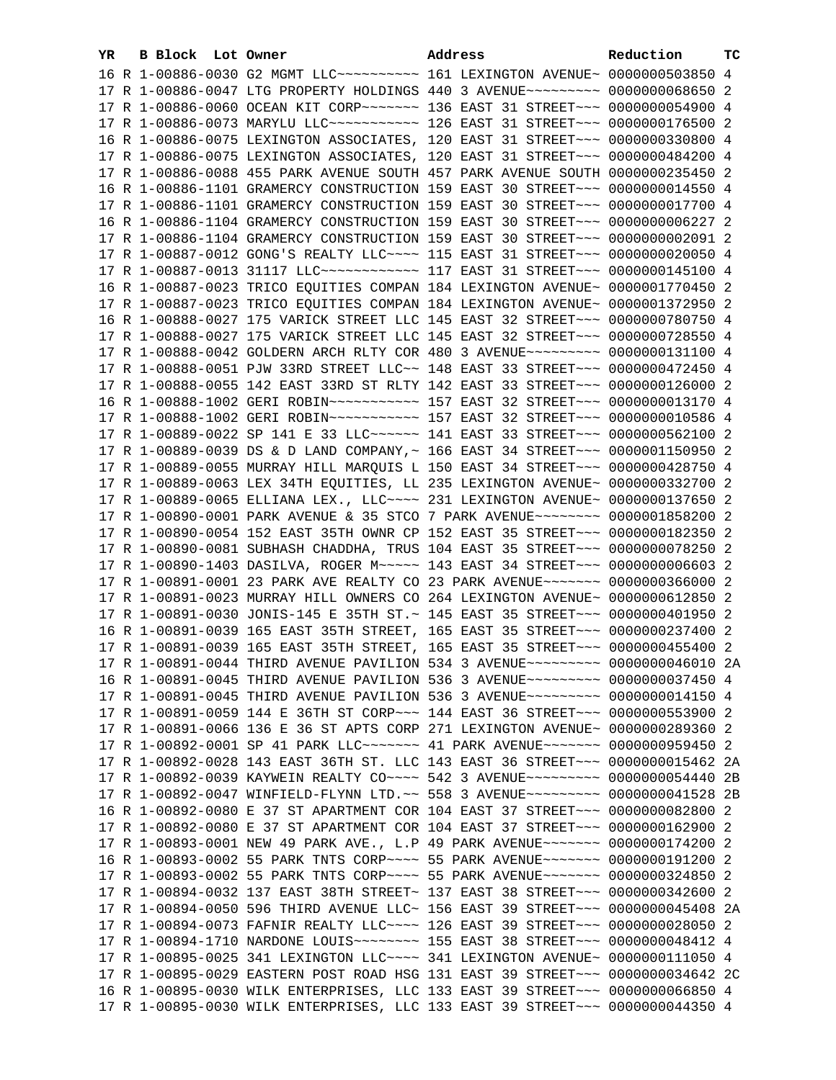| 16 R 1-00886-0030 G2 MGMT LLC ---------- 161 LEXINGTON AVENUE ~ 0000000503850 4<br>17 R 1-00886-0047 LTG PROPERTY HOLDINGS 440 3 AVENUE~~~~~~~~~ 0000000068650 2<br>17 R 1-00886-0060 OCEAN KIT CORP~~~~~~~ 136 EAST 31 STREET~~~ 0000000054900 4<br>17 R 1-00886-0073 MARYLU LLC ----------- 126 EAST 31 STREET --- 0000000176500 2<br>16 R 1-00886-0075 LEXINGTON ASSOCIATES, 120 EAST 31 STREET~~~ 0000000330800 4<br>17 R 1-00886-0075 LEXINGTON ASSOCIATES, 120 EAST 31 STREET~~~ 0000000484200 4<br>17 R 1-00886-0088 455 PARK AVENUE SOUTH 457 PARK AVENUE SOUTH 0000000235450 2<br>16 R 1-00886-1101 GRAMERCY CONSTRUCTION 159 EAST 30 STREET~~~ 0000000014550 4<br>17 R 1-00886-1101 GRAMERCY CONSTRUCTION 159 EAST 30 STREET~~~ 0000000017700 4<br>16 R 1-00886-1104 GRAMERCY CONSTRUCTION 159 EAST 30 STREET~~~ 0000000006227 2<br>17 R 1-00886-1104 GRAMERCY CONSTRUCTION 159 EAST 30 STREET~~~ 00000000002091 2<br>17 R 1-00887-0012 GONG'S REALTY LLC~~~~ 115 EAST 31 STREET~~~ 0000000020050 4<br>17 R 1-00887-0013 31117 LLC ------------ 117 EAST 31 STREET --- 0000000145100 4<br>16 R 1-00887-0023 TRICO EQUITIES COMPAN 184 LEXINGTON AVENUE~ 0000001770450 2<br>17 R 1-00887-0023 TRICO EQUITIES COMPAN 184 LEXINGTON AVENUE~ 0000001372950 2<br>16 R 1-00888-0027 175 VARICK STREET LLC 145 EAST 32 STREET~~~ 0000000780750 4<br>17 R 1-00888-0027 175 VARICK STREET LLC 145 EAST 32 STREET~~~ 0000000728550 4<br>17 R 1-00888-0042 GOLDERN ARCH RLTY COR 480 3 AVENUE~~~~~~~~~ 0000000131100 4<br>17 R 1-00888-0051 PJW 33RD STREET LLC~~ 148 EAST 33 STREET~~~ 0000000472450 4<br>17 R 1-00888-0055 142 EAST 33RD ST RLTY 142 EAST 33 STREET~~~ 0000000126000 2<br>17 R 1-00888-1002 GERI ROBIN~~~~~~~~~~~~~~~~ 157 EAST 32 STREET~~~ 00000000010586 4<br>17 R 1-00889-0022 SP 141 E 33 LLC ----- 141 EAST 33 STREET -- 0000000562100 2<br>17 R 1-00889-0039 DS & D LAND COMPANY, ~ 166 EAST 34 STREET~~~ 0000001150950 2<br>17 R 1-00889-0055 MURRAY HILL MARQUIS L 150 EAST 34 STREET~~~ 0000000428750 4<br>17 R 1-00889-0063 LEX 34TH EQUITIES, LL 235 LEXINGTON AVENUE~ 0000000332700 2<br>17 R 1-00889-0065 ELLIANA LEX., LLC ~~~~ 231 LEXINGTON AVENUE ~ 0000000137650 2<br>17 R 1-00890-0001 PARK AVENUE & 35 STCO 7 PARK AVENUE~~~~~~~~ 0000001858200 2<br>17 R 1-00890-0054 152 EAST 35TH OWNR CP 152 EAST 35 STREET~~~ 0000000182350 2<br>17 R 1-00890-0081 SUBHASH CHADDHA, TRUS 104 EAST 35 STREET~~~ 0000000078250 2<br>17 R 1-00890-1403 DASILVA, ROGER M~~~~~ 143 EAST 34 STREET~~~ 00000000006603 2<br>17 R 1-00891-0001 23 PARK AVE REALTY CO 23 PARK AVENUE~~~~~~~ 0000000366000 2<br>17 R 1-00891-0023 MURRAY HILL OWNERS CO 264 LEXINGTON AVENUE~ 0000000612850 2<br>17 R 1-00891-0030 JONIS-145 E 35TH ST.~ 145 EAST 35 STREET~~~ 0000000401950 2<br>16 R 1-00891-0039 165 EAST 35TH STREET, 165 EAST 35 STREET~~~ 0000000237400 2<br>17 R 1-00891-0039 165 EAST 35TH STREET, 165 EAST 35 STREET~~~ 0000000455400 2<br>17 R 1-00891-0044 THIRD AVENUE PAVILION 534 3 AVENUE~~~~~~~~~ 0000000046010 2A<br>16 R 1-00891-0045 THIRD AVENUE PAVILION 536 3 AVENUE~~~~~~~~~ 0000000037450 4<br>17 R 1-00891-0045 THIRD AVENUE PAVILION 536 3 AVENUE~~~~~~~~~ 0000000014150 4<br>17 R 1-00891-0059 144 E 36TH ST CORP~~~ 144 EAST 36 STREET~~~ 0000000553900 2<br>17 R 1-00891-0066 136 E 36 ST APTS CORP 271 LEXINGTON AVENUE~ 0000000289360 2<br>17 R 1-00892-0001 SP 41 PARK LLC ------- 41 PARK AVENUE------- 0000000959450 2<br>17 R 1-00892-0028 143 EAST 36TH ST. LLC 143 EAST 36 STREET~~~ 0000000015462 2A<br>17 R 1-00892-0039 KAYWEIN REALTY CO~~~~ 542 3 AVENUE~~~~~~~~~ 0000000054440 2B<br>17 R 1-00892-0047 WINFIELD-FLYNN LTD. ~~ 558 3 AVENUE~~~~~~~~~ 0000000041528 2B<br>16 R 1-00892-0080 E 37 ST APARTMENT COR 104 EAST 37 STREET~~~ 0000000082800 2<br>17 R 1-00892-0080 E 37 ST APARTMENT COR 104 EAST 37 STREET~~~ 0000000162900 2<br>17 R 1-00893-0001 NEW 49 PARK AVE., L.P 49 PARK AVENUE~~~~~~~ 0000000174200 2 |  |  |  |                                                                               |  |  |  |
|------------------------------------------------------------------------------------------------------------------------------------------------------------------------------------------------------------------------------------------------------------------------------------------------------------------------------------------------------------------------------------------------------------------------------------------------------------------------------------------------------------------------------------------------------------------------------------------------------------------------------------------------------------------------------------------------------------------------------------------------------------------------------------------------------------------------------------------------------------------------------------------------------------------------------------------------------------------------------------------------------------------------------------------------------------------------------------------------------------------------------------------------------------------------------------------------------------------------------------------------------------------------------------------------------------------------------------------------------------------------------------------------------------------------------------------------------------------------------------------------------------------------------------------------------------------------------------------------------------------------------------------------------------------------------------------------------------------------------------------------------------------------------------------------------------------------------------------------------------------------------------------------------------------------------------------------------------------------------------------------------------------------------------------------------------------------------------------------------------------------------------------------------------------------------------------------------------------------------------------------------------------------------------------------------------------------------------------------------------------------------------------------------------------------------------------------------------------------------------------------------------------------------------------------------------------------------------------------------------------------------------------------------------------------------------------------------------------------------------------------------------------------------------------------------------------------------------------------------------------------------------------------------------------------------------------------------------------------------------------------------------------------------------------------------------------------------------------------------------------------------------------------------------------------------------------------------------------------------------------------------------------------------------------------------------------------------------------------------------------------------------------------------------------------------------------------------------------------------------------------------------------------------------------------------------------------------------------------------------------------------------------------------------------------------------------------------------------------------------------------------------------------------------------------------------------------------------------------------------------------------------------------------------------------------------------------------------------------------------|--|--|--|-------------------------------------------------------------------------------|--|--|--|
|                                                                                                                                                                                                                                                                                                                                                                                                                                                                                                                                                                                                                                                                                                                                                                                                                                                                                                                                                                                                                                                                                                                                                                                                                                                                                                                                                                                                                                                                                                                                                                                                                                                                                                                                                                                                                                                                                                                                                                                                                                                                                                                                                                                                                                                                                                                                                                                                                                                                                                                                                                                                                                                                                                                                                                                                                                                                                                                                                                                                                                                                                                                                                                                                                                                                                                                                                                                                                                                                                                                                                                                                                                                                                                                                                                                                                                                                                                                                                                                    |  |  |  |                                                                               |  |  |  |
|                                                                                                                                                                                                                                                                                                                                                                                                                                                                                                                                                                                                                                                                                                                                                                                                                                                                                                                                                                                                                                                                                                                                                                                                                                                                                                                                                                                                                                                                                                                                                                                                                                                                                                                                                                                                                                                                                                                                                                                                                                                                                                                                                                                                                                                                                                                                                                                                                                                                                                                                                                                                                                                                                                                                                                                                                                                                                                                                                                                                                                                                                                                                                                                                                                                                                                                                                                                                                                                                                                                                                                                                                                                                                                                                                                                                                                                                                                                                                                                    |  |  |  |                                                                               |  |  |  |
|                                                                                                                                                                                                                                                                                                                                                                                                                                                                                                                                                                                                                                                                                                                                                                                                                                                                                                                                                                                                                                                                                                                                                                                                                                                                                                                                                                                                                                                                                                                                                                                                                                                                                                                                                                                                                                                                                                                                                                                                                                                                                                                                                                                                                                                                                                                                                                                                                                                                                                                                                                                                                                                                                                                                                                                                                                                                                                                                                                                                                                                                                                                                                                                                                                                                                                                                                                                                                                                                                                                                                                                                                                                                                                                                                                                                                                                                                                                                                                                    |  |  |  |                                                                               |  |  |  |
|                                                                                                                                                                                                                                                                                                                                                                                                                                                                                                                                                                                                                                                                                                                                                                                                                                                                                                                                                                                                                                                                                                                                                                                                                                                                                                                                                                                                                                                                                                                                                                                                                                                                                                                                                                                                                                                                                                                                                                                                                                                                                                                                                                                                                                                                                                                                                                                                                                                                                                                                                                                                                                                                                                                                                                                                                                                                                                                                                                                                                                                                                                                                                                                                                                                                                                                                                                                                                                                                                                                                                                                                                                                                                                                                                                                                                                                                                                                                                                                    |  |  |  |                                                                               |  |  |  |
|                                                                                                                                                                                                                                                                                                                                                                                                                                                                                                                                                                                                                                                                                                                                                                                                                                                                                                                                                                                                                                                                                                                                                                                                                                                                                                                                                                                                                                                                                                                                                                                                                                                                                                                                                                                                                                                                                                                                                                                                                                                                                                                                                                                                                                                                                                                                                                                                                                                                                                                                                                                                                                                                                                                                                                                                                                                                                                                                                                                                                                                                                                                                                                                                                                                                                                                                                                                                                                                                                                                                                                                                                                                                                                                                                                                                                                                                                                                                                                                    |  |  |  |                                                                               |  |  |  |
|                                                                                                                                                                                                                                                                                                                                                                                                                                                                                                                                                                                                                                                                                                                                                                                                                                                                                                                                                                                                                                                                                                                                                                                                                                                                                                                                                                                                                                                                                                                                                                                                                                                                                                                                                                                                                                                                                                                                                                                                                                                                                                                                                                                                                                                                                                                                                                                                                                                                                                                                                                                                                                                                                                                                                                                                                                                                                                                                                                                                                                                                                                                                                                                                                                                                                                                                                                                                                                                                                                                                                                                                                                                                                                                                                                                                                                                                                                                                                                                    |  |  |  |                                                                               |  |  |  |
|                                                                                                                                                                                                                                                                                                                                                                                                                                                                                                                                                                                                                                                                                                                                                                                                                                                                                                                                                                                                                                                                                                                                                                                                                                                                                                                                                                                                                                                                                                                                                                                                                                                                                                                                                                                                                                                                                                                                                                                                                                                                                                                                                                                                                                                                                                                                                                                                                                                                                                                                                                                                                                                                                                                                                                                                                                                                                                                                                                                                                                                                                                                                                                                                                                                                                                                                                                                                                                                                                                                                                                                                                                                                                                                                                                                                                                                                                                                                                                                    |  |  |  |                                                                               |  |  |  |
|                                                                                                                                                                                                                                                                                                                                                                                                                                                                                                                                                                                                                                                                                                                                                                                                                                                                                                                                                                                                                                                                                                                                                                                                                                                                                                                                                                                                                                                                                                                                                                                                                                                                                                                                                                                                                                                                                                                                                                                                                                                                                                                                                                                                                                                                                                                                                                                                                                                                                                                                                                                                                                                                                                                                                                                                                                                                                                                                                                                                                                                                                                                                                                                                                                                                                                                                                                                                                                                                                                                                                                                                                                                                                                                                                                                                                                                                                                                                                                                    |  |  |  |                                                                               |  |  |  |
|                                                                                                                                                                                                                                                                                                                                                                                                                                                                                                                                                                                                                                                                                                                                                                                                                                                                                                                                                                                                                                                                                                                                                                                                                                                                                                                                                                                                                                                                                                                                                                                                                                                                                                                                                                                                                                                                                                                                                                                                                                                                                                                                                                                                                                                                                                                                                                                                                                                                                                                                                                                                                                                                                                                                                                                                                                                                                                                                                                                                                                                                                                                                                                                                                                                                                                                                                                                                                                                                                                                                                                                                                                                                                                                                                                                                                                                                                                                                                                                    |  |  |  |                                                                               |  |  |  |
|                                                                                                                                                                                                                                                                                                                                                                                                                                                                                                                                                                                                                                                                                                                                                                                                                                                                                                                                                                                                                                                                                                                                                                                                                                                                                                                                                                                                                                                                                                                                                                                                                                                                                                                                                                                                                                                                                                                                                                                                                                                                                                                                                                                                                                                                                                                                                                                                                                                                                                                                                                                                                                                                                                                                                                                                                                                                                                                                                                                                                                                                                                                                                                                                                                                                                                                                                                                                                                                                                                                                                                                                                                                                                                                                                                                                                                                                                                                                                                                    |  |  |  |                                                                               |  |  |  |
|                                                                                                                                                                                                                                                                                                                                                                                                                                                                                                                                                                                                                                                                                                                                                                                                                                                                                                                                                                                                                                                                                                                                                                                                                                                                                                                                                                                                                                                                                                                                                                                                                                                                                                                                                                                                                                                                                                                                                                                                                                                                                                                                                                                                                                                                                                                                                                                                                                                                                                                                                                                                                                                                                                                                                                                                                                                                                                                                                                                                                                                                                                                                                                                                                                                                                                                                                                                                                                                                                                                                                                                                                                                                                                                                                                                                                                                                                                                                                                                    |  |  |  |                                                                               |  |  |  |
|                                                                                                                                                                                                                                                                                                                                                                                                                                                                                                                                                                                                                                                                                                                                                                                                                                                                                                                                                                                                                                                                                                                                                                                                                                                                                                                                                                                                                                                                                                                                                                                                                                                                                                                                                                                                                                                                                                                                                                                                                                                                                                                                                                                                                                                                                                                                                                                                                                                                                                                                                                                                                                                                                                                                                                                                                                                                                                                                                                                                                                                                                                                                                                                                                                                                                                                                                                                                                                                                                                                                                                                                                                                                                                                                                                                                                                                                                                                                                                                    |  |  |  |                                                                               |  |  |  |
|                                                                                                                                                                                                                                                                                                                                                                                                                                                                                                                                                                                                                                                                                                                                                                                                                                                                                                                                                                                                                                                                                                                                                                                                                                                                                                                                                                                                                                                                                                                                                                                                                                                                                                                                                                                                                                                                                                                                                                                                                                                                                                                                                                                                                                                                                                                                                                                                                                                                                                                                                                                                                                                                                                                                                                                                                                                                                                                                                                                                                                                                                                                                                                                                                                                                                                                                                                                                                                                                                                                                                                                                                                                                                                                                                                                                                                                                                                                                                                                    |  |  |  |                                                                               |  |  |  |
|                                                                                                                                                                                                                                                                                                                                                                                                                                                                                                                                                                                                                                                                                                                                                                                                                                                                                                                                                                                                                                                                                                                                                                                                                                                                                                                                                                                                                                                                                                                                                                                                                                                                                                                                                                                                                                                                                                                                                                                                                                                                                                                                                                                                                                                                                                                                                                                                                                                                                                                                                                                                                                                                                                                                                                                                                                                                                                                                                                                                                                                                                                                                                                                                                                                                                                                                                                                                                                                                                                                                                                                                                                                                                                                                                                                                                                                                                                                                                                                    |  |  |  |                                                                               |  |  |  |
|                                                                                                                                                                                                                                                                                                                                                                                                                                                                                                                                                                                                                                                                                                                                                                                                                                                                                                                                                                                                                                                                                                                                                                                                                                                                                                                                                                                                                                                                                                                                                                                                                                                                                                                                                                                                                                                                                                                                                                                                                                                                                                                                                                                                                                                                                                                                                                                                                                                                                                                                                                                                                                                                                                                                                                                                                                                                                                                                                                                                                                                                                                                                                                                                                                                                                                                                                                                                                                                                                                                                                                                                                                                                                                                                                                                                                                                                                                                                                                                    |  |  |  |                                                                               |  |  |  |
|                                                                                                                                                                                                                                                                                                                                                                                                                                                                                                                                                                                                                                                                                                                                                                                                                                                                                                                                                                                                                                                                                                                                                                                                                                                                                                                                                                                                                                                                                                                                                                                                                                                                                                                                                                                                                                                                                                                                                                                                                                                                                                                                                                                                                                                                                                                                                                                                                                                                                                                                                                                                                                                                                                                                                                                                                                                                                                                                                                                                                                                                                                                                                                                                                                                                                                                                                                                                                                                                                                                                                                                                                                                                                                                                                                                                                                                                                                                                                                                    |  |  |  |                                                                               |  |  |  |
|                                                                                                                                                                                                                                                                                                                                                                                                                                                                                                                                                                                                                                                                                                                                                                                                                                                                                                                                                                                                                                                                                                                                                                                                                                                                                                                                                                                                                                                                                                                                                                                                                                                                                                                                                                                                                                                                                                                                                                                                                                                                                                                                                                                                                                                                                                                                                                                                                                                                                                                                                                                                                                                                                                                                                                                                                                                                                                                                                                                                                                                                                                                                                                                                                                                                                                                                                                                                                                                                                                                                                                                                                                                                                                                                                                                                                                                                                                                                                                                    |  |  |  |                                                                               |  |  |  |
|                                                                                                                                                                                                                                                                                                                                                                                                                                                                                                                                                                                                                                                                                                                                                                                                                                                                                                                                                                                                                                                                                                                                                                                                                                                                                                                                                                                                                                                                                                                                                                                                                                                                                                                                                                                                                                                                                                                                                                                                                                                                                                                                                                                                                                                                                                                                                                                                                                                                                                                                                                                                                                                                                                                                                                                                                                                                                                                                                                                                                                                                                                                                                                                                                                                                                                                                                                                                                                                                                                                                                                                                                                                                                                                                                                                                                                                                                                                                                                                    |  |  |  |                                                                               |  |  |  |
|                                                                                                                                                                                                                                                                                                                                                                                                                                                                                                                                                                                                                                                                                                                                                                                                                                                                                                                                                                                                                                                                                                                                                                                                                                                                                                                                                                                                                                                                                                                                                                                                                                                                                                                                                                                                                                                                                                                                                                                                                                                                                                                                                                                                                                                                                                                                                                                                                                                                                                                                                                                                                                                                                                                                                                                                                                                                                                                                                                                                                                                                                                                                                                                                                                                                                                                                                                                                                                                                                                                                                                                                                                                                                                                                                                                                                                                                                                                                                                                    |  |  |  |                                                                               |  |  |  |
|                                                                                                                                                                                                                                                                                                                                                                                                                                                                                                                                                                                                                                                                                                                                                                                                                                                                                                                                                                                                                                                                                                                                                                                                                                                                                                                                                                                                                                                                                                                                                                                                                                                                                                                                                                                                                                                                                                                                                                                                                                                                                                                                                                                                                                                                                                                                                                                                                                                                                                                                                                                                                                                                                                                                                                                                                                                                                                                                                                                                                                                                                                                                                                                                                                                                                                                                                                                                                                                                                                                                                                                                                                                                                                                                                                                                                                                                                                                                                                                    |  |  |  |                                                                               |  |  |  |
|                                                                                                                                                                                                                                                                                                                                                                                                                                                                                                                                                                                                                                                                                                                                                                                                                                                                                                                                                                                                                                                                                                                                                                                                                                                                                                                                                                                                                                                                                                                                                                                                                                                                                                                                                                                                                                                                                                                                                                                                                                                                                                                                                                                                                                                                                                                                                                                                                                                                                                                                                                                                                                                                                                                                                                                                                                                                                                                                                                                                                                                                                                                                                                                                                                                                                                                                                                                                                                                                                                                                                                                                                                                                                                                                                                                                                                                                                                                                                                                    |  |  |  |                                                                               |  |  |  |
|                                                                                                                                                                                                                                                                                                                                                                                                                                                                                                                                                                                                                                                                                                                                                                                                                                                                                                                                                                                                                                                                                                                                                                                                                                                                                                                                                                                                                                                                                                                                                                                                                                                                                                                                                                                                                                                                                                                                                                                                                                                                                                                                                                                                                                                                                                                                                                                                                                                                                                                                                                                                                                                                                                                                                                                                                                                                                                                                                                                                                                                                                                                                                                                                                                                                                                                                                                                                                                                                                                                                                                                                                                                                                                                                                                                                                                                                                                                                                                                    |  |  |  |                                                                               |  |  |  |
|                                                                                                                                                                                                                                                                                                                                                                                                                                                                                                                                                                                                                                                                                                                                                                                                                                                                                                                                                                                                                                                                                                                                                                                                                                                                                                                                                                                                                                                                                                                                                                                                                                                                                                                                                                                                                                                                                                                                                                                                                                                                                                                                                                                                                                                                                                                                                                                                                                                                                                                                                                                                                                                                                                                                                                                                                                                                                                                                                                                                                                                                                                                                                                                                                                                                                                                                                                                                                                                                                                                                                                                                                                                                                                                                                                                                                                                                                                                                                                                    |  |  |  |                                                                               |  |  |  |
|                                                                                                                                                                                                                                                                                                                                                                                                                                                                                                                                                                                                                                                                                                                                                                                                                                                                                                                                                                                                                                                                                                                                                                                                                                                                                                                                                                                                                                                                                                                                                                                                                                                                                                                                                                                                                                                                                                                                                                                                                                                                                                                                                                                                                                                                                                                                                                                                                                                                                                                                                                                                                                                                                                                                                                                                                                                                                                                                                                                                                                                                                                                                                                                                                                                                                                                                                                                                                                                                                                                                                                                                                                                                                                                                                                                                                                                                                                                                                                                    |  |  |  |                                                                               |  |  |  |
|                                                                                                                                                                                                                                                                                                                                                                                                                                                                                                                                                                                                                                                                                                                                                                                                                                                                                                                                                                                                                                                                                                                                                                                                                                                                                                                                                                                                                                                                                                                                                                                                                                                                                                                                                                                                                                                                                                                                                                                                                                                                                                                                                                                                                                                                                                                                                                                                                                                                                                                                                                                                                                                                                                                                                                                                                                                                                                                                                                                                                                                                                                                                                                                                                                                                                                                                                                                                                                                                                                                                                                                                                                                                                                                                                                                                                                                                                                                                                                                    |  |  |  |                                                                               |  |  |  |
|                                                                                                                                                                                                                                                                                                                                                                                                                                                                                                                                                                                                                                                                                                                                                                                                                                                                                                                                                                                                                                                                                                                                                                                                                                                                                                                                                                                                                                                                                                                                                                                                                                                                                                                                                                                                                                                                                                                                                                                                                                                                                                                                                                                                                                                                                                                                                                                                                                                                                                                                                                                                                                                                                                                                                                                                                                                                                                                                                                                                                                                                                                                                                                                                                                                                                                                                                                                                                                                                                                                                                                                                                                                                                                                                                                                                                                                                                                                                                                                    |  |  |  |                                                                               |  |  |  |
|                                                                                                                                                                                                                                                                                                                                                                                                                                                                                                                                                                                                                                                                                                                                                                                                                                                                                                                                                                                                                                                                                                                                                                                                                                                                                                                                                                                                                                                                                                                                                                                                                                                                                                                                                                                                                                                                                                                                                                                                                                                                                                                                                                                                                                                                                                                                                                                                                                                                                                                                                                                                                                                                                                                                                                                                                                                                                                                                                                                                                                                                                                                                                                                                                                                                                                                                                                                                                                                                                                                                                                                                                                                                                                                                                                                                                                                                                                                                                                                    |  |  |  |                                                                               |  |  |  |
|                                                                                                                                                                                                                                                                                                                                                                                                                                                                                                                                                                                                                                                                                                                                                                                                                                                                                                                                                                                                                                                                                                                                                                                                                                                                                                                                                                                                                                                                                                                                                                                                                                                                                                                                                                                                                                                                                                                                                                                                                                                                                                                                                                                                                                                                                                                                                                                                                                                                                                                                                                                                                                                                                                                                                                                                                                                                                                                                                                                                                                                                                                                                                                                                                                                                                                                                                                                                                                                                                                                                                                                                                                                                                                                                                                                                                                                                                                                                                                                    |  |  |  |                                                                               |  |  |  |
|                                                                                                                                                                                                                                                                                                                                                                                                                                                                                                                                                                                                                                                                                                                                                                                                                                                                                                                                                                                                                                                                                                                                                                                                                                                                                                                                                                                                                                                                                                                                                                                                                                                                                                                                                                                                                                                                                                                                                                                                                                                                                                                                                                                                                                                                                                                                                                                                                                                                                                                                                                                                                                                                                                                                                                                                                                                                                                                                                                                                                                                                                                                                                                                                                                                                                                                                                                                                                                                                                                                                                                                                                                                                                                                                                                                                                                                                                                                                                                                    |  |  |  |                                                                               |  |  |  |
|                                                                                                                                                                                                                                                                                                                                                                                                                                                                                                                                                                                                                                                                                                                                                                                                                                                                                                                                                                                                                                                                                                                                                                                                                                                                                                                                                                                                                                                                                                                                                                                                                                                                                                                                                                                                                                                                                                                                                                                                                                                                                                                                                                                                                                                                                                                                                                                                                                                                                                                                                                                                                                                                                                                                                                                                                                                                                                                                                                                                                                                                                                                                                                                                                                                                                                                                                                                                                                                                                                                                                                                                                                                                                                                                                                                                                                                                                                                                                                                    |  |  |  |                                                                               |  |  |  |
|                                                                                                                                                                                                                                                                                                                                                                                                                                                                                                                                                                                                                                                                                                                                                                                                                                                                                                                                                                                                                                                                                                                                                                                                                                                                                                                                                                                                                                                                                                                                                                                                                                                                                                                                                                                                                                                                                                                                                                                                                                                                                                                                                                                                                                                                                                                                                                                                                                                                                                                                                                                                                                                                                                                                                                                                                                                                                                                                                                                                                                                                                                                                                                                                                                                                                                                                                                                                                                                                                                                                                                                                                                                                                                                                                                                                                                                                                                                                                                                    |  |  |  |                                                                               |  |  |  |
|                                                                                                                                                                                                                                                                                                                                                                                                                                                                                                                                                                                                                                                                                                                                                                                                                                                                                                                                                                                                                                                                                                                                                                                                                                                                                                                                                                                                                                                                                                                                                                                                                                                                                                                                                                                                                                                                                                                                                                                                                                                                                                                                                                                                                                                                                                                                                                                                                                                                                                                                                                                                                                                                                                                                                                                                                                                                                                                                                                                                                                                                                                                                                                                                                                                                                                                                                                                                                                                                                                                                                                                                                                                                                                                                                                                                                                                                                                                                                                                    |  |  |  |                                                                               |  |  |  |
|                                                                                                                                                                                                                                                                                                                                                                                                                                                                                                                                                                                                                                                                                                                                                                                                                                                                                                                                                                                                                                                                                                                                                                                                                                                                                                                                                                                                                                                                                                                                                                                                                                                                                                                                                                                                                                                                                                                                                                                                                                                                                                                                                                                                                                                                                                                                                                                                                                                                                                                                                                                                                                                                                                                                                                                                                                                                                                                                                                                                                                                                                                                                                                                                                                                                                                                                                                                                                                                                                                                                                                                                                                                                                                                                                                                                                                                                                                                                                                                    |  |  |  |                                                                               |  |  |  |
|                                                                                                                                                                                                                                                                                                                                                                                                                                                                                                                                                                                                                                                                                                                                                                                                                                                                                                                                                                                                                                                                                                                                                                                                                                                                                                                                                                                                                                                                                                                                                                                                                                                                                                                                                                                                                                                                                                                                                                                                                                                                                                                                                                                                                                                                                                                                                                                                                                                                                                                                                                                                                                                                                                                                                                                                                                                                                                                                                                                                                                                                                                                                                                                                                                                                                                                                                                                                                                                                                                                                                                                                                                                                                                                                                                                                                                                                                                                                                                                    |  |  |  |                                                                               |  |  |  |
|                                                                                                                                                                                                                                                                                                                                                                                                                                                                                                                                                                                                                                                                                                                                                                                                                                                                                                                                                                                                                                                                                                                                                                                                                                                                                                                                                                                                                                                                                                                                                                                                                                                                                                                                                                                                                                                                                                                                                                                                                                                                                                                                                                                                                                                                                                                                                                                                                                                                                                                                                                                                                                                                                                                                                                                                                                                                                                                                                                                                                                                                                                                                                                                                                                                                                                                                                                                                                                                                                                                                                                                                                                                                                                                                                                                                                                                                                                                                                                                    |  |  |  |                                                                               |  |  |  |
|                                                                                                                                                                                                                                                                                                                                                                                                                                                                                                                                                                                                                                                                                                                                                                                                                                                                                                                                                                                                                                                                                                                                                                                                                                                                                                                                                                                                                                                                                                                                                                                                                                                                                                                                                                                                                                                                                                                                                                                                                                                                                                                                                                                                                                                                                                                                                                                                                                                                                                                                                                                                                                                                                                                                                                                                                                                                                                                                                                                                                                                                                                                                                                                                                                                                                                                                                                                                                                                                                                                                                                                                                                                                                                                                                                                                                                                                                                                                                                                    |  |  |  |                                                                               |  |  |  |
|                                                                                                                                                                                                                                                                                                                                                                                                                                                                                                                                                                                                                                                                                                                                                                                                                                                                                                                                                                                                                                                                                                                                                                                                                                                                                                                                                                                                                                                                                                                                                                                                                                                                                                                                                                                                                                                                                                                                                                                                                                                                                                                                                                                                                                                                                                                                                                                                                                                                                                                                                                                                                                                                                                                                                                                                                                                                                                                                                                                                                                                                                                                                                                                                                                                                                                                                                                                                                                                                                                                                                                                                                                                                                                                                                                                                                                                                                                                                                                                    |  |  |  |                                                                               |  |  |  |
|                                                                                                                                                                                                                                                                                                                                                                                                                                                                                                                                                                                                                                                                                                                                                                                                                                                                                                                                                                                                                                                                                                                                                                                                                                                                                                                                                                                                                                                                                                                                                                                                                                                                                                                                                                                                                                                                                                                                                                                                                                                                                                                                                                                                                                                                                                                                                                                                                                                                                                                                                                                                                                                                                                                                                                                                                                                                                                                                                                                                                                                                                                                                                                                                                                                                                                                                                                                                                                                                                                                                                                                                                                                                                                                                                                                                                                                                                                                                                                                    |  |  |  |                                                                               |  |  |  |
|                                                                                                                                                                                                                                                                                                                                                                                                                                                                                                                                                                                                                                                                                                                                                                                                                                                                                                                                                                                                                                                                                                                                                                                                                                                                                                                                                                                                                                                                                                                                                                                                                                                                                                                                                                                                                                                                                                                                                                                                                                                                                                                                                                                                                                                                                                                                                                                                                                                                                                                                                                                                                                                                                                                                                                                                                                                                                                                                                                                                                                                                                                                                                                                                                                                                                                                                                                                                                                                                                                                                                                                                                                                                                                                                                                                                                                                                                                                                                                                    |  |  |  |                                                                               |  |  |  |
|                                                                                                                                                                                                                                                                                                                                                                                                                                                                                                                                                                                                                                                                                                                                                                                                                                                                                                                                                                                                                                                                                                                                                                                                                                                                                                                                                                                                                                                                                                                                                                                                                                                                                                                                                                                                                                                                                                                                                                                                                                                                                                                                                                                                                                                                                                                                                                                                                                                                                                                                                                                                                                                                                                                                                                                                                                                                                                                                                                                                                                                                                                                                                                                                                                                                                                                                                                                                                                                                                                                                                                                                                                                                                                                                                                                                                                                                                                                                                                                    |  |  |  |                                                                               |  |  |  |
|                                                                                                                                                                                                                                                                                                                                                                                                                                                                                                                                                                                                                                                                                                                                                                                                                                                                                                                                                                                                                                                                                                                                                                                                                                                                                                                                                                                                                                                                                                                                                                                                                                                                                                                                                                                                                                                                                                                                                                                                                                                                                                                                                                                                                                                                                                                                                                                                                                                                                                                                                                                                                                                                                                                                                                                                                                                                                                                                                                                                                                                                                                                                                                                                                                                                                                                                                                                                                                                                                                                                                                                                                                                                                                                                                                                                                                                                                                                                                                                    |  |  |  |                                                                               |  |  |  |
|                                                                                                                                                                                                                                                                                                                                                                                                                                                                                                                                                                                                                                                                                                                                                                                                                                                                                                                                                                                                                                                                                                                                                                                                                                                                                                                                                                                                                                                                                                                                                                                                                                                                                                                                                                                                                                                                                                                                                                                                                                                                                                                                                                                                                                                                                                                                                                                                                                                                                                                                                                                                                                                                                                                                                                                                                                                                                                                                                                                                                                                                                                                                                                                                                                                                                                                                                                                                                                                                                                                                                                                                                                                                                                                                                                                                                                                                                                                                                                                    |  |  |  |                                                                               |  |  |  |
|                                                                                                                                                                                                                                                                                                                                                                                                                                                                                                                                                                                                                                                                                                                                                                                                                                                                                                                                                                                                                                                                                                                                                                                                                                                                                                                                                                                                                                                                                                                                                                                                                                                                                                                                                                                                                                                                                                                                                                                                                                                                                                                                                                                                                                                                                                                                                                                                                                                                                                                                                                                                                                                                                                                                                                                                                                                                                                                                                                                                                                                                                                                                                                                                                                                                                                                                                                                                                                                                                                                                                                                                                                                                                                                                                                                                                                                                                                                                                                                    |  |  |  |                                                                               |  |  |  |
|                                                                                                                                                                                                                                                                                                                                                                                                                                                                                                                                                                                                                                                                                                                                                                                                                                                                                                                                                                                                                                                                                                                                                                                                                                                                                                                                                                                                                                                                                                                                                                                                                                                                                                                                                                                                                                                                                                                                                                                                                                                                                                                                                                                                                                                                                                                                                                                                                                                                                                                                                                                                                                                                                                                                                                                                                                                                                                                                                                                                                                                                                                                                                                                                                                                                                                                                                                                                                                                                                                                                                                                                                                                                                                                                                                                                                                                                                                                                                                                    |  |  |  |                                                                               |  |  |  |
|                                                                                                                                                                                                                                                                                                                                                                                                                                                                                                                                                                                                                                                                                                                                                                                                                                                                                                                                                                                                                                                                                                                                                                                                                                                                                                                                                                                                                                                                                                                                                                                                                                                                                                                                                                                                                                                                                                                                                                                                                                                                                                                                                                                                                                                                                                                                                                                                                                                                                                                                                                                                                                                                                                                                                                                                                                                                                                                                                                                                                                                                                                                                                                                                                                                                                                                                                                                                                                                                                                                                                                                                                                                                                                                                                                                                                                                                                                                                                                                    |  |  |  |                                                                               |  |  |  |
|                                                                                                                                                                                                                                                                                                                                                                                                                                                                                                                                                                                                                                                                                                                                                                                                                                                                                                                                                                                                                                                                                                                                                                                                                                                                                                                                                                                                                                                                                                                                                                                                                                                                                                                                                                                                                                                                                                                                                                                                                                                                                                                                                                                                                                                                                                                                                                                                                                                                                                                                                                                                                                                                                                                                                                                                                                                                                                                                                                                                                                                                                                                                                                                                                                                                                                                                                                                                                                                                                                                                                                                                                                                                                                                                                                                                                                                                                                                                                                                    |  |  |  |                                                                               |  |  |  |
|                                                                                                                                                                                                                                                                                                                                                                                                                                                                                                                                                                                                                                                                                                                                                                                                                                                                                                                                                                                                                                                                                                                                                                                                                                                                                                                                                                                                                                                                                                                                                                                                                                                                                                                                                                                                                                                                                                                                                                                                                                                                                                                                                                                                                                                                                                                                                                                                                                                                                                                                                                                                                                                                                                                                                                                                                                                                                                                                                                                                                                                                                                                                                                                                                                                                                                                                                                                                                                                                                                                                                                                                                                                                                                                                                                                                                                                                                                                                                                                    |  |  |  |                                                                               |  |  |  |
|                                                                                                                                                                                                                                                                                                                                                                                                                                                                                                                                                                                                                                                                                                                                                                                                                                                                                                                                                                                                                                                                                                                                                                                                                                                                                                                                                                                                                                                                                                                                                                                                                                                                                                                                                                                                                                                                                                                                                                                                                                                                                                                                                                                                                                                                                                                                                                                                                                                                                                                                                                                                                                                                                                                                                                                                                                                                                                                                                                                                                                                                                                                                                                                                                                                                                                                                                                                                                                                                                                                                                                                                                                                                                                                                                                                                                                                                                                                                                                                    |  |  |  |                                                                               |  |  |  |
|                                                                                                                                                                                                                                                                                                                                                                                                                                                                                                                                                                                                                                                                                                                                                                                                                                                                                                                                                                                                                                                                                                                                                                                                                                                                                                                                                                                                                                                                                                                                                                                                                                                                                                                                                                                                                                                                                                                                                                                                                                                                                                                                                                                                                                                                                                                                                                                                                                                                                                                                                                                                                                                                                                                                                                                                                                                                                                                                                                                                                                                                                                                                                                                                                                                                                                                                                                                                                                                                                                                                                                                                                                                                                                                                                                                                                                                                                                                                                                                    |  |  |  |                                                                               |  |  |  |
|                                                                                                                                                                                                                                                                                                                                                                                                                                                                                                                                                                                                                                                                                                                                                                                                                                                                                                                                                                                                                                                                                                                                                                                                                                                                                                                                                                                                                                                                                                                                                                                                                                                                                                                                                                                                                                                                                                                                                                                                                                                                                                                                                                                                                                                                                                                                                                                                                                                                                                                                                                                                                                                                                                                                                                                                                                                                                                                                                                                                                                                                                                                                                                                                                                                                                                                                                                                                                                                                                                                                                                                                                                                                                                                                                                                                                                                                                                                                                                                    |  |  |  |                                                                               |  |  |  |
| 16 R 1-00893-0002 55 PARK TNTS CORP~~~~ 55 PARK AVENUE~~~~~~~ 0000000191200 2                                                                                                                                                                                                                                                                                                                                                                                                                                                                                                                                                                                                                                                                                                                                                                                                                                                                                                                                                                                                                                                                                                                                                                                                                                                                                                                                                                                                                                                                                                                                                                                                                                                                                                                                                                                                                                                                                                                                                                                                                                                                                                                                                                                                                                                                                                                                                                                                                                                                                                                                                                                                                                                                                                                                                                                                                                                                                                                                                                                                                                                                                                                                                                                                                                                                                                                                                                                                                                                                                                                                                                                                                                                                                                                                                                                                                                                                                                      |  |  |  |                                                                               |  |  |  |
| 17 R 1-00893-0002 55 PARK TNTS CORP~~~~ 55 PARK AVENUE~~~~~~~ 0000000324850 2                                                                                                                                                                                                                                                                                                                                                                                                                                                                                                                                                                                                                                                                                                                                                                                                                                                                                                                                                                                                                                                                                                                                                                                                                                                                                                                                                                                                                                                                                                                                                                                                                                                                                                                                                                                                                                                                                                                                                                                                                                                                                                                                                                                                                                                                                                                                                                                                                                                                                                                                                                                                                                                                                                                                                                                                                                                                                                                                                                                                                                                                                                                                                                                                                                                                                                                                                                                                                                                                                                                                                                                                                                                                                                                                                                                                                                                                                                      |  |  |  |                                                                               |  |  |  |
| 17 R 1-00894-0032 137 EAST 38TH STREET~ 137 EAST 38 STREET~~~ 0000000342600 2                                                                                                                                                                                                                                                                                                                                                                                                                                                                                                                                                                                                                                                                                                                                                                                                                                                                                                                                                                                                                                                                                                                                                                                                                                                                                                                                                                                                                                                                                                                                                                                                                                                                                                                                                                                                                                                                                                                                                                                                                                                                                                                                                                                                                                                                                                                                                                                                                                                                                                                                                                                                                                                                                                                                                                                                                                                                                                                                                                                                                                                                                                                                                                                                                                                                                                                                                                                                                                                                                                                                                                                                                                                                                                                                                                                                                                                                                                      |  |  |  |                                                                               |  |  |  |
| 17 R 1-00894-0050 596 THIRD AVENUE LLC~ 156 EAST 39 STREET~~~ 0000000045408 2A                                                                                                                                                                                                                                                                                                                                                                                                                                                                                                                                                                                                                                                                                                                                                                                                                                                                                                                                                                                                                                                                                                                                                                                                                                                                                                                                                                                                                                                                                                                                                                                                                                                                                                                                                                                                                                                                                                                                                                                                                                                                                                                                                                                                                                                                                                                                                                                                                                                                                                                                                                                                                                                                                                                                                                                                                                                                                                                                                                                                                                                                                                                                                                                                                                                                                                                                                                                                                                                                                                                                                                                                                                                                                                                                                                                                                                                                                                     |  |  |  |                                                                               |  |  |  |
| 17 R 1-00894-0073 FAFNIR REALTY LLC~~~~ 126 EAST 39 STREET~~~ 0000000028050 2                                                                                                                                                                                                                                                                                                                                                                                                                                                                                                                                                                                                                                                                                                                                                                                                                                                                                                                                                                                                                                                                                                                                                                                                                                                                                                                                                                                                                                                                                                                                                                                                                                                                                                                                                                                                                                                                                                                                                                                                                                                                                                                                                                                                                                                                                                                                                                                                                                                                                                                                                                                                                                                                                                                                                                                                                                                                                                                                                                                                                                                                                                                                                                                                                                                                                                                                                                                                                                                                                                                                                                                                                                                                                                                                                                                                                                                                                                      |  |  |  |                                                                               |  |  |  |
| 17 R 1-00894-1710 NARDONE LOUIS~~~~~~~~~~~~~ 155 EAST 38 STREET~~~~ 0000000048412 4                                                                                                                                                                                                                                                                                                                                                                                                                                                                                                                                                                                                                                                                                                                                                                                                                                                                                                                                                                                                                                                                                                                                                                                                                                                                                                                                                                                                                                                                                                                                                                                                                                                                                                                                                                                                                                                                                                                                                                                                                                                                                                                                                                                                                                                                                                                                                                                                                                                                                                                                                                                                                                                                                                                                                                                                                                                                                                                                                                                                                                                                                                                                                                                                                                                                                                                                                                                                                                                                                                                                                                                                                                                                                                                                                                                                                                                                                                |  |  |  |                                                                               |  |  |  |
| 17 R 1-00895-0025 341 LEXINGTON LLC~~~~ 341 LEXINGTON AVENUE~ 0000000111050 4                                                                                                                                                                                                                                                                                                                                                                                                                                                                                                                                                                                                                                                                                                                                                                                                                                                                                                                                                                                                                                                                                                                                                                                                                                                                                                                                                                                                                                                                                                                                                                                                                                                                                                                                                                                                                                                                                                                                                                                                                                                                                                                                                                                                                                                                                                                                                                                                                                                                                                                                                                                                                                                                                                                                                                                                                                                                                                                                                                                                                                                                                                                                                                                                                                                                                                                                                                                                                                                                                                                                                                                                                                                                                                                                                                                                                                                                                                      |  |  |  |                                                                               |  |  |  |
| 17 R 1-00895-0029 EASTERN POST ROAD HSG 131 EAST 39 STREET~~~ 0000000034642 2C                                                                                                                                                                                                                                                                                                                                                                                                                                                                                                                                                                                                                                                                                                                                                                                                                                                                                                                                                                                                                                                                                                                                                                                                                                                                                                                                                                                                                                                                                                                                                                                                                                                                                                                                                                                                                                                                                                                                                                                                                                                                                                                                                                                                                                                                                                                                                                                                                                                                                                                                                                                                                                                                                                                                                                                                                                                                                                                                                                                                                                                                                                                                                                                                                                                                                                                                                                                                                                                                                                                                                                                                                                                                                                                                                                                                                                                                                                     |  |  |  |                                                                               |  |  |  |
|                                                                                                                                                                                                                                                                                                                                                                                                                                                                                                                                                                                                                                                                                                                                                                                                                                                                                                                                                                                                                                                                                                                                                                                                                                                                                                                                                                                                                                                                                                                                                                                                                                                                                                                                                                                                                                                                                                                                                                                                                                                                                                                                                                                                                                                                                                                                                                                                                                                                                                                                                                                                                                                                                                                                                                                                                                                                                                                                                                                                                                                                                                                                                                                                                                                                                                                                                                                                                                                                                                                                                                                                                                                                                                                                                                                                                                                                                                                                                                                    |  |  |  |                                                                               |  |  |  |
| 16 R 1-00895-0030 WILK ENTERPRISES, LLC 133 EAST 39 STREET~~~ 0000000066850 4                                                                                                                                                                                                                                                                                                                                                                                                                                                                                                                                                                                                                                                                                                                                                                                                                                                                                                                                                                                                                                                                                                                                                                                                                                                                                                                                                                                                                                                                                                                                                                                                                                                                                                                                                                                                                                                                                                                                                                                                                                                                                                                                                                                                                                                                                                                                                                                                                                                                                                                                                                                                                                                                                                                                                                                                                                                                                                                                                                                                                                                                                                                                                                                                                                                                                                                                                                                                                                                                                                                                                                                                                                                                                                                                                                                                                                                                                                      |  |  |  | 17 R 1-00895-0030 WILK ENTERPRISES, LLC 133 EAST 39 STREET~~~ 0000000044350 4 |  |  |  |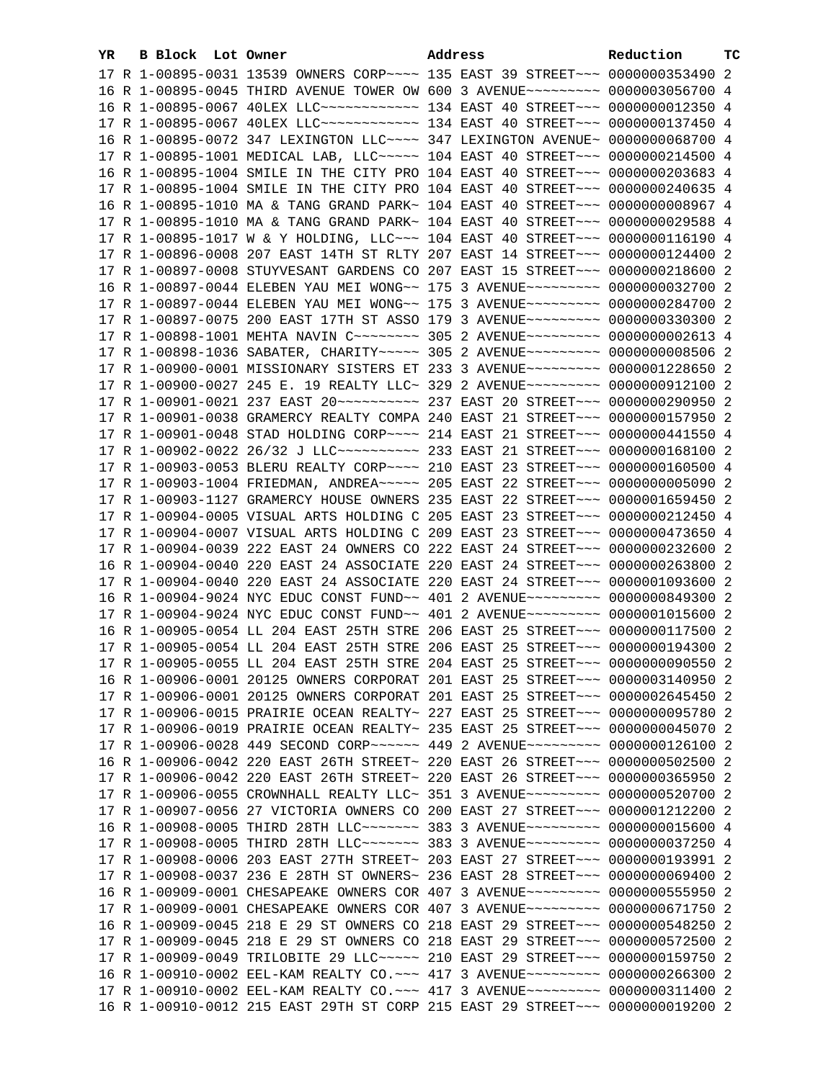| YR. | B Block Lot Owner |                                                                                                                                                                | Address | Reduction | тc |
|-----|-------------------|----------------------------------------------------------------------------------------------------------------------------------------------------------------|---------|-----------|----|
|     |                   | 17 R 1-00895-0031 13539 OWNERS CORP~~~~ 135 EAST 39 STREET~~~ 0000000353490 2                                                                                  |         |           |    |
|     |                   | 16 R 1-00895-0045 THIRD AVENUE TOWER OW 600 3 AVENUE~~~~~~~~~ 0000003056700 4                                                                                  |         |           |    |
|     |                   | 16 R 1-00895-0067 40LEX LLC~~~~~~~~~~~~~~~~~ 134 EAST 40 STREET~~~ 00000000012350 4                                                                            |         |           |    |
|     |                   | 17 R 1-00895-0067 40LEX LLC ------------ 134 EAST 40 STREET --- 0000000137450 4                                                                                |         |           |    |
|     |                   | 16 R 1-00895-0072 347 LEXINGTON LLC~~~~ 347 LEXINGTON AVENUE~ 0000000068700 4                                                                                  |         |           |    |
|     |                   | 17 R 1-00895-1001 MEDICAL LAB, LLC~~~~~ 104 EAST 40 STREET~~~ 0000000214500 4                                                                                  |         |           |    |
|     |                   | 16 R 1-00895-1004 SMILE IN THE CITY PRO 104 EAST 40 STREET~~~ 0000000203683 4                                                                                  |         |           |    |
|     |                   | 17 R 1-00895-1004 SMILE IN THE CITY PRO 104 EAST 40 STREET~~~ 0000000240635 4                                                                                  |         |           |    |
|     |                   | 16 R 1-00895-1010 MA & TANG GRAND PARK~ 104 EAST 40 STREET~~~ 0000000008967 4                                                                                  |         |           |    |
|     |                   | 17 R 1-00895-1010 MA & TANG GRAND PARK~ 104 EAST 40 STREET~~~ 0000000029588 4                                                                                  |         |           |    |
|     |                   | 17 R 1-00895-1017 W & Y HOLDING, LLC~~~ 104 EAST 40 STREET~~~ 0000000116190 4                                                                                  |         |           |    |
|     |                   | 17 R 1-00896-0008 207 EAST 14TH ST RLTY 207 EAST 14 STREET~~~ 0000000124400 2                                                                                  |         |           |    |
|     |                   | 17 R 1-00897-0008 STUYVESANT GARDENS CO 207 EAST 15 STREET~~~ 0000000218600 2                                                                                  |         |           |    |
|     |                   | 16 R 1-00897-0044 ELEBEN YAU MEI WONG~~ 175 3 AVENUE~~~~~~~~~ 0000000032700 2                                                                                  |         |           |    |
|     |                   | 17 R 1-00897-0044 ELEBEN YAU MEI WONG~~ 175 3 AVENUE~~~~~~~~~ 0000000284700 2                                                                                  |         |           |    |
|     |                   | 17 R 1-00897-0075 200 EAST 17TH ST ASSO 179 3 AVENUE~~~~~~~~~ 0000000330300 2                                                                                  |         |           |    |
|     |                   | 17 R 1-00898-1001 MEHTA NAVIN C~~~~~~~~~ 305 2 AVENUE~~~~~~~~~ 0000000002613 4                                                                                 |         |           |    |
|     |                   | 17 R 1-00898-1036 SABATER, CHARITY~~~~~ 305 2 AVENUE~~~~~~~~~ 0000000008506 2                                                                                  |         |           |    |
|     |                   | 17 R 1-00900-0001 MISSIONARY SISTERS ET 233 3 AVENUE~~~~~~~~~ 0000001228650 2                                                                                  |         |           |    |
|     |                   | 17 R 1-00900-0027 245 E. 19 REALTY LLC~ 329 2 AVENUE~~~~~~~~~ 0000000912100 2                                                                                  |         |           |    |
|     |                   | 17 R 1-00901-0021 237 EAST 20 ---------- 237 EAST 20 STREET -- 0000000290950 2                                                                                 |         |           |    |
|     |                   | 17 R 1-00901-0038 GRAMERCY REALTY COMPA 240 EAST 21 STREET~~~ 0000000157950 2                                                                                  |         |           |    |
|     |                   | 17 R 1-00901-0048 STAD HOLDING CORP~~~~ 214 EAST 21 STREET~~~ 0000000441550 4                                                                                  |         |           |    |
|     |                   | 17 R 1-00902-0022 26/32 J LLC~~~~~~~~~~~~~~~ 233 EAST 21 STREET~~~ 0000000168100 2                                                                             |         |           |    |
|     |                   | 17 R 1-00903-0053 BLERU REALTY CORP~~~~ 210 EAST 23 STREET~~~ 0000000160500 4                                                                                  |         |           |    |
|     |                   | 17 R 1-00903-1004 FRIEDMAN, ANDREA~~~~~ 205 EAST 22 STREET~~~ 0000000005090 2                                                                                  |         |           |    |
|     |                   | 17 R 1-00903-1127 GRAMERCY HOUSE OWNERS 235 EAST 22 STREET~~~ 0000001659450 2                                                                                  |         |           |    |
|     |                   | 17 R 1-00904-0005 VISUAL ARTS HOLDING C 205 EAST 23 STREET~~~ 0000000212450 4                                                                                  |         |           |    |
|     |                   | 17 R 1-00904-0007 VISUAL ARTS HOLDING C 209 EAST 23 STREET~~~ 0000000473650 4                                                                                  |         |           |    |
|     |                   | 17 R 1-00904-0039 222 EAST 24 OWNERS CO 222 EAST 24 STREET~~~ 0000000232600 2                                                                                  |         |           |    |
|     |                   | 16 R 1-00904-0040 220 EAST 24 ASSOCIATE 220 EAST 24 STREET~~~ 0000000263800 2                                                                                  |         |           |    |
|     |                   | 17 R 1-00904-0040 220 EAST 24 ASSOCIATE 220 EAST 24 STREET~~~ 0000001093600 2                                                                                  |         |           |    |
|     |                   | 16 R 1-00904-9024 NYC EDUC CONST FUND~~ 401 2 AVENUE~~~~~~~~~ 0000000849300 2                                                                                  |         |           |    |
|     |                   | 17 R 1-00904-9024 NYC EDUC CONST FUND~~ 401 2 AVENUE~~~~~~~~~~ 0000001015600 2                                                                                 |         |           |    |
|     |                   | 16 R 1-00905-0054 LL 204 EAST 25TH STRE 206 EAST 25 STREET~~~ 0000000117500 2                                                                                  |         |           |    |
|     |                   | 17 R 1-00905-0054 LL 204 EAST 25TH STRE 206 EAST 25 STREET~~~ 0000000194300 2                                                                                  |         |           |    |
|     |                   | 17 R 1-00905-0055 LL 204 EAST 25TH STRE 204 EAST 25 STREET~~~ 0000000090550 2<br>16 R 1-00906-0001 20125 OWNERS CORPORAT 201 EAST 25 STREET~~~ 0000003140950 2 |         |           |    |
|     |                   | 17 R 1-00906-0001 20125 OWNERS CORPORAT 201 EAST 25 STREET~~~ 0000002645450 2                                                                                  |         |           |    |
|     |                   | 17 R 1-00906-0015 PRAIRIE OCEAN REALTY~ 227 EAST 25 STREET~~~ 0000000095780 2                                                                                  |         |           |    |
|     |                   | 17 R 1-00906-0019 PRAIRIE OCEAN REALTY~ 235 EAST 25 STREET~~~ 0000000045070 2                                                                                  |         |           |    |
|     |                   | 17 R 1-00906-0028 449 SECOND CORP~~~~~~ 449 2 AVENUE~~~~~~~~~ 0000000126100 2                                                                                  |         |           |    |
|     |                   | 16 R 1-00906-0042 220 EAST 26TH STREET~ 220 EAST 26 STREET~~~ 0000000502500 2                                                                                  |         |           |    |
|     |                   | 17 R 1-00906-0042 220 EAST 26TH STREET~ 220 EAST 26 STREET~~~ 0000000365950 2                                                                                  |         |           |    |
|     |                   | 17 R 1-00906-0055 CROWNHALL REALTY LLC~ 351 3 AVENUE~~~~~~~~~ 0000000520700 2                                                                                  |         |           |    |
|     |                   | 17 R 1-00907-0056 27 VICTORIA OWNERS CO 200 EAST 27 STREET~~~ 0000001212200 2                                                                                  |         |           |    |
|     |                   | 16 R 1-00908-0005 THIRD 28TH LLC~~~~~~~ 383 3 AVENUE~~~~~~~~~ 0000000015600 4                                                                                  |         |           |    |
|     |                   | 17 R 1-00908-0005 THIRD 28TH LLC~~~~~~~ 383 3 AVENUE~~~~~~~~~ 0000000037250 4                                                                                  |         |           |    |
|     |                   | 17 R 1-00908-0006 203 EAST 27TH STREET~ 203 EAST 27 STREET~~~ 0000000193991 2                                                                                  |         |           |    |
|     |                   | 17 R 1-00908-0037 236 E 28TH ST OWNERS~ 236 EAST 28 STREET~~~ 0000000069400 2                                                                                  |         |           |    |
|     |                   | 16 R 1-00909-0001 CHESAPEAKE OWNERS COR 407 3 AVENUE~~~~~~~~~ 0000000555950 2                                                                                  |         |           |    |
|     |                   | 17 R 1-00909-0001 CHESAPEAKE OWNERS COR 407 3 AVENUE~~~~~~~~~ 0000000671750 2                                                                                  |         |           |    |
|     |                   | 16 R 1-00909-0045 218 E 29 ST OWNERS CO 218 EAST 29 STREET~~~ 0000000548250 2                                                                                  |         |           |    |
|     |                   | 17 R 1-00909-0045 218 E 29 ST OWNERS CO 218 EAST 29 STREET~~~ 0000000572500 2                                                                                  |         |           |    |
|     |                   | 17 R 1-00909-0049 TRILOBITE 29 LLC ---- 210 EAST 29 STREET -- 0000000159750 2                                                                                  |         |           |    |
|     |                   | 16 R 1-00910-0002 EEL-KAM REALTY CO. ~~~ 417 3 AVENUE~~~~~~~~~ 0000000266300 2                                                                                 |         |           |    |
|     |                   | 17 R 1-00910-0002 EEL-KAM REALTY CO. ~~~ 417 3 AVENUE~~~~~~~~~ 0000000311400 2                                                                                 |         |           |    |
|     |                   | 16 R 1-00910-0012 215 EAST 29TH ST CORP 215 EAST 29 STREET~~~ 0000000019200 2                                                                                  |         |           |    |
|     |                   |                                                                                                                                                                |         |           |    |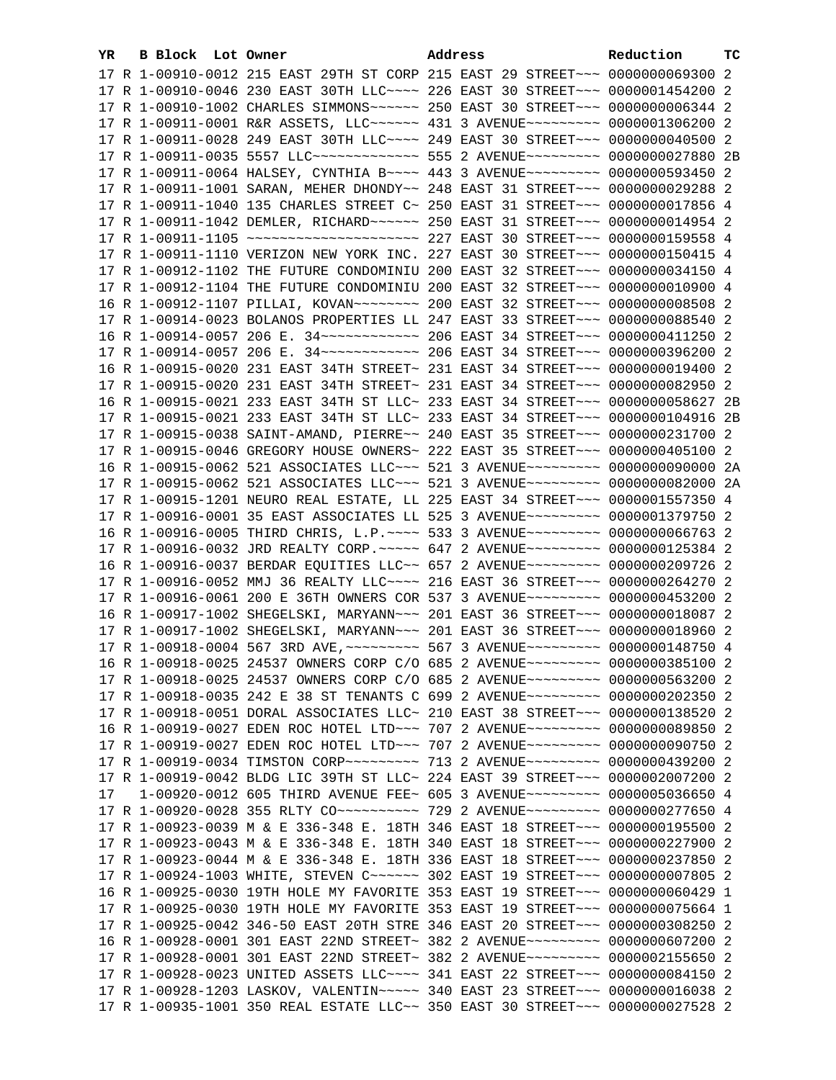| YR. | B Block Lot Owner |                                                                                   | Address |  | Reduction | тc |
|-----|-------------------|-----------------------------------------------------------------------------------|---------|--|-----------|----|
|     |                   | 17 R 1-00910-0012 215 EAST 29TH ST CORP 215 EAST 29 STREET~~~ 0000000069300 2     |         |  |           |    |
|     |                   | 17 R 1-00910-0046 230 EAST 30TH LLC --- 226 EAST 30 STREET -- 0000001454200 2     |         |  |           |    |
|     |                   | 17 R 1-00910-1002 CHARLES SIMMONS~~~~~~ 250 EAST 30 STREET~~~ 0000000006344 2     |         |  |           |    |
|     |                   | 17 R 1-00911-0001 R&R ASSETS, LLC~~~~~~ 431 3 AVENUE~~~~~~~~~ 0000001306200 2     |         |  |           |    |
|     |                   | 17 R 1-00911-0028 249 EAST 30TH LLC --- 249 EAST 30 STREET -- 0000000040500 2     |         |  |           |    |
|     |                   | 17 R 1-00911-0035 5557 LLC -------------- 555 2 AVENUE --------- 0000000027880 2B |         |  |           |    |
|     |                   | 17 R 1-00911-0064 HALSEY, CYNTHIA B~~~~ 443 3 AVENUE~~~~~~~~~ 0000000593450 2     |         |  |           |    |
|     |                   | 17 R 1-00911-1001 SARAN, MEHER DHONDY~~ 248 EAST 31 STREET~~~ 0000000029288 2     |         |  |           |    |
|     |                   | 17 R 1-00911-1040 135 CHARLES STREET C~ 250 EAST 31 STREET~~~ 0000000017856 4     |         |  |           |    |
|     |                   |                                                                                   |         |  |           |    |
|     |                   | 17 R 1-00911-1105 ~~~~~~~~~~~~~~~~~~~~~~~~~ 227 EAST 30 STREET~~~ 0000000159558 4 |         |  |           |    |
|     |                   |                                                                                   |         |  |           |    |
|     |                   | 17 R 1-00911-1110 VERIZON NEW YORK INC. 227 EAST 30 STREET~~~ 0000000150415 4     |         |  |           |    |
|     |                   | 17 R 1-00912-1102 THE FUTURE CONDOMINIU 200 EAST 32 STREET~~~ 0000000034150 4     |         |  |           |    |
|     |                   | 17 R 1-00912-1104 THE FUTURE CONDOMINIU 200 EAST 32 STREET~~~ 0000000010900 4     |         |  |           |    |
|     |                   | 16 R 1-00912-1107 PILLAI, KOVAN~~~~~~~~ 200 EAST 32 STREET~~~ 00000000008508 2    |         |  |           |    |
|     |                   | 17 R 1-00914-0023 BOLANOS PROPERTIES LL 247 EAST 33 STREET~~~ 0000000088540 2     |         |  |           |    |
|     |                   | 16 R 1-00914-0057 206 E. 34 ------------ 206 EAST 34 STREET --- 0000000411250 2   |         |  |           |    |
|     |                   | 17 R 1-00914-0057 206 E. 34 ------------ 206 EAST 34 STREET --- 0000000396200 2   |         |  |           |    |
|     |                   | 16 R 1-00915-0020 231 EAST 34TH STREET~ 231 EAST 34 STREET~~~ 0000000019400 2     |         |  |           |    |
|     |                   | 17 R 1-00915-0020 231 EAST 34TH STREET~ 231 EAST 34 STREET~~~ 0000000082950 2     |         |  |           |    |
|     |                   | 16 R 1-00915-0021 233 EAST 34TH ST LLC~ 233 EAST 34 STREET~~~ 0000000058627 2B    |         |  |           |    |
|     |                   | 17 R 1-00915-0021 233 EAST 34TH ST LLC~ 233 EAST 34 STREET~~~ 0000000104916 2B    |         |  |           |    |
|     |                   | 17 R 1-00915-0038 SAINT-AMAND, PIERRE~~ 240 EAST 35 STREET~~~ 0000000231700 2     |         |  |           |    |
|     |                   | 17 R 1-00915-0046 GREGORY HOUSE OWNERS~ 222 EAST 35 STREET~~~ 0000000405100 2     |         |  |           |    |
|     |                   | 16 R 1-00915-0062 521 ASSOCIATES LLC~~~ 521 3 AVENUE~~~~~~~~~ 0000000090000 2A    |         |  |           |    |
|     |                   | 17 R 1-00915-0062 521 ASSOCIATES LLC~~~ 521 3 AVENUE~~~~~~~~~ 0000000082000 2A    |         |  |           |    |
|     |                   | 17 R 1-00915-1201 NEURO REAL ESTATE, LL 225 EAST 34 STREET~~~ 0000001557350 4     |         |  |           |    |
|     |                   | 17 R 1-00916-0001 35 EAST ASSOCIATES LL 525 3 AVENUE~~~~~~~~~ 0000001379750 2     |         |  |           |    |
|     |                   | 16 R 1-00916-0005 THIRD CHRIS, L.P. ~~~~ 533 3 AVENUE~~~~~~~~~ 0000000066763 2    |         |  |           |    |
|     |                   | 17 R 1-00916-0032 JRD REALTY CORP. ~~~~~ 647 2 AVENUE~~~~~~~~~ 0000000125384 2    |         |  |           |    |
|     |                   | 16 R 1-00916-0037 BERDAR EQUITIES LLC~~ 657 2 AVENUE~~~~~~~~~~ 0000000209726 2    |         |  |           |    |
|     |                   | 17 R 1-00916-0052 MMJ 36 REALTY LLC ~~~~ 216 EAST 36 STREET ~~~ 0000000264270 2   |         |  |           |    |
|     |                   | 17 R 1-00916-0061 200 E 36TH OWNERS COR 537 3 AVENUE~~~~~~~~~ 0000000453200 2     |         |  |           |    |
|     |                   | 16 R 1-00917-1002 SHEGELSKI, MARYANN~~~ 201 EAST 36 STREET~~~ 0000000018087 2     |         |  |           |    |
|     |                   | 17 R 1-00917-1002 SHEGELSKI, MARYANN~~~ 201 EAST 36 STREET~~~ 0000000018960 2     |         |  |           |    |
|     |                   | 17 R 1-00918-0004 567 3RD AVE, ~~~~~~~~~ 567 3 AVENUE~~~~~~~~~ 0000000148750 4    |         |  |           |    |
|     |                   | 16 R 1-00918-0025 24537 OWNERS CORP C/O 685 2 AVENUE~~~~~~~~~ 0000000385100 2     |         |  |           |    |
|     |                   | 17 R 1-00918-0025 24537 OWNERS CORP C/O 685 2 AVENUE~~~~~~~~~ 0000000563200 2     |         |  |           |    |
|     |                   | 17 R 1-00918-0035 242 E 38 ST TENANTS C 699 2 AVENUE~~~~~~~~~ 0000000202350 2     |         |  |           |    |
|     |                   | 17 R 1-00918-0051 DORAL ASSOCIATES LLC~ 210 EAST 38 STREET~~~ 0000000138520 2     |         |  |           |    |
|     |                   | 16 R 1-00919-0027 EDEN ROC HOTEL LTD -- 707 2 AVENUE -------- 0000000089850 2     |         |  |           |    |
|     |                   | 17 R 1-00919-0027 EDEN ROC HOTEL LTD -- 707 2 AVENUE -------- 0000000090750 2     |         |  |           |    |
|     |                   | 17 R 1-00919-0034 TIMSTON CORP~~~~~~~~~~ 713 2 AVENUE~~~~~~~~~ 0000000439200 2    |         |  |           |    |
|     |                   | 17 R 1-00919-0042 BLDG LIC 39TH ST LLC~ 224 EAST 39 STREET~~~ 0000002007200 2     |         |  |           |    |
| 17  |                   | 1-00920-0012 605 THIRD AVENUE FEE~ 605 3 AVENUE~~~~~~~~~ 0000005036650 4          |         |  |           |    |
|     |                   | 17 R 1-00920-0028 355 RLTY CO ---------- 729 2 AVENUE -------- 0000000277650 4    |         |  |           |    |
|     |                   | 17 R 1-00923-0039 M & E 336-348 E. 18TH 346 EAST 18 STREET~~~ 0000000195500 2     |         |  |           |    |
|     |                   | 17 R 1-00923-0043 M & E 336-348 E. 18TH 340 EAST 18 STREET~~~ 0000000227900 2     |         |  |           |    |
|     |                   | 17 R 1-00923-0044 M & E 336-348 E. 18TH 336 EAST 18 STREET~~~ 0000000237850 2     |         |  |           |    |
|     |                   | 17 R 1-00924-1003 WHITE, STEVEN C ----- 302 EAST 19 STREET -- 00000000007805 2    |         |  |           |    |
|     |                   | 16 R 1-00925-0030 19TH HOLE MY FAVORITE 353 EAST 19 STREET~~~ 0000000060429 1     |         |  |           |    |
|     |                   | 17 R 1-00925-0030 19TH HOLE MY FAVORITE 353 EAST 19 STREET~~~ 0000000075664 1     |         |  |           |    |
|     |                   | 17 R 1-00925-0042 346-50 EAST 20TH STRE 346 EAST 20 STREET~~~ 0000000308250 2     |         |  |           |    |
|     |                   | 16 R 1-00928-0001 301 EAST 22ND STREET~ 382 2 AVENUE~~~~~~~~~ 0000000607200 2     |         |  |           |    |
|     |                   | 17 R 1-00928-0001 301 EAST 22ND STREET~ 382 2 AVENUE~~~~~~~~~ 0000002155650 2     |         |  |           |    |
|     |                   | 17 R 1-00928-0023 UNITED ASSETS LLC~~~~ 341 EAST 22 STREET~~~ 0000000084150 2     |         |  |           |    |
|     |                   | 17 R 1-00928-1203 LASKOV, VALENTIN~~~~~ 340 EAST 23 STREET~~~ 0000000016038 2     |         |  |           |    |
|     |                   | 17 R 1-00935-1001 350 REAL ESTATE LLC~~ 350 EAST 30 STREET~~~ 0000000027528 2     |         |  |           |    |
|     |                   |                                                                                   |         |  |           |    |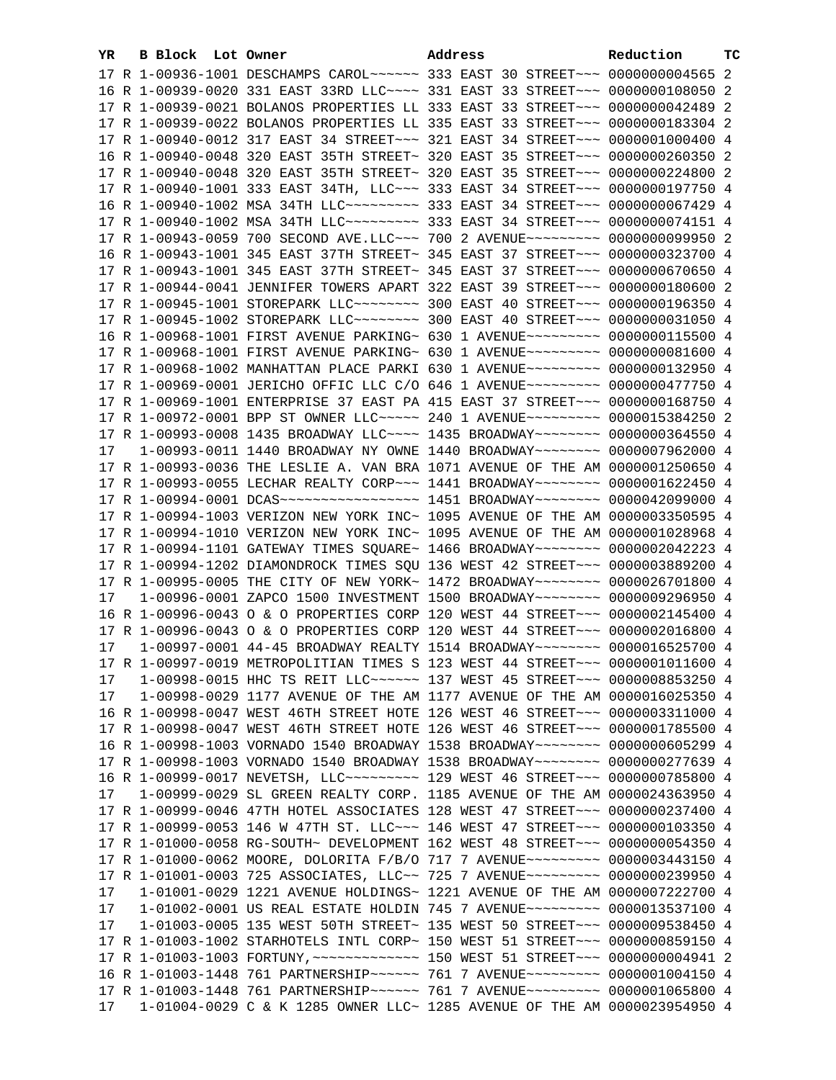| YR. | B Block Lot Owner | Address                                                                                                                                                   | Reduction | тc |
|-----|-------------------|-----------------------------------------------------------------------------------------------------------------------------------------------------------|-----------|----|
|     |                   | 17 R 1-00936-1001 DESCHAMPS CAROL~~~~~~ 333 EAST 30 STREET~~~ 0000000004565 2                                                                             |           |    |
|     |                   | 16 R 1-00939-0020 331 EAST 33RD LLC ~~~~ 331 EAST 33 STREET ~~~ 0000000108050 2                                                                           |           |    |
|     |                   | 17 R 1-00939-0021 BOLANOS PROPERTIES LL 333 EAST 33 STREET~~~ 0000000042489 2                                                                             |           |    |
|     |                   | 17 R 1-00939-0022 BOLANOS PROPERTIES LL 335 EAST 33 STREET~~~ 0000000183304 2                                                                             |           |    |
|     |                   | 17 R 1-00940-0012 317 EAST 34 STREET~~~ 321 EAST 34 STREET~~~ 0000001000400 4                                                                             |           |    |
|     |                   | 16 R 1-00940-0048 320 EAST 35TH STREET~ 320 EAST 35 STREET~~~ 0000000260350 2                                                                             |           |    |
|     |                   | 17 R 1-00940-0048 320 EAST 35TH STREET~ 320 EAST 35 STREET~~~ 0000000224800 2                                                                             |           |    |
|     |                   | 17 R 1-00940-1001 333 EAST 34TH, LLC -- 333 EAST 34 STREET -- 0000000197750 4                                                                             |           |    |
|     |                   | 16 R 1-00940-1002 MSA 34TH LLC -------- 333 EAST 34 STREET --- 0000000067429 4                                                                            |           |    |
|     |                   | 17 R 1-00940-1002 MSA 34TH LLC -------- 333 EAST 34 STREET --- 0000000074151 4                                                                            |           |    |
|     |                   | 17 R 1-00943-0059 700 SECOND AVE.LLC -- 700 2 AVENUE -------- 0000000099950 2                                                                             |           |    |
|     |                   |                                                                                                                                                           |           |    |
|     |                   | 16 R 1-00943-1001 345 EAST 37TH STREET~ 345 EAST 37 STREET~~~ 0000000323700 4                                                                             |           |    |
|     |                   | 17 R 1-00943-1001 345 EAST 37TH STREET~ 345 EAST 37 STREET~~~ 0000000670650 4                                                                             |           |    |
|     |                   | 17 R 1-00944-0041 JENNIFER TOWERS APART 322 EAST 39 STREET~~~ 0000000180600 2                                                                             |           |    |
|     |                   | 17 R 1-00945-1001 STOREPARK LLC ------- 300 EAST 40 STREET -- 0000000196350 4                                                                             |           |    |
|     |                   | 17 R 1-00945-1002 STOREPARK LLC ------- 300 EAST 40 STREET -- 0000000031050 4                                                                             |           |    |
|     |                   | 16 R 1-00968-1001 FIRST AVENUE PARKING~ 630 1 AVENUE~~~~~~~~~ 0000000115500 4                                                                             |           |    |
|     |                   | 17 R 1-00968-1001 FIRST AVENUE PARKING~ 630 1 AVENUE~~~~~~~~~ 0000000081600 4                                                                             |           |    |
|     |                   | 17 R 1-00968-1002 MANHATTAN PLACE PARKI 630 1 AVENUE~~~~~~~~~ 0000000132950 4                                                                             |           |    |
|     |                   | 17 R 1-00969-0001 JERICHO OFFIC LLC C/O 646 1 AVENUE~~~~~~~~~ 0000000477750 4                                                                             |           |    |
|     |                   | 17 R 1-00969-1001 ENTERPRISE 37 EAST PA 415 EAST 37 STREET~~~ 0000000168750 4                                                                             |           |    |
|     |                   | 17 R 1-00972-0001 BPP ST OWNER LLC ---- 240 1 AVENUE -------- 0000015384250 2                                                                             |           |    |
|     |                   | 17 R 1-00993-0008 1435 BROADWAY LLC --- 1435 BROADWAY ------ 0000000364550 4                                                                              |           |    |
| 17  |                   | 1-00993-0011 1440 BROADWAY NY OWNE 1440 BROADWAY~~~~~~~~ 0000007962000 4                                                                                  |           |    |
|     |                   | 17 R 1-00993-0036 THE LESLIE A. VAN BRA 1071 AVENUE OF THE AM 0000001250650 4                                                                             |           |    |
|     |                   | 17 R 1-00993-0055 LECHAR REALTY CORP~~~ 1441 BROADWAY~~~~~~~~ 0000001622450 4                                                                             |           |    |
|     |                   | 17 R 1-00994-0001 DCAS ------------------ 1451 BROADWAY -------- 0000042099000 4                                                                          |           |    |
|     |                   | 17 R 1-00994-1003 VERIZON NEW YORK INC~ 1095 AVENUE OF THE AM 0000003350595 4                                                                             |           |    |
|     |                   | 17 R 1-00994-1010 VERIZON NEW YORK INC~ 1095 AVENUE OF THE AM 0000001028968 4                                                                             |           |    |
|     |                   | 17 R 1-00994-1101 GATEWAY TIMES SQUARE~ 1466 BROADWAY~~~~~~~~ 0000002042223 4                                                                             |           |    |
|     |                   | 17 R 1-00994-1202 DIAMONDROCK TIMES SQU 136 WEST 42 STREET~~~ 0000003889200 4                                                                             |           |    |
| 17  |                   | 17 R 1-00995-0005 THE CITY OF NEW YORK~ 1472 BROADWAY~~~~~~~~ 0000026701800 4<br>1-00996-0001 ZAPCO 1500 INVESTMENT 1500 BROADWAY~~~~~~~~ 0000009296950 4 |           |    |
|     |                   | 16 R 1-00996-0043 O & O PROPERTIES CORP 120 WEST 44 STREET~~~ 0000002145400 4                                                                             |           |    |
|     |                   | 17 R 1-00996-0043 O & O PROPERTIES CORP 120 WEST 44 STREET~~~ 0000002016800 4                                                                             |           |    |
| 17  |                   | 1-00997-0001 44-45 BROADWAY REALTY 1514 BROADWAY~~~~~~~~ 0000016525700 4                                                                                  |           |    |
|     |                   | 17 R 1-00997-0019 METROPOLITIAN TIMES S 123 WEST 44 STREET~~~ 0000001011600 4                                                                             |           |    |
| 17  |                   | 1-00998-0015 HHC TS REIT LLC~~~~~~ 137 WEST 45 STREET~~~ 0000008853250 4                                                                                  |           |    |
| 17  |                   | 1-00998-0029 1177 AVENUE OF THE AM 1177 AVENUE OF THE AM 0000016025350 4                                                                                  |           |    |
|     |                   | 16 R 1-00998-0047 WEST 46TH STREET HOTE 126 WEST 46 STREET~~~ 0000003311000 4                                                                             |           |    |
|     |                   | 17 R 1-00998-0047 WEST 46TH STREET HOTE 126 WEST 46 STREET~~~ 0000001785500 4                                                                             |           |    |
|     |                   | 16 R 1-00998-1003 VORNADO 1540 BROADWAY 1538 BROADWAY~~~~~~~~ 0000000605299 4                                                                             |           |    |
|     |                   | 17 R 1-00998-1003 VORNADO 1540 BROADWAY 1538 BROADWAY~~~~~~~~ 0000000277639 4                                                                             |           |    |
|     |                   | 16 R 1-00999-0017 NEVETSH, LLC --------- 129 WEST 46 STREET --- 0000000785800 4                                                                           |           |    |
| 17  |                   | 1-00999-0029 SL GREEN REALTY CORP. 1185 AVENUE OF THE AM 0000024363950 4                                                                                  |           |    |
|     |                   | 17 R 1-00999-0046 47TH HOTEL ASSOCIATES 128 WEST 47 STREET~~~ 0000000237400 4                                                                             |           |    |
|     |                   | 17 R 1-00999-0053 146 W 47TH ST. LLC -- 146 WEST 47 STREET -- 0000000103350 4                                                                             |           |    |
|     |                   | 17 R 1-01000-0058 RG-SOUTH~ DEVELOPMENT 162 WEST 48 STREET~~~ 0000000054350 4                                                                             |           |    |
|     |                   | 17 R 1-01000-0062 MOORE, DOLORITA F/B/O 717 7 AVENUE~~~~~~~~~ 0000003443150 4                                                                             |           |    |
|     |                   | 17 R 1-01001-0003 725 ASSOCIATES, LLC~~ 725 7 AVENUE~~~~~~~~~ 0000000239950 4                                                                             |           |    |
| 17  |                   | 1-01001-0029 1221 AVENUE HOLDINGS~ 1221 AVENUE OF THE AM 0000007222700 4                                                                                  |           |    |
| 17  |                   | 1-01002-0001 US REAL ESTATE HOLDIN 745 7 AVENUE~~~~~~~~~ 0000013537100 4                                                                                  |           |    |
| 17  |                   | 1-01003-0005 135 WEST 50TH STREET~ 135 WEST 50 STREET~~~ 0000009538450 4                                                                                  |           |    |
|     |                   | 17 R 1-01003-1002 STARHOTELS INTL CORP~ 150 WEST 51 STREET~~~ 0000000859150 4                                                                             |           |    |
|     |                   |                                                                                                                                                           |           |    |
|     |                   | 16 R 1-01003-1448 761 PARTNERSHIP ~~~~~~ 761 7 AVENUE ~~~~~~~~~ 0000001004150 4                                                                           |           |    |
|     |                   | 17 R 1-01003-1448 761 PARTNERSHIP ----- 761 7 AVENUE ------- 0000001065800 4                                                                              |           |    |
| 17  |                   | 1-01004-0029 C & K 1285 OWNER LLC~ 1285 AVENUE OF THE AM 0000023954950 4                                                                                  |           |    |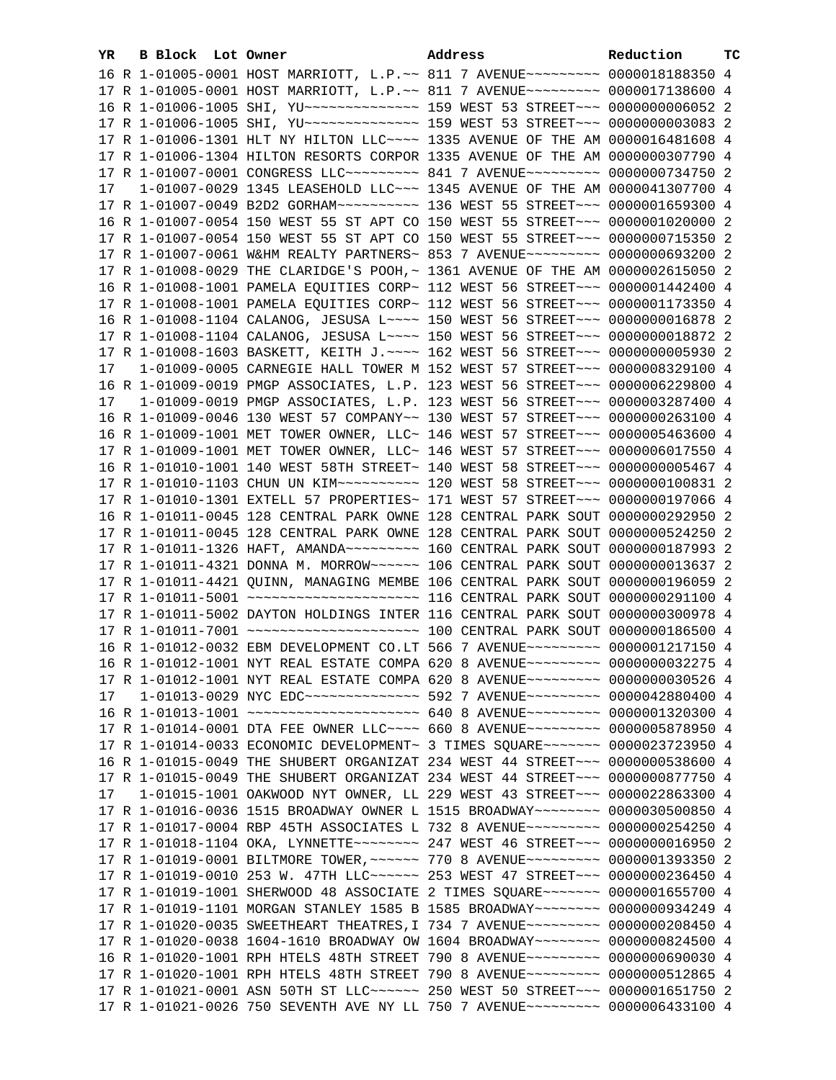| YR. | B Block Lot Owner | Address                                                                                                                                                        | Reduction | тc |
|-----|-------------------|----------------------------------------------------------------------------------------------------------------------------------------------------------------|-----------|----|
|     |                   | 16 R 1-01005-0001 HOST MARRIOTT, L.P.~~ 811 7 AVENUE~~~~~~~~~~ 0000018188350 4                                                                                 |           |    |
|     |                   | 17 R 1-01005-0001 HOST MARRIOTT, L.P.~~ 811 7 AVENUE~~~~~~~~~ 0000017138600 4                                                                                  |           |    |
|     |                   |                                                                                                                                                                |           |    |
|     |                   |                                                                                                                                                                |           |    |
|     |                   | 17 R 1-01006-1301 HLT NY HILTON LLC ~~~~ 1335 AVENUE OF THE AM 0000016481608 4                                                                                 |           |    |
|     |                   | 17 R 1-01006-1304 HILTON RESORTS CORPOR 1335 AVENUE OF THE AM 0000000307790 4                                                                                  |           |    |
|     |                   | 17 R 1-01007-0001 CONGRESS LLC -------- 841 7 AVENUE --------- 0000000734750 2                                                                                 |           |    |
| 17  |                   | 1-01007-0029 1345 LEASEHOLD LLC ~~~ 1345 AVENUE OF THE AM 0000041307700 4                                                                                      |           |    |
|     |                   | 17 R 1-01007-0049 B2D2 GORHAM~~~~~~~~~~~~~~~ 136 WEST 55 STREET~~~~ 0000001659300 4                                                                            |           |    |
|     |                   | 16 R 1-01007-0054 150 WEST 55 ST APT CO 150 WEST 55 STREET~~~ 0000001020000 2                                                                                  |           |    |
|     |                   |                                                                                                                                                                |           |    |
|     |                   | 17 R 1-01007-0054 150 WEST 55 ST APT CO 150 WEST 55 STREET~~~ 0000000715350 2<br>17 R 1-01007-0061 W&HM REALTY PARTNERS~ 853 7 AVENUE~~~~~~~~~ 0000000693200 2 |           |    |
|     |                   | 17 R 1-01008-0029 THE CLARIDGE'S POOH, ~ 1361 AVENUE OF THE AM 0000002615050 2                                                                                 |           |    |
|     |                   |                                                                                                                                                                |           |    |
|     |                   | 16 R 1-01008-1001 PAMELA EQUITIES CORP~ 112 WEST 56 STREET~~~ 0000001442400 4                                                                                  |           |    |
|     |                   | 17 R 1-01008-1001 PAMELA EQUITIES CORP~ 112 WEST 56 STREET~~~ 0000001173350 4                                                                                  |           |    |
|     |                   | 16 R 1-01008-1104 CALANOG, JESUSA L~~~~ 150 WEST 56 STREET~~~ 0000000016878 2                                                                                  |           |    |
|     |                   | 17 R 1-01008-1104 CALANOG, JESUSA L~~~~ 150 WEST 56 STREET~~~ 0000000018872 2                                                                                  |           |    |
|     |                   | 17 R 1-01008-1603 BASKETT, KEITH J. ~~~~ 162 WEST 56 STREET~~~ 0000000005930 2                                                                                 |           |    |
| 17  |                   | 1-01009-0005 CARNEGIE HALL TOWER M 152 WEST 57 STREET~~~ 0000008329100 4                                                                                       |           |    |
|     |                   | 16 R 1-01009-0019 PMGP ASSOCIATES, L.P. 123 WEST 56 STREET~~~ 0000006229800 4                                                                                  |           |    |
| 17  |                   | 1-01009-0019 PMGP ASSOCIATES, L.P. 123 WEST 56 STREET~~~ 0000003287400 4                                                                                       |           |    |
|     |                   | 16 R 1-01009-0046 130 WEST 57 COMPANY~~ 130 WEST 57 STREET~~~ 0000000263100 4                                                                                  |           |    |
|     |                   | 16 R 1-01009-1001 MET TOWER OWNER, LLC~ 146 WEST 57 STREET~~~ 0000005463600 4                                                                                  |           |    |
|     |                   | 17 R 1-01009-1001 MET TOWER OWNER, LLC~ 146 WEST 57 STREET~~~ 0000006017550 4                                                                                  |           |    |
|     |                   | 16 R 1-01010-1001 140 WEST 58TH STREET~ 140 WEST 58 STREET~~~ 0000000005467 4                                                                                  |           |    |
|     |                   | 17 R 1-01010-1103 CHUN UN KIM ~~~~~~~~~~~~~~~ 120 WEST 58 STREET ~~~ 0000000100831 2                                                                           |           |    |
|     |                   | 17 R 1-01010-1301 EXTELL 57 PROPERTIES~ 171 WEST 57 STREET~~~ 0000000197066 4                                                                                  |           |    |
|     |                   | 16 R 1-01011-0045 128 CENTRAL PARK OWNE 128 CENTRAL PARK SOUT 0000000292950 2                                                                                  |           |    |
|     |                   | 17 R 1-01011-0045 128 CENTRAL PARK OWNE 128 CENTRAL PARK SOUT 0000000524250 2                                                                                  |           |    |
|     |                   | 17 R 1-01011-1326 HAFT, AMANDA~~~~~~~~~~~~~~~ 160 CENTRAL PARK SOUT 0000000187993 2                                                                            |           |    |
|     |                   | 17 R 1-01011-4321 DONNA M. MORROW~~~~~~ 106 CENTRAL PARK SOUT 0000000013637 2                                                                                  |           |    |
|     |                   | 17 R 1-01011-4421 QUINN, MANAGING MEMBE 106 CENTRAL PARK SOUT 0000000196059 2                                                                                  |           |    |
|     |                   | 17 R 1-01011-5002 DAYTON HOLDINGS INTER 116 CENTRAL PARK SOUT 0000000300978 4                                                                                  |           |    |
|     |                   |                                                                                                                                                                |           |    |
|     |                   |                                                                                                                                                                |           |    |
|     |                   | 16 R 1-01012-0032 EBM DEVELOPMENT CO.LT 566 7 AVENUE~~~~~~~~~ 0000001217150 4<br>16 R 1-01012-1001 NYT REAL ESTATE COMPA 620 8 AVENUE~~~~~~~~~ 0000000032275 4 |           |    |
|     |                   |                                                                                                                                                                |           |    |
|     |                   | 17 R 1-01012-1001 NYT REAL ESTATE COMPA 620 8 AVENUE~~~~~~~~~ 0000000030526 4<br>1-01013-0029 NYC EDC --------------- 592 7 AVENUE --------- 0000042880400 4   |           |    |
| 17  |                   | 16 R 1-01013-1001 ~~~~~~~~~~~~~~~~~~~~~~ 640 8 AVENUE~~~~~~~~~ 0000001320300 4                                                                                 |           |    |
|     |                   | 17 R 1-01014-0001 DTA FEE OWNER LLC~~~~ 660 8 AVENUE~~~~~~~~~ 0000005878950 4                                                                                  |           |    |
|     |                   | 17 R 1-01014-0033 ECONOMIC DEVELOPMENT~ 3 TIMES SQUARE~~~~~~~ 0000023723950 4                                                                                  |           |    |
|     |                   | 16 R 1-01015-0049 THE SHUBERT ORGANIZAT 234 WEST 44 STREET~~~ 0000000538600 4                                                                                  |           |    |
|     |                   | 17 R 1-01015-0049 THE SHUBERT ORGANIZAT 234 WEST 44 STREET~~~ 0000000877750 4                                                                                  |           |    |
| 17  |                   | 1-01015-1001 OAKWOOD NYT OWNER, LL 229 WEST 43 STREET~~~ 0000022863300 4                                                                                       |           |    |
|     |                   | 17 R 1-01016-0036 1515 BROADWAY OWNER L 1515 BROADWAY~~~~~~~~ 0000030500850 4                                                                                  |           |    |
|     |                   | 17 R 1-01017-0004 RBP 45TH ASSOCIATES L 732 8 AVENUE~~~~~~~~~ 0000000254250 4                                                                                  |           |    |
|     |                   | 17 R 1-01018-1104 OKA, LYNNETTE~~~~~~~~~ 247 WEST 46 STREET~~~ 0000000016950 2                                                                                 |           |    |
|     |                   | 17 R 1-01019-0001 BILTMORE TOWER, ~~~~~~ 770 8 AVENUE~~~~~~~~~ 0000001393350 2                                                                                 |           |    |
|     |                   | 17 R 1-01019-0010 253 W. 47TH LLC ----- 253 WEST 47 STREET -- 0000000236450 4                                                                                  |           |    |
|     |                   | 17 R 1-01019-1001 SHERWOOD 48 ASSOCIATE 2 TIMES SQUARE~~~~~~~ 0000001655700 4                                                                                  |           |    |
|     |                   | 17 R 1-01019-1101 MORGAN STANLEY 1585 B 1585 BROADWAY~~~~~~~~ 0000000934249 4                                                                                  |           |    |
|     |                   | 17 R 1-01020-0035 SWEETHEART THEATRES, I 734 7 AVENUE~~~~~~~~~ 0000000208450 4                                                                                 |           |    |
|     |                   | 17 R 1-01020-0038 1604-1610 BROADWAY OW 1604 BROADWAY~~~~~~~~ 0000000824500 4                                                                                  |           |    |
|     |                   | 16 R 1-01020-1001 RPH HTELS 48TH STREET 790 8 AVENUE~~~~~~~~~ 0000000690030 4                                                                                  |           |    |
|     |                   | 17 R 1-01020-1001 RPH HTELS 48TH STREET 790 8 AVENUE~~~~~~~~~ 0000000512865 4                                                                                  |           |    |
|     |                   | 17 R 1-01021-0001 ASN 50TH ST LLC ----- 250 WEST 50 STREET -- 0000001651750 2                                                                                  |           |    |
|     |                   | 17 R 1-01021-0026 750 SEVENTH AVE NY LL 750 7 AVENUE~~~~~~~~~ 0000006433100 4                                                                                  |           |    |
|     |                   |                                                                                                                                                                |           |    |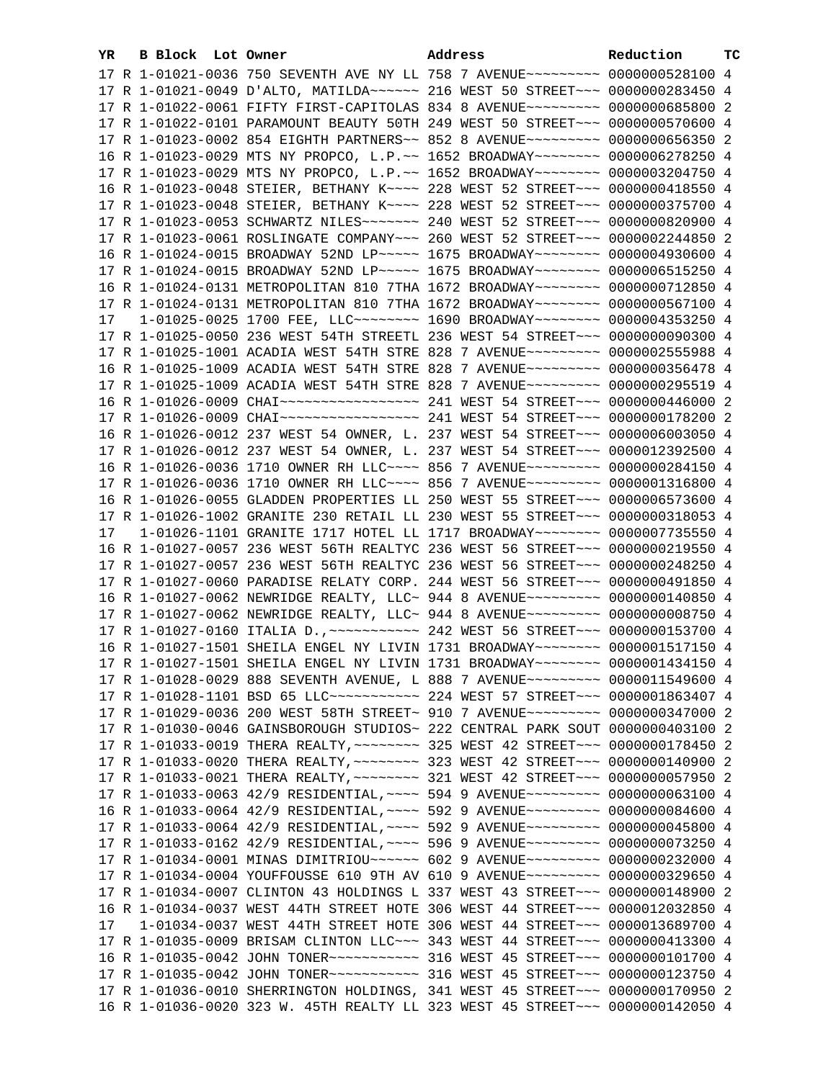| YR. | B Block Lot Owner |                                                                                                                                                                | Address | Reduction | ТC |
|-----|-------------------|----------------------------------------------------------------------------------------------------------------------------------------------------------------|---------|-----------|----|
|     |                   | 17 R 1-01021-0036 750 SEVENTH AVE NY LL 758 7 AVENUE~~~~~~~~~ 0000000528100 4                                                                                  |         |           |    |
|     |                   | 17 R 1-01021-0049 D'ALTO, MATILDA~~~~~~ 216 WEST 50 STREET~~~ 0000000283450 4                                                                                  |         |           |    |
|     |                   | 17 R 1-01022-0061 FIFTY FIRST-CAPITOLAS 834 8 AVENUE~~~~~~~~~ 0000000685800 2                                                                                  |         |           |    |
|     |                   | 17 R 1-01022-0101 PARAMOUNT BEAUTY 50TH 249 WEST 50 STREET~~~ 0000000570600 4                                                                                  |         |           |    |
|     |                   | 17 R 1-01023-0002 854 EIGHTH PARTNERS~~ 852 8 AVENUE~~~~~~~~~ 0000000656350 2                                                                                  |         |           |    |
|     |                   | 16 R 1-01023-0029 MTS NY PROPCO, L.P.~~ 1652 BROADWAY~~~~~~~~ 0000006278250 4                                                                                  |         |           |    |
|     |                   | 17 R 1-01023-0029 MTS NY PROPCO, L.P.~~ 1652 BROADWAY~~~~~~~~ 0000003204750 4                                                                                  |         |           |    |
|     |                   | 16 R 1-01023-0048 STEIER, BETHANY K~~~~ 228 WEST 52 STREET~~~ 0000000418550 4                                                                                  |         |           |    |
|     |                   | 17 R 1-01023-0048 STEIER, BETHANY K~~~~ 228 WEST 52 STREET~~~ 0000000375700 4                                                                                  |         |           |    |
|     |                   | 17 R 1-01023-0053 SCHWARTZ NILES~~~~~~~ 240 WEST 52 STREET~~~ 0000000820900 4                                                                                  |         |           |    |
|     |                   | 17 R 1-01023-0061 ROSLINGATE COMPANY~~~ 260 WEST 52 STREET~~~ 0000002244850 2                                                                                  |         |           |    |
|     |                   | 16 R 1-01024-0015 BROADWAY 52ND LP ---- 1675 BROADWAY ------ 0000004930600 4                                                                                   |         |           |    |
|     |                   | 17 R 1-01024-0015 BROADWAY 52ND LP ---- 1675 BROADWAY ------- 0000006515250 4                                                                                  |         |           |    |
|     |                   |                                                                                                                                                                |         |           |    |
|     |                   | 16 R 1-01024-0131 METROPOLITAN 810 7THA 1672 BROADWAY~~~~~~~~ 0000000712850 4<br>17 R 1-01024-0131 METROPOLITAN 810 7THA 1672 BROADWAY~~~~~~~~ 0000000567100 4 |         |           |    |
|     |                   |                                                                                                                                                                |         |           |    |
| 17  |                   | $1-01025-0025$ 1700 FEE, LLC -------- 1690 BROADWAY ------- 0000004353250 4                                                                                    |         |           |    |
|     |                   | 17 R 1-01025-0050 236 WEST 54TH STREETL 236 WEST 54 STREET~~~ 0000000090300 4                                                                                  |         |           |    |
|     |                   | 17 R 1-01025-1001 ACADIA WEST 54TH STRE 828 7 AVENUE~~~~~~~~~ 0000002555988 4                                                                                  |         |           |    |
|     |                   | 16 R 1-01025-1009 ACADIA WEST 54TH STRE 828 7 AVENUE~~~~~~~~~ 0000000356478 4                                                                                  |         |           |    |
|     |                   | 17 R 1-01025-1009 ACADIA WEST 54TH STRE 828 7 AVENUE~~~~~~~~~ 0000000295519 4                                                                                  |         |           |    |
|     |                   |                                                                                                                                                                |         |           |    |
|     |                   |                                                                                                                                                                |         |           |    |
|     |                   | 16 R 1-01026-0012 237 WEST 54 OWNER, L. 237 WEST 54 STREET~~~ 0000006003050 4                                                                                  |         |           |    |
|     |                   | 17 R 1-01026-0012 237 WEST 54 OWNER, L. 237 WEST 54 STREET~~~ 0000012392500 4                                                                                  |         |           |    |
|     |                   | 16 R 1-01026-0036 1710 OWNER RH LLC~~~~ 856 7 AVENUE~~~~~~~~~ 0000000284150 4                                                                                  |         |           |    |
|     |                   | 17 R 1-01026-0036 1710 OWNER RH LLC~~~~ 856 7 AVENUE~~~~~~~~~ 0000001316800 4                                                                                  |         |           |    |
|     |                   | 16 R 1-01026-0055 GLADDEN PROPERTIES LL 250 WEST 55 STREET~~~ 0000006573600 4                                                                                  |         |           |    |
|     |                   | 17 R 1-01026-1002 GRANITE 230 RETAIL LL 230 WEST 55 STREET~~~ 0000000318053 4                                                                                  |         |           |    |
| 17  |                   | 1-01026-1101 GRANITE 1717 HOTEL LL 1717 BROADWAY~~~~~~~~ 0000007735550 4                                                                                       |         |           |    |
|     |                   | 16 R 1-01027-0057 236 WEST 56TH REALTYC 236 WEST 56 STREET~~~ 0000000219550 4                                                                                  |         |           |    |
|     |                   | 17 R 1-01027-0057 236 WEST 56TH REALTYC 236 WEST 56 STREET~~~ 0000000248250 4                                                                                  |         |           |    |
|     |                   | 17 R 1-01027-0060 PARADISE RELATY CORP. 244 WEST 56 STREET~~~ 0000000491850 4                                                                                  |         |           |    |
|     |                   | 16 R 1-01027-0062 NEWRIDGE REALTY, LLC~ 944 8 AVENUE~~~~~~~~~ 0000000140850 4                                                                                  |         |           |    |
|     |                   | 17 R 1-01027-0062 NEWRIDGE REALTY, LLC~ 944 8 AVENUE~~~~~~~~~ 0000000008750 4                                                                                  |         |           |    |
|     |                   | 17 R 1-01027-0160 ITALIA D., ~~~~~~~~~~~~~~~~ 242 WEST 56 STREET~~~~ 0000000153700 4                                                                           |         |           |    |
|     |                   | 16 R 1-01027-1501 SHEILA ENGEL NY LIVIN 1731 BROADWAY~~~~~~~~ 0000001517150 4                                                                                  |         |           |    |
|     |                   | 17 R 1-01027-1501 SHEILA ENGEL NY LIVIN 1731 BROADWAY~~~~~~~~ 0000001434150 4                                                                                  |         |           |    |
|     |                   | 17 R 1-01028-0029 888 SEVENTH AVENUE, L 888 7 AVENUE~~~~~~~~~ 0000011549600 4                                                                                  |         |           |    |
|     |                   | 17 R 1-01028-1101 BSD 65 LLC ----------- 224 WEST 57 STREET -- 0000001863407 4                                                                                 |         |           |    |
|     |                   | 17 R 1-01029-0036 200 WEST 58TH STREET~ 910 7 AVENUE~~~~~~~~~ 0000000347000 2                                                                                  |         |           |    |
|     |                   | 17 R 1-01030-0046 GAINSBOROUGH STUDIOS~ 222 CENTRAL PARK SOUT 0000000403100 2                                                                                  |         |           |    |
|     |                   | 17 R 1-01033-0019 THERA REALTY, ~~~~~~~~ 325 WEST 42 STREET~~~ 0000000178450 2                                                                                 |         |           |    |
|     |                   | 17 R 1-01033-0020 THERA REALTY, ~~~~~~~~ 323 WEST 42 STREET~~~ 0000000140900 2                                                                                 |         |           |    |
|     |                   | 17 R 1-01033-0021 THERA REALTY, ~~~~~~~~ 321 WEST 42 STREET~~~ 0000000057950 2                                                                                 |         |           |    |
|     |                   | 17 R 1-01033-0063 42/9 RESIDENTIAL, ~~~~ 594 9 AVENUE~~~~~~~~~ 0000000063100 4                                                                                 |         |           |    |
|     |                   | 16 R 1-01033-0064 42/9 RESIDENTIAL, ~~~~ 592 9 AVENUE~~~~~~~~~ 0000000084600 4                                                                                 |         |           |    |
|     |                   | 17 R 1-01033-0064 42/9 RESIDENTIAL, ~~~~ 592 9 AVENUE~~~~~~~~~ 0000000045800 4                                                                                 |         |           |    |
|     |                   | 17 R 1-01033-0162 42/9 RESIDENTIAL, ~~~~ 596 9 AVENUE~~~~~~~~~ 0000000073250 4                                                                                 |         |           |    |
|     |                   | 17 R 1-01034-0001 MINAS DIMITRIOU~~~~~~ 602 9 AVENUE~~~~~~~~~ 0000000232000 4                                                                                  |         |           |    |
|     |                   | 17 R 1-01034-0004 YOUFFOUSSE 610 9TH AV 610 9 AVENUE~~~~~~~~~ 0000000329650 4                                                                                  |         |           |    |
|     |                   | 17 R 1-01034-0007 CLINTON 43 HOLDINGS L 337 WEST 43 STREET~~~ 0000000148900 2                                                                                  |         |           |    |
|     |                   | 16 R 1-01034-0037 WEST 44TH STREET HOTE 306 WEST 44 STREET~~~ 0000012032850 4                                                                                  |         |           |    |
| 17  |                   | 1-01034-0037 WEST 44TH STREET HOTE 306 WEST 44 STREET~~~ 0000013689700 4                                                                                       |         |           |    |
|     |                   | 17 R 1-01035-0009 BRISAM CLINTON LLC ~~~ 343 WEST 44 STREET ~~~ 0000000413300 4                                                                                |         |           |    |
|     |                   |                                                                                                                                                                |         |           |    |
|     |                   | 17 R 1-01035-0042 JOHN TONER ----------- 316 WEST 45 STREET --- 0000000123750 4                                                                                |         |           |    |
|     |                   | 17 R 1-01036-0010 SHERRINGTON HOLDINGS, 341 WEST 45 STREET~~~ 0000000170950 2                                                                                  |         |           |    |
|     |                   | 16 R 1-01036-0020 323 W. 45TH REALTY LL 323 WEST 45 STREET~~~ 0000000142050 4                                                                                  |         |           |    |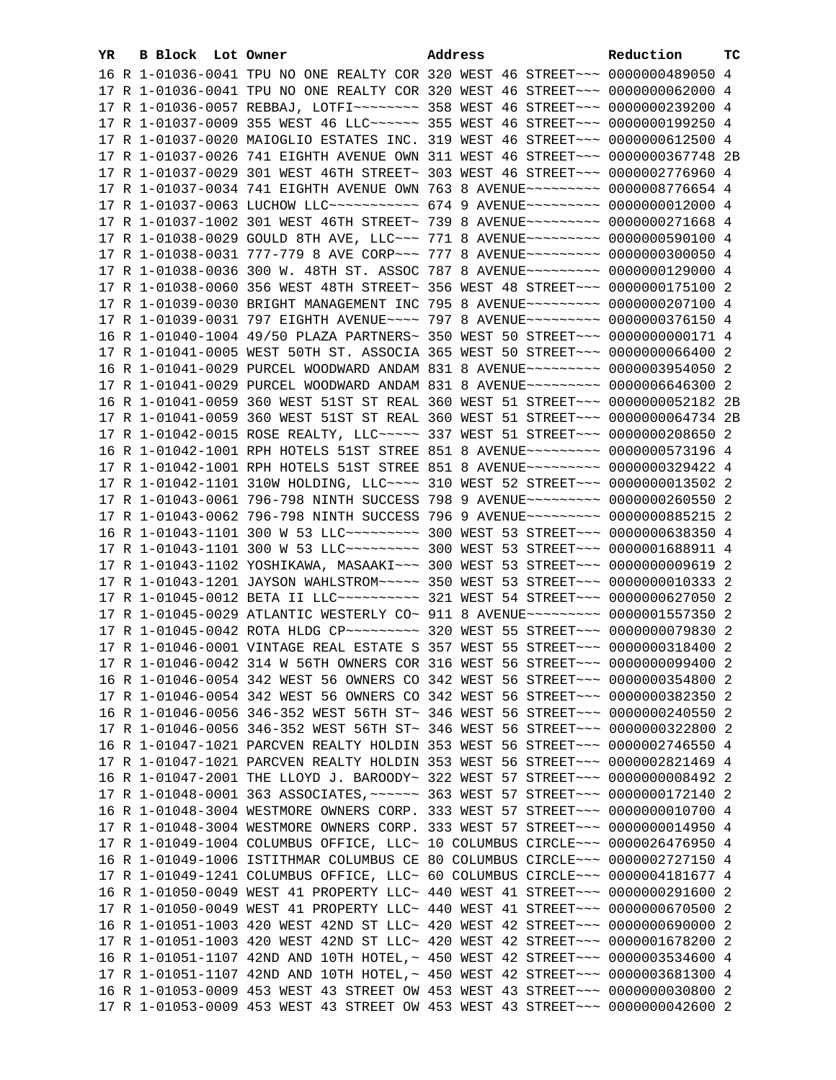| YR. | B Block Lot Owner |                                                                                      | Address | Reduction | тc |
|-----|-------------------|--------------------------------------------------------------------------------------|---------|-----------|----|
|     |                   | 16 R 1-01036-0041 TPU NO ONE REALTY COR 320 WEST 46 STREET~~~ 0000000489050 4        |         |           |    |
|     |                   | 17 R 1-01036-0041 TPU NO ONE REALTY COR 320 WEST 46 STREET~~~ 0000000062000 4        |         |           |    |
|     |                   | 17 R 1-01036-0057 REBBAJ, LOTFI~~~~~~~~~ 358 WEST 46 STREET~~~ 0000000239200 4       |         |           |    |
|     |                   | 17 R 1-01037-0009 355 WEST 46 LLC ----- 355 WEST 46 STREET -- 0000000199250 4        |         |           |    |
|     |                   | 17 R 1-01037-0020 MAIOGLIO ESTATES INC. 319 WEST 46 STREET~~~ 0000000612500 4        |         |           |    |
|     |                   |                                                                                      |         |           |    |
|     |                   | 17 R 1-01037-0026 741 EIGHTH AVENUE OWN 311 WEST 46 STREET~~~ 0000000367748 2B       |         |           |    |
|     |                   | 17 R 1-01037-0029 301 WEST 46TH STREET~ 303 WEST 46 STREET~~~ 0000002776960 4        |         |           |    |
|     |                   | 17 R 1-01037-0034 741 EIGHTH AVENUE OWN 763 8 AVENUE~~~~~~~~~ 0000008776654 4        |         |           |    |
|     |                   | 17 R 1-01037-0063 LUCHOW LLC~~~~~~~~~~~~ 674 9 AVENUE~~~~~~~~~ 0000000012000 4       |         |           |    |
|     |                   | 17 R 1-01037-1002 301 WEST 46TH STREET~ 739 8 AVENUE~~~~~~~~~ 0000000271668 4        |         |           |    |
|     |                   | 17 R 1-01038-0029 GOULD 8TH AVE, LLC -~~ 771 8 AVENUE -~~~~~~~~ 0000000590100 4      |         |           |    |
|     |                   | 17 R 1-01038-0031 777-779 8 AVE CORP~~~ 777 8 AVENUE~~~~~~~~~ 0000000300050 4        |         |           |    |
|     |                   | 17 R 1-01038-0036 300 W. 48TH ST. ASSOC 787 8 AVENUE~~~~~~~~~ 0000000129000 4        |         |           |    |
|     |                   | 17 R 1-01038-0060 356 WEST 48TH STREET~ 356 WEST 48 STREET~~~ 0000000175100 2        |         |           |    |
|     |                   | 17 R 1-01039-0030 BRIGHT MANAGEMENT INC 795 8 AVENUE~~~~~~~~~ 0000000207100 4        |         |           |    |
|     |                   | 17 R 1-01039-0031 797 EIGHTH AVENUE~~~~ 797 8 AVENUE~~~~~~~~~ 0000000376150 4        |         |           |    |
|     |                   | 16 R 1-01040-1004 49/50 PLAZA PARTNERS~ 350 WEST 50 STREET~~~ 0000000000171 4        |         |           |    |
|     |                   | 17 R 1-01041-0005 WEST 50TH ST. ASSOCIA 365 WEST 50 STREET~~~ 0000000066400 2        |         |           |    |
|     |                   | 16 R 1-01041-0029 PURCEL WOODWARD ANDAM 831 8 AVENUE~~~~~~~~~ 0000003954050 2        |         |           |    |
|     |                   | 17 R 1-01041-0029 PURCEL WOODWARD ANDAM 831 8 AVENUE~~~~~~~~~ 0000006646300 2        |         |           |    |
|     |                   | 16 R 1-01041-0059 360 WEST 51ST ST REAL 360 WEST 51 STREET~~~ 0000000052182 2B       |         |           |    |
|     |                   | 17 R 1-01041-0059 360 WEST 51ST ST REAL 360 WEST 51 STREET~~~ 0000000064734 2B       |         |           |    |
|     |                   | 17 R 1-01042-0015 ROSE REALTY, LLC ---- 337 WEST 51 STREET -- 0000000208650 2        |         |           |    |
|     |                   | 16 R 1-01042-1001 RPH HOTELS 51ST STREE 851 8 AVENUE~~~~~~~~~ 0000000573196 4        |         |           |    |
|     |                   | 17 R 1-01042-1001 RPH HOTELS 51ST STREE 851 8 AVENUE~~~~~~~~~ 0000000329422 4        |         |           |    |
|     |                   | 17 R 1-01042-1101 310W HOLDING, LLC --- 310 WEST 52 STREET -- 0000000013502 2        |         |           |    |
|     |                   | 17 R 1-01043-0061 796-798 NINTH SUCCESS 798 9 AVENUE~~~~~~~~~ 0000000260550 2        |         |           |    |
|     |                   | 17 R 1-01043-0062 796-798 NINTH SUCCESS 796 9 AVENUE~~~~~~~~~ 0000000885215 2        |         |           |    |
|     |                   | 16 R 1-01043-1101 300 W 53 LLC~~~~~~~~~~~~~~~ 300 WEST 53 STREET~~~~ 0000000638350 4 |         |           |    |
|     |                   | 17 R 1-01043-1101 300 W 53 LLC -------- 300 WEST 53 STREET --- 0000001688911 4       |         |           |    |
|     |                   |                                                                                      |         |           |    |
|     |                   | 17 R 1-01043-1102 YOSHIKAWA, MASAAKI~~~ 300 WEST 53 STREET~~~ 0000000009619 2        |         |           |    |
|     |                   | 17 R 1-01043-1201 JAYSON WAHLSTROM~~~~~ 350 WEST 53 STREET~~~ 0000000010333 2        |         |           |    |
|     |                   | 17 R 1-01045-0012 BETA II LLC ---------- 321 WEST 54 STREET --- 0000000627050 2      |         |           |    |
|     |                   | 17 R 1-01045-0029 ATLANTIC WESTERLY CO~ 911 8 AVENUE~~~~~~~~~ 0000001557350 2        |         |           |    |
|     |                   |                                                                                      |         |           |    |
|     |                   | 17 R 1-01046-0001 VINTAGE REAL ESTATE S 357 WEST 55 STREET~~~ 0000000318400 2        |         |           |    |
|     |                   | 17 R 1-01046-0042 314 W 56TH OWNERS COR 316 WEST 56 STREET~~~ 0000000099400 2        |         |           |    |
|     |                   | 16 R 1-01046-0054 342 WEST 56 OWNERS CO 342 WEST 56 STREET~~~ 0000000354800 2        |         |           |    |
|     |                   | 17 R 1-01046-0054 342 WEST 56 OWNERS CO 342 WEST 56 STREET~~~ 0000000382350 2        |         |           |    |
|     |                   | 16 R 1-01046-0056 346-352 WEST 56TH ST~ 346 WEST 56 STREET~~~ 0000000240550 2        |         |           |    |
|     |                   | 17 R 1-01046-0056 346-352 WEST 56TH ST~ 346 WEST 56 STREET~~~ 0000000322800 2        |         |           |    |
|     |                   | 16 R 1-01047-1021 PARCVEN REALTY HOLDIN 353 WEST 56 STREET~~~ 0000002746550 4        |         |           |    |
|     |                   | 17 R 1-01047-1021 PARCVEN REALTY HOLDIN 353 WEST 56 STREET~~~ 0000002821469 4        |         |           |    |
|     |                   | 16 R 1-01047-2001 THE LLOYD J. BAROODY~ 322 WEST 57 STREET~~~ 00000000008492 2       |         |           |    |
|     |                   | 17 R 1-01048-0001 363 ASSOCIATES, ~~~~~~ 363 WEST 57 STREET~~~ 0000000172140 2       |         |           |    |
|     |                   | 16 R 1-01048-3004 WESTMORE OWNERS CORP. 333 WEST 57 STREET~~~ 0000000010700 4        |         |           |    |
|     |                   | 17 R 1-01048-3004 WESTMORE OWNERS CORP. 333 WEST 57 STREET~~~ 0000000014950 4        |         |           |    |
|     |                   | 17 R 1-01049-1004 COLUMBUS OFFICE, LLC~ 10 COLUMBUS CIRCLE~~~ 0000026476950 4        |         |           |    |
|     |                   | 16 R 1-01049-1006 ISTITHMAR COLUMBUS CE 80 COLUMBUS CIRCLE~~~ 0000002727150 4        |         |           |    |
|     |                   | 17 R 1-01049-1241 COLUMBUS OFFICE, LLC~ 60 COLUMBUS CIRCLE~~~ 0000004181677 4        |         |           |    |
|     |                   | 16 R 1-01050-0049 WEST 41 PROPERTY LLC~ 440 WEST 41 STREET~~~ 0000000291600 2        |         |           |    |
|     |                   | 17 R 1-01050-0049 WEST 41 PROPERTY LLC~ 440 WEST 41 STREET~~~ 0000000670500 2        |         |           |    |
|     |                   | 16 R 1-01051-1003 420 WEST 42ND ST LLC~ 420 WEST 42 STREET~~~ 0000000690000 2        |         |           |    |
|     |                   | 17 R 1-01051-1003 420 WEST 42ND ST LLC~ 420 WEST 42 STREET~~~ 0000001678200 2        |         |           |    |
|     |                   | 16 R 1-01051-1107 42ND AND 10TH HOTEL, ~ 450 WEST 42 STREET~~~ 0000003534600 4       |         |           |    |
|     |                   | 17 R 1-01051-1107 42ND AND 10TH HOTEL, ~ 450 WEST 42 STREET~~~ 0000003681300 4       |         |           |    |
|     |                   | 16 R 1-01053-0009 453 WEST 43 STREET OW 453 WEST 43 STREET~~~ 0000000030800 2        |         |           |    |
|     |                   | 17 R 1-01053-0009 453 WEST 43 STREET OW 453 WEST 43 STREET~~~ 0000000042600 2        |         |           |    |
|     |                   |                                                                                      |         |           |    |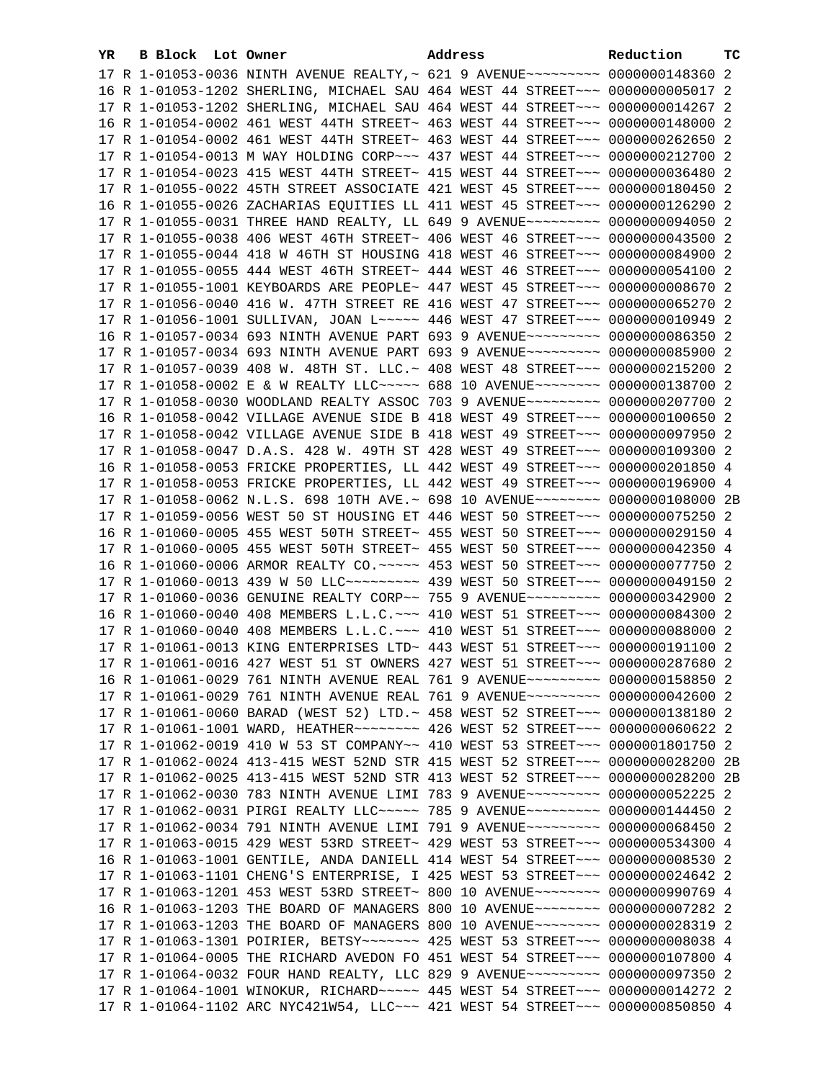| YR. |  | <b>B Block Lot Owner</b>                                                        | Address |  | Reduction | тc |
|-----|--|---------------------------------------------------------------------------------|---------|--|-----------|----|
|     |  | 17 R 1-01053-0036 NINTH AVENUE REALTY, ~ 621 9 AVENUE~~~~~~~~~ 0000000148360 2  |         |  |           |    |
|     |  | 16 R 1-01053-1202 SHERLING, MICHAEL SAU 464 WEST 44 STREET~~~ 00000000005017 2  |         |  |           |    |
|     |  | 17 R 1-01053-1202 SHERLING, MICHAEL SAU 464 WEST 44 STREET~~~ 0000000014267 2   |         |  |           |    |
|     |  | 16 R 1-01054-0002 461 WEST 44TH STREET~ 463 WEST 44 STREET~~~ 0000000148000 2   |         |  |           |    |
|     |  | 17 R 1-01054-0002 461 WEST 44TH STREET~ 463 WEST 44 STREET~~~ 0000000262650 2   |         |  |           |    |
|     |  | 17 R 1-01054-0013 M WAY HOLDING CORP~~~ 437 WEST 44 STREET~~~ 0000000212700 2   |         |  |           |    |
|     |  |                                                                                 |         |  |           |    |
|     |  | 17 R 1-01054-0023 415 WEST 44TH STREET~ 415 WEST 44 STREET~~~ 0000000036480 2   |         |  |           |    |
|     |  | 17 R 1-01055-0022 45TH STREET ASSOCIATE 421 WEST 45 STREET~~~ 0000000180450 2   |         |  |           |    |
|     |  | 16 R 1-01055-0026 ZACHARIAS EQUITIES LL 411 WEST 45 STREET~~~ 0000000126290 2   |         |  |           |    |
|     |  | 17 R 1-01055-0031 THREE HAND REALTY, LL 649 9 AVENUE~~~~~~~~~ 0000000094050 2   |         |  |           |    |
|     |  | 17 R 1-01055-0038 406 WEST 46TH STREET~ 406 WEST 46 STREET~~~ 0000000043500 2   |         |  |           |    |
|     |  | 17 R 1-01055-0044 418 W 46TH ST HOUSING 418 WEST 46 STREET~~~ 0000000084900 2   |         |  |           |    |
|     |  | 17 R 1-01055-0055 444 WEST 46TH STREET~ 444 WEST 46 STREET~~~ 0000000054100 2   |         |  |           |    |
|     |  | 17 R 1-01055-1001 KEYBOARDS ARE PEOPLE~ 447 WEST 45 STREET~~~ 00000000006670 2  |         |  |           |    |
|     |  | 17 R 1-01056-0040 416 W. 47TH STREET RE 416 WEST 47 STREET~~~ 0000000065270 2   |         |  |           |    |
|     |  | 17 R 1-01056-1001 SULLIVAN, JOAN L~~~~~ 446 WEST 47 STREET~~~ 0000000010949 2   |         |  |           |    |
|     |  | 16 R 1-01057-0034 693 NINTH AVENUE PART 693 9 AVENUE~~~~~~~~~ 0000000086350 2   |         |  |           |    |
|     |  | 17 R 1-01057-0034 693 NINTH AVENUE PART 693 9 AVENUE~~~~~~~~~ 0000000085900 2   |         |  |           |    |
|     |  | 17 R 1-01057-0039 408 W. 48TH ST. LLC.~ 408 WEST 48 STREET~~~ 0000000215200 2   |         |  |           |    |
|     |  | 17 R 1-01058-0002 E & W REALTY LLC ---- 688 10 AVENUE ------- 0000000138700 2   |         |  |           |    |
|     |  | 17 R 1-01058-0030 WOODLAND REALTY ASSOC 703 9 AVENUE~~~~~~~~~ 0000000207700 2   |         |  |           |    |
|     |  | 16 R 1-01058-0042 VILLAGE AVENUE SIDE B 418 WEST 49 STREET~~~ 0000000100650 2   |         |  |           |    |
|     |  | 17 R 1-01058-0042 VILLAGE AVENUE SIDE B 418 WEST 49 STREET~~~ 0000000097950 2   |         |  |           |    |
|     |  | 17 R 1-01058-0047 D.A.S. 428 W. 49TH ST 428 WEST 49 STREET~~~ 0000000109300 2   |         |  |           |    |
|     |  | 16 R 1-01058-0053 FRICKE PROPERTIES, LL 442 WEST 49 STREET~~~ 0000000201850 4   |         |  |           |    |
|     |  | 17 R 1-01058-0053 FRICKE PROPERTIES, LL 442 WEST 49 STREET~~~ 0000000196900 4   |         |  |           |    |
|     |  | 17 R 1-01058-0062 N.L.S. 698 10TH AVE.~ 698 10 AVENUE~~~~~~~~ 0000000108000 2B  |         |  |           |    |
|     |  | 17 R 1-01059-0056 WEST 50 ST HOUSING ET 446 WEST 50 STREET~~~ 0000000075250 2   |         |  |           |    |
|     |  | 16 R 1-01060-0005 455 WEST 50TH STREET~ 455 WEST 50 STREET~~~ 0000000029150 4   |         |  |           |    |
|     |  | 17 R 1-01060-0005 455 WEST 50TH STREET~ 455 WEST 50 STREET~~~ 0000000042350 4   |         |  |           |    |
|     |  | 16 R 1-01060-0006 ARMOR REALTY CO. ~~~~~ 453 WEST 50 STREET~~~ 0000000077750 2  |         |  |           |    |
|     |  | 17 R 1-01060-0013 439 W 50 LLC --------- 439 WEST 50 STREET --- 0000000049150 2 |         |  |           |    |
|     |  |                                                                                 |         |  |           |    |
|     |  | 17 R 1-01060-0036 GENUINE REALTY CORP~~ 755 9 AVENUE~~~~~~~~~ 0000000342900 2   |         |  |           |    |
|     |  | 16 R 1-01060-0040 408 MEMBERS L.L.C. ~~~ 410 WEST 51 STREET~~~ 0000000084300 2  |         |  |           |    |
|     |  | 17 R 1-01060-0040 408 MEMBERS L.L.C. ~~~ 410 WEST 51 STREET~~~ 0000000088000 2  |         |  |           |    |
|     |  | 17 R 1-01061-0013 KING ENTERPRISES LTD~ 443 WEST 51 STREET~~~ 0000000191100 2   |         |  |           |    |
|     |  | 17 R 1-01061-0016 427 WEST 51 ST OWNERS 427 WEST 51 STREET~~~ 0000000287680 2   |         |  |           |    |
|     |  | 16 R 1-01061-0029 761 NINTH AVENUE REAL 761 9 AVENUE~~~~~~~~~ 0000000158850 2   |         |  |           |    |
|     |  | 17 R 1-01061-0029 761 NINTH AVENUE REAL 761 9 AVENUE~~~~~~~~~ 0000000042600 2   |         |  |           |    |
|     |  | 17 R 1-01061-0060 BARAD (WEST 52) LTD.~ 458 WEST 52 STREET~~~ 0000000138180 2   |         |  |           |    |
|     |  | 17 R 1-01061-1001 WARD, HEATHER~~~~~~~~~ 426 WEST 52 STREET~~~ 00000000060622 2 |         |  |           |    |
|     |  | 17 R 1-01062-0019 410 W 53 ST COMPANY~~ 410 WEST 53 STREET~~~ 0000001801750 2   |         |  |           |    |
|     |  | 17 R 1-01062-0024 413-415 WEST 52ND STR 415 WEST 52 STREET~~~ 0000000028200 2B  |         |  |           |    |
|     |  | 17 R 1-01062-0025 413-415 WEST 52ND STR 413 WEST 52 STREET~~~ 0000000028200 2B  |         |  |           |    |
|     |  | 17 R 1-01062-0030 783 NINTH AVENUE LIMI 783 9 AVENUE~~~~~~~~~ 0000000052225 2   |         |  |           |    |
|     |  | 17 R 1-01062-0031 PIRGI REALTY LLC~~~~~ 785 9 AVENUE~~~~~~~~~ 0000000144450 2   |         |  |           |    |
|     |  | 17 R 1-01062-0034 791 NINTH AVENUE LIMI 791 9 AVENUE~~~~~~~~~ 0000000068450 2   |         |  |           |    |
|     |  | 17 R 1-01063-0015 429 WEST 53RD STREET~ 429 WEST 53 STREET~~~ 0000000534300 4   |         |  |           |    |
|     |  | 16 R 1-01063-1001 GENTILE, ANDA DANIELL 414 WEST 54 STREET~~~ 00000000008530 2  |         |  |           |    |
|     |  | 17 R 1-01063-1101 CHENG'S ENTERPRISE, I 425 WEST 53 STREET~~~ 0000000024642 2   |         |  |           |    |
|     |  | 17 R 1-01063-1201 453 WEST 53RD STREET~ 800 10 AVENUE~~~~~~~~ 0000000990769 4   |         |  |           |    |
|     |  | 16 R 1-01063-1203 THE BOARD OF MANAGERS 800 10 AVENUE~~~~~~~~ 0000000007282 2   |         |  |           |    |
|     |  | 17 R 1-01063-1203 THE BOARD OF MANAGERS 800 10 AVENUE~~~~~~~~~ 0000000028319 2  |         |  |           |    |
|     |  |                                                                                 |         |  |           |    |
|     |  | 17 R 1-01064-0005 THE RICHARD AVEDON FO 451 WEST 54 STREET~~~ 0000000107800 4   |         |  |           |    |
|     |  | 17 R 1-01064-0032 FOUR HAND REALTY, LLC 829 9 AVENUE~~~~~~~~~ 0000000097350 2   |         |  |           |    |
|     |  | 17 R 1-01064-1001 WINOKUR, RICHARD~~~~~ 445 WEST 54 STREET~~~ 0000000014272 2   |         |  |           |    |
|     |  | 17 R 1-01064-1102 ARC NYC421W54, LLC -- 421 WEST 54 STREET -- 0000000850850 4   |         |  |           |    |
|     |  |                                                                                 |         |  |           |    |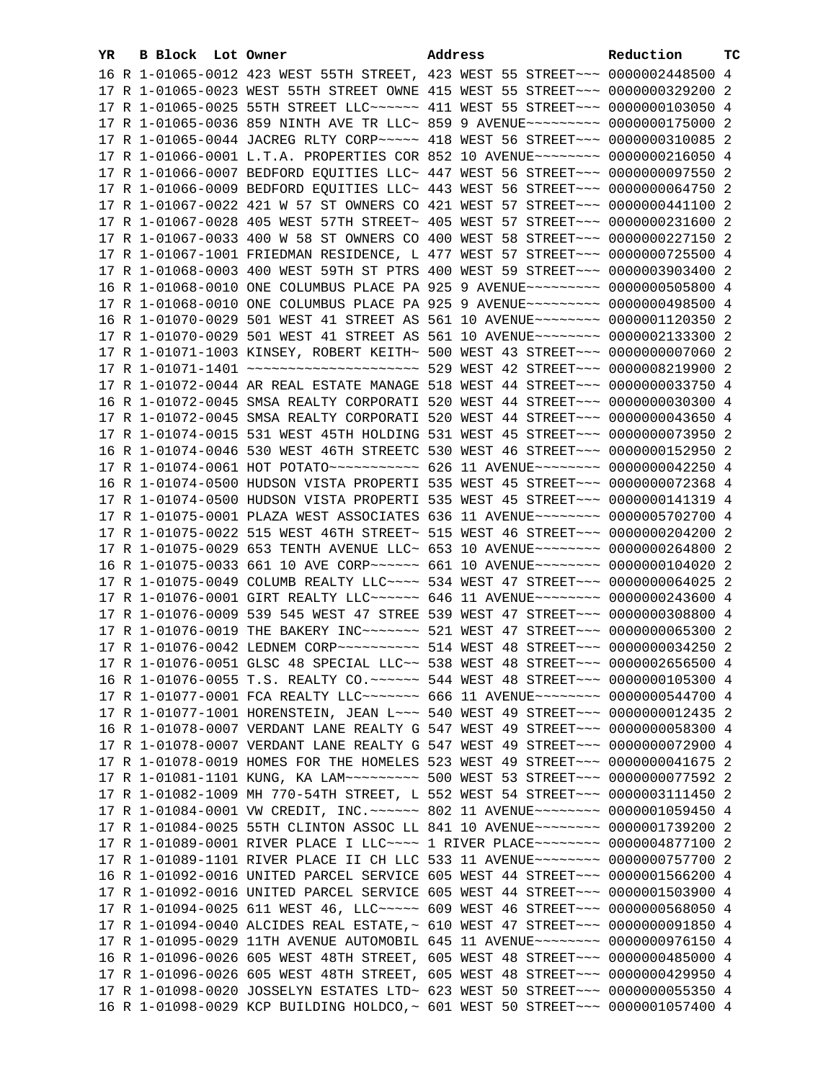| YR | B Block Lot Owner |                                                                                                                                                                | Address | Reduction | тC |
|----|-------------------|----------------------------------------------------------------------------------------------------------------------------------------------------------------|---------|-----------|----|
|    |                   | 16 R 1-01065-0012 423 WEST 55TH STREET, 423 WEST 55 STREET~~~ 0000002448500 4                                                                                  |         |           |    |
|    |                   | 17 R 1-01065-0023 WEST 55TH STREET OWNE 415 WEST 55 STREET~~~ 0000000329200 2                                                                                  |         |           |    |
|    |                   | 17 R 1-01065-0025 55TH STREET LLC ----- 411 WEST 55 STREET -- 0000000103050 4                                                                                  |         |           |    |
|    |                   | 17 R 1-01065-0036 859 NINTH AVE TR LLC~ 859 9 AVENUE~~~~~~~~~ 0000000175000 2                                                                                  |         |           |    |
|    |                   | 17 R 1-01065-0044 JACREG RLTY CORP~~~~~ 418 WEST 56 STREET~~~ 0000000310085 2                                                                                  |         |           |    |
|    |                   | 17 R 1-01066-0001 L.T.A. PROPERTIES COR 852 10 AVENUE~~~~~~~~~ 0000000216050 4                                                                                 |         |           |    |
|    |                   | 17 R 1-01066-0007 BEDFORD EQUITIES LLC~ 447 WEST 56 STREET~~~ 0000000097550 2                                                                                  |         |           |    |
|    |                   | 17 R 1-01066-0009 BEDFORD EQUITIES LLC~ 443 WEST 56 STREET~~~ 0000000064750 2                                                                                  |         |           |    |
|    |                   | 17 R 1-01067-0022 421 W 57 ST OWNERS CO 421 WEST 57 STREET~~~ 0000000441100 2                                                                                  |         |           |    |
|    |                   | 17 R 1-01067-0028 405 WEST 57TH STREET~ 405 WEST 57 STREET~~~ 0000000231600 2                                                                                  |         |           |    |
|    |                   | 17 R 1-01067-0033 400 W 58 ST OWNERS CO 400 WEST 58 STREET~~~ 0000000227150 2                                                                                  |         |           |    |
|    |                   | 17 R 1-01067-1001 FRIEDMAN RESIDENCE, L 477 WEST 57 STREET~~~ 0000000725500 4                                                                                  |         |           |    |
|    |                   | 17 R 1-01068-0003 400 WEST 59TH ST PTRS 400 WEST 59 STREET~~~ 0000003903400 2                                                                                  |         |           |    |
|    |                   | 16 R 1-01068-0010 ONE COLUMBUS PLACE PA 925 9 AVENUE~~~~~~~~~ 0000000505800 4                                                                                  |         |           |    |
|    |                   |                                                                                                                                                                |         |           |    |
|    |                   | 17 R 1-01068-0010 ONE COLUMBUS PLACE PA 925 9 AVENUE~~~~~~~~~ 0000000498500 4<br>16 R 1-01070-0029 501 WEST 41 STREET AS 561 10 AVENUE~~~~~~~~ 0000001120350 2 |         |           |    |
|    |                   | 17 R 1-01070-0029 501 WEST 41 STREET AS 561 10 AVENUE~~~~~~~~ 0000002133300 2                                                                                  |         |           |    |
|    |                   |                                                                                                                                                                |         |           |    |
|    |                   | 17 R 1-01071-1003 KINSEY, ROBERT KEITH~ 500 WEST 43 STREET~~~ 0000000007060 2                                                                                  |         |           |    |
|    |                   | 17 R 1-01071-1401 ~~~~~~~~~~~~~~~~~~~~~~~ 529 WEST 42 STREET~~~ 0000008219900 2                                                                                |         |           |    |
|    |                   | 17 R 1-01072-0044 AR REAL ESTATE MANAGE 518 WEST 44 STREET~~~ 0000000033750 4                                                                                  |         |           |    |
|    |                   | 16 R 1-01072-0045 SMSA REALTY CORPORATI 520 WEST 44 STREET~~~ 0000000030300 4                                                                                  |         |           |    |
|    |                   | 17 R 1-01072-0045 SMSA REALTY CORPORATI 520 WEST 44 STREET~~~ 0000000043650 4                                                                                  |         |           |    |
|    |                   | 17 R 1-01074-0015 531 WEST 45TH HOLDING 531 WEST 45 STREET~~~ 0000000073950 2                                                                                  |         |           |    |
|    |                   | 16 R 1-01074-0046 530 WEST 46TH STREETC 530 WEST 46 STREET~~~ 0000000152950 2                                                                                  |         |           |    |
|    |                   |                                                                                                                                                                |         |           |    |
|    |                   | 16 R 1-01074-0500 HUDSON VISTA PROPERTI 535 WEST 45 STREET~~~ 0000000072368 4                                                                                  |         |           |    |
|    |                   | 17 R 1-01074-0500 HUDSON VISTA PROPERTI 535 WEST 45 STREET~~~ 0000000141319 4                                                                                  |         |           |    |
|    |                   | 17 R 1-01075-0001 PLAZA WEST ASSOCIATES 636 11 AVENUE~~~~~~~~ 0000005702700 4                                                                                  |         |           |    |
|    |                   | 17 R 1-01075-0022 515 WEST 46TH STREET~ 515 WEST 46 STREET~~~ 0000000204200 2                                                                                  |         |           |    |
|    |                   | 17 R 1-01075-0029 653 TENTH AVENUE LLC~ 653 10 AVENUE~~~~~~~~~ 0000000264800 2                                                                                 |         |           |    |
|    |                   | 16 R 1-01075-0033 661 10 AVE CORP~~~~~~ 661 10 AVENUE~~~~~~~~ 0000000104020 2                                                                                  |         |           |    |
|    |                   | 17 R 1-01075-0049 COLUMB REALTY LLC~~~~ 534 WEST 47 STREET~~~ 0000000064025 2<br>17 R 1-01076-0001 GIRT REALTY LLC ----- 646 11 AVENUE ------- 0000000243600 4 |         |           |    |
|    |                   |                                                                                                                                                                |         |           |    |
|    |                   | 17 R 1-01076-0009 539 545 WEST 47 STREE 539 WEST 47 STREET~~~ 0000000308800 4                                                                                  |         |           |    |
|    |                   | 17 R 1-01076-0019 THE BAKERY INC~~~~~~~~ 521 WEST 47 STREET~~~ 0000000065300 2                                                                                 |         |           |    |
|    |                   | 17 R 1-01076-0042 LEDNEM CORP ~~~~~~~~~~~~~~~ 514 WEST 48 STREET ~~~~ 0000000034250 2                                                                          |         |           |    |
|    |                   | 17 R 1-01076-0051 GLSC 48 SPECIAL LLC~~ 538 WEST 48 STREET~~~ 0000002656500 4                                                                                  |         |           |    |
|    |                   | 16 R 1-01076-0055 T.S. REALTY CO.~~~~~~~ 544 WEST 48 STREET~~~ 0000000105300 4                                                                                 |         |           |    |
|    |                   | 17 R 1-01077-0001 FCA REALTY LLC~~~~~~~~ 666 11 AVENUE~~~~~~~~ 0000000544700 4                                                                                 |         |           |    |
|    |                   | 17 R 1-01077-1001 HORENSTEIN, JEAN L~~~ 540 WEST 49 STREET~~~ 0000000012435 2                                                                                  |         |           |    |
|    |                   | 16 R 1-01078-0007 VERDANT LANE REALTY G 547 WEST 49 STREET~~~ 0000000058300 4                                                                                  |         |           |    |
|    |                   | 17 R 1-01078-0007 VERDANT LANE REALTY G 547 WEST 49 STREET~~~ 0000000072900 4                                                                                  |         |           |    |
|    |                   | 17 R 1-01078-0019 HOMES FOR THE HOMELES 523 WEST 49 STREET~~~ 0000000041675 2                                                                                  |         |           |    |
|    |                   | 17 R 1-01081-1101 KUNG, KA LAM~~~~~~~~~~~~~ 500 WEST 53 STREET~~~ 0000000077592 2                                                                              |         |           |    |
|    |                   | 17 R 1-01082-1009 MH 770-54TH STREET, L 552 WEST 54 STREET~~~ 0000003111450 2                                                                                  |         |           |    |
|    |                   | 17 R 1-01084-0001 VW CREDIT, INC. ~~~~~~ 802 11 AVENUE~~~~~~~~ 0000001059450 4                                                                                 |         |           |    |
|    |                   | 17 R 1-01084-0025 55TH CLINTON ASSOC LL 841 10 AVENUE~~~~~~~~ 0000001739200 2                                                                                  |         |           |    |
|    |                   | 17 R 1-01089-0001 RIVER PLACE I LLC~~~~ 1 RIVER PLACE~~~~~~~~ 0000004877100 2<br>17 R 1-01089-1101 RIVER PLACE II CH LLC 533 11 AVENUE~~~~~~~~ 0000000757700 2 |         |           |    |
|    |                   |                                                                                                                                                                |         |           |    |
|    |                   | 16 R 1-01092-0016 UNITED PARCEL SERVICE 605 WEST 44 STREET~~~ 0000001566200 4<br>17 R 1-01092-0016 UNITED PARCEL SERVICE 605 WEST 44 STREET~~~ 0000001503900 4 |         |           |    |
|    |                   | 17 R 1-01094-0025 611 WEST 46, LLC ---- 609 WEST 46 STREET -- 0000000568050 4                                                                                  |         |           |    |
|    |                   | 17 R 1-01094-0040 ALCIDES REAL ESTATE, ~ 610 WEST 47 STREET~~~ 0000000091850 4                                                                                 |         |           |    |
|    |                   | 17 R 1-01095-0029 11TH AVENUE AUTOMOBIL 645 11 AVENUE~~~~~~~~ 0000000976150 4                                                                                  |         |           |    |
|    |                   | 16 R 1-01096-0026 605 WEST 48TH STREET, 605 WEST 48 STREET~~~ 0000000485000 4                                                                                  |         |           |    |
|    |                   | 17 R 1-01096-0026 605 WEST 48TH STREET, 605 WEST 48 STREET~~~ 0000000429950 4                                                                                  |         |           |    |
|    |                   | 17 R 1-01098-0020 JOSSELYN ESTATES LTD~ 623 WEST 50 STREET~~~ 0000000055350 4                                                                                  |         |           |    |
|    |                   | 16 R 1-01098-0029 KCP BUILDING HOLDCO,~ 601 WEST 50 STREET~~~ 0000001057400 4                                                                                  |         |           |    |
|    |                   |                                                                                                                                                                |         |           |    |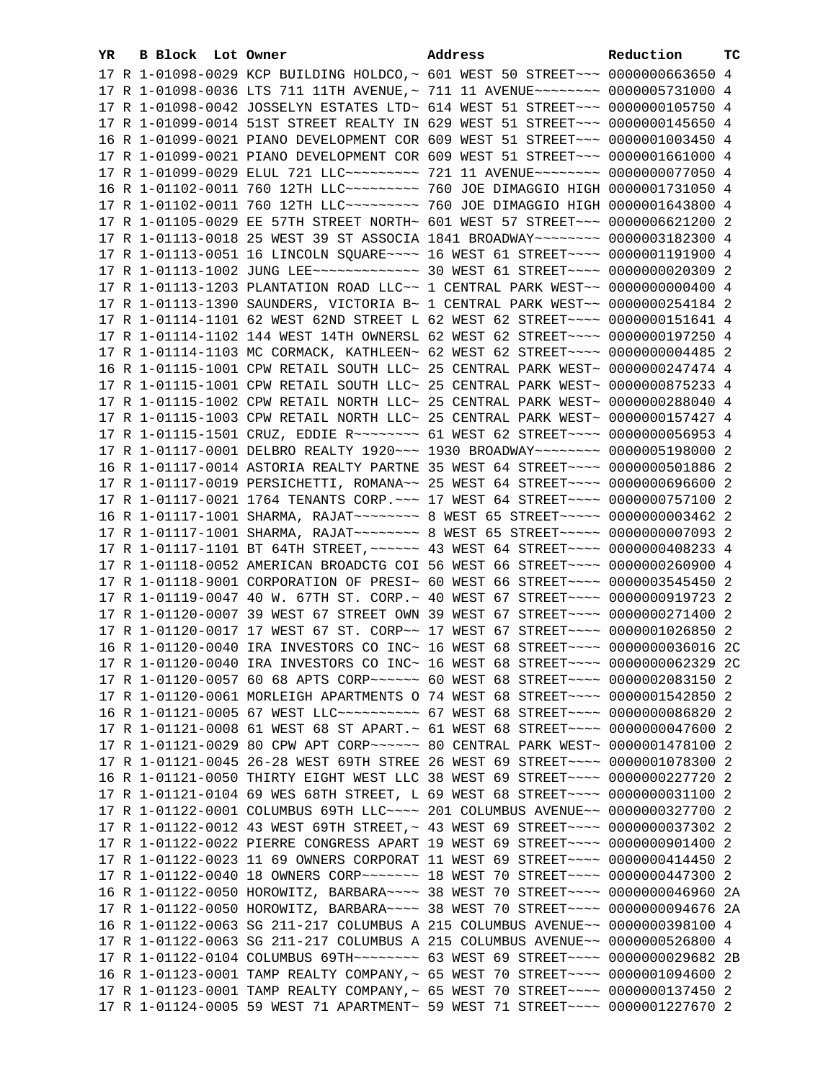| YR. | B Block Lot Owner | Address                                                                                  | Reduction | тc |
|-----|-------------------|------------------------------------------------------------------------------------------|-----------|----|
|     |                   | 17 R 1-01098-0029 KCP BUILDING HOLDCO, ~ 601 WEST 50 STREET~~~ 0000000663650 4           |           |    |
|     |                   | 17 R 1-01098-0036 LTS 711 11TH AVENUE, ~ 711 11 AVENUE~~~~~~~~ 0000005731000 4           |           |    |
|     |                   | 17 R 1-01098-0042 JOSSELYN ESTATES LTD~ 614 WEST 51 STREET~~~ 0000000105750 4            |           |    |
|     |                   | 17 R 1-01099-0014 51ST STREET REALTY IN 629 WEST 51 STREET~~~ 0000000145650 4            |           |    |
|     |                   | 16 R 1-01099-0021 PIANO DEVELOPMENT COR 609 WEST 51 STREET~~~ 0000001003450 4            |           |    |
|     |                   | 17 R 1-01099-0021 PIANO DEVELOPMENT COR 609 WEST 51 STREET~~~ 0000001661000 4            |           |    |
|     |                   | 17 R 1-01099-0029 ELUL 721 LLC~~~~~~~~~~~~~~~ 721 11 AVENUE~~~~~~~~~~~~~ 0000000077050 4 |           |    |
|     |                   | 16 R 1-01102-0011 760 12TH LLC -------- 760 JOE DIMAGGIO HIGH 0000001731050 4            |           |    |
|     |                   | 17 R 1-01102-0011 760 12TH LLC -------- 760 JOE DIMAGGIO HIGH 0000001643800 4            |           |    |
|     |                   | 17 R 1-01105-0029 EE 57TH STREET NORTH~ 601 WEST 57 STREET~~~ 0000006621200 2            |           |    |
|     |                   | 17 R 1-01113-0018 25 WEST 39 ST ASSOCIA 1841 BROADWAY~~~~~~~~ 0000003182300 4            |           |    |
|     |                   |                                                                                          |           |    |
|     |                   | 17 R 1-01113-0051 16 LINCOLN SQUARE~~~~ 16 WEST 61 STREET~~~~ 0000001191900 4            |           |    |
|     |                   |                                                                                          |           |    |
|     |                   | 17 R 1-01113-1203 PLANTATION ROAD LLC~~ 1 CENTRAL PARK WEST~~ 0000000000400 4            |           |    |
|     |                   | 17 R 1-01113-1390 SAUNDERS, VICTORIA B~ 1 CENTRAL PARK WEST~~ 0000000254184 2            |           |    |
|     |                   | 17 R 1-01114-1101 62 WEST 62ND STREET L 62 WEST 62 STREET~~~~ 0000000151641 4            |           |    |
|     |                   | 17 R 1-01114-1102 144 WEST 14TH OWNERSL 62 WEST 62 STREET~~~~ 0000000197250 4            |           |    |
|     |                   | 17 R 1-01114-1103 MC CORMACK, KATHLEEN~ 62 WEST 62 STREET~~~~ 0000000004485 2            |           |    |
|     |                   | 16 R 1-01115-1001 CPW RETAIL SOUTH LLC~ 25 CENTRAL PARK WEST~ 0000000247474 4            |           |    |
|     |                   | 17 R 1-01115-1001 CPW RETAIL SOUTH LLC~ 25 CENTRAL PARK WEST~ 0000000875233 4            |           |    |
|     |                   | 17 R 1-01115-1002 CPW RETAIL NORTH LLC~ 25 CENTRAL PARK WEST~ 0000000288040 4            |           |    |
|     |                   | 17 R 1-01115-1003 CPW RETAIL NORTH LLC~ 25 CENTRAL PARK WEST~ 0000000157427 4            |           |    |
|     |                   | 17 R 1-01115-1501 CRUZ, EDDIE R ------- 61 WEST 62 STREET --- 0000000056953 4            |           |    |
|     |                   | 17 R 1-01117-0001 DELBRO REALTY 1920 ~~~ 1930 BROADWAY ~~~~~~~~ 0000005198000 2          |           |    |
|     |                   | 16 R 1-01117-0014 ASTORIA REALTY PARTNE 35 WEST 64 STREET~~~~ 0000000501886 2            |           |    |
|     |                   | 17 R 1-01117-0019 PERSICHETTI, ROMANA~~ 25 WEST 64 STREET~~~~ 0000000696600 2            |           |    |
|     |                   | 17 R 1-01117-0021 1764 TENANTS CORP. ~~~ 17 WEST 64 STREET~~~~ 0000000757100 2           |           |    |
|     |                   |                                                                                          |           |    |
|     |                   |                                                                                          |           |    |
|     |                   | 17 R 1-01117-1101 BT 64TH STREET, ~~~~~~ 43 WEST 64 STREET~~~~ 0000000408233 4           |           |    |
|     |                   | 17 R 1-01118-0052 AMERICAN BROADCTG COI 56 WEST 66 STREET~~~~ 0000000260900 4            |           |    |
|     |                   | 17 R 1-01118-9001 CORPORATION OF PRESI~ 60 WEST 66 STREET~~~~ 0000003545450 2            |           |    |
|     |                   | 17 R 1-01119-0047 40 W. 67TH ST. CORP.~ 40 WEST 67 STREET~~~~ 0000000919723 2            |           |    |
|     |                   | 17 R 1-01120-0007 39 WEST 67 STREET OWN 39 WEST 67 STREET~~~~ 0000000271400 2            |           |    |
|     |                   | 17 R 1-01120-0017 17 WEST 67 ST. CORP~~ 17 WEST 67 STREET~~~~ 0000001026850 2            |           |    |
|     |                   | 16 R 1-01120-0040 IRA INVESTORS CO INC~ 16 WEST 68 STREET~~~~ 0000000036016 2C           |           |    |
|     |                   | 17 R 1-01120-0040 IRA INVESTORS CO INC~ 16 WEST 68 STREET~~~~ 0000000062329 2C           |           |    |
|     |                   | 17 R 1-01120-0057 60 68 APTS CORP~~~~~~~ 60 WEST 68 STREET~~~~ 0000002083150 2           |           |    |
|     |                   | 17 R 1-01120-0061 MORLEIGH APARTMENTS O 74 WEST 68 STREET~~~~ 0000001542850 2            |           |    |
|     |                   | 16 R 1-01121-0005 67 WEST LLC ---------- 67 WEST 68 STREET ---- 0000000086820 2          |           |    |
|     |                   | 17 R 1-01121-0008 61 WEST 68 ST APART.~ 61 WEST 68 STREET~~~~ 0000000047600 2            |           |    |
|     |                   |                                                                                          |           |    |
|     |                   | 17 R 1-01121-0045 26-28 WEST 69TH STREE 26 WEST 69 STREET~~~~ 0000001078300 2            |           |    |
|     |                   | 16 R 1-01121-0050 THIRTY EIGHT WEST LLC 38 WEST 69 STREET~~~~ 0000000227720 2            |           |    |
|     |                   | 17 R 1-01121-0104 69 WES 68TH STREET, L 69 WEST 68 STREET~~~~ 0000000031100 2            |           |    |
|     |                   | 17 R 1-01122-0001 COLUMBUS 69TH LLC~~~~ 201 COLUMBUS AVENUE~~ 0000000327700 2            |           |    |
|     |                   | 17 R 1-01122-0012 43 WEST 69TH STREET, ~ 43 WEST 69 STREET~~~~ 0000000037302 2           |           |    |
|     |                   | 17 R 1-01122-0022 PIERRE CONGRESS APART 19 WEST 69 STREET~~~~ 0000000901400 2            |           |    |
|     |                   | 17 R 1-01122-0023 11 69 OWNERS CORPORAT 11 WEST 69 STREET~~~~ 0000000414450 2            |           |    |
|     |                   | 17 R 1-01122-0040 18 OWNERS CORP~~~~~~~~~~~~~ 18 WEST 70 STREET~~~~~ 0000000447300 2     |           |    |
|     |                   | 16 R 1-01122-0050 HOROWITZ, BARBARA~~~~ 38 WEST 70 STREET~~~~ 0000000046960 2A           |           |    |
|     |                   | 17 R 1-01122-0050 HOROWITZ, BARBARA~~~~ 38 WEST 70 STREET~~~~ 0000000094676 2A           |           |    |
|     |                   | 16 R 1-01122-0063 SG 211-217 COLUMBUS A 215 COLUMBUS AVENUE~~ 0000000398100 4            |           |    |
|     |                   | 17 R 1-01122-0063 SG 211-217 COLUMBUS A 215 COLUMBUS AVENUE~~ 0000000526800 4            |           |    |
|     |                   | 17 R 1-01122-0104 COLUMBUS 69TH~~~~~~~~~ 63 WEST 69 STREET~~~~ 0000000029682 2B          |           |    |
|     |                   | 16 R 1-01123-0001 TAMP REALTY COMPANY, ~ 65 WEST 70 STREET~~~~ 0000001094600 2           |           |    |
|     |                   | 17 R 1-01123-0001 TAMP REALTY COMPANY, ~ 65 WEST 70 STREET~~~~ 0000000137450 2           |           |    |
|     |                   | 17 R 1-01124-0005 59 WEST 71 APARTMENT~ 59 WEST 71 STREET~~~~ 0000001227670 2            |           |    |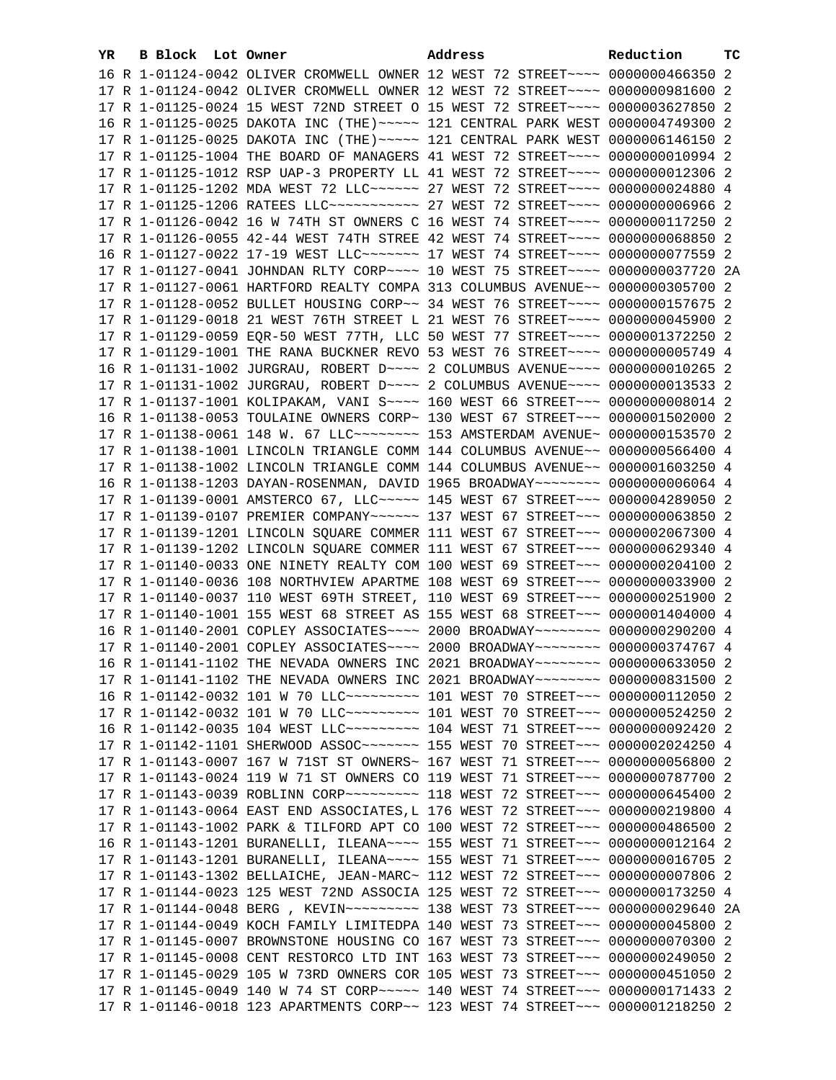| YR. | B Block Lot Owner |                                                                                      | Address | Reduction | тc |
|-----|-------------------|--------------------------------------------------------------------------------------|---------|-----------|----|
|     |                   | 16 R 1-01124-0042 OLIVER CROMWELL OWNER 12 WEST 72 STREET~~~~ 0000000466350 2        |         |           |    |
|     |                   | 17 R 1-01124-0042 OLIVER CROMWELL OWNER 12 WEST 72 STREET~~~~ 0000000981600 2        |         |           |    |
|     |                   | 17 R 1-01125-0024 15 WEST 72ND STREET O 15 WEST 72 STREET~~~~ 0000003627850 2        |         |           |    |
|     |                   | 16 R 1-01125-0025 DAKOTA INC (THE) ~~~~~ 121 CENTRAL PARK WEST 0000004749300 2       |         |           |    |
|     |                   | 17 R 1-01125-0025 DAKOTA INC (THE) ~~~~~ 121 CENTRAL PARK WEST 0000006146150 2       |         |           |    |
|     |                   | 17 R 1-01125-1004 THE BOARD OF MANAGERS 41 WEST 72 STREET~~~~ 0000000010994 2        |         |           |    |
|     |                   | 17 R 1-01125-1012 RSP UAP-3 PROPERTY LL 41 WEST 72 STREET~~~~ 0000000012306 2        |         |           |    |
|     |                   | 17 R 1-01125-1202 MDA WEST 72 LLC ----- 27 WEST 72 STREET --- 0000000024880 4        |         |           |    |
|     |                   | 17 R 1-01125-1206 RATEES LLC ----------- 27 WEST 72 STREET --- 00000000006966 2      |         |           |    |
|     |                   |                                                                                      |         |           |    |
|     |                   | 17 R 1-01126-0042 16 W 74TH ST OWNERS C 16 WEST 74 STREET~~~~ 0000000117250 2        |         |           |    |
|     |                   | 17 R 1-01126-0055 42-44 WEST 74TH STREE 42 WEST 74 STREET~~~~ 0000000068850 2        |         |           |    |
|     |                   | 16 R 1-01127-0022 17-19 WEST LLC ------- 17 WEST 74 STREET --- 0000000077559 2       |         |           |    |
|     |                   | 17 R 1-01127-0041 JOHNDAN RLTY CORP~~~~ 10 WEST 75 STREET~~~~ 0000000037720 2A       |         |           |    |
|     |                   | 17 R 1-01127-0061 HARTFORD REALTY COMPA 313 COLUMBUS AVENUE~~ 0000000305700 2        |         |           |    |
|     |                   | 17 R 1-01128-0052 BULLET HOUSING CORP~~ 34 WEST 76 STREET~~~~ 0000000157675 2        |         |           |    |
|     |                   | 17 R 1-01129-0018 21 WEST 76TH STREET L 21 WEST 76 STREET~~~~ 0000000045900 2        |         |           |    |
|     |                   | 17 R 1-01129-0059 EQR-50 WEST 77TH, LLC 50 WEST 77 STREET~~~~ 0000001372250 2        |         |           |    |
|     |                   | 17 R 1-01129-1001 THE RANA BUCKNER REVO 53 WEST 76 STREET~~~~ 0000000005749 4        |         |           |    |
|     |                   | 16 R 1-01131-1002 JURGRAU, ROBERT D~~~~ 2 COLUMBUS AVENUE~~~~ 0000000010265 2        |         |           |    |
|     |                   | 17 R 1-01131-1002 JURGRAU, ROBERT D~~~~ 2 COLUMBUS AVENUE~~~~ 0000000013533 2        |         |           |    |
|     |                   | 17 R 1-01137-1001 KOLIPAKAM, VANI S~~~~ 160 WEST 66 STREET~~~ 00000000000014 2       |         |           |    |
|     |                   | 16 R 1-01138-0053 TOULAINE OWNERS CORP~ 130 WEST 67 STREET~~~ 0000001502000 2        |         |           |    |
|     |                   | 17 R 1-01138-0061 148 W. 67 LLC -------- 153 AMSTERDAM AVENUE ~ 0000000153570 2      |         |           |    |
|     |                   | 17 R 1-01138-1001 LINCOLN TRIANGLE COMM 144 COLUMBUS AVENUE~~ 0000000566400 4        |         |           |    |
|     |                   | 17 R 1-01138-1002 LINCOLN TRIANGLE COMM 144 COLUMBUS AVENUE~~ 0000001603250 4        |         |           |    |
|     |                   | 16 R 1-01138-1203 DAYAN-ROSENMAN, DAVID 1965 BROADWAY~~~~~~~~ 00000000006064 4       |         |           |    |
|     |                   | 17 R 1-01139-0001 AMSTERCO 67, LLC ~~~~~ 145 WEST 67 STREET ~~~ 0000004289050 2      |         |           |    |
|     |                   | 17 R 1-01139-0107 PREMIER COMPANY~~~~~~ 137 WEST 67 STREET~~~ 0000000063850 2        |         |           |    |
|     |                   | 17 R 1-01139-1201 LINCOLN SQUARE COMMER 111 WEST 67 STREET~~~ 0000002067300 4        |         |           |    |
|     |                   | 17 R 1-01139-1202 LINCOLN SQUARE COMMER 111 WEST 67 STREET~~~ 0000000629340 4        |         |           |    |
|     |                   | 17 R 1-01140-0033 ONE NINETY REALTY COM 100 WEST 69 STREET~~~ 0000000204100 2        |         |           |    |
|     |                   | 17 R 1-01140-0036 108 NORTHVIEW APARTME 108 WEST 69 STREET~~~ 0000000033900 2        |         |           |    |
|     |                   | 17 R 1-01140-0037 110 WEST 69TH STREET, 110 WEST 69 STREET~~~ 0000000251900 2        |         |           |    |
|     |                   | 17 R 1-01140-1001 155 WEST 68 STREET AS 155 WEST 68 STREET~~~ 0000001404000 4        |         |           |    |
|     |                   | 16 R 1-01140-2001 COPLEY ASSOCIATES~~~~ 2000 BROADWAY~~~~~~~~ 0000000290200 4        |         |           |    |
|     |                   | 17 R 1-01140-2001 COPLEY ASSOCIATES~~~~ 2000 BROADWAY~~~~~~~~ 0000000374767 4        |         |           |    |
|     |                   | 16 R 1-01141-1102 THE NEVADA OWNERS INC 2021 BROADWAY~~~~~~~~ 0000000633050 2        |         |           |    |
|     |                   | 17 R 1-01141-1102 THE NEVADA OWNERS INC 2021 BROADWAY~~~~~~~~ 0000000831500 2        |         |           |    |
|     |                   | 16 R 1-01142-0032 101 W 70 LLC --------- 101 WEST 70 STREET -- 0000000112050 2       |         |           |    |
|     |                   | 17 R 1-01142-0032 101 W 70 LLC --------- 101 WEST 70 STREET --- 0000000524250 2      |         |           |    |
|     |                   | 16 R 1-01142-0035 104 WEST LLC --------- 104 WEST 71 STREET -- 0000000092420 2       |         |           |    |
|     |                   | 17 R 1-01142-1101 SHERWOOD ASSOC~~~~~~~~~~~~~ 155 WEST 70 STREET~~~~ 0000002024250 4 |         |           |    |
|     |                   | 17 R 1-01143-0007 167 W 71ST ST OWNERS~ 167 WEST 71 STREET~~~ 0000000056800 2        |         |           |    |
|     |                   | 17 R 1-01143-0024 119 W 71 ST OWNERS CO 119 WEST 71 STREET~~~ 0000000787700 2        |         |           |    |
|     |                   | 17 R 1-01143-0039 ROBLINN CORP~~~~~~~~~ 118 WEST 72 STREET~~~ 0000000645400 2        |         |           |    |
|     |                   | 17 R 1-01143-0064 EAST END ASSOCIATES, L 176 WEST 72 STREET~~~ 0000000219800 4       |         |           |    |
|     |                   | 17 R 1-01143-1002 PARK & TILFORD APT CO 100 WEST 72 STREET~~~ 0000000486500 2        |         |           |    |
|     |                   | 16 R 1-01143-1201 BURANELLI, ILEANA~~~~ 155 WEST 71 STREET~~~ 0000000012164 2        |         |           |    |
|     |                   | 17 R 1-01143-1201 BURANELLI, ILEANA~~~~ 155 WEST 71 STREET~~~ 00000000016705 2       |         |           |    |
|     |                   | 17 R 1-01143-1302 BELLAICHE, JEAN-MARC~ 112 WEST 72 STREET~~~ 0000000007806 2        |         |           |    |
|     |                   | 17 R 1-01144-0023 125 WEST 72ND ASSOCIA 125 WEST 72 STREET~~~ 0000000173250 4        |         |           |    |
|     |                   | 17 R 1-01144-0048 BERG , KEVIN~~~~~~~~~~ 138 WEST 73 STREET~~~ 0000000029640 2A      |         |           |    |
|     |                   | 17 R 1-01144-0049 KOCH FAMILY LIMITEDPA 140 WEST 73 STREET~~~ 0000000045800 2        |         |           |    |
|     |                   | 17 R 1-01145-0007 BROWNSTONE HOUSING CO 167 WEST 73 STREET~~~ 0000000070300 2        |         |           |    |
|     |                   | 17 R 1-01145-0008 CENT RESTORCO LTD INT 163 WEST 73 STREET~~~ 0000000249050 2        |         |           |    |
|     |                   | 17 R 1-01145-0029 105 W 73RD OWNERS COR 105 WEST 73 STREET~~~ 0000000451050 2        |         |           |    |
|     |                   | 17 R 1-01145-0049 140 W 74 ST CORP~~~~~ 140 WEST 74 STREET~~~ 0000000171433 2        |         |           |    |
|     |                   | 17 R 1-01146-0018 123 APARTMENTS CORP~~ 123 WEST 74 STREET~~~ 0000001218250 2        |         |           |    |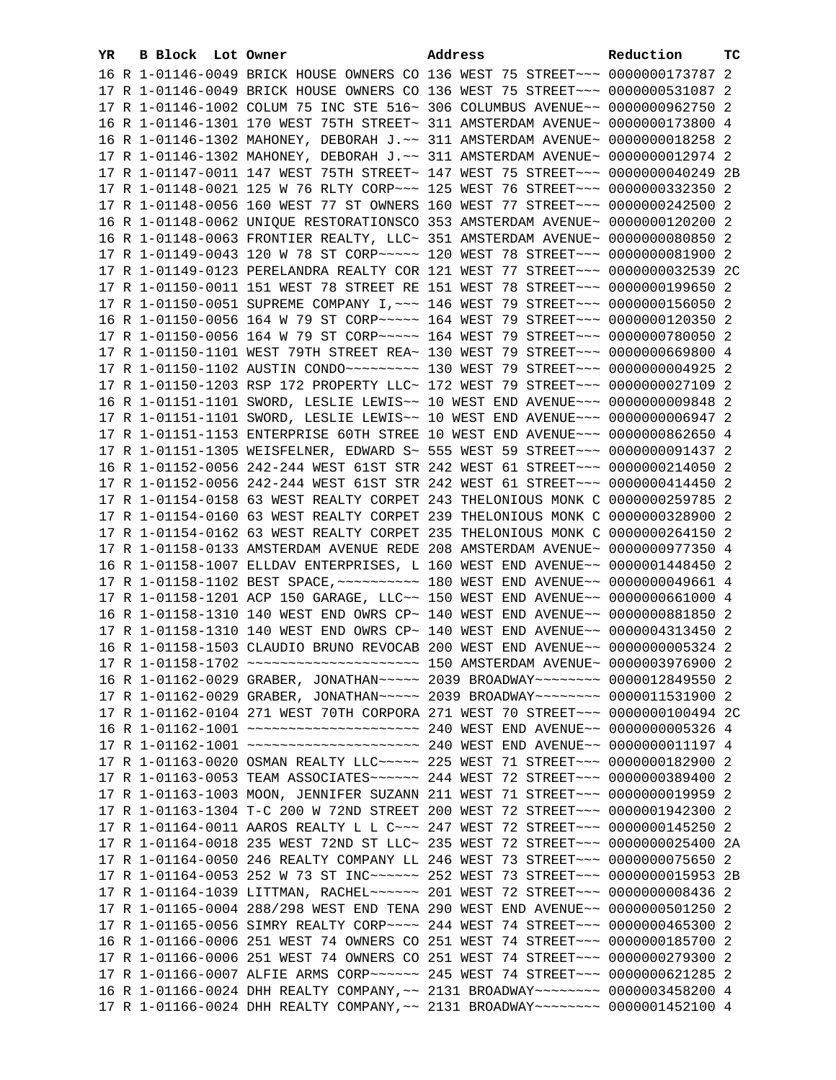| YR. | B Block Lot Owner |                                                                                                                                                                | Address | Reduction | ТC |
|-----|-------------------|----------------------------------------------------------------------------------------------------------------------------------------------------------------|---------|-----------|----|
|     |                   | 16 R 1-01146-0049 BRICK HOUSE OWNERS CO 136 WEST 75 STREET~~~ 0000000173787 2                                                                                  |         |           |    |
|     |                   | 17 R 1-01146-0049 BRICK HOUSE OWNERS CO 136 WEST 75 STREET~~~ 0000000531087 2                                                                                  |         |           |    |
|     |                   | 17 R 1-01146-1002 COLUM 75 INC STE 516~ 306 COLUMBUS AVENUE~~ 0000000962750 2                                                                                  |         |           |    |
|     |                   | 16 R 1-01146-1301 170 WEST 75TH STREET~ 311 AMSTERDAM AVENUE~ 0000000173800 4                                                                                  |         |           |    |
|     |                   | 16 R 1-01146-1302 MAHONEY, DEBORAH J.~~ 311 AMSTERDAM AVENUE~ 0000000018258 2                                                                                  |         |           |    |
|     |                   | 17 R 1-01146-1302 MAHONEY, DEBORAH J.~~ 311 AMSTERDAM AVENUE~ 0000000012974 2                                                                                  |         |           |    |
|     |                   | 17 R 1-01147-0011 147 WEST 75TH STREET~ 147 WEST 75 STREET~~~ 00000000040249 2B                                                                                |         |           |    |
|     |                   | 17 R 1-01148-0021 125 W 76 RLTY CORP~~~ 125 WEST 76 STREET~~~ 0000000332350 2                                                                                  |         |           |    |
|     |                   | 17 R 1-01148-0056 160 WEST 77 ST OWNERS 160 WEST 77 STREET~~~ 0000000242500 2                                                                                  |         |           |    |
|     |                   | 16 R 1-01148-0062 UNIQUE RESTORATIONSCO 353 AMSTERDAM AVENUE~ 0000000120200 2                                                                                  |         |           |    |
|     |                   | 16 R 1-01148-0063 FRONTIER REALTY, LLC~ 351 AMSTERDAM AVENUE~ 0000000080850 2                                                                                  |         |           |    |
|     |                   | 17 R 1-01149-0043 120 W 78 ST CORP~~~~~ 120 WEST 78 STREET~~~ 0000000081900 2                                                                                  |         |           |    |
|     |                   | 17 R 1-01149-0123 PERELANDRA REALTY COR 121 WEST 77 STREET~~~ 0000000032539 2C                                                                                 |         |           |    |
|     |                   | 17 R 1-01150-0011 151 WEST 78 STREET RE 151 WEST 78 STREET~~~ 0000000199650 2                                                                                  |         |           |    |
|     |                   | 17 R 1-01150-0051 SUPREME COMPANY I, ~~~ 146 WEST 79 STREET~~~ 0000000156050 2                                                                                 |         |           |    |
|     |                   | 16 R 1-01150-0056 164 W 79 ST CORP~~~~~ 164 WEST 79 STREET~~~ 0000000120350 2                                                                                  |         |           |    |
|     |                   | 17 R 1-01150-0056 164 W 79 ST CORP~~~~~ 164 WEST 79 STREET~~~ 0000000780050 2                                                                                  |         |           |    |
|     |                   | 17 R 1-01150-1101 WEST 79TH STREET REA~ 130 WEST 79 STREET~~~ 0000000669800 4                                                                                  |         |           |    |
|     |                   | 17 R 1-01150-1102 AUSTIN CONDO~~~~~~~~~~~~~~ 130 WEST 79 STREET~~~ 00000000004925 2                                                                            |         |           |    |
|     |                   | 17 R 1-01150-1203 RSP 172 PROPERTY LLC~ 172 WEST 79 STREET~~~ 0000000027109 2                                                                                  |         |           |    |
|     |                   | 16 R 1-01151-1101 SWORD, LESLIE LEWIS~~ 10 WEST END AVENUE~~~ 0000000009848 2                                                                                  |         |           |    |
|     |                   | 17 R 1-01151-1101 SWORD, LESLIE LEWIS~~ 10 WEST END AVENUE~~~ 00000000006947 2                                                                                 |         |           |    |
|     |                   | 17 R 1-01151-1153 ENTERPRISE 60TH STREE 10 WEST END AVENUE~~~ 0000000862650 4<br>17 R 1-01151-1305 WEISFELNER, EDWARD S~ 555 WEST 59 STREET~~~ 0000000091437 2 |         |           |    |
|     |                   | 16 R 1-01152-0056 242-244 WEST 61ST STR 242 WEST 61 STREET~~~ 0000000214050 2                                                                                  |         |           |    |
|     |                   | 17 R 1-01152-0056 242-244 WEST 61ST STR 242 WEST 61 STREET~~~ 0000000414450 2                                                                                  |         |           |    |
|     |                   | 17 R 1-01154-0158 63 WEST REALTY CORPET 243 THELONIOUS MONK C 0000000259785 2                                                                                  |         |           |    |
|     |                   | 17 R 1-01154-0160 63 WEST REALTY CORPET 239 THELONIOUS MONK C 0000000328900 2                                                                                  |         |           |    |
|     |                   | 17 R 1-01154-0162 63 WEST REALTY CORPET 235 THELONIOUS MONK C 0000000264150 2                                                                                  |         |           |    |
|     |                   | 17 R 1-01158-0133 AMSTERDAM AVENUE REDE 208 AMSTERDAM AVENUE~ 0000000977350 4                                                                                  |         |           |    |
|     |                   | 16 R 1-01158-1007 ELLDAV ENTERPRISES, L 160 WEST END AVENUE~~ 0000001448450 2                                                                                  |         |           |    |
|     |                   | 17 R 1-01158-1102 BEST SPACE, ~~~~~~~~~~~~~~~ 180 WEST END AVENUE~~ 0000000049661 4                                                                            |         |           |    |
|     |                   | 17 R 1-01158-1201 ACP 150 GARAGE, LLC~~ 150 WEST END AVENUE~~ 0000000661000 4                                                                                  |         |           |    |
|     |                   | 16 R 1-01158-1310 140 WEST END OWRS CP~ 140 WEST END AVENUE~~ 0000000881850 2                                                                                  |         |           |    |
|     |                   | 17 R 1-01158-1310 140 WEST END OWRS CP~ 140 WEST END AVENUE~~ 0000004313450 2                                                                                  |         |           |    |
|     |                   | 16 R 1-01158-1503 CLAUDIO BRUNO REVOCAB 200 WEST END AVENUE~~ 0000000005324 2                                                                                  |         |           |    |
|     |                   |                                                                                                                                                                |         |           |    |
|     |                   | 16 R 1-01162-0029 GRABER, JONATHAN~~~~~ 2039 BROADWAY~~~~~~~~ 0000012849550 2                                                                                  |         |           |    |
|     |                   | 17 R 1-01162-0029 GRABER, JONATHAN~~~~~ 2039 BROADWAY~~~~~~~~ 0000011531900 2                                                                                  |         |           |    |
|     |                   | 17 R 1-01162-0104 271 WEST 70TH CORPORA 271 WEST 70 STREET~~~ 0000000100494 2C                                                                                 |         |           |    |
|     |                   |                                                                                                                                                                |         |           |    |
|     |                   |                                                                                                                                                                |         |           |    |
|     |                   | 17 R 1-01163-0020 OSMAN REALTY LLC ~~~~~ 225 WEST 71 STREET ~~~ 0000000182900 2                                                                                |         |           |    |
|     |                   | 17 R 1-01163-0053 TEAM ASSOCIATES~~~~~~ 244 WEST 72 STREET~~~ 0000000389400 2                                                                                  |         |           |    |
|     |                   | 17 R 1-01163-1003 MOON, JENNIFER SUZANN 211 WEST 71 STREET~~~ 0000000019959 2                                                                                  |         |           |    |
|     |                   | 17 R 1-01163-1304 T-C 200 W 72ND STREET 200 WEST 72 STREET~~~ 0000001942300 2                                                                                  |         |           |    |
|     |                   | 17 R 1-01164-0011 AAROS REALTY L L C ~~~ 247 WEST 72 STREET ~~~ 0000000145250 2                                                                                |         |           |    |
|     |                   | 17 R 1-01164-0018 235 WEST 72ND ST LLC~ 235 WEST 72 STREET~~~ 0000000025400 2A                                                                                 |         |           |    |
|     |                   | 17 R 1-01164-0050 246 REALTY COMPANY LL 246 WEST 73 STREET~~~ 0000000075650 2                                                                                  |         |           |    |
|     |                   | 17 R 1-01164-0053 252 W 73 ST INC~~~~~~ 252 WEST 73 STREET~~~ 0000000015953 2B                                                                                 |         |           |    |
|     |                   | 17 R 1-01164-1039 LITTMAN, RACHEL~~~~~~ 201 WEST 72 STREET~~~ 0000000008436 2                                                                                  |         |           |    |
|     |                   | 17 R 1-01165-0004 288/298 WEST END TENA 290 WEST END AVENUE~~ 0000000501250 2                                                                                  |         |           |    |
|     |                   | 17 R 1-01165-0056 SIMRY REALTY CORP~~~~ 244 WEST 74 STREET~~~ 0000000465300 2<br>16 R 1-01166-0006 251 WEST 74 OWNERS CO 251 WEST 74 STREET~~~ 0000000185700 2 |         |           |    |
|     |                   | 17 R 1-01166-0006 251 WEST 74 OWNERS CO 251 WEST 74 STREET~~~ 0000000279300 2                                                                                  |         |           |    |
|     |                   | 17 R 1-01166-0007 ALFIE ARMS CORP~~~~~~ 245 WEST 74 STREET~~~ 0000000621285 2                                                                                  |         |           |    |
|     |                   | 16 R 1-01166-0024 DHH REALTY COMPANY, ~~ 2131 BROADWAY~~~~~~~~ 0000003458200 4                                                                                 |         |           |    |
|     |                   | 17 R 1-01166-0024 DHH REALTY COMPANY, ~~ 2131 BROADWAY~~~~~~~~ 0000001452100 4                                                                                 |         |           |    |
|     |                   |                                                                                                                                                                |         |           |    |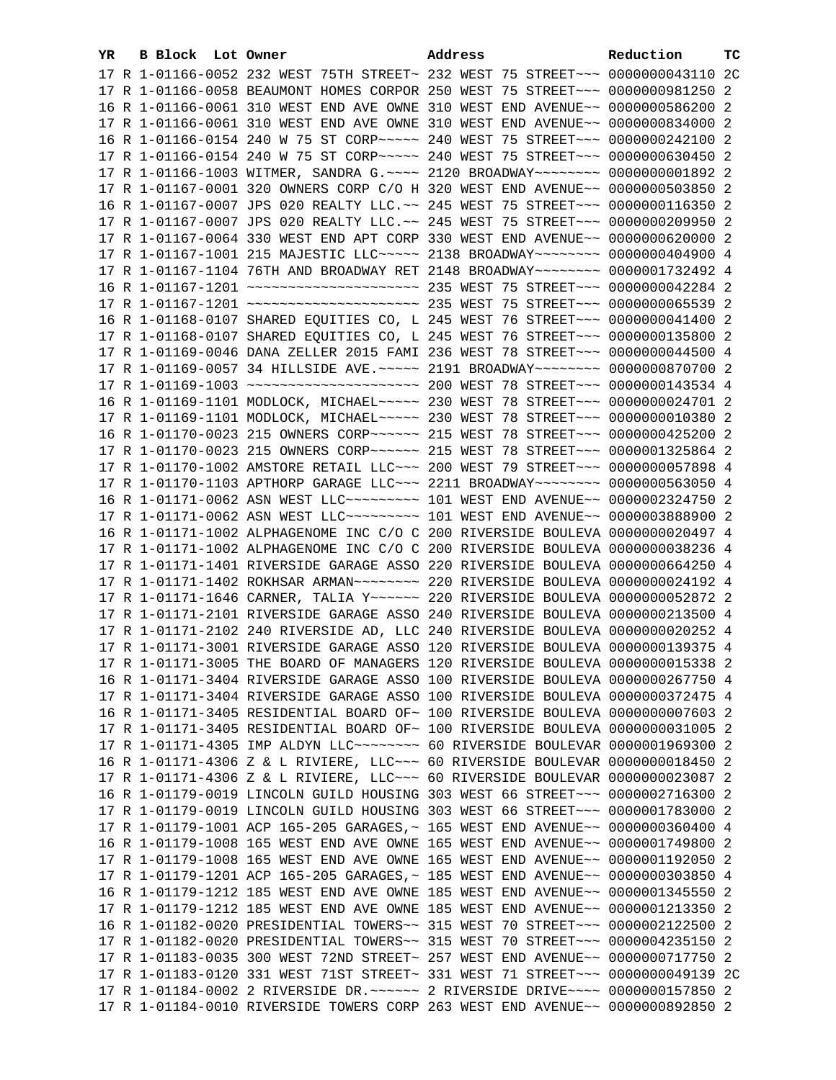| YR. | B Block Lot Owner | Address                                                                                                                                                        | Reduction | ТC |
|-----|-------------------|----------------------------------------------------------------------------------------------------------------------------------------------------------------|-----------|----|
|     |                   | 17 R 1-01166-0052 232 WEST 75TH STREET~ 232 WEST 75 STREET~~~ 0000000043110 2C                                                                                 |           |    |
|     |                   | 17 R 1-01166-0058 BEAUMONT HOMES CORPOR 250 WEST 75 STREET~~~ 0000000981250 2                                                                                  |           |    |
|     |                   | 16 R 1-01166-0061 310 WEST END AVE OWNE 310 WEST END AVENUE~~ 0000000586200 2                                                                                  |           |    |
|     |                   | 17 R 1-01166-0061 310 WEST END AVE OWNE 310 WEST END AVENUE~~ 0000000834000 2                                                                                  |           |    |
|     |                   | 16 R 1-01166-0154 240 W 75 ST CORP~~~~~ 240 WEST 75 STREET~~~ 0000000242100 2                                                                                  |           |    |
|     |                   | 17 R 1-01166-0154 240 W 75 ST CORP~~~~~ 240 WEST 75 STREET~~~ 0000000630450 2                                                                                  |           |    |
|     |                   | 17 R 1-01166-1003 WITMER, SANDRA G.~~~~ 2120 BROADWAY~~~~~~~~ 00000000001892 2                                                                                 |           |    |
|     |                   | 17 R 1-01167-0001 320 OWNERS CORP C/O H 320 WEST END AVENUE~~ 0000000503850 2                                                                                  |           |    |
|     |                   | 16 R 1-01167-0007 JPS 020 REALTY LLC. ~~ 245 WEST 75 STREET ~~~ 0000000116350 2                                                                                |           |    |
|     |                   | 17 R 1-01167-0007 JPS 020 REALTY LLC. ~~ 245 WEST 75 STREET~~~ 0000000209950 2                                                                                 |           |    |
|     |                   | 17 R 1-01167-0064 330 WEST END APT CORP 330 WEST END AVENUE~~ 0000000620000 2                                                                                  |           |    |
|     |                   | 17 R 1-01167-1001 215 MAJESTIC LLC ---- 2138 BROADWAY ------- 0000000404900 4                                                                                  |           |    |
|     |                   |                                                                                                                                                                |           |    |
|     |                   | 17 R 1-01167-1104 76TH AND BROADWAY RET 2148 BROADWAY~~~~~~~~ 0000001732492 4                                                                                  |           |    |
|     |                   |                                                                                                                                                                |           |    |
|     |                   |                                                                                                                                                                |           |    |
|     |                   | 16 R 1-01168-0107 SHARED EQUITIES CO, L 245 WEST 76 STREET~~~ 0000000041400 2                                                                                  |           |    |
|     |                   | 17 R 1-01168-0107 SHARED EQUITIES CO, L 245 WEST 76 STREET~~~ 0000000135800 2                                                                                  |           |    |
|     |                   | 17 R 1-01169-0046 DANA ZELLER 2015 FAMI 236 WEST 78 STREET~~~ 0000000044500 4                                                                                  |           |    |
|     |                   | 17 R 1-01169-0057 34 HILLSIDE AVE. ~~~~~ 2191 BROADWAY~~~~~~~~ 0000000870700 2                                                                                 |           |    |
|     |                   |                                                                                                                                                                |           |    |
|     |                   | 16 R 1-01169-1101 MODLOCK, MICHAEL~~~~~ 230 WEST 78 STREET~~~ 0000000024701 2                                                                                  |           |    |
|     |                   | 17 R 1-01169-1101 MODLOCK, MICHAEL~~~~~ 230 WEST 78 STREET~~~ 0000000010380 2                                                                                  |           |    |
|     |                   | 16 R 1-01170-0023 215 OWNERS CORP~~~~~~ 215 WEST 78 STREET~~~ 0000000425200 2                                                                                  |           |    |
|     |                   | 17 R 1-01170-0023 215 OWNERS CORP~~~~~~ 215 WEST 78 STREET~~~ 0000001325864 2                                                                                  |           |    |
|     |                   | 17 R 1-01170-1002 AMSTORE RETAIL LLC~~~ 200 WEST 79 STREET~~~ 0000000057898 4                                                                                  |           |    |
|     |                   | 17 R 1-01170-1103 APTHORP GARAGE LLC~~~ 2211 BROADWAY~~~~~~~~ 0000000563050 4                                                                                  |           |    |
|     |                   | 16 R 1-01171-0062 ASN WEST LLC -------- 101 WEST END AVENUE- 0000002324750 2                                                                                   |           |    |
|     |                   | 17 R 1-01171-0062 ASN WEST LLC -------- 101 WEST END AVENUE-- 0000003888900 2                                                                                  |           |    |
|     |                   | 16 R 1-01171-1002 ALPHAGENOME INC C/O C 200 RIVERSIDE BOULEVA 0000000020497 4<br>17 R 1-01171-1002 ALPHAGENOME INC C/O C 200 RIVERSIDE BOULEVA 0000000038236 4 |           |    |
|     |                   | 17 R 1-01171-1401 RIVERSIDE GARAGE ASSO 220 RIVERSIDE BOULEVA 0000000664250 4                                                                                  |           |    |
|     |                   | 17 R 1-01171-1402 ROKHSAR ARMAN~~~~~~~~ 220 RIVERSIDE BOULEVA 0000000024192 4                                                                                  |           |    |
|     |                   | 17 R 1-01171-1646 CARNER, TALIA Y~~~~~~ 220 RIVERSIDE BOULEVA 0000000052872 2                                                                                  |           |    |
|     |                   | 17 R 1-01171-2101 RIVERSIDE GARAGE ASSO 240 RIVERSIDE BOULEVA 0000000213500 4                                                                                  |           |    |
|     |                   | 17 R 1-01171-2102 240 RIVERSIDE AD, LLC 240 RIVERSIDE BOULEVA 0000000020252 4                                                                                  |           |    |
|     |                   | 17 R 1-01171-3001 RIVERSIDE GARAGE ASSO 120 RIVERSIDE BOULEVA 0000000139375 4                                                                                  |           |    |
|     |                   | 17 R 1-01171-3005 THE BOARD OF MANAGERS 120 RIVERSIDE BOULEVA 0000000015338 2                                                                                  |           |    |
|     |                   | 16 R 1-01171-3404 RIVERSIDE GARAGE ASSO 100 RIVERSIDE BOULEVA 0000000267750 4                                                                                  |           |    |
|     |                   | 17 R 1-01171-3404 RIVERSIDE GARAGE ASSO 100 RIVERSIDE BOULEVA 0000000372475 4                                                                                  |           |    |
|     |                   | 16 R 1-01171-3405 RESIDENTIAL BOARD OF~ 100 RIVERSIDE BOULEVA 0000000007603 2                                                                                  |           |    |
|     |                   | 17 R 1-01171-3405 RESIDENTIAL BOARD OF~ 100 RIVERSIDE BOULEVA 0000000031005 2                                                                                  |           |    |
|     |                   | 17 R 1-01171-4305 IMP ALDYN LLC -------- 60 RIVERSIDE BOULEVAR 0000001969300 2                                                                                 |           |    |
|     |                   | 16 R 1-01171-4306 Z & L RIVIERE, LLC~~~ 60 RIVERSIDE BOULEVAR 0000000018450 2                                                                                  |           |    |
|     |                   | 17 R 1-01171-4306 Z & L RIVIERE, LLC~~~ 60 RIVERSIDE BOULEVAR 0000000023087 2                                                                                  |           |    |
|     |                   | 16 R 1-01179-0019 LINCOLN GUILD HOUSING 303 WEST 66 STREET~~~ 0000002716300 2                                                                                  |           |    |
|     |                   | 17 R 1-01179-0019 LINCOLN GUILD HOUSING 303 WEST 66 STREET~~~ 0000001783000 2                                                                                  |           |    |
|     |                   | 17 R 1-01179-1001 ACP 165-205 GARAGES, ~ 165 WEST END AVENUE~~ 0000000360400 4                                                                                 |           |    |
|     |                   | 16 R 1-01179-1008 165 WEST END AVE OWNE 165 WEST END AVENUE~~ 0000001749800 2                                                                                  |           |    |
|     |                   | 17 R 1-01179-1008 165 WEST END AVE OWNE 165 WEST END AVENUE~~ 0000001192050 2                                                                                  |           |    |
|     |                   | 17 R 1-01179-1201 ACP 165-205 GARAGES, ~ 185 WEST END AVENUE~~ 0000000303850 4                                                                                 |           |    |
|     |                   | 16 R 1-01179-1212 185 WEST END AVE OWNE 185 WEST END AVENUE~~ 0000001345550 2                                                                                  |           |    |
|     |                   | 17 R 1-01179-1212 185 WEST END AVE OWNE 185 WEST END AVENUE~~ 0000001213350 2                                                                                  |           |    |
|     |                   | 16 R 1-01182-0020 PRESIDENTIAL TOWERS~~ 315 WEST 70 STREET~~~ 0000002122500 2                                                                                  |           |    |
|     |                   | 17 R 1-01182-0020 PRESIDENTIAL TOWERS~~ 315 WEST 70 STREET~~~ 0000004235150 2                                                                                  |           |    |
|     |                   | 17 R 1-01183-0035 300 WEST 72ND STREET~ 257 WEST END AVENUE~~ 0000000717750 2                                                                                  |           |    |
|     |                   | 17 R 1-01183-0120 331 WEST 71ST STREET~ 331 WEST 71 STREET~~~ 0000000049139 2C                                                                                 |           |    |
|     |                   | 17 R 1-01184-0002 2 RIVERSIDE DR. ~~~~~~ 2 RIVERSIDE DRIVE~~~~ 0000000157850 2                                                                                 |           |    |
|     |                   | 17 R 1-01184-0010 RIVERSIDE TOWERS CORP 263 WEST END AVENUE~~ 0000000892850 2                                                                                  |           |    |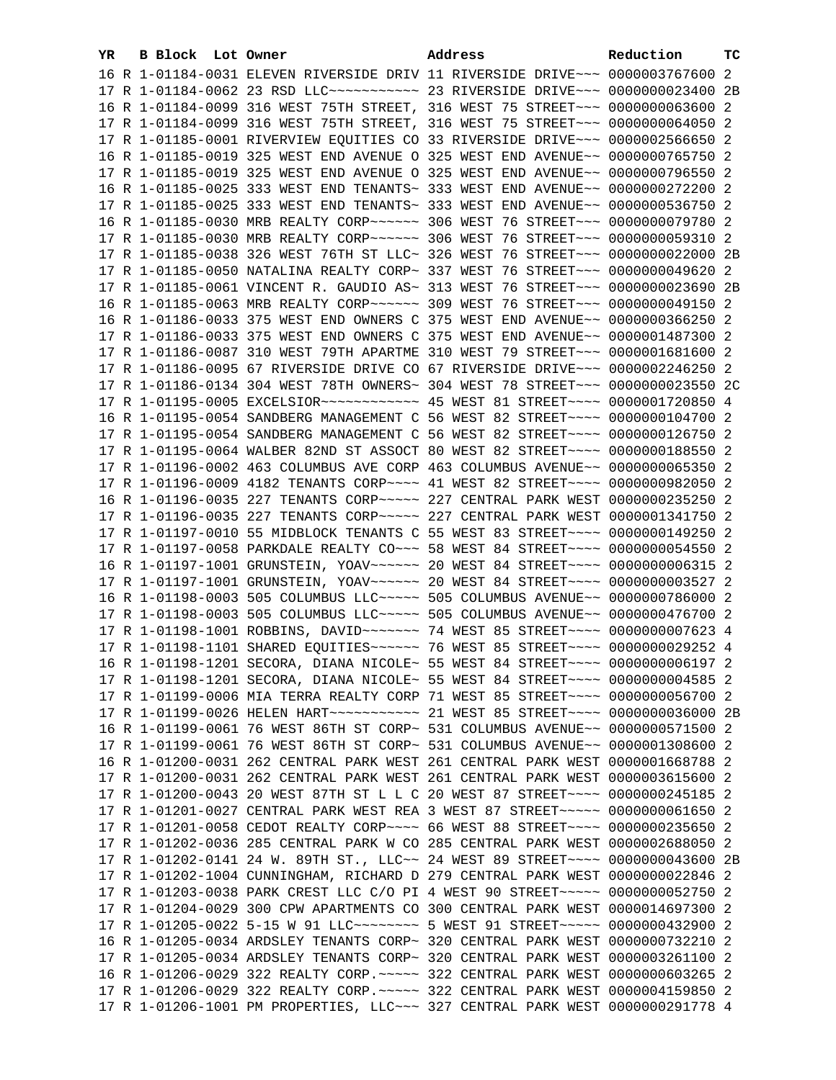| YR | B Block Lot Owner |  | Address                                                                         | Reduction | тc |
|----|-------------------|--|---------------------------------------------------------------------------------|-----------|----|
|    |                   |  | 16 R 1-01184-0031 ELEVEN RIVERSIDE DRIV 11 RIVERSIDE DRIVE~~~ 0000003767600 2   |           |    |
|    |                   |  | 17 R 1-01184-0062 23 RSD LLC ----------- 23 RIVERSIDE DRIVE -- 0000000023400 2B |           |    |
|    |                   |  | 16 R 1-01184-0099 316 WEST 75TH STREET, 316 WEST 75 STREET~~~ 0000000063600 2   |           |    |
|    |                   |  | 17 R 1-01184-0099 316 WEST 75TH STREET, 316 WEST 75 STREET~~~ 0000000064050 2   |           |    |
|    |                   |  | 17 R 1-01185-0001 RIVERVIEW EQUITIES CO 33 RIVERSIDE DRIVE~~~ 0000002566650 2   |           |    |
|    |                   |  | 16 R 1-01185-0019 325 WEST END AVENUE O 325 WEST END AVENUE~~ 0000000765750 2   |           |    |
|    |                   |  | 17 R 1-01185-0019 325 WEST END AVENUE O 325 WEST END AVENUE~~ 0000000796550 2   |           |    |
|    |                   |  | 16 R 1-01185-0025 333 WEST END TENANTS~ 333 WEST END AVENUE~~ 0000000272200 2   |           |    |
|    |                   |  | 17 R 1-01185-0025 333 WEST END TENANTS~ 333 WEST END AVENUE~~ 0000000536750 2   |           |    |
|    |                   |  |                                                                                 |           |    |
|    |                   |  |                                                                                 |           |    |
|    |                   |  | 17 R 1-01185-0038 326 WEST 76TH ST LLC~ 326 WEST 76 STREET~~~ 0000000022000 2B  |           |    |
|    |                   |  | 17 R 1-01185-0050 NATALINA REALTY CORP~ 337 WEST 76 STREET~~~ 0000000049620 2   |           |    |
|    |                   |  | 17 R 1-01185-0061 VINCENT R. GAUDIO AS~ 313 WEST 76 STREET~~~ 0000000023690 2B  |           |    |
|    |                   |  |                                                                                 |           |    |
|    |                   |  | 16 R 1-01186-0033 375 WEST END OWNERS C 375 WEST END AVENUE~~ 0000000366250 2   |           |    |
|    |                   |  | 17 R 1-01186-0033 375 WEST END OWNERS C 375 WEST END AVENUE~~ 0000001487300 2   |           |    |
|    |                   |  | 17 R 1-01186-0087 310 WEST 79TH APARTME 310 WEST 79 STREET~~~ 0000001681600 2   |           |    |
|    |                   |  | 17 R 1-01186-0095 67 RIVERSIDE DRIVE CO 67 RIVERSIDE DRIVE~~~ 0000002246250 2   |           |    |
|    |                   |  | 17 R 1-01186-0134 304 WEST 78TH OWNERS~ 304 WEST 78 STREET~~~ 0000000023550 2C  |           |    |
|    |                   |  | 17 R 1-01195-0005 EXCELSIOR ------------ 45 WEST 81 STREET ---- 0000001720850 4 |           |    |
|    |                   |  | 16 R 1-01195-0054 SANDBERG MANAGEMENT C 56 WEST 82 STREET~~~~ 0000000104700 2   |           |    |
|    |                   |  | 17 R 1-01195-0054 SANDBERG MANAGEMENT C 56 WEST 82 STREET~~~~ 0000000126750 2   |           |    |
|    |                   |  | 17 R 1-01195-0064 WALBER 82ND ST ASSOCT 80 WEST 82 STREET~~~~ 0000000188550 2   |           |    |
|    |                   |  | 17 R 1-01196-0002 463 COLUMBUS AVE CORP 463 COLUMBUS AVENUE~~ 0000000065350 2   |           |    |
|    |                   |  | 17 R 1-01196-0009 4182 TENANTS CORP~~~~ 41 WEST 82 STREET~~~~ 0000000982050 2   |           |    |
|    |                   |  | 16 R 1-01196-0035 227 TENANTS CORP~~~~~ 227 CENTRAL PARK WEST 0000000235250 2   |           |    |
|    |                   |  | 17 R 1-01196-0035 227 TENANTS CORP~~~~~ 227 CENTRAL PARK WEST 0000001341750 2   |           |    |
|    |                   |  | 17 R 1-01197-0010 55 MIDBLOCK TENANTS C 55 WEST 83 STREET~~~~ 0000000149250 2   |           |    |
|    |                   |  | 17 R 1-01197-0058 PARKDALE REALTY CO~~~ 58 WEST 84 STREET~~~~ 0000000054550 2   |           |    |
|    |                   |  | 16 R 1-01197-1001 GRUNSTEIN, YOAV~~~~~~ 20 WEST 84 STREET~~~~ 00000000006315 2  |           |    |
|    |                   |  | 17 R 1-01197-1001 GRUNSTEIN, YOAV~~~~~~ 20 WEST 84 STREET~~~~ 0000000003527 2   |           |    |
|    |                   |  | 16 R 1-01198-0003 505 COLUMBUS LLC ~~~~~ 505 COLUMBUS AVENUE~~ 0000000786000 2  |           |    |
|    |                   |  | 17 R 1-01198-0003 505 COLUMBUS LLC ~~~~~ 505 COLUMBUS AVENUE~~ 0000000476700 2  |           |    |
|    |                   |  | 17 R 1-01198-1001 ROBBINS, DAVID ~~~~~~~ 74 WEST 85 STREET ~~~~ 0000000007623 4 |           |    |
|    |                   |  | 17 R 1-01198-1101 SHARED EQUITIES~~~~~~ 76 WEST 85 STREET~~~~ 0000000029252 4   |           |    |
|    |                   |  | 16 R 1-01198-1201 SECORA, DIANA NICOLE~ 55 WEST 84 STREET~~~~ 0000000006197 2   |           |    |
|    |                   |  | 17 R 1-01198-1201 SECORA, DIANA NICOLE~ 55 WEST 84 STREET~~~~ 0000000004585 2   |           |    |
|    |                   |  | 17 R 1-01199-0006 MIA TERRA REALTY CORP 71 WEST 85 STREET~~~~ 0000000056700 2   |           |    |
|    |                   |  |                                                                                 |           |    |
|    |                   |  | 16 R 1-01199-0061 76 WEST 86TH ST CORP~ 531 COLUMBUS AVENUE~~ 0000000571500 2   |           |    |
|    |                   |  | 17 R 1-01199-0061 76 WEST 86TH ST CORP~ 531 COLUMBUS AVENUE~~ 0000001308600 2   |           |    |
|    |                   |  | 16 R 1-01200-0031 262 CENTRAL PARK WEST 261 CENTRAL PARK WEST 0000001668788 2   |           |    |
|    |                   |  | 17 R 1-01200-0031 262 CENTRAL PARK WEST 261 CENTRAL PARK WEST 0000003615600 2   |           |    |
|    |                   |  | 17 R 1-01200-0043 20 WEST 87TH ST L L C 20 WEST 87 STREET~~~~ 0000000245185 2   |           |    |
|    |                   |  | 17 R 1-01201-0027 CENTRAL PARK WEST REA 3 WEST 87 STREET~~~~~ 0000000061650 2   |           |    |
|    |                   |  | 17 R 1-01201-0058 CEDOT REALTY CORP~~~~ 66 WEST 88 STREET~~~~ 0000000235650 2   |           |    |
|    |                   |  | 17 R 1-01202-0036 285 CENTRAL PARK W CO 285 CENTRAL PARK WEST 0000002688050 2   |           |    |
|    |                   |  | 17 R 1-01202-0141 24 W. 89TH ST., LLC~~ 24 WEST 89 STREET~~~~ 0000000043600 2B  |           |    |
|    |                   |  | 17 R 1-01202-1004 CUNNINGHAM, RICHARD D 279 CENTRAL PARK WEST 0000000022846 2   |           |    |
|    |                   |  | 17 R 1-01203-0038 PARK CREST LLC C/O PI 4 WEST 90 STREET~~~~~ 0000000052750 2   |           |    |
|    |                   |  | 17 R 1-01204-0029 300 CPW APARTMENTS CO 300 CENTRAL PARK WEST 0000014697300 2   |           |    |
|    |                   |  | 17 R 1-01205-0022 5-15 W 91 LLC -------- 5 WEST 91 STREET ---- 0000000432900 2  |           |    |
|    |                   |  | 16 R 1-01205-0034 ARDSLEY TENANTS CORP~ 320 CENTRAL PARK WEST 0000000732210 2   |           |    |
|    |                   |  | 17 R 1-01205-0034 ARDSLEY TENANTS CORP~ 320 CENTRAL PARK WEST 0000003261100 2   |           |    |
|    |                   |  | 16 R 1-01206-0029 322 REALTY CORP. ~~~~~ 322 CENTRAL PARK WEST 0000000603265 2  |           |    |
|    |                   |  | 17 R 1-01206-0029 322 REALTY CORP. ~~~~~ 322 CENTRAL PARK WEST 0000004159850 2  |           |    |
|    |                   |  | 17 R 1-01206-1001 PM PROPERTIES, LLC~~~ 327 CENTRAL PARK WEST 0000000291778 4   |           |    |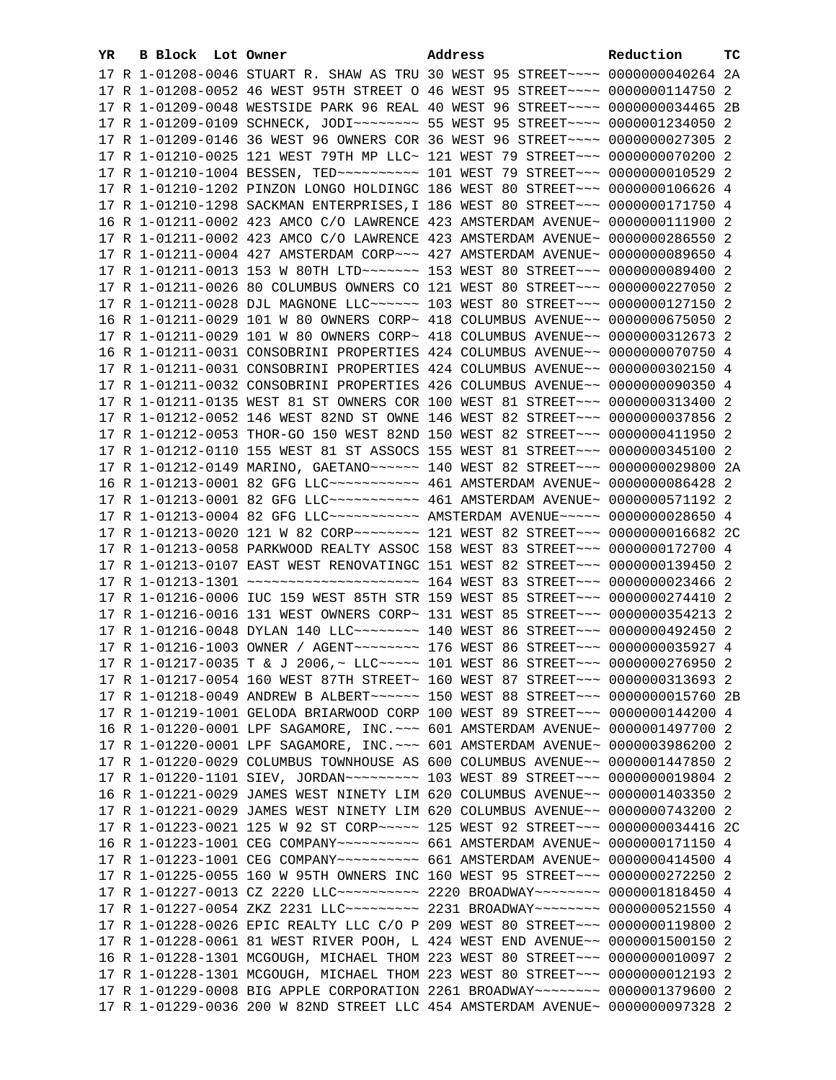| YR. | B Block Lot Owner | Address                                                                                                                                                        | Reduction | ТC |
|-----|-------------------|----------------------------------------------------------------------------------------------------------------------------------------------------------------|-----------|----|
|     |                   | 17 R 1-01208-0046 STUART R. SHAW AS TRU 30 WEST 95 STREET~~~~ 0000000040264 2A                                                                                 |           |    |
|     |                   | 17 R 1-01208-0052 46 WEST 95TH STREET O 46 WEST 95 STREET~~~~ 0000000114750 2                                                                                  |           |    |
|     |                   | 17 R 1-01209-0048 WESTSIDE PARK 96 REAL 40 WEST 96 STREET~~~~ 0000000034465 2B                                                                                 |           |    |
|     |                   | 17 R 1-01209-0109 SCHNECK, JODI~~~~~~~~~~ 55 WEST 95 STREET~~~~ 0000001234050 2                                                                                |           |    |
|     |                   | 17 R 1-01209-0146 36 WEST 96 OWNERS COR 36 WEST 96 STREET~~~~ 0000000027305 2                                                                                  |           |    |
|     |                   | 17 R 1-01210-0025 121 WEST 79TH MP LLC~ 121 WEST 79 STREET~~~ 0000000070200 2                                                                                  |           |    |
|     |                   | 17 R 1-01210-1004 BESSEN, TED ---------- 101 WEST 79 STREET --- 0000000010529 2                                                                                |           |    |
|     |                   | 17 R 1-01210-1202 PINZON LONGO HOLDINGC 186 WEST 80 STREET~~~ 0000000106626 4                                                                                  |           |    |
|     |                   | 17 R 1-01210-1298 SACKMAN ENTERPRISES, I 186 WEST 80 STREET~~~ 0000000171750 4                                                                                 |           |    |
|     |                   | 16 R 1-01211-0002 423 AMCO C/O LAWRENCE 423 AMSTERDAM AVENUE~ 0000000111900 2                                                                                  |           |    |
|     |                   |                                                                                                                                                                |           |    |
|     |                   | 17 R 1-01211-0002 423 AMCO C/O LAWRENCE 423 AMSTERDAM AVENUE~ 0000000286550 2                                                                                  |           |    |
|     |                   | 17 R 1-01211-0004 427 AMSTERDAM CORP~~~ 427 AMSTERDAM AVENUE~ 0000000089650 4                                                                                  |           |    |
|     |                   |                                                                                                                                                                |           |    |
|     |                   | 17 R 1-01211-0026 80 COLUMBUS OWNERS CO 121 WEST 80 STREET~~~ 0000000227050 2                                                                                  |           |    |
|     |                   | 17 R 1-01211-0028 DJL MAGNONE LLC ----- 103 WEST 80 STREET -- 0000000127150 2                                                                                  |           |    |
|     |                   | 16 R 1-01211-0029 101 W 80 OWNERS CORP~ 418 COLUMBUS AVENUE~~ 0000000675050 2                                                                                  |           |    |
|     |                   | 17 R 1-01211-0029 101 W 80 OWNERS CORP~ 418 COLUMBUS AVENUE~~ 0000000312673 2                                                                                  |           |    |
|     |                   | 16 R 1-01211-0031 CONSOBRINI PROPERTIES 424 COLUMBUS AVENUE~~ 0000000070750 4                                                                                  |           |    |
|     |                   | 17 R 1-01211-0031 CONSOBRINI PROPERTIES 424 COLUMBUS AVENUE~~ 0000000302150 4                                                                                  |           |    |
|     |                   | 17 R 1-01211-0032 CONSOBRINI PROPERTIES 426 COLUMBUS AVENUE~~ 0000000090350 4                                                                                  |           |    |
|     |                   | 17 R 1-01211-0135 WEST 81 ST OWNERS COR 100 WEST 81 STREET~~~ 0000000313400 2                                                                                  |           |    |
|     |                   | 17 R 1-01212-0052 146 WEST 82ND ST OWNE 146 WEST 82 STREET~~~ 0000000037856 2                                                                                  |           |    |
|     |                   | 17 R 1-01212-0053 THOR-GO 150 WEST 82ND 150 WEST 82 STREET~~~ 0000000411950 2                                                                                  |           |    |
|     |                   | 17 R 1-01212-0110 155 WEST 81 ST ASSOCS 155 WEST 81 STREET~~~ 0000000345100 2                                                                                  |           |    |
|     |                   | 17 R 1-01212-0149 MARINO, GAETANO~~~~~~ 140 WEST 82 STREET~~~ 0000000029800 2A                                                                                 |           |    |
|     |                   | 16 R 1-01213-0001 82 GFG LLC ----------- 461 AMSTERDAM AVENUE ~ 0000000086428 2                                                                                |           |    |
|     |                   | 17 R 1-01213-0001 82 GFG LLC ----------- 461 AMSTERDAM AVENUE ~ 0000000571192 2                                                                                |           |    |
|     |                   | 17 R 1-01213-0004 82 GFG LLC ---------- AMSTERDAM AVENUE----- 0000000028650 4                                                                                  |           |    |
|     |                   | 17 R 1-01213-0020 121 W 82 CORP~~~~~~~~~ 121 WEST 82 STREET~~~ 0000000016682 2C                                                                                |           |    |
|     |                   | 17 R 1-01213-0058 PARKWOOD REALTY ASSOC 158 WEST 83 STREET~~~ 0000000172700 4<br>17 R 1-01213-0107 EAST WEST RENOVATINGC 151 WEST 82 STREET~~~ 0000000139450 2 |           |    |
|     |                   |                                                                                                                                                                |           |    |
|     |                   | 17 R 1-01216-0006 IUC 159 WEST 85TH STR 159 WEST 85 STREET~~~ 0000000274410 2                                                                                  |           |    |
|     |                   | 17 R 1-01216-0016 131 WEST OWNERS CORP~ 131 WEST 85 STREET~~~ 0000000354213 2                                                                                  |           |    |
|     |                   | 17 R 1-01216-0048 DYLAN 140 LLC ------- 140 WEST 86 STREET --- 0000000492450 2                                                                                 |           |    |
|     |                   |                                                                                                                                                                |           |    |
|     |                   | 17 R 1-01217-0035 T & J 2006,~ LLC~~~~~ 101 WEST 86 STREET~~~ 0000000276950 2                                                                                  |           |    |
|     |                   | 17 R 1-01217-0054 160 WEST 87TH STREET~ 160 WEST 87 STREET~~~ 0000000313693 2                                                                                  |           |    |
|     |                   | 17 R 1-01218-0049 ANDREW B ALBERT~~~~~~ 150 WEST 88 STREET~~~ 0000000015760 2B                                                                                 |           |    |
|     |                   | 17 R 1-01219-1001 GELODA BRIARWOOD CORP 100 WEST 89 STREET~~~ 0000000144200 4                                                                                  |           |    |
|     |                   | 16 R 1-01220-0001 LPF SAGAMORE, INC. ~~~ 601 AMSTERDAM AVENUE~ 0000001497700 2                                                                                 |           |    |
|     |                   | 17 R 1-01220-0001 LPF SAGAMORE, INC. ~~~ 601 AMSTERDAM AVENUE~ 0000003986200 2                                                                                 |           |    |
|     |                   | 17 R 1-01220-0029 COLUMBUS TOWNHOUSE AS 600 COLUMBUS AVENUE~~ 0000001447850 2                                                                                  |           |    |
|     |                   | 17 R 1-01220-1101 SIEV, JORDAN~~~~~~~~~~~~~~ 103 WEST 89 STREET~~~~ 00000000019804 2                                                                           |           |    |
|     |                   | 16 R 1-01221-0029 JAMES WEST NINETY LIM 620 COLUMBUS AVENUE~~ 0000001403350 2                                                                                  |           |    |
|     |                   | 17 R 1-01221-0029 JAMES WEST NINETY LIM 620 COLUMBUS AVENUE~~ 0000000743200 2                                                                                  |           |    |
|     |                   | 17 R 1-01223-0021 125 W 92 ST CORP~~~~~ 125 WEST 92 STREET~~~ 0000000034416 2C                                                                                 |           |    |
|     |                   |                                                                                                                                                                |           |    |
|     |                   | 17 R 1-01223-1001 CEG COMPANY~~~~~~~~~~~~~ 661 AMSTERDAM AVENUE~ 0000000414500 4                                                                               |           |    |
|     |                   | 17 R 1-01225-0055 160 W 95TH OWNERS INC 160 WEST 95 STREET~~~ 0000000272250 2                                                                                  |           |    |
|     |                   | 17 R 1-01227-0013 CZ 2220 LLC~~~~~~~~~~~~~~~ 2220 BROADWAY~~~~~~~~~~ 0000001818450 4                                                                           |           |    |
|     |                   | 17 R 1-01227-0054 ZKZ 2231 LLC~~~~~~~~~~~~~~ 2231 BROADWAY~~~~~~~~~~ 0000000521550 4                                                                           |           |    |
|     |                   | 17 R 1-01228-0026 EPIC REALTY LLC C/O P 209 WEST 80 STREET~~~ 0000000119800 2                                                                                  |           |    |
|     |                   | 17 R 1-01228-0061 81 WEST RIVER POOH, L 424 WEST END AVENUE~~ 0000001500150 2                                                                                  |           |    |
|     |                   | 16 R 1-01228-1301 MCGOUGH, MICHAEL THOM 223 WEST 80 STREET~~~ 0000000010097 2                                                                                  |           |    |
|     |                   | 17 R 1-01228-1301 MCGOUGH, MICHAEL THOM 223 WEST 80 STREET~~~ 0000000012193 2                                                                                  |           |    |
|     |                   | 17 R 1-01229-0008 BIG APPLE CORPORATION 2261 BROADWAY~~~~~~~~ 0000001379600 2                                                                                  |           |    |
|     |                   | 17 R 1-01229-0036 200 W 82ND STREET LLC 454 AMSTERDAM AVENUE~ 0000000097328 2                                                                                  |           |    |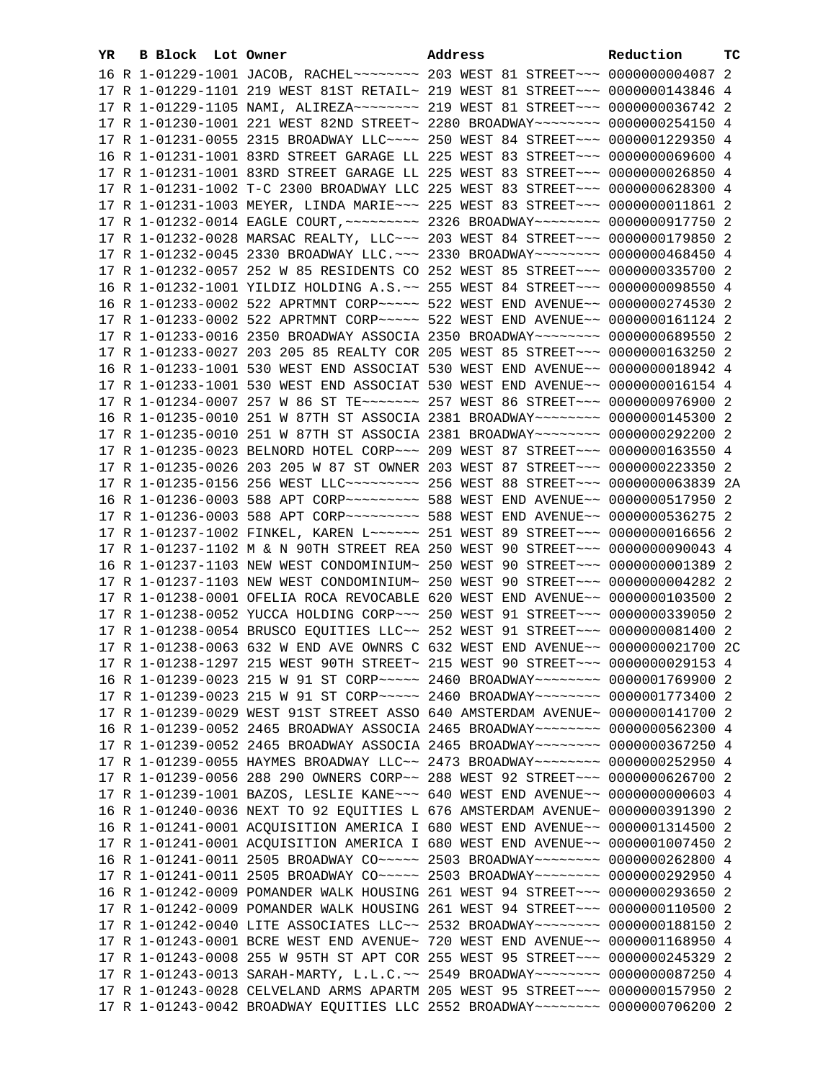| YR. | B Block Lot Owner |                                                                                         | Address | Reduction | тc |
|-----|-------------------|-----------------------------------------------------------------------------------------|---------|-----------|----|
|     |                   | 16 R 1-01229-1001 JACOB, RACHEL~~~~~~~~~~~~~ 203 WEST 81 STREET~~~~ 00000000004087 2    |         |           |    |
|     |                   | 17 R 1-01229-1101 219 WEST 81ST RETAIL~ 219 WEST 81 STREET~~~ 0000000143846 4           |         |           |    |
|     |                   | 17 R 1-01229-1105 NAMI, ALIREZA~~~~~~~~~~~~~ 219 WEST 81 STREET~~~~ 0000000036742 2     |         |           |    |
|     |                   | 17 R 1-01230-1001 221 WEST 82ND STREET~ 2280 BROADWAY~~~~~~~~ 0000000254150 4           |         |           |    |
|     |                   | 17 R 1-01231-0055 2315 BROADWAY LLC~~~~ 250 WEST 84 STREET~~~ 0000001229350 4           |         |           |    |
|     |                   | 16 R 1-01231-1001 83RD STREET GARAGE LL 225 WEST 83 STREET~~~ 0000000069600 4           |         |           |    |
|     |                   | 17 R 1-01231-1001 83RD STREET GARAGE LL 225 WEST 83 STREET~~~ 0000000026850 4           |         |           |    |
|     |                   | 17 R 1-01231-1002 T-C 2300 BROADWAY LLC 225 WEST 83 STREET~~~ 0000000628300 4           |         |           |    |
|     |                   | 17 R 1-01231-1003 MEYER, LINDA MARIE~~~ 225 WEST 83 STREET~~~ 0000000011861 2           |         |           |    |
|     |                   | 17 R 1-01232-0014 EAGLE COURT, ~~~~~~~~~~~~~~~ 2326 BROADWAY~~~~~~~~~~~ 0000000917750 2 |         |           |    |
|     |                   | 17 R 1-01232-0028 MARSAC REALTY, LLC -~~ 203 WEST 84 STREET -~~ 0000000179850 2         |         |           |    |
|     |                   | 17 R 1-01232-0045 2330 BROADWAY LLC. ~~~ 2330 BROADWAY~~~~~~~~ 0000000468450 4          |         |           |    |
|     |                   | 17 R 1-01232-0057 252 W 85 RESIDENTS CO 252 WEST 85 STREET~~~ 0000000335700 2           |         |           |    |
|     |                   | 16 R 1-01232-1001 YILDIZ HOLDING A.S. ~~ 255 WEST 84 STREET~~~ 0000000098550 4          |         |           |    |
|     |                   | 16 R 1-01233-0002 522 APRTMNT CORP~~~~~ 522 WEST END AVENUE~~ 0000000274530 2           |         |           |    |
|     |                   | 17 R 1-01233-0002 522 APRTMNT CORP~~~~~ 522 WEST END AVENUE~~ 0000000161124 2           |         |           |    |
|     |                   | 17 R 1-01233-0016 2350 BROADWAY ASSOCIA 2350 BROADWAY~~~~~~~~ 0000000689550 2           |         |           |    |
|     |                   | 17 R 1-01233-0027 203 205 85 REALTY COR 205 WEST 85 STREET~~~ 0000000163250 2           |         |           |    |
|     |                   | 16 R 1-01233-1001 530 WEST END ASSOCIAT 530 WEST END AVENUE~~ 0000000018942 4           |         |           |    |
|     |                   | 17 R 1-01233-1001 530 WEST END ASSOCIAT 530 WEST END AVENUE~~ 00000000016154 4          |         |           |    |
|     |                   | 17 R 1-01234-0007 257 W 86 ST TE~~~~~~~ 257 WEST 86 STREET~~~ 0000000976900 2           |         |           |    |
|     |                   | 16 R 1-01235-0010 251 W 87TH ST ASSOCIA 2381 BROADWAY~~~~~~~~ 0000000145300 2           |         |           |    |
|     |                   | 17 R 1-01235-0010 251 W 87TH ST ASSOCIA 2381 BROADWAY~~~~~~~~ 0000000292200 2           |         |           |    |
|     |                   | 17 R 1-01235-0023 BELNORD HOTEL CORP~~~ 209 WEST 87 STREET~~~ 0000000163550 4           |         |           |    |
|     |                   | 17 R 1-01235-0026 203 205 W 87 ST OWNER 203 WEST 87 STREET~~~ 0000000223350 2           |         |           |    |
|     |                   | 17 R 1-01235-0156 256 WEST LLC --------- 256 WEST 88 STREET -- 00000000063839 2A        |         |           |    |
|     |                   | 16 R 1-01236-0003 588 APT CORP~~~~~~~~~~~~~~ 588 WEST END AVENUE~~ 0000000517950 2      |         |           |    |
|     |                   | 17 R 1-01236-0003 588 APT CORP~~~~~~~~~~~~~~ 588 WEST END AVENUE~~ 0000000536275 2      |         |           |    |
|     |                   | 17 R 1-01237-1002 FINKEL, KAREN L~~~~~~ 251 WEST 89 STREET~~~ 0000000016656 2           |         |           |    |
|     |                   | 17 R 1-01237-1102 M & N 90TH STREET REA 250 WEST 90 STREET~~~ 0000000090043 4           |         |           |    |
|     |                   | 16 R 1-01237-1103 NEW WEST CONDOMINIUM~ 250 WEST 90 STREET~~~ 00000000001389 2          |         |           |    |
|     |                   | 17 R 1-01237-1103 NEW WEST CONDOMINIUM~ 250 WEST 90 STREET~~~ 0000000004282 2           |         |           |    |
|     |                   | 17 R 1-01238-0001 OFELIA ROCA REVOCABLE 620 WEST END AVENUE~~ 0000000103500 2           |         |           |    |
|     |                   | 17 R 1-01238-0052 YUCCA HOLDING CORP~~~ 250 WEST 91 STREET~~~ 0000000339050 2           |         |           |    |
|     |                   | 17 R 1-01238-0054 BRUSCO EQUITIES LLC~~ 252 WEST 91 STREET~~~ 0000000081400 2           |         |           |    |
|     |                   | 17 R 1-01238-0063 632 W END AVE OWNRS C 632 WEST END AVENUE~~ 0000000021700 2C          |         |           |    |
|     |                   | 17 R 1-01238-1297 215 WEST 90TH STREET~ 215 WEST 90 STREET~~~ 0000000029153 4           |         |           |    |
|     |                   | 16 R 1-01239-0023 215 W 91 ST CORP~~~~~ 2460 BROADWAY~~~~~~~~ 0000001769900 2           |         |           |    |
|     |                   | 17 R 1-01239-0023 215 W 91 ST CORP~~~~~ 2460 BROADWAY~~~~~~~~ 0000001773400 2           |         |           |    |
|     |                   | 17 R 1-01239-0029 WEST 91ST STREET ASSO 640 AMSTERDAM AVENUE~ 0000000141700 2           |         |           |    |
|     |                   | 16 R 1-01239-0052 2465 BROADWAY ASSOCIA 2465 BROADWAY~~~~~~~~ 0000000562300 4           |         |           |    |
|     |                   | 17 R 1-01239-0052 2465 BROADWAY ASSOCIA 2465 BROADWAY~~~~~~~~ 0000000367250 4           |         |           |    |
|     |                   | 17 R 1-01239-0055 HAYMES BROADWAY LLC~~ 2473 BROADWAY~~~~~~~~ 0000000252950 4           |         |           |    |
|     |                   | 17 R 1-01239-0056 288 290 OWNERS CORP~~ 288 WEST 92 STREET~~~ 0000000626700 2           |         |           |    |
|     |                   | 17 R 1-01239-1001 BAZOS, LESLIE KANE~~~ 640 WEST END AVENUE~~ 0000000000603 4           |         |           |    |
|     |                   | 16 R 1-01240-0036 NEXT TO 92 EQUITIES L 676 AMSTERDAM AVENUE~ 0000000391390 2           |         |           |    |
|     |                   | 16 R 1-01241-0001 ACQUISITION AMERICA I 680 WEST END AVENUE~~ 0000001314500 2           |         |           |    |
|     |                   | 17 R 1-01241-0001 ACQUISITION AMERICA I 680 WEST END AVENUE~~ 0000001007450 2           |         |           |    |
|     |                   | 16 R 1-01241-0011 2505 BROADWAY CO ---- 2503 BROADWAY ------ 0000000262800 4            |         |           |    |
|     |                   | 17 R 1-01241-0011 2505 BROADWAY CO ---- 2503 BROADWAY ------ 0000000292950 4            |         |           |    |
|     |                   | 16 R 1-01242-0009 POMANDER WALK HOUSING 261 WEST 94 STREET~~~ 0000000293650 2           |         |           |    |
|     |                   | 17 R 1-01242-0009 POMANDER WALK HOUSING 261 WEST 94 STREET~~~ 0000000110500 2           |         |           |    |
|     |                   | 17 R 1-01242-0040 LITE ASSOCIATES LLC~~ 2532 BROADWAY~~~~~~~~ 0000000188150 2           |         |           |    |
|     |                   | 17 R 1-01243-0001 BCRE WEST END AVENUE~ 720 WEST END AVENUE~~ 0000001168950 4           |         |           |    |
|     |                   | 17 R 1-01243-0008 255 W 95TH ST APT COR 255 WEST 95 STREET~~~ 0000000245329 2           |         |           |    |
|     |                   | 17 R 1-01243-0013 SARAH-MARTY, L.L.C.~~ 2549 BROADWAY~~~~~~~~ 0000000087250 4           |         |           |    |
|     |                   | 17 R 1-01243-0028 CELVELAND ARMS APARTM 205 WEST 95 STREET~~~ 0000000157950 2           |         |           |    |
|     |                   | 17 R 1-01243-0042 BROADWAY EQUITIES LLC 2552 BROADWAY~~~~~~~~ 0000000706200 2           |         |           |    |
|     |                   |                                                                                         |         |           |    |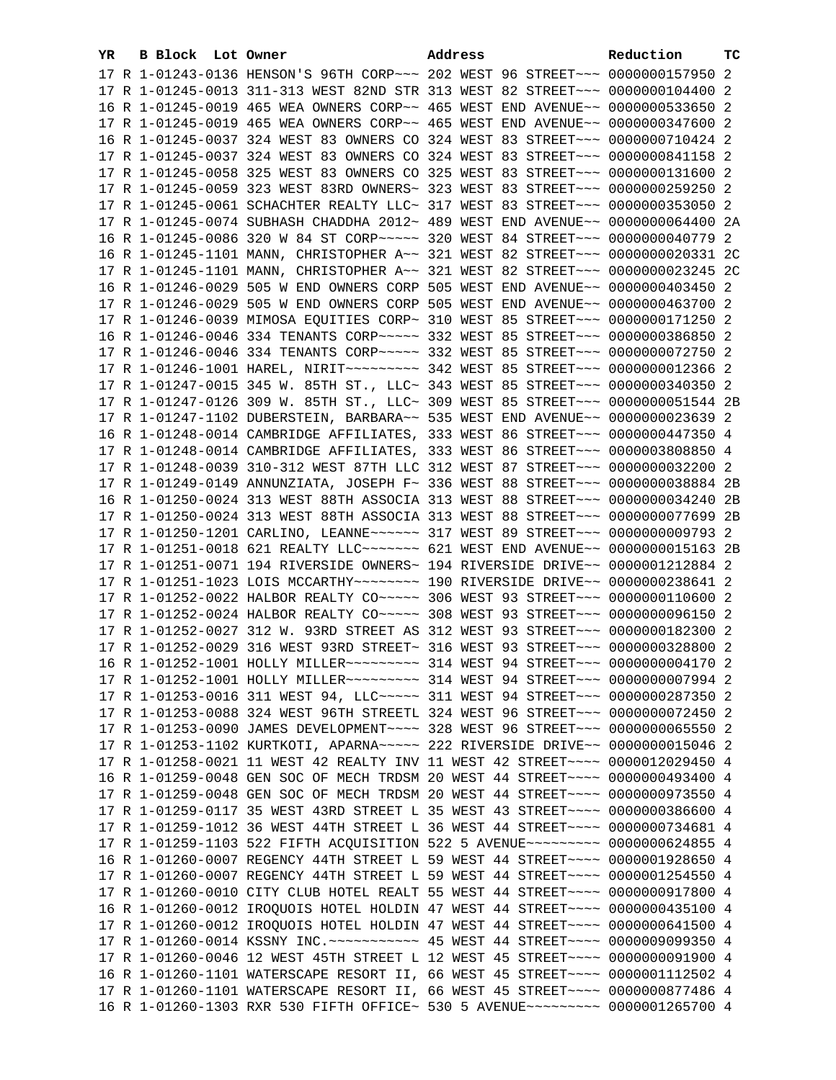| YR. | B Block Lot Owner |                                                                                       | Address | Reduction | тc |
|-----|-------------------|---------------------------------------------------------------------------------------|---------|-----------|----|
|     |                   | 17 R 1-01243-0136 HENSON'S 96TH CORP~~~ 202 WEST 96 STREET~~~ 0000000157950 2         |         |           |    |
|     |                   | 17 R 1-01245-0013 311-313 WEST 82ND STR 313 WEST 82 STREET~~~ 0000000104400 2         |         |           |    |
|     |                   | 16 R 1-01245-0019 465 WEA OWNERS CORP~~ 465 WEST END AVENUE~~ 0000000533650 2         |         |           |    |
|     |                   | 17 R 1-01245-0019 465 WEA OWNERS CORP~~ 465 WEST END AVENUE~~ 0000000347600 2         |         |           |    |
|     |                   | 16 R 1-01245-0037 324 WEST 83 OWNERS CO 324 WEST 83 STREET~~~ 0000000710424 2         |         |           |    |
|     |                   | 17 R 1-01245-0037 324 WEST 83 OWNERS CO 324 WEST 83 STREET~~~ 0000000841158 2         |         |           |    |
|     |                   | 17 R 1-01245-0058 325 WEST 83 OWNERS CO 325 WEST 83 STREET~~~ 0000000131600 2         |         |           |    |
|     |                   | 17 R 1-01245-0059 323 WEST 83RD OWNERS~ 323 WEST 83 STREET~~~ 0000000259250 2         |         |           |    |
|     |                   | 17 R 1-01245-0061 SCHACHTER REALTY LLC~ 317 WEST 83 STREET~~~ 0000000353050 2         |         |           |    |
|     |                   | 17 R 1-01245-0074 SUBHASH CHADDHA 2012~ 489 WEST END AVENUE~~ 0000000064400 2A        |         |           |    |
|     |                   | 16 R 1-01245-0086 320 W 84 ST CORP~~~~~ 320 WEST 84 STREET~~~ 0000000040779 2         |         |           |    |
|     |                   | 16 R 1-01245-1101 MANN, CHRISTOPHER A~~ 321 WEST 82 STREET~~~ 0000000020331 2C        |         |           |    |
|     |                   | 17 R 1-01245-1101 MANN, CHRISTOPHER A~~ 321 WEST 82 STREET~~~ 0000000023245 2C        |         |           |    |
|     |                   | 16 R 1-01246-0029 505 W END OWNERS CORP 505 WEST END AVENUE~~ 0000000403450 2         |         |           |    |
|     |                   | 17 R 1-01246-0029 505 W END OWNERS CORP 505 WEST END AVENUE~~ 0000000463700 2         |         |           |    |
|     |                   | 17 R 1-01246-0039 MIMOSA EQUITIES CORP~ 310 WEST 85 STREET~~~ 0000000171250 2         |         |           |    |
|     |                   | 16 R 1-01246-0046 334 TENANTS CORP~~~~~ 332 WEST 85 STREET~~~ 0000000386850 2         |         |           |    |
|     |                   | 17 R 1-01246-0046 334 TENANTS CORP~~~~~ 332 WEST 85 STREET~~~ 0000000072750 2         |         |           |    |
|     |                   |                                                                                       |         |           |    |
|     |                   | 17 R 1-01247-0015 345 W. 85TH ST., LLC~ 343 WEST 85 STREET~~~ 0000000340350 2         |         |           |    |
|     |                   | 17 R 1-01247-0126 309 W. 85TH ST., LLC~ 309 WEST 85 STREET~~~ 0000000051544 2B        |         |           |    |
|     |                   | 17 R 1-01247-1102 DUBERSTEIN, BARBARA~~ 535 WEST END AVENUE~~ 0000000023639 2         |         |           |    |
|     |                   | 16 R 1-01248-0014 CAMBRIDGE AFFILIATES, 333 WEST 86 STREET~~~ 0000000447350 4         |         |           |    |
|     |                   | 17 R 1-01248-0014 CAMBRIDGE AFFILIATES, 333 WEST 86 STREET~~~ 0000003808850 4         |         |           |    |
|     |                   | 17 R 1-01248-0039 310-312 WEST 87TH LLC 312 WEST 87 STREET~~~ 0000000032200 2         |         |           |    |
|     |                   | 17 R 1-01249-0149 ANNUNZIATA, JOSEPH F~ 336 WEST 88 STREET~~~ 0000000038884 2B        |         |           |    |
|     |                   | 16 R 1-01250-0024 313 WEST 88TH ASSOCIA 313 WEST 88 STREET~~~ 0000000034240 2B        |         |           |    |
|     |                   | 17 R 1-01250-0024 313 WEST 88TH ASSOCIA 313 WEST 88 STREET~~~ 0000000077699 2B        |         |           |    |
|     |                   | 17 R 1-01250-1201 CARLINO, LEANNE~~~~~~ 317 WEST 89 STREET~~~ 0000000009793 2         |         |           |    |
|     |                   | 17 R 1-01251-0018 621 REALTY LLC~~~~~~~ 621 WEST END AVENUE~~ 0000000015163 2B        |         |           |    |
|     |                   | 17 R 1-01251-0071 194 RIVERSIDE OWNERS~ 194 RIVERSIDE DRIVE~~ 0000001212884 2         |         |           |    |
|     |                   | 17 R 1-01251-1023 LOIS MCCARTHY~~~~~~~~~~~~~~ 190 RIVERSIDE DRIVE~~ 0000000238641 2   |         |           |    |
|     |                   | 17 R 1-01252-0022 HALBOR REALTY CO~~~~~ 306 WEST 93 STREET~~~ 0000000110600 2         |         |           |    |
|     |                   | 17 R 1-01252-0024 HALBOR REALTY CO~~~~~ 308 WEST 93 STREET~~~ 0000000096150 2         |         |           |    |
|     |                   | 17 R 1-01252-0027 312 W. 93RD STREET AS 312 WEST 93 STREET~~~ 0000000182300 2         |         |           |    |
|     |                   | 17 R 1-01252-0029 316 WEST 93RD STREET~ 316 WEST 93 STREET~~~ 0000000328800 2         |         |           |    |
|     |                   | 16 R 1-01252-1001 HOLLY MILLER -------- 314 WEST 94 STREET --- 0000000004170 2        |         |           |    |
|     |                   | 17 R 1-01252-1001 HOLLY MILLER~~~~~~~~~~~~~~~ 314 WEST 94 STREET~~~~ 00000000007994 2 |         |           |    |
|     |                   | 17 R 1-01253-0016 311 WEST 94, LLC ---- 311 WEST 94 STREET -- 0000000287350 2         |         |           |    |
|     |                   | 17 R 1-01253-0088 324 WEST 96TH STREETL 324 WEST 96 STREET~~~ 0000000072450 2         |         |           |    |
|     |                   | 17 R 1-01253-0090 JAMES DEVELOPMENT~~~~ 328 WEST 96 STREET~~~ 0000000065550 2         |         |           |    |
|     |                   | 17 R 1-01253-1102 KURTKOTI, APARNA~~~~~ 222 RIVERSIDE DRIVE~~ 00000000015046 2        |         |           |    |
|     |                   | 17 R 1-01258-0021 11 WEST 42 REALTY INV 11 WEST 42 STREET~~~~ 0000012029450 4         |         |           |    |
|     |                   | 16 R 1-01259-0048 GEN SOC OF MECH TRDSM 20 WEST 44 STREET~~~~ 0000000493400 4         |         |           |    |
|     |                   | 17 R 1-01259-0048 GEN SOC OF MECH TRDSM 20 WEST 44 STREET~~~~ 0000000973550 4         |         |           |    |
|     |                   | 17 R 1-01259-0117 35 WEST 43RD STREET L 35 WEST 43 STREET~~~~ 0000000386600 4         |         |           |    |
|     |                   | 17 R 1-01259-1012 36 WEST 44TH STREET L 36 WEST 44 STREET~~~~ 0000000734681 4         |         |           |    |
|     |                   | 17 R 1-01259-1103 522 FIFTH ACQUISITION 522 5 AVENUE~~~~~~~~~ 0000000624855 4         |         |           |    |
|     |                   | 16 R 1-01260-0007 REGENCY 44TH STREET L 59 WEST 44 STREET~~~~ 0000001928650 4         |         |           |    |
|     |                   | 17 R 1-01260-0007 REGENCY 44TH STREET L 59 WEST 44 STREET~~~~ 0000001254550 4         |         |           |    |
|     |                   | 17 R 1-01260-0010 CITY CLUB HOTEL REALT 55 WEST 44 STREET~~~~ 0000000917800 4         |         |           |    |
|     |                   | 16 R 1-01260-0012 IROQUOIS HOTEL HOLDIN 47 WEST 44 STREET~~~~ 0000000435100 4         |         |           |    |
|     |                   | 17 R 1-01260-0012 IROQUOIS HOTEL HOLDIN 47 WEST 44 STREET~~~~ 0000000641500 4         |         |           |    |
|     |                   |                                                                                       |         |           |    |
|     |                   | 17 R 1-01260-0046 12 WEST 45TH STREET L 12 WEST 45 STREET~~~~ 0000000091900 4         |         |           |    |
|     |                   | 16 R 1-01260-1101 WATERSCAPE RESORT II, 66 WEST 45 STREET~~~~ 0000001112502 4         |         |           |    |
|     |                   | 17 R 1-01260-1101 WATERSCAPE RESORT II, 66 WEST 45 STREET~~~~ 0000000877486 4         |         |           |    |
|     |                   | 16 R 1-01260-1303 RXR 530 FIFTH OFFICE~ 530 5 AVENUE~~~~~~~~~ 0000001265700 4         |         |           |    |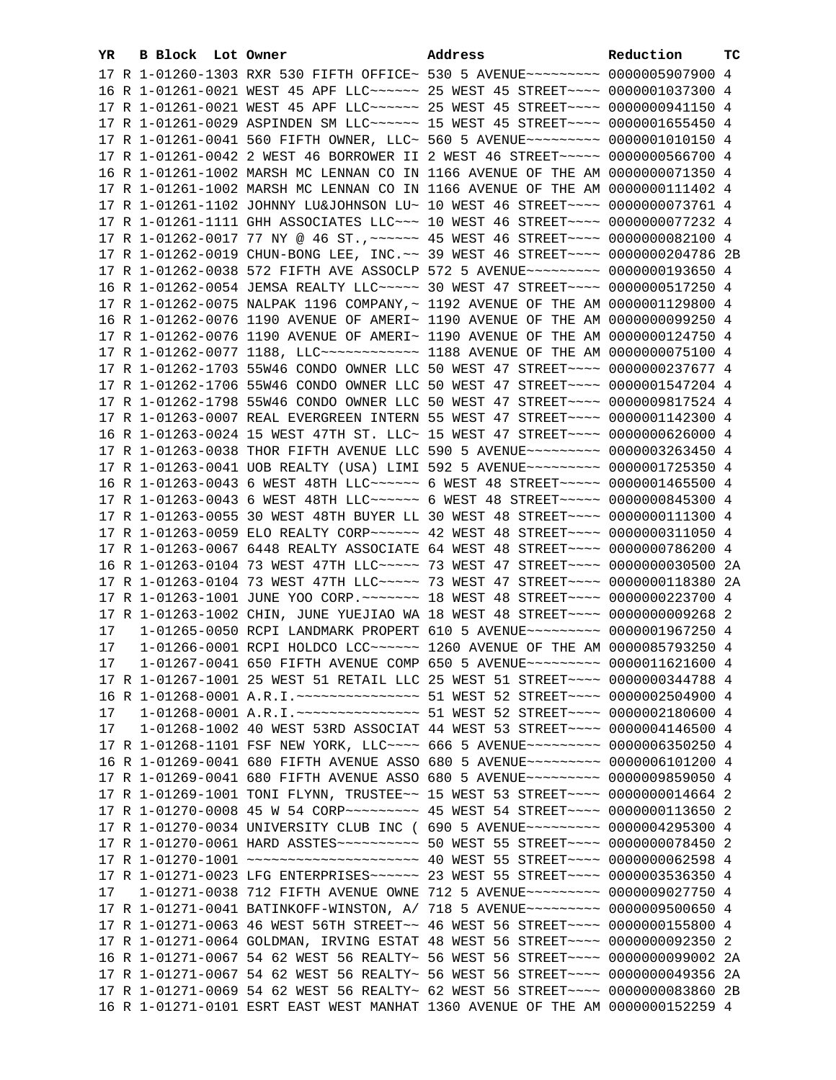| YR. | B Block Lot Owner |                                                                                                                                                      | Address | Reduction | тc |
|-----|-------------------|------------------------------------------------------------------------------------------------------------------------------------------------------|---------|-----------|----|
|     |                   | 17 R 1-01260-1303 RXR 530 FIFTH OFFICE~ 530 5 AVENUE~~~~~~~~~ 0000005907900 4                                                                        |         |           |    |
|     |                   | 16 R 1-01261-0021 WEST 45 APF LLC ----- 25 WEST 45 STREET --- 0000001037300 4                                                                        |         |           |    |
|     |                   | 17 R 1-01261-0021 WEST 45 APF LLC ----- 25 WEST 45 STREET --- 0000000941150 4                                                                        |         |           |    |
|     |                   | 17 R 1-01261-0029 ASPINDEN SM LLC ----- 15 WEST 45 STREET --- 0000001655450 4                                                                        |         |           |    |
|     |                   | 17 R 1-01261-0041 560 FIFTH OWNER, LLC~ 560 5 AVENUE~~~~~~~~~ 0000001010150 4                                                                        |         |           |    |
|     |                   | 17 R 1-01261-0042 2 WEST 46 BORROWER II 2 WEST 46 STREET~~~~~ 0000000566700 4                                                                        |         |           |    |
|     |                   |                                                                                                                                                      |         |           |    |
|     |                   | 16 R 1-01261-1002 MARSH MC LENNAN CO IN 1166 AVENUE OF THE AM 0000000071350 4                                                                        |         |           |    |
|     |                   | 17 R 1-01261-1002 MARSH MC LENNAN CO IN 1166 AVENUE OF THE AM 0000000111402 4                                                                        |         |           |    |
|     |                   | 17 R 1-01261-1102 JOHNNY LU&JOHNSON LU~ 10 WEST 46 STREET~~~~ 0000000073761 4                                                                        |         |           |    |
|     |                   | 17 R 1-01261-1111 GHH ASSOCIATES LLC~~~ 10 WEST 46 STREET~~~~ 0000000077232 4                                                                        |         |           |    |
|     |                   | 17 R 1-01262-0017 77 NY @ 46 ST., ~~~~~~ 45 WEST 46 STREET~~~~ 0000000082100 4                                                                       |         |           |    |
|     |                   | 17 R 1-01262-0019 CHUN-BONG LEE, INC. ~~ 39 WEST 46 STREET~~~~ 0000000204786 2B                                                                      |         |           |    |
|     |                   | 17 R 1-01262-0038 572 FIFTH AVE ASSOCLP 572 5 AVENUE~~~~~~~~~ 0000000193650 4                                                                        |         |           |    |
|     |                   | 16 R 1-01262-0054 JEMSA REALTY LLC ---- 30 WEST 47 STREET --- 0000000517250 4                                                                        |         |           |    |
|     |                   | 17 R 1-01262-0075 NALPAK 1196 COMPANY, ~ 1192 AVENUE OF THE AM 0000001129800 4                                                                       |         |           |    |
|     |                   | 16 R 1-01262-0076 1190 AVENUE OF AMERI~ 1190 AVENUE OF THE AM 0000000099250 4                                                                        |         |           |    |
|     |                   | 17 R 1-01262-0076 1190 AVENUE OF AMERI~ 1190 AVENUE OF THE AM 0000000124750 4                                                                        |         |           |    |
|     |                   | 17 R 1-01262-0077 1188, LLC ------------ 1188 AVENUE OF THE AM 0000000075100 4                                                                       |         |           |    |
|     |                   | 17 R 1-01262-1703 55W46 CONDO OWNER LLC 50 WEST 47 STREET~~~~ 0000000237677 4                                                                        |         |           |    |
|     |                   | 17 R 1-01262-1706 55W46 CONDO OWNER LLC 50 WEST 47 STREET~~~~ 0000001547204 4                                                                        |         |           |    |
|     |                   | 17 R 1-01262-1798 55W46 CONDO OWNER LLC 50 WEST 47 STREET~~~~ 0000009817524 4                                                                        |         |           |    |
|     |                   | 17 R 1-01263-0007 REAL EVERGREEN INTERN 55 WEST 47 STREET~~~~ 0000001142300 4                                                                        |         |           |    |
|     |                   | 16 R 1-01263-0024 15 WEST 47TH ST. LLC~ 15 WEST 47 STREET~~~~ 0000000626000 4                                                                        |         |           |    |
|     |                   | 17 R 1-01263-0038 THOR FIFTH AVENUE LLC 590 5 AVENUE~~~~~~~~~ 0000003263450 4                                                                        |         |           |    |
|     |                   | 17 R 1-01263-0041 UOB REALTY (USA) LIMI 592 5 AVENUE~~~~~~~~~ 0000001725350 4                                                                        |         |           |    |
|     |                   | 16 R 1-01263-0043 6 WEST 48TH LLC ----- 6 WEST 48 STREET ---- 0000001465500 4                                                                        |         |           |    |
|     |                   | 17 R 1-01263-0043 6 WEST 48TH LLC ----- 6 WEST 48 STREET ---- 0000000845300 4                                                                        |         |           |    |
|     |                   | 17 R 1-01263-0055 30 WEST 48TH BUYER LL 30 WEST 48 STREET~~~~ 0000000111300 4                                                                        |         |           |    |
|     |                   |                                                                                                                                                      |         |           |    |
|     |                   | 17 R 1-01263-0067 6448 REALTY ASSOCIATE 64 WEST 48 STREET~~~~ 0000000786200 4                                                                        |         |           |    |
|     |                   | 16 R 1-01263-0104 73 WEST 47TH LLC ----- 73 WEST 47 STREET ---- 0000000030500 2A                                                                     |         |           |    |
|     |                   | 17 R 1-01263-0104 73 WEST 47TH LLC ---- 73 WEST 47 STREET --- 0000000118380                                                                          |         |           | 2A |
|     |                   |                                                                                                                                                      |         |           |    |
|     |                   | 17 R 1-01263-1002 CHIN, JUNE YUEJIAO WA 18 WEST 48 STREET~~~~ 0000000009268 2                                                                        |         |           |    |
| 17  |                   | 1-01265-0050 RCPI LANDMARK PROPERT 610 5 AVENUE~~~~~~~~~ 0000001967250 4                                                                             |         |           |    |
| 17  |                   |                                                                                                                                                      |         |           |    |
| 17  |                   | 1-01266-0001 RCPI HOLDCO LCC~~~~~~ 1260 AVENUE OF THE AM 0000085793250 4<br>1-01267-0041 650 FIFTH AVENUE COMP 650 5 AVENUE~~~~~~~~~ 0000011621600 4 |         |           |    |
|     |                   |                                                                                                                                                      |         |           |    |
|     |                   | 17 R 1-01267-1001 25 WEST 51 RETAIL LLC 25 WEST 51 STREET~~~~ 0000000344788 4                                                                        |         |           |    |
|     |                   | 16 R 1-01268-0001 A.R.I. ~~~~~~~~~~~~~~~~~~~~ 51 WEST 52 STREET~~~~~ 0000002504900 4                                                                 |         |           |    |
| 17  |                   | 1-01268-0001 A.R.I.~~~~~~~~~~~~~~~~~~~~ 51 WEST 52 STREET~~~~~ 0000002180600 4                                                                       |         |           |    |
| 17  |                   | 1-01268-1002 40 WEST 53RD ASSOCIAT 44 WEST 53 STREET~~~~ 0000004146500 4                                                                             |         |           |    |
|     |                   | 17 R 1-01268-1101 FSF NEW YORK, LLC --- 666 5 AVENUE -------- 0000006350250 4                                                                        |         |           |    |
|     |                   | 16 R 1-01269-0041 680 FIFTH AVENUE ASSO 680 5 AVENUE~~~~~~~~~ 0000006101200 4                                                                        |         |           |    |
|     |                   | 17 R 1-01269-0041 680 FIFTH AVENUE ASSO 680 5 AVENUE~~~~~~~~~ 0000009859050 4                                                                        |         |           |    |
|     |                   | 17 R 1-01269-1001 TONI FLYNN, TRUSTEE~~ 15 WEST 53 STREET~~~~ 0000000014664 2                                                                        |         |           |    |
|     |                   | 17 R 1-01270-0008 45 W 54 CORP~~~~~~~~~ 45 WEST 54 STREET~~~~ 0000000113650 2                                                                        |         |           |    |
|     |                   | 17 R 1-01270-0034 UNIVERSITY CLUB INC ( 690 5 AVENUE~~~~~~~~~ 0000004295300 4                                                                        |         |           |    |
|     |                   | 17 R 1-01270-0061 HARD ASSTES ---------- 50 WEST 55 STREET ---- 0000000078450 2                                                                      |         |           |    |
|     |                   | 17 R 1-01270-1001 ~~~~~~~~~~~~~~~~~~~~~~~~~~ 40 WEST 55 STREET~~~~ 0000000062598 4                                                                   |         |           |    |
|     |                   |                                                                                                                                                      |         |           |    |
| 17  |                   | 1-01271-0038 712 FIFTH AVENUE OWNE 712 5 AVENUE~~~~~~~~~ 0000009027750 4                                                                             |         |           |    |
|     |                   | 17 R 1-01271-0041 BATINKOFF-WINSTON, A/ 718 5 AVENUE~~~~~~~~~ 0000009500650 4                                                                        |         |           |    |
|     |                   | 17 R 1-01271-0063 46 WEST 56TH STREET~~ 46 WEST 56 STREET~~~~ 0000000155800 4                                                                        |         |           |    |
|     |                   | 17 R 1-01271-0064 GOLDMAN, IRVING ESTAT 48 WEST 56 STREET~~~~ 0000000092350 2                                                                        |         |           |    |
|     |                   | 16 R 1-01271-0067 54 62 WEST 56 REALTY~ 56 WEST 56 STREET~~~~ 0000000099002 2A                                                                       |         |           |    |
|     |                   | 17 R 1-01271-0067 54 62 WEST 56 REALTY~ 56 WEST 56 STREET~~~~ 0000000049356 2A                                                                       |         |           |    |
|     |                   | 17 R 1-01271-0069 54 62 WEST 56 REALTY~ 62 WEST 56 STREET~~~~ 0000000083860 2B                                                                       |         |           |    |
|     |                   | 16 R 1-01271-0101 ESRT EAST WEST MANHAT 1360 AVENUE OF THE AM 0000000152259 4                                                                        |         |           |    |
|     |                   |                                                                                                                                                      |         |           |    |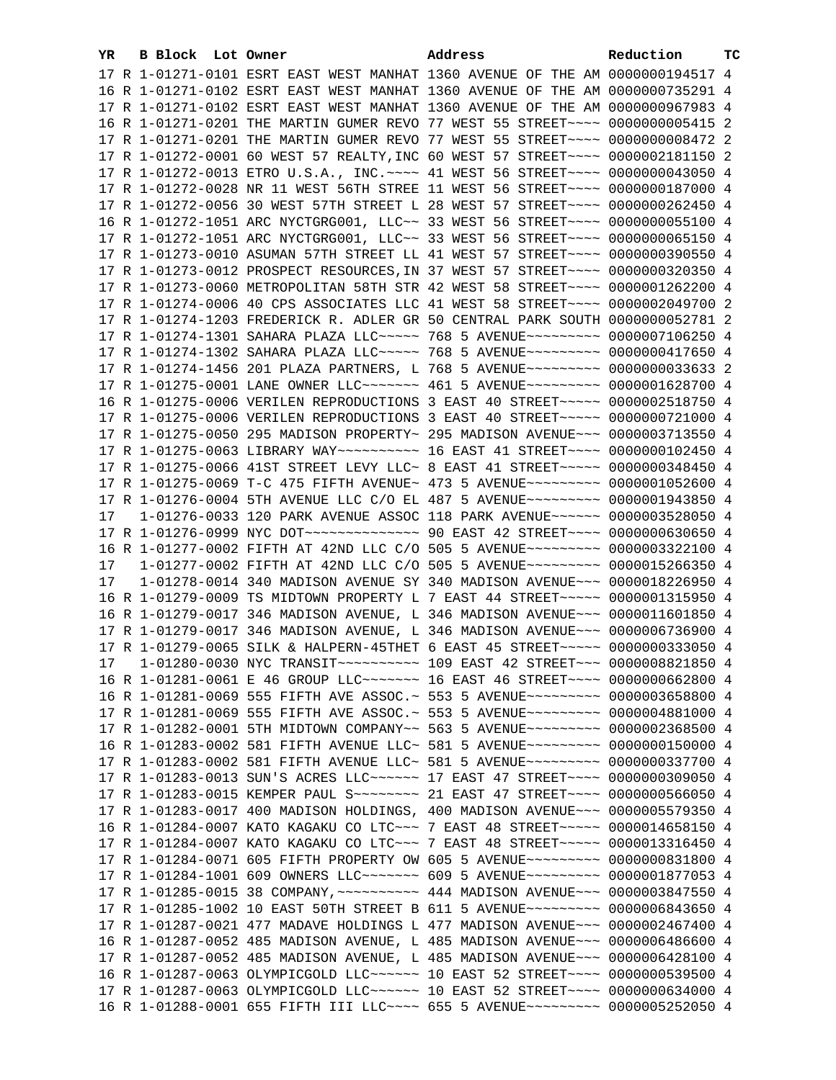| YR | B Block Lot Owner | Address                                                                             | Reduction | тC |
|----|-------------------|-------------------------------------------------------------------------------------|-----------|----|
|    |                   | 17 R 1-01271-0101 ESRT EAST WEST MANHAT 1360 AVENUE OF THE AM 0000000194517 4       |           |    |
|    |                   | 16 R 1-01271-0102 ESRT EAST WEST MANHAT 1360 AVENUE OF THE AM 0000000735291 4       |           |    |
|    |                   | 17 R 1-01271-0102 ESRT EAST WEST MANHAT 1360 AVENUE OF THE AM 0000000967983 4       |           |    |
|    |                   | 16 R 1-01271-0201 THE MARTIN GUMER REVO 77 WEST 55 STREET~~~~ 0000000005415 2       |           |    |
|    |                   | 17 R 1-01271-0201 THE MARTIN GUMER REVO 77 WEST 55 STREET~~~~ 0000000008472 2       |           |    |
|    |                   | 17 R 1-01272-0001 60 WEST 57 REALTY, INC 60 WEST 57 STREET~~~~ 0000002181150 2      |           |    |
|    |                   | 17 R 1-01272-0013 ETRO U.S.A., INC. ~~~~ 41 WEST 56 STREET~~~~ 0000000043050 4      |           |    |
|    |                   | 17 R 1-01272-0028 NR 11 WEST 56TH STREE 11 WEST 56 STREET~~~~ 0000000187000 4       |           |    |
|    |                   | 17 R 1-01272-0056 30 WEST 57TH STREET L 28 WEST 57 STREET~~~~ 0000000262450 4       |           |    |
|    |                   |                                                                                     |           |    |
|    |                   | 16 R 1-01272-1051 ARC NYCTGRG001, LLC~~ 33 WEST 56 STREET~~~~ 0000000055100 4       |           |    |
|    |                   | 17 R 1-01272-1051 ARC NYCTGRG001, LLC~~ 33 WEST 56 STREET~~~~ 0000000065150 4       |           |    |
|    |                   | 17 R 1-01273-0010 ASUMAN 57TH STREET LL 41 WEST 57 STREET~~~~ 0000000390550 4       |           |    |
|    |                   | 17 R 1-01273-0012 PROSPECT RESOURCES, IN 37 WEST 57 STREET~~~~ 0000000320350 4      |           |    |
|    |                   | 17 R 1-01273-0060 METROPOLITAN 58TH STR 42 WEST 58 STREET~~~~ 0000001262200 4       |           |    |
|    |                   | 17 R 1-01274-0006 40 CPS ASSOCIATES LLC 41 WEST 58 STREET~~~~ 0000002049700 2       |           |    |
|    |                   | 17 R 1-01274-1203 FREDERICK R. ADLER GR 50 CENTRAL PARK SOUTH 0000000052781 2       |           |    |
|    |                   | 17 R 1-01274-1301 SAHARA PLAZA LLC ---- 768 5 AVENUE -------- 0000007106250 4       |           |    |
|    |                   | 17 R 1-01274-1302 SAHARA PLAZA LLC~~~~~ 768 5 AVENUE~~~~~~~~~ 0000000417650 4       |           |    |
|    |                   | 17 R 1-01274-1456 201 PLAZA PARTNERS, L 768 5 AVENUE~~~~~~~~~ 0000000033633 2       |           |    |
|    |                   | 17 R 1-01275-0001 LANE OWNER LLC~~~~~~~ 461 5 AVENUE~~~~~~~~~ 0000001628700 4       |           |    |
|    |                   | 16 R 1-01275-0006 VERILEN REPRODUCTIONS 3 EAST 40 STREET~~~~~ 0000002518750 4       |           |    |
|    |                   | 17 R 1-01275-0006 VERILEN REPRODUCTIONS 3 EAST 40 STREET~~~~~ 0000000721000 4       |           |    |
|    |                   | 17 R 1-01275-0050 295 MADISON PROPERTY~ 295 MADISON AVENUE~~~ 0000003713550 4       |           |    |
|    |                   | 17 R 1-01275-0063 LIBRARY WAY~~~~~~~~~~~~~~~ 16 EAST 41 STREET~~~~~ 0000000102450 4 |           |    |
|    |                   | 17 R 1-01275-0066 41ST STREET LEVY LLC~ 8 EAST 41 STREET~~~~~~ 0000000348450 4      |           |    |
|    |                   | 17 R 1-01275-0069 T-C 475 FIFTH AVENUE~ 473 5 AVENUE~~~~~~~~~~ 0000001052600 4      |           |    |
|    |                   | 17 R 1-01276-0004 5TH AVENUE LLC C/O EL 487 5 AVENUE~~~~~~~~~ 0000001943850 4       |           |    |
| 17 |                   | 1-01276-0033 120 PARK AVENUE ASSOC 118 PARK AVENUE~~~~~~ 0000003528050 4            |           |    |
|    |                   | 17 R 1-01276-0999 NYC DOT --------------- 90 EAST 42 STREET ---- 0000000630650 4    |           |    |
|    |                   | 16 R 1-01277-0002 FIFTH AT 42ND LLC C/O 505 5 AVENUE~~~~~~~~~ 0000003322100 4       |           |    |
| 17 |                   | 1-01277-0002 FIFTH AT 42ND LLC C/O 505 5 AVENUE~~~~~~~~~ 0000015266350 4            |           |    |
| 17 |                   | 1-01278-0014 340 MADISON AVENUE SY 340 MADISON AVENUE~~~ 0000018226950 4            |           |    |
|    |                   | 16 R 1-01279-0009 TS MIDTOWN PROPERTY L 7 EAST 44 STREET~~~~~ 0000001315950 4       |           |    |
|    |                   | 16 R 1-01279-0017 346 MADISON AVENUE, L 346 MADISON AVENUE~~~ 0000011601850 4       |           |    |
|    |                   | 17 R 1-01279-0017 346 MADISON AVENUE, L 346 MADISON AVENUE~~~ 0000006736900 4       |           |    |
|    |                   | 17 R 1-01279-0065 SILK & HALPERN-45THET 6 EAST 45 STREET~~~~~ 0000000333050 4       |           |    |
|    |                   |                                                                                     |           |    |
|    |                   | 16 R 1-01281-0061 E 46 GROUP LLC ------- 16 EAST 46 STREET --- 0000000662800 4      |           |    |
|    |                   | 16 R 1-01281-0069 555 FIFTH AVE ASSOC.~ 553 5 AVENUE~~~~~~~~~ 0000003658800 4       |           |    |
|    |                   | 17 R 1-01281-0069 555 FIFTH AVE ASSOC.~ 553 5 AVENUE~~~~~~~~~ 0000004881000 4       |           |    |
|    |                   | 17 R 1-01282-0001 5TH MIDTOWN COMPANY~~ 563 5 AVENUE~~~~~~~~~ 0000002368500 4       |           |    |
|    |                   | 16 R 1-01283-0002 581 FIFTH AVENUE LLC~ 581 5 AVENUE~~~~~~~~~~ 0000000150000 4      |           |    |
|    |                   | 17 R 1-01283-0002 581 FIFTH AVENUE LLC~ 581 5 AVENUE~~~~~~~~~ 0000000337700 4       |           |    |
|    |                   | 17 R 1-01283-0013 SUN'S ACRES LLC ----- 17 EAST 47 STREET --- 0000000309050 4       |           |    |
|    |                   | 17 R 1-01283-0015 KEMPER PAUL S~~~~~~~~~ 21 EAST 47 STREET~~~~ 0000000566050 4      |           |    |
|    |                   | 17 R 1-01283-0017 400 MADISON HOLDINGS, 400 MADISON AVENUE~~~ 0000005579350 4       |           |    |
|    |                   | 16 R 1-01284-0007 KATO KAGAKU CO LTC~~~ 7 EAST 48 STREET~~~~~ 0000014658150 4       |           |    |
|    |                   | 17 R 1-01284-0007 KATO KAGAKU CO LTC~~~ 7 EAST 48 STREET~~~~~ 0000013316450 4       |           |    |
|    |                   | 17 R 1-01284-0071 605 FIFTH PROPERTY OW 605 5 AVENUE~~~~~~~~~ 0000000831800 4       |           |    |
|    |                   | 17 R 1-01284-1001 609 OWNERS LLC ------- 609 5 AVENUE --------- 0000001877053 4     |           |    |
|    |                   | 17 R 1-01285-0015 38 COMPANY, ~~~~~~~~~~ 444 MADISON AVENUE~~~ 0000003847550 4      |           |    |
|    |                   | 17 R 1-01285-1002 10 EAST 50TH STREET B 611 5 AVENUE~~~~~~~~~ 0000006843650 4       |           |    |
|    |                   | 17 R 1-01287-0021 477 MADAVE HOLDINGS L 477 MADISON AVENUE~~~ 0000002467400 4       |           |    |
|    |                   | 16 R 1-01287-0052 485 MADISON AVENUE, L 485 MADISON AVENUE~~~ 0000006486600 4       |           |    |
|    |                   | 17 R 1-01287-0052 485 MADISON AVENUE, L 485 MADISON AVENUE~~~ 0000006428100 4       |           |    |
|    |                   | 16 R 1-01287-0063 OLYMPICGOLD LLC ----- 10 EAST 52 STREET --- 0000000539500 4       |           |    |
|    |                   | 17 R 1-01287-0063 OLYMPICGOLD LLC ----- 10 EAST 52 STREET --- 0000000634000 4       |           |    |
|    |                   | 16 R 1-01288-0001 655 FIFTH III LLC~~~~ 655 5 AVENUE~~~~~~~~~ 0000005252050 4       |           |    |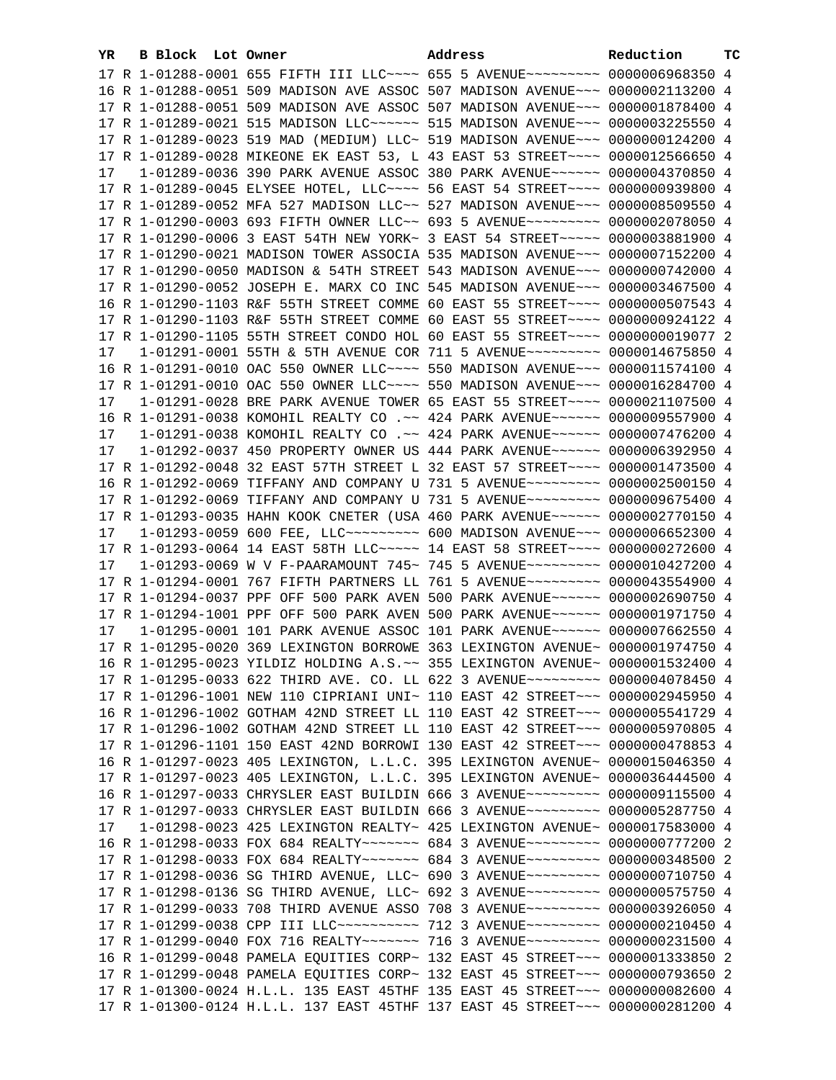| YR. | B Block Lot Owner | Address                                                                              | Reduction | ТC |
|-----|-------------------|--------------------------------------------------------------------------------------|-----------|----|
|     |                   | 17 R 1-01288-0001 655 FIFTH III LLC --- 655 5 AVENUE -------- 0000006968350 4        |           |    |
|     |                   | 16 R 1-01288-0051 509 MADISON AVE ASSOC 507 MADISON AVENUE~~~ 0000002113200 4        |           |    |
|     |                   | 17 R 1-01288-0051 509 MADISON AVE ASSOC 507 MADISON AVENUE~~~ 0000001878400 4        |           |    |
|     |                   | 17 R 1-01289-0021 515 MADISON LLC ----- 515 MADISON AVENUE -- 0000003225550 4        |           |    |
|     |                   | 17 R 1-01289-0023 519 MAD (MEDIUM) LLC~ 519 MADISON AVENUE~~~ 0000000124200 4        |           |    |
|     |                   | 17 R 1-01289-0028 MIKEONE EK EAST 53, L 43 EAST 53 STREET~~~~ 0000012566650 4        |           |    |
| 17  |                   | 1-01289-0036 390 PARK AVENUE ASSOC 380 PARK AVENUE~~~~~~ 0000004370850 4             |           |    |
|     |                   | 17 R 1-01289-0045 ELYSEE HOTEL, LLC --- 56 EAST 54 STREET --- 0000000939800 4        |           |    |
|     |                   | 17 R 1-01289-0052 MFA 527 MADISON LLC~~ 527 MADISON AVENUE~~~ 0000008509550 4        |           |    |
|     |                   |                                                                                      |           |    |
|     |                   | 17 R 1-01290-0003 693 FIFTH OWNER LLC~~ 693 5 AVENUE~~~~~~~~~ 0000002078050 4        |           |    |
|     |                   | 17 R 1-01290-0006 3 EAST 54TH NEW YORK~ 3 EAST 54 STREET~~~~~ 0000003881900 4        |           |    |
|     |                   | 17 R 1-01290-0021 MADISON TOWER ASSOCIA 535 MADISON AVENUE~~~ 0000007152200 4        |           |    |
|     |                   | 17 R 1-01290-0050 MADISON & 54TH STREET 543 MADISON AVENUE~~~ 0000000742000 4        |           |    |
|     |                   | 17 R 1-01290-0052 JOSEPH E. MARX CO INC 545 MADISON AVENUE~~~ 0000003467500 4        |           |    |
|     |                   | 16 R 1-01290-1103 R&F 55TH STREET COMME 60 EAST 55 STREET~~~~ 0000000507543 4        |           |    |
|     |                   | 17 R 1-01290-1103 R&F 55TH STREET COMME 60 EAST 55 STREET~~~~ 0000000924122 4        |           |    |
|     |                   | 17 R 1-01290-1105 55TH STREET CONDO HOL 60 EAST 55 STREET~~~~ 0000000019077 2        |           |    |
| 17  |                   | 1-01291-0001 55TH & 5TH AVENUE COR 711 5 AVENUE~~~~~~~~~ 0000014675850 4             |           |    |
|     |                   | 16 R 1-01291-0010 OAC 550 OWNER LLC~~~~ 550 MADISON AVENUE~~~ 0000011574100 4        |           |    |
|     |                   | 17 R 1-01291-0010 OAC 550 OWNER LLC~~~~ 550 MADISON AVENUE~~~ 0000016284700 4        |           |    |
| 17  |                   | 1-01291-0028 BRE PARK AVENUE TOWER 65 EAST 55 STREET~~~~ 0000021107500 4             |           |    |
|     |                   | 16 R 1-01291-0038 KOMOHIL REALTY CO .~~ 424 PARK AVENUE~~~~~~ 0000009557900 4        |           |    |
| 17  |                   | 1-01291-0038 KOMOHIL REALTY CO .~~ 424 PARK AVENUE~~~~~~ 0000007476200 4             |           |    |
| 17  |                   | 1-01292-0037 450 PROPERTY OWNER US 444 PARK AVENUE~~~~~~ 0000006392950 4             |           |    |
|     |                   | 17 R 1-01292-0048 32 EAST 57TH STREET L 32 EAST 57 STREET~~~~ 0000001473500 4        |           |    |
|     |                   | 16 R 1-01292-0069 TIFFANY AND COMPANY U 731 5 AVENUE~~~~~~~~~ 0000002500150 4        |           |    |
|     |                   | 17 R 1-01292-0069 TIFFANY AND COMPANY U 731 5 AVENUE~~~~~~~~~ 0000009675400 4        |           |    |
|     |                   | 17 R 1-01293-0035 HAHN KOOK CNETER (USA 460 PARK AVENUE~~~~~~ 0000002770150 4        |           |    |
| 17  |                   | 1-01293-0059 600 FEE, LLC -------- 600 MADISON AVENUE -- 0000006652300 4             |           |    |
|     |                   | 17 R 1-01293-0064 14 EAST 58TH LLC ---- 14 EAST 58 STREET --- 0000000272600 4        |           |    |
| 17  |                   | 1-01293-0069 W V F-PAARAMOUNT 745~ 745 5 AVENUE~~~~~~~~~~ 0000010427200 4            |           |    |
|     |                   | 17 R 1-01294-0001 767 FIFTH PARTNERS LL 761 5 AVENUE~~~~~~~~~ 0000043554900 4        |           |    |
|     |                   | 17 R 1-01294-0037 PPF OFF 500 PARK AVEN 500 PARK AVENUE~~~~~~ 0000002690750 4        |           |    |
|     |                   | 17 R 1-01294-1001 PPF OFF 500 PARK AVEN 500 PARK AVENUE~~~~~~ 0000001971750 4        |           |    |
| 17  |                   | 1-01295-0001 101 PARK AVENUE ASSOC 101 PARK AVENUE~~~~~~ 0000007662550 4             |           |    |
|     |                   | 17 R 1-01295-0020 369 LEXINGTON BORROWE 363 LEXINGTON AVENUE~ 0000001974750 4        |           |    |
|     |                   | 16 R 1-01295-0023 YILDIZ HOLDING A.S. ~~ 355 LEXINGTON AVENUE~ 0000001532400 4       |           |    |
|     |                   | 17 R 1-01295-0033 622 THIRD AVE. CO. LL 622 3 AVENUE~~~~~~~~~ 0000004078450 4        |           |    |
|     |                   | 17 R 1-01296-1001 NEW 110 CIPRIANI UNI~ 110 EAST 42 STREET~~~ 0000002945950 4        |           |    |
|     |                   | 16 R 1-01296-1002 GOTHAM 42ND STREET LL 110 EAST 42 STREET~~~ 0000005541729 4        |           |    |
|     |                   | 17 R 1-01296-1002 GOTHAM 42ND STREET LL 110 EAST 42 STREET~~~ 0000005970805 4        |           |    |
|     |                   | 17 R 1-01296-1101 150 EAST 42ND BORROWI 130 EAST 42 STREET~~~ 0000000478853 4        |           |    |
|     |                   | 16 R 1-01297-0023 405 LEXINGTON, L.L.C. 395 LEXINGTON AVENUE~ 0000015046350 4        |           |    |
|     |                   | 17 R 1-01297-0023 405 LEXINGTON, L.L.C. 395 LEXINGTON AVENUE~ 0000036444500 4        |           |    |
|     |                   | 16 R 1-01297-0033 CHRYSLER EAST BUILDIN 666 3 AVENUE~~~~~~~~~ 0000009115500 4        |           |    |
|     |                   | 17 R 1-01297-0033 CHRYSLER EAST BUILDIN 666 3 AVENUE~~~~~~~~~ 0000005287750 4        |           |    |
| 17  |                   | $1-01298-0023$ 425 LEXINGTON REALTY~ 425 LEXINGTON AVENUE~ 0000017583000 4           |           |    |
|     |                   | 16 R 1-01298-0033 FOX 684 REALTY~~~~~~~~ 684 3 AVENUE~~~~~~~~~ 0000000777200 2       |           |    |
|     |                   | 17 R 1-01298-0033 FOX 684 REALTY~~~~~~~ 684 3 AVENUE~~~~~~~~~ 0000000348500 2        |           |    |
|     |                   |                                                                                      |           |    |
|     |                   | 17 R 1-01298-0036 SG THIRD AVENUE, LLC~ 690 3 AVENUE~~~~~~~~~ 0000000710750 4        |           |    |
|     |                   | 17 R 1-01298-0136 SG THIRD AVENUE, LLC~ 692 3 AVENUE~~~~~~~~~ 0000000575750 4        |           |    |
|     |                   | 17 R 1-01299-0033 708 THIRD AVENUE ASSO 708 3 AVENUE~~~~~~~~~ 0000003926050 4        |           |    |
|     |                   | 17 R 1-01299-0038 CPP III LLC~~~~~~~~~~~~~~~~ 712 3 AVENUE~~~~~~~~~~ 0000000210450 4 |           |    |
|     |                   | 17 R 1-01299-0040 FOX 716 REALTY~~~~~~~~ 716 3 AVENUE~~~~~~~~~ 0000000231500 4       |           |    |
|     |                   | 16 R 1-01299-0048 PAMELA EQUITIES CORP~ 132 EAST 45 STREET~~~ 0000001333850 2        |           |    |
|     |                   | 17 R 1-01299-0048 PAMELA EQUITIES CORP~ 132 EAST 45 STREET~~~ 0000000793650 2        |           |    |
|     |                   | 17 R 1-01300-0024 H.L.L. 135 EAST 45THF 135 EAST 45 STREET~~~ 0000000082600 4        |           |    |
|     |                   | 17 R 1-01300-0124 H.L.L. 137 EAST 45THF 137 EAST 45 STREET~~~ 0000000281200 4        |           |    |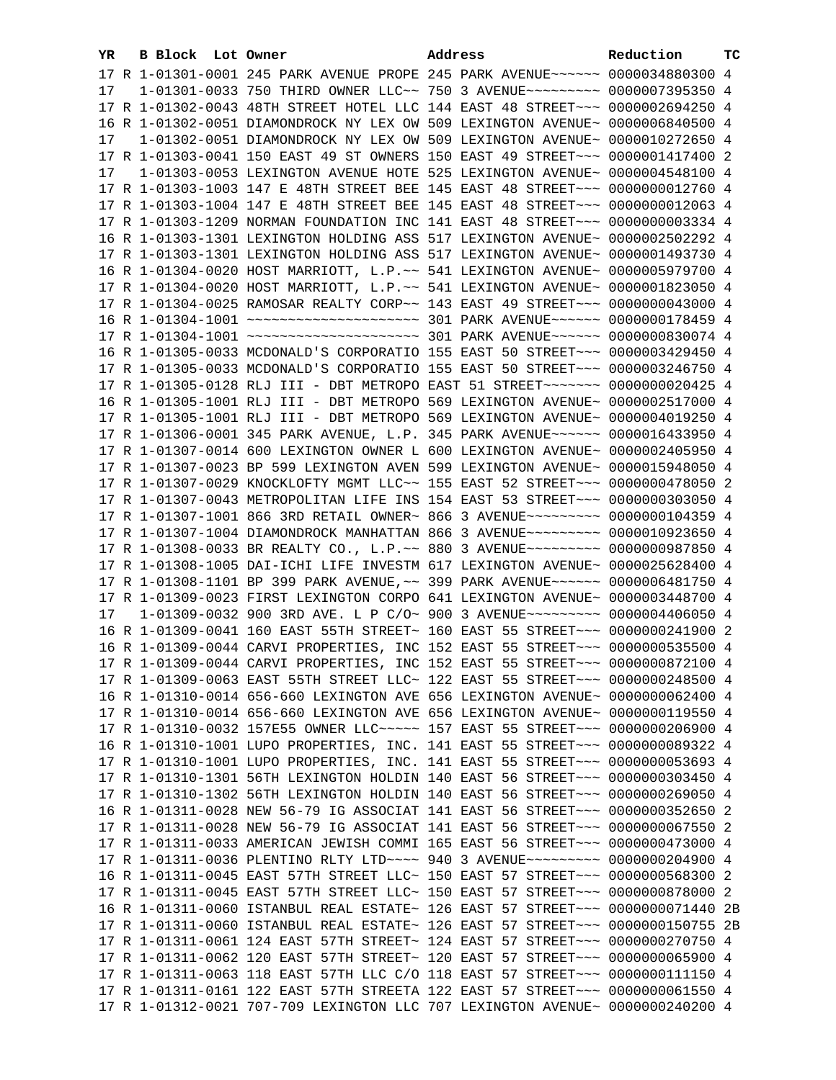| YR. | <b>B Block Lot Owner</b> | Address                                                                         | Reduction | тc |
|-----|--------------------------|---------------------------------------------------------------------------------|-----------|----|
|     |                          | 17 R 1-01301-0001 245 PARK AVENUE PROPE 245 PARK AVENUE~~~~~~ 0000034880300 4   |           |    |
| 17  |                          | 1-01301-0033 750 THIRD OWNER LLC~~ 750 3 AVENUE~~~~~~~~~ 0000007395350 4        |           |    |
|     |                          | 17 R 1-01302-0043 48TH STREET HOTEL LLC 144 EAST 48 STREET~~~ 0000002694250 4   |           |    |
|     |                          | 16 R 1-01302-0051 DIAMONDROCK NY LEX OW 509 LEXINGTON AVENUE~ 0000006840500 4   |           |    |
| 17  |                          | 1-01302-0051 DIAMONDROCK NY LEX OW 509 LEXINGTON AVENUE~ 0000010272650 4        |           |    |
|     |                          | 17 R 1-01303-0041 150 EAST 49 ST OWNERS 150 EAST 49 STREET~~~ 0000001417400 2   |           |    |
| 17  |                          | 1-01303-0053 LEXINGTON AVENUE HOTE 525 LEXINGTON AVENUE~ 0000004548100 4        |           |    |
|     |                          | 17 R 1-01303-1003 147 E 48TH STREET BEE 145 EAST 48 STREET~~~ 0000000012760 4   |           |    |
|     |                          | 17 R 1-01303-1004 147 E 48TH STREET BEE 145 EAST 48 STREET~~~ 0000000012063 4   |           |    |
|     |                          | 17 R 1-01303-1209 NORMAN FOUNDATION INC 141 EAST 48 STREET~~~ 0000000003334 4   |           |    |
|     |                          |                                                                                 |           |    |
|     |                          | 16 R 1-01303-1301 LEXINGTON HOLDING ASS 517 LEXINGTON AVENUE~ 0000002502292 4   |           |    |
|     |                          | 17 R 1-01303-1301 LEXINGTON HOLDING ASS 517 LEXINGTON AVENUE~ 0000001493730 4   |           |    |
|     |                          | 16 R 1-01304-0020 HOST MARRIOTT, L.P.~~ 541 LEXINGTON AVENUE~ 0000005979700 4   |           |    |
|     |                          | 17 R 1-01304-0020 HOST MARRIOTT, L.P.~~ 541 LEXINGTON AVENUE~ 0000001823050 4   |           |    |
|     |                          | 17 R 1-01304-0025 RAMOSAR REALTY CORP~~ 143 EAST 49 STREET~~~ 0000000043000 4   |           |    |
|     |                          |                                                                                 |           |    |
|     |                          |                                                                                 |           |    |
|     |                          | 16 R 1-01305-0033 MCDONALD'S CORPORATIO 155 EAST 50 STREET~~~ 0000003429450 4   |           |    |
|     |                          | 17 R 1-01305-0033 MCDONALD'S CORPORATIO 155 EAST 50 STREET~~~ 0000003246750 4   |           |    |
|     |                          | 17 R 1-01305-0128 RLJ III - DBT METROPO EAST 51 STREET~~~~~~~~ 0000000020425 4  |           |    |
|     |                          | 16 R 1-01305-1001 RLJ III - DBT METROPO 569 LEXINGTON AVENUE~ 0000002517000 4   |           |    |
|     |                          | 17 R 1-01305-1001 RLJ III - DBT METROPO 569 LEXINGTON AVENUE~ 0000004019250 4   |           |    |
|     |                          | 17 R 1-01306-0001 345 PARK AVENUE, L.P. 345 PARK AVENUE~~~~~~ 0000016433950 4   |           |    |
|     |                          | 17 R 1-01307-0014 600 LEXINGTON OWNER L 600 LEXINGTON AVENUE~ 0000002405950 4   |           |    |
|     |                          | 17 R 1-01307-0023 BP 599 LEXINGTON AVEN 599 LEXINGTON AVENUE~ 0000015948050 4   |           |    |
|     |                          | 17 R 1-01307-0029 KNOCKLOFTY MGMT LLC~~ 155 EAST 52 STREET~~~ 0000000478050 2   |           |    |
|     |                          | 17 R 1-01307-0043 METROPOLITAN LIFE INS 154 EAST 53 STREET~~~ 0000000303050 4   |           |    |
|     |                          | 17 R 1-01307-1001 866 3RD RETAIL OWNER~ 866 3 AVENUE~~~~~~~~~ 0000000104359 4   |           |    |
|     |                          | 17 R 1-01307-1004 DIAMONDROCK MANHATTAN 866 3 AVENUE~~~~~~~~~ 0000010923650 4   |           |    |
|     |                          | 17 R 1-01308-0033 BR REALTY CO., L.P.~~ 880 3 AVENUE~~~~~~~~~ 0000000987850 4   |           |    |
|     |                          | 17 R 1-01308-1005 DAI-ICHI LIFE INVESTM 617 LEXINGTON AVENUE~ 0000025628400 4   |           |    |
|     |                          | 17 R 1-01308-1101 BP 399 PARK AVENUE, ~~ 399 PARK AVENUE~~~~~~ 0000006481750 4  |           |    |
|     |                          | 17 R 1-01309-0023 FIRST LEXINGTON CORPO 641 LEXINGTON AVENUE~ 0000003448700 4   |           |    |
| 17  |                          | 1-01309-0032 900 3RD AVE. L P C/O~ 900 3 AVENUE~~~~~~~~~ 0000004406050 4        |           |    |
|     |                          | 16 R 1-01309-0041 160 EAST 55TH STREET~ 160 EAST 55 STREET~~~ 0000000241900 2   |           |    |
|     |                          | 16 R 1-01309-0044 CARVI PROPERTIES, INC 152 EAST 55 STREET~~~ 0000000535500 4   |           |    |
|     |                          | 17 R 1-01309-0044 CARVI PROPERTIES, INC 152 EAST 55 STREET~~~ 0000000872100 4   |           |    |
|     |                          | 17 R 1-01309-0063 EAST 55TH STREET LLC~ 122 EAST 55 STREET~~~ 0000000248500 4   |           |    |
|     |                          | 16 R 1-01310-0014 656-660 LEXINGTON AVE 656 LEXINGTON AVENUE~ 0000000062400 4   |           |    |
|     |                          | 17 R 1-01310-0014 656-660 LEXINGTON AVE 656 LEXINGTON AVENUE~ 0000000119550 4   |           |    |
|     |                          | 17 R 1-01310-0032 157E55 OWNER LLC ---- 157 EAST 55 STREET -- 0000000206900 4   |           |    |
|     |                          | 16 R 1-01310-1001 LUPO PROPERTIES, INC. 141 EAST 55 STREET~~~ 0000000089322 4   |           |    |
|     |                          | 17 R 1-01310-1001 LUPO PROPERTIES, INC. 141 EAST 55 STREET~~~ 0000000053693 4   |           |    |
|     |                          | 17 R 1-01310-1301 56TH LEXINGTON HOLDIN 140 EAST 56 STREET~~~ 0000000303450 4   |           |    |
|     |                          | 17 R 1-01310-1302 56TH LEXINGTON HOLDIN 140 EAST 56 STREET~~~ 0000000269050 4   |           |    |
|     |                          | 16 R 1-01311-0028 NEW 56-79 IG ASSOCIAT 141 EAST 56 STREET~~~ 0000000352650 2   |           |    |
|     |                          | 17 R 1-01311-0028 NEW 56-79 IG ASSOCIAT 141 EAST 56 STREET~~~ 0000000067550 2   |           |    |
|     |                          | 17 R 1-01311-0033 AMERICAN JEWISH COMMI 165 EAST 56 STREET~~~ 0000000473000 4   |           |    |
|     |                          | 17 R 1-01311-0036 PLENTINO RLTY LTD --- 940 3 AVENUE ------- 0000000204900 4    |           |    |
|     |                          | 16 R 1-01311-0045 EAST 57TH STREET LLC~ 150 EAST 57 STREET~~~ 0000000568300 2   |           |    |
|     |                          | 17 R 1-01311-0045 EAST 57TH STREET LLC~ 150 EAST 57 STREET~~~ 0000000878000 2   |           |    |
|     |                          | 16 R 1-01311-0060 ISTANBUL REAL ESTATE~ 126 EAST 57 STREET~~~ 00000000071440 2B |           |    |
|     |                          | 17 R 1-01311-0060 ISTANBUL REAL ESTATE~ 126 EAST 57 STREET~~~ 0000000150755 2B  |           |    |
|     |                          | 17 R 1-01311-0061 124 EAST 57TH STREET~ 124 EAST 57 STREET~~~ 0000000270750 4   |           |    |
|     |                          | 17 R 1-01311-0062 120 EAST 57TH STREET~ 120 EAST 57 STREET~~~ 0000000065900 4   |           |    |
|     |                          | 17 R 1-01311-0063 118 EAST 57TH LLC C/O 118 EAST 57 STREET~~~ 0000000111150 4   |           |    |
|     |                          | 17 R 1-01311-0161 122 EAST 57TH STREETA 122 EAST 57 STREET~~~ 0000000061550 4   |           |    |
|     |                          | 17 R 1-01312-0021 707-709 LEXINGTON LLC 707 LEXINGTON AVENUE~ 0000000240200 4   |           |    |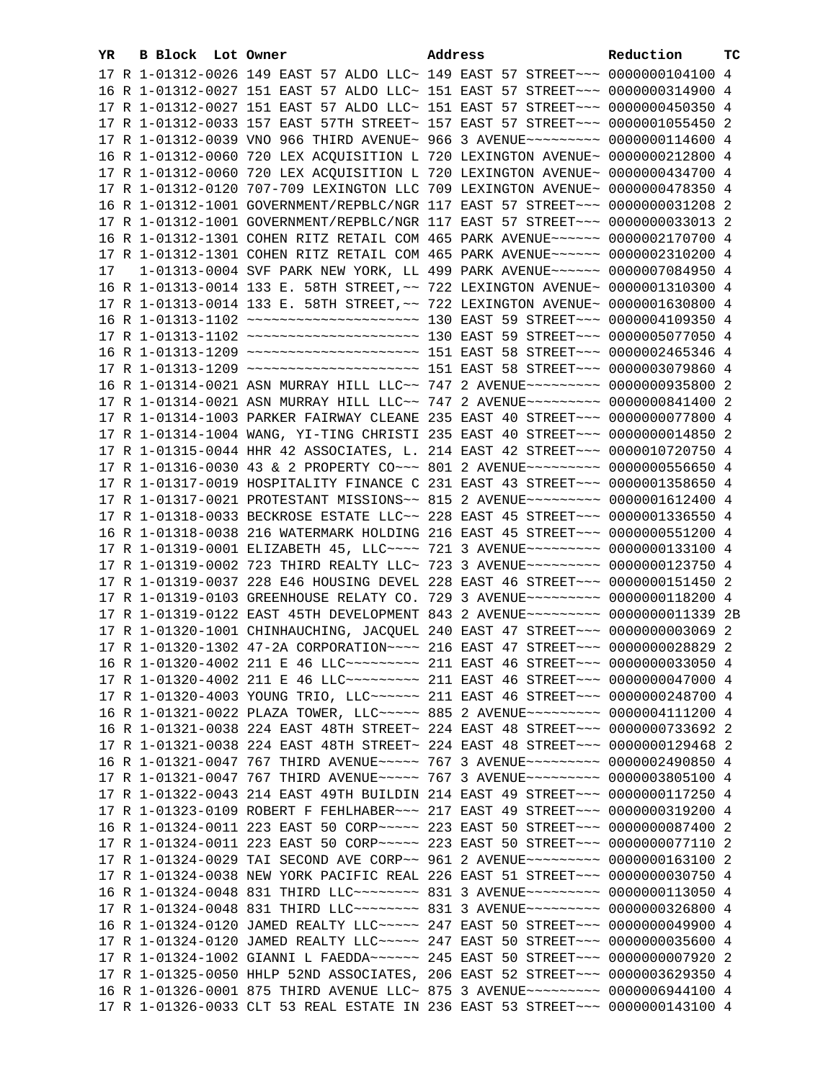| YR. | B Block Lot Owner |                                                                                  | Address | Reduction | тc |
|-----|-------------------|----------------------------------------------------------------------------------|---------|-----------|----|
|     |                   | 17 R 1-01312-0026 149 EAST 57 ALDO LLC~ 149 EAST 57 STREET~~~ 0000000104100 4    |         |           |    |
|     |                   | 16 R 1-01312-0027 151 EAST 57 ALDO LLC~ 151 EAST 57 STREET~~~ 0000000314900 4    |         |           |    |
|     |                   | 17 R 1-01312-0027 151 EAST 57 ALDO LLC~ 151 EAST 57 STREET~~~ 0000000450350 4    |         |           |    |
|     |                   | 17 R 1-01312-0033 157 EAST 57TH STREET~ 157 EAST 57 STREET~~~ 0000001055450 2    |         |           |    |
|     |                   | 17 R 1-01312-0039 VNO 966 THIRD AVENUE~ 966 3 AVENUE~~~~~~~~~ 0000000114600 4    |         |           |    |
|     |                   | 16 R 1-01312-0060 720 LEX ACQUISITION L 720 LEXINGTON AVENUE~ 0000000212800 4    |         |           |    |
|     |                   | 17 R 1-01312-0060 720 LEX ACQUISITION L 720 LEXINGTON AVENUE~ 0000000434700 4    |         |           |    |
|     |                   | 17 R 1-01312-0120 707-709 LEXINGTON LLC 709 LEXINGTON AVENUE~ 0000000478350 4    |         |           |    |
|     |                   | 16 R 1-01312-1001 GOVERNMENT/REPBLC/NGR 117 EAST 57 STREET~~~ 0000000031208 2    |         |           |    |
|     |                   | 17 R 1-01312-1001 GOVERNMENT/REPBLC/NGR 117 EAST 57 STREET~~~ 0000000033013 2    |         |           |    |
|     |                   | 16 R 1-01312-1301 COHEN RITZ RETAIL COM 465 PARK AVENUE~~~~~~ 0000002170700 4    |         |           |    |
|     |                   | 17 R 1-01312-1301 COHEN RITZ RETAIL COM 465 PARK AVENUE~~~~~~ 0000002310200 4    |         |           |    |
|     |                   | 1-01313-0004 SVF PARK NEW YORK, LL 499 PARK AVENUE~~~~~~ 0000007084950 4         |         |           |    |
| 17  |                   |                                                                                  |         |           |    |
|     |                   | 16 R 1-01313-0014 133 E. 58TH STREET, ~~ 722 LEXINGTON AVENUE~ 0000001310300 4   |         |           |    |
|     |                   | 17 R 1-01313-0014 133 E. 58TH STREET, ~~ 722 LEXINGTON AVENUE~ 0000001630800 4   |         |           |    |
|     |                   |                                                                                  |         |           |    |
|     |                   |                                                                                  |         |           |    |
|     |                   |                                                                                  |         |           |    |
|     |                   |                                                                                  |         |           |    |
|     |                   | 16 R 1-01314-0021 ASN MURRAY HILL LLC~~ 747 2 AVENUE~~~~~~~~~ 0000000935800 2    |         |           |    |
|     |                   | 17 R 1-01314-0021 ASN MURRAY HILL LLC~~ 747 2 AVENUE~~~~~~~~~ 0000000841400 2    |         |           |    |
|     |                   | 17 R 1-01314-1003 PARKER FAIRWAY CLEANE 235 EAST 40 STREET~~~ 0000000077800 4    |         |           |    |
|     |                   | 17 R 1-01314-1004 WANG, YI-TING CHRISTI 235 EAST 40 STREET~~~ 0000000014850 2    |         |           |    |
|     |                   | 17 R 1-01315-0044 HHR 42 ASSOCIATES, L. 214 EAST 42 STREET~~~ 0000010720750 4    |         |           |    |
|     |                   | 17 R 1-01316-0030 43 & 2 PROPERTY CO~~~ 801 2 AVENUE~~~~~~~~~ 0000000556650 4    |         |           |    |
|     |                   | 17 R 1-01317-0019 HOSPITALITY FINANCE C 231 EAST 43 STREET~~~ 0000001358650 4    |         |           |    |
|     |                   | 17 R 1-01317-0021 PROTESTANT MISSIONS~~ 815 2 AVENUE~~~~~~~~~ 0000001612400 4    |         |           |    |
|     |                   | 17 R 1-01318-0033 BECKROSE ESTATE LLC~~ 228 EAST 45 STREET~~~ 0000001336550 4    |         |           |    |
|     |                   | 16 R 1-01318-0038 216 WATERMARK HOLDING 216 EAST 45 STREET~~~ 0000000551200 4    |         |           |    |
|     |                   | 17 R 1-01319-0001 ELIZABETH 45, LLC --- 721 3 AVENUE -------- 0000000133100 4    |         |           |    |
|     |                   | 17 R 1-01319-0002 723 THIRD REALTY LLC~ 723 3 AVENUE~~~~~~~~~ 0000000123750 4    |         |           |    |
|     |                   | 17 R 1-01319-0037 228 E46 HOUSING DEVEL 228 EAST 46 STREET~~~ 0000000151450 2    |         |           |    |
|     |                   | 17 R 1-01319-0103 GREENHOUSE RELATY CO. 729 3 AVENUE~~~~~~~~~ 0000000118200 4    |         |           |    |
|     |                   | 17 R 1-01319-0122 EAST 45TH DEVELOPMENT 843 2 AVENUE~~~~~~~~~~ 00000000011339 2B |         |           |    |
|     |                   | 17 R 1-01320-1001 CHINHAUCHING, JACQUEL 240 EAST 47 STREET~~~ 0000000003069 2    |         |           |    |
|     |                   | 17 R 1-01320-1302 47-2A CORPORATION~~~~ 216 EAST 47 STREET~~~ 0000000028829 2    |         |           |    |
|     |                   | 16 R 1-01320-4002 211 E 46 LLC --------- 211 EAST 46 STREET --- 0000000033050 4  |         |           |    |
|     |                   | 17 R 1-01320-4002 211 E 46 LLC --------- 211 EAST 46 STREET -- 0000000047000 4   |         |           |    |
|     |                   | 17 R 1-01320-4003 YOUNG TRIO, LLC ----- 211 EAST 46 STREET -- 0000000248700 4    |         |           |    |
|     |                   | 16 R 1-01321-0022 PLAZA TOWER, LLC ---- 885 2 AVENUE -------- 0000004111200 4    |         |           |    |
|     |                   | 16 R 1-01321-0038 224 EAST 48TH STREET~ 224 EAST 48 STREET~~~ 0000000733692 2    |         |           |    |
|     |                   | 17 R 1-01321-0038 224 EAST 48TH STREET~ 224 EAST 48 STREET~~~ 0000000129468 2    |         |           |    |
|     |                   | 16 R 1-01321-0047 767 THIRD AVENUE~~~~~ 767 3 AVENUE~~~~~~~~~ 0000002490850 4    |         |           |    |
|     |                   | 17 R 1-01321-0047 767 THIRD AVENUE~~~~~ 767 3 AVENUE~~~~~~~~~ 0000003805100 4    |         |           |    |
|     |                   | 17 R 1-01322-0043 214 EAST 49TH BUILDIN 214 EAST 49 STREET~~~ 0000000117250 4    |         |           |    |
|     |                   | 17 R 1-01323-0109 ROBERT F FEHLHABER~~~ 217 EAST 49 STREET~~~ 0000000319200 4    |         |           |    |
|     |                   | 16 R 1-01324-0011 223 EAST 50 CORP~~~~~ 223 EAST 50 STREET~~~ 0000000087400 2    |         |           |    |
|     |                   | 17 R 1-01324-0011 223 EAST 50 CORP~~~~~ 223 EAST 50 STREET~~~ 0000000077110 2    |         |           |    |
|     |                   | 17 R 1-01324-0029 TAI SECOND AVE CORP~~ 961 2 AVENUE~~~~~~~~~ 0000000163100 2    |         |           |    |
|     |                   | 17 R 1-01324-0038 NEW YORK PACIFIC REAL 226 EAST 51 STREET~~~ 0000000030750 4    |         |           |    |
|     |                   | 16 R 1-01324-0048 831 THIRD LLC -------- 831 3 AVENUE --------- 0000000113050 4  |         |           |    |
|     |                   | 17 R 1-01324-0048 831 THIRD LLC -------- 831 3 AVENUE --------- 0000000326800 4  |         |           |    |
|     |                   | 16 R 1-01324-0120 JAMED REALTY LLC~~~~~ 247 EAST 50 STREET~~~ 0000000049900 4    |         |           |    |
|     |                   | 17 R 1-01324-0120 JAMED REALTY LLC~~~~~ 247 EAST 50 STREET~~~ 0000000035600 4    |         |           |    |
|     |                   | 17 R 1-01324-1002 GIANNI L FAEDDA~~~~~~ 245 EAST 50 STREET~~~ 0000000007920 2    |         |           |    |
|     |                   | 17 R 1-01325-0050 HHLP 52ND ASSOCIATES, 206 EAST 52 STREET~~~ 0000003629350 4    |         |           |    |
|     |                   | 16 R 1-01326-0001 875 THIRD AVENUE LLC~ 875 3 AVENUE~~~~~~~~~~ 0000006944100 4   |         |           |    |
|     |                   | 17 R 1-01326-0033 CLT 53 REAL ESTATE IN 236 EAST 53 STREET~~~ 0000000143100 4    |         |           |    |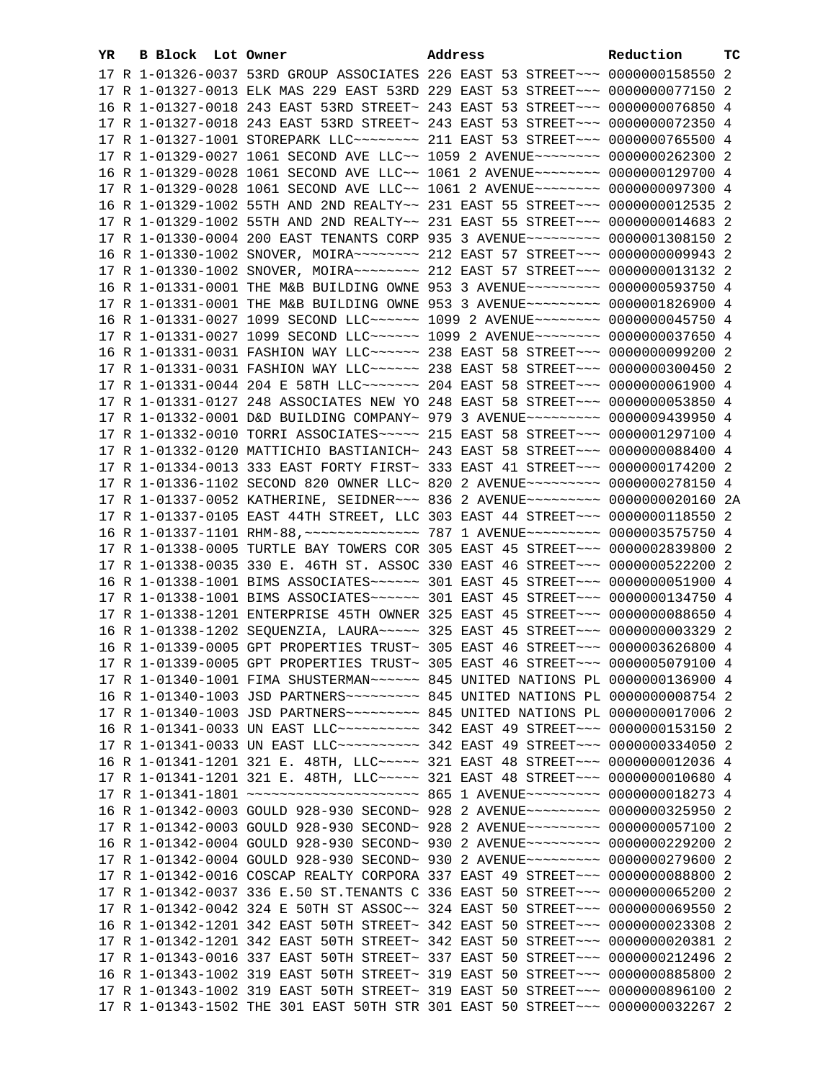| YR. | B Block Lot Owner |                                                                                                                                                                | Address | Reduction | тc |
|-----|-------------------|----------------------------------------------------------------------------------------------------------------------------------------------------------------|---------|-----------|----|
|     |                   | 17 R 1-01326-0037 53RD GROUP ASSOCIATES 226 EAST 53 STREET~~~ 0000000158550 2                                                                                  |         |           |    |
|     |                   | 17 R 1-01327-0013 ELK MAS 229 EAST 53RD 229 EAST 53 STREET~~~ 0000000077150 2                                                                                  |         |           |    |
|     |                   | 16 R 1-01327-0018 243 EAST 53RD STREET~ 243 EAST 53 STREET~~~ 0000000076850 4                                                                                  |         |           |    |
|     |                   | 17 R 1-01327-0018 243 EAST 53RD STREET~ 243 EAST 53 STREET~~~ 0000000072350 4                                                                                  |         |           |    |
|     |                   | 17 R 1-01327-1001 STOREPARK LLC ------- 211 EAST 53 STREET --- 0000000765500 4                                                                                 |         |           |    |
|     |                   | 17 R 1-01329-0027 1061 SECOND AVE LLC~~ 1059 2 AVENUE~~~~~~~~ 0000000262300 2                                                                                  |         |           |    |
|     |                   | 16 R 1-01329-0028 1061 SECOND AVE LLC~~ 1061 2 AVENUE~~~~~~~~ 0000000129700 4                                                                                  |         |           |    |
|     |                   | 17 R 1-01329-0028 1061 SECOND AVE LLC~~ 1061 2 AVENUE~~~~~~~~ 0000000097300 4                                                                                  |         |           |    |
|     |                   | 16 R 1-01329-1002 55TH AND 2ND REALTY~~ 231 EAST 55 STREET~~~ 0000000012535 2                                                                                  |         |           |    |
|     |                   | 17 R 1-01329-1002 55TH AND 2ND REALTY~~ 231 EAST 55 STREET~~~ 0000000014683 2                                                                                  |         |           |    |
|     |                   | 17 R 1-01330-0004 200 EAST TENANTS CORP 935 3 AVENUE~~~~~~~~~ 0000001308150 2                                                                                  |         |           |    |
|     |                   | 16 R 1-01330-1002 SNOVER, MOIRA~~~~~~~~~ 212 EAST 57 STREET~~~ 0000000009943 2                                                                                 |         |           |    |
|     |                   | 17 R 1-01330-1002 SNOVER, MOIRA~~~~~~~~ 212 EAST 57 STREET~~~ 0000000013132 2                                                                                  |         |           |    |
|     |                   | 16 R 1-01331-0001 THE M&B BUILDING OWNE 953 3 AVENUE~~~~~~~~~ 0000000593750 4                                                                                  |         |           |    |
|     |                   | 17 R 1-01331-0001 THE M&B BUILDING OWNE 953 3 AVENUE~~~~~~~~~ 0000001826900 4                                                                                  |         |           |    |
|     |                   | 16 R 1-01331-0027 1099 SECOND LLC~~~~~~ 1099 2 AVENUE~~~~~~~~ 0000000045750 4                                                                                  |         |           |    |
|     |                   | 17 R 1-01331-0027 1099 SECOND LLC~~~~~~ 1099 2 AVENUE~~~~~~~~ 0000000037650 4                                                                                  |         |           |    |
|     |                   | 16 R 1-01331-0031 FASHION WAY LLC ----- 238 EAST 58 STREET -- 0000000099200 2                                                                                  |         |           |    |
|     |                   | 17 R 1-01331-0031 FASHION WAY LLC ----- 238 EAST 58 STREET -- 0000000300450 2                                                                                  |         |           |    |
|     |                   | 17 R 1-01331-0044 204 E 58TH LLC ------- 204 EAST 58 STREET -- 0000000061900 4                                                                                 |         |           |    |
|     |                   | 17 R 1-01331-0127 248 ASSOCIATES NEW YO 248 EAST 58 STREET~~~ 0000000053850 4                                                                                  |         |           |    |
|     |                   | 17 R 1-01332-0001 D&D BUILDING COMPANY~ 979 3 AVENUE~~~~~~~~~ 0000009439950 4                                                                                  |         |           |    |
|     |                   | 17 R 1-01332-0010 TORRI ASSOCIATES~~~~~ 215 EAST 58 STREET~~~ 0000001297100 4                                                                                  |         |           |    |
|     |                   | 17 R 1-01332-0120 MATTICHIO BASTIANICH~ 243 EAST 58 STREET~~~ 0000000088400 4                                                                                  |         |           |    |
|     |                   | 17 R 1-01334-0013 333 EAST FORTY FIRST~ 333 EAST 41 STREET~~~ 0000000174200 2                                                                                  |         |           |    |
|     |                   | 17 R 1-01336-1102 SECOND 820 OWNER LLC~ 820 2 AVENUE~~~~~~~~~ 0000000278150 4                                                                                  |         |           |    |
|     |                   | 17 R 1-01337-0052 KATHERINE, SEIDNER~~~ 836 2 AVENUE~~~~~~~~~ 0000000020160 2A                                                                                 |         |           |    |
|     |                   | 17 R 1-01337-0105 EAST 44TH STREET, LLC 303 EAST 44 STREET~~~ 0000000118550 2                                                                                  |         |           |    |
|     |                   | 16 R 1-01337-1101 RHM-88, ~~~~~~~~~~~~~~~~~~~ 787 1 AVENUE~~~~~~~~~ 0000003575750 4                                                                            |         |           |    |
|     |                   | 17 R 1-01338-0005 TURTLE BAY TOWERS COR 305 EAST 45 STREET~~~ 0000002839800 2                                                                                  |         |           |    |
|     |                   | 17 R 1-01338-0035 330 E. 46TH ST. ASSOC 330 EAST 46 STREET~~~ 0000000522200 2<br>16 R 1-01338-1001 BIMS ASSOCIATES~~~~~~ 301 EAST 45 STREET~~~ 0000000051900 4 |         |           |    |
|     |                   | 17 R 1-01338-1001 BIMS ASSOCIATES~~~~~~ 301 EAST 45 STREET~~~ 0000000134750 4                                                                                  |         |           |    |
|     |                   | 17 R 1-01338-1201 ENTERPRISE 45TH OWNER 325 EAST 45 STREET~~~ 0000000088650 4                                                                                  |         |           |    |
|     |                   | 16 R 1-01338-1202 SEQUENZIA, LAURA~~~~~ 325 EAST 45 STREET~~~ 0000000003329 2                                                                                  |         |           |    |
|     |                   | 16 R 1-01339-0005 GPT PROPERTIES TRUST~ 305 EAST 46 STREET~~~ 0000003626800 4                                                                                  |         |           |    |
|     |                   | 17 R 1-01339-0005 GPT PROPERTIES TRUST~ 305 EAST 46 STREET~~~ 0000005079100 4                                                                                  |         |           |    |
|     |                   | 17 R 1-01340-1001 FIMA SHUSTERMAN~~~~~~ 845 UNITED NATIONS PL 0000000136900 4                                                                                  |         |           |    |
|     |                   |                                                                                                                                                                |         |           |    |
|     |                   |                                                                                                                                                                |         |           |    |
|     |                   | 16 R 1-01341-0033 UN EAST LLC ---------- 342 EAST 49 STREET --- 0000000153150 2                                                                                |         |           |    |
|     |                   | 17 R 1-01341-0033 UN EAST LLC ---------- 342 EAST 49 STREET --- 0000000334050 2                                                                                |         |           |    |
|     |                   | 16 R 1-01341-1201 321 E. 48TH, LLC ~~~~~ 321 EAST 48 STREET ~~~ 0000000012036 4                                                                                |         |           |    |
|     |                   | 17 R 1-01341-1201 321 E. 48TH, LLC ----- 321 EAST 48 STREET --- 0000000010680 4                                                                                |         |           |    |
|     |                   | 17 R 1-01341-1801 ~~~~~~~~~~~~~~~~~~~~~~~ 865 1 AVENUE~~~~~~~~~ 0000000018273 4                                                                                |         |           |    |
|     |                   | 16 R 1-01342-0003 GOULD 928-930 SECOND~ 928 2 AVENUE~~~~~~~~~ 0000000325950 2                                                                                  |         |           |    |
|     |                   | 17 R 1-01342-0003 GOULD 928-930 SECOND~ 928 2 AVENUE~~~~~~~~~ 0000000057100 2                                                                                  |         |           |    |
|     |                   | 16 R 1-01342-0004 GOULD 928-930 SECOND~ 930 2 AVENUE~~~~~~~~~ 0000000229200 2                                                                                  |         |           |    |
|     |                   | 17 R 1-01342-0004 GOULD 928-930 SECOND~ 930 2 AVENUE~~~~~~~~~ 0000000279600 2                                                                                  |         |           |    |
|     |                   | 17 R 1-01342-0016 COSCAP REALTY CORPORA 337 EAST 49 STREET~~~ 0000000088800 2                                                                                  |         |           |    |
|     |                   | 17 R 1-01342-0037 336 E.50 ST. TENANTS C 336 EAST 50 STREET~~~ 0000000065200 2                                                                                 |         |           |    |
|     |                   | 17 R 1-01342-0042 324 E 50TH ST ASSOC~~ 324 EAST 50 STREET~~~ 0000000069550 2                                                                                  |         |           |    |
|     |                   | 16 R 1-01342-1201 342 EAST 50TH STREET~ 342 EAST 50 STREET~~~ 0000000023308 2                                                                                  |         |           |    |
|     |                   | 17 R 1-01342-1201 342 EAST 50TH STREET~ 342 EAST 50 STREET~~~ 0000000020381 2                                                                                  |         |           |    |
|     |                   | 17 R 1-01343-0016 337 EAST 50TH STREET~ 337 EAST 50 STREET~~~ 0000000212496 2                                                                                  |         |           |    |
|     |                   | 16 R 1-01343-1002 319 EAST 50TH STREET~ 319 EAST 50 STREET~~~ 0000000885800 2                                                                                  |         |           |    |
|     |                   | 17 R 1-01343-1002 319 EAST 50TH STREET~ 319 EAST 50 STREET~~~ 0000000896100 2                                                                                  |         |           |    |
|     |                   | 17 R 1-01343-1502 THE 301 EAST 50TH STR 301 EAST 50 STREET~~~ 0000000032267 2                                                                                  |         |           |    |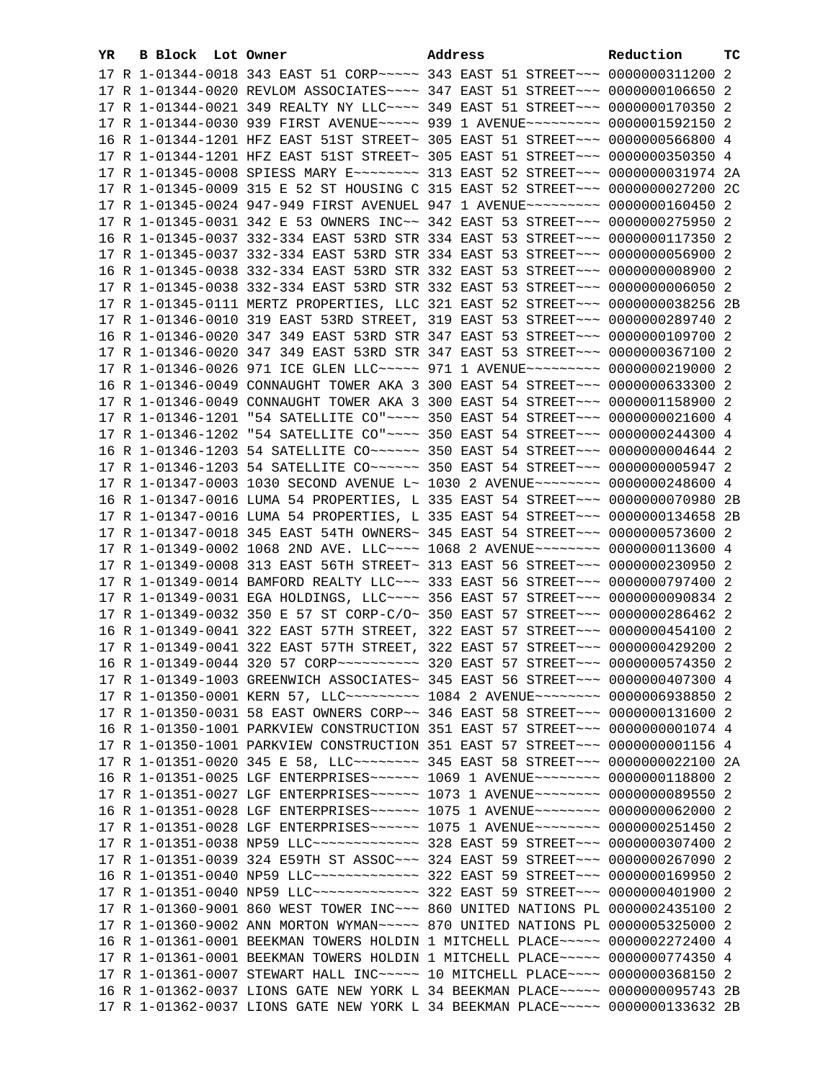| YR. | B Block Lot Owner |                                                                                  | Address |  | Reduction | тc |
|-----|-------------------|----------------------------------------------------------------------------------|---------|--|-----------|----|
|     |                   | 17 R 1-01344-0018 343 EAST 51 CORP~~~~~ 343 EAST 51 STREET~~~ 0000000311200 2    |         |  |           |    |
|     |                   | 17 R 1-01344-0020 REVLOM ASSOCIATES~~~~ 347 EAST 51 STREET~~~ 0000000106650 2    |         |  |           |    |
|     |                   | 17 R 1-01344-0021 349 REALTY NY LLC~~~~ 349 EAST 51 STREET~~~ 0000000170350 2    |         |  |           |    |
|     |                   | 17 R 1-01344-0030 939 FIRST AVENUE~~~~~ 939 1 AVENUE~~~~~~~~~ 0000001592150 2    |         |  |           |    |
|     |                   | 16 R 1-01344-1201 HFZ EAST 51ST STREET~ 305 EAST 51 STREET~~~ 00000005566800 4   |         |  |           |    |
|     |                   | 17 R 1-01344-1201 HFZ EAST 51ST STREET~ 305 EAST 51 STREET~~~ 0000000350350 4    |         |  |           |    |
|     |                   | 17 R 1-01345-0008 SPIESS MARY E~~~~~~~~ 313 EAST 52 STREET~~~ 0000000031974 2A   |         |  |           |    |
|     |                   | 17 R 1-01345-0009 315 E 52 ST HOUSING C 315 EAST 52 STREET~~~ 0000000027200 2C   |         |  |           |    |
|     |                   | 17 R 1-01345-0024 947-949 FIRST AVENUEL 947 1 AVENUE~~~~~~~~~ 0000000160450 2    |         |  |           |    |
|     |                   | 17 R 1-01345-0031 342 E 53 OWNERS INC~~ 342 EAST 53 STREET~~~ 0000000275950 2    |         |  |           |    |
|     |                   | 16 R 1-01345-0037 332-334 EAST 53RD STR 334 EAST 53 STREET~~~ 0000000117350 2    |         |  |           |    |
|     |                   | 17 R 1-01345-0037 332-334 EAST 53RD STR 334 EAST 53 STREET~~~ 0000000056900 2    |         |  |           |    |
|     |                   | 16 R 1-01345-0038 332-334 EAST 53RD STR 332 EAST 53 STREET~~~ 0000000008900 2    |         |  |           |    |
|     |                   | 17 R 1-01345-0038 332-334 EAST 53RD STR 332 EAST 53 STREET~~~ 00000000006050 2   |         |  |           |    |
|     |                   | 17 R 1-01345-0111 MERTZ PROPERTIES, LLC 321 EAST 52 STREET~~~ 0000000038256 2B   |         |  |           |    |
|     |                   | 17 R 1-01346-0010 319 EAST 53RD STREET, 319 EAST 53 STREET~~~ 0000000289740 2    |         |  |           |    |
|     |                   | 16 R 1-01346-0020 347 349 EAST 53RD STR 347 EAST 53 STREET~~~ 0000000109700 2    |         |  |           |    |
|     |                   | 17 R 1-01346-0020 347 349 EAST 53RD STR 347 EAST 53 STREET~~~ 0000000367100 2    |         |  |           |    |
|     |                   | 17 R 1-01346-0026 971 ICE GLEN LLC ~~~~~ 971 1 AVENUE ~~~~~~~~~ 0000000219000 2  |         |  |           |    |
|     |                   | 16 R 1-01346-0049 CONNAUGHT TOWER AKA 3 300 EAST 54 STREET~~~ 0000000633300 2    |         |  |           |    |
|     |                   | 17 R 1-01346-0049 CONNAUGHT TOWER AKA 3 300 EAST 54 STREET~~~ 0000001158900 2    |         |  |           |    |
|     |                   | 17 R 1-01346-1201 "54 SATELLITE CO"~~~~ 350 EAST 54 STREET~~~ 0000000021600 4    |         |  |           |    |
|     |                   | 17 R 1-01346-1202 "54 SATELLITE CO"~~~~ 350 EAST 54 STREET~~~ 0000000244300 4    |         |  |           |    |
|     |                   | 16 R 1-01346-1203 54 SATELLITE CO~~~~~~ 350 EAST 54 STREET~~~ 00000000004644 2   |         |  |           |    |
|     |                   | 17 R 1-01346-1203 54 SATELLITE CO~~~~~~ 350 EAST 54 STREET~~~ 0000000005947 2    |         |  |           |    |
|     |                   | 17 R 1-01347-0003 1030 SECOND AVENUE L~ 1030 2 AVENUE~~~~~~~~ 0000000248600 4    |         |  |           |    |
|     |                   | 16 R 1-01347-0016 LUMA 54 PROPERTIES, L 335 EAST 54 STREET~~~ 0000000070980 2B   |         |  |           |    |
|     |                   | 17 R 1-01347-0016 LUMA 54 PROPERTIES, L 335 EAST 54 STREET~~~ 0000000134658 2B   |         |  |           |    |
|     |                   | 17 R 1-01347-0018 345 EAST 54TH OWNERS~ 345 EAST 54 STREET~~~ 0000000573600 2    |         |  |           |    |
|     |                   | 17 R 1-01349-0002 1068 2ND AVE. LLC~~~~ 1068 2 AVENUE~~~~~~~~ 0000000113600 4    |         |  |           |    |
|     |                   | 17 R 1-01349-0008 313 EAST 56TH STREET~ 313 EAST 56 STREET~~~ 0000000230950 2    |         |  |           |    |
|     |                   | 17 R 1-01349-0014 BAMFORD REALTY LLC -~~ 333 EAST 56 STREET -~~ 0000000797400 2  |         |  |           |    |
|     |                   | 17 R 1-01349-0031 EGA HOLDINGS, LLC ~~~~ 356 EAST 57 STREET ~~~ 0000000090834 2  |         |  |           |    |
|     |                   | 17 R 1-01349-0032 350 E 57 ST CORP-C/O~ 350 EAST 57 STREET~~~ 0000000286462 2    |         |  |           |    |
|     |                   | 16 R 1-01349-0041 322 EAST 57TH STREET, 322 EAST 57 STREET~~~ 0000000454100 2    |         |  |           |    |
|     |                   | 17 R 1-01349-0041 322 EAST 57TH STREET, 322 EAST 57 STREET~~~ 0000000429200 2    |         |  |           |    |
|     |                   | 16 R 1-01349-0044 320 57 CORP~~~~~~~~~~ 320 EAST 57 STREET~~~ 0000000574350 2    |         |  |           |    |
|     |                   | 17 R 1-01349-1003 GREENWICH ASSOCIATES~ 345 EAST 56 STREET~~~ 0000000407300 4    |         |  |           |    |
|     |                   | 17 R 1-01350-0001 KERN 57, LLC -------- 1084 2 AVENUE -------- 0000006938850 2   |         |  |           |    |
|     |                   | 17 R 1-01350-0031 58 EAST OWNERS CORP~~ 346 EAST 58 STREET~~~ 0000000131600 2    |         |  |           |    |
|     |                   | 16 R 1-01350-1001 PARKVIEW CONSTRUCTION 351 EAST 57 STREET~~~ 00000000001074 4   |         |  |           |    |
|     |                   | 17 R 1-01350-1001 PARKVIEW CONSTRUCTION 351 EAST 57 STREET~~~ 00000000001156 4   |         |  |           |    |
|     |                   | 17 R 1-01351-0020 345 E 58, LLC -------- 345 EAST 58 STREET --- 0000000022100 2A |         |  |           |    |
|     |                   | 16 R 1-01351-0025 LGF ENTERPRISES~~~~~~ 1069 1 AVENUE~~~~~~~~ 0000000118800 2    |         |  |           |    |
|     |                   | 17 R 1-01351-0027 LGF ENTERPRISES~~~~~~ 1073 1 AVENUE~~~~~~~~ 0000000089550 2    |         |  |           |    |
|     |                   | 16 R 1-01351-0028 LGF ENTERPRISES~~~~~~ 1075 1 AVENUE~~~~~~~~ 0000000062000 2    |         |  |           |    |
|     |                   |                                                                                  |         |  |           |    |
|     |                   | 17 R 1-01351-0038 NP59 LLC -------------- 328 EAST 59 STREET --- 0000000307400 2 |         |  |           |    |
|     |                   | 17 R 1-01351-0039 324 E59TH ST ASSOC~~~ 324 EAST 59 STREET~~~ 0000000267090 2    |         |  |           |    |
|     |                   | 16 R 1-01351-0040 NP59 LLC -------------- 322 EAST 59 STREET --- 0000000169950 2 |         |  |           |    |
|     |                   | 17 R 1-01351-0040 NP59 LLC ------------- 322 EAST 59 STREET --- 0000000401900 2  |         |  |           |    |
|     |                   | 17 R 1-01360-9001 860 WEST TOWER INC~~~ 860 UNITED NATIONS PL 0000002435100 2    |         |  |           |    |
|     |                   | 17 R 1-01360-9002 ANN MORTON WYMAN~~~~~ 870 UNITED NATIONS PL 0000005325000 2    |         |  |           |    |
|     |                   | 16 R 1-01361-0001 BEEKMAN TOWERS HOLDIN 1 MITCHELL PLACE~~~~~ 0000002272400 4    |         |  |           |    |
|     |                   | 17 R 1-01361-0001 BEEKMAN TOWERS HOLDIN 1 MITCHELL PLACE~~~~~ 0000000774350 4    |         |  |           |    |
|     |                   | 17 R 1-01361-0007 STEWART HALL INC~~~~~ 10 MITCHELL PLACE~~~~ 0000000368150 2    |         |  |           |    |
|     |                   | 16 R 1-01362-0037 LIONS GATE NEW YORK L 34 BEEKMAN PLACE~~~~~ 0000000095743 2B   |         |  |           |    |
|     |                   | 17 R 1-01362-0037 LIONS GATE NEW YORK L 34 BEEKMAN PLACE~~~~~ 0000000133632 2B   |         |  |           |    |
|     |                   |                                                                                  |         |  |           |    |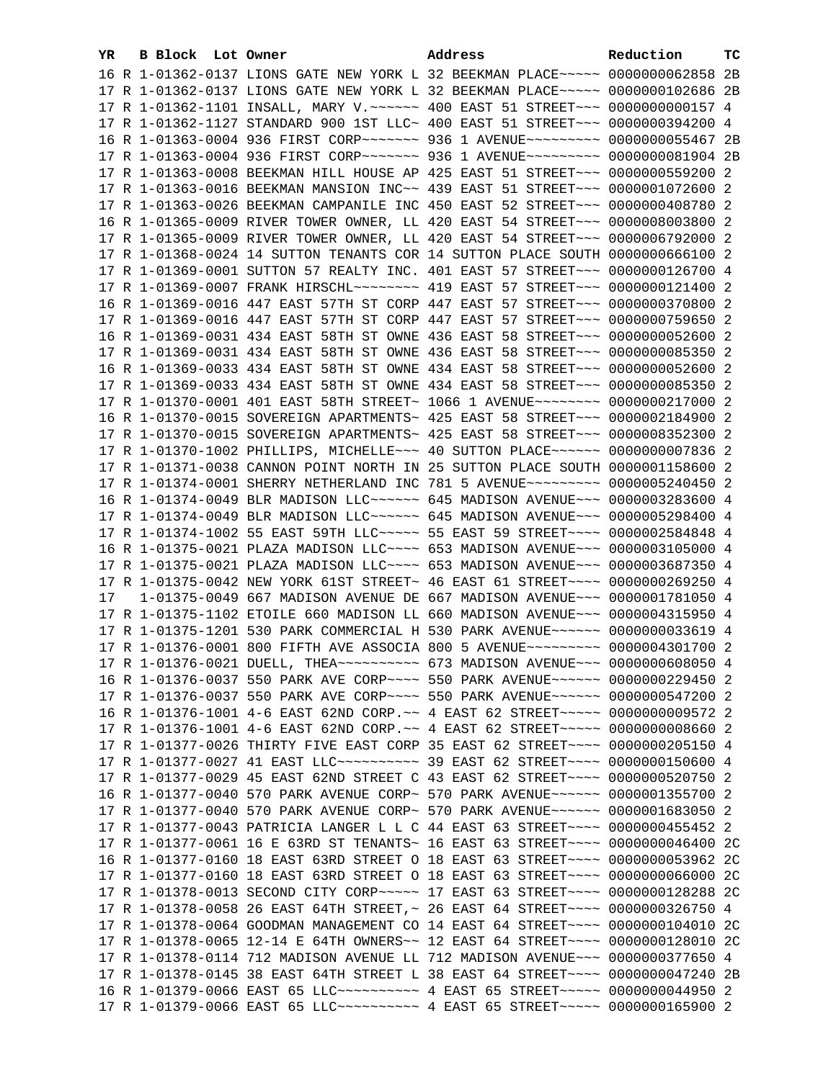| YR. | B Block Lot Owner | Address                                                                                                                                                          | Reduction | ТC |
|-----|-------------------|------------------------------------------------------------------------------------------------------------------------------------------------------------------|-----------|----|
|     |                   | 16 R 1-01362-0137 LIONS GATE NEW YORK L 32 BEEKMAN PLACE ~~~~~ 0000000062858 2B                                                                                  |           |    |
|     |                   | 17 R 1-01362-0137 LIONS GATE NEW YORK L 32 BEEKMAN PLACE~~~~~ 0000000102686 2B                                                                                   |           |    |
|     |                   | 17 R 1-01362-1101 INSALL, MARY V. ~~~~~~ 400 EAST 51 STREET~~~ 0000000000157 4                                                                                   |           |    |
|     |                   | 17 R 1-01362-1127 STANDARD 900 1ST LLC~ 400 EAST 51 STREET~~~ 0000000394200 4                                                                                    |           |    |
|     |                   | 16 R 1-01363-0004 936 FIRST CORP~~~~~~~ 936 1 AVENUE~~~~~~~~ 0000000055467 2B                                                                                    |           |    |
|     |                   | 17 R 1-01363-0004 936 FIRST CORP~~~~~~~ 936 1 AVENUE~~~~~~~~~ 0000000081904 2B                                                                                   |           |    |
|     |                   | 17 R 1-01363-0008 BEEKMAN HILL HOUSE AP 425 EAST 51 STREET~~~ 0000000559200 2                                                                                    |           |    |
|     |                   | 17 R 1-01363-0016 BEEKMAN MANSION INC~~ 439 EAST 51 STREET~~~ 0000001072600 2                                                                                    |           |    |
|     |                   | 17 R 1-01363-0026 BEEKMAN CAMPANILE INC 450 EAST 52 STREET~~~ 0000000408780 2                                                                                    |           |    |
|     |                   | 16 R 1-01365-0009 RIVER TOWER OWNER, LL 420 EAST 54 STREET~~~ 0000008003800 2                                                                                    |           |    |
|     |                   | 17 R 1-01365-0009 RIVER TOWER OWNER, LL 420 EAST 54 STREET~~~ 0000006792000 2                                                                                    |           |    |
|     |                   | 17 R 1-01368-0024 14 SUTTON TENANTS COR 14 SUTTON PLACE SOUTH 0000000666100 2                                                                                    |           |    |
|     |                   | 17 R 1-01369-0001 SUTTON 57 REALTY INC. 401 EAST 57 STREET~~~ 0000000126700 4                                                                                    |           |    |
|     |                   |                                                                                                                                                                  |           |    |
|     |                   | 17 R 1-01369-0007 FRANK HIRSCHL -------- 419 EAST 57 STREET --- 0000000121400 2                                                                                  |           |    |
|     |                   | 16 R 1-01369-0016 447 EAST 57TH ST CORP 447 EAST 57 STREET~~~ 0000000370800 2                                                                                    |           |    |
|     |                   | 17 R 1-01369-0016 447 EAST 57TH ST CORP 447 EAST 57 STREET~~~ 0000000759650 2                                                                                    |           |    |
|     |                   | 16 R 1-01369-0031 434 EAST 58TH ST OWNE 436 EAST 58 STREET~~~ 0000000052600 2                                                                                    |           |    |
|     |                   | 17 R 1-01369-0031 434 EAST 58TH ST OWNE 436 EAST 58 STREET~~~ 0000000085350 2                                                                                    |           |    |
|     |                   | 16 R 1-01369-0033 434 EAST 58TH ST OWNE 434 EAST 58 STREET~~~ 0000000052600 2                                                                                    |           |    |
|     |                   | 17 R 1-01369-0033 434 EAST 58TH ST OWNE 434 EAST 58 STREET~~~ 0000000085350 2                                                                                    |           |    |
|     |                   | 17 R 1-01370-0001 401 EAST 58TH STREET~ 1066 1 AVENUE~~~~~~~~ 0000000217000 2                                                                                    |           |    |
|     |                   | 16 R 1-01370-0015 SOVEREIGN APARTMENTS~ 425 EAST 58 STREET~~~ 0000002184900 2                                                                                    |           |    |
|     |                   | 17 R 1-01370-0015 SOVEREIGN APARTMENTS~ 425 EAST 58 STREET~~~ 0000008352300 2                                                                                    |           |    |
|     |                   | 17 R 1-01370-1002 PHILLIPS, MICHELLE~~~ 40 SUTTON PLACE~~~~~~ 0000000007836 2                                                                                    |           |    |
|     |                   | 17 R 1-01371-0038 CANNON POINT NORTH IN 25 SUTTON PLACE SOUTH 0000001158600 2                                                                                    |           |    |
|     |                   | 17 R 1-01374-0001 SHERRY NETHERLAND INC 781 5 AVENUE~~~~~~~~~ 0000005240450 2                                                                                    |           |    |
|     |                   | 16 R 1-01374-0049 BLR MADISON LLC~~~~~~ 645 MADISON AVENUE~~~ 0000003283600 4                                                                                    |           |    |
|     |                   | 17 R 1-01374-0049 BLR MADISON LLC ----- 645 MADISON AVENUE -- 0000005298400 4                                                                                    |           |    |
|     |                   | 17 R 1-01374-1002 55 EAST 59TH LLC ---- 55 EAST 59 STREET --- 0000002584848 4                                                                                    |           |    |
|     |                   | 16 R 1-01375-0021 PLAZA MADISON LLC~~~~ 653 MADISON AVENUE~~~ 0000003105000 4                                                                                    |           |    |
|     |                   | 17 R 1-01375-0021 PLAZA MADISON LLC~~~~ 653 MADISON AVENUE~~~ 0000003687350 4                                                                                    |           |    |
| 17  |                   | 17 R 1-01375-0042 NEW YORK 61ST STREET~ 46 EAST 61 STREET~~~~ 0000000269250 4                                                                                    |           |    |
|     |                   | 1-01375-0049 667 MADISON AVENUE DE 667 MADISON AVENUE~~~ 0000001781050 4<br>17 R 1-01375-1102 ETOILE 660 MADISON LL 660 MADISON AVENUE~~~ 0000004315950 4        |           |    |
|     |                   | 17 R 1-01375-1201 530 PARK COMMERCIAL H 530 PARK AVENUE~~~~~~ 0000000033619 4                                                                                    |           |    |
|     |                   | 17 R 1-01376-0001 800 FIFTH AVE ASSOCIA 800 5 AVENUE~~~~~~~~~ 0000004301700 2                                                                                    |           |    |
|     |                   |                                                                                                                                                                  |           |    |
|     |                   | 17 R 1-01376-0021 DUELL, THEA~~~~~~~~~~ 673 MADISON AVENUE~~~ 0000000608050 4                                                                                    |           |    |
|     |                   | 16 R 1-01376-0037 550 PARK AVE CORP~~~~ 550 PARK AVENUE~~~~~~ 0000000229450 2                                                                                    |           |    |
|     |                   | 17 R 1-01376-0037 550 PARK AVE CORP~~~~ 550 PARK AVENUE~~~~~~ 0000000547200 2                                                                                    |           |    |
|     |                   | 16 R 1-01376-1001 4-6 EAST 62ND CORP. ~~ 4 EAST 62 STREET ~~~~~ 0000000009572 2                                                                                  |           |    |
|     |                   | 17 R 1-01376-1001 4-6 EAST 62ND CORP. ~~ 4 EAST 62 STREET~~~~~ 00000000008660 2<br>17 R 1-01377-0026 THIRTY FIVE EAST CORP 35 EAST 62 STREET~~~~ 0000000205150 4 |           |    |
|     |                   | 17 R 1-01377-0027 41 EAST LLC ---------- 39 EAST 62 STREET ---- 0000000150600 4                                                                                  |           |    |
|     |                   | 17 R 1-01377-0029 45 EAST 62ND STREET C 43 EAST 62 STREET~~~~ 0000000520750 2                                                                                    |           |    |
|     |                   | 16 R 1-01377-0040 570 PARK AVENUE CORP~ 570 PARK AVENUE~~~~~~ 0000001355700 2                                                                                    |           |    |
|     |                   | 17 R 1-01377-0040 570 PARK AVENUE CORP~ 570 PARK AVENUE~~~~~~ 0000001683050 2                                                                                    |           |    |
|     |                   | 17 R 1-01377-0043 PATRICIA LANGER L L C 44 EAST 63 STREET~~~~ 0000000455452 2                                                                                    |           |    |
|     |                   | 17 R 1-01377-0061 16 E 63RD ST TENANTS~ 16 EAST 63 STREET~~~~ 0000000046400 2C                                                                                   |           |    |
|     |                   | 16 R 1-01377-0160 18 EAST 63RD STREET O 18 EAST 63 STREET~~~~ 0000000053962 2C                                                                                   |           |    |
|     |                   | 17 R 1-01377-0160 18 EAST 63RD STREET O 18 EAST 63 STREET~~~~ 0000000066000 2C                                                                                   |           |    |
|     |                   | 17 R 1-01378-0013 SECOND CITY CORP~~~~~ 17 EAST 63 STREET~~~~ 0000000128288 2C                                                                                   |           |    |
|     |                   | 17 R 1-01378-0058 26 EAST 64TH STREET, ~ 26 EAST 64 STREET~~~~ 0000000326750 4                                                                                   |           |    |
|     |                   | 17 R 1-01378-0064 GOODMAN MANAGEMENT CO 14 EAST 64 STREET~~~~ 0000000104010 2C                                                                                   |           |    |
|     |                   | 17 R 1-01378-0065 12-14 E 64TH OWNERS~~ 12 EAST 64 STREET~~~~ 0000000128010 2C                                                                                   |           |    |
|     |                   | 17 R 1-01378-0114 712 MADISON AVENUE LL 712 MADISON AVENUE~~~ 0000000377650 4                                                                                    |           |    |
|     |                   | 17 R 1-01378-0145 38 EAST 64TH STREET L 38 EAST 64 STREET~~~~ 0000000047240 2B                                                                                   |           |    |
|     |                   | 16 R 1-01379-0066 EAST 65 LLC ---------- 4 EAST 65 STREET ---- 0000000044950 2                                                                                   |           |    |
|     |                   | 17 R 1-01379-0066 EAST 65 LLC ---------- 4 EAST 65 STREET ---- 0000000165900 2                                                                                   |           |    |
|     |                   |                                                                                                                                                                  |           |    |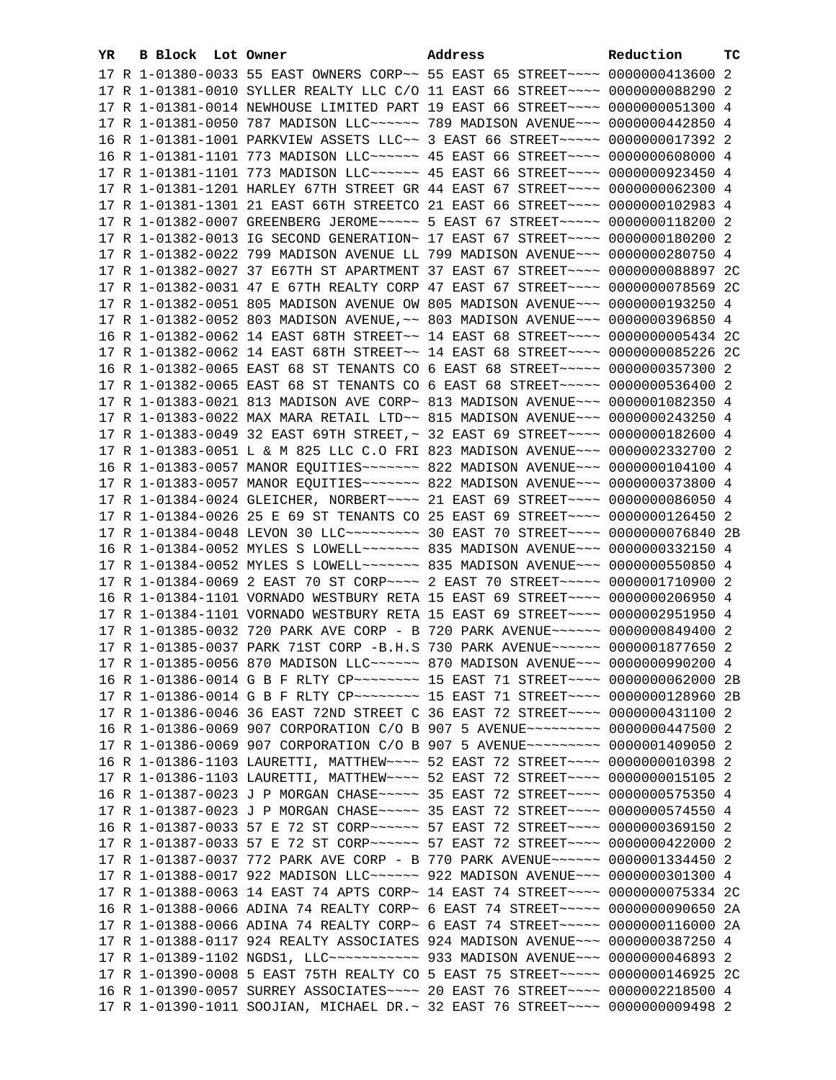| YR. | B Block Lot Owner |  | Address                                                                                                                                                          | Reduction | тc |
|-----|-------------------|--|------------------------------------------------------------------------------------------------------------------------------------------------------------------|-----------|----|
|     |                   |  | 17 R 1-01380-0033 55 EAST OWNERS CORP~~ 55 EAST 65 STREET~~~~ 0000000413600 2                                                                                    |           |    |
|     |                   |  | 17 R 1-01381-0010 SYLLER REALTY LLC C/O 11 EAST 66 STREET~~~~ 0000000088290 2                                                                                    |           |    |
|     |                   |  | 17 R 1-01381-0014 NEWHOUSE LIMITED PART 19 EAST 66 STREET~~~~ 0000000051300 4                                                                                    |           |    |
|     |                   |  | 17 R 1-01381-0050 787 MADISON LLC ----- 789 MADISON AVENUE -- 0000000442850 4                                                                                    |           |    |
|     |                   |  | 16 R 1-01381-1001 PARKVIEW ASSETS LLC~~ 3 EAST 66 STREET~~~~~~ 0000000017392 2                                                                                   |           |    |
|     |                   |  | 16 R 1-01381-1101 773 MADISON LLC ----- 45 EAST 66 STREET --- 0000000608000 4                                                                                    |           |    |
|     |                   |  | 17 R 1-01381-1101 773 MADISON LLC ----- 45 EAST 66 STREET --- 0000000923450 4                                                                                    |           |    |
|     |                   |  | 17 R 1-01381-1201 HARLEY 67TH STREET GR 44 EAST 67 STREET~~~~ 0000000062300 4                                                                                    |           |    |
|     |                   |  | 17 R 1-01381-1301 21 EAST 66TH STREETCO 21 EAST 66 STREET~~~~ 0000000102983 4                                                                                    |           |    |
|     |                   |  | 17 R 1-01382-0007 GREENBERG JEROME~~~~~ 5 EAST 67 STREET~~~~~ 0000000118200 2                                                                                    |           |    |
|     |                   |  | 17 R 1-01382-0013 IG SECOND GENERATION~ 17 EAST 67 STREET~~~~ 0000000180200 2                                                                                    |           |    |
|     |                   |  | 17 R 1-01382-0022 799 MADISON AVENUE LL 799 MADISON AVENUE~~~ 0000000280750 4                                                                                    |           |    |
|     |                   |  | 17 R 1-01382-0027 37 E67TH ST APARTMENT 37 EAST 67 STREET~~~~ 0000000088897 2C                                                                                   |           |    |
|     |                   |  | 17 R 1-01382-0031 47 E 67TH REALTY CORP 47 EAST 67 STREET~~~~ 0000000078569 2C                                                                                   |           |    |
|     |                   |  | 17 R 1-01382-0051 805 MADISON AVENUE OW 805 MADISON AVENUE~~~ 0000000193250 4                                                                                    |           |    |
|     |                   |  |                                                                                                                                                                  |           |    |
|     |                   |  | 17 R 1-01382-0052 803 MADISON AVENUE, ~~ 803 MADISON AVENUE~~~ 0000000396850 4<br>16 R 1-01382-0062 14 EAST 68TH STREET~~ 14 EAST 68 STREET~~~~ 0000000005434 2C |           |    |
|     |                   |  | 17 R 1-01382-0062 14 EAST 68TH STREET~~ 14 EAST 68 STREET~~~~ 0000000085226 2C                                                                                   |           |    |
|     |                   |  |                                                                                                                                                                  |           |    |
|     |                   |  | 16 R 1-01382-0065 EAST 68 ST TENANTS CO 6 EAST 68 STREET~~~~~ 0000000357300 2                                                                                    |           |    |
|     |                   |  | 17 R 1-01382-0065 EAST 68 ST TENANTS CO 6 EAST 68 STREET~~~~~ 0000000536400 2                                                                                    |           |    |
|     |                   |  | 17 R 1-01383-0021 813 MADISON AVE CORP~ 813 MADISON AVENUE~~~ 0000001082350 4                                                                                    |           |    |
|     |                   |  | 17 R 1-01383-0022 MAX MARA RETAIL LTD~~ 815 MADISON AVENUE~~~ 0000000243250 4                                                                                    |           |    |
|     |                   |  | 17 R 1-01383-0049 32 EAST 69TH STREET, ~ 32 EAST 69 STREET~~~~ 0000000182600 4                                                                                   |           |    |
|     |                   |  | 17 R 1-01383-0051 L & M 825 LLC C.O FRI 823 MADISON AVENUE~~~ 0000002332700 2                                                                                    |           |    |
|     |                   |  | 16 R 1-01383-0057 MANOR EQUITIES~~~~~~~ 822 MADISON AVENUE~~~ 0000000104100 4                                                                                    |           |    |
|     |                   |  | 17 R 1-01383-0057 MANOR EQUITIES~~~~~~~ 822 MADISON AVENUE~~~ 0000000373800 4                                                                                    |           |    |
|     |                   |  | 17 R 1-01384-0024 GLEICHER, NORBERT~~~~ 21 EAST 69 STREET~~~~ 0000000086050 4<br>17 R 1-01384-0026 25 E 69 ST TENANTS CO 25 EAST 69 STREET~~~~ 0000000126450 2   |           |    |
|     |                   |  | 17 R 1-01384-0048 LEVON 30 LLC --------- 30 EAST 70 STREET --- 0000000076840 2B                                                                                  |           |    |
|     |                   |  | 16 R 1-01384-0052 MYLES S LOWELL~~~~~~~ 835 MADISON AVENUE~~~ 0000000332150 4                                                                                    |           |    |
|     |                   |  | 17 R 1-01384-0052 MYLES S LOWELL~~~~~~~ 835 MADISON AVENUE~~~ 0000000550850 4                                                                                    |           |    |
|     |                   |  | 17 R 1-01384-0069 2 EAST 70 ST CORP~~~~ 2 EAST 70 STREET~~~~~ 0000001710900 2                                                                                    |           |    |
|     |                   |  | 16 R 1-01384-1101 VORNADO WESTBURY RETA 15 EAST 69 STREET~~~~ 0000000206950 4                                                                                    |           |    |
|     |                   |  | 17 R 1-01384-1101 VORNADO WESTBURY RETA 15 EAST 69 STREET~~~~ 0000002951950 4                                                                                    |           |    |
|     |                   |  | 17 R 1-01385-0032 720 PARK AVE CORP - B 720 PARK AVENUE~~~~~~ 0000000849400 2                                                                                    |           |    |
|     |                   |  | 17 R 1-01385-0037 PARK 71ST CORP -B.H.S 730 PARK AVENUE~~~~~~ 0000001877650 2                                                                                    |           |    |
|     |                   |  | 17 R 1-01385-0056 870 MADISON LLC~~~~~~ 870 MADISON AVENUE~~~ 0000000990200 4                                                                                    |           |    |
|     |                   |  | 16 R 1-01386-0014 G B F RLTY CP~~~~~~~~~ 15 EAST 71 STREET~~~~ 0000000062000 2B                                                                                  |           |    |
|     |                   |  | 17 R 1-01386-0014 G B F RLTY CP --------- 15 EAST 71 STREET ---- 0000000128960 2B                                                                                |           |    |
|     |                   |  | 17 R 1-01386-0046 36 EAST 72ND STREET C 36 EAST 72 STREET~~~~ 0000000431100 2                                                                                    |           |    |
|     |                   |  | 16 R 1-01386-0069 907 CORPORATION C/O B 907 5 AVENUE~~~~~~~~~ 0000000447500 2                                                                                    |           |    |
|     |                   |  | 17 R 1-01386-0069 907 CORPORATION C/O B 907 5 AVENUE~~~~~~~~~ 0000001409050 2                                                                                    |           |    |
|     |                   |  | 16 R 1-01386-1103 LAURETTI, MATTHEW~~~~ 52 EAST 72 STREET~~~~ 00000000010398 2                                                                                   |           |    |
|     |                   |  | 17 R 1-01386-1103 LAURETTI, MATTHEW~~~~ 52 EAST 72 STREET~~~~ 00000000015105 2                                                                                   |           |    |
|     |                   |  | 16 R 1-01387-0023 J P MORGAN CHASE~~~~~ 35 EAST 72 STREET~~~~ 0000000575350 4                                                                                    |           |    |
|     |                   |  | 17 R 1-01387-0023 J P MORGAN CHASE~~~~~ 35 EAST 72 STREET~~~~ 0000000574550 4                                                                                    |           |    |
|     |                   |  | 16 R 1-01387-0033 57 E 72 ST CORP~~~~~~~ 57 EAST 72 STREET~~~~ 0000000369150 2                                                                                   |           |    |
|     |                   |  | 17 R 1-01387-0033 57 E 72 ST CORP~~~~~~~ 57 EAST 72 STREET~~~~ 0000000422000 2                                                                                   |           |    |
|     |                   |  | 17 R 1-01387-0037 772 PARK AVE CORP - B 770 PARK AVENUE~~~~~~ 0000001334450 2                                                                                    |           |    |
|     |                   |  | 17 R 1-01388-0017 922 MADISON LLC ----- 922 MADISON AVENUE -- 0000000301300 4                                                                                    |           |    |
|     |                   |  | 17 R 1-01388-0063 14 EAST 74 APTS CORP~ 14 EAST 74 STREET~~~~ 0000000075334 2C                                                                                   |           |    |
|     |                   |  | 16 R 1-01388-0066 ADINA 74 REALTY CORP~ 6 EAST 74 STREET~~~~~~ 0000000090650 2A                                                                                  |           |    |
|     |                   |  | 17 R 1-01388-0066 ADINA 74 REALTY CORP~ 6 EAST 74 STREET~~~~~~ 0000000116000 2A                                                                                  |           |    |
|     |                   |  | 17 R 1-01388-0117 924 REALTY ASSOCIATES 924 MADISON AVENUE~~~ 0000000387250 4                                                                                    |           |    |
|     |                   |  | 17 R 1-01389-1102 NGDS1, LLC~~~~~~~~~~~~ 933 MADISON AVENUE~~~ 0000000046893 2                                                                                   |           |    |
|     |                   |  | 17 R 1-01390-0008 5 EAST 75TH REALTY CO 5 EAST 75 STREET~~~~~ 0000000146925 2C                                                                                   |           |    |
|     |                   |  | 16 R 1-01390-0057 SURREY ASSOCIATES~~~~ 20 EAST 76 STREET~~~~ 0000002218500 4                                                                                    |           |    |
|     |                   |  | 17 R 1-01390-1011 SOOJIAN, MICHAEL DR.~ 32 EAST 76 STREET~~~~ 0000000009498 2                                                                                    |           |    |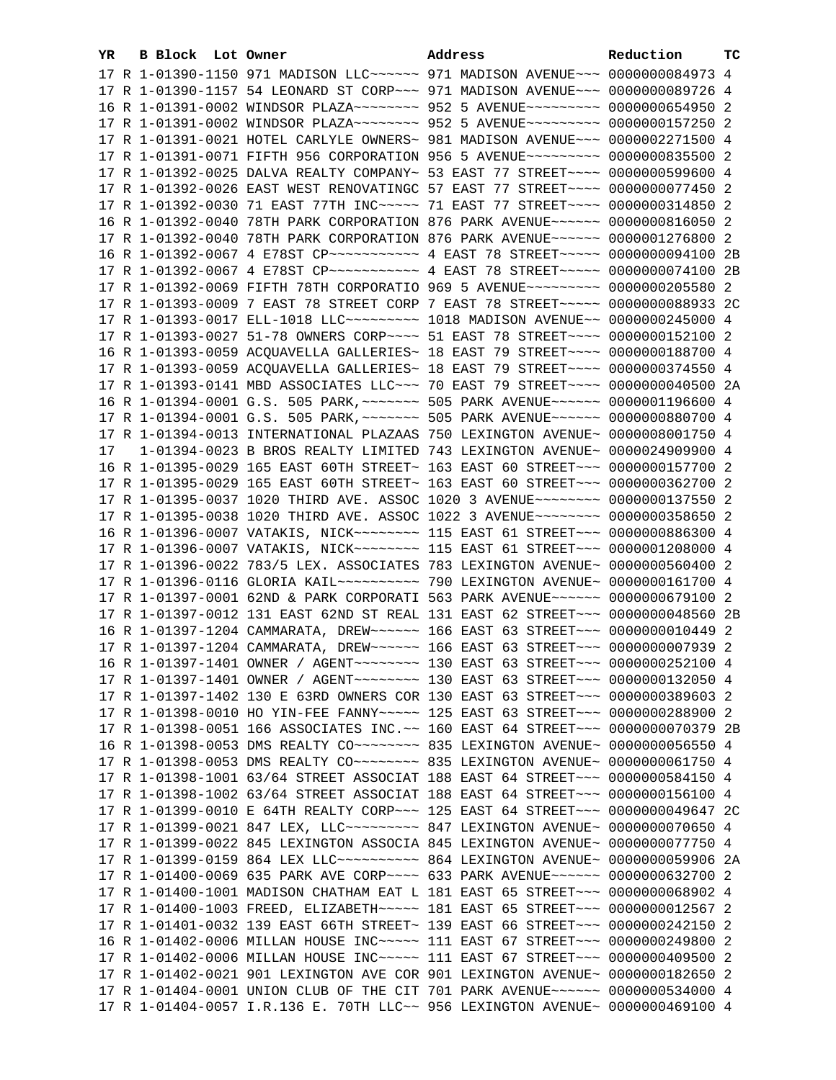| YR. | B Block Lot Owner | Address                                                                                                                                                         | Reduction | тc |
|-----|-------------------|-----------------------------------------------------------------------------------------------------------------------------------------------------------------|-----------|----|
|     |                   | 17 R 1-01390-1150 971 MADISON LLC ----- 971 MADISON AVENUE -- 0000000084973 4                                                                                   |           |    |
|     |                   | 17 R 1-01390-1157 54 LEONARD ST CORP~~~ 971 MADISON AVENUE~~~ 0000000089726 4                                                                                   |           |    |
|     |                   | 16 R 1-01391-0002 WINDSOR PLAZA~~~~~~~~ 952 5 AVENUE~~~~~~~~~ 0000000654950 2                                                                                   |           |    |
|     |                   | 17 R 1-01391-0002 WINDSOR PLAZA~~~~~~~~ 952 5 AVENUE~~~~~~~~~ 0000000157250 2                                                                                   |           |    |
|     |                   | 17 R 1-01391-0021 HOTEL CARLYLE OWNERS~ 981 MADISON AVENUE~~~ 0000002271500 4                                                                                   |           |    |
|     |                   | 17 R 1-01391-0071 FIFTH 956 CORPORATION 956 5 AVENUE~~~~~~~~~ 0000000835500 2                                                                                   |           |    |
|     |                   | 17 R 1-01392-0025 DALVA REALTY COMPANY~ 53 EAST 77 STREET~~~~ 0000000599600 4                                                                                   |           |    |
|     |                   | 17 R 1-01392-0026 EAST WEST RENOVATINGC 57 EAST 77 STREET~~~~ 0000000077450 2                                                                                   |           |    |
|     |                   | 17 R 1-01392-0030 71 EAST 77TH INC ---- 71 EAST 77 STREET --- 0000000314850 2                                                                                   |           |    |
|     |                   | 16 R 1-01392-0040 78TH PARK CORPORATION 876 PARK AVENUE~~~~~~ 0000000816050 2                                                                                   |           |    |
|     |                   | 17 R 1-01392-0040 78TH PARK CORPORATION 876 PARK AVENUE~~~~~~ 0000001276800 2                                                                                   |           |    |
|     |                   | 16 R 1-01392-0067 4 E78ST CP ----------- 4 EAST 78 STREET ---- 0000000094100 2B                                                                                 |           |    |
|     |                   | 17 R 1-01392-0067 4 E78ST CP ----------- 4 EAST 78 STREET ----- 0000000074100 2B                                                                                |           |    |
|     |                   |                                                                                                                                                                 |           |    |
|     |                   | 17 R 1-01392-0069 FIFTH 78TH CORPORATIO 969 5 AVENUE~~~~~~~~~ 0000000205580 2                                                                                   |           |    |
|     |                   | 17 R 1-01393-0009 7 EAST 78 STREET CORP 7 EAST 78 STREET~~~~~ 0000000088933 2C                                                                                  |           |    |
|     |                   | 17 R 1-01393-0017 ELL-1018 LLC -------- 1018 MADISON AVENUE- 0000000245000 4                                                                                    |           |    |
|     |                   | 17 R 1-01393-0027 51-78 OWNERS CORP~~~~ 51 EAST 78 STREET~~~~ 0000000152100 2                                                                                   |           |    |
|     |                   | 16 R 1-01393-0059 ACQUAVELLA GALLERIES~ 18 EAST 79 STREET~~~~ 0000000188700 4                                                                                   |           |    |
|     |                   | 17 R 1-01393-0059 ACQUAVELLA GALLERIES~ 18 EAST 79 STREET~~~~ 0000000374550 4                                                                                   |           |    |
|     |                   | 17 R 1-01393-0141 MBD ASSOCIATES LLC~~~ 70 EAST 79 STREET~~~~ 0000000040500 2A                                                                                  |           |    |
|     |                   | 16 R 1-01394-0001 G.S. 505 PARK, ~~~~~~~ 505 PARK AVENUE~~~~~~ 0000001196600 4                                                                                  |           |    |
|     |                   | 17 R 1-01394-0001 G.S. 505 PARK, ~~~~~~~ 505 PARK AVENUE~~~~~~ 0000000880700 4                                                                                  |           |    |
|     |                   | 17 R 1-01394-0013 INTERNATIONAL PLAZAAS 750 LEXINGTON AVENUE~ 0000008001750 4                                                                                   |           |    |
| 17  |                   | 1-01394-0023 B BROS REALTY LIMITED 743 LEXINGTON AVENUE~ 0000024909900 4                                                                                        |           |    |
|     |                   | 16 R 1-01395-0029 165 EAST 60TH STREET~ 163 EAST 60 STREET~~~ 0000000157700 2                                                                                   |           |    |
|     |                   | 17 R 1-01395-0029 165 EAST 60TH STREET~ 163 EAST 60 STREET~~~ 0000000362700 2                                                                                   |           |    |
|     |                   | 17 R 1-01395-0037 1020 THIRD AVE. ASSOC 1020 3 AVENUE~~~~~~~~ 0000000137550 2                                                                                   |           |    |
|     |                   | 17 R 1-01395-0038 1020 THIRD AVE. ASSOC 1022 3 AVENUE~~~~~~~~ 0000000358650 2                                                                                   |           |    |
|     |                   | 16 R 1-01396-0007 VATAKIS, NICK~~~~~~~~ 115 EAST 61 STREET~~~ 0000000886300 4                                                                                   |           |    |
|     |                   | 17 R 1-01396-0007 VATAKIS, NICK~~~~~~~~ 115 EAST 61 STREET~~~ 0000001208000 4                                                                                   |           |    |
|     |                   | 17 R 1-01396-0022 783/5 LEX. ASSOCIATES 783 LEXINGTON AVENUE~ 0000000560400 2                                                                                   |           |    |
|     |                   |                                                                                                                                                                 |           |    |
|     |                   | 17 R 1-01397-0001 62ND & PARK CORPORATI 563 PARK AVENUE~~~~~~ 0000000679100 2<br>17 R 1-01397-0012 131 EAST 62ND ST REAL 131 EAST 62 STREET~~~ 0000000048560 2B |           |    |
|     |                   | 16 R 1-01397-1204 CAMMARATA, DREW~~~~~~ 166 EAST 63 STREET~~~ 0000000010449 2                                                                                   |           |    |
|     |                   | 17 R 1-01397-1204 CAMMARATA, DREW~~~~~~ 166 EAST 63 STREET~~~ 0000000007939 2                                                                                   |           |    |
|     |                   |                                                                                                                                                                 |           |    |
|     |                   | 17 R 1-01397-1401 OWNER / AGENT~~~~~~~~~ 130 EAST 63 STREET~~~ 0000000132050 4                                                                                  |           |    |
|     |                   | 17 R 1-01397-1402 130 E 63RD OWNERS COR 130 EAST 63 STREET~~~ 0000000389603 2                                                                                   |           |    |
|     |                   | 17 R 1-01398-0010 HO YIN-FEE FANNY~~~~~ 125 EAST 63 STREET~~~ 0000000288900 2                                                                                   |           |    |
|     |                   | 17 R 1-01398-0051 166 ASSOCIATES INC.~~ 160 EAST 64 STREET~~~ 0000000070379 2B                                                                                  |           |    |
|     |                   | 16 R 1-01398-0053 DMS REALTY CO ~~~~~~~~~ 835 LEXINGTON AVENUE~ 0000000056550 4                                                                                 |           |    |
|     |                   | 17 R 1-01398-0053 DMS REALTY CO~~~~~~~~~ 835 LEXINGTON AVENUE~ 0000000061750 4                                                                                  |           |    |
|     |                   | 17 R 1-01398-1001 63/64 STREET ASSOCIAT 188 EAST 64 STREET~~~ 0000000584150 4                                                                                   |           |    |
|     |                   | 17 R 1-01398-1002 63/64 STREET ASSOCIAT 188 EAST 64 STREET~~~ 0000000156100 4                                                                                   |           |    |
|     |                   | 17 R 1-01399-0010 E 64TH REALTY CORP~~~ 125 EAST 64 STREET~~~ 0000000049647 2C                                                                                  |           |    |
|     |                   | 17 R 1-01399-0021 847 LEX, LLC --------- 847 LEXINGTON AVENUE ~ 0000000070650 4                                                                                 |           |    |
|     |                   | 17 R 1-01399-0022 845 LEXINGTON ASSOCIA 845 LEXINGTON AVENUE~ 0000000077750 4                                                                                   |           |    |
|     |                   |                                                                                                                                                                 |           |    |
|     |                   | 17 R 1-01400-0069 635 PARK AVE CORP~~~~ 633 PARK AVENUE~~~~~~ 0000000632700 2                                                                                   |           |    |
|     |                   | 17 R 1-01400-1001 MADISON CHATHAM EAT L 181 EAST 65 STREET~~~ 0000000068902 4                                                                                   |           |    |
|     |                   | 17 R 1-01400-1003 FREED, ELIZABETH~~~~~ 181 EAST 65 STREET~~~ 0000000012567 2                                                                                   |           |    |
|     |                   | 17 R 1-01401-0032 139 EAST 66TH STREET~ 139 EAST 66 STREET~~~ 0000000242150 2                                                                                   |           |    |
|     |                   | 16 R 1-01402-0006 MILLAN HOUSE INC~~~~~ 111 EAST 67 STREET~~~ 0000000249800 2                                                                                   |           |    |
|     |                   | 17 R 1-01402-0006 MILLAN HOUSE INC~~~~~ 111 EAST 67 STREET~~~ 0000000409500 2                                                                                   |           |    |
|     |                   | 17 R 1-01402-0021 901 LEXINGTON AVE COR 901 LEXINGTON AVENUE~ 0000000182650 2                                                                                   |           |    |
|     |                   | 17 R 1-01404-0001 UNION CLUB OF THE CIT 701 PARK AVENUE~~~~~~ 0000000534000 4                                                                                   |           |    |
|     |                   | 17 R 1-01404-0057 I.R.136 E. 70TH LLC~~ 956 LEXINGTON AVENUE~ 0000000469100 4                                                                                   |           |    |
|     |                   |                                                                                                                                                                 |           |    |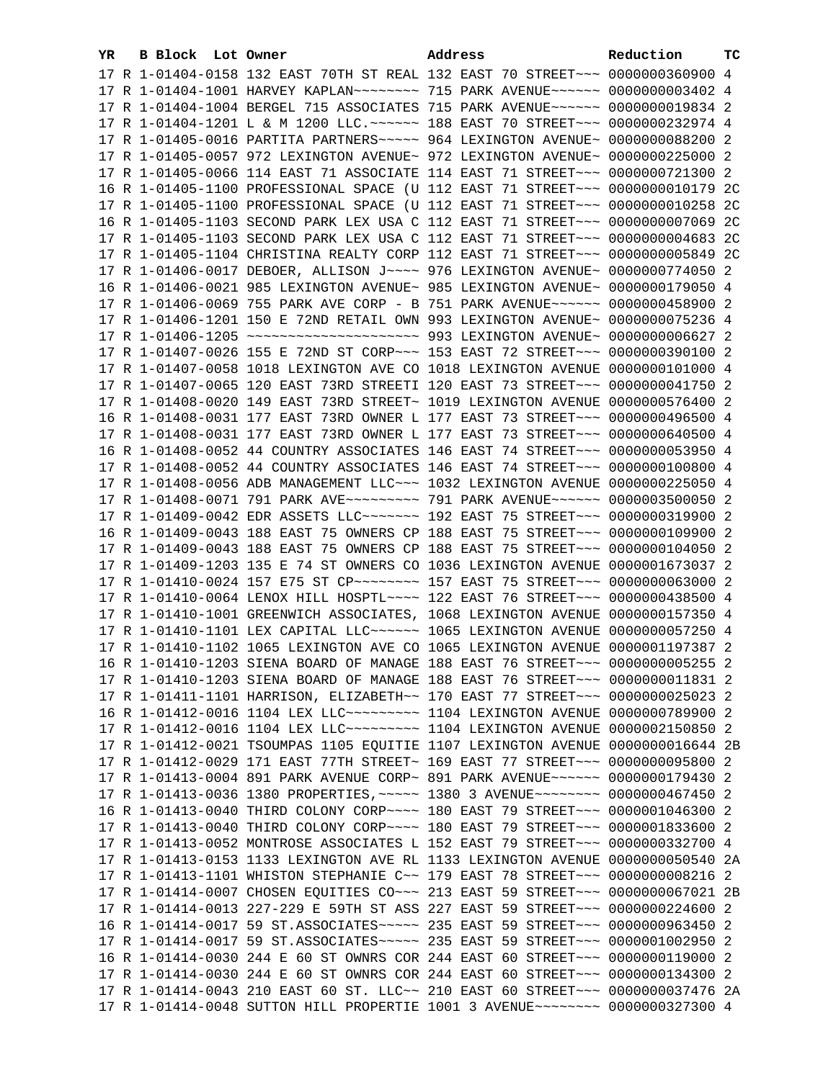| YR. | <b>B Block Lot Owner</b> | Address                                                                                                                                                        | Reduction | тc |
|-----|--------------------------|----------------------------------------------------------------------------------------------------------------------------------------------------------------|-----------|----|
|     |                          | 17 R 1-01404-0158 132 EAST 70TH ST REAL 132 EAST 70 STREET~~~ 0000000360900 4                                                                                  |           |    |
|     |                          | 17 R 1-01404-1001 HARVEY KAPLAN~~~~~~~~ 715 PARK AVENUE~~~~~~ 0000000003402 4                                                                                  |           |    |
|     |                          | 17 R 1-01404-1004 BERGEL 715 ASSOCIATES 715 PARK AVENUE~~~~~~ 0000000019834 2                                                                                  |           |    |
|     |                          | 17 R 1-01404-1201 L & M 1200 LLC. ~~~~~~ 188 EAST 70 STREET~~~ 0000000232974 4                                                                                 |           |    |
|     |                          | 17 R 1-01405-0016 PARTITA PARTNERS ~~~~~ 964 LEXINGTON AVENUE~ 0000000088200 2                                                                                 |           |    |
|     |                          | 17 R 1-01405-0057 972 LEXINGTON AVENUE~ 972 LEXINGTON AVENUE~ 0000000225000 2                                                                                  |           |    |
|     |                          | 17 R 1-01405-0066 114 EAST 71 ASSOCIATE 114 EAST 71 STREET~~~ 0000000721300 2                                                                                  |           |    |
|     |                          | 16 R 1-01405-1100 PROFESSIONAL SPACE (U 112 EAST 71 STREET~~~ 0000000010179 2C                                                                                 |           |    |
|     |                          | 17 R 1-01405-1100 PROFESSIONAL SPACE (U 112 EAST 71 STREET~~~ 0000000010258 2C                                                                                 |           |    |
|     |                          | 16 R 1-01405-1103 SECOND PARK LEX USA C 112 EAST 71 STREET~~~ 0000000007069 2C                                                                                 |           |    |
|     |                          | 17 R 1-01405-1103 SECOND PARK LEX USA C 112 EAST 71 STREET~~~ 0000000004683 2C                                                                                 |           |    |
|     |                          | 17 R 1-01405-1104 CHRISTINA REALTY CORP 112 EAST 71 STREET~~~ 0000000005849 2C                                                                                 |           |    |
|     |                          | 17 R 1-01406-0017 DEBOER, ALLISON J~~~~ 976 LEXINGTON AVENUE~ 0000000774050 2                                                                                  |           |    |
|     |                          |                                                                                                                                                                |           |    |
|     |                          | 16 R 1-01406-0021 985 LEXINGTON AVENUE~ 985 LEXINGTON AVENUE~ 0000000179050 4                                                                                  |           |    |
|     |                          | 17 R 1-01406-0069 755 PARK AVE CORP - B 751 PARK AVENUE~~~~~~ 0000000458900 2                                                                                  |           |    |
|     |                          | 17 R 1-01406-1201 150 E 72ND RETAIL OWN 993 LEXINGTON AVENUE~ 0000000075236 4                                                                                  |           |    |
|     |                          | 17 R 1-01406-1205 ~~~~~~~~~~~~~~~~~~~~~~ 993 LEXINGTON AVENUE~ 0000000006627 2                                                                                 |           |    |
|     |                          | 17 R 1-01407-0026 155 E 72ND ST CORP~~~ 153 EAST 72 STREET~~~ 0000000390100 2                                                                                  |           |    |
|     |                          | 17 R 1-01407-0058 1018 LEXINGTON AVE CO 1018 LEXINGTON AVENUE 0000000101000 4                                                                                  |           |    |
|     |                          | 17 R 1-01407-0065 120 EAST 73RD STREETI 120 EAST 73 STREET~~~ 0000000041750 2                                                                                  |           |    |
|     |                          | 17 R 1-01408-0020 149 EAST 73RD STREET~ 1019 LEXINGTON AVENUE 0000000576400 2                                                                                  |           |    |
|     |                          | 16 R 1-01408-0031 177 EAST 73RD OWNER L 177 EAST 73 STREET~~~ 0000000496500 4                                                                                  |           |    |
|     |                          | 17 R 1-01408-0031 177 EAST 73RD OWNER L 177 EAST 73 STREET~~~ 0000000640500 4                                                                                  |           |    |
|     |                          | 16 R 1-01408-0052 44 COUNTRY ASSOCIATES 146 EAST 74 STREET~~~ 0000000053950 4                                                                                  |           |    |
|     |                          | 17 R 1-01408-0052 44 COUNTRY ASSOCIATES 146 EAST 74 STREET~~~ 0000000100800 4                                                                                  |           |    |
|     |                          | 17 R 1-01408-0056 ADB MANAGEMENT LLC~~~ 1032 LEXINGTON AVENUE 0000000225050 4                                                                                  |           |    |
|     |                          | 17 R 1-01408-0071 791 PARK AVE ~~~~~~~~~~~~~~ 791 PARK AVENUE ~~~~~~~~ 0000003500050 2                                                                         |           |    |
|     |                          | 17 R 1-01409-0042 EDR ASSETS LLC ------- 192 EAST 75 STREET --- 0000000319900 2                                                                                |           |    |
|     |                          | 16 R 1-01409-0043 188 EAST 75 OWNERS CP 188 EAST 75 STREET~~~ 0000000109900 2                                                                                  |           |    |
|     |                          | 17 R 1-01409-0043 188 EAST 75 OWNERS CP 188 EAST 75 STREET~~~ 0000000104050 2<br>17 R 1-01409-1203 135 E 74 ST OWNERS CO 1036 LEXINGTON AVENUE 0000001673037 2 |           |    |
|     |                          | 17 R 1-01410-0024 157 E75 ST CP -------- 157 EAST 75 STREET -- 0000000063000 2                                                                                 |           |    |
|     |                          | 17 R 1-01410-0064 LENOX HILL HOSPTL~~~~ 122 EAST 76 STREET~~~ 0000000438500 4                                                                                  |           |    |
|     |                          | 17 R 1-01410-1001 GREENWICH ASSOCIATES, 1068 LEXINGTON AVENUE 0000000157350 4                                                                                  |           |    |
|     |                          | 17 R 1-01410-1101 LEX CAPITAL LLC ----- 1065 LEXINGTON AVENUE 0000000057250 4                                                                                  |           |    |
|     |                          | 17 R 1-01410-1102 1065 LEXINGTON AVE CO 1065 LEXINGTON AVENUE 0000001197387 2                                                                                  |           |    |
|     |                          | 16 R 1-01410-1203 SIENA BOARD OF MANAGE 188 EAST 76 STREET~~~ 0000000005255 2                                                                                  |           |    |
|     |                          | 17 R 1-01410-1203 SIENA BOARD OF MANAGE 188 EAST 76 STREET~~~ 0000000011831 2                                                                                  |           |    |
|     |                          | 17 R 1-01411-1101 HARRISON, ELIZABETH~~ 170 EAST 77 STREET~~~ 0000000025023 2                                                                                  |           |    |
|     |                          | 16 R 1-01412-0016 1104 LEX LLC --------- 1104 LEXINGTON AVENUE 0000000789900 2                                                                                 |           |    |
|     |                          | 17 R 1-01412-0016 1104 LEX LLC --------- 1104 LEXINGTON AVENUE 0000002150850 2                                                                                 |           |    |
|     |                          | 17 R 1-01412-0021 TSOUMPAS 1105 EQUITIE 1107 LEXINGTON AVENUE 0000000016644 2B                                                                                 |           |    |
|     |                          | 17 R 1-01412-0029 171 EAST 77TH STREET~ 169 EAST 77 STREET~~~ 0000000095800 2                                                                                  |           |    |
|     |                          | 17 R 1-01413-0004 891 PARK AVENUE CORP~ 891 PARK AVENUE~~~~~~ 0000000179430 2                                                                                  |           |    |
|     |                          | 17 R 1-01413-0036 1380 PROPERTIES, ~~~~~ 1380 3 AVENUE~~~~~~~~ 0000000467450 2                                                                                 |           |    |
|     |                          | 16 R 1-01413-0040 THIRD COLONY CORP~~~~ 180 EAST 79 STREET~~~ 0000001046300 2                                                                                  |           |    |
|     |                          | 17 R 1-01413-0040 THIRD COLONY CORP~~~~ 180 EAST 79 STREET~~~ 0000001833600 2                                                                                  |           |    |
|     |                          | 17 R 1-01413-0052 MONTROSE ASSOCIATES L 152 EAST 79 STREET~~~ 0000000332700 4                                                                                  |           |    |
|     |                          | 17 R 1-01413-0153 1133 LEXINGTON AVE RL 1133 LEXINGTON AVENUE 0000000050540 2A                                                                                 |           |    |
|     |                          | 17 R 1-01413-1101 WHISTON STEPHANIE C~~ 179 EAST 78 STREET~~~ 0000000008216 2                                                                                  |           |    |
|     |                          | 17 R 1-01414-0007 CHOSEN EQUITIES CO~~~ 213 EAST 59 STREET~~~ 0000000067021 2B                                                                                 |           |    |
|     |                          | 17 R 1-01414-0013 227-229 E 59TH ST ASS 227 EAST 59 STREET~~~ 0000000224600 2                                                                                  |           |    |
|     |                          | 16 R 1-01414-0017 59 ST.ASSOCIATES~~~~~ 235 EAST 59 STREET~~~ 0000000963450 2                                                                                  |           |    |
|     |                          | 17 R 1-01414-0017 59 ST.ASSOCIATES~~~~~ 235 EAST 59 STREET~~~ 0000001002950 2                                                                                  |           |    |
|     |                          | 16 R 1-01414-0030 244 E 60 ST OWNRS COR 244 EAST 60 STREET~~~ 0000000119000 2                                                                                  |           |    |
|     |                          | 17 R 1-01414-0030 244 E 60 ST OWNRS COR 244 EAST 60 STREET~~~ 0000000134300 2                                                                                  |           |    |
|     |                          | 17 R 1-01414-0043 210 EAST 60 ST. LLC~~ 210 EAST 60 STREET~~~ 0000000037476 2A                                                                                 |           |    |
|     |                          | 17 R 1-01414-0048 SUTTON HILL PROPERTIE 1001 3 AVENUE~~~~~~~~ 0000000327300 4                                                                                  |           |    |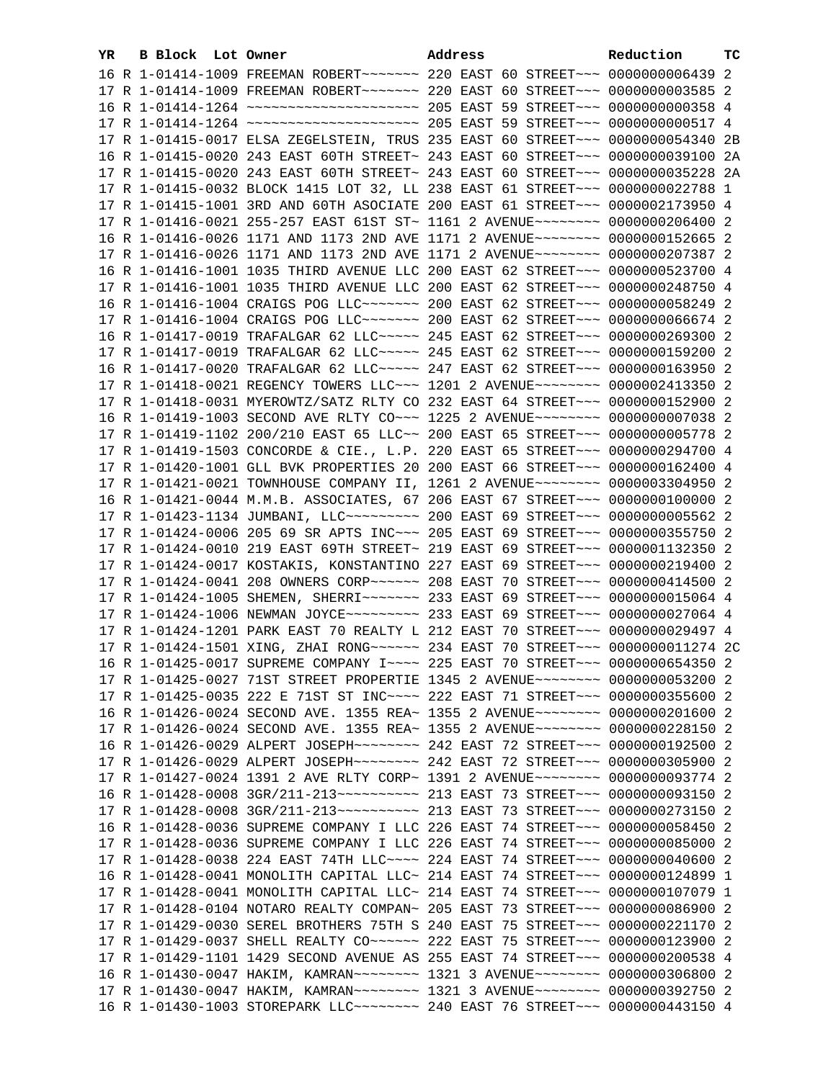| YR. | B Block Lot Owner |                                                                                           | Address |  | Reduction       | тc |
|-----|-------------------|-------------------------------------------------------------------------------------------|---------|--|-----------------|----|
|     |                   | 16 R 1-01414-1009 FREEMAN ROBERT~~~~~~~ 220 EAST 60 STREET~~~ 0000000006439 2             |         |  |                 |    |
|     |                   | 17 R 1-01414-1009 FREEMAN ROBERT~~~~~~~ 220 EAST 60 STREET~~~ 0000000003585 2             |         |  |                 |    |
|     |                   | 16 R 1-01414-1264 ~~~~~~~~~~~~~~~~~~~~~~~~~~~~~~~ 205 EAST 59 STREET~~~~ 00000000000358 4 |         |  |                 |    |
|     |                   | 17 R 1-01414-1264 ~~~~~~~~~~~~~~~~~~~~~~~~~~~~~~~ 205 EAST 59 STREET~~~ 00000000000517 4  |         |  |                 |    |
|     |                   | 17 R 1-01415-0017 ELSA ZEGELSTEIN, TRUS 235 EAST 60 STREET~~~ 0000000054340 2B            |         |  |                 |    |
|     |                   | 16 R 1-01415-0020 243 EAST 60TH STREET~ 243 EAST 60 STREET~~~ 0000000039100 2A            |         |  |                 |    |
|     |                   | 17 R 1-01415-0020 243 EAST 60TH STREET~ 243 EAST 60 STREET~~~ 0000000035228 2A            |         |  |                 |    |
|     |                   | 17 R 1-01415-0032 BLOCK 1415 LOT 32, LL 238 EAST 61 STREET~~~ 0000000022788 1             |         |  |                 |    |
|     |                   | 17 R 1-01415-1001 3RD AND 60TH ASOCIATE 200 EAST 61 STREET~~~ 0000002173950 4             |         |  |                 |    |
|     |                   | 17 R 1-01416-0021 255-257 EAST 61ST ST~ 1161 2 AVENUE~~~~~~~~~ 0000000206400 2            |         |  |                 |    |
|     |                   | 16 R 1-01416-0026 1171 AND 1173 2ND AVE 1171 2 AVENUE~~~~~~~~ 0000000152665 2             |         |  |                 |    |
|     |                   | 17 R 1-01416-0026 1171 AND 1173 2ND AVE 1171 2 AVENUE~~~~~~~~ 0000000207387 2             |         |  |                 |    |
|     |                   | 16 R 1-01416-1001 1035 THIRD AVENUE LLC 200 EAST 62 STREET~~~ 0000000523700 4             |         |  |                 |    |
|     |                   | 17 R 1-01416-1001 1035 THIRD AVENUE LLC 200 EAST 62 STREET~~~ 0000000248750 4             |         |  |                 |    |
|     |                   | 16 R 1-01416-1004 CRAIGS POG LLC ~~~~~~~ 200 EAST 62 STREET ~~~ 0000000058249 2           |         |  |                 |    |
|     |                   | 17 R 1-01416-1004 CRAIGS POG LLC ~~~~~~~ 200 EAST 62 STREET ~~~ 0000000066674 2           |         |  |                 |    |
|     |                   | 16 R 1-01417-0019 TRAFALGAR 62 LLC ---- 245 EAST 62 STREET --- 0000000269300 2            |         |  |                 |    |
|     |                   | 17 R 1-01417-0019 TRAFALGAR 62 LLC ---- 245 EAST 62 STREET --- 0000000159200 2            |         |  |                 |    |
|     |                   | 16 R 1-01417-0020 TRAFALGAR 62 LLC ---- 247 EAST 62 STREET -- 0000000163950 2             |         |  |                 |    |
|     |                   | 17 R 1-01418-0021 REGENCY TOWERS LLC~~~ 1201 2 AVENUE~~~~~~~~ 0000002413350 2             |         |  |                 |    |
|     |                   | 17 R 1-01418-0031 MYEROWTZ/SATZ RLTY CO 232 EAST 64 STREET~~~ 0000000152900 2             |         |  |                 |    |
|     |                   | 16 R 1-01419-1003 SECOND AVE RLTY CO~~~ 1225 2 AVENUE~~~~~~~~ 00000000007038 2            |         |  |                 |    |
|     |                   | 17 R 1-01419-1102 200/210 EAST 65 LLC~~ 200 EAST 65 STREET~~~ 0000000005778 2             |         |  |                 |    |
|     |                   | 17 R 1-01419-1503 CONCORDE & CIE., L.P. 220 EAST 65 STREET~~~ 0000000294700 4             |         |  |                 |    |
|     |                   | 17 R 1-01420-1001 GLL BVK PROPERTIES 20 200 EAST 66 STREET~~~ 0000000162400 4             |         |  |                 |    |
|     |                   | 17 R 1-01421-0021 TOWNHOUSE COMPANY II, 1261 2 AVENUE~~~~~~~~~ 0000003304950 2            |         |  |                 |    |
|     |                   | 16 R 1-01421-0044 M.M.B. ASSOCIATES, 67 206 EAST 67 STREET~~~ 0000000100000 2             |         |  |                 |    |
|     |                   | 17 R 1-01423-1134 JUMBANI, LLC --------- 200 EAST 69 STREET --- 00000000005562 2          |         |  |                 |    |
|     |                   | 17 R 1-01424-0006 205 69 SR APTS INC~~~ 205 EAST 69 STREET~~~ 0000000355750 2             |         |  |                 |    |
|     |                   | 17 R 1-01424-0010 219 EAST 69TH STREET~ 219 EAST 69 STREET~~~ 0000001132350 2             |         |  |                 |    |
|     |                   | 17 R 1-01424-0017 KOSTAKIS, KONSTANTINO 227 EAST 69 STREET~~~ 0000000219400 2             |         |  |                 |    |
|     |                   | 17 R 1-01424-0041 208 OWNERS CORP ~~~~~~~~~~~ 208 EAST 70 STREET ~~~~ 0000000414500 2     |         |  |                 |    |
|     |                   | 17 R 1-01424-1005 SHEMEN, SHERRI~~~~~~~~ 233 EAST 69 STREET~~~ 0000000015064 4            |         |  |                 |    |
|     |                   | 17 R 1-01424-1006 NEWMAN JOYCE~~~~~~~~~~ 233 EAST 69 STREET~~~ 0000000027064 4            |         |  |                 |    |
|     |                   | 17 R 1-01424-1201 PARK EAST 70 REALTY L 212 EAST 70 STREET~~~ 0000000029497 4             |         |  |                 |    |
|     |                   | 17 R 1-01424-1501 XING, ZHAI RONG~~~~~~ 234 EAST 70 STREET~~~ 00000000011274 2C           |         |  |                 |    |
|     |                   | 16 R 1-01425-0017 SUPREME COMPANY I~~~~ 225 EAST 70 STREET~~~ 0000000654350 2             |         |  |                 |    |
|     |                   | 17 R 1-01425-0027 71ST STREET PROPERTIE 1345 2 AVENUE~~~~~~~~ 0000000053200 2             |         |  |                 |    |
|     |                   | 17 R 1-01425-0035 222 E 71ST ST INC~~~~ 222 EAST 71 STREET~~~ 0000000355600 2             |         |  |                 |    |
|     |                   | 16 R 1-01426-0024 SECOND AVE. 1355 REA~ 1355 2 AVENUE~~~~~~~~ 0000000201600 2             |         |  |                 |    |
|     |                   | 17 R 1-01426-0024 SECOND AVE. 1355 REA~ 1355 2 AVENUE~~~~~~~~~ 0000000228150              |         |  |                 | -2 |
|     |                   | 16 R 1-01426-0029 ALPERT JOSEPH~~~~~~~~~ 242 EAST 72 STREET~~~ 0000000192500              |         |  |                 | -2 |
|     |                   | 17 R 1-01426-0029 ALPERT JOSEPH~~~~~~~~~ 242 EAST 72 STREET~~~ 0000000305900 2            |         |  |                 |    |
|     |                   | 17 R 1-01427-0024 1391 2 AVE RLTY CORP~ 1391 2 AVENUE~~~~~~~~~                            |         |  | 0000000093774 2 |    |
|     |                   | 16 R 1-01428-0008 3GR/211-213~~~~~~~~~~~~~~~ 213 EAST 73 STREET~~~                        |         |  | 0000000093150 2 |    |
|     |                   | 17 R 1-01428-0008 3GR/211-213~~~~~~~~~~~~~~~ 213 EAST 73 STREET~~~                        |         |  | 0000000273150 2 |    |
|     |                   | 16 R 1-01428-0036 SUPREME COMPANY I LLC 226 EAST 74 STREET~~~                             |         |  | 0000000058450 2 |    |
|     |                   | 17 R 1-01428-0036 SUPREME COMPANY I LLC 226 EAST 74 STREET~~~                             |         |  | 0000000085000 2 |    |
|     |                   | 17 R 1-01428-0038 224 EAST 74TH LLC ~~~~ 224 EAST 74 STREET ~~~                           |         |  | 0000000040600 2 |    |
|     |                   | 16 R 1-01428-0041 MONOLITH CAPITAL LLC~ 214 EAST 74 STREET~~~                             |         |  | 0000000124899 1 |    |
|     |                   | 17 R 1-01428-0041 MONOLITH CAPITAL LLC~ 214 EAST 74 STREET~~~                             |         |  | 0000000107079 1 |    |
|     |                   | 17 R 1-01428-0104 NOTARO REALTY COMPAN~ 205 EAST 73 STREET~~~                             |         |  | 0000000086900 2 |    |
|     |                   | 17 R 1-01429-0030 SEREL BROTHERS 75TH S 240 EAST 75 STREET~~~                             |         |  | 0000000221170   | -2 |
|     |                   | 17 R 1-01429-0037 SHELL REALTY CO~~~~~~ 222 EAST 75 STREET~~~                             |         |  | 0000000123900 2 |    |
|     |                   | 17 R 1-01429-1101 1429 SECOND AVENUE AS 255 EAST 74 STREET~~~ 0000000200538 4             |         |  |                 |    |
|     |                   | 16 R 1-01430-0047 HAKIM, KAMRAN~~~~~~~~ 1321 3 AVENUE~~~~~~~~ 0000000306800 2             |         |  |                 |    |
|     |                   | 17 R 1-01430-0047 HAKIM, KAMRAN~~~~~~~~ 1321 3 AVENUE~~~~~~~~ 0000000392750 2             |         |  |                 |    |
|     |                   | 16 R 1-01430-1003 STOREPARK LLC -------- 240 EAST 76 STREET --- 0000000443150 4           |         |  |                 |    |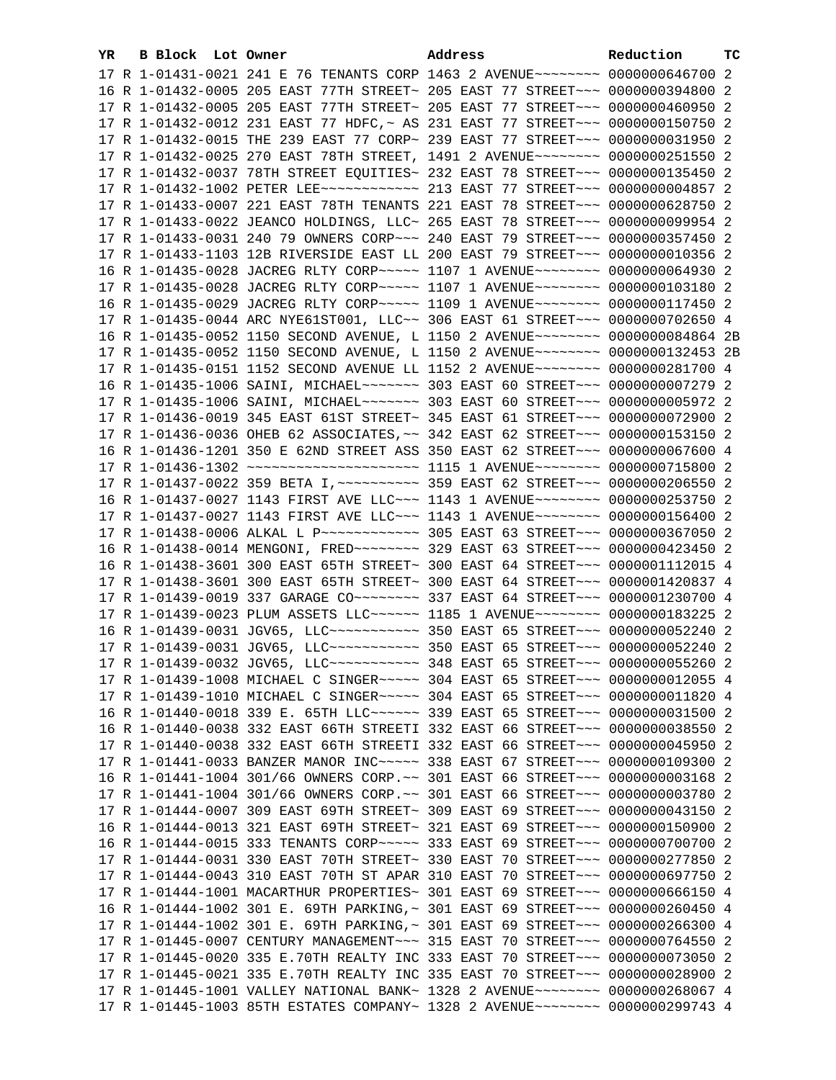| YR. | B Block Lot Owner | Address                                                                               | Reduction | тc |
|-----|-------------------|---------------------------------------------------------------------------------------|-----------|----|
|     |                   | 17 R 1-01431-0021 241 E 76 TENANTS CORP 1463 2 AVENUE~~~~~~~~ 0000000646700 2         |           |    |
|     |                   | 16 R 1-01432-0005 205 EAST 77TH STREET~ 205 EAST 77 STREET~~~ 0000000394800 2         |           |    |
|     |                   | 17 R 1-01432-0005 205 EAST 77TH STREET~ 205 EAST 77 STREET~~~ 0000000460950 2         |           |    |
|     |                   | 17 R 1-01432-0012 231 EAST 77 HDFC, ~ AS 231 EAST 77 STREET~~~ 0000000150750 2        |           |    |
|     |                   | 17 R 1-01432-0015 THE 239 EAST 77 CORP~ 239 EAST 77 STREET~~~ 0000000031950 2         |           |    |
|     |                   | 17 R 1-01432-0025 270 EAST 78TH STREET, 1491 2 AVENUE~~~~~~~~~ 0000000251550 2        |           |    |
|     |                   | 17 R 1-01432-0037 78TH STREET EQUITIES~ 232 EAST 78 STREET~~~ 0000000135450 2         |           |    |
|     |                   | 17 R 1-01432-1002 PETER LEE ------------ 213 EAST 77 STREET --- 0000000004857 2       |           |    |
|     |                   | 17 R 1-01433-0007 221 EAST 78TH TENANTS 221 EAST 78 STREET~~~ 0000000628750 2         |           |    |
|     |                   | 17 R 1-01433-0022 JEANCO HOLDINGS, LLC~ 265 EAST 78 STREET~~~ 0000000099954 2         |           |    |
|     |                   |                                                                                       |           |    |
|     |                   | 17 R 1-01433-0031 240 79 OWNERS CORP~~~ 240 EAST 79 STREET~~~ 0000000357450 2         |           |    |
|     |                   | 17 R 1-01433-1103 12B RIVERSIDE EAST LL 200 EAST 79 STREET~~~ 0000000010356 2         |           |    |
|     |                   | 16 R 1-01435-0028 JACREG RLTY CORP~~~~~ 1107 1 AVENUE~~~~~~~~ 0000000064930 2         |           |    |
|     |                   | 17 R 1-01435-0028 JACREG RLTY CORP~~~~~ 1107 1 AVENUE~~~~~~~~ 0000000103180 2         |           |    |
|     |                   | 16 R 1-01435-0029 JACREG RLTY CORP~~~~~ 1109 1 AVENUE~~~~~~~~ 0000000117450 2         |           |    |
|     |                   | 17 R 1-01435-0044 ARC NYE61ST001, LLC~~ 306 EAST 61 STREET~~~ 0000000702650 4         |           |    |
|     |                   | 16 R 1-01435-0052 1150 SECOND AVENUE, L 1150 2 AVENUE~~~~~~~~~ 0000000084864 2B       |           |    |
|     |                   | 17 R 1-01435-0052 1150 SECOND AVENUE, L 1150 2 AVENUE~~~~~~~~~ 0000000132453 2B       |           |    |
|     |                   | 17 R 1-01435-0151 1152 SECOND AVENUE LL 1152 2 AVENUE~~~~~~~~ 0000000281700 4         |           |    |
|     |                   | 16 R 1-01435-1006 SAINI, MICHAEL~~~~~~~~~~~~~ 303 EAST 60 STREET~~~~ 00000000007279 2 |           |    |
|     |                   |                                                                                       |           |    |
|     |                   | 17 R 1-01436-0019 345 EAST 61ST STREET~ 345 EAST 61 STREET~~~ 0000000072900 2         |           |    |
|     |                   | 17 R 1-01436-0036 OHEB 62 ASSOCIATES, ~~ 342 EAST 62 STREET~~~ 0000000153150 2        |           |    |
|     |                   | 16 R 1-01436-1201 350 E 62ND STREET ASS 350 EAST 62 STREET~~~ 0000000067600 4         |           |    |
|     |                   | 17 R 1-01436-1302 ~~~~~~~~~~~~~~~~~~~~~~~ 1115 1 AVENUE~~~~~~~~ 0000000715800 2       |           |    |
|     |                   | 17 R 1-01437-0022 359 BETA I, ~~~~~~~~~~ 359 EAST 62 STREET~~~ 0000000206550 2        |           |    |
|     |                   | 16 R 1-01437-0027 1143 FIRST AVE LLC ~~~ 1143 1 AVENUE ~~~~~~~~ 0000000253750 2       |           |    |
|     |                   | 17 R 1-01437-0027 1143 FIRST AVE LLC~~~ 1143 1 AVENUE~~~~~~~~ 0000000156400 2         |           |    |
|     |                   | 17 R 1-01438-0006 ALKAL L P ------------ 305 EAST 63 STREET -- 0000000367050 2        |           |    |
|     |                   |                                                                                       |           |    |
|     |                   | 16 R 1-01438-3601 300 EAST 65TH STREET~ 300 EAST 64 STREET~~~ 0000001112015 4         |           |    |
|     |                   | 17 R 1-01438-3601 300 EAST 65TH STREET~ 300 EAST 64 STREET~~~ 0000001420837 4         |           |    |
|     |                   | 17 R 1-01439-0019 337 GARAGE CO ------- 337 EAST 64 STREET -- 0000001230700 4         |           |    |
|     |                   | 17 R 1-01439-0023 PLUM ASSETS LLC ----- 1185 1 AVENUE ------- 0000000183225 2         |           |    |
|     |                   | 16 R 1-01439-0031 JGV65, LLC ----------- 350 EAST 65 STREET --- 0000000052240 2       |           |    |
|     |                   | 17 R 1-01439-0031 JGV65, LLC ----------- 350 EAST 65 STREET --- 0000000052240 2       |           |    |
|     |                   | 17 R 1-01439-0032 JGV65, LLC ----------- 348 EAST 65 STREET --- 0000000055260 2       |           |    |
|     |                   | 17 R 1-01439-1008 MICHAEL C SINGER~~~~~ 304 EAST 65 STREET~~~ 0000000012055 4         |           |    |
|     |                   | 17 R 1-01439-1010 MICHAEL C SINGER~~~~~ 304 EAST 65 STREET~~~ 0000000011820 4         |           |    |
|     |                   | 16 R 1-01440-0018 339 E. 65TH LLC ----- 339 EAST 65 STREET -- 0000000031500 2         |           |    |
|     |                   | 16 R 1-01440-0038 332 EAST 66TH STREETI 332 EAST 66 STREET~~~ 0000000038550 2         |           |    |
|     |                   | 17 R 1-01440-0038 332 EAST 66TH STREETI 332 EAST 66 STREET~~~ 0000000045950 2         |           |    |
|     |                   | 17 R 1-01441-0033 BANZER MANOR INC ---- 338 EAST 67 STREET --- 0000000109300 2        |           |    |
|     |                   | 16 R 1-01441-1004 301/66 OWNERS CORP. ~~ 301 EAST 66 STREET~~~ 00000000003168 2       |           |    |
|     |                   | 17 R 1-01441-1004 301/66 OWNERS CORP. ~~ 301 EAST 66 STREET ~~~ 0000000003780 2       |           |    |
|     |                   | 17 R 1-01444-0007 309 EAST 69TH STREET~ 309 EAST 69 STREET~~~ 0000000043150 2         |           |    |
|     |                   | 16 R 1-01444-0013 321 EAST 69TH STREET~ 321 EAST 69 STREET~~~ 0000000150900 2         |           |    |
|     |                   | 16 R 1-01444-0015 333 TENANTS CORP~~~~~ 333 EAST 69 STREET~~~ 0000000700700 2         |           |    |
|     |                   | 17 R 1-01444-0031 330 EAST 70TH STREET~ 330 EAST 70 STREET~~~ 0000000277850 2         |           |    |
|     |                   | 17 R 1-01444-0043 310 EAST 70TH ST APAR 310 EAST 70 STREET~~~ 0000000697750 2         |           |    |
|     |                   | 17 R 1-01444-1001 MACARTHUR PROPERTIES~ 301 EAST 69 STREET~~~ 0000000666150 4         |           |    |
|     |                   | 16 R 1-01444-1002 301 E. 69TH PARKING, ~ 301 EAST 69 STREET~~~ 0000000260450 4        |           |    |
|     |                   | 17 R 1-01444-1002 301 E. 69TH PARKING,~ 301 EAST 69 STREET~~~ 0000000266300 4         |           |    |
|     |                   | 17 R 1-01445-0007 CENTURY MANAGEMENT~~~ 315 EAST 70 STREET~~~ 0000000764550 2         |           |    |
|     |                   | 17 R 1-01445-0020 335 E.70TH REALTY INC 333 EAST 70 STREET~~~ 0000000073050 2         |           |    |
|     |                   | 17 R 1-01445-0021 335 E.70TH REALTY INC 335 EAST 70 STREET~~~ 0000000028900 2         |           |    |
|     |                   | 17 R 1-01445-1001 VALLEY NATIONAL BANK~ 1328 2 AVENUE~~~~~~~~ 0000000268067 4         |           |    |
|     |                   | 17 R 1-01445-1003 85TH ESTATES COMPANY~ 1328 2 AVENUE~~~~~~~~ 0000000299743 4         |           |    |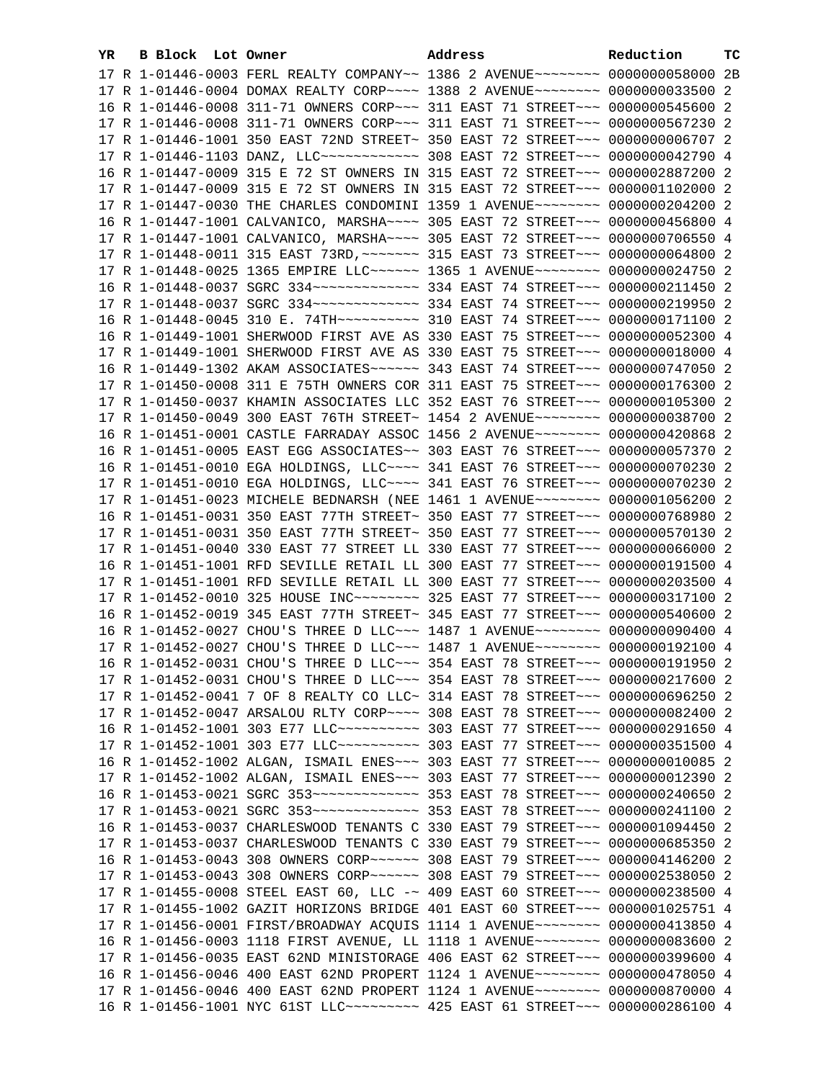| YR. | B Block Lot Owner |                                                                                      | Address | Reduction | тc |
|-----|-------------------|--------------------------------------------------------------------------------------|---------|-----------|----|
|     |                   | 17 R 1-01446-0003 FERL REALTY COMPANY~~ 1386 2 AVENUE~~~~~~~~ 0000000058000 2B       |         |           |    |
|     |                   | 17 R 1-01446-0004 DOMAX REALTY CORP~~~~ 1388 2 AVENUE~~~~~~~~ 0000000033500 2        |         |           |    |
|     |                   | 16 R 1-01446-0008 311-71 OWNERS CORP~~~ 311 EAST 71 STREET~~~ 0000000545600 2        |         |           |    |
|     |                   | 17 R 1-01446-0008 311-71 OWNERS CORP~~~ 311 EAST 71 STREET~~~ 0000000567230 2        |         |           |    |
|     |                   | 17 R 1-01446-1001 350 EAST 72ND STREET~ 350 EAST 72 STREET~~~ 0000000006707 2        |         |           |    |
|     |                   | 17 R 1-01446-1103 DANZ, LLC ------------ 308 EAST 72 STREET --- 0000000042790 4      |         |           |    |
|     |                   | 16 R 1-01447-0009 315 E 72 ST OWNERS IN 315 EAST 72 STREET~~~ 0000002887200 2        |         |           |    |
|     |                   | 17 R 1-01447-0009 315 E 72 ST OWNERS IN 315 EAST 72 STREET~~~ 0000001102000 2        |         |           |    |
|     |                   | 17 R 1-01447-0030 THE CHARLES CONDOMINI 1359 1 AVENUE~~~~~~~~ 0000000204200 2        |         |           |    |
|     |                   | 16 R 1-01447-1001 CALVANICO, MARSHA~~~~ 305 EAST 72 STREET~~~ 0000000456800 4        |         |           |    |
|     |                   | 17 R 1-01447-1001 CALVANICO, MARSHA~~~~ 305 EAST 72 STREET~~~ 0000000706550 4        |         |           |    |
|     |                   | 17 R 1-01448-0011 315 EAST 73RD, ~~~~~~~ 315 EAST 73 STREET~~~ 0000000064800 2       |         |           |    |
|     |                   | 17 R 1-01448-0025 1365 EMPIRE LLC ----- 1365 1 AVENUE ------- 0000000024750 2        |         |           |    |
|     |                   |                                                                                      |         |           |    |
|     |                   |                                                                                      |         |           |    |
|     |                   |                                                                                      |         |           |    |
|     |                   | 16 R 1-01448-0045 310 E. 74TH ---------- 310 EAST 74 STREET --- 0000000171100 2      |         |           |    |
|     |                   | 16 R 1-01449-1001 SHERWOOD FIRST AVE AS 330 EAST 75 STREET~~~ 0000000052300 4        |         |           |    |
|     |                   | 17 R 1-01449-1001 SHERWOOD FIRST AVE AS 330 EAST 75 STREET~~~ 0000000018000 4        |         |           |    |
|     |                   | 16 R 1-01449-1302 AKAM ASSOCIATES ----- 343 EAST 74 STREET -- 0000000747050 2        |         |           |    |
|     |                   | 17 R 1-01450-0008 311 E 75TH OWNERS COR 311 EAST 75 STREET~~~ 0000000176300 2        |         |           |    |
|     |                   | 17 R 1-01450-0037 KHAMIN ASSOCIATES LLC 352 EAST 76 STREET~~~ 0000000105300 2        |         |           |    |
|     |                   | 17 R 1-01450-0049 300 EAST 76TH STREET~ 1454 2 AVENUE~~~~~~~~~ 0000000038700 2       |         |           |    |
|     |                   | 16 R 1-01451-0001 CASTLE FARRADAY ASSOC 1456 2 AVENUE~~~~~~~~~ 0000000420868 2       |         |           |    |
|     |                   | 16 R 1-01451-0005 EAST EGG ASSOCIATES~~ 303 EAST 76 STREET~~~ 0000000057370 2        |         |           |    |
|     |                   | 16 R 1-01451-0010 EGA HOLDINGS, LLC~~~~ 341 EAST 76 STREET~~~ 0000000070230 2        |         |           |    |
|     |                   | 17 R 1-01451-0010 EGA HOLDINGS, LLC~~~~ 341 EAST 76 STREET~~~ 0000000070230 2        |         |           |    |
|     |                   | 17 R 1-01451-0023 MICHELE BEDNARSH (NEE 1461 1 AVENUE~~~~~~~~~ 0000001056200 2       |         |           |    |
|     |                   | 16 R 1-01451-0031 350 EAST 77TH STREET~ 350 EAST 77 STREET~~~ 0000000768980 2        |         |           |    |
|     |                   | 17 R 1-01451-0031 350 EAST 77TH STREET~ 350 EAST 77 STREET~~~ 0000000570130 2        |         |           |    |
|     |                   | 17 R 1-01451-0040 330 EAST 77 STREET LL 330 EAST 77 STREET~~~ 0000000066000 2        |         |           |    |
|     |                   | 16 R 1-01451-1001 RFD SEVILLE RETAIL LL 300 EAST 77 STREET~~~ 0000000191500 4        |         |           |    |
|     |                   | 17 R 1-01451-1001 RFD SEVILLE RETAIL LL 300 EAST 77 STREET~~~ 0000000203500 4        |         |           |    |
|     |                   | 17 R 1-01452-0010 325 HOUSE INC~~~~~~~~~~~~~~ 325 EAST 77 STREET~~~~ 0000000317100 2 |         |           |    |
|     |                   | 16 R 1-01452-0019 345 EAST 77TH STREET~ 345 EAST 77 STREET~~~ 0000000540600 2        |         |           |    |
|     |                   | 16 R 1-01452-0027 CHOU'S THREE D LLC~~~ 1487 1 AVENUE~~~~~~~~ 0000000090400 4        |         |           |    |
|     |                   | 17 R 1-01452-0027 CHOU'S THREE D LLC ~~~ 1487 1 AVENUE ~~~~~~~~ 0000000192100 4      |         |           |    |
|     |                   | 16 R 1-01452-0031 CHOU'S THREE D LLC~~~ 354 EAST 78 STREET~~~ 0000000191950 2        |         |           |    |
|     |                   | 17 R 1-01452-0031 CHOU'S THREE D LLC~~~ 354 EAST 78 STREET~~~ 0000000217600 2        |         |           |    |
|     |                   | 17 R 1-01452-0041 7 OF 8 REALTY CO LLC~ 314 EAST 78 STREET~~~ 0000000696250 2        |         |           |    |
|     |                   | 17 R 1-01452-0047 ARSALOU RLTY CORP~~~~ 308 EAST 78 STREET~~~ 0000000082400 2        |         |           |    |
|     |                   | 16 R 1-01452-1001 303 E77 LLC~~~~~~~~~~~~~~~ 303 EAST 77 STREET~~~ 0000000291650 4   |         |           |    |
|     |                   | 17 R 1-01452-1001 303 E77 LLC ---------- 303 EAST 77 STREET -- 0000000351500 4       |         |           |    |
|     |                   | 16 R 1-01452-1002 ALGAN, ISMAIL ENES~~~ 303 EAST 77 STREET~~~ 0000000010085 2        |         |           |    |
|     |                   | 17 R 1-01452-1002 ALGAN, ISMAIL ENES~~~ 303 EAST 77 STREET~~~ 0000000012390 2        |         |           |    |
|     |                   |                                                                                      |         |           |    |
|     |                   |                                                                                      |         |           |    |
|     |                   | 16 R 1-01453-0037 CHARLESWOOD TENANTS C 330 EAST 79 STREET~~~ 0000001094450 2        |         |           |    |
|     |                   | 17 R 1-01453-0037 CHARLESWOOD TENANTS C 330 EAST 79 STREET~~~ 0000000685350 2        |         |           |    |
|     |                   | 16 R 1-01453-0043 308 OWNERS CORP~~~~~~ 308 EAST 79 STREET~~~ 0000004146200 2        |         |           |    |
|     |                   | 17 R 1-01453-0043 308 OWNERS CORP~~~~~~ 308 EAST 79 STREET~~~ 0000002538050 2        |         |           |    |
|     |                   | 17 R 1-01455-0008 STEEL EAST 60, LLC -~ 409 EAST 60 STREET~~~ 0000000238500 4        |         |           |    |
|     |                   | 17 R 1-01455-1002 GAZIT HORIZONS BRIDGE 401 EAST 60 STREET~~~ 0000001025751 4        |         |           |    |
|     |                   | 17 R 1-01456-0001 FIRST/BROADWAY ACQUIS 1114 1 AVENUE~~~~~~~~~ 0000000413850 4       |         |           |    |
|     |                   | 16 R 1-01456-0003 1118 FIRST AVENUE, LL 1118 1 AVENUE~~~~~~~~ 0000000083600 2        |         |           |    |
|     |                   | 17 R 1-01456-0035 EAST 62ND MINISTORAGE 406 EAST 62 STREET~~~ 0000000399600 4        |         |           |    |
|     |                   | 16 R 1-01456-0046 400 EAST 62ND PROPERT 1124 1 AVENUE~~~~~~~~ 0000000478050 4        |         |           |    |
|     |                   | 17 R 1-01456-0046 400 EAST 62ND PROPERT 1124 1 AVENUE~~~~~~~~ 0000000870000 4        |         |           |    |
|     |                   | 16 R 1-01456-1001 NYC 61ST LLC~~~~~~~~~~~~~~ 425 EAST 61 STREET~~~~ 0000000286100 4  |         |           |    |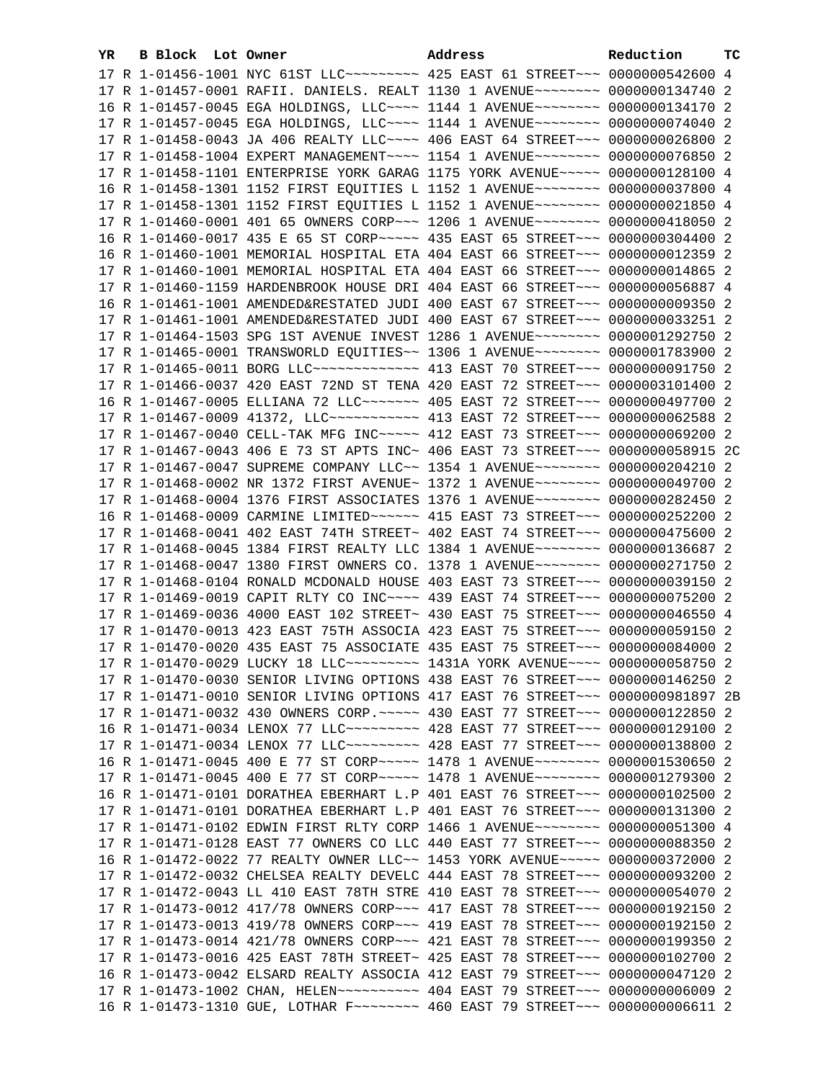| YR. | B Block Lot Owner |                                                                                                                                                                 | Address | Reduction | тc |
|-----|-------------------|-----------------------------------------------------------------------------------------------------------------------------------------------------------------|---------|-----------|----|
|     |                   | 17 R 1-01456-1001 NYC 61ST LLC --------- 425 EAST 61 STREET -- 0000000542600 4                                                                                  |         |           |    |
|     |                   | 17 R 1-01457-0001 RAFII. DANIELS. REALT 1130 1 AVENUE~~~~~~~~ 0000000134740 2                                                                                   |         |           |    |
|     |                   | 16 R 1-01457-0045 EGA HOLDINGS, LLC --- 1144 1 AVENUE ------- 0000000134170 2                                                                                   |         |           |    |
|     |                   | 17 R 1-01457-0045 EGA HOLDINGS, LLC~~~~ 1144 1 AVENUE~~~~~~~~ 0000000074040 2                                                                                   |         |           |    |
|     |                   | 17 R 1-01458-0043 JA 406 REALTY LLC~~~~ 406 EAST 64 STREET~~~ 0000000026800 2                                                                                   |         |           |    |
|     |                   | 17 R 1-01458-1004 EXPERT MANAGEMENT~~~~ 1154 1 AVENUE~~~~~~~~ 0000000076850 2                                                                                   |         |           |    |
|     |                   | 17 R 1-01458-1101 ENTERPRISE YORK GARAG 1175 YORK AVENUE~~~~~ 0000000128100 4                                                                                   |         |           |    |
|     |                   | 16 R 1-01458-1301 1152 FIRST EQUITIES L 1152 1 AVENUE~~~~~~~~ 0000000037800 4                                                                                   |         |           |    |
|     |                   | 17 R 1-01458-1301 1152 FIRST EQUITIES L 1152 1 AVENUE~~~~~~~~ 0000000021850 4                                                                                   |         |           |    |
|     |                   | 17 R 1-01460-0001 401 65 OWNERS CORP~~~ 1206 1 AVENUE~~~~~~~~ 0000000418050 2                                                                                   |         |           |    |
|     |                   | 16 R 1-01460-0017 435 E 65 ST CORP~~~~~ 435 EAST 65 STREET~~~ 0000000304400 2                                                                                   |         |           |    |
|     |                   | 16 R 1-01460-1001 MEMORIAL HOSPITAL ETA 404 EAST 66 STREET~~~ 0000000012359 2                                                                                   |         |           |    |
|     |                   |                                                                                                                                                                 |         |           |    |
|     |                   | 17 R 1-01460-1001 MEMORIAL HOSPITAL ETA 404 EAST 66 STREET~~~ 0000000014865 2                                                                                   |         |           |    |
|     |                   | 17 R 1-01460-1159 HARDENBROOK HOUSE DRI 404 EAST 66 STREET~~~ 0000000056887 4                                                                                   |         |           |    |
|     |                   | 16 R 1-01461-1001 AMENDED&RESTATED JUDI 400 EAST 67 STREET~~~ 0000000009350 2                                                                                   |         |           |    |
|     |                   | 17 R 1-01461-1001 AMENDED&RESTATED JUDI 400 EAST 67 STREET~~~ 0000000033251 2                                                                                   |         |           |    |
|     |                   | 17 R 1-01464-1503 SPG 1ST AVENUE INVEST 1286 1 AVENUE~~~~~~~~ 0000001292750 2                                                                                   |         |           |    |
|     |                   | 17 R 1-01465-0001 TRANSWORLD EQUITIES~~ 1306 1 AVENUE~~~~~~~~ 0000001783900 2                                                                                   |         |           |    |
|     |                   | 17 R 1-01465-0011 BORG LLC ------------- 413 EAST 70 STREET --- 0000000091750 2                                                                                 |         |           |    |
|     |                   | 17 R 1-01466-0037 420 EAST 72ND ST TENA 420 EAST 72 STREET~~~ 0000003101400 2                                                                                   |         |           |    |
|     |                   | 16 R 1-01467-0005 ELLIANA 72 LLC~~~~~~~~ 405 EAST 72 STREET~~~ 0000000497700 2                                                                                  |         |           |    |
|     |                   | 17 R 1-01467-0009 41372, LLC ----------- 413 EAST 72 STREET --- 0000000062588 2                                                                                 |         |           |    |
|     |                   | 17 R 1-01467-0040 CELL-TAK MFG INC~~~~~ 412 EAST 73 STREET~~~ 0000000069200 2                                                                                   |         |           |    |
|     |                   | 17 R 1-01467-0043 406 E 73 ST APTS INC~ 406 EAST 73 STREET~~~ 0000000058915 2C                                                                                  |         |           |    |
|     |                   | 17 R 1-01467-0047 SUPREME COMPANY LLC~~ 1354 1 AVENUE~~~~~~~~ 0000000204210 2                                                                                   |         |           |    |
|     |                   | 17 R 1-01468-0002 NR 1372 FIRST AVENUE~ 1372 1 AVENUE~~~~~~~~~ 0000000049700 2                                                                                  |         |           |    |
|     |                   | 17 R 1-01468-0004 1376 FIRST ASSOCIATES 1376 1 AVENUE~~~~~~~~ 0000000282450 2                                                                                   |         |           |    |
|     |                   | 16 R 1-01468-0009 CARMINE LIMITED ----- 415 EAST 73 STREET -- 0000000252200 2                                                                                   |         |           |    |
|     |                   | 17 R 1-01468-0041 402 EAST 74TH STREET~ 402 EAST 74 STREET~~~ 0000000475600 2                                                                                   |         |           |    |
|     |                   | 17 R 1-01468-0045 1384 FIRST REALTY LLC 1384 1 AVENUE~~~~~~~~~ 0000000136687 2                                                                                  |         |           |    |
|     |                   | 17 R 1-01468-0047 1380 FIRST OWNERS CO. 1378 1 AVENUE~~~~~~~~ 0000000271750 2                                                                                   |         |           |    |
|     |                   | 17 R 1-01468-0104 RONALD MCDONALD HOUSE 403 EAST 73 STREET~~~ 0000000039150 2<br>17 R 1-01469-0019 CAPIT RLTY CO INC~~~~ 439 EAST 74 STREET~~~ 0000000075200 2  |         |           |    |
|     |                   | 17 R 1-01469-0036 4000 EAST 102 STREET~ 430 EAST 75 STREET~~~ 0000000046550 4                                                                                   |         |           |    |
|     |                   |                                                                                                                                                                 |         |           |    |
|     |                   | 17 R 1-01470-0013 423 EAST 75TH ASSOCIA 423 EAST 75 STREET~~~ 0000000059150 2<br>17 R 1-01470-0020 435 EAST 75 ASSOCIATE 435 EAST 75 STREET~~~ 0000000084000 2  |         |           |    |
|     |                   | 17 R 1-01470-0029 LUCKY 18 LLC --------- 1431A YORK AVENUE --- 0000000058750 2                                                                                  |         |           |    |
|     |                   |                                                                                                                                                                 |         |           |    |
|     |                   | 17 R 1-01470-0030 SENIOR LIVING OPTIONS 438 EAST 76 STREET~~~ 0000000146250 2<br>17 R 1-01471-0010 SENIOR LIVING OPTIONS 417 EAST 76 STREET~~~ 0000000981897 2B |         |           |    |
|     |                   | 17 R 1-01471-0032 430 OWNERS CORP. ~~~~~ 430 EAST 77 STREET~~~ 0000000122850 2                                                                                  |         |           |    |
|     |                   | 16 R 1-01471-0034 LENOX 77 LLC~~~~~~~~~~ 428 EAST 77 STREET~~~ 0000000129100 2                                                                                  |         |           |    |
|     |                   | 17 R 1-01471-0034 LENOX 77 LLC --------- 428 EAST 77 STREET --- 0000000138800 2                                                                                 |         |           |    |
|     |                   | 16 R 1-01471-0045 400 E 77 ST CORP~~~~~ 1478 1 AVENUE~~~~~~~~ 0000001530650 2                                                                                   |         |           |    |
|     |                   | 17 R 1-01471-0045 400 E 77 ST CORP~~~~~ 1478 1 AVENUE~~~~~~~~ 0000001279300 2                                                                                   |         |           |    |
|     |                   | 16 R 1-01471-0101 DORATHEA EBERHART L.P 401 EAST 76 STREET~~~ 0000000102500 2                                                                                   |         |           |    |
|     |                   | 17 R 1-01471-0101 DORATHEA EBERHART L.P 401 EAST 76 STREET~~~ 0000000131300 2                                                                                   |         |           |    |
|     |                   | 17 R 1-01471-0102 EDWIN FIRST RLTY CORP 1466 1 AVENUE~~~~~~~~ 0000000051300 4                                                                                   |         |           |    |
|     |                   | 17 R 1-01471-0128 EAST 77 OWNERS CO LLC 440 EAST 77 STREET~~~ 0000000088350 2                                                                                   |         |           |    |
|     |                   | 16 R 1-01472-0022 77 REALTY OWNER LLC~~ 1453 YORK AVENUE~~~~~ 0000000372000 2                                                                                   |         |           |    |
|     |                   | 17 R 1-01472-0032 CHELSEA REALTY DEVELC 444 EAST 78 STREET~~~ 0000000093200 2                                                                                   |         |           |    |
|     |                   | 17 R 1-01472-0043 LL 410 EAST 78TH STRE 410 EAST 78 STREET~~~ 0000000054070 2                                                                                   |         |           |    |
|     |                   | 17 R 1-01473-0012 417/78 OWNERS CORP~~~ 417 EAST 78 STREET~~~ 0000000192150 2                                                                                   |         |           |    |
|     |                   | 17 R 1-01473-0013 419/78 OWNERS CORP~~~ 419 EAST 78 STREET~~~ 0000000192150 2                                                                                   |         |           |    |
|     |                   | 17 R 1-01473-0014 421/78 OWNERS CORP~~~ 421 EAST 78 STREET~~~ 0000000199350 2                                                                                   |         |           |    |
|     |                   | 17 R 1-01473-0016 425 EAST 78TH STREET~ 425 EAST 78 STREET~~~ 0000000102700 2                                                                                   |         |           |    |
|     |                   | 16 R 1-01473-0042 ELSARD REALTY ASSOCIA 412 EAST 79 STREET~~~ 0000000047120 2                                                                                   |         |           |    |
|     |                   | 17 R 1-01473-1002 CHAN, HELEN~~~~~~~~~~~~~~~ 404 EAST 79 STREET~~~~ 00000000006009 2                                                                            |         |           |    |
|     |                   | 16 R 1-01473-1310 GUE, LOTHAR F~~~~~~~~~ 460 EAST 79 STREET~~~ 00000000006611 2                                                                                 |         |           |    |
|     |                   |                                                                                                                                                                 |         |           |    |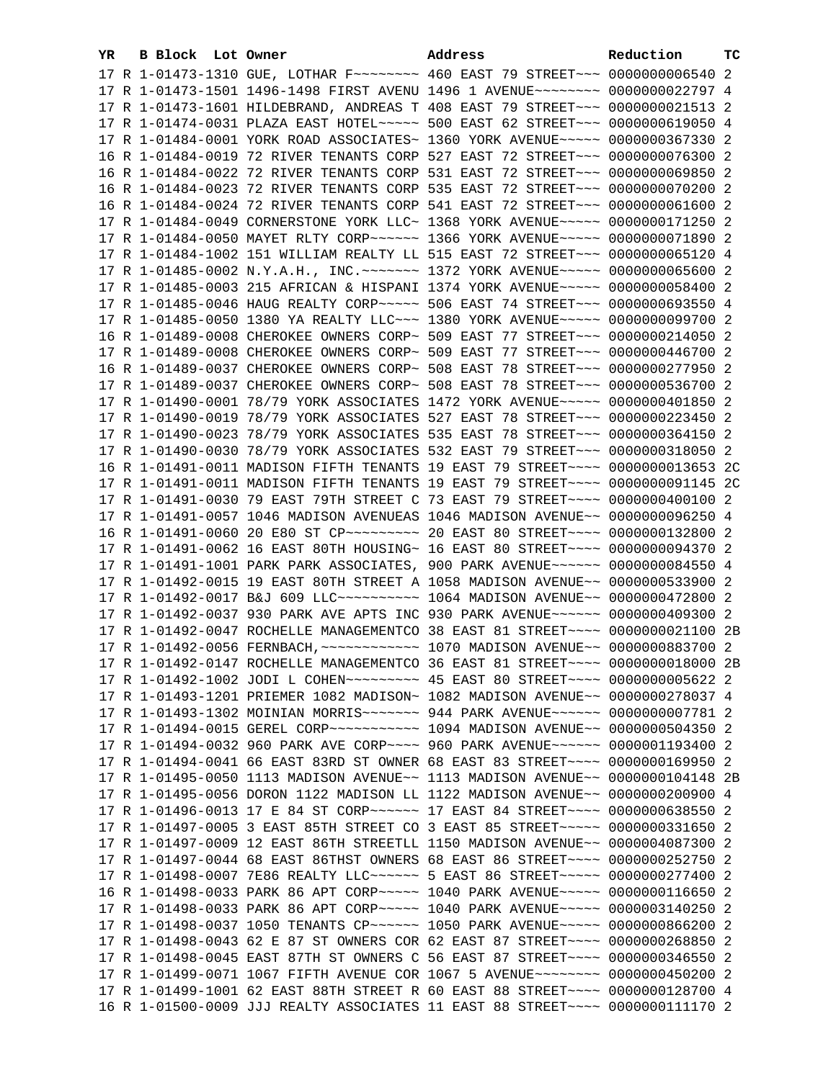| YR. | B Block Lot Owner | Address                                                                                              | Reduction | тc |
|-----|-------------------|------------------------------------------------------------------------------------------------------|-----------|----|
|     |                   | 17 R 1-01473-1310 GUE, LOTHAR F~~~~~~~~ 460 EAST 79 STREET~~~ 0000000006540 2                        |           |    |
|     |                   | 17 R 1-01473-1501 1496-1498 FIRST AVENU 1496 1 AVENUE~~~~~~~~ 0000000022797 4                        |           |    |
|     |                   | 17 R 1-01473-1601 HILDEBRAND, ANDREAS T 408 EAST 79 STREET~~~ 0000000021513 2                        |           |    |
|     |                   | 17 R 1-01474-0031 PLAZA EAST HOTEL~~~~~ 500 EAST 62 STREET~~~ 0000000619050 4                        |           |    |
|     |                   | 17 R 1-01484-0001 YORK ROAD ASSOCIATES~ 1360 YORK AVENUE~~~~~ 0000000367330 2                        |           |    |
|     |                   | 16 R 1-01484-0019 72 RIVER TENANTS CORP 527 EAST 72 STREET~~~ 0000000076300 2                        |           |    |
|     |                   | 16 R 1-01484-0022 72 RIVER TENANTS CORP 531 EAST 72 STREET~~~ 0000000069850 2                        |           |    |
|     |                   | 16 R 1-01484-0023 72 RIVER TENANTS CORP 535 EAST 72 STREET~~~ 0000000070200 2                        |           |    |
|     |                   | 16 R 1-01484-0024 72 RIVER TENANTS CORP 541 EAST 72 STREET~~~ 0000000061600 2                        |           |    |
|     |                   | 17 R 1-01484-0049 CORNERSTONE YORK LLC~ 1368 YORK AVENUE~~~~~ 0000000171250 2                        |           |    |
|     |                   | 17 R 1-01484-0050 MAYET RLTY CORP~~~~~~ 1366 YORK AVENUE~~~~~ 0000000071890 2                        |           |    |
|     |                   | 17 R 1-01484-1002 151 WILLIAM REALTY LL 515 EAST 72 STREET~~~ 0000000065120 4                        |           |    |
|     |                   |                                                                                                      |           |    |
|     |                   | 17 R 1-01485-0003 215 AFRICAN & HISPANI 1374 YORK AVENUE~~~~~ 0000000058400 2                        |           |    |
|     |                   | 17 R 1-01485-0046 HAUG REALTY CORP~~~~~ 506 EAST 74 STREET~~~ 0000000693550 4                        |           |    |
|     |                   | 17 R 1-01485-0050 1380 YA REALTY LLC -- 1380 YORK AVENUE --- 0000000099700 2                         |           |    |
|     |                   | 16 R 1-01489-0008 CHEROKEE OWNERS CORP~ 509 EAST 77 STREET~~~ 0000000214050 2                        |           |    |
|     |                   | 17 R 1-01489-0008 CHEROKEE OWNERS CORP~ 509 EAST 77 STREET~~~ 0000000446700 2                        |           |    |
|     |                   | 16 R 1-01489-0037 CHEROKEE OWNERS CORP~ 508 EAST 78 STREET~~~ 0000000277950 2                        |           |    |
|     |                   | 17 R 1-01489-0037 CHEROKEE OWNERS CORP~ 508 EAST 78 STREET~~~ 0000000536700 2                        |           |    |
|     |                   | 17 R 1-01490-0001 78/79 YORK ASSOCIATES 1472 YORK AVENUE~~~~~ 0000000401850 2                        |           |    |
|     |                   | 17 R 1-01490-0019 78/79 YORK ASSOCIATES 527 EAST 78 STREET~~~ 0000000223450 2                        |           |    |
|     |                   | 17 R 1-01490-0023 78/79 YORK ASSOCIATES 535 EAST 78 STREET~~~ 0000000364150 2                        |           |    |
|     |                   | 17 R 1-01490-0030 78/79 YORK ASSOCIATES 532 EAST 79 STREET~~~ 0000000318050 2                        |           |    |
|     |                   | 16 R 1-01491-0011 MADISON FIFTH TENANTS 19 EAST 79 STREET~~~~ 0000000013653 2C                       |           |    |
|     |                   | 17 R 1-01491-0011 MADISON FIFTH TENANTS 19 EAST 79 STREET~~~~ 0000000091145 2C                       |           |    |
|     |                   | 17 R 1-01491-0030 79 EAST 79TH STREET C 73 EAST 79 STREET~~~~ 0000000400100 2                        |           |    |
|     |                   | 17 R 1-01491-0057 1046 MADISON AVENUEAS 1046 MADISON AVENUE~~ 0000000096250 4                        |           |    |
|     |                   | 16 R 1-01491-0060 20 E80 ST CP --------- 20 EAST 80 STREET --- 0000000132800 2                       |           |    |
|     |                   | 17 R 1-01491-0062 16 EAST 80TH HOUSING~ 16 EAST 80 STREET~~~~ 0000000094370 2                        |           |    |
|     |                   | 17 R 1-01491-1001 PARK PARK ASSOCIATES, 900 PARK AVENUE~~~~~~ 0000000084550 4                        |           |    |
|     |                   | 17 R 1-01492-0015 19 EAST 80TH STREET A 1058 MADISON AVENUE~~ 0000000533900 2                        |           |    |
|     |                   | 17 R 1-01492-0017 B&J 609 LLC ---------- 1064 MADISON AVENUE -- 0000000472800 2                      |           |    |
|     |                   | 17 R 1-01492-0037 930 PARK AVE APTS INC 930 PARK AVENUE~~~~~~ 0000000409300 2                        |           |    |
|     |                   | 17 R 1-01492-0047 ROCHELLE MANAGEMENTCO 38 EAST 81 STREET~~~~ 0000000021100 2B                       |           |    |
|     |                   |                                                                                                      |           |    |
|     |                   | 17 R 1-01492-0147 ROCHELLE MANAGEMENTCO 36 EAST 81 STREET~~~~ 0000000018000 2B                       |           |    |
|     |                   | 17 R 1-01492-1002 JODI L COHEN~~~~~~~~~~~~~~ 45 EAST 80 STREET~~~~ 0000000005622 2                   |           |    |
|     |                   | 17 R 1-01493-1201 PRIEMER 1082 MADISON~ 1082 MADISON AVENUE~~ 0000000278037 4                        |           |    |
|     |                   | 17 R 1-01493-1302 MOINIAN MORRIS~~~~~~~ 944 PARK AVENUE~~~~~~ 0000000007781 2                        |           |    |
|     |                   | 17 R 1-01494-0015 GEREL CORP~~~~~~~~~~~~~~~~ 1094 MADISON AVENUE~~ 0000000504350 2                   |           |    |
|     |                   | 17 R 1-01494-0032 960 PARK AVE CORP~~~~ 960 PARK AVENUE~~~~~~ 0000001193400 2                        |           |    |
|     |                   | 17 R 1-01494-0041 66 EAST 83RD ST OWNER 68 EAST 83 STREET~~~~ 0000000169950 2                        |           |    |
|     |                   | 17 R 1-01495-0050 1113 MADISON AVENUE~~ 1113 MADISON AVENUE~~ 0000000104148 2B                       |           |    |
|     |                   | 17 R 1-01495-0056 DORON 1122 MADISON LL 1122 MADISON AVENUE~~ 0000000200900 4                        |           |    |
|     |                   | 17 R 1-01496-0013 17 E 84 ST CORP~~~~~~~ 17 EAST 84 STREET~~~~ 0000000638550 2                       |           |    |
|     |                   | 17 R 1-01497-0005 3 EAST 85TH STREET CO 3 EAST 85 STREET~~~~~ 0000000331650 2                        |           |    |
|     |                   | 17 R 1-01497-0009 12 EAST 86TH STREETLL 1150 MADISON AVENUE~~ 0000004087300 2                        |           |    |
|     |                   | 17 R 1-01497-0044 68 EAST 86THST OWNERS 68 EAST 86 STREET~~~~ 0000000252750 2                        |           |    |
|     |                   | 17 R 1-01498-0007 7E86 REALTY LLC ----- 5 EAST 86 STREET ---- 0000000277400 2                        |           |    |
|     |                   | 16 R 1-01498-0033 PARK 86 APT CORP~~~~~ 1040 PARK AVENUE~~~~~ 0000000116650 2                        |           |    |
|     |                   | 17 R 1-01498-0033 PARK 86 APT CORP ~~~~~~~~~~~~~ 1040 PARK AVENUE ~~~~~~~~~~~~~~~~~~~~~~~~~~~~~~~~~~ |           |    |
|     |                   | 17 R 1-01498-0037 1050 TENANTS CP ----- 1050 PARK AVENUE ---- 0000000866200 2                        |           |    |
|     |                   | 17 R 1-01498-0043 62 E 87 ST OWNERS COR 62 EAST 87 STREET~~~~ 0000000268850 2                        |           |    |
|     |                   | 17 R 1-01498-0045 EAST 87TH ST OWNERS C 56 EAST 87 STREET~~~~ 0000000346550 2                        |           |    |
|     |                   | 17 R 1-01499-0071 1067 FIFTH AVENUE COR 1067 5 AVENUE~~~~~~~~ 0000000450200 2                        |           |    |
|     |                   | 17 R 1-01499-1001 62 EAST 88TH STREET R 60 EAST 88 STREET~~~~ 0000000128700 4                        |           |    |
|     |                   | 16 R 1-01500-0009 JJJ REALTY ASSOCIATES 11 EAST 88 STREET~~~~ 0000000111170 2                        |           |    |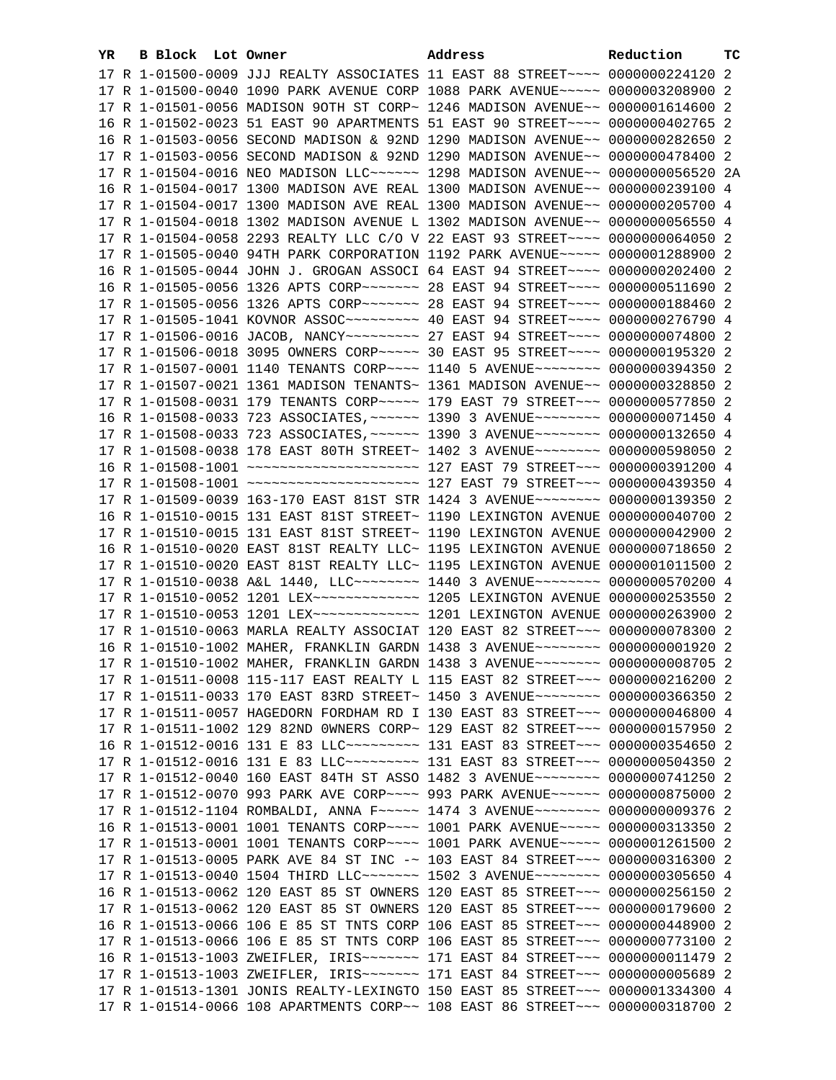| YR. | <b>B Block Lot Owner</b> |  | Address                                                                                                                                                        | Reduction | тc |
|-----|--------------------------|--|----------------------------------------------------------------------------------------------------------------------------------------------------------------|-----------|----|
|     |                          |  | 17 R 1-01500-0009 JJJ REALTY ASSOCIATES 11 EAST 88 STREET~~~~ 0000000224120 2                                                                                  |           |    |
|     |                          |  | 17 R 1-01500-0040 1090 PARK AVENUE CORP 1088 PARK AVENUE~~~~~ 0000003208900 2                                                                                  |           |    |
|     |                          |  | 17 R 1-01501-0056 MADISON 9OTH ST CORP~ 1246 MADISON AVENUE~~ 0000001614600 2                                                                                  |           |    |
|     |                          |  | 16 R 1-01502-0023 51 EAST 90 APARTMENTS 51 EAST 90 STREET~~~~ 0000000402765 2                                                                                  |           |    |
|     |                          |  | 16 R 1-01503-0056 SECOND MADISON & 92ND 1290 MADISON AVENUE~~ 0000000282650 2                                                                                  |           |    |
|     |                          |  | 17 R 1-01503-0056 SECOND MADISON & 92ND 1290 MADISON AVENUE~~ 0000000478400 2                                                                                  |           |    |
|     |                          |  | 17 R 1-01504-0016 NEO MADISON LLC~~~~~~ 1298 MADISON AVENUE~~ 0000000056520 2A                                                                                 |           |    |
|     |                          |  | 16 R 1-01504-0017 1300 MADISON AVE REAL 1300 MADISON AVENUE~~ 0000000239100 4                                                                                  |           |    |
|     |                          |  | 17 R 1-01504-0017 1300 MADISON AVE REAL 1300 MADISON AVENUE~~ 0000000205700 4                                                                                  |           |    |
|     |                          |  | 17 R 1-01504-0018 1302 MADISON AVENUE L 1302 MADISON AVENUE~~ 0000000056550 4                                                                                  |           |    |
|     |                          |  | 17 R 1-01504-0058 2293 REALTY LLC C/O V 22 EAST 93 STREET~~~~ 0000000064050 2                                                                                  |           |    |
|     |                          |  |                                                                                                                                                                |           |    |
|     |                          |  | 17 R 1-01505-0040 94TH PARK CORPORATION 1192 PARK AVENUE~~~~~ 0000001288900 2<br>16 R 1-01505-0044 JOHN J. GROGAN ASSOCI 64 EAST 94 STREET~~~~ 0000000202400 2 |           |    |
|     |                          |  |                                                                                                                                                                |           |    |
|     |                          |  | 16 R 1-01505-0056 1326 APTS CORP~~~~~~~ 28 EAST 94 STREET~~~~ 0000000511690 2                                                                                  |           |    |
|     |                          |  | 17 R 1-01505-0056 1326 APTS CORP~~~~~~~ 28 EAST 94 STREET~~~~ 0000000188460 2                                                                                  |           |    |
|     |                          |  |                                                                                                                                                                |           |    |
|     |                          |  | 17 R 1-01506-0016 JACOB, NANCY~~~~~~~~~~~~~~ 27 EAST 94 STREET~~~~~ 0000000074800 2                                                                            |           |    |
|     |                          |  | 17 R 1-01506-0018 3095 OWNERS CORP~~~~~ 30 EAST 95 STREET~~~~ 0000000195320 2                                                                                  |           |    |
|     |                          |  | 17 R 1-01507-0001 1140 TENANTS CORP~~~~ 1140 5 AVENUE~~~~~~~~ 0000000394350 2                                                                                  |           |    |
|     |                          |  | 17 R 1-01507-0021 1361 MADISON TENANTS~ 1361 MADISON AVENUE~~ 0000000328850 2                                                                                  |           |    |
|     |                          |  | 17 R 1-01508-0031 179 TENANTS CORP~~~~~ 179 EAST 79 STREET~~~ 0000000577850 2                                                                                  |           |    |
|     |                          |  | 16 R 1-01508-0033 723 ASSOCIATES, ~~~~~~ 1390 3 AVENUE~~~~~~~~ 0000000071450 4                                                                                 |           |    |
|     |                          |  | 17 R 1-01508-0033 723 ASSOCIATES, ~~~~~~ 1390 3 AVENUE~~~~~~~~ 0000000132650 4                                                                                 |           |    |
|     |                          |  | 17 R 1-01508-0038 178 EAST 80TH STREET~ 1402 3 AVENUE~~~~~~~~~ 0000000598050 2                                                                                 |           |    |
|     |                          |  |                                                                                                                                                                |           |    |
|     |                          |  |                                                                                                                                                                |           |    |
|     |                          |  | 17 R 1-01509-0039 163-170 EAST 81ST STR 1424 3 AVENUE~~~~~~~~~ 0000000139350 2                                                                                 |           |    |
|     |                          |  | 16 R 1-01510-0015 131 EAST 81ST STREET~ 1190 LEXINGTON AVENUE 0000000040700 2                                                                                  |           |    |
|     |                          |  | 17 R 1-01510-0015 131 EAST 81ST STREET~ 1190 LEXINGTON AVENUE 0000000042900 2                                                                                  |           |    |
|     |                          |  | 16 R 1-01510-0020 EAST 81ST REALTY LLC~ 1195 LEXINGTON AVENUE 0000000718650 2                                                                                  |           |    |
|     |                          |  | 17 R 1-01510-0020 EAST 81ST REALTY LLC~ 1195 LEXINGTON AVENUE 0000001011500 2                                                                                  |           |    |
|     |                          |  | 17 R 1-01510-0038 A&L 1440, LLC -------- 1440 3 AVENUE -------- 0000000570200 4                                                                                |           |    |
|     |                          |  | 17 R 1-01510-0052 1201 LEX ------------- 1205 LEXINGTON AVENUE 0000000253550 2                                                                                 |           |    |
|     |                          |  | 17 R 1-01510-0053 1201 LEX ------------- 1201 LEXINGTON AVENUE 0000000263900 2                                                                                 |           |    |
|     |                          |  | 17 R 1-01510-0063 MARLA REALTY ASSOCIAT 120 EAST 82 STREET~~~ 0000000078300 2                                                                                  |           |    |
|     |                          |  | 16 R 1-01510-1002 MAHER, FRANKLIN GARDN 1438 3 AVENUE~~~~~~~~ 00000000001920 2                                                                                 |           |    |
|     |                          |  | 17 R 1-01510-1002 MAHER, FRANKLIN GARDN 1438 3 AVENUE~~~~~~~~ 0000000008705 2                                                                                  |           |    |
|     |                          |  | 17 R 1-01511-0008 115-117 EAST REALTY L 115 EAST 82 STREET~~~ 0000000216200 2                                                                                  |           |    |
|     |                          |  | 17 R 1-01511-0033 170 EAST 83RD STREET~ 1450 3 AVENUE~~~~~~~~ 0000000366350 2                                                                                  |           |    |
|     |                          |  | 17 R 1-01511-0057 HAGEDORN FORDHAM RD I 130 EAST 83 STREET~~~ 0000000046800 4                                                                                  |           |    |
|     |                          |  | 17 R 1-01511-1002 129 82ND OWNERS CORP~ 129 EAST 82 STREET~~~ 0000000157950 2                                                                                  |           |    |
|     |                          |  | 16 R 1-01512-0016 131 E 83 LLC --------- 131 EAST 83 STREET -- 0000000354650 2                                                                                 |           |    |
|     |                          |  | 17 R 1-01512-0016 131 E 83 LLC --------- 131 EAST 83 STREET -- 0000000504350 2                                                                                 |           |    |
|     |                          |  | 17 R 1-01512-0040 160 EAST 84TH ST ASSO 1482 3 AVENUE~~~~~~~~ 0000000741250 2                                                                                  |           |    |
|     |                          |  | 17 R 1-01512-0070 993 PARK AVE CORP~~~~ 993 PARK AVENUE~~~~~~ 0000000875000 2                                                                                  |           |    |
|     |                          |  | 17 R 1-01512-1104 ROMBALDI, ANNA F~~~~~ 1474 3 AVENUE~~~~~~~~ 0000000009376 2                                                                                  |           |    |
|     |                          |  | 16 R 1-01513-0001 1001 TENANTS CORP~~~~ 1001 PARK AVENUE~~~~~ 0000000313350 2                                                                                  |           |    |
|     |                          |  | 17 R 1-01513-0001 1001 TENANTS CORP~~~~ 1001 PARK AVENUE~~~~~ 0000001261500 2                                                                                  |           |    |
|     |                          |  | 17 R 1-01513-0005 PARK AVE 84 ST INC -~ 103 EAST 84 STREET~~~ 0000000316300 2                                                                                  |           |    |
|     |                          |  | 17 R 1-01513-0040 1504 THIRD LLC ------- 1502 3 AVENUE ------- 0000000305650 4                                                                                 |           |    |
|     |                          |  | 16 R 1-01513-0062 120 EAST 85 ST OWNERS 120 EAST 85 STREET~~~ 0000000256150 2                                                                                  |           |    |
|     |                          |  | 17 R 1-01513-0062 120 EAST 85 ST OWNERS 120 EAST 85 STREET~~~ 0000000179600 2                                                                                  |           |    |
|     |                          |  | 16 R 1-01513-0066 106 E 85 ST TNTS CORP 106 EAST 85 STREET~~~ 0000000448900 2                                                                                  |           |    |
|     |                          |  | 17 R 1-01513-0066 106 E 85 ST TNTS CORP 106 EAST 85 STREET~~~ 0000000773100 2                                                                                  |           |    |
|     |                          |  | 16 R 1-01513-1003 ZWEIFLER, IRIS ------- 171 EAST 84 STREET -- 00000000011479 2                                                                                |           |    |
|     |                          |  | 17 R 1-01513-1003 ZWEIFLER, IRIS ------- 171 EAST 84 STREET --- 00000000005689 2                                                                               |           |    |
|     |                          |  | 17 R 1-01513-1301 JONIS REALTY-LEXINGTO 150 EAST 85 STREET~~~ 0000001334300 4                                                                                  |           |    |
|     |                          |  | 17 R 1-01514-0066 108 APARTMENTS CORP~~ 108 EAST 86 STREET~~~ 0000000318700 2                                                                                  |           |    |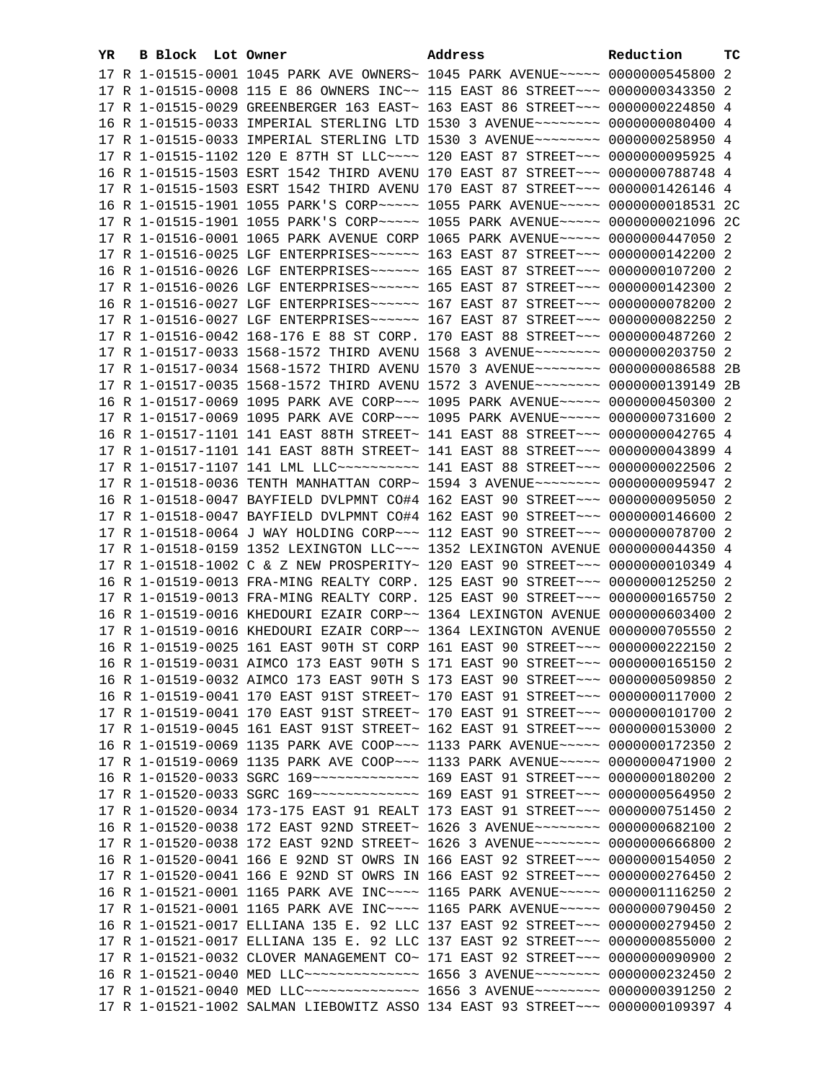| YR. | B Block Lot Owner |                                                                                      | Address | Reduction | ТC |
|-----|-------------------|--------------------------------------------------------------------------------------|---------|-----------|----|
|     |                   | 17 R 1-01515-0001 1045 PARK AVE OWNERS~ 1045 PARK AVENUE~~~~~ 0000000545800 2        |         |           |    |
|     |                   | 17 R 1-01515-0008 115 E 86 OWNERS INC~~ 115 EAST 86 STREET~~~ 0000000343350 2        |         |           |    |
|     |                   | 17 R 1-01515-0029 GREENBERGER 163 EAST~ 163 EAST 86 STREET~~~ 0000000224850 4        |         |           |    |
|     |                   | 16 R 1-01515-0033 IMPERIAL STERLING LTD 1530 3 AVENUE~~~~~~~~ 0000000080400 4        |         |           |    |
|     |                   | 17 R 1-01515-0033 IMPERIAL STERLING LTD 1530 3 AVENUE~~~~~~~~ 0000000258950 4        |         |           |    |
|     |                   | 17 R 1-01515-1102 120 E 87TH ST LLC~~~~ 120 EAST 87 STREET~~~ 0000000095925 4        |         |           |    |
|     |                   | 16 R 1-01515-1503 ESRT 1542 THIRD AVENU 170 EAST 87 STREET~~~ 0000000788748 4        |         |           |    |
|     |                   | 17 R 1-01515-1503 ESRT 1542 THIRD AVENU 170 EAST 87 STREET~~~ 0000001426146 4        |         |           |    |
|     |                   | 16 R 1-01515-1901 1055 PARK'S CORP~~~~~ 1055 PARK AVENUE~~~~~ 0000000018531 2C       |         |           |    |
|     |                   | 17 R 1-01515-1901 1055 PARK'S CORP~~~~~ 1055 PARK AVENUE~~~~~ 0000000021096 2C       |         |           |    |
|     |                   | 17 R 1-01516-0001 1065 PARK AVENUE CORP 1065 PARK AVENUE~~~~~ 0000000447050 2        |         |           |    |
|     |                   | 17 R 1-01516-0025 LGF ENTERPRISES ----- 163 EAST 87 STREET -- 0000000142200 2        |         |           |    |
|     |                   |                                                                                      |         |           |    |
|     |                   |                                                                                      |         |           |    |
|     |                   |                                                                                      |         |           |    |
|     |                   |                                                                                      |         |           |    |
|     |                   | 17 R 1-01516-0042 168-176 E 88 ST CORP. 170 EAST 88 STREET~~~ 0000000487260 2        |         |           |    |
|     |                   | 17 R 1-01517-0033 1568-1572 THIRD AVENU 1568 3 AVENUE~~~~~~~~ 0000000203750 2        |         |           |    |
|     |                   | 17 R 1-01517-0034 1568-1572 THIRD AVENU 1570 3 AVENUE~~~~~~~~ 0000000086588 2B       |         |           |    |
|     |                   | 17 R 1-01517-0035 1568-1572 THIRD AVENU 1572 3 AVENUE~~~~~~~~ 0000000139149 2B       |         |           |    |
|     |                   | 16 R 1-01517-0069 1095 PARK AVE CORP~~~ 1095 PARK AVENUE~~~~~ 0000000450300 2        |         |           |    |
|     |                   | 17 R 1-01517-0069 1095 PARK AVE CORP~~~ 1095 PARK AVENUE~~~~~ 0000000731600 2        |         |           |    |
|     |                   | 16 R 1-01517-1101 141 EAST 88TH STREET~ 141 EAST 88 STREET~~~ 0000000042765 4        |         |           |    |
|     |                   | 17 R 1-01517-1101 141 EAST 88TH STREET~ 141 EAST 88 STREET~~~ 0000000043899 4        |         |           |    |
|     |                   | 17 R 1-01517-1107 141 LML LLC ---------- 141 EAST 88 STREET --- 0000000022506 2      |         |           |    |
|     |                   | 17 R 1-01518-0036 TENTH MANHATTAN CORP~ 1594 3 AVENUE~~~~~~~~~ 0000000095947 2       |         |           |    |
|     |                   | 16 R 1-01518-0047 BAYFIELD DVLPMNT CO#4 162 EAST 90 STREET~~~ 0000000095050 2        |         |           |    |
|     |                   | 17 R 1-01518-0047 BAYFIELD DVLPMNT CO#4 162 EAST 90 STREET~~~ 0000000146600 2        |         |           |    |
|     |                   | 17 R 1-01518-0064 J WAY HOLDING CORP~~~ 112 EAST 90 STREET~~~ 0000000078700 2        |         |           |    |
|     |                   | 17 R 1-01518-0159 1352 LEXINGTON LLC~~~ 1352 LEXINGTON AVENUE 0000000044350 4        |         |           |    |
|     |                   | 17 R 1-01518-1002 C & Z NEW PROSPERITY~ 120 EAST 90 STREET~~~ 0000000010349 4        |         |           |    |
|     |                   | 16 R 1-01519-0013 FRA-MING REALTY CORP. 125 EAST 90 STREET~~~ 0000000125250 2        |         |           |    |
|     |                   | 17 R 1-01519-0013 FRA-MING REALTY CORP. 125 EAST 90 STREET~~~ 0000000165750 2        |         |           |    |
|     |                   | 16 R 1-01519-0016 KHEDOURI EZAIR CORP~~ 1364 LEXINGTON AVENUE 0000000603400 2        |         |           |    |
|     |                   | 17 R 1-01519-0016 KHEDOURI EZAIR CORP~~ 1364 LEXINGTON AVENUE 0000000705550 2        |         |           |    |
|     |                   | 16 R 1-01519-0025 161 EAST 90TH ST CORP 161 EAST 90 STREET~~~ 0000000222150 2        |         |           |    |
|     |                   | 16 R 1-01519-0031 AIMCO 173 EAST 90TH S 171 EAST 90 STREET~~~ 0000000165150 2        |         |           |    |
|     |                   | 16 R 1-01519-0032 AIMCO 173 EAST 90TH S 173 EAST 90 STREET~~~ 0000000509850 2        |         |           |    |
|     |                   | 16 R 1-01519-0041 170 EAST 91ST STREET~ 170 EAST 91 STREET~~~ 0000000117000 2        |         |           |    |
|     |                   | 17 R 1-01519-0041 170 EAST 91ST STREET~ 170 EAST 91 STREET~~~ 0000000101700 2        |         |           |    |
|     |                   | 17 R 1-01519-0045 161 EAST 91ST STREET~ 162 EAST 91 STREET~~~ 0000000153000 2        |         |           |    |
|     |                   | 16 R 1-01519-0069 1135 PARK AVE COOP~~~ 1133 PARK AVENUE~~~~~ 0000000172350 2        |         |           |    |
|     |                   | 17 R 1-01519-0069 1135 PARK AVE COOP~~~ 1133 PARK AVENUE~~~~~ 0000000471900 2        |         |           |    |
|     |                   | 16 R 1-01520-0033 SGRC 169~~~~~~~~~~~~~~~~~~~ 169 EAST 91 STREET~~~~ 0000000180200 2 |         |           |    |
|     |                   | 17 R 1-01520-0033 SGRC 169~~~~~~~~~~~~~~~~~~~ 169 EAST 91 STREET~~~~ 0000000564950 2 |         |           |    |
|     |                   | 17 R 1-01520-0034 173-175 EAST 91 REALT 173 EAST 91 STREET~~~ 0000000751450 2        |         |           |    |
|     |                   | 16 R 1-01520-0038 172 EAST 92ND STREET~ 1626 3 AVENUE~~~~~~~~~ 0000000682100 2       |         |           |    |
|     |                   | 17 R 1-01520-0038 172 EAST 92ND STREET~ 1626 3 AVENUE~~~~~~~~~ 0000000666800 2       |         |           |    |
|     |                   | 16 R 1-01520-0041 166 E 92ND ST OWRS IN 166 EAST 92 STREET~~~ 0000000154050 2        |         |           |    |
|     |                   | 17 R 1-01520-0041 166 E 92ND ST OWRS IN 166 EAST 92 STREET~~~ 0000000276450 2        |         |           |    |
|     |                   | 16 R 1-01521-0001 1165 PARK AVE INC~~~~ 1165 PARK AVENUE~~~~~ 0000001116250 2        |         |           |    |
|     |                   | 17 R 1-01521-0001 1165 PARK AVE INC~~~~ 1165 PARK AVENUE~~~~~ 0000000790450 2        |         |           |    |
|     |                   | 16 R 1-01521-0017 ELLIANA 135 E. 92 LLC 137 EAST 92 STREET~~~ 0000000279450 2        |         |           |    |
|     |                   | 17 R 1-01521-0017 ELLIANA 135 E. 92 LLC 137 EAST 92 STREET~~~ 0000000855000 2        |         |           |    |
|     |                   | 17 R 1-01521-0032 CLOVER MANAGEMENT CO~ 171 EAST 92 STREET~~~ 0000000090900 2        |         |           |    |
|     |                   | 16 R 1-01521-0040 MED LLC --------------- 1656 3 AVENUE ------- 0000000232450 2      |         |           |    |
|     |                   | 17 R 1-01521-0040 MED LLC~~~~~~~~~~~~~~~~~~~~ 1656 3 AVENUE~~~~~~~~~ 0000000391250 2 |         |           |    |
|     |                   | 17 R 1-01521-1002 SALMAN LIEBOWITZ ASSO 134 EAST 93 STREET~~~ 0000000109397 4        |         |           |    |
|     |                   |                                                                                      |         |           |    |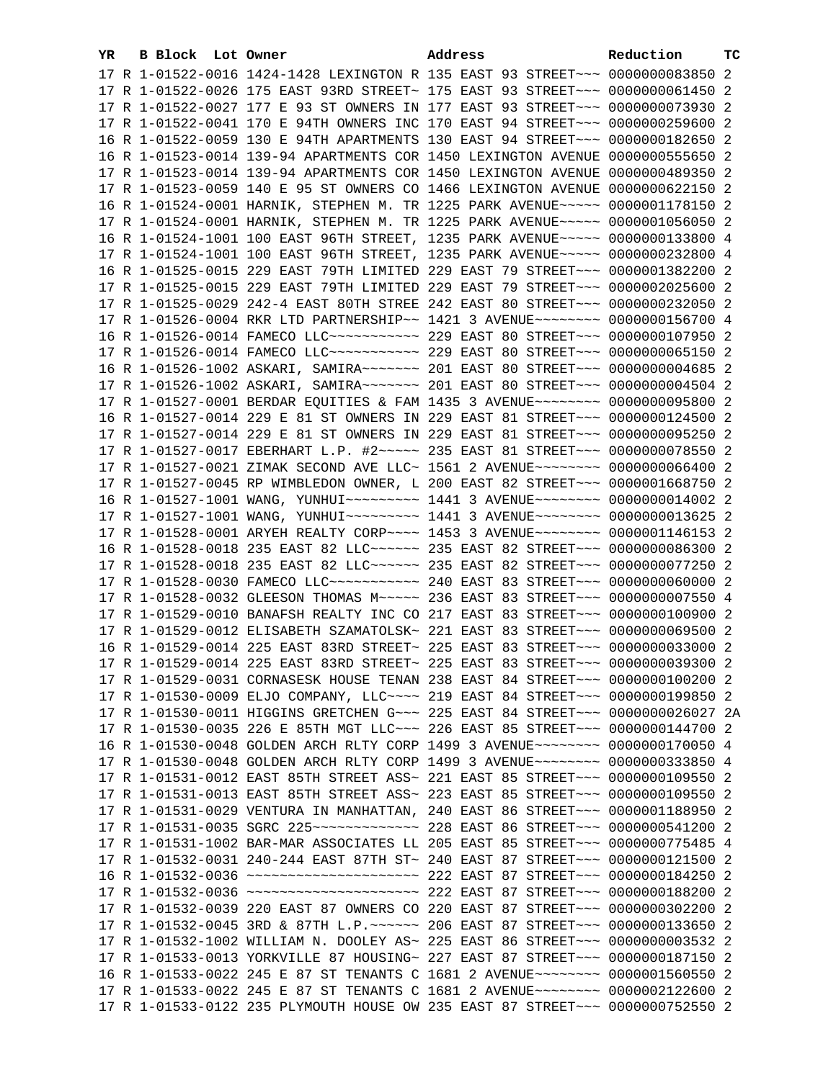| YR. | B Block Lot Owner |                                                                                                                                                                | Address | Reduction | тC |
|-----|-------------------|----------------------------------------------------------------------------------------------------------------------------------------------------------------|---------|-----------|----|
|     |                   | 17 R 1-01522-0016 1424-1428 LEXINGTON R 135 EAST 93 STREET~~~ 0000000083850 2                                                                                  |         |           |    |
|     |                   | 17 R 1-01522-0026 175 EAST 93RD STREET~ 175 EAST 93 STREET~~~ 0000000061450 2                                                                                  |         |           |    |
|     |                   | 17 R 1-01522-0027 177 E 93 ST OWNERS IN 177 EAST 93 STREET~~~ 0000000073930 2                                                                                  |         |           |    |
|     |                   | 17 R 1-01522-0041 170 E 94TH OWNERS INC 170 EAST 94 STREET~~~ 0000000259600 2                                                                                  |         |           |    |
|     |                   | 16 R 1-01522-0059 130 E 94TH APARTMENTS 130 EAST 94 STREET~~~ 0000000182650 2                                                                                  |         |           |    |
|     |                   | 16 R 1-01523-0014 139-94 APARTMENTS COR 1450 LEXINGTON AVENUE 0000000555650 2                                                                                  |         |           |    |
|     |                   | 17 R 1-01523-0014 139-94 APARTMENTS COR 1450 LEXINGTON AVENUE 0000000489350 2                                                                                  |         |           |    |
|     |                   | 17 R 1-01523-0059 140 E 95 ST OWNERS CO 1466 LEXINGTON AVENUE 0000000622150 2                                                                                  |         |           |    |
|     |                   | 16 R 1-01524-0001 HARNIK, STEPHEN M. TR 1225 PARK AVENUE~~~~~ 0000001178150 2                                                                                  |         |           |    |
|     |                   | 17 R 1-01524-0001 HARNIK, STEPHEN M. TR 1225 PARK AVENUE~~~~~ 0000001056050 2                                                                                  |         |           |    |
|     |                   | 16 R 1-01524-1001 100 EAST 96TH STREET, 1235 PARK AVENUE~~~~~ 0000000133800 4                                                                                  |         |           |    |
|     |                   | 17 R 1-01524-1001 100 EAST 96TH STREET, 1235 PARK AVENUE~~~~~ 0000000232800 4                                                                                  |         |           |    |
|     |                   | 16 R 1-01525-0015 229 EAST 79TH LIMITED 229 EAST 79 STREET~~~ 0000001382200 2                                                                                  |         |           |    |
|     |                   | 17 R 1-01525-0015 229 EAST 79TH LIMITED 229 EAST 79 STREET~~~ 0000002025600 2                                                                                  |         |           |    |
|     |                   | 17 R 1-01525-0029 242-4 EAST 80TH STREE 242 EAST 80 STREET~~~ 0000000232050 2                                                                                  |         |           |    |
|     |                   | 17 R 1-01526-0004 RKR LTD PARTNERSHIP ~~ 1421 3 AVENUE ~~~~~~~~~ 0000000156700 4                                                                               |         |           |    |
|     |                   | 16 R 1-01526-0014 FAMECO LLC~~~~~~~~~~~~~~~ 229 EAST 80 STREET~~~ 0000000107950 2                                                                              |         |           |    |
|     |                   | 17 R 1-01526-0014 FAMECO LLC~~~~~~~~~~~~~~~~ 229 EAST 80 STREET~~~ 0000000065150 2                                                                             |         |           |    |
|     |                   | 16 R 1-01526-1002 ASKARI, SAMIRA~~~~~~~ 201 EAST 80 STREET~~~ 0000000004685 2                                                                                  |         |           |    |
|     |                   | 17 R 1-01526-1002 ASKARI, SAMIRA~~~~~~~ 201 EAST 80 STREET~~~ 0000000004504 2                                                                                  |         |           |    |
|     |                   | 17 R 1-01527-0001 BERDAR EQUITIES & FAM 1435 3 AVENUE~~~~~~~~ 0000000095800 2<br>16 R 1-01527-0014 229 E 81 ST OWNERS IN 229 EAST 81 STREET~~~ 0000000124500 2 |         |           |    |
|     |                   | 17 R 1-01527-0014 229 E 81 ST OWNERS IN 229 EAST 81 STREET~~~ 0000000095250 2                                                                                  |         |           |    |
|     |                   | 17 R 1-01527-0017 EBERHART L.P. #2~~~~~ 235 EAST 81 STREET~~~ 0000000078550 2                                                                                  |         |           |    |
|     |                   | 17 R 1-01527-0021 ZIMAK SECOND AVE LLC~ 1561 2 AVENUE~~~~~~~~ 0000000066400 2                                                                                  |         |           |    |
|     |                   | 17 R 1-01527-0045 RP WIMBLEDON OWNER, L 200 EAST 82 STREET~~~ 0000001668750 2                                                                                  |         |           |    |
|     |                   | 16 R 1-01527-1001 WANG, YUNHUI~~~~~~~~~~ 1441 3 AVENUE~~~~~~~~ 0000000014002 2                                                                                 |         |           |    |
|     |                   | 17 R 1-01527-1001 WANG, YUNHUI~~~~~~~~~~ 1441 3 AVENUE~~~~~~~~ 0000000013625 2                                                                                 |         |           |    |
|     |                   | 17 R 1-01528-0001 ARYEH REALTY CORP~~~~ 1453 3 AVENUE~~~~~~~~ 0000001146153 2                                                                                  |         |           |    |
|     |                   | 16 R 1-01528-0018 235 EAST 82 LLC ----- 235 EAST 82 STREET -- 0000000086300 2                                                                                  |         |           |    |
|     |                   | 17 R 1-01528-0018 235 EAST 82 LLC ----- 235 EAST 82 STREET -- 0000000077250 2                                                                                  |         |           |    |
|     |                   | 17 R 1-01528-0030 FAMECO LLC~~~~~~~~~~~~~~~~ 240 EAST 83 STREET~~~ 0000000060000 2                                                                             |         |           |    |
|     |                   | 17 R 1-01528-0032 GLEESON THOMAS M~~~~~ 236 EAST 83 STREET~~~ 0000000007550 4                                                                                  |         |           |    |
|     |                   | 17 R 1-01529-0010 BANAFSH REALTY INC CO 217 EAST 83 STREET~~~ 0000000100900 2                                                                                  |         |           |    |
|     |                   | 17 R 1-01529-0012 ELISABETH SZAMATOLSK~ 221 EAST 83 STREET~~~ 0000000069500 2                                                                                  |         |           |    |
|     |                   | 16 R 1-01529-0014 225 EAST 83RD STREET~ 225 EAST 83 STREET~~~ 0000000033000 2                                                                                  |         |           |    |
|     |                   | 17 R 1-01529-0014 225 EAST 83RD STREET~ 225 EAST 83 STREET~~~ 0000000039300 2                                                                                  |         |           |    |
|     |                   | 17 R 1-01529-0031 CORNASESK HOUSE TENAN 238 EAST 84 STREET~~~ 0000000100200 2                                                                                  |         |           |    |
|     |                   | 17 R 1-01530-0009 ELJO COMPANY, LLC~~~~ 219 EAST 84 STREET~~~ 0000000199850 2                                                                                  |         |           |    |
|     |                   | 17 R 1-01530-0011 HIGGINS GRETCHEN G~~~ 225 EAST 84 STREET~~~ 0000000026027 2A                                                                                 |         |           |    |
|     |                   | 17 R 1-01530-0035 226 E 85TH MGT LLC ~~~ 226 EAST 85 STREET ~~~ 0000000144700 2                                                                                |         |           |    |
|     |                   | 16 R 1-01530-0048 GOLDEN ARCH RLTY CORP 1499 3 AVENUE~~~~~~~~ 0000000170050 4                                                                                  |         |           |    |
|     |                   | 17 R 1-01530-0048 GOLDEN ARCH RLTY CORP 1499 3 AVENUE~~~~~~~~ 0000000333850 4                                                                                  |         |           |    |
|     |                   | 17 R 1-01531-0012 EAST 85TH STREET ASS~ 221 EAST 85 STREET~~~ 0000000109550 2                                                                                  |         |           |    |
|     |                   | 17 R 1-01531-0013 EAST 85TH STREET ASS~ 223 EAST 85 STREET~~~ 0000000109550 2                                                                                  |         |           |    |
|     |                   | 17 R 1-01531-0029 VENTURA IN MANHATTAN, 240 EAST 86 STREET~~~ 0000001188950 2                                                                                  |         |           |    |
|     |                   |                                                                                                                                                                |         |           |    |
|     |                   | 17 R 1-01531-1002 BAR-MAR ASSOCIATES LL 205 EAST 85 STREET~~~ 0000000775485 4                                                                                  |         |           |    |
|     |                   | 17 R 1-01532-0031 240-244 EAST 87TH ST~ 240 EAST 87 STREET~~~ 0000000121500 2                                                                                  |         |           |    |
|     |                   | 16 R 1-01532-0036 ~~~~~~~~~~~~~~~~~~~~~~~~~ 222 EAST 87 STREET~~~ 0000000184250 2                                                                              |         |           |    |
|     |                   | 17 R 1-01532-0036 ~~~~~~~~~~~~~~~~~~~~~~~~~ 222 EAST 87 STREET~~~ 0000000188200 2                                                                              |         |           |    |
|     |                   | 17 R 1-01532-0039 220 EAST 87 OWNERS CO 220 EAST 87 STREET~~~ 0000000302200 2                                                                                  |         |           |    |
|     |                   | 17 R 1-01532-0045 3RD & 87TH L.P. ~~~~~~ 206 EAST 87 STREET~~~ 0000000133650 2                                                                                 |         |           |    |
|     |                   | 17 R 1-01532-1002 WILLIAM N. DOOLEY AS~ 225 EAST 86 STREET~~~ 00000000003532 2                                                                                 |         |           |    |
|     |                   | 17 R 1-01533-0013 YORKVILLE 87 HOUSING~ 227 EAST 87 STREET~~~ 0000000187150 2                                                                                  |         |           |    |
|     |                   | 16 R 1-01533-0022 245 E 87 ST TENANTS C 1681 2 AVENUE~~~~~~~~ 0000001560550 2                                                                                  |         |           |    |
|     |                   | 17 R 1-01533-0022 245 E 87 ST TENANTS C 1681 2 AVENUE~~~~~~~~ 0000002122600 2                                                                                  |         |           |    |
|     |                   | 17 R 1-01533-0122 235 PLYMOUTH HOUSE OW 235 EAST 87 STREET~~~ 0000000752550 2                                                                                  |         |           |    |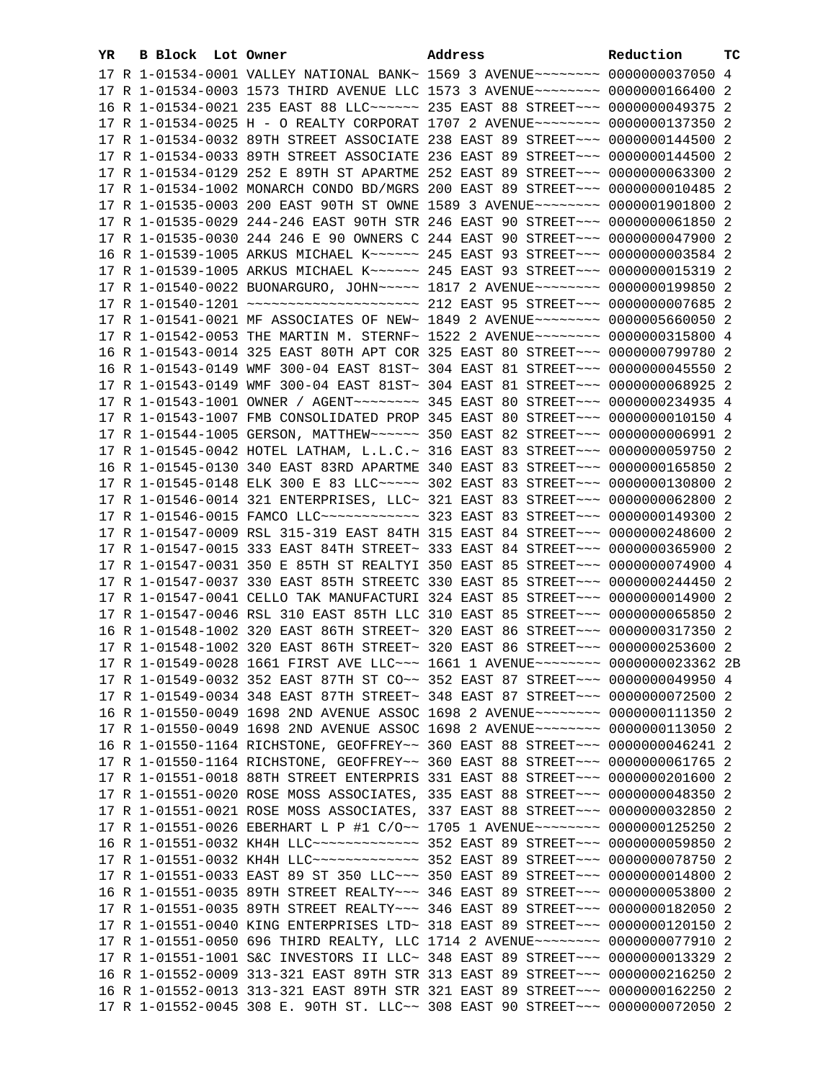| YR | B Block Lot Owner | Address                                                                          | Reduction | тc |
|----|-------------------|----------------------------------------------------------------------------------|-----------|----|
|    |                   | 17 R 1-01534-0001 VALLEY NATIONAL BANK~ 1569 3 AVENUE~~~~~~~~ 0000000037050 4    |           |    |
|    |                   | 17 R 1-01534-0003 1573 THIRD AVENUE LLC 1573 3 AVENUE~~~~~~~~ 0000000166400 2    |           |    |
|    |                   | 16 R 1-01534-0021 235 EAST 88 LLC ----- 235 EAST 88 STREET -- 0000000049375 2    |           |    |
|    |                   | 17 R 1-01534-0025 H - O REALTY CORPORAT 1707 2 AVENUE~~~~~~~~ 0000000137350 2    |           |    |
|    |                   | 17 R 1-01534-0032 89TH STREET ASSOCIATE 238 EAST 89 STREET~~~ 0000000144500 2    |           |    |
|    |                   | 17 R 1-01534-0033 89TH STREET ASSOCIATE 236 EAST 89 STREET~~~ 0000000144500 2    |           |    |
|    |                   | 17 R 1-01534-0129 252 E 89TH ST APARTME 252 EAST 89 STREET~~~ 0000000063300 2    |           |    |
|    |                   | 17 R 1-01534-1002 MONARCH CONDO BD/MGRS 200 EAST 89 STREET~~~ 0000000010485 2    |           |    |
|    |                   | 17 R 1-01535-0003 200 EAST 90TH ST OWNE 1589 3 AVENUE~~~~~~~~ 0000001901800 2    |           |    |
|    |                   | 17 R 1-01535-0029 244-246 EAST 90TH STR 246 EAST 90 STREET~~~ 0000000061850 2    |           |    |
|    |                   | 17 R 1-01535-0030 244 246 E 90 OWNERS C 244 EAST 90 STREET~~~ 0000000047900 2    |           |    |
|    |                   |                                                                                  |           |    |
|    |                   | 16 R 1-01539-1005 ARKUS MICHAEL K~~~~~~ 245 EAST 93 STREET~~~ 00000000003584 2   |           |    |
|    |                   | 17 R 1-01539-1005 ARKUS MICHAEL K~~~~~~ 245 EAST 93 STREET~~~ 0000000015319 2    |           |    |
|    |                   | 17 R 1-01540-0022 BUONARGURO, JOHN~~~~~ 1817 2 AVENUE~~~~~~~~ 0000000199850 2    |           |    |
|    |                   |                                                                                  |           |    |
|    |                   | 17 R 1-01541-0021 MF ASSOCIATES OF NEW~ 1849 2 AVENUE~~~~~~~~ 0000005660050 2    |           |    |
|    |                   | 17 R 1-01542-0053 THE MARTIN M. STERNF~ 1522 2 AVENUE~~~~~~~~~ 0000000315800 4   |           |    |
|    |                   | 16 R 1-01543-0014 325 EAST 80TH APT COR 325 EAST 80 STREET~~~ 0000000799780 2    |           |    |
|    |                   | 16 R 1-01543-0149 WMF 300-04 EAST 81ST~ 304 EAST 81 STREET~~~ 0000000045550 2    |           |    |
|    |                   | 17 R 1-01543-0149 WMF 300-04 EAST 81ST~ 304 EAST 81 STREET~~~ 0000000068925 2    |           |    |
|    |                   | 17 R 1-01543-1001 OWNER / AGENT~~~~~~~~ 345 EAST 80 STREET~~~ 0000000234935 4    |           |    |
|    |                   | 17 R 1-01543-1007 FMB CONSOLIDATED PROP 345 EAST 80 STREET~~~ 0000000010150 4    |           |    |
|    |                   | 17 R 1-01544-1005 GERSON, MATTHEW ----- 350 EAST 82 STREET --- 00000000006991 2  |           |    |
|    |                   | 17 R 1-01545-0042 HOTEL LATHAM, L.L.C.~ 316 EAST 83 STREET~~~ 0000000059750 2    |           |    |
|    |                   | 16 R 1-01545-0130 340 EAST 83RD APARTME 340 EAST 83 STREET~~~ 0000000165850 2    |           |    |
|    |                   | 17 R 1-01545-0148 ELK 300 E 83 LLC ---- 302 EAST 83 STREET -- 0000000130800 2    |           |    |
|    |                   | 17 R 1-01546-0014 321 ENTERPRISES, LLC~ 321 EAST 83 STREET~~~ 0000000062800 2    |           |    |
|    |                   | 17 R 1-01546-0015 FAMCO LLC ------------ 323 EAST 83 STREET --- 0000000149300 2  |           |    |
|    |                   | 17 R 1-01547-0009 RSL 315-319 EAST 84TH 315 EAST 84 STREET~~~ 0000000248600 2    |           |    |
|    |                   | 17 R 1-01547-0015 333 EAST 84TH STREET~ 333 EAST 84 STREET~~~ 0000000365900 2    |           |    |
|    |                   | 17 R 1-01547-0031 350 E 85TH ST REALTYI 350 EAST 85 STREET~~~ 0000000074900 4    |           |    |
|    |                   | 17 R 1-01547-0037 330 EAST 85TH STREETC 330 EAST 85 STREET~~~ 0000000244450 2    |           |    |
|    |                   | 17 R 1-01547-0041 CELLO TAK MANUFACTURI 324 EAST 85 STREET~~~ 0000000014900 2    |           |    |
|    |                   | 17 R 1-01547-0046 RSL 310 EAST 85TH LLC 310 EAST 85 STREET~~~ 0000000065850 2    |           |    |
|    |                   | 16 R 1-01548-1002 320 EAST 86TH STREET~ 320 EAST 86 STREET~~~ 0000000317350 2    |           |    |
|    |                   | 17 R 1-01548-1002 320 EAST 86TH STREET~ 320 EAST 86 STREET~~~ 0000000253600 2    |           |    |
|    |                   | 17 R 1-01549-0028 1661 FIRST AVE LLC~~~ 1661 1 AVENUE~~~~~~~~ 0000000023362 2B   |           |    |
|    |                   | 17 R 1-01549-0032 352 EAST 87TH ST CO~~ 352 EAST 87 STREET~~~ 0000000049950 4    |           |    |
|    |                   | 17 R 1-01549-0034 348 EAST 87TH STREET~ 348 EAST 87 STREET~~~ 0000000072500 2    |           |    |
|    |                   | 16 R 1-01550-0049 1698 2ND AVENUE ASSOC 1698 2 AVENUE~~~~~~~~ 0000000111350 2    |           |    |
|    |                   | 17 R 1-01550-0049 1698 2ND AVENUE ASSOC 1698 2 AVENUE~~~~~~~~ 0000000113050 2    |           |    |
|    |                   | 16 R 1-01550-1164 RICHSTONE, GEOFFREY~~ 360 EAST 88 STREET~~~ 0000000046241 2    |           |    |
|    |                   | 17 R 1-01550-1164 RICHSTONE, GEOFFREY~~ 360 EAST 88 STREET~~~ 0000000061765 2    |           |    |
|    |                   | 17 R 1-01551-0018 88TH STREET ENTERPRIS 331 EAST 88 STREET~~~ 0000000201600 2    |           |    |
|    |                   | 17 R 1-01551-0020 ROSE MOSS ASSOCIATES, 335 EAST 88 STREET~~~ 0000000048350 2    |           |    |
|    |                   | 17 R 1-01551-0021 ROSE MOSS ASSOCIATES, 337 EAST 88 STREET~~~ 0000000032850 2    |           |    |
|    |                   | 17 R 1-01551-0026 EBERHART L P #1 C/O~~ 1705 1 AVENUE~~~~~~~~ 0000000125250 2    |           |    |
|    |                   | 16 R 1-01551-0032 KH4H LLC -------------- 352 EAST 89 STREET --- 0000000059850 2 |           |    |
|    |                   | 17 R 1-01551-0032 KH4H LLC -------------- 352 EAST 89 STREET --- 0000000078750 2 |           |    |
|    |                   | 17 R 1-01551-0033 EAST 89 ST 350 LLC -- 350 EAST 89 STREET -- 0000000014800 2    |           |    |
|    |                   | 16 R 1-01551-0035 89TH STREET REALTY~~~ 346 EAST 89 STREET~~~ 0000000053800 2    |           |    |
|    |                   | 17 R 1-01551-0035 89TH STREET REALTY~~~ 346 EAST 89 STREET~~~ 0000000182050 2    |           |    |
|    |                   | 17 R 1-01551-0040 KING ENTERPRISES LTD~ 318 EAST 89 STREET~~~ 0000000120150 2    |           |    |
|    |                   | 17 R 1-01551-0050 696 THIRD REALTY, LLC 1714 2 AVENUE~~~~~~~~ 0000000077910 2    |           |    |
|    |                   | 17 R 1-01551-1001 S&C INVESTORS II LLC~ 348 EAST 89 STREET~~~ 0000000013329 2    |           |    |
|    |                   | 16 R 1-01552-0009 313-321 EAST 89TH STR 313 EAST 89 STREET~~~ 0000000216250 2    |           |    |
|    |                   | 16 R 1-01552-0013 313-321 EAST 89TH STR 321 EAST 89 STREET~~~ 0000000162250 2    |           |    |
|    |                   | 17 R 1-01552-0045 308 E. 90TH ST. LLC~~ 308 EAST 90 STREET~~~ 0000000072050 2    |           |    |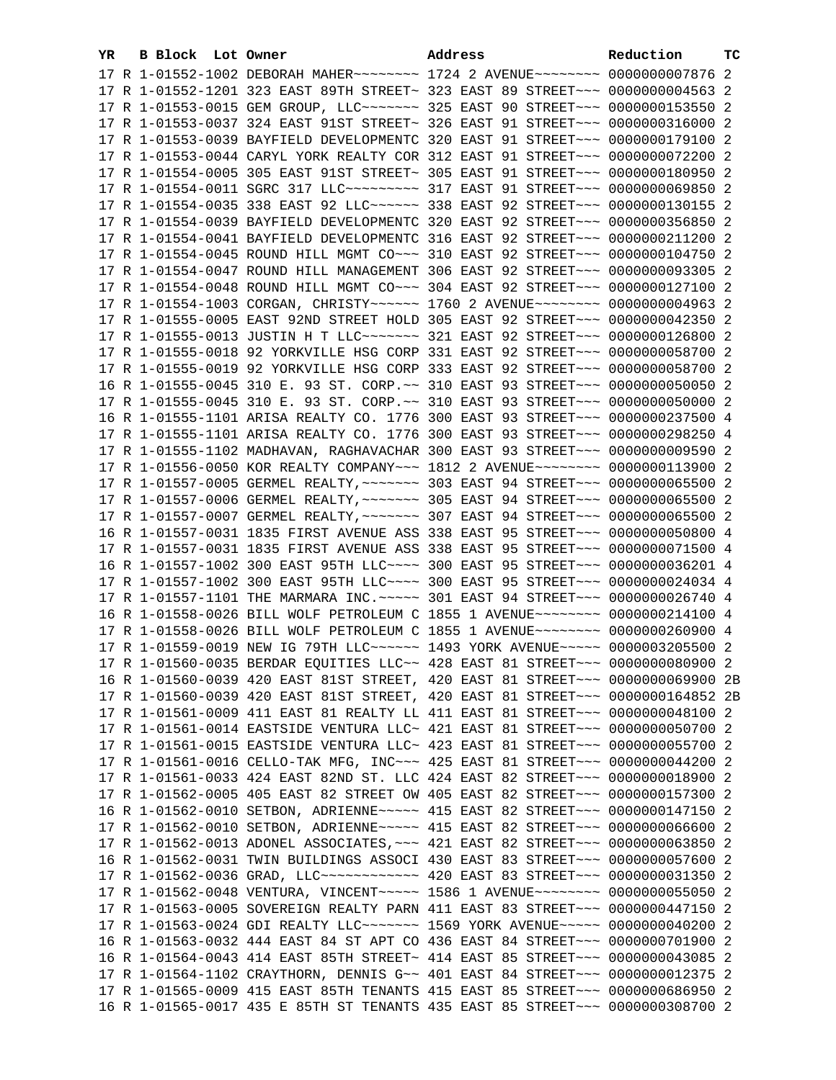| YR. | <b>B Block</b> Lot Owner |                                                                                                                                                                  | Address |  | Reduction | тc |
|-----|--------------------------|------------------------------------------------------------------------------------------------------------------------------------------------------------------|---------|--|-----------|----|
|     |                          | 17 R 1-01552-1002 DEBORAH MAHER~~~~~~~~ 1724 2 AVENUE~~~~~~~~ 0000000007876 2                                                                                    |         |  |           |    |
|     |                          | 17 R 1-01552-1201 323 EAST 89TH STREET~ 323 EAST 89 STREET~~~ 00000000004563 2                                                                                   |         |  |           |    |
|     |                          | 17 R 1-01553-0015 GEM GROUP, LLC ------- 325 EAST 90 STREET --- 0000000153550 2                                                                                  |         |  |           |    |
|     |                          | 17 R 1-01553-0037 324 EAST 91ST STREET~ 326 EAST 91 STREET~~~ 0000000316000 2                                                                                    |         |  |           |    |
|     |                          | 17 R 1-01553-0039 BAYFIELD DEVELOPMENTC 320 EAST 91 STREET~~~ 0000000179100                                                                                      |         |  |           | -2 |
|     |                          | 17 R 1-01553-0044 CARYL YORK REALTY COR 312 EAST 91 STREET~~~ 0000000072200 2                                                                                    |         |  |           |    |
|     |                          | 17 R 1-01554-0005 305 EAST 91ST STREET~ 305 EAST 91 STREET~~~ 0000000180950 2                                                                                    |         |  |           |    |
|     |                          | 17 R 1-01554-0011 SGRC 317 LLC --------- 317 EAST 91 STREET --- 0000000069850                                                                                    |         |  |           | -2 |
|     |                          | 17 R 1-01554-0035 338 EAST 92 LLC ----- 338 EAST 92 STREET -- 0000000130155 2                                                                                    |         |  |           |    |
|     |                          | 17 R 1-01554-0039 BAYFIELD DEVELOPMENTC 320 EAST 92 STREET~~~ 0000000356850 2                                                                                    |         |  |           |    |
|     |                          | 17 R 1-01554-0041 BAYFIELD DEVELOPMENTC 316 EAST 92 STREET~~~ 0000000211200 2                                                                                    |         |  |           |    |
|     |                          | 17 R 1-01554-0045 ROUND HILL MGMT CO~~~ 310 EAST 92 STREET~~~ 0000000104750 2                                                                                    |         |  |           |    |
|     |                          | 17 R 1-01554-0047 ROUND HILL MANAGEMENT 306 EAST 92 STREET~~~ 0000000093305 2                                                                                    |         |  |           |    |
|     |                          | 17 R 1-01554-0048 ROUND HILL MGMT CO~~~ 304 EAST 92 STREET~~~ 0000000127100 2                                                                                    |         |  |           |    |
|     |                          | 17 R 1-01554-1003 CORGAN, CHRISTY ----- 1760 2 AVENUE ------- 00000000004963 2                                                                                   |         |  |           |    |
|     |                          | 17 R 1-01555-0005 EAST 92ND STREET HOLD 305 EAST 92 STREET~~~ 0000000042350 2                                                                                    |         |  |           |    |
|     |                          | 17 R 1-01555-0013 JUSTIN H T LLC~~~~~~~~ 321 EAST 92 STREET~~~ 0000000126800 2                                                                                   |         |  |           |    |
|     |                          | 17 R 1-01555-0018 92 YORKVILLE HSG CORP 331 EAST 92 STREET~~~ 0000000058700 2                                                                                    |         |  |           |    |
|     |                          |                                                                                                                                                                  |         |  |           |    |
|     |                          | 17 R 1-01555-0019 92 YORKVILLE HSG CORP 333 EAST 92 STREET~~~ 0000000058700 2                                                                                    |         |  |           |    |
|     |                          | 16 R 1-01555-0045 310 E. 93 ST. CORP. ~~ 310 EAST 93 STREET ~~~ 0000000050050 2                                                                                  |         |  |           |    |
|     |                          | 17 R 1-01555-0045 310 E. 93 ST. CORP. ~~ 310 EAST 93 STREET ~~~ 0000000050000 2                                                                                  |         |  |           |    |
|     |                          | 16 R 1-01555-1101 ARISA REALTY CO. 1776 300 EAST 93 STREET~~~ 0000000237500 4                                                                                    |         |  |           |    |
|     |                          | 17 R 1-01555-1101 ARISA REALTY CO. 1776 300 EAST 93 STREET~~~ 0000000298250 4                                                                                    |         |  |           |    |
|     |                          | 17 R 1-01555-1102 MADHAVAN, RAGHAVACHAR 300 EAST 93 STREET~~~ 0000000009590 2                                                                                    |         |  |           |    |
|     |                          | 17 R 1-01556-0050 KOR REALTY COMPANY~~~ 1812 2 AVENUE~~~~~~~~ 0000000113900 2                                                                                    |         |  |           |    |
|     |                          | 17 R 1-01557-0005 GERMEL REALTY, ~~~~~~~ 303 EAST 94 STREET~~~ 0000000065500 2                                                                                   |         |  |           |    |
|     |                          | 17 R 1-01557-0006 GERMEL REALTY, ~~~~~~~ 305 EAST 94 STREET~~~ 0000000065500 2                                                                                   |         |  |           |    |
|     |                          | 17 R 1-01557-0007 GERMEL REALTY, ~~~~~~~ 307 EAST 94 STREET~~~ 0000000065500 2                                                                                   |         |  |           |    |
|     |                          | 16 R 1-01557-0031 1835 FIRST AVENUE ASS 338 EAST 95 STREET~~~ 0000000050800 4                                                                                    |         |  |           |    |
|     |                          | 17 R 1-01557-0031 1835 FIRST AVENUE ASS 338 EAST 95 STREET~~~ 0000000071500 4<br>16 R 1-01557-1002 300 EAST 95TH LLC ~~~~ 300 EAST 95 STREET ~~~ 0000000036201 4 |         |  |           |    |
|     |                          |                                                                                                                                                                  |         |  |           |    |
|     |                          | 17 R 1-01557-1002 300 EAST 95TH LLC --- 300 EAST 95 STREET -- 0000000024034 4                                                                                    |         |  |           |    |
|     |                          | 17 R 1-01557-1101 THE MARMARA INC. ~~~~~ 301 EAST 94 STREET~~~ 0000000026740 4<br>16 R 1-01558-0026 BILL WOLF PETROLEUM C 1855 1 AVENUE~~~~~~~~ 0000000214100 4  |         |  |           |    |
|     |                          | 17 R 1-01558-0026 BILL WOLF PETROLEUM C 1855 1 AVENUE~~~~~~~~ 0000000260900 4                                                                                    |         |  |           |    |
|     |                          | 17 R 1-01559-0019 NEW IG 79TH LLC ----- 1493 YORK AVENUE ---- 0000003205500 2                                                                                    |         |  |           |    |
|     |                          | 17 R 1-01560-0035 BERDAR EQUITIES LLC~~ 428 EAST 81 STREET~~~ 0000000080900 2                                                                                    |         |  |           |    |
|     |                          | 16 R 1-01560-0039 420 EAST 81ST STREET, 420 EAST 81 STREET~~~ 0000000069900 2B                                                                                   |         |  |           |    |
|     |                          | 17 R 1-01560-0039 420 EAST 81ST STREET, 420 EAST 81 STREET~~~ 0000000164852 2B                                                                                   |         |  |           |    |
|     |                          | 17 R 1-01561-0009 411 EAST 81 REALTY LL 411 EAST 81 STREET~~~ 0000000048100 2                                                                                    |         |  |           |    |
|     |                          | 17 R 1-01561-0014 EASTSIDE VENTURA LLC~ 421 EAST 81 STREET~~~ 0000000050700 2                                                                                    |         |  |           |    |
|     |                          | 17 R 1-01561-0015 EASTSIDE VENTURA LLC~ 423 EAST 81 STREET~~~ 0000000055700 2                                                                                    |         |  |           |    |
|     |                          | 17 R 1-01561-0016 CELLO-TAK MFG, INC~~~ 425 EAST 81 STREET~~~ 0000000044200 2                                                                                    |         |  |           |    |
|     |                          | 17 R 1-01561-0033 424 EAST 82ND ST. LLC 424 EAST 82 STREET~~~ 0000000018900 2                                                                                    |         |  |           |    |
|     |                          | 17 R 1-01562-0005 405 EAST 82 STREET OW 405 EAST 82 STREET~~~ 0000000157300 2                                                                                    |         |  |           |    |
|     |                          | 16 R 1-01562-0010 SETBON, ADRIENNE~~~~~ 415 EAST 82 STREET~~~ 0000000147150 2                                                                                    |         |  |           |    |
|     |                          | 17 R 1-01562-0010 SETBON, ADRIENNE~~~~~ 415 EAST 82 STREET~~~ 0000000066600 2                                                                                    |         |  |           |    |
|     |                          | 17 R 1-01562-0013 ADONEL ASSOCIATES, ~~~ 421 EAST 82 STREET~~~ 0000000063850 2                                                                                   |         |  |           |    |
|     |                          | 16 R 1-01562-0031 TWIN BUILDINGS ASSOCI 430 EAST 83 STREET~~~ 0000000057600 2                                                                                    |         |  |           |    |
|     |                          | 17 R 1-01562-0036 GRAD, LLC ------------ 420 EAST 83 STREET --- 0000000031350 2                                                                                  |         |  |           |    |
|     |                          | 17 R 1-01562-0048 VENTURA, VINCENT~~~~~ 1586 1 AVENUE~~~~~~~~ 0000000055050 2                                                                                    |         |  |           |    |
|     |                          | 17 R 1-01563-0005 SOVEREIGN REALTY PARN 411 EAST 83 STREET~~~ 0000000447150 2                                                                                    |         |  |           |    |
|     |                          | 17 R 1-01563-0024 GDI REALTY LLC ------- 1569 YORK AVENUE ---- 0000000040200 2                                                                                   |         |  |           |    |
|     |                          | 16 R 1-01563-0032 444 EAST 84 ST APT CO 436 EAST 84 STREET~~~ 0000000701900 2                                                                                    |         |  |           |    |
|     |                          | 16 R 1-01564-0043 414 EAST 85TH STREET~ 414 EAST 85 STREET~~~ 0000000043085 2                                                                                    |         |  |           |    |
|     |                          | 17 R 1-01564-1102 CRAYTHORN, DENNIS G~~ 401 EAST 84 STREET~~~ 0000000012375 2                                                                                    |         |  |           |    |
|     |                          | 17 R 1-01565-0009 415 EAST 85TH TENANTS 415 EAST 85 STREET~~~ 0000000686950 2                                                                                    |         |  |           |    |
|     |                          | 16 R 1-01565-0017 435 E 85TH ST TENANTS 435 EAST 85 STREET~~~ 0000000308700 2                                                                                    |         |  |           |    |
|     |                          |                                                                                                                                                                  |         |  |           |    |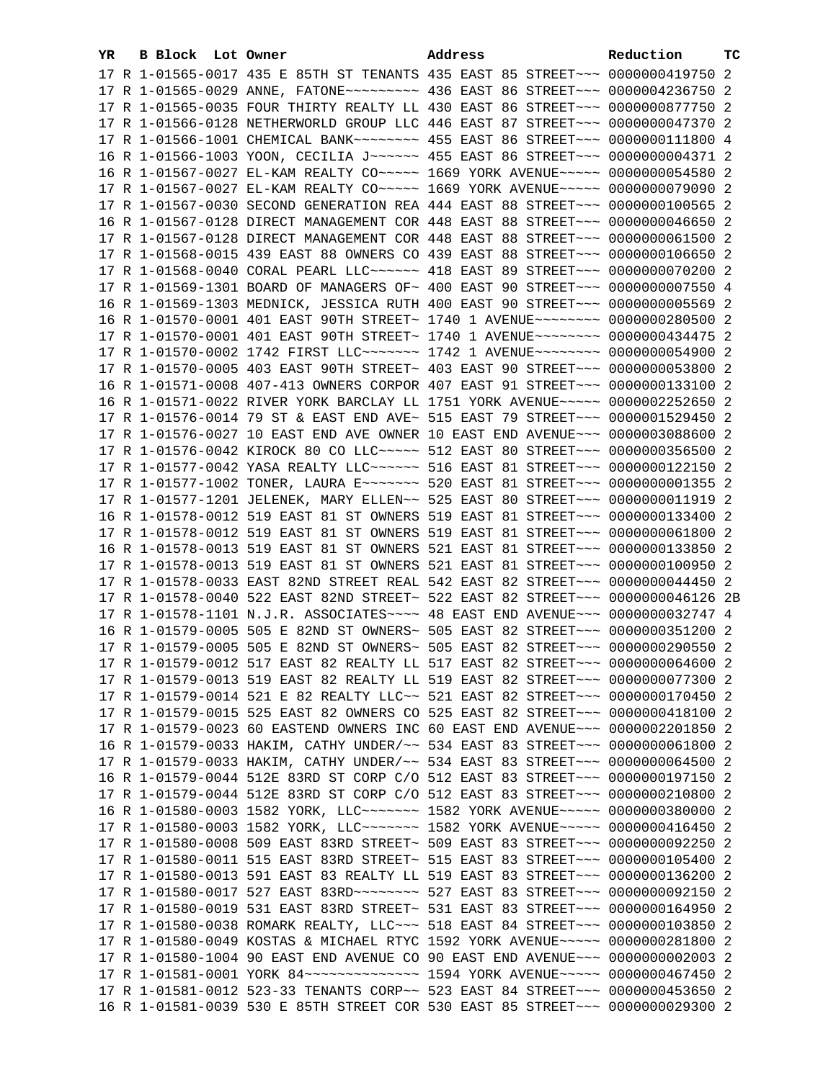| YR. | B Block Lot Owner |                                                                                                                                                 | Address | Reduction       | тC |
|-----|-------------------|-------------------------------------------------------------------------------------------------------------------------------------------------|---------|-----------------|----|
|     |                   | 17 R 1-01565-0017 435 E 85TH ST TENANTS 435 EAST 85 STREET~~~ 0000000419750 2                                                                   |         |                 |    |
|     |                   | 17 R 1-01565-0029 ANNE, FATONE~~~~~~~~~~ 436 EAST 86 STREET~~~ 0000004236750 2                                                                  |         |                 |    |
|     |                   | 17 R 1-01565-0035 FOUR THIRTY REALTY LL 430 EAST 86 STREET~~~ 0000000877750 2                                                                   |         |                 |    |
|     |                   | 17 R 1-01566-0128 NETHERWORLD GROUP LLC 446 EAST 87 STREET~~~ 0000000047370 2                                                                   |         |                 |    |
|     |                   | 17 R 1-01566-1001 CHEMICAL BANK~~~~~~~~~ 455 EAST 86 STREET~~~ 0000000111800 4                                                                  |         |                 |    |
|     |                   | 16 R 1-01566-1003 YOON, CECILIA J ----- 455 EAST 86 STREET -- 00000000004371 2                                                                  |         |                 |    |
|     |                   | 16 R 1-01567-0027 EL-KAM REALTY CO~~~~~ 1669 YORK AVENUE~~~~~ 0000000054580 2                                                                   |         |                 |    |
|     |                   | 17 R 1-01567-0027 EL-KAM REALTY CO~~~~~ 1669 YORK AVENUE~~~~~ 0000000079090 2                                                                   |         |                 |    |
|     |                   | 17 R 1-01567-0030 SECOND GENERATION REA 444 EAST 88 STREET~~~ 0000000100565 2                                                                   |         |                 |    |
|     |                   | 16 R 1-01567-0128 DIRECT MANAGEMENT COR 448 EAST 88 STREET~~~ 0000000046650 2                                                                   |         |                 |    |
|     |                   | 17 R 1-01567-0128 DIRECT MANAGEMENT COR 448 EAST 88 STREET~~~ 0000000061500 2                                                                   |         |                 |    |
|     |                   | 17 R 1-01568-0015 439 EAST 88 OWNERS CO 439 EAST 88 STREET~~~ 0000000106650 2                                                                   |         |                 |    |
|     |                   | 17 R 1-01568-0040 CORAL PEARL LLC ----- 418 EAST 89 STREET -- 0000000070200 2                                                                   |         |                 |    |
|     |                   | 17 R 1-01569-1301 BOARD OF MANAGERS OF~ 400 EAST 90 STREET~~~ 0000000007550 4                                                                   |         |                 |    |
|     |                   | 16 R 1-01569-1303 MEDNICK, JESSICA RUTH 400 EAST 90 STREET~~~ 00000000005569 2                                                                  |         |                 |    |
|     |                   | 16 R 1-01570-0001 401 EAST 90TH STREET~ 1740 1 AVENUE~~~~~~~~ 0000000280500 2                                                                   |         |                 |    |
|     |                   | 17 R 1-01570-0001 401 EAST 90TH STREET~ 1740 1 AVENUE~~~~~~~~ 0000000434475 2                                                                   |         |                 |    |
|     |                   | 17 R 1-01570-0002 1742 FIRST LLC ------- 1742 1 AVENUE ------- 0000000054900 2                                                                  |         |                 |    |
|     |                   | 17 R 1-01570-0005 403 EAST 90TH STREET~ 403 EAST 90 STREET~~~ 0000000053800 2                                                                   |         |                 |    |
|     |                   | 16 R 1-01571-0008 407-413 OWNERS CORPOR 407 EAST 91 STREET~~~ 0000000133100 2                                                                   |         |                 |    |
|     |                   | 16 R 1-01571-0022 RIVER YORK BARCLAY LL 1751 YORK AVENUE~~~~~ 0000002252650 2                                                                   |         |                 |    |
|     |                   | 17 R 1-01576-0014 79 ST & EAST END AVE~ 515 EAST 79 STREET~~~ 0000001529450 2                                                                   |         |                 |    |
|     |                   | 17 R 1-01576-0027 10 EAST END AVE OWNER 10 EAST END AVENUE~~~ 0000003088600 2                                                                   |         |                 |    |
|     |                   | 17 R 1-01576-0042 KIROCK 80 CO LLC~~~~~ 512 EAST 80 STREET~~~ 0000000356500 2                                                                   |         |                 |    |
|     |                   | 17 R 1-01577-0042 YASA REALTY LLC~~~~~~ 516 EAST 81 STREET~~~<br>17 R 1-01577-1002 TONER, LAURA E~~~~~~~~ 520 EAST 81 STREET~~~ 0000000001355 2 |         | 0000000122150 2 |    |
|     |                   | 17 R 1-01577-1201 JELENEK, MARY ELLEN~~ 525 EAST 80 STREET~~~                                                                                   |         | 0000000011919 2 |    |
|     |                   | 16 R 1-01578-0012 519 EAST 81 ST OWNERS 519 EAST 81 STREET~~~ 0000000133400 2                                                                   |         |                 |    |
|     |                   | 17 R 1-01578-0012 519 EAST 81 ST OWNERS 519 EAST 81 STREET~~~ 0000000061800 2                                                                   |         |                 |    |
|     |                   | 16 R 1-01578-0013 519 EAST 81 ST OWNERS 521 EAST 81 STREET~~~ 0000000133850 2                                                                   |         |                 |    |
|     |                   | 17 R 1-01578-0013 519 EAST 81 ST OWNERS 521 EAST 81 STREET~~~ 0000000100950 2                                                                   |         |                 |    |
|     |                   | 17 R 1-01578-0033 EAST 82ND STREET REAL 542 EAST 82 STREET~~~ 0000000044450 2                                                                   |         |                 |    |
|     |                   | 17 R 1-01578-0040 522 EAST 82ND STREET~ 522 EAST 82 STREET~~~ 0000000046126 2B                                                                  |         |                 |    |
|     |                   | 17 R 1-01578-1101 N.J.R. ASSOCIATES~~~~ 48 EAST END AVENUE~~~ 0000000032747 4                                                                   |         |                 |    |
|     |                   | 16 R 1-01579-0005 505 E 82ND ST OWNERS~ 505 EAST 82 STREET~~~ 0000000351200 2                                                                   |         |                 |    |
|     |                   | 17 R 1-01579-0005 505 E 82ND ST OWNERS~ 505 EAST 82 STREET~~~ 0000000290550 2                                                                   |         |                 |    |
|     |                   | 17 R 1-01579-0012 517 EAST 82 REALTY LL 517 EAST 82 STREET~~~ 0000000064600 2                                                                   |         |                 |    |
|     |                   | 17 R 1-01579-0013 519 EAST 82 REALTY LL 519 EAST 82 STREET~~~ 0000000077300 2                                                                   |         |                 |    |
|     |                   | 17 R 1-01579-0014 521 E 82 REALTY LLC~~ 521 EAST 82 STREET~~~ 0000000170450 2                                                                   |         |                 |    |
|     |                   | 17 R 1-01579-0015 525 EAST 82 OWNERS CO 525 EAST 82 STREET~~~ 0000000418100 2                                                                   |         |                 |    |
|     |                   | 17 R 1-01579-0023 60 EASTEND OWNERS INC 60 EAST END AVENUE~~~ 0000002201850 2                                                                   |         |                 |    |
|     |                   | 16 R 1-01579-0033 HAKIM, CATHY UNDER/~~ 534 EAST 83 STREET~~~ 0000000061800 2                                                                   |         |                 |    |
|     |                   | 17 R 1-01579-0033 HAKIM, CATHY UNDER/~~ 534 EAST 83 STREET~~~ 0000000064500 2                                                                   |         |                 |    |
|     |                   | 16 R 1-01579-0044 512E 83RD ST CORP C/O 512 EAST 83 STREET~~~ 0000000197150 2                                                                   |         |                 |    |
|     |                   | 17 R 1-01579-0044 512E 83RD ST CORP C/O 512 EAST 83 STREET~~~ 0000000210800 2                                                                   |         |                 |    |
|     |                   | 16 R 1-01580-0003 1582 YORK, LLC ------- 1582 YORK AVENUE ---- 0000000380000 2                                                                  |         |                 |    |
|     |                   | 17 R 1-01580-0003 1582 YORK, LLC ------- 1582 YORK AVENUE ---- 0000000416450 2                                                                  |         |                 |    |
|     |                   | 17 R 1-01580-0008 509 EAST 83RD STREET~ 509 EAST 83 STREET~~~ 0000000092250 2                                                                   |         |                 |    |
|     |                   | 17 R 1-01580-0011 515 EAST 83RD STREET~ 515 EAST 83 STREET~~~ 0000000105400 2                                                                   |         |                 |    |
|     |                   | 17 R 1-01580-0013 591 EAST 83 REALTY LL 519 EAST 83 STREET~~~ 0000000136200 2                                                                   |         |                 |    |
|     |                   |                                                                                                                                                 |         |                 |    |
|     |                   | 17 R 1-01580-0019 531 EAST 83RD STREET~ 531 EAST 83 STREET~~~ 0000000164950 2                                                                   |         |                 |    |
|     |                   | 17 R 1-01580-0038 ROMARK REALTY, LLC ~~~ 518 EAST 84 STREET ~~~ 0000000103850 2                                                                 |         |                 |    |
|     |                   | 17 R 1-01580-0049 KOSTAS & MICHAEL RTYC 1592 YORK AVENUE~~~~~ 0000000281800 2                                                                   |         |                 |    |
|     |                   | 17 R 1-01580-1004 90 EAST END AVENUE CO 90 EAST END AVENUE~~~ 00000000002003 2                                                                  |         |                 |    |
|     |                   | 17 R 1-01581-0001 YORK 84~~~~~~~~~~~~~~~~~~~ 1594 YORK AVENUE~~~~~~ 0000000467450 2                                                             |         |                 |    |
|     |                   | 17 R 1-01581-0012 523-33 TENANTS CORP~~ 523 EAST 84 STREET~~~ 0000000453650 2                                                                   |         |                 |    |
|     |                   | 16 R 1-01581-0039 530 E 85TH STREET COR 530 EAST 85 STREET~~~ 0000000029300 2                                                                   |         |                 |    |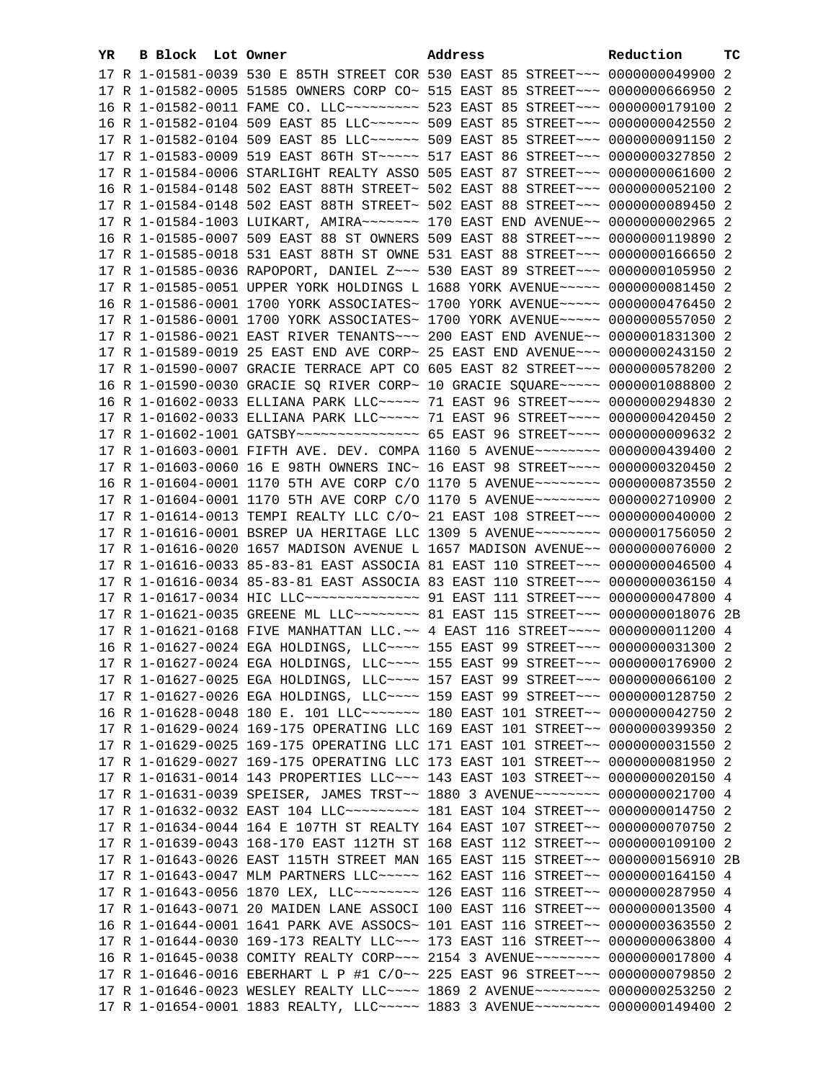| YR. | B Block Lot Owner | Address                                                                                                                                                        | Reduction | тc |
|-----|-------------------|----------------------------------------------------------------------------------------------------------------------------------------------------------------|-----------|----|
|     |                   | 17 R 1-01581-0039 530 E 85TH STREET COR 530 EAST 85 STREET~~~ 0000000049900 2                                                                                  |           |    |
|     |                   | 17 R 1-01582-0005 51585 OWNERS CORP CO~ 515 EAST 85 STREET~~~ 0000000666950 2                                                                                  |           |    |
|     |                   | 16 R 1-01582-0011 FAME CO. LLC~~~~~~~~~~~~~~ 523 EAST 85 STREET~~~~ 0000000179100 2                                                                            |           |    |
|     |                   | 16 R 1-01582-0104 509 EAST 85 LLC ----- 509 EAST 85 STREET -- 0000000042550 2                                                                                  |           |    |
|     |                   | 17 R 1-01582-0104 509 EAST 85 LLC ----- 509 EAST 85 STREET -- 0000000091150 2                                                                                  |           |    |
|     |                   | 17 R 1-01583-0009 519 EAST 86TH ST ~~~~~~ 517 EAST 86 STREET ~~~~ 0000000327850 2                                                                              |           |    |
|     |                   | 17 R 1-01584-0006 STARLIGHT REALTY ASSO 505 EAST 87 STREET~~~ 00000000061600 2                                                                                 |           |    |
|     |                   | 16 R 1-01584-0148 502 EAST 88TH STREET~ 502 EAST 88 STREET~~~ 0000000052100 2                                                                                  |           |    |
|     |                   | 17 R 1-01584-0148 502 EAST 88TH STREET~ 502 EAST 88 STREET~~~ 0000000089450 2                                                                                  |           |    |
|     |                   | 17 R 1-01584-1003 LUIKART, AMIRA~~~~~~~~~~~~ 170 EAST END AVENUE~~ 00000000002965 2                                                                            |           |    |
|     |                   | 16 R 1-01585-0007 509 EAST 88 ST OWNERS 509 EAST 88 STREET~~~ 0000000119890 2                                                                                  |           |    |
|     |                   | 17 R 1-01585-0018 531 EAST 88TH ST OWNE 531 EAST 88 STREET~~~ 0000000166650 2                                                                                  |           |    |
|     |                   |                                                                                                                                                                |           |    |
|     |                   | 17 R 1-01585-0036 RAPOPORT, DANIEL Z~~~ 530 EAST 89 STREET~~~ 0000000105950 2                                                                                  |           |    |
|     |                   | 17 R 1-01585-0051 UPPER YORK HOLDINGS L 1688 YORK AVENUE~~~~~ 0000000081450 2                                                                                  |           |    |
|     |                   | 16 R 1-01586-0001 1700 YORK ASSOCIATES~ 1700 YORK AVENUE~~~~~ 0000000476450 2                                                                                  |           |    |
|     |                   | 17 R 1-01586-0001 1700 YORK ASSOCIATES~ 1700 YORK AVENUE~~~~~ 0000000557050 2                                                                                  |           |    |
|     |                   | 17 R 1-01586-0021 EAST RIVER TENANTS ~~~ 200 EAST END AVENUE ~~ 0000001831300 2                                                                                |           |    |
|     |                   | 17 R 1-01589-0019 25 EAST END AVE CORP~ 25 EAST END AVENUE~~~ 0000000243150 2                                                                                  |           |    |
|     |                   | 17 R 1-01590-0007 GRACIE TERRACE APT CO 605 EAST 82 STREET~~~ 0000000578200 2                                                                                  |           |    |
|     |                   | 16 R 1-01590-0030 GRACIE SQ RIVER CORP~ 10 GRACIE SQUARE~~~~~ 0000001088800 2                                                                                  |           |    |
|     |                   | 16 R 1-01602-0033 ELLIANA PARK LLC ---- 71 EAST 96 STREET --- 0000000294830 2                                                                                  |           |    |
|     |                   | 17 R 1-01602-0033 ELLIANA PARK LLC ---- 71 EAST 96 STREET --- 0000000420450 2                                                                                  |           |    |
|     |                   | 17 R 1-01602-1001 GATSBY~~~~~~~~~~~~~~~~ 65 EAST 96 STREET~~~~ 00000000009632 2                                                                                |           |    |
|     |                   | 17 R 1-01603-0001 FIFTH AVE. DEV. COMPA 1160 5 AVENUE~~~~~~~~ 0000000439400 2                                                                                  |           |    |
|     |                   | 17 R 1-01603-0060 16 E 98TH OWNERS INC~ 16 EAST 98 STREET~~~~ 0000000320450 2                                                                                  |           |    |
|     |                   | 16 R 1-01604-0001 1170 5TH AVE CORP C/O 1170 5 AVENUE~~~~~~~~ 0000000873550 2                                                                                  |           |    |
|     |                   | 17 R 1-01604-0001 1170 5TH AVE CORP C/O 1170 5 AVENUE~~~~~~~~ 0000002710900 2                                                                                  |           |    |
|     |                   | 17 R 1-01614-0013 TEMPI REALTY LLC C/O~ 21 EAST 108 STREET~~~ 0000000040000 2                                                                                  |           |    |
|     |                   | 17 R 1-01616-0001 BSREP UA HERITAGE LLC 1309 5 AVENUE~~~~~~~~~ 0000001756050 2                                                                                 |           |    |
|     |                   | 17 R 1-01616-0020 1657 MADISON AVENUE L 1657 MADISON AVENUE~~ 0000000076000 2                                                                                  |           |    |
|     |                   | 17 R 1-01616-0033 85-83-81 EAST ASSOCIA 81 EAST 110 STREET~~~ 0000000046500 4<br>17 R 1-01616-0034 85-83-81 EAST ASSOCIA 83 EAST 110 STREET~~~ 0000000036150 4 |           |    |
|     |                   | 17 R 1-01617-0034 HIC LLC --------------- 91 EAST 111 STREET --- 0000000047800 4                                                                               |           |    |
|     |                   |                                                                                                                                                                |           |    |
|     |                   | 17 R 1-01621-0168 FIVE MANHATTAN LLC.~~ 4 EAST 116 STREET~~~~ 0000000011200 4                                                                                  |           |    |
|     |                   | 16 R 1-01627-0024 EGA HOLDINGS, LLC --- 155 EAST 99 STREET -- 0000000031300 2                                                                                  |           |    |
|     |                   | 17 R 1-01627-0024 EGA HOLDINGS, LLC ~~~~ 155 EAST 99 STREET ~~~ 0000000176900 2                                                                                |           |    |
|     |                   | 17 R 1-01627-0025 EGA HOLDINGS, LLC~~~~ 157 EAST 99 STREET~~~ 0000000066100 2                                                                                  |           |    |
|     |                   | 17 R 1-01627-0026 EGA HOLDINGS, LLC~~~~ 159 EAST 99 STREET~~~ 0000000128750 2                                                                                  |           |    |
|     |                   | 16 R 1-01628-0048 180 E. 101 LLC ------- 180 EAST 101 STREET -- 0000000042750 2                                                                                |           |    |
|     |                   | 17 R 1-01629-0024 169-175 OPERATING LLC 169 EAST 101 STREET~~ 0000000399350 2                                                                                  |           |    |
|     |                   | 17 R 1-01629-0025 169-175 OPERATING LLC 171 EAST 101 STREET~~ 0000000031550 2                                                                                  |           |    |
|     |                   | 17 R 1-01629-0027 169-175 OPERATING LLC 173 EAST 101 STREET~~ 0000000081950 2                                                                                  |           |    |
|     |                   | 17 R 1-01631-0014 143 PROPERTIES LLC~~~ 143 EAST 103 STREET~~ 0000000020150 4                                                                                  |           |    |
|     |                   | 17 R 1-01631-0039 SPEISER, JAMES TRST~~ 1880 3 AVENUE~~~~~~~~ 0000000021700 4                                                                                  |           |    |
|     |                   | 17 R 1-01632-0032 EAST 104 LLC --------- 181 EAST 104 STREET -- 0000000014750 2                                                                                |           |    |
|     |                   | 17 R 1-01634-0044 164 E 107TH ST REALTY 164 EAST 107 STREET~~ 0000000070750 2                                                                                  |           |    |
|     |                   | 17 R 1-01639-0043 168-170 EAST 112TH ST 168 EAST 112 STREET~~ 0000000109100 2                                                                                  |           |    |
|     |                   | 17 R 1-01643-0026 EAST 115TH STREET MAN 165 EAST 115 STREET~~ 0000000156910 2B                                                                                 |           |    |
|     |                   | 17 R 1-01643-0047 MLM PARTNERS LLC~~~~~ 162 EAST 116 STREET~~ 0000000164150 4                                                                                  |           |    |
|     |                   | 17 R 1-01643-0056 1870 LEX, LLC -------- 126 EAST 116 STREET -- 0000000287950 4                                                                                |           |    |
|     |                   | 17 R 1-01643-0071 20 MAIDEN LANE ASSOCI 100 EAST 116 STREET~~ 0000000013500 4                                                                                  |           |    |
|     |                   | 16 R 1-01644-0001 1641 PARK AVE ASSOCS~ 101 EAST 116 STREET~~ 0000000363550 2                                                                                  |           |    |
|     |                   | 17 R 1-01644-0030 169-173 REALTY LLC~~~ 173 EAST 116 STREET~~ 0000000063800 4                                                                                  |           |    |
|     |                   | 16 R 1-01645-0038 COMITY REALTY CORP~~~ 2154 3 AVENUE~~~~~~~~ 0000000017800 4                                                                                  |           |    |
|     |                   | 17 R 1-01646-0016 EBERHART L P #1 C/O~~ 225 EAST 96 STREET~~~ 0000000079850 2                                                                                  |           |    |
|     |                   | 17 R 1-01646-0023 WESLEY REALTY LLC~~~~ 1869 2 AVENUE~~~~~~~~ 0000000253250 2                                                                                  |           |    |
|     |                   | 17 R 1-01654-0001 1883 REALTY, LLC~~~~~ 1883 3 AVENUE~~~~~~~~ 0000000149400 2                                                                                  |           |    |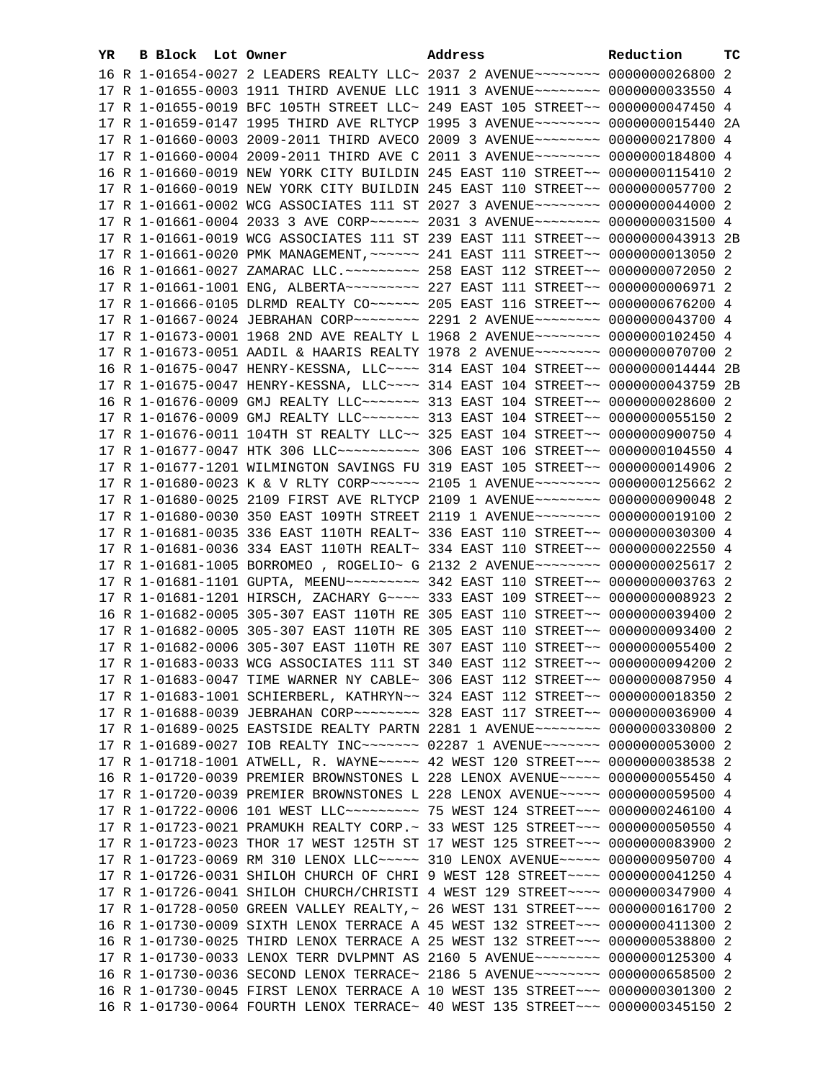| YR. | B Block Lot Owner | Address                                                                             | Reduction | тc |
|-----|-------------------|-------------------------------------------------------------------------------------|-----------|----|
|     |                   | 16 R 1-01654-0027 2 LEADERS REALTY LLC~ 2037 2 AVENUE~~~~~~~~~ 0000000026800 2      |           |    |
|     |                   | 17 R 1-01655-0003 1911 THIRD AVENUE LLC 1911 3 AVENUE~~~~~~~~ 0000000033550 4       |           |    |
|     |                   | 17 R 1-01655-0019 BFC 105TH STREET LLC~ 249 EAST 105 STREET~~ 0000000047450 4       |           |    |
|     |                   | 17 R 1-01659-0147 1995 THIRD AVE RLTYCP 1995 3 AVENUE~~~~~~~~ 0000000015440 2A      |           |    |
|     |                   | 17 R 1-01660-0003 2009-2011 THIRD AVECO 2009 3 AVENUE~~~~~~~~ 0000000217800 4       |           |    |
|     |                   | 17 R 1-01660-0004 2009-2011 THIRD AVE C 2011 3 AVENUE~~~~~~~~ 0000000184800 4       |           |    |
|     |                   | 16 R 1-01660-0019 NEW YORK CITY BUILDIN 245 EAST 110 STREET~~ 0000000115410 2       |           |    |
|     |                   | 17 R 1-01660-0019 NEW YORK CITY BUILDIN 245 EAST 110 STREET~~ 0000000057700 2       |           |    |
|     |                   | 17 R 1-01661-0002 WCG ASSOCIATES 111 ST 2027 3 AVENUE~~~~~~~~ 0000000044000 2       |           |    |
|     |                   | 17 R 1-01661-0004 2033 3 AVE CORP~~~~~~ 2031 3 AVENUE~~~~~~~~ 0000000031500 4       |           |    |
|     |                   | 17 R 1-01661-0019 WCG ASSOCIATES 111 ST 239 EAST 111 STREET~~ 0000000043913 2B      |           |    |
|     |                   | 17 R 1-01661-0020 PMK MANAGEMENT, ~~~~~~ 241 EAST 111 STREET~~ 0000000013050 2      |           |    |
|     |                   | 16 R 1-01661-0027 ZAMARAC LLC. ~~~~~~~~~ 258 EAST 112 STREET~~ 0000000072050 2      |           |    |
|     |                   | 17 R 1-01661-1001 ENG, ALBERTA~~~~~~~~~~~~~~ 227 EAST 111 STREET~~ 00000000006971 2 |           |    |
|     |                   | 17 R 1-01666-0105 DLRMD REALTY CO~~~~~~ 205 EAST 116 STREET~~ 0000000676200 4       |           |    |
|     |                   | 17 R 1-01667-0024 JEBRAHAN CORP~~~~~~~~ 2291 2 AVENUE~~~~~~~~ 0000000043700 4       |           |    |
|     |                   | 17 R 1-01673-0001 1968 2ND AVE REALTY L 1968 2 AVENUE~~~~~~~~ 0000000102450 4       |           |    |
|     |                   | 17 R 1-01673-0051 AADIL & HAARIS REALTY 1978 2 AVENUE~~~~~~~~ 0000000070700 2       |           |    |
|     |                   | 16 R 1-01675-0047 HENRY-KESSNA, LLC --- 314 EAST 104 STREET -- 0000000014444 2B     |           |    |
|     |                   | 17 R 1-01675-0047 HENRY-KESSNA, LLC --- 314 EAST 104 STREET -- 0000000043759 2B     |           |    |
|     |                   | 16 R 1-01676-0009 GMJ REALTY LLC ~~~~~~~ 313 EAST 104 STREET ~~ 0000000028600 2     |           |    |
|     |                   | 17 R 1-01676-0009 GMJ REALTY LLC~~~~~~~~ 313 EAST 104 STREET~~ 0000000055150 2      |           |    |
|     |                   | 17 R 1-01676-0011 104TH ST REALTY LLC~~ 325 EAST 104 STREET~~ 0000000900750 4       |           |    |
|     |                   | 17 R 1-01677-0047 HTK 306 LLC ---------- 306 EAST 106 STREET -- 0000000104550 4     |           |    |
|     |                   | 17 R 1-01677-1201 WILMINGTON SAVINGS FU 319 EAST 105 STREET~~ 0000000014906 2       |           |    |
|     |                   | 17 R 1-01680-0023 K & V RLTY CORP~~~~~~ 2105 1 AVENUE~~~~~~~~ 0000000125662 2       |           |    |
|     |                   | 17 R 1-01680-0025 2109 FIRST AVE RLTYCP 2109 1 AVENUE~~~~~~~~ 0000000090048 2       |           |    |
|     |                   | 17 R 1-01680-0030 350 EAST 109TH STREET 2119 1 AVENUE~~~~~~~~ 0000000019100 2       |           |    |
|     |                   | 17 R 1-01681-0035 336 EAST 110TH REALT~ 336 EAST 110 STREET~~ 0000000030300 4       |           |    |
|     |                   | 17 R 1-01681-0036 334 EAST 110TH REALT~ 334 EAST 110 STREET~~ 0000000022550 4       |           |    |
|     |                   | 17 R 1-01681-1005 BORROMEO , ROGELIO~ G 2132 2 AVENUE~~~~~~~~ 0000000025617 2       |           |    |
|     |                   |                                                                                     |           |    |
|     |                   | 17 R 1-01681-1201 HIRSCH, ZACHARY G~~~~ 333 EAST 109 STREET~~ 00000000008923 2      |           |    |
|     |                   | 16 R 1-01682-0005 305-307 EAST 110TH RE 305 EAST 110 STREET~~ 0000000039400 2       |           |    |
|     |                   | 17 R 1-01682-0005 305-307 EAST 110TH RE 305 EAST 110 STREET~~ 0000000093400 2       |           |    |
|     |                   | 17 R 1-01682-0006 305-307 EAST 110TH RE 307 EAST 110 STREET~~ 0000000055400 2       |           |    |
|     |                   | 17 R 1-01683-0033 WCG ASSOCIATES 111 ST 340 EAST 112 STREET~~ 0000000094200 2       |           |    |
|     |                   | 17 R 1-01683-0047 TIME WARNER NY CABLE~ 306 EAST 112 STREET~~ 0000000087950 4       |           |    |
|     |                   | 17 R 1-01683-1001 SCHIERBERL, KATHRYN~~ 324 EAST 112 STREET~~ 0000000018350 2       |           |    |
|     |                   | 17 R 1-01688-0039 JEBRAHAN CORP~~~~~~~~ 328 EAST 117 STREET~~ 0000000036900 4       |           |    |
|     |                   | 17 R 1-01689-0025 EASTSIDE REALTY PARTN 2281 1 AVENUE~~~~~~~~ 0000000330800 2       |           |    |
|     |                   | 17 R 1-01689-0027 IOB REALTY INC~~~~~~~ 02287 1 AVENUE~~~~~~~ 0000000053000 2       |           |    |
|     |                   | 17 R 1-01718-1001 ATWELL, R. WAYNE~~~~~ 42 WEST 120 STREET~~~ 0000000038538 2       |           |    |
|     |                   | 16 R 1-01720-0039 PREMIER BROWNSTONES L 228 LENOX AVENUE~~~~~ 0000000055450 4       |           |    |
|     |                   | 17 R 1-01720-0039 PREMIER BROWNSTONES L 228 LENOX AVENUE~~~~~ 0000000059500 4       |           |    |
|     |                   | 17 R 1-01722-0006 101 WEST LLC --------- 75 WEST 124 STREET --- 0000000246100 4     |           |    |
|     |                   | 17 R 1-01723-0021 PRAMUKH REALTY CORP.~ 33 WEST 125 STREET~~~ 0000000050550 4       |           |    |
|     |                   | 17 R 1-01723-0023 THOR 17 WEST 125TH ST 17 WEST 125 STREET~~~ 0000000083900 2       |           |    |
|     |                   | 17 R 1-01723-0069 RM 310 LENOX LLC ---- 310 LENOX AVENUE ---- 0000000950700 4       |           |    |
|     |                   | 17 R 1-01726-0031 SHILOH CHURCH OF CHRI 9 WEST 128 STREET~~~~ 0000000041250 4       |           |    |
|     |                   | 17 R 1-01726-0041 SHILOH CHURCH/CHRISTI 4 WEST 129 STREET~~~~ 0000000347900 4       |           |    |
|     |                   | 17 R 1-01728-0050 GREEN VALLEY REALTY, ~ 26 WEST 131 STREET~~~ 0000000161700 2      |           |    |
|     |                   | 16 R 1-01730-0009 SIXTH LENOX TERRACE A 45 WEST 132 STREET~~~ 0000000411300 2       |           |    |
|     |                   | 16 R 1-01730-0025 THIRD LENOX TERRACE A 25 WEST 132 STREET~~~ 0000000538800 2       |           |    |
|     |                   | 17 R 1-01730-0033 LENOX TERR DVLPMNT AS 2160 5 AVENUE~~~~~~~~ 0000000125300 4       |           |    |
|     |                   | 16 R 1-01730-0036 SECOND LENOX TERRACE~ 2186 5 AVENUE~~~~~~~~~ 0000000658500 2      |           |    |
|     |                   | 16 R 1-01730-0045 FIRST LENOX TERRACE A 10 WEST 135 STREET~~~ 0000000301300 2       |           |    |
|     |                   | 16 R 1-01730-0064 FOURTH LENOX TERRACE~ 40 WEST 135 STREET~~~ 0000000345150 2       |           |    |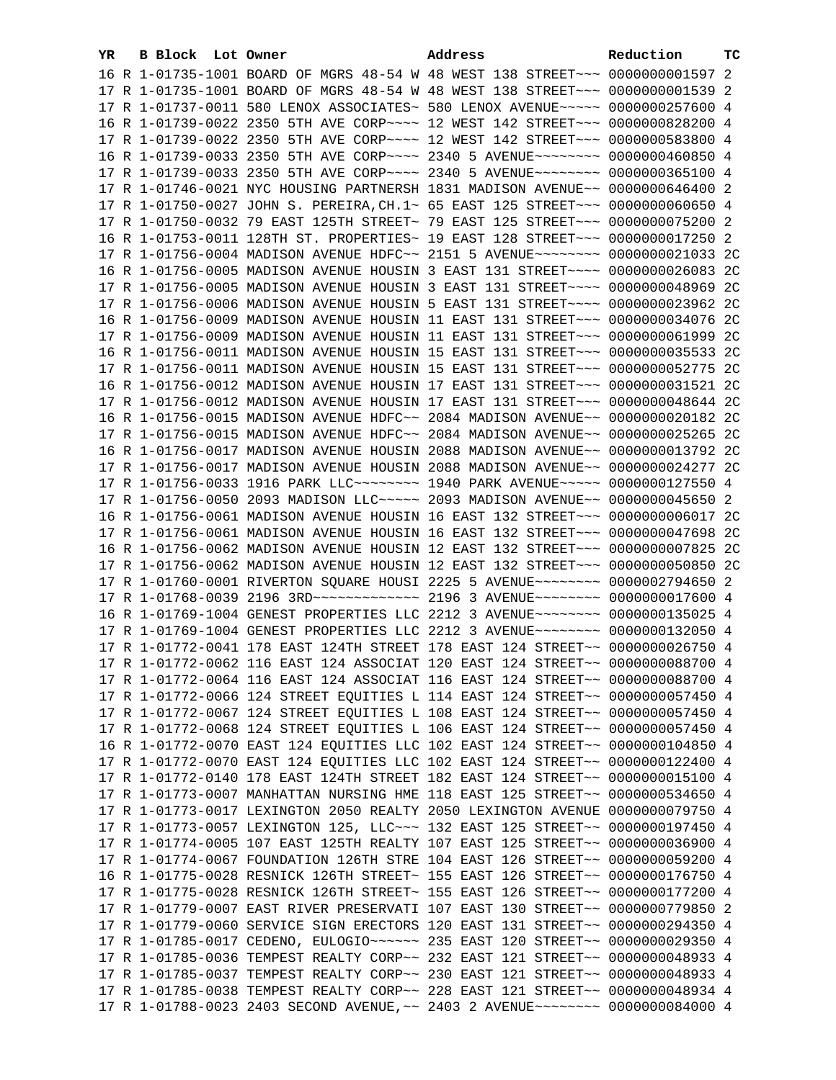| YR. | B Block Lot Owner | Address                                                                                                                                                        | Reduction | тc |
|-----|-------------------|----------------------------------------------------------------------------------------------------------------------------------------------------------------|-----------|----|
|     |                   | 16 R 1-01735-1001 BOARD OF MGRS 48-54 W 48 WEST 138 STREET~~~ 0000000001597 2                                                                                  |           |    |
|     |                   | 17 R 1-01735-1001 BOARD OF MGRS 48-54 W 48 WEST 138 STREET~~~ 00000000001539 2                                                                                 |           |    |
|     |                   | 17 R 1-01737-0011 580 LENOX ASSOCIATES~ 580 LENOX AVENUE~~~~~ 0000000257600 4                                                                                  |           |    |
|     |                   | 16 R 1-01739-0022 2350 5TH AVE CORP~~~~ 12 WEST 142 STREET~~~ 0000000828200 4                                                                                  |           |    |
|     |                   | 17 R 1-01739-0022 2350 5TH AVE CORP~~~~ 12 WEST 142 STREET~~~ 0000000583800 4                                                                                  |           |    |
|     |                   | 16 R 1-01739-0033 2350 5TH AVE CORP~~~~ 2340 5 AVENUE~~~~~~~~ 0000000460850 4                                                                                  |           |    |
|     |                   | 17 R 1-01739-0033 2350 5TH AVE CORP~~~~ 2340 5 AVENUE~~~~~~~~ 0000000365100 4                                                                                  |           |    |
|     |                   | 17 R 1-01746-0021 NYC HOUSING PARTNERSH 1831 MADISON AVENUE~~ 0000000646400 2                                                                                  |           |    |
|     |                   | 17 R 1-01750-0027 JOHN S. PEREIRA, CH. 1~ 65 EAST 125 STREET~~~ 0000000060650 4                                                                                |           |    |
|     |                   | 17 R 1-01750-0032 79 EAST 125TH STREET~ 79 EAST 125 STREET~~~ 0000000075200 2                                                                                  |           |    |
|     |                   |                                                                                                                                                                |           |    |
|     |                   | 16 R 1-01753-0011 128TH ST. PROPERTIES~ 19 EAST 128 STREET~~~ 0000000017250 2                                                                                  |           |    |
|     |                   | 17 R 1-01756-0004 MADISON AVENUE HDFC~~ 2151 5 AVENUE~~~~~~~~ 0000000021033 2C                                                                                 |           |    |
|     |                   | 16 R 1-01756-0005 MADISON AVENUE HOUSIN 3 EAST 131 STREET~~~~ 0000000026083 2C                                                                                 |           |    |
|     |                   | 17 R 1-01756-0005 MADISON AVENUE HOUSIN 3 EAST 131 STREET~~~~ 0000000048969 2C                                                                                 |           |    |
|     |                   | 17 R 1-01756-0006 MADISON AVENUE HOUSIN 5 EAST 131 STREET~~~~ 0000000023962 2C                                                                                 |           |    |
|     |                   | 16 R 1-01756-0009 MADISON AVENUE HOUSIN 11 EAST 131 STREET~~~ 0000000034076 2C                                                                                 |           |    |
|     |                   | 17 R 1-01756-0009 MADISON AVENUE HOUSIN 11 EAST 131 STREET~~~ 0000000061999 2C                                                                                 |           |    |
|     |                   | 16 R 1-01756-0011 MADISON AVENUE HOUSIN 15 EAST 131 STREET~~~ 0000000035533 2C                                                                                 |           |    |
|     |                   | 17 R 1-01756-0011 MADISON AVENUE HOUSIN 15 EAST 131 STREET~~~ 0000000052775 2C                                                                                 |           |    |
|     |                   | 16 R 1-01756-0012 MADISON AVENUE HOUSIN 17 EAST 131 STREET~~~ 0000000031521 2C                                                                                 |           |    |
|     |                   | 17 R 1-01756-0012 MADISON AVENUE HOUSIN 17 EAST 131 STREET~~~ 0000000048644 2C                                                                                 |           |    |
|     |                   | 16 R 1-01756-0015 MADISON AVENUE HDFC~~ 2084 MADISON AVENUE~~ 0000000020182 2C                                                                                 |           |    |
|     |                   | 17 R 1-01756-0015 MADISON AVENUE HDFC~~ 2084 MADISON AVENUE~~ 0000000025265 2C                                                                                 |           |    |
|     |                   | 16 R 1-01756-0017 MADISON AVENUE HOUSIN 2088 MADISON AVENUE~~ 0000000013792 2C                                                                                 |           |    |
|     |                   | 17 R 1-01756-0017 MADISON AVENUE HOUSIN 2088 MADISON AVENUE~~ 0000000024277 2C                                                                                 |           |    |
|     |                   | 17 R 1-01756-0033 1916 PARK LLC -------- 1940 PARK AVENUE ---- 0000000127550 4                                                                                 |           |    |
|     |                   | 17 R 1-01756-0050 2093 MADISON LLC ---- 2093 MADISON AVENUE -- 0000000045650 2                                                                                 |           |    |
|     |                   | 16 R 1-01756-0061 MADISON AVENUE HOUSIN 16 EAST 132 STREET~~~ 0000000006017 2C                                                                                 |           |    |
|     |                   | 17 R 1-01756-0061 MADISON AVENUE HOUSIN 16 EAST 132 STREET~~~ 0000000047698 2C                                                                                 |           |    |
|     |                   | 16 R 1-01756-0062 MADISON AVENUE HOUSIN 12 EAST 132 STREET~~~ 0000000007825 2C                                                                                 |           |    |
|     |                   | 17 R 1-01756-0062 MADISON AVENUE HOUSIN 12 EAST 132 STREET~~~ 0000000050850 2C                                                                                 |           |    |
|     |                   | 17 R 1-01760-0001 RIVERTON SQUARE HOUSI 2225 5 AVENUE~~~~~~~~ 0000002794650 2                                                                                  |           |    |
|     |                   | 17 R 1-01768-0039 2196 3RD -------------- 2196 3 AVENUE-------- 0000000017600 4                                                                                |           |    |
|     |                   | 16 R 1-01769-1004 GENEST PROPERTIES LLC 2212 3 AVENUE~~~~~~~~ 0000000135025 4                                                                                  |           |    |
|     |                   | 17 R 1-01769-1004 GENEST PROPERTIES LLC 2212 3 AVENUE~~~~~~~~ 0000000132050 4                                                                                  |           |    |
|     |                   | 17 R 1-01772-0041 178 EAST 124TH STREET 178 EAST 124 STREET~~ 0000000026750 4                                                                                  |           |    |
|     |                   | 17 R 1-01772-0062 116 EAST 124 ASSOCIAT 120 EAST 124 STREET~~ 0000000088700 4                                                                                  |           |    |
|     |                   | 17 R 1-01772-0064 116 EAST 124 ASSOCIAT 116 EAST 124 STREET~~ 0000000088700 4                                                                                  |           |    |
|     |                   | 17 R 1-01772-0066 124 STREET EQUITIES L 114 EAST 124 STREET~~ 0000000057450 4                                                                                  |           |    |
|     |                   | 17 R 1-01772-0067 124 STREET EQUITIES L 108 EAST 124 STREET~~ 0000000057450 4                                                                                  |           |    |
|     |                   | 17 R 1-01772-0068 124 STREET EQUITIES L 106 EAST 124 STREET~~ 0000000057450 4                                                                                  |           |    |
|     |                   | 16 R 1-01772-0070 EAST 124 EQUITIES LLC 102 EAST 124 STREET~~ 0000000104850 4                                                                                  |           |    |
|     |                   | 17 R 1-01772-0070 EAST 124 EQUITIES LLC 102 EAST 124 STREET~~ 0000000122400 4                                                                                  |           |    |
|     |                   | 17 R 1-01772-0140 178 EAST 124TH STREET 182 EAST 124 STREET~~ 0000000015100 4                                                                                  |           |    |
|     |                   | 17 R 1-01773-0007 MANHATTAN NURSING HME 118 EAST 125 STREET~~ 0000000534650 4                                                                                  |           |    |
|     |                   | 17 R 1-01773-0017 LEXINGTON 2050 REALTY 2050 LEXINGTON AVENUE 0000000079750 4                                                                                  |           |    |
|     |                   | 17 R 1-01773-0057 LEXINGTON 125, LLC -- 132 EAST 125 STREET -- 0000000197450 4                                                                                 |           |    |
|     |                   | 17 R 1-01774-0005 107 EAST 125TH REALTY 107 EAST 125 STREET~~ 0000000036900 4                                                                                  |           |    |
|     |                   | 17 R 1-01774-0067 FOUNDATION 126TH STRE 104 EAST 126 STREET~~ 0000000059200 4                                                                                  |           |    |
|     |                   | 16 R 1-01775-0028 RESNICK 126TH STREET~ 155 EAST 126 STREET~~ 0000000176750 4                                                                                  |           |    |
|     |                   | 17 R 1-01775-0028 RESNICK 126TH STREET~ 155 EAST 126 STREET~~ 0000000177200 4                                                                                  |           |    |
|     |                   | 17 R 1-01779-0007 EAST RIVER PRESERVATI 107 EAST 130 STREET~~ 0000000779850 2<br>17 R 1-01779-0060 SERVICE SIGN ERECTORS 120 EAST 131 STREET~~ 0000000294350 4 |           |    |
|     |                   | 17 R 1-01785-0017 CEDENO, EULOGIO~~~~~~ 235 EAST 120 STREET~~ 0000000029350 4                                                                                  |           |    |
|     |                   | 17 R 1-01785-0036 TEMPEST REALTY CORP~~ 232 EAST 121 STREET~~ 0000000048933 4                                                                                  |           |    |
|     |                   | 17 R 1-01785-0037 TEMPEST REALTY CORP~~ 230 EAST 121 STREET~~ 0000000048933 4                                                                                  |           |    |
|     |                   | 17 R 1-01785-0038 TEMPEST REALTY CORP~~ 228 EAST 121 STREET~~ 0000000048934 4                                                                                  |           |    |
|     |                   | 17 R 1-01788-0023 2403 SECOND AVENUE, ~~ 2403 2 AVENUE~~~~~~~~ 0000000084000 4                                                                                 |           |    |
|     |                   |                                                                                                                                                                |           |    |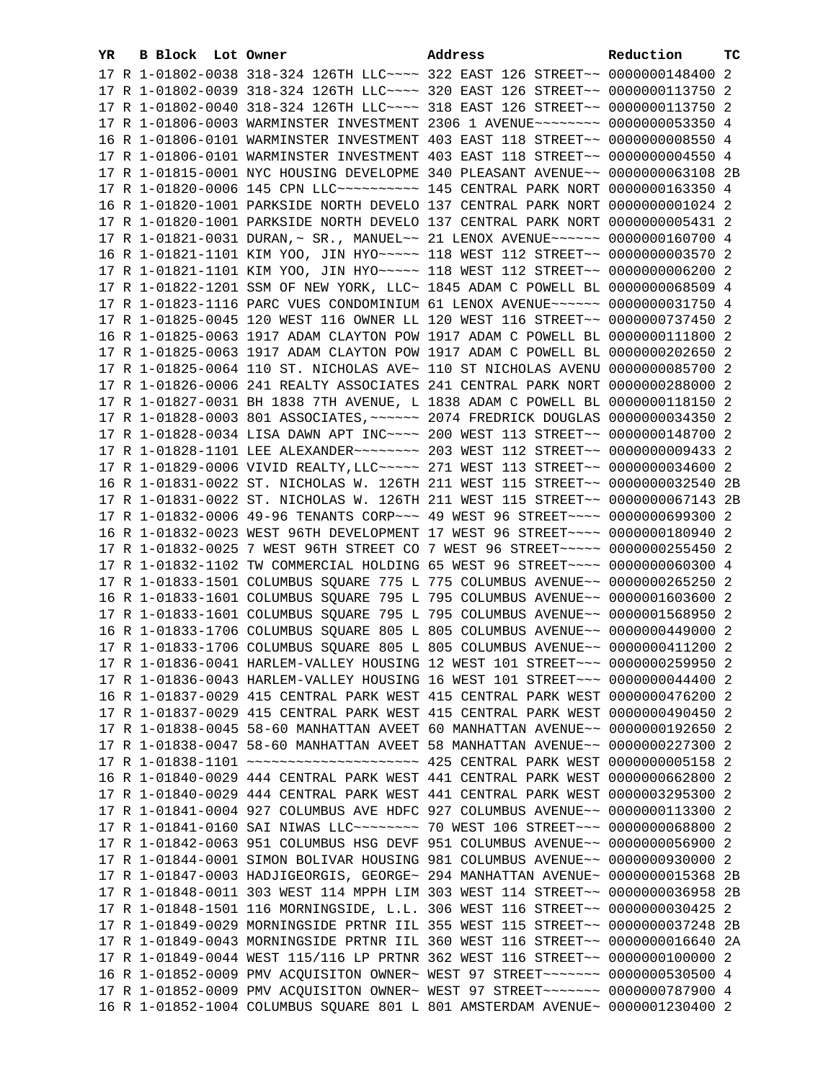| YR. | B Block Lot Owner | Address                                                                                                                                                         | Reduction | тc |
|-----|-------------------|-----------------------------------------------------------------------------------------------------------------------------------------------------------------|-----------|----|
|     |                   | 17 R 1-01802-0038 318-324 126TH LLC --- 322 EAST 126 STREET -~ 0000000148400 2                                                                                  |           |    |
|     |                   | 17 R 1-01802-0039 318-324 126TH LLC --- 320 EAST 126 STREET -~ 0000000113750 2                                                                                  |           |    |
|     |                   | 17 R 1-01802-0040 318-324 126TH LLC --- 318 EAST 126 STREET -~ 0000000113750 2                                                                                  |           |    |
|     |                   | 17 R 1-01806-0003 WARMINSTER INVESTMENT 2306 1 AVENUE~~~~~~~~ 0000000053350 4                                                                                   |           |    |
|     |                   | 16 R 1-01806-0101 WARMINSTER INVESTMENT 403 EAST 118 STREET~~ 00000000008550 4                                                                                  |           |    |
|     |                   | 17 R 1-01806-0101 WARMINSTER INVESTMENT 403 EAST 118 STREET~~ 0000000004550 4                                                                                   |           |    |
|     |                   | 17 R 1-01815-0001 NYC HOUSING DEVELOPME 340 PLEASANT AVENUE~~ 0000000063108 2B                                                                                  |           |    |
|     |                   | 17 R 1-01820-0006 145 CPN LLC ---------- 145 CENTRAL PARK NORT 0000000163350 4                                                                                  |           |    |
|     |                   | 16 R 1-01820-1001 PARKSIDE NORTH DEVELO 137 CENTRAL PARK NORT 00000000001024 2                                                                                  |           |    |
|     |                   | 17 R 1-01820-1001 PARKSIDE NORTH DEVELO 137 CENTRAL PARK NORT 0000000005431 2                                                                                   |           |    |
|     |                   | 17 R 1-01821-0031 DURAN, ~ SR., MANUEL ~~ 21 LENOX AVENUE ~~~~~~ 0000000160700 4                                                                                |           |    |
|     |                   | 16 R 1-01821-1101 KIM YOO, JIN HYO~~~~~ 118 WEST 112 STREET~~ 00000000003570 2                                                                                  |           |    |
|     |                   | 17 R 1-01821-1101 KIM YOO, JIN HYO~~~~~ 118 WEST 112 STREET~~ 0000000006200 2                                                                                   |           |    |
|     |                   | 17 R 1-01822-1201 SSM OF NEW YORK, LLC~ 1845 ADAM C POWELL BL 0000000068509 4                                                                                   |           |    |
|     |                   |                                                                                                                                                                 |           |    |
|     |                   | 17 R 1-01823-1116 PARC VUES CONDOMINIUM 61 LENOX AVENUE~~~~~~ 0000000031750 4                                                                                   |           |    |
|     |                   | 17 R 1-01825-0045 120 WEST 116 OWNER LL 120 WEST 116 STREET~~ 0000000737450 2                                                                                   |           |    |
|     |                   | 16 R 1-01825-0063 1917 ADAM CLAYTON POW 1917 ADAM C POWELL BL 0000000111800 2                                                                                   |           |    |
|     |                   | 17 R 1-01825-0063 1917 ADAM CLAYTON POW 1917 ADAM C POWELL BL 0000000202650 2                                                                                   |           |    |
|     |                   | 17 R 1-01825-0064 110 ST. NICHOLAS AVE~ 110 ST NICHOLAS AVENU 0000000085700 2                                                                                   |           |    |
|     |                   | 17 R 1-01826-0006 241 REALTY ASSOCIATES 241 CENTRAL PARK NORT 0000000288000 2                                                                                   |           |    |
|     |                   | 17 R 1-01827-0031 BH 1838 7TH AVENUE, L 1838 ADAM C POWELL BL 0000000118150 2                                                                                   |           |    |
|     |                   | 17 R 1-01828-0003 801 ASSOCIATES, ~~~~~~ 2074 FREDRICK DOUGLAS 0000000034350 2                                                                                  |           |    |
|     |                   | 17 R 1-01828-0034 LISA DAWN APT INC~~~~ 200 WEST 113 STREET~~ 0000000148700 2                                                                                   |           |    |
|     |                   | 17 R 1-01828-1101 LEE ALEXANDER~~~~~~~~~~~~~ 203 WEST 112 STREET~~ 0000000009433 2                                                                              |           |    |
|     |                   | 17 R 1-01829-0006 VIVID REALTY, LLC ~~~~~ 271 WEST 113 STREET ~~ 0000000034600 2                                                                                |           |    |
|     |                   | 16 R 1-01831-0022 ST. NICHOLAS W. 126TH 211 WEST 115 STREET~~ 0000000032540 2B                                                                                  |           |    |
|     |                   | 17 R 1-01831-0022 ST. NICHOLAS W. 126TH 211 WEST 115 STREET~~ 0000000067143 2B                                                                                  |           |    |
|     |                   | 17 R 1-01832-0006 49-96 TENANTS CORP~~~ 49 WEST 96 STREET~~~~ 0000000699300 2                                                                                   |           |    |
|     |                   | 16 R 1-01832-0023 WEST 96TH DEVELOPMENT 17 WEST 96 STREET~~~~ 0000000180940 2                                                                                   |           |    |
|     |                   | 17 R 1-01832-0025 7 WEST 96TH STREET CO 7 WEST 96 STREET~~~~~~ 0000000255450 2<br>17 R 1-01832-1102 TW COMMERCIAL HOLDING 65 WEST 96 STREET~~~~ 0000000060300 4 |           |    |
|     |                   | 17 R 1-01833-1501 COLUMBUS SQUARE 775 L 775 COLUMBUS AVENUE~~ 0000000265250 2                                                                                   |           |    |
|     |                   | 16 R 1-01833-1601 COLUMBUS SQUARE 795 L 795 COLUMBUS AVENUE~~ 0000001603600 2                                                                                   |           |    |
|     |                   | 17 R 1-01833-1601 COLUMBUS SQUARE 795 L 795 COLUMBUS AVENUE~~ 0000001568950 2                                                                                   |           |    |
|     |                   | 16 R 1-01833-1706 COLUMBUS SQUARE 805 L 805 COLUMBUS AVENUE~~ 0000000449000 2                                                                                   |           |    |
|     |                   | 17 R 1-01833-1706 COLUMBUS SQUARE 805 L 805 COLUMBUS AVENUE~~ 0000000411200 2                                                                                   |           |    |
|     |                   | 17 R 1-01836-0041 HARLEM-VALLEY HOUSING 12 WEST 101 STREET~~~ 0000000259950 2                                                                                   |           |    |
|     |                   | 17 R 1-01836-0043 HARLEM-VALLEY HOUSING 16 WEST 101 STREET~~~ 0000000044400 2                                                                                   |           |    |
|     |                   | 16 R 1-01837-0029 415 CENTRAL PARK WEST 415 CENTRAL PARK WEST 0000000476200 2                                                                                   |           |    |
|     |                   | 17 R 1-01837-0029 415 CENTRAL PARK WEST 415 CENTRAL PARK WEST 0000000490450 2                                                                                   |           |    |
|     |                   | 17 R 1-01838-0045 58-60 MANHATTAN AVEET 60 MANHATTAN AVENUE~~ 0000000192650 2                                                                                   |           |    |
|     |                   | 17 R 1-01838-0047 58-60 MANHATTAN AVEET 58 MANHATTAN AVENUE~~ 0000000227300 2                                                                                   |           |    |
|     |                   |                                                                                                                                                                 |           |    |
|     |                   | 16 R 1-01840-0029 444 CENTRAL PARK WEST 441 CENTRAL PARK WEST 0000000662800 2                                                                                   |           |    |
|     |                   | 17 R 1-01840-0029 444 CENTRAL PARK WEST 441 CENTRAL PARK WEST 0000003295300 2                                                                                   |           |    |
|     |                   | 17 R 1-01841-0004 927 COLUMBUS AVE HDFC 927 COLUMBUS AVENUE~~ 0000000113300 2                                                                                   |           |    |
|     |                   | 17 R 1-01841-0160 SAI NIWAS LLC -------- 70 WEST 106 STREET --- 0000000068800 2                                                                                 |           |    |
|     |                   | 17 R 1-01842-0063 951 COLUMBUS HSG DEVF 951 COLUMBUS AVENUE~~ 0000000056900 2                                                                                   |           |    |
|     |                   | 17 R 1-01844-0001 SIMON BOLIVAR HOUSING 981 COLUMBUS AVENUE~~ 0000000930000 2                                                                                   |           |    |
|     |                   | 17 R 1-01847-0003 HADJIGEORGIS, GEORGE~ 294 MANHATTAN AVENUE~ 0000000015368 2B                                                                                  |           |    |
|     |                   | 17 R 1-01848-0011 303 WEST 114 MPPH LIM 303 WEST 114 STREET~~ 0000000036958 2B                                                                                  |           |    |
|     |                   | 17 R 1-01848-1501 116 MORNINGSIDE, L.L. 306 WEST 116 STREET~~ 0000000030425 2                                                                                   |           |    |
|     |                   | 17 R 1-01849-0029 MORNINGSIDE PRTNR IIL 355 WEST 115 STREET~~ 0000000037248 2B                                                                                  |           |    |
|     |                   | 17 R 1-01849-0043 MORNINGSIDE PRTNR IIL 360 WEST 116 STREET~~ 0000000016640 2A                                                                                  |           |    |
|     |                   | 17 R 1-01849-0044 WEST 115/116 LP PRTNR 362 WEST 116 STREET~~ 0000000100000 2                                                                                   |           |    |
|     |                   | 16 R 1-01852-0009 PMV ACQUISITON OWNER~ WEST 97 STREET~~~~~~~~ 0000000530500 4                                                                                  |           |    |
|     |                   | 17 R 1-01852-0009 PMV ACQUISITON OWNER~ WEST 97 STREET~~~~~~~~ 0000000787900 4                                                                                  |           |    |
|     |                   | 16 R 1-01852-1004 COLUMBUS SQUARE 801 L 801 AMSTERDAM AVENUE~ 0000001230400 2                                                                                   |           |    |
|     |                   |                                                                                                                                                                 |           |    |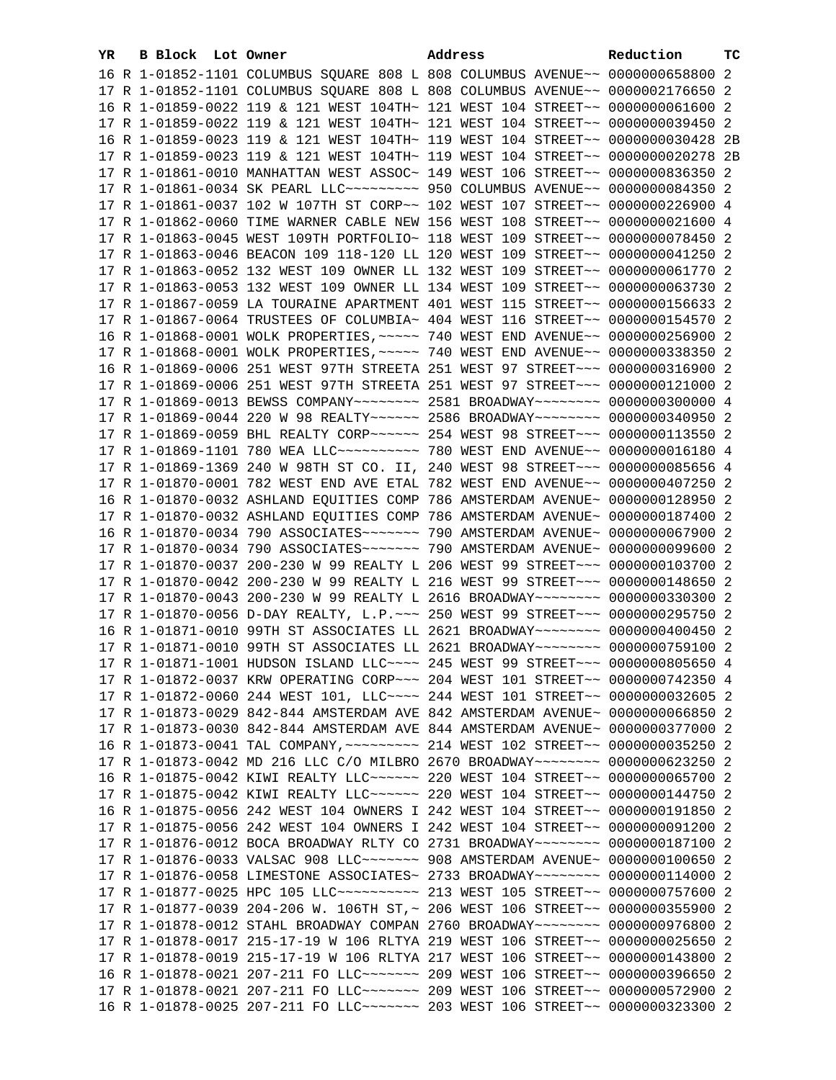| 16 R 1-01852-1101 COLUMBUS SQUARE 808 L 808 COLUMBUS AVENUE~~ 0000000658800 2<br>17 R 1-01852-1101 COLUMBUS SQUARE 808 L 808 COLUMBUS AVENUE~~ 0000002176650 2<br>16 R 1-01859-0022 119 & 121 WEST 104TH~ 121 WEST 104 STREET~~ 0000000061600 2<br>17 R 1-01859-0022 119 & 121 WEST 104TH~ 121 WEST 104 STREET~~ 0000000039450 2<br>16 R 1-01859-0023 119 & 121 WEST 104TH~ 119 WEST 104 STREET~~ 0000000030428 2B<br>17 R 1-01859-0023 119 & 121 WEST 104TH~ 119 WEST 104 STREET~~ 0000000020278 2B<br>17 R 1-01861-0010 MANHATTAN WEST ASSOC~ 149 WEST 106 STREET~~ 0000000836350 2<br>17 R 1-01861-0034 SK PEARL LLC~~~~~~~~~~~~~~ 950 COLUMBUS AVENUE~~ 0000000084350 2<br>17 R 1-01861-0037 102 W 107TH ST CORP~~ 102 WEST 107 STREET~~ 0000000226900 4<br>17 R 1-01862-0060 TIME WARNER CABLE NEW 156 WEST 108 STREET~~ 0000000021600 4<br>17 R 1-01863-0045 WEST 109TH PORTFOLIO~ 118 WEST 109 STREET~~ 0000000078450 2<br>17 R 1-01863-0046 BEACON 109 118-120 LL 120 WEST 109 STREET~~ 0000000041250 2<br>17 R 1-01863-0052 132 WEST 109 OWNER LL 132 WEST 109 STREET~~ 0000000061770 2<br>17 R 1-01863-0053 132 WEST 109 OWNER LL 134 WEST 109 STREET~~ 0000000063730 2<br>17 R 1-01867-0059 LA TOURAINE APARTMENT 401 WEST 115 STREET~~ 0000000156633 2<br>17 R 1-01867-0064 TRUSTEES OF COLUMBIA~ 404 WEST 116 STREET~~ 0000000154570 2<br>16 R 1-01868-0001 WOLK PROPERTIES, ~~~~~ 740 WEST END AVENUE~~ 0000000256900 2<br>17 R 1-01868-0001 WOLK PROPERTIES, ~~~~~ 740 WEST END AVENUE~~ 0000000338350 2<br>16 R 1-01869-0006 251 WEST 97TH STREETA 251 WEST 97 STREET~~~ 0000000316900 2<br>17 R 1-01869-0006 251 WEST 97TH STREETA 251 WEST 97 STREET~~~ 0000000121000 2<br>17 R 1-01869-0013 BEWSS COMPANY~~~~~~~~ 2581 BROADWAY~~~~~~~~ 0000000300000 4<br>17 R 1-01869-0044 220 W 98 REALTY~~~~~~ 2586 BROADWAY~~~~~~~~ 0000000340950 2<br>17 R 1-01869-0059 BHL REALTY CORP~~~~~~ 254 WEST 98 STREET~~~ 0000000113550 2<br>17 R 1-01869-1101 780 WEA LLC --------- 780 WEST END AVENUE-- 0000000016180 4<br>17 R 1-01869-1369 240 W 98TH ST CO. II, 240 WEST 98 STREET~~~ 0000000085656 4<br>17 R 1-01870-0001 782 WEST END AVE ETAL 782 WEST END AVENUE~~ 0000000407250 2<br>16 R 1-01870-0032 ASHLAND EQUITIES COMP 786 AMSTERDAM AVENUE~ 0000000128950 2<br>17 R 1-01870-0032 ASHLAND EQUITIES COMP 786 AMSTERDAM AVENUE~ 0000000187400 2<br>16 R 1-01870-0034 790 ASSOCIATES~~~~~~~ 790 AMSTERDAM AVENUE~ 0000000067900 2<br>17 R 1-01870-0034 790 ASSOCIATES~~~~~~~ 790 AMSTERDAM AVENUE~ 0000000099600 2<br>17 R 1-01870-0037 200-230 W 99 REALTY L 206 WEST 99 STREET~~~ 0000000103700 2<br>17 R 1-01870-0042 200-230 W 99 REALTY L 216 WEST 99 STREET~~~ 0000000148650 2<br>17 R 1-01870-0043 200-230 W 99 REALTY L 2616 BROADWAY~~~~~~~~ 0000000330300 2<br>17 R 1-01870-0056 D-DAY REALTY, L.P. ~~~ 250 WEST 99 STREET~~~ 0000000295750 2<br>16 R 1-01871-0010 99TH ST ASSOCIATES LL 2621 BROADWAY~~~~~~~~ 0000000400450 2<br>17 R 1-01871-0010 99TH ST ASSOCIATES LL 2621 BROADWAY~~~~~~~~ 0000000759100 2<br>17 R 1-01871-1001 HUDSON ISLAND LLC --- 245 WEST 99 STREET -- 0000000805650 4<br>17 R 1-01872-0037 KRW OPERATING CORP~~~ 204 WEST 101 STREET~~ 0000000742350 4<br>17 R 1-01872-0060 244 WEST 101, LLC --- 244 WEST 101 STREET -- 0000000032605 2<br>17 R 1-01873-0029 842-844 AMSTERDAM AVE 842 AMSTERDAM AVENUE~ 0000000066850 2<br>17 R 1-01873-0030 842-844 AMSTERDAM AVE 844 AMSTERDAM AVENUE~ 0000000377000 2<br>16 R 1-01873-0041 TAL COMPANY, ~~~~~~~~~ 214 WEST 102 STREET~~ 0000000035250 2<br>17 R 1-01873-0042 MD 216 LLC C/O MILBRO 2670 BROADWAY~~~~~~~~ 0000000623250 2<br>16 R 1-01875-0042 KIWI REALTY LLC ----- 220 WEST 104 STREET -- 0000000065700 2<br>17 R 1-01875-0042 KIWI REALTY LLC ----- 220 WEST 104 STREET -- 0000000144750 2<br>16 R 1-01875-0056 242 WEST 104 OWNERS I 242 WEST 104 STREET~~ 0000000191850 2<br>17 R 1-01875-0056 242 WEST 104 OWNERS I 242 WEST 104 STREET~~ 0000000091200 2<br>17 R 1-01876-0012 BOCA BROADWAY RLTY CO 2731 BROADWAY~~~~~~~~ 0000000187100 2<br>17 R 1-01876-0033 VALSAC 908 LLC ------ 908 AMSTERDAM AVENUE ~ 0000000100650 2<br>17 R 1-01876-0058 LIMESTONE ASSOCIATES~ 2733 BROADWAY~~~~~~~~ 0000000114000 2<br>17 R 1-01877-0025 HPC 105 LLC~~~~~~~~~~~~~~~ 213 WEST 105 STREET~~ 0000000757600 2<br>17 R 1-01877-0039 204-206 W. 106TH ST,~ 206 WEST 106 STREET~~ 0000000355900 2<br>17 R 1-01878-0012 STAHL BROADWAY COMPAN 2760 BROADWAY~~~~~~~~ 0000000976800 2<br>17 R 1-01878-0017 215-17-19 W 106 RLTYA 219 WEST 106 STREET~~ 0000000025650 2<br>17 R 1-01878-0019 215-17-19 W 106 RLTYA 217 WEST 106 STREET~~ 0000000143800 2<br>16 R 1-01878-0021 207-211 FO LLC ------- 209 WEST 106 STREET -- 0000000396650 2<br>17 R 1-01878-0021 207-211 FO LLC ------- 209 WEST 106 STREET -- 0000000572900 2<br>16 R 1-01878-0025 207-211 FO LLC ------- 203 WEST 106 STREET -- 0000000323300 2 | YR. | B Block Lot Owner | Address | Reduction | тc |
|------------------------------------------------------------------------------------------------------------------------------------------------------------------------------------------------------------------------------------------------------------------------------------------------------------------------------------------------------------------------------------------------------------------------------------------------------------------------------------------------------------------------------------------------------------------------------------------------------------------------------------------------------------------------------------------------------------------------------------------------------------------------------------------------------------------------------------------------------------------------------------------------------------------------------------------------------------------------------------------------------------------------------------------------------------------------------------------------------------------------------------------------------------------------------------------------------------------------------------------------------------------------------------------------------------------------------------------------------------------------------------------------------------------------------------------------------------------------------------------------------------------------------------------------------------------------------------------------------------------------------------------------------------------------------------------------------------------------------------------------------------------------------------------------------------------------------------------------------------------------------------------------------------------------------------------------------------------------------------------------------------------------------------------------------------------------------------------------------------------------------------------------------------------------------------------------------------------------------------------------------------------------------------------------------------------------------------------------------------------------------------------------------------------------------------------------------------------------------------------------------------------------------------------------------------------------------------------------------------------------------------------------------------------------------------------------------------------------------------------------------------------------------------------------------------------------------------------------------------------------------------------------------------------------------------------------------------------------------------------------------------------------------------------------------------------------------------------------------------------------------------------------------------------------------------------------------------------------------------------------------------------------------------------------------------------------------------------------------------------------------------------------------------------------------------------------------------------------------------------------------------------------------------------------------------------------------------------------------------------------------------------------------------------------------------------------------------------------------------------------------------------------------------------------------------------------------------------------------------------------------------------------------------------------------------------------------------------------------------------------------------------------------------------------------------------------------------------------------------------------------------------------------------------------------------------------------------------------------------------------------------------------------------------------------------------------------------------------------------------------------------------------------------------------------------------------------------------------------------------------------------------------------------------------------------------------------------------------------------------------------------------------------------------------------------------------------------------------------------------------------------------------------------------------------------------------------------------------------------------------------------------------------------------|-----|-------------------|---------|-----------|----|
|                                                                                                                                                                                                                                                                                                                                                                                                                                                                                                                                                                                                                                                                                                                                                                                                                                                                                                                                                                                                                                                                                                                                                                                                                                                                                                                                                                                                                                                                                                                                                                                                                                                                                                                                                                                                                                                                                                                                                                                                                                                                                                                                                                                                                                                                                                                                                                                                                                                                                                                                                                                                                                                                                                                                                                                                                                                                                                                                                                                                                                                                                                                                                                                                                                                                                                                                                                                                                                                                                                                                                                                                                                                                                                                                                                                                                                                                                                                                                                                                                                                                                                                                                                                                                                                                                                                                                                                                                                                                                                                                                                                                                                                                                                                                                                                                                                                                                                                  |     |                   |         |           |    |
|                                                                                                                                                                                                                                                                                                                                                                                                                                                                                                                                                                                                                                                                                                                                                                                                                                                                                                                                                                                                                                                                                                                                                                                                                                                                                                                                                                                                                                                                                                                                                                                                                                                                                                                                                                                                                                                                                                                                                                                                                                                                                                                                                                                                                                                                                                                                                                                                                                                                                                                                                                                                                                                                                                                                                                                                                                                                                                                                                                                                                                                                                                                                                                                                                                                                                                                                                                                                                                                                                                                                                                                                                                                                                                                                                                                                                                                                                                                                                                                                                                                                                                                                                                                                                                                                                                                                                                                                                                                                                                                                                                                                                                                                                                                                                                                                                                                                                                                  |     |                   |         |           |    |
|                                                                                                                                                                                                                                                                                                                                                                                                                                                                                                                                                                                                                                                                                                                                                                                                                                                                                                                                                                                                                                                                                                                                                                                                                                                                                                                                                                                                                                                                                                                                                                                                                                                                                                                                                                                                                                                                                                                                                                                                                                                                                                                                                                                                                                                                                                                                                                                                                                                                                                                                                                                                                                                                                                                                                                                                                                                                                                                                                                                                                                                                                                                                                                                                                                                                                                                                                                                                                                                                                                                                                                                                                                                                                                                                                                                                                                                                                                                                                                                                                                                                                                                                                                                                                                                                                                                                                                                                                                                                                                                                                                                                                                                                                                                                                                                                                                                                                                                  |     |                   |         |           |    |
|                                                                                                                                                                                                                                                                                                                                                                                                                                                                                                                                                                                                                                                                                                                                                                                                                                                                                                                                                                                                                                                                                                                                                                                                                                                                                                                                                                                                                                                                                                                                                                                                                                                                                                                                                                                                                                                                                                                                                                                                                                                                                                                                                                                                                                                                                                                                                                                                                                                                                                                                                                                                                                                                                                                                                                                                                                                                                                                                                                                                                                                                                                                                                                                                                                                                                                                                                                                                                                                                                                                                                                                                                                                                                                                                                                                                                                                                                                                                                                                                                                                                                                                                                                                                                                                                                                                                                                                                                                                                                                                                                                                                                                                                                                                                                                                                                                                                                                                  |     |                   |         |           |    |
|                                                                                                                                                                                                                                                                                                                                                                                                                                                                                                                                                                                                                                                                                                                                                                                                                                                                                                                                                                                                                                                                                                                                                                                                                                                                                                                                                                                                                                                                                                                                                                                                                                                                                                                                                                                                                                                                                                                                                                                                                                                                                                                                                                                                                                                                                                                                                                                                                                                                                                                                                                                                                                                                                                                                                                                                                                                                                                                                                                                                                                                                                                                                                                                                                                                                                                                                                                                                                                                                                                                                                                                                                                                                                                                                                                                                                                                                                                                                                                                                                                                                                                                                                                                                                                                                                                                                                                                                                                                                                                                                                                                                                                                                                                                                                                                                                                                                                                                  |     |                   |         |           |    |
|                                                                                                                                                                                                                                                                                                                                                                                                                                                                                                                                                                                                                                                                                                                                                                                                                                                                                                                                                                                                                                                                                                                                                                                                                                                                                                                                                                                                                                                                                                                                                                                                                                                                                                                                                                                                                                                                                                                                                                                                                                                                                                                                                                                                                                                                                                                                                                                                                                                                                                                                                                                                                                                                                                                                                                                                                                                                                                                                                                                                                                                                                                                                                                                                                                                                                                                                                                                                                                                                                                                                                                                                                                                                                                                                                                                                                                                                                                                                                                                                                                                                                                                                                                                                                                                                                                                                                                                                                                                                                                                                                                                                                                                                                                                                                                                                                                                                                                                  |     |                   |         |           |    |
|                                                                                                                                                                                                                                                                                                                                                                                                                                                                                                                                                                                                                                                                                                                                                                                                                                                                                                                                                                                                                                                                                                                                                                                                                                                                                                                                                                                                                                                                                                                                                                                                                                                                                                                                                                                                                                                                                                                                                                                                                                                                                                                                                                                                                                                                                                                                                                                                                                                                                                                                                                                                                                                                                                                                                                                                                                                                                                                                                                                                                                                                                                                                                                                                                                                                                                                                                                                                                                                                                                                                                                                                                                                                                                                                                                                                                                                                                                                                                                                                                                                                                                                                                                                                                                                                                                                                                                                                                                                                                                                                                                                                                                                                                                                                                                                                                                                                                                                  |     |                   |         |           |    |
|                                                                                                                                                                                                                                                                                                                                                                                                                                                                                                                                                                                                                                                                                                                                                                                                                                                                                                                                                                                                                                                                                                                                                                                                                                                                                                                                                                                                                                                                                                                                                                                                                                                                                                                                                                                                                                                                                                                                                                                                                                                                                                                                                                                                                                                                                                                                                                                                                                                                                                                                                                                                                                                                                                                                                                                                                                                                                                                                                                                                                                                                                                                                                                                                                                                                                                                                                                                                                                                                                                                                                                                                                                                                                                                                                                                                                                                                                                                                                                                                                                                                                                                                                                                                                                                                                                                                                                                                                                                                                                                                                                                                                                                                                                                                                                                                                                                                                                                  |     |                   |         |           |    |
|                                                                                                                                                                                                                                                                                                                                                                                                                                                                                                                                                                                                                                                                                                                                                                                                                                                                                                                                                                                                                                                                                                                                                                                                                                                                                                                                                                                                                                                                                                                                                                                                                                                                                                                                                                                                                                                                                                                                                                                                                                                                                                                                                                                                                                                                                                                                                                                                                                                                                                                                                                                                                                                                                                                                                                                                                                                                                                                                                                                                                                                                                                                                                                                                                                                                                                                                                                                                                                                                                                                                                                                                                                                                                                                                                                                                                                                                                                                                                                                                                                                                                                                                                                                                                                                                                                                                                                                                                                                                                                                                                                                                                                                                                                                                                                                                                                                                                                                  |     |                   |         |           |    |
|                                                                                                                                                                                                                                                                                                                                                                                                                                                                                                                                                                                                                                                                                                                                                                                                                                                                                                                                                                                                                                                                                                                                                                                                                                                                                                                                                                                                                                                                                                                                                                                                                                                                                                                                                                                                                                                                                                                                                                                                                                                                                                                                                                                                                                                                                                                                                                                                                                                                                                                                                                                                                                                                                                                                                                                                                                                                                                                                                                                                                                                                                                                                                                                                                                                                                                                                                                                                                                                                                                                                                                                                                                                                                                                                                                                                                                                                                                                                                                                                                                                                                                                                                                                                                                                                                                                                                                                                                                                                                                                                                                                                                                                                                                                                                                                                                                                                                                                  |     |                   |         |           |    |
|                                                                                                                                                                                                                                                                                                                                                                                                                                                                                                                                                                                                                                                                                                                                                                                                                                                                                                                                                                                                                                                                                                                                                                                                                                                                                                                                                                                                                                                                                                                                                                                                                                                                                                                                                                                                                                                                                                                                                                                                                                                                                                                                                                                                                                                                                                                                                                                                                                                                                                                                                                                                                                                                                                                                                                                                                                                                                                                                                                                                                                                                                                                                                                                                                                                                                                                                                                                                                                                                                                                                                                                                                                                                                                                                                                                                                                                                                                                                                                                                                                                                                                                                                                                                                                                                                                                                                                                                                                                                                                                                                                                                                                                                                                                                                                                                                                                                                                                  |     |                   |         |           |    |
|                                                                                                                                                                                                                                                                                                                                                                                                                                                                                                                                                                                                                                                                                                                                                                                                                                                                                                                                                                                                                                                                                                                                                                                                                                                                                                                                                                                                                                                                                                                                                                                                                                                                                                                                                                                                                                                                                                                                                                                                                                                                                                                                                                                                                                                                                                                                                                                                                                                                                                                                                                                                                                                                                                                                                                                                                                                                                                                                                                                                                                                                                                                                                                                                                                                                                                                                                                                                                                                                                                                                                                                                                                                                                                                                                                                                                                                                                                                                                                                                                                                                                                                                                                                                                                                                                                                                                                                                                                                                                                                                                                                                                                                                                                                                                                                                                                                                                                                  |     |                   |         |           |    |
|                                                                                                                                                                                                                                                                                                                                                                                                                                                                                                                                                                                                                                                                                                                                                                                                                                                                                                                                                                                                                                                                                                                                                                                                                                                                                                                                                                                                                                                                                                                                                                                                                                                                                                                                                                                                                                                                                                                                                                                                                                                                                                                                                                                                                                                                                                                                                                                                                                                                                                                                                                                                                                                                                                                                                                                                                                                                                                                                                                                                                                                                                                                                                                                                                                                                                                                                                                                                                                                                                                                                                                                                                                                                                                                                                                                                                                                                                                                                                                                                                                                                                                                                                                                                                                                                                                                                                                                                                                                                                                                                                                                                                                                                                                                                                                                                                                                                                                                  |     |                   |         |           |    |
|                                                                                                                                                                                                                                                                                                                                                                                                                                                                                                                                                                                                                                                                                                                                                                                                                                                                                                                                                                                                                                                                                                                                                                                                                                                                                                                                                                                                                                                                                                                                                                                                                                                                                                                                                                                                                                                                                                                                                                                                                                                                                                                                                                                                                                                                                                                                                                                                                                                                                                                                                                                                                                                                                                                                                                                                                                                                                                                                                                                                                                                                                                                                                                                                                                                                                                                                                                                                                                                                                                                                                                                                                                                                                                                                                                                                                                                                                                                                                                                                                                                                                                                                                                                                                                                                                                                                                                                                                                                                                                                                                                                                                                                                                                                                                                                                                                                                                                                  |     |                   |         |           |    |
|                                                                                                                                                                                                                                                                                                                                                                                                                                                                                                                                                                                                                                                                                                                                                                                                                                                                                                                                                                                                                                                                                                                                                                                                                                                                                                                                                                                                                                                                                                                                                                                                                                                                                                                                                                                                                                                                                                                                                                                                                                                                                                                                                                                                                                                                                                                                                                                                                                                                                                                                                                                                                                                                                                                                                                                                                                                                                                                                                                                                                                                                                                                                                                                                                                                                                                                                                                                                                                                                                                                                                                                                                                                                                                                                                                                                                                                                                                                                                                                                                                                                                                                                                                                                                                                                                                                                                                                                                                                                                                                                                                                                                                                                                                                                                                                                                                                                                                                  |     |                   |         |           |    |
|                                                                                                                                                                                                                                                                                                                                                                                                                                                                                                                                                                                                                                                                                                                                                                                                                                                                                                                                                                                                                                                                                                                                                                                                                                                                                                                                                                                                                                                                                                                                                                                                                                                                                                                                                                                                                                                                                                                                                                                                                                                                                                                                                                                                                                                                                                                                                                                                                                                                                                                                                                                                                                                                                                                                                                                                                                                                                                                                                                                                                                                                                                                                                                                                                                                                                                                                                                                                                                                                                                                                                                                                                                                                                                                                                                                                                                                                                                                                                                                                                                                                                                                                                                                                                                                                                                                                                                                                                                                                                                                                                                                                                                                                                                                                                                                                                                                                                                                  |     |                   |         |           |    |
|                                                                                                                                                                                                                                                                                                                                                                                                                                                                                                                                                                                                                                                                                                                                                                                                                                                                                                                                                                                                                                                                                                                                                                                                                                                                                                                                                                                                                                                                                                                                                                                                                                                                                                                                                                                                                                                                                                                                                                                                                                                                                                                                                                                                                                                                                                                                                                                                                                                                                                                                                                                                                                                                                                                                                                                                                                                                                                                                                                                                                                                                                                                                                                                                                                                                                                                                                                                                                                                                                                                                                                                                                                                                                                                                                                                                                                                                                                                                                                                                                                                                                                                                                                                                                                                                                                                                                                                                                                                                                                                                                                                                                                                                                                                                                                                                                                                                                                                  |     |                   |         |           |    |
|                                                                                                                                                                                                                                                                                                                                                                                                                                                                                                                                                                                                                                                                                                                                                                                                                                                                                                                                                                                                                                                                                                                                                                                                                                                                                                                                                                                                                                                                                                                                                                                                                                                                                                                                                                                                                                                                                                                                                                                                                                                                                                                                                                                                                                                                                                                                                                                                                                                                                                                                                                                                                                                                                                                                                                                                                                                                                                                                                                                                                                                                                                                                                                                                                                                                                                                                                                                                                                                                                                                                                                                                                                                                                                                                                                                                                                                                                                                                                                                                                                                                                                                                                                                                                                                                                                                                                                                                                                                                                                                                                                                                                                                                                                                                                                                                                                                                                                                  |     |                   |         |           |    |
|                                                                                                                                                                                                                                                                                                                                                                                                                                                                                                                                                                                                                                                                                                                                                                                                                                                                                                                                                                                                                                                                                                                                                                                                                                                                                                                                                                                                                                                                                                                                                                                                                                                                                                                                                                                                                                                                                                                                                                                                                                                                                                                                                                                                                                                                                                                                                                                                                                                                                                                                                                                                                                                                                                                                                                                                                                                                                                                                                                                                                                                                                                                                                                                                                                                                                                                                                                                                                                                                                                                                                                                                                                                                                                                                                                                                                                                                                                                                                                                                                                                                                                                                                                                                                                                                                                                                                                                                                                                                                                                                                                                                                                                                                                                                                                                                                                                                                                                  |     |                   |         |           |    |
|                                                                                                                                                                                                                                                                                                                                                                                                                                                                                                                                                                                                                                                                                                                                                                                                                                                                                                                                                                                                                                                                                                                                                                                                                                                                                                                                                                                                                                                                                                                                                                                                                                                                                                                                                                                                                                                                                                                                                                                                                                                                                                                                                                                                                                                                                                                                                                                                                                                                                                                                                                                                                                                                                                                                                                                                                                                                                                                                                                                                                                                                                                                                                                                                                                                                                                                                                                                                                                                                                                                                                                                                                                                                                                                                                                                                                                                                                                                                                                                                                                                                                                                                                                                                                                                                                                                                                                                                                                                                                                                                                                                                                                                                                                                                                                                                                                                                                                                  |     |                   |         |           |    |
|                                                                                                                                                                                                                                                                                                                                                                                                                                                                                                                                                                                                                                                                                                                                                                                                                                                                                                                                                                                                                                                                                                                                                                                                                                                                                                                                                                                                                                                                                                                                                                                                                                                                                                                                                                                                                                                                                                                                                                                                                                                                                                                                                                                                                                                                                                                                                                                                                                                                                                                                                                                                                                                                                                                                                                                                                                                                                                                                                                                                                                                                                                                                                                                                                                                                                                                                                                                                                                                                                                                                                                                                                                                                                                                                                                                                                                                                                                                                                                                                                                                                                                                                                                                                                                                                                                                                                                                                                                                                                                                                                                                                                                                                                                                                                                                                                                                                                                                  |     |                   |         |           |    |
|                                                                                                                                                                                                                                                                                                                                                                                                                                                                                                                                                                                                                                                                                                                                                                                                                                                                                                                                                                                                                                                                                                                                                                                                                                                                                                                                                                                                                                                                                                                                                                                                                                                                                                                                                                                                                                                                                                                                                                                                                                                                                                                                                                                                                                                                                                                                                                                                                                                                                                                                                                                                                                                                                                                                                                                                                                                                                                                                                                                                                                                                                                                                                                                                                                                                                                                                                                                                                                                                                                                                                                                                                                                                                                                                                                                                                                                                                                                                                                                                                                                                                                                                                                                                                                                                                                                                                                                                                                                                                                                                                                                                                                                                                                                                                                                                                                                                                                                  |     |                   |         |           |    |
|                                                                                                                                                                                                                                                                                                                                                                                                                                                                                                                                                                                                                                                                                                                                                                                                                                                                                                                                                                                                                                                                                                                                                                                                                                                                                                                                                                                                                                                                                                                                                                                                                                                                                                                                                                                                                                                                                                                                                                                                                                                                                                                                                                                                                                                                                                                                                                                                                                                                                                                                                                                                                                                                                                                                                                                                                                                                                                                                                                                                                                                                                                                                                                                                                                                                                                                                                                                                                                                                                                                                                                                                                                                                                                                                                                                                                                                                                                                                                                                                                                                                                                                                                                                                                                                                                                                                                                                                                                                                                                                                                                                                                                                                                                                                                                                                                                                                                                                  |     |                   |         |           |    |
|                                                                                                                                                                                                                                                                                                                                                                                                                                                                                                                                                                                                                                                                                                                                                                                                                                                                                                                                                                                                                                                                                                                                                                                                                                                                                                                                                                                                                                                                                                                                                                                                                                                                                                                                                                                                                                                                                                                                                                                                                                                                                                                                                                                                                                                                                                                                                                                                                                                                                                                                                                                                                                                                                                                                                                                                                                                                                                                                                                                                                                                                                                                                                                                                                                                                                                                                                                                                                                                                                                                                                                                                                                                                                                                                                                                                                                                                                                                                                                                                                                                                                                                                                                                                                                                                                                                                                                                                                                                                                                                                                                                                                                                                                                                                                                                                                                                                                                                  |     |                   |         |           |    |
|                                                                                                                                                                                                                                                                                                                                                                                                                                                                                                                                                                                                                                                                                                                                                                                                                                                                                                                                                                                                                                                                                                                                                                                                                                                                                                                                                                                                                                                                                                                                                                                                                                                                                                                                                                                                                                                                                                                                                                                                                                                                                                                                                                                                                                                                                                                                                                                                                                                                                                                                                                                                                                                                                                                                                                                                                                                                                                                                                                                                                                                                                                                                                                                                                                                                                                                                                                                                                                                                                                                                                                                                                                                                                                                                                                                                                                                                                                                                                                                                                                                                                                                                                                                                                                                                                                                                                                                                                                                                                                                                                                                                                                                                                                                                                                                                                                                                                                                  |     |                   |         |           |    |
|                                                                                                                                                                                                                                                                                                                                                                                                                                                                                                                                                                                                                                                                                                                                                                                                                                                                                                                                                                                                                                                                                                                                                                                                                                                                                                                                                                                                                                                                                                                                                                                                                                                                                                                                                                                                                                                                                                                                                                                                                                                                                                                                                                                                                                                                                                                                                                                                                                                                                                                                                                                                                                                                                                                                                                                                                                                                                                                                                                                                                                                                                                                                                                                                                                                                                                                                                                                                                                                                                                                                                                                                                                                                                                                                                                                                                                                                                                                                                                                                                                                                                                                                                                                                                                                                                                                                                                                                                                                                                                                                                                                                                                                                                                                                                                                                                                                                                                                  |     |                   |         |           |    |
|                                                                                                                                                                                                                                                                                                                                                                                                                                                                                                                                                                                                                                                                                                                                                                                                                                                                                                                                                                                                                                                                                                                                                                                                                                                                                                                                                                                                                                                                                                                                                                                                                                                                                                                                                                                                                                                                                                                                                                                                                                                                                                                                                                                                                                                                                                                                                                                                                                                                                                                                                                                                                                                                                                                                                                                                                                                                                                                                                                                                                                                                                                                                                                                                                                                                                                                                                                                                                                                                                                                                                                                                                                                                                                                                                                                                                                                                                                                                                                                                                                                                                                                                                                                                                                                                                                                                                                                                                                                                                                                                                                                                                                                                                                                                                                                                                                                                                                                  |     |                   |         |           |    |
|                                                                                                                                                                                                                                                                                                                                                                                                                                                                                                                                                                                                                                                                                                                                                                                                                                                                                                                                                                                                                                                                                                                                                                                                                                                                                                                                                                                                                                                                                                                                                                                                                                                                                                                                                                                                                                                                                                                                                                                                                                                                                                                                                                                                                                                                                                                                                                                                                                                                                                                                                                                                                                                                                                                                                                                                                                                                                                                                                                                                                                                                                                                                                                                                                                                                                                                                                                                                                                                                                                                                                                                                                                                                                                                                                                                                                                                                                                                                                                                                                                                                                                                                                                                                                                                                                                                                                                                                                                                                                                                                                                                                                                                                                                                                                                                                                                                                                                                  |     |                   |         |           |    |
|                                                                                                                                                                                                                                                                                                                                                                                                                                                                                                                                                                                                                                                                                                                                                                                                                                                                                                                                                                                                                                                                                                                                                                                                                                                                                                                                                                                                                                                                                                                                                                                                                                                                                                                                                                                                                                                                                                                                                                                                                                                                                                                                                                                                                                                                                                                                                                                                                                                                                                                                                                                                                                                                                                                                                                                                                                                                                                                                                                                                                                                                                                                                                                                                                                                                                                                                                                                                                                                                                                                                                                                                                                                                                                                                                                                                                                                                                                                                                                                                                                                                                                                                                                                                                                                                                                                                                                                                                                                                                                                                                                                                                                                                                                                                                                                                                                                                                                                  |     |                   |         |           |    |
|                                                                                                                                                                                                                                                                                                                                                                                                                                                                                                                                                                                                                                                                                                                                                                                                                                                                                                                                                                                                                                                                                                                                                                                                                                                                                                                                                                                                                                                                                                                                                                                                                                                                                                                                                                                                                                                                                                                                                                                                                                                                                                                                                                                                                                                                                                                                                                                                                                                                                                                                                                                                                                                                                                                                                                                                                                                                                                                                                                                                                                                                                                                                                                                                                                                                                                                                                                                                                                                                                                                                                                                                                                                                                                                                                                                                                                                                                                                                                                                                                                                                                                                                                                                                                                                                                                                                                                                                                                                                                                                                                                                                                                                                                                                                                                                                                                                                                                                  |     |                   |         |           |    |
|                                                                                                                                                                                                                                                                                                                                                                                                                                                                                                                                                                                                                                                                                                                                                                                                                                                                                                                                                                                                                                                                                                                                                                                                                                                                                                                                                                                                                                                                                                                                                                                                                                                                                                                                                                                                                                                                                                                                                                                                                                                                                                                                                                                                                                                                                                                                                                                                                                                                                                                                                                                                                                                                                                                                                                                                                                                                                                                                                                                                                                                                                                                                                                                                                                                                                                                                                                                                                                                                                                                                                                                                                                                                                                                                                                                                                                                                                                                                                                                                                                                                                                                                                                                                                                                                                                                                                                                                                                                                                                                                                                                                                                                                                                                                                                                                                                                                                                                  |     |                   |         |           |    |
|                                                                                                                                                                                                                                                                                                                                                                                                                                                                                                                                                                                                                                                                                                                                                                                                                                                                                                                                                                                                                                                                                                                                                                                                                                                                                                                                                                                                                                                                                                                                                                                                                                                                                                                                                                                                                                                                                                                                                                                                                                                                                                                                                                                                                                                                                                                                                                                                                                                                                                                                                                                                                                                                                                                                                                                                                                                                                                                                                                                                                                                                                                                                                                                                                                                                                                                                                                                                                                                                                                                                                                                                                                                                                                                                                                                                                                                                                                                                                                                                                                                                                                                                                                                                                                                                                                                                                                                                                                                                                                                                                                                                                                                                                                                                                                                                                                                                                                                  |     |                   |         |           |    |
|                                                                                                                                                                                                                                                                                                                                                                                                                                                                                                                                                                                                                                                                                                                                                                                                                                                                                                                                                                                                                                                                                                                                                                                                                                                                                                                                                                                                                                                                                                                                                                                                                                                                                                                                                                                                                                                                                                                                                                                                                                                                                                                                                                                                                                                                                                                                                                                                                                                                                                                                                                                                                                                                                                                                                                                                                                                                                                                                                                                                                                                                                                                                                                                                                                                                                                                                                                                                                                                                                                                                                                                                                                                                                                                                                                                                                                                                                                                                                                                                                                                                                                                                                                                                                                                                                                                                                                                                                                                                                                                                                                                                                                                                                                                                                                                                                                                                                                                  |     |                   |         |           |    |
|                                                                                                                                                                                                                                                                                                                                                                                                                                                                                                                                                                                                                                                                                                                                                                                                                                                                                                                                                                                                                                                                                                                                                                                                                                                                                                                                                                                                                                                                                                                                                                                                                                                                                                                                                                                                                                                                                                                                                                                                                                                                                                                                                                                                                                                                                                                                                                                                                                                                                                                                                                                                                                                                                                                                                                                                                                                                                                                                                                                                                                                                                                                                                                                                                                                                                                                                                                                                                                                                                                                                                                                                                                                                                                                                                                                                                                                                                                                                                                                                                                                                                                                                                                                                                                                                                                                                                                                                                                                                                                                                                                                                                                                                                                                                                                                                                                                                                                                  |     |                   |         |           |    |
|                                                                                                                                                                                                                                                                                                                                                                                                                                                                                                                                                                                                                                                                                                                                                                                                                                                                                                                                                                                                                                                                                                                                                                                                                                                                                                                                                                                                                                                                                                                                                                                                                                                                                                                                                                                                                                                                                                                                                                                                                                                                                                                                                                                                                                                                                                                                                                                                                                                                                                                                                                                                                                                                                                                                                                                                                                                                                                                                                                                                                                                                                                                                                                                                                                                                                                                                                                                                                                                                                                                                                                                                                                                                                                                                                                                                                                                                                                                                                                                                                                                                                                                                                                                                                                                                                                                                                                                                                                                                                                                                                                                                                                                                                                                                                                                                                                                                                                                  |     |                   |         |           |    |
|                                                                                                                                                                                                                                                                                                                                                                                                                                                                                                                                                                                                                                                                                                                                                                                                                                                                                                                                                                                                                                                                                                                                                                                                                                                                                                                                                                                                                                                                                                                                                                                                                                                                                                                                                                                                                                                                                                                                                                                                                                                                                                                                                                                                                                                                                                                                                                                                                                                                                                                                                                                                                                                                                                                                                                                                                                                                                                                                                                                                                                                                                                                                                                                                                                                                                                                                                                                                                                                                                                                                                                                                                                                                                                                                                                                                                                                                                                                                                                                                                                                                                                                                                                                                                                                                                                                                                                                                                                                                                                                                                                                                                                                                                                                                                                                                                                                                                                                  |     |                   |         |           |    |
|                                                                                                                                                                                                                                                                                                                                                                                                                                                                                                                                                                                                                                                                                                                                                                                                                                                                                                                                                                                                                                                                                                                                                                                                                                                                                                                                                                                                                                                                                                                                                                                                                                                                                                                                                                                                                                                                                                                                                                                                                                                                                                                                                                                                                                                                                                                                                                                                                                                                                                                                                                                                                                                                                                                                                                                                                                                                                                                                                                                                                                                                                                                                                                                                                                                                                                                                                                                                                                                                                                                                                                                                                                                                                                                                                                                                                                                                                                                                                                                                                                                                                                                                                                                                                                                                                                                                                                                                                                                                                                                                                                                                                                                                                                                                                                                                                                                                                                                  |     |                   |         |           |    |
|                                                                                                                                                                                                                                                                                                                                                                                                                                                                                                                                                                                                                                                                                                                                                                                                                                                                                                                                                                                                                                                                                                                                                                                                                                                                                                                                                                                                                                                                                                                                                                                                                                                                                                                                                                                                                                                                                                                                                                                                                                                                                                                                                                                                                                                                                                                                                                                                                                                                                                                                                                                                                                                                                                                                                                                                                                                                                                                                                                                                                                                                                                                                                                                                                                                                                                                                                                                                                                                                                                                                                                                                                                                                                                                                                                                                                                                                                                                                                                                                                                                                                                                                                                                                                                                                                                                                                                                                                                                                                                                                                                                                                                                                                                                                                                                                                                                                                                                  |     |                   |         |           |    |
|                                                                                                                                                                                                                                                                                                                                                                                                                                                                                                                                                                                                                                                                                                                                                                                                                                                                                                                                                                                                                                                                                                                                                                                                                                                                                                                                                                                                                                                                                                                                                                                                                                                                                                                                                                                                                                                                                                                                                                                                                                                                                                                                                                                                                                                                                                                                                                                                                                                                                                                                                                                                                                                                                                                                                                                                                                                                                                                                                                                                                                                                                                                                                                                                                                                                                                                                                                                                                                                                                                                                                                                                                                                                                                                                                                                                                                                                                                                                                                                                                                                                                                                                                                                                                                                                                                                                                                                                                                                                                                                                                                                                                                                                                                                                                                                                                                                                                                                  |     |                   |         |           |    |
|                                                                                                                                                                                                                                                                                                                                                                                                                                                                                                                                                                                                                                                                                                                                                                                                                                                                                                                                                                                                                                                                                                                                                                                                                                                                                                                                                                                                                                                                                                                                                                                                                                                                                                                                                                                                                                                                                                                                                                                                                                                                                                                                                                                                                                                                                                                                                                                                                                                                                                                                                                                                                                                                                                                                                                                                                                                                                                                                                                                                                                                                                                                                                                                                                                                                                                                                                                                                                                                                                                                                                                                                                                                                                                                                                                                                                                                                                                                                                                                                                                                                                                                                                                                                                                                                                                                                                                                                                                                                                                                                                                                                                                                                                                                                                                                                                                                                                                                  |     |                   |         |           |    |
|                                                                                                                                                                                                                                                                                                                                                                                                                                                                                                                                                                                                                                                                                                                                                                                                                                                                                                                                                                                                                                                                                                                                                                                                                                                                                                                                                                                                                                                                                                                                                                                                                                                                                                                                                                                                                                                                                                                                                                                                                                                                                                                                                                                                                                                                                                                                                                                                                                                                                                                                                                                                                                                                                                                                                                                                                                                                                                                                                                                                                                                                                                                                                                                                                                                                                                                                                                                                                                                                                                                                                                                                                                                                                                                                                                                                                                                                                                                                                                                                                                                                                                                                                                                                                                                                                                                                                                                                                                                                                                                                                                                                                                                                                                                                                                                                                                                                                                                  |     |                   |         |           |    |
|                                                                                                                                                                                                                                                                                                                                                                                                                                                                                                                                                                                                                                                                                                                                                                                                                                                                                                                                                                                                                                                                                                                                                                                                                                                                                                                                                                                                                                                                                                                                                                                                                                                                                                                                                                                                                                                                                                                                                                                                                                                                                                                                                                                                                                                                                                                                                                                                                                                                                                                                                                                                                                                                                                                                                                                                                                                                                                                                                                                                                                                                                                                                                                                                                                                                                                                                                                                                                                                                                                                                                                                                                                                                                                                                                                                                                                                                                                                                                                                                                                                                                                                                                                                                                                                                                                                                                                                                                                                                                                                                                                                                                                                                                                                                                                                                                                                                                                                  |     |                   |         |           |    |
|                                                                                                                                                                                                                                                                                                                                                                                                                                                                                                                                                                                                                                                                                                                                                                                                                                                                                                                                                                                                                                                                                                                                                                                                                                                                                                                                                                                                                                                                                                                                                                                                                                                                                                                                                                                                                                                                                                                                                                                                                                                                                                                                                                                                                                                                                                                                                                                                                                                                                                                                                                                                                                                                                                                                                                                                                                                                                                                                                                                                                                                                                                                                                                                                                                                                                                                                                                                                                                                                                                                                                                                                                                                                                                                                                                                                                                                                                                                                                                                                                                                                                                                                                                                                                                                                                                                                                                                                                                                                                                                                                                                                                                                                                                                                                                                                                                                                                                                  |     |                   |         |           |    |
|                                                                                                                                                                                                                                                                                                                                                                                                                                                                                                                                                                                                                                                                                                                                                                                                                                                                                                                                                                                                                                                                                                                                                                                                                                                                                                                                                                                                                                                                                                                                                                                                                                                                                                                                                                                                                                                                                                                                                                                                                                                                                                                                                                                                                                                                                                                                                                                                                                                                                                                                                                                                                                                                                                                                                                                                                                                                                                                                                                                                                                                                                                                                                                                                                                                                                                                                                                                                                                                                                                                                                                                                                                                                                                                                                                                                                                                                                                                                                                                                                                                                                                                                                                                                                                                                                                                                                                                                                                                                                                                                                                                                                                                                                                                                                                                                                                                                                                                  |     |                   |         |           |    |
|                                                                                                                                                                                                                                                                                                                                                                                                                                                                                                                                                                                                                                                                                                                                                                                                                                                                                                                                                                                                                                                                                                                                                                                                                                                                                                                                                                                                                                                                                                                                                                                                                                                                                                                                                                                                                                                                                                                                                                                                                                                                                                                                                                                                                                                                                                                                                                                                                                                                                                                                                                                                                                                                                                                                                                                                                                                                                                                                                                                                                                                                                                                                                                                                                                                                                                                                                                                                                                                                                                                                                                                                                                                                                                                                                                                                                                                                                                                                                                                                                                                                                                                                                                                                                                                                                                                                                                                                                                                                                                                                                                                                                                                                                                                                                                                                                                                                                                                  |     |                   |         |           |    |
|                                                                                                                                                                                                                                                                                                                                                                                                                                                                                                                                                                                                                                                                                                                                                                                                                                                                                                                                                                                                                                                                                                                                                                                                                                                                                                                                                                                                                                                                                                                                                                                                                                                                                                                                                                                                                                                                                                                                                                                                                                                                                                                                                                                                                                                                                                                                                                                                                                                                                                                                                                                                                                                                                                                                                                                                                                                                                                                                                                                                                                                                                                                                                                                                                                                                                                                                                                                                                                                                                                                                                                                                                                                                                                                                                                                                                                                                                                                                                                                                                                                                                                                                                                                                                                                                                                                                                                                                                                                                                                                                                                                                                                                                                                                                                                                                                                                                                                                  |     |                   |         |           |    |
|                                                                                                                                                                                                                                                                                                                                                                                                                                                                                                                                                                                                                                                                                                                                                                                                                                                                                                                                                                                                                                                                                                                                                                                                                                                                                                                                                                                                                                                                                                                                                                                                                                                                                                                                                                                                                                                                                                                                                                                                                                                                                                                                                                                                                                                                                                                                                                                                                                                                                                                                                                                                                                                                                                                                                                                                                                                                                                                                                                                                                                                                                                                                                                                                                                                                                                                                                                                                                                                                                                                                                                                                                                                                                                                                                                                                                                                                                                                                                                                                                                                                                                                                                                                                                                                                                                                                                                                                                                                                                                                                                                                                                                                                                                                                                                                                                                                                                                                  |     |                   |         |           |    |
|                                                                                                                                                                                                                                                                                                                                                                                                                                                                                                                                                                                                                                                                                                                                                                                                                                                                                                                                                                                                                                                                                                                                                                                                                                                                                                                                                                                                                                                                                                                                                                                                                                                                                                                                                                                                                                                                                                                                                                                                                                                                                                                                                                                                                                                                                                                                                                                                                                                                                                                                                                                                                                                                                                                                                                                                                                                                                                                                                                                                                                                                                                                                                                                                                                                                                                                                                                                                                                                                                                                                                                                                                                                                                                                                                                                                                                                                                                                                                                                                                                                                                                                                                                                                                                                                                                                                                                                                                                                                                                                                                                                                                                                                                                                                                                                                                                                                                                                  |     |                   |         |           |    |
|                                                                                                                                                                                                                                                                                                                                                                                                                                                                                                                                                                                                                                                                                                                                                                                                                                                                                                                                                                                                                                                                                                                                                                                                                                                                                                                                                                                                                                                                                                                                                                                                                                                                                                                                                                                                                                                                                                                                                                                                                                                                                                                                                                                                                                                                                                                                                                                                                                                                                                                                                                                                                                                                                                                                                                                                                                                                                                                                                                                                                                                                                                                                                                                                                                                                                                                                                                                                                                                                                                                                                                                                                                                                                                                                                                                                                                                                                                                                                                                                                                                                                                                                                                                                                                                                                                                                                                                                                                                                                                                                                                                                                                                                                                                                                                                                                                                                                                                  |     |                   |         |           |    |
|                                                                                                                                                                                                                                                                                                                                                                                                                                                                                                                                                                                                                                                                                                                                                                                                                                                                                                                                                                                                                                                                                                                                                                                                                                                                                                                                                                                                                                                                                                                                                                                                                                                                                                                                                                                                                                                                                                                                                                                                                                                                                                                                                                                                                                                                                                                                                                                                                                                                                                                                                                                                                                                                                                                                                                                                                                                                                                                                                                                                                                                                                                                                                                                                                                                                                                                                                                                                                                                                                                                                                                                                                                                                                                                                                                                                                                                                                                                                                                                                                                                                                                                                                                                                                                                                                                                                                                                                                                                                                                                                                                                                                                                                                                                                                                                                                                                                                                                  |     |                   |         |           |    |
|                                                                                                                                                                                                                                                                                                                                                                                                                                                                                                                                                                                                                                                                                                                                                                                                                                                                                                                                                                                                                                                                                                                                                                                                                                                                                                                                                                                                                                                                                                                                                                                                                                                                                                                                                                                                                                                                                                                                                                                                                                                                                                                                                                                                                                                                                                                                                                                                                                                                                                                                                                                                                                                                                                                                                                                                                                                                                                                                                                                                                                                                                                                                                                                                                                                                                                                                                                                                                                                                                                                                                                                                                                                                                                                                                                                                                                                                                                                                                                                                                                                                                                                                                                                                                                                                                                                                                                                                                                                                                                                                                                                                                                                                                                                                                                                                                                                                                                                  |     |                   |         |           |    |
|                                                                                                                                                                                                                                                                                                                                                                                                                                                                                                                                                                                                                                                                                                                                                                                                                                                                                                                                                                                                                                                                                                                                                                                                                                                                                                                                                                                                                                                                                                                                                                                                                                                                                                                                                                                                                                                                                                                                                                                                                                                                                                                                                                                                                                                                                                                                                                                                                                                                                                                                                                                                                                                                                                                                                                                                                                                                                                                                                                                                                                                                                                                                                                                                                                                                                                                                                                                                                                                                                                                                                                                                                                                                                                                                                                                                                                                                                                                                                                                                                                                                                                                                                                                                                                                                                                                                                                                                                                                                                                                                                                                                                                                                                                                                                                                                                                                                                                                  |     |                   |         |           |    |
|                                                                                                                                                                                                                                                                                                                                                                                                                                                                                                                                                                                                                                                                                                                                                                                                                                                                                                                                                                                                                                                                                                                                                                                                                                                                                                                                                                                                                                                                                                                                                                                                                                                                                                                                                                                                                                                                                                                                                                                                                                                                                                                                                                                                                                                                                                                                                                                                                                                                                                                                                                                                                                                                                                                                                                                                                                                                                                                                                                                                                                                                                                                                                                                                                                                                                                                                                                                                                                                                                                                                                                                                                                                                                                                                                                                                                                                                                                                                                                                                                                                                                                                                                                                                                                                                                                                                                                                                                                                                                                                                                                                                                                                                                                                                                                                                                                                                                                                  |     |                   |         |           |    |
|                                                                                                                                                                                                                                                                                                                                                                                                                                                                                                                                                                                                                                                                                                                                                                                                                                                                                                                                                                                                                                                                                                                                                                                                                                                                                                                                                                                                                                                                                                                                                                                                                                                                                                                                                                                                                                                                                                                                                                                                                                                                                                                                                                                                                                                                                                                                                                                                                                                                                                                                                                                                                                                                                                                                                                                                                                                                                                                                                                                                                                                                                                                                                                                                                                                                                                                                                                                                                                                                                                                                                                                                                                                                                                                                                                                                                                                                                                                                                                                                                                                                                                                                                                                                                                                                                                                                                                                                                                                                                                                                                                                                                                                                                                                                                                                                                                                                                                                  |     |                   |         |           |    |
|                                                                                                                                                                                                                                                                                                                                                                                                                                                                                                                                                                                                                                                                                                                                                                                                                                                                                                                                                                                                                                                                                                                                                                                                                                                                                                                                                                                                                                                                                                                                                                                                                                                                                                                                                                                                                                                                                                                                                                                                                                                                                                                                                                                                                                                                                                                                                                                                                                                                                                                                                                                                                                                                                                                                                                                                                                                                                                                                                                                                                                                                                                                                                                                                                                                                                                                                                                                                                                                                                                                                                                                                                                                                                                                                                                                                                                                                                                                                                                                                                                                                                                                                                                                                                                                                                                                                                                                                                                                                                                                                                                                                                                                                                                                                                                                                                                                                                                                  |     |                   |         |           |    |
|                                                                                                                                                                                                                                                                                                                                                                                                                                                                                                                                                                                                                                                                                                                                                                                                                                                                                                                                                                                                                                                                                                                                                                                                                                                                                                                                                                                                                                                                                                                                                                                                                                                                                                                                                                                                                                                                                                                                                                                                                                                                                                                                                                                                                                                                                                                                                                                                                                                                                                                                                                                                                                                                                                                                                                                                                                                                                                                                                                                                                                                                                                                                                                                                                                                                                                                                                                                                                                                                                                                                                                                                                                                                                                                                                                                                                                                                                                                                                                                                                                                                                                                                                                                                                                                                                                                                                                                                                                                                                                                                                                                                                                                                                                                                                                                                                                                                                                                  |     |                   |         |           |    |
|                                                                                                                                                                                                                                                                                                                                                                                                                                                                                                                                                                                                                                                                                                                                                                                                                                                                                                                                                                                                                                                                                                                                                                                                                                                                                                                                                                                                                                                                                                                                                                                                                                                                                                                                                                                                                                                                                                                                                                                                                                                                                                                                                                                                                                                                                                                                                                                                                                                                                                                                                                                                                                                                                                                                                                                                                                                                                                                                                                                                                                                                                                                                                                                                                                                                                                                                                                                                                                                                                                                                                                                                                                                                                                                                                                                                                                                                                                                                                                                                                                                                                                                                                                                                                                                                                                                                                                                                                                                                                                                                                                                                                                                                                                                                                                                                                                                                                                                  |     |                   |         |           |    |
|                                                                                                                                                                                                                                                                                                                                                                                                                                                                                                                                                                                                                                                                                                                                                                                                                                                                                                                                                                                                                                                                                                                                                                                                                                                                                                                                                                                                                                                                                                                                                                                                                                                                                                                                                                                                                                                                                                                                                                                                                                                                                                                                                                                                                                                                                                                                                                                                                                                                                                                                                                                                                                                                                                                                                                                                                                                                                                                                                                                                                                                                                                                                                                                                                                                                                                                                                                                                                                                                                                                                                                                                                                                                                                                                                                                                                                                                                                                                                                                                                                                                                                                                                                                                                                                                                                                                                                                                                                                                                                                                                                                                                                                                                                                                                                                                                                                                                                                  |     |                   |         |           |    |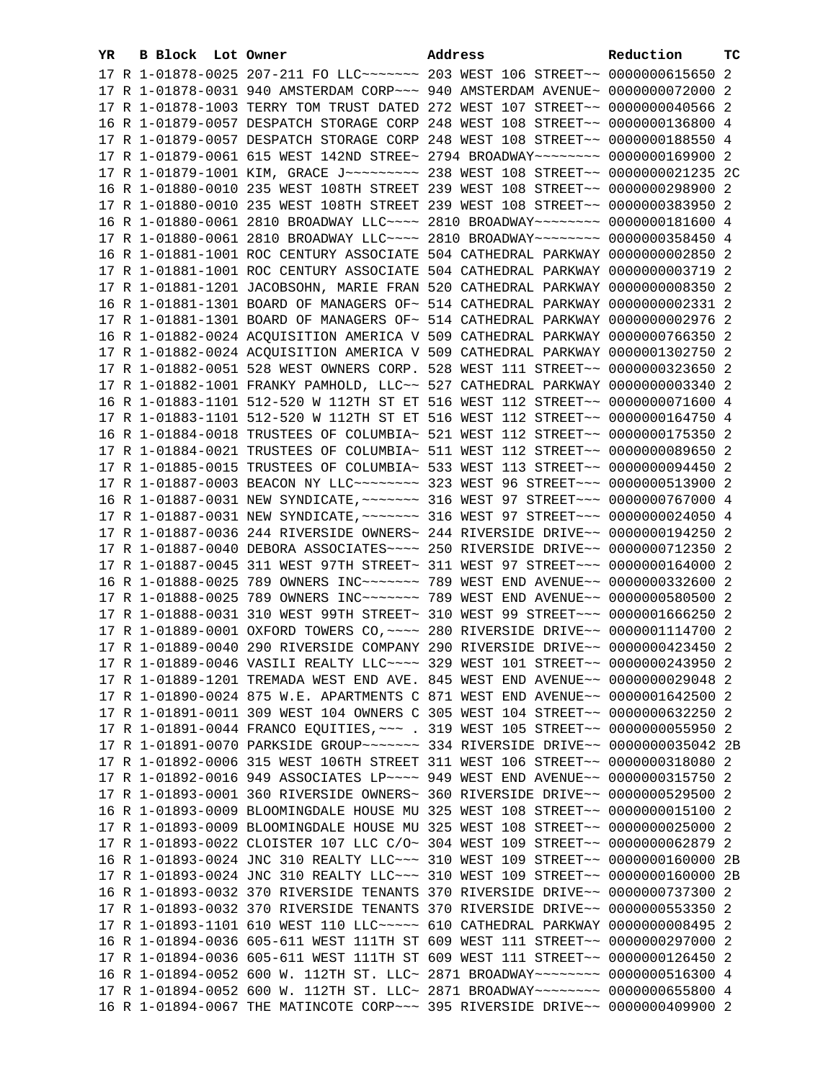| YR. | <b>B Block Lot Owner</b> |                                                                                                                                                                      | Address | Reduction | тc |
|-----|--------------------------|----------------------------------------------------------------------------------------------------------------------------------------------------------------------|---------|-----------|----|
|     |                          | 17 R 1-01878-0025 207-211 FO LLC ------- 203 WEST 106 STREET -- 0000000615650 2                                                                                      |         |           |    |
|     |                          | 17 R 1-01878-0031 940 AMSTERDAM CORP~~~ 940 AMSTERDAM AVENUE~ 0000000072000 2                                                                                        |         |           |    |
|     |                          | 17 R 1-01878-1003 TERRY TOM TRUST DATED 272 WEST 107 STREET~~ 0000000040566 2                                                                                        |         |           |    |
|     |                          | 16 R 1-01879-0057 DESPATCH STORAGE CORP 248 WEST 108 STREET~~ 0000000136800 4                                                                                        |         |           |    |
|     |                          | 17 R 1-01879-0057 DESPATCH STORAGE CORP 248 WEST 108 STREET~~ 0000000188550 4                                                                                        |         |           |    |
|     |                          | 17 R 1-01879-0061 615 WEST 142ND STREE~ 2794 BROADWAY~~~~~~~~ 0000000169900 2                                                                                        |         |           |    |
|     |                          | 17 R 1-01879-1001 KIM, GRACE J~~~~~~~~~ 238 WEST 108 STREET~~ 0000000021235 2C                                                                                       |         |           |    |
|     |                          | 16 R 1-01880-0010 235 WEST 108TH STREET 239 WEST 108 STREET~~ 0000000298900 2                                                                                        |         |           |    |
|     |                          | 17 R 1-01880-0010 235 WEST 108TH STREET 239 WEST 108 STREET~~ 0000000383950 2                                                                                        |         |           |    |
|     |                          | 16 R 1-01880-0061 2810 BROADWAY LLC~~~~ 2810 BROADWAY~~~~~~~~ 0000000181600 4                                                                                        |         |           |    |
|     |                          |                                                                                                                                                                      |         |           |    |
|     |                          | 17 R 1-01880-0061 2810 BROADWAY LLC~~~~ 2810 BROADWAY~~~~~~~~ 0000000358450 4                                                                                        |         |           |    |
|     |                          | 16 R 1-01881-1001 ROC CENTURY ASSOCIATE 504 CATHEDRAL PARKWAY 0000000002850 2                                                                                        |         |           |    |
|     |                          | 17 R 1-01881-1001 ROC CENTURY ASSOCIATE 504 CATHEDRAL PARKWAY 0000000003719 2                                                                                        |         |           |    |
|     |                          | 17 R 1-01881-1201 JACOBSOHN, MARIE FRAN 520 CATHEDRAL PARKWAY 0000000008350 2                                                                                        |         |           |    |
|     |                          | 16 R 1-01881-1301 BOARD OF MANAGERS OF~ 514 CATHEDRAL PARKWAY 0000000002331 2                                                                                        |         |           |    |
|     |                          | 17 R 1-01881-1301 BOARD OF MANAGERS OF~ 514 CATHEDRAL PARKWAY 0000000002976 2                                                                                        |         |           |    |
|     |                          | 16 R 1-01882-0024 ACQUISITION AMERICA V 509 CATHEDRAL PARKWAY 0000000766350 2                                                                                        |         |           |    |
|     |                          | 17 R 1-01882-0024 ACQUISITION AMERICA V 509 CATHEDRAL PARKWAY 0000001302750 2                                                                                        |         |           |    |
|     |                          | 17 R 1-01882-0051 528 WEST OWNERS CORP. 528 WEST 111 STREET~~ 0000000323650 2                                                                                        |         |           |    |
|     |                          | 17 R 1-01882-1001 FRANKY PAMHOLD, LLC~~ 527 CATHEDRAL PARKWAY 0000000003340 2                                                                                        |         |           |    |
|     |                          | 16 R 1-01883-1101 512-520 W 112TH ST ET 516 WEST 112 STREET~~ 0000000071600 4                                                                                        |         |           |    |
|     |                          | 17 R 1-01883-1101 512-520 W 112TH ST ET 516 WEST 112 STREET~~ 0000000164750 4                                                                                        |         |           |    |
|     |                          | 16 R 1-01884-0018 TRUSTEES OF COLUMBIA~ 521 WEST 112 STREET~~ 0000000175350 2                                                                                        |         |           |    |
|     |                          | 17 R 1-01884-0021 TRUSTEES OF COLUMBIA~ 511 WEST 112 STREET~~ 0000000089650 2                                                                                        |         |           |    |
|     |                          | 17 R 1-01885-0015 TRUSTEES OF COLUMBIA~ 533 WEST 113 STREET~~ 0000000094450 2                                                                                        |         |           |    |
|     |                          | 17 R 1-01887-0003 BEACON NY LLC ------- 323 WEST 96 STREET -- 0000000513900 2                                                                                        |         |           |    |
|     |                          | 16 R 1-01887-0031 NEW SYNDICATE, ~~~~~~~ 316 WEST 97 STREET~~~ 0000000767000 4                                                                                       |         |           |    |
|     |                          | 17 R 1-01887-0031 NEW SYNDICATE, ~~~~~~~ 316 WEST 97 STREET~~~ 0000000024050 4                                                                                       |         |           |    |
|     |                          | 17 R 1-01887-0036 244 RIVERSIDE OWNERS~ 244 RIVERSIDE DRIVE~~ 0000000194250 2                                                                                        |         |           |    |
|     |                          | 17 R 1-01887-0040 DEBORA ASSOCIATES~~~~ 250 RIVERSIDE DRIVE~~ 0000000712350 2                                                                                        |         |           |    |
|     |                          | 17 R 1-01887-0045 311 WEST 97TH STREET~ 311 WEST 97 STREET~~~ 0000000164000 2<br>16 R 1-01888-0025 789 OWNERS INC~~~~~~~~~~~~~ 789 WEST END AVENUE~~ 0000000332600 2 |         |           |    |
|     |                          | 17 R 1-01888-0025 789 OWNERS INC~~~~~~~ 789 WEST END AVENUE~~ 0000000580500 2                                                                                        |         |           |    |
|     |                          | 17 R 1-01888-0031 310 WEST 99TH STREET~ 310 WEST 99 STREET~~~ 0000001666250 2                                                                                        |         |           |    |
|     |                          | 17 R 1-01889-0001 OXFORD TOWERS CO, ~~~~ 280 RIVERSIDE DRIVE~~ 0000001114700 2                                                                                       |         |           |    |
|     |                          | 17 R 1-01889-0040 290 RIVERSIDE COMPANY 290 RIVERSIDE DRIVE~~ 0000000423450 2                                                                                        |         |           |    |
|     |                          | 17 R 1-01889-0046 VASILI REALTY LLC ~~~~ 329 WEST 101 STREET ~~ 0000000243950 2                                                                                      |         |           |    |
|     |                          | 17 R 1-01889-1201 TREMADA WEST END AVE. 845 WEST END AVENUE~~ 0000000029048 2                                                                                        |         |           |    |
|     |                          | 17 R 1-01890-0024 875 W.E. APARTMENTS C 871 WEST END AVENUE~~ 0000001642500 2                                                                                        |         |           |    |
|     |                          | 17 R 1-01891-0011 309 WEST 104 OWNERS C 305 WEST 104 STREET~~ 0000000632250 2                                                                                        |         |           |    |
|     |                          | 17 R 1-01891-0044 FRANCO EQUITIES, ~~~ . 319 WEST 105 STREET~~ 0000000055950 2                                                                                       |         |           |    |
|     |                          | 17 R 1-01891-0070 PARKSIDE GROUP~~~~~~~~ 334 RIVERSIDE DRIVE~~ 0000000035042 2B                                                                                      |         |           |    |
|     |                          | 17 R 1-01892-0006 315 WEST 106TH STREET 311 WEST 106 STREET~~ 0000000318080 2                                                                                        |         |           |    |
|     |                          | 17 R 1-01892-0016 949 ASSOCIATES LP~~~~ 949 WEST END AVENUE~~ 0000000315750 2                                                                                        |         |           |    |
|     |                          | 17 R 1-01893-0001 360 RIVERSIDE OWNERS~ 360 RIVERSIDE DRIVE~~ 0000000529500 2                                                                                        |         |           |    |
|     |                          | 16 R 1-01893-0009 BLOOMINGDALE HOUSE MU 325 WEST 108 STREET~~ 0000000015100 2                                                                                        |         |           |    |
|     |                          | 17 R 1-01893-0009 BLOOMINGDALE HOUSE MU 325 WEST 108 STREET~~ 0000000025000 2                                                                                        |         |           |    |
|     |                          | 17 R 1-01893-0022 CLOISTER 107 LLC C/O~ 304 WEST 109 STREET~~ 0000000062879 2                                                                                        |         |           |    |
|     |                          | 16 R 1-01893-0024 JNC 310 REALTY LLC ~~~ 310 WEST 109 STREET ~~ 0000000160000 2B                                                                                     |         |           |    |
|     |                          | 17 R 1-01893-0024 JNC 310 REALTY LLC~~~ 310 WEST 109 STREET~~ 0000000160000 2B                                                                                       |         |           |    |
|     |                          | 16 R 1-01893-0032 370 RIVERSIDE TENANTS 370 RIVERSIDE DRIVE~~ 0000000737300 2                                                                                        |         |           |    |
|     |                          | 17 R 1-01893-0032 370 RIVERSIDE TENANTS 370 RIVERSIDE DRIVE~~ 0000000553350 2                                                                                        |         |           |    |
|     |                          | 17 R 1-01893-1101 610 WEST 110 LLC ---- 610 CATHEDRAL PARKWAY 0000000008495 2                                                                                        |         |           |    |
|     |                          | 16 R 1-01894-0036 605-611 WEST 111TH ST 609 WEST 111 STREET~~ 0000000297000 2                                                                                        |         |           |    |
|     |                          | 17 R 1-01894-0036 605-611 WEST 111TH ST 609 WEST 111 STREET~~ 0000000126450 2                                                                                        |         |           |    |
|     |                          | 16 R 1-01894-0052 600 W. 112TH ST. LLC~ 2871 BROADWAY~~~~~~~~ 0000000516300 4                                                                                        |         |           |    |
|     |                          | 17 R 1-01894-0052 600 W. 112TH ST. LLC~ 2871 BROADWAY~~~~~~~~ 0000000655800 4                                                                                        |         |           |    |
|     |                          | 16 R 1-01894-0067 THE MATINCOTE CORP~~~ 395 RIVERSIDE DRIVE~~ 0000000409900 2                                                                                        |         |           |    |
|     |                          |                                                                                                                                                                      |         |           |    |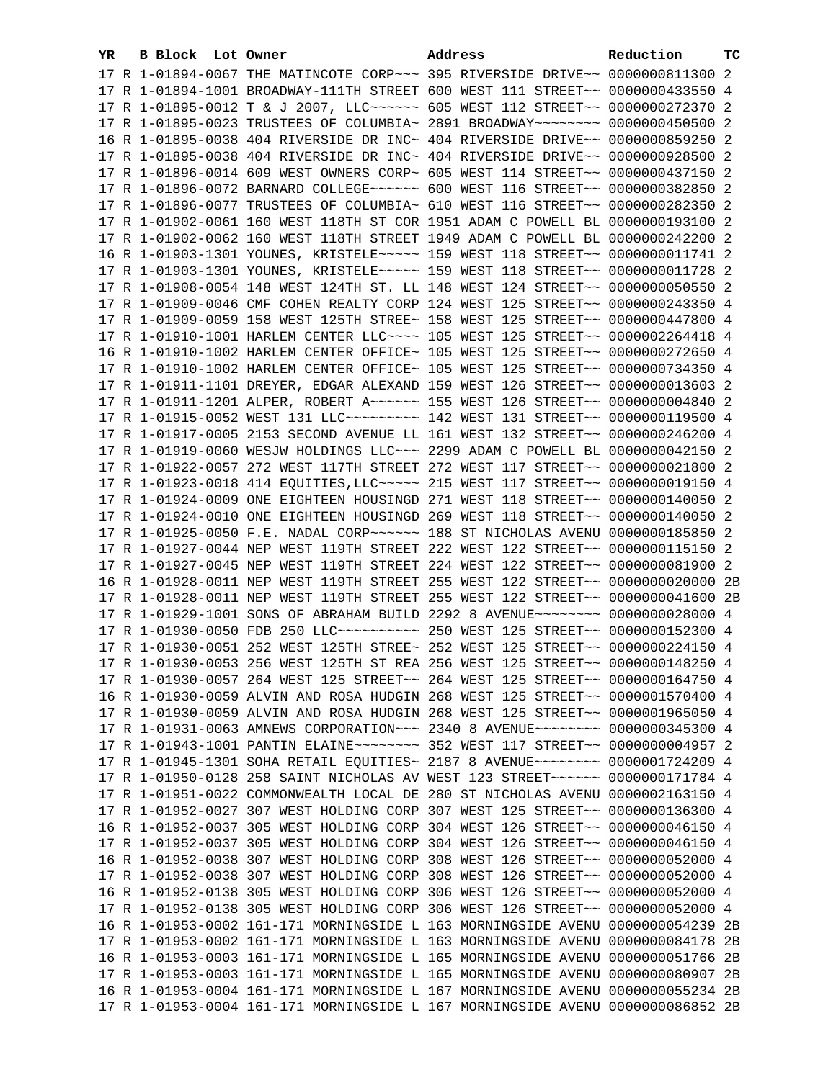| YR. | B Block Lot Owner | Address                                                                                                                                                           | Reduction | тc |
|-----|-------------------|-------------------------------------------------------------------------------------------------------------------------------------------------------------------|-----------|----|
|     |                   | 17 R 1-01894-0067 THE MATINCOTE CORP~~~ 395 RIVERSIDE DRIVE~~ 0000000811300 2                                                                                     |           |    |
|     |                   | 17 R 1-01894-1001 BROADWAY-111TH STREET 600 WEST 111 STREET~~ 0000000433550 4                                                                                     |           |    |
|     |                   | 17 R 1-01895-0012 T & J 2007, LLC ----- 605 WEST 112 STREET -~ 0000000272370 2                                                                                    |           |    |
|     |                   | 17 R 1-01895-0023 TRUSTEES OF COLUMBIA~ 2891 BROADWAY~~~~~~~~~ 0000000450500 2                                                                                    |           |    |
|     |                   | 16 R 1-01895-0038 404 RIVERSIDE DR INC~ 404 RIVERSIDE DRIVE~~ 0000000859250 2                                                                                     |           |    |
|     |                   | 17 R 1-01895-0038 404 RIVERSIDE DR INC~ 404 RIVERSIDE DRIVE~~ 0000000928500 2                                                                                     |           |    |
|     |                   | 17 R 1-01896-0014 609 WEST OWNERS CORP~ 605 WEST 114 STREET~~ 0000000437150 2                                                                                     |           |    |
|     |                   | 17 R 1-01896-0072 BARNARD COLLEGE~~~~~~~ 600 WEST 116 STREET~~ 0000000382850 2                                                                                    |           |    |
|     |                   | 17 R 1-01896-0077 TRUSTEES OF COLUMBIA~ 610 WEST 116 STREET~~ 0000000282350 2                                                                                     |           |    |
|     |                   | 17 R 1-01902-0061 160 WEST 118TH ST COR 1951 ADAM C POWELL BL 0000000193100 2                                                                                     |           |    |
|     |                   | 17 R 1-01902-0062 160 WEST 118TH STREET 1949 ADAM C POWELL BL 0000000242200 2                                                                                     |           |    |
|     |                   |                                                                                                                                                                   |           |    |
|     |                   | 16 R 1-01903-1301 YOUNES, KRISTELE~~~~~ 159 WEST 118 STREET~~ 00000000011741 2<br>17 R 1-01903-1301 YOUNES, KRISTELE ~~~~~ 159 WEST 118 STREET ~~ 0000000011728 2 |           |    |
|     |                   |                                                                                                                                                                   |           |    |
|     |                   | 17 R 1-01908-0054 148 WEST 124TH ST. LL 148 WEST 124 STREET~~ 0000000050550 2                                                                                     |           |    |
|     |                   | 17 R 1-01909-0046 CMF COHEN REALTY CORP 124 WEST 125 STREET~~ 0000000243350 4                                                                                     |           |    |
|     |                   | 17 R 1-01909-0059 158 WEST 125TH STREE~ 158 WEST 125 STREET~~ 0000000447800 4                                                                                     |           |    |
|     |                   | 17 R 1-01910-1001 HARLEM CENTER LLC~~~~ 105 WEST 125 STREET~~ 0000002264418 4                                                                                     |           |    |
|     |                   | 16 R 1-01910-1002 HARLEM CENTER OFFICE~ 105 WEST 125 STREET~~ 0000000272650 4                                                                                     |           |    |
|     |                   | 17 R 1-01910-1002 HARLEM CENTER OFFICE~ 105 WEST 125 STREET~~ 0000000734350 4                                                                                     |           |    |
|     |                   | 17 R 1-01911-1101 DREYER, EDGAR ALEXAND 159 WEST 126 STREET~~ 0000000013603 2                                                                                     |           |    |
|     |                   | 17 R 1-01911-1201 ALPER, ROBERT A~~~~~~ 155 WEST 126 STREET~~ 00000000004840 2                                                                                    |           |    |
|     |                   | 17 R 1-01915-0052 WEST 131 LLC -------- 142 WEST 131 STREET -- 0000000119500 4                                                                                    |           |    |
|     |                   | 17 R 1-01917-0005 2153 SECOND AVENUE LL 161 WEST 132 STREET~~ 0000000246200 4                                                                                     |           |    |
|     |                   | 17 R 1-01919-0060 WESJW HOLDINGS LLC~~~ 2299 ADAM C POWELL BL 0000000042150 2                                                                                     |           |    |
|     |                   | 17 R 1-01922-0057 272 WEST 117TH STREET 272 WEST 117 STREET~~ 0000000021800 2                                                                                     |           |    |
|     |                   | 17 R 1-01923-0018 414 EQUITIES, LLC ~~~~~ 215 WEST 117 STREET ~~ 0000000019150 4                                                                                  |           |    |
|     |                   | 17 R 1-01924-0009 ONE EIGHTEEN HOUSINGD 271 WEST 118 STREET~~ 0000000140050 2                                                                                     |           |    |
|     |                   | 17 R 1-01924-0010 ONE EIGHTEEN HOUSINGD 269 WEST 118 STREET~~ 0000000140050 2                                                                                     |           |    |
|     |                   | 17 R 1-01925-0050 F.E. NADAL CORP~~~~~~ 188 ST NICHOLAS AVENU 0000000185850 2                                                                                     |           |    |
|     |                   | 17 R 1-01927-0044 NEP WEST 119TH STREET 222 WEST 122 STREET~~ 0000000115150 2                                                                                     |           |    |
|     |                   | 17 R 1-01927-0045 NEP WEST 119TH STREET 224 WEST 122 STREET~~ 0000000081900 2                                                                                     |           |    |
|     |                   | 16 R 1-01928-0011 NEP WEST 119TH STREET 255 WEST 122 STREET~~ 0000000020000 2B                                                                                    |           |    |
|     |                   | 17 R 1-01928-0011 NEP WEST 119TH STREET 255 WEST 122 STREET~~ 00000000041600 2B                                                                                   |           |    |
|     |                   | 17 R 1-01929-1001 SONS OF ABRAHAM BUILD 2292 8 AVENUE~~~~~~~~ 0000000028000 4                                                                                     |           |    |
|     |                   | 17 R 1-01930-0050 FDB 250 LLC ---------- 250 WEST 125 STREET -~ 0000000152300 4                                                                                   |           |    |
|     |                   | 17 R 1-01930-0051 252 WEST 125TH STREE~ 252 WEST 125 STREET~~ 0000000224150 4                                                                                     |           |    |
|     |                   | 17 R 1-01930-0053 256 WEST 125TH ST REA 256 WEST 125 STREET~~ 0000000148250 4                                                                                     |           |    |
|     |                   | 17 R 1-01930-0057 264 WEST 125 STREET~~ 264 WEST 125 STREET~~ 0000000164750 4                                                                                     |           |    |
|     |                   | 16 R 1-01930-0059 ALVIN AND ROSA HUDGIN 268 WEST 125 STREET~~ 0000001570400 4                                                                                     |           |    |
|     |                   | 17 R 1-01930-0059 ALVIN AND ROSA HUDGIN 268 WEST 125 STREET~~ 0000001965050 4                                                                                     |           |    |
|     |                   | 17 R 1-01931-0063 AMNEWS CORPORATION~~~ 2340 8 AVENUE~~~~~~~~ 0000000345300 4                                                                                     |           |    |
|     |                   |                                                                                                                                                                   |           |    |
|     |                   | 17 R 1-01945-1301 SOHA RETAIL EQUITIES~ 2187 8 AVENUE~~~~~~~~ 0000001724209 4                                                                                     |           |    |
|     |                   | 17 R 1-01950-0128 258 SAINT NICHOLAS AV WEST 123 STREET~~~~~~ 0000000171784 4                                                                                     |           |    |
|     |                   | 17 R 1-01951-0022 COMMONWEALTH LOCAL DE 280 ST NICHOLAS AVENU 0000002163150 4                                                                                     |           |    |
|     |                   | 17 R 1-01952-0027 307 WEST HOLDING CORP 307 WEST 125 STREET~~ 0000000136300 4                                                                                     |           |    |
|     |                   | 16 R 1-01952-0037 305 WEST HOLDING CORP 304 WEST 126 STREET~~ 0000000046150 4                                                                                     |           |    |
|     |                   | 17 R 1-01952-0037 305 WEST HOLDING CORP 304 WEST 126 STREET~~ 0000000046150 4                                                                                     |           |    |
|     |                   | 16 R 1-01952-0038 307 WEST HOLDING CORP 308 WEST 126 STREET~~ 0000000052000 4                                                                                     |           |    |
|     |                   | 17 R 1-01952-0038 307 WEST HOLDING CORP 308 WEST 126 STREET~~ 0000000052000 4                                                                                     |           |    |
|     |                   | 16 R 1-01952-0138 305 WEST HOLDING CORP 306 WEST 126 STREET~~ 0000000052000 4                                                                                     |           |    |
|     |                   | 17 R 1-01952-0138 305 WEST HOLDING CORP 306 WEST 126 STREET~~ 0000000052000 4                                                                                     |           |    |
|     |                   | 16 R 1-01953-0002 161-171 MORNINGSIDE L 163 MORNINGSIDE AVENU 0000000054239 2B                                                                                    |           |    |
|     |                   | 17 R 1-01953-0002 161-171 MORNINGSIDE L 163 MORNINGSIDE AVENU 0000000084178 2B                                                                                    |           |    |
|     |                   | 16 R 1-01953-0003 161-171 MORNINGSIDE L 165 MORNINGSIDE AVENU 0000000051766 2B                                                                                    |           |    |
|     |                   | 17 R 1-01953-0003 161-171 MORNINGSIDE L 165 MORNINGSIDE AVENU 0000000080907 2B                                                                                    |           |    |
|     |                   | 16 R 1-01953-0004 161-171 MORNINGSIDE L 167 MORNINGSIDE AVENU 0000000055234 2B                                                                                    |           |    |
|     |                   | 17 R 1-01953-0004 161-171 MORNINGSIDE L 167 MORNINGSIDE AVENU 0000000086852 2B                                                                                    |           |    |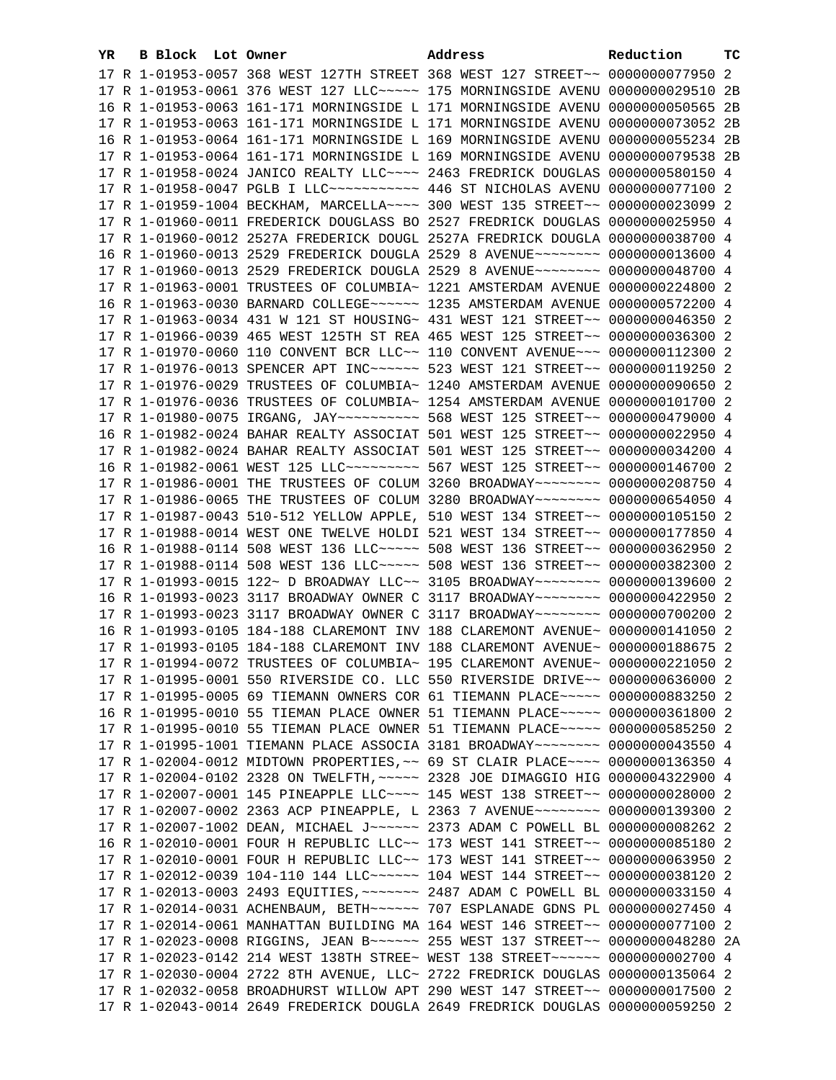| YR | B Block Lot Owner |                                                                   | Address                                                                         | Reduction        | тc   |
|----|-------------------|-------------------------------------------------------------------|---------------------------------------------------------------------------------|------------------|------|
|    |                   |                                                                   | 17 R 1-01953-0057 368 WEST 127TH STREET 368 WEST 127 STREET~~ 0000000077950 2   |                  |      |
|    |                   |                                                                   | 17 R 1-01953-0061 376 WEST 127 LLC ---- 175 MORNINGSIDE AVENU 0000000029510 2B  |                  |      |
|    |                   | 16 R 1-01953-0063 161-171 MORNINGSIDE L 171 MORNINGSIDE AVENU     |                                                                                 | 0000000050565    | - 2B |
|    |                   | 17 R 1-01953-0063 161-171 MORNINGSIDE L 171 MORNINGSIDE AVENU     |                                                                                 | 0000000073052 2B |      |
|    |                   | 16 R 1-01953-0064 161-171 MORNINGSIDE L 169 MORNINGSIDE AVENU     |                                                                                 | 0000000055234 2B |      |
|    |                   | 17 R 1-01953-0064 161-171 MORNINGSIDE L 169 MORNINGSIDE AVENU     |                                                                                 | 0000000079538 2B |      |
|    |                   | 17 R 1-01958-0024 JANICO REALTY LLC~~~~ 2463 FREDRICK DOUGLAS     |                                                                                 | 0000000580150 4  |      |
|    |                   |                                                                   |                                                                                 | 0000000077100 2  |      |
|    |                   | 17 R 1-01958-0047 PGLB I LLC~~~~~~~~~~~ 446 ST NICHOLAS AVENU     |                                                                                 | 0000000023099 2  |      |
|    |                   | 17 R 1-01959-1004 BECKHAM, MARCELLA~~~~ 300 WEST 135 STREET~~     |                                                                                 |                  |      |
|    |                   | 17 R 1-01960-0011 FREDERICK DOUGLASS BO 2527 FREDRICK DOUGLAS     |                                                                                 | 0000000025950 4  |      |
|    |                   |                                                                   | 17 R 1-01960-0012 2527A FREDERICK DOUGL 2527A FREDRICK DOUGLA                   | 0000000038700 4  |      |
|    |                   | 16 R 1-01960-0013 2529 FREDERICK DOUGLA 2529 8 AVENUE~~~~~~~~     |                                                                                 | 0000000013600 4  |      |
|    |                   | 17 R 1-01960-0013 2529 FREDERICK DOUGLA 2529 8 AVENUE~~~~~~~~     |                                                                                 | 0000000048700 4  |      |
|    |                   | 17 R 1-01963-0001 TRUSTEES OF COLUMBIA~ 1221 AMSTERDAM AVENUE     |                                                                                 | 0000000224800 2  |      |
|    |                   | 16 R 1-01963-0030 BARNARD COLLEGE~~~~~~ 1235 AMSTERDAM AVENUE     |                                                                                 | 0000000572200 4  |      |
|    |                   | 17 R 1-01963-0034 431 W 121 ST HOUSING~ 431 WEST 121 STREET~~     |                                                                                 | 0000000046350 2  |      |
|    |                   | 17 R 1-01966-0039 465 WEST 125TH ST REA 465 WEST 125 STREET~~     |                                                                                 | 0000000036300 2  |      |
|    |                   | 17 R 1-01970-0060 110 CONVENT BCR LLC~~ 110 CONVENT AVENUE~~~     |                                                                                 | 0000000112300 2  |      |
|    |                   | 17 R 1-01976-0013 SPENCER APT INC~~~~~~ 523 WEST 121 STREET~~     |                                                                                 | 0000000119250 2  |      |
|    |                   | 17 R 1-01976-0029 TRUSTEES OF COLUMBIA~ 1240 AMSTERDAM AVENUE     |                                                                                 | 0000000090650 2  |      |
|    |                   | 17 R 1-01976-0036 TRUSTEES OF COLUMBIA~ 1254 AMSTERDAM AVENUE     |                                                                                 | 0000000101700 2  |      |
|    |                   | 17 R 1-01980-0075 IRGANG, JAY~~~~~~~~~~~~~~ 568 WEST 125 STREET~~ |                                                                                 | 0000000479000 4  |      |
|    |                   | 16 R 1-01982-0024 BAHAR REALTY ASSOCIAT 501 WEST 125 STREET~~     |                                                                                 | 0000000022950 4  |      |
|    |                   | 17 R 1-01982-0024 BAHAR REALTY ASSOCIAT 501 WEST 125 STREET~~     |                                                                                 | 0000000034200 4  |      |
|    |                   |                                                                   | 16 R 1-01982-0061 WEST 125 LLC --------- 567 WEST 125 STREET -- 0000000146700 2 |                  |      |
|    |                   |                                                                   | 17 R 1-01986-0001 THE TRUSTEES OF COLUM 3260 BROADWAY~~~~~~~~ 0000000208750 4   |                  |      |
|    |                   |                                                                   | 17 R 1-01986-0065 THE TRUSTEES OF COLUM 3280 BROADWAY~~~~~~~~ 0000000654050 4   |                  |      |
|    |                   |                                                                   | 17 R 1-01987-0043 510-512 YELLOW APPLE, 510 WEST 134 STREET~~ 0000000105150 2   |                  |      |
|    |                   |                                                                   | 17 R 1-01988-0014 WEST ONE TWELVE HOLDI 521 WEST 134 STREET~~ 0000000177850 4   |                  |      |
|    |                   |                                                                   | 16 R 1-01988-0114 508 WEST 136 LLC ----- 508 WEST 136 STREET -- 0000000362950 2 |                  |      |
|    |                   |                                                                   | 17 R 1-01988-0114 508 WEST 136 LLC ----- 508 WEST 136 STREET -- 0000000382300 2 |                  |      |
|    |                   |                                                                   | 17 R 1-01993-0015 122~ D BROADWAY LLC~~ 3105 BROADWAY~~~~~~~~ 0000000139600 2   |                  |      |
|    |                   |                                                                   | 16 R 1-01993-0023 3117 BROADWAY OWNER C 3117 BROADWAY~~~~~~~~ 0000000422950 2   |                  |      |
|    |                   |                                                                   | 17 R 1-01993-0023 3117 BROADWAY OWNER C 3117 BROADWAY~~~~~~~~ 0000000700200 2   |                  |      |
|    |                   |                                                                   | 16 R 1-01993-0105 184-188 CLAREMONT INV 188 CLAREMONT AVENUE~ 0000000141050 2   |                  |      |
|    |                   |                                                                   | 17 R 1-01993-0105 184-188 CLAREMONT INV 188 CLAREMONT AVENUE~ 0000000188675 2   |                  |      |
|    |                   |                                                                   | 17 R 1-01994-0072 TRUSTEES OF COLUMBIA~ 195 CLAREMONT AVENUE~ 0000000221050 2   |                  |      |
|    |                   |                                                                   | 17 R 1-01995-0001 550 RIVERSIDE CO. LLC 550 RIVERSIDE DRIVE~~ 0000000636000 2   |                  |      |
|    |                   |                                                                   | 17 R 1-01995-0005 69 TIEMANN OWNERS COR 61 TIEMANN PLACE~~~~~ 0000000883250 2   |                  |      |
|    |                   |                                                                   | 16 R 1-01995-0010 55 TIEMAN PLACE OWNER 51 TIEMANN PLACE~~~~~ 0000000361800 2   |                  |      |
|    |                   |                                                                   | 17 R 1-01995-0010 55 TIEMAN PLACE OWNER 51 TIEMANN PLACE~~~~~ 0000000585250 2   |                  |      |
|    |                   |                                                                   | 17 R 1-01995-1001 TIEMANN PLACE ASSOCIA 3181 BROADWAY~~~~~~~~ 0000000043550 4   |                  |      |
|    |                   |                                                                   | 17 R 1-02004-0012 MIDTOWN PROPERTIES, ~~ 69 ST CLAIR PLACE~~~~ 0000000136350 4  |                  |      |
|    |                   |                                                                   | 17 R 1-02004-0102 2328 ON TWELFTH, ~~~~~ 2328 JOE DIMAGGIO HIG 0000004322900 4  |                  |      |
|    |                   |                                                                   | 17 R 1-02007-0001 145 PINEAPPLE LLC~~~~ 145 WEST 138 STREET~~ 0000000028000 2   |                  |      |
|    |                   |                                                                   | 17 R 1-02007-0002 2363 ACP PINEAPPLE, L 2363 7 AVENUE~~~~~~~~ 0000000139300 2   |                  |      |
|    |                   |                                                                   | 17 R 1-02007-1002 DEAN, MICHAEL J~~~~~~ 2373 ADAM C POWELL BL 0000000008262 2   |                  |      |
|    |                   |                                                                   | 16 R 1-02010-0001 FOUR H REPUBLIC LLC~~ 173 WEST 141 STREET~~ 0000000085180 2   |                  |      |
|    |                   |                                                                   | 17 R 1-02010-0001 FOUR H REPUBLIC LLC~~ 173 WEST 141 STREET~~ 0000000063950 2   |                  |      |
|    |                   |                                                                   | 17 R 1-02012-0039 104-110 144 LLC ----- 104 WEST 144 STREET -- 0000000038120 2  |                  |      |
|    |                   |                                                                   |                                                                                 |                  |      |
|    |                   |                                                                   | 17 R 1-02013-0003 2493 EQUITIES, ~~~~~~~ 2487 ADAM C POWELL BL 0000000033150 4  |                  |      |
|    |                   |                                                                   | 17 R 1-02014-0031 ACHENBAUM, BETH~~~~~~ 707 ESPLANADE GDNS PL 0000000027450 4   |                  |      |
|    |                   |                                                                   | 17 R 1-02014-0061 MANHATTAN BUILDING MA 164 WEST 146 STREET~~ 0000000077100 2   |                  |      |
|    |                   |                                                                   | 17 R 1-02023-0008 RIGGINS, JEAN B~~~~~~ 255 WEST 137 STREET~~ 0000000048280 2A  |                  |      |
|    |                   |                                                                   | 17 R 1-02023-0142 214 WEST 138TH STREE~ WEST 138 STREET~~~~~~ 0000000002700 4   |                  |      |
|    |                   |                                                                   | 17 R 1-02030-0004 2722 8TH AVENUE, LLC~ 2722 FREDRICK DOUGLAS 0000000135064 2   |                  |      |
|    |                   |                                                                   | 17 R 1-02032-0058 BROADHURST WILLOW APT 290 WEST 147 STREET~~ 0000000017500 2   |                  |      |
|    |                   |                                                                   | 17 R 1-02043-0014 2649 FREDERICK DOUGLA 2649 FREDRICK DOUGLAS 0000000059250 2   |                  |      |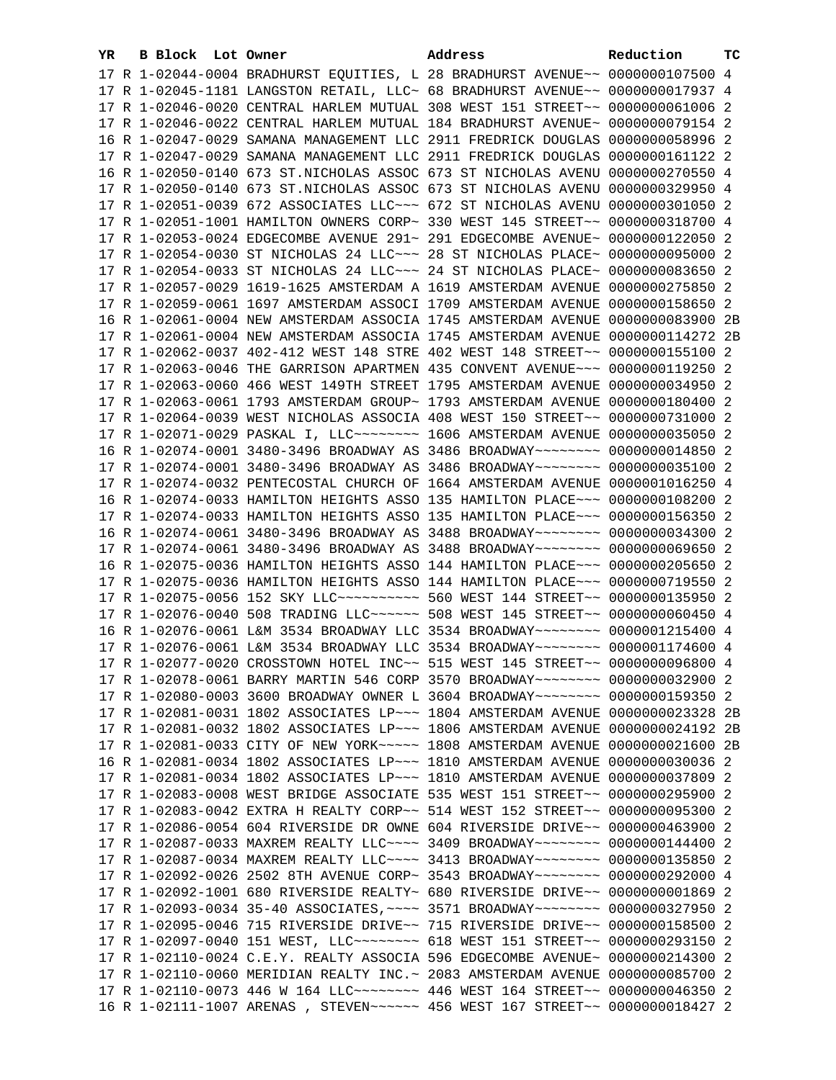| YR |  | B Block Lot Owner |                                                               | Address                                                                         | Reduction        | тc |
|----|--|-------------------|---------------------------------------------------------------|---------------------------------------------------------------------------------|------------------|----|
|    |  |                   |                                                               | 17 R 1-02044-0004 BRADHURST EQUITIES, L 28 BRADHURST AVENUE~~ 0000000107500 4   |                  |    |
|    |  |                   |                                                               | 17 R 1-02045-1181 LANGSTON RETAIL, LLC~ 68 BRADHURST AVENUE~~ 0000000017937 4   |                  |    |
|    |  |                   |                                                               | 17 R 1-02046-0020 CENTRAL HARLEM MUTUAL 308 WEST 151 STREET~~ 0000000061006 2   |                  |    |
|    |  |                   |                                                               | 17 R 1-02046-0022 CENTRAL HARLEM MUTUAL 184 BRADHURST AVENUE~                   | 0000000079154 2  |    |
|    |  |                   | 16 R 1-02047-0029 SAMANA MANAGEMENT LLC 2911 FREDRICK DOUGLAS |                                                                                 | 0000000058996 2  |    |
|    |  |                   | 17 R 1-02047-0029 SAMANA MANAGEMENT LLC 2911 FREDRICK DOUGLAS |                                                                                 | 0000000161122 2  |    |
|    |  |                   |                                                               | 16 R 1-02050-0140 673 ST. NICHOLAS ASSOC 673 ST NICHOLAS AVENU                  | 0000000270550 4  |    |
|    |  |                   |                                                               | 17 R 1-02050-0140 673 ST. NICHOLAS ASSOC 673 ST NICHOLAS AVENU                  | 0000000329950 4  |    |
|    |  |                   |                                                               | 17 R 1-02051-0039 672 ASSOCIATES LLC~~~ 672 ST NICHOLAS AVENU                   | 0000000301050 2  |    |
|    |  |                   | 17 R 1-02051-1001 HAMILTON OWNERS CORP~ 330 WEST 145 STREET~~ |                                                                                 | 0000000318700 4  |    |
|    |  |                   | 17 R 1-02053-0024 EDGECOMBE AVENUE 291~ 291 EDGECOMBE AVENUE~ |                                                                                 | 0000000122050 2  |    |
|    |  |                   | 17 R 1-02054-0030 ST NICHOLAS 24 LLC~~~ 28 ST NICHOLAS PLACE~ |                                                                                 | 0000000095000 2  |    |
|    |  |                   | 17 R 1-02054-0033 ST NICHOLAS 24 LLC~~~ 24 ST NICHOLAS PLACE~ |                                                                                 | 0000000083650 2  |    |
|    |  |                   | 17 R 1-02057-0029 1619-1625 AMSTERDAM A 1619 AMSTERDAM AVENUE |                                                                                 | 0000000275850 2  |    |
|    |  |                   | 17 R 1-02059-0061 1697 AMSTERDAM ASSOCI 1709 AMSTERDAM AVENUE |                                                                                 | 0000000158650 2  |    |
|    |  |                   | 16 R 1-02061-0004 NEW AMSTERDAM ASSOCIA 1745 AMSTERDAM AVENUE |                                                                                 | 0000000083900 2B |    |
|    |  |                   | 17 R 1-02061-0004 NEW AMSTERDAM ASSOCIA 1745 AMSTERDAM AVENUE |                                                                                 | 0000000114272 2B |    |
|    |  |                   | 17 R 1-02062-0037 402-412 WEST 148 STRE 402 WEST 148 STREET~~ |                                                                                 | 0000000155100 2  |    |
|    |  |                   | 17 R 1-02063-0046 THE GARRISON APARTMEN 435 CONVENT AVENUE~~~ |                                                                                 | 0000000119250 2  |    |
|    |  |                   |                                                               | 17 R 1-02063-0060 466 WEST 149TH STREET 1795 AMSTERDAM AVENUE                   | 0000000034950 2  |    |
|    |  |                   | 17 R 1-02063-0061 1793 AMSTERDAM GROUP~ 1793 AMSTERDAM AVENUE |                                                                                 | 0000000180400 2  |    |
|    |  |                   |                                                               | 17 R 1-02064-0039 WEST NICHOLAS ASSOCIA 408 WEST 150 STREET~~                   | 0000000731000 2  |    |
|    |  |                   |                                                               | 17 R 1-02071-0029 PASKAL I, LLC ------- 1606 AMSTERDAM AVENUE 0000000035050 2   |                  |    |
|    |  |                   |                                                               | 16 R 1-02074-0001 3480-3496 BROADWAY AS 3486 BROADWAY~~~~~~~~                   | 0000000014850 2  |    |
|    |  |                   |                                                               | 17 R 1-02074-0001 3480-3496 BROADWAY AS 3486 BROADWAY~~~~~~~~ 0000000035100 2   |                  |    |
|    |  |                   |                                                               | 17 R 1-02074-0032 PENTECOSTAL CHURCH OF 1664 AMSTERDAM AVENUE 0000001016250 4   |                  |    |
|    |  |                   |                                                               | 16 R 1-02074-0033 HAMILTON HEIGHTS ASSO 135 HAMILTON PLACE~~~ 0000000108200 2   |                  |    |
|    |  |                   |                                                               | 17 R 1-02074-0033 HAMILTON HEIGHTS ASSO 135 HAMILTON PLACE~~~ 0000000156350 2   |                  |    |
|    |  |                   |                                                               | 16 R 1-02074-0061 3480-3496 BROADWAY AS 3488 BROADWAY~~~~~~~~ 0000000034300 2   |                  |    |
|    |  |                   |                                                               | 17 R 1-02074-0061 3480-3496 BROADWAY AS 3488 BROADWAY~~~~~~~~ 0000000069650 2   |                  |    |
|    |  |                   |                                                               | 16 R 1-02075-0036 HAMILTON HEIGHTS ASSO 144 HAMILTON PLACE~~~ 0000000205650 2   |                  |    |
|    |  |                   |                                                               | 17 R 1-02075-0036 HAMILTON HEIGHTS ASSO 144 HAMILTON PLACE~~~ 0000000719550 2   |                  |    |
|    |  |                   |                                                               | 17 R 1-02075-0056 152 SKY LLC ---------- 560 WEST 144 STREET -~ 0000000135950 2 |                  |    |
|    |  |                   |                                                               | 17 R 1-02076-0040 508 TRADING LLC ----- 508 WEST 145 STREET -~ 0000000060450 4  |                  |    |
|    |  |                   |                                                               | 16 R 1-02076-0061 L&M 3534 BROADWAY LLC 3534 BROADWAY~~~~~~~~ 0000001215400 4   |                  |    |
|    |  |                   |                                                               | 17 R 1-02076-0061 L&M 3534 BROADWAY LLC 3534 BROADWAY~~~~~~~~ 0000001174600 4   |                  |    |
|    |  |                   |                                                               | 17 R 1-02077-0020 CROSSTOWN HOTEL INC~~ 515 WEST 145 STREET~~ 0000000096800 4   |                  |    |
|    |  |                   |                                                               | 17 R 1-02078-0061 BARRY MARTIN 546 CORP 3570 BROADWAY~~~~~~~~ 0000000032900 2   |                  |    |
|    |  |                   |                                                               | 17 R 1-02080-0003 3600 BROADWAY OWNER L 3604 BROADWAY~~~~~~~~ 0000000159350 2   |                  |    |
|    |  |                   |                                                               | 17 R 1-02081-0031 1802 ASSOCIATES LP ~~~ 1804 AMSTERDAM AVENUE 0000000023328 2B |                  |    |
|    |  |                   |                                                               | 17 R 1-02081-0032 1802 ASSOCIATES LP ~~~ 1806 AMSTERDAM AVENUE 0000000024192 2B |                  |    |
|    |  |                   |                                                               | 17 R 1-02081-0033 CITY OF NEW YORK~~~~~ 1808 AMSTERDAM AVENUE 0000000021600 2B  |                  |    |
|    |  |                   |                                                               | 16 R 1-02081-0034 1802 ASSOCIATES LP ~~~ 1810 AMSTERDAM AVENUE 0000000030036 2  |                  |    |
|    |  |                   |                                                               | 17 R 1-02081-0034 1802 ASSOCIATES LP~~~ 1810 AMSTERDAM AVENUE 0000000037809 2   |                  |    |
|    |  |                   |                                                               | 17 R 1-02083-0008 WEST BRIDGE ASSOCIATE 535 WEST 151 STREET~~ 0000000295900 2   |                  |    |
|    |  |                   |                                                               | 17 R 1-02083-0042 EXTRA H REALTY CORP~~ 514 WEST 152 STREET~~ 0000000095300 2   |                  |    |
|    |  |                   |                                                               | 17 R 1-02086-0054 604 RIVERSIDE DR OWNE 604 RIVERSIDE DRIVE~~ 0000000463900 2   |                  |    |
|    |  |                   |                                                               | 17 R 1-02087-0033 MAXREM REALTY LLC --- 3409 BROADWAY ------ 0000000144400 2    |                  |    |
|    |  |                   |                                                               | 17 R 1-02087-0034 MAXREM REALTY LLC --- 3413 BROADWAY ------- 0000000135850 2   |                  |    |
|    |  |                   |                                                               | 17 R 1-02092-0026 2502 8TH AVENUE CORP~ 3543 BROADWAY~~~~~~~~ 0000000292000 4   |                  |    |
|    |  |                   |                                                               | 17 R 1-02092-1001 680 RIVERSIDE REALTY~ 680 RIVERSIDE DRIVE~~ 00000000001869 2  |                  |    |
|    |  |                   |                                                               | 17 R 1-02093-0034 35-40 ASSOCIATES, ~~~~ 3571 BROADWAY~~~~~~~~ 0000000327950 2  |                  |    |
|    |  |                   |                                                               | 17 R 1-02095-0046 715 RIVERSIDE DRIVE~~ 715 RIVERSIDE DRIVE~~ 0000000158500 2   |                  |    |
|    |  |                   |                                                               | 17 R 1-02097-0040 151 WEST, LLC -------- 618 WEST 151 STREET -- 0000000293150 2 |                  |    |
|    |  |                   |                                                               | 17 R 1-02110-0024 C.E.Y. REALTY ASSOCIA 596 EDGECOMBE AVENUE~ 0000000214300 2   |                  |    |
|    |  |                   |                                                               | 17 R 1-02110-0060 MERIDIAN REALTY INC.~ 2083 AMSTERDAM AVENUE 0000000085700 2   |                  |    |
|    |  |                   |                                                               | 17 R 1-02110-0073 446 W 164 LLC ------- 446 WEST 164 STREET -~ 0000000046350 2  |                  |    |
|    |  |                   |                                                               | 16 R 1-02111-1007 ARENAS , STEVEN~~~~~~ 456 WEST 167 STREET~~ 0000000018427 2   |                  |    |
|    |  |                   |                                                               |                                                                                 |                  |    |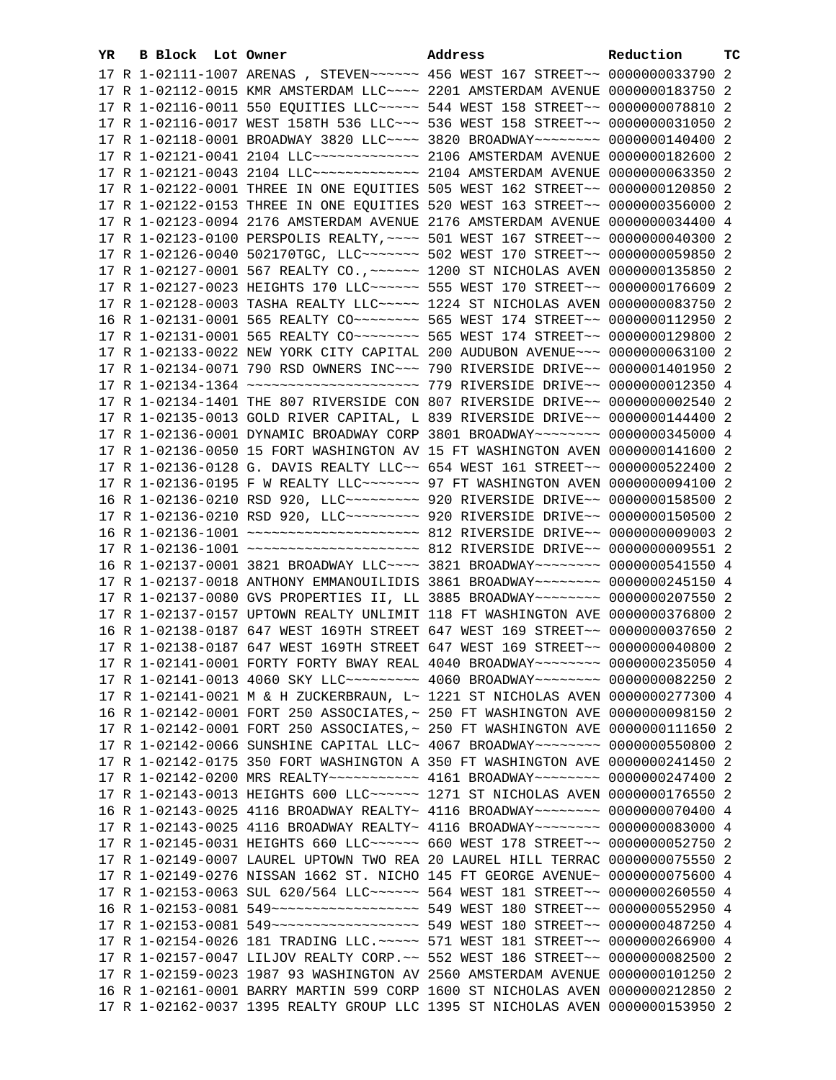| YR. | B Block Lot Owner | Address                                                                                                                                                         | Reduction | тc |
|-----|-------------------|-----------------------------------------------------------------------------------------------------------------------------------------------------------------|-----------|----|
|     |                   | 17 R 1-02111-1007 ARENAS , STEVEN~~~~~~ 456 WEST 167 STREET~~ 0000000033790 2                                                                                   |           |    |
|     |                   | 17 R 1-02112-0015 KMR AMSTERDAM LLC ~~~~ 2201 AMSTERDAM AVENUE 0000000183750 2                                                                                  |           |    |
|     |                   | 17 R 1-02116-0011 550 EQUITIES LLC ---- 544 WEST 158 STREET -~ 0000000078810 2                                                                                  |           |    |
|     |                   | 17 R 1-02116-0017 WEST 158TH 536 LLC ~~~ 536 WEST 158 STREET ~~ 0000000031050 2                                                                                 |           |    |
|     |                   | 17 R 1-02118-0001 BROADWAY 3820 LLC --- 3820 BROADWAY ------- 0000000140400 2                                                                                   |           |    |
|     |                   | 17 R 1-02121-0041 2104 LLC ------------- 2106 AMSTERDAM AVENUE 0000000182600 2                                                                                  |           |    |
|     |                   | 17 R 1-02121-0043 2104 LLC ------------- 2104 AMSTERDAM AVENUE 0000000063350 2                                                                                  |           |    |
|     |                   | 17 R 1-02122-0001 THREE IN ONE EQUITIES 505 WEST 162 STREET~~ 0000000120850 2                                                                                   |           |    |
|     |                   | 17 R 1-02122-0153 THREE IN ONE EQUITIES 520 WEST 163 STREET~~ 0000000356000 2                                                                                   |           |    |
|     |                   | 17 R 1-02123-0094 2176 AMSTERDAM AVENUE 2176 AMSTERDAM AVENUE 0000000034400 4                                                                                   |           |    |
|     |                   | 17 R 1-02123-0100 PERSPOLIS REALTY, ~~~~ 501 WEST 167 STREET~~ 0000000040300 2                                                                                  |           |    |
|     |                   | 17 R 1-02126-0040 502170TGC, LLC ------ 502 WEST 170 STREET -~ 0000000059850 2                                                                                  |           |    |
|     |                   | 17 R 1-02127-0001 567 REALTY CO., ~~~~~~ 1200 ST NICHOLAS AVEN 0000000135850 2                                                                                  |           |    |
|     |                   | 17 R 1-02127-0023 HEIGHTS 170 LLC ----- 555 WEST 170 STREET -~ 0000000176609 2                                                                                  |           |    |
|     |                   | 17 R 1-02128-0003 TASHA REALTY LLC ~~~~~ 1224 ST NICHOLAS AVEN 0000000083750 2                                                                                  |           |    |
|     |                   | 16 R 1-02131-0001 565 REALTY CO ------- 565 WEST 174 STREET -~ 0000000112950 2                                                                                  |           |    |
|     |                   | 17 R 1-02131-0001 565 REALTY CO ------- 565 WEST 174 STREET -- 0000000129800 2                                                                                  |           |    |
|     |                   | 17 R 1-02133-0022 NEW YORK CITY CAPITAL 200 AUDUBON AVENUE~~~ 0000000063100 2                                                                                   |           |    |
|     |                   | 17 R 1-02134-0071 790 RSD OWNERS INC~~~ 790 RIVERSIDE DRIVE~~ 0000001401950 2                                                                                   |           |    |
|     |                   |                                                                                                                                                                 |           |    |
|     |                   |                                                                                                                                                                 |           |    |
|     |                   | 17 R 1-02134-1401 THE 807 RIVERSIDE CON 807 RIVERSIDE DRIVE~~ 0000000002540 2                                                                                   |           |    |
|     |                   | 17 R 1-02135-0013 GOLD RIVER CAPITAL, L 839 RIVERSIDE DRIVE~~ 0000000144400 2                                                                                   |           |    |
|     |                   | 17 R 1-02136-0001 DYNAMIC BROADWAY CORP 3801 BROADWAY~~~~~~~~ 0000000345000 4                                                                                   |           |    |
|     |                   | 17 R 1-02136-0050 15 FORT WASHINGTON AV 15 FT WASHINGTON AVEN 0000000141600 2                                                                                   |           |    |
|     |                   | 17 R 1-02136-0128 G. DAVIS REALTY LLC~~ 654 WEST 161 STREET~~ 0000000522400 2<br>17 R 1-02136-0195 F W REALTY LLC ~~~~~~~ 97 FT WASHINGTON AVEN 0000000094100 2 |           |    |
|     |                   | 16 R 1-02136-0210 RSD 920, LLC --------- 920 RIVERSIDE DRIVE -- 0000000158500 2                                                                                 |           |    |
|     |                   | 17 R 1-02136-0210 RSD 920, LLC --------- 920 RIVERSIDE DRIVE -- 0000000150500 2                                                                                 |           |    |
|     |                   |                                                                                                                                                                 |           |    |
|     |                   |                                                                                                                                                                 |           |    |
|     |                   | 16 R 1-02137-0001 3821 BROADWAY LLC --- 3821 BROADWAY ------- 0000000541550 4                                                                                   |           |    |
|     |                   | 17 R 1-02137-0018 ANTHONY EMMANOUILIDIS 3861 BROADWAY~~~~~~~~ 0000000245150 4                                                                                   |           |    |
|     |                   | 17 R 1-02137-0080 GVS PROPERTIES II, LL 3885 BROADWAY~~~~~~~~ 0000000207550 2                                                                                   |           |    |
|     |                   | 17 R 1-02137-0157 UPTOWN REALTY UNLIMIT 118 FT WASHINGTON AVE 0000000376800 2                                                                                   |           |    |
|     |                   | 16 R 1-02138-0187 647 WEST 169TH STREET 647 WEST 169 STREET~~ 0000000037650 2                                                                                   |           |    |
|     |                   | 17 R 1-02138-0187 647 WEST 169TH STREET 647 WEST 169 STREET~~ 0000000040800 2                                                                                   |           |    |
|     |                   | 17 R 1-02141-0001 FORTY FORTY BWAY REAL 4040 BROADWAY~~~~~~~~ 0000000235050 4                                                                                   |           |    |
|     |                   | 17 R 1-02141-0013 4060 SKY LLC~~~~~~~~~~ 4060 BROADWAY~~~~~~~~ 0000000082250 2                                                                                  |           |    |
|     |                   | 17 R 1-02141-0021 M & H ZUCKERBRAUN, L~ 1221 ST NICHOLAS AVEN 0000000277300 4                                                                                   |           |    |
|     |                   | 16 R 1-02142-0001 FORT 250 ASSOCIATES, ~ 250 FT WASHINGTON AVE 0000000098150 2                                                                                  |           |    |
|     |                   | 17 R 1-02142-0001 FORT 250 ASSOCIATES, ~ 250 FT WASHINGTON AVE 0000000111650 2                                                                                  |           |    |
|     |                   | 17 R 1-02142-0066 SUNSHINE CAPITAL LLC~ 4067 BROADWAY~~~~~~~~~ 0000000550800 2                                                                                  |           |    |
|     |                   | 17 R 1-02142-0175 350 FORT WASHINGTON A 350 FT WASHINGTON AVE 0000000241450 2                                                                                   |           |    |
|     |                   | 17 R 1-02142-0200 MRS REALTY ----------- 4161 BROADWAY ------- 0000000247400 2                                                                                  |           |    |
|     |                   | 17 R 1-02143-0013 HEIGHTS 600 LLC ----- 1271 ST NICHOLAS AVEN 0000000176550 2                                                                                   |           |    |
|     |                   | 16 R 1-02143-0025 4116 BROADWAY REALTY~ 4116 BROADWAY~~~~~~~~~ 0000000070400 4                                                                                  |           |    |
|     |                   | 17 R 1-02143-0025 4116 BROADWAY REALTY~ 4116 BROADWAY~~~~~~~~~ 0000000083000 4                                                                                  |           |    |
|     |                   | 17 R 1-02145-0031 HEIGHTS 660 LLC ----- 660 WEST 178 STREET -- 0000000052750 2                                                                                  |           |    |
|     |                   | 17 R 1-02149-0007 LAUREL UPTOWN TWO REA 20 LAUREL HILL TERRAC 0000000075550 2                                                                                   |           |    |
|     |                   | 17 R 1-02149-0276 NISSAN 1662 ST. NICHO 145 FT GEORGE AVENUE~ 0000000075600 4                                                                                   |           |    |
|     |                   | 17 R 1-02153-0063 SUL 620/564 LLC ----- 564 WEST 181 STREET -- 0000000260550 4                                                                                  |           |    |
|     |                   | 16 R 1-02153-0081 549 ------------------- 549 WEST 180 STREET-- 0000000552950 4                                                                                 |           |    |
|     |                   | 17 R 1-02153-0081 549 ------------------- 549 WEST 180 STREET-- 0000000487250 4                                                                                 |           |    |
|     |                   | 17 R 1-02154-0026 181 TRADING LLC. ~~~~~ 571 WEST 181 STREET~~ 0000000266900 4                                                                                  |           |    |
|     |                   | 17 R 1-02157-0047 LILJOV REALTY CORP. ~~ 552 WEST 186 STREET~~ 0000000082500 2                                                                                  |           |    |
|     |                   | 17 R 1-02159-0023 1987 93 WASHINGTON AV 2560 AMSTERDAM AVENUE 0000000101250 2                                                                                   |           |    |
|     |                   | 16 R 1-02161-0001 BARRY MARTIN 599 CORP 1600 ST NICHOLAS AVEN 0000000212850 2                                                                                   |           |    |
|     |                   | 17 R 1-02162-0037 1395 REALTY GROUP LLC 1395 ST NICHOLAS AVEN 0000000153950 2                                                                                   |           |    |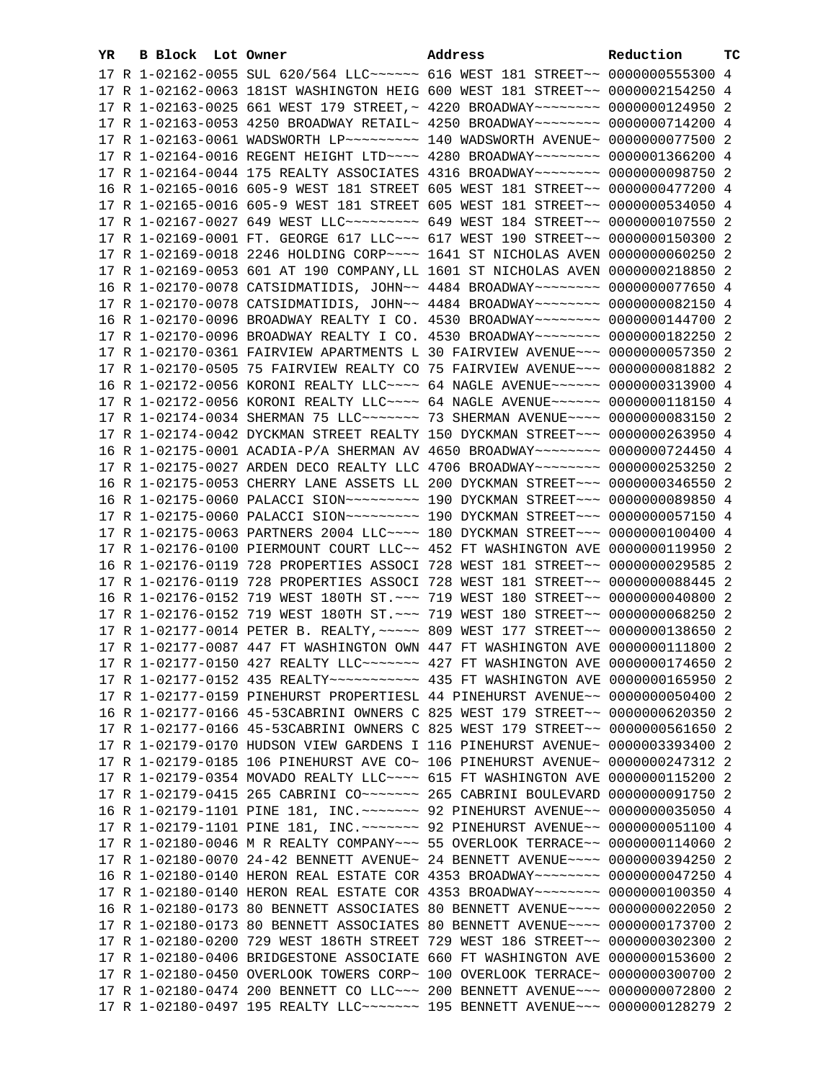| YR. | B Block Lot Owner |  | Address                                                                                              | Reduction | ТC |
|-----|-------------------|--|------------------------------------------------------------------------------------------------------|-----------|----|
|     |                   |  | 17 R 1-02162-0055 SUL 620/564 LLC ----- 616 WEST 181 STREET -- 0000000555300 4                       |           |    |
|     |                   |  | 17 R 1-02162-0063 181ST WASHINGTON HEIG 600 WEST 181 STREET~~ 0000002154250 4                        |           |    |
|     |                   |  | 17 R 1-02163-0025 661 WEST 179 STREET, ~ 4220 BROADWAY~~~~~~~~ 0000000124950 2                       |           |    |
|     |                   |  | 17 R 1-02163-0053 4250 BROADWAY RETAIL~ 4250 BROADWAY~~~~~~~~~ 0000000714200 4                       |           |    |
|     |                   |  | 17 R 1-02163-0061 WADSWORTH LP ~~~~~~~~~~ 140 WADSWORTH AVENUE ~ 0000000077500 2                     |           |    |
|     |                   |  | 17 R 1-02164-0016 REGENT HEIGHT LTD ~~~~ 4280 BROADWAY ~~~~~~~~ 0000001366200 4                      |           |    |
|     |                   |  | 17 R 1-02164-0044 175 REALTY ASSOCIATES 4316 BROADWAY~~~~~~~~ 0000000098750 2                        |           |    |
|     |                   |  | 16 R 1-02165-0016 605-9 WEST 181 STREET 605 WEST 181 STREET~~ 0000000477200 4                        |           |    |
|     |                   |  | 17 R 1-02165-0016 605-9 WEST 181 STREET 605 WEST 181 STREET~~ 0000000534050 4                        |           |    |
|     |                   |  | 17 R 1-02167-0027 649 WEST LLC -------- 649 WEST 184 STREET -~ 0000000107550 2                       |           |    |
|     |                   |  |                                                                                                      |           |    |
|     |                   |  | 17 R 1-02169-0001 FT. GEORGE 617 LLC~~~ 617 WEST 190 STREET~~ 0000000150300 2                        |           |    |
|     |                   |  | 17 R 1-02169-0018 2246 HOLDING CORP~~~~ 1641 ST NICHOLAS AVEN 0000000060250 2                        |           |    |
|     |                   |  | 17 R 1-02169-0053 601 AT 190 COMPANY, LL 1601 ST NICHOLAS AVEN 0000000218850 2                       |           |    |
|     |                   |  | 16 R 1-02170-0078 CATSIDMATIDIS, JOHN~~ 4484 BROADWAY~~~~~~~~ 0000000077650 4                        |           |    |
|     |                   |  | 17 R 1-02170-0078 CATSIDMATIDIS, JOHN~~ 4484 BROADWAY~~~~~~~~ 0000000082150 4                        |           |    |
|     |                   |  | 16 R 1-02170-0096 BROADWAY REALTY I CO. 4530 BROADWAY~~~~~~~~ 0000000144700 2                        |           |    |
|     |                   |  | 17 R 1-02170-0096 BROADWAY REALTY I CO. 4530 BROADWAY~~~~~~~~ 0000000182250 2                        |           |    |
|     |                   |  | 17 R 1-02170-0361 FAIRVIEW APARTMENTS L 30 FAIRVIEW AVENUE~~~ 0000000057350 2                        |           |    |
|     |                   |  | 17 R 1-02170-0505 75 FAIRVIEW REALTY CO 75 FAIRVIEW AVENUE~~~ 0000000081882 2                        |           |    |
|     |                   |  | 16 R 1-02172-0056 KORONI REALTY LLC~~~~ 64 NAGLE AVENUE~~~~~~ 0000000313900 4                        |           |    |
|     |                   |  | 17 R 1-02172-0056 KORONI REALTY LLC~~~~ 64 NAGLE AVENUE~~~~~~ 0000000118150 4                        |           |    |
|     |                   |  | 17 R 1-02174-0034 SHERMAN 75 LLC~~~~~~~~~~~~~~~~~~~ 3 SHERMAN AVENUE~~~~~~~~~~~~~~~~~~~~~~~~~~~~~~~~ |           |    |
|     |                   |  | 17 R 1-02174-0042 DYCKMAN STREET REALTY 150 DYCKMAN STREET~~~ 0000000263950 4                        |           |    |
|     |                   |  | 16 R 1-02175-0001 ACADIA-P/A SHERMAN AV 4650 BROADWAY~~~~~~~~~ 0000000724450 4                       |           |    |
|     |                   |  | 17 R 1-02175-0027 ARDEN DECO REALTY LLC 4706 BROADWAY~~~~~~~~ 0000000253250 2                        |           |    |
|     |                   |  | 16 R 1-02175-0053 CHERRY LANE ASSETS LL 200 DYCKMAN STREET~~~ 0000000346550 2                        |           |    |
|     |                   |  | 16 R 1-02175-0060 PALACCI SION~~~~~~~~~~~~~~~ 190 DYCKMAN STREET~~~~ 0000000089850 4                 |           |    |
|     |                   |  | 17 R 1-02175-0060 PALACCI SION~~~~~~~~~~~~~~~ 190 DYCKMAN STREET~~~~ 0000000057150 4                 |           |    |
|     |                   |  | 17 R 1-02175-0063 PARTNERS 2004 LLC~~~~ 180 DYCKMAN STREET~~~ 0000000100400 4                        |           |    |
|     |                   |  | 17 R 1-02176-0100 PIERMOUNT COURT LLC~~ 452 FT WASHINGTON AVE 0000000119950 2                        |           |    |
|     |                   |  | 16 R 1-02176-0119 728 PROPERTIES ASSOCI 728 WEST 181 STREET~~ 0000000029585 2                        |           |    |
|     |                   |  | 17 R 1-02176-0119 728 PROPERTIES ASSOCI 728 WEST 181 STREET~~ 0000000088445 2                        |           |    |
|     |                   |  | 16 R 1-02176-0152 719 WEST 180TH ST. ~~~ 719 WEST 180 STREET~~ 0000000040800 2                       |           |    |
|     |                   |  | 17 R 1-02176-0152 719 WEST 180TH ST. ~~~ 719 WEST 180 STREET~~ 0000000068250 2                       |           |    |
|     |                   |  | 17 R 1-02177-0014 PETER B. REALTY, ~~~~~ 809 WEST 177 STREET~~ 0000000138650 2                       |           |    |
|     |                   |  | 17 R 1-02177-0087 447 FT WASHINGTON OWN 447 FT WASHINGTON AVE 0000000111800 2                        |           |    |
|     |                   |  | 17 R 1-02177-0150 427 REALTY LLC ------ 427 FT WASHINGTON AVE 0000000174650 2                        |           |    |
|     |                   |  | 17 R 1-02177-0152 435 REALTY~~~~~~~~~~~~~~~~ 435 FT WASHINGTON AVE 0000000165950 2                   |           |    |
|     |                   |  | 17 R 1-02177-0159 PINEHURST PROPERTIESL 44 PINEHURST AVENUE~~ 0000000050400 2                        |           |    |
|     |                   |  | 16 R 1-02177-0166 45-53CABRINI OWNERS C 825 WEST 179 STREET~~ 0000000620350 2                        |           |    |
|     |                   |  | 17 R 1-02177-0166 45-53CABRINI OWNERS C 825 WEST 179 STREET~~ 0000000561650 2                        |           |    |
|     |                   |  | 17 R 1-02179-0170 HUDSON VIEW GARDENS I 116 PINEHURST AVENUE~ 0000003393400 2                        |           |    |
|     |                   |  | 17 R 1-02179-0185 106 PINEHURST AVE CO~ 106 PINEHURST AVENUE~ 0000000247312 2                        |           |    |
|     |                   |  | 17 R 1-02179-0354 MOVADO REALTY LLC~~~~ 615 FT WASHINGTON AVE 0000000115200 2                        |           |    |
|     |                   |  | 17 R 1-02179-0415 265 CABRINI CO ------ 265 CABRINI BOULEVARD 0000000091750 2                        |           |    |
|     |                   |  | 16 R 1-02179-1101 PINE 181, INC. ~~~~~~~ 92 PINEHURST AVENUE~~ 0000000035050 4                       |           |    |
|     |                   |  | 17 R 1-02179-1101 PINE 181, INC. ~~~~~~~~ 92 PINEHURST AVENUE~~ 0000000051100 4                      |           |    |
|     |                   |  | 17 R 1-02180-0046 M R REALTY COMPANY~~~ 55 OVERLOOK TERRACE~~ 0000000114060 2                        |           |    |
|     |                   |  | 17 R 1-02180-0070 24-42 BENNETT AVENUE~ 24 BENNETT AVENUE~~~~ 0000000394250 2                        |           |    |
|     |                   |  | 16 R 1-02180-0140 HERON REAL ESTATE COR 4353 BROADWAY~~~~~~~~ 0000000047250 4                        |           |    |
|     |                   |  | 17 R 1-02180-0140 HERON REAL ESTATE COR 4353 BROADWAY~~~~~~~~ 0000000100350 4                        |           |    |
|     |                   |  | 16 R 1-02180-0173 80 BENNETT ASSOCIATES 80 BENNETT AVENUE~~~~ 0000000022050 2                        |           |    |
|     |                   |  | 17 R 1-02180-0173 80 BENNETT ASSOCIATES 80 BENNETT AVENUE~~~~ 0000000173700 2                        |           |    |
|     |                   |  | 17 R 1-02180-0200 729 WEST 186TH STREET 729 WEST 186 STREET~~ 0000000302300 2                        |           |    |
|     |                   |  | 17 R 1-02180-0406 BRIDGESTONE ASSOCIATE 660 FT WASHINGTON AVE 0000000153600 2                        |           |    |
|     |                   |  | 17 R 1-02180-0450 OVERLOOK TOWERS CORP~ 100 OVERLOOK TERRACE~ 0000000300700 2                        |           |    |
|     |                   |  | 17 R 1-02180-0474 200 BENNETT CO LLC~~~ 200 BENNETT AVENUE~~~ 0000000072800 2                        |           |    |
|     |                   |  | 17 R 1-02180-0497 195 REALTY LLC ------- 195 BENNETT AVENUE -- 0000000128279 2                       |           |    |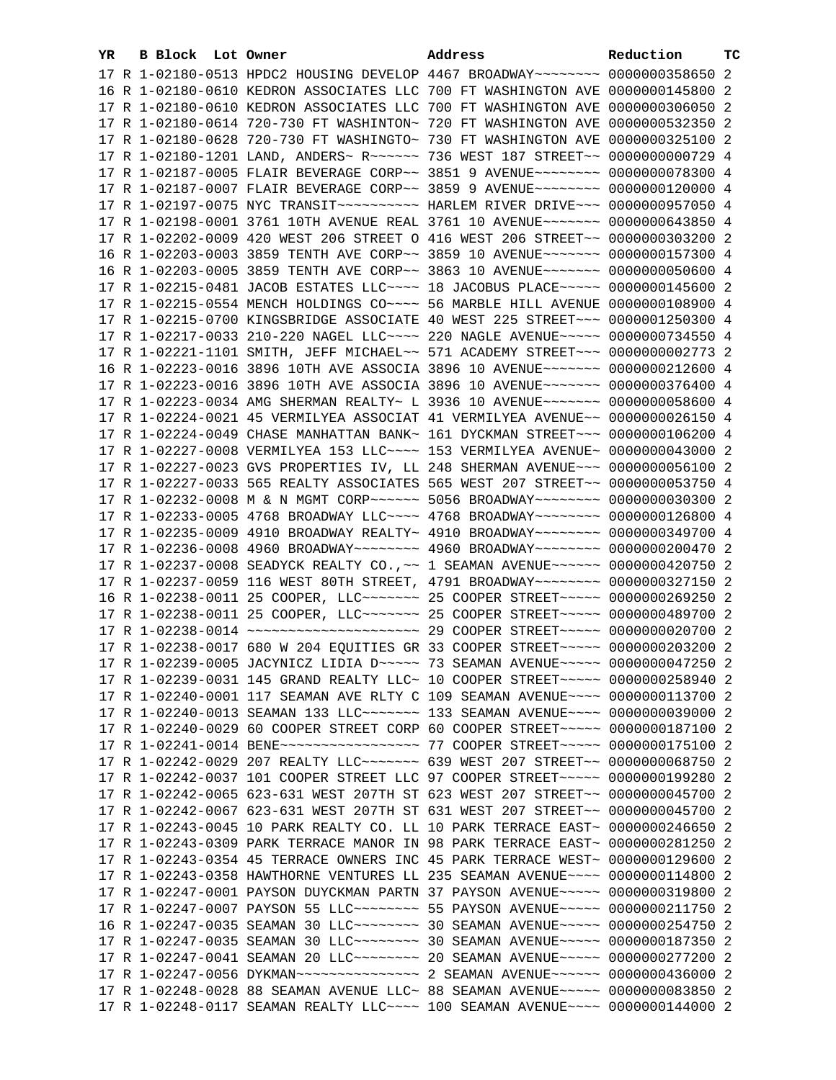| YR | B Block Lot Owner |                                                               | Address                                                                                                                                                        | Reduction       | тc |
|----|-------------------|---------------------------------------------------------------|----------------------------------------------------------------------------------------------------------------------------------------------------------------|-----------------|----|
|    |                   |                                                               | 17 R 1-02180-0513 HPDC2 HOUSING DEVELOP 4467 BROADWAY~~~~~~~~ 0000000358650 2                                                                                  |                 |    |
|    |                   |                                                               | 16 R 1-02180-0610 KEDRON ASSOCIATES LLC 700 FT WASHINGTON AVE 0000000145800 2                                                                                  |                 |    |
|    |                   |                                                               | 17 R 1-02180-0610 KEDRON ASSOCIATES LLC 700 FT WASHINGTON AVE 0000000306050 2                                                                                  |                 |    |
|    |                   | 17 R 1-02180-0614 720-730 FT WASHINTON~ 720 FT WASHINGTON AVE |                                                                                                                                                                | 0000000532350 2 |    |
|    |                   |                                                               | 17 R 1-02180-0628 720-730 FT WASHINGTO~ 730 FT WASHINGTON AVE 0000000325100 2                                                                                  |                 |    |
|    |                   |                                                               | 17 R 1-02180-1201 LAND, ANDERS~ R~~~~~~~ 736 WEST 187 STREET~~ 0000000000729 4                                                                                 |                 |    |
|    |                   |                                                               | 17 R 1-02187-0005 FLAIR BEVERAGE CORP~~ 3851 9 AVENUE~~~~~~~~ 0000000078300 4                                                                                  |                 |    |
|    |                   |                                                               | 17 R 1-02187-0007 FLAIR BEVERAGE CORP~~ 3859 9 AVENUE~~~~~~~~ 0000000120000 4                                                                                  |                 |    |
|    |                   |                                                               | 17 R 1-02197-0075 NYC TRANSIT ~~~~~~~~~~~~~~ HARLEM RIVER DRIVE ~~~ 0000000957050 4                                                                            |                 |    |
|    |                   |                                                               |                                                                                                                                                                |                 |    |
|    |                   |                                                               | 17 R 1-02198-0001 3761 10TH AVENUE REAL 3761 10 AVENUE~~~~~~~ 0000000643850 4<br>17 R 1-02202-0009 420 WEST 206 STREET O 416 WEST 206 STREET~~ 0000000303200 2 |                 |    |
|    |                   |                                                               |                                                                                                                                                                |                 |    |
|    |                   |                                                               | 16 R 1-02203-0003 3859 TENTH AVE CORP~~ 3859 10 AVENUE~~~~~~~ 0000000157300 4                                                                                  |                 |    |
|    |                   |                                                               | 16 R 1-02203-0005 3859 TENTH AVE CORP~~ 3863 10 AVENUE~~~~~~~ 0000000050600 4                                                                                  |                 |    |
|    |                   |                                                               | 17 R 1-02215-0481 JACOB ESTATES LLC --- 18 JACOBUS PLACE ---- 0000000145600 2                                                                                  |                 |    |
|    |                   |                                                               | 17 R 1-02215-0554 MENCH HOLDINGS CO~~~~ 56 MARBLE HILL AVENUE 0000000108900 4                                                                                  |                 |    |
|    |                   |                                                               | 17 R 1-02215-0700 KINGSBRIDGE ASSOCIATE 40 WEST 225 STREET~~~ 0000001250300 4                                                                                  |                 |    |
|    |                   |                                                               | 17 R 1-02217-0033 210-220 NAGEL LLC~~~~ 220 NAGLE AVENUE~~~~~ 0000000734550 4                                                                                  |                 |    |
|    |                   |                                                               | 17 R 1-02221-1101 SMITH, JEFF MICHAEL~~ 571 ACADEMY STREET~~~ 0000000002773 2                                                                                  |                 |    |
|    |                   |                                                               | 16 R 1-02223-0016 3896 10TH AVE ASSOCIA 3896 10 AVENUE~~~~~~~ 0000000212600 4                                                                                  |                 |    |
|    |                   |                                                               | 17 R 1-02223-0016 3896 10TH AVE ASSOCIA 3896 10 AVENUE~~~~~~~ 0000000376400 4                                                                                  |                 |    |
|    |                   |                                                               | 17 R 1-02223-0034 AMG SHERMAN REALTY~ L 3936 10 AVENUE~~~~~~~~ 0000000058600 4                                                                                 |                 |    |
|    |                   |                                                               | 17 R 1-02224-0021 45 VERMILYEA ASSOCIAT 41 VERMILYEA AVENUE~~ 0000000026150 4                                                                                  |                 |    |
|    |                   |                                                               | 17 R 1-02224-0049 CHASE MANHATTAN BANK~ 161 DYCKMAN STREET~~~ 0000000106200 4                                                                                  |                 |    |
|    |                   |                                                               | 17 R 1-02227-0008 VERMILYEA 153 LLC~~~~ 153 VERMILYEA AVENUE~ 0000000043000 2                                                                                  |                 |    |
|    |                   |                                                               | 17 R 1-02227-0023 GVS PROPERTIES IV, LL 248 SHERMAN AVENUE~~~ 0000000056100 2                                                                                  |                 |    |
|    |                   |                                                               | 17 R 1-02227-0033 565 REALTY ASSOCIATES 565 WEST 207 STREET~~ 0000000053750 4                                                                                  |                 |    |
|    |                   |                                                               | 17 R 1-02232-0008 M & N MGMT CORP~~~~~~ 5056 BROADWAY~~~~~~~~ 0000000030300 2                                                                                  |                 |    |
|    |                   |                                                               | 17 R 1-02233-0005 4768 BROADWAY LLC~~~~ 4768 BROADWAY~~~~~~~~ 0000000126800 4                                                                                  |                 |    |
|    |                   |                                                               | 17 R 1-02235-0009 4910 BROADWAY REALTY~ 4910 BROADWAY~~~~~~~~ 0000000349700 4                                                                                  |                 |    |
|    |                   |                                                               | 17 R 1-02236-0008 4960 BROADWAY~~~~~~~~ 4960 BROADWAY~~~~~~~~ 0000000200470 2                                                                                  |                 |    |
|    |                   |                                                               | 17 R 1-02237-0008 SEADYCK REALTY CO., ~~ 1 SEAMAN AVENUE~~~~~~ 0000000420750 2                                                                                 |                 |    |
|    |                   |                                                               | 17 R 1-02237-0059 116 WEST 80TH STREET, 4791 BROADWAY~~~~~~~~ 0000000327150 2                                                                                  |                 |    |
|    |                   |                                                               | 16 R 1-02238-0011 25 COOPER, LLC ------- 25 COOPER STREET ---- 0000000269250 2                                                                                 |                 |    |
|    |                   |                                                               | 17 R 1-02238-0011 25 COOPER, LLC ------ 25 COOPER STREET ---- 0000000489700 2                                                                                  |                 |    |
|    |                   |                                                               | 17 R 1-02238-0014 ~~~~~~~~~~~~~~~~~~~~~~~~ 29 COOPER STREET~~~~~ 0000000020700 2                                                                               |                 |    |
|    |                   |                                                               | 17 R 1-02238-0017 680 W 204 EQUITIES GR 33 COOPER STREET~~~~~ 0000000203200 2                                                                                  |                 |    |
|    |                   |                                                               | 17 R 1-02239-0005 JACYNICZ LIDIA D ~~~~~ 73 SEAMAN AVENUE ~~~~~ 0000000047250 2                                                                                |                 |    |
|    |                   |                                                               | 17 R 1-02239-0031 145 GRAND REALTY LLC~ 10 COOPER STREET~~~~~ 0000000258940 2                                                                                  |                 |    |
|    |                   |                                                               | 17 R 1-02240-0001 117 SEAMAN AVE RLTY C 109 SEAMAN AVENUE~~~~ 0000000113700 2                                                                                  |                 |    |
|    |                   |                                                               | 17 R 1-02240-0013 SEAMAN 133 LLC~~~~~~~~~~~~ 133 SEAMAN AVENUE~~~~~ 0000000039000 2                                                                            |                 |    |
|    |                   |                                                               | 17 R 1-02240-0029 60 COOPER STREET CORP 60 COOPER STREET~~~~~ 0000000187100 2                                                                                  |                 |    |
|    |                   |                                                               |                                                                                                                                                                |                 |    |
|    |                   |                                                               | 17 R 1-02242-0029 207 REALTY LLC ------- 639 WEST 207 STREET -- 0000000068750 2                                                                                |                 |    |
|    |                   |                                                               | 17 R 1-02242-0037 101 COOPER STREET LLC 97 COOPER STREET~~~~~ 0000000199280 2                                                                                  |                 |    |
|    |                   |                                                               | 17 R 1-02242-0065 623-631 WEST 207TH ST 623 WEST 207 STREET~~ 0000000045700 2                                                                                  |                 |    |
|    |                   |                                                               | 17 R 1-02242-0067 623-631 WEST 207TH ST 631 WEST 207 STREET~~ 0000000045700 2                                                                                  |                 |    |
|    |                   |                                                               | 17 R 1-02243-0045 10 PARK REALTY CO. LL 10 PARK TERRACE EAST~ 0000000246650 2                                                                                  |                 |    |
|    |                   |                                                               | 17 R 1-02243-0309 PARK TERRACE MANOR IN 98 PARK TERRACE EAST~ 0000000281250 2                                                                                  |                 |    |
|    |                   |                                                               | 17 R 1-02243-0354 45 TERRACE OWNERS INC 45 PARK TERRACE WEST~ 0000000129600 2                                                                                  |                 |    |
|    |                   |                                                               | 17 R 1-02243-0358 HAWTHORNE VENTURES LL 235 SEAMAN AVENUE~~~~ 0000000114800 2                                                                                  |                 |    |
|    |                   |                                                               | 17 R 1-02247-0001 PAYSON DUYCKMAN PARTN 37 PAYSON AVENUE~~~~~ 0000000319800 2                                                                                  |                 |    |
|    |                   |                                                               | 17 R 1-02247-0007 PAYSON 55 LLC -------- 55 PAYSON AVENUE ---- 0000000211750 2                                                                                 |                 |    |
|    |                   |                                                               | 16 R 1-02247-0035 SEAMAN 30 LLC~~~~~~~~~ 30 SEAMAN AVENUE~~~~~ 0000000254750 2                                                                                 |                 |    |
|    |                   |                                                               |                                                                                                                                                                |                 |    |
|    |                   |                                                               |                                                                                                                                                                |                 |    |
|    |                   |                                                               | 17 R 1-02247-0056 DYKMAN~~~~~~~~~~~~~~~~~~~~~~ 2 SEAMAN AVENUE~~~~~~~ 0000000436000 2                                                                          |                 |    |
|    |                   |                                                               | 17 R 1-02248-0028 88 SEAMAN AVENUE LLC~ 88 SEAMAN AVENUE~~~~~ 0000000083850 2                                                                                  |                 |    |
|    |                   |                                                               | 17 R 1-02248-0117 SEAMAN REALTY LLC~~~~ 100 SEAMAN AVENUE~~~~ 0000000144000 2                                                                                  |                 |    |
|    |                   |                                                               |                                                                                                                                                                |                 |    |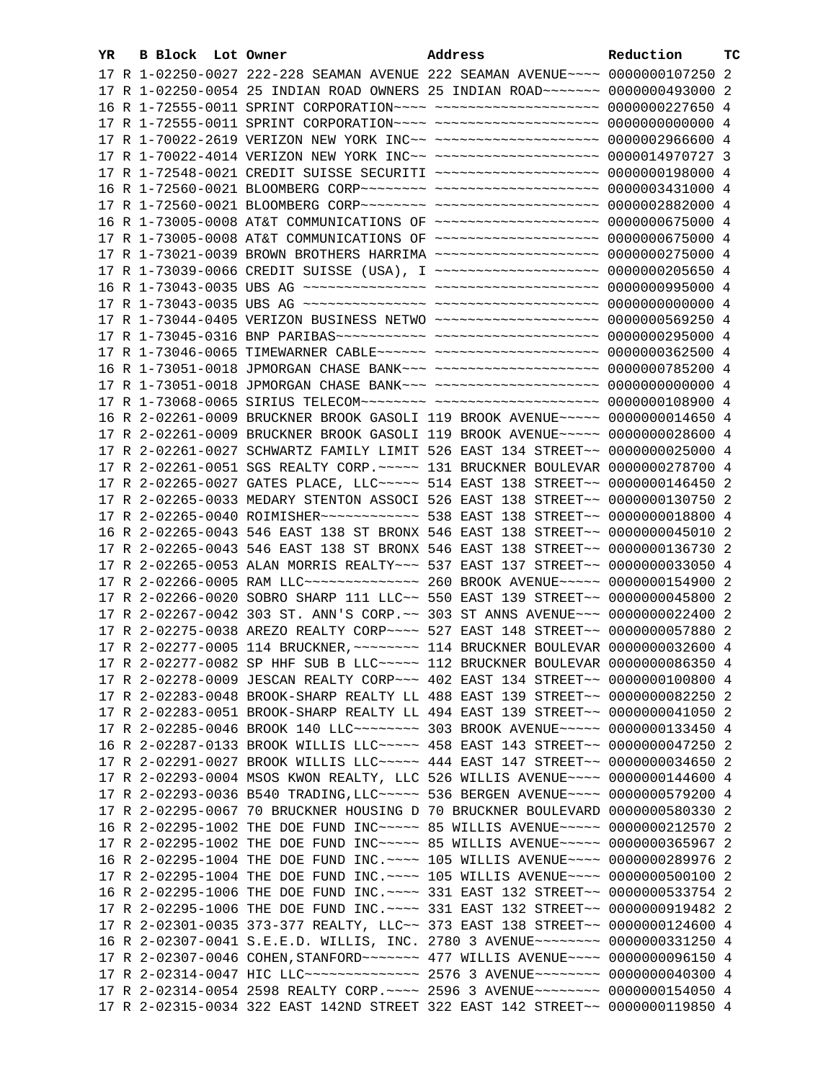| YR. | B Block Lot Owner |  | Address                                                                                              | Reduction | тc |
|-----|-------------------|--|------------------------------------------------------------------------------------------------------|-----------|----|
|     |                   |  | 17 R 1-02250-0027 222-228 SEAMAN AVENUE 222 SEAMAN AVENUE~~~~ 0000000107250 2                        |           |    |
|     |                   |  | 17 R 1-02250-0054 25 INDIAN ROAD OWNERS 25 INDIAN ROAD ~~~~~~~ 0000000493000 2                       |           |    |
|     |                   |  | 16 R 1-72555-0011 SPRINT CORPORATION ---- --------------------- 0000000227650 4                      |           |    |
|     |                   |  |                                                                                                      |           |    |
|     |                   |  | 17 R 1-70022-2619 VERIZON NEW YORK INC~~ ~~~~~~~~~~~~~~~~~~~~ 0000002966600 4                        |           |    |
|     |                   |  | 17 R 1-70022-4014 VERIZON NEW YORK INC~~ ~~~~~~~~~~~~~~~~~~~~ 0000014970727 3                        |           |    |
|     |                   |  | 17 R 1-72548-0021 CREDIT SUISSE SECURITI ~~~~~~~~~~~~~~~~~~~ 0000000198000 4                         |           |    |
|     |                   |  | 16 R 1-72560-0021 BLOOMBERG CORP~~~~~~~~ ~~~~~~~~~~~~~~~~~~~ 0000003431000 4                         |           |    |
|     |                   |  | 17 R 1-72560-0021 BLOOMBERG CORP~~~~~~~~ ~~~~~~~~~~~~~~~~~~~~ 0000002882000 4                        |           |    |
|     |                   |  | 16 R 1-73005-0008 AT&T COMMUNICATIONS OF ~~~~~~~~~~~~~~~~~~~~ 0000000675000 4                        |           |    |
|     |                   |  | 17 R 1-73005-0008 AT&T COMMUNICATIONS OF ~~~~~~~~~~~~~~~~~~~~ 0000000675000 4                        |           |    |
|     |                   |  | 17 R 1-73021-0039 BROWN BROTHERS HARRIMA ~~~~~~~~~~~~~~~~~~~~ 0000000275000 4                        |           |    |
|     |                   |  | 17 R 1-73039-0066 CREDIT SUISSE (USA), I ~~~~~~~~~~~~~~~~~~~ 0000000205650 4                         |           |    |
|     |                   |  |                                                                                                      |           |    |
|     |                   |  |                                                                                                      |           |    |
|     |                   |  | 17 R 1-73044-0405 VERIZON BUSINESS NETWO ~~~~~~~~~~~~~~~~~~~~ 0000000569250 4                        |           |    |
|     |                   |  |                                                                                                      |           |    |
|     |                   |  |                                                                                                      |           |    |
|     |                   |  | 17 R 1-73046-0065 TIMEWARNER CABLE~~~~~~ ~~~~~~~~~~~~~~~~~~~~ 0000000362500 4                        |           |    |
|     |                   |  | 16 R 1-73051-0018 JPMORGAN CHASE BANK~~~ ~~~~~~~~~~~~~~~~~~~ 0000000785200 4                         |           |    |
|     |                   |  | 17 R 1-73051-0018 JPMORGAN CHASE BANK~~~ ~~~~~~~~~~~~~~~~~~~ 0000000000000 4                         |           |    |
|     |                   |  |                                                                                                      |           |    |
|     |                   |  | 16 R 2-02261-0009 BRUCKNER BROOK GASOLI 119 BROOK AVENUE~~~~~ 0000000014650 4                        |           |    |
|     |                   |  | 17 R 2-02261-0009 BRUCKNER BROOK GASOLI 119 BROOK AVENUE~~~~~ 0000000028600 4                        |           |    |
|     |                   |  | 17 R 2-02261-0027 SCHWARTZ FAMILY LIMIT 526 EAST 134 STREET~~ 0000000025000 4                        |           |    |
|     |                   |  | 17 R 2-02261-0051 SGS REALTY CORP. ~~~~~ 131 BRUCKNER BOULEVAR 0000000278700 4                       |           |    |
|     |                   |  | 17 R 2-02265-0027 GATES PLACE, LLC ---- 514 EAST 138 STREET -~ 0000000146450 2                       |           |    |
|     |                   |  | 17 R 2-02265-0033 MEDARY STENTON ASSOCI 526 EAST 138 STREET~~ 0000000130750 2                        |           |    |
|     |                   |  | 17 R 2-02265-0040 ROIMISHER ------------ 538 EAST 138 STREET -- 0000000018800 4                      |           |    |
|     |                   |  | 16 R 2-02265-0043 546 EAST 138 ST BRONX 546 EAST 138 STREET~~ 0000000045010 2                        |           |    |
|     |                   |  | 17 R 2-02265-0043 546 EAST 138 ST BRONX 546 EAST 138 STREET~~ 0000000136730 2                        |           |    |
|     |                   |  | 17 R 2-02265-0053 ALAN MORRIS REALTY~~~ 537 EAST 137 STREET~~ 0000000033050 4                        |           |    |
|     |                   |  | 17 R 2-02266-0005 RAM LLC~~~~~~~~~~~~~~~~~~~~~~~ 260 BROOK AVENUE~~~~~~ 0000000154900 2              |           |    |
|     |                   |  | 17 R 2-02266-0020 SOBRO SHARP 111 LLC~~ 550 EAST 139 STREET~~ 0000000045800 2                        |           |    |
|     |                   |  | 17 R 2-02267-0042 303 ST. ANN'S CORP. ~~ 303 ST ANNS AVENUE~~~ 0000000022400 2                       |           |    |
|     |                   |  | 17 R 2-02275-0038 AREZO REALTY CORP~~~~ 527 EAST 148 STREET~~ 0000000057880 2                        |           |    |
|     |                   |  | 17 R 2-02277-0005 114 BRUCKNER, ~~~~~~~~ 114 BRUCKNER BOULEVAR 0000000032600 4                       |           |    |
|     |                   |  | 17 R 2-02277-0082 SP HHF SUB B LLC ---- 112 BRUCKNER BOULEVAR 0000000086350 4                        |           |    |
|     |                   |  | 17 R 2-02278-0009 JESCAN REALTY CORP~~~ 402 EAST 134 STREET~~ 0000000100800 4                        |           |    |
|     |                   |  | 17 R 2-02283-0048 BROOK-SHARP REALTY LL 488 EAST 139 STREET~~ 0000000082250 2                        |           |    |
|     |                   |  | 17 R 2-02283-0051 BROOK-SHARP REALTY LL 494 EAST 139 STREET~~ 0000000041050 2                        |           |    |
|     |                   |  | 17 R 2-02285-0046 BROOK 140 LLC ------- 303 BROOK AVENUE ---- 0000000133450 4                        |           |    |
|     |                   |  | 16 R 2-02287-0133 BROOK WILLIS LLC ---- 458 EAST 143 STREET -- 0000000047250 2                       |           |    |
|     |                   |  | 17 R 2-02291-0027 BROOK WILLIS LLC ---- 444 EAST 147 STREET -- 0000000034650 2                       |           |    |
|     |                   |  | 17 R 2-02293-0004 MSOS KWON REALTY, LLC 526 WILLIS AVENUE~~~~ 0000000144600 4                        |           |    |
|     |                   |  | 17 R 2-02293-0036 B540 TRADING, LLC ~~~~~ 536 BERGEN AVENUE ~~~~ 0000000579200 4                     |           |    |
|     |                   |  | 17 R 2-02295-0067 70 BRUCKNER HOUSING D 70 BRUCKNER BOULEVARD 0000000580330 2                        |           |    |
|     |                   |  | 16 R 2-02295-1002 THE DOE FUND INC~~~~~ 85 WILLIS AVENUE~~~~~ 0000000212570 2                        |           |    |
|     |                   |  | 17 R 2-02295-1002 THE DOE FUND INC~~~~~ 85 WILLIS AVENUE~~~~~ 0000000365967 2                        |           |    |
|     |                   |  | 16 R 2-02295-1004 THE DOE FUND INC. ~~~~ 105 WILLIS AVENUE~~~~ 0000000289976 2                       |           |    |
|     |                   |  | 17 R 2-02295-1004 THE DOE FUND INC. ~~~~ 105 WILLIS AVENUE~~~~ 0000000500100 2                       |           |    |
|     |                   |  | 16 R 2-02295-1006 THE DOE FUND INC. ~~~~ 331 EAST 132 STREET~~ 0000000533754 2                       |           |    |
|     |                   |  | 17 R 2-02295-1006 THE DOE FUND INC. ~~~~ 331 EAST 132 STREET~~ 0000000919482 2                       |           |    |
|     |                   |  | 17 R 2-02301-0035 373-377 REALTY, LLC~~ 373 EAST 138 STREET~~ 0000000124600 4                        |           |    |
|     |                   |  | 16 R 2-02307-0041 S.E.E.D. WILLIS, INC. 2780 3 AVENUE~~~~~~~~ 0000000331250 4                        |           |    |
|     |                   |  | 17 R 2-02307-0046 COHEN, STANFORD ~~~~~~~~~~~~~~~~~ 477 WILLIS AVENUE ~~~~~~~~~~~~~~~~~~~~~~~~~~~~~~ |           |    |
|     |                   |  |                                                                                                      |           |    |
|     |                   |  | 17 R 2-02314-0054 2598 REALTY CORP. ~~~~ 2596 3 AVENUE~~~~~~~~ 0000000154050 4                       |           |    |
|     |                   |  | 17 R 2-02315-0034 322 EAST 142ND STREET 322 EAST 142 STREET~~ 0000000119850 4                        |           |    |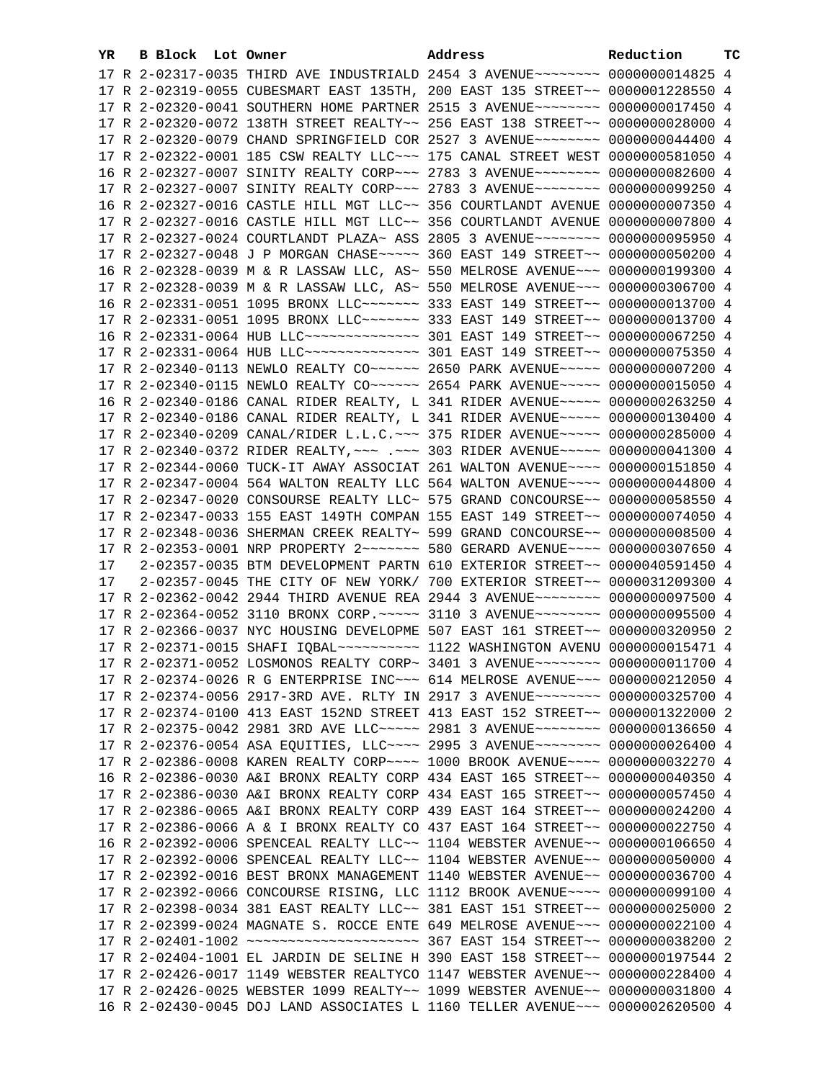| YR. | B Block Lot Owner |                                                                                      | Address | Reduction       | ТC |
|-----|-------------------|--------------------------------------------------------------------------------------|---------|-----------------|----|
|     |                   | 17 R 2-02317-0035 THIRD AVE INDUSTRIALD 2454 3 AVENUE~~~~~~~~ 0000000014825 4        |         |                 |    |
|     |                   | 17 R 2-02319-0055 CUBESMART EAST 135TH, 200 EAST 135 STREET~~ 0000001228550 4        |         |                 |    |
|     |                   | 17 R 2-02320-0041 SOUTHERN HOME PARTNER 2515 3 AVENUE~~~~~~~~ 0000000017450 4        |         |                 |    |
|     |                   | 17 R 2-02320-0072 138TH STREET REALTY~~ 256 EAST 138 STREET~~ 0000000028000 4        |         |                 |    |
|     |                   | 17 R 2-02320-0079 CHAND SPRINGFIELD COR 2527 3 AVENUE~~~~~~~~ 0000000044400 4        |         |                 |    |
|     |                   | 17 R 2-02322-0001 185 CSW REALTY LLC ~~~ 175 CANAL STREET WEST 0000000581050 4       |         |                 |    |
|     |                   | 16 R 2-02327-0007 SINITY REALTY CORP~~~ 2783 3 AVENUE~~~~~~~~ 0000000082600 4        |         |                 |    |
|     |                   |                                                                                      |         |                 |    |
|     |                   | 17 R 2-02327-0007 SINITY REALTY CORP~~~ 2783 3 AVENUE~~~~~~~~ 0000000099250 4        |         |                 |    |
|     |                   | 16 R 2-02327-0016 CASTLE HILL MGT LLC~~ 356 COURTLANDT AVENUE 0000000007350 4        |         |                 |    |
|     |                   | 17 R 2-02327-0016 CASTLE HILL MGT LLC~~ 356 COURTLANDT AVENUE 0000000007800 4        |         |                 |    |
|     |                   | 17 R 2-02327-0024 COURTLANDT PLAZA~ ASS 2805 3 AVENUE~~~~~~~~ 0000000095950 4        |         |                 |    |
|     |                   | 17 R 2-02327-0048 J P MORGAN CHASE ~~~~~ 360 EAST 149 STREET ~~ 0000000050200 4      |         |                 |    |
|     |                   | 16 R 2-02328-0039 M & R LASSAW LLC, AS~ 550 MELROSE AVENUE~~~ 0000000199300 4        |         |                 |    |
|     |                   | 17 R 2-02328-0039 M & R LASSAW LLC, AS~ 550 MELROSE AVENUE~~~ 0000000306700 4        |         |                 |    |
|     |                   | 16 R 2-02331-0051 1095 BRONX LLC ------ 333 EAST 149 STREET -~ 0000000013700 4       |         |                 |    |
|     |                   | 17 R 2-02331-0051 1095 BRONX LLC ------ 333 EAST 149 STREET -- 0000000013700 4       |         |                 |    |
|     |                   | 16 R 2-02331-0064 HUB LLC --------------- 301 EAST 149 STREET -~ 0000000067250 4     |         |                 |    |
|     |                   | 17 R 2-02331-0064 HUB LLC --------------- 301 EAST 149 STREET -~ 0000000075350 4     |         |                 |    |
|     |                   | 17 R 2-02340-0113 NEWLO REALTY CO ~~~~~~ 2650 PARK AVENUE ~~~~~ 0000000007200 4      |         |                 |    |
|     |                   | 17 R 2-02340-0115 NEWLO REALTY CO~~~~~~ 2654 PARK AVENUE~~~~~ 0000000015050 4        |         |                 |    |
|     |                   | 16 R 2-02340-0186 CANAL RIDER REALTY, L 341 RIDER AVENUE~~~~~ 0000000263250 4        |         |                 |    |
|     |                   | 17 R 2-02340-0186 CANAL RIDER REALTY, L 341 RIDER AVENUE~~~~~ 0000000130400 4        |         |                 |    |
|     |                   | 17 R 2-02340-0209 CANAL/RIDER L.L.C. ~~~ 375 RIDER AVENUE~~~~~ 0000000285000 4       |         |                 |    |
|     |                   | 17 R 2-02340-0372 RIDER REALTY, ~~~ .~~~ 303 RIDER AVENUE~~~~~ 0000000041300 4       |         |                 |    |
|     |                   | 17 R 2-02344-0060 TUCK-IT AWAY ASSOCIAT 261 WALTON AVENUE~~~~ 0000000151850 4        |         |                 |    |
|     |                   | 17 R 2-02347-0004 564 WALTON REALTY LLC 564 WALTON AVENUE~~~~ 0000000044800 4        |         |                 |    |
|     |                   | 17 R 2-02347-0020 CONSOURSE REALTY LLC~ 575 GRAND CONCOURSE~~ 0000000058550 4        |         |                 |    |
|     |                   | 17 R 2-02347-0033 155 EAST 149TH COMPAN 155 EAST 149 STREET~~ 0000000074050 4        |         |                 |    |
|     |                   | 17 R 2-02348-0036 SHERMAN CREEK REALTY~ 599 GRAND CONCOURSE~~ 0000000008500 4        |         |                 |    |
|     |                   | 17 R 2-02353-0001 NRP PROPERTY 2 - - - - - - 580 GERARD AVENUE - - ~ 0000000307650 4 |         |                 |    |
| 17  |                   | 2-02357-0035 BTM DEVELOPMENT PARTN 610 EXTERIOR STREET~~ 0000040591450 4             |         |                 |    |
| 17  |                   | 2-02357-0045 THE CITY OF NEW YORK/ 700 EXTERIOR STREET~~ 0000031209300 4             |         |                 |    |
|     |                   | 17 R 2-02362-0042 2944 THIRD AVENUE REA 2944 3 AVENUE~~~~~~~~ 0000000097500 4        |         |                 |    |
|     |                   | 17 R 2-02364-0052 3110 BRONX CORP. ~~~~~ 3110 3 AVENUE~~~~~~~~ 0000000095500 4       |         |                 |    |
|     |                   | 17 R 2-02366-0037 NYC HOUSING DEVELOPME 507 EAST 161 STREET~~ 0000000320950 2        |         |                 |    |
|     |                   |                                                                                      |         |                 |    |
|     |                   | 17 R 2-02371-0052 LOSMONOS REALTY CORP~ 3401 3 AVENUE~~~~~~~~ 0000000011700 4        |         |                 |    |
|     |                   | 17 R 2-02374-0026 R G ENTERPRISE INC~~~ 614 MELROSE AVENUE~~~ 0000000212050 4        |         |                 |    |
|     |                   | 17 R 2-02374-0056 2917-3RD AVE. RLTY IN 2917 3 AVENUE~~~~~~~~ 0000000325700 4        |         |                 |    |
|     |                   | 17 R 2-02374-0100 413 EAST 152ND STREET 413 EAST 152 STREET~~ 0000001322000 2        |         |                 |    |
|     |                   | 17 R 2-02375-0042 2981 3RD AVE LLC ---- 2981 3 AVENUE ------- 0000000136650 4        |         |                 |    |
|     |                   | 17 R 2-02376-0054 ASA EQUITIES, LLC --- 2995 3 AVENUE ------ 0000000026400 4         |         |                 |    |
|     |                   | 17 R 2-02386-0008 KAREN REALTY CORP~~~~ 1000 BROOK AVENUE~~~~ 0000000032270          |         |                 | 4  |
|     |                   |                                                                                      |         |                 |    |
|     |                   | 16 R 2-02386-0030 A&I BRONX REALTY CORP 434 EAST 165 STREET~~ 0000000040350 4        |         | 0000000057450 4 |    |
|     |                   | 17 R 2-02386-0030 A&I BRONX REALTY CORP 434 EAST 165 STREET~~                        |         |                 |    |
|     |                   | 17 R 2-02386-0065 A&I BRONX REALTY CORP 439 EAST 164 STREET~~                        |         | 0000000024200 4 |    |
|     |                   | 17 R 2-02386-0066 A & I BRONX REALTY CO 437 EAST 164 STREET~~                        |         | 0000000022750 4 |    |
|     |                   | 16 R 2-02392-0006 SPENCEAL REALTY LLC~~ 1104 WEBSTER AVENUE~~ 0000000106650 4        |         |                 |    |
|     |                   | 17 R 2-02392-0006 SPENCEAL REALTY LLC~~ 1104 WEBSTER AVENUE~~ 0000000050000 4        |         |                 |    |
|     |                   | 17 R 2-02392-0016 BEST BRONX MANAGEMENT 1140 WEBSTER AVENUE~~ 0000000036700 4        |         |                 |    |
|     |                   | 17 R 2-02392-0066 CONCOURSE RISING, LLC 1112 BROOK AVENUE~~~~ 0000000099100 4        |         |                 |    |
|     |                   | 17 R 2-02398-0034 381 EAST REALTY LLC~~ 381 EAST 151 STREET~~                        |         | 0000000025000   | -2 |
|     |                   | 17 R 2-02399-0024 MAGNATE S. ROCCE ENTE 649 MELROSE AVENUE~~~ 0000000022100 4        |         |                 |    |
|     |                   | 17 R 2-02401-1002 ~~~~~~~~~~~~~~~~~~~~~ 367 EAST 154 STREET~~                        |         | 0000000038200 2 |    |
|     |                   | 17 R 2-02404-1001 EL JARDIN DE SELINE H 390 EAST 158 STREET~~ 0000000197544 2        |         |                 |    |
|     |                   | 17 R 2-02426-0017 1149 WEBSTER REALTYCO 1147 WEBSTER AVENUE~~ 0000000228400 4        |         |                 |    |
|     |                   | 17 R 2-02426-0025 WEBSTER 1099 REALTY~~ 1099 WEBSTER AVENUE~~ 0000000031800 4        |         |                 |    |
|     |                   | 16 R 2-02430-0045 DOJ LAND ASSOCIATES L 1160 TELLER AVENUE~~~ 0000002620500 4        |         |                 |    |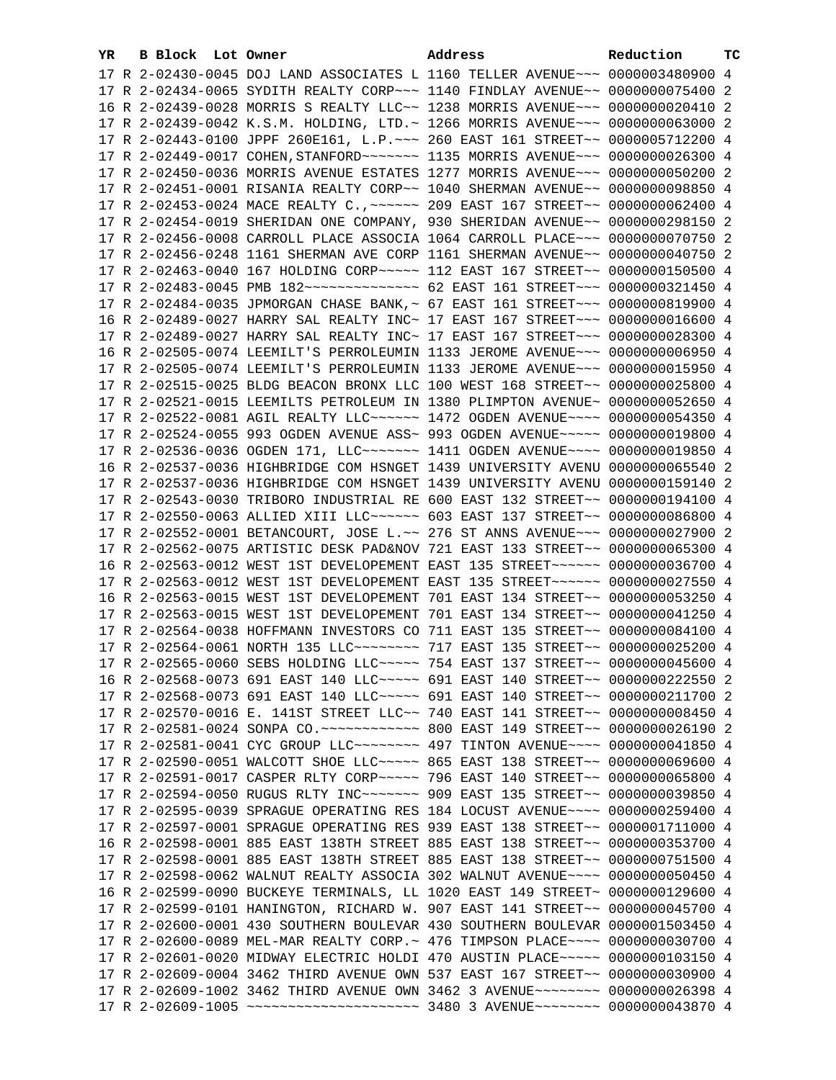| YR. | B Block Lot Owner | Address                                                                         | Reduction | ТC |
|-----|-------------------|---------------------------------------------------------------------------------|-----------|----|
|     |                   | 17 R 2-02430-0045 DOJ LAND ASSOCIATES L 1160 TELLER AVENUE~~~ 0000003480900 4   |           |    |
|     |                   | 17 R 2-02434-0065 SYDITH REALTY CORP~~~ 1140 FINDLAY AVENUE~~ 0000000075400 2   |           |    |
|     |                   | 16 R 2-02439-0028 MORRIS S REALTY LLC~~ 1238 MORRIS AVENUE~~~ 0000000020410 2   |           |    |
|     |                   | 17 R 2-02439-0042 K.S.M. HOLDING, LTD.~ 1266 MORRIS AVENUE~~~ 0000000063000 2   |           |    |
|     |                   | 17 R 2-02443-0100 JPPF 260E161, L.P. ~~~ 260 EAST 161 STREET~~ 0000005712200 4  |           |    |
|     |                   |                                                                                 |           |    |
|     |                   | 17 R 2-02450-0036 MORRIS AVENUE ESTATES 1277 MORRIS AVENUE~~~ 0000000050200 2   |           |    |
|     |                   | 17 R 2-02451-0001 RISANIA REALTY CORP~~ 1040 SHERMAN AVENUE~~ 0000000098850 4   |           |    |
|     |                   | 17 R 2-02453-0024 MACE REALTY C., ~~~~~~ 209 EAST 167 STREET~~ 0000000062400 4  |           |    |
|     |                   | 17 R 2-02454-0019 SHERIDAN ONE COMPANY, 930 SHERIDAN AVENUE~~ 0000000298150 2   |           |    |
|     |                   |                                                                                 |           |    |
|     |                   | 17 R 2-02456-0008 CARROLL PLACE ASSOCIA 1064 CARROLL PLACE~~~ 0000000070750 2   |           |    |
|     |                   | 17 R 2-02456-0248 1161 SHERMAN AVE CORP 1161 SHERMAN AVENUE~~ 0000000040750 2   |           |    |
|     |                   | 17 R 2-02463-0040 167 HOLDING CORP~~~~~ 112 EAST 167 STREET~~ 0000000150500 4   |           |    |
|     |                   | 17 R 2-02483-0045 PMB 182 -------------- 62 EAST 161 STREET -- 0000000321450 4  |           |    |
|     |                   | 17 R 2-02484-0035 JPMORGAN CHASE BANK, ~ 67 EAST 161 STREET~~~ 0000000819900 4  |           |    |
|     |                   | 16 R 2-02489-0027 HARRY SAL REALTY INC~ 17 EAST 167 STREET~~~ 0000000016600 4   |           |    |
|     |                   | 17 R 2-02489-0027 HARRY SAL REALTY INC~ 17 EAST 167 STREET~~~ 0000000028300 4   |           |    |
|     |                   | 16 R 2-02505-0074 LEEMILT'S PERROLEUMIN 1133 JEROME AVENUE~~~ 00000000006950 4  |           |    |
|     |                   | 17 R 2-02505-0074 LEEMILT'S PERROLEUMIN 1133 JEROME AVENUE~~~ 0000000015950 4   |           |    |
|     |                   | 17 R 2-02515-0025 BLDG BEACON BRONX LLC 100 WEST 168 STREET~~ 0000000025800 4   |           |    |
|     |                   | 17 R 2-02521-0015 LEEMILTS PETROLEUM IN 1380 PLIMPTON AVENUE~ 0000000052650 4   |           |    |
|     |                   | 17 R 2-02522-0081 AGIL REALTY LLC ----- 1472 OGDEN AVENUE --- 0000000054350 4   |           |    |
|     |                   | 17 R 2-02524-0055 993 OGDEN AVENUE ASS~ 993 OGDEN AVENUE~~~~~ 0000000019800 4   |           |    |
|     |                   | 17 R 2-02536-0036 OGDEN 171, LLC~~~~~~~~ 1411 OGDEN AVENUE~~~~ 0000000019850 4  |           |    |
|     |                   | 16 R 2-02537-0036 HIGHBRIDGE COM HSNGET 1439 UNIVERSITY AVENU 0000000065540 2   |           |    |
|     |                   | 17 R 2-02537-0036 HIGHBRIDGE COM HSNGET 1439 UNIVERSITY AVENU 0000000159140 2   |           |    |
|     |                   | 17 R 2-02543-0030 TRIBORO INDUSTRIAL RE 600 EAST 132 STREET~~ 0000000194100 4   |           |    |
|     |                   | 17 R 2-02550-0063 ALLIED XIII LLC ----- 603 EAST 137 STREET -- 0000000086800 4  |           |    |
|     |                   | 17 R 2-02552-0001 BETANCOURT, JOSE L.~~ 276 ST ANNS AVENUE~~~ 0000000027900 2   |           |    |
|     |                   | 17 R 2-02562-0075 ARTISTIC DESK PAD&NOV 721 EAST 133 STREET~~ 0000000065300 4   |           |    |
|     |                   | 16 R 2-02563-0012 WEST 1ST DEVELOPEMENT EAST 135 STREET~~~~~~ 0000000036700 4   |           |    |
|     |                   | 17 R 2-02563-0012 WEST 1ST DEVELOPEMENT EAST 135 STREET~~~~~~ 0000000027550 4   |           |    |
|     |                   | 16 R 2-02563-0015 WEST 1ST DEVELOPEMENT 701 EAST 134 STREET~~ 0000000053250 4   |           |    |
|     |                   | 17 R 2-02563-0015 WEST 1ST DEVELOPEMENT 701 EAST 134 STREET~~ 0000000041250 4   |           |    |
|     |                   | 17 R 2-02564-0038 HOFFMANN INVESTORS CO 711 EAST 135 STREET~~ 0000000084100 4   |           |    |
|     |                   | 17 R 2-02564-0061 NORTH 135 LLC ------- 717 EAST 135 STREET -~ 0000000025200 4  |           |    |
|     |                   | 17 R 2-02565-0060 SEBS HOLDING LLC --- 754 EAST 137 STREET -~ 0000000045600 4   |           |    |
|     |                   | 16 R 2-02568-0073 691 EAST 140 LLC ---- 691 EAST 140 STREET -- 0000000222550 2  |           |    |
|     |                   | 17 R 2-02568-0073 691 EAST 140 LLC ---- 691 EAST 140 STREET -- 0000000211700 2  |           |    |
|     |                   | 17 R 2-02570-0016 E. 141ST STREET LLC~~ 740 EAST 141 STREET~~ 0000000008450 4   |           |    |
|     |                   |                                                                                 |           |    |
|     |                   | 17 R 2-02581-0041 CYC GROUP LLC -------- 497 TINTON AVENUE --- 0000000041850 4  |           |    |
|     |                   | 17 R 2-02590-0051 WALCOTT SHOE LLC ---- 865 EAST 138 STREET -- 0000000069600 4  |           |    |
|     |                   | 17 R 2-02591-0017 CASPER RLTY CORP~~~~~ 796 EAST 140 STREET~~ 0000000065800 4   |           |    |
|     |                   | 17 R 2-02594-0050 RUGUS RLTY INC~~~~~~~~ 909 EAST 135 STREET~~ 0000000039850 4  |           |    |
|     |                   | 17 R 2-02595-0039 SPRAGUE OPERATING RES 184 LOCUST AVENUE~~~~ 0000000259400 4   |           |    |
|     |                   | 17 R 2-02597-0001 SPRAGUE OPERATING RES 939 EAST 138 STREET~~ 0000001711000 4   |           |    |
|     |                   | 16 R 2-02598-0001 885 EAST 138TH STREET 885 EAST 138 STREET~~ 0000000353700 4   |           |    |
|     |                   | 17 R 2-02598-0001 885 EAST 138TH STREET 885 EAST 138 STREET~~ 0000000751500 4   |           |    |
|     |                   | 17 R 2-02598-0062 WALNUT REALTY ASSOCIA 302 WALNUT AVENUE~~~~ 0000000050450 4   |           |    |
|     |                   | 16 R 2-02599-0090 BUCKEYE TERMINALS, LL 1020 EAST 149 STREET~ 0000000129600 4   |           |    |
|     |                   | 17 R 2-02599-0101 HANINGTON, RICHARD W. 907 EAST 141 STREET~~ 0000000045700 4   |           |    |
|     |                   | 17 R 2-02600-0001 430 SOUTHERN BOULEVAR 430 SOUTHERN BOULEVAR 0000001503450 4   |           |    |
|     |                   | 17 R 2-02600-0089 MEL-MAR REALTY CORP. ~ 476 TIMPSON PLACE ~~~~ 0000000030700 4 |           |    |
|     |                   | 17 R 2-02601-0020 MIDWAY ELECTRIC HOLDI 470 AUSTIN PLACE~~~~~ 0000000103150 4   |           |    |
|     |                   | 17 R 2-02609-0004 3462 THIRD AVENUE OWN 537 EAST 167 STREET~~ 0000000030900 4   |           |    |
|     |                   | 17 R 2-02609-1002 3462 THIRD AVENUE OWN 3462 3 AVENUE~~~~~~~~ 0000000026398 4   |           |    |
|     |                   | 17 R 2-02609-1005 ~~~~~~~~~~~~~~~~~~~~~ 3480 3 AVENUE~~~~~~~~ 0000000043870 4   |           |    |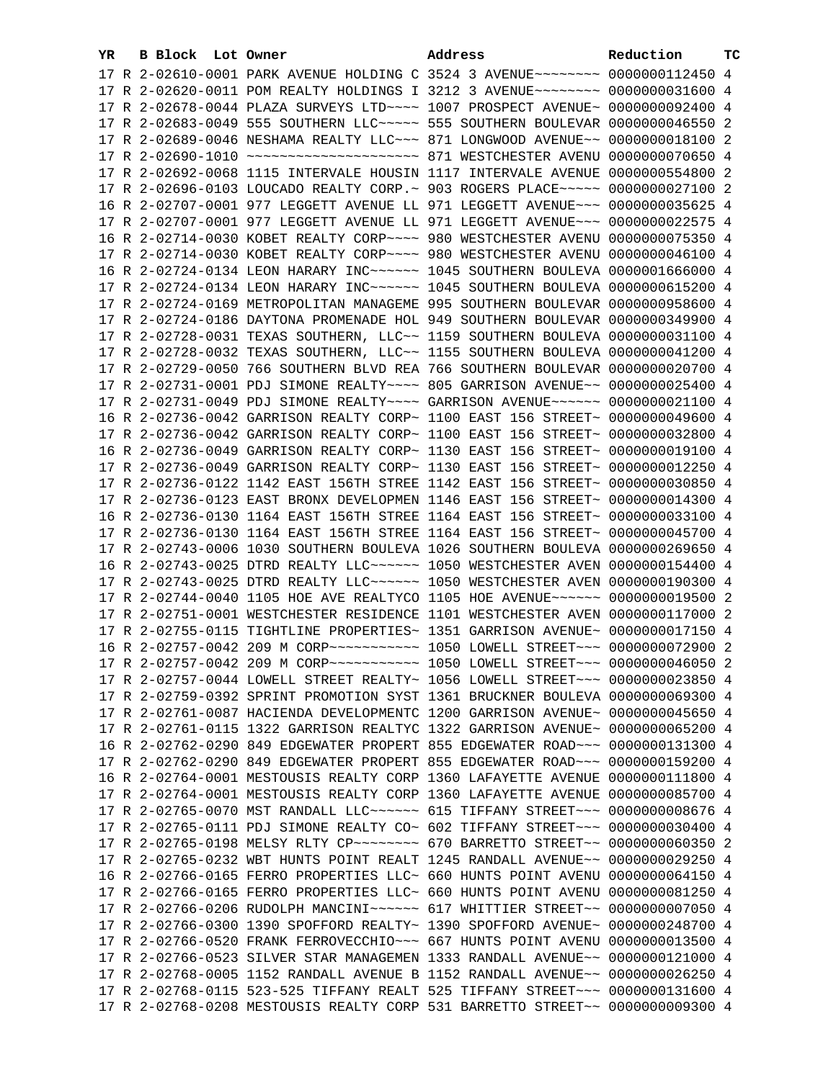| YR. | B Block Lot Owner |                                                                                 | Address | Reduction       | тc |
|-----|-------------------|---------------------------------------------------------------------------------|---------|-----------------|----|
|     |                   | 17 R 2-02610-0001 PARK AVENUE HOLDING C 3524 3 AVENUE~~~~~~~~ 0000000112450 4   |         |                 |    |
|     |                   | 17 R 2-02620-0011 POM REALTY HOLDINGS I 3212 3 AVENUE~~~~~~~~ 0000000031600 4   |         |                 |    |
|     |                   | 17 R 2-02678-0044 PLAZA SURVEYS LTD ~~~~ 1007 PROSPECT AVENUE~ 0000000092400 4  |         |                 |    |
|     |                   | 17 R 2-02683-0049 555 SOUTHERN LLC ~~~~~ 555 SOUTHERN BOULEVAR 0000000046550 2  |         |                 |    |
|     |                   | 17 R 2-02689-0046 NESHAMA REALTY LLC~~~ 871 LONGWOOD AVENUE~~ 0000000018100 2   |         |                 |    |
|     |                   |                                                                                 |         | 0000000070650 4 |    |
|     |                   | 17 R 2-02692-0068 1115 INTERVALE HOUSIN 1117 INTERVALE AVENUE 0000000554800 2   |         |                 |    |
|     |                   | 17 R 2-02696-0103 LOUCADO REALTY CORP.~ 903 ROGERS PLACE~~~~~ 0000000027100 2   |         |                 |    |
|     |                   | 16 R 2-02707-0001 977 LEGGETT AVENUE LL 971 LEGGETT AVENUE~~~ 0000000035625 4   |         |                 |    |
|     |                   | 17 R 2-02707-0001 977 LEGGETT AVENUE LL 971 LEGGETT AVENUE~~~ 0000000022575 4   |         |                 |    |
|     |                   |                                                                                 |         |                 |    |
|     |                   | 16 R 2-02714-0030 KOBET REALTY CORP~~~~ 980 WESTCHESTER AVENU 0000000075350 4   |         |                 |    |
|     |                   | 17 R 2-02714-0030 KOBET REALTY CORP~~~~ 980 WESTCHESTER AVENU 0000000046100 4   |         |                 |    |
|     |                   | 16 R 2-02724-0134 LEON HARARY INC ----- 1045 SOUTHERN BOULEVA 0000001666000 4   |         |                 |    |
|     |                   | 17 R 2-02724-0134 LEON HARARY INC ----- 1045 SOUTHERN BOULEVA 0000000615200 4   |         |                 |    |
|     |                   | 17 R 2-02724-0169 METROPOLITAN MANAGEME 995 SOUTHERN BOULEVAR 0000000958600 4   |         |                 |    |
|     |                   | 17 R 2-02724-0186 DAYTONA PROMENADE HOL 949 SOUTHERN BOULEVAR 0000000349900 4   |         |                 |    |
|     |                   | 17 R 2-02728-0031 TEXAS SOUTHERN, LLC~~ 1159 SOUTHERN BOULEVA 0000000031100 4   |         |                 |    |
|     |                   | 17 R 2-02728-0032 TEXAS SOUTHERN, LLC~~ 1155 SOUTHERN BOULEVA 0000000041200 4   |         |                 |    |
|     |                   | 17 R 2-02729-0050 766 SOUTHERN BLVD REA 766 SOUTHERN BOULEVAR 0000000020700 4   |         |                 |    |
|     |                   | 17 R 2-02731-0001 PDJ SIMONE REALTY~~~~ 805 GARRISON AVENUE~~ 0000000025400 4   |         |                 |    |
|     |                   | 17 R 2-02731-0049 PDJ SIMONE REALTY~~~~ GARRISON AVENUE~~~~~~ 0000000021100 4   |         |                 |    |
|     |                   | 16 R 2-02736-0042 GARRISON REALTY CORP~ 1100 EAST 156 STREET~ 0000000049600 4   |         |                 |    |
|     |                   | 17 R 2-02736-0042 GARRISON REALTY CORP~ 1100 EAST 156 STREET~ 0000000032800 4   |         |                 |    |
|     |                   | 16 R 2-02736-0049 GARRISON REALTY CORP~ 1130 EAST 156 STREET~ 0000000019100 4   |         |                 |    |
|     |                   | 17 R 2-02736-0049 GARRISON REALTY CORP~ 1130 EAST 156 STREET~ 0000000012250 4   |         |                 |    |
|     |                   | 17 R 2-02736-0122 1142 EAST 156TH STREE 1142 EAST 156 STREET~ 0000000030850 4   |         |                 |    |
|     |                   | 17 R 2-02736-0123 EAST BRONX DEVELOPMEN 1146 EAST 156 STREET~ 0000000014300 4   |         |                 |    |
|     |                   | 16 R 2-02736-0130 1164 EAST 156TH STREE 1164 EAST 156 STREET~ 0000000033100 4   |         |                 |    |
|     |                   | 17 R 2-02736-0130 1164 EAST 156TH STREE 1164 EAST 156 STREET~ 0000000045700 4   |         |                 |    |
|     |                   | 17 R 2-02743-0006 1030 SOUTHERN BOULEVA 1026 SOUTHERN BOULEVA 0000000269650 4   |         |                 |    |
|     |                   | 16 R 2-02743-0025 DTRD REALTY LLC ----- 1050 WESTCHESTER AVEN 0000000154400 4   |         |                 |    |
|     |                   | 17 R 2-02743-0025 DTRD REALTY LLC ----- 1050 WESTCHESTER AVEN 0000000190300 4   |         |                 |    |
|     |                   | 17 R 2-02744-0040 1105 HOE AVE REALTYCO 1105 HOE AVENUE~~~~~~ 0000000019500 2   |         |                 |    |
|     |                   | 17 R 2-02751-0001 WESTCHESTER RESIDENCE 1101 WESTCHESTER AVEN 0000000117000 2   |         |                 |    |
|     |                   | 17 R 2-02755-0115 TIGHTLINE PROPERTIES~ 1351 GARRISON AVENUE~ 0000000017150 4   |         |                 |    |
|     |                   |                                                                                 |         |                 |    |
|     |                   | 17 R 2-02757-0042 209 M CORP ----------- 1050 LOWELL STREET --- 0000000046050 2 |         |                 |    |
|     |                   | 17 R 2-02757-0044 LOWELL STREET REALTY~ 1056 LOWELL STREET~~~ 0000000023850 4   |         |                 |    |
|     |                   | 17 R 2-02759-0392 SPRINT PROMOTION SYST 1361 BRUCKNER BOULEVA 0000000069300 4   |         |                 |    |
|     |                   | 17 R 2-02761-0087 HACIENDA DEVELOPMENTC 1200 GARRISON AVENUE~ 0000000045650 4   |         |                 |    |
|     |                   | 17 R 2-02761-0115 1322 GARRISON REALTYC 1322 GARRISON AVENUE~ 0000000065200 4   |         |                 |    |
|     |                   | 16 R 2-02762-0290 849 EDGEWATER PROPERT 855 EDGEWATER ROAD~~~ 0000000131300 4   |         |                 |    |
|     |                   | 17 R 2-02762-0290 849 EDGEWATER PROPERT 855 EDGEWATER ROAD~~~ 0000000159200 4   |         |                 |    |
|     |                   | 16 R 2-02764-0001 MESTOUSIS REALTY CORP 1360 LAFAYETTE AVENUE 0000000111800 4   |         |                 |    |
|     |                   | 17 R 2-02764-0001 MESTOUSIS REALTY CORP 1360 LAFAYETTE AVENUE 0000000085700 4   |         |                 |    |
|     |                   | 17 R 2-02765-0070 MST RANDALL LLC ----- 615 TIFFANY STREET -- 00000000008676 4  |         |                 |    |
|     |                   | 17 R 2-02765-0111 PDJ SIMONE REALTY CO~ 602 TIFFANY STREET~~~ 0000000030400 4   |         |                 |    |
|     |                   | 17 R 2-02765-0198 MELSY RLTY CP~~~~~~~~~ 670 BARRETTO STREET~~ 0000000060350 2  |         |                 |    |
|     |                   | 17 R 2-02765-0232 WBT HUNTS POINT REALT 1245 RANDALL AVENUE~~ 0000000029250 4   |         |                 |    |
|     |                   | 16 R 2-02766-0165 FERRO PROPERTIES LLC~ 660 HUNTS POINT AVENU 0000000064150 4   |         |                 |    |
|     |                   | 17 R 2-02766-0165 FERRO PROPERTIES LLC~ 660 HUNTS POINT AVENU 0000000081250 4   |         |                 |    |
|     |                   | 17 R 2-02766-0206 RUDOLPH MANCINI~~~~~~ 617 WHITTIER STREET~~ 00000000007050 4  |         |                 |    |
|     |                   | 17 R 2-02766-0300 1390 SPOFFORD REALTY~ 1390 SPOFFORD AVENUE~ 0000000248700 4   |         |                 |    |
|     |                   | 17 R 2-02766-0520 FRANK FERROVECCHIO~~~ 667 HUNTS POINT AVENU 0000000013500 4   |         |                 |    |
|     |                   | 17 R 2-02766-0523 SILVER STAR MANAGEMEN 1333 RANDALL AVENUE~~ 0000000121000 4   |         |                 |    |
|     |                   | 17 R 2-02768-0005 1152 RANDALL AVENUE B 1152 RANDALL AVENUE~~ 0000000026250 4   |         |                 |    |
|     |                   | 17 R 2-02768-0115 523-525 TIFFANY REALT 525 TIFFANY STREET~~~ 0000000131600 4   |         |                 |    |
|     |                   | 17 R 2-02768-0208 MESTOUSIS REALTY CORP 531 BARRETTO STREET~~ 0000000009300 4   |         |                 |    |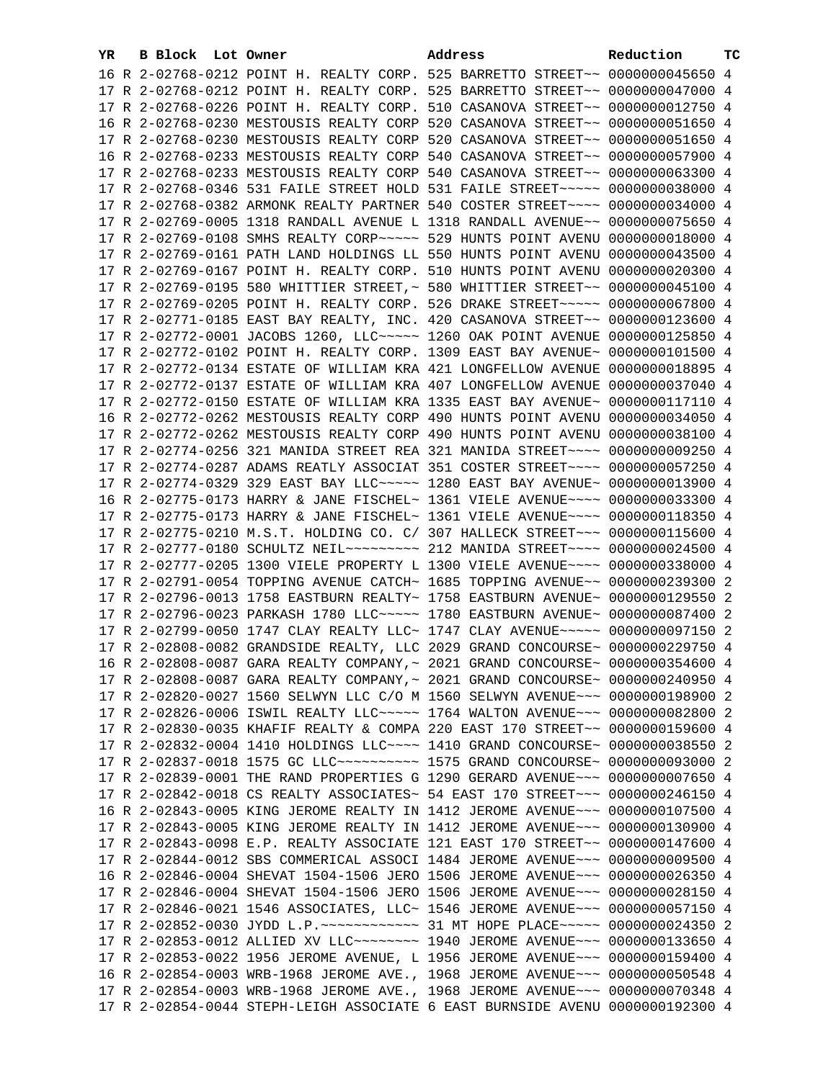| 16 R 2-02768-0212 POINT H. REALTY CORP. 525 BARRETTO STREET~~ 0000000045650 4<br>17 R 2-02768-0212 POINT H. REALTY CORP. 525 BARRETTO STREET~~ 0000000047000 4<br>17 R 2-02768-0226 POINT H. REALTY CORP. 510 CASANOVA STREET~~ 0000000012750 4<br>16 R 2-02768-0230 MESTOUSIS REALTY CORP 520 CASANOVA STREET~~ 0000000051650 4<br>17 R 2-02768-0230 MESTOUSIS REALTY CORP 520 CASANOVA STREET~~ 0000000051650 4<br>16 R 2-02768-0233 MESTOUSIS REALTY CORP 540 CASANOVA STREET~~ 0000000057900 4<br>17 R 2-02768-0233 MESTOUSIS REALTY CORP 540 CASANOVA STREET~~ 0000000063300 4<br>17 R 2-02768-0346 531 FAILE STREET HOLD 531 FAILE STREET~~~~~ 0000000038000 4<br>17 R 2-02768-0382 ARMONK REALTY PARTNER 540 COSTER STREET~~~~ 0000000034000 4<br>17 R 2-02769-0005 1318 RANDALL AVENUE L 1318 RANDALL AVENUE~~ 0000000075650 4<br>17 R 2-02769-0108 SMHS REALTY CORP~~~~~ 529 HUNTS POINT AVENU 0000000018000 4<br>17 R 2-02769-0161 PATH LAND HOLDINGS LL 550 HUNTS POINT AVENU 0000000043500 4<br>17 R 2-02769-0167 POINT H. REALTY CORP. 510 HUNTS POINT AVENU 0000000020300 4<br>17 R 2-02769-0195 580 WHITTIER STREET, ~ 580 WHITTIER STREET~~ 0000000045100 4<br>17 R 2-02769-0205 POINT H. REALTY CORP. 526 DRAKE STREET~~~~~ 0000000067800 4<br>17 R 2-02771-0185 EAST BAY REALTY, INC. 420 CASANOVA STREET~~ 0000000123600 4<br>17 R 2-02772-0001 JACOBS 1260, LLC ---- 1260 OAK POINT AVENUE 0000000125850 4<br>17 R 2-02772-0102 POINT H. REALTY CORP. 1309 EAST BAY AVENUE~ 0000000101500 4<br>17 R 2-02772-0134 ESTATE OF WILLIAM KRA 421 LONGFELLOW AVENUE 0000000018895 4<br>17 R 2-02772-0137 ESTATE OF WILLIAM KRA 407 LONGFELLOW AVENUE 0000000037040 4<br>17 R 2-02772-0150 ESTATE OF WILLIAM KRA 1335 EAST BAY AVENUE~ 0000000117110 4<br>16 R 2-02772-0262 MESTOUSIS REALTY CORP 490 HUNTS POINT AVENU 0000000034050 4<br>17 R 2-02772-0262 MESTOUSIS REALTY CORP 490 HUNTS POINT AVENU 0000000038100 4<br>17 R 2-02774-0256 321 MANIDA STREET REA 321 MANIDA STREET~~~~ 0000000009250 4<br>17 R 2-02774-0287 ADAMS REATLY ASSOCIAT 351 COSTER STREET~~~~ 0000000057250 4<br>17 R 2-02774-0329 329 EAST BAY LLC ---- 1280 EAST BAY AVENUE ~ 0000000013900 4<br>16 R 2-02775-0173 HARRY & JANE FISCHEL~ 1361 VIELE AVENUE~~~~ 0000000033300 4<br>17 R 2-02775-0173 HARRY & JANE FISCHEL~ 1361 VIELE AVENUE~~~~ 0000000118350 4<br>17 R 2-02775-0210 M.S.T. HOLDING CO. C/ 307 HALLECK STREET~~~ 0000000115600 4<br>17 R 2-02777-0180 SCHULTZ NEIL~~~~~~~~~ 212 MANIDA STREET~~~~ 0000000024500 4<br>17 R 2-02777-0205 1300 VIELE PROPERTY L 1300 VIELE AVENUE~~~~ 0000000338000 4<br>17 R 2-02791-0054 TOPPING AVENUE CATCH~ 1685 TOPPING AVENUE~~ 0000000239300 2<br>17 R 2-02796-0013 1758 EASTBURN REALTY~ 1758 EASTBURN AVENUE~ 0000000129550 2<br>17 R 2-02796-0023 PARKASH 1780 LLC ~~~~~ 1780 EASTBURN AVENUE~ 0000000087400 2<br>17 R 2-02799-0050 1747 CLAY REALTY LLC~ 1747 CLAY AVENUE~~~~~ 0000000097150 2<br>17 R 2-02808-0082 GRANDSIDE REALTY, LLC 2029 GRAND CONCOURSE~ 0000000229750 4<br>16 R 2-02808-0087 GARA REALTY COMPANY, ~ 2021 GRAND CONCOURSE~ 0000000354600 4<br>17 R 2-02808-0087 GARA REALTY COMPANY,~ 2021 GRAND CONCOURSE~ 0000000240950 4<br>17 R 2-02820-0027 1560 SELWYN LLC C/O M 1560 SELWYN AVENUE~~~ 0000000198900 2<br>17 R 2-02826-0006 ISWIL REALTY LLC ---- 1764 WALTON AVENUE -- 0000000082800 2<br>17 R 2-02830-0035 KHAFIF REALTY & COMPA 220 EAST 170 STREET~~ 0000000159600 4<br>17 R 2-02832-0004 1410 HOLDINGS LLC --- 1410 GRAND CONCOURSE ~ 0000000038550 2<br>17 R 2-02837-0018 1575 GC LLC ---------- 1575 GRAND CONCOURSE ~ 0000000093000 2<br>17 R 2-02839-0001 THE RAND PROPERTIES G 1290 GERARD AVENUE~~~ 0000000007650 4<br>17 R 2-02842-0018 CS REALTY ASSOCIATES~ 54 EAST 170 STREET~~~ 0000000246150 4<br>16 R 2-02843-0005 KING JEROME REALTY IN 1412 JEROME AVENUE~~~ 0000000107500 4<br>17 R 2-02843-0005 KING JEROME REALTY IN 1412 JEROME AVENUE~~~ 0000000130900 4<br>17 R 2-02843-0098 E.P. REALTY ASSOCIATE 121 EAST 170 STREET~~ 0000000147600 4<br>17 R 2-02844-0012 SBS COMMERICAL ASSOCI 1484 JEROME AVENUE~~~ 0000000009500 4<br>16 R 2-02846-0004 SHEVAT 1504-1506 JERO 1506 JEROME AVENUE~~~ 0000000026350 4<br>17 R 2-02846-0004 SHEVAT 1504-1506 JERO 1506 JEROME AVENUE~~~ 0000000028150 4<br>17 R 2-02846-0021 1546 ASSOCIATES, LLC~ 1546 JEROME AVENUE~~~ 0000000057150 4<br>17 R 2-02852-0030 JYDD L.P. ~~~~~~~~~~~~~~~~~~~~~~ HOPE PLACE~~~~~~~~~~~~ 0000000024350 2<br>17 R 2-02853-0012 ALLIED XV LLC -------- 1940 JEROME AVENUE -- 0000000133650 4<br>17 R 2-02853-0022 1956 JEROME AVENUE, L 1956 JEROME AVENUE~~~ 0000000159400 4<br>16 R 2-02854-0003 WRB-1968 JEROME AVE., 1968 JEROME AVENUE~~~ 0000000050548 4<br>17 R 2-02854-0003 WRB-1968 JEROME AVE., 1968 JEROME AVENUE~~~ 0000000070348 4<br>17 R 2-02854-0044 STEPH-LEIGH ASSOCIATE 6 EAST BURNSIDE AVENU 0000000192300 4 | YR. | B Block Lot Owner | Address | Reduction | тc |
|------------------------------------------------------------------------------------------------------------------------------------------------------------------------------------------------------------------------------------------------------------------------------------------------------------------------------------------------------------------------------------------------------------------------------------------------------------------------------------------------------------------------------------------------------------------------------------------------------------------------------------------------------------------------------------------------------------------------------------------------------------------------------------------------------------------------------------------------------------------------------------------------------------------------------------------------------------------------------------------------------------------------------------------------------------------------------------------------------------------------------------------------------------------------------------------------------------------------------------------------------------------------------------------------------------------------------------------------------------------------------------------------------------------------------------------------------------------------------------------------------------------------------------------------------------------------------------------------------------------------------------------------------------------------------------------------------------------------------------------------------------------------------------------------------------------------------------------------------------------------------------------------------------------------------------------------------------------------------------------------------------------------------------------------------------------------------------------------------------------------------------------------------------------------------------------------------------------------------------------------------------------------------------------------------------------------------------------------------------------------------------------------------------------------------------------------------------------------------------------------------------------------------------------------------------------------------------------------------------------------------------------------------------------------------------------------------------------------------------------------------------------------------------------------------------------------------------------------------------------------------------------------------------------------------------------------------------------------------------------------------------------------------------------------------------------------------------------------------------------------------------------------------------------------------------------------------------------------------------------------------------------------------------------------------------------------------------------------------------------------------------------------------------------------------------------------------------------------------------------------------------------------------------------------------------------------------------------------------------------------------------------------------------------------------------------------------------------------------------------------------------------------------------------------------------------------------------------------------------------------------------------------------------------------------------------------------------------------------------------------------------------------------------------------------------------------------------------------------------------------------------------------------------------------------------------------------------------------------------------------------------------------------------------------------------------------------------------------------------------------------------------------------------------------------------------------------------------------------------------------------------------------------------------------------------------------------------------------------------------------------------------------------------------------------------------------------------------------------------------------------------------------------------------------------------------------------------------------------------------------------------------------------------|-----|-------------------|---------|-----------|----|
|                                                                                                                                                                                                                                                                                                                                                                                                                                                                                                                                                                                                                                                                                                                                                                                                                                                                                                                                                                                                                                                                                                                                                                                                                                                                                                                                                                                                                                                                                                                                                                                                                                                                                                                                                                                                                                                                                                                                                                                                                                                                                                                                                                                                                                                                                                                                                                                                                                                                                                                                                                                                                                                                                                                                                                                                                                                                                                                                                                                                                                                                                                                                                                                                                                                                                                                                                                                                                                                                                                                                                                                                                                                                                                                                                                                                                                                                                                                                                                                                                                                                                                                                                                                                                                                                                                                                                                                                                                                                                                                                                                                                                                                                                                                                                                                                                                                                                                            |     |                   |         |           |    |
|                                                                                                                                                                                                                                                                                                                                                                                                                                                                                                                                                                                                                                                                                                                                                                                                                                                                                                                                                                                                                                                                                                                                                                                                                                                                                                                                                                                                                                                                                                                                                                                                                                                                                                                                                                                                                                                                                                                                                                                                                                                                                                                                                                                                                                                                                                                                                                                                                                                                                                                                                                                                                                                                                                                                                                                                                                                                                                                                                                                                                                                                                                                                                                                                                                                                                                                                                                                                                                                                                                                                                                                                                                                                                                                                                                                                                                                                                                                                                                                                                                                                                                                                                                                                                                                                                                                                                                                                                                                                                                                                                                                                                                                                                                                                                                                                                                                                                                            |     |                   |         |           |    |
|                                                                                                                                                                                                                                                                                                                                                                                                                                                                                                                                                                                                                                                                                                                                                                                                                                                                                                                                                                                                                                                                                                                                                                                                                                                                                                                                                                                                                                                                                                                                                                                                                                                                                                                                                                                                                                                                                                                                                                                                                                                                                                                                                                                                                                                                                                                                                                                                                                                                                                                                                                                                                                                                                                                                                                                                                                                                                                                                                                                                                                                                                                                                                                                                                                                                                                                                                                                                                                                                                                                                                                                                                                                                                                                                                                                                                                                                                                                                                                                                                                                                                                                                                                                                                                                                                                                                                                                                                                                                                                                                                                                                                                                                                                                                                                                                                                                                                                            |     |                   |         |           |    |
|                                                                                                                                                                                                                                                                                                                                                                                                                                                                                                                                                                                                                                                                                                                                                                                                                                                                                                                                                                                                                                                                                                                                                                                                                                                                                                                                                                                                                                                                                                                                                                                                                                                                                                                                                                                                                                                                                                                                                                                                                                                                                                                                                                                                                                                                                                                                                                                                                                                                                                                                                                                                                                                                                                                                                                                                                                                                                                                                                                                                                                                                                                                                                                                                                                                                                                                                                                                                                                                                                                                                                                                                                                                                                                                                                                                                                                                                                                                                                                                                                                                                                                                                                                                                                                                                                                                                                                                                                                                                                                                                                                                                                                                                                                                                                                                                                                                                                                            |     |                   |         |           |    |
|                                                                                                                                                                                                                                                                                                                                                                                                                                                                                                                                                                                                                                                                                                                                                                                                                                                                                                                                                                                                                                                                                                                                                                                                                                                                                                                                                                                                                                                                                                                                                                                                                                                                                                                                                                                                                                                                                                                                                                                                                                                                                                                                                                                                                                                                                                                                                                                                                                                                                                                                                                                                                                                                                                                                                                                                                                                                                                                                                                                                                                                                                                                                                                                                                                                                                                                                                                                                                                                                                                                                                                                                                                                                                                                                                                                                                                                                                                                                                                                                                                                                                                                                                                                                                                                                                                                                                                                                                                                                                                                                                                                                                                                                                                                                                                                                                                                                                                            |     |                   |         |           |    |
|                                                                                                                                                                                                                                                                                                                                                                                                                                                                                                                                                                                                                                                                                                                                                                                                                                                                                                                                                                                                                                                                                                                                                                                                                                                                                                                                                                                                                                                                                                                                                                                                                                                                                                                                                                                                                                                                                                                                                                                                                                                                                                                                                                                                                                                                                                                                                                                                                                                                                                                                                                                                                                                                                                                                                                                                                                                                                                                                                                                                                                                                                                                                                                                                                                                                                                                                                                                                                                                                                                                                                                                                                                                                                                                                                                                                                                                                                                                                                                                                                                                                                                                                                                                                                                                                                                                                                                                                                                                                                                                                                                                                                                                                                                                                                                                                                                                                                                            |     |                   |         |           |    |
|                                                                                                                                                                                                                                                                                                                                                                                                                                                                                                                                                                                                                                                                                                                                                                                                                                                                                                                                                                                                                                                                                                                                                                                                                                                                                                                                                                                                                                                                                                                                                                                                                                                                                                                                                                                                                                                                                                                                                                                                                                                                                                                                                                                                                                                                                                                                                                                                                                                                                                                                                                                                                                                                                                                                                                                                                                                                                                                                                                                                                                                                                                                                                                                                                                                                                                                                                                                                                                                                                                                                                                                                                                                                                                                                                                                                                                                                                                                                                                                                                                                                                                                                                                                                                                                                                                                                                                                                                                                                                                                                                                                                                                                                                                                                                                                                                                                                                                            |     |                   |         |           |    |
|                                                                                                                                                                                                                                                                                                                                                                                                                                                                                                                                                                                                                                                                                                                                                                                                                                                                                                                                                                                                                                                                                                                                                                                                                                                                                                                                                                                                                                                                                                                                                                                                                                                                                                                                                                                                                                                                                                                                                                                                                                                                                                                                                                                                                                                                                                                                                                                                                                                                                                                                                                                                                                                                                                                                                                                                                                                                                                                                                                                                                                                                                                                                                                                                                                                                                                                                                                                                                                                                                                                                                                                                                                                                                                                                                                                                                                                                                                                                                                                                                                                                                                                                                                                                                                                                                                                                                                                                                                                                                                                                                                                                                                                                                                                                                                                                                                                                                                            |     |                   |         |           |    |
|                                                                                                                                                                                                                                                                                                                                                                                                                                                                                                                                                                                                                                                                                                                                                                                                                                                                                                                                                                                                                                                                                                                                                                                                                                                                                                                                                                                                                                                                                                                                                                                                                                                                                                                                                                                                                                                                                                                                                                                                                                                                                                                                                                                                                                                                                                                                                                                                                                                                                                                                                                                                                                                                                                                                                                                                                                                                                                                                                                                                                                                                                                                                                                                                                                                                                                                                                                                                                                                                                                                                                                                                                                                                                                                                                                                                                                                                                                                                                                                                                                                                                                                                                                                                                                                                                                                                                                                                                                                                                                                                                                                                                                                                                                                                                                                                                                                                                                            |     |                   |         |           |    |
|                                                                                                                                                                                                                                                                                                                                                                                                                                                                                                                                                                                                                                                                                                                                                                                                                                                                                                                                                                                                                                                                                                                                                                                                                                                                                                                                                                                                                                                                                                                                                                                                                                                                                                                                                                                                                                                                                                                                                                                                                                                                                                                                                                                                                                                                                                                                                                                                                                                                                                                                                                                                                                                                                                                                                                                                                                                                                                                                                                                                                                                                                                                                                                                                                                                                                                                                                                                                                                                                                                                                                                                                                                                                                                                                                                                                                                                                                                                                                                                                                                                                                                                                                                                                                                                                                                                                                                                                                                                                                                                                                                                                                                                                                                                                                                                                                                                                                                            |     |                   |         |           |    |
|                                                                                                                                                                                                                                                                                                                                                                                                                                                                                                                                                                                                                                                                                                                                                                                                                                                                                                                                                                                                                                                                                                                                                                                                                                                                                                                                                                                                                                                                                                                                                                                                                                                                                                                                                                                                                                                                                                                                                                                                                                                                                                                                                                                                                                                                                                                                                                                                                                                                                                                                                                                                                                                                                                                                                                                                                                                                                                                                                                                                                                                                                                                                                                                                                                                                                                                                                                                                                                                                                                                                                                                                                                                                                                                                                                                                                                                                                                                                                                                                                                                                                                                                                                                                                                                                                                                                                                                                                                                                                                                                                                                                                                                                                                                                                                                                                                                                                                            |     |                   |         |           |    |
|                                                                                                                                                                                                                                                                                                                                                                                                                                                                                                                                                                                                                                                                                                                                                                                                                                                                                                                                                                                                                                                                                                                                                                                                                                                                                                                                                                                                                                                                                                                                                                                                                                                                                                                                                                                                                                                                                                                                                                                                                                                                                                                                                                                                                                                                                                                                                                                                                                                                                                                                                                                                                                                                                                                                                                                                                                                                                                                                                                                                                                                                                                                                                                                                                                                                                                                                                                                                                                                                                                                                                                                                                                                                                                                                                                                                                                                                                                                                                                                                                                                                                                                                                                                                                                                                                                                                                                                                                                                                                                                                                                                                                                                                                                                                                                                                                                                                                                            |     |                   |         |           |    |
|                                                                                                                                                                                                                                                                                                                                                                                                                                                                                                                                                                                                                                                                                                                                                                                                                                                                                                                                                                                                                                                                                                                                                                                                                                                                                                                                                                                                                                                                                                                                                                                                                                                                                                                                                                                                                                                                                                                                                                                                                                                                                                                                                                                                                                                                                                                                                                                                                                                                                                                                                                                                                                                                                                                                                                                                                                                                                                                                                                                                                                                                                                                                                                                                                                                                                                                                                                                                                                                                                                                                                                                                                                                                                                                                                                                                                                                                                                                                                                                                                                                                                                                                                                                                                                                                                                                                                                                                                                                                                                                                                                                                                                                                                                                                                                                                                                                                                                            |     |                   |         |           |    |
|                                                                                                                                                                                                                                                                                                                                                                                                                                                                                                                                                                                                                                                                                                                                                                                                                                                                                                                                                                                                                                                                                                                                                                                                                                                                                                                                                                                                                                                                                                                                                                                                                                                                                                                                                                                                                                                                                                                                                                                                                                                                                                                                                                                                                                                                                                                                                                                                                                                                                                                                                                                                                                                                                                                                                                                                                                                                                                                                                                                                                                                                                                                                                                                                                                                                                                                                                                                                                                                                                                                                                                                                                                                                                                                                                                                                                                                                                                                                                                                                                                                                                                                                                                                                                                                                                                                                                                                                                                                                                                                                                                                                                                                                                                                                                                                                                                                                                                            |     |                   |         |           |    |
|                                                                                                                                                                                                                                                                                                                                                                                                                                                                                                                                                                                                                                                                                                                                                                                                                                                                                                                                                                                                                                                                                                                                                                                                                                                                                                                                                                                                                                                                                                                                                                                                                                                                                                                                                                                                                                                                                                                                                                                                                                                                                                                                                                                                                                                                                                                                                                                                                                                                                                                                                                                                                                                                                                                                                                                                                                                                                                                                                                                                                                                                                                                                                                                                                                                                                                                                                                                                                                                                                                                                                                                                                                                                                                                                                                                                                                                                                                                                                                                                                                                                                                                                                                                                                                                                                                                                                                                                                                                                                                                                                                                                                                                                                                                                                                                                                                                                                                            |     |                   |         |           |    |
|                                                                                                                                                                                                                                                                                                                                                                                                                                                                                                                                                                                                                                                                                                                                                                                                                                                                                                                                                                                                                                                                                                                                                                                                                                                                                                                                                                                                                                                                                                                                                                                                                                                                                                                                                                                                                                                                                                                                                                                                                                                                                                                                                                                                                                                                                                                                                                                                                                                                                                                                                                                                                                                                                                                                                                                                                                                                                                                                                                                                                                                                                                                                                                                                                                                                                                                                                                                                                                                                                                                                                                                                                                                                                                                                                                                                                                                                                                                                                                                                                                                                                                                                                                                                                                                                                                                                                                                                                                                                                                                                                                                                                                                                                                                                                                                                                                                                                                            |     |                   |         |           |    |
|                                                                                                                                                                                                                                                                                                                                                                                                                                                                                                                                                                                                                                                                                                                                                                                                                                                                                                                                                                                                                                                                                                                                                                                                                                                                                                                                                                                                                                                                                                                                                                                                                                                                                                                                                                                                                                                                                                                                                                                                                                                                                                                                                                                                                                                                                                                                                                                                                                                                                                                                                                                                                                                                                                                                                                                                                                                                                                                                                                                                                                                                                                                                                                                                                                                                                                                                                                                                                                                                                                                                                                                                                                                                                                                                                                                                                                                                                                                                                                                                                                                                                                                                                                                                                                                                                                                                                                                                                                                                                                                                                                                                                                                                                                                                                                                                                                                                                                            |     |                   |         |           |    |
|                                                                                                                                                                                                                                                                                                                                                                                                                                                                                                                                                                                                                                                                                                                                                                                                                                                                                                                                                                                                                                                                                                                                                                                                                                                                                                                                                                                                                                                                                                                                                                                                                                                                                                                                                                                                                                                                                                                                                                                                                                                                                                                                                                                                                                                                                                                                                                                                                                                                                                                                                                                                                                                                                                                                                                                                                                                                                                                                                                                                                                                                                                                                                                                                                                                                                                                                                                                                                                                                                                                                                                                                                                                                                                                                                                                                                                                                                                                                                                                                                                                                                                                                                                                                                                                                                                                                                                                                                                                                                                                                                                                                                                                                                                                                                                                                                                                                                                            |     |                   |         |           |    |
|                                                                                                                                                                                                                                                                                                                                                                                                                                                                                                                                                                                                                                                                                                                                                                                                                                                                                                                                                                                                                                                                                                                                                                                                                                                                                                                                                                                                                                                                                                                                                                                                                                                                                                                                                                                                                                                                                                                                                                                                                                                                                                                                                                                                                                                                                                                                                                                                                                                                                                                                                                                                                                                                                                                                                                                                                                                                                                                                                                                                                                                                                                                                                                                                                                                                                                                                                                                                                                                                                                                                                                                                                                                                                                                                                                                                                                                                                                                                                                                                                                                                                                                                                                                                                                                                                                                                                                                                                                                                                                                                                                                                                                                                                                                                                                                                                                                                                                            |     |                   |         |           |    |
|                                                                                                                                                                                                                                                                                                                                                                                                                                                                                                                                                                                                                                                                                                                                                                                                                                                                                                                                                                                                                                                                                                                                                                                                                                                                                                                                                                                                                                                                                                                                                                                                                                                                                                                                                                                                                                                                                                                                                                                                                                                                                                                                                                                                                                                                                                                                                                                                                                                                                                                                                                                                                                                                                                                                                                                                                                                                                                                                                                                                                                                                                                                                                                                                                                                                                                                                                                                                                                                                                                                                                                                                                                                                                                                                                                                                                                                                                                                                                                                                                                                                                                                                                                                                                                                                                                                                                                                                                                                                                                                                                                                                                                                                                                                                                                                                                                                                                                            |     |                   |         |           |    |
|                                                                                                                                                                                                                                                                                                                                                                                                                                                                                                                                                                                                                                                                                                                                                                                                                                                                                                                                                                                                                                                                                                                                                                                                                                                                                                                                                                                                                                                                                                                                                                                                                                                                                                                                                                                                                                                                                                                                                                                                                                                                                                                                                                                                                                                                                                                                                                                                                                                                                                                                                                                                                                                                                                                                                                                                                                                                                                                                                                                                                                                                                                                                                                                                                                                                                                                                                                                                                                                                                                                                                                                                                                                                                                                                                                                                                                                                                                                                                                                                                                                                                                                                                                                                                                                                                                                                                                                                                                                                                                                                                                                                                                                                                                                                                                                                                                                                                                            |     |                   |         |           |    |
|                                                                                                                                                                                                                                                                                                                                                                                                                                                                                                                                                                                                                                                                                                                                                                                                                                                                                                                                                                                                                                                                                                                                                                                                                                                                                                                                                                                                                                                                                                                                                                                                                                                                                                                                                                                                                                                                                                                                                                                                                                                                                                                                                                                                                                                                                                                                                                                                                                                                                                                                                                                                                                                                                                                                                                                                                                                                                                                                                                                                                                                                                                                                                                                                                                                                                                                                                                                                                                                                                                                                                                                                                                                                                                                                                                                                                                                                                                                                                                                                                                                                                                                                                                                                                                                                                                                                                                                                                                                                                                                                                                                                                                                                                                                                                                                                                                                                                                            |     |                   |         |           |    |
|                                                                                                                                                                                                                                                                                                                                                                                                                                                                                                                                                                                                                                                                                                                                                                                                                                                                                                                                                                                                                                                                                                                                                                                                                                                                                                                                                                                                                                                                                                                                                                                                                                                                                                                                                                                                                                                                                                                                                                                                                                                                                                                                                                                                                                                                                                                                                                                                                                                                                                                                                                                                                                                                                                                                                                                                                                                                                                                                                                                                                                                                                                                                                                                                                                                                                                                                                                                                                                                                                                                                                                                                                                                                                                                                                                                                                                                                                                                                                                                                                                                                                                                                                                                                                                                                                                                                                                                                                                                                                                                                                                                                                                                                                                                                                                                                                                                                                                            |     |                   |         |           |    |
|                                                                                                                                                                                                                                                                                                                                                                                                                                                                                                                                                                                                                                                                                                                                                                                                                                                                                                                                                                                                                                                                                                                                                                                                                                                                                                                                                                                                                                                                                                                                                                                                                                                                                                                                                                                                                                                                                                                                                                                                                                                                                                                                                                                                                                                                                                                                                                                                                                                                                                                                                                                                                                                                                                                                                                                                                                                                                                                                                                                                                                                                                                                                                                                                                                                                                                                                                                                                                                                                                                                                                                                                                                                                                                                                                                                                                                                                                                                                                                                                                                                                                                                                                                                                                                                                                                                                                                                                                                                                                                                                                                                                                                                                                                                                                                                                                                                                                                            |     |                   |         |           |    |
|                                                                                                                                                                                                                                                                                                                                                                                                                                                                                                                                                                                                                                                                                                                                                                                                                                                                                                                                                                                                                                                                                                                                                                                                                                                                                                                                                                                                                                                                                                                                                                                                                                                                                                                                                                                                                                                                                                                                                                                                                                                                                                                                                                                                                                                                                                                                                                                                                                                                                                                                                                                                                                                                                                                                                                                                                                                                                                                                                                                                                                                                                                                                                                                                                                                                                                                                                                                                                                                                                                                                                                                                                                                                                                                                                                                                                                                                                                                                                                                                                                                                                                                                                                                                                                                                                                                                                                                                                                                                                                                                                                                                                                                                                                                                                                                                                                                                                                            |     |                   |         |           |    |
|                                                                                                                                                                                                                                                                                                                                                                                                                                                                                                                                                                                                                                                                                                                                                                                                                                                                                                                                                                                                                                                                                                                                                                                                                                                                                                                                                                                                                                                                                                                                                                                                                                                                                                                                                                                                                                                                                                                                                                                                                                                                                                                                                                                                                                                                                                                                                                                                                                                                                                                                                                                                                                                                                                                                                                                                                                                                                                                                                                                                                                                                                                                                                                                                                                                                                                                                                                                                                                                                                                                                                                                                                                                                                                                                                                                                                                                                                                                                                                                                                                                                                                                                                                                                                                                                                                                                                                                                                                                                                                                                                                                                                                                                                                                                                                                                                                                                                                            |     |                   |         |           |    |
|                                                                                                                                                                                                                                                                                                                                                                                                                                                                                                                                                                                                                                                                                                                                                                                                                                                                                                                                                                                                                                                                                                                                                                                                                                                                                                                                                                                                                                                                                                                                                                                                                                                                                                                                                                                                                                                                                                                                                                                                                                                                                                                                                                                                                                                                                                                                                                                                                                                                                                                                                                                                                                                                                                                                                                                                                                                                                                                                                                                                                                                                                                                                                                                                                                                                                                                                                                                                                                                                                                                                                                                                                                                                                                                                                                                                                                                                                                                                                                                                                                                                                                                                                                                                                                                                                                                                                                                                                                                                                                                                                                                                                                                                                                                                                                                                                                                                                                            |     |                   |         |           |    |
|                                                                                                                                                                                                                                                                                                                                                                                                                                                                                                                                                                                                                                                                                                                                                                                                                                                                                                                                                                                                                                                                                                                                                                                                                                                                                                                                                                                                                                                                                                                                                                                                                                                                                                                                                                                                                                                                                                                                                                                                                                                                                                                                                                                                                                                                                                                                                                                                                                                                                                                                                                                                                                                                                                                                                                                                                                                                                                                                                                                                                                                                                                                                                                                                                                                                                                                                                                                                                                                                                                                                                                                                                                                                                                                                                                                                                                                                                                                                                                                                                                                                                                                                                                                                                                                                                                                                                                                                                                                                                                                                                                                                                                                                                                                                                                                                                                                                                                            |     |                   |         |           |    |
|                                                                                                                                                                                                                                                                                                                                                                                                                                                                                                                                                                                                                                                                                                                                                                                                                                                                                                                                                                                                                                                                                                                                                                                                                                                                                                                                                                                                                                                                                                                                                                                                                                                                                                                                                                                                                                                                                                                                                                                                                                                                                                                                                                                                                                                                                                                                                                                                                                                                                                                                                                                                                                                                                                                                                                                                                                                                                                                                                                                                                                                                                                                                                                                                                                                                                                                                                                                                                                                                                                                                                                                                                                                                                                                                                                                                                                                                                                                                                                                                                                                                                                                                                                                                                                                                                                                                                                                                                                                                                                                                                                                                                                                                                                                                                                                                                                                                                                            |     |                   |         |           |    |
|                                                                                                                                                                                                                                                                                                                                                                                                                                                                                                                                                                                                                                                                                                                                                                                                                                                                                                                                                                                                                                                                                                                                                                                                                                                                                                                                                                                                                                                                                                                                                                                                                                                                                                                                                                                                                                                                                                                                                                                                                                                                                                                                                                                                                                                                                                                                                                                                                                                                                                                                                                                                                                                                                                                                                                                                                                                                                                                                                                                                                                                                                                                                                                                                                                                                                                                                                                                                                                                                                                                                                                                                                                                                                                                                                                                                                                                                                                                                                                                                                                                                                                                                                                                                                                                                                                                                                                                                                                                                                                                                                                                                                                                                                                                                                                                                                                                                                                            |     |                   |         |           |    |
|                                                                                                                                                                                                                                                                                                                                                                                                                                                                                                                                                                                                                                                                                                                                                                                                                                                                                                                                                                                                                                                                                                                                                                                                                                                                                                                                                                                                                                                                                                                                                                                                                                                                                                                                                                                                                                                                                                                                                                                                                                                                                                                                                                                                                                                                                                                                                                                                                                                                                                                                                                                                                                                                                                                                                                                                                                                                                                                                                                                                                                                                                                                                                                                                                                                                                                                                                                                                                                                                                                                                                                                                                                                                                                                                                                                                                                                                                                                                                                                                                                                                                                                                                                                                                                                                                                                                                                                                                                                                                                                                                                                                                                                                                                                                                                                                                                                                                                            |     |                   |         |           |    |
|                                                                                                                                                                                                                                                                                                                                                                                                                                                                                                                                                                                                                                                                                                                                                                                                                                                                                                                                                                                                                                                                                                                                                                                                                                                                                                                                                                                                                                                                                                                                                                                                                                                                                                                                                                                                                                                                                                                                                                                                                                                                                                                                                                                                                                                                                                                                                                                                                                                                                                                                                                                                                                                                                                                                                                                                                                                                                                                                                                                                                                                                                                                                                                                                                                                                                                                                                                                                                                                                                                                                                                                                                                                                                                                                                                                                                                                                                                                                                                                                                                                                                                                                                                                                                                                                                                                                                                                                                                                                                                                                                                                                                                                                                                                                                                                                                                                                                                            |     |                   |         |           |    |
|                                                                                                                                                                                                                                                                                                                                                                                                                                                                                                                                                                                                                                                                                                                                                                                                                                                                                                                                                                                                                                                                                                                                                                                                                                                                                                                                                                                                                                                                                                                                                                                                                                                                                                                                                                                                                                                                                                                                                                                                                                                                                                                                                                                                                                                                                                                                                                                                                                                                                                                                                                                                                                                                                                                                                                                                                                                                                                                                                                                                                                                                                                                                                                                                                                                                                                                                                                                                                                                                                                                                                                                                                                                                                                                                                                                                                                                                                                                                                                                                                                                                                                                                                                                                                                                                                                                                                                                                                                                                                                                                                                                                                                                                                                                                                                                                                                                                                                            |     |                   |         |           |    |
|                                                                                                                                                                                                                                                                                                                                                                                                                                                                                                                                                                                                                                                                                                                                                                                                                                                                                                                                                                                                                                                                                                                                                                                                                                                                                                                                                                                                                                                                                                                                                                                                                                                                                                                                                                                                                                                                                                                                                                                                                                                                                                                                                                                                                                                                                                                                                                                                                                                                                                                                                                                                                                                                                                                                                                                                                                                                                                                                                                                                                                                                                                                                                                                                                                                                                                                                                                                                                                                                                                                                                                                                                                                                                                                                                                                                                                                                                                                                                                                                                                                                                                                                                                                                                                                                                                                                                                                                                                                                                                                                                                                                                                                                                                                                                                                                                                                                                                            |     |                   |         |           |    |
|                                                                                                                                                                                                                                                                                                                                                                                                                                                                                                                                                                                                                                                                                                                                                                                                                                                                                                                                                                                                                                                                                                                                                                                                                                                                                                                                                                                                                                                                                                                                                                                                                                                                                                                                                                                                                                                                                                                                                                                                                                                                                                                                                                                                                                                                                                                                                                                                                                                                                                                                                                                                                                                                                                                                                                                                                                                                                                                                                                                                                                                                                                                                                                                                                                                                                                                                                                                                                                                                                                                                                                                                                                                                                                                                                                                                                                                                                                                                                                                                                                                                                                                                                                                                                                                                                                                                                                                                                                                                                                                                                                                                                                                                                                                                                                                                                                                                                                            |     |                   |         |           |    |
|                                                                                                                                                                                                                                                                                                                                                                                                                                                                                                                                                                                                                                                                                                                                                                                                                                                                                                                                                                                                                                                                                                                                                                                                                                                                                                                                                                                                                                                                                                                                                                                                                                                                                                                                                                                                                                                                                                                                                                                                                                                                                                                                                                                                                                                                                                                                                                                                                                                                                                                                                                                                                                                                                                                                                                                                                                                                                                                                                                                                                                                                                                                                                                                                                                                                                                                                                                                                                                                                                                                                                                                                                                                                                                                                                                                                                                                                                                                                                                                                                                                                                                                                                                                                                                                                                                                                                                                                                                                                                                                                                                                                                                                                                                                                                                                                                                                                                                            |     |                   |         |           |    |
|                                                                                                                                                                                                                                                                                                                                                                                                                                                                                                                                                                                                                                                                                                                                                                                                                                                                                                                                                                                                                                                                                                                                                                                                                                                                                                                                                                                                                                                                                                                                                                                                                                                                                                                                                                                                                                                                                                                                                                                                                                                                                                                                                                                                                                                                                                                                                                                                                                                                                                                                                                                                                                                                                                                                                                                                                                                                                                                                                                                                                                                                                                                                                                                                                                                                                                                                                                                                                                                                                                                                                                                                                                                                                                                                                                                                                                                                                                                                                                                                                                                                                                                                                                                                                                                                                                                                                                                                                                                                                                                                                                                                                                                                                                                                                                                                                                                                                                            |     |                   |         |           |    |
|                                                                                                                                                                                                                                                                                                                                                                                                                                                                                                                                                                                                                                                                                                                                                                                                                                                                                                                                                                                                                                                                                                                                                                                                                                                                                                                                                                                                                                                                                                                                                                                                                                                                                                                                                                                                                                                                                                                                                                                                                                                                                                                                                                                                                                                                                                                                                                                                                                                                                                                                                                                                                                                                                                                                                                                                                                                                                                                                                                                                                                                                                                                                                                                                                                                                                                                                                                                                                                                                                                                                                                                                                                                                                                                                                                                                                                                                                                                                                                                                                                                                                                                                                                                                                                                                                                                                                                                                                                                                                                                                                                                                                                                                                                                                                                                                                                                                                                            |     |                   |         |           |    |
|                                                                                                                                                                                                                                                                                                                                                                                                                                                                                                                                                                                                                                                                                                                                                                                                                                                                                                                                                                                                                                                                                                                                                                                                                                                                                                                                                                                                                                                                                                                                                                                                                                                                                                                                                                                                                                                                                                                                                                                                                                                                                                                                                                                                                                                                                                                                                                                                                                                                                                                                                                                                                                                                                                                                                                                                                                                                                                                                                                                                                                                                                                                                                                                                                                                                                                                                                                                                                                                                                                                                                                                                                                                                                                                                                                                                                                                                                                                                                                                                                                                                                                                                                                                                                                                                                                                                                                                                                                                                                                                                                                                                                                                                                                                                                                                                                                                                                                            |     |                   |         |           |    |
|                                                                                                                                                                                                                                                                                                                                                                                                                                                                                                                                                                                                                                                                                                                                                                                                                                                                                                                                                                                                                                                                                                                                                                                                                                                                                                                                                                                                                                                                                                                                                                                                                                                                                                                                                                                                                                                                                                                                                                                                                                                                                                                                                                                                                                                                                                                                                                                                                                                                                                                                                                                                                                                                                                                                                                                                                                                                                                                                                                                                                                                                                                                                                                                                                                                                                                                                                                                                                                                                                                                                                                                                                                                                                                                                                                                                                                                                                                                                                                                                                                                                                                                                                                                                                                                                                                                                                                                                                                                                                                                                                                                                                                                                                                                                                                                                                                                                                                            |     |                   |         |           |    |
|                                                                                                                                                                                                                                                                                                                                                                                                                                                                                                                                                                                                                                                                                                                                                                                                                                                                                                                                                                                                                                                                                                                                                                                                                                                                                                                                                                                                                                                                                                                                                                                                                                                                                                                                                                                                                                                                                                                                                                                                                                                                                                                                                                                                                                                                                                                                                                                                                                                                                                                                                                                                                                                                                                                                                                                                                                                                                                                                                                                                                                                                                                                                                                                                                                                                                                                                                                                                                                                                                                                                                                                                                                                                                                                                                                                                                                                                                                                                                                                                                                                                                                                                                                                                                                                                                                                                                                                                                                                                                                                                                                                                                                                                                                                                                                                                                                                                                                            |     |                   |         |           |    |
|                                                                                                                                                                                                                                                                                                                                                                                                                                                                                                                                                                                                                                                                                                                                                                                                                                                                                                                                                                                                                                                                                                                                                                                                                                                                                                                                                                                                                                                                                                                                                                                                                                                                                                                                                                                                                                                                                                                                                                                                                                                                                                                                                                                                                                                                                                                                                                                                                                                                                                                                                                                                                                                                                                                                                                                                                                                                                                                                                                                                                                                                                                                                                                                                                                                                                                                                                                                                                                                                                                                                                                                                                                                                                                                                                                                                                                                                                                                                                                                                                                                                                                                                                                                                                                                                                                                                                                                                                                                                                                                                                                                                                                                                                                                                                                                                                                                                                                            |     |                   |         |           |    |
|                                                                                                                                                                                                                                                                                                                                                                                                                                                                                                                                                                                                                                                                                                                                                                                                                                                                                                                                                                                                                                                                                                                                                                                                                                                                                                                                                                                                                                                                                                                                                                                                                                                                                                                                                                                                                                                                                                                                                                                                                                                                                                                                                                                                                                                                                                                                                                                                                                                                                                                                                                                                                                                                                                                                                                                                                                                                                                                                                                                                                                                                                                                                                                                                                                                                                                                                                                                                                                                                                                                                                                                                                                                                                                                                                                                                                                                                                                                                                                                                                                                                                                                                                                                                                                                                                                                                                                                                                                                                                                                                                                                                                                                                                                                                                                                                                                                                                                            |     |                   |         |           |    |
|                                                                                                                                                                                                                                                                                                                                                                                                                                                                                                                                                                                                                                                                                                                                                                                                                                                                                                                                                                                                                                                                                                                                                                                                                                                                                                                                                                                                                                                                                                                                                                                                                                                                                                                                                                                                                                                                                                                                                                                                                                                                                                                                                                                                                                                                                                                                                                                                                                                                                                                                                                                                                                                                                                                                                                                                                                                                                                                                                                                                                                                                                                                                                                                                                                                                                                                                                                                                                                                                                                                                                                                                                                                                                                                                                                                                                                                                                                                                                                                                                                                                                                                                                                                                                                                                                                                                                                                                                                                                                                                                                                                                                                                                                                                                                                                                                                                                                                            |     |                   |         |           |    |
|                                                                                                                                                                                                                                                                                                                                                                                                                                                                                                                                                                                                                                                                                                                                                                                                                                                                                                                                                                                                                                                                                                                                                                                                                                                                                                                                                                                                                                                                                                                                                                                                                                                                                                                                                                                                                                                                                                                                                                                                                                                                                                                                                                                                                                                                                                                                                                                                                                                                                                                                                                                                                                                                                                                                                                                                                                                                                                                                                                                                                                                                                                                                                                                                                                                                                                                                                                                                                                                                                                                                                                                                                                                                                                                                                                                                                                                                                                                                                                                                                                                                                                                                                                                                                                                                                                                                                                                                                                                                                                                                                                                                                                                                                                                                                                                                                                                                                                            |     |                   |         |           |    |
|                                                                                                                                                                                                                                                                                                                                                                                                                                                                                                                                                                                                                                                                                                                                                                                                                                                                                                                                                                                                                                                                                                                                                                                                                                                                                                                                                                                                                                                                                                                                                                                                                                                                                                                                                                                                                                                                                                                                                                                                                                                                                                                                                                                                                                                                                                                                                                                                                                                                                                                                                                                                                                                                                                                                                                                                                                                                                                                                                                                                                                                                                                                                                                                                                                                                                                                                                                                                                                                                                                                                                                                                                                                                                                                                                                                                                                                                                                                                                                                                                                                                                                                                                                                                                                                                                                                                                                                                                                                                                                                                                                                                                                                                                                                                                                                                                                                                                                            |     |                   |         |           |    |
|                                                                                                                                                                                                                                                                                                                                                                                                                                                                                                                                                                                                                                                                                                                                                                                                                                                                                                                                                                                                                                                                                                                                                                                                                                                                                                                                                                                                                                                                                                                                                                                                                                                                                                                                                                                                                                                                                                                                                                                                                                                                                                                                                                                                                                                                                                                                                                                                                                                                                                                                                                                                                                                                                                                                                                                                                                                                                                                                                                                                                                                                                                                                                                                                                                                                                                                                                                                                                                                                                                                                                                                                                                                                                                                                                                                                                                                                                                                                                                                                                                                                                                                                                                                                                                                                                                                                                                                                                                                                                                                                                                                                                                                                                                                                                                                                                                                                                                            |     |                   |         |           |    |
|                                                                                                                                                                                                                                                                                                                                                                                                                                                                                                                                                                                                                                                                                                                                                                                                                                                                                                                                                                                                                                                                                                                                                                                                                                                                                                                                                                                                                                                                                                                                                                                                                                                                                                                                                                                                                                                                                                                                                                                                                                                                                                                                                                                                                                                                                                                                                                                                                                                                                                                                                                                                                                                                                                                                                                                                                                                                                                                                                                                                                                                                                                                                                                                                                                                                                                                                                                                                                                                                                                                                                                                                                                                                                                                                                                                                                                                                                                                                                                                                                                                                                                                                                                                                                                                                                                                                                                                                                                                                                                                                                                                                                                                                                                                                                                                                                                                                                                            |     |                   |         |           |    |
|                                                                                                                                                                                                                                                                                                                                                                                                                                                                                                                                                                                                                                                                                                                                                                                                                                                                                                                                                                                                                                                                                                                                                                                                                                                                                                                                                                                                                                                                                                                                                                                                                                                                                                                                                                                                                                                                                                                                                                                                                                                                                                                                                                                                                                                                                                                                                                                                                                                                                                                                                                                                                                                                                                                                                                                                                                                                                                                                                                                                                                                                                                                                                                                                                                                                                                                                                                                                                                                                                                                                                                                                                                                                                                                                                                                                                                                                                                                                                                                                                                                                                                                                                                                                                                                                                                                                                                                                                                                                                                                                                                                                                                                                                                                                                                                                                                                                                                            |     |                   |         |           |    |
|                                                                                                                                                                                                                                                                                                                                                                                                                                                                                                                                                                                                                                                                                                                                                                                                                                                                                                                                                                                                                                                                                                                                                                                                                                                                                                                                                                                                                                                                                                                                                                                                                                                                                                                                                                                                                                                                                                                                                                                                                                                                                                                                                                                                                                                                                                                                                                                                                                                                                                                                                                                                                                                                                                                                                                                                                                                                                                                                                                                                                                                                                                                                                                                                                                                                                                                                                                                                                                                                                                                                                                                                                                                                                                                                                                                                                                                                                                                                                                                                                                                                                                                                                                                                                                                                                                                                                                                                                                                                                                                                                                                                                                                                                                                                                                                                                                                                                                            |     |                   |         |           |    |
|                                                                                                                                                                                                                                                                                                                                                                                                                                                                                                                                                                                                                                                                                                                                                                                                                                                                                                                                                                                                                                                                                                                                                                                                                                                                                                                                                                                                                                                                                                                                                                                                                                                                                                                                                                                                                                                                                                                                                                                                                                                                                                                                                                                                                                                                                                                                                                                                                                                                                                                                                                                                                                                                                                                                                                                                                                                                                                                                                                                                                                                                                                                                                                                                                                                                                                                                                                                                                                                                                                                                                                                                                                                                                                                                                                                                                                                                                                                                                                                                                                                                                                                                                                                                                                                                                                                                                                                                                                                                                                                                                                                                                                                                                                                                                                                                                                                                                                            |     |                   |         |           |    |
|                                                                                                                                                                                                                                                                                                                                                                                                                                                                                                                                                                                                                                                                                                                                                                                                                                                                                                                                                                                                                                                                                                                                                                                                                                                                                                                                                                                                                                                                                                                                                                                                                                                                                                                                                                                                                                                                                                                                                                                                                                                                                                                                                                                                                                                                                                                                                                                                                                                                                                                                                                                                                                                                                                                                                                                                                                                                                                                                                                                                                                                                                                                                                                                                                                                                                                                                                                                                                                                                                                                                                                                                                                                                                                                                                                                                                                                                                                                                                                                                                                                                                                                                                                                                                                                                                                                                                                                                                                                                                                                                                                                                                                                                                                                                                                                                                                                                                                            |     |                   |         |           |    |
|                                                                                                                                                                                                                                                                                                                                                                                                                                                                                                                                                                                                                                                                                                                                                                                                                                                                                                                                                                                                                                                                                                                                                                                                                                                                                                                                                                                                                                                                                                                                                                                                                                                                                                                                                                                                                                                                                                                                                                                                                                                                                                                                                                                                                                                                                                                                                                                                                                                                                                                                                                                                                                                                                                                                                                                                                                                                                                                                                                                                                                                                                                                                                                                                                                                                                                                                                                                                                                                                                                                                                                                                                                                                                                                                                                                                                                                                                                                                                                                                                                                                                                                                                                                                                                                                                                                                                                                                                                                                                                                                                                                                                                                                                                                                                                                                                                                                                                            |     |                   |         |           |    |
|                                                                                                                                                                                                                                                                                                                                                                                                                                                                                                                                                                                                                                                                                                                                                                                                                                                                                                                                                                                                                                                                                                                                                                                                                                                                                                                                                                                                                                                                                                                                                                                                                                                                                                                                                                                                                                                                                                                                                                                                                                                                                                                                                                                                                                                                                                                                                                                                                                                                                                                                                                                                                                                                                                                                                                                                                                                                                                                                                                                                                                                                                                                                                                                                                                                                                                                                                                                                                                                                                                                                                                                                                                                                                                                                                                                                                                                                                                                                                                                                                                                                                                                                                                                                                                                                                                                                                                                                                                                                                                                                                                                                                                                                                                                                                                                                                                                                                                            |     |                   |         |           |    |
|                                                                                                                                                                                                                                                                                                                                                                                                                                                                                                                                                                                                                                                                                                                                                                                                                                                                                                                                                                                                                                                                                                                                                                                                                                                                                                                                                                                                                                                                                                                                                                                                                                                                                                                                                                                                                                                                                                                                                                                                                                                                                                                                                                                                                                                                                                                                                                                                                                                                                                                                                                                                                                                                                                                                                                                                                                                                                                                                                                                                                                                                                                                                                                                                                                                                                                                                                                                                                                                                                                                                                                                                                                                                                                                                                                                                                                                                                                                                                                                                                                                                                                                                                                                                                                                                                                                                                                                                                                                                                                                                                                                                                                                                                                                                                                                                                                                                                                            |     |                   |         |           |    |
|                                                                                                                                                                                                                                                                                                                                                                                                                                                                                                                                                                                                                                                                                                                                                                                                                                                                                                                                                                                                                                                                                                                                                                                                                                                                                                                                                                                                                                                                                                                                                                                                                                                                                                                                                                                                                                                                                                                                                                                                                                                                                                                                                                                                                                                                                                                                                                                                                                                                                                                                                                                                                                                                                                                                                                                                                                                                                                                                                                                                                                                                                                                                                                                                                                                                                                                                                                                                                                                                                                                                                                                                                                                                                                                                                                                                                                                                                                                                                                                                                                                                                                                                                                                                                                                                                                                                                                                                                                                                                                                                                                                                                                                                                                                                                                                                                                                                                                            |     |                   |         |           |    |
|                                                                                                                                                                                                                                                                                                                                                                                                                                                                                                                                                                                                                                                                                                                                                                                                                                                                                                                                                                                                                                                                                                                                                                                                                                                                                                                                                                                                                                                                                                                                                                                                                                                                                                                                                                                                                                                                                                                                                                                                                                                                                                                                                                                                                                                                                                                                                                                                                                                                                                                                                                                                                                                                                                                                                                                                                                                                                                                                                                                                                                                                                                                                                                                                                                                                                                                                                                                                                                                                                                                                                                                                                                                                                                                                                                                                                                                                                                                                                                                                                                                                                                                                                                                                                                                                                                                                                                                                                                                                                                                                                                                                                                                                                                                                                                                                                                                                                                            |     |                   |         |           |    |
|                                                                                                                                                                                                                                                                                                                                                                                                                                                                                                                                                                                                                                                                                                                                                                                                                                                                                                                                                                                                                                                                                                                                                                                                                                                                                                                                                                                                                                                                                                                                                                                                                                                                                                                                                                                                                                                                                                                                                                                                                                                                                                                                                                                                                                                                                                                                                                                                                                                                                                                                                                                                                                                                                                                                                                                                                                                                                                                                                                                                                                                                                                                                                                                                                                                                                                                                                                                                                                                                                                                                                                                                                                                                                                                                                                                                                                                                                                                                                                                                                                                                                                                                                                                                                                                                                                                                                                                                                                                                                                                                                                                                                                                                                                                                                                                                                                                                                                            |     |                   |         |           |    |
|                                                                                                                                                                                                                                                                                                                                                                                                                                                                                                                                                                                                                                                                                                                                                                                                                                                                                                                                                                                                                                                                                                                                                                                                                                                                                                                                                                                                                                                                                                                                                                                                                                                                                                                                                                                                                                                                                                                                                                                                                                                                                                                                                                                                                                                                                                                                                                                                                                                                                                                                                                                                                                                                                                                                                                                                                                                                                                                                                                                                                                                                                                                                                                                                                                                                                                                                                                                                                                                                                                                                                                                                                                                                                                                                                                                                                                                                                                                                                                                                                                                                                                                                                                                                                                                                                                                                                                                                                                                                                                                                                                                                                                                                                                                                                                                                                                                                                                            |     |                   |         |           |    |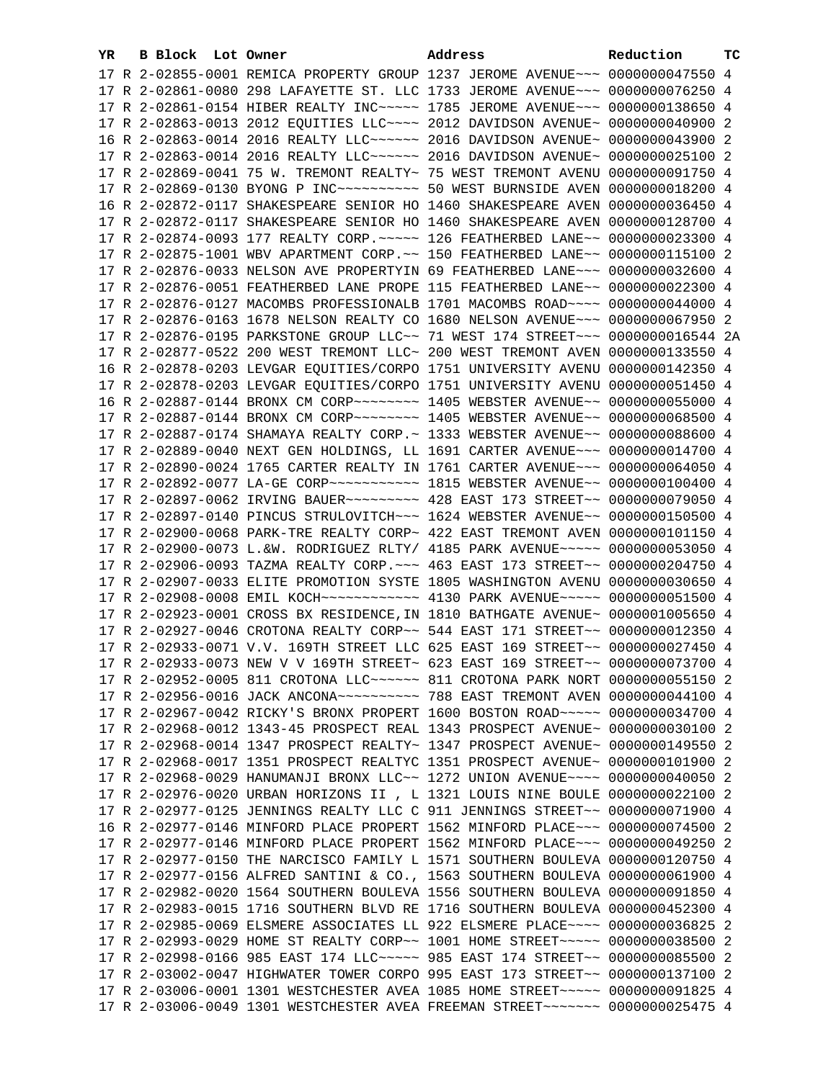| YR. | <b>B Block</b> Lot Owner | Address                                                                                                                                                         | Reduction | тc |
|-----|--------------------------|-----------------------------------------------------------------------------------------------------------------------------------------------------------------|-----------|----|
|     |                          | 17 R 2-02855-0001 REMICA PROPERTY GROUP 1237 JEROME AVENUE~~~ 0000000047550 4                                                                                   |           |    |
|     |                          | 17 R 2-02861-0080 298 LAFAYETTE ST. LLC 1733 JEROME AVENUE~~~ 0000000076250 4                                                                                   |           |    |
|     |                          | 17 R 2-02861-0154 HIBER REALTY INC~~~~~ 1785 JEROME AVENUE~~~ 0000000138650 4                                                                                   |           |    |
|     |                          | 17 R 2-02863-0013 2012 EQUITIES LLC ~~~~ 2012 DAVIDSON AVENUE ~ 0000000040900 2                                                                                 |           |    |
|     |                          | 16 R 2-02863-0014 2016 REALTY LLC ----- 2016 DAVIDSON AVENUE ~ 0000000043900 2                                                                                  |           |    |
|     |                          | 17 R 2-02863-0014 2016 REALTY LLC ----- 2016 DAVIDSON AVENUE ~ 0000000025100 2                                                                                  |           |    |
|     |                          | 17 R 2-02869-0041 75 W. TREMONT REALTY~ 75 WEST TREMONT AVENU 0000000091750 4                                                                                   |           |    |
|     |                          | 17 R 2-02869-0130 BYONG P INC~~~~~~~~~~~~~~~ 50 WEST BURNSIDE AVEN 0000000018200 4                                                                              |           |    |
|     |                          | 16 R 2-02872-0117 SHAKESPEARE SENIOR HO 1460 SHAKESPEARE AVEN 0000000036450 4                                                                                   |           |    |
|     |                          | 17 R 2-02872-0117 SHAKESPEARE SENIOR HO 1460 SHAKESPEARE AVEN 0000000128700 4                                                                                   |           |    |
|     |                          | 17 R 2-02874-0093 177 REALTY CORP. ~~~~~ 126 FEATHERBED LANE~~ 0000000023300 4                                                                                  |           |    |
|     |                          | 17 R 2-02875-1001 WBV APARTMENT CORP. ~~ 150 FEATHERBED LANE~~ 0000000115100 2                                                                                  |           |    |
|     |                          |                                                                                                                                                                 |           |    |
|     |                          | 17 R 2-02876-0033 NELSON AVE PROPERTYIN 69 FEATHERBED LANE~~~ 0000000032600 4                                                                                   |           |    |
|     |                          | 17 R 2-02876-0051 FEATHERBED LANE PROPE 115 FEATHERBED LANE~~ 0000000022300 4                                                                                   |           |    |
|     |                          | 17 R 2-02876-0127 MACOMBS PROFESSIONALB 1701 MACOMBS ROAD~~~~ 0000000044000 4                                                                                   |           |    |
|     |                          | 17 R 2-02876-0163 1678 NELSON REALTY CO 1680 NELSON AVENUE~~~ 0000000067950 2                                                                                   |           |    |
|     |                          | 17 R 2-02876-0195 PARKSTONE GROUP LLC~~ 71 WEST 174 STREET~~~ 0000000016544 2A                                                                                  |           |    |
|     |                          | 17 R 2-02877-0522 200 WEST TREMONT LLC~ 200 WEST TREMONT AVEN 0000000133550 4                                                                                   |           |    |
|     |                          | 16 R 2-02878-0203 LEVGAR EQUITIES/CORPO 1751 UNIVERSITY AVENU 0000000142350 4                                                                                   |           |    |
|     |                          | 17 R 2-02878-0203 LEVGAR EQUITIES/CORPO 1751 UNIVERSITY AVENU 0000000051450 4                                                                                   |           |    |
|     |                          | 16 R 2-02887-0144 BRONX CM CORP~~~~~~~~~ 1405 WEBSTER AVENUE~~ 0000000055000 4                                                                                  |           |    |
|     |                          | 17 R 2-02887-0144 BRONX CM CORP~~~~~~~~ 1405 WEBSTER AVENUE~~ 0000000068500 4                                                                                   |           |    |
|     |                          | 17 R 2-02887-0174 SHAMAYA REALTY CORP.~ 1333 WEBSTER AVENUE~~ 0000000088600 4                                                                                   |           |    |
|     |                          | 17 R 2-02889-0040 NEXT GEN HOLDINGS, LL 1691 CARTER AVENUE~~~ 0000000014700 4                                                                                   |           |    |
|     |                          | 17 R 2-02890-0024 1765 CARTER REALTY IN 1761 CARTER AVENUE~~~ 0000000064050 4                                                                                   |           |    |
|     |                          |                                                                                                                                                                 |           |    |
|     |                          | 17 R 2-02897-0062 IRVING BAUER~~~~~~~~~ 428 EAST 173 STREET~~ 0000000079050 4                                                                                   |           |    |
|     |                          | 17 R 2-02897-0140 PINCUS STRULOVITCH~~~ 1624 WEBSTER AVENUE~~ 0000000150500 4                                                                                   |           |    |
|     |                          | 17 R 2-02900-0068 PARK-TRE REALTY CORP~ 422 EAST TREMONT AVEN 0000000101150 4                                                                                   |           |    |
|     |                          | 17 R 2-02900-0073 L.&W. RODRIGUEZ RLTY/ 4185 PARK AVENUE~~~~~ 0000000053050 4                                                                                   |           |    |
|     |                          | 17 R 2-02906-0093 TAZMA REALTY CORP. ~~~ 463 EAST 173 STREET~~ 0000000204750 4                                                                                  |           |    |
|     |                          | 17 R 2-02907-0033 ELITE PROMOTION SYSTE 1805 WASHINGTON AVENU 0000000030650 4<br>17 R 2-02908-0008 EMIL KOCH ----------- 4130 PARK AVENUE----- 0000000051500 4  |           |    |
|     |                          |                                                                                                                                                                 |           |    |
|     |                          | 17 R 2-02923-0001 CROSS BX RESIDENCE, IN 1810 BATHGATE AVENUE~ 0000001005650 4<br>17 R 2-02927-0046 CROTONA REALTY CORP~~ 544 EAST 171 STREET~~ 0000000012350 4 |           |    |
|     |                          |                                                                                                                                                                 |           |    |
|     |                          | 17 R 2-02933-0071 V.V. 169TH STREET LLC 625 EAST 169 STREET~~ 0000000027450 4                                                                                   |           |    |
|     |                          | 17 R 2-02933-0073 NEW V V 169TH STREET~ 623 EAST 169 STREET~~ 0000000073700 4                                                                                   |           |    |
|     |                          | 17 R 2-02952-0005 811 CROTONA LLC~~~~~~ 811 CROTONA PARK NORT 0000000055150 2                                                                                   |           |    |
|     |                          | 17 R 2-02956-0016 JACK ANCONA~~~~~~~~~~~~~~~~ 788 EAST TREMONT AVEN 0000000044100 4                                                                             |           |    |
|     |                          | 17 R 2-02967-0042 RICKY'S BRONX PROPERT 1600 BOSTON ROAD~~~~~ 0000000034700 4                                                                                   |           |    |
|     |                          | 17 R 2-02968-0012 1343-45 PROSPECT REAL 1343 PROSPECT AVENUE~ 0000000030100 2                                                                                   |           |    |
|     |                          | 17 R 2-02968-0014 1347 PROSPECT REALTY~ 1347 PROSPECT AVENUE~ 0000000149550 2                                                                                   |           |    |
|     |                          | 17 R 2-02968-0017 1351 PROSPECT REALTYC 1351 PROSPECT AVENUE~ 0000000101900 2                                                                                   |           |    |
|     |                          | 17 R 2-02968-0029 HANUMANJI BRONX LLC~~ 1272 UNION AVENUE~~~~ 0000000040050 2                                                                                   |           |    |
|     |                          | 17 R 2-02976-0020 URBAN HORIZONS II , L 1321 LOUIS NINE BOULE 0000000022100 2<br>17 R 2-02977-0125 JENNINGS REALTY LLC C 911 JENNINGS STREET~~ 0000000071900 4  |           |    |
|     |                          | 16 R 2-02977-0146 MINFORD PLACE PROPERT 1562 MINFORD PLACE~~~ 0000000074500 2                                                                                   |           |    |
|     |                          | 17 R 2-02977-0146 MINFORD PLACE PROPERT 1562 MINFORD PLACE~~~ 0000000049250 2                                                                                   |           |    |
|     |                          | 17 R 2-02977-0150 THE NARCISCO FAMILY L 1571 SOUTHERN BOULEVA 0000000120750 4                                                                                   |           |    |
|     |                          | 17 R 2-02977-0156 ALFRED SANTINI & CO., 1563 SOUTHERN BOULEVA 0000000061900 4                                                                                   |           |    |
|     |                          | 17 R 2-02982-0020 1564 SOUTHERN BOULEVA 1556 SOUTHERN BOULEVA 0000000091850 4                                                                                   |           |    |
|     |                          | 17 R 2-02983-0015 1716 SOUTHERN BLVD RE 1716 SOUTHERN BOULEVA 0000000452300 4                                                                                   |           |    |
|     |                          | 17 R 2-02985-0069 ELSMERE ASSOCIATES LL 922 ELSMERE PLACE~~~~ 0000000036825 2                                                                                   |           |    |
|     |                          | 17 R 2-02993-0029 HOME ST REALTY CORP~~ 1001 HOME STREET~~~~~ 0000000038500 2                                                                                   |           |    |
|     |                          | 17 R 2-02998-0166 985 EAST 174 LLC ---- 985 EAST 174 STREET -- 0000000085500 2                                                                                  |           |    |
|     |                          | 17 R 2-03002-0047 HIGHWATER TOWER CORPO 995 EAST 173 STREET~~ 0000000137100 2                                                                                   |           |    |
|     |                          | 17 R 2-03006-0001 1301 WESTCHESTER AVEA 1085 HOME STREET~~~~~ 0000000091825 4                                                                                   |           |    |
|     |                          | 17 R 2-03006-0049 1301 WESTCHESTER AVEA FREEMAN STREET~~~~~~~ 0000000025475 4                                                                                   |           |    |
|     |                          |                                                                                                                                                                 |           |    |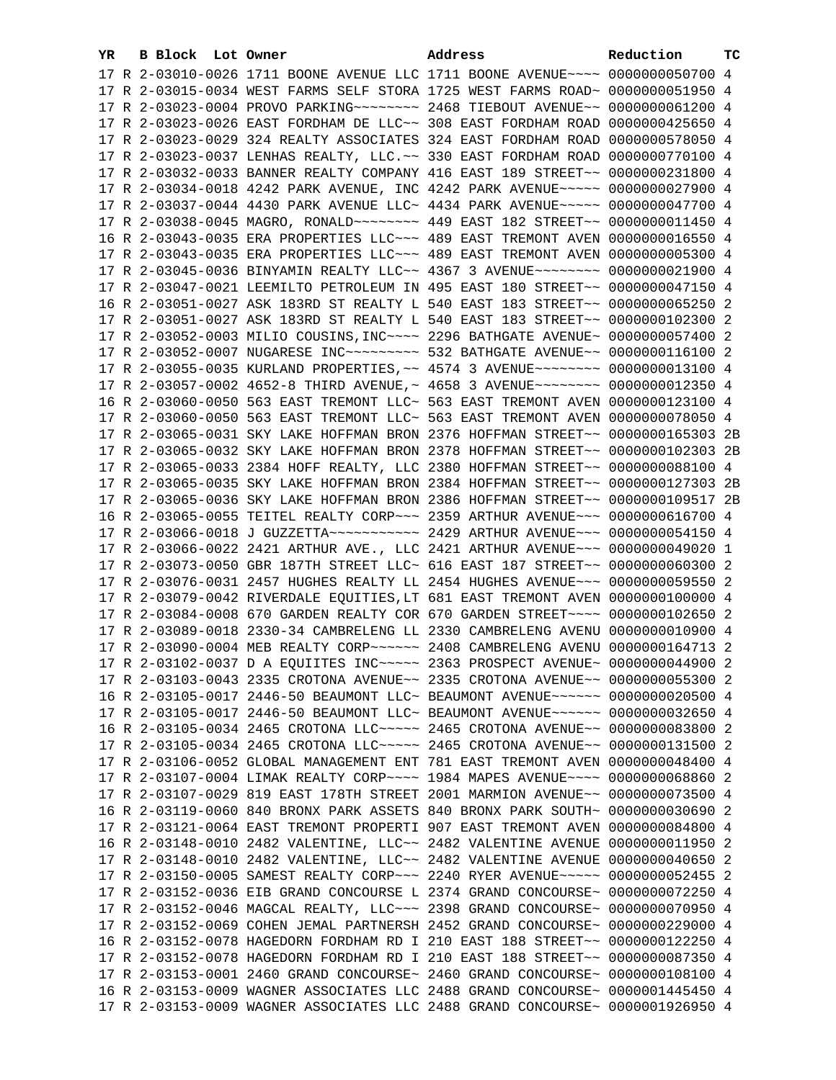| YR. | B Block Lot Owner |                                                                                    | Address | Reduction       | тc |
|-----|-------------------|------------------------------------------------------------------------------------|---------|-----------------|----|
|     |                   | 17 R 2-03010-0026 1711 BOONE AVENUE LLC 1711 BOONE AVENUE~~~~ 0000000050700 4      |         |                 |    |
|     |                   | 17 R 2-03015-0034 WEST FARMS SELF STORA 1725 WEST FARMS ROAD~ 0000000051950 4      |         |                 |    |
|     |                   | 17 R 2-03023-0004 PROVO PARKING~~~~~~~~ 2468 TIEBOUT AVENUE~~ 0000000061200 4      |         |                 |    |
|     |                   | 17 R 2-03023-0026 EAST FORDHAM DE LLC~~ 308 EAST FORDHAM ROAD                      |         | 0000000425650 4 |    |
|     |                   | 17 R 2-03023-0029 324 REALTY ASSOCIATES 324 EAST FORDHAM ROAD                      |         | 0000000578050 4 |    |
|     |                   |                                                                                    |         | 0000000770100 4 |    |
|     |                   | 17 R 2-03023-0037 LENHAS REALTY, LLC. ~~ 330 EAST FORDHAM ROAD                     |         |                 |    |
|     |                   | 17 R 2-03032-0033 BANNER REALTY COMPANY 416 EAST 189 STREET~~                      |         | 0000000231800 4 |    |
|     |                   | 17 R 2-03034-0018 4242 PARK AVENUE, INC 4242 PARK AVENUE~~~~~ 0000000027900 4      |         |                 |    |
|     |                   | 17 R 2-03037-0044 4430 PARK AVENUE LLC~ 4434 PARK AVENUE~~~~~ 0000000047700 4      |         |                 |    |
|     |                   |                                                                                    |         |                 |    |
|     |                   | 16 R 2-03043-0035 ERA PROPERTIES LLC~~~ 489 EAST TREMONT AVEN 0000000016550 4      |         |                 |    |
|     |                   | 17 R 2-03043-0035 ERA PROPERTIES LLC -~~ 489 EAST TREMONT AVEN 0000000005300 4     |         |                 |    |
|     |                   | 17 R 2-03045-0036 BINYAMIN REALTY LLC~~ 4367 3 AVENUE~~~~~~~~ 0000000021900 4      |         |                 |    |
|     |                   | 17 R 2-03047-0021 LEEMILTO PETROLEUM IN 495 EAST 180 STREET~~ 0000000047150 4      |         |                 |    |
|     |                   | 16 R 2-03051-0027 ASK 183RD ST REALTY L 540 EAST 183 STREET~~ 0000000065250 2      |         |                 |    |
|     |                   | 17 R 2-03051-0027 ASK 183RD ST REALTY L 540 EAST 183 STREET~~ 0000000102300 2      |         |                 |    |
|     |                   | 17 R 2-03052-0003 MILIO COUSINS, INC~~~~ 2296 BATHGATE AVENUE~ 0000000057400 2     |         |                 |    |
|     |                   | 17 R 2-03052-0007 NUGARESE INC~~~~~~~~~~~~~~ 532 BATHGATE AVENUE~~ 0000000116100 2 |         |                 |    |
|     |                   | 17 R 2-03055-0035 KURLAND PROPERTIES, ~~ 4574 3 AVENUE~~~~~~~~ 0000000013100 4     |         |                 |    |
|     |                   | 17 R 2-03057-0002 4652-8 THIRD AVENUE,~ 4658 3 AVENUE~~~~~~~~~ 0000000012350 4     |         |                 |    |
|     |                   | 16 R 2-03060-0050 563 EAST TREMONT LLC~ 563 EAST TREMONT AVEN 0000000123100 4      |         |                 |    |
|     |                   | 17 R 2-03060-0050 563 EAST TREMONT LLC~ 563 EAST TREMONT AVEN 0000000078050 4      |         |                 |    |
|     |                   | 17 R 2-03065-0031 SKY LAKE HOFFMAN BRON 2376 HOFFMAN STREET~~ 0000000165303 2B     |         |                 |    |
|     |                   | 17 R 2-03065-0032 SKY LAKE HOFFMAN BRON 2378 HOFFMAN STREET~~ 0000000102303 2B     |         |                 |    |
|     |                   | 17 R 2-03065-0033 2384 HOFF REALTY, LLC 2380 HOFFMAN STREET~~ 0000000088100 4      |         |                 |    |
|     |                   | 17 R 2-03065-0035 SKY LAKE HOFFMAN BRON 2384 HOFFMAN STREET~~ 0000000127303 2B     |         |                 |    |
|     |                   | 17 R 2-03065-0036 SKY LAKE HOFFMAN BRON 2386 HOFFMAN STREET~~ 0000000109517 2B     |         |                 |    |
|     |                   | 16 R 2-03065-0055 TEITEL REALTY CORP~~~ 2359 ARTHUR AVENUE~~~ 0000000616700 4      |         |                 |    |
|     |                   |                                                                                    |         |                 |    |
|     |                   | 17 R 2-03066-0022 2421 ARTHUR AVE., LLC 2421 ARTHUR AVENUE~~~ 0000000049020 1      |         |                 |    |
|     |                   | 17 R 2-03073-0050 GBR 187TH STREET LLC~ 616 EAST 187 STREET~~ 0000000060300 2      |         |                 |    |
|     |                   | 17 R 2-03076-0031 2457 HUGHES REALTY LL 2454 HUGHES AVENUE~~~ 0000000059550 2      |         |                 |    |
|     |                   | 17 R 2-03079-0042 RIVERDALE EQUITIES, LT 681 EAST TREMONT AVEN 0000000100000 4     |         |                 |    |
|     |                   | 17 R 2-03084-0008 670 GARDEN REALTY COR 670 GARDEN STREET~~~~ 0000000102650 2      |         |                 |    |
|     |                   | 17 R 2-03089-0018 2330-34 CAMBRELENG LL 2330 CAMBRELENG AVENU 0000000010900 4      |         |                 |    |
|     |                   | 17 R 2-03090-0004 MEB REALTY CORP~~~~~~ 2408 CAMBRELENG AVENU 0000000164713 2      |         |                 |    |
|     |                   | 17 R 2-03102-0037 D A EQUIITES INC ~~~~~ 2363 PROSPECT AVENUE~ 0000000044900 2     |         |                 |    |
|     |                   | 17 R 2-03103-0043 2335 CROTONA AVENUE~~ 2335 CROTONA AVENUE~~ 0000000055300 2      |         |                 |    |
|     |                   | 16 R 2-03105-0017 2446-50 BEAUMONT LLC~ BEAUMONT AVENUE~~~~~~ 0000000020500 4      |         |                 |    |
|     |                   | 17 R 2-03105-0017 2446-50 BEAUMONT LLC~ BEAUMONT AVENUE~~~~~~ 0000000032650 4      |         |                 |    |
|     |                   | 16 R 2-03105-0034 2465 CROTONA LLC ---- 2465 CROTONA AVENUE -- 0000000083800 2     |         |                 |    |
|     |                   | 17 R 2-03105-0034 2465 CROTONA LLC ---- 2465 CROTONA AVENUE -- 0000000131500 2     |         |                 |    |
|     |                   | 17 R 2-03106-0052 GLOBAL MANAGEMENT ENT 781 EAST TREMONT AVEN 0000000048400 4      |         |                 |    |
|     |                   |                                                                                    |         |                 |    |
|     |                   | 17 R 2-03107-0004 LIMAK REALTY CORP~~~~ 1984 MAPES AVENUE~~~~ 0000000068860 2      |         |                 |    |
|     |                   | 17 R 2-03107-0029 819 EAST 178TH STREET 2001 MARMION AVENUE~~ 0000000073500 4      |         |                 |    |
|     |                   | 16 R 2-03119-0060 840 BRONX PARK ASSETS 840 BRONX PARK SOUTH~ 0000000030690 2      |         |                 |    |
|     |                   | 17 R 2-03121-0064 EAST TREMONT PROPERTI 907 EAST TREMONT AVEN 0000000084800 4      |         |                 |    |
|     |                   | 16 R 2-03148-0010 2482 VALENTINE, LLC~~ 2482 VALENTINE AVENUE 0000000011950 2      |         |                 |    |
|     |                   | 17 R 2-03148-0010 2482 VALENTINE, LLC~~ 2482 VALENTINE AVENUE 0000000040650 2      |         |                 |    |
|     |                   | 17 R 2-03150-0005 SAMEST REALTY CORP~~~ 2240 RYER AVENUE~~~~~ 0000000052455 2      |         |                 |    |
|     |                   | 17 R 2-03152-0036 EIB GRAND CONCOURSE L 2374 GRAND CONCOURSE~ 0000000072250 4      |         |                 |    |
|     |                   | 17 R 2-03152-0046 MAGCAL REALTY, LLC ~~~ 2398 GRAND CONCOURSE~ 0000000070950 4     |         |                 |    |
|     |                   | 17 R 2-03152-0069 COHEN JEMAL PARTNERSH 2452 GRAND CONCOURSE~ 0000000229000 4      |         |                 |    |
|     |                   | 16 R 2-03152-0078 HAGEDORN FORDHAM RD I 210 EAST 188 STREET~~ 0000000122250 4      |         |                 |    |
|     |                   | 17 R 2-03152-0078 HAGEDORN FORDHAM RD I 210 EAST 188 STREET~~ 0000000087350 4      |         |                 |    |
|     |                   | 17 R 2-03153-0001 2460 GRAND CONCOURSE~ 2460 GRAND CONCOURSE~ 0000000108100 4      |         |                 |    |
|     |                   | 16 R 2-03153-0009 WAGNER ASSOCIATES LLC 2488 GRAND CONCOURSE~ 0000001445450 4      |         |                 |    |
|     |                   | 17 R 2-03153-0009 WAGNER ASSOCIATES LLC 2488 GRAND CONCOURSE~ 0000001926950 4      |         |                 |    |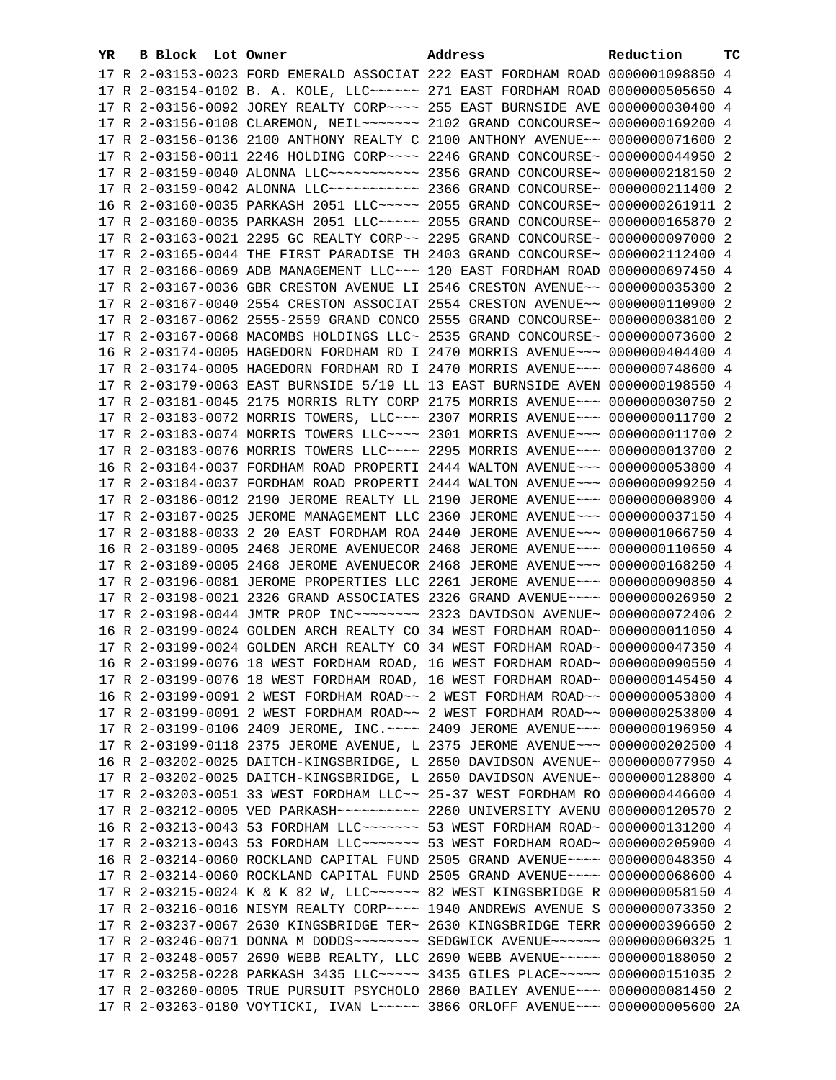| YR. | B Block Lot Owner |                                                                                | Address | Reduction       | тc |
|-----|-------------------|--------------------------------------------------------------------------------|---------|-----------------|----|
|     |                   | 17 R 2-03153-0023 FORD EMERALD ASSOCIAT 222 EAST FORDHAM ROAD 0000001098850 4  |         |                 |    |
|     |                   | 17 R 2-03154-0102 B. A. KOLE, LLC ~~~~~~ 271 EAST FORDHAM ROAD 0000000505650 4 |         |                 |    |
|     |                   | 17 R 2-03156-0092 JOREY REALTY CORP~~~~ 255 EAST BURNSIDE AVE                  |         | 0000000030400 4 |    |
|     |                   | 17 R 2-03156-0108 CLAREMON, NEIL~~~~~~~ 2102 GRAND CONCOURSE~                  |         | 0000000169200 4 |    |
|     |                   | 17 R 2-03156-0136 2100 ANTHONY REALTY C 2100 ANTHONY AVENUE~~                  |         | 0000000071600 2 |    |
|     |                   | 17 R 2-03158-0011 2246 HOLDING CORP~~~~ 2246 GRAND CONCOURSE~                  |         | 0000000044950 2 |    |
|     |                   | 17 R 2-03159-0040 ALONNA LLC~~~~~~~~~~~~~~~~ 2356 GRAND CONCOURSE~             |         | 0000000218150 2 |    |
|     |                   |                                                                                |         | 0000000211400 2 |    |
|     |                   | 16 R 2-03160-0035 PARKASH 2051 LLC~~~~~ 2055 GRAND CONCOURSE~                  |         | 0000000261911 2 |    |
|     |                   | 17 R 2-03160-0035 PARKASH 2051 LLC~~~~~ 2055 GRAND CONCOURSE~                  |         | 0000000165870   | -2 |
|     |                   | 17 R 2-03163-0021 2295 GC REALTY CORP~~ 2295 GRAND CONCOURSE~                  |         | 0000000097000 2 |    |
|     |                   | 17 R 2-03165-0044 THE FIRST PARADISE TH 2403 GRAND CONCOURSE~                  |         | 0000002112400 4 |    |
|     |                   | 17 R 2-03166-0069 ADB MANAGEMENT LLC~~~ 120 EAST FORDHAM ROAD                  |         | 0000000697450 4 |    |
|     |                   | 17 R 2-03167-0036 GBR CRESTON AVENUE LI 2546 CRESTON AVENUE~~                  |         | 0000000035300 2 |    |
|     |                   | 17 R 2-03167-0040 2554 CRESTON ASSOCIAT 2554 CRESTON AVENUE~~ 0000000110900 2  |         |                 |    |
|     |                   | 17 R 2-03167-0062 2555-2559 GRAND CONCO 2555 GRAND CONCOURSE~                  |         | 0000000038100   | -2 |
|     |                   | 17 R 2-03167-0068 MACOMBS HOLDINGS LLC~ 2535 GRAND CONCOURSE~ 0000000073600 2  |         |                 |    |
|     |                   | 16 R 2-03174-0005 HAGEDORN FORDHAM RD I 2470 MORRIS AVENUE~~~ 0000000404400 4  |         |                 |    |
|     |                   | 17 R 2-03174-0005 HAGEDORN FORDHAM RD I 2470 MORRIS AVENUE~~~ 0000000748600 4  |         |                 |    |
|     |                   | 17 R 2-03179-0063 EAST BURNSIDE 5/19 LL 13 EAST BURNSIDE AVEN 0000000198550 4  |         |                 |    |
|     |                   | 17 R 2-03181-0045 2175 MORRIS RLTY CORP 2175 MORRIS AVENUE~~~ 0000000030750 2  |         |                 |    |
|     |                   | 17 R 2-03183-0072 MORRIS TOWERS, LLC~~~ 2307 MORRIS AVENUE~~~ 0000000011700 2  |         |                 |    |
|     |                   | 17 R 2-03183-0074 MORRIS TOWERS LLC~~~~ 2301 MORRIS AVENUE~~~ 0000000011700 2  |         |                 |    |
|     |                   | 17 R 2-03183-0076 MORRIS TOWERS LLC~~~~ 2295 MORRIS AVENUE~~~ 0000000013700 2  |         |                 |    |
|     |                   | 16 R 2-03184-0037 FORDHAM ROAD PROPERTI 2444 WALTON AVENUE~~~ 0000000053800 4  |         |                 |    |
|     |                   | 17 R 2-03184-0037 FORDHAM ROAD PROPERTI 2444 WALTON AVENUE~~~ 0000000099250 4  |         |                 |    |
|     |                   | 17 R 2-03186-0012 2190 JEROME REALTY LL 2190 JEROME AVENUE~~~ 0000000008900 4  |         |                 |    |
|     |                   | 17 R 2-03187-0025 JEROME MANAGEMENT LLC 2360 JEROME AVENUE~~~ 0000000037150 4  |         |                 |    |
|     |                   | 17 R 2-03188-0033 2 20 EAST FORDHAM ROA 2440 JEROME AVENUE~~~ 0000001066750 4  |         |                 |    |
|     |                   | 16 R 2-03189-0005 2468 JEROME AVENUECOR 2468 JEROME AVENUE~~~ 0000000110650 4  |         |                 |    |
|     |                   | 17 R 2-03189-0005 2468 JEROME AVENUECOR 2468 JEROME AVENUE~~~ 0000000168250 4  |         |                 |    |
|     |                   | 17 R 2-03196-0081 JEROME PROPERTIES LLC 2261 JEROME AVENUE~~~ 0000000090850 4  |         |                 |    |
|     |                   | 17 R 2-03198-0021 2326 GRAND ASSOCIATES 2326 GRAND AVENUE~~~~ 0000000026950 2  |         |                 |    |
|     |                   | 17 R 2-03198-0044 JMTR PROP INC~~~~~~~~ 2323 DAVIDSON AVENUE~ 0000000072406 2  |         |                 |    |
|     |                   | 16 R 2-03199-0024 GOLDEN ARCH REALTY CO 34 WEST FORDHAM ROAD~ 0000000011050 4  |         |                 |    |
|     |                   | 17 R 2-03199-0024 GOLDEN ARCH REALTY CO 34 WEST FORDHAM ROAD~ 0000000047350 4  |         |                 |    |
|     |                   | 16 R 2-03199-0076 18 WEST FORDHAM ROAD, 16 WEST FORDHAM ROAD~ 0000000090550 4  |         |                 |    |
|     |                   | 17 R 2-03199-0076 18 WEST FORDHAM ROAD, 16 WEST FORDHAM ROAD~ 0000000145450 4  |         |                 |    |
|     |                   | 16 R 2-03199-0091 2 WEST FORDHAM ROAD~~ 2 WEST FORDHAM ROAD~~ 0000000053800 4  |         |                 |    |
|     |                   | 17 R 2-03199-0091 2 WEST FORDHAM ROAD~~ 2 WEST FORDHAM ROAD~~ 0000000253800 4  |         |                 |    |
|     |                   | 17 R 2-03199-0106 2409 JEROME, INC. ~~~~ 2409 JEROME AVENUE~~~ 0000000196950 4 |         |                 |    |
|     |                   | 17 R 2-03199-0118 2375 JEROME AVENUE, L 2375 JEROME AVENUE~~~ 0000000202500 4  |         |                 |    |
|     |                   | 16 R 2-03202-0025 DAITCH-KINGSBRIDGE, L 2650 DAVIDSON AVENUE~                  |         | 0000000077950 4 |    |
|     |                   | 17 R 2-03202-0025 DAITCH-KINGSBRIDGE, L 2650 DAVIDSON AVENUE~                  |         | 0000000128800 4 |    |
|     |                   | 17 R 2-03203-0051 33 WEST FORDHAM LLC~~ 25-37 WEST FORDHAM RO                  |         | 0000000446600 4 |    |
|     |                   |                                                                                |         |                 |    |
|     |                   | 16 R 2-03213-0043 53 FORDHAM LLC ------ 53 WEST FORDHAM ROAD ~ 0000000131200 4 |         |                 |    |
|     |                   | 17 R 2-03213-0043 53 FORDHAM LLC ------ 53 WEST FORDHAM ROAD ~ 0000000205900 4 |         |                 |    |
|     |                   | 16 R 2-03214-0060 ROCKLAND CAPITAL FUND 2505 GRAND AVENUE~~~~ 0000000048350 4  |         |                 |    |
|     |                   | 17 R 2-03214-0060 ROCKLAND CAPITAL FUND 2505 GRAND AVENUE~~~~ 0000000068600 4  |         |                 |    |
|     |                   | 17 R 2-03215-0024 K & K 82 W, LLC ----- 82 WEST KINGSBRIDGE R 0000000058150 4  |         |                 |    |
|     |                   | 17 R 2-03216-0016 NISYM REALTY CORP~~~~ 1940 ANDREWS AVENUE S                  |         | 0000000073350 2 |    |
|     |                   | 17 R 2-03237-0067 2630 KINGSBRIDGE TER~ 2630 KINGSBRIDGE TERR 0000000396650 2  |         |                 |    |
|     |                   | 17 R 2-03246-0071 DONNA M DODDS~~~~~~~~ SEDGWICK AVENUE~~~~~~ 0000000060325 1  |         |                 |    |
|     |                   | 17 R 2-03248-0057 2690 WEBB REALTY, LLC 2690 WEBB AVENUE~~~~~ 0000000188050 2  |         |                 |    |
|     |                   | 17 R 2-03258-0228 PARKASH 3435 LLC ---- 3435 GILES PLACE ---- 0000000151035 2  |         |                 |    |
|     |                   | 17 R 2-03260-0005 TRUE PURSUIT PSYCHOLO 2860 BAILEY AVENUE~~~ 0000000081450 2  |         |                 |    |
|     |                   | 17 R 2-03263-0180 VOYTICKI, IVAN L~~~~~ 3866 ORLOFF AVENUE~~~ 0000000005600 2A |         |                 |    |
|     |                   |                                                                                |         |                 |    |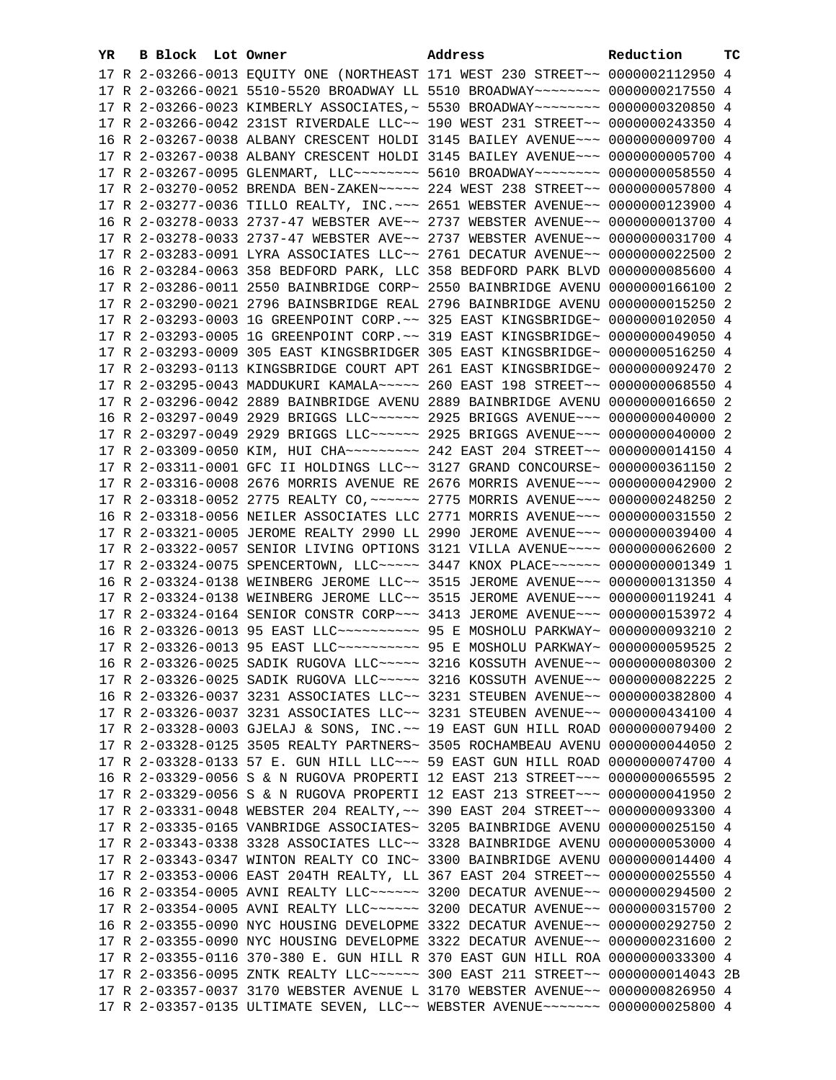| YR. | B Block Lot Owner |                                                               | Address                                                                                                                                                        | Reduction       | тc |
|-----|-------------------|---------------------------------------------------------------|----------------------------------------------------------------------------------------------------------------------------------------------------------------|-----------------|----|
|     |                   |                                                               | 17 R 2-03266-0013 EQUITY ONE (NORTHEAST 171 WEST 230 STREET~~ 0000002112950 4                                                                                  |                 |    |
|     |                   |                                                               | 17 R 2-03266-0021 5510-5520 BROADWAY LL 5510 BROADWAY~~~~~~~~ 0000000217550 4                                                                                  |                 |    |
|     |                   |                                                               | 17 R 2-03266-0023 KIMBERLY ASSOCIATES, ~ 5530 BROADWAY~~~~~~~~ 0000000320850 4                                                                                 |                 |    |
|     |                   |                                                               | 17 R 2-03266-0042 231ST RIVERDALE LLC~~ 190 WEST 231 STREET~~ 0000000243350 4                                                                                  |                 |    |
|     |                   |                                                               | 16 R 2-03267-0038 ALBANY CRESCENT HOLDI 3145 BAILEY AVENUE~~~ 0000000009700 4                                                                                  |                 |    |
|     |                   |                                                               | 17 R 2-03267-0038 ALBANY CRESCENT HOLDI 3145 BAILEY AVENUE~~~ 0000000005700 4                                                                                  |                 |    |
|     |                   |                                                               | 17 R 2-03267-0095 GLENMART, LLC ------- 5610 BROADWAY ------- 0000000058550 4                                                                                  |                 |    |
|     |                   |                                                               | 17 R 2-03270-0052 BRENDA BEN-ZAKEN~~~~~ 224 WEST 238 STREET~~ 0000000057800 4                                                                                  |                 |    |
|     |                   |                                                               | 17 R 2-03277-0036 TILLO REALTY, INC. ~~~ 2651 WEBSTER AVENUE~~ 0000000123900 4                                                                                 |                 |    |
|     |                   |                                                               | 16 R 2-03278-0033 2737-47 WEBSTER AVE~~ 2737 WEBSTER AVENUE~~ 0000000013700 4                                                                                  |                 |    |
|     |                   |                                                               | 17 R 2-03278-0033 2737-47 WEBSTER AVE~~ 2737 WEBSTER AVENUE~~ 0000000031700 4                                                                                  |                 |    |
|     |                   |                                                               |                                                                                                                                                                |                 |    |
|     |                   |                                                               | 17 R 2-03283-0091 LYRA ASSOCIATES LLC~~ 2761 DECATUR AVENUE~~ 0000000022500 2                                                                                  | 0000000085600 4 |    |
|     |                   | 16 R 2-03284-0063 358 BEDFORD PARK, LLC 358 BEDFORD PARK BLVD |                                                                                                                                                                |                 |    |
|     |                   | 17 R 2-03286-0011 2550 BAINBRIDGE CORP~ 2550 BAINBRIDGE AVENU |                                                                                                                                                                | 0000000166100 2 |    |
|     |                   |                                                               | 17 R 2-03290-0021 2796 BAINSBRIDGE REAL 2796 BAINBRIDGE AVENU 0000000015250 2                                                                                  |                 |    |
|     |                   |                                                               | 17 R 2-03293-0003 1G GREENPOINT CORP. ~~ 325 EAST KINGSBRIDGE~ 0000000102050 4                                                                                 |                 |    |
|     |                   |                                                               | 17 R 2-03293-0005 1G GREENPOINT CORP. ~~ 319 EAST KINGSBRIDGE~ 0000000049050 4                                                                                 |                 |    |
|     |                   |                                                               | 17 R 2-03293-0009 305 EAST KINGSBRIDGER 305 EAST KINGSBRIDGE~ 0000000516250 4                                                                                  |                 |    |
|     |                   |                                                               | 17 R 2-03293-0113 KINGSBRIDGE COURT APT 261 EAST KINGSBRIDGE~ 0000000092470 2                                                                                  |                 |    |
|     |                   |                                                               | 17 R 2-03295-0043 MADDUKURI KAMALA~~~~~ 260 EAST 198 STREET~~ 0000000068550 4                                                                                  |                 |    |
|     |                   |                                                               | 17 R 2-03296-0042 2889 BAINBRIDGE AVENU 2889 BAINBRIDGE AVENU 0000000016650 2                                                                                  |                 |    |
|     |                   |                                                               | 16 R 2-03297-0049 2929 BRIGGS LLC ----- 2925 BRIGGS AVENUE -- 0000000040000 2                                                                                  |                 |    |
|     |                   |                                                               | 17 R 2-03297-0049 2929 BRIGGS LLC ~~~~~~ 2925 BRIGGS AVENUE ~~~ 0000000040000 2                                                                                |                 |    |
|     |                   |                                                               | 17 R 2-03309-0050 KIM, HUI CHA --------- 242 EAST 204 STREET -- 0000000014150 4                                                                                |                 |    |
|     |                   |                                                               | 17 R 2-03311-0001 GFC II HOLDINGS LLC~~ 3127 GRAND CONCOURSE~ 0000000361150 2                                                                                  |                 |    |
|     |                   |                                                               | 17 R 2-03316-0008 2676 MORRIS AVENUE RE 2676 MORRIS AVENUE~~~ 0000000042900 2                                                                                  |                 |    |
|     |                   |                                                               | 17 R 2-03318-0052 2775 REALTY CO, ~~~~~~ 2775 MORRIS AVENUE~~~ 0000000248250 2                                                                                 |                 |    |
|     |                   |                                                               | 16 R 2-03318-0056 NEILER ASSOCIATES LLC 2771 MORRIS AVENUE~~~ 0000000031550 2                                                                                  |                 |    |
|     |                   |                                                               | 17 R 2-03321-0005 JEROME REALTY 2990 LL 2990 JEROME AVENUE~~~ 0000000039400 4                                                                                  |                 |    |
|     |                   |                                                               | 17 R 2-03322-0057 SENIOR LIVING OPTIONS 3121 VILLA AVENUE~~~~ 0000000062600 2                                                                                  |                 |    |
|     |                   |                                                               | 17 R 2-03324-0075 SPENCERTOWN, LLC ---- 3447 KNOX PLACE ----- 0000000001349 1                                                                                  |                 |    |
|     |                   |                                                               | 16 R 2-03324-0138 WEINBERG JEROME LLC~~ 3515 JEROME AVENUE~~~ 0000000131350 4<br>17 R 2-03324-0138 WEINBERG JEROME LLC~~ 3515 JEROME AVENUE~~~ 0000000119241 4 |                 |    |
|     |                   |                                                               | 17 R 2-03324-0164 SENIOR CONSTR CORP~~~ 3413 JEROME AVENUE~~~ 0000000153972 4                                                                                  |                 |    |
|     |                   |                                                               | 16 R 2-03326-0013 95 EAST LLC ---------- 95 E MOSHOLU PARKWAY ~ 0000000093210 2                                                                                |                 |    |
|     |                   |                                                               | 17 R 2-03326-0013 95 EAST LLC ---------- 95 E MOSHOLU PARKWAY 0000000059525 2                                                                                  |                 |    |
|     |                   |                                                               | 16 R 2-03326-0025 SADIK RUGOVA LLC ---- 3216 KOSSUTH AVENUE -- 0000000080300 2                                                                                 |                 |    |
|     |                   |                                                               | 17 R 2-03326-0025 SADIK RUGOVA LLC~~~~~ 3216 KOSSUTH AVENUE~~ 0000000082225 2                                                                                  |                 |    |
|     |                   |                                                               | 16 R 2-03326-0037 3231 ASSOCIATES LLC~~ 3231 STEUBEN AVENUE~~ 0000000382800 4                                                                                  |                 |    |
|     |                   |                                                               | 17 R 2-03326-0037 3231 ASSOCIATES LLC~~ 3231 STEUBEN AVENUE~~ 0000000434100 4                                                                                  |                 |    |
|     |                   |                                                               | 17 R 2-03328-0003 GJELAJ & SONS, INC.~~ 19 EAST GUN HILL ROAD 0000000079400 2                                                                                  |                 |    |
|     |                   |                                                               | 17 R 2-03328-0125 3505 REALTY PARTNERS~ 3505 ROCHAMBEAU AVENU 0000000044050 2                                                                                  |                 |    |
|     |                   |                                                               | 17 R 2-03328-0133 57 E. GUN HILL LLC ~~~ 59 EAST GUN HILL ROAD 0000000074700 4                                                                                 |                 |    |
|     |                   |                                                               | 16 R 2-03329-0056 S & N RUGOVA PROPERTI 12 EAST 213 STREET~~~ 0000000065595 2                                                                                  |                 |    |
|     |                   |                                                               | 17 R 2-03329-0056 S & N RUGOVA PROPERTI 12 EAST 213 STREET~~~ 0000000041950 2                                                                                  |                 |    |
|     |                   |                                                               | 17 R 2-03331-0048 WEBSTER 204 REALTY, ~~ 390 EAST 204 STREET~~ 0000000093300 4                                                                                 |                 |    |
|     |                   |                                                               | 17 R 2-03335-0165 VANBRIDGE ASSOCIATES~ 3205 BAINBRIDGE AVENU 0000000025150 4                                                                                  |                 |    |
|     |                   |                                                               | 17 R 2-03343-0338 3328 ASSOCIATES LLC~~ 3328 BAINBRIDGE AVENU 0000000053000 4                                                                                  |                 |    |
|     |                   |                                                               | 17 R 2-03343-0347 WINTON REALTY CO INC~ 3300 BAINBRIDGE AVENU 0000000014400 4                                                                                  |                 |    |
|     |                   |                                                               | 17 R 2-03353-0006 EAST 204TH REALTY, LL 367 EAST 204 STREET~~ 0000000025550 4                                                                                  |                 |    |
|     |                   |                                                               | 16 R 2-03354-0005 AVNI REALTY LLC ----- 3200 DECATUR AVENUE -- 0000000294500 2                                                                                 |                 |    |
|     |                   |                                                               | 17 R 2-03354-0005 AVNI REALTY LLC ----- 3200 DECATUR AVENUE -- 0000000315700 2                                                                                 |                 |    |
|     |                   |                                                               | 16 R 2-03355-0090 NYC HOUSING DEVELOPME 3322 DECATUR AVENUE~~ 0000000292750 2                                                                                  |                 |    |
|     |                   |                                                               | 17 R 2-03355-0090 NYC HOUSING DEVELOPME 3322 DECATUR AVENUE~~ 0000000231600 2                                                                                  |                 |    |
|     |                   |                                                               | 17 R 2-03355-0116 370-380 E. GUN HILL R 370 EAST GUN HILL ROA 0000000033300 4                                                                                  |                 |    |
|     |                   |                                                               | 17 R 2-03356-0095 ZNTK REALTY LLC ----- 300 EAST 211 STREET -- 0000000014043 2B                                                                                |                 |    |
|     |                   |                                                               | 17 R 2-03357-0037 3170 WEBSTER AVENUE L 3170 WEBSTER AVENUE~~ 0000000826950 4                                                                                  |                 |    |
|     |                   |                                                               | 17 R 2-03357-0135 ULTIMATE SEVEN, LLC~~ WEBSTER AVENUE~~~~~~~ 0000000025800 4                                                                                  |                 |    |
|     |                   |                                                               |                                                                                                                                                                |                 |    |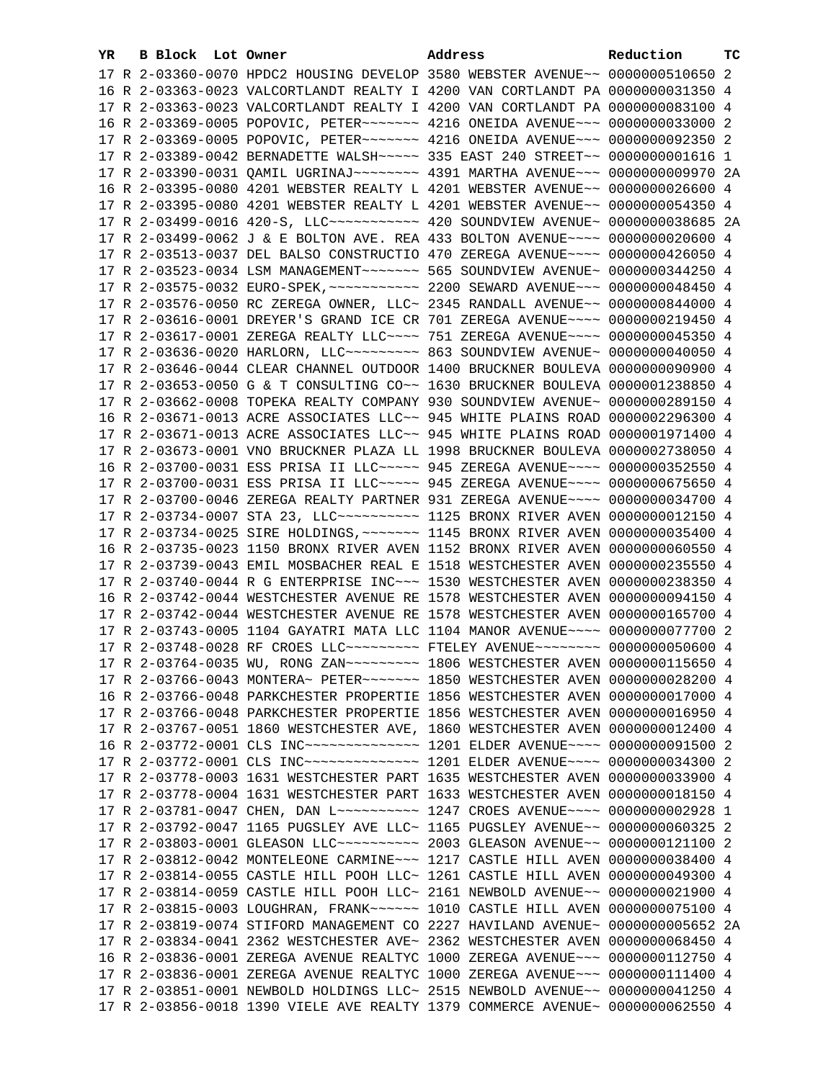| YR. | B Block Lot Owner | Address                                                                                                                                                         | Reduction | тc |
|-----|-------------------|-----------------------------------------------------------------------------------------------------------------------------------------------------------------|-----------|----|
|     |                   | 17 R 2-03360-0070 HPDC2 HOUSING DEVELOP 3580 WEBSTER AVENUE~~ 0000000510650 2                                                                                   |           |    |
|     |                   | 16 R 2-03363-0023 VALCORTLANDT REALTY I 4200 VAN CORTLANDT PA 0000000031350 4                                                                                   |           |    |
|     |                   | 17 R 2-03363-0023 VALCORTLANDT REALTY I 4200 VAN CORTLANDT PA 0000000083100 4                                                                                   |           |    |
|     |                   | 16 R 2-03369-0005 POPOVIC, PETER~~~~~~~ 4216 ONEIDA AVENUE~~~ 0000000033000 2                                                                                   |           |    |
|     |                   | 17 R 2-03369-0005 POPOVIC, PETER~~~~~~~ 4216 ONEIDA AVENUE~~~ 0000000092350 2                                                                                   |           |    |
|     |                   | 17 R 2-03389-0042 BERNADETTE WALSH~~~~~ 335 EAST 240 STREET~~ 00000000001616 1                                                                                  |           |    |
|     |                   | 17 R 2-03390-0031 QAMIL UGRINAJ~~~~~~~~~ 4391 MARTHA AVENUE~~~ 0000000009970 2A                                                                                 |           |    |
|     |                   | 16 R 2-03395-0080 4201 WEBSTER REALTY L 4201 WEBSTER AVENUE~~ 0000000026600 4                                                                                   |           |    |
|     |                   | 17 R 2-03395-0080 4201 WEBSTER REALTY L 4201 WEBSTER AVENUE~~ 0000000054350 4                                                                                   |           |    |
|     |                   | 17 R 2-03499-0016 420-S, LLC ----------- 420 SOUNDVIEW AVENUE ~ 0000000038685 2A                                                                                |           |    |
|     |                   | 17 R 2-03499-0062 J & E BOLTON AVE. REA 433 BOLTON AVENUE~~~~ 0000000020600 4                                                                                   |           |    |
|     |                   | 17 R 2-03513-0037 DEL BALSO CONSTRUCTIO 470 ZEREGA AVENUE~~~~ 0000000426050 4                                                                                   |           |    |
|     |                   |                                                                                                                                                                 |           |    |
|     |                   |                                                                                                                                                                 |           |    |
|     |                   | 17 R 2-03576-0050 RC ZEREGA OWNER, LLC~ 2345 RANDALL AVENUE~~ 0000000844000 4                                                                                   |           |    |
|     |                   | 17 R 2-03616-0001 DREYER'S GRAND ICE CR 701 ZEREGA AVENUE~~~~ 0000000219450 4                                                                                   |           |    |
|     |                   |                                                                                                                                                                 |           |    |
|     |                   | 17 R 2-03617-0001 ZEREGA REALTY LLC --- 751 ZEREGA AVENUE --- 0000000045350 4<br>17 R 2-03636-0020 HARLORN, LLC -------- 863 SOUNDVIEW AVENUE ~ 0000000040050 4 |           |    |
|     |                   |                                                                                                                                                                 |           |    |
|     |                   | 17 R 2-03646-0044 CLEAR CHANNEL OUTDOOR 1400 BRUCKNER BOULEVA 0000000090900 4                                                                                   |           |    |
|     |                   | 17 R 2-03653-0050 G & T CONSULTING CO~~ 1630 BRUCKNER BOULEVA 0000001238850 4                                                                                   |           |    |
|     |                   | 17 R 2-03662-0008 TOPEKA REALTY COMPANY 930 SOUNDVIEW AVENUE~ 0000000289150 4                                                                                   |           |    |
|     |                   | 16 R 2-03671-0013 ACRE ASSOCIATES LLC~~ 945 WHITE PLAINS ROAD 0000002296300 4                                                                                   |           |    |
|     |                   | 17 R 2-03671-0013 ACRE ASSOCIATES LLC~~ 945 WHITE PLAINS ROAD 0000001971400 4                                                                                   |           |    |
|     |                   | 17 R 2-03673-0001 VNO BRUCKNER PLAZA LL 1998 BRUCKNER BOULEVA 0000002738050 4                                                                                   |           |    |
|     |                   | 16 R 2-03700-0031 ESS PRISA II LLC ---- 945 ZEREGA AVENUE --- 0000000352550 4                                                                                   |           |    |
|     |                   | 17 R 2-03700-0031 ESS PRISA II LLC ~~~~~ 945 ZEREGA AVENUE ~~~~ 0000000675650 4                                                                                 |           |    |
|     |                   | 17 R 2-03700-0046 ZEREGA REALTY PARTNER 931 ZEREGA AVENUE~~~~ 0000000034700 4<br>17 R 2-03734-0007 STA 23, LLC ---------- 1125 BRONX RIVER AVEN 0000000012150 4 |           |    |
|     |                   | 17 R 2-03734-0025 SIRE HOLDINGS, ~~~~~~~ 1145 BRONX RIVER AVEN 0000000035400 4                                                                                  |           |    |
|     |                   | 16 R 2-03735-0023 1150 BRONX RIVER AVEN 1152 BRONX RIVER AVEN 0000000060550 4                                                                                   |           |    |
|     |                   | 17 R 2-03739-0043 EMIL MOSBACHER REAL E 1518 WESTCHESTER AVEN 0000000235550 4                                                                                   |           |    |
|     |                   | 17 R 2-03740-0044 R G ENTERPRISE INC~~~ 1530 WESTCHESTER AVEN 0000000238350 4                                                                                   |           |    |
|     |                   | 16 R 2-03742-0044 WESTCHESTER AVENUE RE 1578 WESTCHESTER AVEN 0000000094150 4                                                                                   |           |    |
|     |                   | 17 R 2-03742-0044 WESTCHESTER AVENUE RE 1578 WESTCHESTER AVEN 0000000165700 4                                                                                   |           |    |
|     |                   | 17 R 2-03743-0005 1104 GAYATRI MATA LLC 1104 MANOR AVENUE~~~~ 0000000077700 2                                                                                   |           |    |
|     |                   | 17 R 2-03748-0028 RF CROES LLC -------- FTELEY AVENUE ------- 0000000050600 4                                                                                   |           |    |
|     |                   | 17 R 2-03764-0035 WU, RONG ZAN~~~~~~~~~~~~~~ 1806 WESTCHESTER AVEN 0000000115650 4                                                                              |           |    |
|     |                   | 17 R 2-03766-0043 MONTERA~ PETER~~~~~~~~ 1850 WESTCHESTER AVEN 0000000028200 4                                                                                  |           |    |
|     |                   | 16 R 2-03766-0048 PARKCHESTER PROPERTIE 1856 WESTCHESTER AVEN 0000000017000 4                                                                                   |           |    |
|     |                   | 17 R 2-03766-0048 PARKCHESTER PROPERTIE 1856 WESTCHESTER AVEN 0000000016950 4                                                                                   |           |    |
|     |                   | 17 R 2-03767-0051 1860 WESTCHESTER AVE, 1860 WESTCHESTER AVEN 0000000012400 4                                                                                   |           |    |
|     |                   | 16 R 2-03772-0001 CLS INC~~~~~~~~~~~~~~~~~~~~~~~~~ 1201 ELDER AVENUE~~~~~ 0000000091500 2                                                                       |           |    |
|     |                   | 17 R 2-03772-0001 CLS INC~~~~~~~~~~~~~~~~~~~~~~~~~ 1201 ELDER AVENUE~~~~~ 0000000034300 2                                                                       |           |    |
|     |                   | 17 R 2-03778-0003 1631 WESTCHESTER PART 1635 WESTCHESTER AVEN 0000000033900 4                                                                                   |           |    |
|     |                   | 17 R 2-03778-0004 1631 WESTCHESTER PART 1633 WESTCHESTER AVEN 0000000018150 4                                                                                   |           |    |
|     |                   | 17 R 2-03781-0047 CHEN, DAN L~~~~~~~~~~~~~~~ 1247 CROES AVENUE~~~~~ 0000000002928 1                                                                             |           |    |
|     |                   | 17 R 2-03792-0047 1165 PUGSLEY AVE LLC~ 1165 PUGSLEY AVENUE~~ 0000000060325 2                                                                                   |           |    |
|     |                   | 17 R 2-03803-0001 GLEASON LLC ---------- 2003 GLEASON AVENUE -- 0000000121100 2                                                                                 |           |    |
|     |                   | 17 R 2-03812-0042 MONTELEONE CARMINE~~~ 1217 CASTLE HILL AVEN 0000000038400 4                                                                                   |           |    |
|     |                   | 17 R 2-03814-0055 CASTLE HILL POOH LLC~ 1261 CASTLE HILL AVEN 0000000049300 4                                                                                   |           |    |
|     |                   | 17 R 2-03814-0059 CASTLE HILL POOH LLC~ 2161 NEWBOLD AVENUE~~ 0000000021900 4                                                                                   |           |    |
|     |                   | 17 R 2-03815-0003 LOUGHRAN, FRANK~~~~~~ 1010 CASTLE HILL AVEN 0000000075100 4                                                                                   |           |    |
|     |                   | 17 R 2-03819-0074 STIFORD MANAGEMENT CO 2227 HAVILAND AVENUE~ 0000000005652 2A                                                                                  |           |    |
|     |                   | 17 R 2-03834-0041 2362 WESTCHESTER AVE~ 2362 WESTCHESTER AVEN 0000000068450 4                                                                                   |           |    |
|     |                   | 16 R 2-03836-0001 ZEREGA AVENUE REALTYC 1000 ZEREGA AVENUE~~~ 0000000112750 4                                                                                   |           |    |
|     |                   | 17 R 2-03836-0001 ZEREGA AVENUE REALTYC 1000 ZEREGA AVENUE~~~ 0000000111400 4                                                                                   |           |    |
|     |                   | 17 R 2-03851-0001 NEWBOLD HOLDINGS LLC~ 2515 NEWBOLD AVENUE~~ 0000000041250 4                                                                                   |           |    |
|     |                   | 17 R 2-03856-0018 1390 VIELE AVE REALTY 1379 COMMERCE AVENUE~ 0000000062550 4                                                                                   |           |    |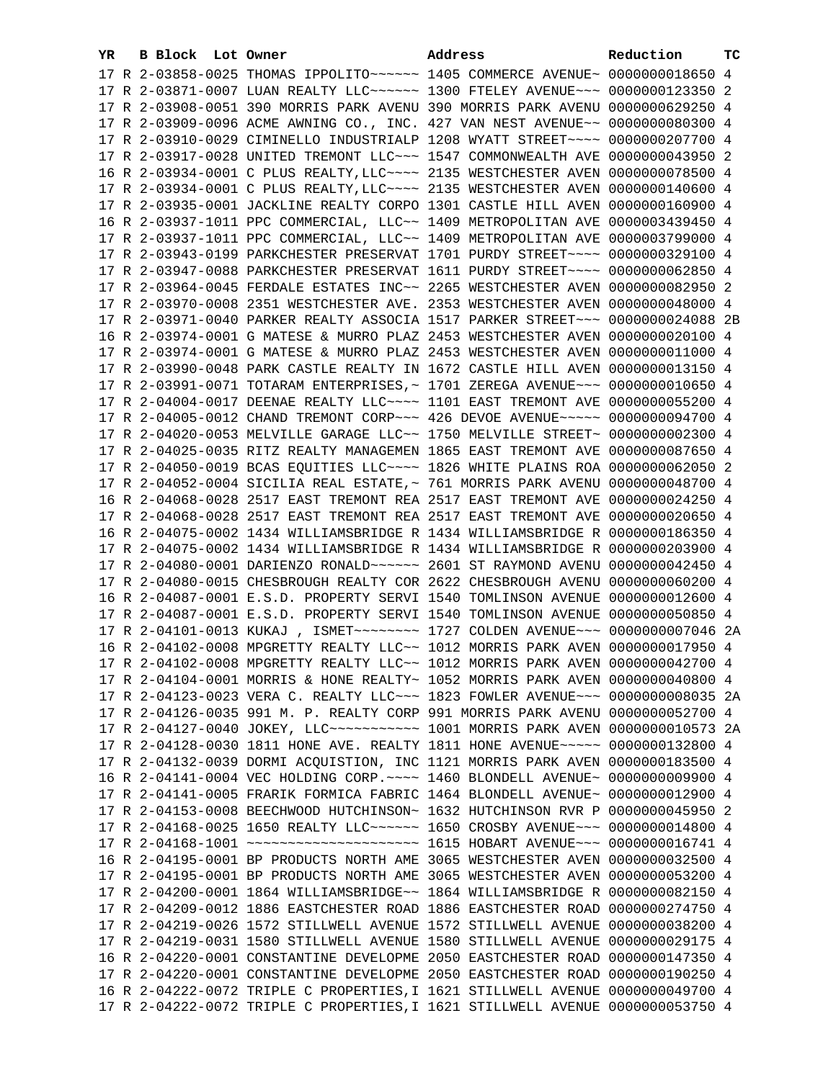| YR. | B Block Lot Owner |                                                                                                                                                                 | Address | Reduction | TC. |
|-----|-------------------|-----------------------------------------------------------------------------------------------------------------------------------------------------------------|---------|-----------|-----|
|     |                   | 17 R 2-03858-0025 THOMAS IPPOLITO~~~~~~ 1405 COMMERCE AVENUE~ 0000000018650 4                                                                                   |         |           |     |
|     |                   | 17 R 2-03871-0007 LUAN REALTY LLC ----- 1300 FTELEY AVENUE -- 0000000123350 2                                                                                   |         |           |     |
|     |                   | 17 R 2-03908-0051 390 MORRIS PARK AVENU 390 MORRIS PARK AVENU 0000000629250 4                                                                                   |         |           |     |
|     |                   | 17 R 2-03909-0096 ACME AWNING CO., INC. 427 VAN NEST AVENUE~~ 0000000080300 4                                                                                   |         |           |     |
|     |                   | 17 R 2-03910-0029 CIMINELLO INDUSTRIALP 1208 WYATT STREET~~~~ 0000000207700 4                                                                                   |         |           |     |
|     |                   | 17 R 2-03917-0028 UNITED TREMONT LLC~~~ 1547 COMMONWEALTH AVE 0000000043950 2                                                                                   |         |           |     |
|     |                   | 16 R 2-03934-0001 C PLUS REALTY, LLC ~~~~ 2135 WESTCHESTER AVEN 0000000078500 4                                                                                 |         |           |     |
|     |                   | 17 R 2-03934-0001 C PLUS REALTY, LLC ~~~~ 2135 WESTCHESTER AVEN 0000000140600 4                                                                                 |         |           |     |
|     |                   | 17 R 2-03935-0001 JACKLINE REALTY CORPO 1301 CASTLE HILL AVEN 0000000160900 4                                                                                   |         |           |     |
|     |                   | 16 R 2-03937-1011 PPC COMMERCIAL, LLC~~ 1409 METROPOLITAN AVE 0000003439450 4                                                                                   |         |           |     |
|     |                   | 17 R 2-03937-1011 PPC COMMERCIAL, LLC~~ 1409 METROPOLITAN AVE 0000003799000 4                                                                                   |         |           |     |
|     |                   | 17 R 2-03943-0199 PARKCHESTER PRESERVAT 1701 PURDY STREET~~~~ 0000000329100 4                                                                                   |         |           |     |
|     |                   | 17 R 2-03947-0088 PARKCHESTER PRESERVAT 1611 PURDY STREET~~~~ 0000000062850 4                                                                                   |         |           |     |
|     |                   | 17 R 2-03964-0045 FERDALE ESTATES INC~~ 2265 WESTCHESTER AVEN 0000000082950 2                                                                                   |         |           |     |
|     |                   | 17 R 2-03970-0008 2351 WESTCHESTER AVE. 2353 WESTCHESTER AVEN 0000000048000 4                                                                                   |         |           |     |
|     |                   | 17 R 2-03971-0040 PARKER REALTY ASSOCIA 1517 PARKER STREET~~~ 0000000024088 2B                                                                                  |         |           |     |
|     |                   | 16 R 2-03974-0001 G MATESE & MURRO PLAZ 2453 WESTCHESTER AVEN 0000000020100 4                                                                                   |         |           |     |
|     |                   | 17 R 2-03974-0001 G MATESE & MURRO PLAZ 2453 WESTCHESTER AVEN 0000000011000 4                                                                                   |         |           |     |
|     |                   | 17 R 2-03990-0048 PARK CASTLE REALTY IN 1672 CASTLE HILL AVEN 0000000013150 4                                                                                   |         |           |     |
|     |                   |                                                                                                                                                                 |         |           |     |
|     |                   | 17 R 2-03991-0071 TOTARAM ENTERPRISES, ~ 1701 ZEREGA AVENUE~~~ 0000000010650 4<br>17 R 2-04004-0017 DEENAE REALTY LLC~~~~ 1101 EAST TREMONT AVE 0000000055200 4 |         |           |     |
|     |                   | 17 R 2-04005-0012 CHAND TREMONT CORP~~~ 426 DEVOE AVENUE~~~~~ 0000000094700 4                                                                                   |         |           |     |
|     |                   | 17 R 2-04020-0053 MELVILLE GARAGE LLC~~ 1750 MELVILLE STREET~ 0000000002300 4                                                                                   |         |           |     |
|     |                   | 17 R 2-04025-0035 RITZ REALTY MANAGEMEN 1865 EAST TREMONT AVE 0000000087650 4                                                                                   |         |           |     |
|     |                   | 17 R 2-04050-0019 BCAS EQUITIES LLC~~~~ 1826 WHITE PLAINS ROA 0000000062050 2                                                                                   |         |           |     |
|     |                   | 17 R 2-04052-0004 SICILIA REAL ESTATE, ~ 761 MORRIS PARK AVENU 0000000048700 4                                                                                  |         |           |     |
|     |                   | 16 R 2-04068-0028 2517 EAST TREMONT REA 2517 EAST TREMONT AVE 0000000024250 4                                                                                   |         |           |     |
|     |                   | 17 R 2-04068-0028 2517 EAST TREMONT REA 2517 EAST TREMONT AVE 0000000020650 4                                                                                   |         |           |     |
|     |                   | 16 R 2-04075-0002 1434 WILLIAMSBRIDGE R 1434 WILLIAMSBRIDGE R 0000000186350 4                                                                                   |         |           |     |
|     |                   | 17 R 2-04075-0002 1434 WILLIAMSBRIDGE R 1434 WILLIAMSBRIDGE R 0000000203900 4                                                                                   |         |           |     |
|     |                   |                                                                                                                                                                 |         |           |     |
|     |                   | 17 R 2-04080-0015 CHESBROUGH REALTY COR 2622 CHESBROUGH AVENU 0000000060200 4                                                                                   |         |           |     |
|     |                   | 16 R 2-04087-0001 E.S.D. PROPERTY SERVI 1540 TOMLINSON AVENUE 0000000012600 4                                                                                   |         |           |     |
|     |                   | 17 R 2-04087-0001 E.S.D. PROPERTY SERVI 1540 TOMLINSON AVENUE 0000000050850 4                                                                                   |         |           |     |
|     |                   | 17 R 2-04101-0013 KUKAJ , ISMET~~~~~~~~ 1727 COLDEN AVENUE~~~ 0000000007046 2A                                                                                  |         |           |     |
|     |                   | 16 R 2-04102-0008 MPGRETTY REALTY LLC~~ 1012 MORRIS PARK AVEN 0000000017950 4                                                                                   |         |           |     |
|     |                   | 17 R 2-04102-0008 MPGRETTY REALTY LLC~~ 1012 MORRIS PARK AVEN 0000000042700 4                                                                                   |         |           |     |
|     |                   | 17 R 2-04104-0001 MORRIS & HONE REALTY~ 1052 MORRIS PARK AVEN 0000000040800 4                                                                                   |         |           |     |
|     |                   | 17 R 2-04123-0023 VERA C. REALTY LLC~~~ 1823 FOWLER AVENUE~~~ 0000000008035 2A                                                                                  |         |           |     |
|     |                   | 17 R 2-04126-0035 991 M. P. REALTY CORP 991 MORRIS PARK AVENU 0000000052700 4                                                                                   |         |           |     |
|     |                   | 17 R 2-04127-0040 JOKEY, LLC ---------- 1001 MORRIS PARK AVEN 0000000010573 2A                                                                                  |         |           |     |
|     |                   | 17 R 2-04128-0030 1811 HONE AVE. REALTY 1811 HONE AVENUE~~~~~ 0000000132800 4                                                                                   |         |           |     |
|     |                   | 17 R 2-04132-0039 DORMI ACQUISTION, INC 1121 MORRIS PARK AVEN 0000000183500 4                                                                                   |         |           |     |
|     |                   | 16 R 2-04141-0004 VEC HOLDING CORP. ~~~~ 1460 BLONDELL AVENUE~ 0000000009900 4                                                                                  |         |           |     |
|     |                   | 17 R 2-04141-0005 FRARIK FORMICA FABRIC 1464 BLONDELL AVENUE~ 0000000012900 4                                                                                   |         |           |     |
|     |                   | 17 R 2-04153-0008 BEECHWOOD HUTCHINSON~ 1632 HUTCHINSON RVR P 0000000045950 2                                                                                   |         |           |     |
|     |                   | 17 R 2-04168-0025 1650 REALTY LLC ----- 1650 CROSBY AVENUE -- 0000000014800 4                                                                                   |         |           |     |
|     |                   |                                                                                                                                                                 |         |           |     |
|     |                   | 16 R 2-04195-0001 BP PRODUCTS NORTH AME 3065 WESTCHESTER AVEN 0000000032500 4                                                                                   |         |           |     |
|     |                   | 17 R 2-04195-0001 BP PRODUCTS NORTH AME 3065 WESTCHESTER AVEN 0000000053200 4                                                                                   |         |           |     |
|     |                   | 17 R 2-04200-0001 1864 WILLIAMSBRIDGE~~ 1864 WILLIAMSBRIDGE R 0000000082150 4                                                                                   |         |           |     |
|     |                   | 17 R 2-04209-0012 1886 EASTCHESTER ROAD 1886 EASTCHESTER ROAD 0000000274750 4                                                                                   |         |           |     |
|     |                   | 17 R 2-04219-0026 1572 STILLWELL AVENUE 1572 STILLWELL AVENUE 0000000038200 4                                                                                   |         |           |     |
|     |                   | 17 R 2-04219-0031 1580 STILLWELL AVENUE 1580 STILLWELL AVENUE 0000000029175 4                                                                                   |         |           |     |
|     |                   | 16 R 2-04220-0001 CONSTANTINE DEVELOPME 2050 EASTCHESTER ROAD 0000000147350 4                                                                                   |         |           |     |
|     |                   | 17 R 2-04220-0001 CONSTANTINE DEVELOPME 2050 EASTCHESTER ROAD 0000000190250 4                                                                                   |         |           |     |
|     |                   | 16 R 2-04222-0072 TRIPLE C PROPERTIES, I 1621 STILLWELL AVENUE 0000000049700 4                                                                                  |         |           |     |
|     |                   | 17 R 2-04222-0072 TRIPLE C PROPERTIES, I 1621 STILLWELL AVENUE 0000000053750 4                                                                                  |         |           |     |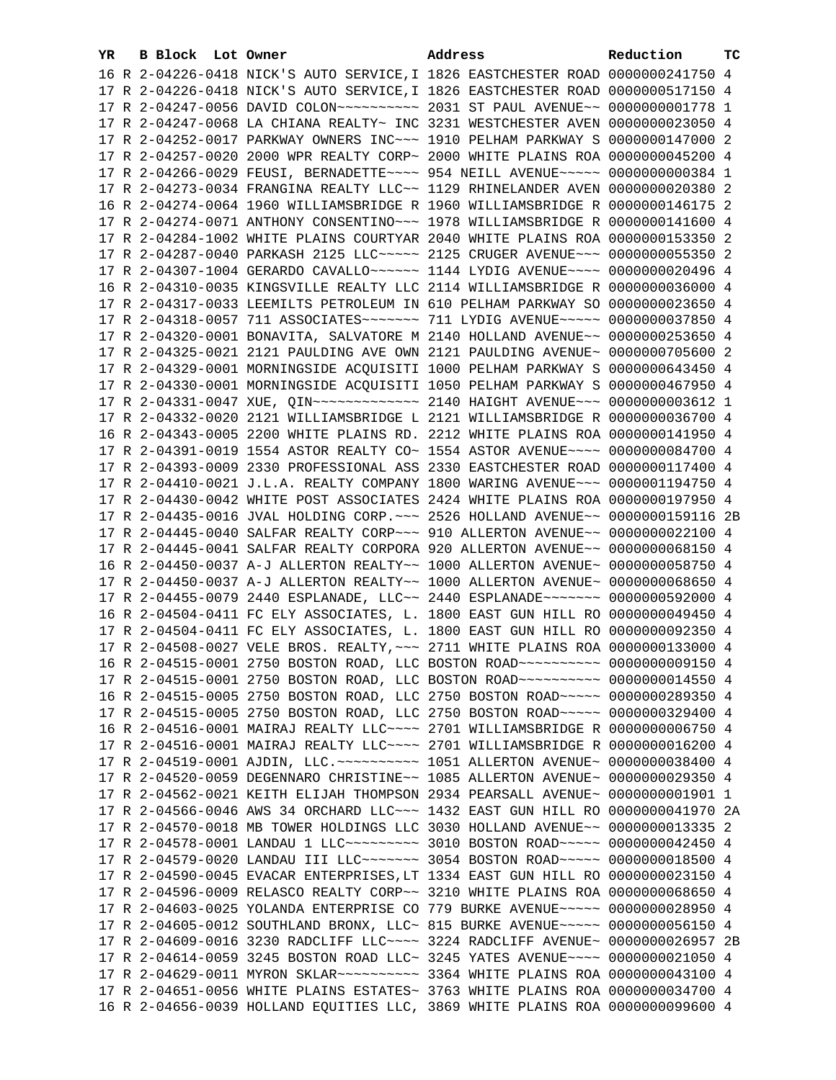| YR. | B Block Lot Owner |                                                                                                                                                                | Address | Reduction | ТC |
|-----|-------------------|----------------------------------------------------------------------------------------------------------------------------------------------------------------|---------|-----------|----|
|     |                   | 16 R 2-04226-0418 NICK'S AUTO SERVICE, I 1826 EASTCHESTER ROAD 0000000241750 4                                                                                 |         |           |    |
|     |                   | 17 R 2-04226-0418 NICK'S AUTO SERVICE, I 1826 EASTCHESTER ROAD 0000000517150 4                                                                                 |         |           |    |
|     |                   |                                                                                                                                                                |         |           |    |
|     |                   | 17 R 2-04247-0068 LA CHIANA REALTY~ INC 3231 WESTCHESTER AVEN 0000000023050 4                                                                                  |         |           |    |
|     |                   | 17 R 2-04252-0017 PARKWAY OWNERS INC~~~ 1910 PELHAM PARKWAY S 0000000147000 2                                                                                  |         |           |    |
|     |                   | 17 R 2-04257-0020 2000 WPR REALTY CORP~ 2000 WHITE PLAINS ROA 0000000045200 4                                                                                  |         |           |    |
|     |                   | 17 R 2-04266-0029 FEUSI, BERNADETTE~~~~ 954 NEILL AVENUE~~~~~ 0000000000384 1                                                                                  |         |           |    |
|     |                   | 17 R 2-04273-0034 FRANGINA REALTY LLC~~ 1129 RHINELANDER AVEN 0000000020380 2                                                                                  |         |           |    |
|     |                   | 16 R 2-04274-0064 1960 WILLIAMSBRIDGE R 1960 WILLIAMSBRIDGE R 0000000146175 2                                                                                  |         |           |    |
|     |                   | 17 R 2-04274-0071 ANTHONY CONSENTINO~~~ 1978 WILLIAMSBRIDGE R 0000000141600 4                                                                                  |         |           |    |
|     |                   | 17 R 2-04284-1002 WHITE PLAINS COURTYAR 2040 WHITE PLAINS ROA 0000000153350 2                                                                                  |         |           |    |
|     |                   | 17 R 2-04287-0040 PARKASH 2125 LLC ~~~~~ 2125 CRUGER AVENUE ~~~ 0000000055350 2                                                                                |         |           |    |
|     |                   | 17 R 2-04307-1004 GERARDO CAVALLO~~~~~~ 1144 LYDIG AVENUE~~~~ 0000000020496 4                                                                                  |         |           |    |
|     |                   | 16 R 2-04310-0035 KINGSVILLE REALTY LLC 2114 WILLIAMSBRIDGE R 0000000036000 4                                                                                  |         |           |    |
|     |                   | 17 R 2-04317-0033 LEEMILTS PETROLEUM IN 610 PELHAM PARKWAY SO 0000000023650 4                                                                                  |         |           |    |
|     |                   | 17 R 2-04318-0057 711 ASSOCIATES~~~~~~~~ 711 LYDIG AVENUE~~~~~ 0000000037850 4                                                                                 |         |           |    |
|     |                   | 17 R 2-04320-0001 BONAVITA, SALVATORE M 2140 HOLLAND AVENUE~~ 0000000253650 4                                                                                  |         |           |    |
|     |                   | 17 R 2-04325-0021 2121 PAULDING AVE OWN 2121 PAULDING AVENUE~ 0000000705600 2                                                                                  |         |           |    |
|     |                   | 17 R 2-04329-0001 MORNINGSIDE ACQUISITI 1000 PELHAM PARKWAY S 0000000643450 4                                                                                  |         |           |    |
|     |                   | 17 R 2-04330-0001 MORNINGSIDE ACQUISITI 1050 PELHAM PARKWAY S 0000000467950 4                                                                                  |         |           |    |
|     |                   |                                                                                                                                                                |         |           |    |
|     |                   | 17 R 2-04332-0020 2121 WILLIAMSBRIDGE L 2121 WILLIAMSBRIDGE R 0000000036700 4                                                                                  |         |           |    |
|     |                   | 16 R 2-04343-0005 2200 WHITE PLAINS RD. 2212 WHITE PLAINS ROA 0000000141950 4                                                                                  |         |           |    |
|     |                   | 17 R 2-04391-0019 1554 ASTOR REALTY CO~ 1554 ASTOR AVENUE~~~~ 0000000084700 4                                                                                  |         |           |    |
|     |                   | 17 R 2-04393-0009 2330 PROFESSIONAL ASS 2330 EASTCHESTER ROAD 0000000117400 4                                                                                  |         |           |    |
|     |                   | 17 R 2-04410-0021 J.L.A. REALTY COMPANY 1800 WARING AVENUE~~~ 0000001194750 4                                                                                  |         |           |    |
|     |                   | 17 R 2-04430-0042 WHITE POST ASSOCIATES 2424 WHITE PLAINS ROA 0000000197950 4                                                                                  |         |           |    |
|     |                   | 17 R 2-04435-0016 JVAL HOLDING CORP. ~~~ 2526 HOLLAND AVENUE~~ 0000000159116 2B                                                                                |         |           |    |
|     |                   | 17 R 2-04445-0040 SALFAR REALTY CORP~~~ 910 ALLERTON AVENUE~~ 0000000022100 4                                                                                  |         |           |    |
|     |                   | 17 R 2-04445-0041 SALFAR REALTY CORPORA 920 ALLERTON AVENUE~~ 0000000068150 4                                                                                  |         |           |    |
|     |                   | 16 R 2-04450-0037 A-J ALLERTON REALTY~~ 1000 ALLERTON AVENUE~ 0000000058750 4                                                                                  |         |           |    |
|     |                   | 17 R 2-04450-0037 A-J ALLERTON REALTY~~ 1000 ALLERTON AVENUE~ 0000000068650 4                                                                                  |         |           |    |
|     |                   | 17 R 2-04455-0079 2440 ESPLANADE, LLC~~ 2440 ESPLANADE~~~~~~~ 0000000592000 4                                                                                  |         |           |    |
|     |                   | 16 R 2-04504-0411 FC ELY ASSOCIATES, L. 1800 EAST GUN HILL RO 0000000049450 4                                                                                  |         |           |    |
|     |                   | 17 R 2-04504-0411 FC ELY ASSOCIATES, L. 1800 EAST GUN HILL RO 0000000092350 4                                                                                  |         |           |    |
|     |                   | 17 R 2-04508-0027 VELE BROS. REALTY, ~~~ 2711 WHITE PLAINS ROA 0000000133000 4                                                                                 |         |           |    |
|     |                   | 16 R 2-04515-0001 2750 BOSTON ROAD, LLC BOSTON ROAD~~~~~~~~~~ 0000000009150 4                                                                                  |         |           |    |
|     |                   | 17 R 2-04515-0001 2750 BOSTON ROAD, LLC BOSTON ROAD~~~~~~~~~~ 0000000014550 4                                                                                  |         |           |    |
|     |                   | 16 R 2-04515-0005 2750 BOSTON ROAD, LLC 2750 BOSTON ROAD~~~~~ 0000000289350 4                                                                                  |         |           |    |
|     |                   | 17 R 2-04515-0005 2750 BOSTON ROAD, LLC 2750 BOSTON ROAD ~~~~~ 0000000329400 4                                                                                 |         |           |    |
|     |                   | 16 R 2-04516-0001 MAIRAJ REALTY LLC ~~~~ 2701 WILLIAMSBRIDGE R 0000000006750 4                                                                                 |         |           |    |
|     |                   | 17 R 2-04516-0001 MAIRAJ REALTY LLC~~~~ 2701 WILLIAMSBRIDGE R 0000000016200 4                                                                                  |         |           |    |
|     |                   | 17 R 2-04519-0001 AJDIN, LLC. ~~~~~~~~~~~~~~~ 1051 ALLERTON AVENUE~ 0000000038400 4                                                                            |         |           |    |
|     |                   | 17 R 2-04520-0059 DEGENNARO CHRISTINE~~ 1085 ALLERTON AVENUE~ 0000000029350 4<br>17 R 2-04562-0021 KEITH ELIJAH THOMPSON 2934 PEARSALL AVENUE~ 0000000001901 1 |         |           |    |
|     |                   | 17 R 2-04566-0046 AWS 34 ORCHARD LLC~~~ 1432 EAST GUN HILL RO 0000000041970 2A                                                                                 |         |           |    |
|     |                   | 17 R 2-04570-0018 MB TOWER HOLDINGS LLC 3030 HOLLAND AVENUE~~ 0000000013335 2                                                                                  |         |           |    |
|     |                   | 17 R 2-04578-0001 LANDAU 1 LLC~~~~~~~~~~~~~~ 3010 BOSTON ROAD~~~~~~ 0000000042450 4                                                                            |         |           |    |
|     |                   | 17 R 2-04579-0020 LANDAU III LLC~~~~~~~ 3054 BOSTON ROAD~~~~~ 0000000018500 4                                                                                  |         |           |    |
|     |                   | 17 R 2-04590-0045 EVACAR ENTERPRISES, LT 1334 EAST GUN HILL RO 0000000023150 4                                                                                 |         |           |    |
|     |                   | 17 R 2-04596-0009 RELASCO REALTY CORP~~ 3210 WHITE PLAINS ROA 0000000068650 4                                                                                  |         |           |    |
|     |                   | 17 R 2-04603-0025 YOLANDA ENTERPRISE CO 779 BURKE AVENUE~~~~~ 0000000028950 4                                                                                  |         |           |    |
|     |                   | 17 R 2-04605-0012 SOUTHLAND BRONX, LLC~ 815 BURKE AVENUE~~~~~ 0000000056150 4                                                                                  |         |           |    |
|     |                   | 17 R 2-04609-0016 3230 RADCLIFF LLC ~~~~ 3224 RADCLIFF AVENUE~ 0000000026957 2B                                                                                |         |           |    |
|     |                   | 17 R 2-04614-0059 3245 BOSTON ROAD LLC~ 3245 YATES AVENUE~~~~ 0000000021050 4                                                                                  |         |           |    |
|     |                   |                                                                                                                                                                |         |           |    |
|     |                   | 17 R 2-04651-0056 WHITE PLAINS ESTATES~ 3763 WHITE PLAINS ROA 0000000034700 4                                                                                  |         |           |    |
|     |                   | 16 R 2-04656-0039 HOLLAND EQUITIES LLC, 3869 WHITE PLAINS ROA 0000000099600 4                                                                                  |         |           |    |
|     |                   |                                                                                                                                                                |         |           |    |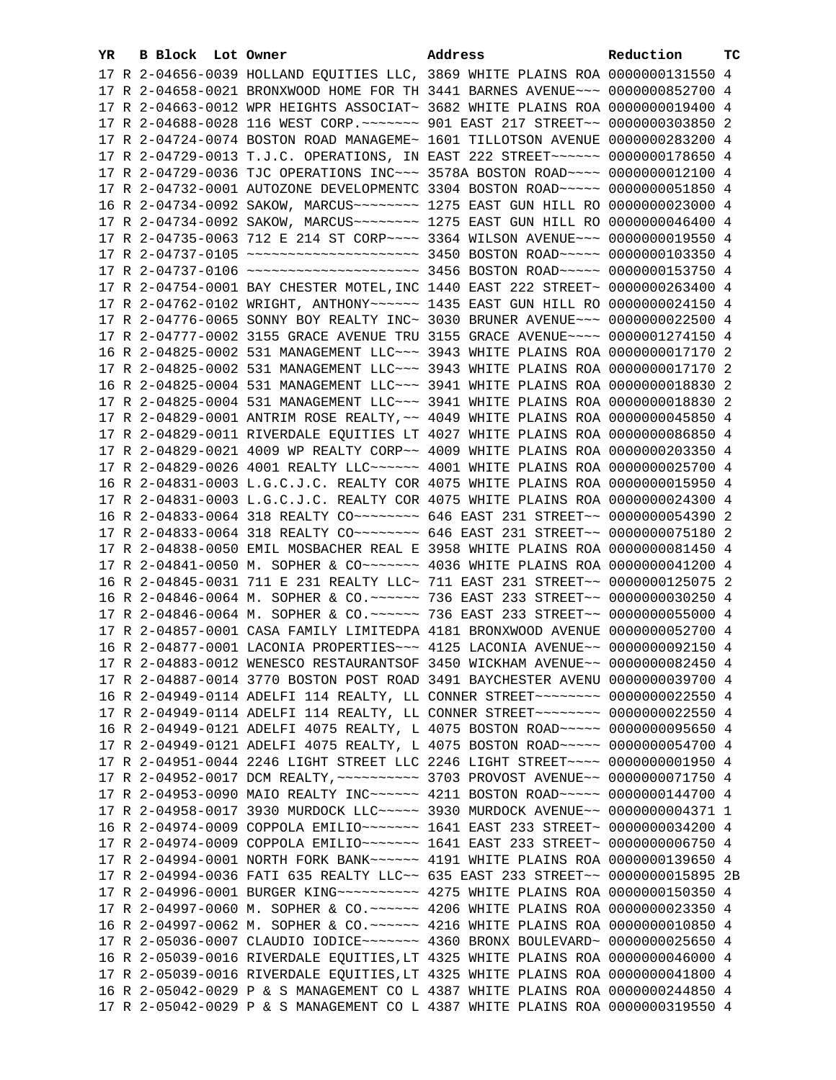| YR. | B Block Lot Owner |                                                                                  | Address | Reduction | тc |
|-----|-------------------|----------------------------------------------------------------------------------|---------|-----------|----|
|     |                   | 17 R 2-04656-0039 HOLLAND EQUITIES LLC, 3869 WHITE PLAINS ROA 0000000131550 4    |         |           |    |
|     |                   | 17 R 2-04658-0021 BRONXWOOD HOME FOR TH 3441 BARNES AVENUE~~~ 0000000852700 4    |         |           |    |
|     |                   | 17 R 2-04663-0012 WPR HEIGHTS ASSOCIAT~ 3682 WHITE PLAINS ROA 0000000019400 4    |         |           |    |
|     |                   | 17 R 2-04688-0028 116 WEST CORP. ~~~~~~~ 901 EAST 217 STREET~~ 0000000303850 2   |         |           |    |
|     |                   | 17 R 2-04724-0074 BOSTON ROAD MANAGEME~ 1601 TILLOTSON AVENUE 0000000283200 4    |         |           |    |
|     |                   | 17 R 2-04729-0013 T.J.C. OPERATIONS, IN EAST 222 STREET~~~~~~~ 0000000178650 4   |         |           |    |
|     |                   | 17 R 2-04729-0036 TJC OPERATIONS INC~~~ 3578A BOSTON ROAD~~~~ 0000000012100 4    |         |           |    |
|     |                   | 17 R 2-04732-0001 AUTOZONE DEVELOPMENTC 3304 BOSTON ROAD~~~~~ 0000000051850 4    |         |           |    |
|     |                   | 16 R 2-04734-0092 SAKOW, MARCUS ------- 1275 EAST GUN HILL RO 0000000023000 4    |         |           |    |
|     |                   | 17 R 2-04734-0092 SAKOW, MARCUS ~~~~~~~~~ 1275 EAST GUN HILL RO 0000000046400 4  |         |           |    |
|     |                   | 17 R 2-04735-0063 712 E 214 ST CORP~~~~ 3364 WILSON AVENUE~~~ 0000000019550 4    |         |           |    |
|     |                   | 17 R 2-04737-0105 ~~~~~~~~~~~~~~~~~~~~~~~~ 3450 BOSTON ROAD~~~~~ 0000000103350 4 |         |           |    |
|     |                   | 17 R 2-04737-0106 ~~~~~~~~~~~~~~~~~~~~~~~ 3456 BOSTON ROAD~~~~~ 0000000153750 4  |         |           |    |
|     |                   | 17 R 2-04754-0001 BAY CHESTER MOTEL, INC 1440 EAST 222 STREET~ 0000000263400 4   |         |           |    |
|     |                   | 17 R 2-04762-0102 WRIGHT, ANTHONY~~~~~~ 1435 EAST GUN HILL RO 0000000024150 4    |         |           |    |
|     |                   | 17 R 2-04776-0065 SONNY BOY REALTY INC~ 3030 BRUNER AVENUE~~~ 0000000022500 4    |         |           |    |
|     |                   | 17 R 2-04777-0002 3155 GRACE AVENUE TRU 3155 GRACE AVENUE~~~~ 0000001274150 4    |         |           |    |
|     |                   | 16 R 2-04825-0002 531 MANAGEMENT LLC~~~ 3943 WHITE PLAINS ROA 0000000017170 2    |         |           |    |
|     |                   | 17 R 2-04825-0002 531 MANAGEMENT LLC~~~ 3943 WHITE PLAINS ROA 0000000017170 2    |         |           |    |
|     |                   | 16 R 2-04825-0004 531 MANAGEMENT LLC~~~ 3941 WHITE PLAINS ROA 0000000018830 2    |         |           |    |
|     |                   | 17 R 2-04825-0004 531 MANAGEMENT LLC~~~ 3941 WHITE PLAINS ROA 0000000018830 2    |         |           |    |
|     |                   | 17 R 2-04829-0001 ANTRIM ROSE REALTY, ~~ 4049 WHITE PLAINS ROA 0000000045850 4   |         |           |    |
|     |                   | 17 R 2-04829-0011 RIVERDALE EQUITIES LT 4027 WHITE PLAINS ROA 0000000086850 4    |         |           |    |
|     |                   | 17 R 2-04829-0021 4009 WP REALTY CORP~~ 4009 WHITE PLAINS ROA 0000000203350 4    |         |           |    |
|     |                   | 17 R 2-04829-0026 4001 REALTY LLC ----- 4001 WHITE PLAINS ROA 0000000025700 4    |         |           |    |
|     |                   | 16 R 2-04831-0003 L.G.C.J.C. REALTY COR 4075 WHITE PLAINS ROA 0000000015950 4    |         |           |    |
|     |                   | 17 R 2-04831-0003 L.G.C.J.C. REALTY COR 4075 WHITE PLAINS ROA 0000000024300 4    |         |           |    |
|     |                   | 16 R 2-04833-0064 318 REALTY CO ------- 646 EAST 231 STREET -~ 0000000054390 2   |         |           |    |
|     |                   | 17 R 2-04833-0064 318 REALTY CO ------- 646 EAST 231 STREET -~ 0000000075180 2   |         |           |    |
|     |                   | 17 R 2-04838-0050 EMIL MOSBACHER REAL E 3958 WHITE PLAINS ROA 0000000081450 4    |         |           |    |
|     |                   |                                                                                  |         |           |    |
|     |                   | 16 R 2-04845-0031 711 E 231 REALTY LLC~ 711 EAST 231 STREET~~ 0000000125075 2    |         |           |    |
|     |                   | 16 R 2-04846-0064 M. SOPHER & CO.~~~~~~ 736 EAST 233 STREET~~ 0000000030250 4    |         |           |    |
|     |                   | 17 R 2-04846-0064 M. SOPHER & CO.~~~~~~ 736 EAST 233 STREET~~ 0000000055000 4    |         |           |    |
|     |                   | 17 R 2-04857-0001 CASA FAMILY LIMITEDPA 4181 BRONXWOOD AVENUE 0000000052700 4    |         |           |    |
|     |                   | 16 R 2-04877-0001 LACONIA PROPERTIES~~~ 4125 LACONIA AVENUE~~ 0000000092150 4    |         |           |    |
|     |                   | 17 R 2-04883-0012 WENESCO RESTAURANTSOF 3450 WICKHAM AVENUE~~ 0000000082450 4    |         |           |    |
|     |                   | 17 R 2-04887-0014 3770 BOSTON POST ROAD 3491 BAYCHESTER AVENU 0000000039700 4    |         |           |    |
|     |                   | 16 R 2-04949-0114 ADELFI 114 REALTY, LL CONNER STREET~~~~~~~~ 0000000022550 4    |         |           |    |
|     |                   | 17 R 2-04949-0114 ADELFI 114 REALTY, LL CONNER STREET~~~~~~~~ 0000000022550 4    |         |           |    |
|     |                   | 16 R 2-04949-0121 ADELFI 4075 REALTY, L 4075 BOSTON ROAD~~~~~ 0000000095650 4    |         |           |    |
|     |                   | 17 R 2-04949-0121 ADELFI 4075 REALTY, L 4075 BOSTON ROAD~~~~~ 0000000054700 4    |         |           |    |
|     |                   | 17 R 2-04951-0044 2246 LIGHT STREET LLC 2246 LIGHT STREET~~~~ 00000000001950 4   |         |           |    |
|     |                   |                                                                                  |         |           |    |
|     |                   | 17 R 2-04953-0090 MAIO REALTY INC ----- 4211 BOSTON ROAD ---- 0000000144700 4    |         |           |    |
|     |                   | 17 R 2-04958-0017 3930 MURDOCK LLC ~~~~~ 3930 MURDOCK AVENUE ~~ 0000000004371 1  |         |           |    |
|     |                   | 16 R 2-04974-0009 COPPOLA EMILIO~~~~~~~ 1641 EAST 233 STREET~ 0000000034200 4    |         |           |    |
|     |                   |                                                                                  |         |           |    |
|     |                   | 17 R 2-04994-0001 NORTH FORK BANK~~~~~~ 4191 WHITE PLAINS ROA 0000000139650 4    |         |           |    |
|     |                   | 17 R 2-04994-0036 FATI 635 REALTY LLC~~ 635 EAST 233 STREET~~ 0000000015895 2B   |         |           |    |
|     |                   | 17 R 2-04996-0001 BURGER KING~~~~~~~~~~ 4275 WHITE PLAINS ROA 0000000150350 4    |         |           |    |
|     |                   | 17 R 2-04997-0060 M. SOPHER & CO.~~~~~~ 4206 WHITE PLAINS ROA 0000000023350 4    |         |           |    |
|     |                   | 16 R 2-04997-0062 M. SOPHER & CO.~~~~~~ 4216 WHITE PLAINS ROA 0000000010850 4    |         |           |    |
|     |                   | 17 R 2-05036-0007 CLAUDIO IODICE~~~~~~~~ 4360 BRONX BOULEVARD~ 0000000025650 4   |         |           |    |
|     |                   | 16 R 2-05039-0016 RIVERDALE EQUITIES, LT 4325 WHITE PLAINS ROA 0000000046000 4   |         |           |    |
|     |                   | 17 R 2-05039-0016 RIVERDALE EQUITIES, LT 4325 WHITE PLAINS ROA 0000000041800 4   |         |           |    |
|     |                   | 16 R 2-05042-0029 P & S MANAGEMENT CO L 4387 WHITE PLAINS ROA 0000000244850 4    |         |           |    |
|     |                   | 17 R 2-05042-0029 P & S MANAGEMENT CO L 4387 WHITE PLAINS ROA 0000000319550 4    |         |           |    |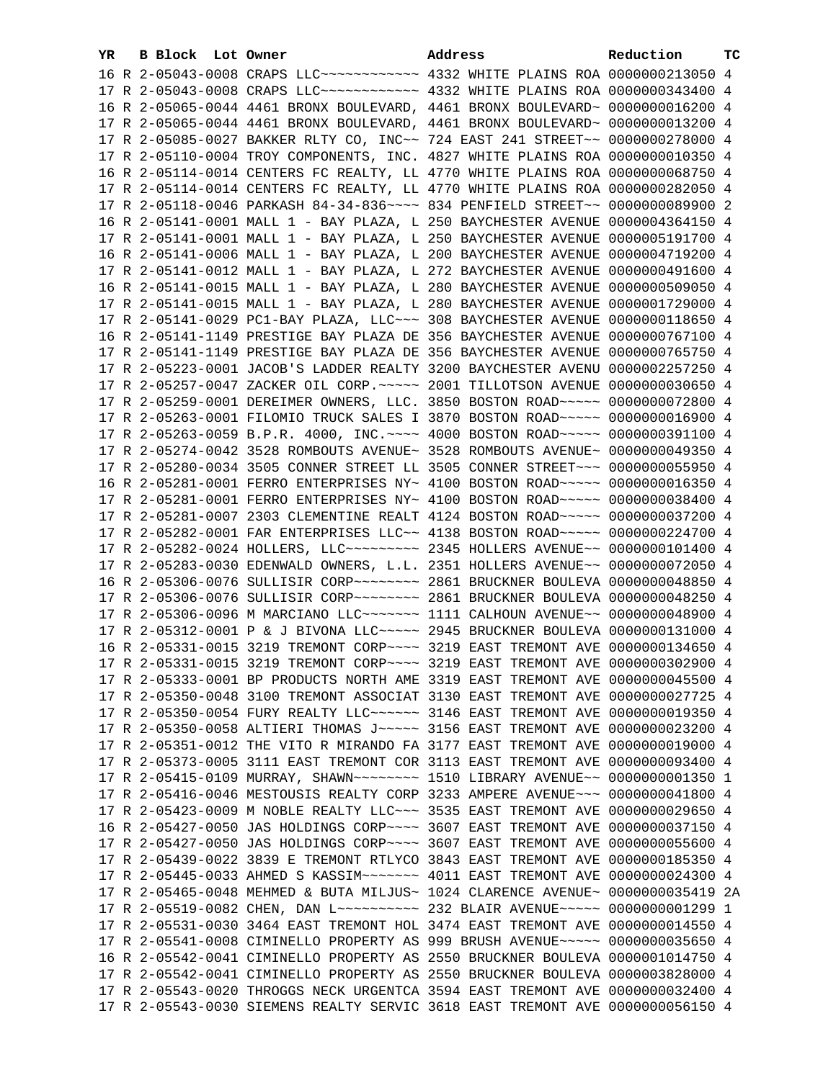| YR | B Block Lot Owner |                                                                                          | Address                                                                       | Reduction       | тc |
|----|-------------------|------------------------------------------------------------------------------------------|-------------------------------------------------------------------------------|-----------------|----|
|    |                   | 16 R 2-05043-0008 CRAPS LLC ----------- 4332 WHITE PLAINS ROA 0000000213050 4            |                                                                               |                 |    |
|    |                   | 17 R 2-05043-0008 CRAPS LLC ----------- 4332 WHITE PLAINS ROA 0000000343400 4            |                                                                               |                 |    |
|    |                   | 16 R 2-05065-0044 4461 BRONX BOULEVARD, 4461 BRONX BOULEVARD~ 0000000016200 4            |                                                                               |                 |    |
|    |                   | 17 R 2-05065-0044 4461 BRONX BOULEVARD, 4461 BRONX BOULEVARD~ 0000000013200 4            |                                                                               |                 |    |
|    |                   | 17 R 2-05085-0027 BAKKER RLTY CO, INC~~ 724 EAST 241 STREET~~ 0000000278000 4            |                                                                               |                 |    |
|    |                   | 17 R 2-05110-0004 TROY COMPONENTS, INC. 4827 WHITE PLAINS ROA 0000000010350 4            |                                                                               |                 |    |
|    |                   | 16 R 2-05114-0014 CENTERS FC REALTY, LL 4770 WHITE PLAINS ROA 0000000068750 4            |                                                                               |                 |    |
|    |                   | 17 R 2-05114-0014 CENTERS FC REALTY, LL 4770 WHITE PLAINS ROA 0000000282050 4            |                                                                               |                 |    |
|    |                   | 17 R 2-05118-0046 PARKASH 84-34-836~~~~ 834 PENFIELD STREET~~                            |                                                                               | 0000000089900 2 |    |
|    |                   |                                                                                          |                                                                               | 0000004364150 4 |    |
|    |                   | 16 R 2-05141-0001 MALL 1 - BAY PLAZA, L 250 BAYCHESTER AVENUE                            |                                                                               |                 |    |
|    |                   | 17 R 2-05141-0001 MALL 1 - BAY PLAZA, L 250 BAYCHESTER AVENUE 0000005191700 4            |                                                                               |                 |    |
|    |                   | 16 R 2-05141-0006 MALL 1 - BAY PLAZA, L 200 BAYCHESTER AVENUE 0000004719200 4            |                                                                               |                 |    |
|    |                   | 17 R 2-05141-0012 MALL 1 - BAY PLAZA, L 272 BAYCHESTER AVENUE                            |                                                                               | 0000000491600 4 |    |
|    |                   | 16 R 2-05141-0015 MALL 1 - BAY PLAZA, L 280 BAYCHESTER AVENUE                            |                                                                               | 0000000509050 4 |    |
|    |                   | 17 R 2-05141-0015 MALL 1 - BAY PLAZA, L 280 BAYCHESTER AVENUE                            |                                                                               | 0000001729000 4 |    |
|    |                   | 17 R 2-05141-0029 PC1-BAY PLAZA, LLC~~~ 308 BAYCHESTER AVENUE                            |                                                                               | 0000000118650 4 |    |
|    |                   | 16 R 2-05141-1149 PRESTIGE BAY PLAZA DE 356 BAYCHESTER AVENUE                            |                                                                               | 0000000767100 4 |    |
|    |                   | 17 R 2-05141-1149 PRESTIGE BAY PLAZA DE 356 BAYCHESTER AVENUE                            |                                                                               | 0000000765750 4 |    |
|    |                   | 17 R 2-05223-0001 JACOB'S LADDER REALTY 3200 BAYCHESTER AVENU                            |                                                                               | 0000002257250 4 |    |
|    |                   | 17 R 2-05257-0047 ZACKER OIL CORP. ~~~~~ 2001 TILLOTSON AVENUE                           |                                                                               | 0000000030650 4 |    |
|    |                   | 17 R 2-05259-0001 DEREIMER OWNERS, LLC. 3850 BOSTON ROAD~~~~~ 0000000072800 4            |                                                                               |                 |    |
|    |                   | 17 R 2-05263-0001 FILOMIO TRUCK SALES I 3870 BOSTON ROAD~~~~~ 0000000016900 4            |                                                                               |                 |    |
|    |                   | 17 R 2-05263-0059 B.P.R. 4000, INC. ~~~~ 4000 BOSTON ROAD ~~~~~ 0000000391100 4          |                                                                               |                 |    |
|    |                   | 17 R 2-05274-0042 3528 ROMBOUTS AVENUE~ 3528 ROMBOUTS AVENUE~ 0000000049350 4            |                                                                               |                 |    |
|    |                   | 17 R 2-05280-0034 3505 CONNER STREET LL 3505 CONNER STREET~~~ 0000000055950 4            |                                                                               |                 |    |
|    |                   | 16 R 2-05281-0001 FERRO ENTERPRISES NY~ 4100 BOSTON ROAD~~~~~ 0000000016350 4            |                                                                               |                 |    |
|    |                   | 17 R 2-05281-0001 FERRO ENTERPRISES NY~ 4100 BOSTON ROAD~~~~~ 0000000038400 4            |                                                                               |                 |    |
|    |                   | 17 R 2-05281-0007 2303 CLEMENTINE REALT 4124 BOSTON ROAD~~~~~ 0000000037200 4            |                                                                               |                 |    |
|    |                   | 17 R 2-05282-0001 FAR ENTERPRISES LLC~~ 4138 BOSTON ROAD~~~~~ 0000000224700 4            |                                                                               |                 |    |
|    |                   | 17 R 2-05282-0024 HOLLERS, LLC -------- 2345 HOLLERS AVENUE- 0000000101400 4             |                                                                               |                 |    |
|    |                   | 17 R 2-05283-0030 EDENWALD OWNERS, L.L. 2351 HOLLERS AVENUE~~ 0000000072050 4            |                                                                               |                 |    |
|    |                   | 16 R 2-05306-0076 SULLISIR CORP ~~~~~~~~ 2861 BRUCKNER BOULEVA 0000000048850 4           |                                                                               |                 |    |
|    |                   | 17 R 2-05306-0076 SULLISIR CORP~~~~~~~~ 2861 BRUCKNER BOULEVA 0000000048250 4            |                                                                               |                 |    |
|    |                   | 17 R 2-05306-0096 M MARCIANO LLC ------ 1111 CALHOUN AVENUE -- 0000000048900 4           |                                                                               |                 |    |
|    |                   | 17 R 2-05312-0001 P & J BIVONA LLC ~~~~~ 2945 BRUCKNER BOULEVA 0000000131000 4           |                                                                               |                 |    |
|    |                   | 16 R 2-05331-0015 3219 TREMONT CORP~~~~ 3219 EAST TREMONT AVE 0000000134650 4            |                                                                               |                 |    |
|    |                   | 17 R 2-05331-0015 3219 TREMONT CORP~~~~ 3219 EAST TREMONT AVE 0000000302900 4            |                                                                               |                 |    |
|    |                   | 17 R 2-05333-0001 BP PRODUCTS NORTH AME 3319 EAST TREMONT AVE 0000000045500 4            |                                                                               |                 |    |
|    |                   | 17 R 2-05350-0048 3100 TREMONT ASSOCIAT 3130 EAST TREMONT AVE 0000000027725 4            |                                                                               |                 |    |
|    |                   | 17 R 2-05350-0054 FURY REALTY LLC ----- 3146 EAST TREMONT AVE 0000000019350 4            |                                                                               |                 |    |
|    |                   | 17 R 2-05350-0058 ALTIERI THOMAS J ~~~~~ 3156 EAST TREMONT AVE 0000000023200 4           |                                                                               |                 |    |
|    |                   | 17 R 2-05351-0012 THE VITO R MIRANDO FA 3177 EAST TREMONT AVE 0000000019000 4            |                                                                               |                 |    |
|    |                   | 17 R 2-05373-0005 3111 EAST TREMONT COR 3113 EAST TREMONT AVE 0000000093400 4            |                                                                               |                 |    |
|    |                   | 17 R 2-05415-0109 MURRAY, SHAWN~~~~~~~~ 1510 LIBRARY AVENUE~~ 0000000001350 1            |                                                                               |                 |    |
|    |                   | 17 R 2-05416-0046 MESTOUSIS REALTY CORP 3233 AMPERE AVENUE~~~ 0000000041800 4            |                                                                               |                 |    |
|    |                   | 17 R 2-05423-0009 M NOBLE REALTY LLC ~~~ 3535 EAST TREMONT AVE 0000000029650 4           |                                                                               |                 |    |
|    |                   | 16 R 2-05427-0050 JAS HOLDINGS CORP~~~~ 3607 EAST TREMONT AVE 0000000037150 4            |                                                                               |                 |    |
|    |                   | 17 R 2-05427-0050 JAS HOLDINGS CORP~~~~ 3607 EAST TREMONT AVE 0000000055600 4            |                                                                               |                 |    |
|    |                   | 17 R 2-05439-0022 3839 E TREMONT RTLYCO 3843 EAST TREMONT AVE 0000000185350 4            |                                                                               |                 |    |
|    |                   |                                                                                          |                                                                               |                 |    |
|    |                   | 17 R 2-05465-0048 MEHMED & BUTA MILJUS~ 1024 CLARENCE AVENUE~ 0000000035419 2A           |                                                                               |                 |    |
|    |                   | 17 R 2-05519-0082 CHEN, DAN L~~~~~~~~~~~~~~~~~~~ 232 BLAIR AVENUE~~~~~~ 00000000001299 1 |                                                                               |                 |    |
|    |                   | 17 R 2-05531-0030 3464 EAST TREMONT HOL 3474 EAST TREMONT AVE 0000000014550 4            |                                                                               |                 |    |
|    |                   | 17 R 2-05541-0008 CIMINELLO PROPERTY AS 999 BRUSH AVENUE~~~~~ 0000000035650 4            |                                                                               |                 |    |
|    |                   | 16 R 2-05542-0041 CIMINELLO PROPERTY AS 2550 BRUCKNER BOULEVA 0000001014750 4            |                                                                               |                 |    |
|    |                   | 17 R 2-05542-0041 CIMINELLO PROPERTY AS 2550 BRUCKNER BOULEVA 0000003828000 4            |                                                                               |                 |    |
|    |                   | 17 R 2-05543-0020 THROGGS NECK URGENTCA 3594 EAST TREMONT AVE 0000000032400 4            |                                                                               |                 |    |
|    |                   |                                                                                          | 17 R 2-05543-0030 SIEMENS REALTY SERVIC 3618 EAST TREMONT AVE 0000000056150 4 |                 |    |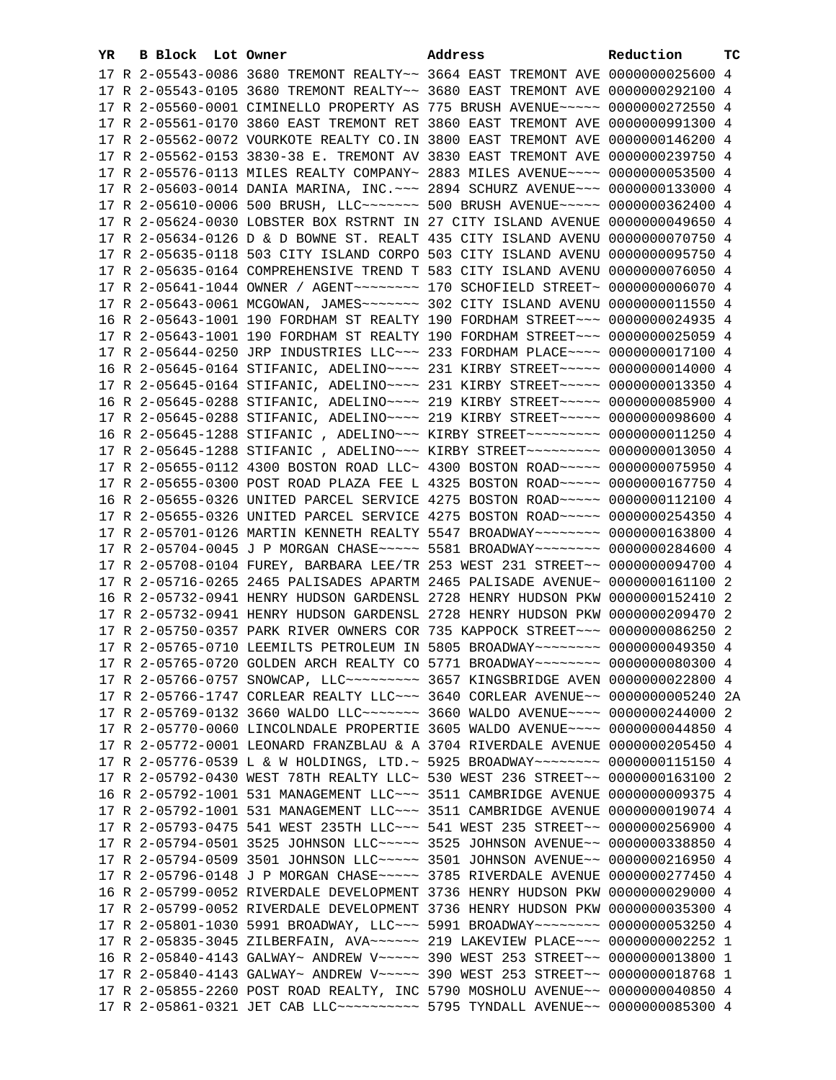| YR | B Block Lot Owner |                                                                                    | Address | Reduction       | тc |
|----|-------------------|------------------------------------------------------------------------------------|---------|-----------------|----|
|    |                   | 17 R 2-05543-0086 3680 TREMONT REALTY~~ 3664 EAST TREMONT AVE 0000000025600 4      |         |                 |    |
|    |                   | 17 R 2-05543-0105 3680 TREMONT REALTY~~ 3680 EAST TREMONT AVE                      |         | 0000000292100 4 |    |
|    |                   | 17 R 2-05560-0001 CIMINELLO PROPERTY AS 775 BRUSH AVENUE~~~~~                      |         | 0000000272550 4 |    |
|    |                   | 17 R 2-05561-0170 3860 EAST TREMONT RET 3860 EAST TREMONT AVE                      |         | 0000000991300 4 |    |
|    |                   | 17 R 2-05562-0072 VOURKOTE REALTY CO. IN 3800 EAST TREMONT AVE                     |         | 0000000146200 4 |    |
|    |                   | 17 R 2-05562-0153 3830-38 E. TREMONT AV 3830 EAST TREMONT AVE                      |         | 0000000239750 4 |    |
|    |                   | 17 R 2-05576-0113 MILES REALTY COMPANY~ 2883 MILES AVENUE~~~~                      |         | 0000000053500 4 |    |
|    |                   |                                                                                    |         |                 |    |
|    |                   | 17 R 2-05603-0014 DANIA MARINA, INC. ~~~ 2894 SCHURZ AVENUE~~~ 0000000133000 4     |         |                 |    |
|    |                   | 17 R 2-05610-0006 500 BRUSH, LLC~~~~~~~~ 500 BRUSH AVENUE~~~~~ 0000000362400 4     |         |                 |    |
|    |                   | 17 R 2-05624-0030 LOBSTER BOX RSTRNT IN 27 CITY ISLAND AVENUE                      |         | 0000000049650 4 |    |
|    |                   | 17 R 2-05634-0126 D & D BOWNE ST. REALT 435 CITY ISLAND AVENU                      |         | 0000000070750 4 |    |
|    |                   | 17 R 2-05635-0118 503 CITY ISLAND CORPO 503 CITY ISLAND AVENU                      |         | 0000000095750 4 |    |
|    |                   | 17 R 2-05635-0164 COMPREHENSIVE TREND T 583 CITY ISLAND AVENU                      |         | 0000000076050 4 |    |
|    |                   | 17 R 2-05641-1044 OWNER / AGENT~~~~~~~~ 170 SCHOFIELD STREET~                      |         | 0000000006070 4 |    |
|    |                   |                                                                                    |         | 0000000011550 4 |    |
|    |                   | 16 R 2-05643-1001 190 FORDHAM ST REALTY 190 FORDHAM STREET~~~                      |         | 0000000024935 4 |    |
|    |                   | 17 R 2-05643-1001 190 FORDHAM ST REALTY 190 FORDHAM STREET~~~                      |         | 0000000025059 4 |    |
|    |                   | 17 R 2-05644-0250 JRP INDUSTRIES LLC~~~ 233 FORDHAM PLACE~~~~                      |         | 0000000017100 4 |    |
|    |                   | 16 R 2-05645-0164 STIFANIC, ADELINO~~~~ 231 KIRBY STREET~~~~~ 0000000014000 4      |         |                 |    |
|    |                   | 17 R 2-05645-0164 STIFANIC, ADELINO~~~~ 231 KIRBY STREET~~~~~ 0000000013350 4      |         |                 |    |
|    |                   | 16 R 2-05645-0288 STIFANIC, ADELINO~~~~ 219 KIRBY STREET~~~~~ 0000000085900 4      |         |                 |    |
|    |                   | 17 R 2-05645-0288 STIFANIC, ADELINO~~~~ 219 KIRBY STREET~~~~~ 0000000098600 4      |         |                 |    |
|    |                   | 16 R 2-05645-1288 STIFANIC , ADELINO~~~ KIRBY STREET~~~~~~~~~ 0000000011250 4      |         |                 |    |
|    |                   | 17 R 2-05645-1288 STIFANIC , ADELINO~~~ KIRBY STREET~~~~~~~~~ 0000000013050 4      |         |                 |    |
|    |                   | 17 R 2-05655-0112 4300 BOSTON ROAD LLC~ 4300 BOSTON ROAD~~~~~ 0000000075950 4      |         |                 |    |
|    |                   | 17 R 2-05655-0300 POST ROAD PLAZA FEE L 4325 BOSTON ROAD~~~~~ 0000000167750 4      |         |                 |    |
|    |                   | 16 R 2-05655-0326 UNITED PARCEL SERVICE 4275 BOSTON ROAD~~~~~ 0000000112100 4      |         |                 |    |
|    |                   | 17 R 2-05655-0326 UNITED PARCEL SERVICE 4275 BOSTON ROAD~~~~~ 0000000254350 4      |         |                 |    |
|    |                   | 17 R 2-05701-0126 MARTIN KENNETH REALTY 5547 BROADWAY~~~~~~~~ 0000000163800 4      |         |                 |    |
|    |                   | 17 R 2-05704-0045 J P MORGAN CHASE ~~~~~ 5581 BROADWAY ~~~~~~~~ 0000000284600 4    |         |                 |    |
|    |                   | 17 R 2-05708-0104 FUREY, BARBARA LEE/TR 253 WEST 231 STREET~~ 0000000094700 4      |         |                 |    |
|    |                   | 17 R 2-05716-0265 2465 PALISADES APARTM 2465 PALISADE AVENUE~                      |         | 0000000161100 2 |    |
|    |                   | 16 R 2-05732-0941 HENRY HUDSON GARDENSL 2728 HENRY HUDSON PKW 0000000152410 2      |         |                 |    |
|    |                   | 17 R 2-05732-0941 HENRY HUDSON GARDENSL 2728 HENRY HUDSON PKW 0000000209470 2      |         |                 |    |
|    |                   | 17 R 2-05750-0357 PARK RIVER OWNERS COR 735 KAPPOCK STREET~~~ 0000000086250 2      |         |                 |    |
|    |                   | 17 R 2-05765-0710 LEEMILTS PETROLEUM IN 5805 BROADWAY~~~~~~~~ 0000000049350 4      |         |                 |    |
|    |                   | 17 R 2-05765-0720 GOLDEN ARCH REALTY CO 5771 BROADWAY~~~~~~~~ 0000000080300 4      |         |                 |    |
|    |                   | 17 R 2-05766-0757 SNOWCAP, LLC -------- 3657 KINGSBRIDGE AVEN 0000000022800 4      |         |                 |    |
|    |                   |                                                                                    |         |                 |    |
|    |                   | 17 R 2-05766-1747 CORLEAR REALTY LLC~~~ 3640 CORLEAR AVENUE~~ 0000000005240 2A     |         |                 |    |
|    |                   | 17 R 2-05769-0132 3660 WALDO LLC~~~~~~~~ 3660 WALDO AVENUE~~~~ 0000000244000 2     |         |                 |    |
|    |                   | 17 R 2-05770-0060 LINCOLNDALE PROPERTIE 3605 WALDO AVENUE~~~~ 0000000044850 4      |         |                 |    |
|    |                   | 17 R 2-05772-0001 LEONARD FRANZBLAU & A 3704 RIVERDALE AVENUE 0000000205450 4      |         |                 |    |
|    |                   | 17 R 2-05776-0539 L & W HOLDINGS, LTD. ~ 5925 BROADWAY ~~~~~~~~ 0000000115150 4    |         |                 |    |
|    |                   | 17 R 2-05792-0430 WEST 78TH REALTY LLC~ 530 WEST 236 STREET~~                      |         | 0000000163100 2 |    |
|    |                   | 16 R 2-05792-1001 531 MANAGEMENT LLC~~~ 3511 CAMBRIDGE AVENUE                      |         | 0000000009375 4 |    |
|    |                   | 17 R 2-05792-1001 531 MANAGEMENT LLC~~~ 3511 CAMBRIDGE AVENUE 0000000019074 4      |         |                 |    |
|    |                   | 17 R 2-05793-0475 541 WEST 235TH LLC -~~ 541 WEST 235 STREET -~ 0000000256900 4    |         |                 |    |
|    |                   | 17 R 2-05794-0501 3525 JOHNSON LLC~~~~~ 3525 JOHNSON AVENUE~~                      |         | 0000000338850 4 |    |
|    |                   | 17 R 2-05794-0509 3501 JOHNSON LLC~~~~~ 3501 JOHNSON AVENUE~~                      |         | 0000000216950 4 |    |
|    |                   | 17 R 2-05796-0148 J P MORGAN CHASE~~~~~ 3785 RIVERDALE AVENUE                      |         | 0000000277450 4 |    |
|    |                   | 16 R 2-05799-0052 RIVERDALE DEVELOPMENT 3736 HENRY HUDSON PKW                      |         | 0000000029000 4 |    |
|    |                   | 17 R 2-05799-0052 RIVERDALE DEVELOPMENT 3736 HENRY HUDSON PKW 0000000035300 4      |         |                 |    |
|    |                   | 17 R 2-05801-1030 5991 BROADWAY, LLC~~~ 5991 BROADWAY~~~~~~~~ 0000000053250 4      |         |                 |    |
|    |                   | 17 R 2-05835-3045 ZILBERFAIN, AVA~~~~~~ 219 LAKEVIEW PLACE~~~                      |         | 0000000002252 1 |    |
|    |                   | 16 R 2-05840-4143 GALWAY~ ANDREW V~~~~~ 390 WEST 253 STREET~~                      |         | 0000000013800 1 |    |
|    |                   | 17 R 2-05840-4143 GALWAY~ ANDREW V~~~~~ 390 WEST 253 STREET~~ 0000000018768 1      |         |                 |    |
|    |                   | 17 R 2-05855-2260 POST ROAD REALTY, INC 5790 MOSHOLU AVENUE~~ 0000000040850 4      |         |                 |    |
|    |                   | 17 R 2-05861-0321 JET CAB LLC~~~~~~~~~~~~~~~ 5795 TYNDALL AVENUE~~ 0000000085300 4 |         |                 |    |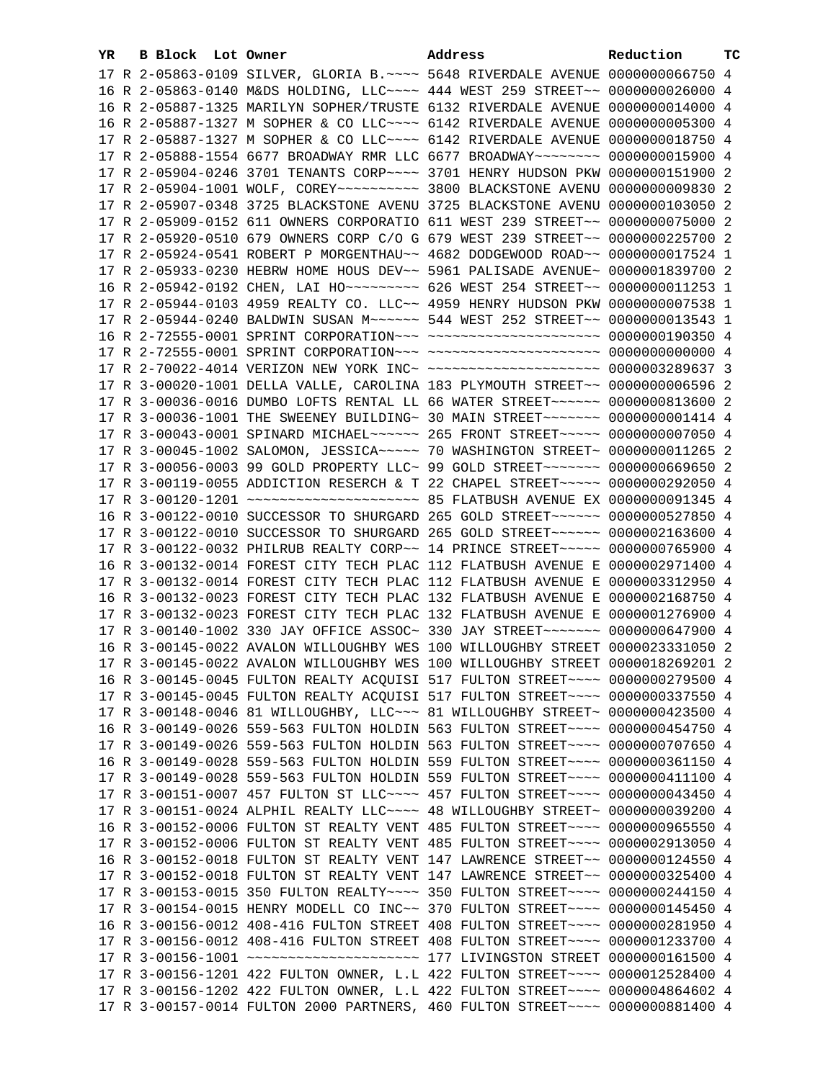| YR | B Block Lot Owner |                                                               | Address                                                                          | Reduction       | тc |
|----|-------------------|---------------------------------------------------------------|----------------------------------------------------------------------------------|-----------------|----|
|    |                   |                                                               | 17 R 2-05863-0109 SILVER, GLORIA B. ~~~~ 5648 RIVERDALE AVENUE 0000000066750 4   |                 |    |
|    |                   |                                                               | 16 R 2-05863-0140 M&DS HOLDING, LLC ~~~~ 444 WEST 259 STREET ~~ 0000000026000 4  |                 |    |
|    |                   | 16 R 2-05887-1325 MARILYN SOPHER/TRUSTE 6132 RIVERDALE AVENUE |                                                                                  | 0000000014000 4 |    |
|    |                   | 16 R 2-05887-1327 M SOPHER & CO LLC~~~~ 6142 RIVERDALE AVENUE |                                                                                  | 0000000005300 4 |    |
|    |                   | 17 R 2-05887-1327 M SOPHER & CO LLC~~~~ 6142 RIVERDALE AVENUE |                                                                                  | 0000000018750 4 |    |
|    |                   | 17 R 2-05888-1554 6677 BROADWAY RMR LLC 6677 BROADWAY~~~~~~~~ |                                                                                  | 0000000015900 4 |    |
|    |                   |                                                               | 17 R 2-05904-0246 3701 TENANTS CORP~~~~ 3701 HENRY HUDSON PKW                    | 0000000151900 2 |    |
|    |                   | 17 R 2-05904-1001 WOLF, COREY~~~~~~~~~~ 3800 BLACKSTONE AVENU |                                                                                  | 0000000009830 2 |    |
|    |                   | 17 R 2-05907-0348 3725 BLACKSTONE AVENU 3725 BLACKSTONE AVENU |                                                                                  | 0000000103050 2 |    |
|    |                   |                                                               |                                                                                  | 0000000075000 2 |    |
|    |                   | 17 R 2-05909-0152 611 OWNERS CORPORATIO 611 WEST 239 STREET~~ |                                                                                  | 0000000225700 2 |    |
|    |                   | 17 R 2-05920-0510 679 OWNERS CORP C/O G 679 WEST 239 STREET~~ |                                                                                  |                 |    |
|    |                   | 17 R 2-05924-0541 ROBERT P MORGENTHAU~~ 4682 DODGEWOOD ROAD~~ |                                                                                  | 0000000017524 1 |    |
|    |                   | 17 R 2-05933-0230 HEBRW HOME HOUS DEV~~ 5961 PALISADE AVENUE~ |                                                                                  | 0000001839700 2 |    |
|    |                   | 16 R 2-05942-0192 CHEN, LAI HO~~~~~~~~~ 626 WEST 254 STREET~~ |                                                                                  | 0000000011253 1 |    |
|    |                   | 17 R 2-05944-0103 4959 REALTY CO. LLC~~ 4959 HENRY HUDSON PKW |                                                                                  | 0000000007538 1 |    |
|    |                   |                                                               | 17 R 2-05944-0240 BALDWIN SUSAN M~~~~~~ 544 WEST 252 STREET~~ 0000000013543 1    |                 |    |
|    |                   |                                                               | 16 R 2-72555-0001 SPRINT CORPORATION -- - ---------------------- 0000000190350 4 |                 |    |
|    |                   |                                                               |                                                                                  |                 |    |
|    |                   |                                                               | 17 R 2-70022-4014 VERIZON NEW YORK INC~ ~~~~~~~~~~~~~~~~~~~~~ 0000003289637 3    |                 |    |
|    |                   |                                                               | 17 R 3-00020-1001 DELLA VALLE, CAROLINA 183 PLYMOUTH STREET~~ 0000000006596 2    |                 |    |
|    |                   |                                                               | 17 R 3-00036-0016 DUMBO LOFTS RENTAL LL 66 WATER STREET~~~~~~ 0000000813600 2    |                 |    |
|    |                   |                                                               | 17 R 3-00036-1001 THE SWEENEY BUILDING~ 30 MAIN STREET~~~~~~~~ 00000000001414 4  |                 |    |
|    |                   |                                                               | 17 R 3-00043-0001 SPINARD MICHAEL~~~~~~ 265 FRONT STREET~~~~~ 0000000007050 4    |                 |    |
|    |                   |                                                               | 17 R 3-00045-1002 SALOMON, JESSICA~~~~~ 70 WASHINGTON STREET~ 0000000011265 2    |                 |    |
|    |                   |                                                               | 17 R 3-00056-0003 99 GOLD PROPERTY LLC~ 99 GOLD STREET~~~~~~~~ 0000000669650 2   |                 |    |
|    |                   |                                                               | 17 R 3-00119-0055 ADDICTION RESERCH & T 22 CHAPEL STREET~~~~~ 0000000292050 4    |                 |    |
|    |                   |                                                               |                                                                                  |                 |    |
|    |                   |                                                               | 16 R 3-00122-0010 SUCCESSOR TO SHURGARD 265 GOLD STREET~~~~~~ 0000000527850 4    |                 |    |
|    |                   |                                                               | 17 R 3-00122-0010 SUCCESSOR TO SHURGARD 265 GOLD STREET~~~~~~ 0000002163600 4    |                 |    |
|    |                   |                                                               | 17 R 3-00122-0032 PHILRUB REALTY CORP~~ 14 PRINCE STREET~~~~~ 0000000765900 4    |                 |    |
|    |                   | 16 R 3-00132-0014 FOREST CITY TECH PLAC 112 FLATBUSH AVENUE E |                                                                                  | 0000002971400 4 |    |
|    |                   | 17 R 3-00132-0014 FOREST CITY TECH PLAC 112 FLATBUSH AVENUE E |                                                                                  | 0000003312950 4 |    |
|    |                   |                                                               | 16 R 3-00132-0023 FOREST CITY TECH PLAC 132 FLATBUSH AVENUE E 0000002168750 4    |                 |    |
|    |                   |                                                               | 17 R 3-00132-0023 FOREST CITY TECH PLAC 132 FLATBUSH AVENUE E 0000001276900 4    |                 |    |
|    |                   |                                                               | 17 R 3-00140-1002 330 JAY OFFICE ASSOC~ 330 JAY STREET~~~~~~~~ 0000000647900 4   |                 |    |
|    |                   |                                                               | 16 R 3-00145-0022 AVALON WILLOUGHBY WES 100 WILLOUGHBY STREET 0000023331050 2    |                 |    |
|    |                   |                                                               | 17 R 3-00145-0022 AVALON WILLOUGHBY WES 100 WILLOUGHBY STREET 0000018269201 2    |                 |    |
|    |                   |                                                               | 16 R 3-00145-0045 FULTON REALTY ACQUISI 517 FULTON STREET~~~~ 0000000279500 4    |                 |    |
|    |                   |                                                               | 17 R 3-00145-0045 FULTON REALTY ACQUISI 517 FULTON STREET~~~~ 0000000337550 4    |                 |    |
|    |                   |                                                               | 17 R 3-00148-0046 81 WILLOUGHBY, LLC~~~ 81 WILLOUGHBY STREET~ 0000000423500 4    |                 |    |
|    |                   |                                                               | 16 R 3-00149-0026 559-563 FULTON HOLDIN 563 FULTON STREET~~~~ 0000000454750 4    |                 |    |
|    |                   |                                                               | 17 R 3-00149-0026 559-563 FULTON HOLDIN 563 FULTON STREET~~~~ 0000000707650 4    |                 |    |
|    |                   |                                                               | 16 R 3-00149-0028 559-563 FULTON HOLDIN 559 FULTON STREET~~~~ 0000000361150 4    |                 |    |
|    |                   |                                                               | 17 R 3-00149-0028 559-563 FULTON HOLDIN 559 FULTON STREET~~~~ 0000000411100 4    |                 |    |
|    |                   |                                                               | 17 R 3-00151-0007 457 FULTON ST LLC~~~~ 457 FULTON STREET~~~~ 0000000043450 4    |                 |    |
|    |                   |                                                               | 17 R 3-00151-0024 ALPHIL REALTY LLC~~~~ 48 WILLOUGHBY STREET~ 0000000039200 4    |                 |    |
|    |                   |                                                               | 16 R 3-00152-0006 FULTON ST REALTY VENT 485 FULTON STREET~~~~ 0000000965550 4    |                 |    |
|    |                   |                                                               | 17 R 3-00152-0006 FULTON ST REALTY VENT 485 FULTON STREET~~~~ 0000002913050 4    |                 |    |
|    |                   |                                                               | 16 R 3-00152-0018 FULTON ST REALTY VENT 147 LAWRENCE STREET~~ 0000000124550 4    |                 |    |
|    |                   |                                                               | 17 R 3-00152-0018 FULTON ST REALTY VENT 147 LAWRENCE STREET~~ 0000000325400 4    |                 |    |
|    |                   |                                                               | 17 R 3-00153-0015 350 FULTON REALTY~~~~ 350 FULTON STREET~~~~ 0000000244150 4    |                 |    |
|    |                   |                                                               | 17 R 3-00154-0015 HENRY MODELL CO INC~~ 370 FULTON STREET~~~~ 0000000145450 4    |                 |    |
|    |                   |                                                               | 16 R 3-00156-0012 408-416 FULTON STREET 408 FULTON STREET~~~~ 0000000281950 4    |                 |    |
|    |                   |                                                               | 17 R 3-00156-0012 408-416 FULTON STREET 408 FULTON STREET~~~~ 0000001233700 4    |                 |    |
|    |                   |                                                               |                                                                                  |                 |    |
|    |                   |                                                               | 17 R 3-00156-1201 422 FULTON OWNER, L.L 422 FULTON STREET~~~~ 0000012528400 4    |                 |    |
|    |                   |                                                               | 17 R 3-00156-1202 422 FULTON OWNER, L.L 422 FULTON STREET~~~~ 0000004864602 4    |                 |    |
|    |                   |                                                               | 17 R 3-00157-0014 FULTON 2000 PARTNERS, 460 FULTON STREET~~~~ 0000000881400 4    |                 |    |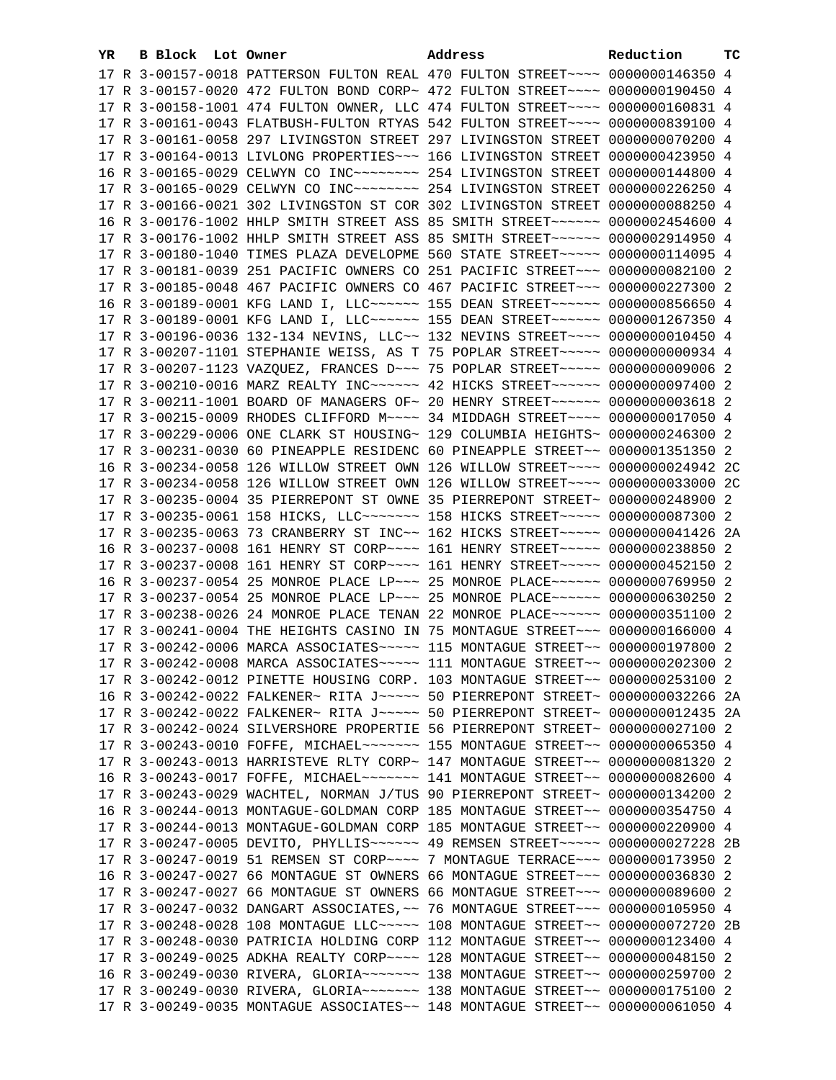| YR. | B Block Lot Owner |  | Address                                                                                                                                                        | Reduction | тc |
|-----|-------------------|--|----------------------------------------------------------------------------------------------------------------------------------------------------------------|-----------|----|
|     |                   |  | 17 R 3-00157-0018 PATTERSON FULTON REAL 470 FULTON STREET~~~~ 0000000146350 4                                                                                  |           |    |
|     |                   |  | 17 R 3-00157-0020 472 FULTON BOND CORP~ 472 FULTON STREET~~~~ 0000000190450 4                                                                                  |           |    |
|     |                   |  | 17 R 3-00158-1001 474 FULTON OWNER, LLC 474 FULTON STREET~~~~ 0000000160831 4                                                                                  |           |    |
|     |                   |  | 17 R 3-00161-0043 FLATBUSH-FULTON RTYAS 542 FULTON STREET~~~~ 0000000839100 4                                                                                  |           |    |
|     |                   |  | 17 R 3-00161-0058 297 LIVINGSTON STREET 297 LIVINGSTON STREET 0000000070200 4                                                                                  |           |    |
|     |                   |  | 17 R 3-00164-0013 LIVLONG PROPERTIES~~~ 166 LIVINGSTON STREET 0000000423950 4                                                                                  |           |    |
|     |                   |  | 16 R 3-00165-0029 CELWYN CO INC~~~~~~~~~~~~~~ 254 LIVINGSTON STREET 0000000144800 4                                                                            |           |    |
|     |                   |  | 17 R 3-00165-0029 CELWYN CO INC~~~~~~~~~~~~~~ 254 LIVINGSTON STREET 0000000226250 4                                                                            |           |    |
|     |                   |  | 17 R 3-00166-0021 302 LIVINGSTON ST COR 302 LIVINGSTON STREET 0000000088250 4                                                                                  |           |    |
|     |                   |  | 16 R 3-00176-1002 HHLP SMITH STREET ASS 85 SMITH STREET~~~~~~ 0000002454600 4                                                                                  |           |    |
|     |                   |  | 17 R 3-00176-1002 HHLP SMITH STREET ASS 85 SMITH STREET~~~~~~ 0000002914950 4                                                                                  |           |    |
|     |                   |  | 17 R 3-00180-1040 TIMES PLAZA DEVELOPME 560 STATE STREET~~~~~ 0000000114095 4                                                                                  |           |    |
|     |                   |  | 17 R 3-00181-0039 251 PACIFIC OWNERS CO 251 PACIFIC STREET~~~ 0000000082100 2                                                                                  |           |    |
|     |                   |  | 17 R 3-00185-0048 467 PACIFIC OWNERS CO 467 PACIFIC STREET~~~ 0000000227300 2                                                                                  |           |    |
|     |                   |  | 16 R 3-00189-0001 KFG LAND I, LLC ----- 155 DEAN STREET ----- 0000000856650 4                                                                                  |           |    |
|     |                   |  | 17 R 3-00189-0001 KFG LAND I, LLC ----- 155 DEAN STREET ----- 0000001267350 4                                                                                  |           |    |
|     |                   |  | 17 R 3-00196-0036 132-134 NEVINS, LLC~~ 132 NEVINS STREET~~~~ 0000000010450 4                                                                                  |           |    |
|     |                   |  | 17 R 3-00207-1101 STEPHANIE WEISS, AS T 75 POPLAR STREET~~~~~ 0000000000934 4<br>17 R 3-00207-1123 VAZQUEZ, FRANCES D~~~ 75 POPLAR STREET~~~~~ 0000000009006 2 |           |    |
|     |                   |  | 17 R 3-00210-0016 MARZ REALTY INC~~~~~~~ 42 HICKS STREET~~~~~~ 0000000097400 2                                                                                 |           |    |
|     |                   |  | 17 R 3-00211-1001 BOARD OF MANAGERS OF~ 20 HENRY STREET~~~~~~ 0000000003618 2                                                                                  |           |    |
|     |                   |  | 17 R 3-00215-0009 RHODES CLIFFORD M~~~~ 34 MIDDAGH STREET~~~~ 0000000017050 4                                                                                  |           |    |
|     |                   |  | 17 R 3-00229-0006 ONE CLARK ST HOUSING~ 129 COLUMBIA HEIGHTS~ 0000000246300 2                                                                                  |           |    |
|     |                   |  | 17 R 3-00231-0030 60 PINEAPPLE RESIDENC 60 PINEAPPLE STREET~~ 0000001351350 2                                                                                  |           |    |
|     |                   |  | 16 R 3-00234-0058 126 WILLOW STREET OWN 126 WILLOW STREET~~~~ 0000000024942 2C                                                                                 |           |    |
|     |                   |  | 17 R 3-00234-0058 126 WILLOW STREET OWN 126 WILLOW STREET~~~~ 0000000033000 2C                                                                                 |           |    |
|     |                   |  | 17 R 3-00235-0004 35 PIERREPONT ST OWNE 35 PIERREPONT STREET~ 0000000248900 2                                                                                  |           |    |
|     |                   |  | 17 R 3-00235-0061 158 HICKS, LLC ------- 158 HICKS STREET ---- 0000000087300 2                                                                                 |           |    |
|     |                   |  | 17 R 3-00235-0063 73 CRANBERRY ST INC~~ 162 HICKS STREET~~~~~ 0000000041426 2A                                                                                 |           |    |
|     |                   |  | 16 R 3-00237-0008 161 HENRY ST CORP~~~~ 161 HENRY STREET~~~~~ 0000000238850 2                                                                                  |           |    |
|     |                   |  | 17 R 3-00237-0008 161 HENRY ST CORP~~~~ 161 HENRY STREET~~~~~ 0000000452150 2                                                                                  |           |    |
|     |                   |  | 16 R 3-00237-0054 25 MONROE PLACE LP~~~ 25 MONROE PLACE~~~~~~ 0000000769950 2                                                                                  |           |    |
|     |                   |  | 17 R 3-00237-0054 25 MONROE PLACE LP~~~ 25 MONROE PLACE~~~~~~ 0000000630250 2                                                                                  |           |    |
|     |                   |  | 17 R 3-00238-0026 24 MONROE PLACE TENAN 22 MONROE PLACE~~~~~~ 0000000351100 2                                                                                  |           |    |
|     |                   |  | 17 R 3-00241-0004 THE HEIGHTS CASINO IN 75 MONTAGUE STREET~~~ 0000000166000 4                                                                                  |           |    |
|     |                   |  | 17 R 3-00242-0006 MARCA ASSOCIATES~~~~~ 115 MONTAGUE STREET~~ 0000000197800 2                                                                                  |           |    |
|     |                   |  | 17 R 3-00242-0008 MARCA ASSOCIATES~~~~~ 111 MONTAGUE STREET~~ 0000000202300 2                                                                                  |           |    |
|     |                   |  | 17 R 3-00242-0012 PINETTE HOUSING CORP. 103 MONTAGUE STREET~~ 0000000253100 2                                                                                  |           |    |
|     |                   |  | 16 R 3-00242-0022 FALKENER~ RITA J~~~~~ 50 PIERREPONT STREET~ 0000000032266 2A                                                                                 |           |    |
|     |                   |  | 17 R 3-00242-0022 FALKENER~ RITA J ~~~~~ 50 PIERREPONT STREET~ 0000000012435 2A                                                                                |           |    |
|     |                   |  | 17 R 3-00242-0024 SILVERSHORE PROPERTIE 56 PIERREPONT STREET~ 0000000027100 2                                                                                  |           |    |
|     |                   |  | 17 R 3-00243-0010 FOFFE, MICHAEL ------ 155 MONTAGUE STREET -- 0000000065350 4                                                                                 |           |    |
|     |                   |  | 17 R 3-00243-0013 HARRISTEVE RLTY CORP~ 147 MONTAGUE STREET~~ 0000000081320 2                                                                                  |           |    |
|     |                   |  | 16 R 3-00243-0017 FOFFE, MICHAEL ------ 141 MONTAGUE STREET -- 0000000082600 4                                                                                 |           |    |
|     |                   |  | 17 R 3-00243-0029 WACHTEL, NORMAN J/TUS 90 PIERREPONT STREET~ 0000000134200 2<br>16 R 3-00244-0013 MONTAGUE-GOLDMAN CORP 185 MONTAGUE STREET~~ 0000000354750 4 |           |    |
|     |                   |  | 17 R 3-00244-0013 MONTAGUE-GOLDMAN CORP 185 MONTAGUE STREET~~ 0000000220900 4                                                                                  |           |    |
|     |                   |  | 17 R 3-00247-0005 DEVITO, PHYLLIS~~~~~~ 49 REMSEN STREET~~~~~ 0000000027228 2B                                                                                 |           |    |
|     |                   |  | 17 R 3-00247-0019 51 REMSEN ST CORP~~~~ 7 MONTAGUE TERRACE~~~ 0000000173950 2                                                                                  |           |    |
|     |                   |  | 16 R 3-00247-0027 66 MONTAGUE ST OWNERS 66 MONTAGUE STREET~~~ 0000000036830 2                                                                                  |           |    |
|     |                   |  | 17 R 3-00247-0027 66 MONTAGUE ST OWNERS 66 MONTAGUE STREET~~~ 0000000089600 2                                                                                  |           |    |
|     |                   |  | 17 R 3-00247-0032 DANGART ASSOCIATES, ~~ 76 MONTAGUE STREET~~~ 0000000105950 4                                                                                 |           |    |
|     |                   |  | 17 R 3-00248-0028 108 MONTAGUE LLC ----- 108 MONTAGUE STREET -- 0000000072720 2B                                                                               |           |    |
|     |                   |  | 17 R 3-00248-0030 PATRICIA HOLDING CORP 112 MONTAGUE STREET~~ 0000000123400 4                                                                                  |           |    |
|     |                   |  | 17 R 3-00249-0025 ADKHA REALTY CORP~~~~ 128 MONTAGUE STREET~~ 0000000048150 2                                                                                  |           |    |
|     |                   |  | 16 R 3-00249-0030 RIVERA, GLORIA~~~~~~~~~~~~~ 138 MONTAGUE STREET~~~ 0000000259700 2                                                                           |           |    |
|     |                   |  | 17 R 3-00249-0030 RIVERA, GLORIA~~~~~~~~~~~~~ 138 MONTAGUE STREET~~~ 0000000175100 2                                                                           |           |    |
|     |                   |  | 17 R 3-00249-0035 MONTAGUE ASSOCIATES~~ 148 MONTAGUE STREET~~ 0000000061050 4                                                                                  |           |    |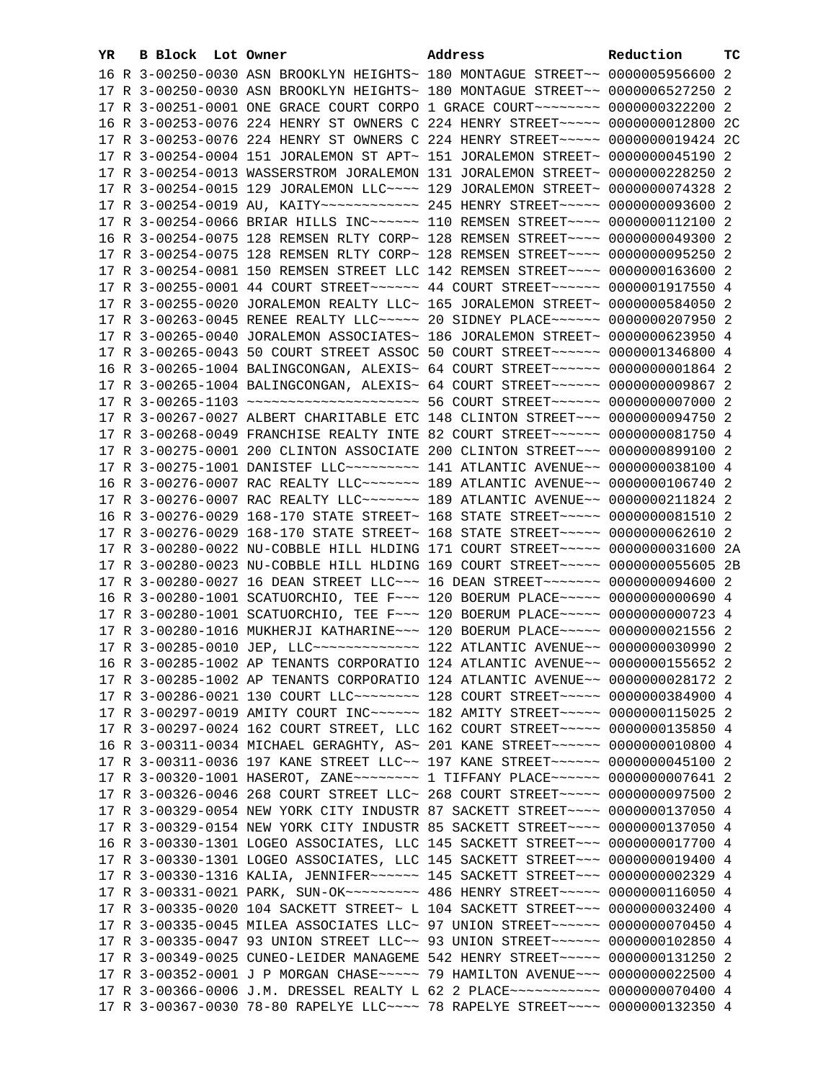| YR. | B Block Lot Owner |  | Address                                                                                 | Reduction | тc |
|-----|-------------------|--|-----------------------------------------------------------------------------------------|-----------|----|
|     |                   |  | 16 R 3-00250-0030 ASN BROOKLYN HEIGHTS~ 180 MONTAGUE STREET~~ 0000005956600 2           |           |    |
|     |                   |  | 17 R 3-00250-0030 ASN BROOKLYN HEIGHTS~ 180 MONTAGUE STREET~~ 0000006527250 2           |           |    |
|     |                   |  | 17 R 3-00251-0001 ONE GRACE COURT CORPO 1 GRACE COURT~~~~~~~~ 0000000322200 2           |           |    |
|     |                   |  | 16 R 3-00253-0076 224 HENRY ST OWNERS C 224 HENRY STREET~~~~~ 0000000012800 2C          |           |    |
|     |                   |  | 17 R 3-00253-0076 224 HENRY ST OWNERS C 224 HENRY STREET ~~~~~ 0000000019424 2C         |           |    |
|     |                   |  | 17 R 3-00254-0004 151 JORALEMON ST APT~ 151 JORALEMON STREET~ 0000000045190 2           |           |    |
|     |                   |  | 17 R 3-00254-0013 WASSERSTROM JORALEMON 131 JORALEMON STREET~ 0000000228250 2           |           |    |
|     |                   |  | 17 R 3-00254-0015 129 JORALEMON LLC~~~~ 129 JORALEMON STREET~ 0000000074328 2           |           |    |
|     |                   |  | 17 R 3-00254-0019 AU, KAITY ------------ 245 HENRY STREET ----- 0000000093600 2         |           |    |
|     |                   |  |                                                                                         |           |    |
|     |                   |  | 17 R 3-00254-0066 BRIAR HILLS INC ----- 110 REMSEN STREET --- 0000000112100 2           |           |    |
|     |                   |  | 16 R 3-00254-0075 128 REMSEN RLTY CORP~ 128 REMSEN STREET~~~~ 0000000049300 2           |           |    |
|     |                   |  | 17 R 3-00254-0075 128 REMSEN RLTY CORP~ 128 REMSEN STREET~~~~ 0000000095250 2           |           |    |
|     |                   |  | 17 R 3-00254-0081 150 REMSEN STREET LLC 142 REMSEN STREET~~~~ 0000000163600 2           |           |    |
|     |                   |  | 17 R 3-00255-0001 44 COURT STREET~~~~~~~ 44 COURT STREET~~~~~~ 0000001917550 4          |           |    |
|     |                   |  | 17 R 3-00255-0020 JORALEMON REALTY LLC~ 165 JORALEMON STREET~ 0000000584050 2           |           |    |
|     |                   |  | 17 R 3-00263-0045 RENEE REALTY LLC ---- 20 SIDNEY PLACE ----- 0000000207950 2           |           |    |
|     |                   |  | 17 R 3-00265-0040 JORALEMON ASSOCIATES~ 186 JORALEMON STREET~ 0000000623950 4           |           |    |
|     |                   |  | 17 R 3-00265-0043 50 COURT STREET ASSOC 50 COURT STREET~~~~~~ 0000001346800 4           |           |    |
|     |                   |  | 16 R 3-00265-1004 BALINGCONGAN, ALEXIS~ 64 COURT STREET~~~~~~~ 00000000001864 2         |           |    |
|     |                   |  | 17 R 3-00265-1004 BALINGCONGAN, ALEXIS~ 64 COURT STREET~~~~~~ 0000000009867 2           |           |    |
|     |                   |  | 17 R 3-00265-1103 ~~~~~~~~~~~~~~~~~~~~~~ 56 COURT STREET~~~~~~ 00000000007000 2         |           |    |
|     |                   |  | 17 R 3-00267-0027 ALBERT CHARITABLE ETC 148 CLINTON STREET~~~ 0000000094750 2           |           |    |
|     |                   |  | 17 R 3-00268-0049 FRANCHISE REALTY INTE 82 COURT STREET~~~~~~ 0000000081750 4           |           |    |
|     |                   |  | 17 R 3-00275-0001 200 CLINTON ASSOCIATE 200 CLINTON STREET~~~ 0000000899100 2           |           |    |
|     |                   |  | 17 R 3-00275-1001 DANISTEF LLC~~~~~~~~~~~~~~ 141 ATLANTIC AVENUE~~ 0000000038100 4      |           |    |
|     |                   |  | 16 R 3-00276-0007 RAC REALTY LLC ------ 189 ATLANTIC AVENUE -- 0000000106740 2          |           |    |
|     |                   |  | 17 R 3-00276-0007 RAC REALTY LLC~~~~~~~~ 189 ATLANTIC AVENUE~~ 0000000211824 2          |           |    |
|     |                   |  | 16 R 3-00276-0029 168-170 STATE STREET~ 168 STATE STREET~~~~~ 0000000081510 2           |           |    |
|     |                   |  | 17 R 3-00276-0029 168-170 STATE STREET~ 168 STATE STREET~~~~~ 0000000062610 2           |           |    |
|     |                   |  | 17 R 3-00280-0022 NU-COBBLE HILL HLDING 171 COURT STREET~~~~~ 0000000031600 2A          |           |    |
|     |                   |  | 17 R 3-00280-0023 NU-COBBLE HILL HLDING 169 COURT STREET~~~~~ 0000000055605 2B          |           |    |
|     |                   |  | 17 R 3-00280-0027 16 DEAN STREET LLC~~~ 16 DEAN STREET~~~~~~~ 0000000094600 2           |           |    |
|     |                   |  | 16 R 3-00280-1001 SCATUORCHIO, TEE F~~~ 120 BOERUM PLACE~~~~~ 0000000000690 4           |           |    |
|     |                   |  | 17 R 3-00280-1001 SCATUORCHIO, TEE F~~~ 120 BOERUM PLACE~~~~~ 0000000000723 4           |           |    |
|     |                   |  | 17 R 3-00280-1016 MUKHERJI KATHARINE~~~ 120 BOERUM PLACE~~~~~ 0000000021556 2           |           |    |
|     |                   |  | 17 R 3-00285-0010 JEP, LLC ------------- 122 ATLANTIC AVENUE - 0000000030990 2          |           |    |
|     |                   |  | 16 R 3-00285-1002 AP TENANTS CORPORATIO 124 ATLANTIC AVENUE~~ 0000000155652 2           |           |    |
|     |                   |  | 17 R 3-00285-1002 AP TENANTS CORPORATIO 124 ATLANTIC AVENUE~~ 0000000028172 2           |           |    |
|     |                   |  | 17 R 3-00286-0021 130 COURT LLC -------- 128 COURT STREET ---- 0000000384900 4          |           |    |
|     |                   |  | 17 R 3-00297-0019 AMITY COURT INC~~~~~~ 182 AMITY STREET~~~~~ 0000000115025 2           |           |    |
|     |                   |  | 17 R 3-00297-0024 162 COURT STREET, LLC 162 COURT STREET~~~~~ 0000000135850 4           |           |    |
|     |                   |  | 16 R 3-00311-0034 MICHAEL GERAGHTY, AS~ 201 KANE STREET~~~~~~~ 0000000010800 4          |           |    |
|     |                   |  | 17 R 3-00311-0036 197 KANE STREET LLC~~ 197 KANE STREET~~~~~~~ 0000000045100 2          |           |    |
|     |                   |  | 17 R 3-00320-1001 HASEROT, ZANE~~~~~~~~~~~~~ 1 TIFFANY PLACE~~~~~~~~ 00000000007641 2   |           |    |
|     |                   |  | 17 R 3-00326-0046 268 COURT STREET LLC~ 268 COURT STREET~~~~~ 0000000097500 2           |           |    |
|     |                   |  | 17 R 3-00329-0054 NEW YORK CITY INDUSTR 87 SACKETT STREET~~~~ 0000000137050 4           |           |    |
|     |                   |  | 17 R 3-00329-0154 NEW YORK CITY INDUSTR 85 SACKETT STREET~~~~ 0000000137050 4           |           |    |
|     |                   |  | 16 R 3-00330-1301 LOGEO ASSOCIATES, LLC 145 SACKETT STREET~~~ 0000000017700 4           |           |    |
|     |                   |  | 17 R 3-00330-1301 LOGEO ASSOCIATES, LLC 145 SACKETT STREET~~~ 0000000019400 4           |           |    |
|     |                   |  | 17 R 3-00330-1316 KALIA, JENNIFER~~~~~~ 145 SACKETT STREET~~~ 0000000002329 4           |           |    |
|     |                   |  | 17 R 3-00331-0021 PARK, SUN-OK~~~~~~~~~~~~~~~~~~ 486 HENRY STREET~~~~~~ 0000000116050 4 |           |    |
|     |                   |  | 17 R 3-00335-0020 104 SACKETT STREET~ L 104 SACKETT STREET~~~ 0000000032400 4           |           |    |
|     |                   |  | 17 R 3-00335-0045 MILEA ASSOCIATES LLC~ 97 UNION STREET~~~~~~ 0000000070450 4           |           |    |
|     |                   |  | 17 R 3-00335-0047 93 UNION STREET LLC~~ 93 UNION STREET~~~~~~ 0000000102850 4           |           |    |
|     |                   |  | 17 R 3-00349-0025 CUNEO-LEIDER MANAGEME 542 HENRY STREET~~~~~ 0000000131250 2           |           |    |
|     |                   |  | 17 R 3-00352-0001 J P MORGAN CHASE ~~~~~ 79 HAMILTON AVENUE ~~~ 0000000022500 4         |           |    |
|     |                   |  | 17 R 3-00366-0006 J.M. DRESSEL REALTY L 62 2 PLACE ----------- 0000000070400 4          |           |    |
|     |                   |  | 17 R 3-00367-0030 78-80 RAPELYE LLC~~~~ 78 RAPELYE STREET~~~~ 0000000132350 4           |           |    |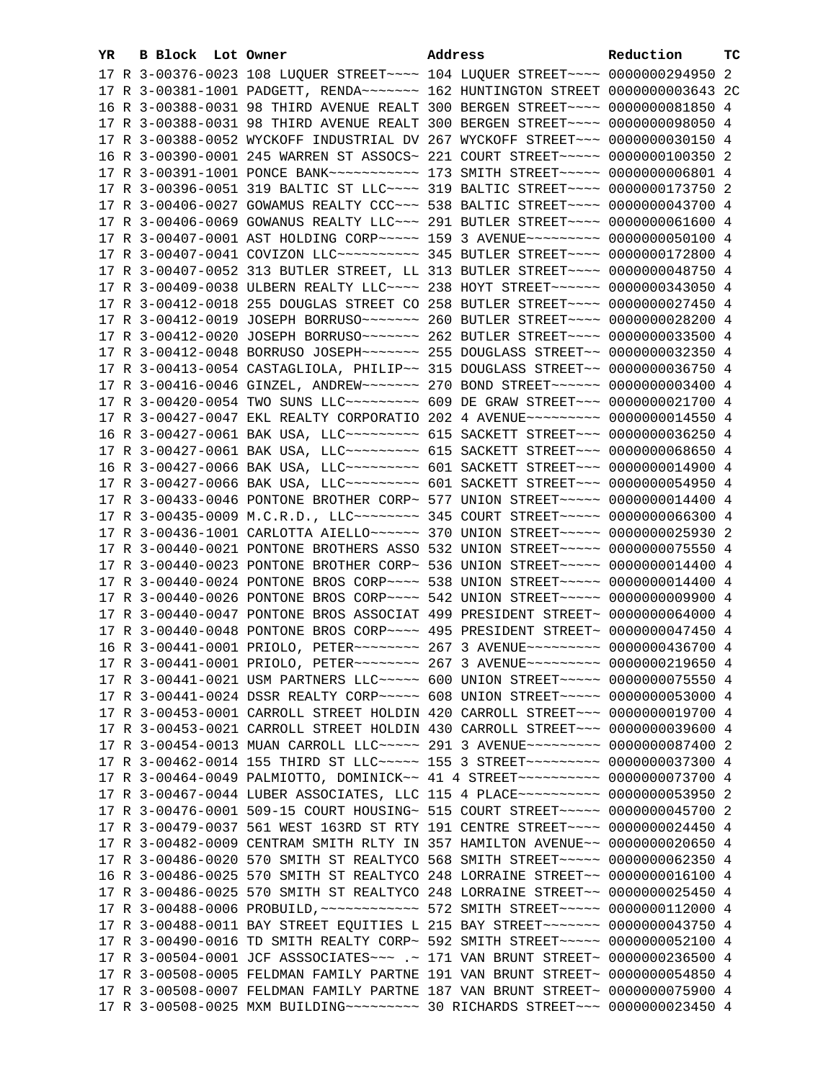| YR. | B Block Lot Owner |                                                                                          | Address | Reduction | тc |
|-----|-------------------|------------------------------------------------------------------------------------------|---------|-----------|----|
|     |                   | 17 R 3-00376-0023 108 LUQUER STREET~~~~ 104 LUQUER STREET~~~~ 0000000294950 2            |         |           |    |
|     |                   | 17 R 3-00381-1001 PADGETT, RENDA~~~~~~~~ 162 HUNTINGTON STREET 0000000003643 2C          |         |           |    |
|     |                   | 16 R 3-00388-0031 98 THIRD AVENUE REALT 300 BERGEN STREET~~~~ 0000000081850 4            |         |           |    |
|     |                   | 17 R 3-00388-0031 98 THIRD AVENUE REALT 300 BERGEN STREET~~~~ 0000000098050 4            |         |           |    |
|     |                   | 17 R 3-00388-0052 WYCKOFF INDUSTRIAL DV 267 WYCKOFF STREET~~~ 0000000030150 4            |         |           |    |
|     |                   | 16 R 3-00390-0001 245 WARREN ST ASSOCS~ 221 COURT STREET~~~~~ 0000000100350 2            |         |           |    |
|     |                   | 17 R 3-00391-1001 PONCE BANK~~~~~~~~~~~~~~~~ 173 SMITH STREET~~~~~ 0000000006801 4       |         |           |    |
|     |                   | 17 R 3-00396-0051 319 BALTIC ST LLC --- 319 BALTIC STREET --- 0000000173750 2            |         |           |    |
|     |                   | 17 R 3-00406-0027 GOWAMUS REALTY CCC~~~ 538 BALTIC STREET~~~~ 0000000043700 4            |         |           |    |
|     |                   | 17 R 3-00406-0069 GOWANUS REALTY LLC -~~ 291 BUTLER STREET -~~~ 0000000061600 4          |         |           |    |
|     |                   | 17 R 3-00407-0001 AST HOLDING CORP~~~~~ 159 3 AVENUE~~~~~~~~~ 0000000050100 4            |         |           |    |
|     |                   | 17 R 3-00407-0041 COVIZON LLC ---------- 345 BUTLER STREET ---- 0000000172800 4          |         |           |    |
|     |                   |                                                                                          |         |           |    |
|     |                   | 17 R 3-00407-0052 313 BUTLER STREET, LL 313 BUTLER STREET~~~~ 0000000048750 4            |         |           |    |
|     |                   | 17 R 3-00409-0038 ULBERN REALTY LLC ~~~~ 238 HOYT STREET ~~~~~~ 0000000343050 4          |         |           |    |
|     |                   | 17 R 3-00412-0018 255 DOUGLAS STREET CO 258 BUTLER STREET~~~~ 0000000027450 4            |         |           |    |
|     |                   |                                                                                          |         |           |    |
|     |                   |                                                                                          |         |           |    |
|     |                   |                                                                                          |         |           |    |
|     |                   | 17 R 3-00413-0054 CASTAGLIOLA, PHILIP~~ 315 DOUGLASS STREET~~ 0000000036750 4            |         |           |    |
|     |                   | 17 R 3-00416-0046 GINZEL, ANDREW~~~~~~~ 270 BOND STREET~~~~~~ 0000000003400 4            |         |           |    |
|     |                   | 17 R 3-00420-0054 TWO SUNS LLC~~~~~~~~~~ 609 DE GRAW STREET~~~ 0000000021700 4           |         |           |    |
|     |                   | 17 R 3-00427-0047 EKL REALTY CORPORATIO 202 4 AVENUE~~~~~~~~~ 0000000014550 4            |         |           |    |
|     |                   | 16 R 3-00427-0061 BAK USA, LLC -------- 615 SACKETT STREET --- 0000000036250 4           |         |           |    |
|     |                   | 17 R 3-00427-0061 BAK USA, LLC --------- 615 SACKETT STREET --- 0000000068650 4          |         |           |    |
|     |                   | 16 R 3-00427-0066 BAK USA, LLC -------- 601 SACKETT STREET --- 0000000014900 4           |         |           |    |
|     |                   | 17 R 3-00427-0066 BAK USA, LLC --------- 601 SACKETT STREET --- 0000000054950 4          |         |           |    |
|     |                   | 17 R 3-00433-0046 PONTONE BROTHER CORP~ 577 UNION STREET~~~~~ 0000000014400 4            |         |           |    |
|     |                   | 17 R 3-00435-0009 M.C.R.D., LLC -------- 345 COURT STREET ---- 0000000066300 4           |         |           |    |
|     |                   | 17 R 3-00436-1001 CARLOTTA AIELLO ----- 370 UNION STREET ---- 0000000025930 2            |         |           |    |
|     |                   | 17 R 3-00440-0021 PONTONE BROTHERS ASSO 532 UNION STREET~~~~~ 0000000075550 4            |         |           |    |
|     |                   | 17 R 3-00440-0023 PONTONE BROTHER CORP~ 536 UNION STREET~~~~~ 0000000014400 4            |         |           |    |
|     |                   | 17 R 3-00440-0024 PONTONE BROS CORP~~~~ 538 UNION STREET~~~~~ 0000000014400 4            |         |           |    |
|     |                   | 17 R 3-00440-0026 PONTONE BROS CORP~~~~ 542 UNION STREET~~~~~ 0000000009900 4            |         |           |    |
|     |                   | 17 R 3-00440-0047 PONTONE BROS ASSOCIAT 499 PRESIDENT STREET~ 0000000064000 4            |         |           |    |
|     |                   | 17 R 3-00440-0048 PONTONE BROS CORP~~~~ 495 PRESIDENT STREET~ 0000000047450 4            |         |           |    |
|     |                   | 16 R 3-00441-0001 PRIOLO, PETER~~~~~~~~ 267 3 AVENUE~~~~~~~~~ 0000000436700 4            |         |           |    |
|     |                   | 17 R 3-00441-0001 PRIOLO, PETER~~~~~~~~ 267 3 AVENUE~~~~~~~~~ 0000000219650 4            |         |           |    |
|     |                   | 17 R 3-00441-0021 USM PARTNERS LLC ---- 600 UNION STREET ---- 0000000075550 4            |         |           |    |
|     |                   | 17 R 3-00441-0024 DSSR REALTY CORP~~~~~ 608 UNION STREET~~~~~ 0000000053000 4            |         |           |    |
|     |                   | 17 R 3-00453-0001 CARROLL STREET HOLDIN 420 CARROLL STREET~~~ 0000000019700 4            |         |           |    |
|     |                   | 17 R 3-00453-0021 CARROLL STREET HOLDIN 430 CARROLL STREET~~~ 0000000039600 4            |         |           |    |
|     |                   | 17 R 3-00454-0013 MUAN CARROLL LLC ---- 291 3 AVENUE -------- 0000000087400 2            |         |           |    |
|     |                   | 17 R 3-00462-0014 155 THIRD ST LLC ---- 155 3 STREET --------- 0000000037300 4           |         |           |    |
|     |                   | 17 R 3-00464-0049 PALMIOTTO, DOMINICK~~ 41 4 STREET~~~~~~~~~~~ 0000000073700 4           |         |           |    |
|     |                   | 17 R 3-00467-0044 LUBER ASSOCIATES, LLC 115 4 PLACE~~~~~~~~~~ 0000000053950 2            |         |           |    |
|     |                   | 17 R 3-00476-0001 509-15 COURT HOUSING~ 515 COURT STREET~~~~~ 0000000045700 2            |         |           |    |
|     |                   | 17 R 3-00479-0037 561 WEST 163RD ST RTY 191 CENTRE STREET~~~~ 0000000024450 4            |         |           |    |
|     |                   | 17 R 3-00482-0009 CENTRAM SMITH RLTY IN 357 HAMILTON AVENUE~~ 0000000020650 4            |         |           |    |
|     |                   | 17 R 3-00486-0020 570 SMITH ST REALTYCO 568 SMITH STREET~~~~~ 0000000062350 4            |         |           |    |
|     |                   | 16 R 3-00486-0025 570 SMITH ST REALTYCO 248 LORRAINE STREET~~ 00000000016100 4           |         |           |    |
|     |                   | 17 R 3-00486-0025 570 SMITH ST REALTYCO 248 LORRAINE STREET~~ 0000000025450 4            |         |           |    |
|     |                   | 17 R 3-00488-0006 PROBUILD, ~~~~~~~~~~~~~~~~~~~~~ S72 SMITH STREET~~~~~~ 0000000112000 4 |         |           |    |
|     |                   | 17 R 3-00488-0011 BAY STREET EQUITIES L 215 BAY STREET~~~~~~~ 0000000043750 4            |         |           |    |
|     |                   | 17 R 3-00490-0016 TD SMITH REALTY CORP~ 592 SMITH STREET~~~~~ 0000000052100 4            |         |           |    |
|     |                   | 17 R 3-00504-0001 JCF ASSSOCIATES~~~ .~ 171 VAN BRUNT STREET~ 0000000236500 4            |         |           |    |
|     |                   | 17 R 3-00508-0005 FELDMAN FAMILY PARTNE 191 VAN BRUNT STREET~ 0000000054850 4            |         |           |    |
|     |                   | 17 R 3-00508-0007 FELDMAN FAMILY PARTNE 187 VAN BRUNT STREET~ 0000000075900 4            |         |           |    |
|     |                   |                                                                                          |         |           |    |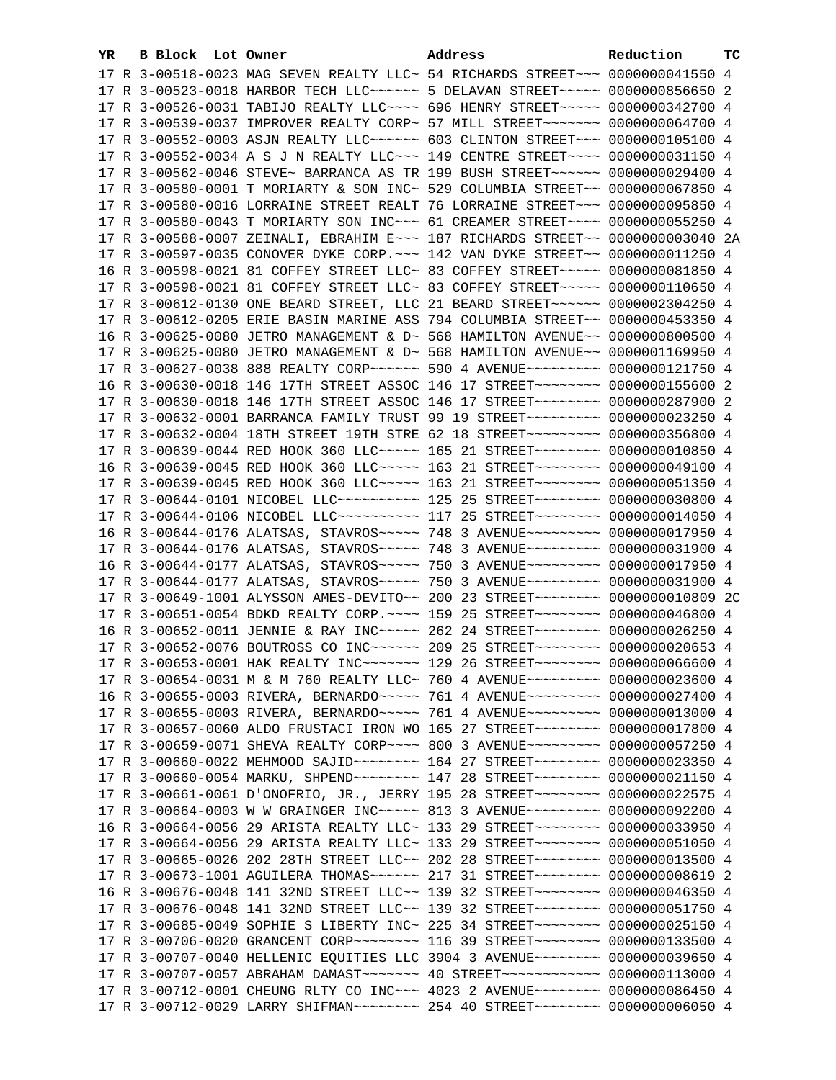| YR. | B Block Lot Owner |                                                                                                                                                                    | Address | Reduction | тc |
|-----|-------------------|--------------------------------------------------------------------------------------------------------------------------------------------------------------------|---------|-----------|----|
|     |                   | 17 R 3-00518-0023 MAG SEVEN REALTY LLC~ 54 RICHARDS STREET~~~ 0000000041550 4                                                                                      |         |           |    |
|     |                   | 17 R 3-00523-0018 HARBOR TECH LLC ----- 5 DELAVAN STREET ---- 0000000856650 2                                                                                      |         |           |    |
|     |                   | 17 R 3-00526-0031 TABIJO REALTY LLC~~~~ 696 HENRY STREET~~~~~ 0000000342700 4                                                                                      |         |           |    |
|     |                   | 17 R 3-00539-0037 IMPROVER REALTY CORP~ 57 MILL STREET~~~~~~~~ 0000000064700 4                                                                                     |         |           |    |
|     |                   | 17 R 3-00552-0003 ASJN REALTY LLC ----- 603 CLINTON STREET -- 0000000105100 4                                                                                      |         |           |    |
|     |                   | 17 R 3-00552-0034 A S J N REALTY LLC -- 149 CENTRE STREET -- 0000000031150 4                                                                                       |         |           |    |
|     |                   | 17 R 3-00562-0046 STEVE~ BARRANCA AS TR 199 BUSH STREET~~~~~~~ 0000000029400 4                                                                                     |         |           |    |
|     |                   | 17 R 3-00580-0001 T MORIARTY & SON INC~ 529 COLUMBIA STREET~~ 0000000067850 4                                                                                      |         |           |    |
|     |                   | 17 R 3-00580-0016 LORRAINE STREET REALT 76 LORRAINE STREET~~~ 0000000095850 4                                                                                      |         |           |    |
|     |                   | 17 R 3-00580-0043 T MORIARTY SON INC~~~ 61 CREAMER STREET~~~~ 0000000055250 4                                                                                      |         |           |    |
|     |                   | 17 R 3-00588-0007 ZEINALI, EBRAHIM E~~~ 187 RICHARDS STREET~~ 0000000003040 2A                                                                                     |         |           |    |
|     |                   |                                                                                                                                                                    |         |           |    |
|     |                   | 17 R 3-00597-0035 CONOVER DYKE CORP. ~~~ 142 VAN DYKE STREET~~ 0000000011250 4                                                                                     |         |           |    |
|     |                   | 16 R 3-00598-0021 81 COFFEY STREET LLC~ 83 COFFEY STREET~~~~~~ 0000000081850 4                                                                                     |         |           |    |
|     |                   | 17 R 3-00598-0021 81 COFFEY STREET LLC~ 83 COFFEY STREET~~~~~ 0000000110650 4                                                                                      |         |           |    |
|     |                   | 17 R 3-00612-0130 ONE BEARD STREET, LLC 21 BEARD STREET~~~~~~ 0000002304250 4                                                                                      |         |           |    |
|     |                   | 17 R 3-00612-0205 ERIE BASIN MARINE ASS 794 COLUMBIA STREET~~ 0000000453350 4                                                                                      |         |           |    |
|     |                   | 16 R 3-00625-0080 JETRO MANAGEMENT & D~ 568 HAMILTON AVENUE~~ 0000000800500 4                                                                                      |         |           |    |
|     |                   | 17 R 3-00625-0080 JETRO MANAGEMENT & D~ 568 HAMILTON AVENUE~~ 0000001169950 4                                                                                      |         |           |    |
|     |                   |                                                                                                                                                                    |         |           |    |
|     |                   | 16 R 3-00630-0018 146 17TH STREET ASSOC 146 17 STREET~~~~~~~~ 0000000155600 2                                                                                      |         |           |    |
|     |                   | 17 R 3-00630-0018 146 17TH STREET ASSOC 146 17 STREET~~~~~~~~ 0000000287900 2                                                                                      |         |           |    |
|     |                   | 17 R 3-00632-0001 BARRANCA FAMILY TRUST 99 19 STREET~~~~~~~~~ 0000000023250 4                                                                                      |         |           |    |
|     |                   | 17 R 3-00632-0004 18TH STREET 19TH STRE 62 18 STREET~~~~~~~~~ 0000000356800 4                                                                                      |         |           |    |
|     |                   | 17 R 3-00639-0044 RED HOOK 360 LLC ~~~~~ 165 21 STREET ~~~~~~~~ 0000000010850 4                                                                                    |         |           |    |
|     |                   | 16 R 3-00639-0045 RED HOOK 360 LLC ~~~~~ 163 21 STREET ~~~~~~~~ 0000000049100 4                                                                                    |         |           |    |
|     |                   | 17 R 3-00639-0045 RED HOOK 360 LLC ~~~~~ 163 21 STREET ~~~~~~~~ 0000000051350 4                                                                                    |         |           |    |
|     |                   | 17 R 3-00644-0101 NICOBEL LLC~~~~~~~~~~~ 125 25 STREET~~~~~~~~ 0000000030800 4                                                                                     |         |           |    |
|     |                   | 17 R 3-00644-0106 NICOBEL LLC~~~~~~~~~~~ 117 25 STREET~~~~~~~~ 0000000014050 4                                                                                     |         |           |    |
|     |                   | 16 R 3-00644-0176 ALATSAS, STAVROS ~~~~~ 748 3 AVENUE ~~~~~~~~~ 0000000017950 4<br>17 R 3-00644-0176 ALATSAS, STAVROS ~~~~~ 748 3 AVENUE ~~~~~~~~~ 0000000031900 4 |         |           |    |
|     |                   | 16 R 3-00644-0177 ALATSAS, STAVROS ~~~~~ 750 3 AVENUE~~~~~~~~~ 0000000017950 4                                                                                     |         |           |    |
|     |                   | 17 R 3-00644-0177 ALATSAS, STAVROS ~~~~~ 750 3 AVENUE~~~~~~~~~ 0000000031900 4                                                                                     |         |           |    |
|     |                   | 17 R 3-00649-1001 ALYSSON AMES-DEVITO~~ 200 23 STREET~~~~~~~~ 0000000010809 2C                                                                                     |         |           |    |
|     |                   | 17 R 3-00651-0054 BDKD REALTY CORP. ~~~~ 159 25 STREET~~~~~~~~ 0000000046800 4                                                                                     |         |           |    |
|     |                   | 16 R 3-00652-0011 JENNIE & RAY INC ---- 262 24 STREET ------- 0000000026250 4                                                                                      |         |           |    |
|     |                   | 17 R 3-00652-0076 BOUTROSS CO INC~~~~~~ 209 25 STREET~~~~~~~~ 0000000020653 4                                                                                      |         |           |    |
|     |                   | 17 R 3-00653-0001 HAK REALTY INC ------ 129 26 STREET ------- 0000000066600 4                                                                                      |         |           |    |
|     |                   | 17 R 3-00654-0031 M & M 760 REALTY LLC~ 760 4 AVENUE~~~~~~~~~~ 0000000023600 4                                                                                     |         |           |    |
|     |                   | 16 R 3-00655-0003 RIVERA, BERNARDO~~~~~ 761 4 AVENUE~~~~~~~~~ 0000000027400 4                                                                                      |         |           |    |
|     |                   | 17 R 3-00655-0003 RIVERA, BERNARDO~~~~~ 761 4 AVENUE~~~~~~~~~ 0000000013000 4                                                                                      |         |           |    |
|     |                   | 17 R 3-00657-0060 ALDO FRUSTACI IRON WO 165 27 STREET~~~~~~~~ 0000000017800 4                                                                                      |         |           |    |
|     |                   | 17 R 3-00659-0071 SHEVA REALTY CORP~~~~ 800 3 AVENUE~~~~~~~~~ 0000000057250 4                                                                                      |         |           |    |
|     |                   | 17 R 3-00660-0022 MEHMOOD SAJID~~~~~~~~ 164 27 STREET~~~~~~~~ 0000000023350 4                                                                                      |         |           |    |
|     |                   | 17 R 3-00660-0054 MARKU, SHPEND~~~~~~~~~ 147 28 STREET~~~~~~~~ 0000000021150 4                                                                                     |         |           |    |
|     |                   | 17 R 3-00661-0061 D'ONOFRIO, JR., JERRY 195 28 STREET~~~~~~~~~ 0000000022575 4                                                                                     |         |           |    |
|     |                   | 17 R 3-00664-0003 W W GRAINGER INC~~~~~ 813 3 AVENUE~~~~~~~~ 0000000092200 4                                                                                       |         |           |    |
|     |                   | 16 R 3-00664-0056 29 ARISTA REALTY LLC~ 133 29 STREET~~~~~~~~ 0000000033950 4                                                                                      |         |           |    |
|     |                   | 17 R 3-00664-0056 29 ARISTA REALTY LLC~ 133 29 STREET~~~~~~~~ 0000000051050 4                                                                                      |         |           |    |
|     |                   | 17 R 3-00665-0026 202 28TH STREET LLC~~ 202 28 STREET~~~~~~~~ 0000000013500 4                                                                                      |         |           |    |
|     |                   | 17 R 3-00673-1001 AGUILERA THOMAS ~~~~~~ 217 31 STREET ~~~~~~~~ 0000000008619 2                                                                                    |         |           |    |
|     |                   | 16 R 3-00676-0048 141 32ND STREET LLC~~ 139 32 STREET~~~~~~~~ 0000000046350 4                                                                                      |         |           |    |
|     |                   | 17 R 3-00676-0048 141 32ND STREET LLC~~ 139 32 STREET~~~~~~~~~ 0000000051750 4                                                                                     |         |           |    |
|     |                   | 17 R 3-00685-0049 SOPHIE S LIBERTY INC~ 225 34 STREET~~~~~~~~ 0000000025150 4                                                                                      |         |           |    |
|     |                   | 17 R 3-00706-0020 GRANCENT CORP~~~~~~~~~ 116 39 STREET~~~~~~~~ 0000000133500 4                                                                                     |         |           |    |
|     |                   | 17 R 3-00707-0040 HELLENIC EQUITIES LLC 3904 3 AVENUE~~~~~~~~ 0000000039650 4                                                                                      |         |           |    |
|     |                   |                                                                                                                                                                    |         |           |    |
|     |                   | 17 R 3-00712-0001 CHEUNG RLTY CO INC~~~ 4023 2 AVENUE~~~~~~~~ 0000000086450 4                                                                                      |         |           |    |
|     |                   | 17 R 3-00712-0029 LARRY SHIFMAN~~~~~~~~ 254 40 STREET~~~~~~~~ 0000000006050 4                                                                                      |         |           |    |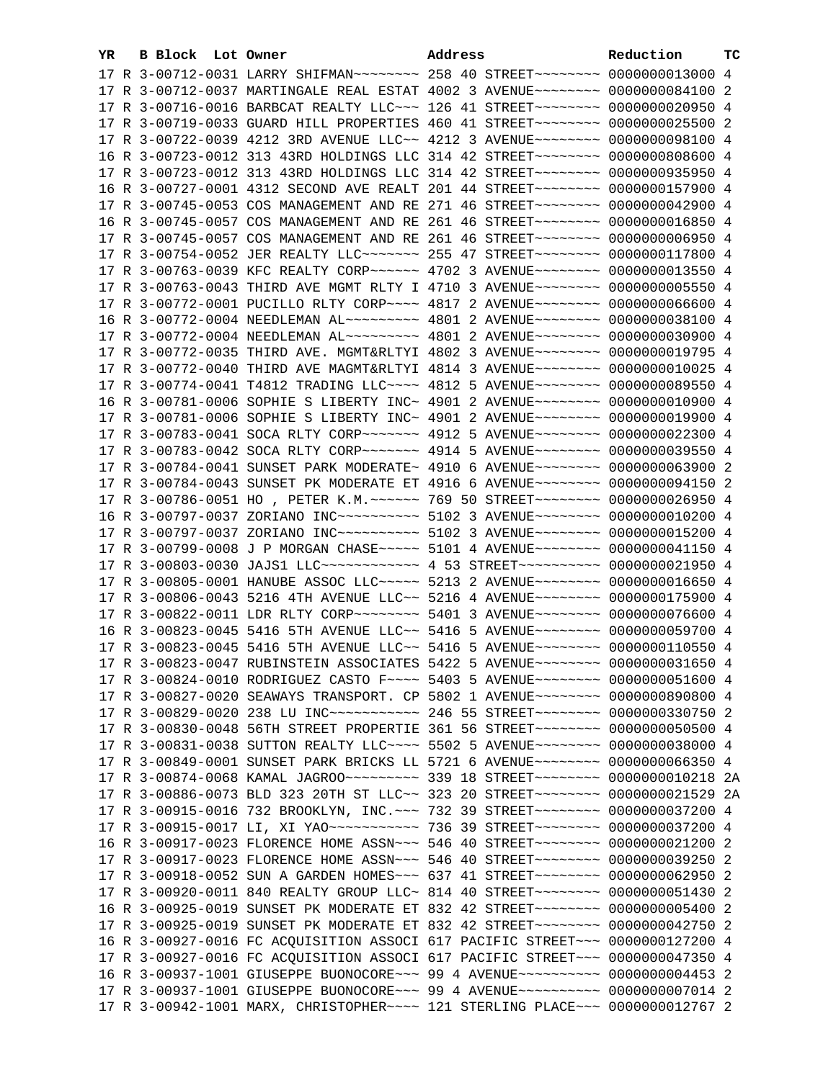| YR. | B Block Lot Owner |                                                                                        | Address | Reduction | тc |
|-----|-------------------|----------------------------------------------------------------------------------------|---------|-----------|----|
|     |                   | 17 R 3-00712-0031 LARRY SHIFMAN~~~~~~~~ 258 40 STREET~~~~~~~~ 0000000013000 4          |         |           |    |
|     |                   | 17 R 3-00712-0037 MARTINGALE REAL ESTAT 4002 3 AVENUE~~~~~~~~ 0000000084100 2          |         |           |    |
|     |                   | 17 R 3-00716-0016 BARBCAT REALTY LLC -- 126 41 STREET -------- 0000000020950 4         |         |           |    |
|     |                   | 17 R 3-00719-0033 GUARD HILL PROPERTIES 460 41 STREET~~~~~~~~~ 0000000025500 2         |         |           |    |
|     |                   | 17 R 3-00722-0039 4212 3RD AVENUE LLC~~ 4212 3 AVENUE~~~~~~~~ 0000000098100 4          |         |           |    |
|     |                   | 16 R 3-00723-0012 313 43RD HOLDINGS LLC 314 42 STREET~~~~~~~~~ 0000000808600 4         |         |           |    |
|     |                   | 17 R 3-00723-0012 313 43RD HOLDINGS LLC 314 42 STREET~~~~~~~~~ 0000000935950 4         |         |           |    |
|     |                   | 16 R 3-00727-0001 4312 SECOND AVE REALT 201 44 STREET~~~~~~~~ 0000000157900 4          |         |           |    |
|     |                   | 17 R 3-00745-0053 COS MANAGEMENT AND RE 271 46 STREET~~~~~~~~ 0000000042900 4          |         |           |    |
|     |                   | 16 R 3-00745-0057 COS MANAGEMENT AND RE 261 46 STREET~~~~~~~~~ 0000000016850 4         |         |           |    |
|     |                   | 17 R 3-00745-0057 COS MANAGEMENT AND RE 261 46 STREET~~~~~~~~~ 00000000006950 4        |         |           |    |
|     |                   | 17 R 3-00754-0052 JER REALTY LLC ------- 255 47 STREET -------- 0000000117800 4        |         |           |    |
|     |                   | 17 R 3-00763-0039 KFC REALTY CORP ~~~~~~ 4702 3 AVENUE ~~~~~~~~ 0000000013550 4        |         |           |    |
|     |                   | 17 R 3-00763-0043 THIRD AVE MGMT RLTY I 4710 3 AVENUE~~~~~~~~ 0000000005550 4          |         |           |    |
|     |                   | 17 R 3-00772-0001 PUCILLO RLTY CORP~~~~ 4817 2 AVENUE~~~~~~~~ 0000000066600 4          |         |           |    |
|     |                   | 16 R 3-00772-0004 NEEDLEMAN AL -------- 4801 2 AVENUE -------- 0000000038100 4         |         |           |    |
|     |                   | 17 R 3-00772-0004 NEEDLEMAN AL~~~~~~~~~ 4801 2 AVENUE~~~~~~~~ 0000000030900 4          |         |           |    |
|     |                   | 17 R 3-00772-0035 THIRD AVE. MGMT&RLTYI 4802 3 AVENUE~~~~~~~~ 0000000019795 4          |         |           |    |
|     |                   | 17 R 3-00772-0040 THIRD AVE MAGMT&RLTYI 4814 3 AVENUE~~~~~~~~ 0000000010025 4          |         |           |    |
|     |                   | 17 R 3-00774-0041 T4812 TRADING LLC~~~~ 4812 5 AVENUE~~~~~~~~ 0000000089550 4          |         |           |    |
|     |                   | 16 R 3-00781-0006 SOPHIE S LIBERTY INC~ 4901 2 AVENUE~~~~~~~~~ 0000000010900 4         |         |           |    |
|     |                   | 17 R 3-00781-0006 SOPHIE S LIBERTY INC~ 4901 2 AVENUE~~~~~~~~ 0000000019900 4          |         |           |    |
|     |                   | 17 R 3-00783-0041 SOCA RLTY CORP~~~~~~~ 4912 5 AVENUE~~~~~~~~ 0000000022300 4          |         |           |    |
|     |                   | 17 R 3-00783-0042 SOCA RLTY CORP~~~~~~~ 4914 5 AVENUE~~~~~~~~ 0000000039550 4          |         |           |    |
|     |                   | 17 R 3-00784-0041 SUNSET PARK MODERATE~ 4910 6 AVENUE~~~~~~~~ 0000000063900 2          |         |           |    |
|     |                   | 17 R 3-00784-0043 SUNSET PK MODERATE ET 4916 6 AVENUE~~~~~~~~ 0000000094150 2          |         |           |    |
|     |                   | 17 R 3-00786-0051 HO, PETER K.M. ~~~~~~ 769 50 STREET~~~~~~~~ 0000000026950 4          |         |           |    |
|     |                   | 16 R 3-00797-0037 ZORIANO INC~~~~~~~~~~ 5102 3 AVENUE~~~~~~~~ 0000000010200 4          |         |           |    |
|     |                   | 17 R 3-00797-0037 ZORIANO INC~~~~~~~~~~ 5102 3 AVENUE~~~~~~~~ 0000000015200 4          |         |           |    |
|     |                   | 17 R 3-00799-0008 J P MORGAN CHASE~~~~~ 5101 4 AVENUE~~~~~~~~ 0000000041150 4          |         |           |    |
|     |                   | 17 R 3-00803-0030 JAJS1 LLC ------------- 4 53 STREET ---------- 0000000021950 4       |         |           |    |
|     |                   | 17 R 3-00805-0001 HANUBE ASSOC LLC ---- 5213 2 AVENUE ------- 0000000016650 4          |         |           |    |
|     |                   | 17 R 3-00806-0043 5216 4TH AVENUE LLC~~ 5216 4 AVENUE~~~~~~~~ 0000000175900 4          |         |           |    |
|     |                   | 17 R 3-00822-0011 LDR RLTY CORP~~~~~~~~ 5401 3 AVENUE~~~~~~~~ 0000000076600 4          |         |           |    |
|     |                   | 16 R 3-00823-0045 5416 5TH AVENUE LLC~~ 5416 5 AVENUE~~~~~~~~ 0000000059700 4          |         |           |    |
|     |                   | 17 R 3-00823-0045 5416 5TH AVENUE LLC~~ 5416 5 AVENUE~~~~~~~~ 0000000110550 4          |         |           |    |
|     |                   | 17 R 3-00823-0047 RUBINSTEIN ASSOCIATES 5422 5 AVENUE~~~~~~~~ 0000000031650 4          |         |           |    |
|     |                   | 17 R 3-00824-0010 RODRIGUEZ CASTO F~~~~ 5403 5 AVENUE~~~~~~~~ 0000000051600 4          |         |           |    |
|     |                   | 17 R 3-00827-0020 SEAWAYS TRANSPORT. CP 5802 1 AVENUE~~~~~~~~ 0000000890800 4          |         |           |    |
|     |                   | 17 R 3-00829-0020 238 LU INC ----------- 246 55 STREET -------- 0000000330750 2        |         |           |    |
|     |                   | 17 R 3-00830-0048 56TH STREET PROPERTIE 361 56 STREET~~~~~~~~ 0000000050500 4          |         |           |    |
|     |                   | 17 R 3-00831-0038 SUTTON REALTY LLC --- 5502 5 AVENUE ------- 0000000038000 4          |         |           |    |
|     |                   | 17 R 3-00849-0001 SUNSET PARK BRICKS LL 5721 6 AVENUE~~~~~~~~ 0000000066350 4          |         |           |    |
|     |                   |                                                                                        |         |           |    |
|     |                   | 17 R 3-00886-0073 BLD 323 20TH ST LLC~~ 323 20 STREET~~~~~~~~ 0000000021529 2A         |         |           |    |
|     |                   | 17 R 3-00915-0016 732 BROOKLYN, INC. ~~~ 732 39 STREET~~~~~~~~~ 0000000037200 4        |         |           |    |
|     |                   | 17 R 3-00915-0017 LI, XI YAO ~~~~~~~~~~~~~~~~ 736 39 STREET ~~~~~~~~~~ 0000000037200 4 |         |           |    |
|     |                   | 16 R 3-00917-0023 FLORENCE HOME ASSN~~~ 546 40 STREET~~~~~~~~ 0000000021200 2          |         |           |    |
|     |                   | 17 R 3-00917-0023 FLORENCE HOME ASSN~~~ 546 40 STREET~~~~~~~~ 0000000039250 2          |         |           |    |
|     |                   | 17 R 3-00918-0052 SUN A GARDEN HOMES~~~ 637 41 STREET~~~~~~~~ 0000000062950 2          |         |           |    |
|     |                   | 17 R 3-00920-0011 840 REALTY GROUP LLC~ 814 40 STREET~~~~~~~~~ 0000000051430 2         |         |           |    |
|     |                   | 16 R 3-00925-0019 SUNSET PK MODERATE ET 832 42 STREET~~~~~~~~ 0000000005400 2          |         |           |    |
|     |                   | 17 R 3-00925-0019 SUNSET PK MODERATE ET 832 42 STREET~~~~~~~~ 0000000042750 2          |         |           |    |
|     |                   | 16 R 3-00927-0016 FC ACQUISITION ASSOCI 617 PACIFIC STREET~~~ 0000000127200 4          |         |           |    |
|     |                   | 17 R 3-00927-0016 FC ACQUISITION ASSOCI 617 PACIFIC STREET~~~ 0000000047350 4          |         |           |    |
|     |                   | 16 R 3-00937-1001 GIUSEPPE BUONOCORE~~~ 99 4 AVENUE~~~~~~~~~~ 0000000004453 2          |         |           |    |
|     |                   | 17 R 3-00937-1001 GIUSEPPE BUONOCORE~~~ 99 4 AVENUE~~~~~~~~~~ 0000000007014 2          |         |           |    |
|     |                   | 17 R 3-00942-1001 MARX, CHRISTOPHER~~~~ 121 STERLING PLACE~~~ 0000000012767 2          |         |           |    |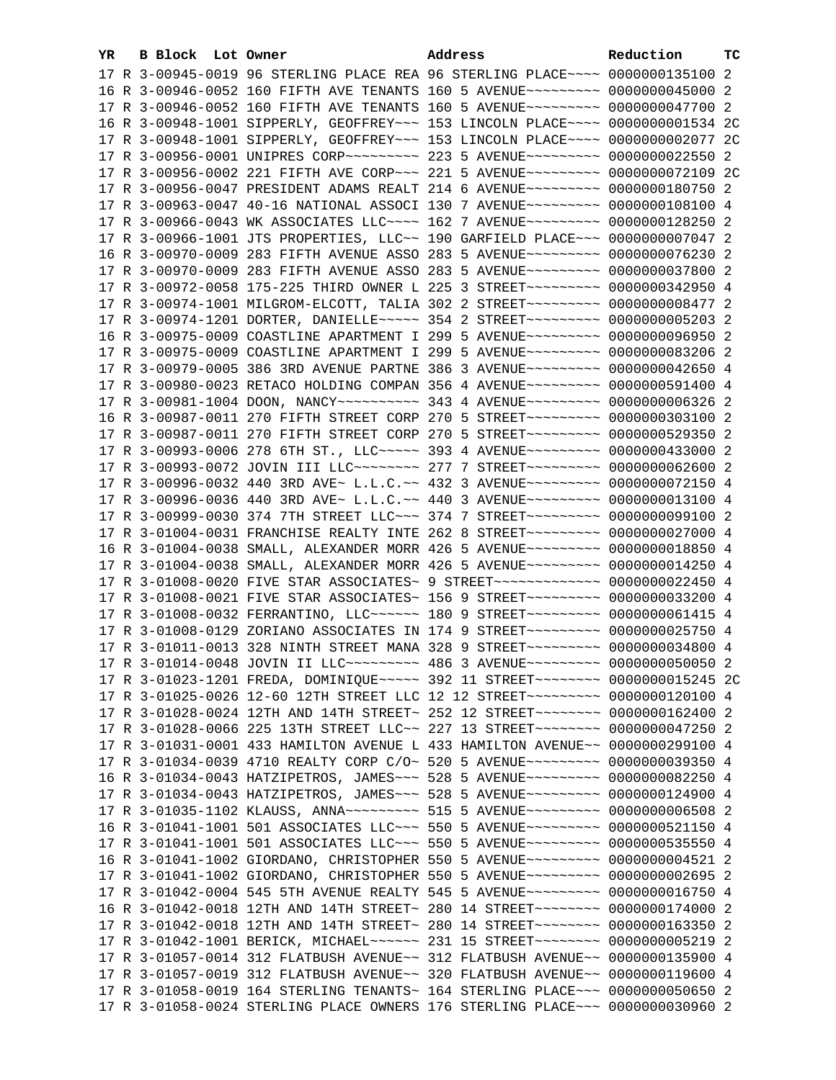| YR. | B Block Lot Owner |  | Address                                                                                                                                                        | Reduction | ТC |
|-----|-------------------|--|----------------------------------------------------------------------------------------------------------------------------------------------------------------|-----------|----|
|     |                   |  | 17 R 3-00945-0019 96 STERLING PLACE REA 96 STERLING PLACE~~~~ 0000000135100 2                                                                                  |           |    |
|     |                   |  | 16 R 3-00946-0052 160 FIFTH AVE TENANTS 160 5 AVENUE~~~~~~~~~ 0000000045000 2                                                                                  |           |    |
|     |                   |  | 17 R 3-00946-0052 160 FIFTH AVE TENANTS 160 5 AVENUE~~~~~~~~~ 0000000047700 2                                                                                  |           |    |
|     |                   |  | 16 R 3-00948-1001 SIPPERLY, GEOFFREY~~~ 153 LINCOLN PLACE~~~~ 0000000001534 2C                                                                                 |           |    |
|     |                   |  | 17 R 3-00948-1001 SIPPERLY, GEOFFREY~~~ 153 LINCOLN PLACE~~~~ 0000000002077 2C                                                                                 |           |    |
|     |                   |  | 17 R 3-00956-0001 UNIPRES CORP~~~~~~~~~~ 223 5 AVENUE~~~~~~~~~ 0000000022550 2                                                                                 |           |    |
|     |                   |  | 17 R 3-00956-0002 221 FIFTH AVE CORP~~~ 221 5 AVENUE~~~~~~~~~ 0000000072109 2C                                                                                 |           |    |
|     |                   |  | 17 R 3-00956-0047 PRESIDENT ADAMS REALT 214 6 AVENUE~~~~~~~~~ 0000000180750 2                                                                                  |           |    |
|     |                   |  | 17 R 3-00963-0047 40-16 NATIONAL ASSOCI 130 7 AVENUE~~~~~~~~~ 0000000108100 4                                                                                  |           |    |
|     |                   |  | 17 R 3-00966-0043 WK ASSOCIATES LLC~~~~ 162 7 AVENUE~~~~~~~~~ 0000000128250 2                                                                                  |           |    |
|     |                   |  | 17 R 3-00966-1001 JTS PROPERTIES, LLC~~ 190 GARFIELD PLACE~~~ 0000000007047 2                                                                                  |           |    |
|     |                   |  | 16 R 3-00970-0009 283 FIFTH AVENUE ASSO 283 5 AVENUE~~~~~~~~~ 0000000076230 2                                                                                  |           |    |
|     |                   |  | 17 R 3-00970-0009 283 FIFTH AVENUE ASSO 283 5 AVENUE~~~~~~~~~ 0000000037800 2                                                                                  |           |    |
|     |                   |  | 17 R 3-00972-0058 175-225 THIRD OWNER L 225 3 STREET~~~~~~~~~ 0000000342950 4                                                                                  |           |    |
|     |                   |  | 17 R 3-00974-1001 MILGROM-ELCOTT, TALIA 302 2 STREET~~~~~~~~~ 0000000008477 2                                                                                  |           |    |
|     |                   |  | 17 R 3-00974-1201 DORTER, DANIELLE~~~~~ 354 2 STREET~~~~~~~~~ 0000000005203 2                                                                                  |           |    |
|     |                   |  | 16 R 3-00975-0009 COASTLINE APARTMENT I 299 5 AVENUE~~~~~~~~~ 0000000096950 2                                                                                  |           |    |
|     |                   |  | 17 R 3-00975-0009 COASTLINE APARTMENT I 299 5 AVENUE~~~~~~~~~ 0000000083206 2                                                                                  |           |    |
|     |                   |  | 17 R 3-00979-0005 386 3RD AVENUE PARTNE 386 3 AVENUE~~~~~~~~ 0000000042650 4                                                                                   |           |    |
|     |                   |  | 17 R 3-00980-0023 RETACO HOLDING COMPAN 356 4 AVENUE~~~~~~~~~ 0000000591400 4                                                                                  |           |    |
|     |                   |  | 17 R 3-00981-1004 DOON, NANCY~~~~~~~~~~~~~~~ 343 4 AVENUE~~~~~~~~~~ 0000000006326 2                                                                            |           |    |
|     |                   |  | 16 R 3-00987-0011 270 FIFTH STREET CORP 270 5 STREET~~~~~~~~~ 0000000303100 2                                                                                  |           |    |
|     |                   |  | 17 R 3-00987-0011 270 FIFTH STREET CORP 270 5 STREET~~~~~~~~~ 0000000529350 2                                                                                  |           |    |
|     |                   |  | 17 R 3-00993-0006 278 6TH ST., LLC ---- 393 4 AVENUE ------- 0000000433000 2                                                                                   |           |    |
|     |                   |  | 17 R 3-00993-0072 JOVIN III LLC~~~~~~~~ 277 7 STREET~~~~~~~~~ 0000000062600 2                                                                                  |           |    |
|     |                   |  | 17 R 3-00996-0032 440 3RD AVE~ L.L.C.~~ 432 3 AVENUE~~~~~~~~~ 0000000072150 4                                                                                  |           |    |
|     |                   |  | 17 R 3-00996-0036 440 3RD AVE~ L.L.C.~~ 440 3 AVENUE~~~~~~~~~ 0000000013100 4                                                                                  |           |    |
|     |                   |  | 17 R 3-00999-0030 374 7TH STREET LLC -- 374 7 STREET -------- 0000000099100 2                                                                                  |           |    |
|     |                   |  | 17 R 3-01004-0031 FRANCHISE REALTY INTE 262 8 STREET~~~~~~~~~ 0000000027000 4                                                                                  |           |    |
|     |                   |  | 16 R 3-01004-0038 SMALL, ALEXANDER MORR 426 5 AVENUE~~~~~~~~~ 0000000018850 4                                                                                  |           |    |
|     |                   |  | 17 R 3-01004-0038 SMALL, ALEXANDER MORR 426 5 AVENUE~~~~~~~~~ 0000000014250 4                                                                                  |           |    |
|     |                   |  | 17 R 3-01008-0020 FIVE STAR ASSOCIATES~ 9 STREET~~~~~~~~~~~~~ 0000000022450 4                                                                                  |           |    |
|     |                   |  | 17 R 3-01008-0021 FIVE STAR ASSOCIATES~ 156 9 STREET~~~~~~~~~ 0000000033200 4                                                                                  |           |    |
|     |                   |  | 17 R 3-01008-0032 FERRANTINO, LLC ----- 180 9 STREET -------- 0000000061415 4                                                                                  |           |    |
|     |                   |  | 17 R 3-01008-0129 ZORIANO ASSOCIATES IN 174 9 STREET~~~~~~~~~ 0000000025750 4                                                                                  |           |    |
|     |                   |  | 17 R 3-01011-0013 328 NINTH STREET MANA 328 9 STREET~~~~~~~~~ 0000000034800 4                                                                                  |           |    |
|     |                   |  | 17 R 3-01014-0048 JOVIN II LLC -------- 486 3 AVENUE --------- 0000000050050 2                                                                                 |           |    |
|     |                   |  | 17 R 3-01023-1201 FREDA, DOMINIQUE~~~~~ 392 11 STREET~~~~~~~~ 00000000015245 2C                                                                                |           |    |
|     |                   |  | 17 R 3-01025-0026 12-60 12TH STREET LLC 12 12 STREET~~~~~~~~~ 0000000120100 4                                                                                  |           |    |
|     |                   |  | 17 R 3-01028-0024 12TH AND 14TH STREET~ 252 12 STREET~~~~~~~~ 0000000162400 2                                                                                  |           |    |
|     |                   |  | 17 R 3-01028-0066 225 13TH STREET LLC~~ 227 13 STREET~~~~~~~~~ 0000000047250 2                                                                                 |           |    |
|     |                   |  | 17 R 3-01031-0001 433 HAMILTON AVENUE L 433 HAMILTON AVENUE~~ 0000000299100 4                                                                                  |           |    |
|     |                   |  | 17 R 3-01034-0039 4710 REALTY CORP C/O~ 520 5 AVENUE~~~~~~~~~ 0000000039350 4                                                                                  |           |    |
|     |                   |  | 16 R 3-01034-0043 HATZIPETROS, JAMES~~~ 528 5 AVENUE~~~~~~~~~ 0000000082250 4                                                                                  |           |    |
|     |                   |  | 17 R 3-01034-0043 HATZIPETROS, JAMES ~~~ 528 5 AVENUE ~~~~~~~~~ 0000000124900 4                                                                                |           |    |
|     |                   |  | 17 R 3-01035-1102 KLAUSS, ANNA~~~~~~~~~~ 515 5 AVENUE~~~~~~~~~ 0000000006508 2                                                                                 |           |    |
|     |                   |  | 16 R 3-01041-1001 501 ASSOCIATES LLC~~~ 550 5 AVENUE~~~~~~~~~ 0000000521150 4                                                                                  |           |    |
|     |                   |  | 17 R 3-01041-1001 501 ASSOCIATES LLC~~~ 550 5 AVENUE~~~~~~~~~ 0000000535550 4                                                                                  |           |    |
|     |                   |  | 16 R 3-01041-1002 GIORDANO, CHRISTOPHER 550 5 AVENUE~~~~~~~~~ 0000000004521 2                                                                                  |           |    |
|     |                   |  | 17 R 3-01041-1002 GIORDANO, CHRISTOPHER 550 5 AVENUE~~~~~~~~~ 0000000002695 2                                                                                  |           |    |
|     |                   |  | 17 R 3-01042-0004 545 5TH AVENUE REALTY 545 5 AVENUE~~~~~~~~~ 0000000016750 4                                                                                  |           |    |
|     |                   |  | 16 R 3-01042-0018 12TH AND 14TH STREET~ 280 14 STREET~~~~~~~~~ 0000000174000 2                                                                                 |           |    |
|     |                   |  | 17 R 3-01042-0018 12TH AND 14TH STREET~ 280 14 STREET~~~~~~~~ 0000000163350 2                                                                                  |           |    |
|     |                   |  | 17 R 3-01042-1001 BERICK, MICHAEL~~~~~~ 231 15 STREET~~~~~~~~ 0000000005219 2<br>17 R 3-01057-0014 312 FLATBUSH AVENUE~~ 312 FLATBUSH AVENUE~~ 0000000135900 4 |           |    |
|     |                   |  |                                                                                                                                                                |           |    |
|     |                   |  | 17 R 3-01057-0019 312 FLATBUSH AVENUE~~ 320 FLATBUSH AVENUE~~ 0000000119600 4                                                                                  |           |    |
|     |                   |  | 17 R 3-01058-0019 164 STERLING TENANTS~ 164 STERLING PLACE~~~ 0000000050650 2                                                                                  |           |    |
|     |                   |  | 17 R 3-01058-0024 STERLING PLACE OWNERS 176 STERLING PLACE~~~ 0000000030960 2                                                                                  |           |    |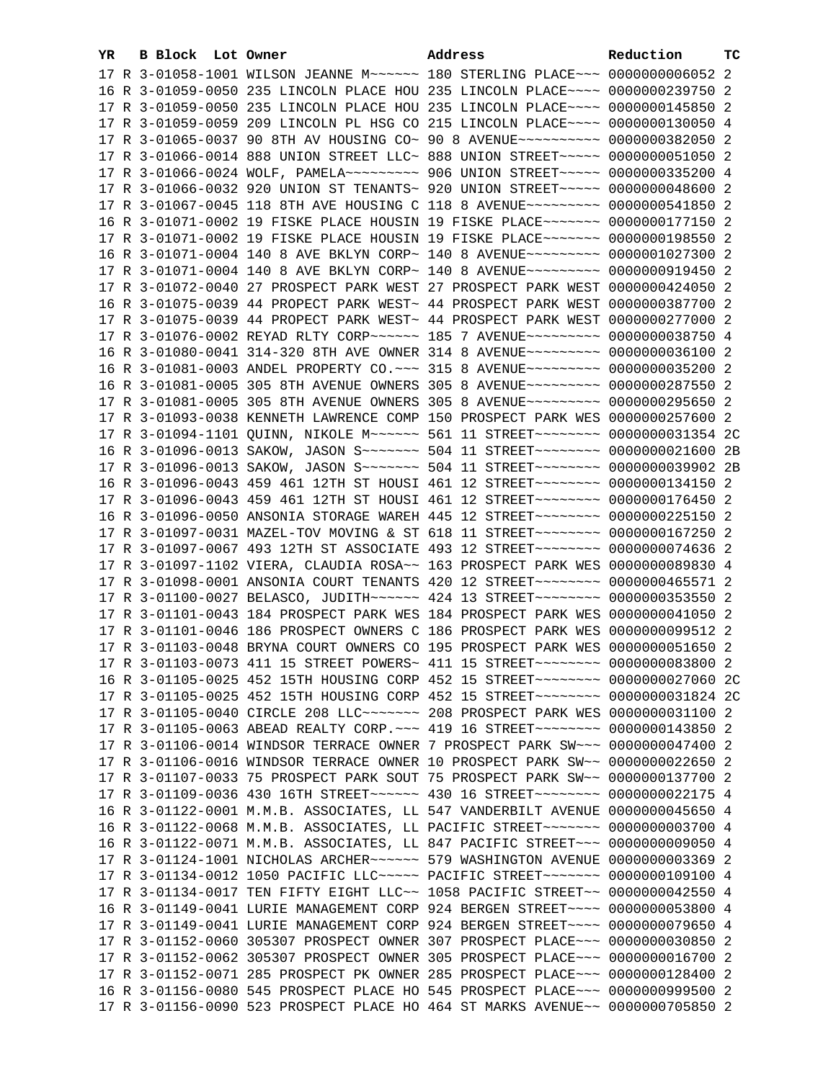| YR. | B Block Lot Owner |                                                                                                                                                                  | Address | Reduction | ТC |
|-----|-------------------|------------------------------------------------------------------------------------------------------------------------------------------------------------------|---------|-----------|----|
|     |                   | 17 R 3-01058-1001 WILSON JEANNE M~~~~~~ 180 STERLING PLACE~~~ 0000000006052 2                                                                                    |         |           |    |
|     |                   | 16 R 3-01059-0050 235 LINCOLN PLACE HOU 235 LINCOLN PLACE~~~~ 0000000239750 2                                                                                    |         |           |    |
|     |                   | 17 R 3-01059-0050 235 LINCOLN PLACE HOU 235 LINCOLN PLACE~~~~ 0000000145850 2                                                                                    |         |           |    |
|     |                   | 17 R 3-01059-0059 209 LINCOLN PL HSG CO 215 LINCOLN PLACE~~~~ 0000000130050 4                                                                                    |         |           |    |
|     |                   | 17 R 3-01065-0037 90 8TH AV HOUSING CO~ 90 8 AVENUE~~~~~~~~~~ 0000000382050 2                                                                                    |         |           |    |
|     |                   | 17 R 3-01066-0014 888 UNION STREET LLC~ 888 UNION STREET~~~~~~ 0000000051050 2                                                                                   |         |           |    |
|     |                   | 17 R 3-01066-0024 WOLF, PAMELA~~~~~~~~~~ 906 UNION STREET~~~~~ 0000000335200 4                                                                                   |         |           |    |
|     |                   | 17 R 3-01066-0032 920 UNION ST TENANTS~ 920 UNION STREET~~~~~ 0000000048600 2                                                                                    |         |           |    |
|     |                   | 17 R 3-01067-0045 118 8TH AVE HOUSING C 118 8 AVENUE~~~~~~~~~ 0000000541850 2                                                                                    |         |           |    |
|     |                   | 16 R 3-01071-0002 19 FISKE PLACE HOUSIN 19 FISKE PLACE~~~~~~~ 0000000177150 2                                                                                    |         |           |    |
|     |                   | 17 R 3-01071-0002 19 FISKE PLACE HOUSIN 19 FISKE PLACE ~~~~~~~~ 0000000198550 2                                                                                  |         |           |    |
|     |                   | 16 R 3-01071-0004 140 8 AVE BKLYN CORP~ 140 8 AVENUE~~~~~~~~~ 0000001027300 2                                                                                    |         |           |    |
|     |                   | 17 R 3-01071-0004 140 8 AVE BKLYN CORP~ 140 8 AVENUE~~~~~~~~~ 0000000919450 2                                                                                    |         |           |    |
|     |                   |                                                                                                                                                                  |         |           |    |
|     |                   | 17 R 3-01072-0040 27 PROSPECT PARK WEST 27 PROSPECT PARK WEST 0000000424050 2<br>16 R 3-01075-0039 44 PROPECT PARK WEST~ 44 PROSPECT PARK WEST 0000000387700 2   |         |           |    |
|     |                   |                                                                                                                                                                  |         |           |    |
|     |                   | 17 R 3-01075-0039 44 PROPECT PARK WEST~ 44 PROSPECT PARK WEST 0000000277000 2                                                                                    |         |           |    |
|     |                   | 17 R 3-01076-0002 REYAD RLTY CORP~~~~~~ 185 7 AVENUE~~~~~~~~~ 0000000038750 4                                                                                    |         |           |    |
|     |                   | 16 R 3-01080-0041 314-320 8TH AVE OWNER 314 8 AVENUE~~~~~~~~~ 0000000036100 2                                                                                    |         |           |    |
|     |                   | 16 R 3-01081-0003 ANDEL PROPERTY CO. ~~~ 315 8 AVENUE~~~~~~~~~ 0000000035200 2                                                                                   |         |           |    |
|     |                   | 16 R 3-01081-0005 305 8TH AVENUE OWNERS 305 8 AVENUE~~~~~~~~~ 0000000287550 2                                                                                    |         |           |    |
|     |                   | 17 R 3-01081-0005 305 8TH AVENUE OWNERS 305 8 AVENUE~~~~~~~~~ 0000000295650 2                                                                                    |         |           |    |
|     |                   | 17 R 3-01093-0038 KENNETH LAWRENCE COMP 150 PROSPECT PARK WES 0000000257600 2                                                                                    |         |           |    |
|     |                   | 17 R 3-01094-1101 QUINN, NIKOLE M~~~~~~ 561 11 STREET~~~~~~~~ 0000000031354 2C                                                                                   |         |           |    |
|     |                   | 16 R 3-01096-0013 SAKOW, JASON S~~~~~~~ 504 11 STREET~~~~~~~~ 0000000021600 2B                                                                                   |         |           |    |
|     |                   | 17 R 3-01096-0013 SAKOW, JASON S~~~~~~~ 504 11 STREET~~~~~~~~ 0000000039902 2B                                                                                   |         |           |    |
|     |                   | 16 R 3-01096-0043 459 461 12TH ST HOUSI 461 12 STREET~~~~~~~~~ 0000000134150 2                                                                                   |         |           |    |
|     |                   | 17 R 3-01096-0043 459 461 12TH ST HOUSI 461 12 STREET~~~~~~~~ 0000000176450 2                                                                                    |         |           |    |
|     |                   | 16 R 3-01096-0050 ANSONIA STORAGE WAREH 445 12 STREET~~~~~~~~~ 0000000225150 2                                                                                   |         |           |    |
|     |                   | 17 R 3-01097-0031 MAZEL-TOV MOVING & ST 618 11 STREET~~~~~~~~ 0000000167250 2<br>17 R 3-01097-0067 493 12TH ST ASSOCIATE 493 12 STREET~~~~~~~~~ 0000000074636 2  |         |           |    |
|     |                   | 17 R 3-01097-1102 VIERA, CLAUDIA ROSA~~ 163 PROSPECT PARK WES 0000000089830 4                                                                                    |         |           |    |
|     |                   | 17 R 3-01098-0001 ANSONIA COURT TENANTS 420 12 STREET~~~~~~~~~ 0000000465571 2                                                                                   |         |           |    |
|     |                   | 17 R 3-01100-0027 BELASCO, JUDITH~~~~~~ 424 13 STREET~~~~~~~~ 0000000353550 2                                                                                    |         |           |    |
|     |                   | 17 R 3-01101-0043 184 PROSPECT PARK WES 184 PROSPECT PARK WES 0000000041050 2                                                                                    |         |           |    |
|     |                   | 17 R 3-01101-0046 186 PROSPECT OWNERS C 186 PROSPECT PARK WES 0000000099512 2                                                                                    |         |           |    |
|     |                   | 17 R 3-01103-0048 BRYNA COURT OWNERS CO 195 PROSPECT PARK WES 0000000051650 2                                                                                    |         |           |    |
|     |                   | 17 R 3-01103-0073 411 15 STREET POWERS~ 411 15 STREET~~~~~~~~~ 0000000083800 2                                                                                   |         |           |    |
|     |                   |                                                                                                                                                                  |         |           |    |
|     |                   | 16 R 3-01105-0025 452 15TH HOUSING CORP 452 15 STREET~~~~~~~~ 0000000027060 2C<br>17 R 3-01105-0025 452 15TH HOUSING CORP 452 15 STREET~~~~~~~~ 0000000031824 2C |         |           |    |
|     |                   | 17 R 3-01105-0040 CIRCLE 208 LLC ------ 208 PROSPECT PARK WES 0000000031100 2                                                                                    |         |           |    |
|     |                   | 17 R 3-01105-0063 ABEAD REALTY CORP. ~~~ 419 16 STREET~~~~~~~~~ 0000000143850 2                                                                                  |         |           |    |
|     |                   | 17 R 3-01106-0014 WINDSOR TERRACE OWNER 7 PROSPECT PARK SW~~~ 0000000047400 2                                                                                    |         |           |    |
|     |                   | 17 R 3-01106-0016 WINDSOR TERRACE OWNER 10 PROSPECT PARK SW~~ 0000000022650 2                                                                                    |         |           |    |
|     |                   | 17 R 3-01107-0033 75 PROSPECT PARK SOUT 75 PROSPECT PARK SW~~ 0000000137700 2                                                                                    |         |           |    |
|     |                   | 17 R 3-01109-0036 430 16TH STREET~~~~~~ 430 16 STREET~~~~~~~~ 0000000022175 4                                                                                    |         |           |    |
|     |                   | 16 R 3-01122-0001 M.M.B. ASSOCIATES, LL 547 VANDERBILT AVENUE 0000000045650 4                                                                                    |         |           |    |
|     |                   | 16 R 3-01122-0068 M.M.B. ASSOCIATES, LL PACIFIC STREET~~~~~~~ 0000000003700 4                                                                                    |         |           |    |
|     |                   | 16 R 3-01122-0071 M.M.B. ASSOCIATES, LL 847 PACIFIC STREET~~~ 0000000009050 4                                                                                    |         |           |    |
|     |                   | 17 R 3-01124-1001 NICHOLAS ARCHER~~~~~~ 579 WASHINGTON AVENUE 0000000003369 2                                                                                    |         |           |    |
|     |                   | 17 R 3-01134-0012 1050 PACIFIC LLC ---- PACIFIC STREET ------ 0000000109100 4                                                                                    |         |           |    |
|     |                   | 17 R 3-01134-0017 TEN FIFTY EIGHT LLC~~ 1058 PACIFIC STREET~~ 0000000042550 4                                                                                    |         |           |    |
|     |                   | 16 R 3-01149-0041 LURIE MANAGEMENT CORP 924 BERGEN STREET~~~~ 0000000053800 4                                                                                    |         |           |    |
|     |                   | 17 R 3-01149-0041 LURIE MANAGEMENT CORP 924 BERGEN STREET~~~~ 0000000079650 4                                                                                    |         |           |    |
|     |                   | 17 R 3-01152-0060 305307 PROSPECT OWNER 307 PROSPECT PLACE~~~ 0000000030850 2                                                                                    |         |           |    |
|     |                   | 17 R 3-01152-0062 305307 PROSPECT OWNER 305 PROSPECT PLACE~~~ 0000000016700 2                                                                                    |         |           |    |
|     |                   | 17 R 3-01152-0071 285 PROSPECT PK OWNER 285 PROSPECT PLACE~~~ 0000000128400 2                                                                                    |         |           |    |
|     |                   | 16 R 3-01156-0080 545 PROSPECT PLACE HO 545 PROSPECT PLACE~~~ 0000000999500 2                                                                                    |         |           |    |
|     |                   | 17 R 3-01156-0090 523 PROSPECT PLACE HO 464 ST MARKS AVENUE~~ 0000000705850 2                                                                                    |         |           |    |
|     |                   |                                                                                                                                                                  |         |           |    |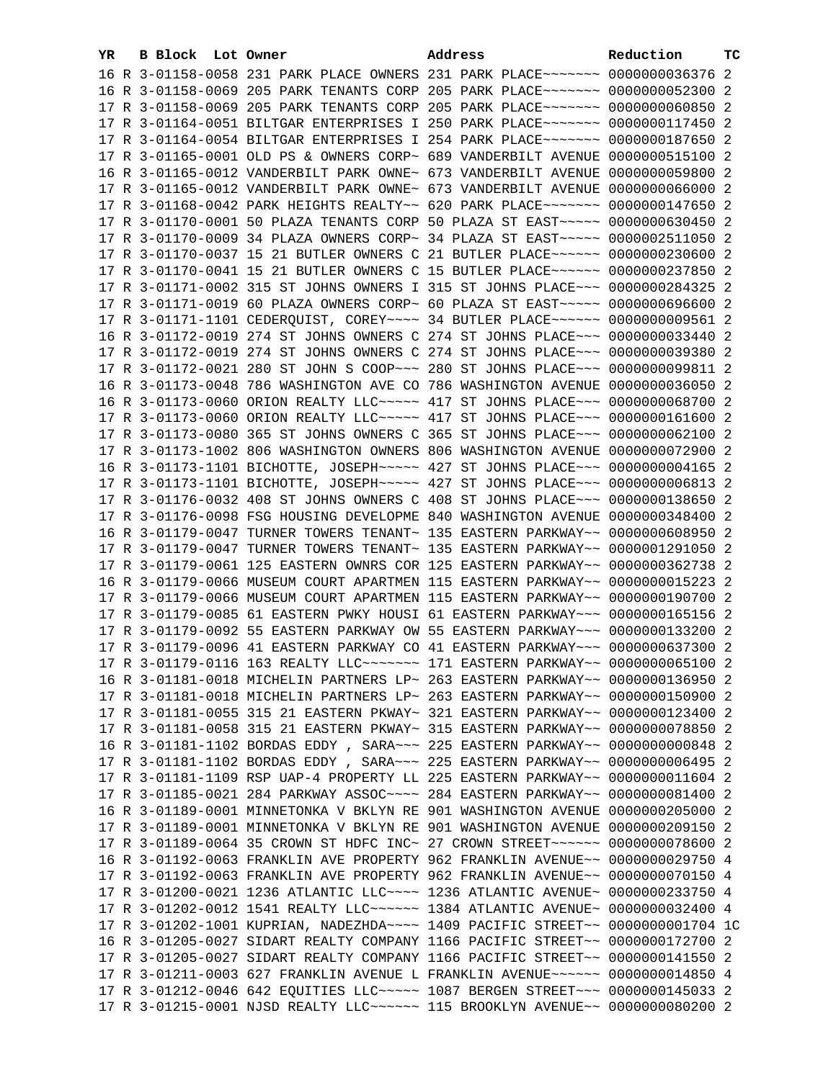| YR | <b>B Block Lot Owner</b> |  | Address                                                                         | Reduction | тc |
|----|--------------------------|--|---------------------------------------------------------------------------------|-----------|----|
|    |                          |  | 16 R 3-01158-0058 231 PARK PLACE OWNERS 231 PARK PLACE ~~~~~~~ 0000000036376 2  |           |    |
|    |                          |  | 16 R 3-01158-0069 205 PARK TENANTS CORP 205 PARK PLACE~~~~~~~ 0000000052300 2   |           |    |
|    |                          |  | 17 R 3-01158-0069 205 PARK TENANTS CORP 205 PARK PLACE~~~~~~~ 0000000060850 2   |           |    |
|    |                          |  | 17 R 3-01164-0051 BILTGAR ENTERPRISES I 250 PARK PLACE~~~~~~~ 0000000117450 2   |           |    |
|    |                          |  | 17 R 3-01164-0054 BILTGAR ENTERPRISES I 254 PARK PLACE~~~~~~~ 0000000187650 2   |           |    |
|    |                          |  | 17 R 3-01165-0001 OLD PS & OWNERS CORP~ 689 VANDERBILT AVENUE 0000000515100 2   |           |    |
|    |                          |  | 16 R 3-01165-0012 VANDERBILT PARK OWNE~ 673 VANDERBILT AVENUE 0000000059800 2   |           |    |
|    |                          |  | 17 R 3-01165-0012 VANDERBILT PARK OWNE~ 673 VANDERBILT AVENUE 0000000066000 2   |           |    |
|    |                          |  | 17 R 3-01168-0042 PARK HEIGHTS REALTY~~ 620 PARK PLACE~~~~~~~ 0000000147650 2   |           |    |
|    |                          |  | 17 R 3-01170-0001 50 PLAZA TENANTS CORP 50 PLAZA ST EAST~~~~~ 0000000630450 2   |           |    |
|    |                          |  | 17 R 3-01170-0009 34 PLAZA OWNERS CORP~ 34 PLAZA ST EAST~~~~~ 0000002511050 2   |           |    |
|    |                          |  | 17 R 3-01170-0037 15 21 BUTLER OWNERS C 21 BUTLER PLACE~~~~~~ 0000000230600 2   |           |    |
|    |                          |  |                                                                                 |           |    |
|    |                          |  | 17 R 3-01170-0041 15 21 BUTLER OWNERS C 15 BUTLER PLACE~~~~~~ 0000000237850 2   |           |    |
|    |                          |  | 17 R 3-01171-0002 315 ST JOHNS OWNERS I 315 ST JOHNS PLACE~~~ 0000000284325 2   |           |    |
|    |                          |  | 17 R 3-01171-0019 60 PLAZA OWNERS CORP~ 60 PLAZA ST EAST~~~~~ 0000000696600 2   |           |    |
|    |                          |  | 17 R 3-01171-1101 CEDERQUIST, COREY~~~~ 34 BUTLER PLACE~~~~~~ 0000000009561 2   |           |    |
|    |                          |  | 16 R 3-01172-0019 274 ST JOHNS OWNERS C 274 ST JOHNS PLACE~~~ 0000000033440 2   |           |    |
|    |                          |  | 17 R 3-01172-0019 274 ST JOHNS OWNERS C 274 ST JOHNS PLACE~~~ 0000000039380 2   |           |    |
|    |                          |  | 17 R 3-01172-0021 280 ST JOHN S COOP~~~ 280 ST JOHNS PLACE~~~ 0000000099811 2   |           |    |
|    |                          |  | 16 R 3-01173-0048 786 WASHINGTON AVE CO 786 WASHINGTON AVENUE 0000000036050 2   |           |    |
|    |                          |  | 16 R 3-01173-0060 ORION REALTY LLC~~~~~ 417 ST JOHNS PLACE~~~ 0000000068700 2   |           |    |
|    |                          |  | 17 R 3-01173-0060 ORION REALTY LLC ---- 417 ST JOHNS PLACE -- 0000000161600 2   |           |    |
|    |                          |  | 17 R 3-01173-0080 365 ST JOHNS OWNERS C 365 ST JOHNS PLACE~~~ 0000000062100 2   |           |    |
|    |                          |  | 17 R 3-01173-1002 806 WASHINGTON OWNERS 806 WASHINGTON AVENUE 0000000072900 2   |           |    |
|    |                          |  | 16 R 3-01173-1101 BICHOTTE, JOSEPH~~~~~ 427 ST JOHNS PLACE~~~ 0000000004165 2   |           |    |
|    |                          |  | 17 R 3-01173-1101 BICHOTTE, JOSEPH~~~~~ 427 ST JOHNS PLACE~~~ 0000000006813 2   |           |    |
|    |                          |  | 17 R 3-01176-0032 408 ST JOHNS OWNERS C 408 ST JOHNS PLACE~~~ 0000000138650 2   |           |    |
|    |                          |  | 17 R 3-01176-0098 FSG HOUSING DEVELOPME 840 WASHINGTON AVENUE 0000000348400 2   |           |    |
|    |                          |  | 16 R 3-01179-0047 TURNER TOWERS TENANT~ 135 EASTERN PARKWAY~~ 0000000608950 2   |           |    |
|    |                          |  | 17 R 3-01179-0047 TURNER TOWERS TENANT~ 135 EASTERN PARKWAY~~ 0000001291050 2   |           |    |
|    |                          |  | 17 R 3-01179-0061 125 EASTERN OWNRS COR 125 EASTERN PARKWAY~~ 0000000362738 2   |           |    |
|    |                          |  | 16 R 3-01179-0066 MUSEUM COURT APARTMEN 115 EASTERN PARKWAY~~ 0000000015223 2   |           |    |
|    |                          |  | 17 R 3-01179-0066 MUSEUM COURT APARTMEN 115 EASTERN PARKWAY~~ 0000000190700 2   |           |    |
|    |                          |  | 17 R 3-01179-0085 61 EASTERN PWKY HOUSI 61 EASTERN PARKWAY~~~ 0000000165156 2   |           |    |
|    |                          |  | 17 R 3-01179-0092 55 EASTERN PARKWAY OW 55 EASTERN PARKWAY~~~ 0000000133200 2   |           |    |
|    |                          |  | 17 R 3-01179-0096 41 EASTERN PARKWAY CO 41 EASTERN PARKWAY~~~ 0000000637300 2   |           |    |
|    |                          |  | 17 R 3-01179-0116 163 REALTY LLC ------ 171 EASTERN PARKWAY -- 0000000065100 2  |           |    |
|    |                          |  | 16 R 3-01181-0018 MICHELIN PARTNERS LP~ 263 EASTERN PARKWAY~~ 0000000136950 2   |           |    |
|    |                          |  | 17 R 3-01181-0018 MICHELIN PARTNERS LP~ 263 EASTERN PARKWAY~~ 0000000150900 2   |           |    |
|    |                          |  | 17 R 3-01181-0055 315 21 EASTERN PKWAY~ 321 EASTERN PARKWAY~~ 0000000123400 2   |           |    |
|    |                          |  | 17 R 3-01181-0058 315 21 EASTERN PKWAY~ 315 EASTERN PARKWAY~~ 0000000078850 2   |           |    |
|    |                          |  | 16 R 3-01181-1102 BORDAS EDDY , SARA~~~ 225 EASTERN PARKWAY~~ 0000000000848 2   |           |    |
|    |                          |  | 17 R 3-01181-1102 BORDAS EDDY, SARA~~~ 225 EASTERN PARKWAY~~ 0000000006495 2    |           |    |
|    |                          |  | 17 R 3-01181-1109 RSP UAP-4 PROPERTY LL 225 EASTERN PARKWAY~~ 00000000011604 2  |           |    |
|    |                          |  | 17 R 3-01185-0021 284 PARKWAY ASSOC --~~ 284 EASTERN PARKWAY -~ 0000000081400 2 |           |    |
|    |                          |  | 16 R 3-01189-0001 MINNETONKA V BKLYN RE 901 WASHINGTON AVENUE 0000000205000 2   |           |    |
|    |                          |  | 17 R 3-01189-0001 MINNETONKA V BKLYN RE 901 WASHINGTON AVENUE 0000000209150 2   |           |    |
|    |                          |  | 17 R 3-01189-0064 35 CROWN ST HDFC INC~ 27 CROWN STREET~~~~~~~ 0000000078600 2  |           |    |
|    |                          |  | 16 R 3-01192-0063 FRANKLIN AVE PROPERTY 962 FRANKLIN AVENUE~~ 0000000029750 4   |           |    |
|    |                          |  | 17 R 3-01192-0063 FRANKLIN AVE PROPERTY 962 FRANKLIN AVENUE~~ 0000000070150 4   |           |    |
|    |                          |  | 17 R 3-01200-0021 1236 ATLANTIC LLC~~~~ 1236 ATLANTIC AVENUE~ 0000000233750 4   |           |    |
|    |                          |  | 17 R 3-01202-0012 1541 REALTY LLC ----- 1384 ATLANTIC AVENUE ~ 0000000032400 4  |           |    |
|    |                          |  | 17 R 3-01202-1001 KUPRIAN, NADEZHDA~~~~ 1409 PACIFIC STREET~~ 0000000001704 1C  |           |    |
|    |                          |  | 16 R 3-01205-0027 SIDART REALTY COMPANY 1166 PACIFIC STREET~~ 0000000172700 2   |           |    |
|    |                          |  | 17 R 3-01205-0027 SIDART REALTY COMPANY 1166 PACIFIC STREET~~ 0000000141550 2   |           |    |
|    |                          |  | 17 R 3-01211-0003 627 FRANKLIN AVENUE L FRANKLIN AVENUE~~~~~~ 0000000014850 4   |           |    |
|    |                          |  | 17 R 3-01212-0046 642 EQUITIES LLC ---- 1087 BERGEN STREET -- 0000000145033 2   |           |    |
|    |                          |  | 17 R 3-01215-0001 NJSD REALTY LLC ----- 115 BROOKLYN AVENUE -- 0000000080200 2  |           |    |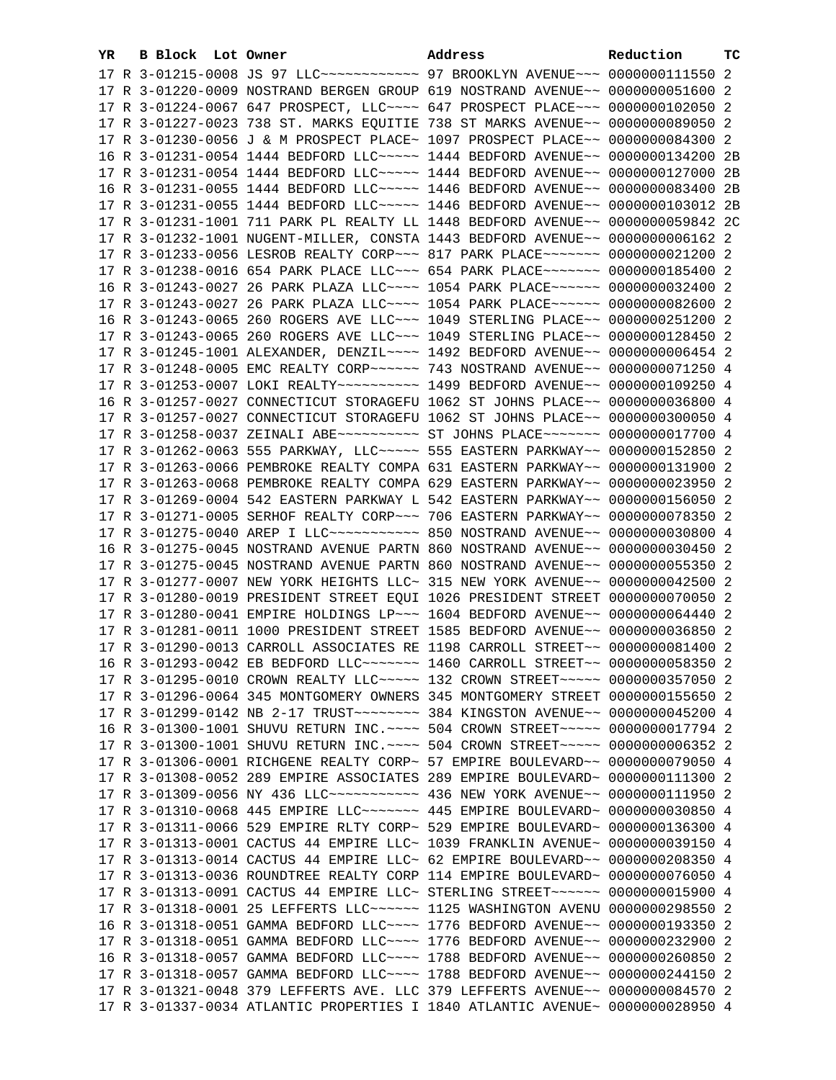| YR. | B Block Lot Owner |  | Address                                                                                                                                                        | Reduction | тc |
|-----|-------------------|--|----------------------------------------------------------------------------------------------------------------------------------------------------------------|-----------|----|
|     |                   |  | 17 R 3-01215-0008 JS 97 LLC ------------ 97 BROOKLYN AVENUE --- 0000000111550 2                                                                                |           |    |
|     |                   |  | 17 R 3-01220-0009 NOSTRAND BERGEN GROUP 619 NOSTRAND AVENUE~~ 0000000051600 2                                                                                  |           |    |
|     |                   |  | 17 R 3-01224-0067 647 PROSPECT, LLC~~~~ 647 PROSPECT PLACE~~~ 0000000102050 2                                                                                  |           |    |
|     |                   |  | 17 R 3-01227-0023 738 ST. MARKS EQUITIE 738 ST MARKS AVENUE~~ 0000000089050 2                                                                                  |           |    |
|     |                   |  | 17 R 3-01230-0056 J & M PROSPECT PLACE~ 1097 PROSPECT PLACE~~ 0000000084300 2                                                                                  |           |    |
|     |                   |  | 16 R 3-01231-0054 1444 BEDFORD LLC~~~~~ 1444 BEDFORD AVENUE~~ 0000000134200 2B                                                                                 |           |    |
|     |                   |  | 17 R 3-01231-0054 1444 BEDFORD LLC~~~~~ 1444 BEDFORD AVENUE~~ 0000000127000 2B                                                                                 |           |    |
|     |                   |  | 16 R 3-01231-0055 1444 BEDFORD LLC~~~~~ 1446 BEDFORD AVENUE~~ 0000000083400 2B                                                                                 |           |    |
|     |                   |  | 17 R 3-01231-0055 1444 BEDFORD LLC ----- 1446 BEDFORD AVENUE -- 0000000103012 2B                                                                               |           |    |
|     |                   |  | 17 R 3-01231-1001 711 PARK PL REALTY LL 1448 BEDFORD AVENUE~~ 0000000059842 2C                                                                                 |           |    |
|     |                   |  |                                                                                                                                                                |           |    |
|     |                   |  | 17 R 3-01232-1001 NUGENT-MILLER, CONSTA 1443 BEDFORD AVENUE~~ 00000000006162 2                                                                                 |           |    |
|     |                   |  | 17 R 3-01233-0056 LESROB REALTY CORP~~~ 817 PARK PLACE~~~~~~~ 0000000021200 2                                                                                  |           |    |
|     |                   |  | 17 R 3-01238-0016 654 PARK PLACE LLC -~~ 654 PARK PLACE -~~~~~~ 0000000185400 2                                                                                |           |    |
|     |                   |  | 16 R 3-01243-0027 26 PARK PLAZA LLC~~~~ 1054 PARK PLACE~~~~~~ 0000000032400 2                                                                                  |           |    |
|     |                   |  | 17 R 3-01243-0027 26 PARK PLAZA LLC~~~~ 1054 PARK PLACE~~~~~~ 0000000082600 2                                                                                  |           |    |
|     |                   |  | 16 R 3-01243-0065 260 ROGERS AVE LLC~~~ 1049 STERLING PLACE~~ 0000000251200 2                                                                                  |           |    |
|     |                   |  | 17 R 3-01243-0065 260 ROGERS AVE LLC~~~ 1049 STERLING PLACE~~ 0000000128450 2                                                                                  |           |    |
|     |                   |  | 17 R 3-01245-1001 ALEXANDER, DENZIL~~~~ 1492 BEDFORD AVENUE~~ 0000000006454 2                                                                                  |           |    |
|     |                   |  |                                                                                                                                                                |           |    |
|     |                   |  | 17 R 3-01253-0007 LOKI REALTY~~~~~~~~~~~~~~~ 1499 BEDFORD AVENUE~~ 0000000109250 4                                                                             |           |    |
|     |                   |  | 16 R 3-01257-0027 CONNECTICUT STORAGEFU 1062 ST JOHNS PLACE~~ 0000000036800 4                                                                                  |           |    |
|     |                   |  | 17 R 3-01257-0027 CONNECTICUT STORAGEFU 1062 ST JOHNS PLACE~~ 0000000300050 4                                                                                  |           |    |
|     |                   |  | 17 R 3-01258-0037 ZEINALI ABE~~~~~~~~~~~~~~ ST JOHNS PLACE~~~~~~~~~ 0000000017700 4                                                                            |           |    |
|     |                   |  | 17 R 3-01262-0063 555 PARKWAY, LLC ---- 555 EASTERN PARKWAY -- 0000000152850 2                                                                                 |           |    |
|     |                   |  | 17 R 3-01263-0066 PEMBROKE REALTY COMPA 631 EASTERN PARKWAY~~ 0000000131900 2                                                                                  |           |    |
|     |                   |  | 17 R 3-01263-0068 PEMBROKE REALTY COMPA 629 EASTERN PARKWAY~~ 0000000023950 2                                                                                  |           |    |
|     |                   |  | 17 R 3-01269-0004 542 EASTERN PARKWAY L 542 EASTERN PARKWAY~~ 0000000156050 2                                                                                  |           |    |
|     |                   |  | 17 R 3-01271-0005 SERHOF REALTY CORP~~~ 706 EASTERN PARKWAY~~ 0000000078350 2                                                                                  |           |    |
|     |                   |  | 17 R 3-01275-0040 AREP I LLC ----------- 850 NOSTRAND AVENUE -- 0000000030800 4                                                                                |           |    |
|     |                   |  | 16 R 3-01275-0045 NOSTRAND AVENUE PARTN 860 NOSTRAND AVENUE~~ 0000000030450 2                                                                                  |           |    |
|     |                   |  | 17 R 3-01275-0045 NOSTRAND AVENUE PARTN 860 NOSTRAND AVENUE~~ 0000000055350 2                                                                                  |           |    |
|     |                   |  | 17 R 3-01277-0007 NEW YORK HEIGHTS LLC~ 315 NEW YORK AVENUE~~ 0000000042500 2                                                                                  |           |    |
|     |                   |  | 17 R 3-01280-0019 PRESIDENT STREET EQUI 1026 PRESIDENT STREET 0000000070050 2                                                                                  |           |    |
|     |                   |  | 17 R 3-01280-0041 EMPIRE HOLDINGS LP~~~ 1604 BEDFORD AVENUE~~ 0000000064440 2                                                                                  |           |    |
|     |                   |  | 17 R 3-01281-0011 1000 PRESIDENT STREET 1585 BEDFORD AVENUE~~ 0000000036850 2                                                                                  |           |    |
|     |                   |  | 17 R 3-01290-0013 CARROLL ASSOCIATES RE 1198 CARROLL STREET~~ 0000000081400 2                                                                                  |           |    |
|     |                   |  | 16 R 3-01293-0042 EB BEDFORD LLC ------ 1460 CARROLL STREET -~ 0000000058350 2                                                                                 |           |    |
|     |                   |  | 17 R 3-01295-0010 CROWN REALTY LLC~~~~~ 132 CROWN STREET~~~~~ 0000000357050 2                                                                                  |           |    |
|     |                   |  | 17 R 3-01296-0064 345 MONTGOMERY OWNERS 345 MONTGOMERY STREET 0000000155650 2                                                                                  |           |    |
|     |                   |  |                                                                                                                                                                |           |    |
|     |                   |  | 16 R 3-01300-1001 SHUVU RETURN INC. ~~~~ 504 CROWN STREET~~~~~ 0000000017794 2                                                                                 |           |    |
|     |                   |  | 17 R 3-01300-1001 SHUVU RETURN INC. ~~~~ 504 CROWN STREET~~~~~ 00000000006352 2                                                                                |           |    |
|     |                   |  | 17 R 3-01306-0001 RICHGENE REALTY CORP~ 57 EMPIRE BOULEVARD~~ 0000000079050 4                                                                                  |           |    |
|     |                   |  | 17 R 3-01308-0052 289 EMPIRE ASSOCIATES 289 EMPIRE BOULEVARD~ 0000000111300 2                                                                                  |           |    |
|     |                   |  | 17 R 3-01309-0056 NY 436 LLC ----------- 436 NEW YORK AVENUE -- 0000000111950 2                                                                                |           |    |
|     |                   |  | 17 R 3-01310-0068 445 EMPIRE LLC ------- 445 EMPIRE BOULEVARD ~ 0000000030850 4                                                                                |           |    |
|     |                   |  | 17 R 3-01311-0066 529 EMPIRE RLTY CORP~ 529 EMPIRE BOULEVARD~ 0000000136300 4                                                                                  |           |    |
|     |                   |  | 17 R 3-01313-0001 CACTUS 44 EMPIRE LLC~ 1039 FRANKLIN AVENUE~ 0000000039150 4                                                                                  |           |    |
|     |                   |  | 17 R 3-01313-0014 CACTUS 44 EMPIRE LLC~ 62 EMPIRE BOULEVARD~~ 0000000208350 4<br>17 R 3-01313-0036 ROUNDTREE REALTY CORP 114 EMPIRE BOULEVARD~ 0000000076050 4 |           |    |
|     |                   |  |                                                                                                                                                                |           |    |
|     |                   |  | 17 R 3-01313-0091 CACTUS 44 EMPIRE LLC~ STERLING STREET~~~~~~ 0000000015900 4                                                                                  |           |    |
|     |                   |  | 17 R 3-01318-0001 25 LEFFERTS LLC ----- 1125 WASHINGTON AVENU 0000000298550 2<br>16 R 3-01318-0051 GAMMA BEDFORD LLC~~~~ 1776 BEDFORD AVENUE~~ 0000000193350 2 |           |    |
|     |                   |  | 17 R 3-01318-0051 GAMMA BEDFORD LLC~~~~ 1776 BEDFORD AVENUE~~ 0000000232900 2                                                                                  |           |    |
|     |                   |  | 16 R 3-01318-0057 GAMMA BEDFORD LLC~~~~ 1788 BEDFORD AVENUE~~ 0000000260850 2                                                                                  |           |    |
|     |                   |  | 17 R 3-01318-0057 GAMMA BEDFORD LLC~~~~ 1788 BEDFORD AVENUE~~ 0000000244150 2                                                                                  |           |    |
|     |                   |  | 17 R 3-01321-0048 379 LEFFERTS AVE. LLC 379 LEFFERTS AVENUE~~ 0000000084570 2                                                                                  |           |    |
|     |                   |  | 17 R 3-01337-0034 ATLANTIC PROPERTIES I 1840 ATLANTIC AVENUE~ 0000000028950 4                                                                                  |           |    |
|     |                   |  |                                                                                                                                                                |           |    |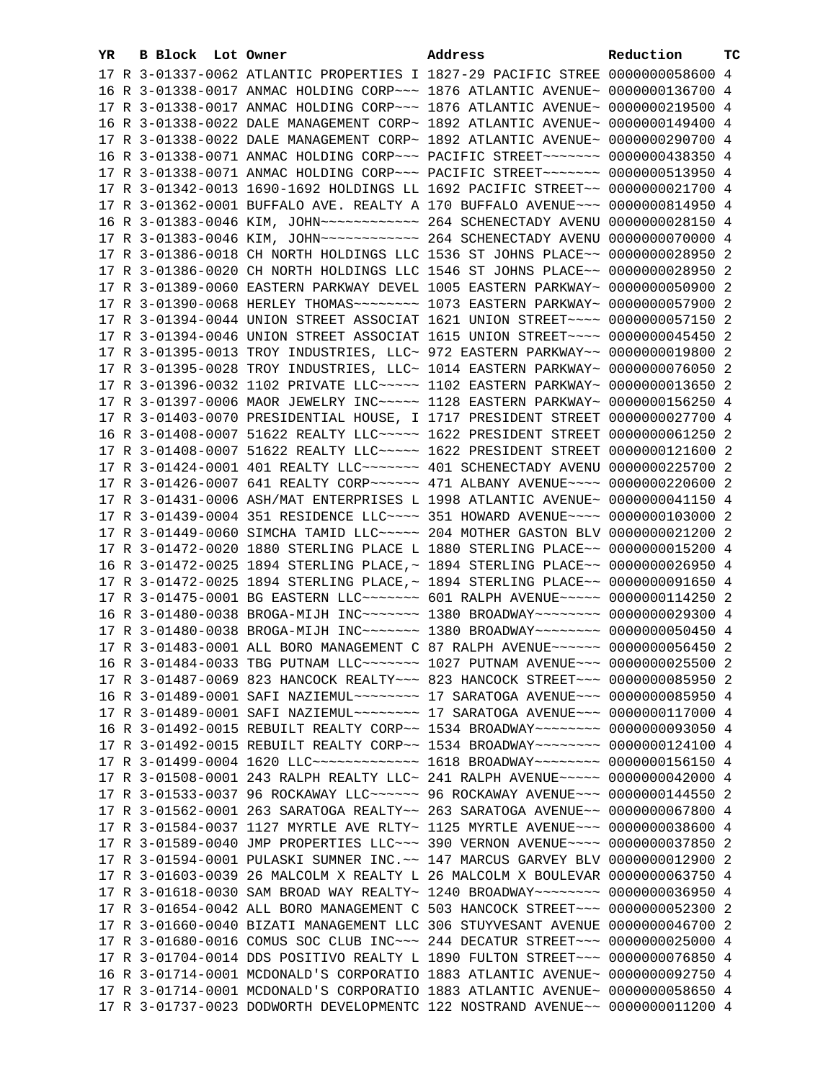| YR. | B Block Lot Owner |                                                                                                      | Address | Reduction | тc |
|-----|-------------------|------------------------------------------------------------------------------------------------------|---------|-----------|----|
|     |                   | 17 R 3-01337-0062 ATLANTIC PROPERTIES I 1827-29 PACIFIC STREE 0000000058600 4                        |         |           |    |
|     |                   | 16 R 3-01338-0017 ANMAC HOLDING CORP~~~ 1876 ATLANTIC AVENUE~ 0000000136700 4                        |         |           |    |
|     |                   | 17 R 3-01338-0017 ANMAC HOLDING CORP~~~ 1876 ATLANTIC AVENUE~ 0000000219500 4                        |         |           |    |
|     |                   | 16 R 3-01338-0022 DALE MANAGEMENT CORP~ 1892 ATLANTIC AVENUE~ 0000000149400 4                        |         |           |    |
|     |                   | 17 R 3-01338-0022 DALE MANAGEMENT CORP~ 1892 ATLANTIC AVENUE~ 0000000290700 4                        |         |           |    |
|     |                   | 16 R 3-01338-0071 ANMAC HOLDING CORP~~~ PACIFIC STREET~~~~~~~ 0000000438350 4                        |         |           |    |
|     |                   | 17 R 3-01338-0071 ANMAC HOLDING CORP~~~ PACIFIC STREET~~~~~~~ 0000000513950 4                        |         |           |    |
|     |                   | 17 R 3-01342-0013 1690-1692 HOLDINGS LL 1692 PACIFIC STREET~~ 0000000021700 4                        |         |           |    |
|     |                   | 17 R 3-01362-0001 BUFFALO AVE. REALTY A 170 BUFFALO AVENUE~~~ 0000000814950 4                        |         |           |    |
|     |                   | 16 R 3-01383-0046 KIM, JOHN ------------ 264 SCHENECTADY AVENU 0000000028150 4                       |         |           |    |
|     |                   | 17 R 3-01383-0046 KIM, JOHN ------------ 264 SCHENECTADY AVENU 0000000070000 4                       |         |           |    |
|     |                   |                                                                                                      |         |           |    |
|     |                   | 17 R 3-01386-0018 CH NORTH HOLDINGS LLC 1536 ST JOHNS PLACE~~ 0000000028950 2                        |         |           |    |
|     |                   | 17 R 3-01386-0020 CH NORTH HOLDINGS LLC 1546 ST JOHNS PLACE~~ 0000000028950 2                        |         |           |    |
|     |                   | 17 R 3-01389-0060 EASTERN PARKWAY DEVEL 1005 EASTERN PARKWAY~ 0000000050900 2                        |         |           |    |
|     |                   |                                                                                                      |         |           |    |
|     |                   | 17 R 3-01394-0044 UNION STREET ASSOCIAT 1621 UNION STREET~~~~ 0000000057150 2                        |         |           |    |
|     |                   | 17 R 3-01394-0046 UNION STREET ASSOCIAT 1615 UNION STREET~~~~ 0000000045450 2                        |         |           |    |
|     |                   | 17 R 3-01395-0013 TROY INDUSTRIES, LLC~ 972 EASTERN PARKWAY~~ 0000000019800 2                        |         |           |    |
|     |                   | 17 R 3-01395-0028 TROY INDUSTRIES, LLC~ 1014 EASTERN PARKWAY~ 0000000076050 2                        |         |           |    |
|     |                   | 17 R 3-01396-0032 1102 PRIVATE LLC ---- 1102 EASTERN PARKWAY ~ 0000000013650 2                       |         |           |    |
|     |                   | 17 R 3-01397-0006 MAOR JEWELRY INC ---- 1128 EASTERN PARKWAY ~ 0000000156250 4                       |         |           |    |
|     |                   | 17 R 3-01403-0070 PRESIDENTIAL HOUSE, I 1717 PRESIDENT STREET 0000000027700 4                        |         |           |    |
|     |                   | 16 R 3-01408-0007 51622 REALTY LLC ---- 1622 PRESIDENT STREET 0000000061250 2                        |         |           |    |
|     |                   | 17 R 3-01408-0007 51622 REALTY LLC ---- 1622 PRESIDENT STREET 0000000121600 2                        |         |           |    |
|     |                   | 17 R 3-01424-0001 401 REALTY LLC ------- 401 SCHENECTADY AVENU 0000000225700 2                       |         |           |    |
|     |                   | 17 R 3-01426-0007 641 REALTY CORP ~~~~~~~~~~~~~~~~ 471 ALBANY AVENUE ~~~~~~~~~~~~~~~~~~~~~~~~~~~~~~~ |         |           |    |
|     |                   | 17 R 3-01431-0006 ASH/MAT ENTERPRISES L 1998 ATLANTIC AVENUE~ 0000000041150 4                        |         |           |    |
|     |                   | 17 R 3-01439-0004 351 RESIDENCE LLC~~~~ 351 HOWARD AVENUE~~~~ 0000000103000 2                        |         |           |    |
|     |                   | 17 R 3-01449-0060 SIMCHA TAMID LLC ~~~~~ 204 MOTHER GASTON BLV 0000000021200 2                       |         |           |    |
|     |                   | 17 R 3-01472-0020 1880 STERLING PLACE L 1880 STERLING PLACE~~ 0000000015200 4                        |         |           |    |
|     |                   | 16 R 3-01472-0025 1894 STERLING PLACE, ~ 1894 STERLING PLACE ~~ 0000000026950 4                      |         |           |    |
|     |                   | 17 R 3-01472-0025 1894 STERLING PLACE, ~ 1894 STERLING PLACE ~~ 0000000091650 4                      |         |           |    |
|     |                   | 17 R 3-01475-0001 BG EASTERN LLC ------ 601 RALPH AVENUE ---- 0000000114250 2                        |         |           |    |
|     |                   | 16 R 3-01480-0038 BROGA-MIJH INC~~~~~~~ 1380 BROADWAY~~~~~~~~ 0000000029300 4                        |         |           |    |
|     |                   | 17 R 3-01480-0038 BROGA-MIJH INC~~~~~~~ 1380 BROADWAY~~~~~~~~ 0000000050450 4                        |         |           |    |
|     |                   | 17 R 3-01483-0001 ALL BORO MANAGEMENT C 87 RALPH AVENUE~~~~~~ 0000000056450 2                        |         |           |    |
|     |                   | 16 R 3-01484-0033 TBG PUTNAM LLC ------ 1027 PUTNAM AVENUE -- 0000000025500 2                        |         |           |    |
|     |                   | 17 R 3-01487-0069 823 HANCOCK REALTY~~~ 823 HANCOCK STREET~~~ 0000000085950 2                        |         |           |    |
|     |                   | 16 R 3-01489-0001 SAFI NAZIEMUL~~~~~~~~~~~~~ 17 SARATOGA AVENUE~~~~ 0000000085950 4                  |         |           |    |
|     |                   | 17 R 3-01489-0001 SAFI NAZIEMUL~~~~~~~~~~~~~~ 17 SARATOGA AVENUE~~~~ 0000000117000 4                 |         |           |    |
|     |                   | 16 R 3-01492-0015 REBUILT REALTY CORP~~ 1534 BROADWAY~~~~~~~~ 0000000093050 4                        |         |           |    |
|     |                   | 17 R 3-01492-0015 REBUILT REALTY CORP~~ 1534 BROADWAY~~~~~~~~ 0000000124100 4                        |         |           |    |
|     |                   | 17 R 3-01499-0004 1620 LLC -------------- 1618 BROADWAY -------- 0000000156150 4                     |         |           |    |
|     |                   | 17 R 3-01508-0001 243 RALPH REALTY LLC~ 241 RALPH AVENUE~~~~~ 0000000042000 4                        |         |           |    |
|     |                   | 17 R 3-01533-0037 96 ROCKAWAY LLC ----- 96 ROCKAWAY AVENUE -- 0000000144550 2                        |         |           |    |
|     |                   | 17 R 3-01562-0001 263 SARATOGA REALTY~~ 263 SARATOGA AVENUE~~ 0000000067800 4                        |         |           |    |
|     |                   | 17 R 3-01584-0037 1127 MYRTLE AVE RLTY~ 1125 MYRTLE AVENUE~~~ 0000000038600 4                        |         |           |    |
|     |                   | 17 R 3-01589-0040 JMP PROPERTIES LLC~~~ 390 VERNON AVENUE~~~~ 0000000037850 2                        |         |           |    |
|     |                   | 17 R 3-01594-0001 PULASKI SUMNER INC. ~~ 147 MARCUS GARVEY BLV 0000000012900 2                       |         |           |    |
|     |                   | 17 R 3-01603-0039 26 MALCOLM X REALTY L 26 MALCOLM X BOULEVAR 0000000063750 4                        |         |           |    |
|     |                   | 17 R 3-01618-0030 SAM BROAD WAY REALTY~ 1240 BROADWAY~~~~~~~~ 0000000036950 4                        |         |           |    |
|     |                   | 17 R 3-01654-0042 ALL BORO MANAGEMENT C 503 HANCOCK STREET~~~ 0000000052300 2                        |         |           |    |
|     |                   | 17 R 3-01660-0040 BIZATI MANAGEMENT LLC 306 STUYVESANT AVENUE 0000000046700 2                        |         |           |    |
|     |                   | 17 R 3-01680-0016 COMUS SOC CLUB INC~~~ 244 DECATUR STREET~~~ 0000000025000 4                        |         |           |    |
|     |                   | 17 R 3-01704-0014 DDS POSITIVO REALTY L 1890 FULTON STREET~~~ 0000000076850 4                        |         |           |    |
|     |                   | 16 R 3-01714-0001 MCDONALD'S CORPORATIO 1883 ATLANTIC AVENUE~ 0000000092750 4                        |         |           |    |
|     |                   | 17 R 3-01714-0001 MCDONALD'S CORPORATIO 1883 ATLANTIC AVENUE~ 0000000058650 4                        |         |           |    |
|     |                   | 17 R 3-01737-0023 DODWORTH DEVELOPMENTC 122 NOSTRAND AVENUE~~ 0000000011200 4                        |         |           |    |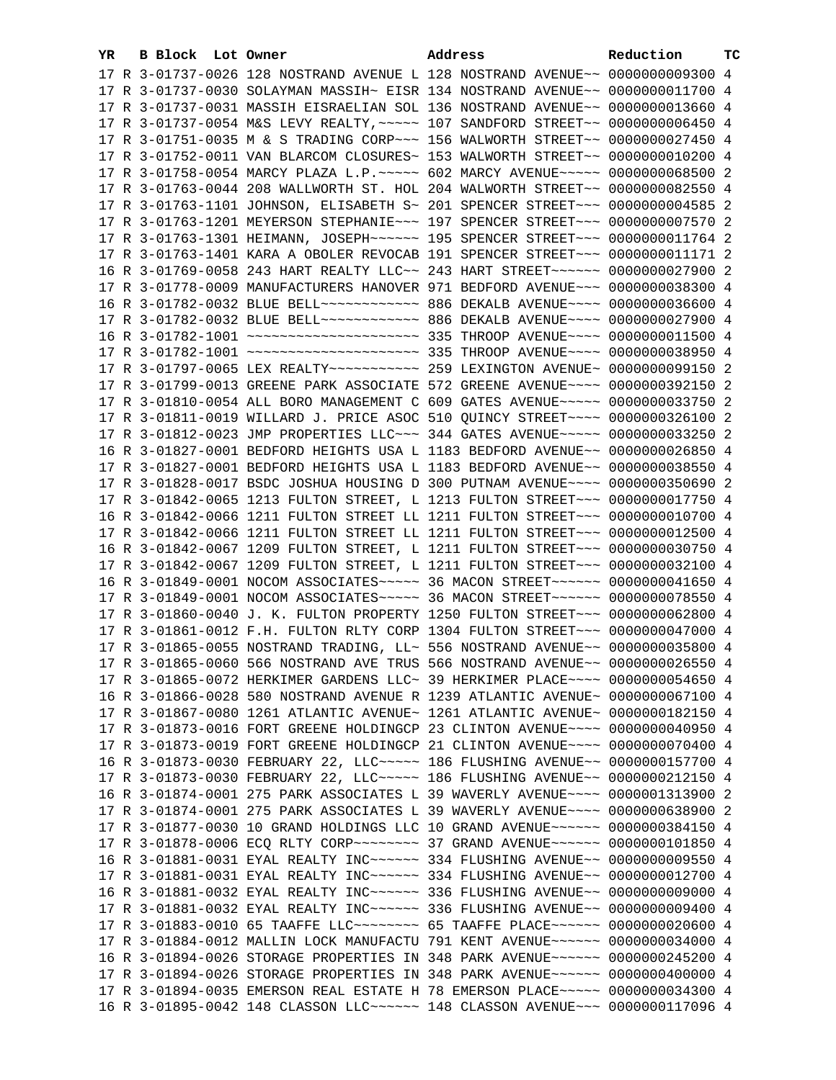| YR. | B Block Lot Owner | Address                                                                                  | Reduction | тc |
|-----|-------------------|------------------------------------------------------------------------------------------|-----------|----|
|     |                   | 17 R 3-01737-0026 128 NOSTRAND AVENUE L 128 NOSTRAND AVENUE~~ 0000000009300 4            |           |    |
|     |                   | 17 R 3-01737-0030 SOLAYMAN MASSIH~ EISR 134 NOSTRAND AVENUE~~ 0000000011700 4            |           |    |
|     |                   | 17 R 3-01737-0031 MASSIH EISRAELIAN SOL 136 NOSTRAND AVENUE~~ 0000000013660 4            |           |    |
|     |                   | 17 R 3-01737-0054 M&S LEVY REALTY, ~~~~~ 107 SANDFORD STREET~~ 0000000006450 4           |           |    |
|     |                   | 17 R 3-01751-0035 M & S TRADING CORP~~~ 156 WALWORTH STREET~~ 0000000027450 4            |           |    |
|     |                   | 17 R 3-01752-0011 VAN BLARCOM CLOSURES~ 153 WALWORTH STREET~~ 0000000010200 4            |           |    |
|     |                   | 17 R 3-01758-0054 MARCY PLAZA L.P. ~~~~~ 602 MARCY AVENUE~~~~~ 0000000068500 2           |           |    |
|     |                   | 17 R 3-01763-0044 208 WALLWORTH ST. HOL 204 WALWORTH STREET~~ 0000000082550 4            |           |    |
|     |                   | 17 R 3-01763-1101 JOHNSON, ELISABETH S~ 201 SPENCER STREET~~~ 0000000004585 2            |           |    |
|     |                   | 17 R 3-01763-1201 MEYERSON STEPHANIE~~~ 197 SPENCER STREET~~~ 0000000007570 2            |           |    |
|     |                   |                                                                                          |           |    |
|     |                   | 17 R 3-01763-1301 HEIMANN, JOSEPH~~~~~~~ 195 SPENCER STREET~~~ 0000000011764 2           |           |    |
|     |                   | 17 R 3-01763-1401 KARA A OBOLER REVOCAB 191 SPENCER STREET~~~ 00000000011171 2           |           |    |
|     |                   | 16 R 3-01769-0058 243 HART REALTY LLC~~ 243 HART STREET~~~~~~~ 0000000027900 2           |           |    |
|     |                   | 17 R 3-01778-0009 MANUFACTURERS HANOVER 971 BEDFORD AVENUE~~~ 0000000038300 4            |           |    |
|     |                   | 16 R 3-01782-0032 BLUE BELL ------------ 886 DEKALB AVENUE---- 0000000036600 4           |           |    |
|     |                   | 17 R 3-01782-0032 BLUE BELL ------------ 886 DEKALB AVENUE---- 0000000027900 4           |           |    |
|     |                   |                                                                                          |           |    |
|     |                   |                                                                                          |           |    |
|     |                   |                                                                                          |           |    |
|     |                   | 17 R 3-01799-0013 GREENE PARK ASSOCIATE 572 GREENE AVENUE~~~~ 0000000392150 2            |           |    |
|     |                   | 17 R 3-01810-0054 ALL BORO MANAGEMENT C 609 GATES AVENUE~~~~~ 0000000033750 2            |           |    |
|     |                   | 17 R 3-01811-0019 WILLARD J. PRICE ASOC 510 QUINCY STREET~~~~ 0000000326100 2            |           |    |
|     |                   | 17 R 3-01812-0023 JMP PROPERTIES LLC~~~ 344 GATES AVENUE~~~~~ 0000000033250 2            |           |    |
|     |                   | 16 R 3-01827-0001 BEDFORD HEIGHTS USA L 1183 BEDFORD AVENUE~~ 0000000026850 4            |           |    |
|     |                   | 17 R 3-01827-0001 BEDFORD HEIGHTS USA L 1183 BEDFORD AVENUE~~ 0000000038550 4            |           |    |
|     |                   | 17 R 3-01828-0017 BSDC JOSHUA HOUSING D 300 PUTNAM AVENUE~~~~ 0000000350690 2            |           |    |
|     |                   | 17 R 3-01842-0065 1213 FULTON STREET, L 1213 FULTON STREET~~~ 0000000017750 4            |           |    |
|     |                   | 16 R 3-01842-0066 1211 FULTON STREET LL 1211 FULTON STREET~~~ 0000000010700 4            |           |    |
|     |                   | 17 R 3-01842-0066 1211 FULTON STREET LL 1211 FULTON STREET~~~ 0000000012500 4            |           |    |
|     |                   | 16 R 3-01842-0067 1209 FULTON STREET, L 1211 FULTON STREET~~~ 0000000030750 4            |           |    |
|     |                   | 17 R 3-01842-0067 1209 FULTON STREET, L 1211 FULTON STREET~~~ 0000000032100 4            |           |    |
|     |                   | 16 R 3-01849-0001 NOCOM ASSOCIATES ~~~~~ 36 MACON STREET ~~~~~~ 0000000041650 4          |           |    |
|     |                   | 17 R 3-01849-0001 NOCOM ASSOCIATES ~~~~~ 36 MACON STREET ~~~~~~ 0000000078550 4          |           |    |
|     |                   | 17 R 3-01860-0040 J. K. FULTON PROPERTY 1250 FULTON STREET~~~ 0000000062800 4            |           |    |
|     |                   | 17 R 3-01861-0012 F.H. FULTON RLTY CORP 1304 FULTON STREET~~~ 0000000047000 4            |           |    |
|     |                   | 17 R 3-01865-0055 NOSTRAND TRADING, LL~ 556 NOSTRAND AVENUE~~ 0000000035800 4            |           |    |
|     |                   | 17 R 3-01865-0060 566 NOSTRAND AVE TRUS 566 NOSTRAND AVENUE~~ 0000000026550 4            |           |    |
|     |                   | 17 R 3-01865-0072 HERKIMER GARDENS LLC~ 39 HERKIMER PLACE~~~~ 0000000054650 4            |           |    |
|     |                   | 16 R 3-01866-0028 580 NOSTRAND AVENUE R 1239 ATLANTIC AVENUE~ 0000000067100 4            |           |    |
|     |                   | 17 R 3-01867-0080 1261 ATLANTIC AVENUE~ 1261 ATLANTIC AVENUE~ 0000000182150 4            |           |    |
|     |                   | 17 R 3-01873-0016 FORT GREENE HOLDINGCP 23 CLINTON AVENUE~~~~ 0000000040950 4            |           |    |
|     |                   | 17 R 3-01873-0019 FORT GREENE HOLDINGCP 21 CLINTON AVENUE~~~~ 0000000070400 4            |           |    |
|     |                   | 16 R 3-01873-0030 FEBRUARY 22, LLC ---- 186 FLUSHING AVENUE -- 0000000157700 4           |           |    |
|     |                   | 17 R 3-01873-0030 FEBRUARY 22, LLC ---- 186 FLUSHING AVENUE -- 0000000212150 4           |           |    |
|     |                   | 16 R 3-01874-0001 275 PARK ASSOCIATES L 39 WAVERLY AVENUE~~~~ 0000001313900 2            |           |    |
|     |                   | 17 R 3-01874-0001 275 PARK ASSOCIATES L 39 WAVERLY AVENUE~~~~ 0000000638900 2            |           |    |
|     |                   | 17 R 3-01877-0030 10 GRAND HOLDINGS LLC 10 GRAND AVENUE~~~~~~ 0000000384150 4            |           |    |
|     |                   | 17 R 3-01878-0006 ECQ RLTY CORP~~~~~~~~~~~~~~~~ 37 GRAND AVENUE~~~~~~~~~ 0000000101850 4 |           |    |
|     |                   | 16 R 3-01881-0031 EYAL REALTY INC ----- 334 FLUSHING AVENUE -- 0000000009550 4           |           |    |
|     |                   | 17 R 3-01881-0031 EYAL REALTY INC ----- 334 FLUSHING AVENUE -- 0000000012700 4           |           |    |
|     |                   | 16 R 3-01881-0032 EYAL REALTY INC ----- 336 FLUSHING AVENUE -- 00000000009000 4          |           |    |
|     |                   | 17 R 3-01881-0032 EYAL REALTY INC ----- 336 FLUSHING AVENUE -- 0000000009400 4           |           |    |
|     |                   | 17 R 3-01883-0010 65 TAAFFE LLC -------- 65 TAAFFE PLACE ----- 0000000020600 4           |           |    |
|     |                   | 17 R 3-01884-0012 MALLIN LOCK MANUFACTU 791 KENT AVENUE~~~~~~ 0000000034000 4            |           |    |
|     |                   | 16 R 3-01894-0026 STORAGE PROPERTIES IN 348 PARK AVENUE~~~~~~ 0000000245200 4            |           |    |
|     |                   | 17 R 3-01894-0026 STORAGE PROPERTIES IN 348 PARK AVENUE~~~~~~ 0000000400000 4            |           |    |
|     |                   | 17 R 3-01894-0035 EMERSON REAL ESTATE H 78 EMERSON PLACE~~~~~ 0000000034300 4            |           |    |
|     |                   |                                                                                          |           |    |
|     |                   | 16 R 3-01895-0042 148 CLASSON LLC ----- 148 CLASSON AVENUE -- 0000000117096 4            |           |    |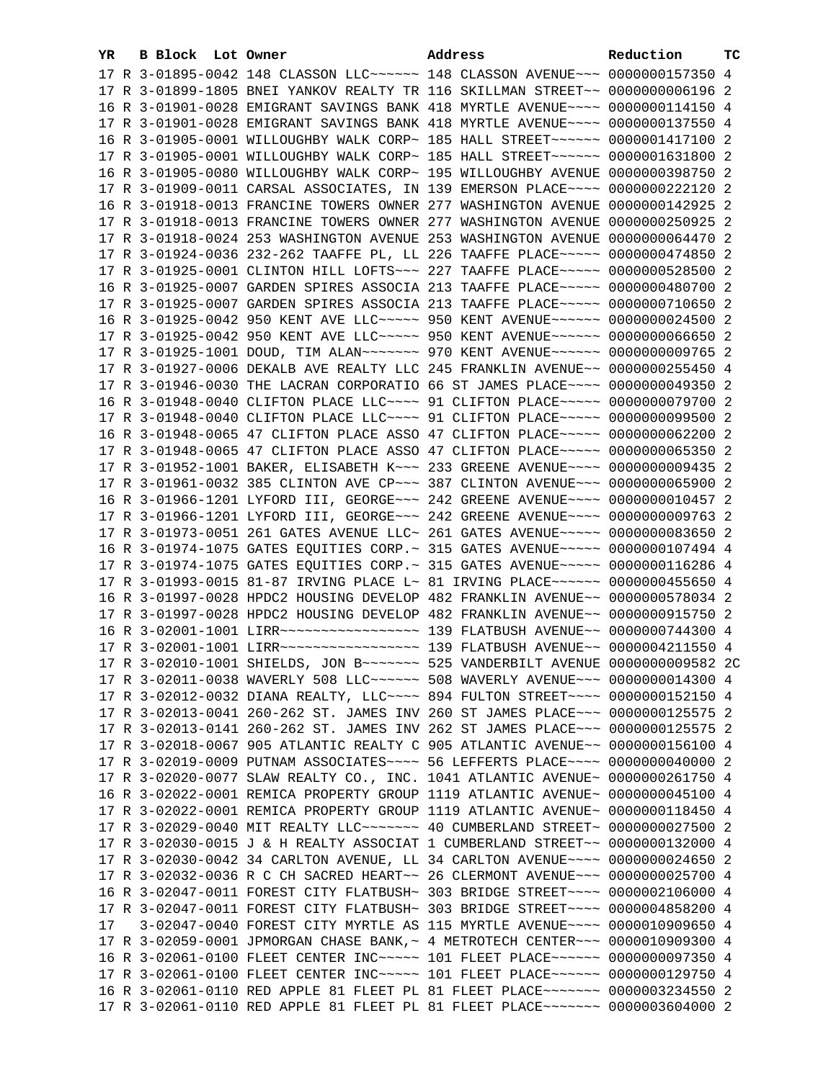| YR. | B Block Lot Owner |  | Address                                                                          | Reduction | тc |
|-----|-------------------|--|----------------------------------------------------------------------------------|-----------|----|
|     |                   |  | 17 R 3-01895-0042 148 CLASSON LLC ----- 148 CLASSON AVENUE -- 0000000157350 4    |           |    |
|     |                   |  | 17 R 3-01899-1805 BNEI YANKOV REALTY TR 116 SKILLMAN STREET~~ 00000000006196 2   |           |    |
|     |                   |  | 16 R 3-01901-0028 EMIGRANT SAVINGS BANK 418 MYRTLE AVENUE~~~~ 0000000114150 4    |           |    |
|     |                   |  | 17 R 3-01901-0028 EMIGRANT SAVINGS BANK 418 MYRTLE AVENUE~~~~ 0000000137550 4    |           |    |
|     |                   |  | 16 R 3-01905-0001 WILLOUGHBY WALK CORP~ 185 HALL STREET~~~~~~~ 0000001417100 2   |           |    |
|     |                   |  | 17 R 3-01905-0001 WILLOUGHBY WALK CORP~ 185 HALL STREET~~~~~~ 0000001631800 2    |           |    |
|     |                   |  | 16 R 3-01905-0080 WILLOUGHBY WALK CORP~ 195 WILLOUGHBY AVENUE 0000000398750 2    |           |    |
|     |                   |  | 17 R 3-01909-0011 CARSAL ASSOCIATES, IN 139 EMERSON PLACE~~~~ 0000000222120 2    |           |    |
|     |                   |  | 16 R 3-01918-0013 FRANCINE TOWERS OWNER 277 WASHINGTON AVENUE 0000000142925 2    |           |    |
|     |                   |  | 17 R 3-01918-0013 FRANCINE TOWERS OWNER 277 WASHINGTON AVENUE 0000000250925 2    |           |    |
|     |                   |  | 17 R 3-01918-0024 253 WASHINGTON AVENUE 253 WASHINGTON AVENUE 0000000064470 2    |           |    |
|     |                   |  | 17 R 3-01924-0036 232-262 TAAFFE PL, LL 226 TAAFFE PLACE~~~~~ 0000000474850 2    |           |    |
|     |                   |  |                                                                                  |           |    |
|     |                   |  | 17 R 3-01925-0001 CLINTON HILL LOFTS~~~ 227 TAAFFE PLACE~~~~~ 0000000528500 2    |           |    |
|     |                   |  | 16 R 3-01925-0007 GARDEN SPIRES ASSOCIA 213 TAAFFE PLACE~~~~~ 0000000480700 2    |           |    |
|     |                   |  | 17 R 3-01925-0007 GARDEN SPIRES ASSOCIA 213 TAAFFE PLACE~~~~~ 0000000710650 2    |           |    |
|     |                   |  | 16 R 3-01925-0042 950 KENT AVE LLC ---- 950 KENT AVENUE ----- 0000000024500 2    |           |    |
|     |                   |  | 17 R 3-01925-0042 950 KENT AVE LLC ---- 950 KENT AVENUE ----- 0000000066650 2    |           |    |
|     |                   |  | 17 R 3-01925-1001 DOUD, TIM ALAN~~~~~~~~ 970 KENT AVENUE~~~~~~ 0000000009765 2   |           |    |
|     |                   |  | 17 R 3-01927-0006 DEKALB AVE REALTY LLC 245 FRANKLIN AVENUE~~ 0000000255450 4    |           |    |
|     |                   |  | 17 R 3-01946-0030 THE LACRAN CORPORATIO 66 ST JAMES PLACE~~~~ 0000000049350 2    |           |    |
|     |                   |  | 16 R 3-01948-0040 CLIFTON PLACE LLC~~~~ 91 CLIFTON PLACE~~~~~ 0000000079700 2    |           |    |
|     |                   |  | 17 R 3-01948-0040 CLIFTON PLACE LLC~~~~ 91 CLIFTON PLACE~~~~~ 0000000099500 2    |           |    |
|     |                   |  | 16 R 3-01948-0065 47 CLIFTON PLACE ASSO 47 CLIFTON PLACE~~~~~ 0000000062200 2    |           |    |
|     |                   |  | 17 R 3-01948-0065 47 CLIFTON PLACE ASSO 47 CLIFTON PLACE~~~~~ 0000000065350 2    |           |    |
|     |                   |  | 17 R 3-01952-1001 BAKER, ELISABETH K~~~ 233 GREENE AVENUE~~~~ 0000000009435 2    |           |    |
|     |                   |  | 17 R 3-01961-0032 385 CLINTON AVE CP~~~ 387 CLINTON AVENUE~~~ 0000000065900 2    |           |    |
|     |                   |  | 16 R 3-01966-1201 LYFORD III, GEORGE~~~ 242 GREENE AVENUE~~~~ 0000000010457 2    |           |    |
|     |                   |  | 17 R 3-01966-1201 LYFORD III, GEORGE~~~ 242 GREENE AVENUE~~~~ 0000000009763 2    |           |    |
|     |                   |  | 17 R 3-01973-0051 261 GATES AVENUE LLC~ 261 GATES AVENUE~~~~~ 0000000083650 2    |           |    |
|     |                   |  | 16 R 3-01974-1075 GATES EQUITIES CORP.~ 315 GATES AVENUE~~~~~ 0000000107494 4    |           |    |
|     |                   |  | 17 R 3-01974-1075 GATES EQUITIES CORP.~ 315 GATES AVENUE~~~~~ 0000000116286 4    |           |    |
|     |                   |  | 17 R 3-01993-0015 81-87 IRVING PLACE L~ 81 IRVING PLACE~~~~~~ 0000000455650 4    |           |    |
|     |                   |  | 16 R 3-01997-0028 HPDC2 HOUSING DEVELOP 482 FRANKLIN AVENUE~~ 0000000578034 2    |           |    |
|     |                   |  | 17 R 3-01997-0028 HPDC2 HOUSING DEVELOP 482 FRANKLIN AVENUE~~ 0000000915750 2    |           |    |
|     |                   |  | 16 R 3-02001-1001 LIRR ------------------ 139 FLATBUSH AVENUE -- 0000000744300 4 |           |    |
|     |                   |  | 17 R 3-02001-1001 LIRR ------------------ 139 FLATBUSH AVENUE-- 0000004211550 4  |           |    |
|     |                   |  | 17 R 3-02010-1001 SHIELDS, JON B ~~~~~~~~ 525 VANDERBILT AVENUE 0000000009582 2C |           |    |
|     |                   |  | 17 R 3-02011-0038 WAVERLY 508 LLC ----- 508 WAVERLY AVENUE -- 0000000014300 4    |           |    |
|     |                   |  | 17 R 3-02012-0032 DIANA REALTY, LLC~~~~ 894 FULTON STREET~~~~ 0000000152150 4    |           |    |
|     |                   |  | 17 R 3-02013-0041 260-262 ST. JAMES INV 260 ST JAMES PLACE~~~ 0000000125575 2    |           |    |
|     |                   |  | 17 R 3-02013-0141 260-262 ST. JAMES INV 262 ST JAMES PLACE~~~ 0000000125575 2    |           |    |
|     |                   |  | 17 R 3-02018-0067 905 ATLANTIC REALTY C 905 ATLANTIC AVENUE~~ 0000000156100 4    |           |    |
|     |                   |  | 17 R 3-02019-0009 PUTNAM ASSOCIATES~~~~ 56 LEFFERTS PLACE~~~~ 0000000040000 2    |           |    |
|     |                   |  | 17 R 3-02020-0077 SLAW REALTY CO., INC. 1041 ATLANTIC AVENUE~ 0000000261750 4    |           |    |
|     |                   |  | 16 R 3-02022-0001 REMICA PROPERTY GROUP 1119 ATLANTIC AVENUE~ 0000000045100 4    |           |    |
|     |                   |  | 17 R 3-02022-0001 REMICA PROPERTY GROUP 1119 ATLANTIC AVENUE~ 0000000118450 4    |           |    |
|     |                   |  | 17 R 3-02029-0040 MIT REALTY LLC ------- 40 CUMBERLAND STREET ~ 0000000027500 2  |           |    |
|     |                   |  | 17 R 3-02030-0015 J & H REALTY ASSOCIAT 1 CUMBERLAND STREET~~ 0000000132000 4    |           |    |
|     |                   |  | 17 R 3-02030-0042 34 CARLTON AVENUE, LL 34 CARLTON AVENUE~~~~ 0000000024650 2    |           |    |
|     |                   |  | 17 R 3-02032-0036 R C CH SACRED HEART~~ 26 CLERMONT AVENUE~~~ 0000000025700 4    |           |    |
|     |                   |  | 16 R 3-02047-0011 FOREST CITY FLATBUSH~ 303 BRIDGE STREET~~~~ 0000002106000 4    |           |    |
|     |                   |  | 17 R 3-02047-0011 FOREST CITY FLATBUSH~ 303 BRIDGE STREET~~~~ 0000004858200 4    |           |    |
| 17  |                   |  | 3-02047-0040 FOREST CITY MYRTLE AS 115 MYRTLE AVENUE~~~~ 0000010909650 4         |           |    |
|     |                   |  | 17 R 3-02059-0001 JPMORGAN CHASE BANK, ~ 4 METROTECH CENTER ~~~ 0000010909300 4  |           |    |
|     |                   |  | 16 R 3-02061-0100 FLEET CENTER INC~~~~~ 101 FLEET PLACE~~~~~~ 0000000097350 4    |           |    |
|     |                   |  | 17 R 3-02061-0100 FLEET CENTER INC~~~~~ 101 FLEET PLACE~~~~~~ 0000000129750 4    |           |    |
|     |                   |  | 16 R 3-02061-0110 RED APPLE 81 FLEET PL 81 FLEET PLACE~~~~~~~ 0000003234550 2    |           |    |
|     |                   |  | 17 R 3-02061-0110 RED APPLE 81 FLEET PL 81 FLEET PLACE~~~~~~~ 0000003604000 2    |           |    |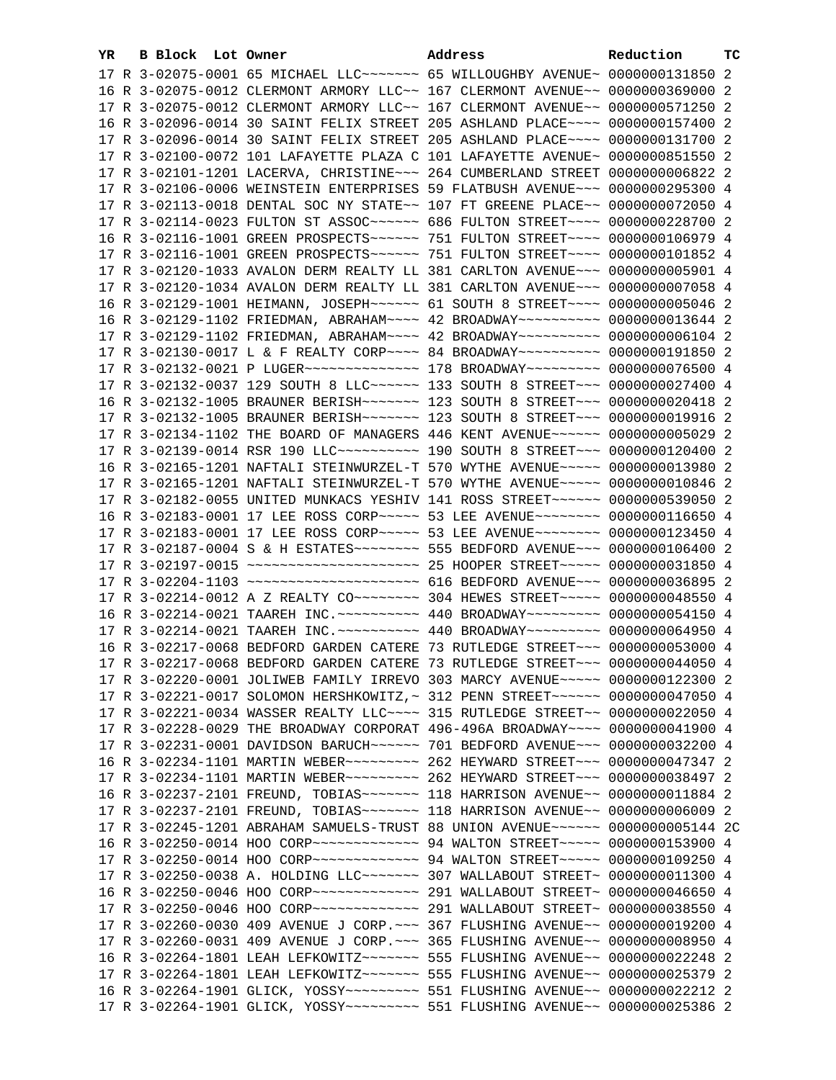| YR. | B Block Lot Owner |                                                                                                                                                                | Address | Reduction       | тc |
|-----|-------------------|----------------------------------------------------------------------------------------------------------------------------------------------------------------|---------|-----------------|----|
|     |                   | 17 R 3-02075-0001 65 MICHAEL LLC ------ 65 WILLOUGHBY AVENUE ~ 0000000131850 2                                                                                 |         |                 |    |
|     |                   | 16 R 3-02075-0012 CLERMONT ARMORY LLC~~ 167 CLERMONT AVENUE~~ 0000000369000 2                                                                                  |         |                 |    |
|     |                   | 17 R 3-02075-0012 CLERMONT ARMORY LLC~~ 167 CLERMONT AVENUE~~ 0000000571250 2                                                                                  |         |                 |    |
|     |                   | 16 R 3-02096-0014 30 SAINT FELIX STREET 205 ASHLAND PLACE~~~~ 0000000157400 2                                                                                  |         |                 |    |
|     |                   | 17 R 3-02096-0014 30 SAINT FELIX STREET 205 ASHLAND PLACE~~~~ 0000000131700 2                                                                                  |         |                 |    |
|     |                   | 17 R 3-02100-0072 101 LAFAYETTE PLAZA C 101 LAFAYETTE AVENUE~ 0000000851550 2                                                                                  |         |                 |    |
|     |                   | 17 R 3-02101-1201 LACERVA, CHRISTINE~~~ 264 CUMBERLAND STREET                                                                                                  |         | 0000000006822 2 |    |
|     |                   | 17 R 3-02106-0006 WEINSTEIN ENTERPRISES 59 FLATBUSH AVENUE~~~ 0000000295300 4                                                                                  |         |                 |    |
|     |                   | 17 R 3-02113-0018 DENTAL SOC NY STATE~~ 107 FT GREENE PLACE~~ 0000000072050 4                                                                                  |         |                 |    |
|     |                   | 17 R 3-02114-0023 FULTON ST ASSOC ----- 686 FULTON STREET --- 0000000228700 2                                                                                  |         |                 |    |
|     |                   |                                                                                                                                                                |         |                 |    |
|     |                   | 16 R 3-02116-1001 GREEN PROSPECTS ----- 751 FULTON STREET --- 0000000106979 4                                                                                  |         |                 |    |
|     |                   | 17 R 3-02116-1001 GREEN PROSPECTS ----- 751 FULTON STREET --- 0000000101852 4                                                                                  |         |                 |    |
|     |                   | 17 R 3-02120-1033 AVALON DERM REALTY LL 381 CARLTON AVENUE~~~ 0000000005901 4                                                                                  |         |                 |    |
|     |                   | 17 R 3-02120-1034 AVALON DERM REALTY LL 381 CARLTON AVENUE~~~ 00000000007058 4                                                                                 |         |                 |    |
|     |                   |                                                                                                                                                                |         |                 |    |
|     |                   | 16 R 3-02129-1102 FRIEDMAN, ABRAHAM~~~~ 42 BROADWAY~~~~~~~~~~ 0000000013644 2                                                                                  |         |                 |    |
|     |                   | 17 R 3-02129-1102 FRIEDMAN, ABRAHAM~~~~ 42 BROADWAY~~~~~~~~~~ 00000000006104 2                                                                                 |         |                 |    |
|     |                   | 17 R 3-02130-0017 L & F REALTY CORP~~~~ 84 BROADWAY~~~~~~~~~~ 0000000191850 2                                                                                  |         |                 |    |
|     |                   | 17 R 3-02132-0021 P LUGER -------------- 178 BROADWAY -------- 0000000076500 4                                                                                 |         |                 |    |
|     |                   | 17 R 3-02132-0037 129 SOUTH 8 LLC ----- 133 SOUTH 8 STREET -- 0000000027400 4                                                                                  |         |                 |    |
|     |                   | 16 R 3-02132-1005 BRAUNER BERISH~~~~~~~ 123 SOUTH 8 STREET~~~ 0000000020418 2                                                                                  |         |                 |    |
|     |                   | 17 R 3-02132-1005 BRAUNER BERISH~~~~~~~ 123 SOUTH 8 STREET~~~ 0000000019916 2                                                                                  |         |                 |    |
|     |                   | 17 R 3-02134-1102 THE BOARD OF MANAGERS 446 KENT AVENUE~~~~~~ 00000000005029 2                                                                                 |         |                 |    |
|     |                   | 17 R 3-02139-0014 RSR 190 LLC ---------- 190 SOUTH 8 STREET --- 0000000120400 2                                                                                |         |                 |    |
|     |                   | 16 R 3-02165-1201 NAFTALI STEINWURZEL-T 570 WYTHE AVENUE~~~~~ 0000000013980 2                                                                                  |         |                 |    |
|     |                   | 17 R 3-02165-1201 NAFTALI STEINWURZEL-T 570 WYTHE AVENUE~~~~~ 0000000010846 2                                                                                  |         |                 |    |
|     |                   | 17 R 3-02182-0055 UNITED MUNKACS YESHIV 141 ROSS STREET~~~~~~ 0000000539050 2                                                                                  |         |                 |    |
|     |                   | 16 R 3-02183-0001 17 LEE ROSS CORP~~~~~ 53 LEE AVENUE~~~~~~~~ 0000000116650 4                                                                                  |         |                 |    |
|     |                   | 17 R 3-02183-0001 17 LEE ROSS CORP~~~~~ 53 LEE AVENUE~~~~~~~~ 0000000123450 4                                                                                  |         |                 |    |
|     |                   | 17 R 3-02187-0004 S & H ESTATES~~~~~~~~ 555 BEDFORD AVENUE~~~ 0000000106400 2                                                                                  |         |                 |    |
|     |                   | 17 R 3-02197-0015 ~~~~~~~~~~~~~~~~~~~~~~~~~~ 25 HOOPER STREET~~~~~ 0000000031850 4                                                                             |         |                 |    |
|     |                   | 17 R 3-02204-1103 ~~~~~~~~~~~~~~~~~~~~~~ 616 BEDFORD AVENUE~~~ 0000000036895 2                                                                                 |         |                 |    |
|     |                   | 17 R 3-02214-0012 A Z REALTY CO ------- 304 HEWES STREET ---- 0000000048550 4                                                                                  |         |                 |    |
|     |                   | 16 R 3-02214-0021 TAAREH INC. ~~~~~~~~~~ 440 BROADWAY~~~~~~~~~ 0000000054150 4                                                                                 |         |                 |    |
|     |                   | 17 R 3-02214-0021 TAAREH INC. ~~~~~~~~~~ 440 BROADWAY~~~~~~~~~ 0000000064950 4                                                                                 |         |                 |    |
|     |                   | 16 R 3-02217-0068 BEDFORD GARDEN CATERE 73 RUTLEDGE STREET~~~ 0000000053000 4                                                                                  |         |                 |    |
|     |                   | 17 R 3-02217-0068 BEDFORD GARDEN CATERE 73 RUTLEDGE STREET~~~ 0000000044050 4                                                                                  |         |                 |    |
|     |                   | 17 R 3-02220-0001 JOLIWEB FAMILY IRREVO 303 MARCY AVENUE~~~~~ 0000000122300 2                                                                                  |         |                 |    |
|     |                   | 17 R 3-02221-0017 SOLOMON HERSHKOWITZ, ~ 312 PENN STREET ~~~~~~ 0000000047050 4                                                                                |         |                 |    |
|     |                   | 17 R 3-02221-0034 WASSER REALTY LLC~~~~ 315 RUTLEDGE STREET~~ 0000000022050 4                                                                                  |         |                 |    |
|     |                   | 17 R 3-02228-0029 THE BROADWAY CORPORAT 496-496A BROADWAY~~~~ 0000000041900 4                                                                                  |         |                 |    |
|     |                   | 17 R 3-02231-0001 DAVIDSON BARUCH~~~~~~ 701 BEDFORD AVENUE~~~ 0000000032200 4<br>16 R 3-02234-1101 MARTIN WEBER~~~~~~~~~ 262 HEYWARD STREET~~~ 0000000047347 2 |         |                 |    |
|     |                   | 17 R 3-02234-1101 MARTIN WEBER~~~~~~~~~ 262 HEYWARD STREET~~~ 0000000038497 2                                                                                  |         |                 |    |
|     |                   | 16 R 3-02237-2101 FREUND, TOBIAS ------ 118 HARRISON AVENUE -- 00000000011884 2                                                                                |         |                 |    |
|     |                   |                                                                                                                                                                |         |                 |    |
|     |                   | 17 R 3-02245-1201 ABRAHAM SAMUELS-TRUST 88 UNION AVENUE~~~~~~ 0000000005144 2C                                                                                 |         |                 |    |
|     |                   | 16 R 3-02250-0014 HOO CORP~~~~~~~~~~~~~~~~~~ 94 WALTON STREET~~~~~~ 0000000153900 4                                                                            |         |                 |    |
|     |                   | 17 R 3-02250-0014 HOO CORP~~~~~~~~~~~~~~~~~~~~~~ 94 WALTON STREET~~~~~~ 0000000109250 4                                                                        |         |                 |    |
|     |                   | 17 R 3-02250-0038 A. HOLDING LLC ------- 307 WALLABOUT STREET ~ 0000000011300 4                                                                                |         |                 |    |
|     |                   |                                                                                                                                                                |         |                 |    |
|     |                   |                                                                                                                                                                |         |                 |    |
|     |                   | 17 R 3-02260-0030 409 AVENUE J CORP. ~~~ 367 FLUSHING AVENUE~~ 0000000019200 4                                                                                 |         |                 |    |
|     |                   | 17 R 3-02260-0031 409 AVENUE J CORP. ~~~ 365 FLUSHING AVENUE~~ 0000000008950 4                                                                                 |         |                 |    |
|     |                   | 16 R 3-02264-1801 LEAH LEFKOWITZ~~~~~~~~ 555 FLUSHING AVENUE~~ 0000000022248 2                                                                                 |         |                 |    |
|     |                   | 17 R 3-02264-1801 LEAH LEFKOWITZ~~~~~~~~ 555 FLUSHING AVENUE~~ 0000000025379 2                                                                                 |         |                 |    |
|     |                   | 16 R 3-02264-1901 GLICK, YOSSY~~~~~~~~~~~~~~ 551 FLUSHING AVENUE~~ 0000000022212 2                                                                             |         |                 |    |
|     |                   |                                                                                                                                                                |         |                 |    |
|     |                   |                                                                                                                                                                |         |                 |    |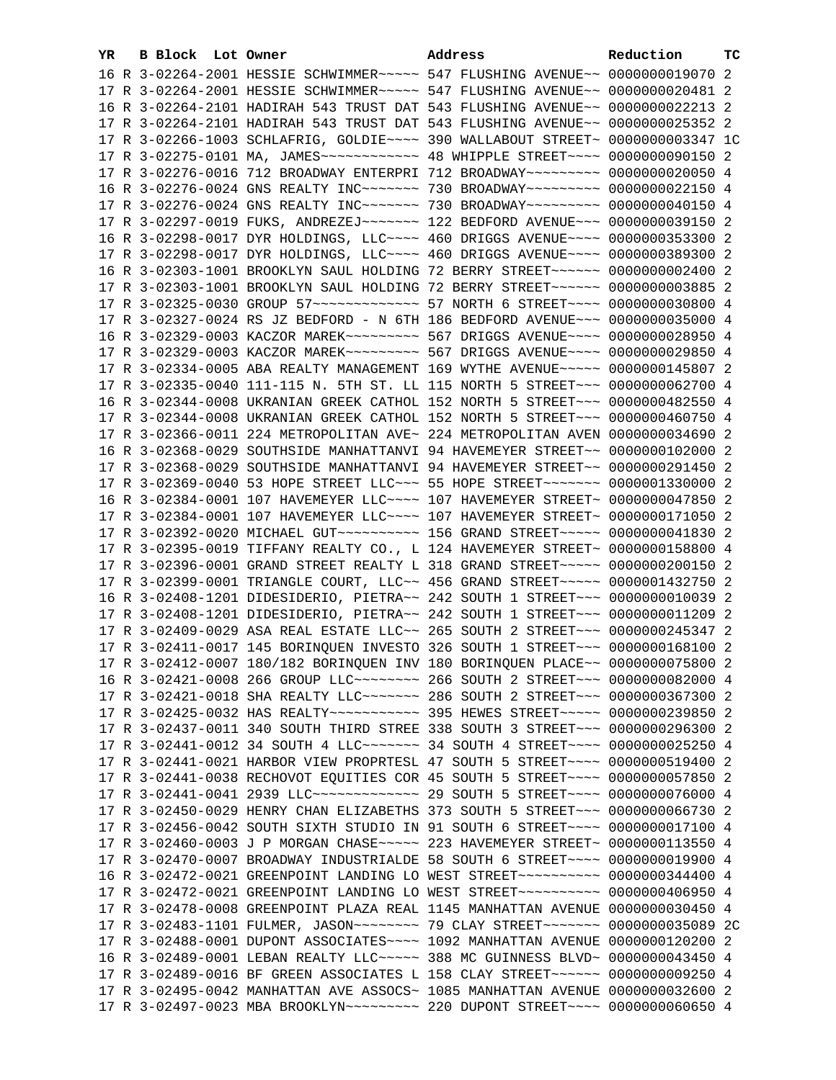| 16 R 3-02264-2001 HESSIE SCHWIMMER~~~~~ 547 FLUSHING AVENUE~~ 0000000019070 2          |  |
|----------------------------------------------------------------------------------------|--|
| 17 R 3-02264-2001 HESSIE SCHWIMMER~~~~~ 547 FLUSHING AVENUE~~ 0000000020481 2          |  |
| 16 R 3-02264-2101 HADIRAH 543 TRUST DAT 543 FLUSHING AVENUE~~ 0000000022213 2          |  |
| 17 R 3-02264-2101 HADIRAH 543 TRUST DAT 543 FLUSHING AVENUE~~ 0000000025352 2          |  |
| 17 R 3-02266-1003 SCHLAFRIG, GOLDIE~~~~ 390 WALLABOUT STREET~ 0000000003347 1C         |  |
| 17 R 3-02275-0101 MA, JAMES ------------ 48 WHIPPLE STREET ---- 0000000090150 2        |  |
| 17 R 3-02276-0016 712 BROADWAY ENTERPRI 712 BROADWAY~~~~~~~~~ 0000000020050 4          |  |
| 16 R 3-02276-0024 GNS REALTY INC~~~~~~~ 730 BROADWAY~~~~~~~~~ 0000000022150 4          |  |
| 17 R 3-02276-0024 GNS REALTY INC~~~~~~~ 730 BROADWAY~~~~~~~~~ 0000000040150 4          |  |
| 17 R 3-02297-0019 FUKS, ANDREZEJ~~~~~~~~~~~~~ 122 BEDFORD AVENUE~~~~ 0000000039150 2   |  |
| 16 R 3-02298-0017 DYR HOLDINGS, LLC~~~~ 460 DRIGGS AVENUE~~~~ 0000000353300 2          |  |
| 17 R 3-02298-0017 DYR HOLDINGS, LLC~~~~ 460 DRIGGS AVENUE~~~~ 0000000389300 2          |  |
| 16 R 3-02303-1001 BROOKLYN SAUL HOLDING 72 BERRY STREET~~~~~~ 0000000002400 2          |  |
| 17 R 3-02303-1001 BROOKLYN SAUL HOLDING 72 BERRY STREET~~~~~~~ 0000000003885 2         |  |
|                                                                                        |  |
| 17 R 3-02327-0024 RS JZ BEDFORD - N 6TH 186 BEDFORD AVENUE~~~ 0000000035000 4          |  |
| 16 R 3-02329-0003 KACZOR MAREK~~~~~~~~~~~~~~ 567 DRIGGS AVENUE~~~~~ 0000000028950 4    |  |
| 17 R 3-02329-0003 KACZOR MAREK~~~~~~~~~ 567 DRIGGS AVENUE~~~~ 0000000029850 4          |  |
| 17 R 3-02334-0005 ABA REALTY MANAGEMENT 169 WYTHE AVENUE~~~~~ 0000000145807 2          |  |
| 17 R 3-02335-0040 111-115 N. 5TH ST. LL 115 NORTH 5 STREET~~~ 0000000062700 4          |  |
| 16 R 3-02344-0008 UKRANIAN GREEK CATHOL 152 NORTH 5 STREET~~~ 0000000482550 4          |  |
| 17 R 3-02344-0008 UKRANIAN GREEK CATHOL 152 NORTH 5 STREET~~~ 0000000460750 4          |  |
| 17 R 3-02366-0011 224 METROPOLITAN AVE~ 224 METROPOLITAN AVEN 0000000034690 2          |  |
| 16 R 3-02368-0029 SOUTHSIDE MANHATTANVI 94 HAVEMEYER STREET~~ 0000000102000 2          |  |
| 17 R 3-02368-0029 SOUTHSIDE MANHATTANVI 94 HAVEMEYER STREET~~ 0000000291450 2          |  |
| 17 R 3-02369-0040 53 HOPE STREET LLC -~~ 55 HOPE STREET -~~~~~~~ 0000001330000 2       |  |
| 16 R 3-02384-0001 107 HAVEMEYER LLC~~~~ 107 HAVEMEYER STREET~ 0000000047850 2          |  |
| 17 R 3-02384-0001 107 HAVEMEYER LLC~~~~ 107 HAVEMEYER STREET~ 0000000171050 2          |  |
| 17 R 3-02392-0020 MICHAEL GUT ~~~~~~~~~~~~~~~~ 156 GRAND STREET ~~~~~~ 0000000041830 2 |  |
| 17 R 3-02395-0019 TIFFANY REALTY CO., L 124 HAVEMEYER STREET~ 0000000158800 4          |  |
| 17 R 3-02396-0001 GRAND STREET REALTY L 318 GRAND STREET~~~~~ 0000000200150 2          |  |
| 17 R 3-02399-0001 TRIANGLE COURT, LLC~~ 456 GRAND STREET~~~~~ 0000001432750 2          |  |
| 16 R 3-02408-1201 DIDESIDERIO, PIETRA~~ 242 SOUTH 1 STREET~~~ 0000000010039 2          |  |
| 17 R 3-02408-1201 DIDESIDERIO, PIETRA~~ 242 SOUTH 1 STREET~~~ 0000000011209 2          |  |
| 17 R 3-02409-0029 ASA REAL ESTATE LLC~~ 265 SOUTH 2 STREET~~~ 0000000245347 2          |  |
| 17 R 3-02411-0017 145 BORINQUEN INVESTO 326 SOUTH 1 STREET~~~ 0000000168100 2          |  |
| 17 R 3-02412-0007 180/182 BORINQUEN INV 180 BORINQUEN PLACE~~ 0000000075800 2          |  |
| 16 R 3-02421-0008 266 GROUP LLC -------- 266 SOUTH 2 STREET -- 0000000082000 4         |  |
| 17 R 3-02421-0018 SHA REALTY LLC ------- 286 SOUTH 2 STREET -- 0000000367300 2         |  |
| 17 R 3-02425-0032 HAS REALTY ----------- 395 HEWES STREET ---- 0000000239850 2         |  |
| 17 R 3-02437-0011 340 SOUTH THIRD STREE 338 SOUTH 3 STREET~~~ 0000000296300 2          |  |
| 17 R 3-02441-0012 34 SOUTH 4 LLC ------- 34 SOUTH 4 STREET --- 0000000025250 4         |  |
| 17 R 3-02441-0021 HARBOR VIEW PROPRTESL 47 SOUTH 5 STREET~~~~ 0000000519400 2          |  |
| 17 R 3-02441-0038 RECHOVOT EQUITIES COR 45 SOUTH 5 STREET~~~~ 0000000057850 2          |  |
| 17 R 3-02441-0041 2939 LLC -------------- 29 SOUTH 5 STREET --- 0000000076000 4        |  |
| 17 R 3-02450-0029 HENRY CHAN ELIZABETHS 373 SOUTH 5 STREET~~~ 0000000066730 2          |  |
| 17 R 3-02456-0042 SOUTH SIXTH STUDIO IN 91 SOUTH 6 STREET~~~~ 0000000017100 4          |  |
| 17 R 3-02460-0003 J P MORGAN CHASE~~~~~ 223 HAVEMEYER STREET~ 0000000113550 4          |  |
| 17 R 3-02470-0007 BROADWAY INDUSTRIALDE 58 SOUTH 6 STREET~~~~ 0000000019900 4          |  |
| 16 R 3-02472-0021 GREENPOINT LANDING LO WEST STREET~~~~~~~~~~ 0000000344400 4          |  |
| 17 R 3-02472-0021 GREENPOINT LANDING LO WEST STREET~~~~~~~~~~ 0000000406950 4          |  |
| 17 R 3-02478-0008 GREENPOINT PLAZA REAL 1145 MANHATTAN AVENUE 0000000030450 4          |  |
| 17 R 3-02483-1101 FULMER, JASON~~~~~~~~~ 79 CLAY STREET~~~~~~~ 0000000035089 2C        |  |
| 17 R 3-02488-0001 DUPONT ASSOCIATES~~~~ 1092 MANHATTAN AVENUE 0000000120200 2          |  |
| 16 R 3-02489-0001 LEBAN REALTY LLC ---- 388 MC GUINNESS BLVD ~ 0000000043450 4         |  |
| 17 R 3-02489-0016 BF GREEN ASSOCIATES L 158 CLAY STREET~~~~~~ 0000000009250 4          |  |
| 17 R 3-02495-0042 MANHATTAN AVE ASSOCS~ 1085 MANHATTAN AVENUE 0000000032600 2          |  |
| 17 R 3-02497-0023 MBA BROOKLYN~~~~~~~~~~~~~~ 220 DUPONT STREET~~~~~ 0000000060650 4    |  |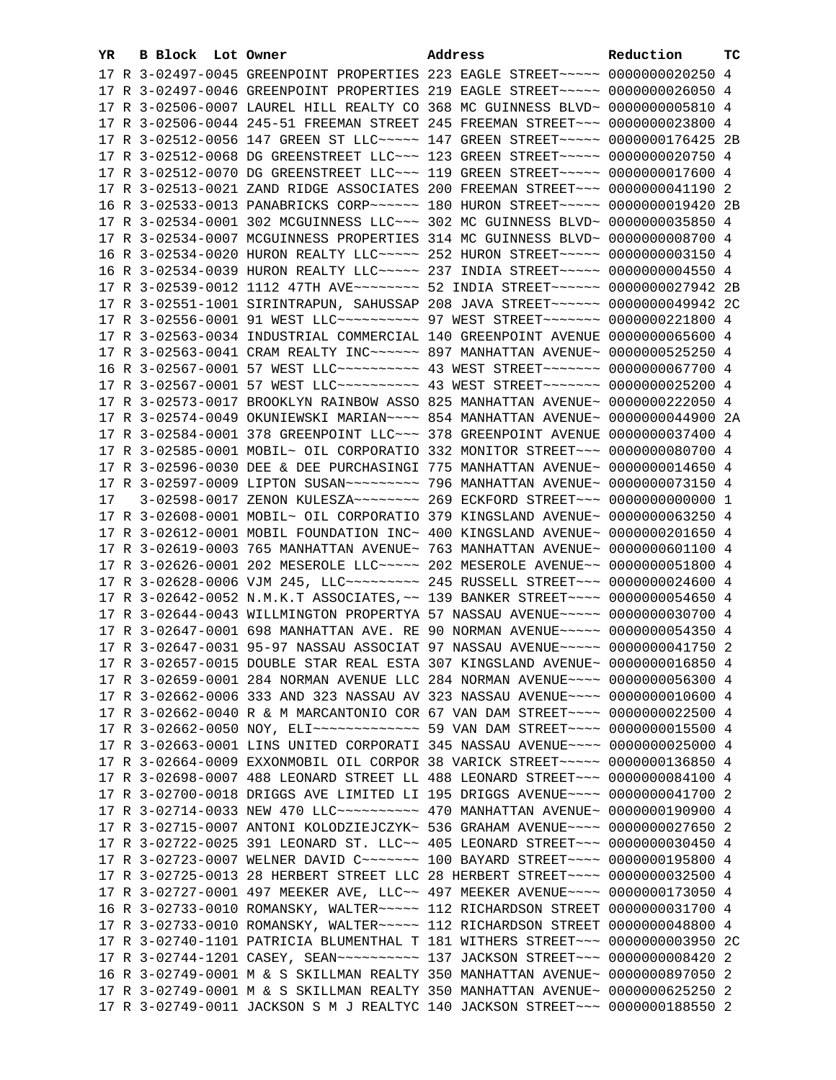| YR. | <b>B Block Lot Owner</b> | Address                                                                                                                                                          | Reduction | тc |
|-----|--------------------------|------------------------------------------------------------------------------------------------------------------------------------------------------------------|-----------|----|
|     |                          | 17 R 3-02497-0045 GREENPOINT PROPERTIES 223 EAGLE STREET~~~~~ 0000000020250 4                                                                                    |           |    |
|     |                          | 17 R 3-02497-0046 GREENPOINT PROPERTIES 219 EAGLE STREET~~~~~ 0000000026050 4                                                                                    |           |    |
|     |                          | 17 R 3-02506-0007 LAUREL HILL REALTY CO 368 MC GUINNESS BLVD~ 0000000005810 4                                                                                    |           |    |
|     |                          | 17 R 3-02506-0044 245-51 FREEMAN STREET 245 FREEMAN STREET~~~ 0000000023800 4                                                                                    |           |    |
|     |                          | 17 R 3-02512-0056 147 GREEN ST LLC ~~~~~ 147 GREEN STREET ~~~~~ 0000000176425 2B                                                                                 |           |    |
|     |                          | 17 R 3-02512-0068 DG GREENSTREET LLC -~~ 123 GREEN STREET -~~~~ 0000000020750 4                                                                                  |           |    |
|     |                          | 17 R 3-02512-0070 DG GREENSTREET LLC -~~ 119 GREEN STREET -~~~~ 0000000017600 4                                                                                  |           |    |
|     |                          | 17 R 3-02513-0021 ZAND RIDGE ASSOCIATES 200 FREEMAN STREET~~~ 0000000041190 2                                                                                    |           |    |
|     |                          | 16 R 3-02533-0013 PANABRICKS CORP~~~~~~ 180 HURON STREET~~~~~ 0000000019420 2B                                                                                   |           |    |
|     |                          | 17 R 3-02534-0001 302 MCGUINNESS LLC~~~ 302 MC GUINNESS BLVD~ 0000000035850 4                                                                                    |           |    |
|     |                          | 17 R 3-02534-0007 MCGUINNESS PROPERTIES 314 MC GUINNESS BLVD~ 0000000008700 4                                                                                    |           |    |
|     |                          | 16 R 3-02534-0020 HURON REALTY LLC ---- 252 HURON STREET ---- 0000000003150 4                                                                                    |           |    |
|     |                          |                                                                                                                                                                  |           |    |
|     |                          | 16 R 3-02534-0039 HURON REALTY LLC ---- 237 INDIA STREET ---- 0000000004550 4<br>17 R 3-02539-0012 1112 47TH AVE~~~~~~~~~ 52 INDIA STREET~~~~~~ 0000000027942 2B |           |    |
|     |                          |                                                                                                                                                                  |           |    |
|     |                          | 17 R 3-02551-1001 SIRINTRAPUN, SAHUSSAP 208 JAVA STREET~~~~~~ 0000000049942 2C                                                                                   |           |    |
|     |                          | 17 R 3-02556-0001 91 WEST LLC ---------- 97 WEST STREET ------- 0000000221800 4                                                                                  |           |    |
|     |                          | 17 R 3-02563-0034 INDUSTRIAL COMMERCIAL 140 GREENPOINT AVENUE 0000000065600 4                                                                                    |           |    |
|     |                          | 17 R 3-02563-0041 CRAM REALTY INC ----- 897 MANHATTAN AVENUE ~ 0000000525250 4                                                                                   |           |    |
|     |                          | 16 R 3-02567-0001 57 WEST LLC ---------- 43 WEST STREET ------- 0000000067700 4                                                                                  |           |    |
|     |                          | 17 R 3-02567-0001 57 WEST LLC --------- 43 WEST STREET ------- 0000000025200 4                                                                                   |           |    |
|     |                          | 17 R 3-02573-0017 BROOKLYN RAINBOW ASSO 825 MANHATTAN AVENUE~ 0000000222050 4                                                                                    |           |    |
|     |                          | 17 R 3-02574-0049 OKUNIEWSKI MARIAN~~~~ 854 MANHATTAN AVENUE~ 0000000044900 2A                                                                                   |           |    |
|     |                          | 17 R 3-02584-0001 378 GREENPOINT LLC~~~ 378 GREENPOINT AVENUE 0000000037400 4                                                                                    |           |    |
|     |                          | 17 R 3-02585-0001 MOBIL~ OIL CORPORATIO 332 MONITOR STREET~~~ 0000000080700 4                                                                                    |           |    |
|     |                          | 17 R 3-02596-0030 DEE & DEE PURCHASINGI 775 MANHATTAN AVENUE~ 0000000014650 4                                                                                    |           |    |
|     |                          |                                                                                                                                                                  |           |    |
| 17  |                          |                                                                                                                                                                  |           |    |
|     |                          | 17 R 3-02608-0001 MOBIL~ OIL CORPORATIO 379 KINGSLAND AVENUE~ 0000000063250 4                                                                                    |           |    |
|     |                          | 17 R 3-02612-0001 MOBIL FOUNDATION INC~ 400 KINGSLAND AVENUE~ 0000000201650 4                                                                                    |           |    |
|     |                          | 17 R 3-02619-0003 765 MANHATTAN AVENUE~ 763 MANHATTAN AVENUE~ 0000000601100 4                                                                                    |           |    |
|     |                          | 17 R 3-02626-0001 202 MESEROLE LLC ~~~~~ 202 MESEROLE AVENUE~~ 0000000051800 4<br>17 R 3-02628-0006 VJM 245, LLC -------- 245 RUSSELL STREET --- 0000000024600 4 |           |    |
|     |                          | 17 R 3-02642-0052 N.M.K.T ASSOCIATES, ~~ 139 BANKER STREET~~~~ 0000000054650 4                                                                                   |           |    |
|     |                          | 17 R 3-02644-0043 WILLMINGTON PROPERTYA 57 NASSAU AVENUE~~~~~ 0000000030700 4                                                                                    |           |    |
|     |                          | 17 R 3-02647-0001 698 MANHATTAN AVE. RE 90 NORMAN AVENUE~~~~~ 0000000054350 4                                                                                    |           |    |
|     |                          | 17 R 3-02647-0031 95-97 NASSAU ASSOCIAT 97 NASSAU AVENUE~~~~~ 0000000041750 2                                                                                    |           |    |
|     |                          | 17 R 3-02657-0015 DOUBLE STAR REAL ESTA 307 KINGSLAND AVENUE~ 0000000016850 4                                                                                    |           |    |
|     |                          | 17 R 3-02659-0001 284 NORMAN AVENUE LLC 284 NORMAN AVENUE~~~~ 0000000056300 4                                                                                    |           |    |
|     |                          | 17 R 3-02662-0006 333 AND 323 NASSAU AV 323 NASSAU AVENUE~~~~ 0000000010600 4                                                                                    |           |    |
|     |                          | 17 R 3-02662-0040 R & M MARCANTONIO COR 67 VAN DAM STREET~~~~ 0000000022500 4                                                                                    |           |    |
|     |                          | 17 R 3-02662-0050 NOY, ELI~~~~~~~~~~~~~~~~~~ 59 VAN DAM STREET~~~~ 00000000015500 4                                                                              |           |    |
|     |                          | 17 R 3-02663-0001 LINS UNITED CORPORATI 345 NASSAU AVENUE~~~~ 0000000025000 4                                                                                    |           |    |
|     |                          | 17 R 3-02664-0009 EXXONMOBIL OIL CORPOR 38 VARICK STREET~~~~~ 0000000136850 4                                                                                    |           |    |
|     |                          | 17 R 3-02698-0007 488 LEONARD STREET LL 488 LEONARD STREET~~~ 0000000084100 4                                                                                    |           |    |
|     |                          | 17 R 3-02700-0018 DRIGGS AVE LIMITED LI 195 DRIGGS AVENUE~~~~ 0000000041700 2                                                                                    |           |    |
|     |                          |                                                                                                                                                                  |           |    |
|     |                          | 17 R 3-02715-0007 ANTONI KOLODZIEJCZYK~ 536 GRAHAM AVENUE~~~~ 0000000027650 2                                                                                    |           |    |
|     |                          | 17 R 3-02722-0025 391 LEONARD ST. LLC~~ 405 LEONARD STREET~~~ 0000000030450 4                                                                                    |           |    |
|     |                          | 17 R 3-02723-0007 WELNER DAVID C -- - - - - 100 BAYARD STREET - - ~ 0000000195800 4                                                                              |           |    |
|     |                          | 17 R 3-02725-0013 28 HERBERT STREET LLC 28 HERBERT STREET~~~~ 0000000032500 4                                                                                    |           |    |
|     |                          | 17 R 3-02727-0001 497 MEEKER AVE, LLC~~ 497 MEEKER AVENUE~~~~ 0000000173050 4                                                                                    |           |    |
|     |                          | 16 R 3-02733-0010 ROMANSKY, WALTER~~~~~ 112 RICHARDSON STREET 0000000031700 4                                                                                    |           |    |
|     |                          | 17 R 3-02733-0010 ROMANSKY, WALTER~~~~~ 112 RICHARDSON STREET 0000000048800 4                                                                                    |           |    |
|     |                          | 17 R 3-02740-1101 PATRICIA BLUMENTHAL T 181 WITHERS STREET~~~ 0000000003950 2C                                                                                   |           |    |
|     |                          | 17 R 3-02744-1201 CASEY, SEAN~~~~~~~~~~~~~~~ 137 JACKSON STREET~~~ 00000000008420 2                                                                              |           |    |
|     |                          | 16 R 3-02749-0001 M & S SKILLMAN REALTY 350 MANHATTAN AVENUE~ 0000000897050 2                                                                                    |           |    |
|     |                          | 17 R 3-02749-0001 M & S SKILLMAN REALTY 350 MANHATTAN AVENUE~ 0000000625250 2                                                                                    |           |    |
|     |                          | 17 R 3-02749-0011 JACKSON S M J REALTYC 140 JACKSON STREET~~~ 0000000188550 2                                                                                    |           |    |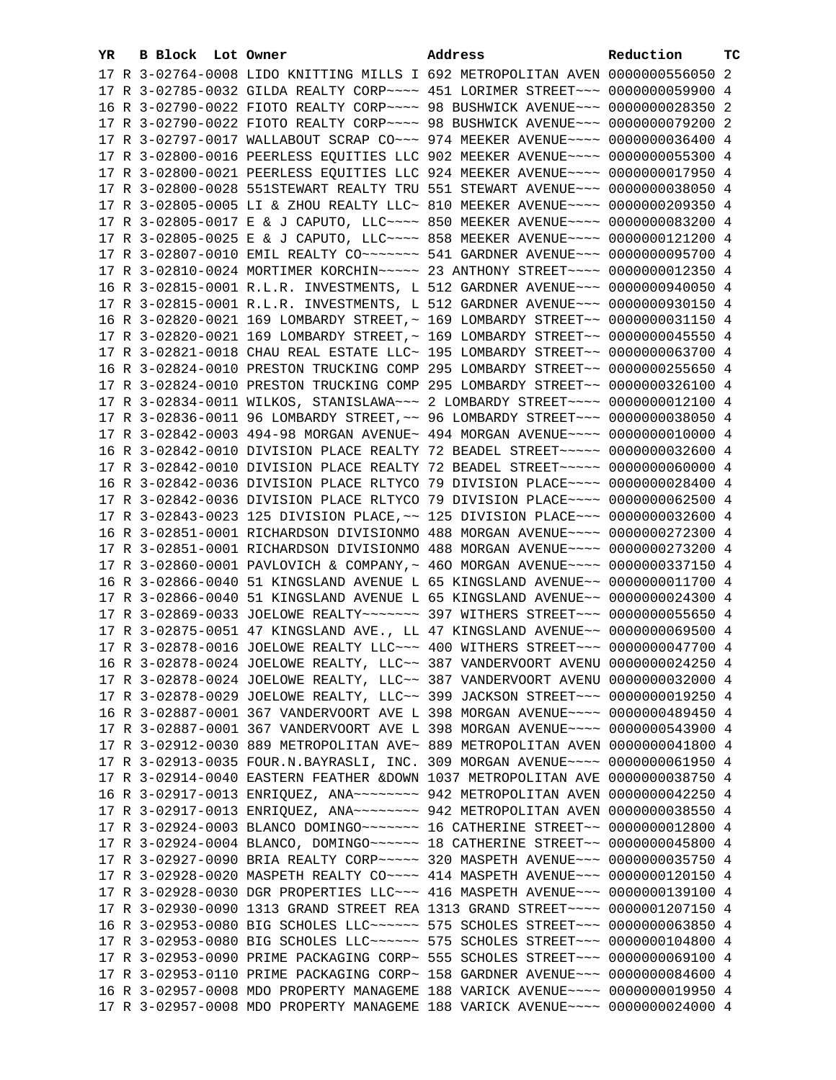| YR. | B Block Lot Owner | Address                                                                         | Reduction | ТC |
|-----|-------------------|---------------------------------------------------------------------------------|-----------|----|
|     |                   | 17 R 3-02764-0008 LIDO KNITTING MILLS I 692 METROPOLITAN AVEN 0000000556050 2   |           |    |
|     |                   | 17 R 3-02785-0032 GILDA REALTY CORP~~~~ 451 LORIMER STREET~~~ 0000000059900 4   |           |    |
|     |                   | 16 R 3-02790-0022 FIOTO REALTY CORP~~~~ 98 BUSHWICK AVENUE~~~ 0000000028350 2   |           |    |
|     |                   | 17 R 3-02790-0022 FIOTO REALTY CORP~~~~ 98 BUSHWICK AVENUE~~~ 0000000079200 2   |           |    |
|     |                   | 17 R 3-02797-0017 WALLABOUT SCRAP CO~~~ 974 MEEKER AVENUE~~~~ 0000000036400 4   |           |    |
|     |                   | 17 R 3-02800-0016 PEERLESS EQUITIES LLC 902 MEEKER AVENUE~~~~ 0000000055300 4   |           |    |
|     |                   | 17 R 3-02800-0021 PEERLESS EQUITIES LLC 924 MEEKER AVENUE~~~~ 0000000017950 4   |           |    |
|     |                   | 17 R 3-02800-0028 551STEWART REALTY TRU 551 STEWART AVENUE~~~ 0000000038050 4   |           |    |
|     |                   | 17 R 3-02805-0005 LI & ZHOU REALTY LLC~ 810 MEEKER AVENUE~~~~ 0000000209350 4   |           |    |
|     |                   | 17 R 3-02805-0017 E & J CAPUTO, LLC ~~~~ 850 MEEKER AVENUE ~~~~ 0000000083200 4 |           |    |
|     |                   | 17 R 3-02805-0025 E & J CAPUTO, LLC ~~~~ 858 MEEKER AVENUE ~~~~ 0000000121200 4 |           |    |
|     |                   |                                                                                 |           |    |
|     |                   | 17 R 3-02807-0010 EMIL REALTY CO~~~~~~~ 541 GARDNER AVENUE~~~ 0000000095700 4   |           |    |
|     |                   | 17 R 3-02810-0024 MORTIMER KORCHIN~~~~~ 23 ANTHONY STREET~~~~ 0000000012350 4   |           |    |
|     |                   | 16 R 3-02815-0001 R.L.R. INVESTMENTS, L 512 GARDNER AVENUE~~~ 0000000940050 4   |           |    |
|     |                   | 17 R 3-02815-0001 R.L.R. INVESTMENTS, L 512 GARDNER AVENUE~~~ 0000000930150 4   |           |    |
|     |                   | 16 R 3-02820-0021 169 LOMBARDY STREET, ~ 169 LOMBARDY STREET~~ 0000000031150 4  |           |    |
|     |                   | 17 R 3-02820-0021 169 LOMBARDY STREET, ~ 169 LOMBARDY STREET~~ 0000000045550 4  |           |    |
|     |                   | 17 R 3-02821-0018 CHAU REAL ESTATE LLC~ 195 LOMBARDY STREET~~ 0000000063700 4   |           |    |
|     |                   | 16 R 3-02824-0010 PRESTON TRUCKING COMP 295 LOMBARDY STREET~~ 0000000255650 4   |           |    |
|     |                   | 17 R 3-02824-0010 PRESTON TRUCKING COMP 295 LOMBARDY STREET~~ 0000000326100 4   |           |    |
|     |                   | 17 R 3-02834-0011 WILKOS, STANISLAWA~~~ 2 LOMBARDY STREET~~~~ 0000000012100 4   |           |    |
|     |                   | 17 R 3-02836-0011 96 LOMBARDY STREET, ~~ 96 LOMBARDY STREET ~~~ 0000000038050 4 |           |    |
|     |                   | 17 R 3-02842-0003 494-98 MORGAN AVENUE~ 494 MORGAN AVENUE~~~~ 0000000010000 4   |           |    |
|     |                   | 16 R 3-02842-0010 DIVISION PLACE REALTY 72 BEADEL STREET~~~~~ 0000000032600 4   |           |    |
|     |                   | 17 R 3-02842-0010 DIVISION PLACE REALTY 72 BEADEL STREET~~~~~ 0000000060000 4   |           |    |
|     |                   | 16 R 3-02842-0036 DIVISION PLACE RLTYCO 79 DIVISION PLACE~~~~ 0000000028400 4   |           |    |
|     |                   | 17 R 3-02842-0036 DIVISION PLACE RLTYCO 79 DIVISION PLACE~~~~ 0000000062500 4   |           |    |
|     |                   | 17 R 3-02843-0023 125 DIVISION PLACE, ~~ 125 DIVISION PLACE~~~ 0000000032600 4  |           |    |
|     |                   | 16 R 3-02851-0001 RICHARDSON DIVISIONMO 488 MORGAN AVENUE~~~~ 0000000272300 4   |           |    |
|     |                   | 17 R 3-02851-0001 RICHARDSON DIVISIONMO 488 MORGAN AVENUE~~~~ 0000000273200 4   |           |    |
|     |                   | 17 R 3-02860-0001 PAVLOVICH & COMPANY, ~ 460 MORGAN AVENUE~~~~ 0000000337150 4  |           |    |
|     |                   | 16 R 3-02866-0040 51 KINGSLAND AVENUE L 65 KINGSLAND AVENUE~~ 00000000011700 4  |           |    |
|     |                   | 17 R 3-02866-0040 51 KINGSLAND AVENUE L 65 KINGSLAND AVENUE~~ 0000000024300 4   |           |    |
|     |                   | 17 R 3-02869-0033 JOELOWE REALTY ~~~~~~~ 397 WITHERS STREET ~~~ 0000000055650 4 |           |    |
|     |                   | 17 R 3-02875-0051 47 KINGSLAND AVE., LL 47 KINGSLAND AVENUE~~ 0000000069500 4   |           |    |
|     |                   | 17 R 3-02878-0016 JOELOWE REALTY LLC ~~~ 400 WITHERS STREET ~~~ 0000000047700 4 |           |    |
|     |                   | 16 R 3-02878-0024 JOELOWE REALTY, LLC~~ 387 VANDERVOORT AVENU 0000000024250 4   |           |    |
|     |                   | 17 R 3-02878-0024 JOELOWE REALTY, LLC~~ 387 VANDERVOORT AVENU 0000000032000 4   |           |    |
|     |                   | 17 R 3-02878-0029 JOELOWE REALTY, LLC~~ 399 JACKSON STREET~~~ 0000000019250 4   |           |    |
|     |                   | 16 R 3-02887-0001 367 VANDERVOORT AVE L 398 MORGAN AVENUE~~~~ 0000000489450 4   |           |    |
|     |                   | 17 R 3-02887-0001 367 VANDERVOORT AVE L 398 MORGAN AVENUE~~~~ 0000000543900 4   |           |    |
|     |                   | 17 R 3-02912-0030 889 METROPOLITAN AVE~ 889 METROPOLITAN AVEN 0000000041800 4   |           |    |
|     |                   | 17 R 3-02913-0035 FOUR.N.BAYRASLI, INC. 309 MORGAN AVENUE~~~~ 0000000061950 4   |           |    |
|     |                   |                                                                                 |           |    |
|     |                   | 17 R 3-02914-0040 EASTERN FEATHER &DOWN 1037 METROPOLITAN AVE 0000000038750 4   |           |    |
|     |                   | 16 R 3-02917-0013 ENRIQUEZ, ANA~~~~~~~~ 942 METROPOLITAN AVEN 0000000042250 4   |           |    |
|     |                   | 17 R 3-02917-0013 ENRIQUEZ, ANA~~~~~~~~ 942 METROPOLITAN AVEN 0000000038550 4   |           |    |
|     |                   |                                                                                 |           |    |
|     |                   |                                                                                 |           |    |
|     |                   | 17 R 3-02927-0090 BRIA REALTY CORP ~~~~~ 320 MASPETH AVENUE ~~~ 0000000035750 4 |           |    |
|     |                   | 17 R 3-02928-0020 MASPETH REALTY CO~~~~ 414 MASPETH AVENUE~~~ 0000000120150 4   |           |    |
|     |                   | 17 R 3-02928-0030 DGR PROPERTIES LLC~~~ 416 MASPETH AVENUE~~~ 0000000139100 4   |           |    |
|     |                   | 17 R 3-02930-0090 1313 GRAND STREET REA 1313 GRAND STREET~~~~ 0000001207150 4   |           |    |
|     |                   | 16 R 3-02953-0080 BIG SCHOLES LLC ~~~~~~ 575 SCHOLES STREET ~~~ 0000000063850 4 |           |    |
|     |                   | 17 R 3-02953-0080 BIG SCHOLES LLC ----- 575 SCHOLES STREET -- 0000000104800 4   |           |    |
|     |                   | 17 R 3-02953-0090 PRIME PACKAGING CORP~ 555 SCHOLES STREET~~~ 0000000069100 4   |           |    |
|     |                   | 17 R 3-02953-0110 PRIME PACKAGING CORP~ 158 GARDNER AVENUE~~~ 0000000084600 4   |           |    |
|     |                   | 16 R 3-02957-0008 MDO PROPERTY MANAGEME 188 VARICK AVENUE~~~~ 0000000019950 4   |           |    |
|     |                   | 17 R 3-02957-0008 MDO PROPERTY MANAGEME 188 VARICK AVENUE~~~~ 0000000024000 4   |           |    |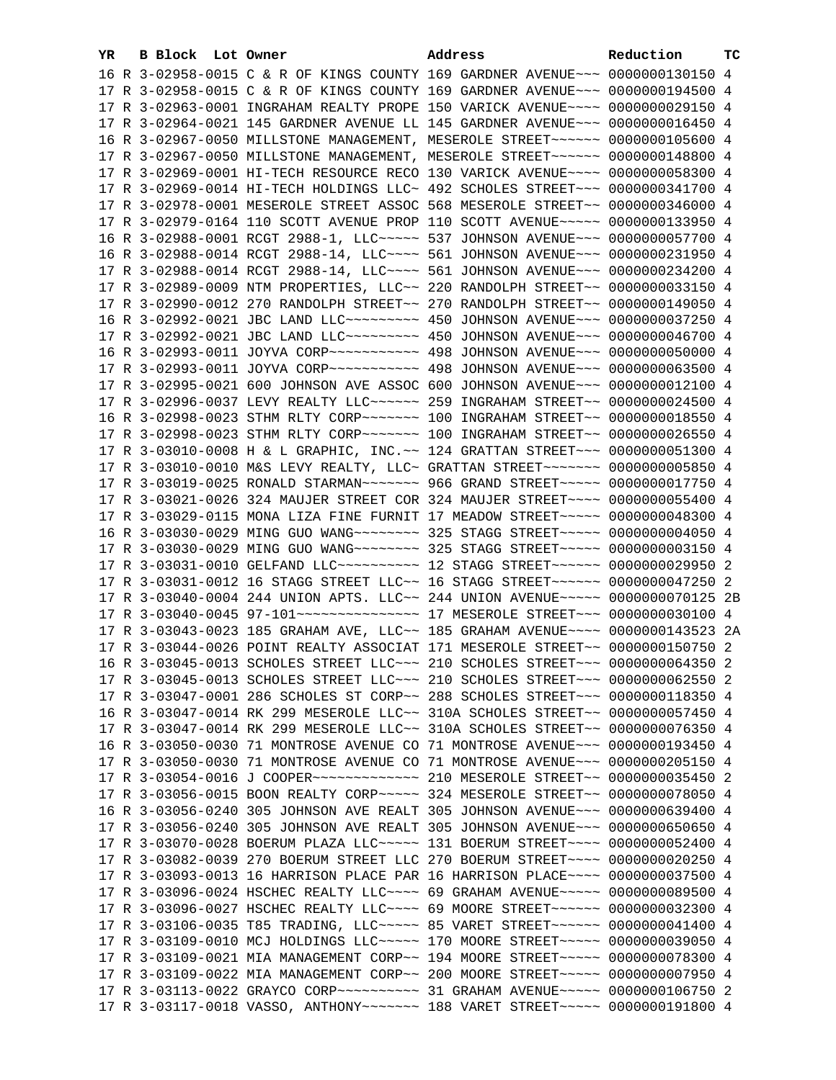| YR. | B Block Lot Owner | Address                                                                               | Reduction | тc |
|-----|-------------------|---------------------------------------------------------------------------------------|-----------|----|
|     |                   | 16 R 3-02958-0015 C & R OF KINGS COUNTY 169 GARDNER AVENUE~~~ 0000000130150 4         |           |    |
|     |                   | 17 R 3-02958-0015 C & R OF KINGS COUNTY 169 GARDNER AVENUE~~~ 0000000194500 4         |           |    |
|     |                   | 17 R 3-02963-0001 INGRAHAM REALTY PROPE 150 VARICK AVENUE~~~~ 0000000029150 4         |           |    |
|     |                   | 17 R 3-02964-0021 145 GARDNER AVENUE LL 145 GARDNER AVENUE~~~ 0000000016450 4         |           |    |
|     |                   | 16 R 3-02967-0050 MILLSTONE MANAGEMENT, MESEROLE STREET~~~~~~ 0000000105600 4         |           |    |
|     |                   | 17 R 3-02967-0050 MILLSTONE MANAGEMENT, MESEROLE STREET~~~~~~ 0000000148800 4         |           |    |
|     |                   | 17 R 3-02969-0001 HI-TECH RESOURCE RECO 130 VARICK AVENUE~~~~ 0000000058300 4         |           |    |
|     |                   | 17 R 3-02969-0014 HI-TECH HOLDINGS LLC~ 492 SCHOLES STREET~~~ 0000000341700 4         |           |    |
|     |                   | 17 R 3-02978-0001 MESEROLE STREET ASSOC 568 MESEROLE STREET~~ 0000000346000 4         |           |    |
|     |                   | 17 R 3-02979-0164 110 SCOTT AVENUE PROP 110 SCOTT AVENUE~~~~~ 0000000133950 4         |           |    |
|     |                   | 16 R 3-02988-0001 RCGT 2988-1, LLC ~~~~~ 537 JOHNSON AVENUE ~~~ 0000000057700 4       |           |    |
|     |                   |                                                                                       |           |    |
|     |                   | 16 R 3-02988-0014 RCGT 2988-14, LLC ~~~~ 561 JOHNSON AVENUE ~~~ 0000000231950 4       |           |    |
|     |                   | 17 R 3-02988-0014 RCGT 2988-14, LLC --- 561 JOHNSON AVENUE -- 0000000234200 4         |           |    |
|     |                   | 17 R 3-02989-0009 NTM PROPERTIES, LLC~~ 220 RANDOLPH STREET~~ 0000000033150 4         |           |    |
|     |                   | 17 R 3-02990-0012 270 RANDOLPH STREET~~ 270 RANDOLPH STREET~~ 0000000149050 4         |           |    |
|     |                   |                                                                                       |           |    |
|     |                   | 17 R 3-02992-0021 JBC LAND LLC -------- 450 JOHNSON AVENUE -- 0000000046700 4         |           |    |
|     |                   |                                                                                       |           |    |
|     |                   |                                                                                       |           |    |
|     |                   | 17 R 3-02995-0021 600 JOHNSON AVE ASSOC 600 JOHNSON AVENUE~~~ 0000000012100 4         |           |    |
|     |                   | 17 R 3-02996-0037 LEVY REALTY LLC ----- 259 INGRAHAM STREET -- 0000000024500 4        |           |    |
|     |                   | 16 R 3-02998-0023 STHM RLTY CORP~~~~~~~~~~~~~ 100 INGRAHAM STREET~~~ 00000000018550 4 |           |    |
|     |                   | 17 R 3-02998-0023 STHM RLTY CORP~~~~~~~ 100 INGRAHAM STREET~~ 0000000026550 4         |           |    |
|     |                   | 17 R 3-03010-0008 H & L GRAPHIC, INC. ~~ 124 GRATTAN STREET ~~~ 0000000051300 4       |           |    |
|     |                   | 17 R 3-03010-0010 M&S LEVY REALTY, LLC~ GRATTAN STREET~~~~~~~~ 0000000005850 4        |           |    |
|     |                   | 17 R 3-03019-0025 RONALD STARMAN~~~~~~~~ 966 GRAND STREET~~~~~ 0000000017750 4        |           |    |
|     |                   | 17 R 3-03021-0026 324 MAUJER STREET COR 324 MAUJER STREET~~~~ 0000000055400 4         |           |    |
|     |                   | 17 R 3-03029-0115 MONA LIZA FINE FURNIT 17 MEADOW STREET~~~~~ 0000000048300 4         |           |    |
|     |                   | 16 R 3-03030-0029 MING GUO WANG~~~~~~~~ 325 STAGG STREET~~~~~ 00000000004050 4        |           |    |
|     |                   | 17 R 3-03030-0029 MING GUO WANG~~~~~~~~ 325 STAGG STREET~~~~~ 0000000003150 4         |           |    |
|     |                   | 17 R 3-03031-0010 GELFAND LLC ---------- 12 STAGG STREET ------ 0000000029950 2       |           |    |
|     |                   | 17 R 3-03031-0012 16 STAGG STREET LLC~~ 16 STAGG STREET~~~~~~~ 0000000047250 2        |           |    |
|     |                   | 17 R 3-03040-0004 244 UNION APTS. LLC~~ 244 UNION AVENUE~~~~~ 0000000070125 2B        |           |    |
|     |                   | 17 R 3-03040-0045 97-101 --------------- 17 MESEROLE STREET --- 0000000030100 4       |           |    |
|     |                   | 17 R 3-03043-0023 185 GRAHAM AVE, LLC~~ 185 GRAHAM AVENUE~~~~ 0000000143523 2A        |           |    |
|     |                   | 17 R 3-03044-0026 POINT REALTY ASSOCIAT 171 MESEROLE STREET~~ 0000000150750 2         |           |    |
|     |                   | 16 R 3-03045-0013 SCHOLES STREET LLC~~~ 210 SCHOLES STREET~~~ 0000000064350 2         |           |    |
|     |                   | 17 R 3-03045-0013 SCHOLES STREET LLC~~~ 210 SCHOLES STREET~~~ 0000000062550 2         |           |    |
|     |                   | 17 R 3-03047-0001 286 SCHOLES ST CORP~~ 288 SCHOLES STREET~~~ 0000000118350 4         |           |    |
|     |                   | 16 R 3-03047-0014 RK 299 MESEROLE LLC~~ 310A SCHOLES STREET~~ 0000000057450 4         |           |    |
|     |                   | 17 R 3-03047-0014 RK 299 MESEROLE LLC~~ 310A SCHOLES STREET~~ 0000000076350 4         |           |    |
|     |                   | 16 R 3-03050-0030 71 MONTROSE AVENUE CO 71 MONTROSE AVENUE~~~ 0000000193450 4         |           |    |
|     |                   | 17 R 3-03050-0030 71 MONTROSE AVENUE CO 71 MONTROSE AVENUE~~~ 0000000205150 4         |           |    |
|     |                   | 17 R 3-03054-0016 J COOPER ------------- 210 MESEROLE STREET -- 0000000035450 2       |           |    |
|     |                   | 17 R 3-03056-0015 BOON REALTY CORP~~~~~ 324 MESEROLE STREET~~ 0000000078050 4         |           |    |
|     |                   | 16 R 3-03056-0240 305 JOHNSON AVE REALT 305 JOHNSON AVENUE~~~ 0000000639400 4         |           |    |
|     |                   | 17 R 3-03056-0240 305 JOHNSON AVE REALT 305 JOHNSON AVENUE~~~ 0000000650650 4         |           |    |
|     |                   | 17 R 3-03070-0028 BOERUM PLAZA LLC ---- 131 BOERUM STREET --- 0000000052400 4         |           |    |
|     |                   | 17 R 3-03082-0039 270 BOERUM STREET LLC 270 BOERUM STREET~~~~ 0000000020250 4         |           |    |
|     |                   | 17 R 3-03093-0013 16 HARRISON PLACE PAR 16 HARRISON PLACE~~~~ 0000000037500 4         |           |    |
|     |                   | 17 R 3-03096-0024 HSCHEC REALTY LLC~~~~ 69 GRAHAM AVENUE~~~~~ 0000000089500 4         |           |    |
|     |                   | 17 R 3-03096-0027 HSCHEC REALTY LLC~~~~ 69 MOORE STREET~~~~~~ 0000000032300 4         |           |    |
|     |                   | 17 R 3-03106-0035 T85 TRADING, LLC ---- 85 VARET STREET ----- 0000000041400 4         |           |    |
|     |                   | 17 R 3-03109-0010 MCJ HOLDINGS LLC ---- 170 MOORE STREET ---- 0000000039050 4         |           |    |
|     |                   | 17 R 3-03109-0021 MIA MANAGEMENT CORP~~ 194 MOORE STREET~~~~~ 0000000078300 4         |           |    |
|     |                   | 17 R 3-03109-0022 MIA MANAGEMENT CORP~~ 200 MOORE STREET~~~~~ 0000000007950 4         |           |    |
|     |                   |                                                                                       |           |    |
|     |                   | 17 R 3-03117-0018 VASSO, ANTHONY~~~~~~~ 188 VARET STREET~~~~~ 0000000191800 4         |           |    |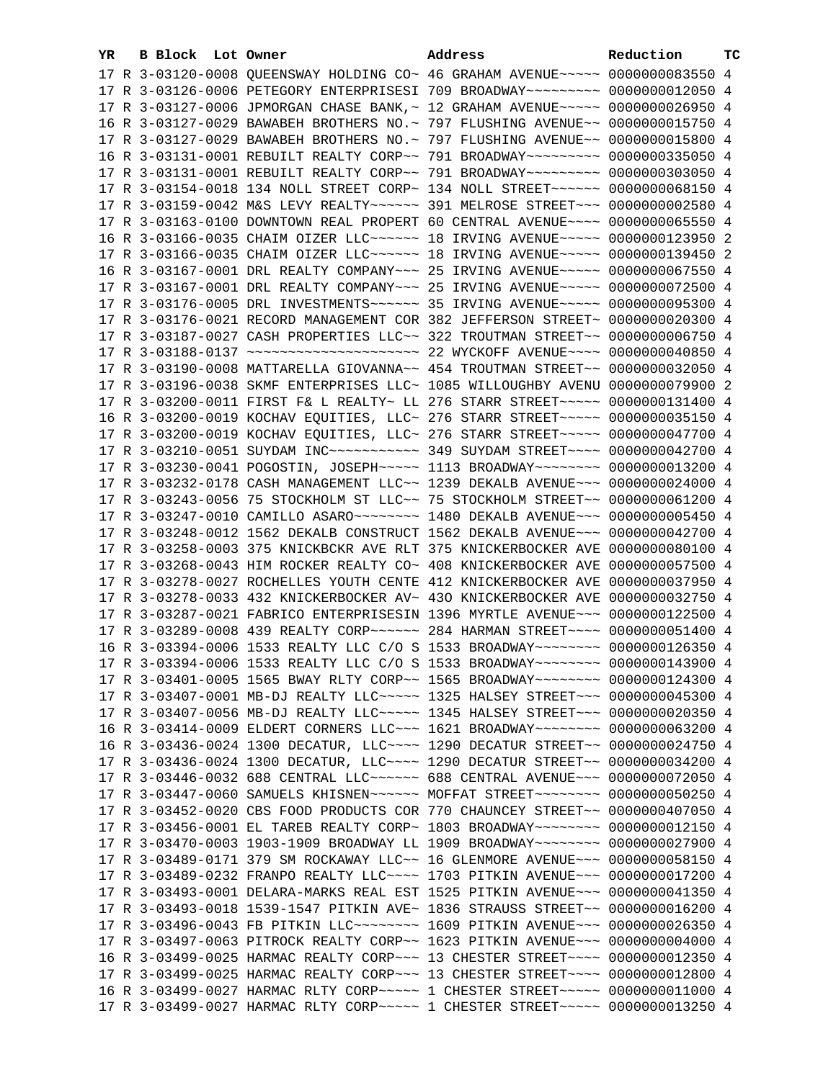| YR | B Block Lot Owner |                                                               | Address                                                                                   | Reduction       | тc |
|----|-------------------|---------------------------------------------------------------|-------------------------------------------------------------------------------------------|-----------------|----|
|    |                   |                                                               | 17 R 3-03120-0008 QUEENSWAY HOLDING CO~ 46 GRAHAM AVENUE~~~~~ 0000000083550 4             |                 |    |
|    |                   |                                                               | 17 R 3-03126-0006 PETEGORY ENTERPRISESI 709 BROADWAY~~~~~~~~~ 0000000012050 4             |                 |    |
|    |                   |                                                               | 17 R 3-03127-0006 JPMORGAN CHASE BANK, ~ 12 GRAHAM AVENUE~~~~~ 0000000026950 4            |                 |    |
|    |                   |                                                               | 16 R 3-03127-0029 BAWABEH BROTHERS NO.~ 797 FLUSHING AVENUE~~ 0000000015750 4             |                 |    |
|    |                   |                                                               | 17 R 3-03127-0029 BAWABEH BROTHERS NO. ~ 797 FLUSHING AVENUE~~ 0000000015800 4            |                 |    |
|    |                   |                                                               | 16 R 3-03131-0001 REBUILT REALTY CORP~~ 791 BROADWAY~~~~~~~~~ 0000000335050 4             |                 |    |
|    |                   |                                                               | 17 R 3-03131-0001 REBUILT REALTY CORP~~ 791 BROADWAY~~~~~~~~~ 0000000303050 4             |                 |    |
|    |                   |                                                               | 17 R 3-03154-0018 134 NOLL STREET CORP~ 134 NOLL STREET~~~~~~ 0000000068150 4             |                 |    |
|    |                   |                                                               | 17 R 3-03159-0042 M&S LEVY REALTY~~~~~~ 391 MELROSE STREET~~~ 0000000002580 4             |                 |    |
|    |                   |                                                               | 17 R 3-03163-0100 DOWNTOWN REAL PROPERT 60 CENTRAL AVENUE~~~~ 0000000065550 4             |                 |    |
|    |                   |                                                               | 16 R 3-03166-0035 CHAIM OIZER LLC ~~~~~~ 18 IRVING AVENUE ~~~~~ 0000000123950 2           |                 |    |
|    |                   |                                                               | 17 R 3-03166-0035 CHAIM OIZER LLC ~~~~~~ 18 IRVING AVENUE ~~~~~ 0000000139450 2           |                 |    |
|    |                   |                                                               | 16 R 3-03167-0001 DRL REALTY COMPANY~~~ 25 IRVING AVENUE~~~~~ 0000000067550 4             |                 |    |
|    |                   |                                                               | 17 R 3-03167-0001 DRL REALTY COMPANY~~~ 25 IRVING AVENUE~~~~~ 0000000072500 4             |                 |    |
|    |                   |                                                               | 17 R 3-03176-0005 DRL INVESTMENTS ~~~~~~ 35 IRVING AVENUE ~~~~~ 0000000095300 4           |                 |    |
|    |                   |                                                               | 17 R 3-03176-0021 RECORD MANAGEMENT COR 382 JEFFERSON STREET~ 0000000020300 4             |                 |    |
|    |                   |                                                               | 17 R 3-03187-0027 CASH PROPERTIES LLC~~ 322 TROUTMAN STREET~~ 0000000006750 4             |                 |    |
|    |                   |                                                               | 17 R 3-03188-0137 ~~~~~~~~~~~~~~~~~~~~~~~~~~~~~~~~ 22 WYCKOFF AVENUE~~~~~ 0000000040850 4 |                 |    |
|    |                   |                                                               | 17 R 3-03190-0008 MATTARELLA GIOVANNA~~ 454 TROUTMAN STREET~~ 0000000032050 4             |                 |    |
|    |                   |                                                               | 17 R 3-03196-0038 SKMF ENTERPRISES LLC~ 1085 WILLOUGHBY AVENU 0000000079900 2             |                 |    |
|    |                   |                                                               | 17 R 3-03200-0011 FIRST F& L REALTY~ LL 276 STARR STREET~~~~~~ 0000000131400 4            |                 |    |
|    |                   |                                                               | 16 R 3-03200-0019 KOCHAV EQUITIES, LLC~ 276 STARR STREET~~~~~ 0000000035150 4             |                 |    |
|    |                   |                                                               | 17 R 3-03200-0019 KOCHAV EQUITIES, LLC~ 276 STARR STREET~~~~~ 0000000047700 4             |                 |    |
|    |                   |                                                               | 17 R 3-03210-0051 SUYDAM INC ---------- 349 SUYDAM STREET ---- 0000000042700 4            |                 |    |
|    |                   |                                                               | 17 R 3-03230-0041 POGOSTIN, JOSEPH~~~~~ 1113 BROADWAY~~~~~~~~ 0000000013200 4             |                 |    |
|    |                   |                                                               | 17 R 3-03232-0178 CASH MANAGEMENT LLC~~ 1239 DEKALB AVENUE~~~ 0000000024000 4             |                 |    |
|    |                   |                                                               | 17 R 3-03243-0056 75 STOCKHOLM ST LLC~~ 75 STOCKHOLM STREET~~ 0000000061200 4             |                 |    |
|    |                   |                                                               | 17 R 3-03247-0010 CAMILLO ASARO~~~~~~~~~~~~~ 1480 DEKALB AVENUE~~~~ 0000000005450 4       |                 |    |
|    |                   |                                                               | 17 R 3-03248-0012 1562 DEKALB CONSTRUCT 1562 DEKALB AVENUE~~~ 0000000042700 4             |                 |    |
|    |                   | 17 R 3-03258-0003 375 KNICKBCKR AVE RLT 375 KNICKERBOCKER AVE |                                                                                           | 0000000080100 4 |    |
|    |                   | 17 R 3-03268-0043 HIM ROCKER REALTY CO~ 408 KNICKERBOCKER AVE |                                                                                           | 0000000057500 4 |    |
|    |                   | 17 R 3-03278-0027 ROCHELLES YOUTH CENTE 412 KNICKERBOCKER AVE |                                                                                           | 0000000037950 4 |    |
|    |                   |                                                               | 17 R 3-03278-0033 432 KNICKERBOCKER AV~ 430 KNICKERBOCKER AVE                             | 0000000032750 4 |    |
|    |                   |                                                               | 17 R 3-03287-0021 FABRICO ENTERPRISESIN 1396 MYRTLE AVENUE~~~ 0000000122500 4             |                 |    |
|    |                   |                                                               | 17 R 3-03289-0008 439 REALTY CORP~~~~~~ 284 HARMAN STREET~~~~ 0000000051400 4             |                 |    |
|    |                   |                                                               | 16 R 3-03394-0006 1533 REALTY LLC C/O S 1533 BROADWAY~~~~~~~~ 0000000126350 4             |                 |    |
|    |                   |                                                               | 17 R 3-03394-0006 1533 REALTY LLC C/O S 1533 BROADWAY~~~~~~~~ 0000000143900 4             |                 |    |
|    |                   |                                                               | 17 R 3-03401-0005 1565 BWAY RLTY CORP~~ 1565 BROADWAY~~~~~~~~ 0000000124300 4             |                 |    |
|    |                   |                                                               | 17 R 3-03407-0001 MB-DJ REALTY LLC ---- 1325 HALSEY STREET -- 0000000045300 4             |                 |    |
|    |                   |                                                               | 17 R 3-03407-0056 MB-DJ REALTY LLC ---- 1345 HALSEY STREET -- 0000000020350 4             |                 |    |
|    |                   |                                                               | 16 R 3-03414-0009 ELDERT CORNERS LLC~~~ 1621 BROADWAY~~~~~~~~ 0000000063200 4             |                 |    |
|    |                   |                                                               | 16 R 3-03436-0024 1300 DECATUR, LLC ~~~~ 1290 DECATUR STREET ~~ 0000000024750 4           |                 |    |
|    |                   |                                                               | 17 R 3-03436-0024 1300 DECATUR, LLC~~~~ 1290 DECATUR STREET~~ 0000000034200 4             |                 |    |
|    |                   |                                                               | 17 R 3-03446-0032 688 CENTRAL LLC ----- 688 CENTRAL AVENUE -- 0000000072050 4             |                 |    |
|    |                   |                                                               | 17 R 3-03447-0060 SAMUELS KHISNEN~~~~~~ MOFFAT STREET~~~~~~~~ 0000000050250 4             |                 |    |
|    |                   |                                                               | 17 R 3-03452-0020 CBS FOOD PRODUCTS COR 770 CHAUNCEY STREET~~ 0000000407050 4             |                 |    |
|    |                   |                                                               | 17 R 3-03456-0001 EL TAREB REALTY CORP~ 1803 BROADWAY~~~~~~~~ 0000000012150 4             |                 |    |
|    |                   |                                                               | 17 R 3-03470-0003 1903-1909 BROADWAY LL 1909 BROADWAY~~~~~~~~ 0000000027900 4             |                 |    |
|    |                   |                                                               | 17 R 3-03489-0171 379 SM ROCKAWAY LLC~~ 16 GLENMORE AVENUE~~~ 0000000058150 4             |                 |    |
|    |                   |                                                               | 17 R 3-03489-0232 FRANPO REALTY LLC~~~~ 1703 PITKIN AVENUE~~~ 0000000017200 4             |                 |    |
|    |                   |                                                               | 17 R 3-03493-0001 DELARA-MARKS REAL EST 1525 PITKIN AVENUE~~~ 0000000041350 4             |                 |    |
|    |                   |                                                               | 17 R 3-03493-0018 1539-1547 PITKIN AVE~ 1836 STRAUSS STREET~~ 0000000016200 4             |                 |    |
|    |                   |                                                               | 17 R 3-03496-0043 FB PITKIN LLC -------- 1609 PITKIN AVENUE --- 0000000026350 4           |                 |    |
|    |                   |                                                               | 17 R 3-03497-0063 PITROCK REALTY CORP~~ 1623 PITKIN AVENUE~~~ 0000000004000 4             |                 |    |
|    |                   |                                                               | 16 R 3-03499-0025 HARMAC REALTY CORP~~~ 13 CHESTER STREET~~~~ 0000000012350 4             |                 |    |
|    |                   |                                                               | 17 R 3-03499-0025 HARMAC REALTY CORP~~~ 13 CHESTER STREET~~~~ 0000000012800 4             |                 |    |
|    |                   |                                                               | 16 R 3-03499-0027 HARMAC RLTY CORP~~~~~ 1 CHESTER STREET~~~~~ 0000000011000 4             |                 |    |
|    |                   |                                                               | 17 R 3-03499-0027 HARMAC RLTY CORP~~~~~ 1 CHESTER STREET~~~~~ 0000000013250 4             |                 |    |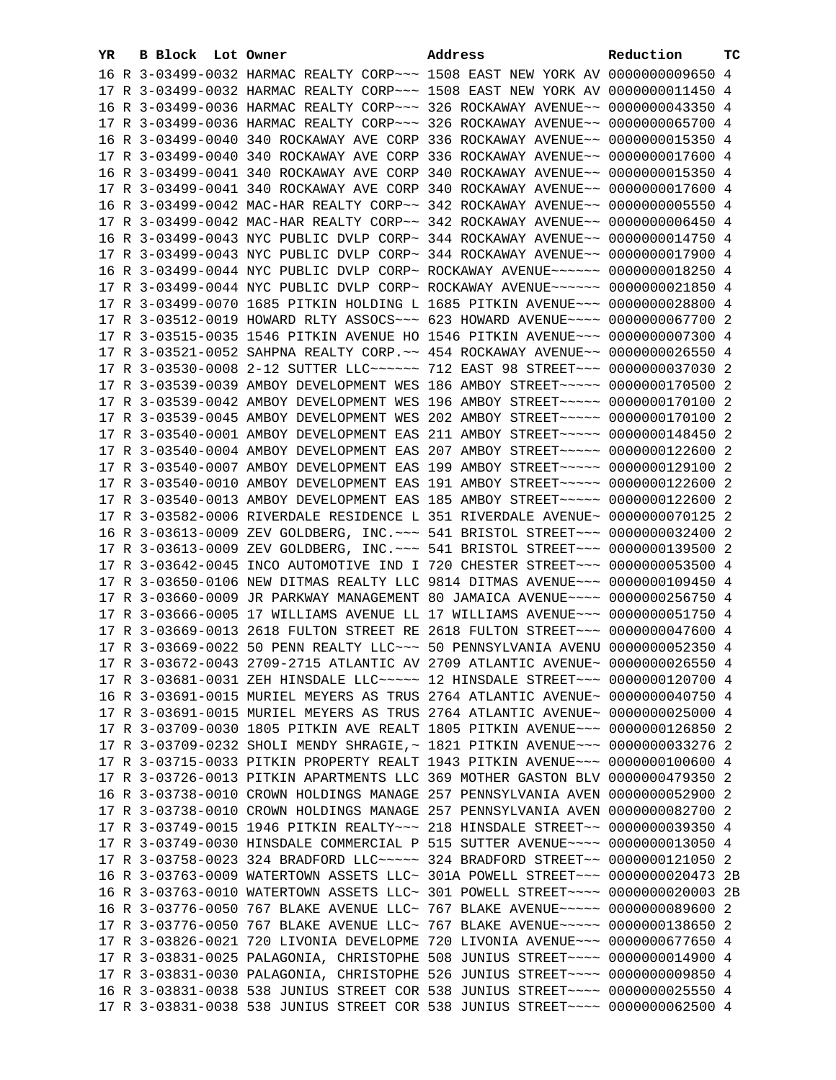| YR | B Block Lot Owner |                                                               | Address                                                                        | Reduction       | тc |
|----|-------------------|---------------------------------------------------------------|--------------------------------------------------------------------------------|-----------------|----|
|    |                   |                                                               | 16 R 3-03499-0032 HARMAC REALTY CORP~~~ 1508 EAST NEW YORK AV 0000000009650 4  |                 |    |
|    |                   |                                                               | 17 R 3-03499-0032 HARMAC REALTY CORP~~~ 1508 EAST NEW YORK AV 0000000011450 4  |                 |    |
|    |                   |                                                               | 16 R 3-03499-0036 HARMAC REALTY CORP~~~ 326 ROCKAWAY AVENUE~~ 0000000043350 4  |                 |    |
|    |                   | 17 R 3-03499-0036 HARMAC REALTY CORP~~~ 326 ROCKAWAY AVENUE~~ |                                                                                | 0000000065700 4 |    |
|    |                   | 16 R 3-03499-0040 340 ROCKAWAY AVE CORP 336 ROCKAWAY AVENUE~~ |                                                                                | 0000000015350 4 |    |
|    |                   | 17 R 3-03499-0040 340 ROCKAWAY AVE CORP 336 ROCKAWAY AVENUE~~ |                                                                                | 0000000017600 4 |    |
|    |                   | 16 R 3-03499-0041 340 ROCKAWAY AVE CORP 340 ROCKAWAY AVENUE~~ |                                                                                | 0000000015350 4 |    |
|    |                   | 17 R 3-03499-0041 340 ROCKAWAY AVE CORP 340 ROCKAWAY AVENUE~~ |                                                                                | 0000000017600 4 |    |
|    |                   | 16 R 3-03499-0042 MAC-HAR REALTY CORP~~ 342 ROCKAWAY AVENUE~~ |                                                                                | 0000000005550 4 |    |
|    |                   | 17 R 3-03499-0042 MAC-HAR REALTY CORP~~ 342 ROCKAWAY AVENUE~~ |                                                                                | 0000000006450 4 |    |
|    |                   |                                                               |                                                                                | 0000000014750 4 |    |
|    |                   | 16 R 3-03499-0043 NYC PUBLIC DVLP CORP~ 344 ROCKAWAY AVENUE~~ |                                                                                | 0000000017900 4 |    |
|    |                   | 17 R 3-03499-0043 NYC PUBLIC DVLP CORP~ 344 ROCKAWAY AVENUE~~ |                                                                                |                 |    |
|    |                   | 16 R 3-03499-0044 NYC PUBLIC DVLP CORP~ ROCKAWAY AVENUE~~~~~~ |                                                                                | 0000000018250 4 |    |
|    |                   |                                                               | 17 R 3-03499-0044 NYC PUBLIC DVLP CORP~ ROCKAWAY AVENUE~~~~~~ 0000000021850 4  |                 |    |
|    |                   |                                                               | 17 R 3-03499-0070 1685 PITKIN HOLDING L 1685 PITKIN AVENUE~~~ 0000000028800 4  |                 |    |
|    |                   |                                                               | 17 R 3-03512-0019 HOWARD RLTY ASSOCS~~~ 623 HOWARD AVENUE~~~~ 0000000067700 2  |                 |    |
|    |                   |                                                               | 17 R 3-03515-0035 1546 PITKIN AVENUE HO 1546 PITKIN AVENUE~~~ 0000000007300 4  |                 |    |
|    |                   |                                                               | 17 R 3-03521-0052 SAHPNA REALTY CORP. ~~ 454 ROCKAWAY AVENUE~~ 0000000026550 4 |                 |    |
|    |                   |                                                               | 17 R 3-03530-0008 2-12 SUTTER LLC ----- 712 EAST 98 STREET -- 0000000037030 2  |                 |    |
|    |                   |                                                               | 17 R 3-03539-0039 AMBOY DEVELOPMENT WES 186 AMBOY STREET~~~~~ 0000000170500 2  |                 |    |
|    |                   |                                                               | 17 R 3-03539-0042 AMBOY DEVELOPMENT WES 196 AMBOY STREET~~~~~ 0000000170100 2  |                 |    |
|    |                   |                                                               | 17 R 3-03539-0045 AMBOY DEVELOPMENT WES 202 AMBOY STREET~~~~~ 0000000170100 2  |                 |    |
|    |                   |                                                               | 17 R 3-03540-0001 AMBOY DEVELOPMENT EAS 211 AMBOY STREET~~~~~ 0000000148450 2  |                 |    |
|    |                   |                                                               | 17 R 3-03540-0004 AMBOY DEVELOPMENT EAS 207 AMBOY STREET~~~~~ 0000000122600 2  |                 |    |
|    |                   |                                                               | 17 R 3-03540-0007 AMBOY DEVELOPMENT EAS 199 AMBOY STREET~~~~~ 0000000129100 2  |                 |    |
|    |                   |                                                               | 17 R 3-03540-0010 AMBOY DEVELOPMENT EAS 191 AMBOY STREET~~~~~ 0000000122600 2  |                 |    |
|    |                   |                                                               | 17 R 3-03540-0013 AMBOY DEVELOPMENT EAS 185 AMBOY STREET~~~~~ 0000000122600 2  |                 |    |
|    |                   |                                                               | 17 R 3-03582-0006 RIVERDALE RESIDENCE L 351 RIVERDALE AVENUE~ 0000000070125 2  |                 |    |
|    |                   |                                                               | 16 R 3-03613-0009 ZEV GOLDBERG, INC. ~~~ 541 BRISTOL STREET~~~ 0000000032400 2 |                 |    |
|    |                   |                                                               | 17 R 3-03613-0009 ZEV GOLDBERG, INC. ~~~ 541 BRISTOL STREET~~~ 0000000139500 2 |                 |    |
|    |                   |                                                               | 17 R 3-03642-0045 INCO AUTOMOTIVE IND I 720 CHESTER STREET~~~ 0000000053500 4  |                 |    |
|    |                   |                                                               | 17 R 3-03650-0106 NEW DITMAS REALTY LLC 9814 DITMAS AVENUE~~~ 0000000109450 4  |                 |    |
|    |                   |                                                               | 17 R 3-03660-0009 JR PARKWAY MANAGEMENT 80 JAMAICA AVENUE~~~~ 0000000256750 4  |                 |    |
|    |                   |                                                               | 17 R 3-03666-0005 17 WILLIAMS AVENUE LL 17 WILLIAMS AVENUE~~~ 0000000051750 4  |                 |    |
|    |                   |                                                               | 17 R 3-03669-0013 2618 FULTON STREET RE 2618 FULTON STREET~~~ 0000000047600 4  |                 |    |
|    |                   |                                                               | 17 R 3-03669-0022 50 PENN REALTY LLC ~~~ 50 PENNSYLVANIA AVENU 0000000052350 4 |                 |    |
|    |                   |                                                               | 17 R 3-03672-0043 2709-2715 ATLANTIC AV 2709 ATLANTIC AVENUE~ 0000000026550 4  |                 |    |
|    |                   |                                                               | 17 R 3-03681-0031 ZEH HINSDALE LLC~~~~~ 12 HINSDALE STREET~~~ 0000000120700 4  |                 |    |
|    |                   |                                                               | 16 R 3-03691-0015 MURIEL MEYERS AS TRUS 2764 ATLANTIC AVENUE~ 0000000040750 4  |                 |    |
|    |                   |                                                               | 17 R 3-03691-0015 MURIEL MEYERS AS TRUS 2764 ATLANTIC AVENUE~ 0000000025000 4  |                 |    |
|    |                   |                                                               | 17 R 3-03709-0030 1805 PITKIN AVE REALT 1805 PITKIN AVENUE~~~ 0000000126850 2  |                 |    |
|    |                   |                                                               | 17 R 3-03709-0232 SHOLI MENDY SHRAGIE, ~ 1821 PITKIN AVENUE~~~ 0000000033276 2 |                 |    |
|    |                   |                                                               | 17 R 3-03715-0033 PITKIN PROPERTY REALT 1943 PITKIN AVENUE~~~ 0000000100600 4  |                 |    |
|    |                   |                                                               | 17 R 3-03726-0013 PITKIN APARTMENTS LLC 369 MOTHER GASTON BLV 0000000479350 2  |                 |    |
|    |                   |                                                               | 16 R 3-03738-0010 CROWN HOLDINGS MANAGE 257 PENNSYLVANIA AVEN 0000000052900 2  |                 |    |
|    |                   |                                                               | 17 R 3-03738-0010 CROWN HOLDINGS MANAGE 257 PENNSYLVANIA AVEN 0000000082700 2  |                 |    |
|    |                   |                                                               | 17 R 3-03749-0015 1946 PITKIN REALTY~~~ 218 HINSDALE STREET~~ 0000000039350 4  |                 |    |
|    |                   |                                                               | 17 R 3-03749-0030 HINSDALE COMMERCIAL P 515 SUTTER AVENUE~~~~ 0000000013050 4  |                 |    |
|    |                   |                                                               | 17 R 3-03758-0023 324 BRADFORD LLC ---- 324 BRADFORD STREET -- 0000000121050 2 |                 |    |
|    |                   |                                                               | 16 R 3-03763-0009 WATERTOWN ASSETS LLC~ 301A POWELL STREET~~~ 0000000020473 2B |                 |    |
|    |                   |                                                               | 16 R 3-03763-0010 WATERTOWN ASSETS LLC~ 301 POWELL STREET~~~~ 0000000020003 2B |                 |    |
|    |                   |                                                               | 16 R 3-03776-0050 767 BLAKE AVENUE LLC~ 767 BLAKE AVENUE~~~~~ 0000000089600 2  |                 |    |
|    |                   |                                                               | 17 R 3-03776-0050 767 BLAKE AVENUE LLC~ 767 BLAKE AVENUE~~~~~ 0000000138650 2  |                 |    |
|    |                   |                                                               | 17 R 3-03826-0021 720 LIVONIA DEVELOPME 720 LIVONIA AVENUE~~~ 0000000677650 4  |                 |    |
|    |                   |                                                               | 17 R 3-03831-0025 PALAGONIA, CHRISTOPHE 508 JUNIUS STREET~~~~ 0000000014900 4  |                 |    |
|    |                   |                                                               | 17 R 3-03831-0030 PALAGONIA, CHRISTOPHE 526 JUNIUS STREET~~~~ 0000000009850 4  |                 |    |
|    |                   |                                                               | 16 R 3-03831-0038 538 JUNIUS STREET COR 538 JUNIUS STREET~~~~ 0000000025550 4  |                 |    |
|    |                   |                                                               | 17 R 3-03831-0038 538 JUNIUS STREET COR 538 JUNIUS STREET~~~~ 0000000062500 4  |                 |    |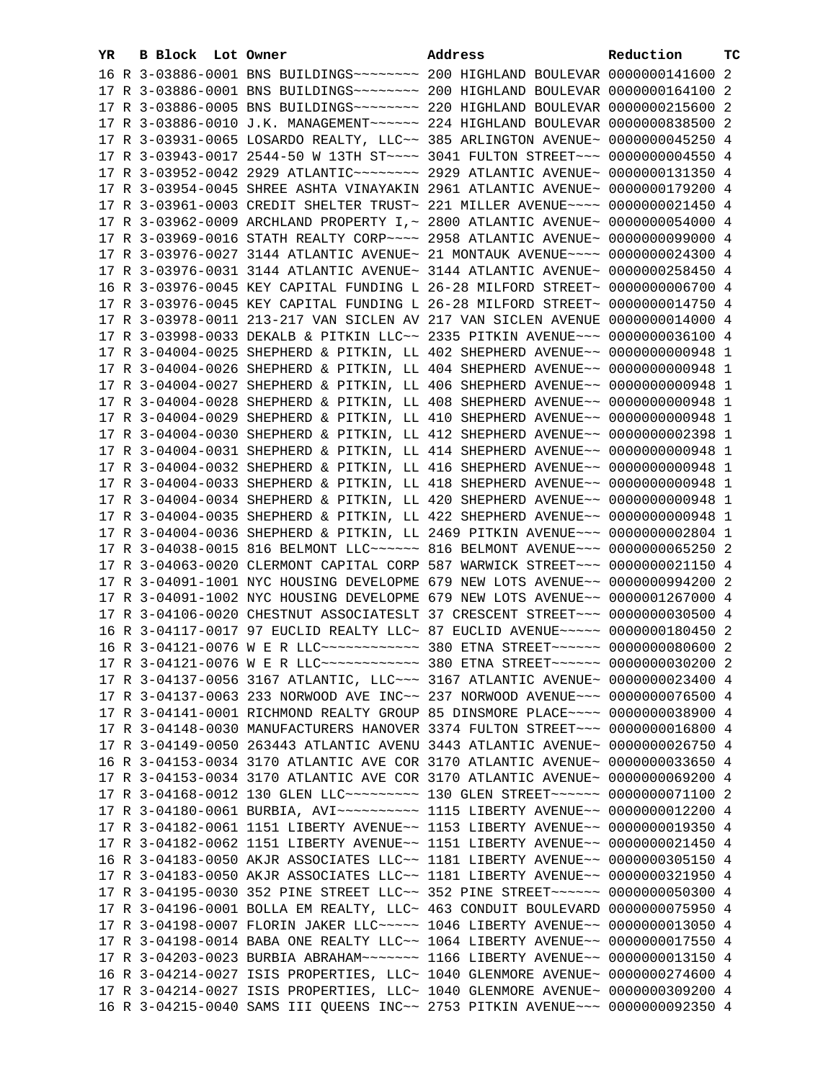| YR. | <b>B Block</b> Lot Owner |                                                               | Address                                                                            | Reduction       | тc |
|-----|--------------------------|---------------------------------------------------------------|------------------------------------------------------------------------------------|-----------------|----|
|     |                          |                                                               | 16 R 3-03886-0001 BNS BUILDINGS~~~~~~~~ 200 HIGHLAND BOULEVAR 0000000141600 2      |                 |    |
|     |                          |                                                               |                                                                                    |                 |    |
|     |                          |                                                               | 17 R 3-03886-0005 BNS BUILDINGS~~~~~~~~ 220 HIGHLAND BOULEVAR 0000000215600 2      |                 |    |
|     |                          |                                                               | 17 R 3-03886-0010 J.K. MANAGEMENT~~~~~~ 224 HIGHLAND BOULEVAR 0000000838500 2      |                 |    |
|     |                          |                                                               | 17 R 3-03931-0065 LOSARDO REALTY, LLC~~ 385 ARLINGTON AVENUE~ 0000000045250 4      |                 |    |
|     |                          |                                                               | 17 R 3-03943-0017 2544-50 W 13TH ST~~~~ 3041 FULTON STREET~~~ 0000000004550 4      |                 |    |
|     |                          |                                                               | 17 R 3-03952-0042 2929 ATLANTIC~~~~~~~~~ 2929 ATLANTIC AVENUE~ 0000000131350 4     |                 |    |
|     |                          |                                                               |                                                                                    |                 |    |
|     |                          |                                                               | 17 R 3-03954-0045 SHREE ASHTA VINAYAKIN 2961 ATLANTIC AVENUE~ 0000000179200 4      |                 |    |
|     |                          |                                                               | 17 R 3-03961-0003 CREDIT SHELTER TRUST~ 221 MILLER AVENUE~~~~ 0000000021450 4      |                 |    |
|     |                          |                                                               | 17 R 3-03962-0009 ARCHLAND PROPERTY I, ~ 2800 ATLANTIC AVENUE~ 0000000054000 4     |                 |    |
|     |                          |                                                               | 17 R 3-03969-0016 STATH REALTY CORP~~~~ 2958 ATLANTIC AVENUE~ 0000000099000 4      |                 |    |
|     |                          |                                                               | 17 R 3-03976-0027 3144 ATLANTIC AVENUE~ 21 MONTAUK AVENUE~~~~ 0000000024300 4      |                 |    |
|     |                          |                                                               | 17 R 3-03976-0031 3144 ATLANTIC AVENUE~ 3144 ATLANTIC AVENUE~ 0000000258450 4      |                 |    |
|     |                          |                                                               | 16 R 3-03976-0045 KEY CAPITAL FUNDING L 26-28 MILFORD STREET~ 0000000006700 4      |                 |    |
|     |                          |                                                               | 17 R 3-03976-0045 KEY CAPITAL FUNDING L 26-28 MILFORD STREET~                      | 0000000014750 4 |    |
|     |                          |                                                               | 17 R 3-03978-0011 213-217 VAN SICLEN AV 217 VAN SICLEN AVENUE 0000000014000 4      |                 |    |
|     |                          |                                                               | 17 R 3-03998-0033 DEKALB & PITKIN LLC~~ 2335 PITKIN AVENUE~~~ 0000000036100 4      |                 |    |
|     |                          |                                                               | 17 R 3-04004-0025 SHEPHERD & PITKIN, LL 402 SHEPHERD AVENUE~~ 0000000000948 1      |                 |    |
|     |                          |                                                               | 17 R 3-04004-0026 SHEPHERD & PITKIN, LL 404 SHEPHERD AVENUE~~ 0000000000948 1      |                 |    |
|     |                          |                                                               | 17 R 3-04004-0027 SHEPHERD & PITKIN, LL 406 SHEPHERD AVENUE~~ 0000000000948 1      |                 |    |
|     |                          |                                                               | 17 R 3-04004-0028 SHEPHERD & PITKIN, LL 408 SHEPHERD AVENUE~~ 0000000000948 1      |                 |    |
|     |                          |                                                               | 17 R 3-04004-0029 SHEPHERD & PITKIN, LL 410 SHEPHERD AVENUE~~ 0000000000948 1      |                 |    |
|     |                          |                                                               | 17 R 3-04004-0030 SHEPHERD & PITKIN, LL 412 SHEPHERD AVENUE~~ 0000000002398 1      |                 |    |
|     |                          |                                                               | 17 R 3-04004-0031 SHEPHERD & PITKIN, LL 414 SHEPHERD AVENUE~~ 0000000000948 1      |                 |    |
|     |                          |                                                               | 17 R 3-04004-0032 SHEPHERD & PITKIN, LL 416 SHEPHERD AVENUE~~ 0000000000948 1      |                 |    |
|     |                          |                                                               | 17 R 3-04004-0033 SHEPHERD & PITKIN, LL 418 SHEPHERD AVENUE~~ 0000000000948 1      |                 |    |
|     |                          |                                                               | 17 R 3-04004-0034 SHEPHERD & PITKIN, LL 420 SHEPHERD AVENUE~~ 0000000000948 1      |                 |    |
|     |                          |                                                               | 17 R 3-04004-0035 SHEPHERD & PITKIN, LL 422 SHEPHERD AVENUE~~ 0000000000948 1      |                 |    |
|     |                          |                                                               | 17 R 3-04004-0036 SHEPHERD & PITKIN, LL 2469 PITKIN AVENUE~~~ 0000000002804 1      |                 |    |
|     |                          |                                                               | 17 R 3-04038-0015 816 BELMONT LLC ----- 816 BELMONT AVENUE -- 0000000065250 2      |                 |    |
|     |                          |                                                               | 17 R 3-04063-0020 CLERMONT CAPITAL CORP 587 WARWICK STREET~~~ 0000000021150 4      |                 |    |
|     |                          |                                                               | 17 R 3-04091-1001 NYC HOUSING DEVELOPME 679 NEW LOTS AVENUE~~ 0000000994200 2      |                 |    |
|     |                          |                                                               | 17 R 3-04091-1002 NYC HOUSING DEVELOPME 679 NEW LOTS AVENUE~~ 0000001267000 4      |                 |    |
|     |                          |                                                               | 17 R 3-04106-0020 CHESTNUT ASSOCIATESLT 37 CRESCENT STREET~~~ 0000000030500 4      |                 |    |
|     |                          |                                                               | 16 R 3-04117-0017 97 EUCLID REALTY LLC~ 87 EUCLID AVENUE~~~~~ 0000000180450 2      |                 |    |
|     |                          |                                                               | 16 R 3-04121-0076 W E R LLC ------------ 380 ETNA STREET ----- 0000000080600 2     |                 |    |
|     |                          |                                                               | 17 R 3-04121-0076 W E R LLC ------------ 380 ETNA STREET ------ 0000000030200      |                 |    |
|     |                          |                                                               | 17 R 3-04137-0056 3167 ATLANTIC, LLC -- 3167 ATLANTIC AVENUE ~ 0000000023400 4     |                 |    |
|     |                          |                                                               | 17 R 3-04137-0063 233 NORWOOD AVE INC~~ 237 NORWOOD AVENUE~~~ 0000000076500 4      |                 |    |
|     |                          |                                                               | 17 R 3-04141-0001 RICHMOND REALTY GROUP 85 DINSMORE PLACE~~~~ 0000000038900 4      |                 |    |
|     |                          |                                                               | 17 R 3-04148-0030 MANUFACTURERS HANOVER 3374 FULTON STREET~~~ 0000000016800 4      |                 |    |
|     |                          |                                                               | 17 R 3-04149-0050 263443 ATLANTIC AVENU 3443 ATLANTIC AVENUE~ 0000000026750 4      |                 |    |
|     |                          |                                                               | 16 R 3-04153-0034 3170 ATLANTIC AVE COR 3170 ATLANTIC AVENUE~                      | 0000000033650 4 |    |
|     |                          |                                                               | 17 R 3-04153-0034 3170 ATLANTIC AVE COR 3170 ATLANTIC AVENUE~                      | 0000000069200 4 |    |
|     |                          |                                                               | 17 R 3-04168-0012 130 GLEN LLC --------- 130 GLEN STREET ----- 0000000071100 2     |                 |    |
|     |                          |                                                               | 17 R 3-04180-0061 BURBIA, AVI~~~~~~~~~~~~~~~ 1115 LIBERTY AVENUE~~ 0000000012200 4 |                 |    |
|     |                          |                                                               | 17 R 3-04182-0061 1151 LIBERTY AVENUE~~ 1153 LIBERTY AVENUE~~ 0000000019350 4      |                 |    |
|     |                          |                                                               | 17 R 3-04182-0062 1151 LIBERTY AVENUE~~ 1151 LIBERTY AVENUE~~                      | 0000000021450 4 |    |
|     |                          |                                                               | 16 R 3-04183-0050 AKJR ASSOCIATES LLC~~ 1181 LIBERTY AVENUE~~                      | 0000000305150 4 |    |
|     |                          |                                                               | 17 R 3-04183-0050 AKJR ASSOCIATES LLC~~ 1181 LIBERTY AVENUE~~                      | 0000000321950 4 |    |
|     |                          |                                                               | 17 R 3-04195-0030 352 PINE STREET LLC~~ 352 PINE STREET~~~~~~~ 0000000050300 4     |                 |    |
|     |                          | 17 R 3-04196-0001 BOLLA EM REALTY, LLC~ 463 CONDUIT BOULEVARD |                                                                                    | 0000000075950 4 |    |
|     |                          |                                                               | 17 R 3-04198-0007 FLORIN JAKER LLC~~~~~ 1046 LIBERTY AVENUE~~                      | 0000000013050 4 |    |
|     |                          |                                                               | 17 R 3-04198-0014 BABA ONE REALTY LLC $\sim$ 1064 LIBERTY AVENUE $\sim$            | 0000000017550 4 |    |
|     |                          |                                                               | 17 R 3-04203-0023 BURBIA ABRAHAM~~~~~~~ 1166 LIBERTY AVENUE~~                      | 0000000013150 4 |    |
|     |                          |                                                               | 16 R 3-04214-0027 ISIS PROPERTIES, LLC~ 1040 GLENMORE AVENUE~ 0000000274600 4      |                 |    |
|     |                          |                                                               | 17 R 3-04214-0027 ISIS PROPERTIES, LLC~ 1040 GLENMORE AVENUE~ 0000000309200 4      |                 |    |
|     |                          |                                                               | 16 R 3-04215-0040 SAMS III QUEENS INC~~ 2753 PITKIN AVENUE~~~ 0000000092350 4      |                 |    |
|     |                          |                                                               |                                                                                    |                 |    |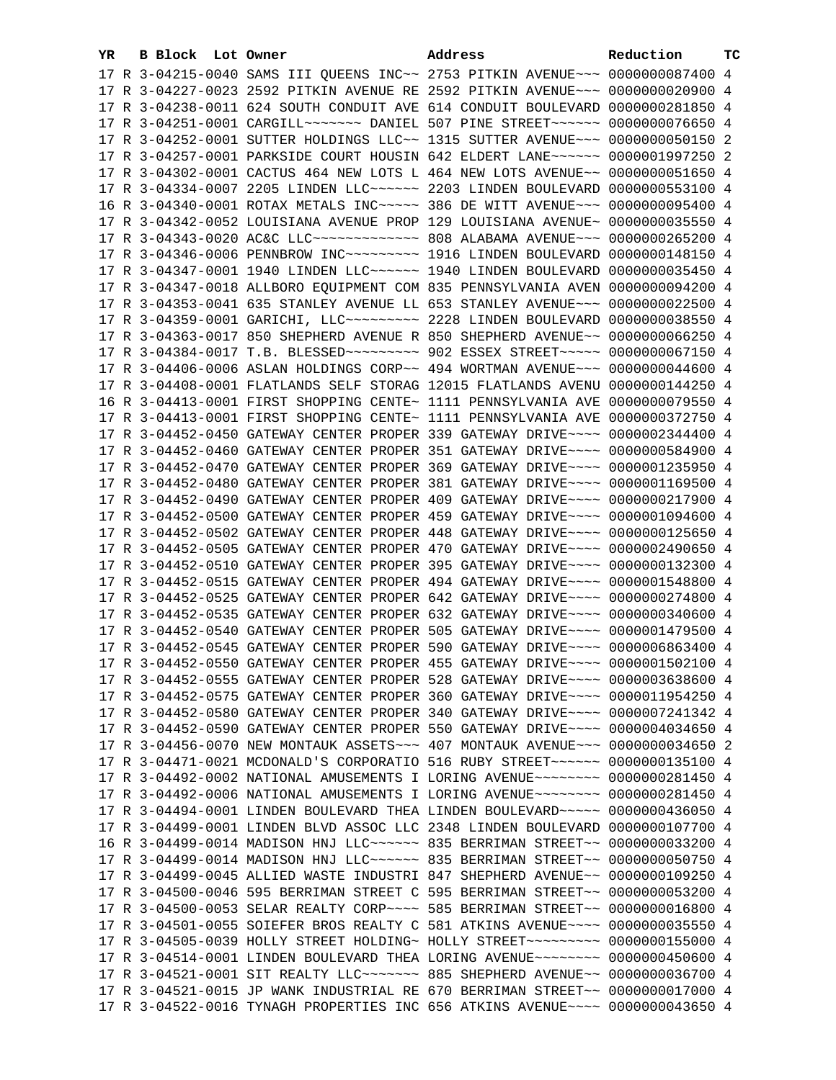| YR. | B Block Lot Owner | Address                                                                            | Reduction | тc |
|-----|-------------------|------------------------------------------------------------------------------------|-----------|----|
|     |                   | 17 R 3-04215-0040 SAMS III QUEENS INC~~ 2753 PITKIN AVENUE~~~ 0000000087400 4      |           |    |
|     |                   | 17 R 3-04227-0023 2592 PITKIN AVENUE RE 2592 PITKIN AVENUE~~~ 0000000020900 4      |           |    |
|     |                   | 17 R 3-04238-0011 624 SOUTH CONDUIT AVE 614 CONDUIT BOULEVARD 0000000281850 4      |           |    |
|     |                   | 17 R 3-04251-0001 CARGILL~~~~~~~ DANIEL 507 PINE STREET~~~~~~ 0000000076650 4      |           |    |
|     |                   | 17 R 3-04252-0001 SUTTER HOLDINGS LLC~~ 1315 SUTTER AVENUE~~~ 0000000050150 2      |           |    |
|     |                   | 17 R 3-04257-0001 PARKSIDE COURT HOUSIN 642 ELDERT LANE~~~~~~ 0000001997250 2      |           |    |
|     |                   | 17 R 3-04302-0001 CACTUS 464 NEW LOTS L 464 NEW LOTS AVENUE~~ 0000000051650 4      |           |    |
|     |                   |                                                                                    |           |    |
|     |                   | 17 R 3-04334-0007 2205 LINDEN LLC ----- 2203 LINDEN BOULEVARD 0000000553100 4      |           |    |
|     |                   | 16 R 3-04340-0001 ROTAX METALS INC~~~~~ 386 DE WITT AVENUE~~~ 0000000095400 4      |           |    |
|     |                   | 17 R 3-04342-0052 LOUISIANA AVENUE PROP 129 LOUISIANA AVENUE~ 0000000035550 4      |           |    |
|     |                   | 17 R 3-04343-0020 AC&C LLC ------------- 808 ALABAMA AVENUE --- 0000000265200 4    |           |    |
|     |                   | 17 R 3-04346-0006 PENNBROW INC~~~~~~~~~~~~~~ 1916 LINDEN BOULEVARD 0000000148150 4 |           |    |
|     |                   | 17 R 3-04347-0001 1940 LINDEN LLC ----- 1940 LINDEN BOULEVARD 0000000035450 4      |           |    |
|     |                   | 17 R 3-04347-0018 ALLBORO EQUIPMENT COM 835 PENNSYLVANIA AVEN 0000000094200 4      |           |    |
|     |                   | 17 R 3-04353-0041 635 STANLEY AVENUE LL 653 STANLEY AVENUE~~~ 0000000022500 4      |           |    |
|     |                   | 17 R 3-04359-0001 GARICHI, LLC -------- 2228 LINDEN BOULEVARD 0000000038550 4      |           |    |
|     |                   | 17 R 3-04363-0017 850 SHEPHERD AVENUE R 850 SHEPHERD AVENUE~~ 0000000066250 4      |           |    |
|     |                   | 17 R 3-04384-0017 T.B. BLESSED~~~~~~~~~~ 902 ESSEX STREET~~~~~ 0000000067150 4     |           |    |
|     |                   | 17 R 3-04406-0006 ASLAN HOLDINGS CORP~~ 494 WORTMAN AVENUE~~~ 0000000044600 4      |           |    |
|     |                   | 17 R 3-04408-0001 FLATLANDS SELF STORAG 12015 FLATLANDS AVENU 0000000144250 4      |           |    |
|     |                   | 16 R 3-04413-0001 FIRST SHOPPING CENTE~ 1111 PENNSYLVANIA AVE 0000000079550 4      |           |    |
|     |                   | 17 R 3-04413-0001 FIRST SHOPPING CENTE~ 1111 PENNSYLVANIA AVE 0000000372750 4      |           |    |
|     |                   | 17 R 3-04452-0450 GATEWAY CENTER PROPER 339 GATEWAY DRIVE~~~~ 0000002344400 4      |           |    |
|     |                   | 17 R 3-04452-0460 GATEWAY CENTER PROPER 351 GATEWAY DRIVE~~~~ 0000000584900 4      |           |    |
|     |                   | 17 R 3-04452-0470 GATEWAY CENTER PROPER 369 GATEWAY DRIVE~~~~ 0000001235950 4      |           |    |
|     |                   | 17 R 3-04452-0480 GATEWAY CENTER PROPER 381 GATEWAY DRIVE~~~~ 0000001169500 4      |           |    |
|     |                   | 17 R 3-04452-0490 GATEWAY CENTER PROPER 409 GATEWAY DRIVE~~~~ 0000000217900 4      |           |    |
|     |                   | 17 R 3-04452-0500 GATEWAY CENTER PROPER 459 GATEWAY DRIVE~~~~ 0000001094600 4      |           |    |
|     |                   | 17 R 3-04452-0502 GATEWAY CENTER PROPER 448 GATEWAY DRIVE~~~~ 0000000125650 4      |           |    |
|     |                   | 17 R 3-04452-0505 GATEWAY CENTER PROPER 470 GATEWAY DRIVE~~~~ 0000002490650 4      |           |    |
|     |                   | 17 R 3-04452-0510 GATEWAY CENTER PROPER 395 GATEWAY DRIVE~~~~ 0000000132300 4      |           |    |
|     |                   | 17 R 3-04452-0515 GATEWAY CENTER PROPER 494 GATEWAY DRIVE~~~~ 0000001548800 4      |           |    |
|     |                   | 17 R 3-04452-0525 GATEWAY CENTER PROPER 642 GATEWAY DRIVE~~~~ 0000000274800 4      |           |    |
|     |                   | 17 R 3-04452-0535 GATEWAY CENTER PROPER 632 GATEWAY DRIVE~~~~ 0000000340600 4      |           |    |
|     |                   | 17 R 3-04452-0540 GATEWAY CENTER PROPER 505 GATEWAY DRIVE~~~~ 0000001479500 4      |           |    |
|     |                   | 17 R 3-04452-0545 GATEWAY CENTER PROPER 590 GATEWAY DRIVE~~~~ 0000006863400 4      |           |    |
|     |                   | 17 R 3-04452-0550 GATEWAY CENTER PROPER 455 GATEWAY DRIVE~~~~ 0000001502100 4      |           |    |
|     |                   | 17 R 3-04452-0555 GATEWAY CENTER PROPER 528 GATEWAY DRIVE~~~~ 0000003638600 4      |           |    |
|     |                   | 17 R 3-04452-0575 GATEWAY CENTER PROPER 360 GATEWAY DRIVE~~~~ 0000011954250 4      |           |    |
|     |                   | 17 R 3-04452-0580 GATEWAY CENTER PROPER 340 GATEWAY DRIVE~~~~ 0000007241342 4      |           |    |
|     |                   | 17 R 3-04452-0590 GATEWAY CENTER PROPER 550 GATEWAY DRIVE~~~~ 0000004034650 4      |           |    |
|     |                   | 17 R 3-04456-0070 NEW MONTAUK ASSETS ~~~ 407 MONTAUK AVENUE ~~~ 0000000034650 2    |           |    |
|     |                   | 17 R 3-04471-0021 MCDONALD'S CORPORATIO 516 RUBY STREET~~~~~~ 0000000135100 4      |           |    |
|     |                   | 17 R 3-04492-0002 NATIONAL AMUSEMENTS I LORING AVENUE~~~~~~~~ 0000000281450 4      |           |    |
|     |                   | 17 R 3-04492-0006 NATIONAL AMUSEMENTS I LORING AVENUE~~~~~~~~ 0000000281450 4      |           |    |
|     |                   | 17 R 3-04494-0001 LINDEN BOULEVARD THEA LINDEN BOULEVARD ~~~~~ 0000000436050 4     |           |    |
|     |                   | 17 R 3-04499-0001 LINDEN BLVD ASSOC LLC 2348 LINDEN BOULEVARD 0000000107700 4      |           |    |
|     |                   | 16 R 3-04499-0014 MADISON HNJ LLC ----- 835 BERRIMAN STREET -- 0000000033200 4     |           |    |
|     |                   | 17 R 3-04499-0014 MADISON HNJ LLC ----- 835 BERRIMAN STREET -- 0000000050750 4     |           |    |
|     |                   | 17 R 3-04499-0045 ALLIED WASTE INDUSTRI 847 SHEPHERD AVENUE~~ 0000000109250 4      |           |    |
|     |                   | 17 R 3-04500-0046 595 BERRIMAN STREET C 595 BERRIMAN STREET~~ 0000000053200 4      |           |    |
|     |                   | 17 R 3-04500-0053 SELAR REALTY CORP~~~~ 585 BERRIMAN STREET~~ 0000000016800 4      |           |    |
|     |                   | 17 R 3-04501-0055 SOIEFER BROS REALTY C 581 ATKINS AVENUE~~~~ 0000000035550 4      |           |    |
|     |                   | 17 R 3-04505-0039 HOLLY STREET HOLDING~ HOLLY STREET~~~~~~~~~ 0000000155000 4      |           |    |
|     |                   | 17 R 3-04514-0001 LINDEN BOULEVARD THEA LORING AVENUE~~~~~~~~ 0000000450600 4      |           |    |
|     |                   | 17 R 3-04521-0001 SIT REALTY LLC ------ 885 SHEPHERD AVENUE -- 0000000036700 4     |           |    |
|     |                   | 17 R 3-04521-0015 JP WANK INDUSTRIAL RE 670 BERRIMAN STREET~~ 0000000017000 4      |           |    |
|     |                   | 17 R 3-04522-0016 TYNAGH PROPERTIES INC 656 ATKINS AVENUE~~~~ 0000000043650 4      |           |    |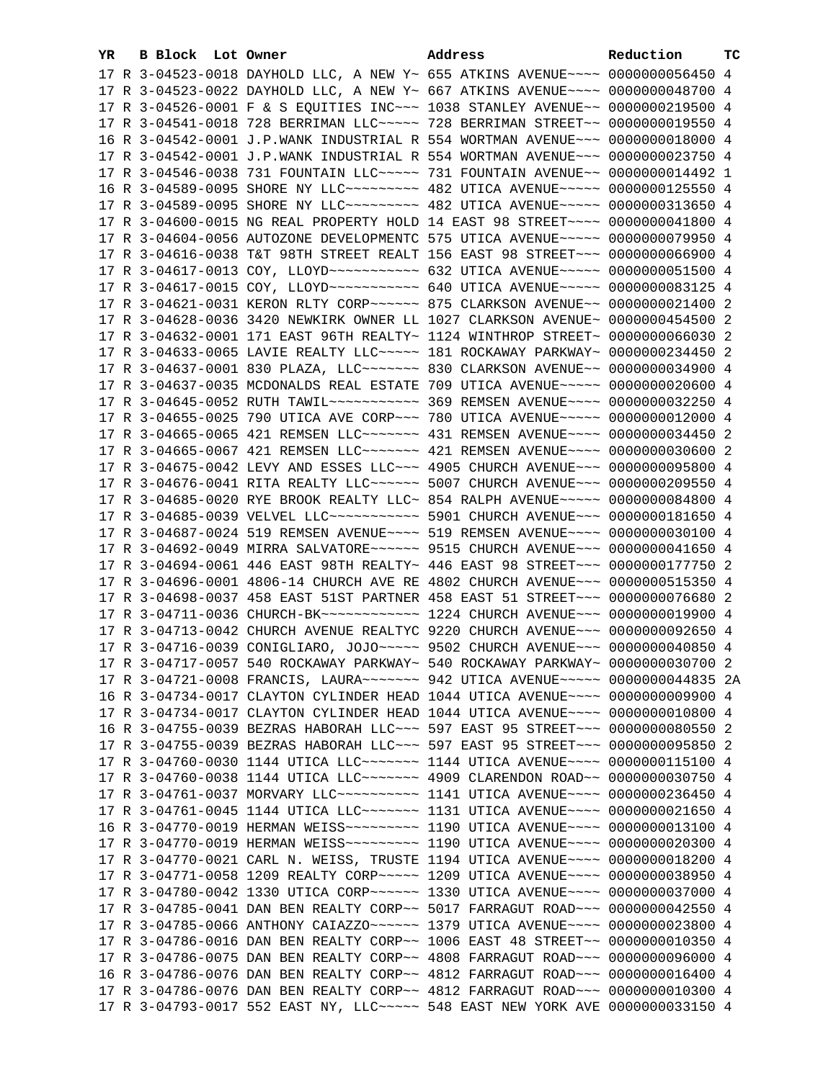| YR. | <b>B Block</b> Lot Owner |                                                                                                                                                                | Address | Reduction | тc |
|-----|--------------------------|----------------------------------------------------------------------------------------------------------------------------------------------------------------|---------|-----------|----|
|     |                          | 17 R 3-04523-0018 DAYHOLD LLC, A NEW Y~ 655 ATKINS AVENUE~~~~ 0000000056450 4                                                                                  |         |           |    |
|     |                          | 17 R 3-04523-0022 DAYHOLD LLC, A NEW Y~ 667 ATKINS AVENUE~~~~ 0000000048700 4                                                                                  |         |           |    |
|     |                          | 17 R 3-04526-0001 F & S EQUITIES INC~~~ 1038 STANLEY AVENUE~~ 0000000219500 4                                                                                  |         |           |    |
|     |                          | 17 R 3-04541-0018 728 BERRIMAN LLC ---- 728 BERRIMAN STREET -- 0000000019550 4                                                                                 |         |           |    |
|     |                          | 16 R 3-04542-0001 J.P.WANK INDUSTRIAL R 554 WORTMAN AVENUE~~~ 0000000018000 4                                                                                  |         |           |    |
|     |                          | 17 R 3-04542-0001 J.P.WANK INDUSTRIAL R 554 WORTMAN AVENUE~~~ 0000000023750 4                                                                                  |         |           |    |
|     |                          | 17 R 3-04546-0038 731 FOUNTAIN LLC ---- 731 FOUNTAIN AVENUE -- 0000000014492 1                                                                                 |         |           |    |
|     |                          | 16 R 3-04589-0095 SHORE NY LLC -------- 482 UTICA AVENUE ---- 0000000125550 4                                                                                  |         |           |    |
|     |                          | 17 R 3-04589-0095 SHORE NY LLC~~~~~~~~~~~~~~~~~~ A82 UTICA AVENUE~~~~~~ 0000000313650 4                                                                        |         |           |    |
|     |                          | 17 R 3-04600-0015 NG REAL PROPERTY HOLD 14 EAST 98 STREET~~~~ 0000000041800 4                                                                                  |         |           |    |
|     |                          | 17 R 3-04604-0056 AUTOZONE DEVELOPMENTC 575 UTICA AVENUE~~~~~ 0000000079950 4                                                                                  |         |           |    |
|     |                          | 17 R 3-04616-0038 T&T 98TH STREET REALT 156 EAST 98 STREET~~~ 0000000066900 4                                                                                  |         |           |    |
|     |                          | 17 R 3-04617-0013 COY, LLOYD ---------- 632 UTICA AVENUE----- 0000000051500 4                                                                                  |         |           |    |
|     |                          | 17 R 3-04617-0015 COY, LLOYD ----------- 640 UTICA AVENUE----- 0000000083125 4                                                                                 |         |           |    |
|     |                          | 17 R 3-04621-0031 KERON RLTY CORP~~~~~~ 875 CLARKSON AVENUE~~ 0000000021400 2                                                                                  |         |           |    |
|     |                          | 17 R 3-04628-0036 3420 NEWKIRK OWNER LL 1027 CLARKSON AVENUE~ 0000000454500 2                                                                                  |         |           |    |
|     |                          |                                                                                                                                                                |         |           |    |
|     |                          | 17 R 3-04632-0001 171 EAST 96TH REALTY~ 1124 WINTHROP STREET~ 0000000066030 2                                                                                  |         |           |    |
|     |                          | 17 R 3-04633-0065 LAVIE REALTY LLC ---- 181 ROCKAWAY PARKWAY ~ 0000000234450 2                                                                                 |         |           |    |
|     |                          | 17 R 3-04637-0001 830 PLAZA, LLC~~~~~~~~ 830 CLARKSON AVENUE~~ 0000000034900 4                                                                                 |         |           |    |
|     |                          | 17 R 3-04637-0035 MCDONALDS REAL ESTATE 709 UTICA AVENUE~~~~~ 0000000020600 4                                                                                  |         |           |    |
|     |                          | 17 R 3-04645-0052 RUTH TAWIL~~~~~~~~~~~~~~~~~~~~~~ ASS REMSEN AVENUE~~~~~ 00000000032250 4                                                                     |         |           |    |
|     |                          | 17 R 3-04655-0025 790 UTICA AVE CORP~~~ 780 UTICA AVENUE~~~~~ 0000000012000 4                                                                                  |         |           |    |
|     |                          | 17 R 3-04665-0065 421 REMSEN LLC ------ 431 REMSEN AVENUE---- 0000000034450 2                                                                                  |         |           |    |
|     |                          | 17 R 3-04665-0067 421 REMSEN LLC ------ 421 REMSEN AVENUE---- 0000000030600 2                                                                                  |         |           |    |
|     |                          | 17 R 3-04675-0042 LEVY AND ESSES LLC~~~ 4905 CHURCH AVENUE~~~ 0000000095800 4                                                                                  |         |           |    |
|     |                          | 17 R 3-04676-0041 RITA REALTY LLC ----- 5007 CHURCH AVENUE -- 0000000209550 4                                                                                  |         |           |    |
|     |                          | 17 R 3-04685-0020 RYE BROOK REALTY LLC~ 854 RALPH AVENUE~~~~~ 0000000084800 4                                                                                  |         |           |    |
|     |                          | 17 R 3-04685-0039 VELVEL LLC ----------- 5901 CHURCH AVENUE --- 0000000181650 4                                                                                |         |           |    |
|     |                          | 17 R 3-04687-0024 519 REMSEN AVENUE~~~~ 519 REMSEN AVENUE~~~~ 0000000030100 4                                                                                  |         |           |    |
|     |                          | 17 R 3-04692-0049 MIRRA SALVATORE~~~~~~ 9515 CHURCH AVENUE~~~ 0000000041650 4                                                                                  |         |           |    |
|     |                          | 17 R 3-04694-0061 446 EAST 98TH REALTY~ 446 EAST 98 STREET~~~ 0000000177750 2<br>17 R 3-04696-0001 4806-14 CHURCH AVE RE 4802 CHURCH AVENUE~~~ 0000000515350 4 |         |           |    |
|     |                          | 17 R 3-04698-0037 458 EAST 51ST PARTNER 458 EAST 51 STREET~~~ 0000000076680 2                                                                                  |         |           |    |
|     |                          | 17 R 3-04711-0036 CHURCH-BK ------------ 1224 CHURCH AVENUE --- 0000000019900 4                                                                                |         |           |    |
|     |                          | 17 R 3-04713-0042 CHURCH AVENUE REALTYC 9220 CHURCH AVENUE~~~ 0000000092650 4                                                                                  |         |           |    |
|     |                          | 17 R 3-04716-0039 CONIGLIARO, JOJO~~~~~ 9502 CHURCH AVENUE~~~ 0000000040850 4                                                                                  |         |           |    |
|     |                          | 17 R 3-04717-0057 540 ROCKAWAY PARKWAY~ 540 ROCKAWAY PARKWAY~ 0000000030700 2                                                                                  |         |           |    |
|     |                          | 17 R 3-04721-0008 FRANCIS, LAURA~~~~~~~ 942 UTICA AVENUE~~~~~ 0000000044835 2A                                                                                 |         |           |    |
|     |                          | 16 R 3-04734-0017 CLAYTON CYLINDER HEAD 1044 UTICA AVENUE~~~~ 0000000009900 4                                                                                  |         |           |    |
|     |                          | 17 R 3-04734-0017 CLAYTON CYLINDER HEAD 1044 UTICA AVENUE~~~~ 0000000010800 4                                                                                  |         |           |    |
|     |                          | 16 R 3-04755-0039 BEZRAS HABORAH LLC~~~ 597 EAST 95 STREET~~~ 0000000080550 2                                                                                  |         |           |    |
|     |                          | 17 R 3-04755-0039 BEZRAS HABORAH LLC~~~ 597 EAST 95 STREET~~~ 0000000095850 2                                                                                  |         |           |    |
|     |                          | 17 R 3-04760-0030 1144 UTICA LLC ------ 1144 UTICA AVENUE --- 0000000115100 4                                                                                  |         |           |    |
|     |                          | 17 R 3-04760-0038 1144 UTICA LLC~~~~~~~ 4909 CLARENDON ROAD~~ 0000000030750 4                                                                                  |         |           |    |
|     |                          | 17 R 3-04761-0037 MORVARY LLC ---------- 1141 UTICA AVENUE --- 0000000236450 4                                                                                 |         |           |    |
|     |                          | 17 R 3-04761-0045 1144 UTICA LLC ------- 1131 UTICA AVENUE --- 0000000021650 4                                                                                 |         |           |    |
|     |                          |                                                                                                                                                                |         |           |    |
|     |                          | 17 R 3-04770-0019 HERMAN WEISS~~~~~~~~~~~~~~ 1190 UTICA AVENUE~~~~~ 0000000020300 4                                                                            |         |           |    |
|     |                          | 17 R 3-04770-0021 CARL N. WEISS, TRUSTE 1194 UTICA AVENUE~~~~ 0000000018200 4                                                                                  |         |           |    |
|     |                          | 17 R 3-04771-0058 1209 REALTY CORP~~~~~ 1209 UTICA AVENUE~~~~ 0000000038950 4                                                                                  |         |           |    |
|     |                          | 17 R 3-04780-0042 1330 UTICA CORP~~~~~~ 1330 UTICA AVENUE~~~~ 0000000037000 4                                                                                  |         |           |    |
|     |                          | 17 R 3-04785-0041 DAN BEN REALTY CORP~~ 5017 FARRAGUT ROAD~~~ 0000000042550 4                                                                                  |         |           |    |
|     |                          | 17 R 3-04785-0066 ANTHONY CAIAZZO ~~~~~~~~~~~~~~~~~ 1379 UTICA AVENUE ~~~~~~~~~~~~~~~~~~~~~~~~~~~~~~                                                           |         |           |    |
|     |                          | 17 R 3-04786-0016 DAN BEN REALTY CORP~~ 1006 EAST 48 STREET~~ 0000000010350 4                                                                                  |         |           |    |
|     |                          | 17 R 3-04786-0075 DAN BEN REALTY CORP~~ 4808 FARRAGUT ROAD~~~ 0000000096000 4                                                                                  |         |           |    |
|     |                          | 16 R 3-04786-0076 DAN BEN REALTY CORP~~ 4812 FARRAGUT ROAD~~~ 0000000016400 4                                                                                  |         |           |    |
|     |                          | 17 R 3-04786-0076 DAN BEN REALTY CORP~~ 4812 FARRAGUT ROAD~~~ 0000000010300 4                                                                                  |         |           |    |
|     |                          | 17 R 3-04793-0017 552 EAST NY, LLC ---- 548 EAST NEW YORK AVE 0000000033150 4                                                                                  |         |           |    |
|     |                          |                                                                                                                                                                |         |           |    |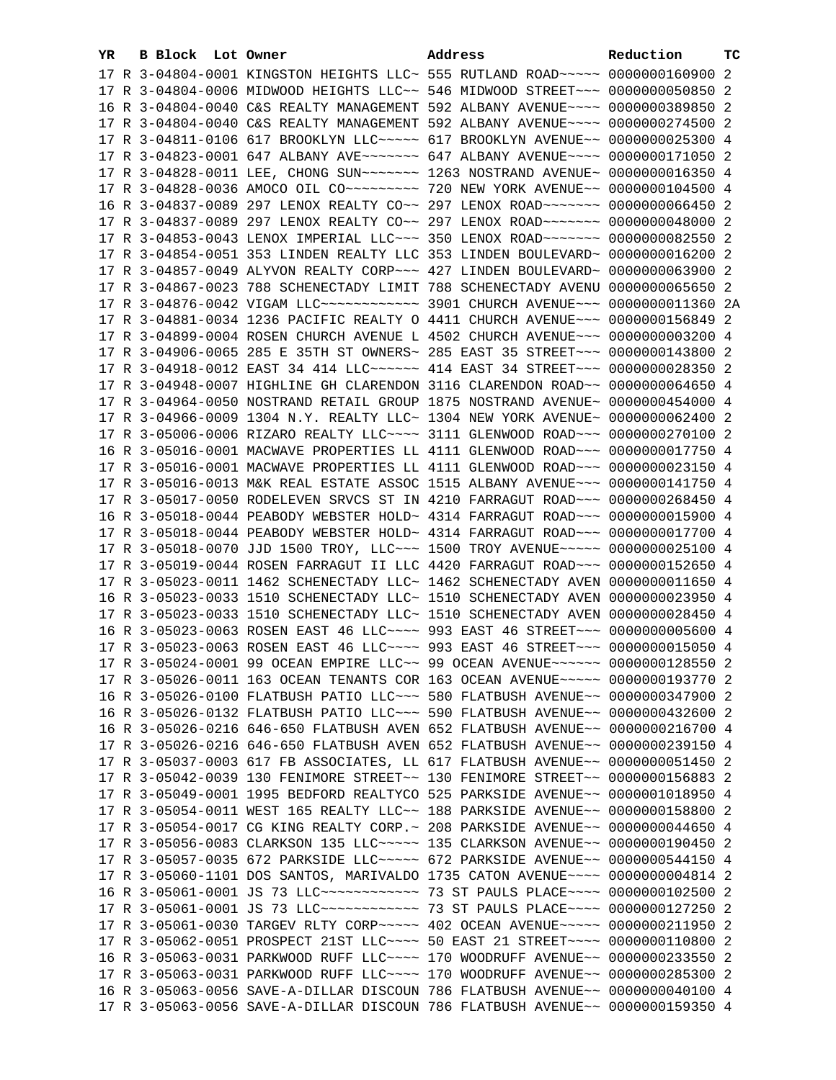| YR. | <b>B Block Lot Owner</b> |                                                                                  | Address | Reduction | тc |
|-----|--------------------------|----------------------------------------------------------------------------------|---------|-----------|----|
|     |                          | 17 R 3-04804-0001 KINGSTON HEIGHTS LLC~ 555 RUTLAND ROAD~~~~~ 0000000160900 2    |         |           |    |
|     |                          | 17 R 3-04804-0006 MIDWOOD HEIGHTS LLC~~ 546 MIDWOOD STREET~~~ 0000000050850 2    |         |           |    |
|     |                          | 16 R 3-04804-0040 C&S REALTY MANAGEMENT 592 ALBANY AVENUE~~~~ 0000000389850 2    |         |           |    |
|     |                          | 17 R 3-04804-0040 C&S REALTY MANAGEMENT 592 ALBANY AVENUE~~~~ 0000000274500 2    |         |           |    |
|     |                          | 17 R 3-04811-0106 617 BROOKLYN LLC ---- 617 BROOKLYN AVENUE -- 0000000025300 4   |         |           |    |
|     |                          | 17 R 3-04823-0001 647 ALBANY AVE~~~~~~~~ 647 ALBANY AVENUE~~~~ 0000000171050 2   |         |           |    |
|     |                          | 17 R 3-04828-0011 LEE, CHONG SUN~~~~~~~~ 1263 NOSTRAND AVENUE~ 0000000016350 4   |         |           |    |
|     |                          |                                                                                  |         |           |    |
|     |                          | 16 R 3-04837-0089 297 LENOX REALTY CO~~ 297 LENOX ROAD~~~~~~~ 0000000066450 2    |         |           |    |
|     |                          |                                                                                  |         |           |    |
|     |                          | 17 R 3-04837-0089 297 LENOX REALTY CO~~ 297 LENOX ROAD~~~~~~~ 0000000048000 2    |         |           |    |
|     |                          | 17 R 3-04853-0043 LENOX IMPERIAL LLC~~~ 350 LENOX ROAD~~~~~~~ 0000000082550 2    |         |           |    |
|     |                          | 17 R 3-04854-0051 353 LINDEN REALTY LLC 353 LINDEN BOULEVARD~ 0000000016200 2    |         |           |    |
|     |                          | 17 R 3-04857-0049 ALYVON REALTY CORP~~~ 427 LINDEN BOULEVARD~ 0000000063900 2    |         |           |    |
|     |                          | 17 R 3-04867-0023 788 SCHENECTADY LIMIT 788 SCHENECTADY AVENU 0000000065650 2    |         |           |    |
|     |                          | 17 R 3-04876-0042 VIGAM LLC ------------ 3901 CHURCH AVENUE --- 0000000011360 2A |         |           |    |
|     |                          | 17 R 3-04881-0034 1236 PACIFIC REALTY O 4411 CHURCH AVENUE~~~ 0000000156849 2    |         |           |    |
|     |                          | 17 R 3-04899-0004 ROSEN CHURCH AVENUE L 4502 CHURCH AVENUE~~~ 0000000003200 4    |         |           |    |
|     |                          | 17 R 3-04906-0065 285 E 35TH ST OWNERS~ 285 EAST 35 STREET~~~ 0000000143800 2    |         |           |    |
|     |                          | 17 R 3-04918-0012 EAST 34 414 LLC ----- 414 EAST 34 STREET -- 0000000028350 2    |         |           |    |
|     |                          | 17 R 3-04948-0007 HIGHLINE GH CLARENDON 3116 CLARENDON ROAD~~ 0000000064650 4    |         |           |    |
|     |                          | 17 R 3-04964-0050 NOSTRAND RETAIL GROUP 1875 NOSTRAND AVENUE~ 0000000454000 4    |         |           |    |
|     |                          | 17 R 3-04966-0009 1304 N.Y. REALTY LLC~ 1304 NEW YORK AVENUE~ 0000000062400 2    |         |           |    |
|     |                          | 17 R 3-05006-0006 RIZARO REALTY LLC~~~~ 3111 GLENWOOD ROAD~~~ 0000000270100 2    |         |           |    |
|     |                          | 16 R 3-05016-0001 MACWAVE PROPERTIES LL 4111 GLENWOOD ROAD~~~ 0000000017750 4    |         |           |    |
|     |                          | 17 R 3-05016-0001 MACWAVE PROPERTIES LL 4111 GLENWOOD ROAD~~~ 0000000023150 4    |         |           |    |
|     |                          | 17 R 3-05016-0013 M&K REAL ESTATE ASSOC 1515 ALBANY AVENUE~~~ 0000000141750 4    |         |           |    |
|     |                          | 17 R 3-05017-0050 RODELEVEN SRVCS ST IN 4210 FARRAGUT ROAD~~~ 0000000268450 4    |         |           |    |
|     |                          | 16 R 3-05018-0044 PEABODY WEBSTER HOLD~ 4314 FARRAGUT ROAD~~~ 0000000015900 4    |         |           |    |
|     |                          | 17 R 3-05018-0044 PEABODY WEBSTER HOLD~ 4314 FARRAGUT ROAD~~~ 0000000017700 4    |         |           |    |
|     |                          | 17 R 3-05018-0070 JJD 1500 TROY, LLC -- 1500 TROY AVENUE --- 0000000025100 4     |         |           |    |
|     |                          | 17 R 3-05019-0044 ROSEN FARRAGUT II LLC 4420 FARRAGUT ROAD~~~ 0000000152650 4    |         |           |    |
|     |                          | 17 R 3-05023-0011 1462 SCHENECTADY LLC~ 1462 SCHENECTADY AVEN 0000000011650 4    |         |           |    |
|     |                          | 16 R 3-05023-0033 1510 SCHENECTADY LLC~ 1510 SCHENECTADY AVEN 0000000023950 4    |         |           |    |
|     |                          | 17 R 3-05023-0033 1510 SCHENECTADY LLC~ 1510 SCHENECTADY AVEN 0000000028450 4    |         |           |    |
|     |                          | 16 R 3-05023-0063 ROSEN EAST 46 LLC --- 993 EAST 46 STREET -- 00000000005600 4   |         |           |    |
|     |                          | 17 R 3-05023-0063 ROSEN EAST 46 LLC --- 993 EAST 46 STREET -- 0000000015050 4    |         |           |    |
|     |                          | 17 R 3-05024-0001 99 OCEAN EMPIRE LLC~~ 99 OCEAN AVENUE~~~~~~ 0000000128550 2    |         |           |    |
|     |                          | 17 R 3-05026-0011 163 OCEAN TENANTS COR 163 OCEAN AVENUE~~~~~ 0000000193770 2    |         |           |    |
|     |                          | 16 R 3-05026-0100 FLATBUSH PATIO LLC~~~ 580 FLATBUSH AVENUE~~ 0000000347900 2    |         |           |    |
|     |                          | 16 R 3-05026-0132 FLATBUSH PATIO LLC~~~ 590 FLATBUSH AVENUE~~ 0000000432600 2    |         |           |    |
|     |                          | 16 R 3-05026-0216 646-650 FLATBUSH AVEN 652 FLATBUSH AVENUE~~ 0000000216700 4    |         |           |    |
|     |                          | 17 R 3-05026-0216 646-650 FLATBUSH AVEN 652 FLATBUSH AVENUE~~ 0000000239150 4    |         |           |    |
|     |                          | 17 R 3-05037-0003 617 FB ASSOCIATES, LL 617 FLATBUSH AVENUE~~ 0000000051450 2    |         |           |    |
|     |                          | 17 R 3-05042-0039 130 FENIMORE STREET~~ 130 FENIMORE STREET~~ 0000000156883 2    |         |           |    |
|     |                          | 17 R 3-05049-0001 1995 BEDFORD REALTYCO 525 PARKSIDE AVENUE~~ 0000001018950 4    |         |           |    |
|     |                          | 17 R 3-05054-0011 WEST 165 REALTY LLC~~ 188 PARKSIDE AVENUE~~ 0000000158800 2    |         |           |    |
|     |                          | 17 R 3-05054-0017 CG KING REALTY CORP.~ 208 PARKSIDE AVENUE~~ 0000000044650 4    |         |           |    |
|     |                          | 17 R 3-05056-0083 CLARKSON 135 LLC ---- 135 CLARKSON AVENUE -- 0000000190450 2   |         |           |    |
|     |                          | 17 R 3-05057-0035 672 PARKSIDE LLC ---- 672 PARKSIDE AVENUE -- 0000000544150 4   |         |           |    |
|     |                          | 17 R 3-05060-1101 DOS SANTOS, MARIVALDO 1735 CATON AVENUE~~~~ 0000000004814 2    |         |           |    |
|     |                          | 16 R 3-05061-0001 JS 73 LLC ------------- 73 ST PAULS PLACE --- 0000000102500 2  |         |           |    |
|     |                          | 17 R 3-05061-0001 JS 73 LLC ------------ 73 ST PAULS PLACE --- 0000000127250 2   |         |           |    |
|     |                          | 17 R 3-05061-0030 TARGEV RLTY CORP~~~~~ 402 OCEAN AVENUE~~~~~ 0000000211950 2    |         |           |    |
|     |                          | 17 R 3-05062-0051 PROSPECT 21ST LLC~~~~ 50 EAST 21 STREET~~~~ 0000000110800 2    |         |           |    |
|     |                          | 16 R 3-05063-0031 PARKWOOD RUFF LLC~~~~ 170 WOODRUFF AVENUE~~ 0000000233550 2    |         |           |    |
|     |                          | 17 R 3-05063-0031 PARKWOOD RUFF LLC~~~~ 170 WOODRUFF AVENUE~~ 0000000285300 2    |         |           |    |
|     |                          | 16 R 3-05063-0056 SAVE-A-DILLAR DISCOUN 786 FLATBUSH AVENUE~~ 0000000040100 4    |         |           |    |
|     |                          | 17 R 3-05063-0056 SAVE-A-DILLAR DISCOUN 786 FLATBUSH AVENUE~~ 0000000159350 4    |         |           |    |
|     |                          |                                                                                  |         |           |    |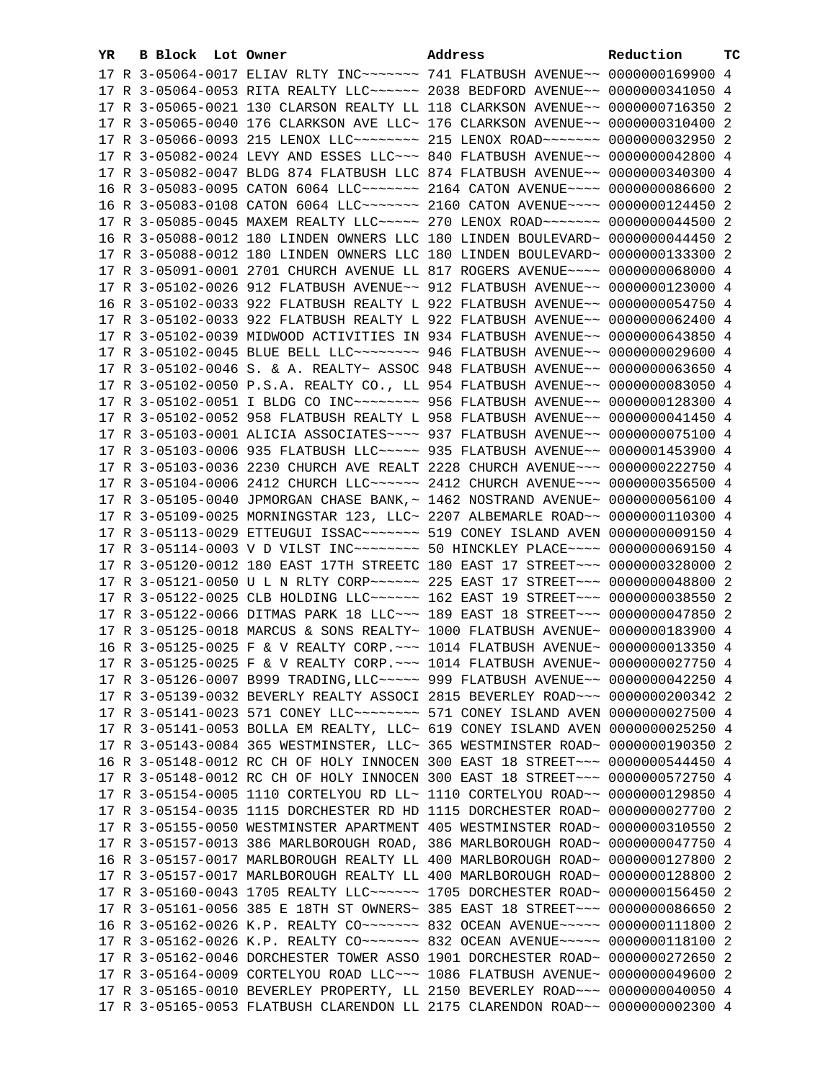| YR. | B Block Lot Owner | Address                                                                             | Reduction | тc |
|-----|-------------------|-------------------------------------------------------------------------------------|-----------|----|
|     |                   | 17 R 3-05064-0017 ELIAV RLTY INC~~~~~~~ 741 FLATBUSH AVENUE~~ 0000000169900 4       |           |    |
|     |                   | 17 R 3-05064-0053 RITA REALTY LLC ~~~~~~ 2038 BEDFORD AVENUE ~~ 0000000341050 4     |           |    |
|     |                   | 17 R 3-05065-0021 130 CLARSON REALTY LL 118 CLARKSON AVENUE~~ 0000000716350 2       |           |    |
|     |                   | 17 R 3-05065-0040 176 CLARKSON AVE LLC~ 176 CLARKSON AVENUE~~ 0000000310400 2       |           |    |
|     |                   | 17 R 3-05066-0093 215 LENOX LLC ------- 215 LENOX ROAD ------ 0000000032950 2       |           |    |
|     |                   | 17 R 3-05082-0024 LEVY AND ESSES LLC~~~ 840 FLATBUSH AVENUE~~ 0000000042800 4       |           |    |
|     |                   | 17 R 3-05082-0047 BLDG 874 FLATBUSH LLC 874 FLATBUSH AVENUE~~ 0000000340300 4       |           |    |
|     |                   | 16 R 3-05083-0095 CATON 6064 LLC ------ 2164 CATON AVENUE --- 0000000086600 2       |           |    |
|     |                   | 16 R 3-05083-0108 CATON 6064 LLC ------ 2160 CATON AVENUE---- 0000000124450 2       |           |    |
|     |                   | 17 R 3-05085-0045 MAXEM REALTY LLC ---- 270 LENOX ROAD ----- 0000000044500 2        |           |    |
|     |                   | 16 R 3-05088-0012 180 LINDEN OWNERS LLC 180 LINDEN BOULEVARD~ 0000000044450 2       |           |    |
|     |                   |                                                                                     |           |    |
|     |                   | 17 R 3-05088-0012 180 LINDEN OWNERS LLC 180 LINDEN BOULEVARD~ 0000000133300 2       |           |    |
|     |                   | 17 R 3-05091-0001 2701 CHURCH AVENUE LL 817 ROGERS AVENUE~~~~ 0000000068000 4       |           |    |
|     |                   | 17 R 3-05102-0026 912 FLATBUSH AVENUE~~ 912 FLATBUSH AVENUE~~ 0000000123000 4       |           |    |
|     |                   | 16 R 3-05102-0033 922 FLATBUSH REALTY L 922 FLATBUSH AVENUE~~ 0000000054750 4       |           |    |
|     |                   | 17 R 3-05102-0033 922 FLATBUSH REALTY L 922 FLATBUSH AVENUE~~ 0000000062400 4       |           |    |
|     |                   | 17 R 3-05102-0039 MIDWOOD ACTIVITIES IN 934 FLATBUSH AVENUE~~ 0000000643850 4       |           |    |
|     |                   | 17 R 3-05102-0045 BLUE BELL LLC ------- 946 FLATBUSH AVENUE -- 0000000029600 4      |           |    |
|     |                   | 17 R 3-05102-0046 S. & A. REALTY~ ASSOC 948 FLATBUSH AVENUE~~ 0000000063650 4       |           |    |
|     |                   | 17 R 3-05102-0050 P.S.A. REALTY CO., LL 954 FLATBUSH AVENUE~~ 0000000083050 4       |           |    |
|     |                   | 17 R 3-05102-0051 I BLDG CO INC~~~~~~~~~ 956 FLATBUSH AVENUE~~ 0000000128300 4      |           |    |
|     |                   | 17 R 3-05102-0052 958 FLATBUSH REALTY L 958 FLATBUSH AVENUE~~ 0000000041450 4       |           |    |
|     |                   | 17 R 3-05103-0001 ALICIA ASSOCIATES~~~~ 937 FLATBUSH AVENUE~~ 0000000075100 4       |           |    |
|     |                   | 17 R 3-05103-0006 935 FLATBUSH LLC ---- 935 FLATBUSH AVENUE -- 0000001453900 4      |           |    |
|     |                   | 17 R 3-05103-0036 2230 CHURCH AVE REALT 2228 CHURCH AVENUE~~~ 0000000222750 4       |           |    |
|     |                   | 17 R 3-05104-0006 2412 CHURCH LLC ----- 2412 CHURCH AVENUE -- 0000000356500 4       |           |    |
|     |                   | 17 R 3-05105-0040 JPMORGAN CHASE BANK, ~ 1462 NOSTRAND AVENUE~ 0000000056100 4      |           |    |
|     |                   | 17 R 3-05109-0025 MORNINGSTAR 123, LLC~ 2207 ALBEMARLE ROAD~~ 0000000110300 4       |           |    |
|     |                   | 17 R 3-05113-0029 ETTEUGUI ISSAC~~~~~~~~~~~~ 519 CONEY ISLAND AVEN 0000000009150 4  |           |    |
|     |                   | 17 R 3-05114-0003 V D VILST INC~~~~~~~~~~~~~ 50 HINCKLEY PLACE~~~~~ 0000000069150 4 |           |    |
|     |                   | 17 R 3-05120-0012 180 EAST 17TH STREETC 180 EAST 17 STREET~~~ 0000000328000 2       |           |    |
|     |                   | 17 R 3-05121-0050 U L N RLTY CORP~~~~~~ 225 EAST 17 STREET~~~ 0000000048800 2       |           |    |
|     |                   | 17 R 3-05122-0025 CLB HOLDING LLC ~~~~~~ 162 EAST 19 STREET ~~~ 0000000038550 2     |           |    |
|     |                   | 17 R 3-05122-0066 DITMAS PARK 18 LLC ~~~ 189 EAST 18 STREET ~~~ 0000000047850 2     |           |    |
|     |                   | 17 R 3-05125-0018 MARCUS & SONS REALTY~ 1000 FLATBUSH AVENUE~ 0000000183900 4       |           |    |
|     |                   | 16 R 3-05125-0025 F & V REALTY CORP. ~~~ 1014 FLATBUSH AVENUE~ 0000000013350 4      |           |    |
|     |                   | 17 R 3-05125-0025 F & V REALTY CORP. ~~~ 1014 FLATBUSH AVENUE~ 0000000027750 4      |           |    |
|     |                   | 17 R 3-05126-0007 B999 TRADING, LLC ~~~~~ 999 FLATBUSH AVENUE ~~ 0000000042250 4    |           |    |
|     |                   | 17 R 3-05139-0032 BEVERLY REALTY ASSOCI 2815 BEVERLEY ROAD~~~ 0000000200342 2       |           |    |
|     |                   | 17 R 3-05141-0023 571 CONEY LLC -------- 571 CONEY ISLAND AVEN 0000000027500 4      |           |    |
|     |                   | 17 R 3-05141-0053 BOLLA EM REALTY, LLC~ 619 CONEY ISLAND AVEN 0000000025250 4       |           |    |
|     |                   | 17 R 3-05143-0084 365 WESTMINSTER, LLC~ 365 WESTMINSTER ROAD~ 0000000190350 2       |           |    |
|     |                   | 16 R 3-05148-0012 RC CH OF HOLY INNOCEN 300 EAST 18 STREET~~~ 0000000544450 4       |           |    |
|     |                   | 17 R 3-05148-0012 RC CH OF HOLY INNOCEN 300 EAST 18 STREET~~~ 0000000572750 4       |           |    |
|     |                   | 17 R 3-05154-0005 1110 CORTELYOU RD LL~ 1110 CORTELYOU ROAD~~ 0000000129850 4       |           |    |
|     |                   | 17 R 3-05154-0035 1115 DORCHESTER RD HD 1115 DORCHESTER ROAD~ 0000000027700 2       |           |    |
|     |                   | 17 R 3-05155-0050 WESTMINSTER APARTMENT 405 WESTMINSTER ROAD~ 0000000310550 2       |           |    |
|     |                   | 17 R 3-05157-0013 386 MARLBOROUGH ROAD, 386 MARLBOROUGH ROAD~ 0000000047750 4       |           |    |
|     |                   | 16 R 3-05157-0017 MARLBOROUGH REALTY LL 400 MARLBOROUGH ROAD~ 0000000127800 2       |           |    |
|     |                   | 17 R 3-05157-0017 MARLBOROUGH REALTY LL 400 MARLBOROUGH ROAD~ 0000000128800 2       |           |    |
|     |                   | 17 R 3-05160-0043 1705 REALTY LLC ----- 1705 DORCHESTER ROAD ~ 0000000156450 2      |           |    |
|     |                   | 17 R 3-05161-0056 385 E 18TH ST OWNERS~ 385 EAST 18 STREET~~~ 0000000086650 2       |           |    |
|     |                   | 16 R 3-05162-0026 K.P. REALTY CO ------ 832 OCEAN AVENUE ---- 0000000111800 2       |           |    |
|     |                   | 17 R 3-05162-0026 K.P. REALTY CO ------ 832 OCEAN AVENUE ---- 0000000118100 2       |           |    |
|     |                   | 17 R 3-05162-0046 DORCHESTER TOWER ASSO 1901 DORCHESTER ROAD~ 0000000272650 2       |           |    |
|     |                   | 17 R 3-05164-0009 CORTELYOU ROAD LLC~~~ 1086 FLATBUSH AVENUE~ 0000000049600 2       |           |    |
|     |                   | 17 R 3-05165-0010 BEVERLEY PROPERTY, LL 2150 BEVERLEY ROAD~~~ 0000000040050 4       |           |    |
|     |                   | 17 R 3-05165-0053 FLATBUSH CLARENDON LL 2175 CLARENDON ROAD~~ 0000000002300 4       |           |    |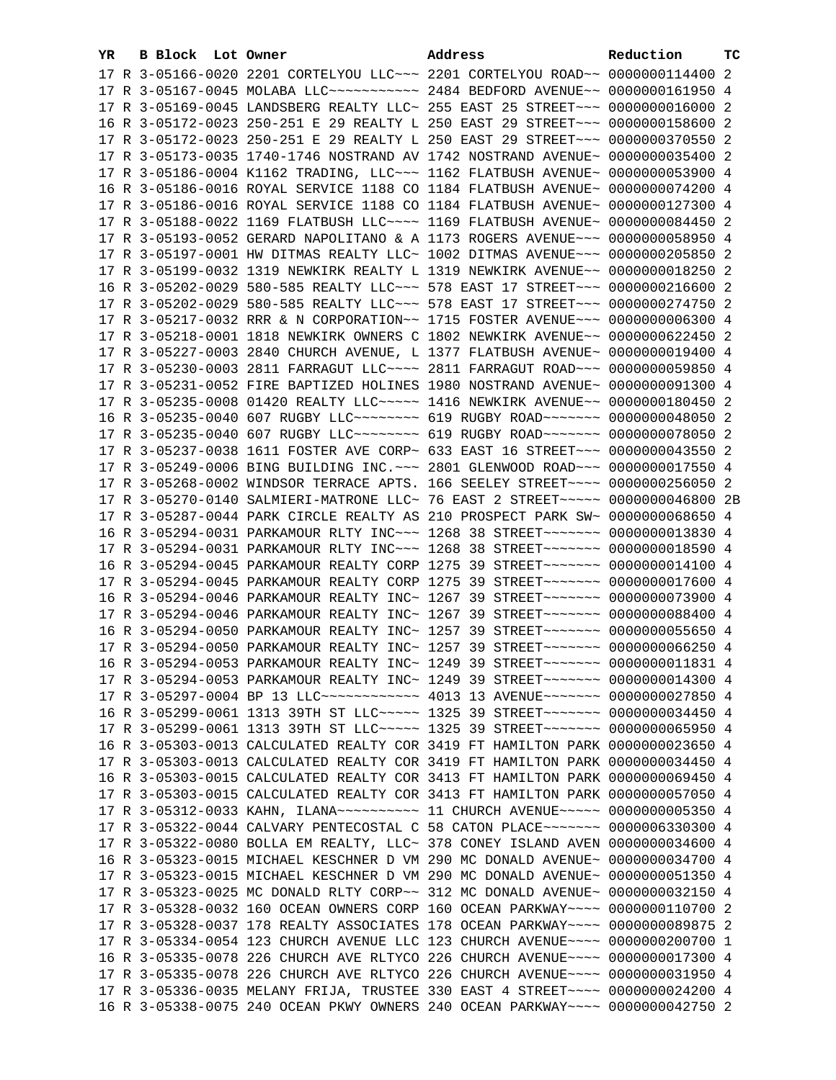| YR. | B Block Lot Owner |  | Address                                                                             | Reduction | тc |
|-----|-------------------|--|-------------------------------------------------------------------------------------|-----------|----|
|     |                   |  | 17 R 3-05166-0020 2201 CORTELYOU LLC~~~ 2201 CORTELYOU ROAD~~ 0000000114400 2       |           |    |
|     |                   |  | 17 R 3-05167-0045 MOLABA LLC ----------- 2484 BEDFORD AVENUE -- 0000000161950 4     |           |    |
|     |                   |  | 17 R 3-05169-0045 LANDSBERG REALTY LLC~ 255 EAST 25 STREET~~~ 0000000016000 2       |           |    |
|     |                   |  | 16 R 3-05172-0023 250-251 E 29 REALTY L 250 EAST 29 STREET~~~ 0000000158600 2       |           |    |
|     |                   |  | 17 R 3-05172-0023 250-251 E 29 REALTY L 250 EAST 29 STREET~~~ 0000000370550 2       |           |    |
|     |                   |  | 17 R 3-05173-0035 1740-1746 NOSTRAND AV 1742 NOSTRAND AVENUE~ 0000000035400 2       |           |    |
|     |                   |  | 17 R 3-05186-0004 K1162 TRADING, LLC -- 1162 FLATBUSH AVENUE ~ 0000000053900 4      |           |    |
|     |                   |  | 16 R 3-05186-0016 ROYAL SERVICE 1188 CO 1184 FLATBUSH AVENUE~ 0000000074200 4       |           |    |
|     |                   |  | 17 R 3-05186-0016 ROYAL SERVICE 1188 CO 1184 FLATBUSH AVENUE~ 0000000127300 4       |           |    |
|     |                   |  | 17 R 3-05188-0022 1169 FLATBUSH LLC~~~~ 1169 FLATBUSH AVENUE~ 0000000084450 2       |           |    |
|     |                   |  | 17 R 3-05193-0052 GERARD NAPOLITANO & A 1173 ROGERS AVENUE~~~ 0000000058950 4       |           |    |
|     |                   |  | 17 R 3-05197-0001 HW DITMAS REALTY LLC~ 1002 DITMAS AVENUE~~~ 0000000205850 2       |           |    |
|     |                   |  | 17 R 3-05199-0032 1319 NEWKIRK REALTY L 1319 NEWKIRK AVENUE~~ 0000000018250 2       |           |    |
|     |                   |  | 16 R 3-05202-0029 580-585 REALTY LLC -~~ 578 EAST 17 STREET -~~ 0000000216600 2     |           |    |
|     |                   |  | 17 R 3-05202-0029 580-585 REALTY LLC -- 578 EAST 17 STREET -- 0000000274750 2       |           |    |
|     |                   |  | 17 R 3-05217-0032 RRR & N CORPORATION~~ 1715 FOSTER AVENUE~~~ 0000000006300 4       |           |    |
|     |                   |  | 17 R 3-05218-0001 1818 NEWKIRK OWNERS C 1802 NEWKIRK AVENUE~~ 0000000622450 2       |           |    |
|     |                   |  | 17 R 3-05227-0003 2840 CHURCH AVENUE, L 1377 FLATBUSH AVENUE~ 0000000019400 4       |           |    |
|     |                   |  | 17 R 3-05230-0003 2811 FARRAGUT LLC~~~~ 2811 FARRAGUT ROAD~~~ 0000000059850 4       |           |    |
|     |                   |  | 17 R 3-05231-0052 FIRE BAPTIZED HOLINES 1980 NOSTRAND AVENUE~ 0000000091300 4       |           |    |
|     |                   |  | 17 R 3-05235-0008 01420 REALTY LLC ---- 1416 NEWKIRK AVENUE -- 0000000180450 2      |           |    |
|     |                   |  | 16 R 3-05235-0040 607 RUGBY LLC ------- 619 RUGBY ROAD ------ 0000000048050 2       |           |    |
|     |                   |  | 17 R 3-05235-0040 607 RUGBY LLC -------- 619 RUGBY ROAD ------ 0000000078050 2      |           |    |
|     |                   |  | 17 R 3-05237-0038 1611 FOSTER AVE CORP~ 633 EAST 16 STREET~~~ 0000000043550 2       |           |    |
|     |                   |  | 17 R 3-05249-0006 BING BUILDING INC. ~~~ 2801 GLENWOOD ROAD ~~~ 0000000017550 4     |           |    |
|     |                   |  | 17 R 3-05268-0002 WINDSOR TERRACE APTS. 166 SEELEY STREET~~~~ 0000000256050 2       |           |    |
|     |                   |  | 17 R 3-05270-0140 SALMIERI-MATRONE LLC~ 76 EAST 2 STREET~~~~~ 0000000046800 2B      |           |    |
|     |                   |  | 17 R 3-05287-0044 PARK CIRCLE REALTY AS 210 PROSPECT PARK SW~ 0000000068650 4       |           |    |
|     |                   |  | 16 R 3-05294-0031 PARKAMOUR RLTY INC~~~ 1268 38 STREET~~~~~~~ 0000000013830 4       |           |    |
|     |                   |  | 17 R 3-05294-0031 PARKAMOUR RLTY INC~~~ 1268 38 STREET~~~~~~~ 0000000018590 4       |           |    |
|     |                   |  | 16 R 3-05294-0045 PARKAMOUR REALTY CORP 1275 39 STREET~~~~~~~~ 0000000014100 4      |           |    |
|     |                   |  | 17 R 3-05294-0045 PARKAMOUR REALTY CORP 1275 39 STREET~~~~~~~~ 0000000017600 4      |           |    |
|     |                   |  | 16 R 3-05294-0046 PARKAMOUR REALTY INC~ 1267 39 STREET~~~~~~~~ 0000000073900 4      |           |    |
|     |                   |  | 17 R 3-05294-0046 PARKAMOUR REALTY INC~ 1267 39 STREET~~~~~~~~ 0000000088400 4      |           |    |
|     |                   |  | 16 R 3-05294-0050 PARKAMOUR REALTY INC~ 1257 39 STREET~~~~~~~~ 0000000055650 4      |           |    |
|     |                   |  | 17 R 3-05294-0050 PARKAMOUR REALTY INC~ 1257 39 STREET~~~~~~~ 0000000066250 4       |           |    |
|     |                   |  | 16 R 3-05294-0053 PARKAMOUR REALTY INC~ 1249 39 STREET~~~~~~~ 0000000011831 4       |           |    |
|     |                   |  | 17 R 3-05294-0053 PARKAMOUR REALTY INC~ 1249 39 STREET~~~~~~~ 0000000014300 4       |           |    |
|     |                   |  | 17 R 3-05297-0004 BP 13 LLC ------------ 4013 13 AVENUE------- 0000000027850 4      |           |    |
|     |                   |  | 16 R 3-05299-0061 1313 39TH ST LLC ---- 1325 39 STREET ------ 0000000034450 4       |           |    |
|     |                   |  | 17 R 3-05299-0061 1313 39TH ST LLC ---- 1325 39 STREET ----- 0000000065950 4        |           |    |
|     |                   |  | 16 R 3-05303-0013 CALCULATED REALTY COR 3419 FT HAMILTON PARK 0000000023650 4       |           |    |
|     |                   |  | 17 R 3-05303-0013 CALCULATED REALTY COR 3419 FT HAMILTON PARK 0000000034450 4       |           |    |
|     |                   |  | 16 R 3-05303-0015 CALCULATED REALTY COR 3413 FT HAMILTON PARK 0000000069450 4       |           |    |
|     |                   |  | 17 R 3-05303-0015 CALCULATED REALTY COR 3413 FT HAMILTON PARK 0000000057050 4       |           |    |
|     |                   |  | 17 R 3-05312-0033 KAHN, ILANA~~~~~~~~~~~~~~~ 11 CHURCH AVENUE~~~~~~ 0000000005350 4 |           |    |
|     |                   |  | 17 R 3-05322-0044 CALVARY PENTECOSTAL C 58 CATON PLACE~~~~~~~ 0000006330300 4       |           |    |
|     |                   |  | 17 R 3-05322-0080 BOLLA EM REALTY, LLC~ 378 CONEY ISLAND AVEN 0000000034600 4       |           |    |
|     |                   |  | 16 R 3-05323-0015 MICHAEL KESCHNER D VM 290 MC DONALD AVENUE~ 0000000034700 4       |           |    |
|     |                   |  | 17 R 3-05323-0015 MICHAEL KESCHNER D VM 290 MC DONALD AVENUE~ 0000000051350 4       |           |    |
|     |                   |  | 17 R 3-05323-0025 MC DONALD RLTY CORP~~ 312 MC DONALD AVENUE~ 0000000032150 4       |           |    |
|     |                   |  | 17 R 3-05328-0032 160 OCEAN OWNERS CORP 160 OCEAN PARKWAY~~~~ 0000000110700 2       |           |    |
|     |                   |  | 17 R 3-05328-0037 178 REALTY ASSOCIATES 178 OCEAN PARKWAY~~~~ 0000000089875 2       |           |    |
|     |                   |  | 17 R 3-05334-0054 123 CHURCH AVENUE LLC 123 CHURCH AVENUE~~~~ 0000000200700 1       |           |    |
|     |                   |  | 16 R 3-05335-0078 226 CHURCH AVE RLTYCO 226 CHURCH AVENUE~~~~ 0000000017300 4       |           |    |
|     |                   |  | 17 R 3-05335-0078 226 CHURCH AVE RLTYCO 226 CHURCH AVENUE~~~~ 0000000031950 4       |           |    |
|     |                   |  | 17 R 3-05336-0035 MELANY FRIJA, TRUSTEE 330 EAST 4 STREET~~~~ 0000000024200 4       |           |    |
|     |                   |  | 16 R 3-05338-0075 240 OCEAN PKWY OWNERS 240 OCEAN PARKWAY~~~~ 0000000042750 2       |           |    |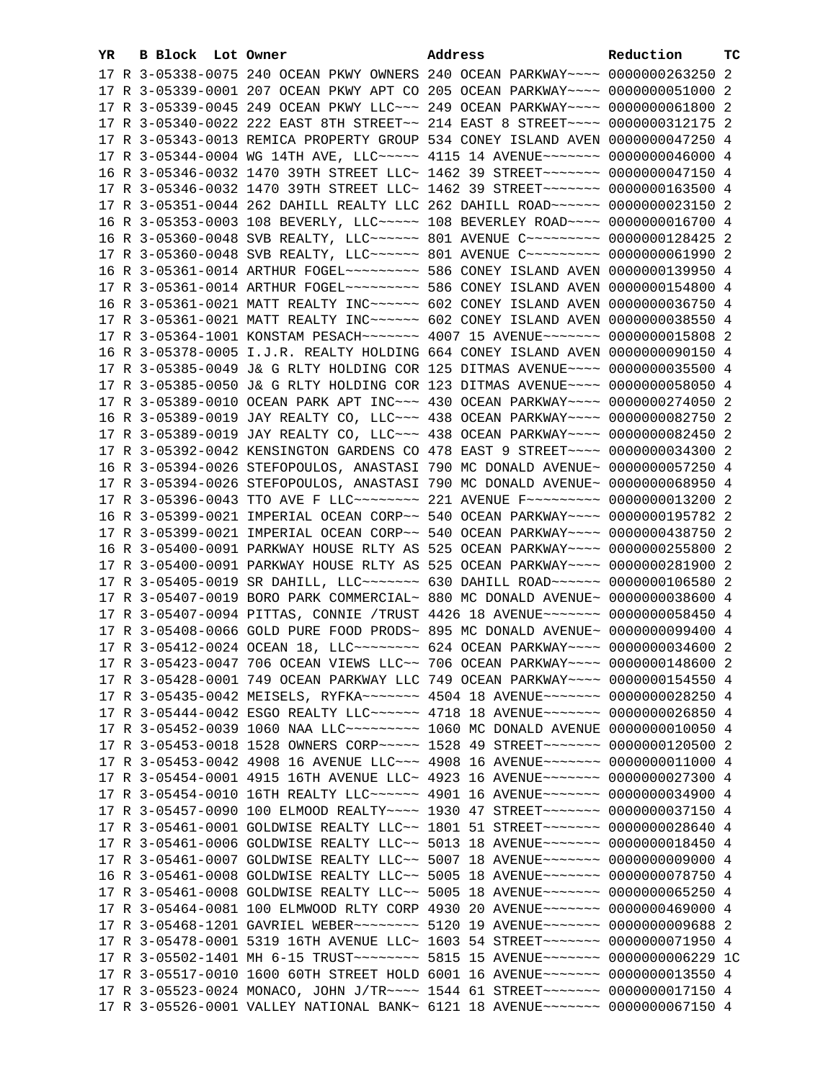| YR. | B Block Lot Owner | Address                                                                            | Reduction | тc |
|-----|-------------------|------------------------------------------------------------------------------------|-----------|----|
|     |                   | 17 R 3-05338-0075 240 OCEAN PKWY OWNERS 240 OCEAN PARKWAY~~~~ 0000000263250 2      |           |    |
|     |                   | 17 R 3-05339-0001 207 OCEAN PKWY APT CO 205 OCEAN PARKWAY~~~~ 0000000051000 2      |           |    |
|     |                   | 17 R 3-05339-0045 249 OCEAN PKWY LLC~~~ 249 OCEAN PARKWAY~~~~ 0000000061800 2      |           |    |
|     |                   | 17 R 3-05340-0022 222 EAST 8TH STREET~~ 214 EAST 8 STREET~~~~ 0000000312175 2      |           |    |
|     |                   | 17 R 3-05343-0013 REMICA PROPERTY GROUP 534 CONEY ISLAND AVEN 0000000047250 4      |           |    |
|     |                   | 17 R 3-05344-0004 WG 14TH AVE, LLC ---- 4115 14 AVENUE ------ 0000000046000 4      |           |    |
|     |                   | 16 R 3-05346-0032 1470 39TH STREET LLC~ 1462 39 STREET~~~~~~~~ 0000000047150 4     |           |    |
|     |                   |                                                                                    |           |    |
|     |                   | 17 R 3-05346-0032 1470 39TH STREET LLC~ 1462 39 STREET~~~~~~~~ 0000000163500 4     |           |    |
|     |                   | 17 R 3-05351-0044 262 DAHILL REALTY LLC 262 DAHILL ROAD~~~~~~ 0000000023150 2      |           |    |
|     |                   | 16 R 3-05353-0003 108 BEVERLY, LLC ---- 108 BEVERLEY ROAD --- 0000000016700 4      |           |    |
|     |                   | 16 R 3-05360-0048 SVB REALTY, LLC ----- 801 AVENUE C -------- 0000000128425 2      |           |    |
|     |                   | 17 R 3-05360-0048 SVB REALTY, LLC ----- 801 AVENUE C --------- 0000000061990 2     |           |    |
|     |                   | 16 R 3-05361-0014 ARTHUR FOGEL~~~~~~~~~~~~~~ 586 CONEY ISLAND AVEN 0000000139950 4 |           |    |
|     |                   | 17 R 3-05361-0014 ARTHUR FOGEL~~~~~~~~~~~~~~ 586 CONEY ISLAND AVEN 0000000154800 4 |           |    |
|     |                   | 16 R 3-05361-0021 MATT REALTY INC ----- 602 CONEY ISLAND AVEN 0000000036750 4      |           |    |
|     |                   | 17 R 3-05361-0021 MATT REALTY INC ----- 602 CONEY ISLAND AVEN 0000000038550 4      |           |    |
|     |                   | 17 R 3-05364-1001 KONSTAM PESACH~~~~~~~~ 4007 15 AVENUE~~~~~~~ 0000000015808 2     |           |    |
|     |                   | 16 R 3-05378-0005 I.J.R. REALTY HOLDING 664 CONEY ISLAND AVEN 0000000090150 4      |           |    |
|     |                   | 17 R 3-05385-0049 J& G RLTY HOLDING COR 125 DITMAS AVENUE~~~~ 0000000035500 4      |           |    |
|     |                   | 17 R 3-05385-0050 J& G RLTY HOLDING COR 123 DITMAS AVENUE~~~~ 0000000058050 4      |           |    |
|     |                   | 17 R 3-05389-0010 OCEAN PARK APT INC~~~ 430 OCEAN PARKWAY~~~~ 0000000274050 2      |           |    |
|     |                   | 16 R 3-05389-0019 JAY REALTY CO, LLC~~~ 438 OCEAN PARKWAY~~~~ 0000000082750 2      |           |    |
|     |                   | 17 R 3-05389-0019 JAY REALTY CO, LLC~~~ 438 OCEAN PARKWAY~~~~ 0000000082450 2      |           |    |
|     |                   | 17 R 3-05392-0042 KENSINGTON GARDENS CO 478 EAST 9 STREET~~~~ 0000000034300 2      |           |    |
|     |                   | 16 R 3-05394-0026 STEFOPOULOS, ANASTASI 790 MC DONALD AVENUE~ 0000000057250 4      |           |    |
|     |                   | 17 R 3-05394-0026 STEFOPOULOS, ANASTASI 790 MC DONALD AVENUE~ 0000000068950 4      |           |    |
|     |                   | 17 R 3-05396-0043 TTO AVE F LLC ------- 221 AVENUE F -------- 0000000013200 2      |           |    |
|     |                   | 16 R 3-05399-0021 IMPERIAL OCEAN CORP~~ 540 OCEAN PARKWAY~~~~ 0000000195782 2      |           |    |
|     |                   | 17 R 3-05399-0021 IMPERIAL OCEAN CORP~~ 540 OCEAN PARKWAY~~~~ 0000000438750 2      |           |    |
|     |                   | 16 R 3-05400-0091 PARKWAY HOUSE RLTY AS 525 OCEAN PARKWAY~~~~ 0000000255800 2      |           |    |
|     |                   | 17 R 3-05400-0091 PARKWAY HOUSE RLTY AS 525 OCEAN PARKWAY~~~~ 0000000281900 2      |           |    |
|     |                   | 17 R 3-05405-0019 SR DAHILL, LLC~~~~~~~~ 630 DAHILL ROAD~~~~~~ 0000000106580 2     |           |    |
|     |                   | 17 R 3-05407-0019 BORO PARK COMMERCIAL~ 880 MC DONALD AVENUE~ 0000000038600 4      |           |    |
|     |                   | 17 R 3-05407-0094 PITTAS, CONNIE /TRUST 4426 18 AVENUE~~~~~~~ 0000000058450 4      |           |    |
|     |                   | 17 R 3-05408-0066 GOLD PURE FOOD PRODS~ 895 MC DONALD AVENUE~ 0000000099400 4      |           |    |
|     |                   | 17 R 3-05412-0024 OCEAN 18, LLC ------- 624 OCEAN PARKWAY --- 0000000034600 2      |           |    |
|     |                   | 17 R 3-05423-0047 706 OCEAN VIEWS LLC~~ 706 OCEAN PARKWAY~~~~ 0000000148600 2      |           |    |
|     |                   | 17 R 3-05428-0001 749 OCEAN PARKWAY LLC 749 OCEAN PARKWAY~~~~ 0000000154550 4      |           |    |
|     |                   | 17 R 3-05435-0042 MEISELS, RYFKA~~~~~~~ 4504 18 AVENUE~~~~~~~ 0000000028250 4      |           |    |
|     |                   | 17 R 3-05444-0042 ESGO REALTY LLC ----- 4718 18 AVENUE ------ 0000000026850 4      |           |    |
|     |                   | 17 R 3-05452-0039 1060 NAA LLC~~~~~~~~~~~~~~ 1060 MC DONALD AVENUE 0000000010050 4 |           |    |
|     |                   | 17 R 3-05453-0018 1528 OWNERS CORP~~~~~ 1528 49 STREET~~~~~~~ 0000000120500 2      |           |    |
|     |                   | 17 R 3-05453-0042 4908 16 AVENUE LLC~~~ 4908 16 AVENUE~~~~~~~ 0000000011000 4      |           |    |
|     |                   | 17 R 3-05454-0001 4915 16TH AVENUE LLC~ 4923 16 AVENUE~~~~~~~ 0000000027300 4      |           |    |
|     |                   | 17 R 3-05454-0010 16TH REALTY LLC ----- 4901 16 AVENUE ------ 0000000034900 4      |           |    |
|     |                   | 17 R 3-05457-0090 100 ELMOOD REALTY~~~~ 1930 47 STREET~~~~~~~ 0000000037150 4      |           |    |
|     |                   | 17 R 3-05461-0001 GOLDWISE REALTY LLC~~ 1801 51 STREET~~~~~~~ 0000000028640 4      |           |    |
|     |                   | 17 R 3-05461-0006 GOLDWISE REALTY LLC~~ 5013 18 AVENUE~~~~~~~ 0000000018450 4      |           |    |
|     |                   | 17 R 3-05461-0007 GOLDWISE REALTY LLC~~ 5007 18 AVENUE~~~~~~~ 0000000009000 4      |           |    |
|     |                   | 16 R 3-05461-0008 GOLDWISE REALTY LLC~~ 5005 18 AVENUE~~~~~~~ 0000000078750 4      |           |    |
|     |                   | 17 R 3-05461-0008 GOLDWISE REALTY LLC~~ 5005 18 AVENUE~~~~~~~ 0000000065250 4      |           |    |
|     |                   | 17 R 3-05464-0081 100 ELMWOOD RLTY CORP 4930 20 AVENUE~~~~~~~ 0000000469000 4      |           |    |
|     |                   | 17 R 3-05468-1201 GAVRIEL WEBER~~~~~~~~ 5120 19 AVENUE~~~~~~~ 0000000009688 2      |           |    |
|     |                   | 17 R 3-05478-0001 5319 16TH AVENUE LLC~ 1603 54 STREET~~~~~~~ 0000000071950 4      |           |    |
|     |                   | 17 R 3-05502-1401 MH 6-15 TRUST~~~~~~~~~ 5815 15 AVENUE~~~~~~~ 0000000006229 1C    |           |    |
|     |                   | 17 R 3-05517-0010 1600 60TH STREET HOLD 6001 16 AVENUE~~~~~~~ 0000000013550 4      |           |    |
|     |                   | 17 R 3-05523-0024 MONACO, JOHN J/TR~~~~ 1544 61 STREET~~~~~~~ 0000000017150 4      |           |    |
|     |                   | 17 R 3-05526-0001 VALLEY NATIONAL BANK~ 6121 18 AVENUE~~~~~~~ 0000000067150 4      |           |    |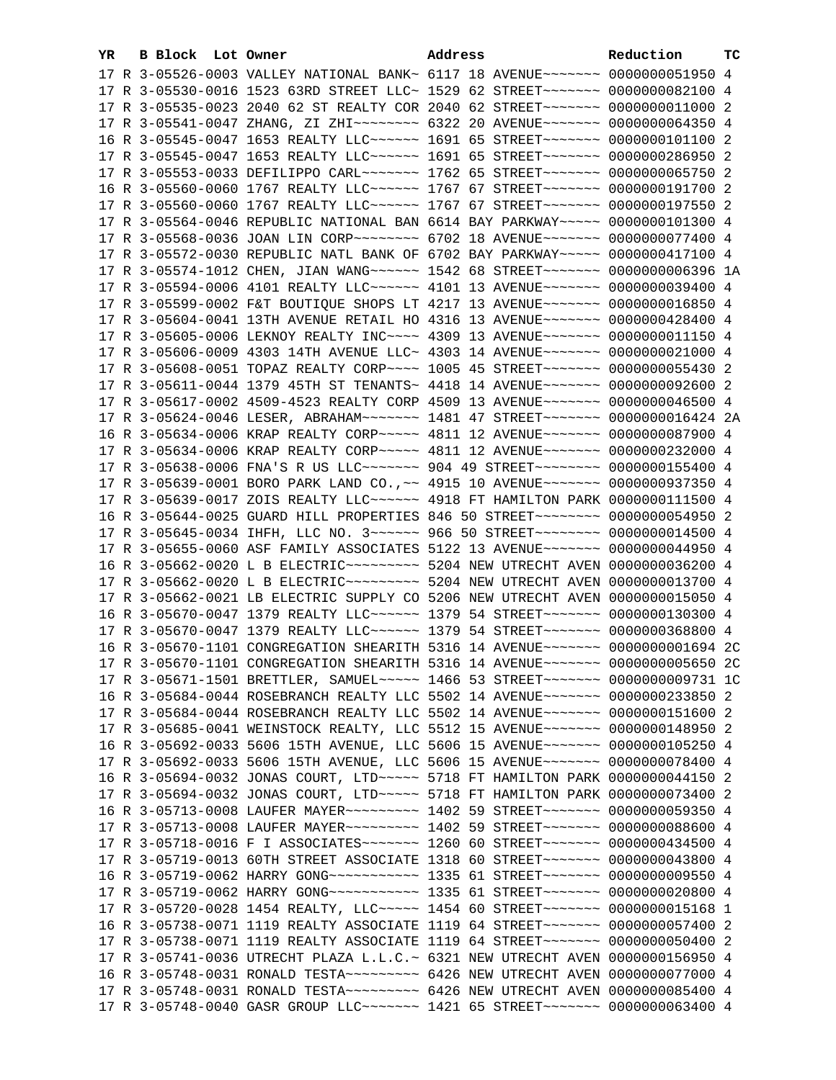| YR. | <b>B Block Lot Owner</b> |  | Address                                                                                                                                                         | Reduction | тc |
|-----|--------------------------|--|-----------------------------------------------------------------------------------------------------------------------------------------------------------------|-----------|----|
|     |                          |  | 17 R 3-05526-0003 VALLEY NATIONAL BANK~ 6117 18 AVENUE~~~~~~~~ 0000000051950 4                                                                                  |           |    |
|     |                          |  | 17 R 3-05530-0016 1523 63RD STREET LLC~ 1529 62 STREET~~~~~~~~ 0000000082100 4                                                                                  |           |    |
|     |                          |  | 17 R 3-05535-0023 2040 62 ST REALTY COR 2040 62 STREET~~~~~~~~ 0000000011000 2                                                                                  |           |    |
|     |                          |  | 17 R 3-05541-0047 ZHANG, ZI ZHI~~~~~~~~ 6322 20 AVENUE~~~~~~~ 0000000064350 4                                                                                   |           |    |
|     |                          |  | 16 R 3-05545-0047 1653 REALTY LLC ----- 1691 65 STREET ------ 0000000101100 2                                                                                   |           |    |
|     |                          |  | 17 R 3-05545-0047 1653 REALTY LLC ----- 1691 65 STREET ------ 0000000286950 2                                                                                   |           |    |
|     |                          |  | 17 R 3-05553-0033 DEFILIPPO CARL~~~~~~~ 1762 65 STREET~~~~~~~ 0000000065750 2                                                                                   |           |    |
|     |                          |  | 16 R 3-05560-0060 1767 REALTY LLC ----- 1767 67 STREET ------ 0000000191700 2                                                                                   |           |    |
|     |                          |  | 17 R 3-05560-0060 1767 REALTY LLC ----- 1767 67 STREET ------ 0000000197550 2                                                                                   |           |    |
|     |                          |  | 17 R 3-05564-0046 REPUBLIC NATIONAL BAN 6614 BAY PARKWAY~~~~~ 0000000101300 4                                                                                   |           |    |
|     |                          |  | 17 R 3-05568-0036 JOAN LIN CORP~~~~~~~~ 6702 18 AVENUE~~~~~~~ 0000000077400 4                                                                                   |           |    |
|     |                          |  | 17 R 3-05572-0030 REPUBLIC NATL BANK OF 6702 BAY PARKWAY~~~~~ 0000000417100 4                                                                                   |           |    |
|     |                          |  | 17 R 3-05574-1012 CHEN, JIAN WANG ----- 1542 68 STREET ------ 0000000006396 1A                                                                                  |           |    |
|     |                          |  | 17 R 3-05594-0006 4101 REALTY LLC ----- 4101 13 AVENUE ------ 0000000039400 4                                                                                   |           |    |
|     |                          |  | 17 R 3-05599-0002 F&T BOUTIQUE SHOPS LT 4217 13 AVENUE~~~~~~~ 0000000016850 4                                                                                   |           |    |
|     |                          |  | 17 R 3-05604-0041 13TH AVENUE RETAIL HO 4316 13 AVENUE~~~~~~~ 0000000428400 4                                                                                   |           |    |
|     |                          |  |                                                                                                                                                                 |           |    |
|     |                          |  | 17 R 3-05605-0006 LEKNOY REALTY INC~~~~ 4309 13 AVENUE~~~~~~~ 0000000011150 4<br>17 R 3-05606-0009 4303 14TH AVENUE LLC~ 4303 14 AVENUE~~~~~~~~ 0000000021000 4 |           |    |
|     |                          |  |                                                                                                                                                                 |           |    |
|     |                          |  | 17 R 3-05608-0051 TOPAZ REALTY CORP~~~~ 1005 45 STREET~~~~~~~ 0000000055430 2                                                                                   |           |    |
|     |                          |  | 17 R 3-05611-0044 1379 45TH ST TENANTS~ 4418 14 AVENUE~~~~~~~~ 0000000092600 2                                                                                  |           |    |
|     |                          |  | 17 R 3-05617-0002 4509-4523 REALTY CORP 4509 13 AVENUE~~~~~~~ 0000000046500 4                                                                                   |           |    |
|     |                          |  | 17 R 3-05624-0046 LESER, ABRAHAM~~~~~~~ 1481 47 STREET~~~~~~~ 0000000016424 2A                                                                                  |           |    |
|     |                          |  | 16 R 3-05634-0006 KRAP REALTY CORP~~~~~ 4811 12 AVENUE~~~~~~~ 0000000087900 4                                                                                   |           |    |
|     |                          |  | 17 R 3-05634-0006 KRAP REALTY CORP~~~~~ 4811 12 AVENUE~~~~~~~ 0000000232000 4                                                                                   |           |    |
|     |                          |  | 17 R 3-05638-0006 FNA'S R US LLC~~~~~~~ 904 49 STREET~~~~~~~~ 0000000155400 4                                                                                   |           |    |
|     |                          |  | 17 R 3-05639-0001 BORO PARK LAND CO., ~~ 4915 10 AVENUE~~~~~~~ 0000000937350 4                                                                                  |           |    |
|     |                          |  | 17 R 3-05639-0017 ZOIS REALTY LLC ----- 4918 FT HAMILTON PARK 0000000111500 4                                                                                   |           |    |
|     |                          |  | 16 R 3-05644-0025 GUARD HILL PROPERTIES 846 50 STREET~~~~~~~~~ 0000000054950 2<br>17 R 3-05645-0034 IHFH, LLC NO. 3~~~~~~ 966 50 STREET~~~~~~~~ 0000000014500 4 |           |    |
|     |                          |  | 17 R 3-05655-0060 ASF FAMILY ASSOCIATES 5122 13 AVENUE~~~~~~~ 0000000044950 4                                                                                   |           |    |
|     |                          |  | 16 R 3-05662-0020 L B ELECTRIC~~~~~~~~~~ 5204 NEW UTRECHT AVEN 0000000036200 4                                                                                  |           |    |
|     |                          |  | 17 R 3-05662-0020 L B ELECTRIC~~~~~~~~~~~~~~ 5204 NEW UTRECHT AVEN 0000000013700 4                                                                              |           |    |
|     |                          |  | 17 R 3-05662-0021 LB ELECTRIC SUPPLY CO 5206 NEW UTRECHT AVEN 0000000015050 4                                                                                   |           |    |
|     |                          |  | 16 R 3-05670-0047 1379 REALTY LLC ----- 1379 54 STREET ------ 0000000130300 4                                                                                   |           |    |
|     |                          |  | 17 R 3-05670-0047 1379 REALTY LLC ----- 1379 54 STREET ------ 0000000368800 4                                                                                   |           |    |
|     |                          |  | 16 R 3-05670-1101 CONGREGATION SHEARITH 5316 14 AVENUE~~~~~~~ 0000000001694 2C                                                                                  |           |    |
|     |                          |  | 17 R 3-05670-1101 CONGREGATION SHEARITH 5316 14 AVENUE~~~~~~~ 0000000005650 2C                                                                                  |           |    |
|     |                          |  | 17 R 3-05671-1501 BRETTLER, SAMUEL~~~~~ 1466 53 STREET~~~~~~~ 0000000009731 1C                                                                                  |           |    |
|     |                          |  | 16 R 3-05684-0044 ROSEBRANCH REALTY LLC 5502 14 AVENUE~~~~~~~ 0000000233850 2                                                                                   |           |    |
|     |                          |  | 17 R 3-05684-0044 ROSEBRANCH REALTY LLC 5502 14 AVENUE~~~~~~~ 0000000151600 2                                                                                   |           |    |
|     |                          |  | 17 R 3-05685-0041 WEINSTOCK REALTY, LLC 5512 15 AVENUE~~~~~~~ 0000000148950 2                                                                                   |           |    |
|     |                          |  | 16 R 3-05692-0033 5606 15TH AVENUE, LLC 5606 15 AVENUE~~~~~~~ 0000000105250 4                                                                                   |           |    |
|     |                          |  | 17 R 3-05692-0033 5606 15TH AVENUE, LLC 5606 15 AVENUE~~~~~~~ 0000000078400 4                                                                                   |           |    |
|     |                          |  | 16 R 3-05694-0032 JONAS COURT, LTD ~~~~~ 5718 FT HAMILTON PARK 0000000044150 2                                                                                  |           |    |
|     |                          |  | 17 R 3-05694-0032 JONAS COURT, LTD ~~~~~ 5718 FT HAMILTON PARK 0000000073400 2                                                                                  |           |    |
|     |                          |  | 16 R 3-05713-0008 LAUFER MAYER~~~~~~~~~~ 1402 59 STREET~~~~~~~ 0000000059350 4                                                                                  |           |    |
|     |                          |  | 17 R 3-05713-0008 LAUFER MAYER~~~~~~~~~~ 1402 59 STREET~~~~~~~ 0000000088600 4                                                                                  |           |    |
|     |                          |  | 17 R 3-05718-0016 F I ASSOCIATES~~~~~~~ 1260 60 STREET~~~~~~~ 0000000434500 4                                                                                   |           |    |
|     |                          |  | 17 R 3-05719-0013 60TH STREET ASSOCIATE 1318 60 STREET~~~~~~~ 0000000043800 4                                                                                   |           |    |
|     |                          |  | 16 R 3-05719-0062 HARRY GONG~~~~~~~~~~~~~~~~~ 1335 61 STREET~~~~~~~~ 0000000009550 4                                                                            |           |    |
|     |                          |  | 17 R 3-05719-0062 HARRY GONG~~~~~~~~~~~~~~~~~ 1335 61 STREET~~~~~~~~ 0000000020800 4                                                                            |           |    |
|     |                          |  | 17 R 3-05720-0028 1454 REALTY, LLC ---- 1454 60 STREET ------ 0000000015168 1                                                                                   |           |    |
|     |                          |  | 16 R 3-05738-0071 1119 REALTY ASSOCIATE 1119 64 STREET~~~~~~~ 0000000057400 2                                                                                   |           |    |
|     |                          |  | 17 R 3-05738-0071 1119 REALTY ASSOCIATE 1119 64 STREET~~~~~~~ 0000000050400 2                                                                                   |           |    |
|     |                          |  | 17 R 3-05741-0036 UTRECHT PLAZA L.L.C.~ 6321 NEW UTRECHT AVEN 0000000156950 4                                                                                   |           |    |
|     |                          |  | 16 R 3-05748-0031 RONALD TESTA~~~~~~~~~~ 6426 NEW UTRECHT AVEN 0000000077000 4                                                                                  |           |    |
|     |                          |  | 17 R 3-05748-0031 RONALD TESTA~~~~~~~~~ 6426 NEW UTRECHT AVEN 0000000085400 4                                                                                   |           |    |
|     |                          |  | 17 R 3-05748-0040 GASR GROUP LLC~~~~~~~ 1421 65 STREET~~~~~~~ 0000000063400 4                                                                                   |           |    |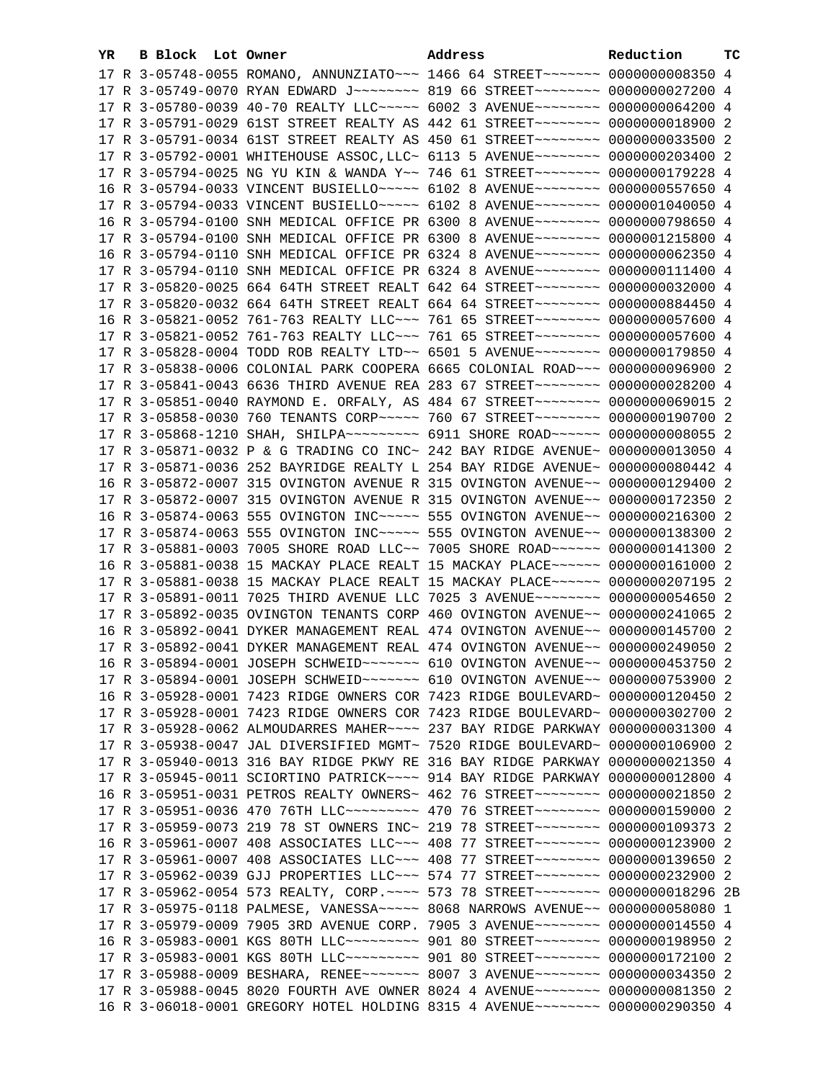| YR | B Block Lot Owner |                                                                                                                                                                  | Address | Reduction | тc |
|----|-------------------|------------------------------------------------------------------------------------------------------------------------------------------------------------------|---------|-----------|----|
|    |                   | 17 R 3-05748-0055 ROMANO, ANNUNZIATO~~~ 1466 64 STREET~~~~~~~~ 0000000008350 4                                                                                   |         |           |    |
|    |                   | 17 R 3-05749-0070 RYAN EDWARD J ------- 819 66 STREET ------- 0000000027200 4                                                                                    |         |           |    |
|    |                   | 17 R 3-05780-0039 40-70 REALTY LLC ---- 6002 3 AVENUE ------- 0000000064200 4                                                                                    |         |           |    |
|    |                   | 17 R 3-05791-0029 61ST STREET REALTY AS 442 61 STREET~~~~~~~~~ 0000000018900 2                                                                                   |         |           |    |
|    |                   | 17 R 3-05791-0034 61ST STREET REALTY AS 450 61 STREET~~~~~~~~~ 0000000033500 2                                                                                   |         |           |    |
|    |                   | 17 R 3-05792-0001 WHITEHOUSE ASSOC, LLC~ 6113 5 AVENUE~~~~~~~~~ 0000000203400 2                                                                                  |         |           |    |
|    |                   | 17 R 3-05794-0025 NG YU KIN & WANDA Y~~ 746 61 STREET~~~~~~~~ 0000000179228 4                                                                                    |         |           |    |
|    |                   | 16 R 3-05794-0033 VINCENT BUSIELLO~~~~~ 6102 8 AVENUE~~~~~~~~ 0000000557650 4                                                                                    |         |           |    |
|    |                   | 17 R 3-05794-0033 VINCENT BUSIELLO~~~~~ 6102 8 AVENUE~~~~~~~~ 0000001040050 4                                                                                    |         |           |    |
|    |                   | 16 R 3-05794-0100 SNH MEDICAL OFFICE PR 6300 8 AVENUE~~~~~~~~ 0000000798650 4                                                                                    |         |           |    |
|    |                   | 17 R 3-05794-0100 SNH MEDICAL OFFICE PR 6300 8 AVENUE~~~~~~~~ 0000001215800 4                                                                                    |         |           |    |
|    |                   | 16 R 3-05794-0110 SNH MEDICAL OFFICE PR 6324 8 AVENUE~~~~~~~~ 0000000062350 4                                                                                    |         |           |    |
|    |                   | 17 R 3-05794-0110 SNH MEDICAL OFFICE PR 6324 8 AVENUE~~~~~~~~ 0000000111400 4                                                                                    |         |           |    |
|    |                   | 17 R 3-05820-0025 664 64TH STREET REALT 642 64 STREET~~~~~~~~ 0000000032000 4                                                                                    |         |           |    |
|    |                   | 17 R 3-05820-0032 664 64TH STREET REALT 664 64 STREET~~~~~~~~ 0000000884450 4                                                                                    |         |           |    |
|    |                   | 16 R 3-05821-0052 761-763 REALTY LLC -- 761 65 STREET ------- 0000000057600 4                                                                                    |         |           |    |
|    |                   |                                                                                                                                                                  |         |           |    |
|    |                   | 17 R 3-05821-0052 761-763 REALTY LLC -- 761 65 STREET ------- 0000000057600 4                                                                                    |         |           |    |
|    |                   | 17 R 3-05828-0004 TODD ROB REALTY LTD ~~ 6501 5 AVENUE ~~~~~~~~~ 0000000179850 4                                                                                 |         |           |    |
|    |                   | 17 R 3-05838-0006 COLONIAL PARK COOPERA 6665 COLONIAL ROAD~~~ 0000000096900 2                                                                                    |         |           |    |
|    |                   | 17 R 3-05841-0043 6636 THIRD AVENUE REA 283 67 STREET~~~~~~~~ 0000000028200 4                                                                                    |         |           |    |
|    |                   | 17 R 3-05851-0040 RAYMOND E. ORFALY, AS 484 67 STREET~~~~~~~~~ 0000000069015 2                                                                                   |         |           |    |
|    |                   | 17 R 3-05858-0030 760 TENANTS CORP~~~~~ 760 67 STREET~~~~~~~~ 0000000190700 2                                                                                    |         |           |    |
|    |                   | 17 R 3-05868-1210 SHAH, SHILPA~~~~~~~~~~ 6911 SHORE ROAD~~~~~~ 0000000000055 2                                                                                   |         |           |    |
|    |                   | 17 R 3-05871-0032 P & G TRADING CO INC~ 242 BAY RIDGE AVENUE~ 0000000013050 4                                                                                    |         |           |    |
|    |                   | 17 R 3-05871-0036 252 BAYRIDGE REALTY L 254 BAY RIDGE AVENUE~ 0000000080442 4                                                                                    |         |           |    |
|    |                   | 16 R 3-05872-0007 315 OVINGTON AVENUE R 315 OVINGTON AVENUE~~ 0000000129400 2                                                                                    |         |           |    |
|    |                   | 17 R 3-05872-0007 315 OVINGTON AVENUE R 315 OVINGTON AVENUE~~ 0000000172350 2                                                                                    |         |           |    |
|    |                   | 16 R 3-05874-0063 555 OVINGTON INC~~~~~ 555 OVINGTON AVENUE~~ 0000000216300 2                                                                                    |         |           |    |
|    |                   | 17 R 3-05874-0063 555 OVINGTON INC~~~~~ 555 OVINGTON AVENUE~~ 0000000138300 2                                                                                    |         |           |    |
|    |                   | 17 R 3-05881-0003 7005 SHORE ROAD LLC~~ 7005 SHORE ROAD~~~~~~ 0000000141300 2                                                                                    |         |           |    |
|    |                   | 16 R 3-05881-0038 15 MACKAY PLACE REALT 15 MACKAY PLACE~~~~~~ 0000000161000 2                                                                                    |         |           |    |
|    |                   | 17 R 3-05881-0038 15 MACKAY PLACE REALT 15 MACKAY PLACE~~~~~~ 0000000207195 2<br>17 R 3-05891-0011 7025 THIRD AVENUE LLC 7025 3 AVENUE~~~~~~~~ 0000000054650 2   |         |           |    |
|    |                   | 17 R 3-05892-0035 OVINGTON TENANTS CORP 460 OVINGTON AVENUE~~ 0000000241065 2                                                                                    |         |           |    |
|    |                   | 16 R 3-05892-0041 DYKER MANAGEMENT REAL 474 OVINGTON AVENUE~~ 0000000145700 2                                                                                    |         |           |    |
|    |                   |                                                                                                                                                                  |         |           |    |
|    |                   | 17 R 3-05892-0041 DYKER MANAGEMENT REAL 474 OVINGTON AVENUE~~ 0000000249050 2<br>16 R 3-05894-0001 JOSEPH SCHWEID ~~~~~~~ 610 OVINGTON AVENUE ~~ 0000000453750 2 |         |           |    |
|    |                   |                                                                                                                                                                  |         |           |    |
|    |                   | 17 R 3-05894-0001 JOSEPH SCHWEID ~~~~~~~~ 610 OVINGTON AVENUE ~~ 0000000753900 2                                                                                 |         |           |    |
|    |                   | 16 R 3-05928-0001 7423 RIDGE OWNERS COR 7423 RIDGE BOULEVARD~ 0000000120450 2                                                                                    |         |           |    |
|    |                   | 17 R 3-05928-0001 7423 RIDGE OWNERS COR 7423 RIDGE BOULEVARD~ 0000000302700 2<br>17 R 3-05928-0062 ALMOUDARRES MAHER~~~~ 237 BAY RIDGE PARKWAY 0000000031300 4   |         |           |    |
|    |                   | 17 R 3-05938-0047 JAL DIVERSIFIED MGMT~ 7520 RIDGE BOULEVARD~ 0000000106900 2                                                                                    |         |           |    |
|    |                   | 17 R 3-05940-0013 316 BAY RIDGE PKWY RE 316 BAY RIDGE PARKWAY 0000000021350 4                                                                                    |         |           |    |
|    |                   | 17 R 3-05945-0011 SCIORTINO PATRICK~~~~ 914 BAY RIDGE PARKWAY 0000000012800 4                                                                                    |         |           |    |
|    |                   | 16 R 3-05951-0031 PETROS REALTY OWNERS~ 462 76 STREET~~~~~~~~~ 0000000021850 2                                                                                   |         |           |    |
|    |                   | 17 R 3-05951-0036 470 76TH LLC --------- 470 76 STREET -------- 0000000159000 2                                                                                  |         |           |    |
|    |                   | 17 R 3-05959-0073 219 78 ST OWNERS INC~ 219 78 STREET~~~~~~~~ 0000000109373 2                                                                                    |         |           |    |
|    |                   | 16 R 3-05961-0007 408 ASSOCIATES LLC~~~ 408 77 STREET~~~~~~~~ 0000000123900 2                                                                                    |         |           |    |
|    |                   | 17 R 3-05961-0007 408 ASSOCIATES LLC~~~ 408 77 STREET~~~~~~~~ 0000000139650 2                                                                                    |         |           |    |
|    |                   | 17 R 3-05962-0039 GJJ PROPERTIES LLC~~~ 574 77 STREET~~~~~~~~ 0000000232900 2                                                                                    |         |           |    |
|    |                   | 17 R 3-05962-0054 573 REALTY, CORP. ~~~~ 573 78 STREET~~~~~~~~ 0000000018296 2B                                                                                  |         |           |    |
|    |                   | 17 R 3-05975-0118 PALMESE, VANESSA~~~~~ 8068 NARROWS AVENUE~~ 0000000058080 1                                                                                    |         |           |    |
|    |                   | 17 R 3-05979-0009 7905 3RD AVENUE CORP. 7905 3 AVENUE~~~~~~~~ 0000000014550 4                                                                                    |         |           |    |
|    |                   | 16 R 3-05983-0001 KGS 80TH LLC --------- 901 80 STREET -------- 0000000198950 2                                                                                  |         |           |    |
|    |                   | 17 R 3-05983-0001 KGS 80TH LLC --------- 901 80 STREET -------- 0000000172100 2                                                                                  |         |           |    |
|    |                   | 17 R 3-05988-0009 BESHARA, RENEE~~~~~~~ 8007 3 AVENUE~~~~~~~~ 0000000034350 2                                                                                    |         |           |    |
|    |                   | 17 R 3-05988-0045 8020 FOURTH AVE OWNER 8024 4 AVENUE~~~~~~~~~ 0000000081350 2                                                                                   |         |           |    |
|    |                   | 16 R 3-06018-0001 GREGORY HOTEL HOLDING 8315 4 AVENUE~~~~~~~~ 0000000290350 4                                                                                    |         |           |    |
|    |                   |                                                                                                                                                                  |         |           |    |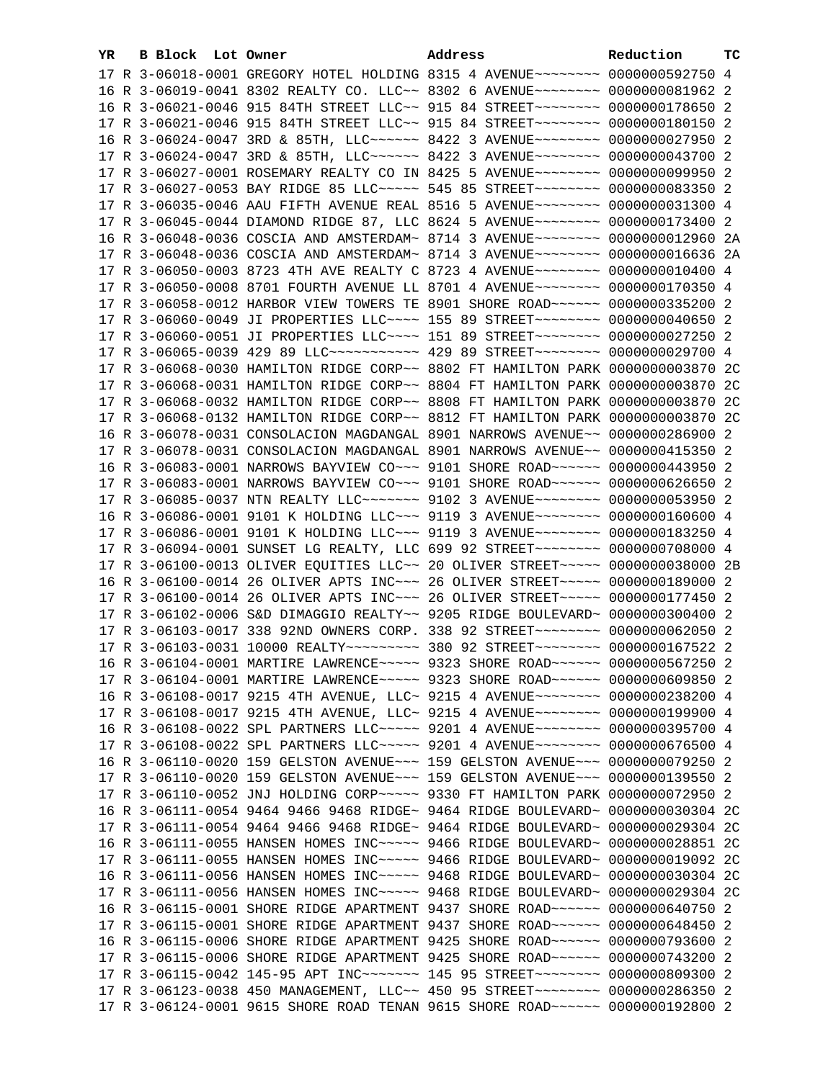| YR | <b>B Block Lot Owner</b> | Address                                                                                                                                                          | Reduction | тc |
|----|--------------------------|------------------------------------------------------------------------------------------------------------------------------------------------------------------|-----------|----|
|    |                          | 17 R 3-06018-0001 GREGORY HOTEL HOLDING 8315 4 AVENUE~~~~~~~~ 0000000592750 4                                                                                    |           |    |
|    |                          | 16 R 3-06019-0041 8302 REALTY CO. LLC~~ 8302 6 AVENUE~~~~~~~~ 0000000081962 2                                                                                    |           |    |
|    |                          | 16 R 3-06021-0046 915 84TH STREET LLC~~ 915 84 STREET~~~~~~~~~ 0000000178650 2                                                                                   |           |    |
|    |                          | 17 R 3-06021-0046 915 84TH STREET LLC~~ 915 84 STREET~~~~~~~~~ 0000000180150 2                                                                                   |           |    |
|    |                          | 16 R 3-06024-0047 3RD & 85TH, LLC ----- 8422 3 AVENUE ------- 0000000027950 2                                                                                    |           |    |
|    |                          | 17 R 3-06024-0047 3RD & 85TH, LLC ----- 8422 3 AVENUE ------- 0000000043700 2                                                                                    |           |    |
|    |                          | 17 R 3-06027-0001 ROSEMARY REALTY CO IN 8425 5 AVENUE~~~~~~~~~ 0000000099950 2                                                                                   |           |    |
|    |                          | 17 R 3-06027-0053 BAY RIDGE 85 LLC ---- 545 85 STREET ------- 0000000083350 2                                                                                    |           |    |
|    |                          | 17 R 3-06035-0046 AAU FIFTH AVENUE REAL 8516 5 AVENUE~~~~~~~~ 0000000031300 4                                                                                    |           |    |
|    |                          | 17 R 3-06045-0044 DIAMOND RIDGE 87, LLC 8624 5 AVENUE~~~~~~~~ 0000000173400 2                                                                                    |           |    |
|    |                          | 16 R 3-06048-0036 COSCIA AND AMSTERDAM~ 8714 3 AVENUE~~~~~~~~~ 0000000012960 2A                                                                                  |           |    |
|    |                          | 17 R 3-06048-0036 COSCIA AND AMSTERDAM~ 8714 3 AVENUE~~~~~~~~ 0000000016636 2A                                                                                   |           |    |
|    |                          | 17 R 3-06050-0003 8723 4TH AVE REALTY C 8723 4 AVENUE~~~~~~~~ 0000000010400 4                                                                                    |           |    |
|    |                          |                                                                                                                                                                  |           |    |
|    |                          | 17 R 3-06050-0008 8701 FOURTH AVENUE LL 8701 4 AVENUE~~~~~~~~ 0000000170350 4                                                                                    |           |    |
|    |                          | 17 R 3-06058-0012 HARBOR VIEW TOWERS TE 8901 SHORE ROAD~~~~~~ 0000000335200 2                                                                                    |           |    |
|    |                          | 17 R 3-06060-0049 JI PROPERTIES LLC --- 155 89 STREET ------- 0000000040650 2                                                                                    |           |    |
|    |                          | 17 R 3-06060-0051 JI PROPERTIES LLC~~~~ 151 89 STREET~~~~~~~~ 0000000027250 2                                                                                    |           |    |
|    |                          | 17 R 3-06065-0039 429 89 LLC ---------- 429 89 STREET -------- 0000000029700 4                                                                                   |           |    |
|    |                          | 17 R 3-06068-0030 HAMILTON RIDGE CORP~~ 8802 FT HAMILTON PARK 0000000003870 2C                                                                                   |           |    |
|    |                          | 17 R 3-06068-0031 HAMILTON RIDGE CORP~~ 8804 FT HAMILTON PARK 0000000003870 2C                                                                                   |           |    |
|    |                          | 17 R 3-06068-0032 HAMILTON RIDGE CORP~~ 8808 FT HAMILTON PARK 0000000003870 2C                                                                                   |           |    |
|    |                          | 17 R 3-06068-0132 HAMILTON RIDGE CORP~~ 8812 FT HAMILTON PARK 0000000003870 2C                                                                                   |           |    |
|    |                          | 16 R 3-06078-0031 CONSOLACION MAGDANGAL 8901 NARROWS AVENUE~~ 0000000286900 2                                                                                    |           |    |
|    |                          | 17 R 3-06078-0031 CONSOLACION MAGDANGAL 8901 NARROWS AVENUE~~ 0000000415350 2                                                                                    |           |    |
|    |                          | 16 R 3-06083-0001 NARROWS BAYVIEW CO~~~ 9101 SHORE ROAD~~~~~~ 0000000443950 2                                                                                    |           |    |
|    |                          | 17 R 3-06083-0001 NARROWS BAYVIEW CO~~~ 9101 SHORE ROAD~~~~~~ 0000000626650 2                                                                                    |           |    |
|    |                          | 17 R 3-06085-0037 NTN REALTY LLC ------- 9102 3 AVENUE ------- 0000000053950 2                                                                                   |           |    |
|    |                          | 16 R 3-06086-0001 9101 K HOLDING LLC~~~ 9119 3 AVENUE~~~~~~~~ 0000000160600 4                                                                                    |           |    |
|    |                          | 17 R 3-06086-0001 9101 K HOLDING LLC~~~ 9119 3 AVENUE~~~~~~~~ 0000000183250 4                                                                                    |           |    |
|    |                          | 17 R 3-06094-0001 SUNSET LG REALTY, LLC 699 92 STREET~~~~~~~~~ 0000000708000 4                                                                                   |           |    |
|    |                          | 17 R 3-06100-0013 OLIVER EQUITIES LLC~~ 20 OLIVER STREET~~~~~ 0000000038000 2B                                                                                   |           |    |
|    |                          | 16 R 3-06100-0014 26 OLIVER APTS INC~~~ 26 OLIVER STREET~~~~~ 0000000189000 2                                                                                    |           |    |
|    |                          | 17 R 3-06100-0014 26 OLIVER APTS INC~~~ 26 OLIVER STREET~~~~~ 0000000177450 2<br>17 R 3-06102-0006 S&D DIMAGGIO REALTY~~ 9205 RIDGE BOULEVARD~ 0000000300400 2   |           |    |
|    |                          | 17 R 3-06103-0017 338 92ND OWNERS CORP. 338 92 STREET~~~~~~~~ 0000000062050 2                                                                                    |           |    |
|    |                          |                                                                                                                                                                  |           |    |
|    |                          | 17 R 3-06103-0031 10000 REALTY~~~~~~~~~ 380 92 STREET~~~~~~~~ 0000000167522 2                                                                                    |           |    |
|    |                          | 16 R 3-06104-0001 MARTIRE LAWRENCE~~~~~ 9323 SHORE ROAD~~~~~~ 0000000567250 2                                                                                    |           |    |
|    |                          | 17 R 3-06104-0001 MARTIRE LAWRENCE~~~~~ 9323 SHORE ROAD~~~~~~ 0000000609850 2                                                                                    |           |    |
|    |                          | 16 R 3-06108-0017 9215 4TH AVENUE, LLC~ 9215 4 AVENUE~~~~~~~~~ 0000000238200 4                                                                                   |           |    |
|    |                          | 17 R 3-06108-0017 9215 4TH AVENUE, LLC~ 9215 4 AVENUE~~~~~~~~~ 0000000199900 4                                                                                   |           |    |
|    |                          | 16 R 3-06108-0022 SPL PARTNERS LLC~~~~~ 9201 4 AVENUE~~~~~~~~ 0000000395700 4                                                                                    |           |    |
|    |                          | 17 R 3-06108-0022 SPL PARTNERS LLC~~~~~ 9201 4 AVENUE~~~~~~~~ 0000000676500 4                                                                                    |           |    |
|    |                          | 16 R 3-06110-0020 159 GELSTON AVENUE~~~ 159 GELSTON AVENUE~~~ 0000000079250 2                                                                                    |           |    |
|    |                          | 17 R 3-06110-0020 159 GELSTON AVENUE~~~ 159 GELSTON AVENUE~~~ 0000000139550 2                                                                                    |           |    |
|    |                          | 17 R 3-06110-0052 JNJ HOLDING CORP~~~~~ 9330 FT HAMILTON PARK 0000000072950 2                                                                                    |           |    |
|    |                          | 16 R 3-06111-0054 9464 9466 9468 RIDGE~ 9464 RIDGE BOULEVARD~ 0000000030304 2C                                                                                   |           |    |
|    |                          | 17 R 3-06111-0054 9464 9466 9468 RIDGE~ 9464 RIDGE BOULEVARD~ 0000000029304 2C                                                                                   |           |    |
|    |                          | 16 R 3-06111-0055 HANSEN HOMES INC~~~~~ 9466 RIDGE BOULEVARD~ 0000000028851 2C<br>17 R 3-06111-0055 HANSEN HOMES INC~~~~~ 9466 RIDGE BOULEVARD~ 0000000019092 2C |           |    |
|    |                          | 16 R 3-06111-0056 HANSEN HOMES INC~~~~~ 9468 RIDGE BOULEVARD~ 0000000030304 2C                                                                                   |           |    |
|    |                          | 17 R 3-06111-0056 HANSEN HOMES INC~~~~~ 9468 RIDGE BOULEVARD~ 0000000029304 2C                                                                                   |           |    |
|    |                          | 16 R 3-06115-0001 SHORE RIDGE APARTMENT 9437 SHORE ROAD~~~~~~ 0000000640750 2                                                                                    |           |    |
|    |                          | 17 R 3-06115-0001 SHORE RIDGE APARTMENT 9437 SHORE ROAD~~~~~~ 0000000648450 2                                                                                    |           |    |
|    |                          | 16 R 3-06115-0006 SHORE RIDGE APARTMENT 9425 SHORE ROAD~~~~~~ 0000000793600 2                                                                                    |           |    |
|    |                          | 17 R 3-06115-0006 SHORE RIDGE APARTMENT 9425 SHORE ROAD~~~~~~ 0000000743200 2                                                                                    |           |    |
|    |                          | 17 R 3-06115-0042 145-95 APT INC ------- 145 95 STREET ------- 0000000809300 2                                                                                   |           |    |
|    |                          | 17 R 3-06123-0038 450 MANAGEMENT, LLC~~ 450 95 STREET~~~~~~~~ 0000000286350 2                                                                                    |           |    |
|    |                          | 17 R 3-06124-0001 9615 SHORE ROAD TENAN 9615 SHORE ROAD~~~~~~ 0000000192800 2                                                                                    |           |    |
|    |                          |                                                                                                                                                                  |           |    |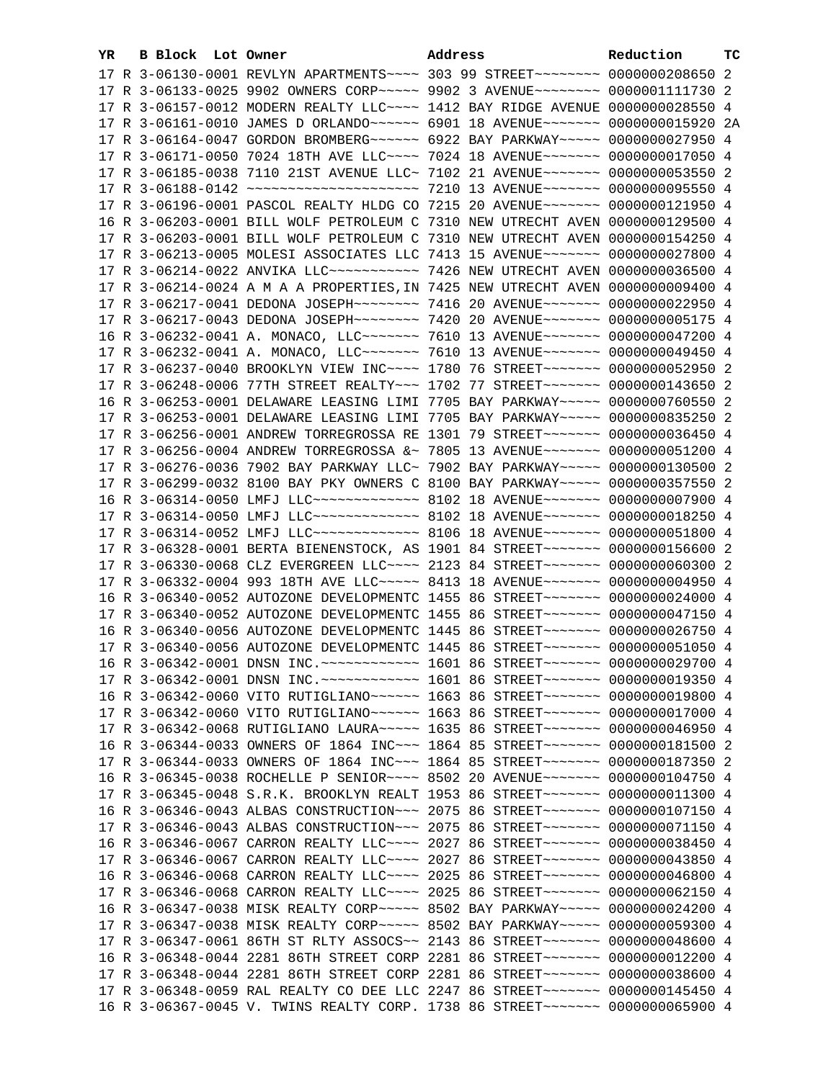| YR. | B Block Lot Owner | Address                                                                                | Reduction | ТC |
|-----|-------------------|----------------------------------------------------------------------------------------|-----------|----|
|     |                   | 17 R 3-06130-0001 REVLYN APARTMENTS~~~~ 303 99 STREET~~~~~~~~ 0000000208650 2          |           |    |
|     |                   | 17 R 3-06133-0025 9902 OWNERS CORP~~~~~ 9902 3 AVENUE~~~~~~~~ 0000001111730 2          |           |    |
|     |                   | 17 R 3-06157-0012 MODERN REALTY LLC~~~~ 1412 BAY RIDGE AVENUE 0000000028550 4          |           |    |
|     |                   | 17 R 3-06161-0010 JAMES D ORLANDO~~~~~~ 6901 18 AVENUE~~~~~~~ 0000000015920 2A         |           |    |
|     |                   | 17 R 3-06164-0047 GORDON BROMBERG~~~~~~ 6922 BAY PARKWAY~~~~~ 0000000027950 4          |           |    |
|     |                   | 17 R 3-06171-0050 7024 18TH AVE LLC~~~~ 7024 18 AVENUE~~~~~~~ 0000000017050 4          |           |    |
|     |                   | 17 R 3-06185-0038 7110 21ST AVENUE LLC~ 7102 21 AVENUE~~~~~~~ 0000000053550 2          |           |    |
|     |                   | 17 R 3-06188-0142 ~~~~~~~~~~~~~~~~~~~~~~ 7210 13 AVENUE~~~~~~~ 0000000095550 4         |           |    |
|     |                   | 17 R 3-06196-0001 PASCOL REALTY HLDG CO 7215 20 AVENUE~~~~~~~ 0000000121950 4          |           |    |
|     |                   | 16 R 3-06203-0001 BILL WOLF PETROLEUM C 7310 NEW UTRECHT AVEN 0000000129500 4          |           |    |
|     |                   |                                                                                        |           |    |
|     |                   | 17 R 3-06203-0001 BILL WOLF PETROLEUM C 7310 NEW UTRECHT AVEN 0000000154250 4          |           |    |
|     |                   | 17 R 3-06213-0005 MOLESI ASSOCIATES LLC 7413 15 AVENUE~~~~~~~ 0000000027800 4          |           |    |
|     |                   | 17 R 3-06214-0022 ANVIKA LLC ----------- 7426 NEW UTRECHT AVEN 0000000036500 4         |           |    |
|     |                   | 17 R 3-06214-0024 A M A A PROPERTIES, IN 7425 NEW UTRECHT AVEN 0000000009400 4         |           |    |
|     |                   | 17 R 3-06217-0041 DEDONA JOSEPH~~~~~~~~ 7416 20 AVENUE~~~~~~~ 0000000022950 4          |           |    |
|     |                   | 17 R 3-06217-0043 DEDONA JOSEPH~~~~~~~~ 7420 20 AVENUE~~~~~~~ 0000000005175 4          |           |    |
|     |                   | 16 R 3-06232-0041 A. MONACO, LLC~~~~~~~~ 7610 13 AVENUE~~~~~~~ 0000000047200 4         |           |    |
|     |                   | 17 R 3-06232-0041 A. MONACO, LLC~~~~~~~~~~~~ 7610 13 AVENUE~~~~~~~~~ 0000000049450 4   |           |    |
|     |                   | 17 R 3-06237-0040 BROOKLYN VIEW INC~~~~ 1780 76 STREET~~~~~~~ 0000000052950 2          |           |    |
|     |                   | 17 R 3-06248-0006 77TH STREET REALTY~~~ 1702 77 STREET~~~~~~~ 0000000143650 2          |           |    |
|     |                   | 16 R 3-06253-0001 DELAWARE LEASING LIMI 7705 BAY PARKWAY~~~~~ 0000000760550 2          |           |    |
|     |                   | 17 R 3-06253-0001 DELAWARE LEASING LIMI 7705 BAY PARKWAY~~~~~ 0000000835250 2          |           |    |
|     |                   | 17 R 3-06256-0001 ANDREW TORREGROSSA RE 1301 79 STREET~~~~~~~ 0000000036450 4          |           |    |
|     |                   | 17 R 3-06256-0004 ANDREW TORREGROSSA &~ 7805 13 AVENUE~~~~~~~ 0000000051200 4          |           |    |
|     |                   | 17 R 3-06276-0036 7902 BAY PARKWAY LLC~ 7902 BAY PARKWAY~~~~~ 0000000130500 2          |           |    |
|     |                   | 17 R 3-06299-0032 8100 BAY PKY OWNERS C 8100 BAY PARKWAY~~~~~ 0000000357550 2          |           |    |
|     |                   | 16 R 3-06314-0050 LMFJ LLC ------------- 8102 18 AVENUE ------- 0000000007900 4        |           |    |
|     |                   | 17 R 3-06314-0050 LMFJ LLC ------------- 8102 18 AVENUE ------- 0000000018250 4        |           |    |
|     |                   | 17 R 3-06314-0052 LMFJ LLC ------------- 8106 18 AVENUE ------- 0000000051800 4        |           |    |
|     |                   | 17 R 3-06328-0001 BERTA BIENENSTOCK, AS 1901 84 STREET~~~~~~~~ 0000000156600 2         |           |    |
|     |                   | 17 R 3-06330-0068 CLZ EVERGREEN LLC~~~~ 2123 84 STREET~~~~~~~ 0000000060300 2          |           |    |
|     |                   | 17 R 3-06332-0004 993 18TH AVE LLC ---- 8413 18 AVENUE ------ 0000000004950 4          |           |    |
|     |                   | 16 R 3-06340-0052 AUTOZONE DEVELOPMENTC 1455 86 STREET~~~~~~~ 0000000024000 4          |           |    |
|     |                   | 17 R 3-06340-0052 AUTOZONE DEVELOPMENTC 1455 86 STREET~~~~~~~ 0000000047150 4          |           |    |
|     |                   | 16 R 3-06340-0056 AUTOZONE DEVELOPMENTC 1445 86 STREET~~~~~~~ 0000000026750 4          |           |    |
|     |                   | 17 R 3-06340-0056 AUTOZONE DEVELOPMENTC 1445 86 STREET~~~~~~~ 0000000051050 4          |           |    |
|     |                   | 16 R 3-06342-0001 DNSN INC. ~~~~~~~~~~~~~~~~~~ 1601 86 STREET~~~~~~~~~ 0000000029700 4 |           |    |
|     |                   | 17 R 3-06342-0001 DNSN INC. ~~~~~~~~~~~~~~~~~~ 1601 86 STREET~~~~~~~~ 00000000019350 4 |           |    |
|     |                   | 16 R 3-06342-0060 VITO RUTIGLIANO~~~~~~ 1663 86 STREET~~~~~~~ 0000000019800 4          |           |    |
|     |                   | 17 R 3-06342-0060 VITO RUTIGLIANO~~~~~~ 1663 86 STREET~~~~~~~ 0000000017000 4          |           |    |
|     |                   | 17 R 3-06342-0068 RUTIGLIANO LAURA~~~~~ 1635 86 STREET~~~~~~~ 0000000046950 4          |           |    |
|     |                   | 16 R 3-06344-0033 OWNERS OF 1864 INC~~~ 1864 85 STREET~~~~~~~ 0000000181500 2          |           |    |
|     |                   | 17 R 3-06344-0033 OWNERS OF 1864 INC~~~ 1864 85 STREET~~~~~~~ 0000000187350 2          |           |    |
|     |                   | 16 R 3-06345-0038 ROCHELLE P SENIOR~~~~ 8502 20 AVENUE~~~~~~~ 0000000104750 4          |           |    |
|     |                   | 17 R 3-06345-0048 S.R.K. BROOKLYN REALT 1953 86 STREET~~~~~~~ 0000000011300 4          |           |    |
|     |                   | 16 R 3-06346-0043 ALBAS CONSTRUCTION ~~~ 2075 86 STREET ~~~~~~~ 0000000107150 4        |           |    |
|     |                   | 17 R 3-06346-0043 ALBAS CONSTRUCTION ~~~ 2075 86 STREET ~~~~~~~ 0000000071150 4        |           |    |
|     |                   | 16 R 3-06346-0067 CARRON REALTY LLC --- 2027 86 STREET ------ 0000000038450 4          |           |    |
|     |                   | 17 R 3-06346-0067 CARRON REALTY LLC --- 2027 86 STREET ------ 0000000043850 4          |           |    |
|     |                   | 16 R 3-06346-0068 CARRON REALTY LLC --- 2025 86 STREET ------ 0000000046800 4          |           |    |
|     |                   | 17 R 3-06346-0068 CARRON REALTY LLC --- 2025 86 STREET ------ 0000000062150 4          |           |    |
|     |                   | 16 R 3-06347-0038 MISK REALTY CORP ~~~~~ 8502 BAY PARKWAY ~~~~~ 0000000024200 4        |           |    |
|     |                   | 17 R 3-06347-0038 MISK REALTY CORP ~~~~~ 8502 BAY PARKWAY ~~~~~ 0000000059300 4        |           |    |
|     |                   | 17 R 3-06347-0061 86TH ST RLTY ASSOCS~~ 2143 86 STREET~~~~~~~ 0000000048600 4          |           |    |
|     |                   | 16 R 3-06348-0044 2281 86TH STREET CORP 2281 86 STREET~~~~~~~ 0000000012200 4          |           |    |
|     |                   | 17 R 3-06348-0044 2281 86TH STREET CORP 2281 86 STREET~~~~~~~~ 0000000038600 4         |           |    |
|     |                   | 17 R 3-06348-0059 RAL REALTY CO DEE LLC 2247 86 STREET~~~~~~~ 0000000145450 4          |           |    |
|     |                   | 16 R 3-06367-0045 V. TWINS REALTY CORP. 1738 86 STREET~~~~~~~~ 0000000065900 4         |           |    |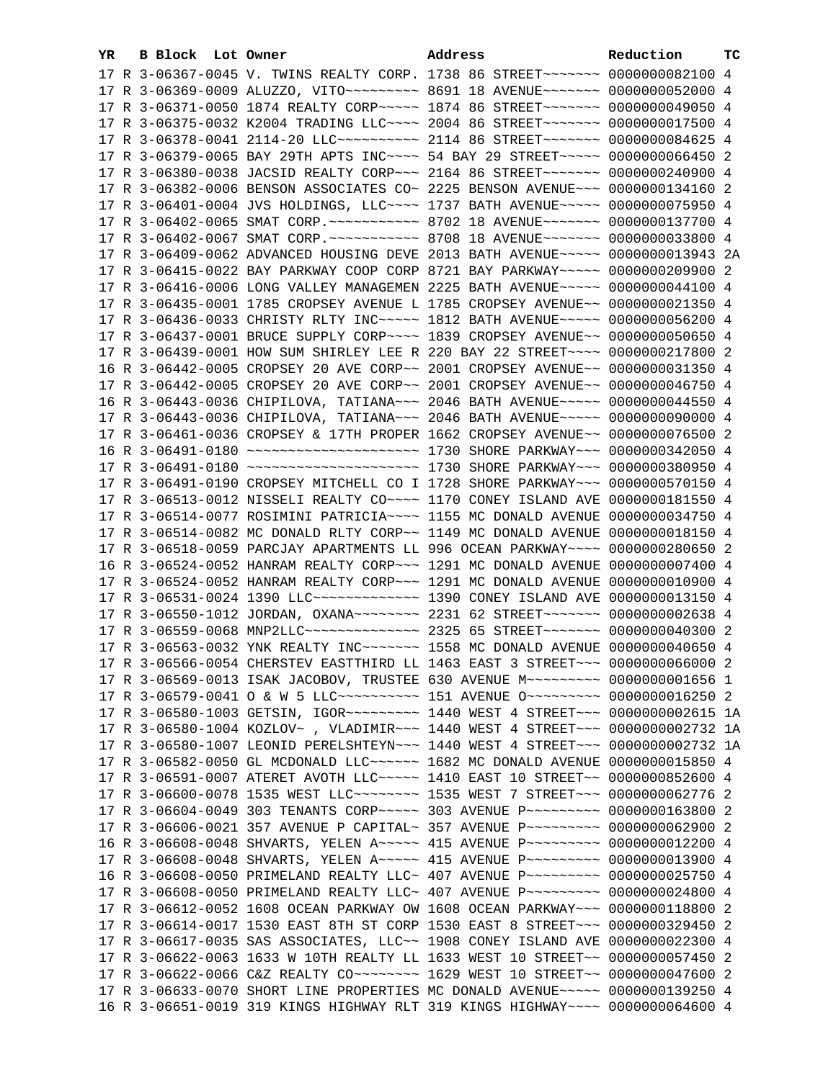| YR | B Block Lot Owner |                                                                                               | Address | Reduction | тc |
|----|-------------------|-----------------------------------------------------------------------------------------------|---------|-----------|----|
|    |                   | 17 R 3-06367-0045 V. TWINS REALTY CORP. 1738 86 STREET~~~~~~~~ 0000000082100 4                |         |           |    |
|    |                   | 17 R 3-06369-0009 ALUZZO, VITO ~~~~~~~~~~~~~~~~ 8691 18 AVENUE ~~~~~~~~~~~~~~ 0000000052000 4 |         |           |    |
|    |                   | 17 R 3-06371-0050 1874 REALTY CORP ~~~~~ 1874 86 STREET ~~~~~~~ 0000000049050 4               |         |           |    |
|    |                   | 17 R 3-06375-0032 K2004 TRADING LLC --- 2004 86 STREET ------ 0000000017500 4                 |         |           |    |
|    |                   | 17 R 3-06378-0041 2114-20 LLC ---------- 2114 86 STREET ------- 0000000084625 4               |         |           |    |
|    |                   | 17 R 3-06379-0065 BAY 29TH APTS INC~~~~ 54 BAY 29 STREET~~~~~ 0000000066450 2                 |         |           |    |
|    |                   | 17 R 3-06380-0038 JACSID REALTY CORP~~~ 2164 86 STREET~~~~~~~ 0000000240900 4                 |         |           |    |
|    |                   | 17 R 3-06382-0006 BENSON ASSOCIATES CO~ 2225 BENSON AVENUE~~~ 0000000134160 2                 |         |           |    |
|    |                   | 17 R 3-06401-0004 JVS HOLDINGS, LLC --- 1737 BATH AVENUE --- 0000000075950 4                  |         |           |    |
|    |                   |                                                                                               |         |           |    |
|    |                   |                                                                                               |         |           |    |
|    |                   | 17 R 3-06409-0062 ADVANCED HOUSING DEVE 2013 BATH AVENUE~~~~~ 0000000013943 2A                |         |           |    |
|    |                   | 17 R 3-06415-0022 BAY PARKWAY COOP CORP 8721 BAY PARKWAY~~~~~ 0000000209900 2                 |         |           |    |
|    |                   | 17 R 3-06416-0006 LONG VALLEY MANAGEMEN 2225 BATH AVENUE~~~~~ 0000000044100 4                 |         |           |    |
|    |                   | 17 R 3-06435-0001 1785 CROPSEY AVENUE L 1785 CROPSEY AVENUE~~ 0000000021350 4                 |         |           |    |
|    |                   | 17 R 3-06436-0033 CHRISTY RLTY INC ---- 1812 BATH AVENUE ---- 0000000056200 4                 |         |           |    |
|    |                   | 17 R 3-06437-0001 BRUCE SUPPLY CORP~~~~ 1839 CROPSEY AVENUE~~ 0000000050650 4                 |         |           |    |
|    |                   | 17 R 3-06439-0001 HOW SUM SHIRLEY LEE R 220 BAY 22 STREET~~~~ 0000000217800 2                 |         |           |    |
|    |                   | 16 R 3-06442-0005 CROPSEY 20 AVE CORP~~ 2001 CROPSEY AVENUE~~ 0000000031350 4                 |         |           |    |
|    |                   | 17 R 3-06442-0005 CROPSEY 20 AVE CORP~~ 2001 CROPSEY AVENUE~~ 0000000046750 4                 |         |           |    |
|    |                   | 16 R 3-06443-0036 CHIPILOVA, TATIANA~~~ 2046 BATH AVENUE~~~~~ 0000000044550 4                 |         |           |    |
|    |                   | 17 R 3-06443-0036 CHIPILOVA, TATIANA~~~ 2046 BATH AVENUE~~~~~ 0000000090000 4                 |         |           |    |
|    |                   | 17 R 3-06461-0036 CROPSEY & 17TH PROPER 1662 CROPSEY AVENUE~~ 0000000076500 2                 |         |           |    |
|    |                   |                                                                                               |         |           |    |
|    |                   |                                                                                               |         |           |    |
|    |                   | 17 R 3-06491-0190 CROPSEY MITCHELL CO I 1728 SHORE PARKWAY~~~ 0000000570150 4                 |         |           |    |
|    |                   | 17 R 3-06513-0012 NISSELI REALTY CO~~~~ 1170 CONEY ISLAND AVE 0000000181550 4                 |         |           |    |
|    |                   | 17 R 3-06514-0077 ROSIMINI PATRICIA~~~~ 1155 MC DONALD AVENUE 0000000034750 4                 |         |           |    |
|    |                   | 17 R 3-06514-0082 MC DONALD RLTY CORP~~ 1149 MC DONALD AVENUE 0000000018150 4                 |         |           |    |
|    |                   | 17 R 3-06518-0059 PARCJAY APARTMENTS LL 996 OCEAN PARKWAY~~~~ 0000000280650 2                 |         |           |    |
|    |                   | 16 R 3-06524-0052 HANRAM REALTY CORP~~~ 1291 MC DONALD AVENUE 0000000007400 4                 |         |           |    |
|    |                   | 17 R 3-06524-0052 HANRAM REALTY CORP~~~ 1291 MC DONALD AVENUE 0000000010900 4                 |         |           |    |
|    |                   | 17 R 3-06531-0024 1390 LLC ------------- 1390 CONEY ISLAND AVE 0000000013150 4                |         |           |    |
|    |                   | 17 R 3-06550-1012 JORDAN, OXANA~~~~~~~~ 2231 62 STREET~~~~~~~ 0000000002638 4                 |         |           |    |
|    |                   | 17 R 3-06559-0068 MNP2LLC -------------- 2325 65 STREET ------- 0000000040300 2               |         |           |    |
|    |                   | 17 R 3-06563-0032 YNK REALTY INC~~~~~~~ 1558 MC DONALD AVENUE 0000000040650 4                 |         |           |    |
|    |                   | 17 R 3-06566-0054 CHERSTEV EASTTHIRD LL 1463 EAST 3 STREET~~~ 0000000066000 2                 |         |           |    |
|    |                   | 17 R 3-06569-0013 ISAK JACOBOV, TRUSTEE 630 AVENUE M~~~~~~~~~ 00000000001656 1                |         |           |    |
|    |                   | 17 R 3-06579-0041 O & W 5 LLC ---------- 151 AVENUE O -------- 0000000016250 2                |         |           |    |
|    |                   | 17 R 3-06580-1003 GETSIN, IGOR~~~~~~~~~~~~~~ 1440 WEST 4 STREET~~~ 0000000002615 1A           |         |           |    |
|    |                   | 17 R 3-06580-1004 KOZLOV~, VLADIMIR~~~ 1440 WEST 4 STREET~~~ 0000000002732 1A                 |         |           |    |
|    |                   | 17 R 3-06580-1007 LEONID PERELSHTEYN~~~ 1440 WEST 4 STREET~~~ 0000000002732 1A                |         |           |    |
|    |                   | 17 R 3-06582-0050 GL MCDONALD LLC ----- 1682 MC DONALD AVENUE 0000000015850 4                 |         |           |    |
|    |                   | 17 R 3-06591-0007 ATERET AVOTH LLC ---- 1410 EAST 10 STREET -- 0000000852600 4                |         |           |    |
|    |                   | 17 R 3-06600-0078 1535 WEST LLC ------- 1535 WEST 7 STREET -- 0000000062776 2                 |         |           |    |
|    |                   | 17 R 3-06604-0049 303 TENANTS CORP~~~~~ 303 AVENUE P~~~~~~~~~ 0000000163800 2                 |         |           |    |
|    |                   | 17 R 3-06606-0021 357 AVENUE P CAPITAL~ 357 AVENUE P~~~~~~~~~ 0000000062900 2                 |         |           |    |
|    |                   | 16 R 3-06608-0048 SHVARTS, YELEN A~~~~~ 415 AVENUE P~~~~~~~~~ 0000000012200 4                 |         |           |    |
|    |                   | 17 R 3-06608-0048 SHVARTS, YELEN A~~~~~ 415 AVENUE P~~~~~~~~~ 0000000013900 4                 |         |           |    |
|    |                   | 16 R 3-06608-0050 PRIMELAND REALTY LLC~ 407 AVENUE P~~~~~~~~~ 0000000025750 4                 |         |           |    |
|    |                   | 17 R 3-06608-0050 PRIMELAND REALTY LLC~ 407 AVENUE P~~~~~~~~~ 0000000024800 4                 |         |           |    |
|    |                   | 17 R 3-06612-0052 1608 OCEAN PARKWAY OW 1608 OCEAN PARKWAY~~~ 0000000118800 2                 |         |           |    |
|    |                   | 17 R 3-06614-0017 1530 EAST 8TH ST CORP 1530 EAST 8 STREET~~~ 0000000329450 2                 |         |           |    |
|    |                   | 17 R 3-06617-0035 SAS ASSOCIATES, LLC~~ 1908 CONEY ISLAND AVE 0000000022300 4                 |         |           |    |
|    |                   | 17 R 3-06622-0063 1633 W 10TH REALTY LL 1633 WEST 10 STREET~~ 0000000057450 2                 |         |           |    |
|    |                   | 17 R 3-06622-0066 C&Z REALTY CO ~~~~~~~~~~~~~~ 1629 WEST 10 STREET ~~~ 0000000047600 2        |         |           |    |
|    |                   | 17 R 3-06633-0070 SHORT LINE PROPERTIES MC DONALD AVENUE~~~~~ 0000000139250 4                 |         |           |    |
|    |                   | 16 R 3-06651-0019 319 KINGS HIGHWAY RLT 319 KINGS HIGHWAY~~~~ 0000000064600 4                 |         |           |    |
|    |                   |                                                                                               |         |           |    |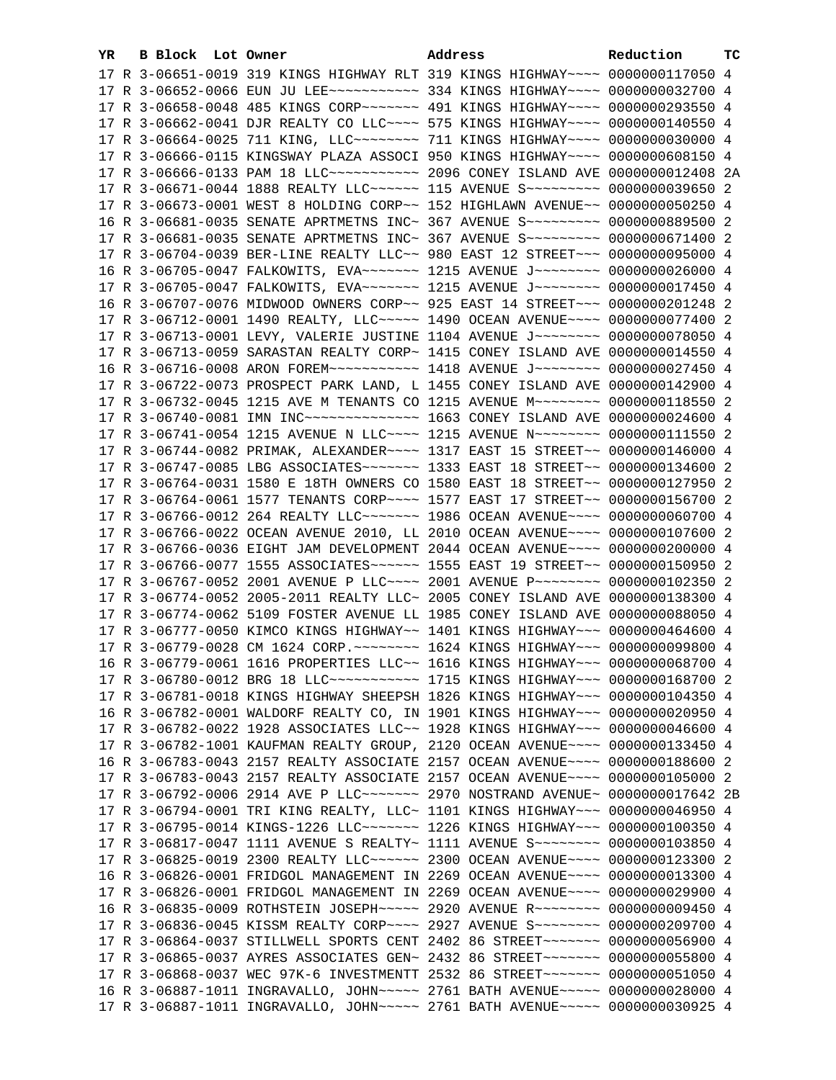| YR. | B Block Lot Owner |                                                                                          | Address | Reduction | тc |
|-----|-------------------|------------------------------------------------------------------------------------------|---------|-----------|----|
|     |                   | 17 R 3-06651-0019 319 KINGS HIGHWAY RLT 319 KINGS HIGHWAY~~~~ 0000000117050 4            |         |           |    |
|     |                   |                                                                                          |         |           |    |
|     |                   | 17 R 3-06658-0048 485 KINGS CORP ~~~~~~~ 491 KINGS HIGHWAY ~~~~ 0000000293550 4          |         |           |    |
|     |                   | 17 R 3-06662-0041 DJR REALTY CO LLC~~~~ 575 KINGS HIGHWAY~~~~ 0000000140550 4            |         |           |    |
|     |                   | 17 R 3-06664-0025 711 KING, LLC ------- 711 KINGS HIGHWAY --- 0000000030000 4            |         |           |    |
|     |                   | 17 R 3-06666-0115 KINGSWAY PLAZA ASSOCI 950 KINGS HIGHWAY~~~~ 0000000608150 4            |         |           |    |
|     |                   |                                                                                          |         |           |    |
|     |                   | 17 R 3-06666-0133 PAM 18 LLC ----------- 2096 CONEY ISLAND AVE 0000000012408 2A          |         |           |    |
|     |                   | 17 R 3-06671-0044 1888 REALTY LLC ----- 115 AVENUE S -------- 0000000039650 2            |         |           |    |
|     |                   | 17 R 3-06673-0001 WEST 8 HOLDING CORP~~ 152 HIGHLAWN AVENUE~~ 0000000050250 4            |         |           |    |
|     |                   | 16 R 3-06681-0035 SENATE APRTMETNS INC~ 367 AVENUE S~~~~~~~~~ 0000000889500 2            |         |           |    |
|     |                   | 17 R 3-06681-0035 SENATE APRTMETNS INC~ 367 AVENUE S~~~~~~~~~ 0000000671400 2            |         |           |    |
|     |                   | 17 R 3-06704-0039 BER-LINE REALTY LLC~~ 980 EAST 12 STREET~~~ 0000000095000 4            |         |           |    |
|     |                   | 16 R 3-06705-0047 FALKOWITS, EVA~~~~~~~~ 1215 AVENUE J~~~~~~~~~ 0000000026000 4          |         |           |    |
|     |                   | 17 R 3-06705-0047 FALKOWITS, EVA~~~~~~~~~~~~ 1215 AVENUE J~~~~~~~~~~~~~~ 0000000017450 4 |         |           |    |
|     |                   | 16 R 3-06707-0076 MIDWOOD OWNERS CORP~~ 925 EAST 14 STREET~~~ 0000000201248 2            |         |           |    |
|     |                   | 17 R 3-06712-0001 1490 REALTY, LLC ---- 1490 OCEAN AVENUE --- 0000000077400 2            |         |           |    |
|     |                   | 17 R 3-06713-0001 LEVY, VALERIE JUSTINE 1104 AVENUE J~~~~~~~~ 0000000078050 4            |         |           |    |
|     |                   | 17 R 3-06713-0059 SARASTAN REALTY CORP~ 1415 CONEY ISLAND AVE 0000000014550 4            |         |           |    |
|     |                   | 16 R 3-06716-0008 ARON FOREM~~~~~~~~~~~~~~~~~ 1418 AVENUE J~~~~~~~~~~~~~ 0000000027450 4 |         |           |    |
|     |                   | 17 R 3-06722-0073 PROSPECT PARK LAND, L 1455 CONEY ISLAND AVE 0000000142900 4            |         |           |    |
|     |                   | 17 R 3-06732-0045 1215 AVE M TENANTS CO 1215 AVENUE M~~~~~~~~ 0000000118550 2            |         |           |    |
|     |                   | 17 R 3-06740-0081 IMN INC -------------- 1663 CONEY ISLAND AVE 0000000024600 4           |         |           |    |
|     |                   | 17 R 3-06741-0054 1215 AVENUE N LLC~~~~ 1215 AVENUE N~~~~~~~~ 0000000111550 2            |         |           |    |
|     |                   | 17 R 3-06744-0082 PRIMAK, ALEXANDER~~~~ 1317 EAST 15 STREET~~ 0000000146000 4            |         |           |    |
|     |                   | 17 R 3-06747-0085 LBG ASSOCIATES~~~~~~~ 1333 EAST 18 STREET~~ 0000000134600 2            |         |           |    |
|     |                   | 17 R 3-06764-0031 1580 E 18TH OWNERS CO 1580 EAST 18 STREET~~ 0000000127950 2            |         |           |    |
|     |                   | 17 R 3-06764-0061 1577 TENANTS CORP~~~~ 1577 EAST 17 STREET~~ 0000000156700 2            |         |           |    |
|     |                   | 17 R 3-06766-0012 264 REALTY LLC ------- 1986 OCEAN AVENUE --- 0000000060700 4           |         |           |    |
|     |                   | 17 R 3-06766-0022 OCEAN AVENUE 2010, LL 2010 OCEAN AVENUE~~~~ 0000000107600 2            |         |           |    |
|     |                   |                                                                                          |         |           |    |
|     |                   | 17 R 3-06766-0036 EIGHT JAM DEVELOPMENT 2044 OCEAN AVENUE~~~~ 0000000200000 4            |         |           |    |
|     |                   | 17 R 3-06766-0077 1555 ASSOCIATES ----- 1555 EAST 19 STREET -- 0000000150950 2           |         |           |    |
|     |                   | 17 R 3-06767-0052 2001 AVENUE P LLC~~~~ 2001 AVENUE P~~~~~~~~ 0000000102350 2            |         |           |    |
|     |                   | 17 R 3-06774-0052 2005-2011 REALTY LLC~ 2005 CONEY ISLAND AVE 0000000138300 4            |         |           |    |
|     |                   | 17 R 3-06774-0062 5109 FOSTER AVENUE LL 1985 CONEY ISLAND AVE 0000000088050 4            |         |           |    |
|     |                   | 17 R 3-06777-0050 KIMCO KINGS HIGHWAY~~ 1401 KINGS HIGHWAY~~~ 0000000464600 4            |         |           |    |
|     |                   | 17 R 3-06779-0028 CM 1624 CORP. ~~~~~~~~ 1624 KINGS HIGHWAY~~~ 0000000099800 4           |         |           |    |
|     |                   | 16 R 3-06779-0061 1616 PROPERTIES LLC~~ 1616 KINGS HIGHWAY~~~ 0000000068700 4            |         |           |    |
|     |                   | 17 R 3-06780-0012 BRG 18 LLC ----------- 1715 KINGS HIGHWAY -- 0000000168700 2           |         |           |    |
|     |                   | 17 R 3-06781-0018 KINGS HIGHWAY SHEEPSH 1826 KINGS HIGHWAY~~~ 0000000104350 4            |         |           |    |
|     |                   | 16 R 3-06782-0001 WALDORF REALTY CO, IN 1901 KINGS HIGHWAY~~~ 0000000020950 4            |         |           |    |
|     |                   | 17 R 3-06782-0022 1928 ASSOCIATES LLC~~ 1928 KINGS HIGHWAY~~~ 0000000046600 4            |         |           |    |
|     |                   | 17 R 3-06782-1001 KAUFMAN REALTY GROUP, 2120 OCEAN AVENUE~~~~ 0000000133450 4            |         |           |    |
|     |                   | 16 R 3-06783-0043 2157 REALTY ASSOCIATE 2157 OCEAN AVENUE~~~~ 0000000188600 2            |         |           |    |
|     |                   | 17 R 3-06783-0043 2157 REALTY ASSOCIATE 2157 OCEAN AVENUE~~~~ 0000000105000 2            |         |           |    |
|     |                   | 17 R 3-06792-0006 2914 AVE P LLC~~~~~~~ 2970 NOSTRAND AVENUE~ 0000000017642 2B           |         |           |    |
|     |                   | 17 R 3-06794-0001 TRI KING REALTY, LLC~ 1101 KINGS HIGHWAY~~~ 0000000046950 4            |         |           |    |
|     |                   | 17 R 3-06795-0014 KINGS-1226 LLC ------- 1226 KINGS HIGHWAY -- 0000000100350 4           |         |           |    |
|     |                   | 17 R 3-06817-0047 1111 AVENUE S REALTY~ 1111 AVENUE S~~~~~~~~ 0000000103850 4            |         |           |    |
|     |                   | 17 R 3-06825-0019 2300 REALTY LLC ----- 2300 OCEAN AVENUE --- 0000000123300 2            |         |           |    |
|     |                   | 16 R 3-06826-0001 FRIDGOL MANAGEMENT IN 2269 OCEAN AVENUE~~~~ 0000000013300 4            |         |           |    |
|     |                   | 17 R 3-06826-0001 FRIDGOL MANAGEMENT IN 2269 OCEAN AVENUE~~~~ 0000000029900 4            |         |           |    |
|     |                   | 16 R 3-06835-0009 ROTHSTEIN JOSEPH~~~~~ 2920 AVENUE R~~~~~~~~ 0000000009450 4            |         |           |    |
|     |                   | 17 R 3-06836-0045 KISSM REALTY CORP~~~~ 2927 AVENUE S~~~~~~~~ 0000000209700 4            |         |           |    |
|     |                   | 17 R 3-06864-0037 STILLWELL SPORTS CENT 2402 86 STREET~~~~~~~ 0000000056900 4            |         |           |    |
|     |                   | 17 R 3-06865-0037 AYRES ASSOCIATES GEN~ 2432 86 STREET~~~~~~~ 0000000055800 4            |         |           |    |
|     |                   |                                                                                          |         |           |    |
|     |                   | 17 R 3-06868-0037 WEC 97K-6 INVESTMENTT 2532 86 STREET~~~~~~~ 0000000051050 4            |         |           |    |
|     |                   | 16 R 3-06887-1011 INGRAVALLO, JOHN~~~~~ 2761 BATH AVENUE~~~~~ 0000000028000 4            |         |           |    |
|     |                   | 17 R 3-06887-1011 INGRAVALLO, JOHN~~~~~ 2761 BATH AVENUE~~~~~ 0000000030925 4            |         |           |    |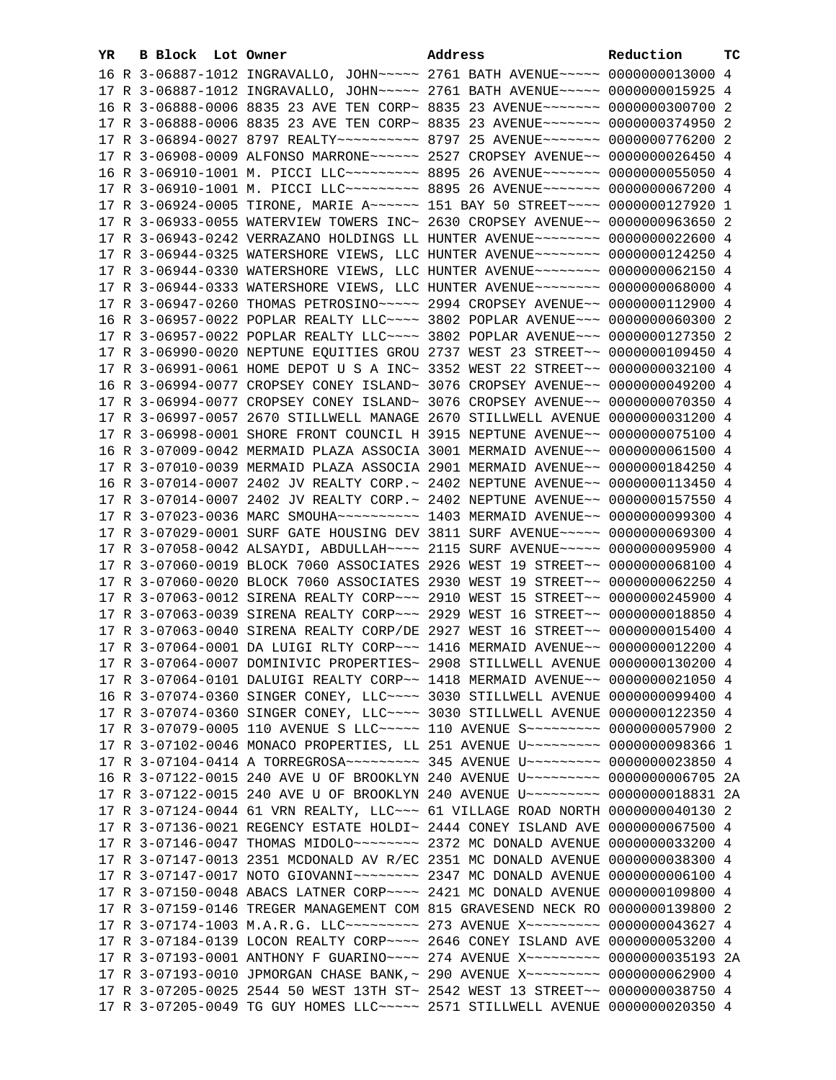| YR. | B Block Lot Owner |  | Address                                                                               | Reduction | тc |
|-----|-------------------|--|---------------------------------------------------------------------------------------|-----------|----|
|     |                   |  | 16 R 3-06887-1012 INGRAVALLO, JOHN~~~~~ 2761 BATH AVENUE~~~~~ 0000000013000 4         |           |    |
|     |                   |  | 17 R 3-06887-1012 INGRAVALLO, JOHN~~~~~ 2761 BATH AVENUE~~~~~ 0000000015925 4         |           |    |
|     |                   |  | 16 R 3-06888-0006 8835 23 AVE TEN CORP~ 8835 23 AVENUE~~~~~~~~ 0000000300700 2        |           |    |
|     |                   |  | 17 R 3-06888-0006 8835 23 AVE TEN CORP~ 8835 23 AVENUE~~~~~~~ 0000000374950 2         |           |    |
|     |                   |  | 17 R 3-06894-0027 8797 REALTY~~~~~~~~~~~~~~~ 8797 25 AVENUE~~~~~~~~ 0000000776200 2   |           |    |
|     |                   |  | 17 R 3-06908-0009 ALFONSO MARRONE~~~~~~ 2527 CROPSEY AVENUE~~ 0000000026450 4         |           |    |
|     |                   |  | 16 R 3-06910-1001 M. PICCI LLC -------- 8895 26 AVENUE ------- 0000000055050 4        |           |    |
|     |                   |  | 17 R 3-06910-1001 M. PICCI LLC -------- 8895 26 AVENUE ------- 0000000067200 4        |           |    |
|     |                   |  | 17 R 3-06924-0005 TIRONE, MARIE A~~~~~~ 151 BAY 50 STREET~~~~ 0000000127920 1         |           |    |
|     |                   |  | 17 R 3-06933-0055 WATERVIEW TOWERS INC~ 2630 CROPSEY AVENUE~~ 0000000963650 2         |           |    |
|     |                   |  |                                                                                       |           |    |
|     |                   |  | 17 R 3-06943-0242 VERRAZANO HOLDINGS LL HUNTER AVENUE~~~~~~~~ 0000000022600 4         |           |    |
|     |                   |  | 17 R 3-06944-0325 WATERSHORE VIEWS, LLC HUNTER AVENUE~~~~~~~~ 0000000124250 4         |           |    |
|     |                   |  | 17 R 3-06944-0330 WATERSHORE VIEWS, LLC HUNTER AVENUE~~~~~~~~ 0000000062150 4         |           |    |
|     |                   |  | 17 R 3-06944-0333 WATERSHORE VIEWS, LLC HUNTER AVENUE~~~~~~~~ 0000000068000 4         |           |    |
|     |                   |  | 17 R 3-06947-0260 THOMAS PETROSINO~~~~~ 2994 CROPSEY AVENUE~~ 0000000112900 4         |           |    |
|     |                   |  | 16 R 3-06957-0022 POPLAR REALTY LLC --- 3802 POPLAR AVENUE -- 0000000060300 2         |           |    |
|     |                   |  | 17 R 3-06957-0022 POPLAR REALTY LLC~~~~ 3802 POPLAR AVENUE~~~ 0000000127350 2         |           |    |
|     |                   |  | 17 R 3-06990-0020 NEPTUNE EQUITIES GROU 2737 WEST 23 STREET~~ 0000000109450 4         |           |    |
|     |                   |  | 17 R 3-06991-0061 HOME DEPOT U S A INC~ 3352 WEST 22 STREET~~ 0000000032100 4         |           |    |
|     |                   |  | 16 R 3-06994-0077 CROPSEY CONEY ISLAND~ 3076 CROPSEY AVENUE~~ 0000000049200 4         |           |    |
|     |                   |  | 17 R 3-06994-0077 CROPSEY CONEY ISLAND~ 3076 CROPSEY AVENUE~~ 0000000070350 4         |           |    |
|     |                   |  | 17 R 3-06997-0057 2670 STILLWELL MANAGE 2670 STILLWELL AVENUE 0000000031200 4         |           |    |
|     |                   |  | 17 R 3-06998-0001 SHORE FRONT COUNCIL H 3915 NEPTUNE AVENUE~~ 0000000075100 4         |           |    |
|     |                   |  | 16 R 3-07009-0042 MERMAID PLAZA ASSOCIA 3001 MERMAID AVENUE~~ 0000000061500 4         |           |    |
|     |                   |  | 17 R 3-07010-0039 MERMAID PLAZA ASSOCIA 2901 MERMAID AVENUE~~ 0000000184250 4         |           |    |
|     |                   |  | 16 R 3-07014-0007 2402 JV REALTY CORP.~ 2402 NEPTUNE AVENUE~~ 0000000113450 4         |           |    |
|     |                   |  | 17 R 3-07014-0007 2402 JV REALTY CORP.~ 2402 NEPTUNE AVENUE~~ 0000000157550 4         |           |    |
|     |                   |  | 17 R 3-07023-0036 MARC SMOUHA~~~~~~~~~~~~~~~ 1403 MERMAID AVENUE~~ 0000000099300 4    |           |    |
|     |                   |  | 17 R 3-07029-0001 SURF GATE HOUSING DEV 3811 SURF AVENUE~~~~~ 0000000069300 4         |           |    |
|     |                   |  | 17 R 3-07058-0042 ALSAYDI, ABDULLAH~~~~ 2115 SURF AVENUE~~~~~ 0000000095900 4         |           |    |
|     |                   |  | 17 R 3-07060-0019 BLOCK 7060 ASSOCIATES 2926 WEST 19 STREET~~ 0000000068100 4         |           |    |
|     |                   |  | 17 R 3-07060-0020 BLOCK 7060 ASSOCIATES 2930 WEST 19 STREET~~ 0000000062250 4         |           |    |
|     |                   |  | 17 R 3-07063-0012 SIRENA REALTY CORP~~~ 2910 WEST 15 STREET~~ 0000000245900 4         |           |    |
|     |                   |  | 17 R 3-07063-0039 SIRENA REALTY CORP~~~ 2929 WEST 16 STREET~~ 0000000018850 4         |           |    |
|     |                   |  | 17 R 3-07063-0040 SIRENA REALTY CORP/DE 2927 WEST 16 STREET~~ 0000000015400 4         |           |    |
|     |                   |  | 17 R 3-07064-0001 DA LUIGI RLTY CORP~~~ 1416 MERMAID AVENUE~~ 0000000012200 4         |           |    |
|     |                   |  | 17 R 3-07064-0007 DOMINIVIC PROPERTIES~ 2908 STILLWELL AVENUE 0000000130200 4         |           |    |
|     |                   |  | 17 R 3-07064-0101 DALUIGI REALTY CORP~~ 1418 MERMAID AVENUE~~ 0000000021050 4         |           |    |
|     |                   |  | 16 R 3-07074-0360 SINGER CONEY, LLC~~~~ 3030 STILLWELL AVENUE 0000000099400 4         |           |    |
|     |                   |  | 17 R 3-07074-0360 SINGER CONEY, LLC ~~~~ 3030 STILLWELL AVENUE 0000000122350 4        |           |    |
|     |                   |  | 17 R 3-07079-0005 110 AVENUE S LLC ---- 110 AVENUE S -------- 0000000057900 2         |           |    |
|     |                   |  | 17 R 3-07102-0046 MONACO PROPERTIES, LL 251 AVENUE U~~~~~~~~~ 0000000098366 1         |           |    |
|     |                   |  | 17 R 3-07104-0414 A TORREGROSA~~~~~~~~~~~~~~~ 345 AVENUE U~~~~~~~~~~~ 0000000023850 4 |           |    |
|     |                   |  | 16 R 3-07122-0015 240 AVE U OF BROOKLYN 240 AVENUE U~~~~~~~~~ 0000000006705 2A        |           |    |
|     |                   |  | 17 R 3-07122-0015 240 AVE U OF BROOKLYN 240 AVENUE U~~~~~~~~~ 0000000018831 2A        |           |    |
|     |                   |  | 17 R 3-07124-0044 61 VRN REALTY, LLC~~~ 61 VILLAGE ROAD NORTH 0000000040130 2         |           |    |
|     |                   |  | 17 R 3-07136-0021 REGENCY ESTATE HOLDI~ 2444 CONEY ISLAND AVE 0000000067500 4         |           |    |
|     |                   |  | 17 R 3-07146-0047 THOMAS MIDOLO~~~~~~~~~~~~~~ 2372 MC DONALD AVENUE 0000000033200 4   |           |    |
|     |                   |  | 17 R 3-07147-0013 2351 MCDONALD AV R/EC 2351 MC DONALD AVENUE 0000000038300 4         |           |    |
|     |                   |  |                                                                                       |           |    |
|     |                   |  | 17 R 3-07150-0048 ABACS LATNER CORP~~~~ 2421 MC DONALD AVENUE 0000000109800 4         |           |    |
|     |                   |  | 17 R 3-07159-0146 TREGER MANAGEMENT COM 815 GRAVESEND NECK RO 0000000139800 2         |           |    |
|     |                   |  | 17 R 3-07174-1003 M.A.R.G. LLC --------- 273 AVENUE X -------- 0000000043627 4        |           |    |
|     |                   |  | 17 R 3-07184-0139 LOCON REALTY CORP~~~~ 2646 CONEY ISLAND AVE 0000000053200 4         |           |    |
|     |                   |  | 17 R 3-07193-0001 ANTHONY F GUARINO~~~~ 274 AVENUE X~~~~~~~~~ 0000000035193 2A        |           |    |
|     |                   |  | 17 R 3-07193-0010 JPMORGAN CHASE BANK, ~ 290 AVENUE X~~~~~~~~~ 0000000062900 4        |           |    |
|     |                   |  | 17 R 3-07205-0025 2544 50 WEST 13TH ST~ 2542 WEST 13 STREET~~ 0000000038750 4         |           |    |
|     |                   |  | 17 R 3-07205-0049 TG GUY HOMES LLC~~~~~ 2571 STILLWELL AVENUE 0000000020350 4         |           |    |
|     |                   |  |                                                                                       |           |    |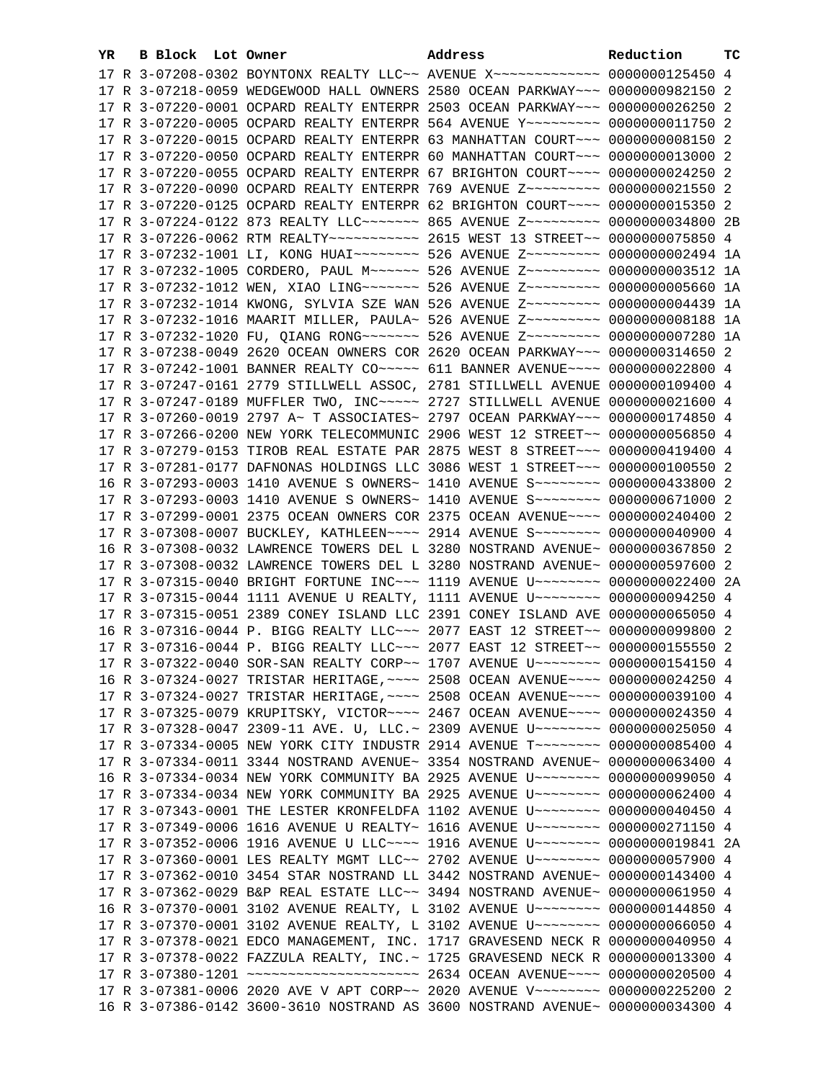| YR | B Block Lot Owner |                                                                                                                                                                 | Address | Reduction | тc |
|----|-------------------|-----------------------------------------------------------------------------------------------------------------------------------------------------------------|---------|-----------|----|
|    |                   | 17 R 3-07208-0302 BOYNTONX REALTY LLC~~ AVENUE X~~~~~~~~~~~~~ 0000000125450 4                                                                                   |         |           |    |
|    |                   | 17 R 3-07218-0059 WEDGEWOOD HALL OWNERS 2580 OCEAN PARKWAY~~~ 0000000982150 2                                                                                   |         |           |    |
|    |                   | 17 R 3-07220-0001 OCPARD REALTY ENTERPR 2503 OCEAN PARKWAY~~~ 0000000026250 2                                                                                   |         |           |    |
|    |                   | 17 R 3-07220-0005 OCPARD REALTY ENTERPR 564 AVENUE Y~~~~~~~~~ 0000000011750 2                                                                                   |         |           |    |
|    |                   | 17 R 3-07220-0015 OCPARD REALTY ENTERPR 63 MANHATTAN COURT~~~ 00000000008150 2                                                                                  |         |           |    |
|    |                   | 17 R 3-07220-0050 OCPARD REALTY ENTERPR 60 MANHATTAN COURT~~~ 0000000013000 2                                                                                   |         |           |    |
|    |                   | 17 R 3-07220-0055 OCPARD REALTY ENTERPR 67 BRIGHTON COURT~~~~ 0000000024250 2                                                                                   |         |           |    |
|    |                   | 17 R 3-07220-0090 OCPARD REALTY ENTERPR 769 AVENUE Z~~~~~~~~~ 0000000021550 2                                                                                   |         |           |    |
|    |                   | 17 R 3-07220-0125 OCPARD REALTY ENTERPR 62 BRIGHTON COURT~~~~ 0000000015350 2                                                                                   |         |           |    |
|    |                   | 17 R 3-07224-0122 873 REALTY LLC~~~~~~~~ 865 AVENUE Z~~~~~~~~~~ 0000000034800 2B                                                                                |         |           |    |
|    |                   | 17 R 3-07226-0062 RTM REALTY~~~~~~~~~~~~~~~~ 2615 WEST 13 STREET~~ 00000000075850 4                                                                             |         |           |    |
|    |                   | 17 R 3-07232-1001 LI, KONG HUAI~~~~~~~~ 526 AVENUE Z~~~~~~~~~ 0000000002494 1A                                                                                  |         |           |    |
|    |                   | 17 R 3-07232-1005 CORDERO, PAUL M~~~~~~ 526 AVENUE Z~~~~~~~~~ 0000000003512 1A                                                                                  |         |           |    |
|    |                   | 17 R 3-07232-1012 WEN, XIAO LING~~~~~~~ 526 AVENUE Z~~~~~~~~~ 0000000005660 1A                                                                                  |         |           |    |
|    |                   | 17 R 3-07232-1014 KWONG, SYLVIA SZE WAN 526 AVENUE Z~~~~~~~~~ 0000000004439 1A                                                                                  |         |           |    |
|    |                   | 17 R 3-07232-1016 MAARIT MILLER, PAULA~ 526 AVENUE Z~~~~~~~~~ 0000000008188 1A                                                                                  |         |           |    |
|    |                   | 17 R 3-07232-1020 FU, QIANG RONG~~~~~~~ 526 AVENUE Z~~~~~~~~~ 0000000007280 1A                                                                                  |         |           |    |
|    |                   | 17 R 3-07238-0049 2620 OCEAN OWNERS COR 2620 OCEAN PARKWAY~~~ 0000000314650 2                                                                                   |         |           |    |
|    |                   | 17 R 3-07242-1001 BANNER REALTY CO~~~~~ 611 BANNER AVENUE~~~~ 0000000022800 4                                                                                   |         |           |    |
|    |                   | 17 R 3-07247-0161 2779 STILLWELL ASSOC, 2781 STILLWELL AVENUE 0000000109400 4                                                                                   |         |           |    |
|    |                   | 17 R 3-07247-0189 MUFFLER TWO, INC~~~~~ 2727 STILLWELL AVENUE 0000000021600 4                                                                                   |         |           |    |
|    |                   | 17 R 3-07260-0019 2797 A~ T ASSOCIATES~ 2797 OCEAN PARKWAY~~~ 0000000174850 4                                                                                   |         |           |    |
|    |                   | 17 R 3-07266-0200 NEW YORK TELECOMMUNIC 2906 WEST 12 STREET~~ 0000000056850 4                                                                                   |         |           |    |
|    |                   | 17 R 3-07279-0153 TIROB REAL ESTATE PAR 2875 WEST 8 STREET~~~ 0000000419400 4                                                                                   |         |           |    |
|    |                   | 17 R 3-07281-0177 DAFNONAS HOLDINGS LLC 3086 WEST 1 STREET~~~ 0000000100550 2                                                                                   |         |           |    |
|    |                   | 16 R 3-07293-0003 1410 AVENUE S OWNERS~ 1410 AVENUE S~~~~~~~~~ 0000000433800 2                                                                                  |         |           |    |
|    |                   | 17 R 3-07293-0003 1410 AVENUE S OWNERS~ 1410 AVENUE S~~~~~~~~~ 0000000671000 2<br>17 R 3-07299-0001 2375 OCEAN OWNERS COR 2375 OCEAN AVENUE~~~~ 0000000240400 2 |         |           |    |
|    |                   | 17 R 3-07308-0007 BUCKLEY, KATHLEEN~~~~ 2914 AVENUE S~~~~~~~~ 0000000040900 4                                                                                   |         |           |    |
|    |                   | 16 R 3-07308-0032 LAWRENCE TOWERS DEL L 3280 NOSTRAND AVENUE~ 0000000367850 2                                                                                   |         |           |    |
|    |                   | 17 R 3-07308-0032 LAWRENCE TOWERS DEL L 3280 NOSTRAND AVENUE~ 0000000597600 2                                                                                   |         |           |    |
|    |                   | 17 R 3-07315-0040 BRIGHT FORTUNE INC~~~ 1119 AVENUE U~~~~~~~~ 0000000022400 2A                                                                                  |         |           |    |
|    |                   | 17 R 3-07315-0044 1111 AVENUE U REALTY, 1111 AVENUE U~~~~~~~~ 0000000094250 4                                                                                   |         |           |    |
|    |                   | 17 R 3-07315-0051 2389 CONEY ISLAND LLC 2391 CONEY ISLAND AVE 0000000065050 4                                                                                   |         |           |    |
|    |                   | 16 R 3-07316-0044 P. BIGG REALTY LLC -~~ 2077 EAST 12 STREET -~ 0000000099800 2                                                                                 |         |           |    |
|    |                   | 17 R 3-07316-0044 P. BIGG REALTY LLC -~~ 2077 EAST 12 STREET -~ 0000000155550 2                                                                                 |         |           |    |
|    |                   | 17 R 3-07322-0040 SOR-SAN REALTY CORP~~ 1707 AVENUE U~~~~~~~~ 0000000154150 4                                                                                   |         |           |    |
|    |                   | 16 R 3-07324-0027 TRISTAR HERITAGE, ~~~~ 2508 OCEAN AVENUE~~~~ 0000000024250 4                                                                                  |         |           |    |
|    |                   | 17 R 3-07324-0027 TRISTAR HERITAGE, ~~~~ 2508 OCEAN AVENUE~~~~ 0000000039100 4                                                                                  |         |           |    |
|    |                   | 17 R 3-07325-0079 KRUPITSKY, VICTOR~~~~ 2467 OCEAN AVENUE~~~~ 0000000024350 4                                                                                   |         |           |    |
|    |                   | 17 R 3-07328-0047 2309-11 AVE. U, LLC.~ 2309 AVENUE U~~~~~~~~~ 0000000025050 4                                                                                  |         |           |    |
|    |                   | 17 R 3-07334-0005 NEW YORK CITY INDUSTR 2914 AVENUE T~~~~~~~~~ 0000000085400 4                                                                                  |         |           |    |
|    |                   | 17 R 3-07334-0011 3344 NOSTRAND AVENUE~ 3354 NOSTRAND AVENUE~ 0000000063400 4                                                                                   |         |           |    |
|    |                   | 16 R 3-07334-0034 NEW YORK COMMUNITY BA 2925 AVENUE U~~~~~~~~~ 0000000099050 4                                                                                  |         |           |    |
|    |                   | 17 R 3-07334-0034 NEW YORK COMMUNITY BA 2925 AVENUE U~~~~~~~~ 0000000062400 4                                                                                   |         |           |    |
|    |                   | 17 R 3-07343-0001 THE LESTER KRONFELDFA 1102 AVENUE U~~~~~~~~ 0000000040450 4                                                                                   |         |           |    |
|    |                   | 17 R 3-07349-0006 1616 AVENUE U REALTY~ 1616 AVENUE U~~~~~~~~ 0000000271150 4                                                                                   |         |           |    |
|    |                   | 17 R 3-07352-0006 1916 AVENUE U LLC~~~~ 1916 AVENUE U~~~~~~~~ 0000000019841 2A                                                                                  |         |           |    |
|    |                   | 17 R 3-07360-0001 LES REALTY MGMT LLC~~ 2702 AVENUE U~~~~~~~~ 0000000057900 4                                                                                   |         |           |    |
|    |                   | 17 R 3-07362-0010 3454 STAR NOSTRAND LL 3442 NOSTRAND AVENUE~ 0000000143400 4                                                                                   |         |           |    |
|    |                   | 17 R 3-07362-0029 B&P REAL ESTATE LLC~~ 3494 NOSTRAND AVENUE~ 0000000061950 4                                                                                   |         |           |    |
|    |                   | 16 R 3-07370-0001 3102 AVENUE REALTY, L 3102 AVENUE U~~~~~~~~ 0000000144850 4                                                                                   |         |           |    |
|    |                   | 17 R 3-07370-0001 3102 AVENUE REALTY, L 3102 AVENUE U~~~~~~~~ 0000000066050 4                                                                                   |         |           |    |
|    |                   | 17 R 3-07378-0021 EDCO MANAGEMENT, INC. 1717 GRAVESEND NECK R 0000000040950 4                                                                                   |         |           |    |
|    |                   | 17 R 3-07378-0022 FAZZULA REALTY, INC.~ 1725 GRAVESEND NECK R 0000000013300 4                                                                                   |         |           |    |
|    |                   | 17 R 3-07380-1201 ~~~~~~~~~~~~~~~~~~~~~~~~~~~~ 2634 OCEAN AVENUE~~~~~ 0000000020500 4                                                                           |         |           |    |
|    |                   | 17 R 3-07381-0006 2020 AVE V APT CORP~~ 2020 AVENUE V~~~~~~~~ 0000000225200 2                                                                                   |         |           |    |
|    |                   | 16 R 3-07386-0142 3600-3610 NOSTRAND AS 3600 NOSTRAND AVENUE~ 0000000034300 4                                                                                   |         |           |    |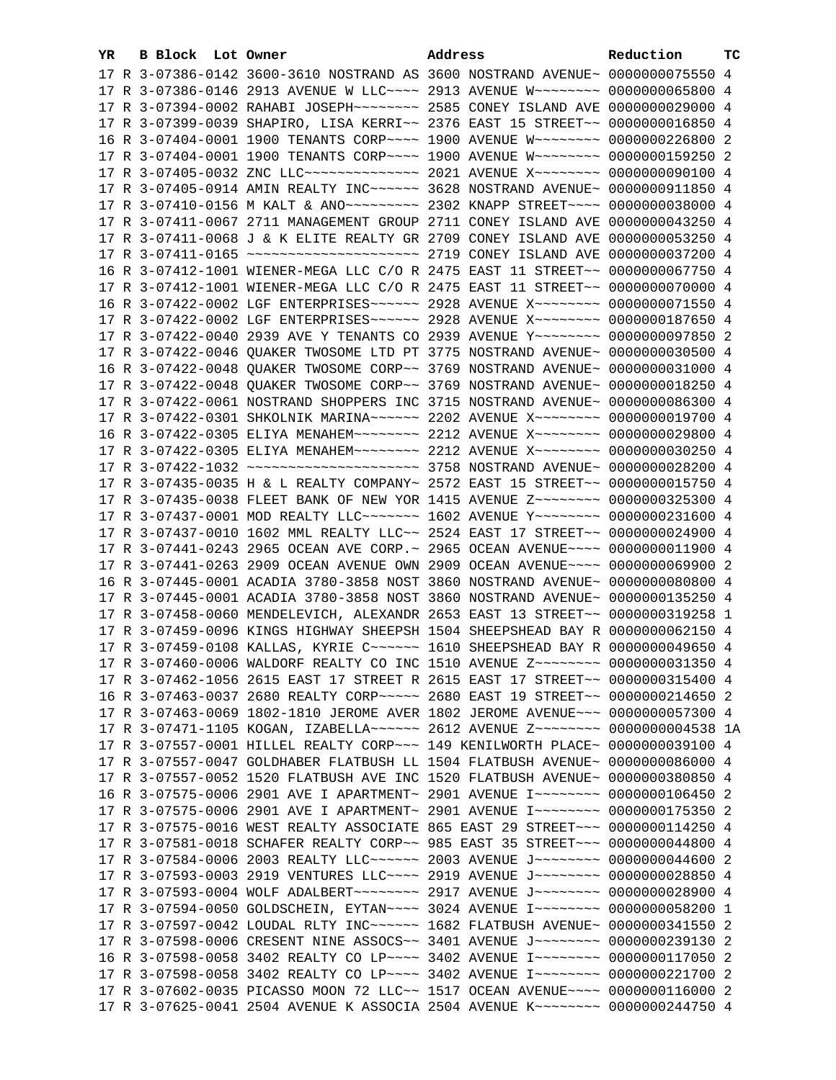| YR. | B Block Lot Owner |                                                                                                                                                                | Address | ТC<br>Reduction |  |
|-----|-------------------|----------------------------------------------------------------------------------------------------------------------------------------------------------------|---------|-----------------|--|
|     |                   | 17 R 3-07386-0142 3600-3610 NOSTRAND AS 3600 NOSTRAND AVENUE~ 0000000075550 4                                                                                  |         |                 |  |
|     |                   | 17 R 3-07386-0146 2913 AVENUE W LLC~~~~ 2913 AVENUE W~~~~~~~~ 0000000065800 4                                                                                  |         |                 |  |
|     |                   | 17 R 3-07394-0002 RAHABI JOSEPH~~~~~~~~ 2585 CONEY ISLAND AVE 0000000029000 4                                                                                  |         |                 |  |
|     |                   | 17 R 3-07399-0039 SHAPIRO, LISA KERRI~~ 2376 EAST 15 STREET~~ 0000000016850 4                                                                                  |         |                 |  |
|     |                   | 16 R 3-07404-0001 1900 TENANTS CORP~~~~ 1900 AVENUE W~~~~~~~~ 0000000226800 2                                                                                  |         |                 |  |
|     |                   | 17 R 3-07404-0001 1900 TENANTS CORP~~~~ 1900 AVENUE W~~~~~~~~ 0000000159250 2                                                                                  |         |                 |  |
|     |                   | 17 R 3-07405-0032 ZNC LLC -------------- 2021 AVENUE X -------- 0000000090100 4                                                                                |         |                 |  |
|     |                   | 17 R 3-07405-0914 AMIN REALTY INC ----- 3628 NOSTRAND AVENUE ~ 0000000911850 4                                                                                 |         |                 |  |
|     |                   | 17 R 3-07410-0156 M KALT & ANO~~~~~~~~~~~~~~~ 2302 KNAPP STREET~~~~~ 0000000038000 4                                                                           |         |                 |  |
|     |                   | 17 R 3-07411-0067 2711 MANAGEMENT GROUP 2711 CONEY ISLAND AVE 0000000043250 4                                                                                  |         |                 |  |
|     |                   | 17 R 3-07411-0068 J & K ELITE REALTY GR 2709 CONEY ISLAND AVE 0000000053250 4                                                                                  |         |                 |  |
|     |                   |                                                                                                                                                                |         |                 |  |
|     |                   |                                                                                                                                                                |         |                 |  |
|     |                   | 16 R 3-07412-1001 WIENER-MEGA LLC C/O R 2475 EAST 11 STREET~~ 0000000067750 4                                                                                  |         |                 |  |
|     |                   | 17 R 3-07412-1001 WIENER-MEGA LLC C/O R 2475 EAST 11 STREET~~ 0000000070000 4                                                                                  |         |                 |  |
|     |                   | 16 R 3-07422-0002 LGF ENTERPRISES~~~~~~ 2928 AVENUE X~~~~~~~~ 0000000071550 4                                                                                  |         |                 |  |
|     |                   | 17 R 3-07422-0002 LGF ENTERPRISES~~~~~~ 2928 AVENUE X~~~~~~~~ 0000000187650 4                                                                                  |         |                 |  |
|     |                   | 17 R 3-07422-0040 2939 AVE Y TENANTS CO 2939 AVENUE Y~~~~~~~~ 0000000097850 2                                                                                  |         |                 |  |
|     |                   | 17 R 3-07422-0046 QUAKER TWOSOME LTD PT 3775 NOSTRAND AVENUE~ 0000000030500 4                                                                                  |         |                 |  |
|     |                   | 16 R 3-07422-0048 QUAKER TWOSOME CORP~~ 3769 NOSTRAND AVENUE~ 0000000031000 4                                                                                  |         |                 |  |
|     |                   | 17 R 3-07422-0048 QUAKER TWOSOME CORP~~ 3769 NOSTRAND AVENUE~ 0000000018250 4                                                                                  |         |                 |  |
|     |                   | 17 R 3-07422-0061 NOSTRAND SHOPPERS INC 3715 NOSTRAND AVENUE~ 0000000086300 4                                                                                  |         |                 |  |
|     |                   | 17 R 3-07422-0301 SHKOLNIK MARINA~~~~~~ 2202 AVENUE X~~~~~~~~ 0000000019700 4                                                                                  |         |                 |  |
|     |                   | 16 R 3-07422-0305 ELIYA MENAHEM~~~~~~~~ 2212 AVENUE X~~~~~~~~ 0000000029800 4                                                                                  |         |                 |  |
|     |                   | 17 R 3-07422-0305 ELIYA MENAHEM~~~~~~~~ 2212 AVENUE X~~~~~~~~ 0000000030250 4                                                                                  |         |                 |  |
|     |                   |                                                                                                                                                                |         |                 |  |
|     |                   | 17 R 3-07435-0035 H & L REALTY COMPANY~ 2572 EAST 15 STREET~~ 0000000015750 4                                                                                  |         |                 |  |
|     |                   | 17 R 3-07435-0038 FLEET BANK OF NEW YOR 1415 AVENUE Z~~~~~~~~ 0000000325300 4                                                                                  |         |                 |  |
|     |                   | 17 R 3-07437-0001 MOD REALTY LLC ------- 1602 AVENUE Y -------- 0000000231600 4                                                                                |         |                 |  |
|     |                   | 17 R 3-07437-0010 1602 MML REALTY LLC~~ 2524 EAST 17 STREET~~ 0000000024900 4                                                                                  |         |                 |  |
|     |                   | 17 R 3-07441-0243 2965 OCEAN AVE CORP.~ 2965 OCEAN AVENUE~~~~ 0000000011900 4<br>17 R 3-07441-0263 2909 OCEAN AVENUE OWN 2909 OCEAN AVENUE~~~~ 0000000069900 2 |         |                 |  |
|     |                   | 16 R 3-07445-0001 ACADIA 3780-3858 NOST 3860 NOSTRAND AVENUE~ 0000000080800 4                                                                                  |         |                 |  |
|     |                   | 17 R 3-07445-0001 ACADIA 3780-3858 NOST 3860 NOSTRAND AVENUE~ 0000000135250 4                                                                                  |         |                 |  |
|     |                   | 17 R 3-07458-0060 MENDELEVICH, ALEXANDR 2653 EAST 13 STREET~~ 0000000319258 1                                                                                  |         |                 |  |
|     |                   | 17 R 3-07459-0096 KINGS HIGHWAY SHEEPSH 1504 SHEEPSHEAD BAY R 0000000062150 4                                                                                  |         |                 |  |
|     |                   | 17 R 3-07459-0108 KALLAS, KYRIE C ~~~~~~ 1610 SHEEPSHEAD BAY R 0000000049650 4                                                                                 |         |                 |  |
|     |                   | 17 R 3-07460-0006 WALDORF REALTY CO INC 1510 AVENUE Z~~~~~~~~ 0000000031350 4                                                                                  |         |                 |  |
|     |                   | 17 R 3-07462-1056 2615 EAST 17 STREET R 2615 EAST 17 STREET~~ 0000000315400 4                                                                                  |         |                 |  |
|     |                   | 16 R 3-07463-0037 2680 REALTY CORP~~~~~ 2680 EAST 19 STREET~~ 0000000214650 2                                                                                  |         |                 |  |
|     |                   | 17 R 3-07463-0069 1802-1810 JEROME AVER 1802 JEROME AVENUE~~~ 0000000057300 4                                                                                  |         |                 |  |
|     |                   | 17 R 3-07471-1105 KOGAN, IZABELLA~~~~~~ 2612 AVENUE Z~~~~~~~~ 0000000004538 1A                                                                                 |         |                 |  |
|     |                   | 17 R 3-07557-0001 HILLEL REALTY CORP~~~ 149 KENILWORTH PLACE~ 0000000039100 4                                                                                  |         |                 |  |
|     |                   | 17 R 3-07557-0047 GOLDHABER FLATBUSH LL 1504 FLATBUSH AVENUE~ 0000000086000 4                                                                                  |         |                 |  |
|     |                   | 17 R 3-07557-0052 1520 FLATBUSH AVE INC 1520 FLATBUSH AVENUE~ 0000000380850 4                                                                                  |         |                 |  |
|     |                   | 16 R 3-07575-0006 2901 AVE I APARTMENT~ 2901 AVENUE I~~~~~~~~ 0000000106450 2                                                                                  |         |                 |  |
|     |                   | 17 R 3-07575-0006 2901 AVE I APARTMENT~ 2901 AVENUE I~~~~~~~~~ 0000000175350 2                                                                                 |         |                 |  |
|     |                   | 17 R 3-07575-0016 WEST REALTY ASSOCIATE 865 EAST 29 STREET~~~ 0000000114250 4                                                                                  |         |                 |  |
|     |                   | 17 R 3-07581-0018 SCHAFER REALTY CORP~~ 985 EAST 35 STREET~~~ 0000000044800 4                                                                                  |         |                 |  |
|     |                   | 17 R 3-07584-0006 2003 REALTY LLC ----- 2003 AVENUE J ------- 0000000044600 2                                                                                  |         |                 |  |
|     |                   | 17 R 3-07593-0003 2919 VENTURES LLC~~~~ 2919 AVENUE J~~~~~~~~ 0000000028850 4                                                                                  |         |                 |  |
|     |                   | 17 R 3-07593-0004 WOLF ADALBERT ~~~~~~~~ 2917 AVENUE J ~~~~~~~~ 0000000028900 4                                                                                |         |                 |  |
|     |                   | 17 R 3-07594-0050 GOLDSCHEIN, EYTAN~~~~ 3024 AVENUE I~~~~~~~~ 0000000058200 1                                                                                  |         |                 |  |
|     |                   | 17 R 3-07597-0042 LOUDAL RLTY INC ----- 1682 FLATBUSH AVENUE ~ 0000000341550 2                                                                                 |         |                 |  |
|     |                   | 17 R 3-07598-0006 CRESENT NINE ASSOCS~~ 3401 AVENUE J~~~~~~~~ 0000000239130 2                                                                                  |         |                 |  |
|     |                   | 16 R 3-07598-0058 3402 REALTY CO LP~~~~ 3402 AVENUE I~~~~~~~~ 0000000117050 2                                                                                  |         |                 |  |
|     |                   | 17 R 3-07598-0058 3402 REALTY CO LP~~~~ 3402 AVENUE I~~~~~~~~ 0000000221700 2                                                                                  |         |                 |  |
|     |                   | 17 R 3-07602-0035 PICASSO MOON 72 LLC~~ 1517 OCEAN AVENUE~~~~ 0000000116000 2                                                                                  |         |                 |  |
|     |                   | 17 R 3-07625-0041 2504 AVENUE K ASSOCIA 2504 AVENUE K~~~~~~~~ 0000000244750 4                                                                                  |         |                 |  |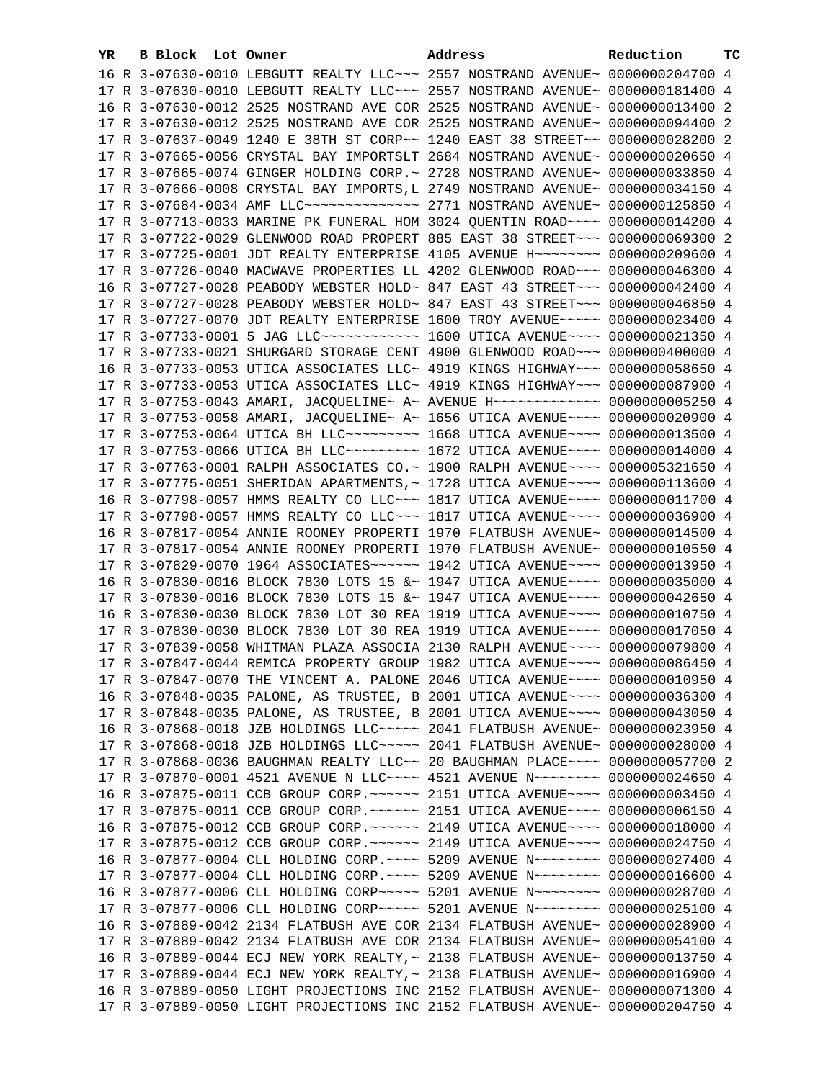| YR | B Block Lot Owner |                                                                                 | Address | Reduction       | тc |
|----|-------------------|---------------------------------------------------------------------------------|---------|-----------------|----|
|    |                   | 16 R 3-07630-0010 LEBGUTT REALTY LLC ~~~ 2557 NOSTRAND AVENUE~ 0000000204700 4  |         |                 |    |
|    |                   | 17 R 3-07630-0010 LEBGUTT REALTY LLC ~~~ 2557 NOSTRAND AVENUE~ 0000000181400 4  |         |                 |    |
|    |                   | 16 R 3-07630-0012 2525 NOSTRAND AVE COR 2525 NOSTRAND AVENUE~ 0000000013400 2   |         |                 |    |
|    |                   | 17 R 3-07630-0012 2525 NOSTRAND AVE COR 2525 NOSTRAND AVENUE~                   |         | 0000000094400 2 |    |
|    |                   | 17 R 3-07637-0049 1240 E 38TH ST CORP~~ 1240 EAST 38 STREET~~                   |         | 0000000028200 2 |    |
|    |                   | 17 R 3-07665-0056 CRYSTAL BAY IMPORTSLT 2684 NOSTRAND AVENUE~                   |         | 0000000020650 4 |    |
|    |                   | 17 R 3-07665-0074 GINGER HOLDING CORP.~ 2728 NOSTRAND AVENUE~                   |         | 0000000033850 4 |    |
|    |                   | 17 R 3-07666-0008 CRYSTAL BAY IMPORTS, L 2749 NOSTRAND AVENUE~                  |         | 0000000034150 4 |    |
|    |                   | 17 R 3-07684-0034 AMF LLC -------------- 2771 NOSTRAND AVENUE ~ 0000000125850 4 |         |                 |    |
|    |                   | 17 R 3-07713-0033 MARINE PK FUNERAL HOM 3024 QUENTIN ROAD~~~~ 0000000014200 4   |         |                 |    |
|    |                   | 17 R 3-07722-0029 GLENWOOD ROAD PROPERT 885 EAST 38 STREET~~~ 0000000069300 2   |         |                 |    |
|    |                   | 17 R 3-07725-0001 JDT REALTY ENTERPRISE 4105 AVENUE H~~~~~~~~ 0000000209600 4   |         |                 |    |
|    |                   | 17 R 3-07726-0040 MACWAVE PROPERTIES LL 4202 GLENWOOD ROAD~~~ 0000000046300 4   |         |                 |    |
|    |                   | 16 R 3-07727-0028 PEABODY WEBSTER HOLD~ 847 EAST 43 STREET~~~ 0000000042400 4   |         |                 |    |
|    |                   | 17 R 3-07727-0028 PEABODY WEBSTER HOLD~ 847 EAST 43 STREET~~~ 0000000046850 4   |         |                 |    |
|    |                   | 17 R 3-07727-0070 JDT REALTY ENTERPRISE 1600 TROY AVENUE~~~~~ 0000000023400 4   |         |                 |    |
|    |                   | 17 R 3-07733-0001 5 JAG LLC ------------ 1600 UTICA AVENUE --- 0000000021350 4  |         |                 |    |
|    |                   | 17 R 3-07733-0021 SHURGARD STORAGE CENT 4900 GLENWOOD ROAD~~~ 0000000400000 4   |         |                 |    |
|    |                   | 16 R 3-07733-0053 UTICA ASSOCIATES LLC~ 4919 KINGS HIGHWAY~~~ 0000000058650 4   |         |                 |    |
|    |                   | 17 R 3-07733-0053 UTICA ASSOCIATES LLC~ 4919 KINGS HIGHWAY~~~ 0000000087900 4   |         |                 |    |
|    |                   | 17 R 3-07753-0043 AMARI, JACQUELINE~ A~ AVENUE H~~~~~~~~~~~~~ 0000000005250 4   |         |                 |    |
|    |                   | 17 R 3-07753-0058 AMARI, JACQUELINE~ A~ 1656 UTICA AVENUE~~~~ 0000000020900 4   |         |                 |    |
|    |                   | 17 R 3-07753-0064 UTICA BH LLC --------- 1668 UTICA AVENUE --- 0000000013500 4  |         |                 |    |
|    |                   | 17 R 3-07753-0066 UTICA BH LLC --------- 1672 UTICA AVENUE --- 0000000014000 4  |         |                 |    |
|    |                   | 17 R 3-07763-0001 RALPH ASSOCIATES CO.~ 1900 RALPH AVENUE~~~~ 0000005321650 4   |         |                 |    |
|    |                   | 17 R 3-07775-0051 SHERIDAN APARTMENTS, ~ 1728 UTICA AVENUE~~~~ 0000000113600 4  |         |                 |    |
|    |                   | 16 R 3-07798-0057 HMMS REALTY CO LLC~~~ 1817 UTICA AVENUE~~~~ 0000000011700 4   |         |                 |    |
|    |                   | 17 R 3-07798-0057 HMMS REALTY CO LLC~~~ 1817 UTICA AVENUE~~~~ 0000000036900 4   |         |                 |    |
|    |                   | 16 R 3-07817-0054 ANNIE ROONEY PROPERTI 1970 FLATBUSH AVENUE~ 0000000014500 4   |         |                 |    |
|    |                   | 17 R 3-07817-0054 ANNIE ROONEY PROPERTI 1970 FLATBUSH AVENUE~ 0000000010550 4   |         |                 |    |
|    |                   | 17 R 3-07829-0070 1964 ASSOCIATES~~~~~~ 1942 UTICA AVENUE~~~~ 0000000013950 4   |         |                 |    |
|    |                   | 16 R 3-07830-0016 BLOCK 7830 LOTS 15 &~ 1947 UTICA AVENUE~~~~ 0000000035000 4   |         |                 |    |
|    |                   | 17 R 3-07830-0016 BLOCK 7830 LOTS 15 &~ 1947 UTICA AVENUE~~~~ 0000000042650 4   |         |                 |    |
|    |                   | 16 R 3-07830-0030 BLOCK 7830 LOT 30 REA 1919 UTICA AVENUE~~~~ 0000000010750 4   |         |                 |    |
|    |                   | 17 R 3-07830-0030 BLOCK 7830 LOT 30 REA 1919 UTICA AVENUE~~~~ 0000000017050 4   |         |                 |    |
|    |                   | 17 R 3-07839-0058 WHITMAN PLAZA ASSOCIA 2130 RALPH AVENUE~~~~ 0000000079800 4   |         |                 |    |
|    |                   | 17 R 3-07847-0044 REMICA PROPERTY GROUP 1982 UTICA AVENUE~~~~ 0000000086450 4   |         |                 |    |
|    |                   | 17 R 3-07847-0070 THE VINCENT A. PALONE 2046 UTICA AVENUE~~~~ 0000000010950 4   |         |                 |    |
|    |                   | 16 R 3-07848-0035 PALONE, AS TRUSTEE, B 2001 UTICA AVENUE~~~~ 0000000036300 4   |         |                 |    |
|    |                   | 17 R 3-07848-0035 PALONE, AS TRUSTEE, B 2001 UTICA AVENUE~~~~ 0000000043050 4   |         |                 |    |
|    |                   | 16 R 3-07868-0018 JZB HOLDINGS LLC ~~~~~ 2041 FLATBUSH AVENUE ~ 0000000023950   |         |                 | 4  |
|    |                   | 17 R 3-07868-0018 JZB HOLDINGS LLC ---- 2041 FLATBUSH AVENUE ~ 0000000028000 4  |         |                 |    |
|    |                   | 17 R 3-07868-0036 BAUGHMAN REALTY LLC~~ 20 BAUGHMAN PLACE~~~~ 0000000057700 2   |         |                 |    |
|    |                   | 17 R 3-07870-0001 4521 AVENUE N LLC~~~~ 4521 AVENUE N~~~~~~~~ 0000000024650 4   |         |                 |    |
|    |                   | 16 R 3-07875-0011 CCB GROUP CORP. ~~~~~~ 2151 UTICA AVENUE~~~~ 0000000003450 4  |         |                 |    |
|    |                   | 17 R 3-07875-0011 CCB GROUP CORP. ~~~~~~ 2151 UTICA AVENUE~~~~ 00000000006150 4 |         |                 |    |
|    |                   | 16 R 3-07875-0012 CCB GROUP CORP. ~~~~~~ 2149 UTICA AVENUE~~~~ 0000000018000 4  |         |                 |    |
|    |                   | 17 R 3-07875-0012 CCB GROUP CORP. ~~~~~~ 2149 UTICA AVENUE~~~~ 0000000024750 4  |         |                 |    |
|    |                   | 16 R 3-07877-0004 CLL HOLDING CORP. ~~~~ 5209 AVENUE N~~~~~~~~ 0000000027400 4  |         |                 |    |
|    |                   | 17 R 3-07877-0004 CLL HOLDING CORP. ~~~~ 5209 AVENUE N~~~~~~~~ 0000000016600 4  |         |                 |    |
|    |                   | 16 R 3-07877-0006 CLL HOLDING CORP~~~~~ 5201 AVENUE N~~~~~~~~                   |         | 0000000028700 4 |    |
|    |                   | 17 R 3-07877-0006 CLL HOLDING CORP~~~~~ 5201 AVENUE N~~~~~~~~                   |         | 0000000025100 4 |    |
|    |                   | 16 R 3-07889-0042 2134 FLATBUSH AVE COR 2134 FLATBUSH AVENUE~                   |         | 0000000028900 4 |    |
|    |                   | 17 R 3-07889-0042 2134 FLATBUSH AVE COR 2134 FLATBUSH AVENUE~                   |         | 0000000054100 4 |    |
|    |                   | 16 R 3-07889-0044 ECJ NEW YORK REALTY, ~ 2138 FLATBUSH AVENUE~                  |         | 0000000013750 4 |    |
|    |                   | 17 R 3-07889-0044 ECJ NEW YORK REALTY, ~ 2138 FLATBUSH AVENUE~                  |         | 0000000016900 4 |    |
|    |                   | 16 R 3-07889-0050 LIGHT PROJECTIONS INC 2152 FLATBUSH AVENUE~                   |         | 0000000071300 4 |    |
|    |                   | 17 R 3-07889-0050 LIGHT PROJECTIONS INC 2152 FLATBUSH AVENUE~ 0000000204750 4   |         |                 |    |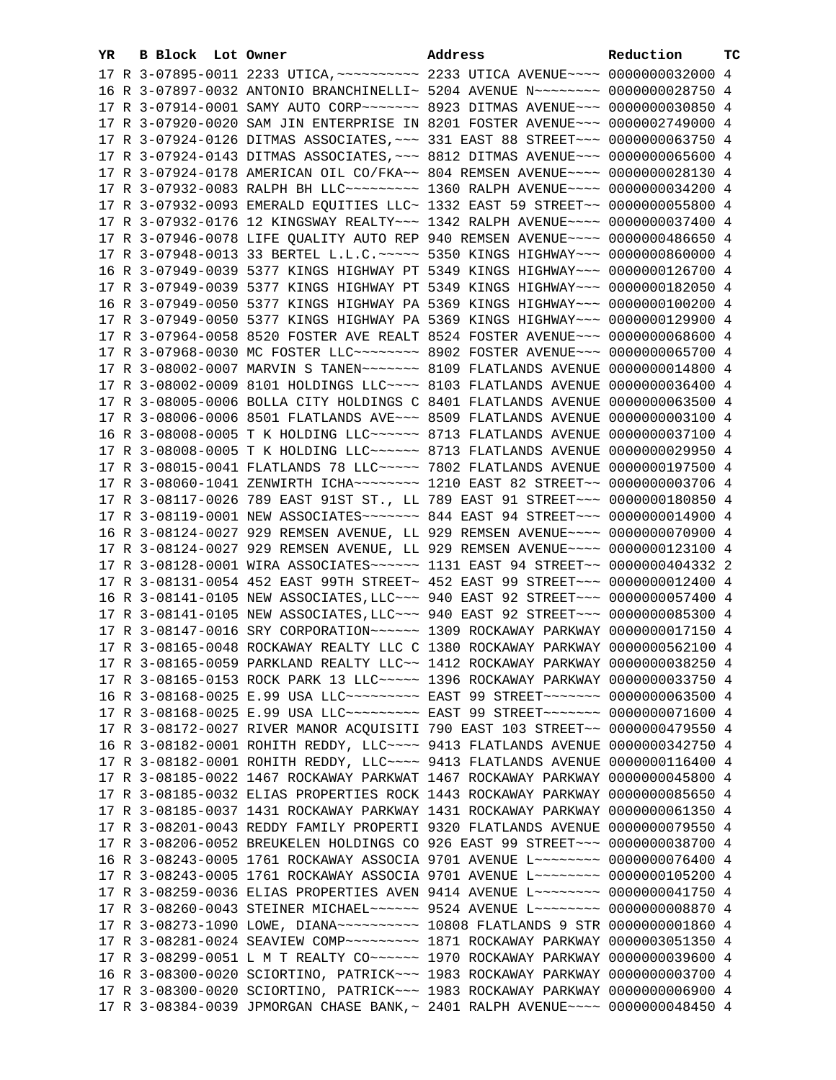| YR. | B Block Lot Owner |  | Address                                                                            | Reduction | тc |
|-----|-------------------|--|------------------------------------------------------------------------------------|-----------|----|
|     |                   |  | 17 R 3-07895-0011 2233 UTICA, ~~~~~~~~~~ 2233 UTICA AVENUE~~~~ 0000000032000 4     |           |    |
|     |                   |  | 16 R 3-07897-0032 ANTONIO BRANCHINELLI~ 5204 AVENUE N~~~~~~~~~ 0000000028750 4     |           |    |
|     |                   |  | 17 R 3-07914-0001 SAMY AUTO CORP~~~~~~~ 8923 DITMAS AVENUE~~~ 0000000030850 4      |           |    |
|     |                   |  | 17 R 3-07920-0020 SAM JIN ENTERPRISE IN 8201 FOSTER AVENUE~~~ 0000002749000 4      |           |    |
|     |                   |  | 17 R 3-07924-0126 DITMAS ASSOCIATES, ~~~ 331 EAST 88 STREET~~~ 0000000063750 4     |           |    |
|     |                   |  | 17 R 3-07924-0143 DITMAS ASSOCIATES, ~~~ 8812 DITMAS AVENUE~~~ 0000000065600 4     |           |    |
|     |                   |  | 17 R 3-07924-0178 AMERICAN OIL CO/FKA~~ 804 REMSEN AVENUE~~~~ 0000000028130 4      |           |    |
|     |                   |  | 17 R 3-07932-0083 RALPH BH LLC -------- 1360 RALPH AVENUE --- 0000000034200 4      |           |    |
|     |                   |  | 17 R 3-07932-0093 EMERALD EQUITIES LLC~ 1332 EAST 59 STREET~~ 0000000055800 4      |           |    |
|     |                   |  | 17 R 3-07932-0176 12 KINGSWAY REALTY~~~ 1342 RALPH AVENUE~~~~ 0000000037400 4      |           |    |
|     |                   |  | 17 R 3-07946-0078 LIFE QUALITY AUTO REP 940 REMSEN AVENUE~~~~ 0000000486650 4      |           |    |
|     |                   |  | 17 R 3-07948-0013 33 BERTEL L.L.C. ~~~~~ 5350 KINGS HIGHWAY~~~ 0000000860000 4     |           |    |
|     |                   |  |                                                                                    |           |    |
|     |                   |  | 16 R 3-07949-0039 5377 KINGS HIGHWAY PT 5349 KINGS HIGHWAY~~~ 0000000126700 4      |           |    |
|     |                   |  | 17 R 3-07949-0039 5377 KINGS HIGHWAY PT 5349 KINGS HIGHWAY~~~ 0000000182050 4      |           |    |
|     |                   |  | 16 R 3-07949-0050 5377 KINGS HIGHWAY PA 5369 KINGS HIGHWAY~~~ 0000000100200 4      |           |    |
|     |                   |  | 17 R 3-07949-0050 5377 KINGS HIGHWAY PA 5369 KINGS HIGHWAY~~~ 0000000129900 4      |           |    |
|     |                   |  | 17 R 3-07964-0058 8520 FOSTER AVE REALT 8524 FOSTER AVENUE~~~ 0000000068600 4      |           |    |
|     |                   |  | 17 R 3-07968-0030 MC FOSTER LLC ------- 8902 FOSTER AVENUE -- 0000000065700 4      |           |    |
|     |                   |  | 17 R 3-08002-0007 MARVIN S TANEN~~~~~~~ 8109 FLATLANDS AVENUE 0000000014800 4      |           |    |
|     |                   |  | 17 R 3-08002-0009 8101 HOLDINGS LLC~~~~ 8103 FLATLANDS AVENUE 0000000036400 4      |           |    |
|     |                   |  | 17 R 3-08005-0006 BOLLA CITY HOLDINGS C 8401 FLATLANDS AVENUE 0000000063500 4      |           |    |
|     |                   |  | 17 R 3-08006-0006 8501 FLATLANDS AVE~~~ 8509 FLATLANDS AVENUE 0000000003100 4      |           |    |
|     |                   |  | 16 R 3-08008-0005 T K HOLDING LLC ~~~~~~ 8713 FLATLANDS AVENUE 0000000037100 4     |           |    |
|     |                   |  | 17 R 3-08008-0005 T K HOLDING LLC ~~~~~~ 8713 FLATLANDS AVENUE 0000000029950 4     |           |    |
|     |                   |  | 17 R 3-08015-0041 FLATLANDS 78 LLC ---- 7802 FLATLANDS AVENUE 0000000197500 4      |           |    |
|     |                   |  |                                                                                    |           |    |
|     |                   |  | 17 R 3-08117-0026 789 EAST 91ST ST., LL 789 EAST 91 STREET~~~ 0000000180850 4      |           |    |
|     |                   |  |                                                                                    |           |    |
|     |                   |  | 16 R 3-08124-0027 929 REMSEN AVENUE, LL 929 REMSEN AVENUE~~~~ 0000000070900 4      |           |    |
|     |                   |  | 17 R 3-08124-0027 929 REMSEN AVENUE, LL 929 REMSEN AVENUE~~~~ 0000000123100 4      |           |    |
|     |                   |  | 17 R 3-08128-0001 WIRA ASSOCIATES~~~~~~ 1131 EAST 94 STREET~~ 0000000404332 2      |           |    |
|     |                   |  | 17 R 3-08131-0054 452 EAST 99TH STREET~ 452 EAST 99 STREET~~~ 0000000012400 4      |           |    |
|     |                   |  | 16 R 3-08141-0105 NEW ASSOCIATES, LLC ~~~ 940 EAST 92 STREET ~~~ 0000000057400 4   |           |    |
|     |                   |  | 17 R 3-08141-0105 NEW ASSOCIATES, LLC ~~~ 940 EAST 92 STREET ~~~ 0000000085300 4   |           |    |
|     |                   |  | 17 R 3-08147-0016 SRY CORPORATION~~~~~~ 1309 ROCKAWAY PARKWAY 0000000017150 4      |           |    |
|     |                   |  | 17 R 3-08165-0048 ROCKAWAY REALTY LLC C 1380 ROCKAWAY PARKWAY 0000000562100 4      |           |    |
|     |                   |  | 17 R 3-08165-0059 PARKLAND REALTY LLC~~ 1412 ROCKAWAY PARKWAY 0000000038250 4      |           |    |
|     |                   |  | 17 R 3-08165-0153 ROCK PARK 13 LLC ---- 1396 ROCKAWAY PARKWAY 0000000033750 4      |           |    |
|     |                   |  | 16 R 3-08168-0025 E.99 USA LLC~~~~~~~~~~~ EAST 99 STREET~~~~~~~~ 0000000063500 4   |           |    |
|     |                   |  | 17 R 3-08168-0025 E.99 USA LLC~~~~~~~~~~ EAST 99 STREET~~~~~~~ 0000000071600 4     |           |    |
|     |                   |  | 17 R 3-08172-0027 RIVER MANOR ACQUISITI 790 EAST 103 STREET~~ 0000000479550 4      |           |    |
|     |                   |  | 16 R 3-08182-0001 ROHITH REDDY, LLC~~~~ 9413 FLATLANDS AVENUE 0000000342750 4      |           |    |
|     |                   |  | 17 R 3-08182-0001 ROHITH REDDY, LLC~~~~ 9413 FLATLANDS AVENUE 0000000116400 4      |           |    |
|     |                   |  | 17 R 3-08185-0022 1467 ROCKAWAY PARKWAT 1467 ROCKAWAY PARKWAY 0000000045800 4      |           |    |
|     |                   |  | 17 R 3-08185-0032 ELIAS PROPERTIES ROCK 1443 ROCKAWAY PARKWAY 0000000085650 4      |           |    |
|     |                   |  | 17 R 3-08185-0037 1431 ROCKAWAY PARKWAY 1431 ROCKAWAY PARKWAY 0000000061350 4      |           |    |
|     |                   |  | 17 R 3-08201-0043 REDDY FAMILY PROPERTI 9320 FLATLANDS AVENUE 0000000079550 4      |           |    |
|     |                   |  | 17 R 3-08206-0052 BREUKELEN HOLDINGS CO 926 EAST 99 STREET~~~ 0000000038700 4      |           |    |
|     |                   |  | 16 R 3-08243-0005 1761 ROCKAWAY ASSOCIA 9701 AVENUE L~~~~~~~~ 0000000076400 4      |           |    |
|     |                   |  | 17 R 3-08243-0005 1761 ROCKAWAY ASSOCIA 9701 AVENUE L~~~~~~~~ 0000000105200 4      |           |    |
|     |                   |  | 17 R 3-08259-0036 ELIAS PROPERTIES AVEN 9414 AVENUE L~~~~~~~~ 0000000041750 4      |           |    |
|     |                   |  | 17 R 3-08260-0043 STEINER MICHAEL~~~~~~ 9524 AVENUE L~~~~~~~~ 0000000008870 4      |           |    |
|     |                   |  | 17 R 3-08273-1090 LOWE, DIANA~~~~~~~~~~~~~~~ 10808 FLATLANDS 9 STR 0000000001860 4 |           |    |
|     |                   |  | 17 R 3-08281-0024 SEAVIEW COMP~~~~~~~~~~~~~~ 1871 ROCKAWAY PARKWAY 0000003051350 4 |           |    |
|     |                   |  | 17 R 3-08299-0051 L M T REALTY CO~~~~~~ 1970 ROCKAWAY PARKWAY 0000000039600 4      |           |    |
|     |                   |  | 16 R 3-08300-0020 SCIORTINO, PATRICK~~~ 1983 ROCKAWAY PARKWAY 0000000003700 4      |           |    |
|     |                   |  | 17 R 3-08300-0020 SCIORTINO, PATRICK~~~ 1983 ROCKAWAY PARKWAY 0000000006900 4      |           |    |
|     |                   |  | 17 R 3-08384-0039 JPMORGAN CHASE BANK, ~ 2401 RALPH AVENUE~~~~ 0000000048450 4     |           |    |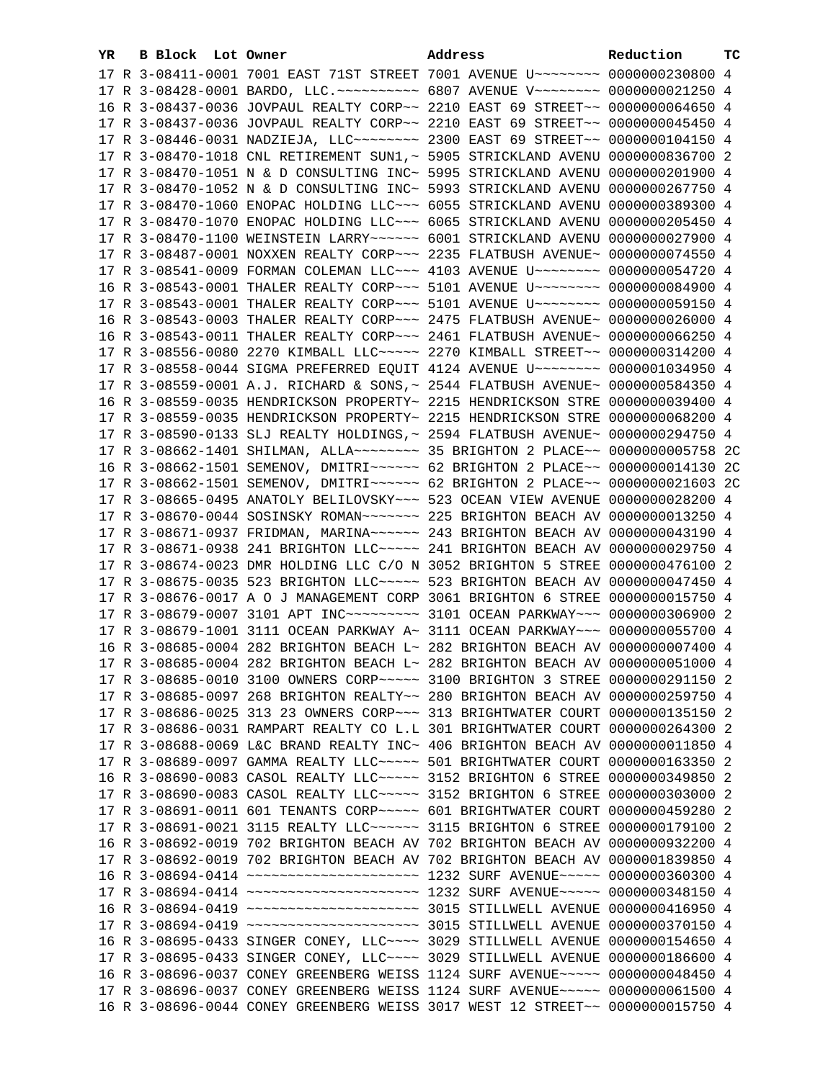| YR | B Block Lot Owner | Address                                                                                                                                                         | Reduction | тc |
|----|-------------------|-----------------------------------------------------------------------------------------------------------------------------------------------------------------|-----------|----|
|    |                   | 17 R 3-08411-0001 7001 EAST 71ST STREET 7001 AVENUE U~~~~~~~~~ 0000000230800 4                                                                                  |           |    |
|    |                   | 17 R 3-08428-0001 BARDO, LLC. ~~~~~~~~~~ 6807 AVENUE V~~~~~~~~ 0000000021250 4                                                                                  |           |    |
|    |                   | 16 R 3-08437-0036 JOVPAUL REALTY CORP~~ 2210 EAST 69 STREET~~ 0000000064650 4                                                                                   |           |    |
|    |                   | 17 R 3-08437-0036 JOVPAUL REALTY CORP~~ 2210 EAST 69 STREET~~ 0000000045450 4                                                                                   |           |    |
|    |                   | 17 R 3-08446-0031 NADZIEJA, LLC ------- 2300 EAST 69 STREET -- 0000000104150 4                                                                                  |           |    |
|    |                   | 17 R 3-08470-1018 CNL RETIREMENT SUN1, ~ 5905 STRICKLAND AVENU 0000000836700 2                                                                                  |           |    |
|    |                   | 17 R 3-08470-1051 N & D CONSULTING INC~ 5995 STRICKLAND AVENU 0000000201900 4                                                                                   |           |    |
|    |                   | 17 R 3-08470-1052 N & D CONSULTING INC~ 5993 STRICKLAND AVENU 0000000267750 4                                                                                   |           |    |
|    |                   | 17 R 3-08470-1060 ENOPAC HOLDING LLC~~~ 6055 STRICKLAND AVENU 0000000389300 4                                                                                   |           |    |
|    |                   | 17 R 3-08470-1070 ENOPAC HOLDING LLC~~~ 6065 STRICKLAND AVENU 0000000205450 4                                                                                   |           |    |
|    |                   | 17 R 3-08470-1100 WEINSTEIN LARRY~~~~~~ 6001 STRICKLAND AVENU 0000000027900 4                                                                                   |           |    |
|    |                   | 17 R 3-08487-0001 NOXXEN REALTY CORP~~~ 2235 FLATBUSH AVENUE~ 0000000074550 4                                                                                   |           |    |
|    |                   | 17 R 3-08541-0009 FORMAN COLEMAN LLC~~~ 4103 AVENUE U~~~~~~~~ 0000000054720 4                                                                                   |           |    |
|    |                   | 16 R 3-08543-0001 THALER REALTY CORP~~~ 5101 AVENUE U~~~~~~~~ 0000000084900 4                                                                                   |           |    |
|    |                   | 17 R 3-08543-0001 THALER REALTY CORP~~~ 5101 AVENUE U~~~~~~~~ 0000000059150 4                                                                                   |           |    |
|    |                   |                                                                                                                                                                 |           |    |
|    |                   | 16 R 3-08543-0003 THALER REALTY CORP~~~ 2475 FLATBUSH AVENUE~ 0000000026000 4                                                                                   |           |    |
|    |                   | 16 R 3-08543-0011 THALER REALTY CORP~~~ 2461 FLATBUSH AVENUE~ 0000000066250 4                                                                                   |           |    |
|    |                   | 17 R 3-08556-0080 2270 KIMBALL LLC ---- 2270 KIMBALL STREET -- 0000000314200 4                                                                                  |           |    |
|    |                   | 17 R 3-08558-0044 SIGMA PREFERRED EQUIT 4124 AVENUE U~~~~~~~~ 0000001034950 4                                                                                   |           |    |
|    |                   | 17 R 3-08559-0001 A.J. RICHARD & SONS, ~ 2544 FLATBUSH AVENUE~ 0000000584350 4                                                                                  |           |    |
|    |                   | 16 R 3-08559-0035 HENDRICKSON PROPERTY~ 2215 HENDRICKSON STRE 0000000039400 4                                                                                   |           |    |
|    |                   | 17 R 3-08559-0035 HENDRICKSON PROPERTY~ 2215 HENDRICKSON STRE 0000000068200 4                                                                                   |           |    |
|    |                   | 17 R 3-08590-0133 SLJ REALTY HOLDINGS, ~ 2594 FLATBUSH AVENUE~ 0000000294750 4                                                                                  |           |    |
|    |                   | 17 R 3-08662-1401 SHILMAN, ALLA~~~~~~~~ 35 BRIGHTON 2 PLACE~~ 0000000005758 2C                                                                                  |           |    |
|    |                   | 16 R 3-08662-1501 SEMENOV, DMITRI~~~~~~ 62 BRIGHTON 2 PLACE~~ 0000000014130 2C                                                                                  |           |    |
|    |                   | 17 R 3-08662-1501 SEMENOV, DMITRI~~~~~~ 62 BRIGHTON 2 PLACE~~ 0000000021603 2C                                                                                  |           |    |
|    |                   | 17 R 3-08665-0495 ANATOLY BELILOVSKY~~~ 523 OCEAN VIEW AVENUE 0000000028200 4                                                                                   |           |    |
|    |                   | 17 R 3-08670-0044 SOSINSKY ROMAN~~~~~~~ 225 BRIGHTON BEACH AV 0000000013250 4                                                                                   |           |    |
|    |                   | 17 R 3-08671-0937 FRIDMAN, MARINA~~~~~~ 243 BRIGHTON BEACH AV 0000000043190 4<br>17 R 3-08671-0938 241 BRIGHTON LLC ~~~~~ 241 BRIGHTON BEACH AV 0000000029750 4 |           |    |
|    |                   | 17 R 3-08674-0023 DMR HOLDING LLC C/O N 3052 BRIGHTON 5 STREE 0000000476100 2                                                                                   |           |    |
|    |                   | 17 R 3-08675-0035 523 BRIGHTON LLC ~~~~~ 523 BRIGHTON BEACH AV 0000000047450 4                                                                                  |           |    |
|    |                   | 17 R 3-08676-0017 A O J MANAGEMENT CORP 3061 BRIGHTON 6 STREE 0000000015750 4                                                                                   |           |    |
|    |                   | 17 R 3-08679-0007 3101 APT INC -------- 3101 OCEAN PARKWAY -- 0000000306900 2                                                                                   |           |    |
|    |                   | 17 R 3-08679-1001 3111 OCEAN PARKWAY A~ 3111 OCEAN PARKWAY~~~ 0000000055700 4                                                                                   |           |    |
|    |                   | 16 R 3-08685-0004 282 BRIGHTON BEACH L~ 282 BRIGHTON BEACH AV 0000000007400 4                                                                                   |           |    |
|    |                   | 17 R 3-08685-0004 282 BRIGHTON BEACH L~ 282 BRIGHTON BEACH AV 0000000051000 4                                                                                   |           |    |
|    |                   | 17 R 3-08685-0010 3100 OWNERS CORP~~~~~ 3100 BRIGHTON 3 STREE 0000000291150 2                                                                                   |           |    |
|    |                   | 17 R 3-08685-0097 268 BRIGHTON REALTY~~ 280 BRIGHTON BEACH AV 0000000259750 4                                                                                   |           |    |
|    |                   | 17 R 3-08686-0025 313 23 OWNERS CORP~~~ 313 BRIGHTWATER COURT 0000000135150 2                                                                                   |           |    |
|    |                   | 17 R 3-08686-0031 RAMPART REALTY CO L.L 301 BRIGHTWATER COURT 0000000264300 2                                                                                   |           |    |
|    |                   | 17 R 3-08688-0069 L&C BRAND REALTY INC~ 406 BRIGHTON BEACH AV 0000000011850 4                                                                                   |           |    |
|    |                   | 17 R 3-08689-0097 GAMMA REALTY LLC ---- 501 BRIGHTWATER COURT 0000000163350 2                                                                                   |           |    |
|    |                   | 16 R 3-08690-0083 CASOL REALTY LLC ---- 3152 BRIGHTON 6 STREE 0000000349850 2                                                                                   |           |    |
|    |                   | 17 R 3-08690-0083 CASOL REALTY LLC ---- 3152 BRIGHTON 6 STREE 0000000303000 2                                                                                   |           |    |
|    |                   | 17 R 3-08691-0011 601 TENANTS CORP~~~~~ 601 BRIGHTWATER COURT 0000000459280 2                                                                                   |           |    |
|    |                   | 17 R 3-08691-0021 3115 REALTY LLC ----- 3115 BRIGHTON 6 STREE 0000000179100 2                                                                                   |           |    |
|    |                   | 16 R 3-08692-0019 702 BRIGHTON BEACH AV 702 BRIGHTON BEACH AV 0000000932200 4                                                                                   |           |    |
|    |                   | 17 R 3-08692-0019 702 BRIGHTON BEACH AV 702 BRIGHTON BEACH AV 0000001839850 4                                                                                   |           |    |
|    |                   | 16 R 3-08694-0414 ~~~~~~~~~~~~~~~~~~~~~~~~~~~~~~ 1232 SURF AVENUE~~~~~~ 0000000360300 4                                                                         |           |    |
|    |                   | 17 R 3-08694-0414 ~~~~~~~~~~~~~~~~~~~~~~~~~~~~~~~ 1232 SURF AVENUE~~~~~~ 0000000348150 4                                                                        |           |    |
|    |                   |                                                                                                                                                                 |           |    |
|    |                   |                                                                                                                                                                 |           |    |
|    |                   | 16 R 3-08695-0433 SINGER CONEY, LLC~~~~ 3029 STILLWELL AVENUE 0000000154650 4                                                                                   |           |    |
|    |                   | 17 R 3-08695-0433 SINGER CONEY, LLC~~~~ 3029 STILLWELL AVENUE 0000000186600 4                                                                                   |           |    |
|    |                   | 16 R 3-08696-0037 CONEY GREENBERG WEISS 1124 SURF AVENUE~~~~~ 0000000048450 4                                                                                   |           |    |
|    |                   | 17 R 3-08696-0037 CONEY GREENBERG WEISS 1124 SURF AVENUE~~~~~ 0000000061500 4                                                                                   |           |    |
|    |                   | 16 R 3-08696-0044 CONEY GREENBERG WEISS 3017 WEST 12 STREET~~ 0000000015750 4                                                                                   |           |    |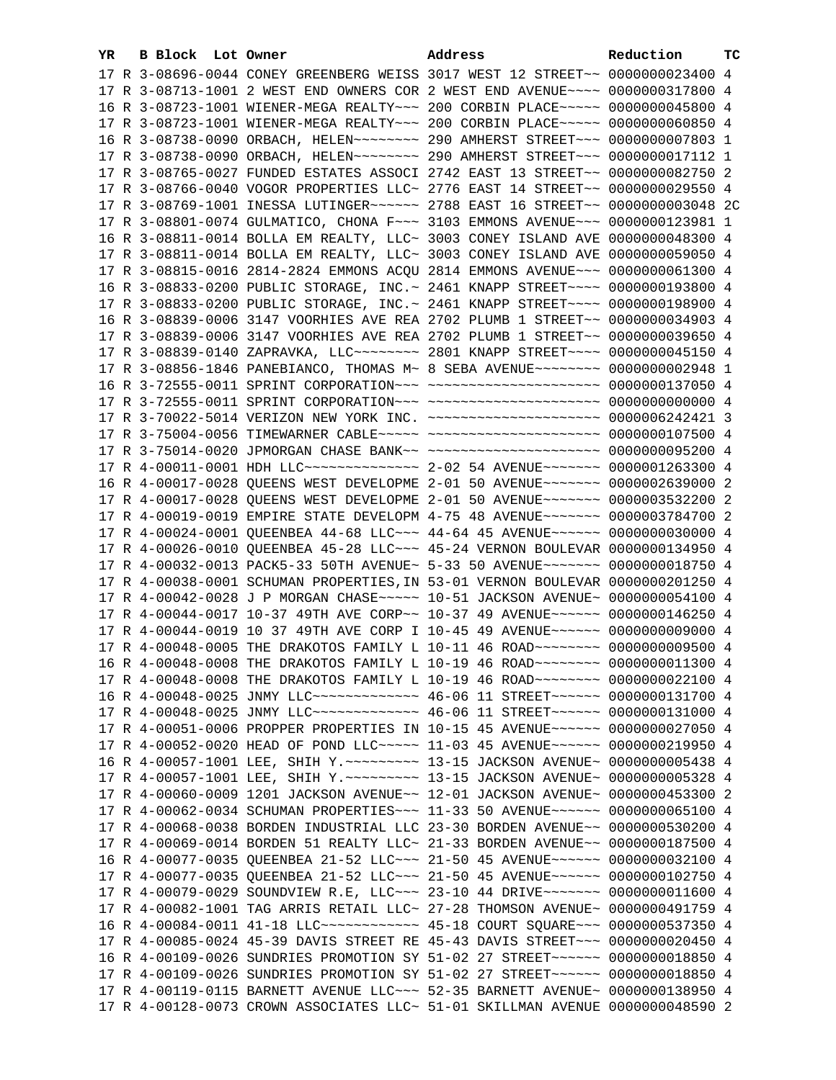| YR. | B Block Lot Owner | Address                                                                                                                                                        | Reduction | тc |
|-----|-------------------|----------------------------------------------------------------------------------------------------------------------------------------------------------------|-----------|----|
|     |                   | 17 R 3-08696-0044 CONEY GREENBERG WEISS 3017 WEST 12 STREET~~ 0000000023400 4                                                                                  |           |    |
|     |                   | 17 R 3-08713-1001 2 WEST END OWNERS COR 2 WEST END AVENUE~~~~ 0000000317800 4                                                                                  |           |    |
|     |                   | 16 R 3-08723-1001 WIENER-MEGA REALTY~~~ 200 CORBIN PLACE~~~~~ 0000000045800 4                                                                                  |           |    |
|     |                   | 17 R 3-08723-1001 WIENER-MEGA REALTY~~~ 200 CORBIN PLACE~~~~~ 0000000060850 4                                                                                  |           |    |
|     |                   | 16 R 3-08738-0090 ORBACH, HELEN~~~~~~~~ 290 AMHERST STREET~~~ 0000000007803 1                                                                                  |           |    |
|     |                   | 17 R 3-08738-0090 ORBACH, HELEN~~~~~~~~ 290 AMHERST STREET~~~ 0000000017112 1                                                                                  |           |    |
|     |                   | 17 R 3-08765-0027 FUNDED ESTATES ASSOCI 2742 EAST 13 STREET~~ 0000000082750 2                                                                                  |           |    |
|     |                   | 17 R 3-08766-0040 VOGOR PROPERTIES LLC~ 2776 EAST 14 STREET~~ 0000000029550 4                                                                                  |           |    |
|     |                   | 17 R 3-08769-1001 INESSA LUTINGER~~~~~~ 2788 EAST 16 STREET~~ 0000000003048 2C                                                                                 |           |    |
|     |                   | 17 R 3-08801-0074 GULMATICO, CHONA F~~~ 3103 EMMONS AVENUE~~~ 0000000123981 1                                                                                  |           |    |
|     |                   | 16 R 3-08811-0014 BOLLA EM REALTY, LLC~ 3003 CONEY ISLAND AVE 0000000048300 4                                                                                  |           |    |
|     |                   | 17 R 3-08811-0014 BOLLA EM REALTY, LLC~ 3003 CONEY ISLAND AVE 0000000059050 4                                                                                  |           |    |
|     |                   | 17 R 3-08815-0016 2814-2824 EMMONS ACQU 2814 EMMONS AVENUE~~~ 0000000061300 4                                                                                  |           |    |
|     |                   | 16 R 3-08833-0200 PUBLIC STORAGE, INC. ~ 2461 KNAPP STREET ~~~~ 0000000193800 4                                                                                |           |    |
|     |                   | 17 R 3-08833-0200 PUBLIC STORAGE, INC.~ 2461 KNAPP STREET~~~~ 0000000198900 4                                                                                  |           |    |
|     |                   |                                                                                                                                                                |           |    |
|     |                   | 16 R 3-08839-0006 3147 VOORHIES AVE REA 2702 PLUMB 1 STREET~~ 0000000034903 4<br>17 R 3-08839-0006 3147 VOORHIES AVE REA 2702 PLUMB 1 STREET~~ 0000000039650 4 |           |    |
|     |                   |                                                                                                                                                                |           |    |
|     |                   | 17 R 3-08839-0140 ZAPRAVKA, LLC ------- 2801 KNAPP STREET --- 0000000045150 4<br>17 R 3-08856-1846 PANEBIANCO, THOMAS M~ 8 SEBA AVENUE~~~~~~~~ 0000000002948 1 |           |    |
|     |                   | 16 R 3-72555-0011 SPRINT CORPORATION -- - ---------------------- 0000000137050 4                                                                               |           |    |
|     |                   |                                                                                                                                                                |           |    |
|     |                   | 17 R 3-70022-5014 VERIZON NEW YORK INC. ~~~~~~~~~~~~~~~~~~~~~ 0000006242421 3                                                                                  |           |    |
|     |                   | 17 R 3-75004-0056 TIMEWARNER CABLE~~~~~ ~~~~~~~~~~~~~~~~~~~~ 0000000107500 4                                                                                   |           |    |
|     |                   | 17 R 3-75014-0020 JPMORGAN CHASE BANK~~ ~~~~~~~~~~~~~~~~~~~~~ 0000000095200 4                                                                                  |           |    |
|     |                   | 17 R 4-00011-0001 HDH LLC -------------- 2-02 54 AVENUE ------- 0000001263300 4                                                                                |           |    |
|     |                   | 16 R 4-00017-0028 QUEENS WEST DEVELOPME 2-01 50 AVENUE~~~~~~~ 0000002639000 2                                                                                  |           |    |
|     |                   | 17 R 4-00017-0028 QUEENS WEST DEVELOPME 2-01 50 AVENUE~~~~~~~ 0000003532200 2                                                                                  |           |    |
|     |                   | 17 R 4-00019-0019 EMPIRE STATE DEVELOPM 4-75 48 AVENUE~~~~~~~ 0000003784700 2                                                                                  |           |    |
|     |                   | 17 R 4-00024-0001 QUEENBEA 44-68 LLC -- 44-64 45 AVENUE ---- 0000000030000 4                                                                                   |           |    |
|     |                   | 17 R 4-00026-0010 QUEENBEA 45-28 LLC ~~~ 45-24 VERNON BOULEVAR 0000000134950 4                                                                                 |           |    |
|     |                   | 17 R 4-00032-0013 PACK5-33 50TH AVENUE~ 5-33 50 AVENUE~~~~~~~~ 0000000018750 4                                                                                 |           |    |
|     |                   | 17 R 4-00038-0001 SCHUMAN PROPERTIES, IN 53-01 VERNON BOULEVAR 0000000201250 4                                                                                 |           |    |
|     |                   | 17 R 4-00042-0028 J P MORGAN CHASE ~~~~~ 10-51 JACKSON AVENUE~ 0000000054100 4                                                                                 |           |    |
|     |                   | 17 R 4-00044-0017 10-37 49TH AVE CORP~~ 10-37 49 AVENUE~~~~~~ 0000000146250 4                                                                                  |           |    |
|     |                   | 17 R 4-00044-0019 10 37 49TH AVE CORP I 10-45 49 AVENUE~~~~~~ 0000000009000 4                                                                                  |           |    |
|     |                   | 17 R 4-00048-0005 THE DRAKOTOS FAMILY L 10-11 46 ROAD~~~~~~~~ 0000000009500 4                                                                                  |           |    |
|     |                   | 16 R 4-00048-0008 THE DRAKOTOS FAMILY L 10-19 46 ROAD~~~~~~~~ 0000000011300 4                                                                                  |           |    |
|     |                   | 17 R 4-00048-0008 THE DRAKOTOS FAMILY L 10-19 46 ROAD~~~~~~~~ 0000000022100 4                                                                                  |           |    |
|     |                   | 16 R 4-00048-0025 JNMY LLC -------------- 46-06 11 STREET ------ 0000000131700 4                                                                               |           |    |
|     |                   | 17 R 4-00048-0025 JNMY LLC -------------- 46-06 11 STREET ------ 0000000131000 4                                                                               |           |    |
|     |                   | 17 R 4-00051-0006 PROPPER PROPERTIES IN 10-15 45 AVENUE~~~~~~ 0000000027050 4                                                                                  |           |    |
|     |                   | 17 R 4-00052-0020 HEAD OF POND LLC ---- 11-03 45 AVENUE ----- 0000000219950 4                                                                                  |           |    |
|     |                   | 16 R 4-00057-1001 LEE, SHIH Y. ~~~~~~~~~~~~~~ 13-15 JACKSON AVENUE~ 0000000005438 4                                                                            |           |    |
|     |                   | 17 R 4-00057-1001 LEE, SHIH Y. ~~~~~~~~~~~~~~ 13-15 JACKSON AVENUE~ 0000000005328 4                                                                            |           |    |
|     |                   | 17 R 4-00060-0009 1201 JACKSON AVENUE~~ 12-01 JACKSON AVENUE~ 0000000453300 2                                                                                  |           |    |
|     |                   | 17 R 4-00062-0034 SCHUMAN PROPERTIES~~~ 11-33 50 AVENUE~~~~~~ 0000000065100 4                                                                                  |           |    |
|     |                   | 17 R 4-00068-0038 BORDEN INDUSTRIAL LLC 23-30 BORDEN AVENUE~~ 0000000530200 4                                                                                  |           |    |
|     |                   | 17 R 4-00069-0014 BORDEN 51 REALTY LLC~ 21-33 BORDEN AVENUE~~ 0000000187500 4                                                                                  |           |    |
|     |                   | 16 R 4-00077-0035 QUEENBEA 21-52 LLC -- 21-50 45 AVENUE ---- 0000000032100 4                                                                                   |           |    |
|     |                   | 17 R 4-00077-0035 QUEENBEA 21-52 LLC ~~~ 21-50 45 AVENUE ~~~~~~ 0000000102750 4                                                                                |           |    |
|     |                   | 17 R 4-00079-0029 SOUNDVIEW R.E, LLC~~~ 23-10 44 DRIVE~~~~~~~ 0000000011600 4                                                                                  |           |    |
|     |                   | 17 R 4-00082-1001 TAG ARRIS RETAIL LLC~ 27-28 THOMSON AVENUE~ 0000000491759 4                                                                                  |           |    |
|     |                   |                                                                                                                                                                |           |    |
|     |                   | 17 R 4-00085-0024 45-39 DAVIS STREET RE 45-43 DAVIS STREET~~~ 0000000020450 4                                                                                  |           |    |
|     |                   | 16 R 4-00109-0026 SUNDRIES PROMOTION SY 51-02 27 STREET~~~~~~~ 0000000018850 4                                                                                 |           |    |
|     |                   | 17 R 4-00109-0026 SUNDRIES PROMOTION SY 51-02 27 STREET~~~~~~~ 0000000018850 4                                                                                 |           |    |
|     |                   | 17 R 4-00119-0115 BARNETT AVENUE LLC~~~ 52-35 BARNETT AVENUE~ 0000000138950 4                                                                                  |           |    |
|     |                   | 17 R 4-00128-0073 CROWN ASSOCIATES LLC~ 51-01 SKILLMAN AVENUE 0000000048590 2                                                                                  |           |    |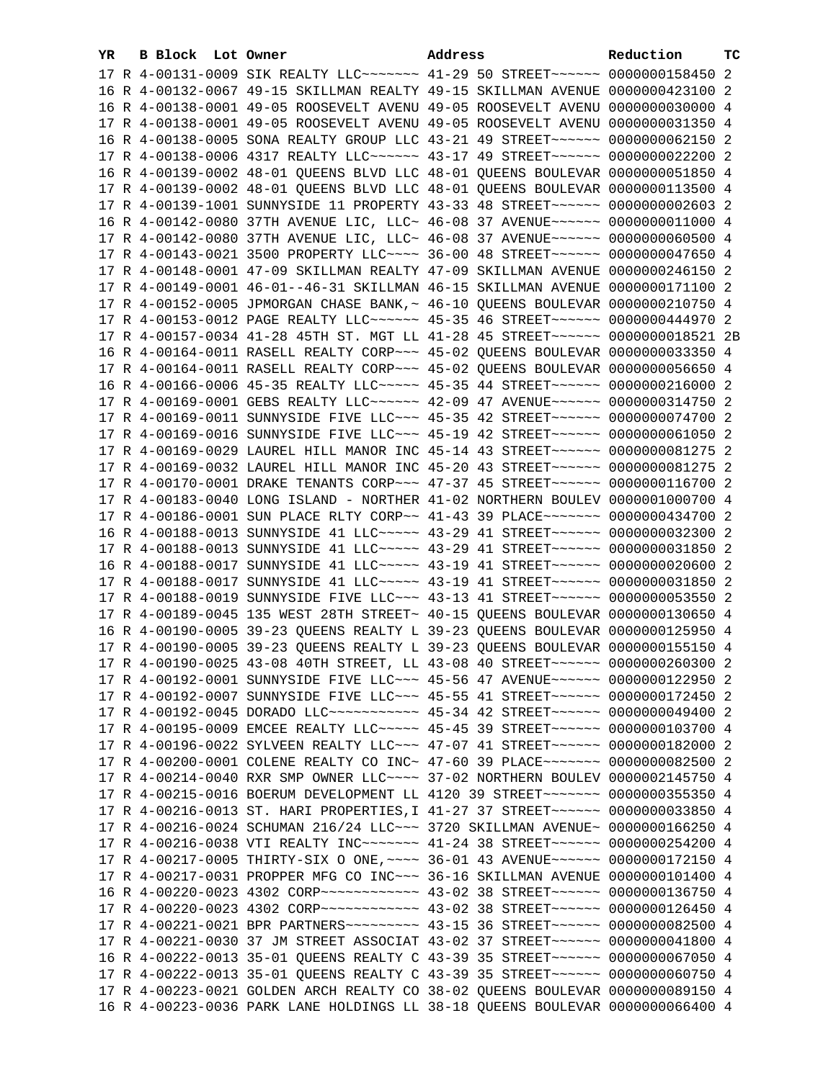| YR. | B Block Lot Owner | Address                                                                                                                                                        | Reduction | тc |
|-----|-------------------|----------------------------------------------------------------------------------------------------------------------------------------------------------------|-----------|----|
|     |                   | 17 R 4-00131-0009 SIK REALTY LLC ------ 41-29 50 STREET ----- 0000000158450 2                                                                                  |           |    |
|     |                   | 16 R 4-00132-0067 49-15 SKILLMAN REALTY 49-15 SKILLMAN AVENUE 0000000423100 2                                                                                  |           |    |
|     |                   | 16 R 4-00138-0001 49-05 ROOSEVELT AVENU 49-05 ROOSEVELT AVENU 0000000030000 4                                                                                  |           |    |
|     |                   | 17 R 4-00138-0001 49-05 ROOSEVELT AVENU 49-05 ROOSEVELT AVENU 0000000031350 4                                                                                  |           |    |
|     |                   | 16 R 4-00138-0005 SONA REALTY GROUP LLC 43-21 49 STREET~~~~~~ 0000000062150 2                                                                                  |           |    |
|     |                   | 17 R 4-00138-0006 4317 REALTY LLC ----- 43-17 49 STREET ----- 0000000022200 2                                                                                  |           |    |
|     |                   | 16 R 4-00139-0002 48-01 QUEENS BLVD LLC 48-01 QUEENS BOULEVAR 0000000051850 4                                                                                  |           |    |
|     |                   | 17 R 4-00139-0002 48-01 QUEENS BLVD LLC 48-01 QUEENS BOULEVAR 0000000113500 4                                                                                  |           |    |
|     |                   | 17 R 4-00139-1001 SUNNYSIDE 11 PROPERTY 43-33 48 STREET~~~~~~~ 0000000002603 2                                                                                 |           |    |
|     |                   | 16 R 4-00142-0080 37TH AVENUE LIC, LLC~ 46-08 37 AVENUE~~~~~~ 0000000011000 4                                                                                  |           |    |
|     |                   | 17 R 4-00142-0080 37TH AVENUE LIC, LLC~ 46-08 37 AVENUE~~~~~~ 0000000060500 4                                                                                  |           |    |
|     |                   | 17 R 4-00143-0021 3500 PROPERTY LLC --- 36-00 48 STREET ----- 0000000047650 4                                                                                  |           |    |
|     |                   |                                                                                                                                                                |           |    |
|     |                   | 17 R 4-00148-0001 47-09 SKILLMAN REALTY 47-09 SKILLMAN AVENUE 0000000246150 2                                                                                  |           |    |
|     |                   | 17 R 4-00149-0001 46-01--46-31 SKILLMAN 46-15 SKILLMAN AVENUE 0000000171100 2                                                                                  |           |    |
|     |                   | 17 R 4-00152-0005 JPMORGAN CHASE BANK, ~ 46-10 QUEENS BOULEVAR 0000000210750 4                                                                                 |           |    |
|     |                   | 17 R 4-00153-0012 PAGE REALTY LLC ----- 45-35 46 STREET ----- 0000000444970 2                                                                                  |           |    |
|     |                   | 17 R 4-00157-0034 41-28 45TH ST. MGT LL 41-28 45 STREET~~~~~~ 0000000018521 2B                                                                                 |           |    |
|     |                   | 16 R 4-00164-0011 RASELL REALTY CORP~~~ 45-02 QUEENS BOULEVAR 0000000033350 4                                                                                  |           |    |
|     |                   | 17 R 4-00164-0011 RASELL REALTY CORP~~~ 45-02 QUEENS BOULEVAR 0000000056650 4                                                                                  |           |    |
|     |                   | 16 R 4-00166-0006 45-35 REALTY LLC ---- 45-35 44 STREET ----- 0000000216000 2                                                                                  |           |    |
|     |                   | 17 R 4-00169-0001 GEBS REALTY LLC ----- 42-09 47 AVENUE ----- 0000000314750 2                                                                                  |           |    |
|     |                   | 17 R 4-00169-0011 SUNNYSIDE FIVE LLC ~~~ 45-35 42 STREET ~~~~~~ 0000000074700 2                                                                                |           |    |
|     |                   | 17 R 4-00169-0016 SUNNYSIDE FIVE LLC ~~~ 45-19 42 STREET ~~~~~~ 0000000061050 2                                                                                |           |    |
|     |                   | 17 R 4-00169-0029 LAUREL HILL MANOR INC 45-14 43 STREET~~~~~~ 0000000081275 2                                                                                  |           |    |
|     |                   | 17 R 4-00169-0032 LAUREL HILL MANOR INC 45-20 43 STREET~~~~~~ 0000000081275 2                                                                                  |           |    |
|     |                   | 17 R 4-00170-0001 DRAKE TENANTS CORP~~~ 47-37 45 STREET~~~~~~ 0000000116700 2                                                                                  |           |    |
|     |                   | 17 R 4-00183-0040 LONG ISLAND - NORTHER 41-02 NORTHERN BOULEV 0000001000700 4                                                                                  |           |    |
|     |                   | 17 R 4-00186-0001 SUN PLACE RLTY CORP~~ 41-43 39 PLACE~~~~~~~ 0000000434700 2<br>16 R 4-00188-0013 SUNNYSIDE 41 LLC ---- 43-29 41 STREET ----- 0000000032300 2 |           |    |
|     |                   | 17 R 4-00188-0013 SUNNYSIDE 41 LLC ---- 43-29 41 STREET ----- 0000000031850 2                                                                                  |           |    |
|     |                   | 16 R 4-00188-0017 SUNNYSIDE 41 LLC ---- 43-19 41 STREET ----- 0000000020600 2                                                                                  |           |    |
|     |                   | 17 R 4-00188-0017 SUNNYSIDE 41 LLC ---- 43-19 41 STREET ----- 0000000031850 2                                                                                  |           |    |
|     |                   | 17 R 4-00188-0019 SUNNYSIDE FIVE LLC ~~~ 43-13 41 STREET ~~~~~~ 0000000053550 2                                                                                |           |    |
|     |                   | 17 R 4-00189-0045 135 WEST 28TH STREET~ 40-15 QUEENS BOULEVAR 0000000130650 4                                                                                  |           |    |
|     |                   | 16 R 4-00190-0005 39-23 QUEENS REALTY L 39-23 QUEENS BOULEVAR 0000000125950 4                                                                                  |           |    |
|     |                   | 17 R 4-00190-0005 39-23 QUEENS REALTY L 39-23 QUEENS BOULEVAR 0000000155150 4                                                                                  |           |    |
|     |                   | 17 R 4-00190-0025 43-08 40TH STREET, LL 43-08 40 STREET ~~~~~~ 0000000260300 2                                                                                 |           |    |
|     |                   | 17 R 4-00192-0001 SUNNYSIDE FIVE LLC~~~ 45-56 47 AVENUE~~~~~~ 0000000122950 2                                                                                  |           |    |
|     |                   | 17 R 4-00192-0007 SUNNYSIDE FIVE LLC~~~ 45-55 41 STREET~~~~~~ 0000000172450 2                                                                                  |           |    |
|     |                   | 17 R 4-00192-0045 DORADO LLC ----------- 45-34 42 STREET ------ 0000000049400 2                                                                                |           |    |
|     |                   | 17 R 4-00195-0009 EMCEE REALTY LLC ---- 45-45 39 STREET ----- 0000000103700 4                                                                                  |           |    |
|     |                   | 17 R 4-00196-0022 SYLVEEN REALTY LLC~~~ 47-07 41 STREET~~~~~~~ 0000000182000 2                                                                                 |           |    |
|     |                   | 17 R 4-00200-0001 COLENE REALTY CO INC~ 47-60 39 PLACE~~~~~~~~ 0000000082500 2                                                                                 |           |    |
|     |                   | 17 R 4-00214-0040 RXR SMP OWNER LLC ~~~~ 37-02 NORTHERN BOULEV 0000002145750 4                                                                                 |           |    |
|     |                   | 17 R 4-00215-0016 BOERUM DEVELOPMENT LL 4120 39 STREET~~~~~~~ 0000000355350 4                                                                                  |           |    |
|     |                   | 17 R 4-00216-0013 ST. HARI PROPERTIES, I 41-27 37 STREET~~~~~~ 0000000033850 4                                                                                 |           |    |
|     |                   | 17 R 4-00216-0024 SCHUMAN 216/24 LLC~~~ 3720 SKILLMAN AVENUE~ 0000000166250 4                                                                                  |           |    |
|     |                   | 17 R 4-00216-0038 VTI REALTY INC~~~~~~~ 41-24 38 STREET~~~~~~ 0000000254200 4                                                                                  |           |    |
|     |                   | 17 R 4-00217-0005 THIRTY-SIX O ONE, ~~~~ 36-01 43 AVENUE~~~~~~ 0000000172150 4                                                                                 |           |    |
|     |                   | 17 R 4-00217-0031 PROPPER MFG CO INC~~~ 36-16 SKILLMAN AVENUE 0000000101400 4                                                                                  |           |    |
|     |                   |                                                                                                                                                                |           |    |
|     |                   |                                                                                                                                                                |           |    |
|     |                   | 17 R 4-00221-0021 BPR PARTNERS --------- 43-15 36 STREET ------ 0000000082500 4                                                                                |           |    |
|     |                   | 17 R 4-00221-0030 37 JM STREET ASSOCIAT 43-02 37 STREET~~~~~~ 0000000041800 4                                                                                  |           |    |
|     |                   | 16 R 4-00222-0013 35-01 QUEENS REALTY C 43-39 35 STREET~~~~~~~ 0000000067050 4                                                                                 |           |    |
|     |                   | 17 R 4-00222-0013 35-01 QUEENS REALTY C 43-39 35 STREET~~~~~~ 0000000060750 4                                                                                  |           |    |
|     |                   | 17 R 4-00223-0021 GOLDEN ARCH REALTY CO 38-02 QUEENS BOULEVAR 0000000089150 4                                                                                  |           |    |
|     |                   | 16 R 4-00223-0036 PARK LANE HOLDINGS LL 38-18 QUEENS BOULEVAR 0000000066400 4                                                                                  |           |    |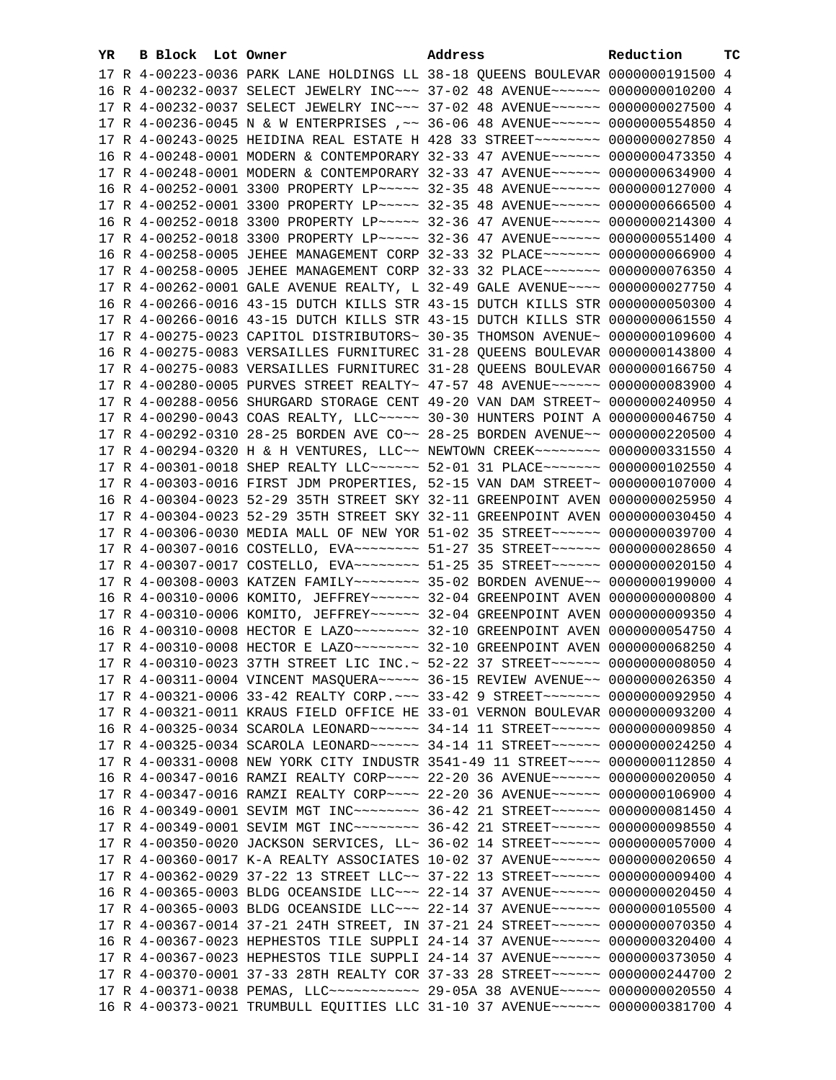| YR | B Block Lot Owner | Address                                                                                                                                                        | Reduction | ТC |
|----|-------------------|----------------------------------------------------------------------------------------------------------------------------------------------------------------|-----------|----|
|    |                   | 17 R 4-00223-0036 PARK LANE HOLDINGS LL 38-18 QUEENS BOULEVAR 0000000191500 4                                                                                  |           |    |
|    |                   | 16 R 4-00232-0037 SELECT JEWELRY INC~~~ 37-02 48 AVENUE~~~~~~ 0000000010200 4                                                                                  |           |    |
|    |                   | 17 R 4-00232-0037 SELECT JEWELRY INC~~~ 37-02 48 AVENUE~~~~~~ 0000000027500 4                                                                                  |           |    |
|    |                   | 17 R 4-00236-0045 N & W ENTERPRISES , ~~ 36-06 48 AVENUE~~~~~~ 0000000554850 4                                                                                 |           |    |
|    |                   | 17 R 4-00243-0025 HEIDINA REAL ESTATE H 428 33 STREET~~~~~~~~ 0000000027850 4                                                                                  |           |    |
|    |                   | 16 R 4-00248-0001 MODERN & CONTEMPORARY 32-33 47 AVENUE~~~~~~ 0000000473350 4                                                                                  |           |    |
|    |                   | 17 R 4-00248-0001 MODERN & CONTEMPORARY 32-33 47 AVENUE~~~~~~ 0000000634900 4                                                                                  |           |    |
|    |                   | 16 R 4-00252-0001 3300 PROPERTY LP ~~~~~ 32-35 48 AVENUE ~~~~~~ 0000000127000 4                                                                                |           |    |
|    |                   | 17 R 4-00252-0001 3300 PROPERTY LP ---- 32-35 48 AVENUE ----- 0000000666500 4                                                                                  |           |    |
|    |                   | 16 R 4-00252-0018 3300 PROPERTY LP ~~~~~ 32-36 47 AVENUE ~~~~~~ 0000000214300 4                                                                                |           |    |
|    |                   | 17 R 4-00252-0018 3300 PROPERTY LP ~~~~~ 32-36 47 AVENUE ~~~~~~ 0000000551400 4                                                                                |           |    |
|    |                   |                                                                                                                                                                |           |    |
|    |                   | 16 R 4-00258-0005 JEHEE MANAGEMENT CORP 32-33 32 PLACE~~~~~~~ 0000000066900 4<br>17 R 4-00258-0005 JEHEE MANAGEMENT CORP 32-33 32 PLACE~~~~~~~ 0000000076350 4 |           |    |
|    |                   |                                                                                                                                                                |           |    |
|    |                   | 17 R 4-00262-0001 GALE AVENUE REALTY, L 32-49 GALE AVENUE~~~~ 0000000027750 4                                                                                  |           |    |
|    |                   | 16 R 4-00266-0016 43-15 DUTCH KILLS STR 43-15 DUTCH KILLS STR 0000000050300 4                                                                                  |           |    |
|    |                   | 17 R 4-00266-0016 43-15 DUTCH KILLS STR 43-15 DUTCH KILLS STR 0000000061550 4                                                                                  |           |    |
|    |                   | 17 R 4-00275-0023 CAPITOL DISTRIBUTORS~ 30-35 THOMSON AVENUE~ 0000000109600 4                                                                                  |           |    |
|    |                   | 16 R 4-00275-0083 VERSAILLES FURNITUREC 31-28 QUEENS BOULEVAR 0000000143800 4                                                                                  |           |    |
|    |                   | 17 R 4-00275-0083 VERSAILLES FURNITUREC 31-28 QUEENS BOULEVAR 0000000166750 4                                                                                  |           |    |
|    |                   | 17 R 4-00280-0005 PURVES STREET REALTY~ 47-57 48 AVENUE~~~~~~ 0000000083900 4                                                                                  |           |    |
|    |                   | 17 R 4-00288-0056 SHURGARD STORAGE CENT 49-20 VAN DAM STREET~ 0000000240950 4                                                                                  |           |    |
|    |                   | 17 R 4-00290-0043 COAS REALTY, LLC ~~~~~ 30-30 HUNTERS POINT A 0000000046750 4                                                                                 |           |    |
|    |                   | 17 R 4-00292-0310 28-25 BORDEN AVE CO~~ 28-25 BORDEN AVENUE~~ 0000000220500 4                                                                                  |           |    |
|    |                   | 17 R 4-00294-0320 H & H VENTURES, LLC~~ NEWTOWN CREEK~~~~~~~~ 0000000331550 4                                                                                  |           |    |
|    |                   | 17 R 4-00301-0018 SHEP REALTY LLC ----- 52-01 31 PLACE ------ 0000000102550 4                                                                                  |           |    |
|    |                   | 17 R 4-00303-0016 FIRST JDM PROPERTIES, 52-15 VAN DAM STREET~ 0000000107000 4                                                                                  |           |    |
|    |                   | 16 R 4-00304-0023 52-29 35TH STREET SKY 32-11 GREENPOINT AVEN 0000000025950 4                                                                                  |           |    |
|    |                   | 17 R 4-00304-0023 52-29 35TH STREET SKY 32-11 GREENPOINT AVEN 0000000030450 4                                                                                  |           |    |
|    |                   | 17 R 4-00306-0030 MEDIA MALL OF NEW YOR 51-02 35 STREET~~~~~~ 0000000039700 4                                                                                  |           |    |
|    |                   | 17 R 4-00307-0016 COSTELLO, EVA ------- 51-27 35 STREET ----- 0000000028650 4                                                                                  |           |    |
|    |                   | 17 R 4-00307-0017 COSTELLO, EVA~~~~~~~~ 51-25 35 STREET~~~~~~ 0000000020150 4                                                                                  |           |    |
|    |                   | 17 R 4-00308-0003 KATZEN FAMILY~~~~~~~~ 35-02 BORDEN AVENUE~~ 0000000199000 4                                                                                  |           |    |
|    |                   | 16 R 4-00310-0006 KOMITO, JEFFREY~~~~~~ 32-04 GREENPOINT AVEN 0000000000000 4                                                                                  |           |    |
|    |                   | 17 R 4-00310-0006 KOMITO, JEFFREY~~~~~~ 32-04 GREENPOINT AVEN 0000000009350 4                                                                                  |           |    |
|    |                   |                                                                                                                                                                |           |    |
|    |                   |                                                                                                                                                                |           |    |
|    |                   | 17 R 4-00310-0023 37TH STREET LIC INC.~ 52-22 37 STREET~~~~~~~ 00000000008050 4                                                                                |           |    |
|    |                   | 17 R 4-00311-0004 VINCENT MASQUERA~~~~~ 36-15 REVIEW AVENUE~~ 0000000026350 4                                                                                  |           |    |
|    |                   | 17 R 4-00321-0006 33-42 REALTY CORP. ~~~ 33-42 9 STREET~~~~~~~ 0000000092950 4                                                                                 |           |    |
|    |                   | 17 R 4-00321-0011 KRAUS FIELD OFFICE HE 33-01 VERNON BOULEVAR 0000000093200 4                                                                                  |           |    |
|    |                   | 16 R 4-00325-0034 SCAROLA LEONARD~~~~~~ 34-14 11 STREET~~~~~~ 0000000009850 4                                                                                  |           |    |
|    |                   | 17 R 4-00325-0034 SCAROLA LEONARD~~~~~~ 34-14 11 STREET~~~~~~ 0000000024250 4                                                                                  |           |    |
|    |                   | 17 R 4-00331-0008 NEW YORK CITY INDUSTR 3541-49 11 STREET~~~~ 0000000112850 4                                                                                  |           |    |
|    |                   | 16 R 4-00347-0016 RAMZI REALTY CORP~~~~ 22-20 36 AVENUE~~~~~~ 0000000020050 4                                                                                  |           |    |
|    |                   | 17 R 4-00347-0016 RAMZI REALTY CORP~~~~ 22-20 36 AVENUE~~~~~~ 0000000106900 4                                                                                  |           |    |
|    |                   | 16 R 4-00349-0001 SEVIM MGT INC~~~~~~~~~~~~~~~~ 36-42 21 STREET~~~~~~~~~~~~ 0000000081450 4                                                                    |           |    |
|    |                   | 17 R 4-00349-0001 SEVIM MGT INC~~~~~~~~ 36-42 21 STREET~~~~~~ 0000000098550 4                                                                                  |           |    |
|    |                   | 17 R 4-00350-0020 JACKSON SERVICES, LL~ 36-02 14 STREET~~~~~~~ 0000000057000 4                                                                                 |           |    |
|    |                   | 17 R 4-00360-0017 K-A REALTY ASSOCIATES 10-02 37 AVENUE~~~~~~ 0000000020650 4                                                                                  |           |    |
|    |                   | 17 R 4-00362-0029 37-22 13 STREET LLC~~ 37-22 13 STREET~~~~~~~ 0000000009400 4                                                                                 |           |    |
|    |                   | 16 R 4-00365-0003 BLDG OCEANSIDE LLC~~~ 22-14 37 AVENUE~~~~~~ 0000000020450 4                                                                                  |           |    |
|    |                   | 17 R 4-00365-0003 BLDG OCEANSIDE LLC~~~ 22-14 37 AVENUE~~~~~~ 0000000105500 4                                                                                  |           |    |
|    |                   | 17 R 4-00367-0014 37-21 24TH STREET, IN 37-21 24 STREET~~~~~~ 0000000070350 4                                                                                  |           |    |
|    |                   | 16 R 4-00367-0023 HEPHESTOS TILE SUPPLI 24-14 37 AVENUE~~~~~~ 0000000320400 4                                                                                  |           |    |
|    |                   | 17 R 4-00367-0023 HEPHESTOS TILE SUPPLI 24-14 37 AVENUE~~~~~~ 0000000373050 4                                                                                  |           |    |
|    |                   | 17 R 4-00370-0001 37-33 28TH REALTY COR 37-33 28 STREET~~~~~~ 0000000244700 2                                                                                  |           |    |
|    |                   | 17 R 4-00371-0038 PEMAS, LLC ----------- 29-05A 38 AVENUE ---- 0000000020550 4                                                                                 |           |    |
|    |                   | 16 R 4-00373-0021 TRUMBULL EQUITIES LLC 31-10 37 AVENUE~~~~~~ 0000000381700 4                                                                                  |           |    |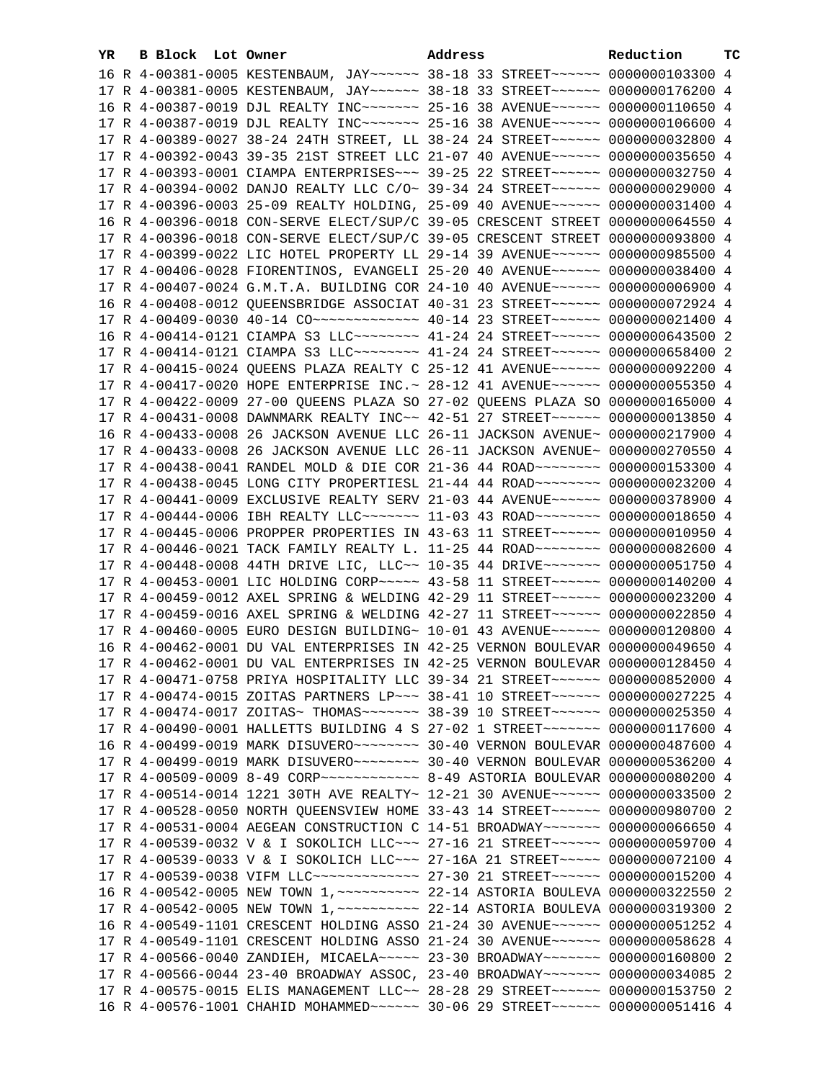| YR. | B Block Lot Owner | Address                                                                          | Reduction | тc |
|-----|-------------------|----------------------------------------------------------------------------------|-----------|----|
|     |                   | 16 R 4-00381-0005 KESTENBAUM, JAY ~~~~~~ 38-18 33 STREET ~~~~~~ 0000000103300 4  |           |    |
|     |                   | 17 R 4-00381-0005 KESTENBAUM, JAY~~~~~~ 38-18 33 STREET~~~~~~ 0000000176200 4    |           |    |
|     |                   | 16 R 4-00387-0019 DJL REALTY INC~~~~~~~ 25-16 38 AVENUE~~~~~~ 0000000110650 4    |           |    |
|     |                   | 17 R 4-00387-0019 DJL REALTY INC~~~~~~~ 25-16 38 AVENUE~~~~~~ 0000000106600 4    |           |    |
|     |                   | 17 R 4-00389-0027 38-24 24TH STREET, LL 38-24 24 STREET~~~~~~~ 0000000032800 4   |           |    |
|     |                   | 17 R 4-00392-0043 39-35 21ST STREET LLC 21-07 40 AVENUE~~~~~~ 0000000035650 4    |           |    |
|     |                   | 17 R 4-00393-0001 CIAMPA ENTERPRISES ~~~ 39-25 22 STREET ~~~~~~ 0000000032750 4  |           |    |
|     |                   | 17 R 4-00394-0002 DANJO REALTY LLC C/O~ 39-34 24 STREET~~~~~~ 0000000029000 4    |           |    |
|     |                   | 17 R 4-00396-0003 25-09 REALTY HOLDING, 25-09 40 AVENUE~~~~~~ 0000000031400 4    |           |    |
|     |                   | 16 R 4-00396-0018 CON-SERVE ELECT/SUP/C 39-05 CRESCENT STREET 0000000064550 4    |           |    |
|     |                   | 17 R 4-00396-0018 CON-SERVE ELECT/SUP/C 39-05 CRESCENT STREET 0000000093800 4    |           |    |
|     |                   |                                                                                  |           |    |
|     |                   | 17 R 4-00399-0022 LIC HOTEL PROPERTY LL 29-14 39 AVENUE~~~~~~ 0000000985500 4    |           |    |
|     |                   | 17 R 4-00406-0028 FIORENTINOS, EVANGELI 25-20 40 AVENUE~~~~~~ 0000000038400 4    |           |    |
|     |                   | 17 R 4-00407-0024 G.M.T.A. BUILDING COR 24-10 40 AVENUE~~~~~~ 0000000006900 4    |           |    |
|     |                   | 16 R 4-00408-0012 QUEENSBRIDGE ASSOCIAT 40-31 23 STREET~~~~~~~ 0000000072924 4   |           |    |
|     |                   | 17 R 4-00409-0030 40-14 CO -------------- 40-14 23 STREET ------ 0000000021400 4 |           |    |
|     |                   | 16 R 4-00414-0121 CIAMPA S3 LLC~~~~~~~~ 41-24 24 STREET~~~~~~ 0000000643500 2    |           |    |
|     |                   | 17 R 4-00414-0121 CIAMPA S3 LLC~~~~~~~~ 41-24 24 STREET~~~~~~ 0000000658400 2    |           |    |
|     |                   | 17 R 4-00415-0024 QUEENS PLAZA REALTY C 25-12 41 AVENUE~~~~~~ 0000000092200 4    |           |    |
|     |                   | 17 R 4-00417-0020 HOPE ENTERPRISE INC. ~ 28-12 41 AVENUE~~~~~~ 0000000055350 4   |           |    |
|     |                   | 17 R 4-00422-0009 27-00 QUEENS PLAZA SO 27-02 QUEENS PLAZA SO 0000000165000 4    |           |    |
|     |                   | 17 R 4-00431-0008 DAWNMARK REALTY INC~~ 42-51 27 STREET~~~~~~ 0000000013850 4    |           |    |
|     |                   | 16 R 4-00433-0008 26 JACKSON AVENUE LLC 26-11 JACKSON AVENUE~ 0000000217900 4    |           |    |
|     |                   | 17 R 4-00433-0008 26 JACKSON AVENUE LLC 26-11 JACKSON AVENUE~ 0000000270550 4    |           |    |
|     |                   | 17 R 4-00438-0041 RANDEL MOLD & DIE COR 21-36 44 ROAD~~~~~~~~ 0000000153300 4    |           |    |
|     |                   | 17 R 4-00438-0045 LONG CITY PROPERTIESL 21-44 44 ROAD~~~~~~~~ 0000000023200 4    |           |    |
|     |                   | 17 R 4-00441-0009 EXCLUSIVE REALTY SERV 21-03 44 AVENUE~~~~~~ 0000000378900 4    |           |    |
|     |                   | 17 R 4-00444-0006 IBH REALTY LLC ------- 11-03 43 ROAD ------- 0000000018650 4   |           |    |
|     |                   | 17 R 4-00445-0006 PROPPER PROPERTIES IN 43-63 11 STREET~~~~~~ 0000000010950 4    |           |    |
|     |                   | 17 R 4-00446-0021 TACK FAMILY REALTY L. 11-25 44 ROAD -------- 0000000082600 4   |           |    |
|     |                   | 17 R 4-00448-0008 44TH DRIVE LIC, LLC~~ 10-35 44 DRIVE~~~~~~~ 0000000051750 4    |           |    |
|     |                   | 17 R 4-00453-0001 LIC HOLDING CORP~~~~~ 43-58 11 STREET~~~~~~ 0000000140200 4    |           |    |
|     |                   | 17 R 4-00459-0012 AXEL SPRING & WELDING 42-29 11 STREET~~~~~~ 0000000023200 4    |           |    |
|     |                   | 17 R 4-00459-0016 AXEL SPRING & WELDING 42-27 11 STREET~~~~~~ 0000000022850 4    |           |    |
|     |                   | 17 R 4-00460-0005 EURO DESIGN BUILDING~ 10-01 43 AVENUE~~~~~~ 0000000120800 4    |           |    |
|     |                   | 16 R 4-00462-0001 DU VAL ENTERPRISES IN 42-25 VERNON BOULEVAR 0000000049650 4    |           |    |
|     |                   | 17 R 4-00462-0001 DU VAL ENTERPRISES IN 42-25 VERNON BOULEVAR 0000000128450 4    |           |    |
|     |                   | 17 R 4-00471-0758 PRIYA HOSPITALITY LLC 39-34 21 STREET~~~~~~ 0000000852000 4    |           |    |
|     |                   | 17 R 4-00474-0015 ZOITAS PARTNERS LP~~~ 38-41 10 STREET~~~~~~ 0000000027225 4    |           |    |
|     |                   | 17 R 4-00474-0017 ZOITAS~ THOMAS~~~~~~~ 38-39 10 STREET~~~~~~ 0000000025350 4    |           |    |
|     |                   | 17 R 4-00490-0001 HALLETTS BUILDING 4 S 27-02 1 STREET~~~~~~~~ 0000000117600 4   |           |    |
|     |                   |                                                                                  |           |    |
|     |                   | 17 R 4-00499-0019 MARK DISUVERO~~~~~~~~~ 30-40 VERNON BOULEVAR 0000000536200 4   |           |    |
|     |                   |                                                                                  |           |    |
|     |                   | 17 R 4-00514-0014 1221 30TH AVE REALTY~ 12-21 30 AVENUE~~~~~~ 0000000033500 2    |           |    |
|     |                   | 17 R 4-00528-0050 NORTH QUEENSVIEW HOME 33-43 14 STREET~~~~~~~ 0000000980700 2   |           |    |
|     |                   | 17 R 4-00531-0004 AEGEAN CONSTRUCTION C 14-51 BROADWAY~~~~~~~ 0000000066650 4    |           |    |
|     |                   | 17 R 4-00539-0032 V & I SOKOLICH LLC~~~ 27-16 21 STREET~~~~~~ 0000000059700 4    |           |    |
|     |                   | 17 R 4-00539-0033 V & I SOKOLICH LLC~~~ 27-16A 21 STREET~~~~~ 0000000072100 4    |           |    |
|     |                   | 17 R 4-00539-0038 VIFM LLC ------------- 27-30 21 STREET ------ 0000000015200 4  |           |    |
|     |                   | 16 R 4-00542-0005 NEW TOWN 1, ~~~~~~~~~~ 22-14 ASTORIA BOULEVA 0000000322550 2   |           |    |
|     |                   | 17 R 4-00542-0005 NEW TOWN 1, ~~~~~~~~~~ 22-14 ASTORIA BOULEVA 0000000319300 2   |           |    |
|     |                   | 16 R 4-00549-1101 CRESCENT HOLDING ASSO 21-24 30 AVENUE~~~~~~ 0000000051252 4    |           |    |
|     |                   | 17 R 4-00549-1101 CRESCENT HOLDING ASSO 21-24 30 AVENUE~~~~~~ 0000000058628 4    |           |    |
|     |                   | 17 R 4-00566-0040 ZANDIEH, MICAELA~~~~~ 23-30 BROADWAY~~~~~~~ 0000000160800 2    |           |    |
|     |                   | 17 R 4-00566-0044 23-40 BROADWAY ASSOC, 23-40 BROADWAY~~~~~~~ 0000000034085 2    |           |    |
|     |                   | 17 R 4-00575-0015 ELIS MANAGEMENT LLC~~ 28-28 29 STREET~~~~~~ 0000000153750 2    |           |    |
|     |                   | 16 R 4-00576-1001 CHAHID MOHAMMED ----- 30-06 29 STREET ----- 0000000051416 4    |           |    |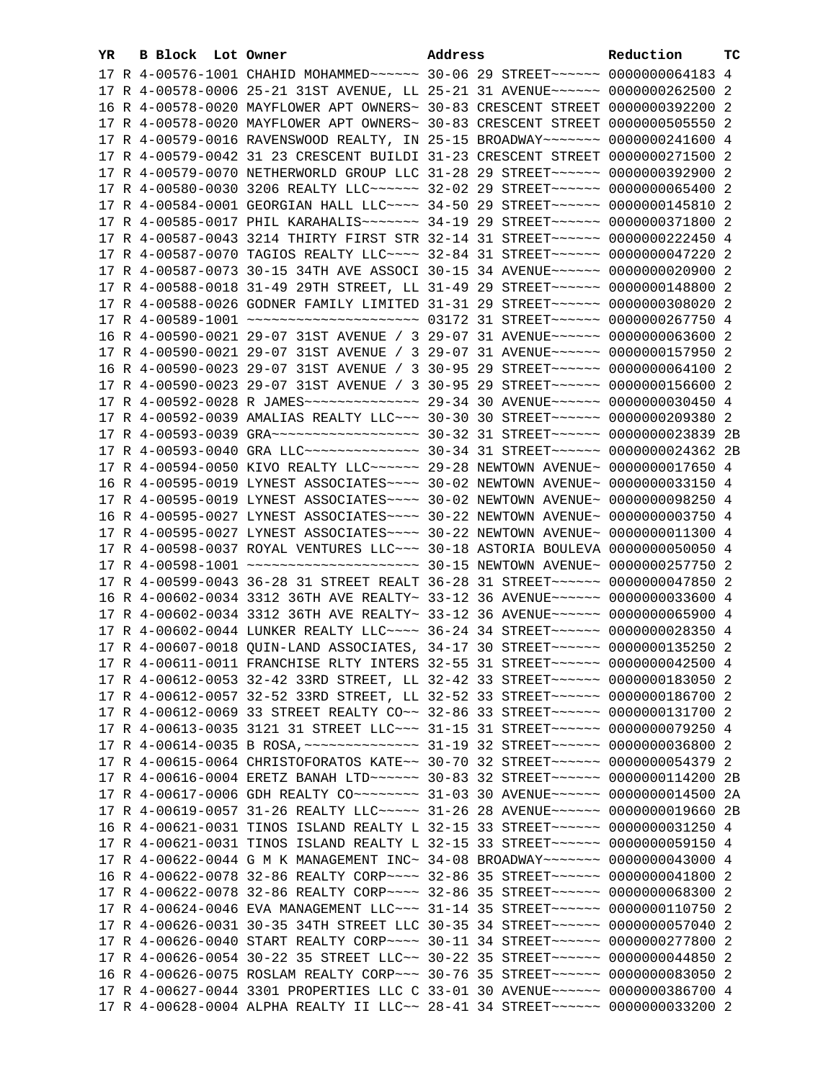| YR. | B Block Lot Owner |                                                                                   | Address |  | Reduction | тc |
|-----|-------------------|-----------------------------------------------------------------------------------|---------|--|-----------|----|
|     |                   | 17 R 4-00576-1001 CHAHID MOHAMMED ~~~~~~ 30-06 29 STREET ~~~~~~ 0000000064183 4   |         |  |           |    |
|     |                   | 17 R 4-00578-0006 25-21 31ST AVENUE, LL 25-21 31 AVENUE~~~~~~ 0000000262500 2     |         |  |           |    |
|     |                   | 16 R 4-00578-0020 MAYFLOWER APT OWNERS~ 30-83 CRESCENT STREET 0000000392200 2     |         |  |           |    |
|     |                   | 17 R 4-00578-0020 MAYFLOWER APT OWNERS~ 30-83 CRESCENT STREET 0000000505550 2     |         |  |           |    |
|     |                   | 17 R 4-00579-0016 RAVENSWOOD REALTY, IN 25-15 BROADWAY~~~~~~~ 0000000241600 4     |         |  |           |    |
|     |                   | 17 R 4-00579-0042 31 23 CRESCENT BUILDI 31-23 CRESCENT STREET 0000000271500 2     |         |  |           |    |
|     |                   | 17 R 4-00579-0070 NETHERWORLD GROUP LLC 31-28 29 STREET~~~~~~~ 0000000392900 2    |         |  |           |    |
|     |                   | 17 R 4-00580-0030 3206 REALTY LLC ----- 32-02 29 STREET ----- 0000000065400 2     |         |  |           |    |
|     |                   | 17 R 4-00584-0001 GEORGIAN HALL LLC~~~~ 34-50 29 STREET~~~~~~ 0000000145810 2     |         |  |           |    |
|     |                   | 17 R 4-00585-0017 PHIL KARAHALIS~~~~~~~ 34-19 29 STREET~~~~~~ 0000000371800 2     |         |  |           |    |
|     |                   | 17 R 4-00587-0043 3214 THIRTY FIRST STR 32-14 31 STREET~~~~~~ 0000000222450 4     |         |  |           |    |
|     |                   | 17 R 4-00587-0070 TAGIOS REALTY LLC~~~~ 32-84 31 STREET~~~~~~ 0000000047220 2     |         |  |           |    |
|     |                   | 17 R 4-00587-0073 30-15 34TH AVE ASSOCI 30-15 34 AVENUE~~~~~~ 0000000020900 2     |         |  |           |    |
|     |                   | 17 R 4-00588-0018 31-49 29TH STREET, LL 31-49 29 STREET~~~~~~ 0000000148800 2     |         |  |           |    |
|     |                   | 17 R 4-00588-0026 GODNER FAMILY LIMITED 31-31 29 STREET~~~~~~ 0000000308020 2     |         |  |           |    |
|     |                   | 17 R 4-00589-1001 ~~~~~~~~~~~~~~~~~~~~~ 03172 31 STREET~~~~~~ 0000000267750 4     |         |  |           |    |
|     |                   | 16 R 4-00590-0021 29-07 31ST AVENUE / 3 29-07 31 AVENUE~~~~~~ 0000000063600 2     |         |  |           |    |
|     |                   | 17 R 4-00590-0021 29-07 31ST AVENUE / 3 29-07 31 AVENUE~~~~~~ 0000000157950 2     |         |  |           |    |
|     |                   | 16 R 4-00590-0023 29-07 31ST AVENUE / 3 30-95 29 STREET~~~~~~~ 0000000064100 2    |         |  |           |    |
|     |                   | 17 R 4-00590-0023 29-07 31ST AVENUE / 3 30-95 29 STREET~~~~~~~ 0000000156600 2    |         |  |           |    |
|     |                   | 17 R 4-00592-0028 R JAMES -------------- 29-34 30 AVENUE ------ 0000000030450 4   |         |  |           |    |
|     |                   | 17 R 4-00592-0039 AMALIAS REALTY LLC ~~~ 30-30 30 STREET ~~~~~~ 0000000209380 2   |         |  |           |    |
|     |                   | 17 R 4-00593-0039 GRA -------------------- 30-32 31 STREET------ 0000000023839 2B |         |  |           |    |
|     |                   | 17 R 4-00593-0040 GRA LLC -------------- 30-34 31 STREET ------ 0000000024362 2B  |         |  |           |    |
|     |                   | 17 R 4-00594-0050 KIVO REALTY LLC ~~~~~~ 29-28 NEWTOWN AVENUE ~ 0000000017650 4   |         |  |           |    |
|     |                   | 16 R 4-00595-0019 LYNEST ASSOCIATES~~~~ 30-02 NEWTOWN AVENUE~ 0000000033150 4     |         |  |           |    |
|     |                   | 17 R 4-00595-0019 LYNEST ASSOCIATES~~~~ 30-02 NEWTOWN AVENUE~ 0000000098250 4     |         |  |           |    |
|     |                   | 16 R 4-00595-0027 LYNEST ASSOCIATES~~~~ 30-22 NEWTOWN AVENUE~ 0000000003750 4     |         |  |           |    |
|     |                   | 17 R 4-00595-0027 LYNEST ASSOCIATES~~~~ 30-22 NEWTOWN AVENUE~ 0000000011300 4     |         |  |           |    |
|     |                   | 17 R 4-00598-0037 ROYAL VENTURES LLC~~~ 30-18 ASTORIA BOULEVA 0000000050050 4     |         |  |           |    |
|     |                   |                                                                                   |         |  |           |    |
|     |                   | 17 R 4-00599-0043 36-28 31 STREET REALT 36-28 31 STREET~~~~~~ 0000000047850 2     |         |  |           |    |
|     |                   | 16 R 4-00602-0034 3312 36TH AVE REALTY~ 33-12 36 AVENUE~~~~~~ 0000000033600 4     |         |  |           |    |
|     |                   | 17 R 4-00602-0034 3312 36TH AVE REALTY~ 33-12 36 AVENUE~~~~~~ 0000000065900 4     |         |  |           |    |
|     |                   | 17 R 4-00602-0044 LUNKER REALTY LLC --- 36-24 34 STREET ----- 0000000028350 4     |         |  |           |    |
|     |                   | 17 R 4-00607-0018 QUIN-LAND ASSOCIATES, 34-17 30 STREET~~~~~~ 0000000135250 2     |         |  |           |    |
|     |                   | 17 R 4-00611-0011 FRANCHISE RLTY INTERS 32-55 31 STREET~~~~~~ 0000000042500 4     |         |  |           |    |
|     |                   | 17 R 4-00612-0053 32-42 33RD STREET, LL 32-42 33 STREET~~~~~~ 0000000183050 2     |         |  |           |    |
|     |                   | 17 R 4-00612-0057 32-52 33RD STREET, LL 32-52 33 STREET~~~~~~ 0000000186700 2     |         |  |           |    |
|     |                   | 17 R 4-00612-0069 33 STREET REALTY CO~~ 32-86 33 STREET~~~~~~ 0000000131700 2     |         |  |           |    |
|     |                   | 17 R 4-00613-0035 3121 31 STREET LLC -- 31-15 31 STREET ----- 0000000079250 4     |         |  |           |    |
|     |                   | 17 R 4-00614-0035 B ROSA, ~~~~~~~~~~~~~~~ 31-19 32 STREET~~~~~~ 0000000036800 2   |         |  |           |    |
|     |                   | 17 R 4-00615-0064 CHRISTOFORATOS KATE~~ 30-70 32 STREET~~~~~~~ 0000000054379 2    |         |  |           |    |
|     |                   | 17 R 4-00616-0004 ERETZ BANAH LTD ~~~~~~ 30-83 32 STREET ~~~~~~ 0000000114200 2B  |         |  |           |    |
|     |                   | 17 R 4-00617-0006 GDH REALTY CO~~~~~~~~~ 31-03 30 AVENUE~~~~~~ 0000000014500 2A   |         |  |           |    |
|     |                   | 17 R 4-00619-0057 31-26 REALTY LLC ---- 31-26 28 AVENUE ----- 0000000019660 2B    |         |  |           |    |
|     |                   | 16 R 4-00621-0031 TINOS ISLAND REALTY L 32-15 33 STREET~~~~~~ 0000000031250 4     |         |  |           |    |
|     |                   | 17 R 4-00621-0031 TINOS ISLAND REALTY L 32-15 33 STREET~~~~~~ 0000000059150 4     |         |  |           |    |
|     |                   | 17 R 4-00622-0044 G M K MANAGEMENT INC~ 34-08 BROADWAY~~~~~~~ 0000000043000 4     |         |  |           |    |
|     |                   | 16 R 4-00622-0078 32-86 REALTY CORP~~~~ 32-86 35 STREET~~~~~~ 0000000041800 2     |         |  |           |    |
|     |                   | 17 R 4-00622-0078 32-86 REALTY CORP~~~~ 32-86 35 STREET~~~~~~ 0000000068300 2     |         |  |           |    |
|     |                   | 17 R 4-00624-0046 EVA MANAGEMENT LLC~~~ 31-14 35 STREET~~~~~~ 0000000110750 2     |         |  |           |    |
|     |                   | 17 R 4-00626-0031 30-35 34TH STREET LLC 30-35 34 STREET~~~~~~ 0000000057040 2     |         |  |           |    |
|     |                   | 17 R 4-00626-0040 START REALTY CORP~~~~ 30-11 34 STREET~~~~~~ 0000000277800 2     |         |  |           |    |
|     |                   | 17 R 4-00626-0054 30-22 35 STREET LLC~~ 30-22 35 STREET~~~~~~~ 0000000044850 2    |         |  |           |    |
|     |                   | 16 R 4-00626-0075 ROSLAM REALTY CORP~~~ 30-76 35 STREET~~~~~~ 0000000083050 2     |         |  |           |    |
|     |                   | 17 R 4-00627-0044 3301 PROPERTIES LLC C 33-01 30 AVENUE~~~~~~ 0000000386700 4     |         |  |           |    |
|     |                   | 17 R 4-00628-0004 ALPHA REALTY II LLC~~ 28-41 34 STREET~~~~~~ 0000000033200 2     |         |  |           |    |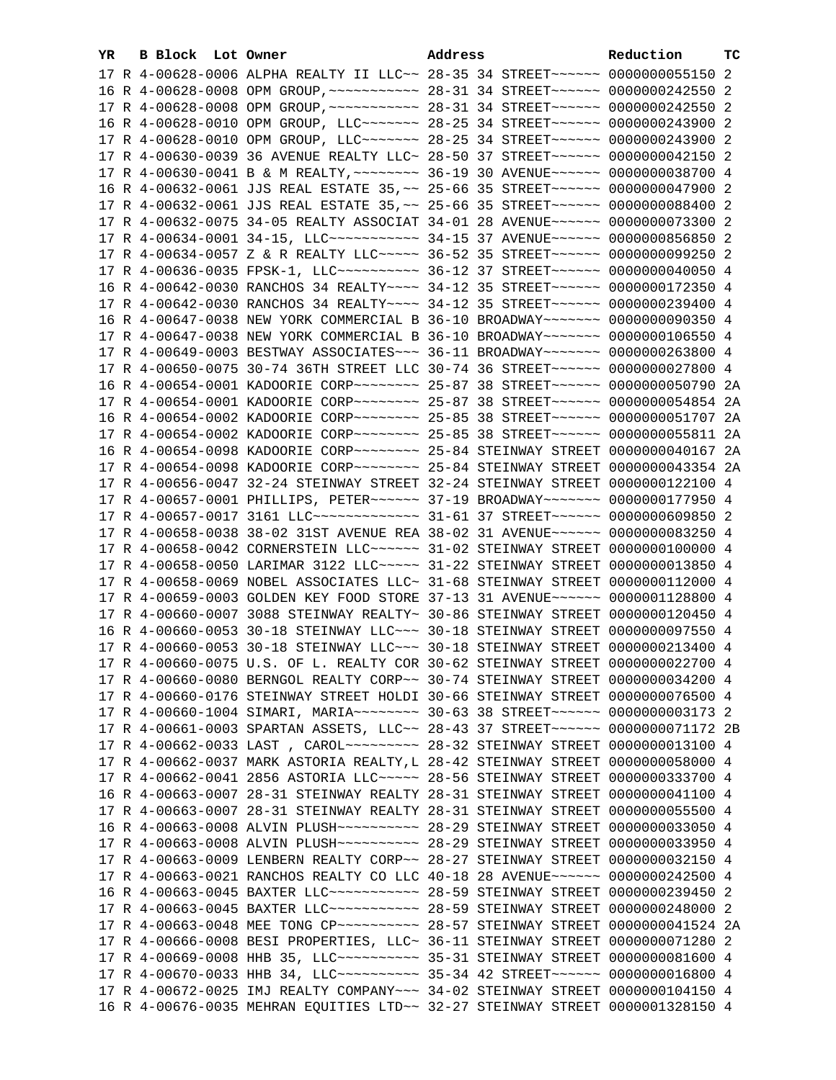| YR. | B Block Lot Owner |                                                                                      | Address | Reduction | тc |
|-----|-------------------|--------------------------------------------------------------------------------------|---------|-----------|----|
|     |                   | 17 R 4-00628-0006 ALPHA REALTY II LLC~~ 28-35 34 STREET~~~~~~~ 0000000055150 2       |         |           |    |
|     |                   | 16 R 4-00628-0008 OPM GROUP, ~~~~~~~~~~~~~~~~ 28-31 34 STREET~~~~~~~ 0000000242550 2 |         |           |    |
|     |                   |                                                                                      |         |           |    |
|     |                   | 16 R 4-00628-0010 OPM GROUP, LLC ------ 28-25 34 STREET ----- 0000000243900 2        |         |           |    |
|     |                   | 17 R 4-00628-0010 OPM GROUP, LLC ------ 28-25 34 STREET ----- 0000000243900 2        |         |           |    |
|     |                   | 17 R 4-00630-0039 36 AVENUE REALTY LLC~ 28-50 37 STREET~~~~~~~ 0000000042150 2       |         |           |    |
|     |                   | 17 R 4-00630-0041 B & M REALTY, ~~~~~~~~ 36-19 30 AVENUE~~~~~~ 0000000038700 4       |         |           |    |
|     |                   | 16 R 4-00632-0061 JJS REAL ESTATE 35, ~~ 25-66 35 STREET~~~~~~ 0000000047900 2       |         |           |    |
|     |                   | 17 R 4-00632-0061 JJS REAL ESTATE 35, ~~ 25-66 35 STREET~~~~~~~ 0000000088400 2      |         |           |    |
|     |                   | 17 R 4-00632-0075 34-05 REALTY ASSOCIAT 34-01 28 AVENUE~~~~~~ 0000000073300 2        |         |           |    |
|     |                   | 17 R 4-00634-0001 34-15, LLC ----------- 34-15 37 AVENUE------ 0000000856850 2       |         |           |    |
|     |                   | 17 R 4-00634-0057 Z & R REALTY LLC ---- 36-52 35 STREET ----- 0000000099250 2        |         |           |    |
|     |                   | 17 R 4-00636-0035 FPSK-1, LLC ---------- 36-12 37 STREET ----- 0000000040050 4       |         |           |    |
|     |                   | 16 R 4-00642-0030 RANCHOS 34 REALTY~~~~ 34-12 35 STREET~~~~~~ 0000000172350 4        |         |           |    |
|     |                   | 17 R 4-00642-0030 RANCHOS 34 REALTY~~~~ 34-12 35 STREET~~~~~~ 0000000239400 4        |         |           |    |
|     |                   | 16 R 4-00647-0038 NEW YORK COMMERCIAL B 36-10 BROADWAY~~~~~~~ 0000000090350 4        |         |           |    |
|     |                   | 17 R 4-00647-0038 NEW YORK COMMERCIAL B 36-10 BROADWAY~~~~~~~ 0000000106550 4        |         |           |    |
|     |                   | 17 R 4-00649-0003 BESTWAY ASSOCIATES~~~ 36-11 BROADWAY~~~~~~~ 0000000263800 4        |         |           |    |
|     |                   | 17 R 4-00650-0075 30-74 36TH STREET LLC 30-74 36 STREET~~~~~~ 0000000027800 4        |         |           |    |
|     |                   | 16 R 4-00654-0001 KADOORIE CORP~~~~~~~~ 25-87 38 STREET~~~~~~ 0000000050790 2A       |         |           |    |
|     |                   | 17 R 4-00654-0001 KADOORIE CORP~~~~~~~~ 25-87 38 STREET~~~~~~ 0000000054854 2A       |         |           |    |
|     |                   | 16 R 4-00654-0002 KADOORIE CORP~~~~~~~~ 25-85 38 STREET~~~~~~ 0000000051707 2A       |         |           |    |
|     |                   | 17 R 4-00654-0002 KADOORIE CORP~~~~~~~~ 25-85 38 STREET~~~~~~ 0000000055811 2A       |         |           |    |
|     |                   | 16 R 4-00654-0098 KADOORIE CORP~~~~~~~~ 25-84 STEINWAY STREET 0000000040167 2A       |         |           |    |
|     |                   | 17 R 4-00654-0098 KADOORIE CORP~~~~~~~~ 25-84 STEINWAY STREET 0000000043354 2A       |         |           |    |
|     |                   | 17 R 4-00656-0047 32-24 STEINWAY STREET 32-24 STEINWAY STREET 0000000122100 4        |         |           |    |
|     |                   | 17 R 4-00657-0001 PHILLIPS, PETER~~~~~~ 37-19 BROADWAY~~~~~~~ 0000000177950 4        |         |           |    |
|     |                   | 17 R 4-00657-0017 3161 LLC ------------- 31-61 37 STREET ------ 0000000609850 2      |         |           |    |
|     |                   | 17 R 4-00658-0038 38-02 31ST AVENUE REA 38-02 31 AVENUE~~~~~~ 0000000083250 4        |         |           |    |
|     |                   | 17 R 4-00658-0042 CORNERSTEIN LLC ----- 31-02 STEINWAY STREET 0000000100000 4        |         |           |    |
|     |                   | 17 R 4-00658-0050 LARIMAR 3122 LLC ---- 31-22 STEINWAY STREET 0000000013850 4        |         |           |    |
|     |                   | 17 R 4-00658-0069 NOBEL ASSOCIATES LLC~ 31-68 STEINWAY STREET 0000000112000 4        |         |           |    |
|     |                   | 17 R 4-00659-0003 GOLDEN KEY FOOD STORE 37-13 31 AVENUE~~~~~~ 0000001128800 4        |         |           |    |
|     |                   | 17 R 4-00660-0007 3088 STEINWAY REALTY~ 30-86 STEINWAY STREET 0000000120450 4        |         |           |    |
|     |                   | 16 R 4-00660-0053 30-18 STEINWAY LLC~~~ 30-18 STEINWAY STREET 0000000097550 4        |         |           |    |
|     |                   | 17 R 4-00660-0053 30-18 STEINWAY LLC ~~~ 30-18 STEINWAY STREET 0000000213400 4       |         |           |    |
|     |                   | 17 R 4-00660-0075 U.S. OF L. REALTY COR 30-62 STEINWAY STREET 0000000022700 4        |         |           |    |
|     |                   | 17 R 4-00660-0080 BERNGOL REALTY CORP~~ 30-74 STEINWAY STREET 0000000034200 4        |         |           |    |
|     |                   | 17 R 4-00660-0176 STEINWAY STREET HOLDI 30-66 STEINWAY STREET 0000000076500 4        |         |           |    |
|     |                   | 17 R 4-00660-1004 SIMARI, MARIA~~~~~~~~ 30-63 38 STREET~~~~~~ 0000000003173 2        |         |           |    |
|     |                   | 17 R 4-00661-0003 SPARTAN ASSETS, LLC~~ 28-43 37 STREET~~~~~~ 0000000071172 2B       |         |           |    |
|     |                   |                                                                                      |         |           |    |
|     |                   | 17 R 4-00662-0037 MARK ASTORIA REALTY, L 28-42 STEINWAY STREET 0000000058000 4       |         |           |    |
|     |                   | 17 R 4-00662-0041 2856 ASTORIA LLC ---- 28-56 STEINWAY STREET 0000000333700 4        |         |           |    |
|     |                   | 16 R 4-00663-0007 28-31 STEINWAY REALTY 28-31 STEINWAY STREET 0000000041100 4        |         |           |    |
|     |                   | 17 R 4-00663-0007 28-31 STEINWAY REALTY 28-31 STEINWAY STREET 0000000055500 4        |         |           |    |
|     |                   |                                                                                      |         |           |    |
|     |                   |                                                                                      |         |           |    |
|     |                   | 17 R 4-00663-0009 LENBERN REALTY CORP~~ 28-27 STEINWAY STREET 0000000032150 4        |         |           |    |
|     |                   | 17 R 4-00663-0021 RANCHOS REALTY CO LLC 40-18 28 AVENUE~~~~~~ 0000000242500 4        |         |           |    |
|     |                   | 16 R 4-00663-0045 BAXTER LLC ----------- 28-59 STEINWAY STREET 0000000239450 2       |         |           |    |
|     |                   | 17 R 4-00663-0045 BAXTER LLC ----------- 28-59 STEINWAY STREET 0000000248000 2       |         |           |    |
|     |                   | 17 R 4-00663-0048 MEE TONG CP ---------- 28-57 STEINWAY STREET 0000000041524 2A      |         |           |    |
|     |                   | 17 R 4-00666-0008 BESI PROPERTIES, LLC~ 36-11 STEINWAY STREET 0000000071280 2        |         |           |    |
|     |                   | 17 R 4-00669-0008 HHB 35, LLC ---------- 35-31 STEINWAY STREET 0000000081600 4       |         |           |    |
|     |                   | 17 R 4-00670-0033 HHB 34, LLC ---------- 35-34 42 STREET ----- 0000000016800 4       |         |           |    |
|     |                   | 17 R 4-00672-0025 IMJ REALTY COMPANY~~~ 34-02 STEINWAY STREET 0000000104150 4        |         |           |    |
|     |                   | 16 R 4-00676-0035 MEHRAN EQUITIES LTD~~ 32-27 STEINWAY STREET 0000001328150 4        |         |           |    |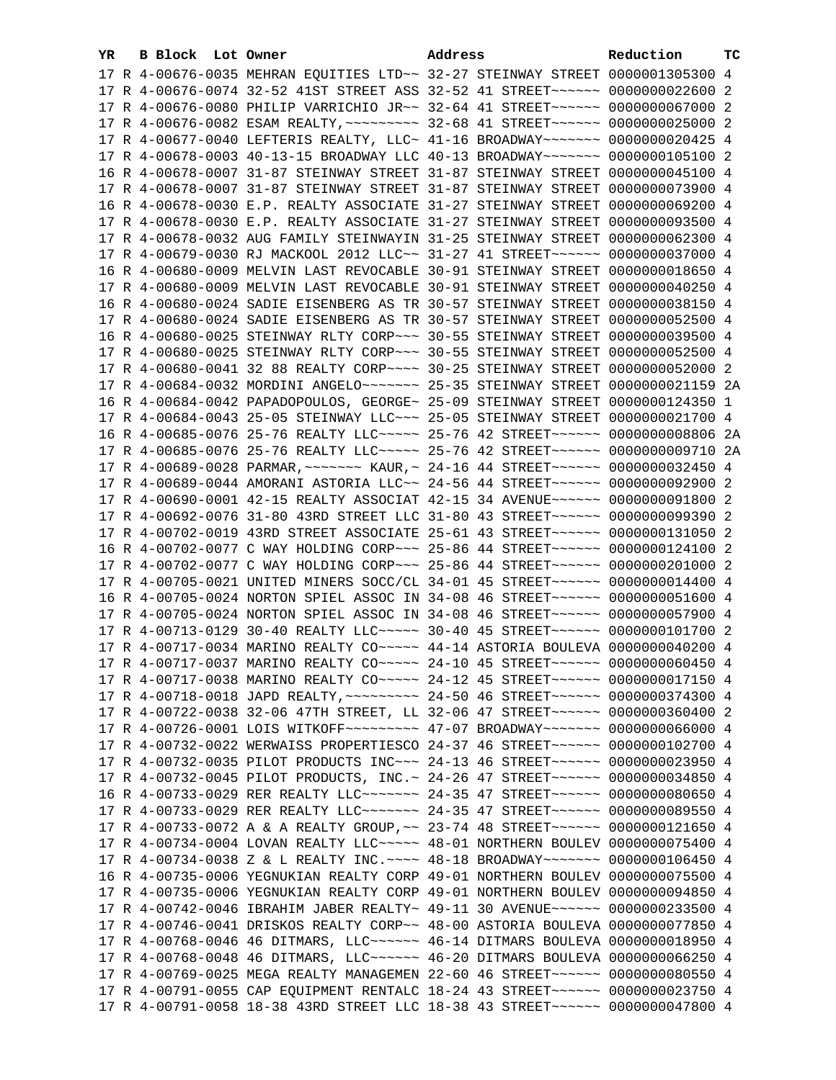| YR. | <b>B Block</b> Lot Owner |                                                                                                                                                                | Address | Reduction | тc |
|-----|--------------------------|----------------------------------------------------------------------------------------------------------------------------------------------------------------|---------|-----------|----|
|     |                          | 17 R 4-00676-0035 MEHRAN EQUITIES LTD ~~ 32-27 STEINWAY STREET 0000001305300 4                                                                                 |         |           |    |
|     |                          | 17 R 4-00676-0074 32-52 41ST STREET ASS 32-52 41 STREET ~~~~~~ 0000000022600 2                                                                                 |         |           |    |
|     |                          | 17 R 4-00676-0080 PHILIP VARRICHIO JR~~ 32-64 41 STREET~~~~~~ 0000000067000 2                                                                                  |         |           |    |
|     |                          | 17 R 4-00676-0082 ESAM REALTY, ~~~~~~~~~ 32-68 41 STREET~~~~~~ 0000000025000 2                                                                                 |         |           |    |
|     |                          | 17 R 4-00677-0040 LEFTERIS REALTY, LLC~ 41-16 BROADWAY~~~~~~~ 0000000020425 4                                                                                  |         |           |    |
|     |                          | 17 R 4-00678-0003 40-13-15 BROADWAY LLC 40-13 BROADWAY~~~~~~~ 0000000105100 2                                                                                  |         |           |    |
|     |                          | 16 R 4-00678-0007 31-87 STEINWAY STREET 31-87 STEINWAY STREET 0000000045100 4                                                                                  |         |           |    |
|     |                          | 17 R 4-00678-0007 31-87 STEINWAY STREET 31-87 STEINWAY STREET 0000000073900 4                                                                                  |         |           |    |
|     |                          | 16 R 4-00678-0030 E.P. REALTY ASSOCIATE 31-27 STEINWAY STREET 0000000069200 4                                                                                  |         |           |    |
|     |                          | 17 R 4-00678-0030 E.P. REALTY ASSOCIATE 31-27 STEINWAY STREET 0000000093500 4                                                                                  |         |           |    |
|     |                          | 17 R 4-00678-0032 AUG FAMILY STEINWAYIN 31-25 STEINWAY STREET 0000000062300 4                                                                                  |         |           |    |
|     |                          | 17 R 4-00679-0030 RJ MACKOOL 2012 LLC~~ 31-27 41 STREET~~~~~~ 0000000037000 4                                                                                  |         |           |    |
|     |                          | 16 R 4-00680-0009 MELVIN LAST REVOCABLE 30-91 STEINWAY STREET 0000000018650 4                                                                                  |         |           |    |
|     |                          | 17 R 4-00680-0009 MELVIN LAST REVOCABLE 30-91 STEINWAY STREET 0000000040250 4                                                                                  |         |           |    |
|     |                          | 16 R 4-00680-0024 SADIE EISENBERG AS TR 30-57 STEINWAY STREET 0000000038150 4                                                                                  |         |           |    |
|     |                          |                                                                                                                                                                |         |           |    |
|     |                          | 17 R 4-00680-0024 SADIE EISENBERG AS TR 30-57 STEINWAY STREET 0000000052500 4                                                                                  |         |           |    |
|     |                          | 16 R 4-00680-0025 STEINWAY RLTY CORP~~~ 30-55 STEINWAY STREET 0000000039500 4<br>17 R 4-00680-0025 STEINWAY RLTY CORP~~~ 30-55 STEINWAY STREET 0000000052500 4 |         |           |    |
|     |                          |                                                                                                                                                                |         |           |    |
|     |                          | 17 R 4-00680-0041 32 88 REALTY CORP~~~~ 30-25 STEINWAY STREET 0000000052000 2                                                                                  |         |           |    |
|     |                          | 17 R 4-00684-0032 MORDINI ANGELO~~~~~~~ 25-35 STEINWAY STREET 0000000021159 2A                                                                                 |         |           |    |
|     |                          | 16 R 4-00684-0042 PAPADOPOULOS, GEORGE~ 25-09 STEINWAY STREET 0000000124350 1                                                                                  |         |           |    |
|     |                          | 17 R 4-00684-0043 25-05 STEINWAY LLC ~~~ 25-05 STEINWAY STREET 0000000021700 4                                                                                 |         |           |    |
|     |                          | 16 R 4-00685-0076 25-76 REALTY LLC ---- 25-76 42 STREET ----- 0000000008806 2A                                                                                 |         |           |    |
|     |                          | 17 R 4-00685-0076 25-76 REALTY LLC ---- 25-76 42 STREET ----- 0000000009710 2A                                                                                 |         |           |    |
|     |                          | 17 R 4-00689-0028 PARMAR, ~~~~~~~ KAUR, ~ 24-16 44 STREET~~~~~~ 0000000032450 4                                                                                |         |           |    |
|     |                          | 17 R 4-00689-0044 AMORANI ASTORIA LLC~~ 24-56 44 STREET~~~~~~~ 0000000092900 2                                                                                 |         |           |    |
|     |                          | 17 R 4-00690-0001 42-15 REALTY ASSOCIAT 42-15 34 AVENUE~~~~~~ 0000000091800 2                                                                                  |         |           |    |
|     |                          | 17 R 4-00692-0076 31-80 43RD STREET LLC 31-80 43 STREET~~~~~~ 0000000099390 2                                                                                  |         |           |    |
|     |                          | 17 R 4-00702-0019 43RD STREET ASSOCIATE 25-61 43 STREET~~~~~~ 0000000131050 2                                                                                  |         |           |    |
|     |                          | 16 R 4-00702-0077 C WAY HOLDING CORP~~~ 25-86 44 STREET~~~~~~ 0000000124100 2                                                                                  |         |           |    |
|     |                          | 17 R 4-00702-0077 C WAY HOLDING CORP~~~ 25-86 44 STREET~~~~~~ 0000000201000 2<br>17 R 4-00705-0021 UNITED MINERS SOCC/CL 34-01 45 STREET~~~~~~ 0000000014400 4 |         |           |    |
|     |                          | 16 R 4-00705-0024 NORTON SPIEL ASSOC IN 34-08 46 STREET~~~~~~ 0000000051600 4                                                                                  |         |           |    |
|     |                          | 17 R 4-00705-0024 NORTON SPIEL ASSOC IN 34-08 46 STREET~~~~~~ 0000000057900 4                                                                                  |         |           |    |
|     |                          | 17 R 4-00713-0129 30-40 REALTY LLC ---- 30-40 45 STREET ----- 0000000101700 2                                                                                  |         |           |    |
|     |                          | 17 R 4-00717-0034 MARINO REALTY CO~~~~~ 44-14 ASTORIA BOULEVA 0000000040200 4                                                                                  |         |           |    |
|     |                          | 17 R 4-00717-0037 MARINO REALTY CO~~~~~ 24-10 45 STREET~~~~~~ 0000000066450 4                                                                                  |         |           |    |
|     |                          | 17 R 4-00717-0038 MARINO REALTY CO ~~~~~ 24-12 45 STREET ~~~~~~ 0000000017150 4                                                                                |         |           |    |
|     |                          | 17 R 4-00718-0018 JAPD REALTY, ~~~~~~~~~ 24-50 46 STREET~~~~~~ 0000000374300 4                                                                                 |         |           |    |
|     |                          | 17 R 4-00722-0038 32-06 47TH STREET, LL 32-06 47 STREET~~~~~~ 0000000360400 2                                                                                  |         |           |    |
|     |                          | 17 R 4-00726-0001 LOIS WITKOFF~~~~~~~~~ 47-07 BROADWAY~~~~~~~ 0000000066000 4                                                                                  |         |           |    |
|     |                          | 17 R 4-00732-0022 WERWAISS PROPERTIESCO 24-37 46 STREET~~~~~~~ 0000000102700 4                                                                                 |         |           |    |
|     |                          | 17 R 4-00732-0035 PILOT PRODUCTS INC~~~ 24-13 46 STREET~~~~~~ 0000000023950 4                                                                                  |         |           |    |
|     |                          | 17 R 4-00732-0045 PILOT PRODUCTS, INC.~ 24-26 47 STREET~~~~~~~ 0000000034850 4                                                                                 |         |           |    |
|     |                          | 16 R 4-00733-0029 RER REALTY LLC ------ 24-35 47 STREET ----- 0000000080650 4                                                                                  |         |           |    |
|     |                          | 17 R 4-00733-0029 RER REALTY LLC ------ 24-35 47 STREET ----- 0000000089550 4                                                                                  |         |           |    |
|     |                          | 17 R 4-00733-0072 A & A REALTY GROUP, ~~ 23-74 48 STREET~~~~~~~ 0000000121650 4                                                                                |         |           |    |
|     |                          | 17 R 4-00734-0004 LOVAN REALTY LLC ---- 48-01 NORTHERN BOULEV 0000000075400 4                                                                                  |         |           |    |
|     |                          | 17 R 4-00734-0038 Z & L REALTY INC. ~~~~ 48-18 BROADWAY~~~~~~~ 0000000106450 4                                                                                 |         |           |    |
|     |                          | 16 R 4-00735-0006 YEGNUKIAN REALTY CORP 49-01 NORTHERN BOULEV 0000000075500 4                                                                                  |         |           |    |
|     |                          | 17 R 4-00735-0006 YEGNUKIAN REALTY CORP 49-01 NORTHERN BOULEV 0000000094850 4                                                                                  |         |           |    |
|     |                          | 17 R 4-00742-0046 IBRAHIM JABER REALTY~ 49-11 30 AVENUE~~~~~~ 0000000233500 4                                                                                  |         |           |    |
|     |                          | 17 R 4-00746-0041 DRISKOS REALTY CORP~~ 48-00 ASTORIA BOULEVA 0000000077850 4                                                                                  |         |           |    |
|     |                          | 17 R 4-00768-0046 46 DITMARS, LLC ----- 46-14 DITMARS BOULEVA 0000000018950 4                                                                                  |         |           |    |
|     |                          | 17 R 4-00768-0048 46 DITMARS, LLC ----- 46-20 DITMARS BOULEVA 0000000066250 4                                                                                  |         |           |    |
|     |                          | 17 R 4-00769-0025 MEGA REALTY MANAGEMEN 22-60 46 STREET~~~~~~~ 0000000080550 4                                                                                 |         |           |    |
|     |                          | 17 R 4-00791-0055 CAP EQUIPMENT RENTALC 18-24 43 STREET~~~~~~~ 0000000023750 4                                                                                 |         |           |    |
|     |                          | 17 R 4-00791-0058 18-38 43RD STREET LLC 18-38 43 STREET~~~~~~~ 0000000047800 4                                                                                 |         |           |    |
|     |                          |                                                                                                                                                                |         |           |    |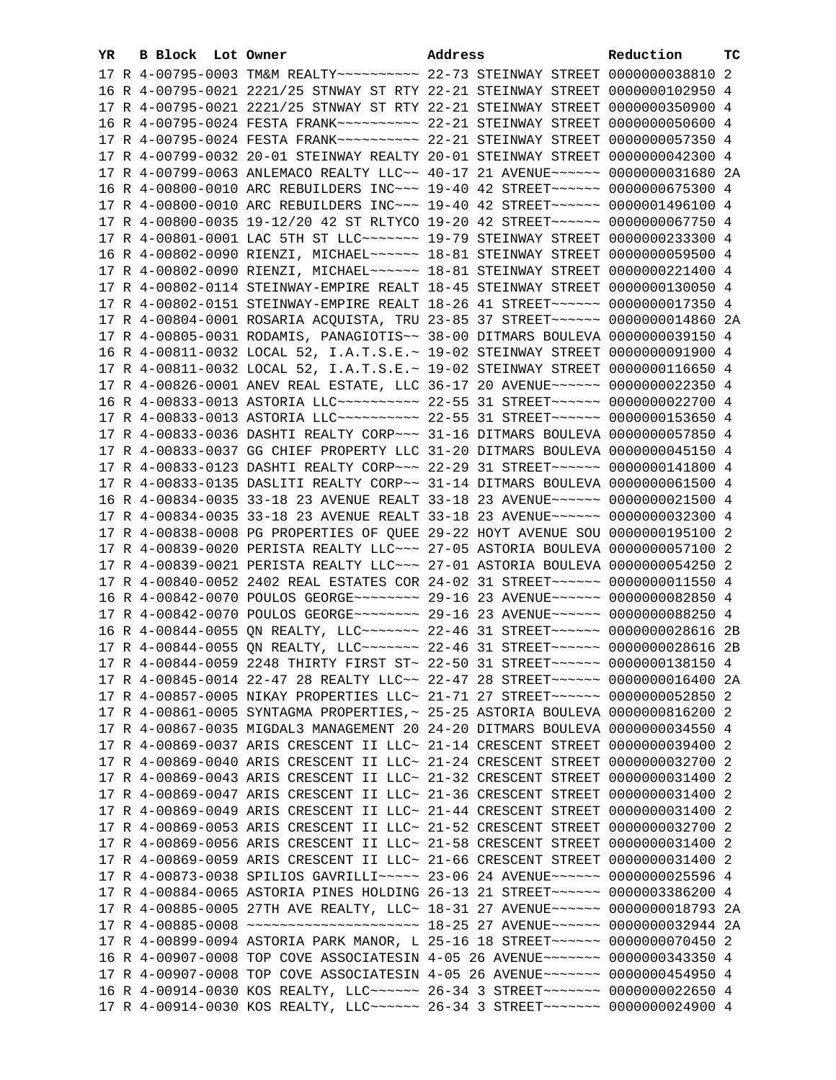| YR. | B Block Lot Owner |                                                                                     | Address | Reduction | тc |
|-----|-------------------|-------------------------------------------------------------------------------------|---------|-----------|----|
|     |                   |                                                                                     |         |           |    |
|     |                   | 16 R 4-00795-0021 2221/25 STNWAY ST RTY 22-21 STEINWAY STREET 0000000102950 4       |         |           |    |
|     |                   | 17 R 4-00795-0021 2221/25 STNWAY ST RTY 22-21 STEINWAY STREET 0000000350900 4       |         |           |    |
|     |                   |                                                                                     |         |           |    |
|     |                   |                                                                                     |         |           |    |
|     |                   | 17 R 4-00799-0032 20-01 STEINWAY REALTY 20-01 STEINWAY STREET 0000000042300 4       |         |           |    |
|     |                   | 17 R 4-00799-0063 ANLEMACO REALTY LLC~~ 40-17 21 AVENUE~~~~~~ 0000000031680 2A      |         |           |    |
|     |                   | 16 R 4-00800-0010 ARC REBUILDERS INC~~~ 19-40 42 STREET~~~~~~ 0000000675300 4       |         |           |    |
|     |                   | 17 R 4-00800-0010 ARC REBUILDERS INC~~~ 19-40 42 STREET~~~~~~ 0000001496100 4       |         |           |    |
|     |                   | 17 R 4-00800-0035 19-12/20 42 ST RLTYCO 19-20 42 STREET~~~~~~ 0000000067750 4       |         |           |    |
|     |                   | 17 R 4-00801-0001 LAC 5TH ST LLC~~~~~~~~~~~~~ 19-79 STEINWAY STREET 0000000233300 4 |         |           |    |
|     |                   | 16 R 4-00802-0090 RIENZI, MICHAEL~~~~~~ 18-81 STEINWAY STREET 0000000059500 4       |         |           |    |
|     |                   | 17 R 4-00802-0090 RIENZI, MICHAEL~~~~~~ 18-81 STEINWAY STREET 0000000221400 4       |         |           |    |
|     |                   | 17 R 4-00802-0114 STEINWAY-EMPIRE REALT 18-45 STEINWAY STREET 0000000130050 4       |         |           |    |
|     |                   | 17 R 4-00802-0151 STEINWAY-EMPIRE REALT 18-26 41 STREET~~~~~~ 0000000017350 4       |         |           |    |
|     |                   | 17 R 4-00804-0001 ROSARIA ACQUISTA, TRU 23-85 37 STREET~~~~~~ 0000000014860 2A      |         |           |    |
|     |                   | 17 R 4-00805-0031 RODAMIS, PANAGIOTIS~~ 38-00 DITMARS BOULEVA 0000000039150 4       |         |           |    |
|     |                   | 16 R 4-00811-0032 LOCAL 52, I.A.T.S.E.~ 19-02 STEINWAY STREET 0000000091900 4       |         |           |    |
|     |                   | 17 R 4-00811-0032 LOCAL 52, I.A.T.S.E.~ 19-02 STEINWAY STREET 0000000116650 4       |         |           |    |
|     |                   | 17 R 4-00826-0001 ANEV REAL ESTATE, LLC 36-17 20 AVENUE~~~~~~ 0000000022350 4       |         |           |    |
|     |                   | 16 R 4-00833-0013 ASTORIA LLC~~~~~~~~~~~~~ 22-55 31 STREET~~~~~~ 0000000022700 4    |         |           |    |
|     |                   | 17 R 4-00833-0013 ASTORIA LLC~~~~~~~~~~~~~ 22-55 31 STREET~~~~~~ 0000000153650 4    |         |           |    |
|     |                   | 17 R 4-00833-0036 DASHTI REALTY CORP~~~ 31-16 DITMARS BOULEVA 0000000057850 4       |         |           |    |
|     |                   | 17 R 4-00833-0037 GG CHIEF PROPERTY LLC 31-20 DITMARS BOULEVA 0000000045150 4       |         |           |    |
|     |                   | 17 R 4-00833-0123 DASHTI REALTY CORP~~~ 22-29 31 STREET~~~~~~ 0000000141800 4       |         |           |    |
|     |                   | 17 R 4-00833-0135 DASLITI REALTY CORP~~ 31-14 DITMARS BOULEVA 0000000061500 4       |         |           |    |
|     |                   | 16 R 4-00834-0035 33-18 23 AVENUE REALT 33-18 23 AVENUE~~~~~~ 0000000021500 4       |         |           |    |
|     |                   | 17 R 4-00834-0035 33-18 23 AVENUE REALT 33-18 23 AVENUE~~~~~~ 0000000032300 4       |         |           |    |
|     |                   | 17 R 4-00838-0008 PG PROPERTIES OF QUEE 29-22 HOYT AVENUE SOU 0000000195100 2       |         |           |    |
|     |                   | 17 R 4-00839-0020 PERISTA REALTY LLC ~~~ 27-05 ASTORIA BOULEVA 0000000057100 2      |         |           |    |
|     |                   | 17 R 4-00839-0021 PERISTA REALTY LLC ~~~ 27-01 ASTORIA BOULEVA 0000000054250 2      |         |           |    |
|     |                   | 17 R 4-00840-0052 2402 REAL ESTATES COR 24-02 31 STREET~~~~~~ 0000000011550 4       |         |           |    |
|     |                   | 16 R 4-00842-0070 POULOS GEORGE~~~~~~~~ 29-16 23 AVENUE~~~~~~ 0000000082850 4       |         |           |    |
|     |                   | 17 R 4-00842-0070 POULOS GEORGE~~~~~~~~ 29-16 23 AVENUE~~~~~~ 0000000088250 4       |         |           |    |
|     |                   | 16 R 4-00844-0055 QN REALTY, LLC ------ 22-46 31 STREET ----- 0000000028616 2B      |         |           |    |
|     |                   | 17 R 4-00844-0055 ON REALTY, LLC ------ 22-46 31 STREET ----- 0000000028616 2B      |         |           |    |
|     |                   | 17 R 4-00844-0059 2248 THIRTY FIRST ST~ 22-50 31 STREET~~~~~~~ 0000000138150 4      |         |           |    |
|     |                   | 17 R 4-00845-0014 22-47 28 REALTY LLC~~ 22-47 28 STREET~~~~~~ 0000000016400 2A      |         |           |    |
|     |                   | 17 R 4-00857-0005 NIKAY PROPERTIES LLC~ 21-71 27 STREET~~~~~~~ 0000000052850 2      |         |           |    |
|     |                   | 17 R 4-00861-0005 SYNTAGMA PROPERTIES, ~ 25-25 ASTORIA BOULEVA 0000000816200 2      |         |           |    |
|     |                   | 17 R 4-00867-0035 MIGDAL3 MANAGEMENT 20 24-20 DITMARS BOULEVA 0000000034550 4       |         |           |    |
|     |                   | 17 R 4-00869-0037 ARIS CRESCENT II LLC~ 21-14 CRESCENT STREET 0000000039400 2       |         |           |    |
|     |                   | 17 R 4-00869-0040 ARIS CRESCENT II LLC~ 21-24 CRESCENT STREET 0000000032700 2       |         |           |    |
|     |                   | 17 R 4-00869-0043 ARIS CRESCENT II LLC~ 21-32 CRESCENT STREET 0000000031400 2       |         |           |    |
|     |                   | 17 R 4-00869-0047 ARIS CRESCENT II LLC~ 21-36 CRESCENT STREET 0000000031400 2       |         |           |    |
|     |                   | 17 R 4-00869-0049 ARIS CRESCENT II LLC~ 21-44 CRESCENT STREET 0000000031400 2       |         |           |    |
|     |                   | 17 R 4-00869-0053 ARIS CRESCENT II LLC~ 21-52 CRESCENT STREET 0000000032700 2       |         |           |    |
|     |                   | 17 R 4-00869-0056 ARIS CRESCENT II LLC~ 21-58 CRESCENT STREET 0000000031400 2       |         |           |    |
|     |                   | 17 R 4-00869-0059 ARIS CRESCENT II LLC~ 21-66 CRESCENT STREET 0000000031400 2       |         |           |    |
|     |                   | 17 R 4-00873-0038 SPILIOS GAVRILLI~~~~~ 23-06 24 AVENUE~~~~~~ 0000000025596 4       |         |           |    |
|     |                   | 17 R 4-00884-0065 ASTORIA PINES HOLDING 26-13 21 STREET~~~~~~ 0000003386200 4       |         |           |    |
|     |                   | 17 R 4-00885-0005 27TH AVE REALTY, LLC~ 18-31 27 AVENUE~~~~~~ 0000000018793 2A      |         |           |    |
|     |                   |                                                                                     |         |           |    |
|     |                   | 17 R 4-00899-0094 ASTORIA PARK MANOR, L 25-16 18 STREET~~~~~~ 0000000070450 2       |         |           |    |
|     |                   | 16 R 4-00907-0008 TOP COVE ASSOCIATESIN 4-05 26 AVENUE~~~~~~~ 0000000343350 4       |         |           |    |
|     |                   | 17 R 4-00907-0008 TOP COVE ASSOCIATESIN 4-05 26 AVENUE~~~~~~~ 0000000454950 4       |         |           |    |
|     |                   | 16 R 4-00914-0030 KOS REALTY, LLC ----- 26-34 3 STREET ------ 0000000022650 4       |         |           |    |
|     |                   | 17 R 4-00914-0030 KOS REALTY, LLC ----- 26-34 3 STREET ------ 0000000024900 4       |         |           |    |
|     |                   |                                                                                     |         |           |    |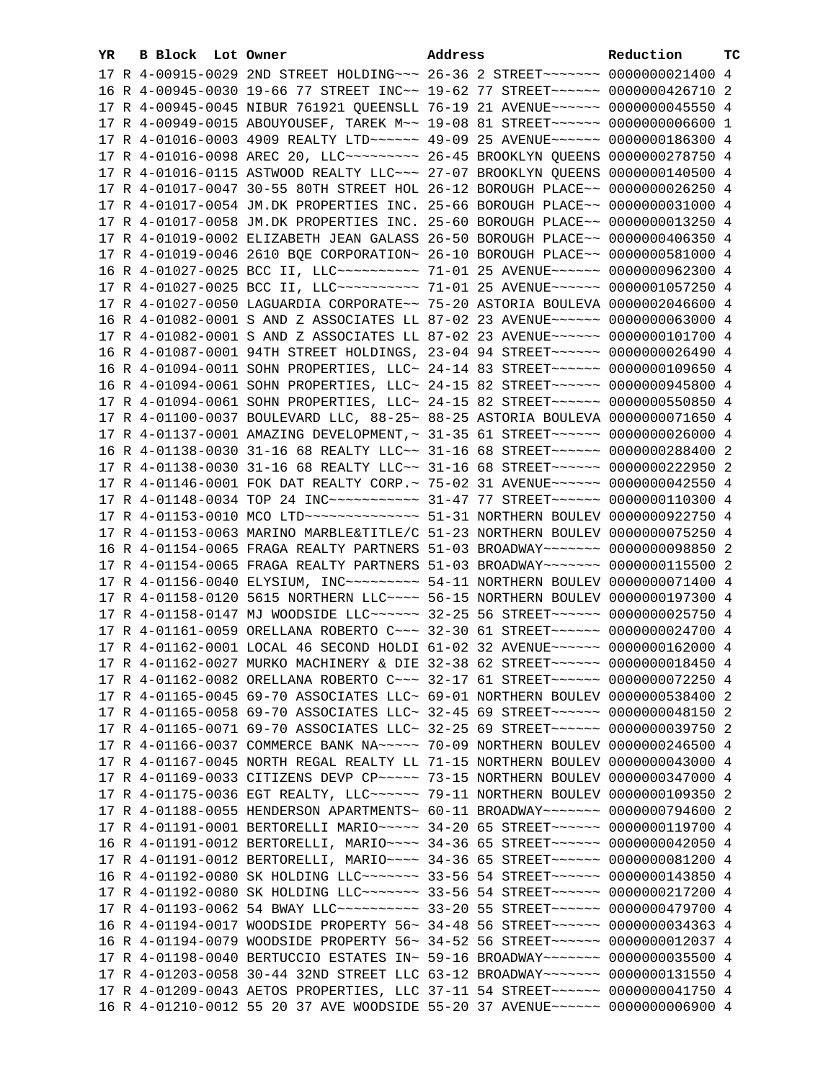| YR. | B Block Lot Owner |                                                                                                                                                                  | Address | <b>Reduction TC</b> |  |
|-----|-------------------|------------------------------------------------------------------------------------------------------------------------------------------------------------------|---------|---------------------|--|
|     |                   | 17 R 4-00915-0029 2ND STREET HOLDING~~~ 26-36 2 STREET~~~~~~~ 0000000021400 4                                                                                    |         |                     |  |
|     |                   | 16 R 4-00945-0030 19-66 77 STREET INC~~ 19-62 77 STREET~~~~~~~ 0000000426710 2                                                                                   |         |                     |  |
|     |                   | 17 R 4-00945-0045 NIBUR 761921 QUEENSLL 76-19 21 AVENUE~~~~~~ 0000000045550 4                                                                                    |         |                     |  |
|     |                   | 17 R 4-00949-0015 ABOUYOUSEF, TAREK M~~ 19-08 81 STREET~~~~~~~ 0000000006600 1                                                                                   |         |                     |  |
|     |                   | 17 R 4-01016-0003 4909 REALTY LTD ----- 49-09 25 AVENUE ----- 0000000186300 4                                                                                    |         |                     |  |
|     |                   | 17 R 4-01016-0098 AREC 20, LLC --------- 26-45 BROOKLYN QUEENS 0000000278750 4                                                                                   |         |                     |  |
|     |                   | 17 R 4-01016-0115 ASTWOOD REALTY LLC~~~ 27-07 BROOKLYN QUEENS 0000000140500 4                                                                                    |         |                     |  |
|     |                   | 17 R 4-01017-0047 30-55 80TH STREET HOL 26-12 BOROUGH PLACE~~ 0000000026250 4                                                                                    |         |                     |  |
|     |                   | 17 R 4-01017-0054 JM.DK PROPERTIES INC. 25-66 BOROUGH PLACE~~ 0000000031000 4                                                                                    |         |                     |  |
|     |                   | 17 R 4-01017-0058 JM.DK PROPERTIES INC. 25-60 BOROUGH PLACE~~ 0000000013250 4                                                                                    |         |                     |  |
|     |                   | 17 R 4-01019-0002 ELIZABETH JEAN GALASS 26-50 BOROUGH PLACE~~ 0000000406350 4                                                                                    |         |                     |  |
|     |                   | 17 R 4-01019-0046 2610 BQE CORPORATION~ 26-10 BOROUGH PLACE~~ 0000000581000 4                                                                                    |         |                     |  |
|     |                   | 16 R 4-01027-0025 BCC II, LLC ---------- 71-01 25 AVENUE ----- 0000000962300 4                                                                                   |         |                     |  |
|     |                   | 17 R 4-01027-0025 BCC II, LLC ---------- 71-01 25 AVENUE ----- 0000001057250 4                                                                                   |         |                     |  |
|     |                   | 17 R 4-01027-0050 LAGUARDIA CORPORATE~~ 75-20 ASTORIA BOULEVA 0000002046600 4                                                                                    |         |                     |  |
|     |                   | 16 R 4-01082-0001 S AND Z ASSOCIATES LL 87-02 23 AVENUE~~~~~~ 0000000063000 4                                                                                    |         |                     |  |
|     |                   | 17 R 4-01082-0001 S AND Z ASSOCIATES LL 87-02 23 AVENUE~~~~~~ 0000000101700 4                                                                                    |         |                     |  |
|     |                   | 16 R 4-01087-0001 94TH STREET HOLDINGS, 23-04 94 STREET~~~~~~ 0000000026490 4                                                                                    |         |                     |  |
|     |                   | 16 R 4-01094-0011 SOHN PROPERTIES, LLC~ 24-14 83 STREET~~~~~~ 0000000109650 4                                                                                    |         |                     |  |
|     |                   | 16 R 4-01094-0061 SOHN PROPERTIES, LLC~ 24-15 82 STREET~~~~~~ 0000000945800 4                                                                                    |         |                     |  |
|     |                   | 17 R 4-01094-0061 SOHN PROPERTIES, LLC~ 24-15 82 STREET~~~~~~ 0000000550850 4                                                                                    |         |                     |  |
|     |                   | 17 R 4-01100-0037 BOULEVARD LLC, 88-25~ 88-25 ASTORIA BOULEVA 0000000071650 4                                                                                    |         |                     |  |
|     |                   | 17 R 4-01137-0001 AMAZING DEVELOPMENT, ~ 31-35 61 STREET~~~~~~ 0000000026000 4                                                                                   |         |                     |  |
|     |                   | 16 R 4-01138-0030 31-16 68 REALTY LLC~~ 31-16 68 STREET~~~~~~ 0000000288400 2                                                                                    |         |                     |  |
|     |                   | 17 R 4-01138-0030 31-16 68 REALTY LLC~~ 31-16 68 STREET~~~~~~ 0000000222950 2                                                                                    |         |                     |  |
|     |                   | 17 R 4-01146-0001 FOK DAT REALTY CORP.~ 75-02 31 AVENUE~~~~~~ 0000000042550 4                                                                                    |         |                     |  |
|     |                   | 17 R 4-01148-0034 TOP 24 INC ----------- 31-47 77 STREET ------ 0000000110300 4                                                                                  |         |                     |  |
|     |                   | 17 R 4-01153-0010 MCO LTD --------------- 51-31 NORTHERN BOULEV 0000000922750 4<br>17 R 4-01153-0063 MARINO MARBLE&TITLE/C 51-23 NORTHERN BOULEV 0000000075250 4 |         |                     |  |
|     |                   | 16 R 4-01154-0065 FRAGA REALTY PARTNERS 51-03 BROADWAY~~~~~~~ 0000000098850 2                                                                                    |         |                     |  |
|     |                   | 17 R 4-01154-0065 FRAGA REALTY PARTNERS 51-03 BROADWAY~~~~~~~ 0000000115500 2                                                                                    |         |                     |  |
|     |                   | 17 R 4-01156-0040 ELYSIUM, INC~~~~~~~~~~ 54-11 NORTHERN BOULEV 0000000071400 4                                                                                   |         |                     |  |
|     |                   | 17 R 4-01158-0120 5615 NORTHERN LLC~~~~ 56-15 NORTHERN BOULEV 0000000197300 4                                                                                    |         |                     |  |
|     |                   | 17 R 4-01158-0147 MJ WOODSIDE LLC ----- 32-25 56 STREET ----- 0000000025750 4                                                                                    |         |                     |  |
|     |                   | 17 R 4-01161-0059 ORELLANA ROBERTO C~~~ 32-30 61 STREET~~~~~~ 0000000024700 4                                                                                    |         |                     |  |
|     |                   | 17 R 4-01162-0001 LOCAL 46 SECOND HOLDI 61-02 32 AVENUE~~~~~~ 0000000162000 4                                                                                    |         |                     |  |
|     |                   | 17 R 4-01162-0027 MURKO MACHINERY & DIE 32-38 62 STREET~~~~~~ 0000000018450 4                                                                                    |         |                     |  |
|     |                   | 17 R 4-01162-0082 ORELLANA ROBERTO C~~~ 32-17 61 STREET~~~~~~ 0000000072250 4                                                                                    |         |                     |  |
|     |                   | 17 R 4-01165-0045 69-70 ASSOCIATES LLC~ 69-01 NORTHERN BOULEV 0000000538400 2                                                                                    |         |                     |  |
|     |                   | 17 R 4-01165-0058 69-70 ASSOCIATES LLC~ 32-45 69 STREET~~~~~~~ 0000000048150 2                                                                                   |         |                     |  |
|     |                   | 17 R 4-01165-0071 69-70 ASSOCIATES LLC~ 32-25 69 STREET~~~~~~~ 0000000039750 2                                                                                   |         |                     |  |
|     |                   | 17 R 4-01166-0037 COMMERCE BANK NA~~~~~ 70-09 NORTHERN BOULEV 0000000246500 4                                                                                    |         |                     |  |
|     |                   | 17 R 4-01167-0045 NORTH REGAL REALTY LL 71-15 NORTHERN BOULEV 0000000043000 4                                                                                    |         |                     |  |
|     |                   | 17 R 4-01169-0033 CITIZENS DEVP CP ~~~~~ 73-15 NORTHERN BOULEV 0000000347000 4                                                                                   |         |                     |  |
|     |                   | 17 R 4-01175-0036 EGT REALTY, LLC ----- 79-11 NORTHERN BOULEV 0000000109350 2                                                                                    |         |                     |  |
|     |                   | 17 R 4-01188-0055 HENDERSON APARTMENTS~ 60-11 BROADWAY~~~~~~~ 0000000794600 2                                                                                    |         |                     |  |
|     |                   | 17 R 4-01191-0001 BERTORELLI MARIO ~~~~~ 34-20 65 STREET ~~~~~~ 0000000119700 4                                                                                  |         |                     |  |
|     |                   | 16 R 4-01191-0012 BERTORELLI, MARIO~~~~ 34-36 65 STREET~~~~~~ 0000000042050 4                                                                                    |         |                     |  |
|     |                   | 17 R 4-01191-0012 BERTORELLI, MARIO~~~~ 34-36 65 STREET~~~~~~ 0000000081200 4                                                                                    |         |                     |  |
|     |                   | 16 R 4-01192-0080 SK HOLDING LLC ------- 33-56 54 STREET ----- 0000000143850 4                                                                                   |         |                     |  |
|     |                   | 17 R 4-01192-0080 SK HOLDING LLC ------- 33-56 54 STREET ----- 0000000217200 4                                                                                   |         |                     |  |
|     |                   | 17 R 4-01193-0062 54 BWAY LLC ---------- 33-20 55 STREET ----- 0000000479700 4                                                                                   |         |                     |  |
|     |                   | 16 R 4-01194-0017 WOODSIDE PROPERTY 56~ 34-48 56 STREET~~~~~~~ 0000000034363 4                                                                                   |         |                     |  |
|     |                   | 16 R 4-01194-0079 WOODSIDE PROPERTY 56~ 34-52 56 STREET~~~~~~~ 0000000012037 4                                                                                   |         |                     |  |
|     |                   | 17 R 4-01198-0040 BERTUCCIO ESTATES IN~ 59-16 BROADWAY~~~~~~~ 0000000035500 4                                                                                    |         |                     |  |
|     |                   | 17 R 4-01203-0058 30-44 32ND STREET LLC 63-12 BROADWAY~~~~~~~ 0000000131550 4                                                                                    |         |                     |  |
|     |                   | 17 R 4-01209-0043 AETOS PROPERTIES, LLC 37-11 54 STREET~~~~~~ 0000000041750 4                                                                                    |         |                     |  |
|     |                   | 16 R 4-01210-0012 55 20 37 AVE WOODSIDE 55-20 37 AVENUE~~~~~~ 0000000006900 4                                                                                    |         |                     |  |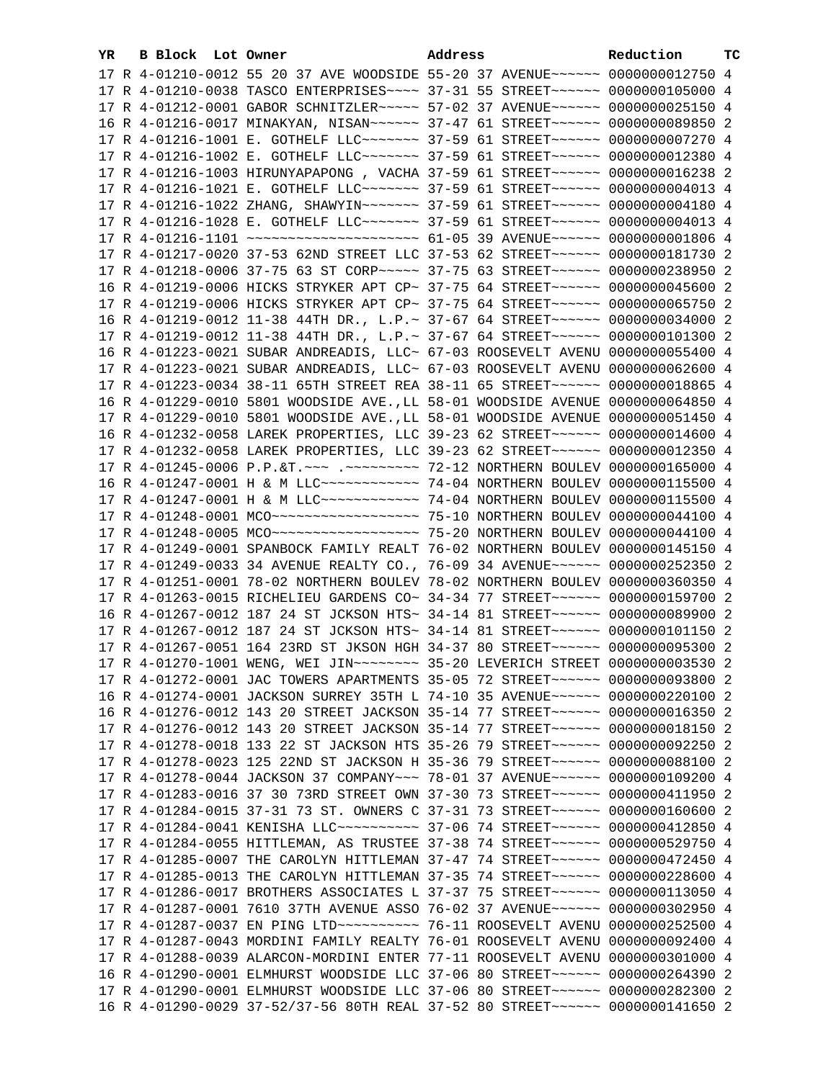| YR | B Block Lot Owner |                                                                                                                                                                 | Address | Reduction | тC |
|----|-------------------|-----------------------------------------------------------------------------------------------------------------------------------------------------------------|---------|-----------|----|
|    |                   | 17 R 4-01210-0012 55 20 37 AVE WOODSIDE 55-20 37 AVENUE~~~~~~ 0000000012750 4                                                                                   |         |           |    |
|    |                   | 17 R 4-01210-0038 TASCO ENTERPRISES~~~~ 37-31 55 STREET~~~~~~ 0000000105000 4                                                                                   |         |           |    |
|    |                   | 17 R 4-01212-0001 GABOR SCHNITZLER~~~~~ 57-02 37 AVENUE~~~~~~ 0000000025150 4                                                                                   |         |           |    |
|    |                   | 16 R 4-01216-0017 MINAKYAN, NISAN~~~~~~ 37-47 61 STREET~~~~~~ 0000000089850 2                                                                                   |         |           |    |
|    |                   | 17 R 4-01216-1001 E. GOTHELF LLC~~~~~~~ 37-59 61 STREET~~~~~~ 0000000007270 4                                                                                   |         |           |    |
|    |                   | 17 R 4-01216-1002 E. GOTHELF LLC~~~~~~~ 37-59 61 STREET~~~~~~ 0000000012380 4                                                                                   |         |           |    |
|    |                   | 17 R 4-01216-1003 HIRUNYAPAPONG, VACHA 37-59 61 STREET~~~~~~ 0000000016238 2                                                                                    |         |           |    |
|    |                   | 17 R 4-01216-1021 E. GOTHELF LLC~~~~~~~ 37-59 61 STREET~~~~~~ 00000000004013 4                                                                                  |         |           |    |
|    |                   | 17 R 4-01216-1022 ZHANG, SHAWYIN~~~~~~~ 37-59 61 STREET~~~~~~ 0000000004180 4                                                                                   |         |           |    |
|    |                   | 17 R 4-01216-1028 E. GOTHELF LLC~~~~~~~ 37-59 61 STREET~~~~~~ 00000000004013 4                                                                                  |         |           |    |
|    |                   | 17 R 4-01216-1101 ~~~~~~~~~~~~~~~~~~~~ 61-05 39 AVENUE~~~~~~ 00000000001806 4                                                                                   |         |           |    |
|    |                   | 17 R 4-01217-0020 37-53 62ND STREET LLC 37-53 62 STREET~~~~~~ 0000000181730 2                                                                                   |         |           |    |
|    |                   | 17 R 4-01218-0006 37-75 63 ST CORP ~~~~~ 37-75 63 STREET ~~~~~~ 0000000238950 2                                                                                 |         |           |    |
|    |                   | 16 R 4-01219-0006 HICKS STRYKER APT CP~ 37-75 64 STREET~~~~~~ 0000000045600 2                                                                                   |         |           |    |
|    |                   |                                                                                                                                                                 |         |           |    |
|    |                   | 17 R 4-01219-0006 HICKS STRYKER APT CP~ 37-75 64 STREET~~~~~~~ 0000000065750 2                                                                                  |         |           |    |
|    |                   | 16 R 4-01219-0012 11-38 44TH DR., L.P.~ 37-67 64 STREET~~~~~~~ 0000000034000 2                                                                                  |         |           |    |
|    |                   | 17 R 4-01219-0012 11-38 44TH DR., L.P.~ 37-67 64 STREET~~~~~~ 0000000101300 2                                                                                   |         |           |    |
|    |                   | 16 R 4-01223-0021 SUBAR ANDREADIS, LLC~ 67-03 ROOSEVELT AVENU 0000000055400 4                                                                                   |         |           |    |
|    |                   | 17 R 4-01223-0021 SUBAR ANDREADIS, LLC~ 67-03 ROOSEVELT AVENU 0000000062600 4                                                                                   |         |           |    |
|    |                   | 17 R 4-01223-0034 38-11 65TH STREET REA 38-11 65 STREET~~~~~~~ 0000000018865 4                                                                                  |         |           |    |
|    |                   | 16 R 4-01229-0010 5801 WOODSIDE AVE., LL 58-01 WOODSIDE AVENUE 0000000064850 4                                                                                  |         |           |    |
|    |                   | 17 R 4-01229-0010 5801 WOODSIDE AVE., LL 58-01 WOODSIDE AVENUE 0000000051450 4                                                                                  |         |           |    |
|    |                   | 16 R 4-01232-0058 LAREK PROPERTIES, LLC 39-23 62 STREET~~~~~~ 0000000014600 4                                                                                   |         |           |    |
|    |                   | 17 R 4-01232-0058 LAREK PROPERTIES, LLC 39-23 62 STREET~~~~~~ 0000000012350 4                                                                                   |         |           |    |
|    |                   | 17 R 4-01245-0006 P.P.&T. ~~~ .~~~~~~~~~ 72-12 NORTHERN BOULEV 0000000165000 4                                                                                  |         |           |    |
|    |                   | 16 R 4-01247-0001 H & M LLC ------------ 74-04 NORTHERN BOULEV 0000000115500 4                                                                                  |         |           |    |
|    |                   | 17 R 4-01247-0001 H & M LLC ------------ 74-04 NORTHERN BOULEV 0000000115500 4                                                                                  |         |           |    |
|    |                   | 17 R 4-01248-0001 MCO ------------------- 75-10 NORTHERN BOULEV 0000000044100 4                                                                                 |         |           |    |
|    |                   | 17 R 4-01248-0005 MCO ------------------- 75-20 NORTHERN BOULEV 0000000044100 4                                                                                 |         |           |    |
|    |                   | 17 R 4-01249-0001 SPANBOCK FAMILY REALT 76-02 NORTHERN BOULEV 0000000145150 4                                                                                   |         |           |    |
|    |                   | 17 R 4-01249-0033 34 AVENUE REALTY CO., 76-09 34 AVENUE~~~~~~ 0000000252350 2                                                                                   |         |           |    |
|    |                   | 17 R 4-01251-0001 78-02 NORTHERN BOULEV 78-02 NORTHERN BOULEV 0000000360350 4                                                                                   |         |           |    |
|    |                   | 17 R 4-01263-0015 RICHELIEU GARDENS CO~ 34-34 77 STREET~~~~~~~ 0000000159700 2                                                                                  |         |           |    |
|    |                   | 16 R 4-01267-0012 187 24 ST JCKSON HTS~ 34-14 81 STREET~~~~~~ 0000000089900 2                                                                                   |         |           |    |
|    |                   | 17 R 4-01267-0012 187 24 ST JCKSON HTS~ 34-14 81 STREET~~~~~~ 0000000101150 2                                                                                   |         |           |    |
|    |                   | 17 R 4-01267-0051 164 23RD ST JKSON HGH 34-37 80 STREET~~~~~~ 0000000095300 2                                                                                   |         |           |    |
|    |                   | 17 R 4-01270-1001 WENG, WEI JIN~~~~~~~~ 35-20 LEVERICH STREET 0000000003530 2                                                                                   |         |           |    |
|    |                   | 17 R 4-01272-0001 JAC TOWERS APARTMENTS 35-05 72 STREET~~~~~~ 0000000093800 2                                                                                   |         |           |    |
|    |                   | 16 R 4-01274-0001 JACKSON SURREY 35TH L 74-10 35 AVENUE~~~~~~ 0000000220100 2                                                                                   |         |           |    |
|    |                   | 16 R 4-01276-0012 143 20 STREET JACKSON 35-14 77 STREET~~~~~~ 0000000016350 2                                                                                   |         |           |    |
|    |                   | 17 R 4-01276-0012 143 20 STREET JACKSON 35-14 77 STREET~~~~~~ 0000000018150 2                                                                                   |         |           |    |
|    |                   | 17 R 4-01278-0018 133 22 ST JACKSON HTS 35-26 79 STREET~~~~~~ 0000000092250 2                                                                                   |         |           |    |
|    |                   | 17 R 4-01278-0023 125 22ND ST JACKSON H 35-36 79 STREET~~~~~~~ 0000000088100 2                                                                                  |         |           |    |
|    |                   | 17 R 4-01278-0044 JACKSON 37 COMPANY~~~ 78-01 37 AVENUE~~~~~~ 0000000109200 4                                                                                   |         |           |    |
|    |                   | 17 R 4-01283-0016 37 30 73RD STREET OWN 37-30 73 STREET~~~~~~ 0000000411950 2                                                                                   |         |           |    |
|    |                   | 17 R 4-01284-0015 37-31 73 ST. OWNERS C 37-31 73 STREET~~~~~~ 0000000160600 2                                                                                   |         |           |    |
|    |                   | 17 R 4-01284-0041 KENISHA LLC~~~~~~~~~~~ 37-06 74 STREET~~~~~~ 0000000412850 4                                                                                  |         |           |    |
|    |                   | 17 R 4-01284-0055 HITTLEMAN, AS TRUSTEE 37-38 74 STREET~~~~~~ 0000000529750 4                                                                                   |         |           |    |
|    |                   | 17 R 4-01285-0007 THE CAROLYN HITTLEMAN 37-47 74 STREET~~~~~~ 0000000472450 4                                                                                   |         |           |    |
|    |                   | 17 R 4-01285-0013 THE CAROLYN HITTLEMAN 37-35 74 STREET~~~~~~ 0000000228600 4<br>17 R 4-01286-0017 BROTHERS ASSOCIATES L 37-37 75 STREET~~~~~~~ 0000000113050 4 |         |           |    |
|    |                   | 17 R 4-01287-0001 7610 37TH AVENUE ASSO 76-02 37 AVENUE~~~~~~ 0000000302950 4                                                                                   |         |           |    |
|    |                   | 17 R 4-01287-0037 EN PING LTD ---------- 76-11 ROOSEVELT AVENU 0000000252500 4                                                                                  |         |           |    |
|    |                   | 17 R 4-01287-0043 MORDINI FAMILY REALTY 76-01 ROOSEVELT AVENU 0000000092400 4                                                                                   |         |           |    |
|    |                   | 17 R 4-01288-0039 ALARCON-MORDINI ENTER 77-11 ROOSEVELT AVENU 0000000301000 4                                                                                   |         |           |    |
|    |                   | 16 R 4-01290-0001 ELMHURST WOODSIDE LLC 37-06 80 STREET~~~~~~~ 0000000264390 2                                                                                  |         |           |    |
|    |                   | 17 R 4-01290-0001 ELMHURST WOODSIDE LLC 37-06 80 STREET~~~~~~~ 0000000282300 2                                                                                  |         |           |    |
|    |                   | 16 R 4-01290-0029 37-52/37-56 80TH REAL 37-52 80 STREET~~~~~~~ 0000000141650 2                                                                                  |         |           |    |
|    |                   |                                                                                                                                                                 |         |           |    |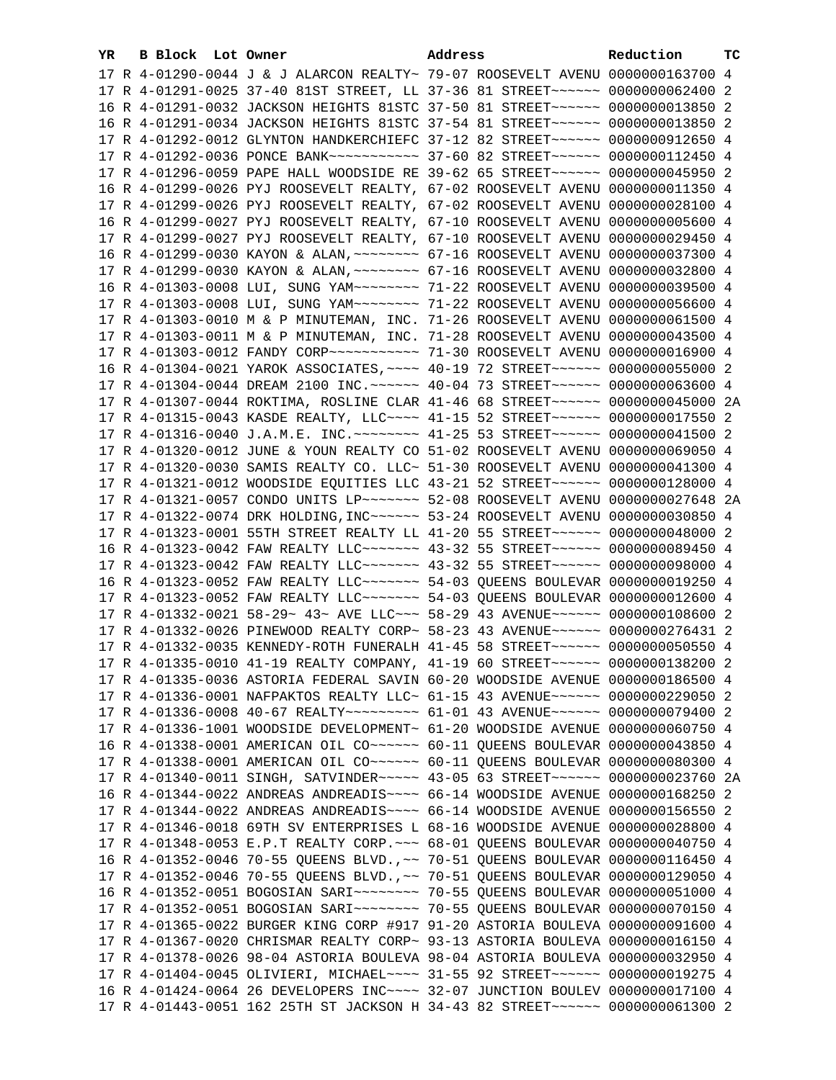| YR | B Block Lot Owner |                                                                                                                                                                | Address | Reduction | ТC |
|----|-------------------|----------------------------------------------------------------------------------------------------------------------------------------------------------------|---------|-----------|----|
|    |                   | 17 R 4-01290-0044 J & J ALARCON REALTY~ 79-07 ROOSEVELT AVENU 0000000163700 4                                                                                  |         |           |    |
|    |                   | 17 R 4-01291-0025 37-40 81ST STREET, LL 37-36 81 STREET~~~~~~ 0000000062400 2                                                                                  |         |           |    |
|    |                   | 16 R 4-01291-0032 JACKSON HEIGHTS 81STC 37-50 81 STREET~~~~~~~ 0000000013850 2                                                                                 |         |           |    |
|    |                   | 16 R 4-01291-0034 JACKSON HEIGHTS 81STC 37-54 81 STREET~~~~~~~ 0000000013850 2                                                                                 |         |           |    |
|    |                   | 17 R 4-01292-0012 GLYNTON HANDKERCHIEFC 37-12 82 STREET~~~~~~ 0000000912650 4                                                                                  |         |           |    |
|    |                   | 17 R 4-01292-0036 PONCE BANK~~~~~~~~~~~ 37-60 82 STREET~~~~~~ 0000000112450 4                                                                                  |         |           |    |
|    |                   | 17 R 4-01296-0059 PAPE HALL WOODSIDE RE 39-62 65 STREET~~~~~~ 0000000045950 2                                                                                  |         |           |    |
|    |                   | 16 R 4-01299-0026 PYJ ROOSEVELT REALTY, 67-02 ROOSEVELT AVENU 0000000011350 4                                                                                  |         |           |    |
|    |                   | 17 R 4-01299-0026 PYJ ROOSEVELT REALTY, 67-02 ROOSEVELT AVENU 0000000028100 4                                                                                  |         |           |    |
|    |                   | 16 R 4-01299-0027 PYJ ROOSEVELT REALTY, 67-10 ROOSEVELT AVENU 0000000005600 4                                                                                  |         |           |    |
|    |                   | 17 R 4-01299-0027 PYJ ROOSEVELT REALTY, 67-10 ROOSEVELT AVENU 0000000029450 4                                                                                  |         |           |    |
|    |                   | 16 R 4-01299-0030 KAYON & ALAN, ~~~~~~~~ 67-16 ROOSEVELT AVENU 0000000037300 4                                                                                 |         |           |    |
|    |                   | 17 R 4-01299-0030 KAYON & ALAN, ~~~~~~~~ 67-16 ROOSEVELT AVENU 0000000032800 4                                                                                 |         |           |    |
|    |                   | 16 R 4-01303-0008 LUI, SUNG YAM~~~~~~~~~~~~~ 71-22 ROOSEVELT AVENU 0000000039500 4                                                                             |         |           |    |
|    |                   | 17 R 4-01303-0008 LUI, SUNG YAM ~~~~~~~~~~~~~~ 71-22 ROOSEVELT AVENU 0000000056600 4                                                                           |         |           |    |
|    |                   | 17 R 4-01303-0010 M & P MINUTEMAN, INC. 71-26 ROOSEVELT AVENU 0000000061500 4                                                                                  |         |           |    |
|    |                   | 17 R 4-01303-0011 M & P MINUTEMAN, INC. 71-28 ROOSEVELT AVENU 0000000043500 4                                                                                  |         |           |    |
|    |                   | 17 R 4-01303-0012 FANDY CORP~~~~~~~~~~~~~~~~~ 71-30 ROOSEVELT AVENU 0000000016900 4                                                                            |         |           |    |
|    |                   | 16 R 4-01304-0021 YAROK ASSOCIATES, ~~~~ 40-19 72 STREET~~~~~~~ 0000000055000 2                                                                                |         |           |    |
|    |                   | 17 R 4-01304-0044 DREAM 2100 INC. ~~~~~~ 40-04 73 STREET~~~~~~ 0000000063600 4                                                                                 |         |           |    |
|    |                   | 17 R 4-01307-0044 ROKTIMA, ROSLINE CLAR 41-46 68 STREET~~~~~~ 0000000045000 2A                                                                                 |         |           |    |
|    |                   | 17 R 4-01315-0043 KASDE REALTY, LLC~~~~ 41-15 52 STREET~~~~~~ 0000000017550 2                                                                                  |         |           |    |
|    |                   | 17 R 4-01316-0040 J.A.M.E. INC. -------- 41-25 53 STREET ----- 0000000041500 2                                                                                 |         |           |    |
|    |                   | 17 R 4-01320-0012 JUNE & YOUN REALTY CO 51-02 ROOSEVELT AVENU 0000000069050 4                                                                                  |         |           |    |
|    |                   | 17 R 4-01320-0030 SAMIS REALTY CO. LLC~ 51-30 ROOSEVELT AVENU 0000000041300 4                                                                                  |         |           |    |
|    |                   | 17 R 4-01321-0012 WOODSIDE EQUITIES LLC 43-21 52 STREET~~~~~~ 0000000128000 4                                                                                  |         |           |    |
|    |                   | 17 R 4-01321-0057 CONDO UNITS LP ------ 52-08 ROOSEVELT AVENU 0000000027648 2A                                                                                 |         |           |    |
|    |                   | 17 R 4-01322-0074 DRK HOLDING, INC~~~~~~ 53-24 ROOSEVELT AVENU 0000000030850 4                                                                                 |         |           |    |
|    |                   | 17 R 4-01323-0001 55TH STREET REALTY LL 41-20 55 STREET~~~~~~ 0000000048000 2<br>16 R 4-01323-0042 FAW REALTY LLC ------ 43-32 55 STREET ----- 0000000089450 4 |         |           |    |
|    |                   | 17 R 4-01323-0042 FAW REALTY LLC ------ 43-32 55 STREET ----- 0000000098000 4                                                                                  |         |           |    |
|    |                   | 16 R 4-01323-0052 FAW REALTY LLC ------- 54-03 QUEENS BOULEVAR 0000000019250 4                                                                                 |         |           |    |
|    |                   | 17 R 4-01323-0052 FAW REALTY LLC ------ 54-03 QUEENS BOULEVAR 0000000012600 4                                                                                  |         |           |    |
|    |                   | 17 R 4-01332-0021 58-29~ 43~ AVE LLC~~~ 58-29 43 AVENUE~~~~~~ 0000000108600 2                                                                                  |         |           |    |
|    |                   | 17 R 4-01332-0026 PINEWOOD REALTY CORP~ 58-23 43 AVENUE~~~~~~ 0000000276431 2                                                                                  |         |           |    |
|    |                   | 17 R 4-01332-0035 KENNEDY-ROTH FUNERALH 41-45 58 STREET~~~~~~ 0000000050550 4                                                                                  |         |           |    |
|    |                   | 17 R 4-01335-0010 41-19 REALTY COMPANY, 41-19 60 STREET~~~~~~ 0000000138200 2                                                                                  |         |           |    |
|    |                   | 17 R 4-01335-0036 ASTORIA FEDERAL SAVIN 60-20 WOODSIDE AVENUE 0000000186500 4                                                                                  |         |           |    |
|    |                   | 17 R 4-01336-0001 NAFPAKTOS REALTY LLC~ 61-15 43 AVENUE~~~~~~~ 0000000229050 2                                                                                 |         |           |    |
|    |                   | 17 R 4-01336-0008 40-67 REALTY~~~~~~~~~~ 61-01 43 AVENUE~~~~~~ 0000000079400 2                                                                                 |         |           |    |
|    |                   | 17 R 4-01336-1001 WOODSIDE DEVELOPMENT~ 61-20 WOODSIDE AVENUE 0000000060750 4                                                                                  |         |           |    |
|    |                   | 16 R 4-01338-0001 AMERICAN OIL CO~~~~~~~ 60-11 QUEENS BOULEVAR 0000000043850 4                                                                                 |         |           |    |
|    |                   | 17 R 4-01338-0001 AMERICAN OIL CO~~~~~~~ 60-11 QUEENS BOULEVAR 0000000080300 4                                                                                 |         |           |    |
|    |                   | 17 R 4-01340-0011 SINGH, SATVINDER ---- 43-05 63 STREET ------ 0000000023760 2A                                                                                |         |           |    |
|    |                   | 16 R 4-01344-0022 ANDREAS ANDREADIS ~~~~ 66-14 WOODSIDE AVENUE 0000000168250 2                                                                                 |         |           |    |
|    |                   | 17 R 4-01344-0022 ANDREAS ANDREADIS --- 66-14 WOODSIDE AVENUE 0000000156550 2                                                                                  |         |           |    |
|    |                   | 17 R 4-01346-0018 69TH SV ENTERPRISES L 68-16 WOODSIDE AVENUE 0000000028800 4                                                                                  |         |           |    |
|    |                   | 17 R 4-01348-0053 E.P.T REALTY CORP. ~~~ 68-01 QUEENS BOULEVAR 0000000040750 4                                                                                 |         |           |    |
|    |                   | 16 R 4-01352-0046 70-55 QUEENS BLVD., ~~ 70-51 QUEENS BOULEVAR 0000000116450 4                                                                                 |         |           |    |
|    |                   | 17 R 4-01352-0046 70-55 QUEENS BLVD., ~~ 70-51 QUEENS BOULEVAR 0000000129050 4                                                                                 |         |           |    |
|    |                   | 16 R 4-01352-0051 BOGOSIAN SARI~~~~~~~~~~~~~~ 70-55 QUEENS BOULEVAR 0000000051000 4                                                                            |         |           |    |
|    |                   | 17 R 4-01352-0051 BOGOSIAN SARI~~~~~~~~~~~~~~ 70-55 QUEENS BOULEVAR 0000000070150 4                                                                            |         |           |    |
|    |                   | 17 R 4-01365-0022 BURGER KING CORP #917 91-20 ASTORIA BOULEVA 0000000091600 4                                                                                  |         |           |    |
|    |                   | 17 R 4-01367-0020 CHRISMAR REALTY CORP~ 93-13 ASTORIA BOULEVA 0000000016150 4                                                                                  |         |           |    |
|    |                   | 17 R 4-01378-0026 98-04 ASTORIA BOULEVA 98-04 ASTORIA BOULEVA 0000000032950 4                                                                                  |         |           |    |
|    |                   | 17 R 4-01404-0045 OLIVIERI, MICHAEL~~~~ 31-55 92 STREET~~~~~~ 0000000019275 4                                                                                  |         |           |    |
|    |                   | 16 R 4-01424-0064 26 DEVELOPERS INC~~~~ 32-07 JUNCTION BOULEV 0000000017100 4                                                                                  |         |           |    |
|    |                   | 17 R 4-01443-0051 162 25TH ST JACKSON H 34-43 82 STREET~~~~~~~ 0000000061300 2                                                                                 |         |           |    |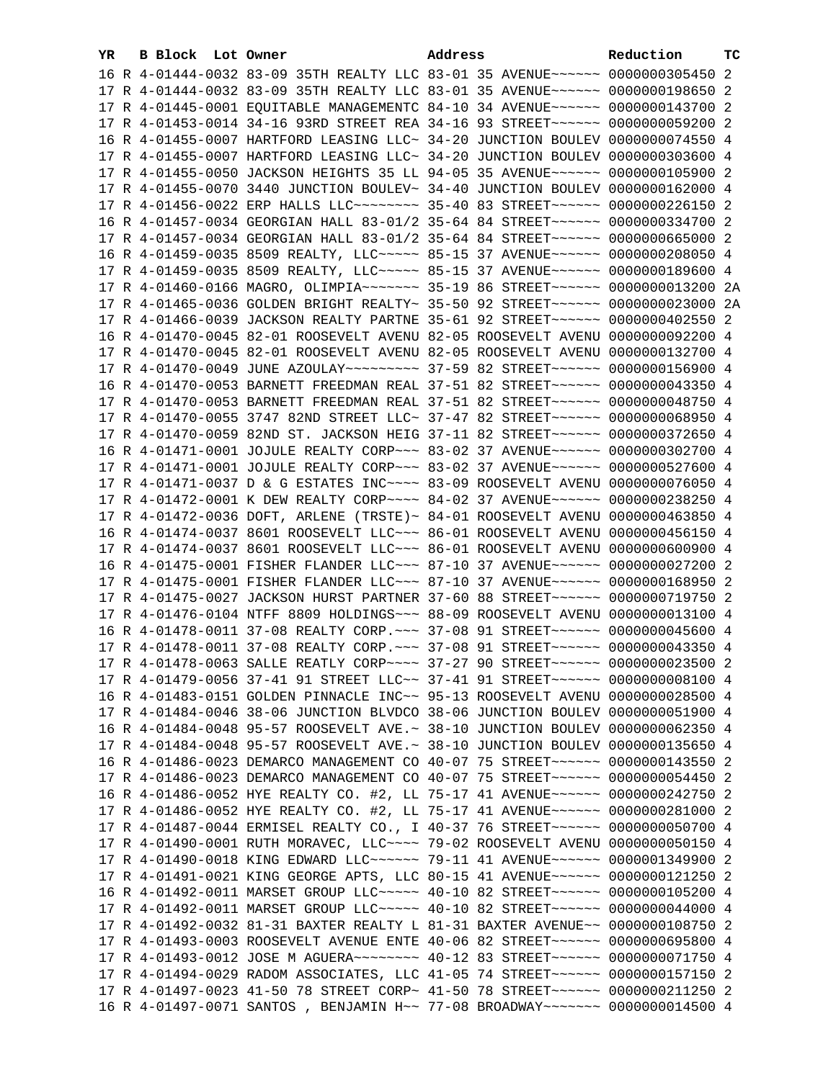| YR. | B Block Lot Owner |                                                                                              | Address | Reduction | тc |
|-----|-------------------|----------------------------------------------------------------------------------------------|---------|-----------|----|
|     |                   | 16 R 4-01444-0032 83-09 35TH REALTY LLC 83-01 35 AVENUE~~~~~~ 0000000305450 2                |         |           |    |
|     |                   | 17 R 4-01444-0032 83-09 35TH REALTY LLC 83-01 35 AVENUE~~~~~~ 0000000198650 2                |         |           |    |
|     |                   | 17 R 4-01445-0001 EQUITABLE MANAGEMENTC 84-10 34 AVENUE~~~~~~ 0000000143700 2                |         |           |    |
|     |                   | 17 R 4-01453-0014 34-16 93RD STREET REA 34-16 93 STREET ~~~~~~ 0000000059200 2               |         |           |    |
|     |                   | 16 R 4-01455-0007 HARTFORD LEASING LLC~ 34-20 JUNCTION BOULEV 0000000074550 4                |         |           |    |
|     |                   | 17 R 4-01455-0007 HARTFORD LEASING LLC~ 34-20 JUNCTION BOULEV 0000000303600 4                |         |           |    |
|     |                   | 17 R 4-01455-0050 JACKSON HEIGHTS 35 LL 94-05 35 AVENUE~~~~~~ 0000000105900 2                |         |           |    |
|     |                   | 17 R 4-01455-0070 3440 JUNCTION BOULEV~ 34-40 JUNCTION BOULEV 0000000162000 4                |         |           |    |
|     |                   | 17 R 4-01456-0022 ERP HALLS LLC -------- 35-40 83 STREET ----- 0000000226150 2               |         |           |    |
|     |                   | 16 R 4-01457-0034 GEORGIAN HALL 83-01/2 35-64 84 STREET~~~~~~~ 0000000334700 2               |         |           |    |
|     |                   | 17 R 4-01457-0034 GEORGIAN HALL 83-01/2 35-64 84 STREET~~~~~~~ 0000000665000 2               |         |           |    |
|     |                   | 16 R 4-01459-0035 8509 REALTY, LLC ---- 85-15 37 AVENUE ----- 0000000208050 4                |         |           |    |
|     |                   | 17 R 4-01459-0035 8509 REALTY, LLC ---- 85-15 37 AVENUE ----- 0000000189600 4                |         |           |    |
|     |                   |                                                                                              |         |           |    |
|     |                   | 17 R 4-01460-0166 MAGRO, OLIMPIA~~~~~~~ 35-19 86 STREET~~~~~~ 0000000013200 2A               |         |           |    |
|     |                   | 17 R 4-01465-0036 GOLDEN BRIGHT REALTY~ 35-50 92 STREET~~~~~~ 0000000023000 2A               |         |           |    |
|     |                   | 17 R 4-01466-0039 JACKSON REALTY PARTNE 35-61 92 STREET~~~~~~ 0000000402550 2                |         |           |    |
|     |                   | 16 R 4-01470-0045 82-01 ROOSEVELT AVENU 82-05 ROOSEVELT AVENU 0000000092200 4                |         |           |    |
|     |                   | 17 R 4-01470-0045 82-01 ROOSEVELT AVENU 82-05 ROOSEVELT AVENU 0000000132700 4                |         |           |    |
|     |                   |                                                                                              |         |           |    |
|     |                   | 16 R 4-01470-0053 BARNETT FREEDMAN REAL 37-51 82 STREET~~~~~~ 0000000043350 4                |         |           |    |
|     |                   | 17 R 4-01470-0053 BARNETT FREEDMAN REAL 37-51 82 STREET~~~~~~~ 0000000048750 4               |         |           |    |
|     |                   | 17 R 4-01470-0055 3747 82ND STREET LLC~ 37-47 82 STREET~~~~~~~ 0000000068950 4               |         |           |    |
|     |                   | 17 R 4-01470-0059 82ND ST. JACKSON HEIG 37-11 82 STREET ~~~~~~ 0000000372650 4               |         |           |    |
|     |                   | 16 R 4-01471-0001 JOJULE REALTY CORP~~~ 83-02 37 AVENUE~~~~~~ 0000000302700 4                |         |           |    |
|     |                   | 17 R 4-01471-0001 JOJULE REALTY CORP~~~ 83-02 37 AVENUE~~~~~~ 0000000527600 4                |         |           |    |
|     |                   | 17 R 4-01471-0037 D & G ESTATES INC~~~~ 83-09 ROOSEVELT AVENU 0000000076050 4                |         |           |    |
|     |                   | 17 R 4-01472-0001 K DEW REALTY CORP~~~~ 84-02 37 AVENUE~~~~~~ 0000000238250 4                |         |           |    |
|     |                   | 17 R 4-01472-0036 DOFT, ARLENE (TRSTE)~ 84-01 ROOSEVELT AVENU 0000000463850 4                |         |           |    |
|     |                   | 16 R 4-01474-0037 8601 ROOSEVELT LLC~~~ 86-01 ROOSEVELT AVENU 0000000456150 4                |         |           |    |
|     |                   | 17 R 4-01474-0037 8601 ROOSEVELT LLC~~~ 86-01 ROOSEVELT AVENU 0000000600900 4                |         |           |    |
|     |                   | 16 R 4-01475-0001 FISHER FLANDER LLC~~~ 87-10 37 AVENUE~~~~~~ 0000000027200 2                |         |           |    |
|     |                   | 17 R 4-01475-0001 FISHER FLANDER LLC ~~~ 87-10 37 AVENUE ~~~~~~ 0000000168950 2              |         |           |    |
|     |                   | 17 R 4-01475-0027 JACKSON HURST PARTNER 37-60 88 STREET~~~~~~ 0000000719750 2                |         |           |    |
|     |                   | 17 R 4-01476-0104 NTFF 8809 HOLDINGS~~~ 88-09 ROOSEVELT AVENU 0000000013100 4                |         |           |    |
|     |                   | 16 R 4-01478-0011 37-08 REALTY CORP. ~~~ 37-08 91 STREET~~~~~~ 0000000045600 4               |         |           |    |
|     |                   | 17 R 4-01478-0011 37-08 REALTY CORP. ~~~ 37-08 91 STREET~~~~~~ 0000000043350 4               |         |           |    |
|     |                   | 17 R 4-01478-0063 SALLE REATLY CORP~~~~ 37-27 90 STREET~~~~~~ 0000000023500 2                |         |           |    |
|     |                   | 17 R 4-01479-0056 37-41 91 STREET LLC~~ 37-41 91 STREET~~~~~~ 0000000008100 4                |         |           |    |
|     |                   | 16 R 4-01483-0151 GOLDEN PINNACLE INC~~ 95-13 ROOSEVELT AVENU 0000000028500 4                |         |           |    |
|     |                   | 17 R 4-01484-0046 38-06 JUNCTION BLVDCO 38-06 JUNCTION BOULEV 0000000051900 4                |         |           |    |
|     |                   | 16 R 4-01484-0048 95-57 ROOSEVELT AVE. ~ 38-10 JUNCTION BOULEV 0000000062350 4               |         |           |    |
|     |                   | 17 R 4-01484-0048 95-57 ROOSEVELT AVE.~ 38-10 JUNCTION BOULEV 0000000135650 4                |         |           |    |
|     |                   | 16 R 4-01486-0023 DEMARCO MANAGEMENT CO 40-07 75 STREET~~~~~~ 0000000143550 2                |         |           |    |
|     |                   | 17 R 4-01486-0023 DEMARCO MANAGEMENT CO 40-07 75 STREET~~~~~~~ 0000000054450 2               |         |           |    |
|     |                   | 16 R 4-01486-0052 HYE REALTY CO. #2, LL 75-17 41 AVENUE~~~~~~ 0000000242750 2                |         |           |    |
|     |                   | 17 R 4-01486-0052 HYE REALTY CO. #2, LL 75-17 41 AVENUE~~~~~~ 0000000281000 2                |         |           |    |
|     |                   | 17 R 4-01487-0044 ERMISEL REALTY CO., I 40-37 76 STREET~~~~~~ 0000000050700 4                |         |           |    |
|     |                   | 17 R 4-01490-0001 RUTH MORAVEC, LLC~~~~ 79-02 ROOSEVELT AVENU 0000000050150 4                |         |           |    |
|     |                   | 17 R 4-01490-0018 KING EDWARD LLC ----- 79-11 41 AVENUE ----- 0000001349900 2                |         |           |    |
|     |                   | 17 R 4-01491-0021 KING GEORGE APTS, LLC 80-15 41 AVENUE~~~~~~ 0000000121250 2                |         |           |    |
|     |                   | 16 R 4-01492-0011 MARSET GROUP LLC ---- 40-10 82 STREET ----- 0000000105200 4                |         |           |    |
|     |                   | 17 R 4-01492-0011 MARSET GROUP LLC ---- 40-10 82 STREET ----- 0000000044000 4                |         |           |    |
|     |                   | 17 R 4-01492-0032 81-31 BAXTER REALTY L 81-31 BAXTER AVENUE~~ 0000000108750 2                |         |           |    |
|     |                   | 17 R 4-01493-0003 ROOSEVELT AVENUE ENTE 40-06 82 STREET~~~~~~~ 0000000695800 4               |         |           |    |
|     |                   | 17 R 4-01493-0012 JOSE M AGUERA~~~~~~~~~~~~~~~~ 40-12 83 STREET~~~~~~~~~~~~~ 0000000071750 4 |         |           |    |
|     |                   | 17 R 4-01494-0029 RADOM ASSOCIATES, LLC 41-05 74 STREET~~~~~~ 0000000157150 2                |         |           |    |
|     |                   | 17 R 4-01497-0023 41-50 78 STREET CORP~ 41-50 78 STREET~~~~~~~ 0000000211250 2               |         |           |    |
|     |                   | 16 R 4-01497-0071 SANTOS , BENJAMIN H~~ 77-08 BROADWAY~~~~~~~ 0000000014500 4                |         |           |    |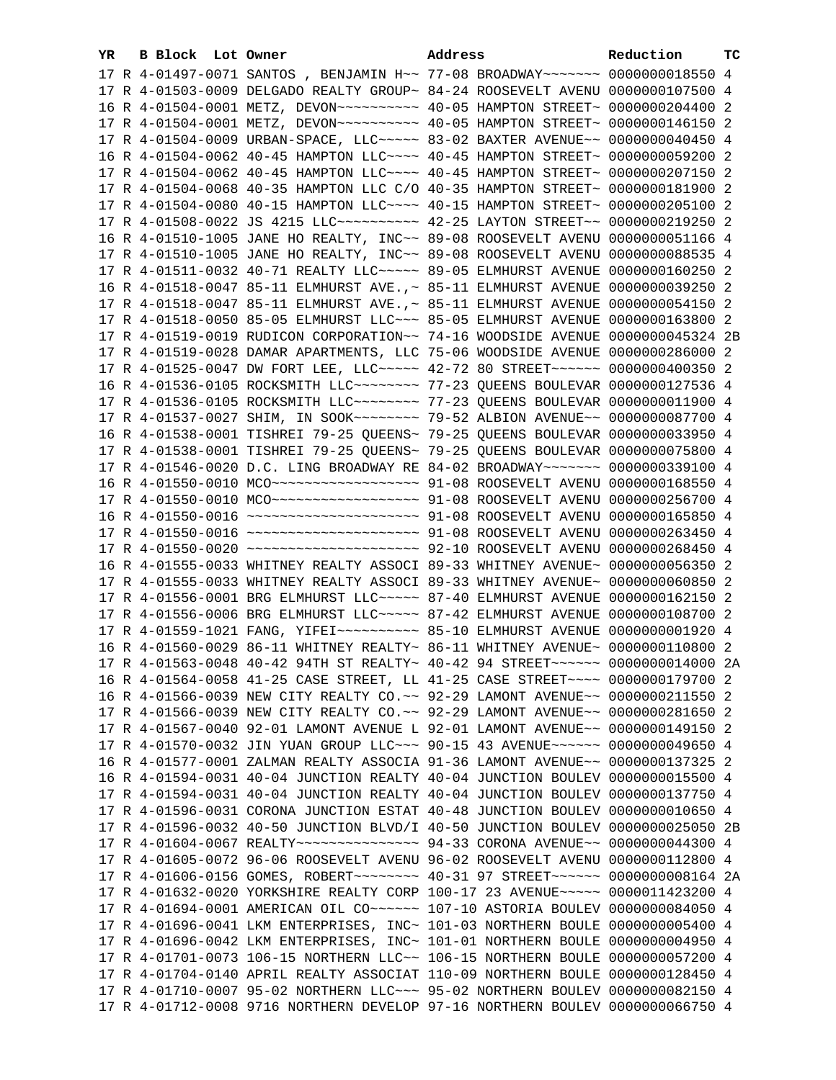| YR. | B Block Lot Owner |                                                                                   | Address | Reduction       | тc |
|-----|-------------------|-----------------------------------------------------------------------------------|---------|-----------------|----|
|     |                   | 17 R 4-01497-0071 SANTOS, BENJAMIN H~~ 77-08 BROADWAY~~~~~~~ 0000000018550 4      |         |                 |    |
|     |                   | 17 R 4-01503-0009 DELGADO REALTY GROUP~ 84-24 ROOSEVELT AVENU 0000000107500 4     |         |                 |    |
|     |                   |                                                                                   |         |                 |    |
|     |                   |                                                                                   |         |                 |    |
|     |                   | 17 R 4-01504-0009 URBAN-SPACE, LLC ~~~~~ 83-02 BAXTER AVENUE~~ 0000000040450 4    |         |                 |    |
|     |                   | 16 R 4-01504-0062 40-45 HAMPTON LLC~~~~ 40-45 HAMPTON STREET~                     |         | 0000000059200 2 |    |
|     |                   | 17 R 4-01504-0062 40-45 HAMPTON LLC~~~~ 40-45 HAMPTON STREET~                     |         | 0000000207150 2 |    |
|     |                   | 17 R 4-01504-0068 40-35 HAMPTON LLC C/O 40-35 HAMPTON STREET~                     |         | 0000000181900 2 |    |
|     |                   | 17 R 4-01504-0080 40-15 HAMPTON LLC~~~~ 40-15 HAMPTON STREET~                     |         | 0000000205100 2 |    |
|     |                   | 17 R 4-01508-0022 JS 4215 LLC ---------- 42-25 LAYTON STREET --                   |         | 0000000219250 2 |    |
|     |                   | 16 R 4-01510-1005 JANE HO REALTY, INC~~ 89-08 ROOSEVELT AVENU                     |         | 0000000051166 4 |    |
|     |                   | 17 R 4-01510-1005 JANE HO REALTY, INC~~ 89-08 ROOSEVELT AVENU                     |         | 0000000088535 4 |    |
|     |                   | 17 R 4-01511-0032 40-71 REALTY LLC ~~~~~ 89-05 ELMHURST AVENUE                    |         | 0000000160250 2 |    |
|     |                   | 16 R 4-01518-0047 85-11 ELMHURST AVE., ~ 85-11 ELMHURST AVENUE                    |         | 0000000039250 2 |    |
|     |                   | 17 R 4-01518-0047 85-11 ELMHURST AVE., ~ 85-11 ELMHURST AVENUE 0000000054150 2    |         |                 |    |
|     |                   | 17 R 4-01518-0050 85-05 ELMHURST LLC ~~~ 85-05 ELMHURST AVENUE 0000000163800 2    |         |                 |    |
|     |                   | 17 R 4-01519-0019 RUDICON CORPORATION~~ 74-16 WOODSIDE AVENUE 0000000045324 2B    |         |                 |    |
|     |                   | 17 R 4-01519-0028 DAMAR APARTMENTS, LLC 75-06 WOODSIDE AVENUE 0000000286000 2     |         |                 |    |
|     |                   | 17 R 4-01525-0047 DW FORT LEE, LLC ---- 42-72 80 STREET ----- 0000000400350 2     |         |                 |    |
|     |                   | 16 R 4-01536-0105 ROCKSMITH LLC ------- 77-23 QUEENS BOULEVAR 0000000127536 4     |         |                 |    |
|     |                   | 17 R 4-01536-0105 ROCKSMITH LLC ------- 77-23 QUEENS BOULEVAR 0000000011900 4     |         |                 |    |
|     |                   |                                                                                   |         |                 |    |
|     |                   | 16 R 4-01538-0001 TISHREI 79-25 QUEENS~ 79-25 QUEENS BOULEVAR 0000000033950 4     |         |                 |    |
|     |                   | 17 R 4-01538-0001 TISHREI 79-25 QUEENS~ 79-25 QUEENS BOULEVAR 0000000075800 4     |         |                 |    |
|     |                   | 17 R 4-01546-0020 D.C. LING BROADWAY RE 84-02 BROADWAY~~~~~~~ 0000000339100 4     |         |                 |    |
|     |                   | 16 R 4-01550-0010 MCO ------------------- 91-08 ROOSEVELT AVENU 0000000168550 4   |         |                 |    |
|     |                   | 17 R 4-01550-0010 MCO ------------------- 91-08 ROOSEVELT AVENU 0000000256700 4   |         |                 |    |
|     |                   | 16 R 4-01550-0016 ~~~~~~~~~~~~~~~~~~~~~ 91-08 ROOSEVELT AVENU 0000000165850 4     |         |                 |    |
|     |                   | 17 R 4-01550-0016 ~~~~~~~~~~~~~~~~~~~~~ 91-08 ROOSEVELT AVENU 0000000263450 4     |         |                 |    |
|     |                   | 17 R 4-01550-0020 ~~~~~~~~~~~~~~~~~~~~~ 92-10 ROOSEVELT AVENU 0000000268450 4     |         |                 |    |
|     |                   | 16 R 4-01555-0033 WHITNEY REALTY ASSOCI 89-33 WHITNEY AVENUE~ 0000000056350 2     |         |                 |    |
|     |                   | 17 R 4-01555-0033 WHITNEY REALTY ASSOCI 89-33 WHITNEY AVENUE~ 0000000060850 2     |         |                 |    |
|     |                   | 17 R 4-01556-0001 BRG ELMHURST LLC ~~~~~ 87-40 ELMHURST AVENUE 0000000162150 2    |         |                 |    |
|     |                   | 17 R 4-01556-0006 BRG ELMHURST LLC ~~~~~ 87-42 ELMHURST AVENUE 0000000108700 2    |         |                 |    |
|     |                   |                                                                                   |         |                 |    |
|     |                   | 16 R 4-01560-0029 86-11 WHITNEY REALTY~ 86-11 WHITNEY AVENUE~ 0000000110800 2     |         |                 |    |
|     |                   | 17 R 4-01563-0048 40-42 94TH ST REALTY~ 40-42 94 STREET~~~~~~~ 0000000014000 2A   |         |                 |    |
|     |                   | 16 R 4-01564-0058 41-25 CASE STREET, LL 41-25 CASE STREET~~~~ 0000000179700 2     |         |                 |    |
|     |                   | 16 R 4-01566-0039 NEW CITY REALTY CO. ~~ 92-29 LAMONT AVENUE~~ 0000000211550 2    |         |                 |    |
|     |                   | 17 R 4-01566-0039 NEW CITY REALTY CO. ~~ 92-29 LAMONT AVENUE~~ 0000000281650 2    |         |                 |    |
|     |                   | 17 R 4-01567-0040 92-01 LAMONT AVENUE L 92-01 LAMONT AVENUE~~ 0000000149150 2     |         |                 |    |
|     |                   | 17 R 4-01570-0032 JIN YUAN GROUP LLC~~~ 90-15 43 AVENUE~~~~~~ 0000000049650 4     |         |                 |    |
|     |                   | 16 R 4-01577-0001 ZALMAN REALTY ASSOCIA 91-36 LAMONT AVENUE~~ 0000000137325 2     |         |                 |    |
|     |                   | 16 R 4-01594-0031 40-04 JUNCTION REALTY 40-04 JUNCTION BOULEV 0000000015500 4     |         |                 |    |
|     |                   | 17 R 4-01594-0031 40-04 JUNCTION REALTY 40-04 JUNCTION BOULEV 0000000137750 4     |         |                 |    |
|     |                   | 17 R 4-01596-0031 CORONA JUNCTION ESTAT 40-48 JUNCTION BOULEV 0000000010650 4     |         |                 |    |
|     |                   | 17 R 4-01596-0032 40-50 JUNCTION BLVD/I 40-50 JUNCTION BOULEV 0000000025050 2B    |         |                 |    |
|     |                   | 17 R 4-01604-0067 REALTY~~~~~~~~~~~~~~~~~~~ 94-33 CORONA AVENUE~~ 0000000044300 4 |         |                 |    |
|     |                   | 17 R 4-01605-0072 96-06 ROOSEVELT AVENU 96-02 ROOSEVELT AVENU 0000000112800 4     |         |                 |    |
|     |                   | 17 R 4-01606-0156 GOMES, ROBERT~~~~~~~~ 40-31 97 STREET~~~~~~ 0000000008164 2A    |         |                 |    |
|     |                   | 17 R 4-01632-0020 YORKSHIRE REALTY CORP 100-17 23 AVENUE~~~~~ 0000011423200 4     |         |                 |    |
|     |                   | 17 R 4-01694-0001 AMERICAN OIL CO~~~~~~ 107-10 ASTORIA BOULEV 0000000084050 4     |         |                 |    |
|     |                   | 17 R 4-01696-0041 LKM ENTERPRISES, INC~ 101-03 NORTHERN BOULE 0000000005400 4     |         |                 |    |
|     |                   | 17 R 4-01696-0042 LKM ENTERPRISES, INC~ 101-01 NORTHERN BOULE 0000000004950 4     |         |                 |    |
|     |                   | 17 R 4-01701-0073 106-15 NORTHERN LLC~~ 106-15 NORTHERN BOULE 0000000057200 4     |         |                 |    |
|     |                   | 17 R 4-01704-0140 APRIL REALTY ASSOCIAT 110-09 NORTHERN BOULE 0000000128450 4     |         |                 |    |
|     |                   | 17 R 4-01710-0007 95-02 NORTHERN LLC~~~ 95-02 NORTHERN BOULEV 0000000082150 4     |         |                 |    |
|     |                   | 17 R 4-01712-0008 9716 NORTHERN DEVELOP 97-16 NORTHERN BOULEV 0000000066750 4     |         |                 |    |
|     |                   |                                                                                   |         |                 |    |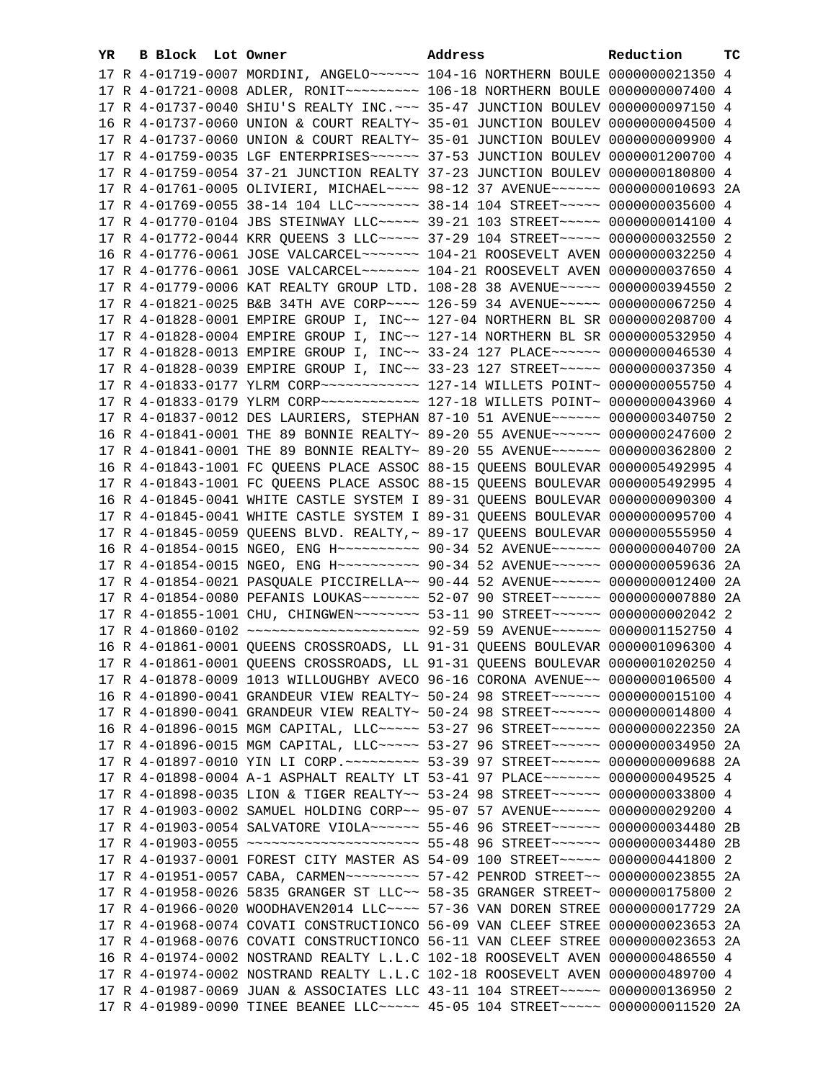| YR. | B Block Lot Owner | Address                                                                          | Reduction | тc |
|-----|-------------------|----------------------------------------------------------------------------------|-----------|----|
|     |                   | 17 R 4-01719-0007 MORDINI, ANGELO~~~~~~ 104-16 NORTHERN BOULE 0000000021350 4    |           |    |
|     |                   | 17 R 4-01721-0008 ADLER, RONIT~~~~~~~~~ 106-18 NORTHERN BOULE 0000000007400 4    |           |    |
|     |                   | 17 R 4-01737-0040 SHIU'S REALTY INC. ~~~ 35-47 JUNCTION BOULEV 0000000097150 4   |           |    |
|     |                   | 16 R 4-01737-0060 UNION & COURT REALTY~ 35-01 JUNCTION BOULEV 0000000004500 4    |           |    |
|     |                   | 17 R 4-01737-0060 UNION & COURT REALTY~ 35-01 JUNCTION BOULEV 0000000009900 4    |           |    |
|     |                   | 17 R 4-01759-0035 LGF ENTERPRISES~~~~~~ 37-53 JUNCTION BOULEV 0000001200700 4    |           |    |
|     |                   | 17 R 4-01759-0054 37-21 JUNCTION REALTY 37-23 JUNCTION BOULEV 0000000180800 4    |           |    |
|     |                   | 17 R 4-01761-0005 OLIVIERI, MICHAEL~~~~ 98-12 37 AVENUE~~~~~~ 0000000010693 2A   |           |    |
|     |                   | 17 R 4-01769-0055 38-14 104 LLC -------- 38-14 104 STREET ----- 0000000035600 4  |           |    |
|     |                   | 17 R 4-01770-0104 JBS STEINWAY LLC ---- 39-21 103 STREET ---- 0000000014100 4    |           |    |
|     |                   | 17 R 4-01772-0044 KRR QUEENS 3 LLC ~~~~~ 37-29 104 STREET ~~~~~ 0000000032550 2  |           |    |
|     |                   | 16 R 4-01776-0061 JOSE VALCARCEL~~~~~~~ 104-21 ROOSEVELT AVEN 0000000032250 4    |           |    |
|     |                   | 17 R 4-01776-0061 JOSE VALCARCEL~~~~~~~ 104-21 ROOSEVELT AVEN 0000000037650 4    |           |    |
|     |                   | 17 R 4-01779-0006 KAT REALTY GROUP LTD. 108-28 38 AVENUE~~~~~ 0000000394550 2    |           |    |
|     |                   | 17 R 4-01821-0025 B&B 34TH AVE CORP~~~~ 126-59 34 AVENUE~~~~~ 0000000067250 4    |           |    |
|     |                   | 17 R 4-01828-0001 EMPIRE GROUP I, INC~~ 127-04 NORTHERN BL SR 0000000208700 4    |           |    |
|     |                   | 17 R 4-01828-0004 EMPIRE GROUP I, INC~~ 127-14 NORTHERN BL SR 0000000532950 4    |           |    |
|     |                   | 17 R 4-01828-0013 EMPIRE GROUP I, INC~~ 33-24 127 PLACE~~~~~~ 0000000046530 4    |           |    |
|     |                   | 17 R 4-01828-0039 EMPIRE GROUP I, INC~~ 33-23 127 STREET~~~~~ 0000000037350 4    |           |    |
|     |                   |                                                                                  |           |    |
|     |                   |                                                                                  |           |    |
|     |                   | 17 R 4-01837-0012 DES LAURIERS, STEPHAN 87-10 51 AVENUE~~~~~~ 0000000340750 2    |           |    |
|     |                   | 16 R 4-01841-0001 THE 89 BONNIE REALTY~ 89-20 55 AVENUE~~~~~~ 0000000247600 2    |           |    |
|     |                   | 17 R 4-01841-0001 THE 89 BONNIE REALTY~ 89-20 55 AVENUE~~~~~~ 0000000362800 2    |           |    |
|     |                   | 16 R 4-01843-1001 FC QUEENS PLACE ASSOC 88-15 QUEENS BOULEVAR 0000005492995 4    |           |    |
|     |                   | 17 R 4-01843-1001 FC QUEENS PLACE ASSOC 88-15 QUEENS BOULEVAR 0000005492995 4    |           |    |
|     |                   | 16 R 4-01845-0041 WHITE CASTLE SYSTEM I 89-31 QUEENS BOULEVAR 0000000090300 4    |           |    |
|     |                   | 17 R 4-01845-0041 WHITE CASTLE SYSTEM I 89-31 QUEENS BOULEVAR 0000000095700 4    |           |    |
|     |                   | 17 R 4-01845-0059 QUEENS BLVD. REALTY, ~ 89-17 QUEENS BOULEVAR 0000000555950 4   |           |    |
|     |                   | 16 R 4-01854-0015 NGEO, ENG H~~~~~~~~~~ 90-34 52 AVENUE~~~~~~ 0000000040700 2A   |           |    |
|     |                   | 17 R 4-01854-0015 NGEO, ENG H~~~~~~~~~~ 90-34 52 AVENUE~~~~~~ 0000000059636 2A   |           |    |
|     |                   | 17 R 4-01854-0021 PASQUALE PICCIRELLA~~ 90-44 52 AVENUE~~~~~~ 0000000012400 2A   |           |    |
|     |                   | 17 R 4-01854-0080 PEFANIS LOUKAS~~~~~~~ 52-07 90 STREET~~~~~~ 0000000007880 2A   |           |    |
|     |                   | 17 R 4-01855-1001 CHU, CHINGWEN~~~~~~~~ 53-11 90 STREET~~~~~~ 0000000002042 2    |           |    |
|     |                   | 17 R 4-01860-0102 ~~~~~~~~~~~~~~~~~~~~ 92-59 59 AVENUE~~~~~~ 0000001152750 4     |           |    |
|     |                   | 16 R 4-01861-0001 QUEENS CROSSROADS, LL 91-31 QUEENS BOULEVAR 0000001096300 4    |           |    |
|     |                   | 17 R 4-01861-0001 QUEENS CROSSROADS, LL 91-31 QUEENS BOULEVAR 0000001020250      |           |    |
|     |                   | 17 R 4-01878-0009 1013 WILLOUGHBY AVECO 96-16 CORONA AVENUE~~ 0000000106500 4    |           |    |
|     |                   | 16 R 4-01890-0041 GRANDEUR VIEW REALTY~ 50-24 98 STREET~~~~~~~ 0000000015100 4   |           |    |
|     |                   | 17 R 4-01890-0041 GRANDEUR VIEW REALTY~ 50-24 98 STREET~~~~~~~ 0000000014800 4   |           |    |
|     |                   | 16 R 4-01896-0015 MGM CAPITAL, LLC ~~~~~ 53-27 96 STREET ~~~~~~ 0000000022350    |           | 2A |
|     |                   | 17 R 4-01896-0015 MGM CAPITAL, LLC ---- 53-27 96 STREET ----- 0000000034950      |           | 2A |
|     |                   | 17 R 4-01897-0010 YIN LI CORP. ~~~~~~~~~ 53-39 97 STREET~~~~~~ 0000000009688     |           | 2A |
|     |                   | 17 R 4-01898-0004 A-1 ASPHALT REALTY LT 53-41 97 PLACE~~~~~~~~ 0000000049525     |           | 4  |
|     |                   | 17 R 4-01898-0035 LION & TIGER REALTY~~ 53-24 98 STREET~~~~~~~ 0000000033800 4   |           |    |
|     |                   | 17 R 4-01903-0002 SAMUEL HOLDING CORP~~ 95-07 57 AVENUE~~~~~~ 0000000029200 4    |           |    |
|     |                   | 17 R 4-01903-0054 SALVATORE VIOLA~~~~~~ 55-46 96 STREET~~~~~~ 0000000034480      |           | 2B |
|     |                   | 17 R 4-01903-0055 ~~~~~~~~~~~~~~~~~~~~~ 55-48 96 STREET~~~~~~ 0000000034480      |           | 2B |
|     |                   | 17 R 4-01937-0001 FOREST CITY MASTER AS 54-09 100 STREET~~~~~ 0000000441800      |           | 2  |
|     |                   | 17 R 4-01951-0057 CABA, CARMEN~~~~~~~~~~~~~~ 57-42 PENROD STREET~~ 0000000023855 |           | 2A |
|     |                   | 17 R 4-01958-0026 5835 GRANGER ST LLC~~ 58-35 GRANGER STREET~ 0000000175800      |           | 2  |
|     |                   | 17 R 4-01966-0020 WOODHAVEN2014 LLC~~~~ 57-36 VAN DOREN STREE 0000000017729      |           | 2A |
|     |                   | 17 R 4-01968-0074 COVATI CONSTRUCTIONCO 56-09 VAN CLEEF STREE 0000000023653      |           | 2A |
|     |                   | 17 R 4-01968-0076 COVATI CONSTRUCTIONCO 56-11 VAN CLEEF STREE 0000000023653      |           | 2A |
|     |                   | 16 R 4-01974-0002 NOSTRAND REALTY L.L.C 102-18 ROOSEVELT AVEN 0000000486550      |           | 4  |
|     |                   | 17 R 4-01974-0002 NOSTRAND REALTY L.L.C 102-18 ROOSEVELT AVEN 0000000489700 4    |           |    |
|     |                   | 17 R 4-01987-0069 JUAN & ASSOCIATES LLC 43-11 104 STREET~~~~~ 0000000136950 2    |           |    |
|     |                   | 17 R 4-01989-0090 TINEE BEANEE LLC ----- 45-05 104 STREET ----- 0000000011520 2A |           |    |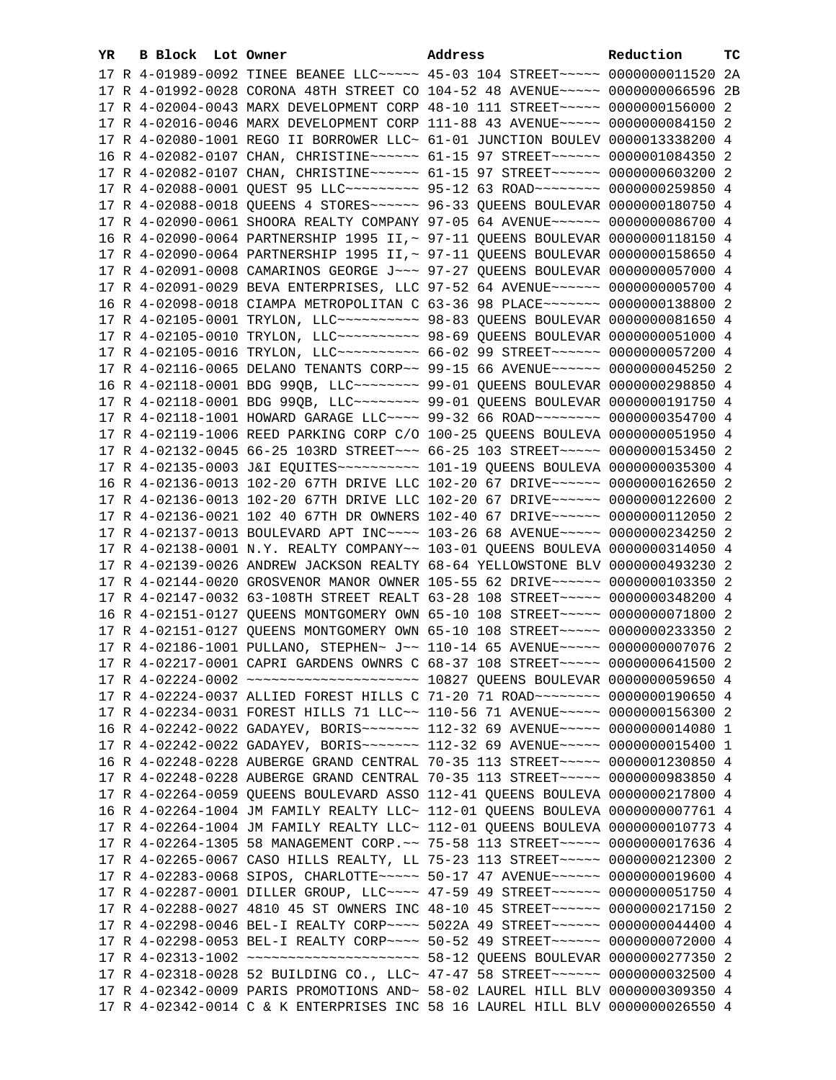| YR. | B Block Lot Owner | Address                                                                                                                                                         | Reduction | тc |
|-----|-------------------|-----------------------------------------------------------------------------------------------------------------------------------------------------------------|-----------|----|
|     |                   | 17 R 4-01989-0092 TINEE BEANEE LLC ----- 45-03 104 STREET ----- 0000000011520 2A                                                                                |           |    |
|     |                   | 17 R 4-01992-0028 CORONA 48TH STREET CO 104-52 48 AVENUE~~~~~ 0000000066596 2B                                                                                  |           |    |
|     |                   | 17 R 4-02004-0043 MARX DEVELOPMENT CORP 48-10 111 STREET~~~~~ 0000000156000 2                                                                                   |           |    |
|     |                   | 17 R 4-02016-0046 MARX DEVELOPMENT CORP 111-88 43 AVENUE~~~~~ 0000000084150 2                                                                                   |           |    |
|     |                   | 17 R 4-02080-1001 REGO II BORROWER LLC~ 61-01 JUNCTION BOULEV 0000013338200 4                                                                                   |           |    |
|     |                   | 16 R 4-02082-0107 CHAN, CHRISTINE~~~~~~ 61-15 97 STREET~~~~~~ 0000001084350 2                                                                                   |           |    |
|     |                   | 17 R 4-02082-0107 CHAN, CHRISTINE~~~~~~ 61-15 97 STREET~~~~~~ 0000000603200 2                                                                                   |           |    |
|     |                   | 17 R 4-02088-0001 QUEST 95 LLC --------- 95-12 63 ROAD -------- 0000000259850 4                                                                                 |           |    |
|     |                   | 17 R 4-02088-0018 QUEENS 4 STORES~~~~~~ 96-33 QUEENS BOULEVAR 0000000180750 4                                                                                   |           |    |
|     |                   | 17 R 4-02090-0061 SHOORA REALTY COMPANY 97-05 64 AVENUE~~~~~~ 0000000086700 4                                                                                   |           |    |
|     |                   | 16 R 4-02090-0064 PARTNERSHIP 1995 II, ~ 97-11 QUEENS BOULEVAR 0000000118150 4                                                                                  |           |    |
|     |                   | 17 R 4-02090-0064 PARTNERSHIP 1995 II, ~ 97-11 QUEENS BOULEVAR 0000000158650 4                                                                                  |           |    |
|     |                   |                                                                                                                                                                 |           |    |
|     |                   | 17 R 4-02091-0008 CAMARINOS GEORGE J~~~ 97-27 QUEENS BOULEVAR 0000000057000 4                                                                                   |           |    |
|     |                   | 17 R 4-02091-0029 BEVA ENTERPRISES, LLC 97-52 64 AVENUE~~~~~~ 0000000005700 4                                                                                   |           |    |
|     |                   | 16 R 4-02098-0018 CIAMPA METROPOLITAN C 63-36 98 PLACE~~~~~~~ 0000000138800 2                                                                                   |           |    |
|     |                   | 17 R 4-02105-0001 TRYLON, LLC ---------- 98-83 OUEENS BOULEVAR 0000000081650 4<br>17 R 4-02105-0010 TRYLON, LLC --------- 98-69 QUEENS BOULEVAR 0000000051000 4 |           |    |
|     |                   |                                                                                                                                                                 |           |    |
|     |                   | 17 R 4-02105-0016 TRYLON, LLC --------- 66-02 99 STREET ------ 0000000057200 4                                                                                  |           |    |
|     |                   | 17 R 4-02116-0065 DELANO TENANTS CORP~~ 99-15 66 AVENUE~~~~~~ 0000000045250 2                                                                                   |           |    |
|     |                   | 16 R 4-02118-0001 BDG 99QB, LLC -------- 99-01 QUEENS BOULEVAR 0000000298850 4                                                                                  |           |    |
|     |                   | 17 R 4-02118-0001 BDG 99QB, LLC -------- 99-01 QUEENS BOULEVAR 0000000191750 4                                                                                  |           |    |
|     |                   | 17 R 4-02118-1001 HOWARD GARAGE LLC --- 99-32 66 ROAD ------- 0000000354700 4                                                                                   |           |    |
|     |                   | 17 R 4-02119-1006 REED PARKING CORP C/O 100-25 QUEENS BOULEVA 0000000051950 4                                                                                   |           |    |
|     |                   | 17 R 4-02132-0045 66-25 103RD STREET~~~ 66-25 103 STREET~~~~~ 0000000153450 2                                                                                   |           |    |
|     |                   |                                                                                                                                                                 |           |    |
|     |                   | 16 R 4-02136-0013 102-20 67TH DRIVE LLC 102-20 67 DRIVE~~~~~~ 0000000162650 2                                                                                   |           |    |
|     |                   | 17 R 4-02136-0013 102-20 67TH DRIVE LLC 102-20 67 DRIVE~~~~~~ 0000000122600 2                                                                                   |           |    |
|     |                   | 17 R 4-02136-0021 102 40 67TH DR OWNERS 102-40 67 DRIVE~~~~~~ 0000000112050 2<br>17 R 4-02137-0013 BOULEVARD APT INC~~~~ 103-26 68 AVENUE~~~~~ 0000000234250 2  |           |    |
|     |                   | 17 R 4-02138-0001 N.Y. REALTY COMPANY~~ 103-01 QUEENS BOULEVA 0000000314050 4                                                                                   |           |    |
|     |                   | 17 R 4-02139-0026 ANDREW JACKSON REALTY 68-64 YELLOWSTONE BLV 0000000493230 2                                                                                   |           |    |
|     |                   | 17 R 4-02144-0020 GROSVENOR MANOR OWNER 105-55 62 DRIVE~~~~~~ 0000000103350 2                                                                                   |           |    |
|     |                   | 17 R 4-02147-0032 63-108TH STREET REALT 63-28 108 STREET~~~~~ 0000000348200 4                                                                                   |           |    |
|     |                   | 16 R 4-02151-0127 QUEENS MONTGOMERY OWN 65-10 108 STREET~~~~~ 0000000071800 2                                                                                   |           |    |
|     |                   | 17 R 4-02151-0127 QUEENS MONTGOMERY OWN 65-10 108 STREET~~~~~ 0000000233350 2                                                                                   |           |    |
|     |                   | 17 R 4-02186-1001 PULLANO, STEPHEN~ J~~ 110-14 65 AVENUE~~~~~ 0000000007076 2                                                                                   |           |    |
|     |                   | 17 R 4-02217-0001 CAPRI GARDENS OWNRS C 68-37 108 STREET~~~~~ 0000000641500 2                                                                                   |           |    |
|     |                   |                                                                                                                                                                 |           |    |
|     |                   | 17 R 4-02224-0037 ALLIED FOREST HILLS C 71-20 71 ROAD~~~~~~~~ 0000000190650 4                                                                                   |           |    |
|     |                   | 17 R 4-02234-0031 FOREST HILLS 71 LLC~~ 110-56 71 AVENUE~~~~~ 0000000156300 2                                                                                   |           |    |
|     |                   | 16 R 4-02242-0022 GADAYEV, BORIS ------ 112-32 69 AVENUE ---- 0000000014080 1                                                                                   |           |    |
|     |                   | 17 R 4-02242-0022 GADAYEV, BORIS ------ 112-32 69 AVENUE ---- 0000000015400 1                                                                                   |           |    |
|     |                   | 16 R 4-02248-0228 AUBERGE GRAND CENTRAL 70-35 113 STREET~~~~~ 0000001230850 4                                                                                   |           |    |
|     |                   | 17 R 4-02248-0228 AUBERGE GRAND CENTRAL 70-35 113 STREET~~~~~ 0000000983850 4                                                                                   |           |    |
|     |                   | 17 R 4-02264-0059 QUEENS BOULEVARD ASSO 112-41 QUEENS BOULEVA 0000000217800 4                                                                                   |           |    |
|     |                   | 16 R 4-02264-1004 JM FAMILY REALTY LLC~ 112-01 OUEENS BOULEVA 0000000007761 4                                                                                   |           |    |
|     |                   | 17 R 4-02264-1004 JM FAMILY REALTY LLC~ 112-01 QUEENS BOULEVA 0000000010773 4                                                                                   |           |    |
|     |                   | 17 R 4-02264-1305 58 MANAGEMENT CORP. ~~ 75-58 113 STREET~~~~~ 0000000017636 4                                                                                  |           |    |
|     |                   | 17 R 4-02265-0067 CASO HILLS REALTY, LL 75-23 113 STREET~~~~~ 0000000212300 2                                                                                   |           |    |
|     |                   | 17 R 4-02283-0068 SIPOS, CHARLOTTE~~~~~ 50-17 47 AVENUE~~~~~~ 0000000019600 4                                                                                   |           |    |
|     |                   | 17 R 4-02287-0001 DILLER GROUP, LLC~~~~ 47-59 49 STREET~~~~~~ 0000000051750 4                                                                                   |           |    |
|     |                   | 17 R 4-02288-0027 4810 45 ST OWNERS INC 48-10 45 STREET~~~~~~~ 0000000217150 2                                                                                  |           |    |
|     |                   | 17 R 4-02298-0046 BEL-I REALTY CORP~~~~ 5022A 49 STREET~~~~~~ 0000000044400 4                                                                                   |           |    |
|     |                   | 17 R 4-02298-0053 BEL-I REALTY CORP~~~~ 50-52 49 STREET~~~~~~ 0000000072000 4                                                                                   |           |    |
|     |                   |                                                                                                                                                                 |           |    |
|     |                   | 17 R 4-02318-0028 52 BUILDING CO., LLC~ 47-47 58 STREET~~~~~~ 0000000032500 4                                                                                   |           |    |
|     |                   | 17 R 4-02342-0009 PARIS PROMOTIONS AND~ 58-02 LAUREL HILL BLV 0000000309350 4                                                                                   |           |    |
|     |                   | 17 R 4-02342-0014 C & K ENTERPRISES INC 58 16 LAUREL HILL BLV 0000000026550 4                                                                                   |           |    |
|     |                   |                                                                                                                                                                 |           |    |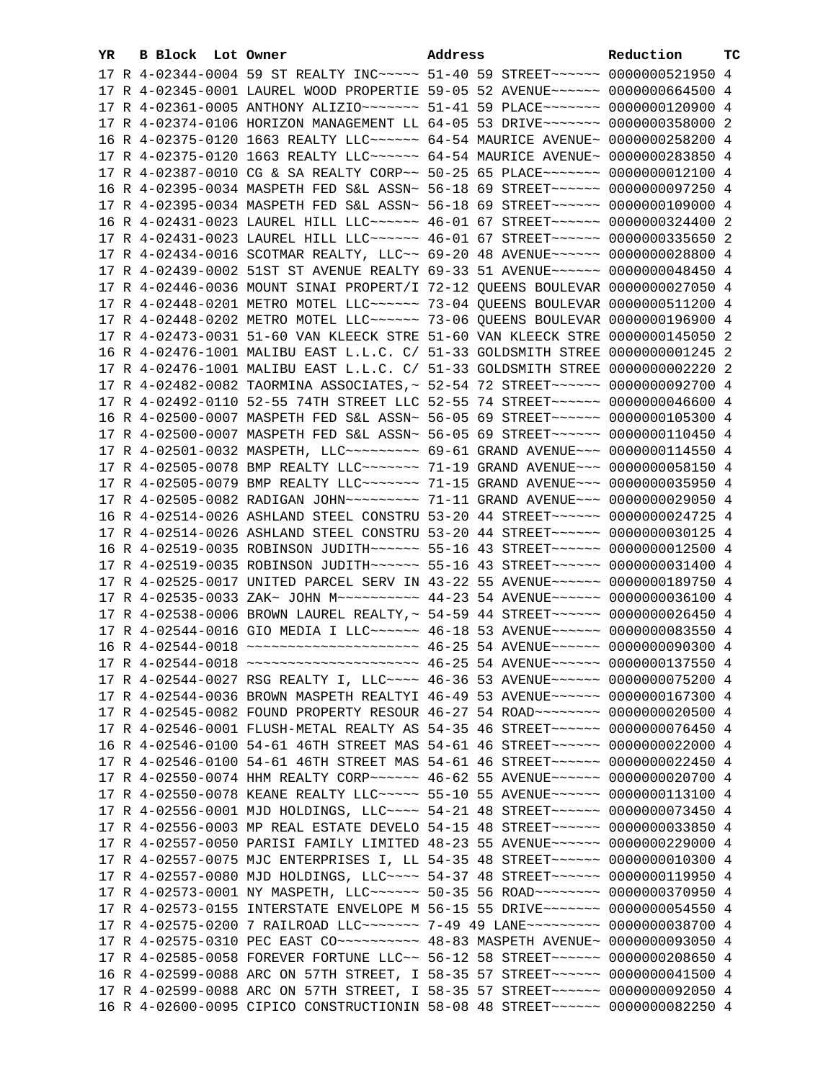| YR | B Block Lot Owner |                                                                                 | Address | Reduction | ТC |
|----|-------------------|---------------------------------------------------------------------------------|---------|-----------|----|
|    |                   | 17 R 4-02344-0004 59 ST REALTY INC ---- 51-40 59 STREET ----- 0000000521950 4   |         |           |    |
|    |                   | 17 R 4-02345-0001 LAUREL WOOD PROPERTIE 59-05 52 AVENUE~~~~~~ 0000000664500 4   |         |           |    |
|    |                   | 17 R 4-02361-0005 ANTHONY ALIZIO ~~~~~~~ 51-41 59 PLACE ~~~~~~~ 0000000120900 4 |         |           |    |
|    |                   | 17 R 4-02374-0106 HORIZON MANAGEMENT LL 64-05 53 DRIVE~~~~~~~ 0000000358000 2   |         |           |    |
|    |                   | 16 R 4-02375-0120 1663 REALTY LLC ----- 64-54 MAURICE AVENUE ~ 0000000258200 4  |         |           |    |
|    |                   | 17 R 4-02375-0120 1663 REALTY LLC ----- 64-54 MAURICE AVENUE ~ 0000000283850 4  |         |           |    |
|    |                   | 17 R 4-02387-0010 CG & SA REALTY CORP~~ 50-25 65 PLACE~~~~~~~ 0000000012100 4   |         |           |    |
|    |                   | 16 R 4-02395-0034 MASPETH FED S&L ASSN~ 56-18 69 STREET~~~~~~ 0000000097250 4   |         |           |    |
|    |                   | 17 R 4-02395-0034 MASPETH FED S&L ASSN~ 56-18 69 STREET~~~~~~~ 0000000109000 4  |         |           |    |
|    |                   | 16 R 4-02431-0023 LAUREL HILL LLC ----- 46-01 67 STREET ----- 0000000324400 2   |         |           |    |
|    |                   |                                                                                 |         |           |    |
|    |                   | 17 R 4-02431-0023 LAUREL HILL LLC ----- 46-01 67 STREET ----- 0000000335650 2   |         |           |    |
|    |                   | 17 R 4-02434-0016 SCOTMAR REALTY, LLC~~ 69-20 48 AVENUE~~~~~~ 0000000028800 4   |         |           |    |
|    |                   | 17 R 4-02439-0002 51ST ST AVENUE REALTY 69-33 51 AVENUE~~~~~~ 0000000048450 4   |         |           |    |
|    |                   | 17 R 4-02446-0036 MOUNT SINAI PROPERT/I 72-12 QUEENS BOULEVAR 0000000027050 4   |         |           |    |
|    |                   | 17 R 4-02448-0201 METRO MOTEL LLC ~~~~~~ 73-04 QUEENS BOULEVAR 0000000511200 4  |         |           |    |
|    |                   | 17 R 4-02448-0202 METRO MOTEL LLC ~~~~~~ 73-06 QUEENS BOULEVAR 0000000196900 4  |         |           |    |
|    |                   | 17 R 4-02473-0031 51-60 VAN KLEECK STRE 51-60 VAN KLEECK STRE 0000000145050 2   |         |           |    |
|    |                   | 16 R 4-02476-1001 MALIBU EAST L.L.C. C/ 51-33 GOLDSMITH STREE 0000000001245 2   |         |           |    |
|    |                   | 17 R 4-02476-1001 MALIBU EAST L.L.C. C/ 51-33 GOLDSMITH STREE 0000000002220 2   |         |           |    |
|    |                   | 17 R 4-02482-0082 TAORMINA ASSOCIATES, ~ 52-54 72 STREET ~~~~~~ 0000000092700 4 |         |           |    |
|    |                   | 17 R 4-02492-0110 52-55 74TH STREET LLC 52-55 74 STREET ~~~~~~ 0000000046600 4  |         |           |    |
|    |                   | 16 R 4-02500-0007 MASPETH FED S&L ASSN~ 56-05 69 STREET~~~~~~~ 0000000105300 4  |         |           |    |
|    |                   | 17 R 4-02500-0007 MASPETH FED S&L ASSN~ 56-05 69 STREET~~~~~~~ 0000000110450 4  |         |           |    |
|    |                   | 17 R 4-02501-0032 MASPETH, LLC -------- 69-61 GRAND AVENUE --- 0000000114550 4  |         |           |    |
|    |                   | 17 R 4-02505-0078 BMP REALTY LLC ------ 71-19 GRAND AVENUE -- 0000000058150 4   |         |           |    |
|    |                   | 17 R 4-02505-0079 BMP REALTY LLC ------ 71-15 GRAND AVENUE -- 0000000035950 4   |         |           |    |
|    |                   | 17 R 4-02505-0082 RADIGAN JOHN -------- 71-11 GRAND AVENUE --- 0000000029050 4  |         |           |    |
|    |                   | 16 R 4-02514-0026 ASHLAND STEEL CONSTRU 53-20 44 STREET~~~~~~~ 0000000024725 4  |         |           |    |
|    |                   | 17 R 4-02514-0026 ASHLAND STEEL CONSTRU 53-20 44 STREET ~~~~~~ 0000000030125 4  |         |           |    |
|    |                   | 16 R 4-02519-0035 ROBINSON JUDITH~~~~~~ 55-16 43 STREET~~~~~~ 0000000012500 4   |         |           |    |
|    |                   | 17 R 4-02519-0035 ROBINSON JUDITH~~~~~~ 55-16 43 STREET~~~~~~ 0000000031400 4   |         |           |    |
|    |                   | 17 R 4-02525-0017 UNITED PARCEL SERV IN 43-22 55 AVENUE~~~~~~ 0000000189750 4   |         |           |    |
|    |                   | 17 R 4-02535-0033 ZAK~ JOHN M~~~~~~~~~~ 44-23 54 AVENUE~~~~~~ 0000000036100 4   |         |           |    |
|    |                   | 17 R 4-02538-0006 BROWN LAUREL REALTY, ~ 54-59 44 STREET ~~~~~~ 0000000026450 4 |         |           |    |
|    |                   | 17 R 4-02544-0016 GIO MEDIA I LLC ----- 46-18 53 AVENUE ----- 0000000083550 4   |         |           |    |
|    |                   | 16 R 4-02544-0018 ~~~~~~~~~~~~~~~~~~~~~~~ 46-25 54 AVENUE~~~~~~ 0000000090300 4 |         |           |    |
|    |                   | 17 R 4-02544-0018 ~~~~~~~~~~~~~~~~~~~~~ 46-25 54 AVENUE~~~~~~ 0000000137550 4   |         |           |    |
|    |                   | 17 R 4-02544-0027 RSG REALTY I, LLC --- 46-36 53 AVENUE----- 0000000075200 4    |         |           |    |
|    |                   | 17 R 4-02544-0036 BROWN MASPETH REALTYI 46-49 53 AVENUE~~~~~~ 0000000167300 4   |         |           |    |
|    |                   | 17 R 4-02545-0082 FOUND PROPERTY RESOUR 46-27 54 ROAD ------- 0000000020500 4   |         |           |    |
|    |                   | 17 R 4-02546-0001 FLUSH-METAL REALTY AS 54-35 46 STREET~~~~~~ 0000000076450 4   |         |           |    |
|    |                   | 16 R 4-02546-0100 54-61 46TH STREET MAS 54-61 46 STREET~~~~~~ 0000000022000 4   |         |           |    |
|    |                   | 17 R 4-02546-0100 54-61 46TH STREET MAS 54-61 46 STREET ~~~~~~ 0000000022450 4  |         |           |    |
|    |                   | 17 R 4-02550-0074 HHM REALTY CORP~~~~~~ 46-62 55 AVENUE~~~~~~ 0000000020700 4   |         |           |    |
|    |                   | 17 R 4-02550-0078 KEANE REALTY LLC~~~~~ 55-10 55 AVENUE~~~~~~ 0000000113100 4   |         |           |    |
|    |                   | 17 R 4-02556-0001 MJD HOLDINGS, LLC --- 54-21 48 STREET ----- 0000000073450 4   |         |           |    |
|    |                   | 17 R 4-02556-0003 MP REAL ESTATE DEVELO 54-15 48 STREET~~~~~~ 0000000033850 4   |         |           |    |
|    |                   | 17 R 4-02557-0050 PARISI FAMILY LIMITED 48-23 55 AVENUE~~~~~~ 0000000229000 4   |         |           |    |
|    |                   | 17 R 4-02557-0075 MJC ENTERPRISES I, LL 54-35 48 STREET~~~~~~ 0000000010300 4   |         |           |    |
|    |                   | 17 R 4-02557-0080 MJD HOLDINGS, LLC --- 54-37 48 STREET ----- 0000000119950 4   |         |           |    |
|    |                   | 17 R 4-02573-0001 NY MASPETH, LLC ----- 50-35 56 ROAD ------- 0000000370950 4   |         |           |    |
|    |                   | 17 R 4-02573-0155 INTERSTATE ENVELOPE M 56-15 55 DRIVE~~~~~~~ 0000000054550 4   |         |           |    |
|    |                   | 17 R 4-02575-0200 7 RAILROAD LLC~~~~~~~ 7-49 49 LANE~~~~~~~~~ 0000000038700 4   |         |           |    |
|    |                   | 17 R 4-02575-0310 PEC EAST CO ---------- 48-83 MASPETH AVENUE ~ 0000000093050 4 |         |           |    |
|    |                   | 17 R 4-02585-0058 FOREVER FORTUNE LLC~~ 56-12 58 STREET~~~~~~ 0000000208650 4   |         |           |    |
|    |                   | 16 R 4-02599-0088 ARC ON 57TH STREET, I 58-35 57 STREET~~~~~~ 0000000041500 4   |         |           |    |
|    |                   | 17 R 4-02599-0088 ARC ON 57TH STREET, I 58-35 57 STREET~~~~~~ 0000000092050 4   |         |           |    |
|    |                   | 16 R 4-02600-0095 CIPICO CONSTRUCTIONIN 58-08 48 STREET~~~~~~~ 0000000082250 4  |         |           |    |
|    |                   |                                                                                 |         |           |    |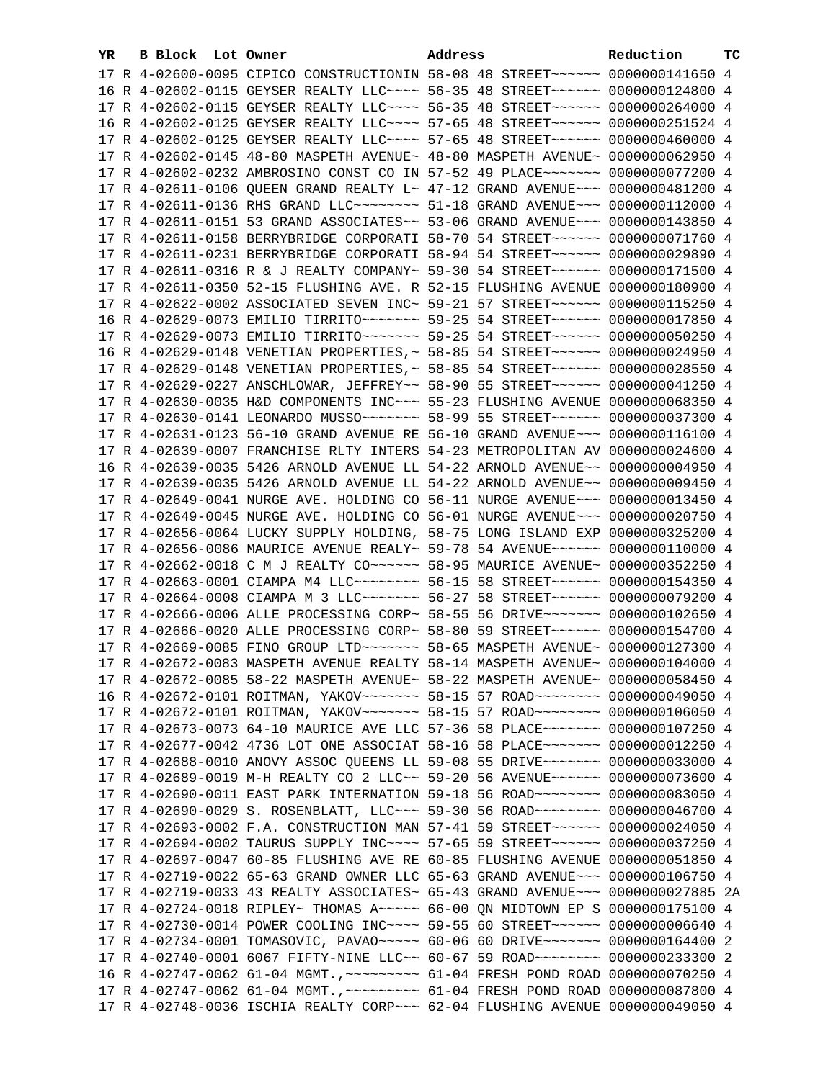| YR. | B Block Lot Owner |                                                                                                                                                                | Address | Reduction | тc |
|-----|-------------------|----------------------------------------------------------------------------------------------------------------------------------------------------------------|---------|-----------|----|
|     |                   | 17 R 4-02600-0095 CIPICO CONSTRUCTIONIN 58-08 48 STREET~~~~~~~ 0000000141650 4                                                                                 |         |           |    |
|     |                   | 16 R 4-02602-0115 GEYSER REALTY LLC --- 56-35 48 STREET ----- 0000000124800 4                                                                                  |         |           |    |
|     |                   | 17 R 4-02602-0115 GEYSER REALTY LLC~~~~ 56-35 48 STREET~~~~~~ 0000000264000 4                                                                                  |         |           |    |
|     |                   | 16 R 4-02602-0125 GEYSER REALTY LLC~~~~ 57-65 48 STREET~~~~~~ 0000000251524 4                                                                                  |         |           |    |
|     |                   | 17 R 4-02602-0125 GEYSER REALTY LLC --- 57-65 48 STREET ----- 0000000460000 4                                                                                  |         |           |    |
|     |                   | 17 R 4-02602-0145 48-80 MASPETH AVENUE~ 48-80 MASPETH AVENUE~ 0000000062950 4                                                                                  |         |           |    |
|     |                   | 17 R 4-02602-0232 AMBROSINO CONST CO IN 57-52 49 PLACE~~~~~~~ 0000000077200 4                                                                                  |         |           |    |
|     |                   | 17 R 4-02611-0106 QUEEN GRAND REALTY L~ 47-12 GRAND AVENUE~~~ 0000000481200 4                                                                                  |         |           |    |
|     |                   | 17 R 4-02611-0136 RHS GRAND LLC -------- 51-18 GRAND AVENUE --- 0000000112000 4                                                                                |         |           |    |
|     |                   | 17 R 4-02611-0151 53 GRAND ASSOCIATES~~ 53-06 GRAND AVENUE~~~ 0000000143850 4                                                                                  |         |           |    |
|     |                   | 17 R 4-02611-0158 BERRYBRIDGE CORPORATI 58-70 54 STREET~~~~~~~ 0000000071760 4                                                                                 |         |           |    |
|     |                   | 17 R 4-02611-0231 BERRYBRIDGE CORPORATI 58-94 54 STREET~~~~~~~ 0000000029890 4                                                                                 |         |           |    |
|     |                   |                                                                                                                                                                |         |           |    |
|     |                   | 17 R 4-02611-0316 R & J REALTY COMPANY~ 59-30 54 STREET~~~~~~~ 0000000171500 4                                                                                 |         |           |    |
|     |                   | 17 R 4-02611-0350 52-15 FLUSHING AVE. R 52-15 FLUSHING AVENUE 0000000180900 4                                                                                  |         |           |    |
|     |                   | 17 R 4-02622-0002 ASSOCIATED SEVEN INC~ 59-21 57 STREET~~~~~~~ 0000000115250 4                                                                                 |         |           |    |
|     |                   | 16 R 4-02629-0073 EMILIO TIRRITO~~~~~~~ 59-25 54 STREET~~~~~~ 0000000017850 4                                                                                  |         |           |    |
|     |                   |                                                                                                                                                                |         |           |    |
|     |                   | 16 R 4-02629-0148 VENETIAN PROPERTIES, ~ 58-85 54 STREET ~~~~~~ 0000000024950 4                                                                                |         |           |    |
|     |                   | 17 R 4-02629-0148 VENETIAN PROPERTIES, ~ 58-85 54 STREET ~~~~~~ 0000000028550 4                                                                                |         |           |    |
|     |                   | 17 R 4-02629-0227 ANSCHLOWAR, JEFFREY~~ 58-90 55 STREET~~~~~~~ 0000000041250 4                                                                                 |         |           |    |
|     |                   | 17 R 4-02630-0035 H&D COMPONENTS INC~~~ 55-23 FLUSHING AVENUE 0000000068350 4                                                                                  |         |           |    |
|     |                   |                                                                                                                                                                |         |           |    |
|     |                   | 17 R 4-02631-0123 56-10 GRAND AVENUE RE 56-10 GRAND AVENUE~~~ 0000000116100 4                                                                                  |         |           |    |
|     |                   | 17 R 4-02639-0007 FRANCHISE RLTY INTERS 54-23 METROPOLITAN AV 0000000024600 4                                                                                  |         |           |    |
|     |                   | 16 R 4-02639-0035 5426 ARNOLD AVENUE LL 54-22 ARNOLD AVENUE~~ 0000000004950 4                                                                                  |         |           |    |
|     |                   | 17 R 4-02639-0035 5426 ARNOLD AVENUE LL 54-22 ARNOLD AVENUE~~ 0000000009450 4                                                                                  |         |           |    |
|     |                   | 17 R 4-02649-0041 NURGE AVE. HOLDING CO 56-11 NURGE AVENUE~~~ 0000000013450 4                                                                                  |         |           |    |
|     |                   | 17 R 4-02649-0045 NURGE AVE. HOLDING CO 56-01 NURGE AVENUE~~~ 0000000020750 4                                                                                  |         |           |    |
|     |                   | 17 R 4-02656-0064 LUCKY SUPPLY HOLDING, 58-75 LONG ISLAND EXP 0000000325200 4                                                                                  |         |           |    |
|     |                   | 17 R 4-02656-0086 MAURICE AVENUE REALY~ 59-78 54 AVENUE~~~~~~ 0000000110000 4                                                                                  |         |           |    |
|     |                   | 17 R 4-02662-0018 C M J REALTY CO ~~~~~~ 58-95 MAURICE AVENUE~ 0000000352250 4                                                                                 |         |           |    |
|     |                   | 17 R 4-02663-0001 CIAMPA M4 LLC ------- 56-15 58 STREET ------ 0000000154350 4                                                                                 |         |           |    |
|     |                   | 17 R 4-02664-0008 CIAMPA M 3 LLC~~~~~~~~ 56-27 58 STREET~~~~~~ 0000000079200 4                                                                                 |         |           |    |
|     |                   | 17 R 4-02666-0006 ALLE PROCESSING CORP~ 58-55 56 DRIVE~~~~~~~ 0000000102650 4                                                                                  |         |           |    |
|     |                   | 17 R 4-02666-0020 ALLE PROCESSING CORP~ 58-80 59 STREET~~~~~~ 0000000154700 4                                                                                  |         |           |    |
|     |                   | 17 R 4-02669-0085 FINO GROUP LTD ~~~~~~~ 58-65 MASPETH AVENUE~ 0000000127300 4                                                                                 |         |           |    |
|     |                   | 17 R 4-02672-0083 MASPETH AVENUE REALTY 58-14 MASPETH AVENUE~ 0000000104000 4                                                                                  |         |           |    |
|     |                   | 17 R 4-02672-0085 58-22 MASPETH AVENUE~ 58-22 MASPETH AVENUE~ 0000000058450 4                                                                                  |         |           |    |
|     |                   | 16 R 4-02672-0101 ROITMAN, YAKOV~~~~~~~ 58-15 57 ROAD~~~~~~~~ 0000000049050 4                                                                                  |         |           |    |
|     |                   | 17 R 4-02672-0101 ROITMAN, YAKOV~~~~~~~ 58-15 57 ROAD~~~~~~~~ 0000000106050 4                                                                                  |         |           |    |
|     |                   | 17 R 4-02673-0073 64-10 MAURICE AVE LLC 57-36 58 PLACE~~~~~~~ 0000000107250 4                                                                                  |         |           |    |
|     |                   | 17 R 4-02677-0042 4736 LOT ONE ASSOCIAT 58-16 58 PLACE~~~~~~~ 0000000012250 4                                                                                  |         |           |    |
|     |                   | 17 R 4-02688-0010 ANOVY ASSOC QUEENS LL 59-08 55 DRIVE~~~~~~~ 0000000033000 4                                                                                  |         |           |    |
|     |                   | 17 R 4-02689-0019 M-H REALTY CO 2 LLC~~ 59-20 56 AVENUE~~~~~~ 0000000073600 4                                                                                  |         |           |    |
|     |                   | 17 R 4-02690-0011 EAST PARK INTERNATION 59-18 56 ROAD -------- 0000000083050 4                                                                                 |         |           |    |
|     |                   | 17 R 4-02690-0029 S. ROSENBLATT, LLC~~~ 59-30 56 ROAD~~~~~~~~ 0000000046700 4<br>17 R 4-02693-0002 F.A. CONSTRUCTION MAN 57-41 59 STREET~~~~~~ 0000000024050 4 |         |           |    |
|     |                   | 17 R 4-02694-0002 TAURUS SUPPLY INC~~~~ 57-65 59 STREET~~~~~~ 0000000037250 4                                                                                  |         |           |    |
|     |                   | 17 R 4-02697-0047 60-85 FLUSHING AVE RE 60-85 FLUSHING AVENUE 0000000051850 4                                                                                  |         |           |    |
|     |                   | 17 R 4-02719-0022 65-63 GRAND OWNER LLC 65-63 GRAND AVENUE~~~ 0000000106750 4                                                                                  |         |           |    |
|     |                   | 17 R 4-02719-0033 43 REALTY ASSOCIATES~ 65-43 GRAND AVENUE~~~ 0000000027885 2A                                                                                 |         |           |    |
|     |                   | 17 R 4-02724-0018 RIPLEY~ THOMAS A~~~~~ 66-00 ON MIDTOWN EP S 0000000175100 4                                                                                  |         |           |    |
|     |                   | 17 R 4-02730-0014 POWER COOLING INC~~~~ 59-55 60 STREET~~~~~~ 0000000006640 4                                                                                  |         |           |    |
|     |                   | 17 R 4-02734-0001 TOMASOVIC, PAVAO~~~~~ 60-06 60 DRIVE~~~~~~~ 0000000164400 2                                                                                  |         |           |    |
|     |                   | 17 R 4-02740-0001 6067 FIFTY-NINE LLC~~ 60-67 59 ROAD~~~~~~~~ 0000000233300 2                                                                                  |         |           |    |
|     |                   | 16 R 4-02747-0062 61-04 MGMT., ~~~~~~~~~~~~~ 61-04 FRESH POND ROAD 0000000070250 4                                                                             |         |           |    |
|     |                   | 17 R 4-02747-0062 61-04 MGMT., ~~~~~~~~~ 61-04 FRESH POND ROAD 0000000087800 4                                                                                 |         |           |    |
|     |                   | 17 R 4-02748-0036 ISCHIA REALTY CORP~~~ 62-04 FLUSHING AVENUE 0000000049050 4                                                                                  |         |           |    |
|     |                   |                                                                                                                                                                |         |           |    |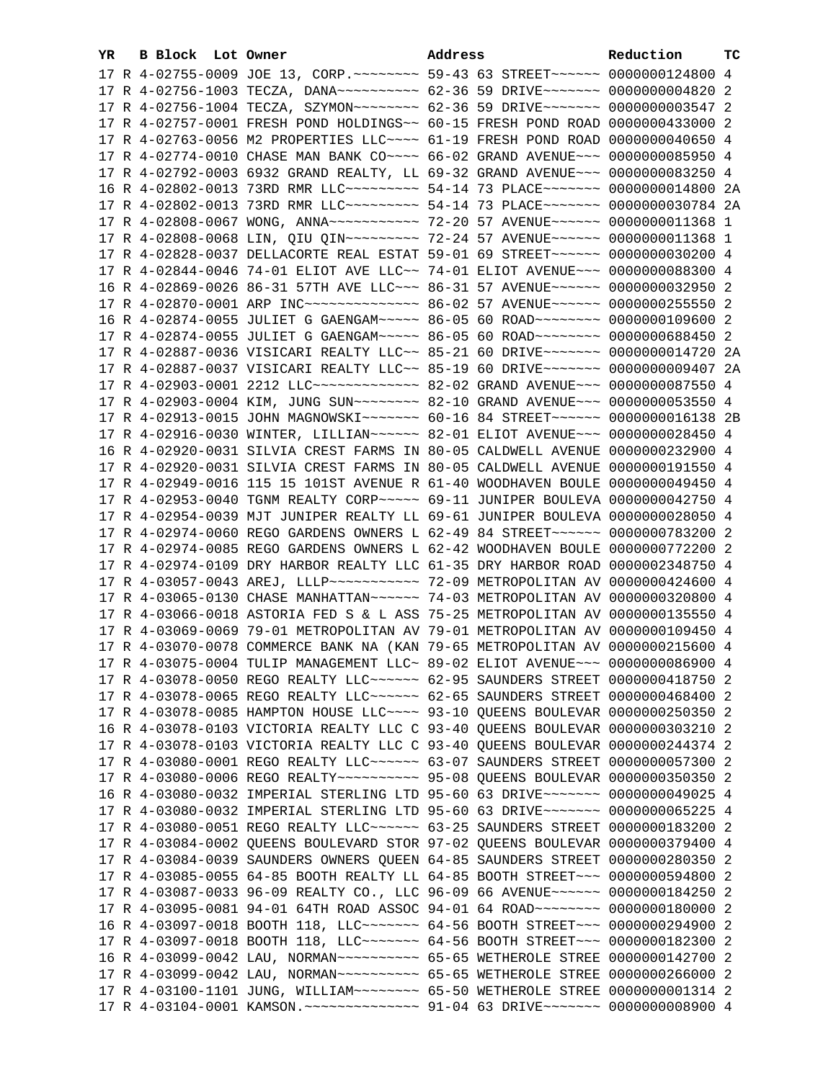| YR. | B Block Lot Owner |                                                                                      | Address | Reduction | тc |
|-----|-------------------|--------------------------------------------------------------------------------------|---------|-----------|----|
|     |                   | 17 R 4-02755-0009 JOE 13, CORP. ~~~~~~~~ 59-43 63 STREET~~~~~~ 0000000124800 4       |         |           |    |
|     |                   | 17 R 4-02756-1003 TECZA, DANA~~~~~~~~~~ 62-36 59 DRIVE~~~~~~~ 0000000004820 2        |         |           |    |
|     |                   | 17 R 4-02756-1004 TECZA, SZYMON~~~~~~~~ 62-36 59 DRIVE~~~~~~~ 0000000003547 2        |         |           |    |
|     |                   | 17 R 4-02757-0001 FRESH POND HOLDINGS~~ 60-15 FRESH POND ROAD 0000000433000 2        |         |           |    |
|     |                   | 17 R 4-02763-0056 M2 PROPERTIES LLC~~~~ 61-19 FRESH POND ROAD 0000000040650 4        |         |           |    |
|     |                   | 17 R 4-02774-0010 CHASE MAN BANK CO~~~~ 66-02 GRAND AVENUE~~~ 0000000085950 4        |         |           |    |
|     |                   | 17 R 4-02792-0003 6932 GRAND REALTY, LL 69-32 GRAND AVENUE~~~ 0000000083250 4        |         |           |    |
|     |                   | 16 R 4-02802-0013 73RD RMR LLC --------- 54-14 73 PLACE ------- 0000000014800 2A     |         |           |    |
|     |                   | 17 R 4-02802-0013 73RD RMR LLC --------- 54-14 73 PLACE ------ 0000000030784 2A      |         |           |    |
|     |                   | 17 R 4-02808-0067 WONG, ANNA~~~~~~~~~~~ 72-20 57 AVENUE~~~~~~ 0000000011368 1        |         |           |    |
|     |                   | 17 R 4-02808-0068 LIN, QIU QIN~~~~~~~~~~~~~~ 72-24 57 AVENUE~~~~~~~ 00000000011368 1 |         |           |    |
|     |                   | 17 R 4-02828-0037 DELLACORTE REAL ESTAT 59-01 69 STREET~~~~~~~ 0000000030200 4       |         |           |    |
|     |                   | 17 R 4-02844-0046 74-01 ELIOT AVE LLC~~ 74-01 ELIOT AVENUE~~~ 0000000088300 4        |         |           |    |
|     |                   | 16 R 4-02869-0026 86-31 57TH AVE LLC~~~ 86-31 57 AVENUE~~~~~~ 0000000032950 2        |         |           |    |
|     |                   |                                                                                      |         |           |    |
|     |                   | 16 R 4-02874-0055 JULIET G GAENGAM~~~~~ 86-05 60 ROAD~~~~~~~~ 0000000109600 2        |         |           |    |
|     |                   | 17 R 4-02874-0055 JULIET G GAENGAM~~~~~ 86-05 60 ROAD~~~~~~~~ 0000000688450 2        |         |           |    |
|     |                   | 17 R 4-02887-0036 VISICARI REALTY LLC~~ 85-21 60 DRIVE~~~~~~~ 0000000014720 2A       |         |           |    |
|     |                   | 17 R 4-02887-0037 VISICARI REALTY LLC~~ 85-19 60 DRIVE~~~~~~~ 0000000009407 2A       |         |           |    |
|     |                   | 17 R 4-02903-0001 2212 LLC ------------- 82-02 GRAND AVENUE -- 0000000087550 4       |         |           |    |
|     |                   | 17 R 4-02903-0004 KIM, JUNG SUN~~~~~~~~ 82-10 GRAND AVENUE~~~ 0000000053550 4        |         |           |    |
|     |                   | 17 R 4-02913-0015 JOHN MAGNOWSKI~~~~~~~ 60-16 84 STREET~~~~~~ 0000000016138 2B       |         |           |    |
|     |                   | 17 R 4-02916-0030 WINTER, LILLIAN~~~~~~ 82-01 ELIOT AVENUE~~~ 0000000028450 4        |         |           |    |
|     |                   | 16 R 4-02920-0031 SILVIA CREST FARMS IN 80-05 CALDWELL AVENUE 0000000232900 4        |         |           |    |
|     |                   | 17 R 4-02920-0031 SILVIA CREST FARMS IN 80-05 CALDWELL AVENUE 0000000191550 4        |         |           |    |
|     |                   | 17 R 4-02949-0016 115 15 101ST AVENUE R 61-40 WOODHAVEN BOULE 0000000049450 4        |         |           |    |
|     |                   | 17 R 4-02953-0040 TGNM REALTY CORP~~~~~ 69-11 JUNIPER BOULEVA 0000000042750 4        |         |           |    |
|     |                   | 17 R 4-02954-0039 MJT JUNIPER REALTY LL 69-61 JUNIPER BOULEVA 0000000028050 4        |         |           |    |
|     |                   | 17 R 4-02974-0060 REGO GARDENS OWNERS L 62-49 84 STREET~~~~~~~ 0000000783200 2       |         |           |    |
|     |                   | 17 R 4-02974-0085 REGO GARDENS OWNERS L 62-42 WOODHAVEN BOULE 0000000772200 2        |         |           |    |
|     |                   | 17 R 4-02974-0109 DRY HARBOR REALTY LLC 61-35 DRY HARBOR ROAD 0000002348750 4        |         |           |    |
|     |                   | 17 R 4-03057-0043 AREJ, LLLP ---------- 72-09 METROPOLITAN AV 0000000424600 4        |         |           |    |
|     |                   |                                                                                      |         |           |    |
|     |                   | 17 R 4-03066-0018 ASTORIA FED S & L ASS 75-25 METROPOLITAN AV 0000000135550 4        |         |           |    |
|     |                   | 17 R 4-03069-0069 79-01 METROPOLITAN AV 79-01 METROPOLITAN AV 0000000109450 4        |         |           |    |
|     |                   | 17 R 4-03070-0078 COMMERCE BANK NA (KAN 79-65 METROPOLITAN AV 0000000215600 4        |         |           |    |
|     |                   | 17 R 4-03075-0004 TULIP MANAGEMENT LLC~ 89-02 ELIOT AVENUE~~~ 0000000086900 4        |         |           |    |
|     |                   | 17 R 4-03078-0050 REGO REALTY LLC ----- 62-95 SAUNDERS STREET 0000000418750 2        |         |           |    |
|     |                   | 17 R 4-03078-0065 REGO REALTY LLC ----- 62-65 SAUNDERS STREET 0000000468400 2        |         |           |    |
|     |                   | 17 R 4-03078-0085 HAMPTON HOUSE LLC~~~~ 93-10 QUEENS BOULEVAR 0000000250350 2        |         |           |    |
|     |                   | 16 R 4-03078-0103 VICTORIA REALTY LLC C 93-40 QUEENS BOULEVAR 0000000303210 2        |         |           |    |
|     |                   | 17 R 4-03078-0103 VICTORIA REALTY LLC C 93-40 QUEENS BOULEVAR 0000000244374 2        |         |           |    |
|     |                   | 17 R 4-03080-0001 REGO REALTY LLC ----- 63-07 SAUNDERS STREET 0000000057300 2        |         |           |    |
|     |                   | 17 R 4-03080-0006 REGO REALTY~~~~~~~~~~ 95-08 QUEENS BOULEVAR 0000000350350 2        |         |           |    |
|     |                   | 16 R 4-03080-0032 IMPERIAL STERLING LTD 95-60 63 DRIVE~~~~~~~ 0000000049025 4        |         |           |    |
|     |                   | 17 R 4-03080-0032 IMPERIAL STERLING LTD 95-60 63 DRIVE~~~~~~~ 0000000065225 4        |         |           |    |
|     |                   | 17 R 4-03080-0051 REGO REALTY LLC ----- 63-25 SAUNDERS STREET 0000000183200 2        |         |           |    |
|     |                   | 17 R 4-03084-0002 QUEENS BOULEVARD STOR 97-02 QUEENS BOULEVAR 0000000379400 4        |         |           |    |
|     |                   | 17 R 4-03084-0039 SAUNDERS OWNERS QUEEN 64-85 SAUNDERS STREET 0000000280350 2        |         |           |    |
|     |                   | 17 R 4-03085-0055 64-85 BOOTH REALTY LL 64-85 BOOTH STREET~~~ 0000000594800 2        |         |           |    |
|     |                   | 17 R 4-03087-0033 96-09 REALTY CO., LLC 96-09 66 AVENUE~~~~~~ 0000000184250 2        |         |           |    |
|     |                   | 17 R 4-03095-0081 94-01 64TH ROAD ASSOC 94-01 64 ROAD~~~~~~~~ 0000000180000 2        |         |           |    |
|     |                   | 16 R 4-03097-0018 BOOTH 118, LLC ------- 64-56 BOOTH STREET --- 0000000294900 2      |         |           |    |
|     |                   | 17 R 4-03097-0018 BOOTH 118, LLC ------- 64-56 BOOTH STREET --- 0000000182300 2      |         |           |    |
|     |                   | 16 R 4-03099-0042 LAU, NORMAN~~~~~~~~~~~ 65-65 WETHEROLE STREE 0000000142700 2       |         |           |    |
|     |                   | 17 R 4-03099-0042 LAU, NORMAN~~~~~~~~~~~ 65-65 WETHEROLE STREE 0000000266000 2       |         |           |    |
|     |                   | 17 R 4-03100-1101 JUNG, WILLIAM~~~~~~~~~~~~~ 65-50 WETHEROLE STREE 00000000001314 2  |         |           |    |
|     |                   | 17 R 4-03104-0001 KAMSON. ~~~~~~~~~~~~~~ 91-04 63 DRIVE~~~~~~~ 0000000008900 4       |         |           |    |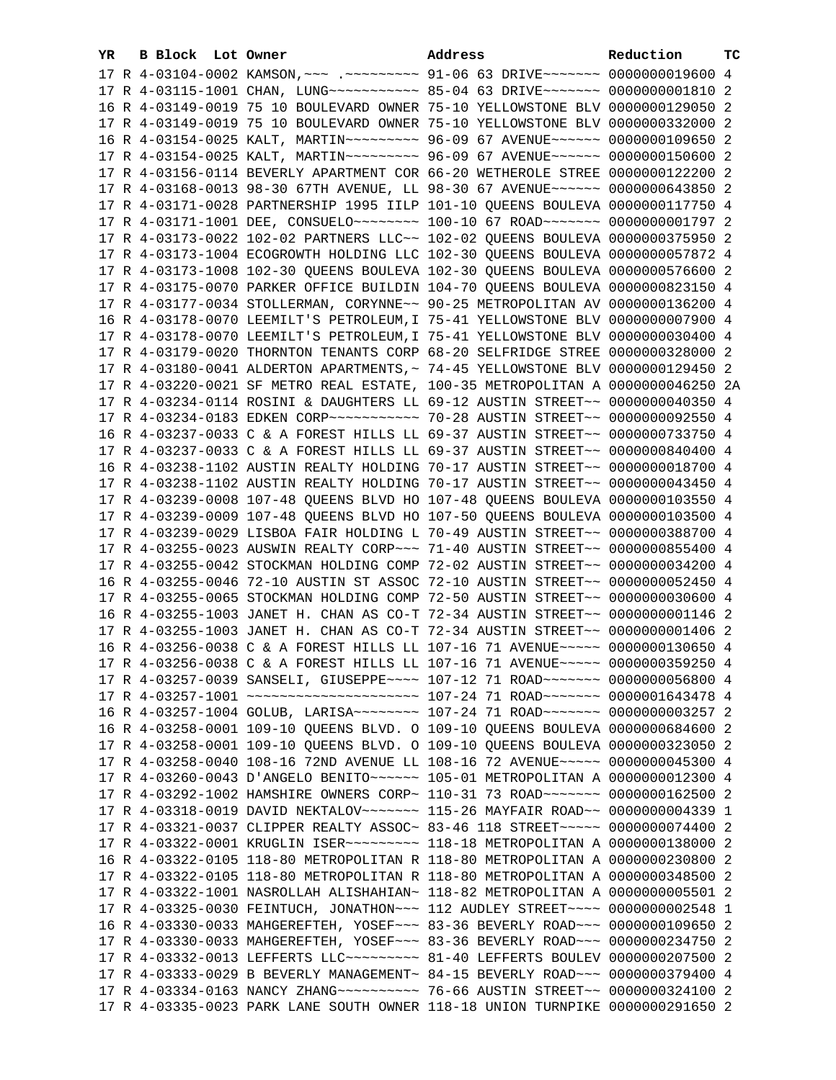| YR. | B Block Lot Owner | Address                                                                                                                                                        | Reduction | тc |
|-----|-------------------|----------------------------------------------------------------------------------------------------------------------------------------------------------------|-----------|----|
|     |                   | 17 R 4-03104-0002 KAMSON, ~~~ .~~~~~~~~~ 91-06 63 DRIVE~~~~~~~ 0000000019600 4                                                                                 |           |    |
|     |                   | 17 R 4-03115-1001 CHAN, LUNG ---------- 85-04 63 DRIVE ------- 0000000001810 2                                                                                 |           |    |
|     |                   | 16 R 4-03149-0019 75 10 BOULEVARD OWNER 75-10 YELLOWSTONE BLV 0000000129050 2                                                                                  |           |    |
|     |                   | 17 R 4-03149-0019 75 10 BOULEVARD OWNER 75-10 YELLOWSTONE BLV 0000000332000 2                                                                                  |           |    |
|     |                   | 16 R 4-03154-0025 KALT, MARTIN~~~~~~~~~ 96-09 67 AVENUE~~~~~~ 0000000109650 2                                                                                  |           |    |
|     |                   | 17 R 4-03154-0025 KALT, MARTIN~~~~~~~~~ 96-09 67 AVENUE~~~~~~ 0000000150600 2                                                                                  |           |    |
|     |                   | 17 R 4-03156-0114 BEVERLY APARTMENT COR 66-20 WETHEROLE STREE 0000000122200 2                                                                                  |           |    |
|     |                   | 17 R 4-03168-0013 98-30 67TH AVENUE, LL 98-30 67 AVENUE~~~~~~ 0000000643850 2                                                                                  |           |    |
|     |                   | 17 R 4-03171-0028 PARTNERSHIP 1995 IILP 101-10 QUEENS BOULEVA 0000000117750 4                                                                                  |           |    |
|     |                   | 17 R 4-03171-1001 DEE, CONSUELO ~~~~~~~~~~~~~~ 100-10 67 ROAD ~~~~~~~~~~~ 00000000001797 2                                                                     |           |    |
|     |                   |                                                                                                                                                                |           |    |
|     |                   | 17 R 4-03173-0022 102-02 PARTNERS LLC~~ 102-02 QUEENS BOULEVA 0000000375950 2                                                                                  |           |    |
|     |                   | 17 R 4-03173-1004 ECOGROWTH HOLDING LLC 102-30 QUEENS BOULEVA 0000000057872 4                                                                                  |           |    |
|     |                   | 17 R 4-03173-1008 102-30 QUEENS BOULEVA 102-30 QUEENS BOULEVA 0000000576600 2                                                                                  |           |    |
|     |                   | 17 R 4-03175-0070 PARKER OFFICE BUILDIN 104-70 QUEENS BOULEVA 0000000823150 4                                                                                  |           |    |
|     |                   | 17 R 4-03177-0034 STOLLERMAN, CORYNNE~~ 90-25 METROPOLITAN AV 0000000136200 4                                                                                  |           |    |
|     |                   | 16 R 4-03178-0070 LEEMILT'S PETROLEUM, I 75-41 YELLOWSTONE BLV 0000000007900 4                                                                                 |           |    |
|     |                   | 17 R 4-03178-0070 LEEMILT'S PETROLEUM, I 75-41 YELLOWSTONE BLV 0000000030400 4                                                                                 |           |    |
|     |                   | 17 R 4-03179-0020 THORNTON TENANTS CORP 68-20 SELFRIDGE STREE 0000000328000 2                                                                                  |           |    |
|     |                   | 17 R 4-03180-0041 ALDERTON APARTMENTS, ~ 74-45 YELLOWSTONE BLV 0000000129450 2                                                                                 |           |    |
|     |                   | 17 R 4-03220-0021 SF METRO REAL ESTATE, 100-35 METROPOLITAN A 0000000046250 2A                                                                                 |           |    |
|     |                   | 17 R 4-03234-0114 ROSINI & DAUGHTERS LL 69-12 AUSTIN STREET~~ 0000000040350 4                                                                                  |           |    |
|     |                   |                                                                                                                                                                |           |    |
|     |                   | 16 R 4-03237-0033 C & A FOREST HILLS LL 69-37 AUSTIN STREET~~ 0000000733750 4                                                                                  |           |    |
|     |                   | 17 R 4-03237-0033 C & A FOREST HILLS LL 69-37 AUSTIN STREET~~ 0000000840400 4                                                                                  |           |    |
|     |                   | 16 R 4-03238-1102 AUSTIN REALTY HOLDING 70-17 AUSTIN STREET~~ 0000000018700 4                                                                                  |           |    |
|     |                   | 17 R 4-03238-1102 AUSTIN REALTY HOLDING 70-17 AUSTIN STREET~~ 0000000043450 4                                                                                  |           |    |
|     |                   | 17 R 4-03239-0008 107-48 QUEENS BLVD HO 107-48 QUEENS BOULEVA 0000000103550 4                                                                                  |           |    |
|     |                   | 17 R 4-03239-0009 107-48 QUEENS BLVD HO 107-50 QUEENS BOULEVA 0000000103500 4                                                                                  |           |    |
|     |                   | 17 R 4-03239-0029 LISBOA FAIR HOLDING L 70-49 AUSTIN STREET~~ 0000000388700 4                                                                                  |           |    |
|     |                   | 17 R 4-03255-0023 AUSWIN REALTY CORP~~~ 71-40 AUSTIN STREET~~ 0000000855400 4                                                                                  |           |    |
|     |                   | 17 R 4-03255-0042 STOCKMAN HOLDING COMP 72-02 AUSTIN STREET~~ 0000000034200 4                                                                                  |           |    |
|     |                   | 16 R 4-03255-0046 72-10 AUSTIN ST ASSOC 72-10 AUSTIN STREET~~ 0000000052450 4                                                                                  |           |    |
|     |                   | 17 R 4-03255-0065 STOCKMAN HOLDING COMP 72-50 AUSTIN STREET~~ 0000000030600 4                                                                                  |           |    |
|     |                   | 16 R 4-03255-1003 JANET H. CHAN AS CO-T 72-34 AUSTIN STREET~~ 00000000001146 2                                                                                 |           |    |
|     |                   | 17 R 4-03255-1003 JANET H. CHAN AS CO-T 72-34 AUSTIN STREET~~ 0000000001406 2                                                                                  |           |    |
|     |                   | 16 R 4-03256-0038 C & A FOREST HILLS LL 107-16 71 AVENUE~~~~~ 0000000130650 4                                                                                  |           |    |
|     |                   | 17 R 4-03256-0038 C & A FOREST HILLS LL 107-16 71 AVENUE~~~~~ 0000000359250 4                                                                                  |           |    |
|     |                   | 17 R 4-03257-0039 SANSELI, GIUSEPPE~~~~ 107-12 71 ROAD~~~~~~~ 0000000056800 4                                                                                  |           |    |
|     |                   | 17 R 4-03257-1001 ~~~~~~~~~~~~~~~~~~~~~~~~ 107-24 71 ROAD~~~~~~~ 0000001643478 4                                                                               |           |    |
|     |                   | 16 R 4-03257-1004 GOLUB, LARISA~~~~~~~~ 107-24 71 ROAD~~~~~~~ 0000000003257 2                                                                                  |           |    |
|     |                   | 16 R 4-03258-0001 109-10 QUEENS BLVD. O 109-10 QUEENS BOULEVA 0000000684600 2                                                                                  |           |    |
|     |                   | 17 R 4-03258-0001 109-10 QUEENS BLVD. O 109-10 QUEENS BOULEVA 0000000323050 2                                                                                  |           |    |
|     |                   | 17 R 4-03258-0040 108-16 72ND AVENUE LL 108-16 72 AVENUE~~~~~ 0000000045300 4                                                                                  |           |    |
|     |                   | 17 R 4-03260-0043 D'ANGELO BENITO~~~~~~ 105-01 METROPOLITAN A 0000000012300 4                                                                                  |           |    |
|     |                   | 17 R 4-03292-1002 HAMSHIRE OWNERS CORP~ 110-31 73 ROAD~~~~~~~~ 0000000162500 2                                                                                 |           |    |
|     |                   | 17 R 4-03318-0019 DAVID NEKTALOV~~~~~~~ 115-26 MAYFAIR ROAD~~ 0000000004339 1                                                                                  |           |    |
|     |                   | 17 R 4-03321-0037 CLIPPER REALTY ASSOC~ 83-46 118 STREET~~~~~~ 0000000074400 2                                                                                 |           |    |
|     |                   | 17 R 4-03322-0001 KRUGLIN ISER~~~~~~~~~~~~~~ 118-18 METROPOLITAN A 0000000138000 2                                                                             |           |    |
|     |                   | 16 R 4-03322-0105 118-80 METROPOLITAN R 118-80 METROPOLITAN A 0000000230800 2                                                                                  |           |    |
|     |                   |                                                                                                                                                                |           |    |
|     |                   | 17 R 4-03322-0105 118-80 METROPOLITAN R 118-80 METROPOLITAN A 0000000348500 2<br>17 R 4-03322-1001 NASROLLAH ALISHAHIAN~ 118-82 METROPOLITAN A 0000000005501 2 |           |    |
|     |                   |                                                                                                                                                                |           |    |
|     |                   | 17 R 4-03325-0030 FEINTUCH, JONATHON~~~ 112 AUDLEY STREET~~~~ 0000000002548 1                                                                                  |           |    |
|     |                   | 16 R 4-03330-0033 MAHGEREFTEH, YOSEF~~~ 83-36 BEVERLY ROAD~~~ 0000000109650 2                                                                                  |           |    |
|     |                   | 17 R 4-03330-0033 MAHGEREFTEH, YOSEF~~~ 83-36 BEVERLY ROAD~~~ 0000000234750 2                                                                                  |           |    |
|     |                   | 17 R 4-03332-0013 LEFFERTS LLC --------- 81-40 LEFFERTS BOULEV 0000000207500 2                                                                                 |           |    |
|     |                   | 17 R 4-03333-0029 B BEVERLY MANAGEMENT~ 84-15 BEVERLY ROAD~~~ 0000000379400 4                                                                                  |           |    |
|     |                   | 17 R 4-03334-0163 NANCY ZHANG~~~~~~~~~~~~~~~ 76-66 AUSTIN STREET~~ 0000000324100 2                                                                             |           |    |
|     |                   | 17 R 4-03335-0023 PARK LANE SOUTH OWNER 118-18 UNION TURNPIKE 0000000291650 2                                                                                  |           |    |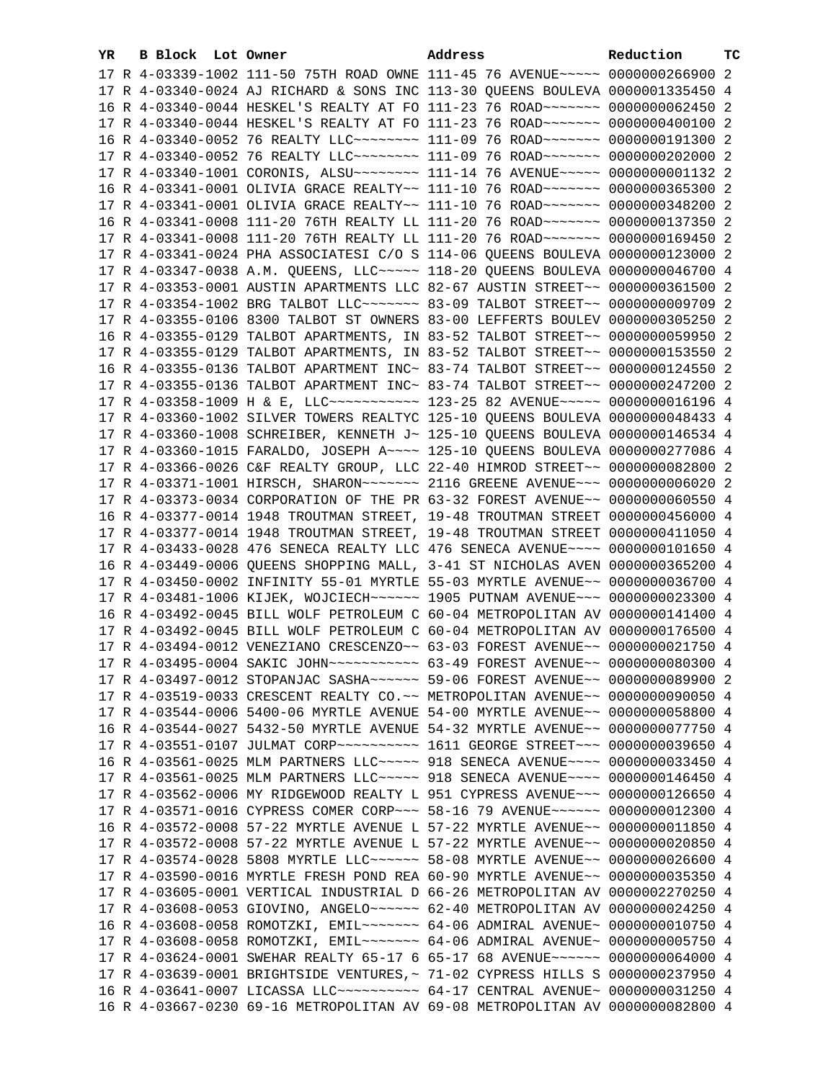| YR. | B Block Lot Owner |                                                                                                                                                                | Address | Reduction | ТC |
|-----|-------------------|----------------------------------------------------------------------------------------------------------------------------------------------------------------|---------|-----------|----|
|     |                   | 17 R 4-03339-1002 111-50 75TH ROAD OWNE 111-45 76 AVENUE~~~~~ 0000000266900 2                                                                                  |         |           |    |
|     |                   | 17 R 4-03340-0024 AJ RICHARD & SONS INC 113-30 QUEENS BOULEVA 0000001335450 4                                                                                  |         |           |    |
|     |                   | 16 R 4-03340-0044 HESKEL'S REALTY AT FO 111-23 76 ROAD~~~~~~~ 0000000062450 2                                                                                  |         |           |    |
|     |                   | 17 R 4-03340-0044 HESKEL'S REALTY AT FO 111-23 76 ROAD~~~~~~~ 0000000400100 2                                                                                  |         |           |    |
|     |                   | 16 R 4-03340-0052 76 REALTY LLC~~~~~~~~ 111-09 76 ROAD~~~~~~~ 0000000191300 2                                                                                  |         |           |    |
|     |                   | 17 R 4-03340-0052 76 REALTY LLC -------- 111-09 76 ROAD ------ 0000000202000 2                                                                                 |         |           |    |
|     |                   | 17 R 4-03340-1001 CORONIS, ALSU~~~~~~~~ 111-14 76 AVENUE~~~~~ 00000000001132 2                                                                                 |         |           |    |
|     |                   | 16 R 4-03341-0001 OLIVIA GRACE REALTY~~ 111-10 76 ROAD~~~~~~~ 0000000365300 2                                                                                  |         |           |    |
|     |                   | 17 R 4-03341-0001 OLIVIA GRACE REALTY~~ 111-10 76 ROAD~~~~~~~ 0000000348200 2                                                                                  |         |           |    |
|     |                   | 16 R 4-03341-0008 111-20 76TH REALTY LL 111-20 76 ROAD ~~~~~~~ 0000000137350 2                                                                                 |         |           |    |
|     |                   | 17 R 4-03341-0008 111-20 76TH REALTY LL 111-20 76 ROAD ~~~~~~~ 0000000169450 2                                                                                 |         |           |    |
|     |                   | 17 R 4-03341-0024 PHA ASSOCIATESI C/O S 114-06 QUEENS BOULEVA 0000000123000 2                                                                                  |         |           |    |
|     |                   | 17 R 4-03347-0038 A.M. QUEENS, LLC~~~~~ 118-20 QUEENS BOULEVA 0000000046700 4                                                                                  |         |           |    |
|     |                   | 17 R 4-03353-0001 AUSTIN APARTMENTS LLC 82-67 AUSTIN STREET~~ 0000000361500 2                                                                                  |         |           |    |
|     |                   | 17 R 4-03354-1002 BRG TALBOT LLC~~~~~~~ 83-09 TALBOT STREET~~ 0000000009709 2                                                                                  |         |           |    |
|     |                   | 17 R 4-03355-0106 8300 TALBOT ST OWNERS 83-00 LEFFERTS BOULEV 0000000305250 2                                                                                  |         |           |    |
|     |                   | 16 R 4-03355-0129 TALBOT APARTMENTS, IN 83-52 TALBOT STREET~~ 0000000059950 2                                                                                  |         |           |    |
|     |                   | 17 R 4-03355-0129 TALBOT APARTMENTS, IN 83-52 TALBOT STREET~~ 0000000153550 2                                                                                  |         |           |    |
|     |                   | 16 R 4-03355-0136 TALBOT APARTMENT INC~ 83-74 TALBOT STREET~~ 0000000124550 2                                                                                  |         |           |    |
|     |                   | 17 R 4-03355-0136 TALBOT APARTMENT INC~ 83-74 TALBOT STREET~~ 0000000247200 2                                                                                  |         |           |    |
|     |                   | 17 R 4-03358-1009 H & E, LLC ----------- 123-25 82 AVENUE ---- 0000000016196 4                                                                                 |         |           |    |
|     |                   | 17 R 4-03360-1002 SILVER TOWERS REALTYC 125-10 QUEENS BOULEVA 0000000048433 4                                                                                  |         |           |    |
|     |                   | 17 R 4-03360-1008 SCHREIBER, KENNETH J~ 125-10 QUEENS BOULEVA 0000000146534 4                                                                                  |         |           |    |
|     |                   | 17 R 4-03360-1015 FARALDO, JOSEPH A~~~~ 125-10 QUEENS BOULEVA 0000000277086 4                                                                                  |         |           |    |
|     |                   | 17 R 4-03366-0026 C&F REALTY GROUP, LLC 22-40 HIMROD STREET~~ 0000000082800 2                                                                                  |         |           |    |
|     |                   | 17 R 4-03371-1001 HIRSCH, SHARON~~~~~~~ 2116 GREENE AVENUE~~~ 0000000006020 2                                                                                  |         |           |    |
|     |                   | 17 R 4-03373-0034 CORPORATION OF THE PR 63-32 FOREST AVENUE~~ 0000000060550 4                                                                                  |         |           |    |
|     |                   | 16 R 4-03377-0014 1948 TROUTMAN STREET, 19-48 TROUTMAN STREET 0000000456000 4                                                                                  |         |           |    |
|     |                   | 17 R 4-03377-0014 1948 TROUTMAN STREET, 19-48 TROUTMAN STREET 0000000411050 4                                                                                  |         |           |    |
|     |                   | 17 R 4-03433-0028 476 SENECA REALTY LLC 476 SENECA AVENUE~~~~ 0000000101650 4                                                                                  |         |           |    |
|     |                   | 16 R 4-03449-0006 QUEENS SHOPPING MALL, 3-41 ST NICHOLAS AVEN 0000000365200 4                                                                                  |         |           |    |
|     |                   | 17 R 4-03450-0002 INFINITY 55-01 MYRTLE 55-03 MYRTLE AVENUE~~ 0000000036700 4                                                                                  |         |           |    |
|     |                   | 17 R 4-03481-1006 KIJEK, WOJCIECH~~~~~~ 1905 PUTNAM AVENUE~~~ 0000000023300 4                                                                                  |         |           |    |
|     |                   | 16 R 4-03492-0045 BILL WOLF PETROLEUM C 60-04 METROPOLITAN AV 0000000141400 4                                                                                  |         |           |    |
|     |                   | 17 R 4-03492-0045 BILL WOLF PETROLEUM C 60-04 METROPOLITAN AV 0000000176500 4                                                                                  |         |           |    |
|     |                   | 17 R 4-03494-0012 VENEZIANO CRESCENZO~~ 63-03 FOREST AVENUE~~ 0000000021750 4                                                                                  |         |           |    |
|     |                   | 17 R 4-03495-0004 SAKIC JOHN~~~~~~~~~~~ 63-49 FOREST AVENUE~~ 0000000080300 4                                                                                  |         |           |    |
|     |                   | 17 R 4-03497-0012 STOPANJAC SASHA~~~~~~ 59-06 FOREST AVENUE~~ 0000000089900 2                                                                                  |         |           |    |
|     |                   | 17 R 4-03519-0033 CRESCENT REALTY CO. ~~ METROPOLITAN AVENUE~~ 0000000090050 4                                                                                 |         |           |    |
|     |                   | 17 R 4-03544-0006 5400-06 MYRTLE AVENUE 54-00 MYRTLE AVENUE~~ 0000000058800 4                                                                                  |         |           |    |
|     |                   | 16 R 4-03544-0027 5432-50 MYRTLE AVENUE 54-32 MYRTLE AVENUE~~ 0000000077750 4                                                                                  |         |           |    |
|     |                   | 17 R 4-03551-0107 JULMAT CORP~~~~~~~~~~~~~~~ 1611 GEORGE STREET~~~~ 0000000039650 4                                                                            |         |           |    |
|     |                   | 16 R 4-03561-0025 MLM PARTNERS LLC ---- 918 SENECA AVENUE --- 0000000033450 4                                                                                  |         |           |    |
|     |                   | 17 R 4-03561-0025 MLM PARTNERS LLC ---- 918 SENECA AVENUE --- 0000000146450 4                                                                                  |         |           |    |
|     |                   | 17 R 4-03562-0006 MY RIDGEWOOD REALTY L 951 CYPRESS AVENUE~~~ 0000000126650 4                                                                                  |         |           |    |
|     |                   | 17 R 4-03571-0016 CYPRESS COMER CORP~~~ 58-16 79 AVENUE~~~~~~ 0000000012300 4<br>16 R 4-03572-0008 57-22 MYRTLE AVENUE L 57-22 MYRTLE AVENUE~~ 0000000011850 4 |         |           |    |
|     |                   | 17 R 4-03572-0008 57-22 MYRTLE AVENUE L 57-22 MYRTLE AVENUE~~ 0000000020850 4                                                                                  |         |           |    |
|     |                   | 17 R 4-03574-0028 5808 MYRTLE LLC ----- 58-08 MYRTLE AVENUE -- 0000000026600 4                                                                                 |         |           |    |
|     |                   | 17 R 4-03590-0016 MYRTLE FRESH POND REA 60-90 MYRTLE AVENUE~~ 0000000035350 4                                                                                  |         |           |    |
|     |                   | 17 R 4-03605-0001 VERTICAL INDUSTRIAL D 66-26 METROPOLITAN AV 0000002270250 4                                                                                  |         |           |    |
|     |                   | 17 R 4-03608-0053 GIOVINO, ANGELO~~~~~~~ 62-40 METROPOLITAN AV 0000000024250 4                                                                                 |         |           |    |
|     |                   | 16 R 4-03608-0058 ROMOTZKI, EMIL~~~~~~~ 64-06 ADMIRAL AVENUE~ 0000000010750 4                                                                                  |         |           |    |
|     |                   | 17 R 4-03608-0058 ROMOTZKI, EMIL~~~~~~~ 64-06 ADMIRAL AVENUE~ 0000000005750 4                                                                                  |         |           |    |
|     |                   | 17 R 4-03624-0001 SWEHAR REALTY 65-17 6 65-17 68 AVENUE~~~~~~ 0000000064000 4                                                                                  |         |           |    |
|     |                   | 17 R 4-03639-0001 BRIGHTSIDE VENTURES, ~ 71-02 CYPRESS HILLS S 0000000237950 4                                                                                 |         |           |    |
|     |                   | 16 R 4-03641-0007 LICASSA LLC~~~~~~~~~~~~~~ 64-17 CENTRAL AVENUE~ 0000000031250 4                                                                              |         |           |    |
|     |                   | 16 R 4-03667-0230 69-16 METROPOLITAN AV 69-08 METROPOLITAN AV 0000000082800 4                                                                                  |         |           |    |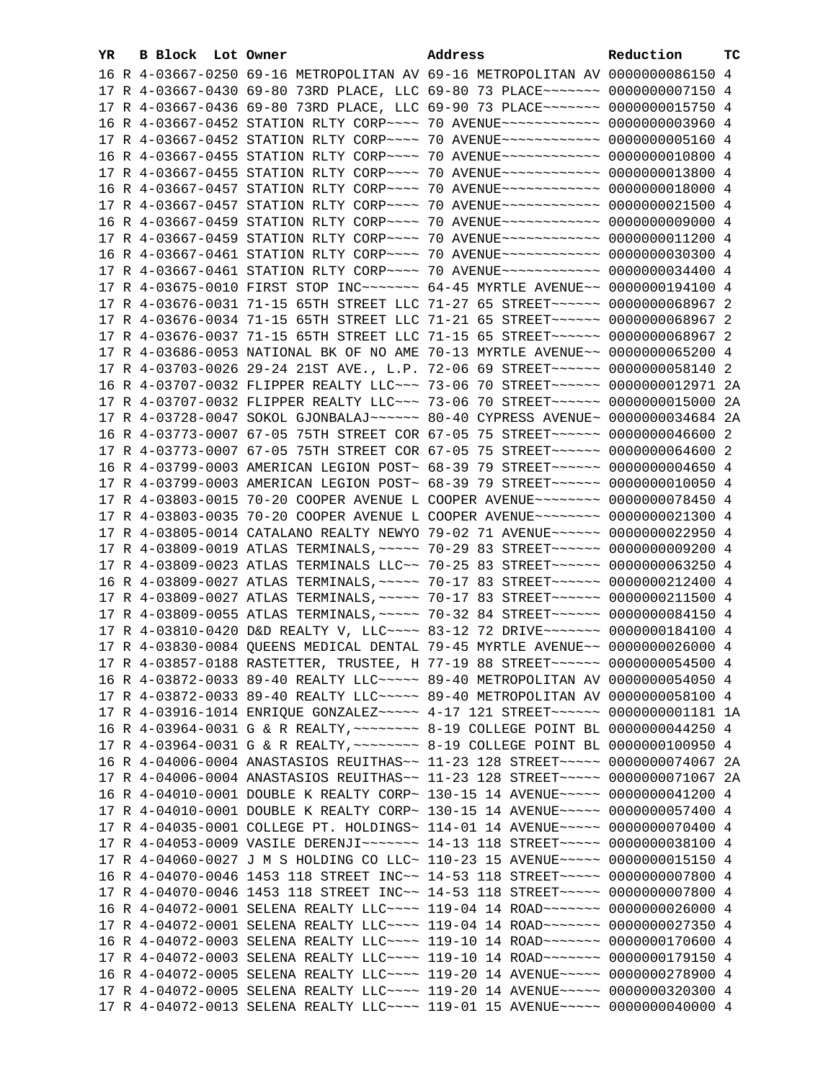| YR. | B Block Lot Owner | Address                                                                          | Reduction | ТC |
|-----|-------------------|----------------------------------------------------------------------------------|-----------|----|
|     |                   | 16 R 4-03667-0250 69-16 METROPOLITAN AV 69-16 METROPOLITAN AV 0000000086150 4    |           |    |
|     |                   | 17 R 4-03667-0430 69-80 73RD PLACE, LLC 69-80 73 PLACE~~~~~~~ 0000000007150 4    |           |    |
|     |                   | 17 R 4-03667-0436 69-80 73RD PLACE, LLC 69-90 73 PLACE~~~~~~~ 0000000015750 4    |           |    |
|     |                   | 16 R 4-03667-0452 STATION RLTY CORP~~~~ 70 AVENUE~~~~~~~~~~~~ 00000000003960 4   |           |    |
|     |                   | 17 R 4-03667-0452 STATION RLTY CORP~~~~ 70 AVENUE~~~~~~~~~~~~ 00000000005160 4   |           |    |
|     |                   | 16 R 4-03667-0455 STATION RLTY CORP~~~~ 70 AVENUE~~~~~~~~~~~~ 0000000010800 4    |           |    |
|     |                   | 17 R 4-03667-0455 STATION RLTY CORP~~~~ 70 AVENUE~~~~~~~~~~~~ 0000000013800 4    |           |    |
|     |                   | 16 R 4-03667-0457 STATION RLTY CORP~~~~ 70 AVENUE~~~~~~~~~~~~ 0000000018000 4    |           |    |
|     |                   | 17 R 4-03667-0457 STATION RLTY CORP~~~~ 70 AVENUE~~~~~~~~~~~~ 0000000021500 4    |           |    |
|     |                   | 16 R 4-03667-0459 STATION RLTY CORP~~~~ 70 AVENUE~~~~~~~~~~~~ 0000000000000 4    |           |    |
|     |                   | 17 R 4-03667-0459 STATION RLTY CORP~~~~ 70 AVENUE~~~~~~~~~~~~ 0000000011200 4    |           |    |
|     |                   | 16 R 4-03667-0461 STATION RLTY CORP~~~~ 70 AVENUE~~~~~~~~~~~~ 0000000030300 4    |           |    |
|     |                   | 17 R 4-03667-0461 STATION RLTY CORP~~~~ 70 AVENUE~~~~~~~~~~~~ 0000000034400 4    |           |    |
|     |                   | 17 R 4-03675-0010 FIRST STOP INC~~~~~~~~ 64-45 MYRTLE AVENUE~~ 0000000194100 4   |           |    |
|     |                   | 17 R 4-03676-0031 71-15 65TH STREET LLC 71-27 65 STREET~~~~~~ 0000000068967 2    |           |    |
|     |                   | 17 R 4-03676-0034 71-15 65TH STREET LLC 71-21 65 STREET ~~~~~~ 0000000068967 2   |           |    |
|     |                   | 17 R 4-03676-0037 71-15 65TH STREET LLC 71-15 65 STREET~~~~~~~ 0000000068967 2   |           |    |
|     |                   | 17 R 4-03686-0053 NATIONAL BK OF NO AME 70-13 MYRTLE AVENUE~~ 0000000065200 4    |           |    |
|     |                   | 17 R 4-03703-0026 29-24 21ST AVE., L.P. 72-06 69 STREET~~~~~~ 0000000058140 2    |           |    |
|     |                   | 16 R 4-03707-0032 FLIPPER REALTY LLC~~~ 73-06 70 STREET~~~~~~ 0000000012971 2A   |           |    |
|     |                   | 17 R 4-03707-0032 FLIPPER REALTY LLC ~~~ 73-06 70 STREET ~~~~~~ 0000000015000 2A |           |    |
|     |                   | 17 R 4-03728-0047 SOKOL GJONBALAJ~~~~~~ 80-40 CYPRESS AVENUE~ 0000000034684 2A   |           |    |
|     |                   | 16 R 4-03773-0007 67-05 75TH STREET COR 67-05 75 STREET~~~~~~ 0000000046600 2    |           |    |
|     |                   | 17 R 4-03773-0007 67-05 75TH STREET COR 67-05 75 STREET ~~~~~~ 0000000064600 2   |           |    |
|     |                   | 16 R 4-03799-0003 AMERICAN LEGION POST~ 68-39 79 STREET~~~~~~~ 0000000004650 4   |           |    |
|     |                   | 17 R 4-03799-0003 AMERICAN LEGION POST~ 68-39 79 STREET~~~~~~ 0000000010050 4    |           |    |
|     |                   | 17 R 4-03803-0015 70-20 COOPER AVENUE L COOPER AVENUE~~~~~~~~ 0000000078450 4    |           |    |
|     |                   | 17 R 4-03803-0035 70-20 COOPER AVENUE L COOPER AVENUE~~~~~~~~ 0000000021300 4    |           |    |
|     |                   | 17 R 4-03805-0014 CATALANO REALTY NEWYO 79-02 71 AVENUE~~~~~~ 0000000022950 4    |           |    |
|     |                   | 17 R 4-03809-0019 ATLAS TERMINALS, ~~~~~ 70-29 83 STREET~~~~~~ 0000000009200 4   |           |    |
|     |                   | 17 R 4-03809-0023 ATLAS TERMINALS LLC~~ 70-25 83 STREET~~~~~~ 0000000063250 4    |           |    |
|     |                   | 16 R 4-03809-0027 ATLAS TERMINALS, ~~~~~ 70-17 83 STREET~~~~~~ 0000000212400 4   |           |    |
|     |                   | 17 R 4-03809-0027 ATLAS TERMINALS, ~~~~~ 70-17 83 STREET~~~~~~ 0000000211500 4   |           |    |
|     |                   | 17 R 4-03809-0055 ATLAS TERMINALS, ~~~~~ 70-32 84 STREET~~~~~~ 0000000084150 4   |           |    |
|     |                   | 17 R 4-03810-0420 D&D REALTY V, LLC --- 83-12 72 DRIVE ------ 0000000184100 4    |           |    |
|     |                   | 17 R 4-03830-0084 QUEENS MEDICAL DENTAL 79-45 MYRTLE AVENUE~~ 0000000026000 4    |           |    |
|     |                   | 17 R 4-03857-0188 RASTETTER, TRUSTEE, H 77-19 88 STREET~~~~~~~ 0000000054500 4   |           |    |
|     |                   | 16 R 4-03872-0033 89-40 REALTY LLC ---- 89-40 METROPOLITAN AV 0000000054050 4    |           |    |
|     |                   | 17 R 4-03872-0033 89-40 REALTY LLC ---- 89-40 METROPOLITAN AV 0000000058100 4    |           |    |
|     |                   | 17 R 4-03916-1014 ENRIQUE GONZALEZ~~~~~ 4-17 121 STREET~~~~~~ 0000000001181 1A   |           |    |
|     |                   | 16 R 4-03964-0031 G & R REALTY, ~~~~~~~~ 8-19 COLLEGE POINT BL 0000000044250 4   |           |    |
|     |                   | 17 R 4-03964-0031 G & R REALTY, ~~~~~~~~ 8-19 COLLEGE POINT BL 0000000100950 4   |           |    |
|     |                   | 16 R 4-04006-0004 ANASTASIOS REUITHAS~~ 11-23 128 STREET~~~~~ 0000000074067 2A   |           |    |
|     |                   | 17 R 4-04006-0004 ANASTASIOS REUITHAS~~ 11-23 128 STREET~~~~~ 0000000071067 2A   |           |    |
|     |                   | 16 R 4-04010-0001 DOUBLE K REALTY CORP~ 130-15 14 AVENUE~~~~~ 0000000041200 4    |           |    |
|     |                   | 17 R 4-04010-0001 DOUBLE K REALTY CORP~ 130-15 14 AVENUE~~~~~ 0000000057400 4    |           |    |
|     |                   | 17 R 4-04035-0001 COLLEGE PT. HOLDINGS~ 114-01 14 AVENUE~~~~~ 0000000070400 4    |           |    |
|     |                   | 17 R 4-04053-0009 VASILE DERENJI~~~~~~~ 14-13 118 STREET~~~~~ 0000000038100 4    |           |    |
|     |                   | 17 R 4-04060-0027 J M S HOLDING CO LLC~ 110-23 15 AVENUE~~~~~ 0000000015150 4    |           |    |
|     |                   | 16 R 4-04070-0046 1453 118 STREET INC~~ 14-53 118 STREET~~~~~~ 0000000007800 4   |           |    |
|     |                   | 17 R 4-04070-0046 1453 118 STREET INC~~ 14-53 118 STREET~~~~~ 0000000007800 4    |           |    |
|     |                   | 16 R 4-04072-0001 SELENA REALTY LLC --- 119-04 14 ROAD ------ 0000000026000 4    |           |    |
|     |                   | 17 R 4-04072-0001 SELENA REALTY LLC~~~~ 119-04 14 ROAD~~~~~~~ 0000000027350 4    |           |    |
|     |                   | 16 R 4-04072-0003 SELENA REALTY LLC~~~~ 119-10 14 ROAD~~~~~~~ 0000000170600 4    |           |    |
|     |                   | 17 R 4-04072-0003 SELENA REALTY LLC~~~~ 119-10 14 ROAD~~~~~~~ 0000000179150 4    |           |    |
|     |                   | 16 R 4-04072-0005 SELENA REALTY LLC~~~~ 119-20 14 AVENUE~~~~~ 0000000278900 4    |           |    |
|     |                   | 17 R 4-04072-0005 SELENA REALTY LLC~~~~ 119-20 14 AVENUE~~~~~ 0000000320300 4    |           |    |
|     |                   | 17 R 4-04072-0013 SELENA REALTY LLC~~~~ 119-01 15 AVENUE~~~~~ 0000000040000 4    |           |    |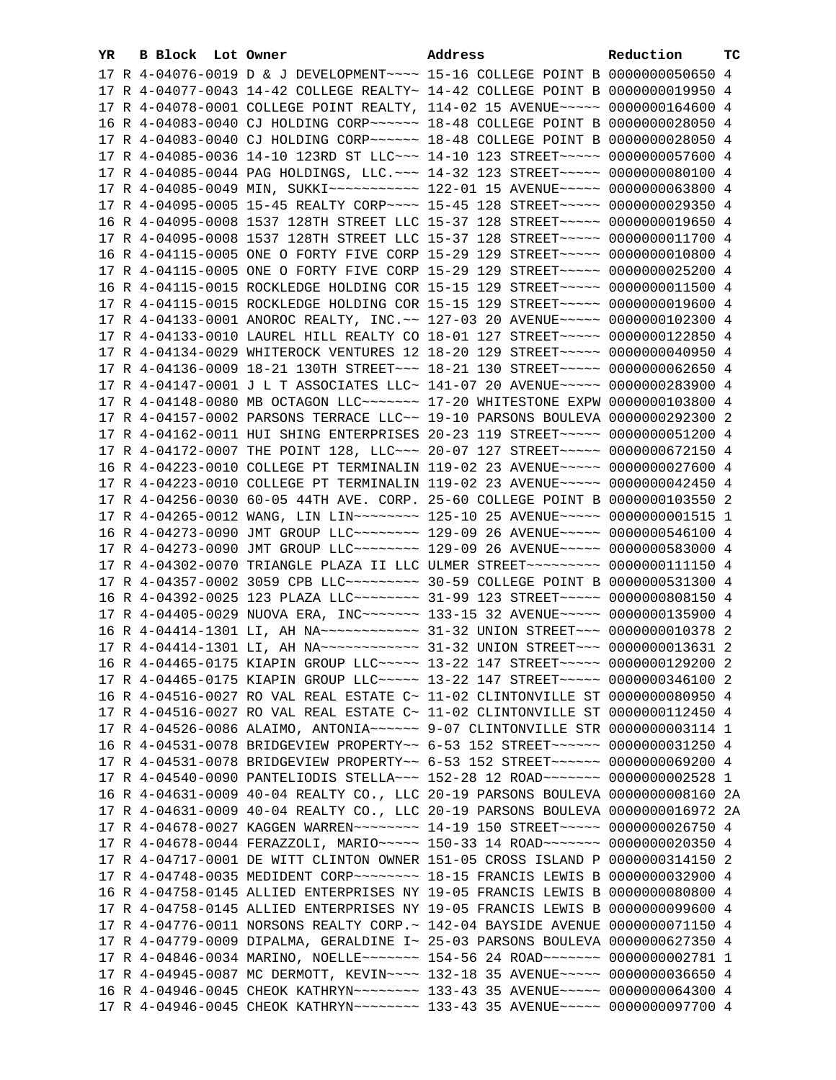| YR. | B Block Lot Owner | Address                                                                                                                                                        | Reduction | тc |
|-----|-------------------|----------------------------------------------------------------------------------------------------------------------------------------------------------------|-----------|----|
|     |                   | 17 R 4-04076-0019 D & J DEVELOPMENT~~~~ 15-16 COLLEGE POINT B 0000000050650 4                                                                                  |           |    |
|     |                   | 17 R 4-04077-0043 14-42 COLLEGE REALTY~ 14-42 COLLEGE POINT B 0000000019950 4                                                                                  |           |    |
|     |                   | 17 R 4-04078-0001 COLLEGE POINT REALTY, 114-02 15 AVENUE~~~~~ 0000000164600 4                                                                                  |           |    |
|     |                   | 16 R 4-04083-0040 CJ HOLDING CORP~~~~~~ 18-48 COLLEGE POINT B 0000000028050 4                                                                                  |           |    |
|     |                   | 17 R 4-04083-0040 CJ HOLDING CORP~~~~~~ 18-48 COLLEGE POINT B 0000000028050 4                                                                                  |           |    |
|     |                   | 17 R 4-04085-0036 14-10 123RD ST LLC~~~ 14-10 123 STREET~~~~~ 0000000057600 4                                                                                  |           |    |
|     |                   | 17 R 4-04085-0044 PAG HOLDINGS, LLC. ~~~ 14-32 123 STREET~~~~~ 0000000080100 4                                                                                 |           |    |
|     |                   |                                                                                                                                                                |           |    |
|     |                   | 17 R 4-04095-0005 15-45 REALTY CORP~~~~ 15-45 128 STREET~~~~~ 0000000029350 4                                                                                  |           |    |
|     |                   | 16 R 4-04095-0008 1537 128TH STREET LLC 15-37 128 STREET~~~~~ 0000000019650 4                                                                                  |           |    |
|     |                   | 17 R 4-04095-0008 1537 128TH STREET LLC 15-37 128 STREET~~~~~ 0000000011700 4                                                                                  |           |    |
|     |                   | 16 R 4-04115-0005 ONE O FORTY FIVE CORP 15-29 129 STREET~~~~~ 0000000010800 4                                                                                  |           |    |
|     |                   | 17 R 4-04115-0005 ONE O FORTY FIVE CORP 15-29 129 STREET~~~~~ 0000000025200 4                                                                                  |           |    |
|     |                   | 16 R 4-04115-0015 ROCKLEDGE HOLDING COR 15-15 129 STREET~~~~~ 0000000011500 4                                                                                  |           |    |
|     |                   | 17 R 4-04115-0015 ROCKLEDGE HOLDING COR 15-15 129 STREET~~~~~ 0000000019600 4                                                                                  |           |    |
|     |                   |                                                                                                                                                                |           |    |
|     |                   | 17 R 4-04133-0001 ANOROC REALTY, INC. ~~ 127-03 20 AVENUE~~~~~ 0000000102300 4                                                                                 |           |    |
|     |                   | 17 R 4-04133-0010 LAUREL HILL REALTY CO 18-01 127 STREET~~~~~ 0000000122850 4                                                                                  |           |    |
|     |                   | 17 R 4-04134-0029 WHITEROCK VENTURES 12 18-20 129 STREET~~~~~ 0000000040950 4                                                                                  |           |    |
|     |                   | 17 R 4-04136-0009 18-21 130TH STREET~~~ 18-21 130 STREET~~~~~ 0000000062650 4                                                                                  |           |    |
|     |                   | 17 R 4-04147-0001 J L T ASSOCIATES LLC~ 141-07 20 AVENUE~~~~~ 0000000283900 4                                                                                  |           |    |
|     |                   | 17 R 4-04148-0080 MB OCTAGON LLC ------- 17-20 WHITESTONE EXPW 0000000103800 4                                                                                 |           |    |
|     |                   | 17 R 4-04157-0002 PARSONS TERRACE LLC~~ 19-10 PARSONS BOULEVA 0000000292300 2                                                                                  |           |    |
|     |                   | 17 R 4-04162-0011 HUI SHING ENTERPRISES 20-23 119 STREET~~~~~ 0000000051200 4                                                                                  |           |    |
|     |                   | 17 R 4-04172-0007 THE POINT 128, LLC ~~~ 20-07 127 STREET ~~~~~ 0000000672150 4                                                                                |           |    |
|     |                   | 16 R 4-04223-0010 COLLEGE PT TERMINALIN 119-02 23 AVENUE~~~~~ 0000000027600 4<br>17 R 4-04223-0010 COLLEGE PT TERMINALIN 119-02 23 AVENUE~~~~~ 0000000042450 4 |           |    |
|     |                   | 17 R 4-04256-0030 60-05 44TH AVE. CORP. 25-60 COLLEGE POINT B 0000000103550 2                                                                                  |           |    |
|     |                   | 17 R 4-04265-0012 WANG, LIN LIN~~~~~~~~ 125-10 25 AVENUE~~~~~ 00000000001515 1                                                                                 |           |    |
|     |                   | 16 R 4-04273-0090 JMT GROUP LLC ------- 129-09 26 AVENUE ---- 0000000546100 4                                                                                  |           |    |
|     |                   | 17 R 4-04273-0090 JMT GROUP LLC -------- 129-09 26 AVENUE ---- 0000000583000 4                                                                                 |           |    |
|     |                   | 17 R 4-04302-0070 TRIANGLE PLAZA II LLC ULMER STREET~~~~~~~~~ 0000000111150 4                                                                                  |           |    |
|     |                   | 17 R 4-04357-0002 3059 CPB LLC -------- 30-59 COLLEGE POINT B 0000000531300 4                                                                                  |           |    |
|     |                   | 16 R 4-04392-0025 123 PLAZA LLC -------- 31-99 123 STREET ----- 0000000808150 4                                                                                |           |    |
|     |                   | 17 R 4-04405-0029 NUOVA ERA, INC~~~~~~~ 133-15 32 AVENUE~~~~~ 0000000135900 4                                                                                  |           |    |
|     |                   | 16 R 4-04414-1301 LI, AH NA ------------ 31-32 UNION STREET --- 0000000010378 2                                                                                |           |    |
|     |                   | 17 R 4-04414-1301 LI, AH NA ------------- 31-32 UNION STREET -- 0000000013631 2                                                                                |           |    |
|     |                   | 16 R 4-04465-0175 KIAPIN GROUP LLC ---- 13-22 147 STREET ---- 0000000129200 2                                                                                  |           |    |
|     |                   | 17 R 4-04465-0175 KIAPIN GROUP LLC~~~~~ 13-22 147 STREET~~~~~ 0000000346100 2                                                                                  |           |    |
|     |                   | 16 R 4-04516-0027 RO VAL REAL ESTATE C~ 11-02 CLINTONVILLE ST 0000000080950 4                                                                                  |           |    |
|     |                   | 17 R 4-04516-0027 RO VAL REAL ESTATE C~ 11-02 CLINTONVILLE ST 0000000112450 4                                                                                  |           |    |
|     |                   | 17 R 4-04526-0086 ALAIMO, ANTONIA~~~~~~ 9-07 CLINTONVILLE STR 0000000003114 1                                                                                  |           |    |
|     |                   | 16 R 4-04531-0078 BRIDGEVIEW PROPERTY~~ 6-53 152 STREET~~~~~~ 0000000031250 4                                                                                  |           |    |
|     |                   | 17 R 4-04531-0078 BRIDGEVIEW PROPERTY~~ 6-53 152 STREET~~~~~~ 0000000069200 4                                                                                  |           |    |
|     |                   | 17 R 4-04540-0090 PANTELIODIS STELLA~~~ 152-28 12 ROAD~~~~~~~ 0000000002528 1                                                                                  |           |    |
|     |                   | 16 R 4-04631-0009 40-04 REALTY CO., LLC 20-19 PARSONS BOULEVA 0000000008160 2A                                                                                 |           |    |
|     |                   | 17 R 4-04631-0009 40-04 REALTY CO., LLC 20-19 PARSONS BOULEVA 0000000016972 2A                                                                                 |           |    |
|     |                   | 17 R 4-04678-0027 KAGGEN WARREN~~~~~~~~ 14-19 150 STREET~~~~~ 0000000026750 4                                                                                  |           |    |
|     |                   | 17 R 4-04678-0044 FERAZZOLI, MARIO~~~~~ 150-33 14 ROAD~~~~~~~ 0000000020350 4                                                                                  |           |    |
|     |                   | 17 R 4-04717-0001 DE WITT CLINTON OWNER 151-05 CROSS ISLAND P 0000000314150 2                                                                                  |           |    |
|     |                   | 17 R 4-04748-0035 MEDIDENT CORP~~~~~~~~~~~~~ 18-15 FRANCIS LEWIS B 0000000032900 4                                                                             |           |    |
|     |                   | 16 R 4-04758-0145 ALLIED ENTERPRISES NY 19-05 FRANCIS LEWIS B 0000000080800 4                                                                                  |           |    |
|     |                   | 17 R 4-04758-0145 ALLIED ENTERPRISES NY 19-05 FRANCIS LEWIS B 0000000099600 4                                                                                  |           |    |
|     |                   | 17 R 4-04776-0011 NORSONS REALTY CORP.~ 142-04 BAYSIDE AVENUE 0000000071150 4                                                                                  |           |    |
|     |                   | 17 R 4-04779-0009 DIPALMA, GERALDINE I~ 25-03 PARSONS BOULEVA 0000000627350 4                                                                                  |           |    |
|     |                   | 17 R 4-04846-0034 MARINO, NOELLE~~~~~~~~ 154-56 24 ROAD~~~~~~~ 0000000002781 1                                                                                 |           |    |
|     |                   | 17 R 4-04945-0087 MC DERMOTT, KEVIN~~~~ 132-18 35 AVENUE~~~~~ 0000000036650 4                                                                                  |           |    |
|     |                   | 16 R 4-04946-0045 CHEOK KATHRYN~~~~~~~~ 133-43 35 AVENUE~~~~~ 0000000064300 4                                                                                  |           |    |
|     |                   | 17 R 4-04946-0045 CHEOK KATHRYN~~~~~~~~ 133-43 35 AVENUE~~~~~ 0000000097700 4                                                                                  |           |    |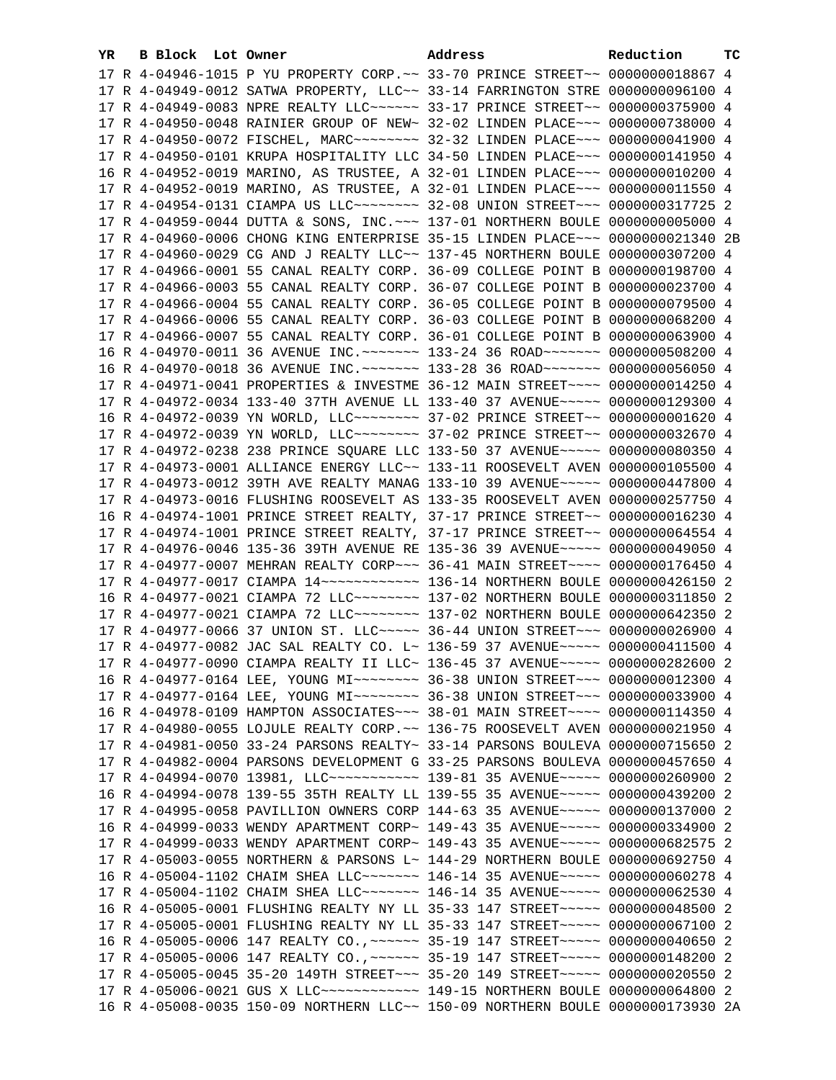| YR. | B Block Lot Owner | Address                                                                                                                                                          | Reduction | тc |
|-----|-------------------|------------------------------------------------------------------------------------------------------------------------------------------------------------------|-----------|----|
|     |                   | 17 R 4-04946-1015 P YU PROPERTY CORP. ~~ 33-70 PRINCE STREET~~ 0000000018867 4                                                                                   |           |    |
|     |                   | 17 R 4-04949-0012 SATWA PROPERTY, LLC~~ 33-14 FARRINGTON STRE 0000000096100 4                                                                                    |           |    |
|     |                   | 17 R 4-04949-0083 NPRE REALTY LLC ----- 33-17 PRINCE STREET -- 0000000375900 4                                                                                   |           |    |
|     |                   | 17 R 4-04950-0048 RAINIER GROUP OF NEW~ 32-02 LINDEN PLACE~~~ 0000000738000 4                                                                                    |           |    |
|     |                   | 17 R 4-04950-0072 FISCHEL, MARC~~~~~~~~~ 32-32 LINDEN PLACE~~~ 0000000041900 4                                                                                   |           |    |
|     |                   | 17 R 4-04950-0101 KRUPA HOSPITALITY LLC 34-50 LINDEN PLACE~~~ 0000000141950 4                                                                                    |           |    |
|     |                   | 16 R 4-04952-0019 MARINO, AS TRUSTEE, A 32-01 LINDEN PLACE~~~ 0000000010200 4                                                                                    |           |    |
|     |                   | 17 R 4-04952-0019 MARINO, AS TRUSTEE, A 32-01 LINDEN PLACE~~~ 0000000011550 4                                                                                    |           |    |
|     |                   |                                                                                                                                                                  |           |    |
|     |                   | 17 R 4-04959-0044 DUTTA & SONS, INC. ~~~ 137-01 NORTHERN BOULE 0000000005000 4                                                                                   |           |    |
|     |                   | 17 R 4-04960-0006 CHONG KING ENTERPRISE 35-15 LINDEN PLACE~~~ 0000000021340 2B                                                                                   |           |    |
|     |                   |                                                                                                                                                                  |           |    |
|     |                   | 17 R 4-04960-0029 CG AND J REALTY LLC~~ 137-45 NORTHERN BOULE 0000000307200 4                                                                                    |           |    |
|     |                   | 17 R 4-04966-0001 55 CANAL REALTY CORP. 36-09 COLLEGE POINT B 0000000198700 4                                                                                    |           |    |
|     |                   | 17 R 4-04966-0003 55 CANAL REALTY CORP. 36-07 COLLEGE POINT B 0000000023700 4                                                                                    |           |    |
|     |                   | 17 R 4-04966-0004 55 CANAL REALTY CORP. 36-05 COLLEGE POINT B 0000000079500 4                                                                                    |           |    |
|     |                   | 17 R 4-04966-0006 55 CANAL REALTY CORP. 36-03 COLLEGE POINT B 0000000068200 4                                                                                    |           |    |
|     |                   | 17 R 4-04966-0007 55 CANAL REALTY CORP. 36-01 COLLEGE POINT B 0000000063900 4                                                                                    |           |    |
|     |                   | 16 R 4-04970-0011 36 AVENUE INC. ~~~~~~~ 133-24 36 ROAD~~~~~~~ 0000000508200 4                                                                                   |           |    |
|     |                   | 16 R 4-04970-0018 36 AVENUE INC. ~~~~~~~ 133-28 36 ROAD~~~~~~~ 0000000056050 4                                                                                   |           |    |
|     |                   | 17 R 4-04971-0041 PROPERTIES & INVESTME 36-12 MAIN STREET~~~~ 0000000014250 4                                                                                    |           |    |
|     |                   | 17 R 4-04972-0034 133-40 37TH AVENUE LL 133-40 37 AVENUE~~~~~ 0000000129300 4                                                                                    |           |    |
|     |                   | 16 R 4-04972-0039 YN WORLD, LLC ------- 37-02 PRINCE STREET -~ 0000000001620 4                                                                                   |           |    |
|     |                   | 17 R 4-04972-0039 YN WORLD, LLC ------- 37-02 PRINCE STREET -~ 0000000032670 4                                                                                   |           |    |
|     |                   | 17 R 4-04972-0238 238 PRINCE SQUARE LLC 133-50 37 AVENUE~~~~~ 0000000080350 4                                                                                    |           |    |
|     |                   | 17 R 4-04973-0001 ALLIANCE ENERGY LLC~~ 133-11 ROOSEVELT AVEN 0000000105500 4                                                                                    |           |    |
|     |                   | 17 R 4-04973-0012 39TH AVE REALTY MANAG 133-10 39 AVENUE~~~~~ 0000000447800 4                                                                                    |           |    |
|     |                   | 17 R 4-04973-0016 FLUSHING ROOSEVELT AS 133-35 ROOSEVELT AVEN 0000000257750 4                                                                                    |           |    |
|     |                   | 16 R 4-04974-1001 PRINCE STREET REALTY, 37-17 PRINCE STREET~~ 0000000016230 4                                                                                    |           |    |
|     |                   | 17 R 4-04974-1001 PRINCE STREET REALTY, 37-17 PRINCE STREET~~ 0000000064554 4                                                                                    |           |    |
|     |                   | 17 R 4-04976-0046 135-36 39TH AVENUE RE 135-36 39 AVENUE~~~~~ 0000000049050 4                                                                                    |           |    |
|     |                   | 17 R 4-04977-0007 MEHRAN REALTY CORP~~~ 36-41 MAIN STREET~~~~ 0000000176450 4                                                                                    |           |    |
|     |                   | 17 R 4-04977-0017 CIAMPA 14 ------------ 136-14 NORTHERN BOULE 0000000426150 2                                                                                   |           |    |
|     |                   | 16 R 4-04977-0021 CIAMPA 72 LLC ------- 137-02 NORTHERN BOULE 0000000311850 2                                                                                    |           |    |
|     |                   | 17 R 4-04977-0021 CIAMPA 72 LLC ------- 137-02 NORTHERN BOULE 0000000642350 2                                                                                    |           |    |
|     |                   | 17 R 4-04977-0066 37 UNION ST. LLC ~~~~~ 36-44 UNION STREET ~~~ 0000000026900 4                                                                                  |           |    |
|     |                   | 17 R 4-04977-0082 JAC SAL REALTY CO. L~ 136-59 37 AVENUE~~~~~ 0000000411500 4                                                                                    |           |    |
|     |                   | 17 R 4-04977-0090 CIAMPA REALTY II LLC~ 136-45 37 AVENUE~~~~~ 0000000282600 2                                                                                    |           |    |
|     |                   | 16 R 4-04977-0164 LEE, YOUNG MI~~~~~~~~ 36-38 UNION STREET~~~ 0000000012300 4                                                                                    |           |    |
|     |                   | 17 R 4-04977-0164 LEE, YOUNG MI~~~~~~~~ 36-38 UNION STREET~~~ 0000000033900 4                                                                                    |           |    |
|     |                   | 16 R 4-04978-0109 HAMPTON ASSOCIATES~~~ 38-01 MAIN STREET~~~~ 0000000114350 4                                                                                    |           |    |
|     |                   | 17 R 4-04980-0055 LOJULE REALTY CORP. ~~ 136-75 ROOSEVELT AVEN 0000000021950 4                                                                                   |           |    |
|     |                   | 17 R 4-04981-0050 33-24 PARSONS REALTY~ 33-14 PARSONS BOULEVA 0000000715650 2                                                                                    |           |    |
|     |                   | 17 R 4-04982-0004 PARSONS DEVELOPMENT G 33-25 PARSONS BOULEVA 0000000457650 4                                                                                    |           |    |
|     |                   | 17 R 4-04994-0070 13981, LLC ------------ 139-81 35 AVENUE ---- 0000000260900 2                                                                                  |           |    |
|     |                   | 16 R 4-04994-0078 139-55 35TH REALTY LL 139-55 35 AVENUE~~~~~ 0000000439200 2                                                                                    |           |    |
|     |                   | 17 R 4-04995-0058 PAVILLION OWNERS CORP 144-63 35 AVENUE~~~~~ 0000000137000 2                                                                                    |           |    |
|     |                   | 16 R 4-04999-0033 WENDY APARTMENT CORP~ 149-43 35 AVENUE~~~~~ 0000000334900 2                                                                                    |           |    |
|     |                   | 17 R 4-04999-0033 WENDY APARTMENT CORP~ 149-43 35 AVENUE~~~~~ 0000000682575 2                                                                                    |           |    |
|     |                   | 17 R 4-05003-0055 NORTHERN & PARSONS L~ 144-29 NORTHERN BOULE 0000000692750 4                                                                                    |           |    |
|     |                   | 16 R 4-05004-1102 CHAIM SHEA LLC~~~~~~~ 146-14 35 AVENUE~~~~~ 0000000060278 4                                                                                    |           |    |
|     |                   | 17 R 4-05004-1102 CHAIM SHEA LLC~~~~~~~ 146-14 35 AVENUE~~~~~ 0000000062530 4                                                                                    |           |    |
|     |                   | 16 R 4-05005-0001 FLUSHING REALTY NY LL 35-33 147 STREET~~~~~ 0000000048500 2                                                                                    |           |    |
|     |                   | 17 R 4-05005-0001 FLUSHING REALTY NY LL 35-33 147 STREET~~~~~ 0000000067100 2                                                                                    |           |    |
|     |                   | 16 R 4-05005-0006 147 REALTY CO., ~~~~~~ 35-19 147 STREET~~~~~ 0000000040650 2                                                                                   |           |    |
|     |                   | 17 R 4-05005-0006 147 REALTY CO., ~~~~~~ 35-19 147 STREET~~~~~ 0000000148200 2                                                                                   |           |    |
|     |                   | 17 R 4-05005-0045 35-20 149TH STREET~~~ 35-20 149 STREET~~~~~ 0000000020550 2<br>17 R 4-05006-0021 GUS X LLC ------------- 149-15 NORTHERN BOULE 0000000064800 2 |           |    |
|     |                   | 16 R 4-05008-0035 150-09 NORTHERN LLC~~ 150-09 NORTHERN BOULE 0000000173930 2A                                                                                   |           |    |
|     |                   |                                                                                                                                                                  |           |    |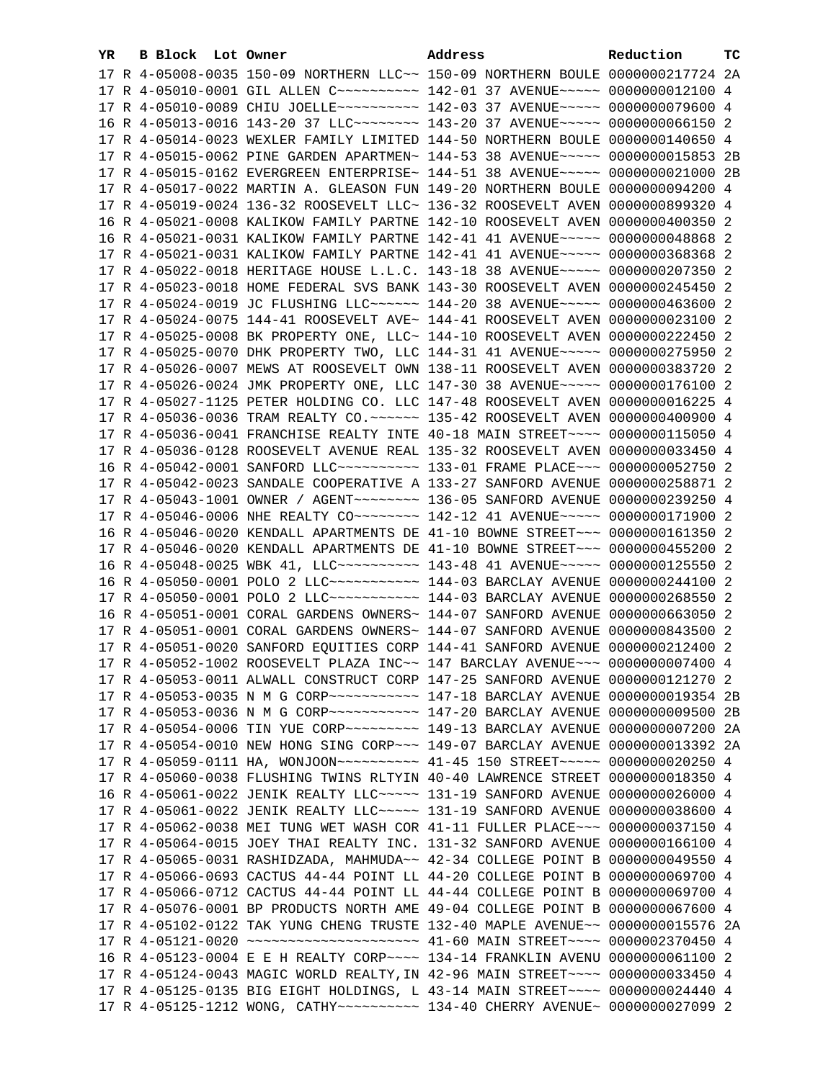| YR. | B Block Lot Owner |                                                                                           | Address | Reduction | тc |
|-----|-------------------|-------------------------------------------------------------------------------------------|---------|-----------|----|
|     |                   | 17 R 4-05008-0035 150-09 NORTHERN LLC~~ 150-09 NORTHERN BOULE 0000000217724 2A            |         |           |    |
|     |                   | 17 R 4-05010-0001 GIL ALLEN C ---------- 142-01 37 AVENUE ---- 0000000012100 4            |         |           |    |
|     |                   | 17 R 4-05010-0089 CHIU JOELLE~~~~~~~~~~~~~~~~ 142-03 37 AVENUE~~~~~~ 0000000079600 4      |         |           |    |
|     |                   | 16 R 4-05013-0016 143-20 37 LLC -------- 143-20 37 AVENUE ---- 0000000066150 2            |         |           |    |
|     |                   | 17 R 4-05014-0023 WEXLER FAMILY LIMITED 144-50 NORTHERN BOULE 0000000140650 4             |         |           |    |
|     |                   | 17 R 4-05015-0062 PINE GARDEN APARTMEN~ 144-53 38 AVENUE~~~~~ 0000000015853 2B            |         |           |    |
|     |                   | 17 R 4-05015-0162 EVERGREEN ENTERPRISE~ 144-51 38 AVENUE~~~~~ 0000000021000 2B            |         |           |    |
|     |                   | 17 R 4-05017-0022 MARTIN A. GLEASON FUN 149-20 NORTHERN BOULE 0000000094200 4             |         |           |    |
|     |                   | 17 R 4-05019-0024 136-32 ROOSEVELT LLC~ 136-32 ROOSEVELT AVEN 0000000899320 4             |         |           |    |
|     |                   | 16 R 4-05021-0008 KALIKOW FAMILY PARTNE 142-10 ROOSEVELT AVEN 0000000400350 2             |         |           |    |
|     |                   | 16 R 4-05021-0031 KALIKOW FAMILY PARTNE 142-41 41 AVENUE~~~~~ 0000000048868 2             |         |           |    |
|     |                   | 17 R 4-05021-0031 KALIKOW FAMILY PARTNE 142-41 41 AVENUE~~~~~ 0000000368368 2             |         |           |    |
|     |                   | 17 R 4-05022-0018 HERITAGE HOUSE L.L.C. 143-18 38 AVENUE~~~~~ 0000000207350 2             |         |           |    |
|     |                   | 17 R 4-05023-0018 HOME FEDERAL SVS BANK 143-30 ROOSEVELT AVEN 0000000245450 2             |         |           |    |
|     |                   | 17 R 4-05024-0019 JC FLUSHING LLC ----- 144-20 38 AVENUE ---- 0000000463600 2             |         |           |    |
|     |                   | 17 R 4-05024-0075 144-41 ROOSEVELT AVE~ 144-41 ROOSEVELT AVEN 0000000023100 2             |         |           |    |
|     |                   | 17 R 4-05025-0008 BK PROPERTY ONE, LLC~ 144-10 ROOSEVELT AVEN 0000000222450 2             |         |           |    |
|     |                   | 17 R 4-05025-0070 DHK PROPERTY TWO, LLC 144-31 41 AVENUE~~~~~ 0000000275950 2             |         |           |    |
|     |                   | 17 R 4-05026-0007 MEWS AT ROOSEVELT OWN 138-11 ROOSEVELT AVEN 0000000383720 2             |         |           |    |
|     |                   | 17 R 4-05026-0024 JMK PROPERTY ONE, LLC 147-30 38 AVENUE~~~~~ 0000000176100 2             |         |           |    |
|     |                   | 17 R 4-05027-1125 PETER HOLDING CO. LLC 147-48 ROOSEVELT AVEN 0000000016225 4             |         |           |    |
|     |                   | 17 R 4-05036-0036 TRAM REALTY CO. ~~~~~~ 135-42 ROOSEVELT AVEN 0000000400900 4            |         |           |    |
|     |                   | 17 R 4-05036-0041 FRANCHISE REALTY INTE 40-18 MAIN STREET~~~~ 0000000115050 4             |         |           |    |
|     |                   | 17 R 4-05036-0128 ROOSEVELT AVENUE REAL 135-32 ROOSEVELT AVEN 0000000033450 4             |         |           |    |
|     |                   | 16 R 4-05042-0001 SANFORD LLC~~~~~~~~~~~~~~ 133-01 FRAME PLACE~~~ 0000000052750 2         |         |           |    |
|     |                   | 17 R 4-05042-0023 SANDALE COOPERATIVE A 133-27 SANFORD AVENUE 0000000258871 2             |         |           |    |
|     |                   | 17 R 4-05043-1001 OWNER / AGENT~~~~~~~~~ 136-05 SANFORD AVENUE 0000000239250 4            |         |           |    |
|     |                   | 17 R 4-05046-0006 NHE REALTY CO ------- 142-12 41 AVENUE ---- 0000000171900 2             |         |           |    |
|     |                   | 16 R 4-05046-0020 KENDALL APARTMENTS DE 41-10 BOWNE STREET~~~ 0000000161350 2             |         |           |    |
|     |                   | 17 R 4-05046-0020 KENDALL APARTMENTS DE 41-10 BOWNE STREET~~~ 0000000455200 2             |         |           |    |
|     |                   | 16 R 4-05048-0025 WBK 41, LLC ---------- 143-48 41 AVENUE----- 0000000125550 2            |         |           |    |
|     |                   | 16 R 4-05050-0001 POLO 2 LLC ----------- 144-03 BARCLAY AVENUE 0000000244100 2            |         |           |    |
|     |                   | 17 R 4-05050-0001 POLO 2 LLC ----------- 144-03 BARCLAY AVENUE 0000000268550 2            |         |           |    |
|     |                   | 16 R 4-05051-0001 CORAL GARDENS OWNERS~ 144-07 SANFORD AVENUE 0000000663050 2             |         |           |    |
|     |                   | 17 R 4-05051-0001 CORAL GARDENS OWNERS~ 144-07 SANFORD AVENUE 0000000843500 2             |         |           |    |
|     |                   | 17 R 4-05051-0020 SANFORD EQUITIES CORP 144-41 SANFORD AVENUE 0000000212400 2             |         |           |    |
|     |                   | 17 R 4-05052-1002 ROOSEVELT PLAZA INC~~ 147 BARCLAY AVENUE~~~ 0000000007400 4             |         |           |    |
|     |                   | 17 R 4-05053-0011 ALWALL CONSTRUCT CORP 147-25 SANFORD AVENUE 0000000121270 2             |         |           |    |
|     |                   | 17 R 4-05053-0035 N M G CORP~~~~~~~~~~~~~~~~ 147-18 BARCLAY AVENUE 0000000019354 2B       |         |           |    |
|     |                   | 17 R 4-05053-0036 N M G CORP~~~~~~~~~~~ 147-20 BARCLAY AVENUE 0000000009500 2B            |         |           |    |
|     |                   | 17 R 4-05054-0006 TIN YUE CORP~~~~~~~~~ 149-13 BARCLAY AVENUE 0000000007200 2A            |         |           |    |
|     |                   | 17 R 4-05054-0010 NEW HONG SING CORP~~~ 149-07 BARCLAY AVENUE 0000000013392 2A            |         |           |    |
|     |                   | 17 R 4-05059-0111 HA, WONJOON~~~~~~~~~~ 41-45 150 STREET~~~~~ 0000000020250 4             |         |           |    |
|     |                   | 17 R 4-05060-0038 FLUSHING TWINS RLTYIN 40-40 LAWRENCE STREET 0000000018350 4             |         |           |    |
|     |                   | 16 R 4-05061-0022 JENIK REALTY LLC ~~~~~ 131-19 SANFORD AVENUE 0000000026000 4            |         |           |    |
|     |                   | 17 R 4-05061-0022 JENIK REALTY LLC ~~~~~ 131-19 SANFORD AVENUE 0000000038600 4            |         |           |    |
|     |                   | 17 R 4-05062-0038 MEI TUNG WET WASH COR 41-11 FULLER PLACE~~~ 0000000037150 4             |         |           |    |
|     |                   | 17 R 4-05064-0015 JOEY THAI REALTY INC. 131-32 SANFORD AVENUE 0000000166100 4             |         |           |    |
|     |                   | 17 R 4-05065-0031 RASHIDZADA, MAHMUDA~~ 42-34 COLLEGE POINT B 0000000049550 4             |         |           |    |
|     |                   | 17 R 4-05066-0693 CACTUS 44-44 POINT LL 44-20 COLLEGE POINT B 0000000069700 4             |         |           |    |
|     |                   | 17 R 4-05066-0712 CACTUS 44-44 POINT LL 44-44 COLLEGE POINT B 0000000069700 4             |         |           |    |
|     |                   | 17 R 4-05076-0001 BP PRODUCTS NORTH AME 49-04 COLLEGE POINT B 0000000067600 4             |         |           |    |
|     |                   | 17 R 4-05102-0122 TAK YUNG CHENG TRUSTE 132-40 MAPLE AVENUE~~ 0000000015576 2A            |         |           |    |
|     |                   | 17 R 4-05121-0020 ~~~~~~~~~~~~~~~~~~~~~~~~~~~~~~~~ 41-60 MAIN STREET~~~~~ 0000002370450 4 |         |           |    |
|     |                   | 16 R 4-05123-0004 E E H REALTY CORP~~~~ 134-14 FRANKLIN AVENU 0000000061100 2             |         |           |    |
|     |                   | 17 R 4-05124-0043 MAGIC WORLD REALTY, IN 42-96 MAIN STREET~~~~ 0000000033450 4            |         |           |    |
|     |                   | 17 R 4-05125-0135 BIG EIGHT HOLDINGS, L 43-14 MAIN STREET~~~~ 0000000024440 4             |         |           |    |
|     |                   | 17 R 4-05125-1212 WONG, CATHY~~~~~~~~~~~~~~~ 134-40 CHERRY AVENUE~ 0000000027099 2        |         |           |    |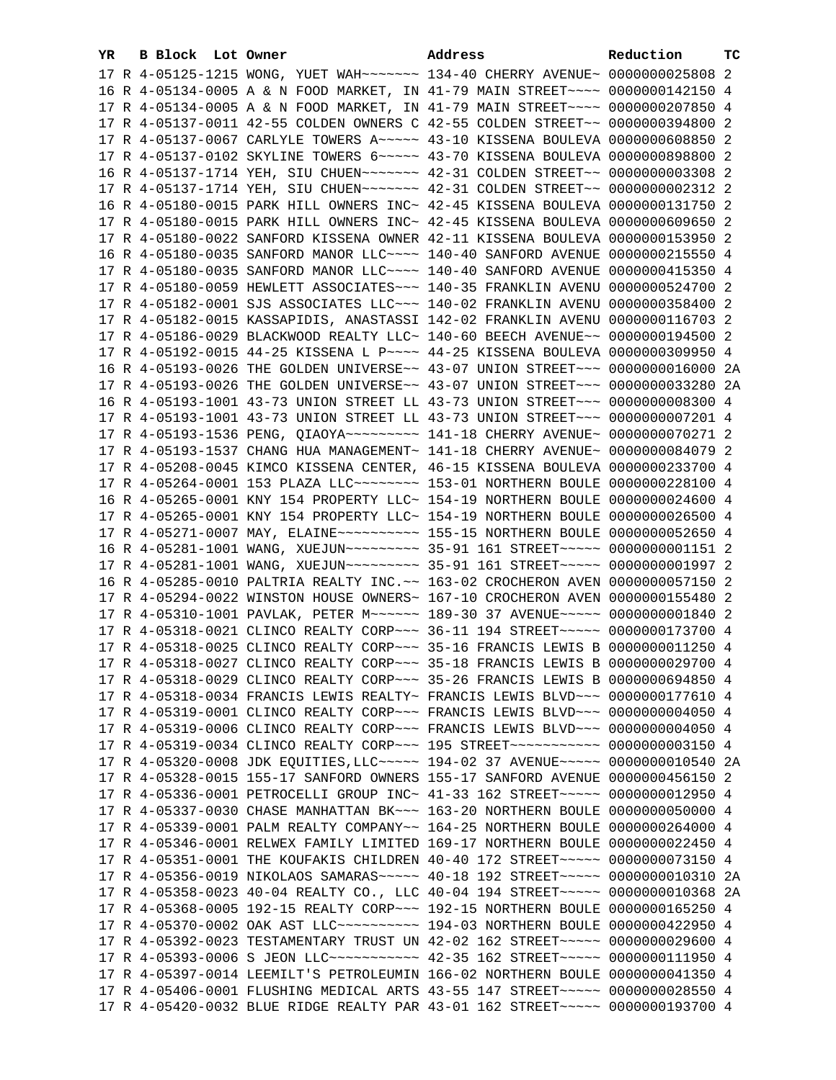| 17 R 4-05125-1215 WONG, YUET WAH~~~~~~~ 134-40 CHERRY AVENUE~ 0000000025808 2<br>16 R 4-05134-0005 A & N FOOD MARKET, IN 41-79 MAIN STREET~~~~ 0000000142150 4<br>17 R 4-05134-0005 A & N FOOD MARKET, IN 41-79 MAIN STREET~~~~ 0000000207850 4<br>17 R 4-05137-0011 42-55 COLDEN OWNERS C 42-55 COLDEN STREET~~ 0000000394800 2<br>17 R 4-05137-0067 CARLYLE TOWERS A~~~~~ 43-10 KISSENA BOULEVA 0000000608850 2<br>17 R 4-05137-0102 SKYLINE TOWERS 6~~~~~ 43-70 KISSENA BOULEVA 0000000898800 2<br>16 R 4-05137-1714 YEH, SIU CHUEN~~~~~~~ 42-31 COLDEN STREET~~ 0000000003308 2<br>17 R 4-05137-1714 YEH, SIU CHUEN~~~~~~~ 42-31 COLDEN STREET~~ 0000000002312 2<br>16 R 4-05180-0015 PARK HILL OWNERS INC~ 42-45 KISSENA BOULEVA 0000000131750 2<br>17 R 4-05180-0015 PARK HILL OWNERS INC~ 42-45 KISSENA BOULEVA 0000000609650 2<br>17 R 4-05180-0022 SANFORD KISSENA OWNER 42-11 KISSENA BOULEVA 0000000153950 2<br>16 R 4-05180-0035 SANFORD MANOR LLC~~~~ 140-40 SANFORD AVENUE 0000000215550 4<br>17 R 4-05180-0035 SANFORD MANOR LLC~~~~ 140-40 SANFORD AVENUE 0000000415350 4<br>17 R 4-05180-0059 HEWLETT ASSOCIATES ~~~ 140-35 FRANKLIN AVENU 0000000524700 2<br>17 R 4-05182-0001 SJS ASSOCIATES LLC~~~ 140-02 FRANKLIN AVENU 0000000358400 2<br>17 R 4-05182-0015 KASSAPIDIS, ANASTASSI 142-02 FRANKLIN AVENU 0000000116703 2<br>17 R 4-05186-0029 BLACKWOOD REALTY LLC~ 140-60 BEECH AVENUE~~ 0000000194500 2<br>17 R 4-05192-0015 44-25 KISSENA L P ~~~~ 44-25 KISSENA BOULEVA 0000000309950 4<br>16 R 4-05193-0026 THE GOLDEN UNIVERSE~~ 43-07 UNION STREET~~~ 0000000016000 2A<br>17 R 4-05193-0026 THE GOLDEN UNIVERSE~~ 43-07 UNION STREET~~~ 0000000033280 2A<br>16 R 4-05193-1001 43-73 UNION STREET LL 43-73 UNION STREET~~~ 0000000008300 4<br>17 R 4-05193-1001 43-73 UNION STREET LL 43-73 UNION STREET~~~ 0000000007201 4<br>17 R 4-05193-1536 PENG, QIAOYA~~~~~~~~~~~~~~ 141-18 CHERRY AVENUE~ 0000000070271 2<br>17 R 4-05193-1537 CHANG HUA MANAGEMENT~ 141-18 CHERRY AVENUE~ 0000000084079 2<br>17 R 4-05208-0045 KIMCO KISSENA CENTER, 46-15 KISSENA BOULEVA 0000000233700 4<br>17 R 4-05264-0001 153 PLAZA LLC ------- 153-01 NORTHERN BOULE 0000000228100 4<br>16 R 4-05265-0001 KNY 154 PROPERTY LLC~ 154-19 NORTHERN BOULE 0000000024600 4<br>17 R 4-05265-0001 KNY 154 PROPERTY LLC~ 154-19 NORTHERN BOULE 0000000026500 4<br>17 R 4-05271-0007 MAY, ELAINE~~~~~~~~~~~~~~~ 155-15 NORTHERN BOULE 0000000052650 4<br>16 R 4-05281-1001 WANG, XUEJUN~~~~~~~~~ 35-91 161 STREET~~~~~ 00000000001151 2<br>17 R 4-05281-1001 WANG, XUEJUN~~~~~~~~~ 35-91 161 STREET~~~~~ 00000000001997 2<br>16 R 4-05285-0010 PALTRIA REALTY INC. ~~ 163-02 CROCHERON AVEN 0000000057150 2<br>17 R 4-05294-0022 WINSTON HOUSE OWNERS~ 167-10 CROCHERON AVEN 0000000155480 2<br>17 R 4-05310-1001 PAVLAK, PETER M~~~~~~ 189-30 37 AVENUE~~~~~ 0000000001840 2<br>17 R 4-05318-0021 CLINCO REALTY CORP~~~ 36-11 194 STREET~~~~~ 0000000173700 4<br>17 R 4-05318-0025 CLINCO REALTY CORP~~~ 35-16 FRANCIS LEWIS B 0000000011250 4<br>17 R 4-05318-0027 CLINCO REALTY CORP~~~ 35-18 FRANCIS LEWIS B 0000000029700 4<br>17 R 4-05318-0029 CLINCO REALTY CORP~~~ 35-26 FRANCIS LEWIS B 0000000694850 4<br>17 R 4-05318-0034 FRANCIS LEWIS REALTY~ FRANCIS LEWIS BLVD~~~ 0000000177610 4 |  |
|------------------------------------------------------------------------------------------------------------------------------------------------------------------------------------------------------------------------------------------------------------------------------------------------------------------------------------------------------------------------------------------------------------------------------------------------------------------------------------------------------------------------------------------------------------------------------------------------------------------------------------------------------------------------------------------------------------------------------------------------------------------------------------------------------------------------------------------------------------------------------------------------------------------------------------------------------------------------------------------------------------------------------------------------------------------------------------------------------------------------------------------------------------------------------------------------------------------------------------------------------------------------------------------------------------------------------------------------------------------------------------------------------------------------------------------------------------------------------------------------------------------------------------------------------------------------------------------------------------------------------------------------------------------------------------------------------------------------------------------------------------------------------------------------------------------------------------------------------------------------------------------------------------------------------------------------------------------------------------------------------------------------------------------------------------------------------------------------------------------------------------------------------------------------------------------------------------------------------------------------------------------------------------------------------------------------------------------------------------------------------------------------------------------------------------------------------------------------------------------------------------------------------------------------------------------------------------------------------------------------------------------------------------------------------------------------------------------------------------------------------------------------------------------------------------------------------------------------------------------------------------------------------------------------------------------------------------------------------------------------------------------------------------------------------------------------------------------------------------------------------------------------------------------------------------------------------------------------------------------------------------------------------------------------------|--|
|                                                                                                                                                                                                                                                                                                                                                                                                                                                                                                                                                                                                                                                                                                                                                                                                                                                                                                                                                                                                                                                                                                                                                                                                                                                                                                                                                                                                                                                                                                                                                                                                                                                                                                                                                                                                                                                                                                                                                                                                                                                                                                                                                                                                                                                                                                                                                                                                                                                                                                                                                                                                                                                                                                                                                                                                                                                                                                                                                                                                                                                                                                                                                                                                                                                                                                      |  |
|                                                                                                                                                                                                                                                                                                                                                                                                                                                                                                                                                                                                                                                                                                                                                                                                                                                                                                                                                                                                                                                                                                                                                                                                                                                                                                                                                                                                                                                                                                                                                                                                                                                                                                                                                                                                                                                                                                                                                                                                                                                                                                                                                                                                                                                                                                                                                                                                                                                                                                                                                                                                                                                                                                                                                                                                                                                                                                                                                                                                                                                                                                                                                                                                                                                                                                      |  |
|                                                                                                                                                                                                                                                                                                                                                                                                                                                                                                                                                                                                                                                                                                                                                                                                                                                                                                                                                                                                                                                                                                                                                                                                                                                                                                                                                                                                                                                                                                                                                                                                                                                                                                                                                                                                                                                                                                                                                                                                                                                                                                                                                                                                                                                                                                                                                                                                                                                                                                                                                                                                                                                                                                                                                                                                                                                                                                                                                                                                                                                                                                                                                                                                                                                                                                      |  |
|                                                                                                                                                                                                                                                                                                                                                                                                                                                                                                                                                                                                                                                                                                                                                                                                                                                                                                                                                                                                                                                                                                                                                                                                                                                                                                                                                                                                                                                                                                                                                                                                                                                                                                                                                                                                                                                                                                                                                                                                                                                                                                                                                                                                                                                                                                                                                                                                                                                                                                                                                                                                                                                                                                                                                                                                                                                                                                                                                                                                                                                                                                                                                                                                                                                                                                      |  |
|                                                                                                                                                                                                                                                                                                                                                                                                                                                                                                                                                                                                                                                                                                                                                                                                                                                                                                                                                                                                                                                                                                                                                                                                                                                                                                                                                                                                                                                                                                                                                                                                                                                                                                                                                                                                                                                                                                                                                                                                                                                                                                                                                                                                                                                                                                                                                                                                                                                                                                                                                                                                                                                                                                                                                                                                                                                                                                                                                                                                                                                                                                                                                                                                                                                                                                      |  |
|                                                                                                                                                                                                                                                                                                                                                                                                                                                                                                                                                                                                                                                                                                                                                                                                                                                                                                                                                                                                                                                                                                                                                                                                                                                                                                                                                                                                                                                                                                                                                                                                                                                                                                                                                                                                                                                                                                                                                                                                                                                                                                                                                                                                                                                                                                                                                                                                                                                                                                                                                                                                                                                                                                                                                                                                                                                                                                                                                                                                                                                                                                                                                                                                                                                                                                      |  |
|                                                                                                                                                                                                                                                                                                                                                                                                                                                                                                                                                                                                                                                                                                                                                                                                                                                                                                                                                                                                                                                                                                                                                                                                                                                                                                                                                                                                                                                                                                                                                                                                                                                                                                                                                                                                                                                                                                                                                                                                                                                                                                                                                                                                                                                                                                                                                                                                                                                                                                                                                                                                                                                                                                                                                                                                                                                                                                                                                                                                                                                                                                                                                                                                                                                                                                      |  |
|                                                                                                                                                                                                                                                                                                                                                                                                                                                                                                                                                                                                                                                                                                                                                                                                                                                                                                                                                                                                                                                                                                                                                                                                                                                                                                                                                                                                                                                                                                                                                                                                                                                                                                                                                                                                                                                                                                                                                                                                                                                                                                                                                                                                                                                                                                                                                                                                                                                                                                                                                                                                                                                                                                                                                                                                                                                                                                                                                                                                                                                                                                                                                                                                                                                                                                      |  |
|                                                                                                                                                                                                                                                                                                                                                                                                                                                                                                                                                                                                                                                                                                                                                                                                                                                                                                                                                                                                                                                                                                                                                                                                                                                                                                                                                                                                                                                                                                                                                                                                                                                                                                                                                                                                                                                                                                                                                                                                                                                                                                                                                                                                                                                                                                                                                                                                                                                                                                                                                                                                                                                                                                                                                                                                                                                                                                                                                                                                                                                                                                                                                                                                                                                                                                      |  |
|                                                                                                                                                                                                                                                                                                                                                                                                                                                                                                                                                                                                                                                                                                                                                                                                                                                                                                                                                                                                                                                                                                                                                                                                                                                                                                                                                                                                                                                                                                                                                                                                                                                                                                                                                                                                                                                                                                                                                                                                                                                                                                                                                                                                                                                                                                                                                                                                                                                                                                                                                                                                                                                                                                                                                                                                                                                                                                                                                                                                                                                                                                                                                                                                                                                                                                      |  |
|                                                                                                                                                                                                                                                                                                                                                                                                                                                                                                                                                                                                                                                                                                                                                                                                                                                                                                                                                                                                                                                                                                                                                                                                                                                                                                                                                                                                                                                                                                                                                                                                                                                                                                                                                                                                                                                                                                                                                                                                                                                                                                                                                                                                                                                                                                                                                                                                                                                                                                                                                                                                                                                                                                                                                                                                                                                                                                                                                                                                                                                                                                                                                                                                                                                                                                      |  |
|                                                                                                                                                                                                                                                                                                                                                                                                                                                                                                                                                                                                                                                                                                                                                                                                                                                                                                                                                                                                                                                                                                                                                                                                                                                                                                                                                                                                                                                                                                                                                                                                                                                                                                                                                                                                                                                                                                                                                                                                                                                                                                                                                                                                                                                                                                                                                                                                                                                                                                                                                                                                                                                                                                                                                                                                                                                                                                                                                                                                                                                                                                                                                                                                                                                                                                      |  |
|                                                                                                                                                                                                                                                                                                                                                                                                                                                                                                                                                                                                                                                                                                                                                                                                                                                                                                                                                                                                                                                                                                                                                                                                                                                                                                                                                                                                                                                                                                                                                                                                                                                                                                                                                                                                                                                                                                                                                                                                                                                                                                                                                                                                                                                                                                                                                                                                                                                                                                                                                                                                                                                                                                                                                                                                                                                                                                                                                                                                                                                                                                                                                                                                                                                                                                      |  |
|                                                                                                                                                                                                                                                                                                                                                                                                                                                                                                                                                                                                                                                                                                                                                                                                                                                                                                                                                                                                                                                                                                                                                                                                                                                                                                                                                                                                                                                                                                                                                                                                                                                                                                                                                                                                                                                                                                                                                                                                                                                                                                                                                                                                                                                                                                                                                                                                                                                                                                                                                                                                                                                                                                                                                                                                                                                                                                                                                                                                                                                                                                                                                                                                                                                                                                      |  |
|                                                                                                                                                                                                                                                                                                                                                                                                                                                                                                                                                                                                                                                                                                                                                                                                                                                                                                                                                                                                                                                                                                                                                                                                                                                                                                                                                                                                                                                                                                                                                                                                                                                                                                                                                                                                                                                                                                                                                                                                                                                                                                                                                                                                                                                                                                                                                                                                                                                                                                                                                                                                                                                                                                                                                                                                                                                                                                                                                                                                                                                                                                                                                                                                                                                                                                      |  |
|                                                                                                                                                                                                                                                                                                                                                                                                                                                                                                                                                                                                                                                                                                                                                                                                                                                                                                                                                                                                                                                                                                                                                                                                                                                                                                                                                                                                                                                                                                                                                                                                                                                                                                                                                                                                                                                                                                                                                                                                                                                                                                                                                                                                                                                                                                                                                                                                                                                                                                                                                                                                                                                                                                                                                                                                                                                                                                                                                                                                                                                                                                                                                                                                                                                                                                      |  |
|                                                                                                                                                                                                                                                                                                                                                                                                                                                                                                                                                                                                                                                                                                                                                                                                                                                                                                                                                                                                                                                                                                                                                                                                                                                                                                                                                                                                                                                                                                                                                                                                                                                                                                                                                                                                                                                                                                                                                                                                                                                                                                                                                                                                                                                                                                                                                                                                                                                                                                                                                                                                                                                                                                                                                                                                                                                                                                                                                                                                                                                                                                                                                                                                                                                                                                      |  |
|                                                                                                                                                                                                                                                                                                                                                                                                                                                                                                                                                                                                                                                                                                                                                                                                                                                                                                                                                                                                                                                                                                                                                                                                                                                                                                                                                                                                                                                                                                                                                                                                                                                                                                                                                                                                                                                                                                                                                                                                                                                                                                                                                                                                                                                                                                                                                                                                                                                                                                                                                                                                                                                                                                                                                                                                                                                                                                                                                                                                                                                                                                                                                                                                                                                                                                      |  |
|                                                                                                                                                                                                                                                                                                                                                                                                                                                                                                                                                                                                                                                                                                                                                                                                                                                                                                                                                                                                                                                                                                                                                                                                                                                                                                                                                                                                                                                                                                                                                                                                                                                                                                                                                                                                                                                                                                                                                                                                                                                                                                                                                                                                                                                                                                                                                                                                                                                                                                                                                                                                                                                                                                                                                                                                                                                                                                                                                                                                                                                                                                                                                                                                                                                                                                      |  |
|                                                                                                                                                                                                                                                                                                                                                                                                                                                                                                                                                                                                                                                                                                                                                                                                                                                                                                                                                                                                                                                                                                                                                                                                                                                                                                                                                                                                                                                                                                                                                                                                                                                                                                                                                                                                                                                                                                                                                                                                                                                                                                                                                                                                                                                                                                                                                                                                                                                                                                                                                                                                                                                                                                                                                                                                                                                                                                                                                                                                                                                                                                                                                                                                                                                                                                      |  |
|                                                                                                                                                                                                                                                                                                                                                                                                                                                                                                                                                                                                                                                                                                                                                                                                                                                                                                                                                                                                                                                                                                                                                                                                                                                                                                                                                                                                                                                                                                                                                                                                                                                                                                                                                                                                                                                                                                                                                                                                                                                                                                                                                                                                                                                                                                                                                                                                                                                                                                                                                                                                                                                                                                                                                                                                                                                                                                                                                                                                                                                                                                                                                                                                                                                                                                      |  |
|                                                                                                                                                                                                                                                                                                                                                                                                                                                                                                                                                                                                                                                                                                                                                                                                                                                                                                                                                                                                                                                                                                                                                                                                                                                                                                                                                                                                                                                                                                                                                                                                                                                                                                                                                                                                                                                                                                                                                                                                                                                                                                                                                                                                                                                                                                                                                                                                                                                                                                                                                                                                                                                                                                                                                                                                                                                                                                                                                                                                                                                                                                                                                                                                                                                                                                      |  |
|                                                                                                                                                                                                                                                                                                                                                                                                                                                                                                                                                                                                                                                                                                                                                                                                                                                                                                                                                                                                                                                                                                                                                                                                                                                                                                                                                                                                                                                                                                                                                                                                                                                                                                                                                                                                                                                                                                                                                                                                                                                                                                                                                                                                                                                                                                                                                                                                                                                                                                                                                                                                                                                                                                                                                                                                                                                                                                                                                                                                                                                                                                                                                                                                                                                                                                      |  |
|                                                                                                                                                                                                                                                                                                                                                                                                                                                                                                                                                                                                                                                                                                                                                                                                                                                                                                                                                                                                                                                                                                                                                                                                                                                                                                                                                                                                                                                                                                                                                                                                                                                                                                                                                                                                                                                                                                                                                                                                                                                                                                                                                                                                                                                                                                                                                                                                                                                                                                                                                                                                                                                                                                                                                                                                                                                                                                                                                                                                                                                                                                                                                                                                                                                                                                      |  |
|                                                                                                                                                                                                                                                                                                                                                                                                                                                                                                                                                                                                                                                                                                                                                                                                                                                                                                                                                                                                                                                                                                                                                                                                                                                                                                                                                                                                                                                                                                                                                                                                                                                                                                                                                                                                                                                                                                                                                                                                                                                                                                                                                                                                                                                                                                                                                                                                                                                                                                                                                                                                                                                                                                                                                                                                                                                                                                                                                                                                                                                                                                                                                                                                                                                                                                      |  |
|                                                                                                                                                                                                                                                                                                                                                                                                                                                                                                                                                                                                                                                                                                                                                                                                                                                                                                                                                                                                                                                                                                                                                                                                                                                                                                                                                                                                                                                                                                                                                                                                                                                                                                                                                                                                                                                                                                                                                                                                                                                                                                                                                                                                                                                                                                                                                                                                                                                                                                                                                                                                                                                                                                                                                                                                                                                                                                                                                                                                                                                                                                                                                                                                                                                                                                      |  |
|                                                                                                                                                                                                                                                                                                                                                                                                                                                                                                                                                                                                                                                                                                                                                                                                                                                                                                                                                                                                                                                                                                                                                                                                                                                                                                                                                                                                                                                                                                                                                                                                                                                                                                                                                                                                                                                                                                                                                                                                                                                                                                                                                                                                                                                                                                                                                                                                                                                                                                                                                                                                                                                                                                                                                                                                                                                                                                                                                                                                                                                                                                                                                                                                                                                                                                      |  |
|                                                                                                                                                                                                                                                                                                                                                                                                                                                                                                                                                                                                                                                                                                                                                                                                                                                                                                                                                                                                                                                                                                                                                                                                                                                                                                                                                                                                                                                                                                                                                                                                                                                                                                                                                                                                                                                                                                                                                                                                                                                                                                                                                                                                                                                                                                                                                                                                                                                                                                                                                                                                                                                                                                                                                                                                                                                                                                                                                                                                                                                                                                                                                                                                                                                                                                      |  |
|                                                                                                                                                                                                                                                                                                                                                                                                                                                                                                                                                                                                                                                                                                                                                                                                                                                                                                                                                                                                                                                                                                                                                                                                                                                                                                                                                                                                                                                                                                                                                                                                                                                                                                                                                                                                                                                                                                                                                                                                                                                                                                                                                                                                                                                                                                                                                                                                                                                                                                                                                                                                                                                                                                                                                                                                                                                                                                                                                                                                                                                                                                                                                                                                                                                                                                      |  |
|                                                                                                                                                                                                                                                                                                                                                                                                                                                                                                                                                                                                                                                                                                                                                                                                                                                                                                                                                                                                                                                                                                                                                                                                                                                                                                                                                                                                                                                                                                                                                                                                                                                                                                                                                                                                                                                                                                                                                                                                                                                                                                                                                                                                                                                                                                                                                                                                                                                                                                                                                                                                                                                                                                                                                                                                                                                                                                                                                                                                                                                                                                                                                                                                                                                                                                      |  |
|                                                                                                                                                                                                                                                                                                                                                                                                                                                                                                                                                                                                                                                                                                                                                                                                                                                                                                                                                                                                                                                                                                                                                                                                                                                                                                                                                                                                                                                                                                                                                                                                                                                                                                                                                                                                                                                                                                                                                                                                                                                                                                                                                                                                                                                                                                                                                                                                                                                                                                                                                                                                                                                                                                                                                                                                                                                                                                                                                                                                                                                                                                                                                                                                                                                                                                      |  |
|                                                                                                                                                                                                                                                                                                                                                                                                                                                                                                                                                                                                                                                                                                                                                                                                                                                                                                                                                                                                                                                                                                                                                                                                                                                                                                                                                                                                                                                                                                                                                                                                                                                                                                                                                                                                                                                                                                                                                                                                                                                                                                                                                                                                                                                                                                                                                                                                                                                                                                                                                                                                                                                                                                                                                                                                                                                                                                                                                                                                                                                                                                                                                                                                                                                                                                      |  |
|                                                                                                                                                                                                                                                                                                                                                                                                                                                                                                                                                                                                                                                                                                                                                                                                                                                                                                                                                                                                                                                                                                                                                                                                                                                                                                                                                                                                                                                                                                                                                                                                                                                                                                                                                                                                                                                                                                                                                                                                                                                                                                                                                                                                                                                                                                                                                                                                                                                                                                                                                                                                                                                                                                                                                                                                                                                                                                                                                                                                                                                                                                                                                                                                                                                                                                      |  |
|                                                                                                                                                                                                                                                                                                                                                                                                                                                                                                                                                                                                                                                                                                                                                                                                                                                                                                                                                                                                                                                                                                                                                                                                                                                                                                                                                                                                                                                                                                                                                                                                                                                                                                                                                                                                                                                                                                                                                                                                                                                                                                                                                                                                                                                                                                                                                                                                                                                                                                                                                                                                                                                                                                                                                                                                                                                                                                                                                                                                                                                                                                                                                                                                                                                                                                      |  |
|                                                                                                                                                                                                                                                                                                                                                                                                                                                                                                                                                                                                                                                                                                                                                                                                                                                                                                                                                                                                                                                                                                                                                                                                                                                                                                                                                                                                                                                                                                                                                                                                                                                                                                                                                                                                                                                                                                                                                                                                                                                                                                                                                                                                                                                                                                                                                                                                                                                                                                                                                                                                                                                                                                                                                                                                                                                                                                                                                                                                                                                                                                                                                                                                                                                                                                      |  |
|                                                                                                                                                                                                                                                                                                                                                                                                                                                                                                                                                                                                                                                                                                                                                                                                                                                                                                                                                                                                                                                                                                                                                                                                                                                                                                                                                                                                                                                                                                                                                                                                                                                                                                                                                                                                                                                                                                                                                                                                                                                                                                                                                                                                                                                                                                                                                                                                                                                                                                                                                                                                                                                                                                                                                                                                                                                                                                                                                                                                                                                                                                                                                                                                                                                                                                      |  |
|                                                                                                                                                                                                                                                                                                                                                                                                                                                                                                                                                                                                                                                                                                                                                                                                                                                                                                                                                                                                                                                                                                                                                                                                                                                                                                                                                                                                                                                                                                                                                                                                                                                                                                                                                                                                                                                                                                                                                                                                                                                                                                                                                                                                                                                                                                                                                                                                                                                                                                                                                                                                                                                                                                                                                                                                                                                                                                                                                                                                                                                                                                                                                                                                                                                                                                      |  |
|                                                                                                                                                                                                                                                                                                                                                                                                                                                                                                                                                                                                                                                                                                                                                                                                                                                                                                                                                                                                                                                                                                                                                                                                                                                                                                                                                                                                                                                                                                                                                                                                                                                                                                                                                                                                                                                                                                                                                                                                                                                                                                                                                                                                                                                                                                                                                                                                                                                                                                                                                                                                                                                                                                                                                                                                                                                                                                                                                                                                                                                                                                                                                                                                                                                                                                      |  |
|                                                                                                                                                                                                                                                                                                                                                                                                                                                                                                                                                                                                                                                                                                                                                                                                                                                                                                                                                                                                                                                                                                                                                                                                                                                                                                                                                                                                                                                                                                                                                                                                                                                                                                                                                                                                                                                                                                                                                                                                                                                                                                                                                                                                                                                                                                                                                                                                                                                                                                                                                                                                                                                                                                                                                                                                                                                                                                                                                                                                                                                                                                                                                                                                                                                                                                      |  |
|                                                                                                                                                                                                                                                                                                                                                                                                                                                                                                                                                                                                                                                                                                                                                                                                                                                                                                                                                                                                                                                                                                                                                                                                                                                                                                                                                                                                                                                                                                                                                                                                                                                                                                                                                                                                                                                                                                                                                                                                                                                                                                                                                                                                                                                                                                                                                                                                                                                                                                                                                                                                                                                                                                                                                                                                                                                                                                                                                                                                                                                                                                                                                                                                                                                                                                      |  |
|                                                                                                                                                                                                                                                                                                                                                                                                                                                                                                                                                                                                                                                                                                                                                                                                                                                                                                                                                                                                                                                                                                                                                                                                                                                                                                                                                                                                                                                                                                                                                                                                                                                                                                                                                                                                                                                                                                                                                                                                                                                                                                                                                                                                                                                                                                                                                                                                                                                                                                                                                                                                                                                                                                                                                                                                                                                                                                                                                                                                                                                                                                                                                                                                                                                                                                      |  |
| 17 R 4-05319-0001 CLINCO REALTY CORP~~~ FRANCIS LEWIS BLVD~~~ 00000000004050 4                                                                                                                                                                                                                                                                                                                                                                                                                                                                                                                                                                                                                                                                                                                                                                                                                                                                                                                                                                                                                                                                                                                                                                                                                                                                                                                                                                                                                                                                                                                                                                                                                                                                                                                                                                                                                                                                                                                                                                                                                                                                                                                                                                                                                                                                                                                                                                                                                                                                                                                                                                                                                                                                                                                                                                                                                                                                                                                                                                                                                                                                                                                                                                                                                       |  |
| 17 R 4-05319-0006 CLINCO REALTY CORP~~~ FRANCIS LEWIS BLVD~~~ 00000000004050 4                                                                                                                                                                                                                                                                                                                                                                                                                                                                                                                                                                                                                                                                                                                                                                                                                                                                                                                                                                                                                                                                                                                                                                                                                                                                                                                                                                                                                                                                                                                                                                                                                                                                                                                                                                                                                                                                                                                                                                                                                                                                                                                                                                                                                                                                                                                                                                                                                                                                                                                                                                                                                                                                                                                                                                                                                                                                                                                                                                                                                                                                                                                                                                                                                       |  |
| 17 R 4-05319-0034 CLINCO REALTY CORP~~~ 195 STREET~~~~~~~~~~~ 0000000003150 4                                                                                                                                                                                                                                                                                                                                                                                                                                                                                                                                                                                                                                                                                                                                                                                                                                                                                                                                                                                                                                                                                                                                                                                                                                                                                                                                                                                                                                                                                                                                                                                                                                                                                                                                                                                                                                                                                                                                                                                                                                                                                                                                                                                                                                                                                                                                                                                                                                                                                                                                                                                                                                                                                                                                                                                                                                                                                                                                                                                                                                                                                                                                                                                                                        |  |
| 17 R 4-05320-0008 JDK EQUITIES, LLC ~~~~~ 194-02 37 AVENUE ~~~~~ 0000000010540 2A                                                                                                                                                                                                                                                                                                                                                                                                                                                                                                                                                                                                                                                                                                                                                                                                                                                                                                                                                                                                                                                                                                                                                                                                                                                                                                                                                                                                                                                                                                                                                                                                                                                                                                                                                                                                                                                                                                                                                                                                                                                                                                                                                                                                                                                                                                                                                                                                                                                                                                                                                                                                                                                                                                                                                                                                                                                                                                                                                                                                                                                                                                                                                                                                                    |  |
| 17 R 4-05328-0015 155-17 SANFORD OWNERS 155-17 SANFORD AVENUE 0000000456150 2                                                                                                                                                                                                                                                                                                                                                                                                                                                                                                                                                                                                                                                                                                                                                                                                                                                                                                                                                                                                                                                                                                                                                                                                                                                                                                                                                                                                                                                                                                                                                                                                                                                                                                                                                                                                                                                                                                                                                                                                                                                                                                                                                                                                                                                                                                                                                                                                                                                                                                                                                                                                                                                                                                                                                                                                                                                                                                                                                                                                                                                                                                                                                                                                                        |  |
| 17 R 4-05336-0001 PETROCELLI GROUP INC~ 41-33 162 STREET~~~~~~ 0000000012950 4                                                                                                                                                                                                                                                                                                                                                                                                                                                                                                                                                                                                                                                                                                                                                                                                                                                                                                                                                                                                                                                                                                                                                                                                                                                                                                                                                                                                                                                                                                                                                                                                                                                                                                                                                                                                                                                                                                                                                                                                                                                                                                                                                                                                                                                                                                                                                                                                                                                                                                                                                                                                                                                                                                                                                                                                                                                                                                                                                                                                                                                                                                                                                                                                                       |  |
| 17 R 4-05337-0030 CHASE MANHATTAN BK~~~ 163-20 NORTHERN BOULE 0000000050000 4                                                                                                                                                                                                                                                                                                                                                                                                                                                                                                                                                                                                                                                                                                                                                                                                                                                                                                                                                                                                                                                                                                                                                                                                                                                                                                                                                                                                                                                                                                                                                                                                                                                                                                                                                                                                                                                                                                                                                                                                                                                                                                                                                                                                                                                                                                                                                                                                                                                                                                                                                                                                                                                                                                                                                                                                                                                                                                                                                                                                                                                                                                                                                                                                                        |  |
| 17 R 4-05339-0001 PALM REALTY COMPANY~~ 164-25 NORTHERN BOULE 0000000264000 4                                                                                                                                                                                                                                                                                                                                                                                                                                                                                                                                                                                                                                                                                                                                                                                                                                                                                                                                                                                                                                                                                                                                                                                                                                                                                                                                                                                                                                                                                                                                                                                                                                                                                                                                                                                                                                                                                                                                                                                                                                                                                                                                                                                                                                                                                                                                                                                                                                                                                                                                                                                                                                                                                                                                                                                                                                                                                                                                                                                                                                                                                                                                                                                                                        |  |
| 17 R 4-05346-0001 RELWEX FAMILY LIMITED 169-17 NORTHERN BOULE 0000000022450 4                                                                                                                                                                                                                                                                                                                                                                                                                                                                                                                                                                                                                                                                                                                                                                                                                                                                                                                                                                                                                                                                                                                                                                                                                                                                                                                                                                                                                                                                                                                                                                                                                                                                                                                                                                                                                                                                                                                                                                                                                                                                                                                                                                                                                                                                                                                                                                                                                                                                                                                                                                                                                                                                                                                                                                                                                                                                                                                                                                                                                                                                                                                                                                                                                        |  |
| 17 R 4-05351-0001 THE KOUFAKIS CHILDREN 40-40 172 STREET~~~~~ 0000000073150 4                                                                                                                                                                                                                                                                                                                                                                                                                                                                                                                                                                                                                                                                                                                                                                                                                                                                                                                                                                                                                                                                                                                                                                                                                                                                                                                                                                                                                                                                                                                                                                                                                                                                                                                                                                                                                                                                                                                                                                                                                                                                                                                                                                                                                                                                                                                                                                                                                                                                                                                                                                                                                                                                                                                                                                                                                                                                                                                                                                                                                                                                                                                                                                                                                        |  |
| 17 R 4-05356-0019 NIKOLAOS SAMARAS~~~~~ 40-18 192 STREET~~~~~ 0000000010310 2A                                                                                                                                                                                                                                                                                                                                                                                                                                                                                                                                                                                                                                                                                                                                                                                                                                                                                                                                                                                                                                                                                                                                                                                                                                                                                                                                                                                                                                                                                                                                                                                                                                                                                                                                                                                                                                                                                                                                                                                                                                                                                                                                                                                                                                                                                                                                                                                                                                                                                                                                                                                                                                                                                                                                                                                                                                                                                                                                                                                                                                                                                                                                                                                                                       |  |
| 17 R 4-05358-0023 40-04 REALTY CO., LLC 40-04 194 STREET~~~~~ 0000000010368 2A                                                                                                                                                                                                                                                                                                                                                                                                                                                                                                                                                                                                                                                                                                                                                                                                                                                                                                                                                                                                                                                                                                                                                                                                                                                                                                                                                                                                                                                                                                                                                                                                                                                                                                                                                                                                                                                                                                                                                                                                                                                                                                                                                                                                                                                                                                                                                                                                                                                                                                                                                                                                                                                                                                                                                                                                                                                                                                                                                                                                                                                                                                                                                                                                                       |  |
| 17 R 4-05368-0005 192-15 REALTY CORP~~~ 192-15 NORTHERN BOULE 0000000165250 4                                                                                                                                                                                                                                                                                                                                                                                                                                                                                                                                                                                                                                                                                                                                                                                                                                                                                                                                                                                                                                                                                                                                                                                                                                                                                                                                                                                                                                                                                                                                                                                                                                                                                                                                                                                                                                                                                                                                                                                                                                                                                                                                                                                                                                                                                                                                                                                                                                                                                                                                                                                                                                                                                                                                                                                                                                                                                                                                                                                                                                                                                                                                                                                                                        |  |
| 17 R 4-05370-0002 OAK AST LLC ---------- 194-03 NORTHERN BOULE 0000000422950 4                                                                                                                                                                                                                                                                                                                                                                                                                                                                                                                                                                                                                                                                                                                                                                                                                                                                                                                                                                                                                                                                                                                                                                                                                                                                                                                                                                                                                                                                                                                                                                                                                                                                                                                                                                                                                                                                                                                                                                                                                                                                                                                                                                                                                                                                                                                                                                                                                                                                                                                                                                                                                                                                                                                                                                                                                                                                                                                                                                                                                                                                                                                                                                                                                       |  |
| 17 R 4-05392-0023 TESTAMENTARY TRUST UN 42-02 162 STREET~~~~~ 0000000029600 4                                                                                                                                                                                                                                                                                                                                                                                                                                                                                                                                                                                                                                                                                                                                                                                                                                                                                                                                                                                                                                                                                                                                                                                                                                                                                                                                                                                                                                                                                                                                                                                                                                                                                                                                                                                                                                                                                                                                                                                                                                                                                                                                                                                                                                                                                                                                                                                                                                                                                                                                                                                                                                                                                                                                                                                                                                                                                                                                                                                                                                                                                                                                                                                                                        |  |
| 17 R 4-05393-0006 S JEON LLC ----------- 42-35 162 STREET ----- 0000000111950 4                                                                                                                                                                                                                                                                                                                                                                                                                                                                                                                                                                                                                                                                                                                                                                                                                                                                                                                                                                                                                                                                                                                                                                                                                                                                                                                                                                                                                                                                                                                                                                                                                                                                                                                                                                                                                                                                                                                                                                                                                                                                                                                                                                                                                                                                                                                                                                                                                                                                                                                                                                                                                                                                                                                                                                                                                                                                                                                                                                                                                                                                                                                                                                                                                      |  |
| 17 R 4-05397-0014 LEEMILT'S PETROLEUMIN 166-02 NORTHERN BOULE 0000000041350 4                                                                                                                                                                                                                                                                                                                                                                                                                                                                                                                                                                                                                                                                                                                                                                                                                                                                                                                                                                                                                                                                                                                                                                                                                                                                                                                                                                                                                                                                                                                                                                                                                                                                                                                                                                                                                                                                                                                                                                                                                                                                                                                                                                                                                                                                                                                                                                                                                                                                                                                                                                                                                                                                                                                                                                                                                                                                                                                                                                                                                                                                                                                                                                                                                        |  |
| 17 R 4-05406-0001 FLUSHING MEDICAL ARTS 43-55 147 STREET~~~~~ 0000000028550 4                                                                                                                                                                                                                                                                                                                                                                                                                                                                                                                                                                                                                                                                                                                                                                                                                                                                                                                                                                                                                                                                                                                                                                                                                                                                                                                                                                                                                                                                                                                                                                                                                                                                                                                                                                                                                                                                                                                                                                                                                                                                                                                                                                                                                                                                                                                                                                                                                                                                                                                                                                                                                                                                                                                                                                                                                                                                                                                                                                                                                                                                                                                                                                                                                        |  |
| 17 R 4-05420-0032 BLUE RIDGE REALTY PAR 43-01 162 STREET~~~~~ 0000000193700 4                                                                                                                                                                                                                                                                                                                                                                                                                                                                                                                                                                                                                                                                                                                                                                                                                                                                                                                                                                                                                                                                                                                                                                                                                                                                                                                                                                                                                                                                                                                                                                                                                                                                                                                                                                                                                                                                                                                                                                                                                                                                                                                                                                                                                                                                                                                                                                                                                                                                                                                                                                                                                                                                                                                                                                                                                                                                                                                                                                                                                                                                                                                                                                                                                        |  |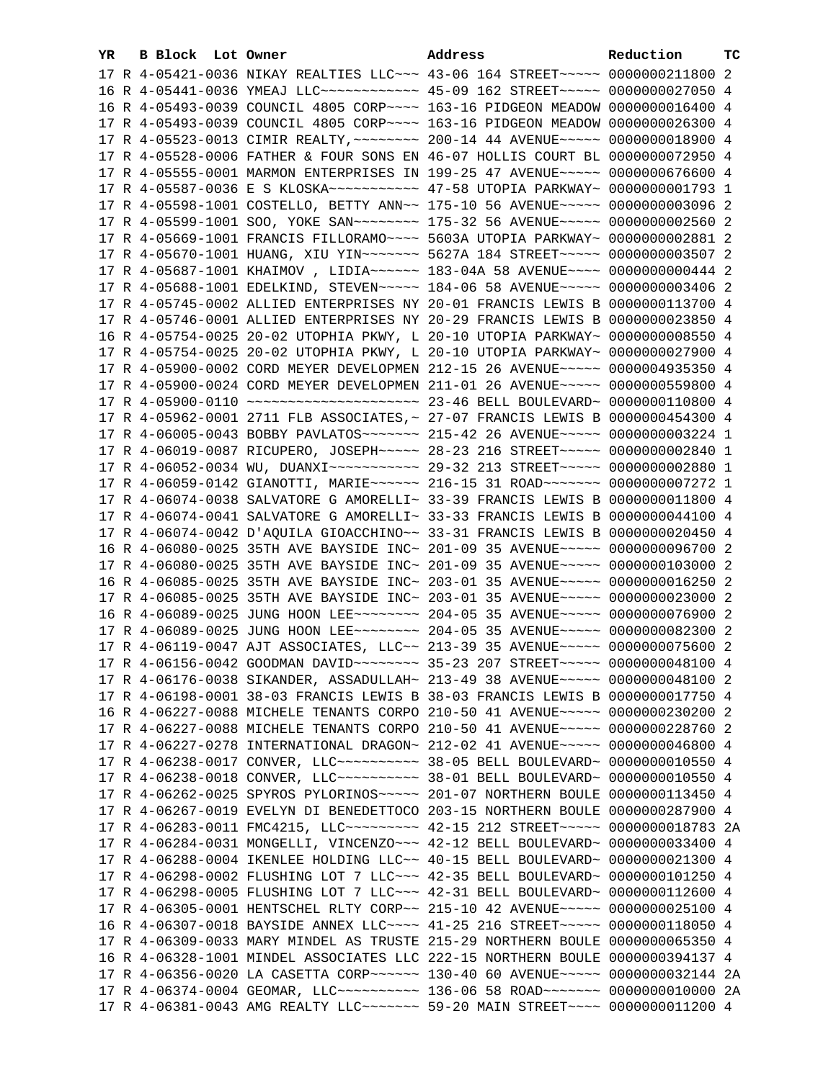| YR. | B Block Lot Owner |                                                                                     | Address | Reduction | тc |
|-----|-------------------|-------------------------------------------------------------------------------------|---------|-----------|----|
|     |                   | 17 R 4-05421-0036 NIKAY REALTIES LLC -~~ 43-06 164 STREET -~~~~ 0000000211800 2     |         |           |    |
|     |                   | 16 R 4-05441-0036 YMEAJ LLC ------------ 45-09 162 STREET ---- 0000000027050 4      |         |           |    |
|     |                   | 16 R 4-05493-0039 COUNCIL 4805 CORP~~~~ 163-16 PIDGEON MEADOW 0000000016400 4       |         |           |    |
|     |                   | 17 R 4-05493-0039 COUNCIL 4805 CORP~~~~ 163-16 PIDGEON MEADOW 0000000026300 4       |         |           |    |
|     |                   | 17 R 4-05523-0013 CIMIR REALTY, ~~~~~~~~ 200-14 44 AVENUE~~~~~ 0000000018900 4      |         |           |    |
|     |                   | 17 R 4-05528-0006 FATHER & FOUR SONS EN 46-07 HOLLIS COURT BL 0000000072950 4       |         |           |    |
|     |                   | 17 R 4-05555-0001 MARMON ENTERPRISES IN 199-25 47 AVENUE~~~~~ 0000000676600 4       |         |           |    |
|     |                   |                                                                                     |         |           |    |
|     |                   | 17 R 4-05598-1001 COSTELLO, BETTY ANN~~ 175-10 56 AVENUE~~~~~ 0000000003096 2       |         |           |    |
|     |                   | 17 R 4-05599-1001 SOO, YOKE SAN~~~~~~~~~~~~~ 175-32 56 AVENUE~~~~~~ 0000000002560 2 |         |           |    |
|     |                   | 17 R 4-05669-1001 FRANCIS FILLORAMO~~~~ 5603A UTOPIA PARKWAY~ 0000000002881 2       |         |           |    |
|     |                   | 17 R 4-05670-1001 HUANG, XIU YIN~~~~~~~ 5627A 184 STREET~~~~~ 0000000003507 2       |         |           |    |
|     |                   | 17 R 4-05687-1001 KHAIMOV, LIDIA~~~~~~ 183-04A 58 AVENUE~~~~ 0000000000444 2        |         |           |    |
|     |                   | 17 R 4-05688-1001 EDELKIND, STEVEN~~~~~ 184-06 58 AVENUE~~~~~ 0000000003406 2       |         |           |    |
|     |                   | 17 R 4-05745-0002 ALLIED ENTERPRISES NY 20-01 FRANCIS LEWIS B 0000000113700 4       |         |           |    |
|     |                   | 17 R 4-05746-0001 ALLIED ENTERPRISES NY 20-29 FRANCIS LEWIS B 0000000023850 4       |         |           |    |
|     |                   |                                                                                     |         |           |    |
|     |                   | 16 R 4-05754-0025 20-02 UTOPHIA PKWY, L 20-10 UTOPIA PARKWAY~ 0000000008550 4       |         |           |    |
|     |                   | 17 R 4-05754-0025 20-02 UTOPHIA PKWY, L 20-10 UTOPIA PARKWAY~ 0000000027900 4       |         |           |    |
|     |                   | 17 R 4-05900-0002 CORD MEYER DEVELOPMEN 212-15 26 AVENUE~~~~~ 0000004935350 4       |         |           |    |
|     |                   | 17 R 4-05900-0024 CORD MEYER DEVELOPMEN 211-01 26 AVENUE~~~~~ 0000000559800 4       |         |           |    |
|     |                   |                                                                                     |         |           |    |
|     |                   | 17 R 4-05962-0001 2711 FLB ASSOCIATES, ~ 27-07 FRANCIS LEWIS B 0000000454300 4      |         |           |    |
|     |                   | 17 R 4-06005-0043 BOBBY PAVLATOS~~~~~~~ 215-42 26 AVENUE~~~~~ 0000000003224 1       |         |           |    |
|     |                   | 17 R 4-06019-0087 RICUPERO, JOSEPH~~~~~ 28-23 216 STREET~~~~~ 0000000002840 1       |         |           |    |
|     |                   | 17 R 4-06052-0034 WU, DUANXI~~~~~~~~~~~~ 29-32 213 STREET~~~~~ 0000000002880 1      |         |           |    |
|     |                   | 17 R 4-06059-0142 GIANOTTI, MARIE~~~~~~ 216-15 31 ROAD~~~~~~~ 0000000007272 1       |         |           |    |
|     |                   | 17 R 4-06074-0038 SALVATORE G AMORELLI~ 33-39 FRANCIS LEWIS B 0000000011800 4       |         |           |    |
|     |                   | 17 R 4-06074-0041 SALVATORE G AMORELLI~ 33-33 FRANCIS LEWIS B 0000000044100 4       |         |           |    |
|     |                   | 17 R 4-06074-0042 D'AQUILA GIOACCHINO~~ 33-31 FRANCIS LEWIS B 0000000020450 4       |         |           |    |
|     |                   | 16 R 4-06080-0025 35TH AVE BAYSIDE INC~ 201-09 35 AVENUE~~~~~ 0000000096700 2       |         |           |    |
|     |                   | 17 R 4-06080-0025 35TH AVE BAYSIDE INC~ 201-09 35 AVENUE~~~~~ 0000000103000 2       |         |           |    |
|     |                   | 16 R 4-06085-0025 35TH AVE BAYSIDE INC~ 203-01 35 AVENUE~~~~~ 0000000016250 2       |         |           |    |
|     |                   | 17 R 4-06085-0025 35TH AVE BAYSIDE INC~ 203-01 35 AVENUE~~~~~ 0000000023000 2       |         |           |    |
|     |                   | 16 R 4-06089-0025 JUNG HOON LEE~~~~~~~~ 204-05 35 AVENUE~~~~~ 0000000076900 2       |         |           |    |
|     |                   | 17 R 4-06089-0025 JUNG HOON LEE~~~~~~~~ 204-05 35 AVENUE~~~~~ 0000000082300 2       |         |           |    |
|     |                   | 17 R 4-06119-0047 AJT ASSOCIATES, LLC~~ 213-39 35 AVENUE~~~~~ 0000000075600 2       |         |           |    |
|     |                   | 17 R 4-06156-0042 GOODMAN DAVID ------- 35-23 207 STREET ---- 0000000048100 4       |         |           |    |
|     |                   | 17 R 4-06176-0038 SIKANDER, ASSADULLAH~ 213-49 38 AVENUE~~~~~ 0000000048100 2       |         |           |    |
|     |                   | 17 R 4-06198-0001 38-03 FRANCIS LEWIS B 38-03 FRANCIS LEWIS B 0000000017750 4       |         |           |    |
|     |                   | 16 R 4-06227-0088 MICHELE TENANTS CORPO 210-50 41 AVENUE~~~~~ 0000000230200 2       |         |           |    |
|     |                   | 17 R 4-06227-0088 MICHELE TENANTS CORPO 210-50 41 AVENUE~~~~~ 0000000228760 2       |         |           |    |
|     |                   | 17 R 4-06227-0278 INTERNATIONAL DRAGON~ 212-02 41 AVENUE~~~~~ 0000000046800 4       |         |           |    |
|     |                   | 17 R 4-06238-0017 CONVER, LLC~~~~~~~~~~~~~~ 38-05 BELL BOULEVARD~ 00000000010550 4  |         |           |    |
|     |                   |                                                                                     |         |           |    |
|     |                   | 17 R 4-06262-0025 SPYROS PYLORINOS~~~~~ 201-07 NORTHERN BOULE 0000000113450 4       |         |           |    |
|     |                   | 17 R 4-06267-0019 EVELYN DI BENEDETTOCO 203-15 NORTHERN BOULE 0000000287900 4       |         |           |    |
|     |                   | 17 R 4-06283-0011 FMC4215, LLC --------- 42-15 212 STREET ----- 0000000018783 2A    |         |           |    |
|     |                   | 17 R 4-06284-0031 MONGELLI, VINCENZO~~~ 42-12 BELL BOULEVARD~ 0000000033400 4       |         |           |    |
|     |                   | 17 R 4-06288-0004 IKENLEE HOLDING LLC~~ 40-15 BELL BOULEVARD~ 0000000021300 4       |         |           |    |
|     |                   | 17 R 4-06298-0002 FLUSHING LOT 7 LLC~~~ 42-35 BELL BOULEVARD~ 0000000101250 4       |         |           |    |
|     |                   | 17 R 4-06298-0005 FLUSHING LOT 7 LLC~~~ 42-31 BELL BOULEVARD~ 0000000112600 4       |         |           |    |
|     |                   | 17 R 4-06305-0001 HENTSCHEL RLTY CORP~~ 215-10 42 AVENUE~~~~~ 0000000025100 4       |         |           |    |
|     |                   | 16 R 4-06307-0018 BAYSIDE ANNEX LLC~~~~ 41-25 216 STREET~~~~~ 0000000118050 4       |         |           |    |
|     |                   | 17 R 4-06309-0033 MARY MINDEL AS TRUSTE 215-29 NORTHERN BOULE 0000000065350 4       |         |           |    |
|     |                   | 16 R 4-06328-1001 MINDEL ASSOCIATES LLC 222-15 NORTHERN BOULE 0000000394137 4       |         |           |    |
|     |                   | 17 R 4-06356-0020 LA CASETTA CORP~~~~~~ 130-40 60 AVENUE~~~~~ 0000000032144 2A      |         |           |    |
|     |                   | 17 R 4-06374-0004 GEOMAR, LLC~~~~~~~~~~~ 136-06 58 ROAD~~~~~~~ 0000000010000 2A     |         |           |    |
|     |                   | 17 R 4-06381-0043 AMG REALTY LLC ------- 59-20 MAIN STREET ---- 0000000011200 4     |         |           |    |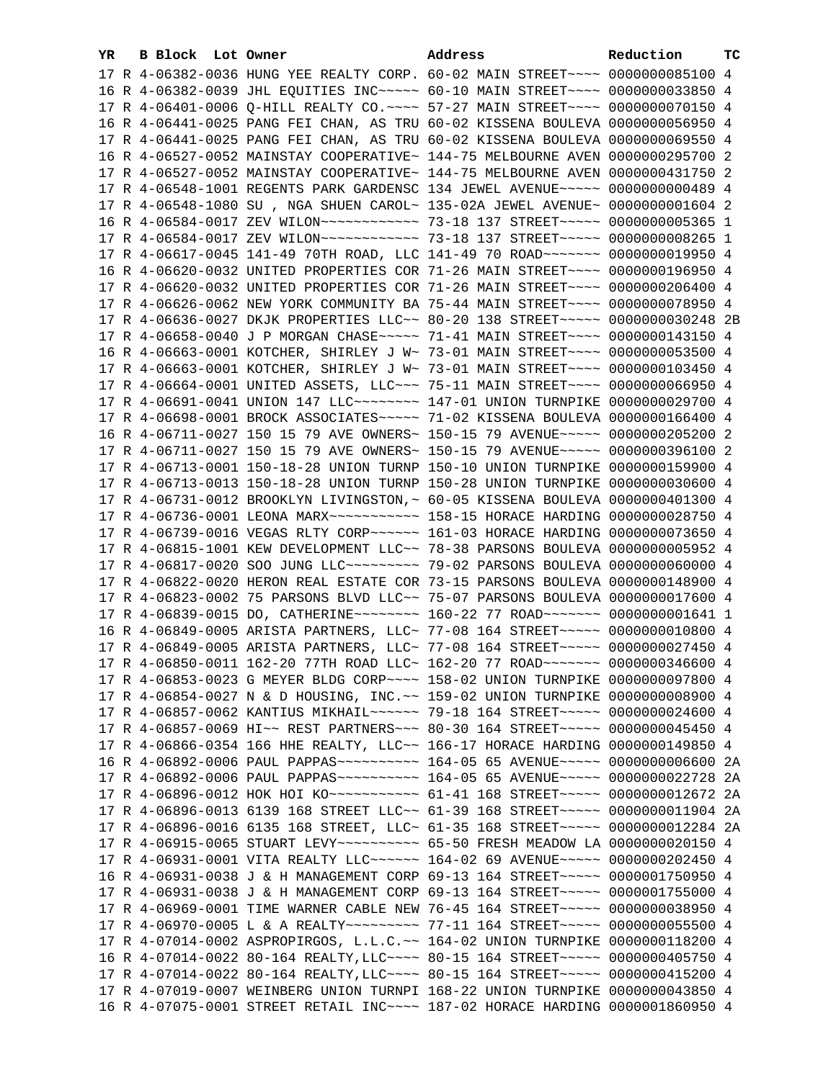| YR. | B Block Lot Owner |  | Address                                                                                                                                                           | Reduction | тc |
|-----|-------------------|--|-------------------------------------------------------------------------------------------------------------------------------------------------------------------|-----------|----|
|     |                   |  | 17 R 4-06382-0036 HUNG YEE REALTY CORP. 60-02 MAIN STREET~~~~ 0000000085100 4                                                                                     |           |    |
|     |                   |  | 16 R 4-06382-0039 JHL EQUITIES INC~~~~~ 60-10 MAIN STREET~~~~ 0000000033850 4                                                                                     |           |    |
|     |                   |  | 17 R 4-06401-0006 Q-HILL REALTY CO. ~~~~ 57-27 MAIN STREET~~~~ 0000000070150 4                                                                                    |           |    |
|     |                   |  | 16 R 4-06441-0025 PANG FEI CHAN, AS TRU 60-02 KISSENA BOULEVA 0000000056950 4                                                                                     |           |    |
|     |                   |  | 17 R 4-06441-0025 PANG FEI CHAN, AS TRU 60-02 KISSENA BOULEVA 0000000069550 4                                                                                     |           |    |
|     |                   |  | 16 R 4-06527-0052 MAINSTAY COOPERATIVE~ 144-75 MELBOURNE AVEN 0000000295700 2                                                                                     |           |    |
|     |                   |  | 17 R 4-06527-0052 MAINSTAY COOPERATIVE~ 144-75 MELBOURNE AVEN 0000000431750 2                                                                                     |           |    |
|     |                   |  | 17 R 4-06548-1001 REGENTS PARK GARDENSC 134 JEWEL AVENUE~~~~~ 0000000000489 4                                                                                     |           |    |
|     |                   |  | 17 R 4-06548-1080 SU, NGA SHUEN CAROL~ 135-02A JEWEL AVENUE~ 00000000001604 2                                                                                     |           |    |
|     |                   |  | 16 R 4-06584-0017 ZEV WILON~~~~~~~~~~~~~ 73-18 137 STREET~~~~~ 0000000005365 1                                                                                    |           |    |
|     |                   |  | 17 R 4-06584-0017 ZEV WILON~~~~~~~~~~~~~ 73-18 137 STREET~~~~~ 0000000008265 1                                                                                    |           |    |
|     |                   |  |                                                                                                                                                                   |           |    |
|     |                   |  | 17 R 4-06617-0045 141-49 70TH ROAD, LLC 141-49 70 ROAD ~~~~~~~ 0000000019950 4                                                                                    |           |    |
|     |                   |  | 16 R 4-06620-0032 UNITED PROPERTIES COR 71-26 MAIN STREET~~~~ 0000000196950 4                                                                                     |           |    |
|     |                   |  | 17 R 4-06620-0032 UNITED PROPERTIES COR 71-26 MAIN STREET~~~~ 0000000206400 4                                                                                     |           |    |
|     |                   |  | 17 R 4-06626-0062 NEW YORK COMMUNITY BA 75-44 MAIN STREET~~~~ 0000000078950 4                                                                                     |           |    |
|     |                   |  | 17 R 4-06636-0027 DKJK PROPERTIES LLC~~ 80-20 138 STREET~~~~~ 0000000030248 2B                                                                                    |           |    |
|     |                   |  | 17 R 4-06658-0040 J P MORGAN CHASE~~~~~ 71-41 MAIN STREET~~~~ 0000000143150 4                                                                                     |           |    |
|     |                   |  | 16 R 4-06663-0001 KOTCHER, SHIRLEY J W~ 73-01 MAIN STREET~~~~ 0000000053500 4                                                                                     |           |    |
|     |                   |  | 17 R 4-06663-0001 KOTCHER, SHIRLEY J W~ 73-01 MAIN STREET~~~~ 0000000103450 4                                                                                     |           |    |
|     |                   |  | 17 R 4-06664-0001 UNITED ASSETS, LLC -- 75-11 MAIN STREET -- 00000000066950 4                                                                                     |           |    |
|     |                   |  | 17 R 4-06691-0041 UNION 147 LLC ------- 147-01 UNION TURNPIKE 0000000029700 4                                                                                     |           |    |
|     |                   |  | 17 R 4-06698-0001 BROCK ASSOCIATES~~~~~ 71-02 KISSENA BOULEVA 0000000166400 4                                                                                     |           |    |
|     |                   |  | 16 R 4-06711-0027 150 15 79 AVE OWNERS~ 150-15 79 AVENUE~~~~~ 0000000205200 2                                                                                     |           |    |
|     |                   |  | 17 R 4-06711-0027 150 15 79 AVE OWNERS~ 150-15 79 AVENUE~~~~~ 0000000396100 2                                                                                     |           |    |
|     |                   |  | 17 R 4-06713-0001 150-18-28 UNION TURNP 150-10 UNION TURNPIKE 0000000159900 4                                                                                     |           |    |
|     |                   |  | 17 R 4-06713-0013 150-18-28 UNION TURNP 150-28 UNION TURNPIKE 0000000030600 4                                                                                     |           |    |
|     |                   |  | 17 R 4-06731-0012 BROOKLYN LIVINGSTON, ~ 60-05 KISSENA BOULEVA 0000000401300 4                                                                                    |           |    |
|     |                   |  |                                                                                                                                                                   |           |    |
|     |                   |  |                                                                                                                                                                   |           |    |
|     |                   |  | 17 R 4-06815-1001 KEW DEVELOPMENT LLC~~ 78-38 PARSONS BOULEVA 0000000005952 4                                                                                     |           |    |
|     |                   |  | 17 R 4-06817-0020 SOO JUNG LLC~~~~~~~~~~~~~~ 79-02 PARSONS BOULEVA 0000000060000 4                                                                                |           |    |
|     |                   |  | 17 R 4-06822-0020 HERON REAL ESTATE COR 73-15 PARSONS BOULEVA 0000000148900 4                                                                                     |           |    |
|     |                   |  | 17 R 4-06823-0002 75 PARSONS BLVD LLC~~ 75-07 PARSONS BOULEVA 0000000017600 4<br>17 R 4-06839-0015 DO, CATHERINE ------- 160-22 77 ROAD ------ 0000000001641 1    |           |    |
|     |                   |  |                                                                                                                                                                   |           |    |
|     |                   |  | 16 R 4-06849-0005 ARISTA PARTNERS, LLC~ 77-08 164 STREET~~~~~ 0000000010800 4                                                                                     |           |    |
|     |                   |  | 17 R 4-06849-0005 ARISTA PARTNERS, LLC~ 77-08 164 STREET~~~~~ 0000000027450 4<br>17 R 4-06850-0011 162-20 77TH ROAD LLC~ 162-20 77 ROAD~~~~~~~ 0000000346600 4    |           |    |
|     |                   |  |                                                                                                                                                                   |           |    |
|     |                   |  | 17 R 4-06853-0023 G MEYER BLDG CORP~~~~ 158-02 UNION TURNPIKE 0000000097800 4                                                                                     |           |    |
|     |                   |  | 17 R 4-06854-0027 N & D HOUSING, INC. ~~ 159-02 UNION TURNPIKE 0000000008900 4<br>17 R 4-06857-0062 KANTIUS MIKHAIL~~~~~~ 79-18 164 STREET~~~~~ 0000000024600 4   |           |    |
|     |                   |  |                                                                                                                                                                   |           |    |
|     |                   |  | 17 R 4-06857-0069 HI~~ REST PARTNERS~~~ 80-30 164 STREET~~~~~ 0000000045450 4                                                                                     |           |    |
|     |                   |  | 17 R 4-06866-0354 166 HHE REALTY, LLC~~ 166-17 HORACE HARDING 0000000149850 4<br>16 R 4-06892-0006 PAUL PAPPAS ---------- 164-05 65 AVENUE ----- 0000000006600 2A |           |    |
|     |                   |  | 17 R 4-06892-0006 PAUL PAPPAS ---------- 164-05 65 AVENUE ----- 0000000022728 2A                                                                                  |           |    |
|     |                   |  | 17 R 4-06896-0012 HOK HOI KO~~~~~~~~~~~ 61-41 168 STREET~~~~~ 0000000012672 2A                                                                                    |           |    |
|     |                   |  | 17 R 4-06896-0013 6139 168 STREET LLC~~ 61-39 168 STREET~~~~~ 0000000011904 2A                                                                                    |           |    |
|     |                   |  | 17 R 4-06896-0016 6135 168 STREET, LLC~ 61-35 168 STREET~~~~~ 0000000012284 2A                                                                                    |           |    |
|     |                   |  | 17 R 4-06915-0065 STUART LEVY~~~~~~~~~~~ 65-50 FRESH MEADOW LA 0000000020150 4                                                                                    |           |    |
|     |                   |  | 17 R 4-06931-0001 VITA REALTY LLC ----- 164-02 69 AVENUE ---- 0000000202450 4                                                                                     |           |    |
|     |                   |  | 16 R 4-06931-0038 J & H MANAGEMENT CORP 69-13 164 STREET~~~~~ 0000001750950 4                                                                                     |           |    |
|     |                   |  | 17 R 4-06931-0038 J & H MANAGEMENT CORP 69-13 164 STREET~~~~~ 0000001755000 4                                                                                     |           |    |
|     |                   |  | 17 R 4-06969-0001 TIME WARNER CABLE NEW 76-45 164 STREET~~~~~ 0000000038950 4                                                                                     |           |    |
|     |                   |  | 17 R 4-06970-0005 L & A REALTY~~~~~~~~~ 77-11 164 STREET~~~~~ 0000000055500 4                                                                                     |           |    |
|     |                   |  | 17 R 4-07014-0002 ASPROPIRGOS, L.L.C.~~ 164-02 UNION TURNPIKE 0000000118200 4                                                                                     |           |    |
|     |                   |  | 16 R 4-07014-0022 80-164 REALTY, LLC~~~~ 80-15 164 STREET~~~~~ 0000000405750 4                                                                                    |           |    |
|     |                   |  | 17 R 4-07014-0022 80-164 REALTY, LLC~~~~ 80-15 164 STREET~~~~~ 0000000415200 4                                                                                    |           |    |
|     |                   |  | 17 R 4-07019-0007 WEINBERG UNION TURNPI 168-22 UNION TURNPIKE 0000000043850 4                                                                                     |           |    |
|     |                   |  | 16 R 4-07075-0001 STREET RETAIL INC~~~~ 187-02 HORACE HARDING 0000001860950 4                                                                                     |           |    |
|     |                   |  |                                                                                                                                                                   |           |    |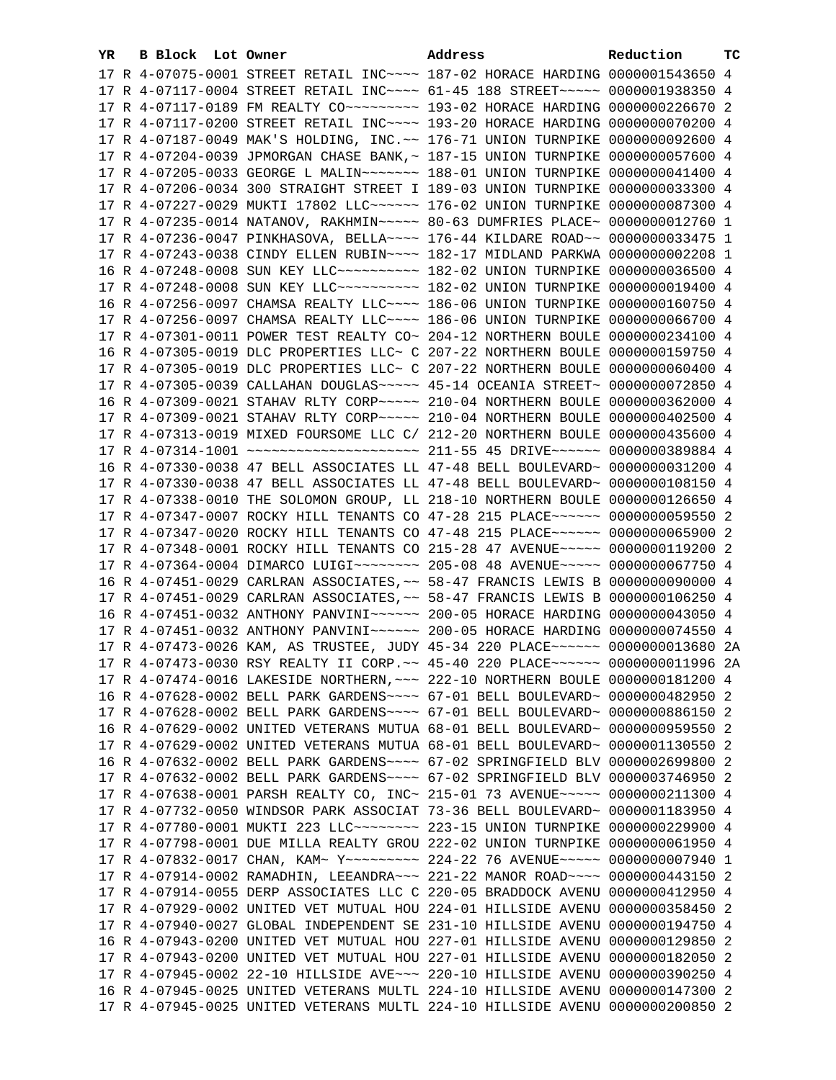| YR. | B Block Lot Owner |                                                                | Address                                                                                                                                                        | Reduction       | тc |
|-----|-------------------|----------------------------------------------------------------|----------------------------------------------------------------------------------------------------------------------------------------------------------------|-----------------|----|
|     |                   |                                                                | 17 R 4-07075-0001 STREET RETAIL INC~~~~ 187-02 HORACE HARDING 0000001543650 4                                                                                  |                 |    |
|     |                   |                                                                | 17 R 4-07117-0004 STREET RETAIL INC~~~~ 61-45 188 STREET~~~~~ 0000001938350 4                                                                                  |                 |    |
|     |                   |                                                                |                                                                                                                                                                |                 |    |
|     |                   |                                                                | 17 R 4-07117-0200 STREET RETAIL INC~~~~ 193-20 HORACE HARDING 0000000070200 4                                                                                  |                 |    |
|     |                   |                                                                | 17 R 4-07187-0049 MAK'S HOLDING, INC.~~ 176-71 UNION TURNPIKE                                                                                                  | 0000000092600 4 |    |
|     |                   |                                                                | 17 R 4-07204-0039 JPMORGAN CHASE BANK, ~ 187-15 UNION TURNPIKE 0000000057600 4                                                                                 |                 |    |
|     |                   | 17 R 4-07205-0033 GEORGE L MALIN~~~~~~~ 188-01 UNION TURNPIKE  |                                                                                                                                                                | 0000000041400 4 |    |
|     |                   | 17 R 4-07206-0034 300 STRAIGHT STREET I 189-03 UNION TURNPIKE  |                                                                                                                                                                | 0000000033300 4 |    |
|     |                   | 17 R 4-07227-0029 MUKTI 17802 LLC~~~~~~ 176-02 UNION TURNPIKE  |                                                                                                                                                                | 0000000087300 4 |    |
|     |                   | 17 R 4-07235-0014 NATANOV, RAKHMIN~~~~~ 80-63 DUMFRIES PLACE~  |                                                                                                                                                                | 0000000012760 1 |    |
|     |                   | 17 R 4-07236-0047 PINKHASOVA, BELLA~~~~ 176-44 KILDARE ROAD~~  |                                                                                                                                                                | 0000000033475 1 |    |
|     |                   |                                                                |                                                                                                                                                                | 0000000002208 1 |    |
|     |                   | 16 R 4-07248-0008 SUN KEY LLC ---------- 182-02 UNION TURNPIKE | 17 R 4-07243-0038 CINDY ELLEN RUBIN~~~~ 182-17 MIDLAND PARKWA                                                                                                  |                 |    |
|     |                   |                                                                |                                                                                                                                                                | 0000000036500 4 |    |
|     |                   |                                                                | 17 R 4-07248-0008 SUN KEY LLC --------- 182-02 UNION TURNPIKE 0000000019400 4                                                                                  |                 |    |
|     |                   |                                                                | 16 R 4-07256-0097 CHAMSA REALTY LLC~~~~ 186-06 UNION TURNPIKE 0000000160750 4                                                                                  |                 |    |
|     |                   |                                                                | 17 R 4-07256-0097 CHAMSA REALTY LLC ~~~~ 186-06 UNION TURNPIKE 0000000066700 4                                                                                 |                 |    |
|     |                   |                                                                | 17 R 4-07301-0011 POWER TEST REALTY CO~ 204-12 NORTHERN BOULE 0000000234100 4                                                                                  |                 |    |
|     |                   |                                                                | 16 R 4-07305-0019 DLC PROPERTIES LLC~ C 207-22 NORTHERN BOULE 0000000159750 4                                                                                  |                 |    |
|     |                   |                                                                | 17 R 4-07305-0019 DLC PROPERTIES LLC~ C 207-22 NORTHERN BOULE 0000000060400 4                                                                                  |                 |    |
|     |                   |                                                                | 17 R 4-07305-0039 CALLAHAN DOUGLAS ~~~~~ 45-14 OCEANIA STREET~ 0000000072850 4                                                                                 |                 |    |
|     |                   |                                                                | 16 R 4-07309-0021 STAHAV RLTY CORP~~~~~ 210-04 NORTHERN BOULE 0000000362000 4                                                                                  |                 |    |
|     |                   |                                                                | 17 R 4-07309-0021 STAHAV RLTY CORP~~~~~ 210-04 NORTHERN BOULE 0000000402500 4                                                                                  |                 |    |
|     |                   |                                                                | 17 R 4-07313-0019 MIXED FOURSOME LLC C/ 212-20 NORTHERN BOULE 0000000435600 4                                                                                  |                 |    |
|     |                   |                                                                | 17 R 4-07314-1001 ~~~~~~~~~~~~~~~~~~~~ 211-55 45 DRIVE~~~~~~ 0000000389884 4                                                                                   |                 |    |
|     |                   |                                                                | 16 R 4-07330-0038 47 BELL ASSOCIATES LL 47-48 BELL BOULEVARD~ 0000000031200 4                                                                                  |                 |    |
|     |                   |                                                                | 17 R 4-07330-0038 47 BELL ASSOCIATES LL 47-48 BELL BOULEVARD~ 0000000108150 4                                                                                  |                 |    |
|     |                   |                                                                | 17 R 4-07338-0010 THE SOLOMON GROUP, LL 218-10 NORTHERN BOULE 0000000126650 4                                                                                  |                 |    |
|     |                   |                                                                | 17 R 4-07347-0007 ROCKY HILL TENANTS CO 47-28 215 PLACE~~~~~~ 0000000059550 2                                                                                  |                 |    |
|     |                   |                                                                | 17 R 4-07347-0020 ROCKY HILL TENANTS CO 47-48 215 PLACE~~~~~~ 0000000065900 2                                                                                  |                 |    |
|     |                   |                                                                | 17 R 4-07348-0001 ROCKY HILL TENANTS CO 215-28 47 AVENUE~~~~~ 0000000119200 2                                                                                  |                 |    |
|     |                   |                                                                | 17 R 4-07364-0004 DIMARCO LUIGI~~~~~~~~ 205-08 48 AVENUE~~~~~ 0000000067750 4                                                                                  |                 |    |
|     |                   |                                                                | 16 R 4-07451-0029 CARLRAN ASSOCIATES, ~~ 58-47 FRANCIS LEWIS B 0000000090000 4                                                                                 |                 |    |
|     |                   |                                                                | 17 R 4-07451-0029 CARLRAN ASSOCIATES, ~~ 58-47 FRANCIS LEWIS B 0000000106250 4                                                                                 |                 |    |
|     |                   |                                                                | 16 R 4-07451-0032 ANTHONY PANVINI~~~~~~ 200-05 HORACE HARDING 0000000043050 4                                                                                  |                 |    |
|     |                   |                                                                | 17 R 4-07451-0032 ANTHONY PANVINI~~~~~~ 200-05 HORACE HARDING 0000000074550 4                                                                                  |                 |    |
|     |                   |                                                                | 17 R 4-07473-0026 KAM, AS TRUSTEE, JUDY 45-34 220 PLACE~~~~~~ 0000000013680 2A                                                                                 |                 |    |
|     |                   |                                                                | 17 R 4-07473-0030 RSY REALTY II CORP. ~~ 45-40 220 PLACE~~~~~~ 00000000011996 2A                                                                               |                 |    |
|     |                   |                                                                | 17 R 4-07474-0016 LAKESIDE NORTHERN, ~~~ 222-10 NORTHERN BOULE 0000000181200 4                                                                                 |                 |    |
|     |                   |                                                                | 16 R 4-07628-0002 BELL PARK GARDENS~~~~ 67-01 BELL BOULEVARD~ 0000000482950 2                                                                                  |                 |    |
|     |                   |                                                                | 17 R 4-07628-0002 BELL PARK GARDENS~~~~ 67-01 BELL BOULEVARD~ 0000000886150 2                                                                                  |                 |    |
|     |                   |                                                                | 16 R 4-07629-0002 UNITED VETERANS MUTUA 68-01 BELL BOULEVARD~ 0000000959550 2                                                                                  |                 |    |
|     |                   |                                                                | 17 R 4-07629-0002 UNITED VETERANS MUTUA 68-01 BELL BOULEVARD~ 0000001130550 2                                                                                  |                 |    |
|     |                   |                                                                | 16 R 4-07632-0002 BELL PARK GARDENS~~~~ 67-02 SPRINGFIELD BLV 0000002699800 2                                                                                  |                 |    |
|     |                   |                                                                | 17 R 4-07632-0002 BELL PARK GARDENS~~~~ 67-02 SPRINGFIELD BLV 0000003746950 2                                                                                  |                 |    |
|     |                   |                                                                | 17 R 4-07638-0001 PARSH REALTY CO, INC~ 215-01 73 AVENUE~~~~~ 0000000211300 4                                                                                  |                 |    |
|     |                   |                                                                | 17 R 4-07732-0050 WINDSOR PARK ASSOCIAT 73-36 BELL BOULEVARD~ 0000001183950 4                                                                                  |                 |    |
|     |                   |                                                                | 17 R 4-07780-0001 MUKTI 223 LLC ------- 223-15 UNION TURNPIKE 0000000229900 4                                                                                  |                 |    |
|     |                   |                                                                | 17 R 4-07798-0001 DUE MILLA REALTY GROU 222-02 UNION TURNPIKE 0000000061950 4                                                                                  |                 |    |
|     |                   |                                                                | 17 R 4-07832-0017 CHAN, KAM~ Y~~~~~~~~~~~~~~ 224-22 76 AVENUE~~~~~~ 00000000007940 1                                                                           |                 |    |
|     |                   |                                                                | 17 R 4-07914-0002 RAMADHIN, LEEANDRA~~~ 221-22 MANOR ROAD~~~~ 0000000443150 2                                                                                  |                 |    |
|     |                   |                                                                | 17 R 4-07914-0055 DERP ASSOCIATES LLC C 220-05 BRADDOCK AVENU 0000000412950 4                                                                                  |                 |    |
|     |                   |                                                                | 17 R 4-07929-0002 UNITED VET MUTUAL HOU 224-01 HILLSIDE AVENU 0000000358450 2<br>17 R 4-07940-0027 GLOBAL INDEPENDENT SE 231-10 HILLSIDE AVENU 0000000194750 4 |                 |    |
|     |                   |                                                                | 16 R 4-07943-0200 UNITED VET MUTUAL HOU 227-01 HILLSIDE AVENU 0000000129850 2                                                                                  |                 |    |
|     |                   |                                                                | 17 R 4-07943-0200 UNITED VET MUTUAL HOU 227-01 HILLSIDE AVENU 0000000182050 2                                                                                  |                 |    |
|     |                   |                                                                | 17 R 4-07945-0002 22-10 HILLSIDE AVE~~~ 220-10 HILLSIDE AVENU 0000000390250 4                                                                                  |                 |    |
|     |                   |                                                                | 16 R 4-07945-0025 UNITED VETERANS MULTL 224-10 HILLSIDE AVENU 0000000147300 2                                                                                  |                 |    |
|     |                   |                                                                | 17 R 4-07945-0025 UNITED VETERANS MULTL 224-10 HILLSIDE AVENU 0000000200850 2                                                                                  |                 |    |
|     |                   |                                                                |                                                                                                                                                                |                 |    |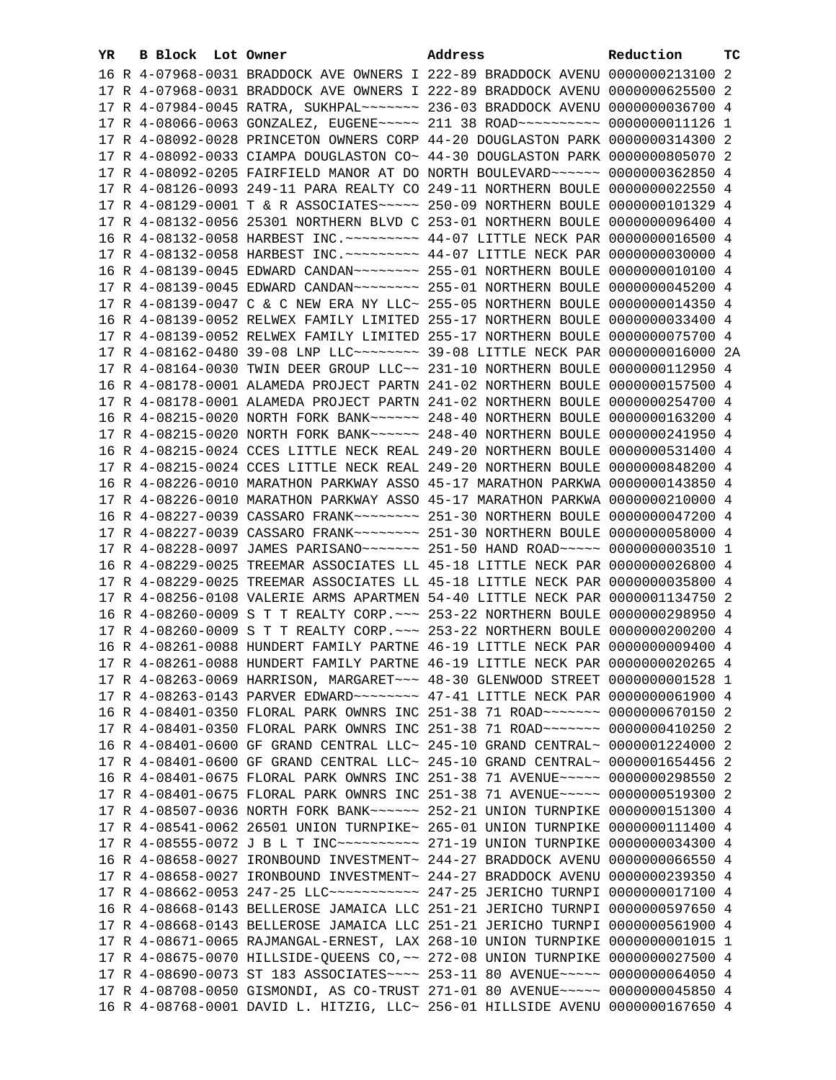| 16 R 4-07968-0031 BRADDOCK AVE OWNERS I 222-89 BRADDOCK AVENU 0000000213100 2<br>17 R 4-07968-0031 BRADDOCK AVE OWNERS I 222-89 BRADDOCK AVENU 0000000625500 2<br>17 R 4-07984-0045 RATRA, SUKHPAL~~~~~~~ 236-03 BRADDOCK AVENU 0000000036700 4<br>17 R 4-08066-0063 GONZALEZ, EUGENE~~~~~ 211 38 ROAD~~~~~~~~~~ 0000000011126 1<br>17 R 4-08092-0028 PRINCETON OWNERS CORP 44-20 DOUGLASTON PARK 0000000314300 2<br>17 R 4-08092-0033 CIAMPA DOUGLASTON CO~ 44-30 DOUGLASTON PARK 0000000805070 2<br>17 R 4-08092-0205 FAIRFIELD MANOR AT DO NORTH BOULEVARD ~~~~~~<br>0000000362850 4<br>17 R 4-08126-0093 249-11 PARA REALTY CO 249-11 NORTHERN BOULE<br>0000000022550 4<br>17 R 4-08129-0001 T & R ASSOCIATES~~~~~ 250-09 NORTHERN BOULE<br>0000000101329 4<br>17 R 4-08132-0056 25301 NORTHERN BLVD C 253-01 NORTHERN BOULE<br>0000000096400 4<br>16 R 4-08132-0058 HARBEST INC. ~~~~~~~~~ 44-07 LITTLE NECK PAR 0000000016500 4<br>17 R 4-08132-0058 HARBEST INC. ~~~~~~~~~ 44-07 LITTLE NECK PAR 0000000030000 4<br>16 R 4-08139-0045 EDWARD CANDAN~~~~~~~~ 255-01 NORTHERN BOULE<br>0000000010100 4<br>17 R 4-08139-0045 EDWARD CANDAN~~~~~~~~~~~~~~ 255-01 NORTHERN BOULE<br>0000000045200 4<br>17 R 4-08139-0047 C & C NEW ERA NY LLC~ 255-05 NORTHERN BOULE<br>0000000014350 4<br>16 R 4-08139-0052 RELWEX FAMILY LIMITED 255-17 NORTHERN BOULE<br>0000000033400 4<br>17 R 4-08139-0052 RELWEX FAMILY LIMITED 255-17 NORTHERN BOULE 0000000075700 4<br>17 R 4-08162-0480 39-08 LNP LLC -------- 39-08 LITTLE NECK PAR 0000000016000 2A<br>17 R 4-08164-0030 TWIN DEER GROUP LLC~~ 231-10 NORTHERN BOULE 0000000112950 4<br>16 R 4-08178-0001 ALAMEDA PROJECT PARTN 241-02 NORTHERN BOULE 0000000157500 4<br>17 R 4-08178-0001 ALAMEDA PROJECT PARTN 241-02 NORTHERN BOULE 0000000254700 4<br>16 R 4-08215-0020 NORTH FORK BANK~~~~~~ 248-40 NORTHERN BOULE 0000000163200 4<br>17 R 4-08215-0020 NORTH FORK BANK~~~~~~ 248-40 NORTHERN BOULE 0000000241950 4<br>16 R 4-08215-0024 CCES LITTLE NECK REAL 249-20 NORTHERN BOULE 0000000531400 4<br>17 R 4-08215-0024 CCES LITTLE NECK REAL 249-20 NORTHERN BOULE 0000000848200 4<br>16 R 4-08226-0010 MARATHON PARKWAY ASSO 45-17 MARATHON PARKWA 0000000143850 4<br>17 R 4-08226-0010 MARATHON PARKWAY ASSO 45-17 MARATHON PARKWA 0000000210000 4<br>16 R 4-08227-0039 CASSARO FRANK~~~~~~~~ 251-30 NORTHERN BOULE 0000000047200 4<br>17 R 4-08227-0039 CASSARO FRANK~~~~~~~~ 251-30 NORTHERN BOULE 0000000058000 4<br>17 R 4-08228-0097 JAMES PARISANO~~~~~~~~~~~~~ 251-50 HAND ROAD~~~~~~ 00000000003510 1<br>16 R 4-08229-0025 TREEMAR ASSOCIATES LL 45-18 LITTLE NECK PAR 0000000026800 4<br>17 R 4-08229-0025 TREEMAR ASSOCIATES LL 45-18 LITTLE NECK PAR 0000000035800 4<br>17 R 4-08256-0108 VALERIE ARMS APARTMEN 54-40 LITTLE NECK PAR 0000001134750 2<br>16 R 4-08260-0009 S T T REALTY CORP. ~~~ 253-22 NORTHERN BOULE 0000000298950 4<br>17 R 4-08260-0009 S T T REALTY CORP. ~~~ 253-22 NORTHERN BOULE 0000000200200 4<br>16 R 4-08261-0088 HUNDERT FAMILY PARTNE 46-19 LITTLE NECK PAR 0000000009400 4<br>17 R 4-08261-0088 HUNDERT FAMILY PARTNE 46-19 LITTLE NECK PAR 0000000020265 4<br>17 R 4-08263-0069 HARRISON, MARGARET~~~ 48-30 GLENWOOD STREET 0000000001528 1<br>17 R 4-08263-0143 PARVER EDWARD~~~~~~~~ 47-41 LITTLE NECK PAR 0000000061900 4<br>16 R 4-08401-0350 FLORAL PARK OWNRS INC 251-38 71 ROAD ~~~~~~~ 0000000670150 2<br>17 R 4-08401-0350 FLORAL PARK OWNRS INC 251-38 71 ROAD~~~~~~~ 0000000410250 2<br>16 R 4-08401-0600 GF GRAND CENTRAL LLC~ 245-10 GRAND CENTRAL~ 0000001224000 2<br>17 R 4-08401-0600 GF GRAND CENTRAL LLC~ 245-10 GRAND CENTRAL~ 0000001654456 2<br>16 R 4-08401-0675 FLORAL PARK OWNRS INC 251-38 71 AVENUE~~~~~ 0000000298550 2<br>17 R 4-08401-0675 FLORAL PARK OWNRS INC 251-38 71 AVENUE~~~~~ 0000000519300 2<br>17 R 4-08507-0036 NORTH FORK BANK~~~~~~ 252-21 UNION TURNPIKE 0000000151300 4<br>17 R 4-08541-0062 26501 UNION TURNPIKE~ 265-01 UNION TURNPIKE 0000000111400 4<br>16 R 4-08658-0027 IRONBOUND INVESTMENT~ 244-27 BRADDOCK AVENU 0000000066550 4<br>17 R 4-08658-0027 IRONBOUND INVESTMENT~ 244-27 BRADDOCK AVENU 0000000239350 4<br>17 R 4-08662-0053 247-25 LLC ----------- 247-25 JERICHO TURNPI 0000000017100 4<br>16 R 4-08668-0143 BELLEROSE JAMAICA LLC 251-21 JERICHO TURNPI 0000000597650 4<br>17 R 4-08668-0143 BELLEROSE JAMAICA LLC 251-21 JERICHO TURNPI 0000000561900 4<br>17 R 4-08671-0065 RAJMANGAL-ERNEST, LAX 268-10 UNION TURNPIKE 00000000001015 1<br>17 R 4-08675-0070 HILLSIDE-QUEENS CO, ~~ 272-08 UNION TURNPIKE 0000000027500 4<br>17 R 4-08690-0073 ST 183 ASSOCIATES~~~~ 253-11 80 AVENUE~~~~~ 0000000064050 4<br>17 R 4-08708-0050 GISMONDI, AS CO-TRUST 271-01 80 AVENUE~~~~~ 0000000045850 4<br>16 R 4-08768-0001 DAVID L. HITZIG, LLC~ 256-01 HILLSIDE AVENU 0000000167650 4 | YR. | B Block Lot Owner |  | Address | Reduction | тc |
|--------------------------------------------------------------------------------------------------------------------------------------------------------------------------------------------------------------------------------------------------------------------------------------------------------------------------------------------------------------------------------------------------------------------------------------------------------------------------------------------------------------------------------------------------------------------------------------------------------------------------------------------------------------------------------------------------------------------------------------------------------------------------------------------------------------------------------------------------------------------------------------------------------------------------------------------------------------------------------------------------------------------------------------------------------------------------------------------------------------------------------------------------------------------------------------------------------------------------------------------------------------------------------------------------------------------------------------------------------------------------------------------------------------------------------------------------------------------------------------------------------------------------------------------------------------------------------------------------------------------------------------------------------------------------------------------------------------------------------------------------------------------------------------------------------------------------------------------------------------------------------------------------------------------------------------------------------------------------------------------------------------------------------------------------------------------------------------------------------------------------------------------------------------------------------------------------------------------------------------------------------------------------------------------------------------------------------------------------------------------------------------------------------------------------------------------------------------------------------------------------------------------------------------------------------------------------------------------------------------------------------------------------------------------------------------------------------------------------------------------------------------------------------------------------------------------------------------------------------------------------------------------------------------------------------------------------------------------------------------------------------------------------------------------------------------------------------------------------------------------------------------------------------------------------------------------------------------------------------------------------------------------------------------------------------------------------------------------------------------------------------------------------------------------------------------------------------------------------------------------------------------------------------------------------------------------------------------------------------------------------------------------------------------------------------------------------------------------------------------------------------------------------------------------------------------------------------------------------------------------------------------------------------------------------------------------------------------------------------------------------------------------------------------------------------------------------------------------------------------------------------------------------------------------------------------------------------------------------------------------------------------------------------------------------------------------------------------------------------------------------------------------------------------------------------------------------------------------------------------------------------------------------------------------------------------------------------------------------------------------------------------------------------------------------------------------------------------------------------------------------------------------------------------------------------------------------------------------------------|-----|-------------------|--|---------|-----------|----|
|                                                                                                                                                                                                                                                                                                                                                                                                                                                                                                                                                                                                                                                                                                                                                                                                                                                                                                                                                                                                                                                                                                                                                                                                                                                                                                                                                                                                                                                                                                                                                                                                                                                                                                                                                                                                                                                                                                                                                                                                                                                                                                                                                                                                                                                                                                                                                                                                                                                                                                                                                                                                                                                                                                                                                                                                                                                                                                                                                                                                                                                                                                                                                                                                                                                                                                                                                                                                                                                                                                                                                                                                                                                                                                                                                                                                                                                                                                                                                                                                                                                                                                                                                                                                                                                                                                                                                                                                                                                                                                                                                                                                                                                                                                                                                                                                                                                        |     |                   |  |         |           |    |
|                                                                                                                                                                                                                                                                                                                                                                                                                                                                                                                                                                                                                                                                                                                                                                                                                                                                                                                                                                                                                                                                                                                                                                                                                                                                                                                                                                                                                                                                                                                                                                                                                                                                                                                                                                                                                                                                                                                                                                                                                                                                                                                                                                                                                                                                                                                                                                                                                                                                                                                                                                                                                                                                                                                                                                                                                                                                                                                                                                                                                                                                                                                                                                                                                                                                                                                                                                                                                                                                                                                                                                                                                                                                                                                                                                                                                                                                                                                                                                                                                                                                                                                                                                                                                                                                                                                                                                                                                                                                                                                                                                                                                                                                                                                                                                                                                                                        |     |                   |  |         |           |    |
|                                                                                                                                                                                                                                                                                                                                                                                                                                                                                                                                                                                                                                                                                                                                                                                                                                                                                                                                                                                                                                                                                                                                                                                                                                                                                                                                                                                                                                                                                                                                                                                                                                                                                                                                                                                                                                                                                                                                                                                                                                                                                                                                                                                                                                                                                                                                                                                                                                                                                                                                                                                                                                                                                                                                                                                                                                                                                                                                                                                                                                                                                                                                                                                                                                                                                                                                                                                                                                                                                                                                                                                                                                                                                                                                                                                                                                                                                                                                                                                                                                                                                                                                                                                                                                                                                                                                                                                                                                                                                                                                                                                                                                                                                                                                                                                                                                                        |     |                   |  |         |           |    |
|                                                                                                                                                                                                                                                                                                                                                                                                                                                                                                                                                                                                                                                                                                                                                                                                                                                                                                                                                                                                                                                                                                                                                                                                                                                                                                                                                                                                                                                                                                                                                                                                                                                                                                                                                                                                                                                                                                                                                                                                                                                                                                                                                                                                                                                                                                                                                                                                                                                                                                                                                                                                                                                                                                                                                                                                                                                                                                                                                                                                                                                                                                                                                                                                                                                                                                                                                                                                                                                                                                                                                                                                                                                                                                                                                                                                                                                                                                                                                                                                                                                                                                                                                                                                                                                                                                                                                                                                                                                                                                                                                                                                                                                                                                                                                                                                                                                        |     |                   |  |         |           |    |
|                                                                                                                                                                                                                                                                                                                                                                                                                                                                                                                                                                                                                                                                                                                                                                                                                                                                                                                                                                                                                                                                                                                                                                                                                                                                                                                                                                                                                                                                                                                                                                                                                                                                                                                                                                                                                                                                                                                                                                                                                                                                                                                                                                                                                                                                                                                                                                                                                                                                                                                                                                                                                                                                                                                                                                                                                                                                                                                                                                                                                                                                                                                                                                                                                                                                                                                                                                                                                                                                                                                                                                                                                                                                                                                                                                                                                                                                                                                                                                                                                                                                                                                                                                                                                                                                                                                                                                                                                                                                                                                                                                                                                                                                                                                                                                                                                                                        |     |                   |  |         |           |    |
|                                                                                                                                                                                                                                                                                                                                                                                                                                                                                                                                                                                                                                                                                                                                                                                                                                                                                                                                                                                                                                                                                                                                                                                                                                                                                                                                                                                                                                                                                                                                                                                                                                                                                                                                                                                                                                                                                                                                                                                                                                                                                                                                                                                                                                                                                                                                                                                                                                                                                                                                                                                                                                                                                                                                                                                                                                                                                                                                                                                                                                                                                                                                                                                                                                                                                                                                                                                                                                                                                                                                                                                                                                                                                                                                                                                                                                                                                                                                                                                                                                                                                                                                                                                                                                                                                                                                                                                                                                                                                                                                                                                                                                                                                                                                                                                                                                                        |     |                   |  |         |           |    |
|                                                                                                                                                                                                                                                                                                                                                                                                                                                                                                                                                                                                                                                                                                                                                                                                                                                                                                                                                                                                                                                                                                                                                                                                                                                                                                                                                                                                                                                                                                                                                                                                                                                                                                                                                                                                                                                                                                                                                                                                                                                                                                                                                                                                                                                                                                                                                                                                                                                                                                                                                                                                                                                                                                                                                                                                                                                                                                                                                                                                                                                                                                                                                                                                                                                                                                                                                                                                                                                                                                                                                                                                                                                                                                                                                                                                                                                                                                                                                                                                                                                                                                                                                                                                                                                                                                                                                                                                                                                                                                                                                                                                                                                                                                                                                                                                                                                        |     |                   |  |         |           |    |
|                                                                                                                                                                                                                                                                                                                                                                                                                                                                                                                                                                                                                                                                                                                                                                                                                                                                                                                                                                                                                                                                                                                                                                                                                                                                                                                                                                                                                                                                                                                                                                                                                                                                                                                                                                                                                                                                                                                                                                                                                                                                                                                                                                                                                                                                                                                                                                                                                                                                                                                                                                                                                                                                                                                                                                                                                                                                                                                                                                                                                                                                                                                                                                                                                                                                                                                                                                                                                                                                                                                                                                                                                                                                                                                                                                                                                                                                                                                                                                                                                                                                                                                                                                                                                                                                                                                                                                                                                                                                                                                                                                                                                                                                                                                                                                                                                                                        |     |                   |  |         |           |    |
|                                                                                                                                                                                                                                                                                                                                                                                                                                                                                                                                                                                                                                                                                                                                                                                                                                                                                                                                                                                                                                                                                                                                                                                                                                                                                                                                                                                                                                                                                                                                                                                                                                                                                                                                                                                                                                                                                                                                                                                                                                                                                                                                                                                                                                                                                                                                                                                                                                                                                                                                                                                                                                                                                                                                                                                                                                                                                                                                                                                                                                                                                                                                                                                                                                                                                                                                                                                                                                                                                                                                                                                                                                                                                                                                                                                                                                                                                                                                                                                                                                                                                                                                                                                                                                                                                                                                                                                                                                                                                                                                                                                                                                                                                                                                                                                                                                                        |     |                   |  |         |           |    |
|                                                                                                                                                                                                                                                                                                                                                                                                                                                                                                                                                                                                                                                                                                                                                                                                                                                                                                                                                                                                                                                                                                                                                                                                                                                                                                                                                                                                                                                                                                                                                                                                                                                                                                                                                                                                                                                                                                                                                                                                                                                                                                                                                                                                                                                                                                                                                                                                                                                                                                                                                                                                                                                                                                                                                                                                                                                                                                                                                                                                                                                                                                                                                                                                                                                                                                                                                                                                                                                                                                                                                                                                                                                                                                                                                                                                                                                                                                                                                                                                                                                                                                                                                                                                                                                                                                                                                                                                                                                                                                                                                                                                                                                                                                                                                                                                                                                        |     |                   |  |         |           |    |
|                                                                                                                                                                                                                                                                                                                                                                                                                                                                                                                                                                                                                                                                                                                                                                                                                                                                                                                                                                                                                                                                                                                                                                                                                                                                                                                                                                                                                                                                                                                                                                                                                                                                                                                                                                                                                                                                                                                                                                                                                                                                                                                                                                                                                                                                                                                                                                                                                                                                                                                                                                                                                                                                                                                                                                                                                                                                                                                                                                                                                                                                                                                                                                                                                                                                                                                                                                                                                                                                                                                                                                                                                                                                                                                                                                                                                                                                                                                                                                                                                                                                                                                                                                                                                                                                                                                                                                                                                                                                                                                                                                                                                                                                                                                                                                                                                                                        |     |                   |  |         |           |    |
|                                                                                                                                                                                                                                                                                                                                                                                                                                                                                                                                                                                                                                                                                                                                                                                                                                                                                                                                                                                                                                                                                                                                                                                                                                                                                                                                                                                                                                                                                                                                                                                                                                                                                                                                                                                                                                                                                                                                                                                                                                                                                                                                                                                                                                                                                                                                                                                                                                                                                                                                                                                                                                                                                                                                                                                                                                                                                                                                                                                                                                                                                                                                                                                                                                                                                                                                                                                                                                                                                                                                                                                                                                                                                                                                                                                                                                                                                                                                                                                                                                                                                                                                                                                                                                                                                                                                                                                                                                                                                                                                                                                                                                                                                                                                                                                                                                                        |     |                   |  |         |           |    |
|                                                                                                                                                                                                                                                                                                                                                                                                                                                                                                                                                                                                                                                                                                                                                                                                                                                                                                                                                                                                                                                                                                                                                                                                                                                                                                                                                                                                                                                                                                                                                                                                                                                                                                                                                                                                                                                                                                                                                                                                                                                                                                                                                                                                                                                                                                                                                                                                                                                                                                                                                                                                                                                                                                                                                                                                                                                                                                                                                                                                                                                                                                                                                                                                                                                                                                                                                                                                                                                                                                                                                                                                                                                                                                                                                                                                                                                                                                                                                                                                                                                                                                                                                                                                                                                                                                                                                                                                                                                                                                                                                                                                                                                                                                                                                                                                                                                        |     |                   |  |         |           |    |
|                                                                                                                                                                                                                                                                                                                                                                                                                                                                                                                                                                                                                                                                                                                                                                                                                                                                                                                                                                                                                                                                                                                                                                                                                                                                                                                                                                                                                                                                                                                                                                                                                                                                                                                                                                                                                                                                                                                                                                                                                                                                                                                                                                                                                                                                                                                                                                                                                                                                                                                                                                                                                                                                                                                                                                                                                                                                                                                                                                                                                                                                                                                                                                                                                                                                                                                                                                                                                                                                                                                                                                                                                                                                                                                                                                                                                                                                                                                                                                                                                                                                                                                                                                                                                                                                                                                                                                                                                                                                                                                                                                                                                                                                                                                                                                                                                                                        |     |                   |  |         |           |    |
|                                                                                                                                                                                                                                                                                                                                                                                                                                                                                                                                                                                                                                                                                                                                                                                                                                                                                                                                                                                                                                                                                                                                                                                                                                                                                                                                                                                                                                                                                                                                                                                                                                                                                                                                                                                                                                                                                                                                                                                                                                                                                                                                                                                                                                                                                                                                                                                                                                                                                                                                                                                                                                                                                                                                                                                                                                                                                                                                                                                                                                                                                                                                                                                                                                                                                                                                                                                                                                                                                                                                                                                                                                                                                                                                                                                                                                                                                                                                                                                                                                                                                                                                                                                                                                                                                                                                                                                                                                                                                                                                                                                                                                                                                                                                                                                                                                                        |     |                   |  |         |           |    |
|                                                                                                                                                                                                                                                                                                                                                                                                                                                                                                                                                                                                                                                                                                                                                                                                                                                                                                                                                                                                                                                                                                                                                                                                                                                                                                                                                                                                                                                                                                                                                                                                                                                                                                                                                                                                                                                                                                                                                                                                                                                                                                                                                                                                                                                                                                                                                                                                                                                                                                                                                                                                                                                                                                                                                                                                                                                                                                                                                                                                                                                                                                                                                                                                                                                                                                                                                                                                                                                                                                                                                                                                                                                                                                                                                                                                                                                                                                                                                                                                                                                                                                                                                                                                                                                                                                                                                                                                                                                                                                                                                                                                                                                                                                                                                                                                                                                        |     |                   |  |         |           |    |
|                                                                                                                                                                                                                                                                                                                                                                                                                                                                                                                                                                                                                                                                                                                                                                                                                                                                                                                                                                                                                                                                                                                                                                                                                                                                                                                                                                                                                                                                                                                                                                                                                                                                                                                                                                                                                                                                                                                                                                                                                                                                                                                                                                                                                                                                                                                                                                                                                                                                                                                                                                                                                                                                                                                                                                                                                                                                                                                                                                                                                                                                                                                                                                                                                                                                                                                                                                                                                                                                                                                                                                                                                                                                                                                                                                                                                                                                                                                                                                                                                                                                                                                                                                                                                                                                                                                                                                                                                                                                                                                                                                                                                                                                                                                                                                                                                                                        |     |                   |  |         |           |    |
|                                                                                                                                                                                                                                                                                                                                                                                                                                                                                                                                                                                                                                                                                                                                                                                                                                                                                                                                                                                                                                                                                                                                                                                                                                                                                                                                                                                                                                                                                                                                                                                                                                                                                                                                                                                                                                                                                                                                                                                                                                                                                                                                                                                                                                                                                                                                                                                                                                                                                                                                                                                                                                                                                                                                                                                                                                                                                                                                                                                                                                                                                                                                                                                                                                                                                                                                                                                                                                                                                                                                                                                                                                                                                                                                                                                                                                                                                                                                                                                                                                                                                                                                                                                                                                                                                                                                                                                                                                                                                                                                                                                                                                                                                                                                                                                                                                                        |     |                   |  |         |           |    |
|                                                                                                                                                                                                                                                                                                                                                                                                                                                                                                                                                                                                                                                                                                                                                                                                                                                                                                                                                                                                                                                                                                                                                                                                                                                                                                                                                                                                                                                                                                                                                                                                                                                                                                                                                                                                                                                                                                                                                                                                                                                                                                                                                                                                                                                                                                                                                                                                                                                                                                                                                                                                                                                                                                                                                                                                                                                                                                                                                                                                                                                                                                                                                                                                                                                                                                                                                                                                                                                                                                                                                                                                                                                                                                                                                                                                                                                                                                                                                                                                                                                                                                                                                                                                                                                                                                                                                                                                                                                                                                                                                                                                                                                                                                                                                                                                                                                        |     |                   |  |         |           |    |
|                                                                                                                                                                                                                                                                                                                                                                                                                                                                                                                                                                                                                                                                                                                                                                                                                                                                                                                                                                                                                                                                                                                                                                                                                                                                                                                                                                                                                                                                                                                                                                                                                                                                                                                                                                                                                                                                                                                                                                                                                                                                                                                                                                                                                                                                                                                                                                                                                                                                                                                                                                                                                                                                                                                                                                                                                                                                                                                                                                                                                                                                                                                                                                                                                                                                                                                                                                                                                                                                                                                                                                                                                                                                                                                                                                                                                                                                                                                                                                                                                                                                                                                                                                                                                                                                                                                                                                                                                                                                                                                                                                                                                                                                                                                                                                                                                                                        |     |                   |  |         |           |    |
|                                                                                                                                                                                                                                                                                                                                                                                                                                                                                                                                                                                                                                                                                                                                                                                                                                                                                                                                                                                                                                                                                                                                                                                                                                                                                                                                                                                                                                                                                                                                                                                                                                                                                                                                                                                                                                                                                                                                                                                                                                                                                                                                                                                                                                                                                                                                                                                                                                                                                                                                                                                                                                                                                                                                                                                                                                                                                                                                                                                                                                                                                                                                                                                                                                                                                                                                                                                                                                                                                                                                                                                                                                                                                                                                                                                                                                                                                                                                                                                                                                                                                                                                                                                                                                                                                                                                                                                                                                                                                                                                                                                                                                                                                                                                                                                                                                                        |     |                   |  |         |           |    |
|                                                                                                                                                                                                                                                                                                                                                                                                                                                                                                                                                                                                                                                                                                                                                                                                                                                                                                                                                                                                                                                                                                                                                                                                                                                                                                                                                                                                                                                                                                                                                                                                                                                                                                                                                                                                                                                                                                                                                                                                                                                                                                                                                                                                                                                                                                                                                                                                                                                                                                                                                                                                                                                                                                                                                                                                                                                                                                                                                                                                                                                                                                                                                                                                                                                                                                                                                                                                                                                                                                                                                                                                                                                                                                                                                                                                                                                                                                                                                                                                                                                                                                                                                                                                                                                                                                                                                                                                                                                                                                                                                                                                                                                                                                                                                                                                                                                        |     |                   |  |         |           |    |
|                                                                                                                                                                                                                                                                                                                                                                                                                                                                                                                                                                                                                                                                                                                                                                                                                                                                                                                                                                                                                                                                                                                                                                                                                                                                                                                                                                                                                                                                                                                                                                                                                                                                                                                                                                                                                                                                                                                                                                                                                                                                                                                                                                                                                                                                                                                                                                                                                                                                                                                                                                                                                                                                                                                                                                                                                                                                                                                                                                                                                                                                                                                                                                                                                                                                                                                                                                                                                                                                                                                                                                                                                                                                                                                                                                                                                                                                                                                                                                                                                                                                                                                                                                                                                                                                                                                                                                                                                                                                                                                                                                                                                                                                                                                                                                                                                                                        |     |                   |  |         |           |    |
|                                                                                                                                                                                                                                                                                                                                                                                                                                                                                                                                                                                                                                                                                                                                                                                                                                                                                                                                                                                                                                                                                                                                                                                                                                                                                                                                                                                                                                                                                                                                                                                                                                                                                                                                                                                                                                                                                                                                                                                                                                                                                                                                                                                                                                                                                                                                                                                                                                                                                                                                                                                                                                                                                                                                                                                                                                                                                                                                                                                                                                                                                                                                                                                                                                                                                                                                                                                                                                                                                                                                                                                                                                                                                                                                                                                                                                                                                                                                                                                                                                                                                                                                                                                                                                                                                                                                                                                                                                                                                                                                                                                                                                                                                                                                                                                                                                                        |     |                   |  |         |           |    |
|                                                                                                                                                                                                                                                                                                                                                                                                                                                                                                                                                                                                                                                                                                                                                                                                                                                                                                                                                                                                                                                                                                                                                                                                                                                                                                                                                                                                                                                                                                                                                                                                                                                                                                                                                                                                                                                                                                                                                                                                                                                                                                                                                                                                                                                                                                                                                                                                                                                                                                                                                                                                                                                                                                                                                                                                                                                                                                                                                                                                                                                                                                                                                                                                                                                                                                                                                                                                                                                                                                                                                                                                                                                                                                                                                                                                                                                                                                                                                                                                                                                                                                                                                                                                                                                                                                                                                                                                                                                                                                                                                                                                                                                                                                                                                                                                                                                        |     |                   |  |         |           |    |
|                                                                                                                                                                                                                                                                                                                                                                                                                                                                                                                                                                                                                                                                                                                                                                                                                                                                                                                                                                                                                                                                                                                                                                                                                                                                                                                                                                                                                                                                                                                                                                                                                                                                                                                                                                                                                                                                                                                                                                                                                                                                                                                                                                                                                                                                                                                                                                                                                                                                                                                                                                                                                                                                                                                                                                                                                                                                                                                                                                                                                                                                                                                                                                                                                                                                                                                                                                                                                                                                                                                                                                                                                                                                                                                                                                                                                                                                                                                                                                                                                                                                                                                                                                                                                                                                                                                                                                                                                                                                                                                                                                                                                                                                                                                                                                                                                                                        |     |                   |  |         |           |    |
|                                                                                                                                                                                                                                                                                                                                                                                                                                                                                                                                                                                                                                                                                                                                                                                                                                                                                                                                                                                                                                                                                                                                                                                                                                                                                                                                                                                                                                                                                                                                                                                                                                                                                                                                                                                                                                                                                                                                                                                                                                                                                                                                                                                                                                                                                                                                                                                                                                                                                                                                                                                                                                                                                                                                                                                                                                                                                                                                                                                                                                                                                                                                                                                                                                                                                                                                                                                                                                                                                                                                                                                                                                                                                                                                                                                                                                                                                                                                                                                                                                                                                                                                                                                                                                                                                                                                                                                                                                                                                                                                                                                                                                                                                                                                                                                                                                                        |     |                   |  |         |           |    |
|                                                                                                                                                                                                                                                                                                                                                                                                                                                                                                                                                                                                                                                                                                                                                                                                                                                                                                                                                                                                                                                                                                                                                                                                                                                                                                                                                                                                                                                                                                                                                                                                                                                                                                                                                                                                                                                                                                                                                                                                                                                                                                                                                                                                                                                                                                                                                                                                                                                                                                                                                                                                                                                                                                                                                                                                                                                                                                                                                                                                                                                                                                                                                                                                                                                                                                                                                                                                                                                                                                                                                                                                                                                                                                                                                                                                                                                                                                                                                                                                                                                                                                                                                                                                                                                                                                                                                                                                                                                                                                                                                                                                                                                                                                                                                                                                                                                        |     |                   |  |         |           |    |
|                                                                                                                                                                                                                                                                                                                                                                                                                                                                                                                                                                                                                                                                                                                                                                                                                                                                                                                                                                                                                                                                                                                                                                                                                                                                                                                                                                                                                                                                                                                                                                                                                                                                                                                                                                                                                                                                                                                                                                                                                                                                                                                                                                                                                                                                                                                                                                                                                                                                                                                                                                                                                                                                                                                                                                                                                                                                                                                                                                                                                                                                                                                                                                                                                                                                                                                                                                                                                                                                                                                                                                                                                                                                                                                                                                                                                                                                                                                                                                                                                                                                                                                                                                                                                                                                                                                                                                                                                                                                                                                                                                                                                                                                                                                                                                                                                                                        |     |                   |  |         |           |    |
|                                                                                                                                                                                                                                                                                                                                                                                                                                                                                                                                                                                                                                                                                                                                                                                                                                                                                                                                                                                                                                                                                                                                                                                                                                                                                                                                                                                                                                                                                                                                                                                                                                                                                                                                                                                                                                                                                                                                                                                                                                                                                                                                                                                                                                                                                                                                                                                                                                                                                                                                                                                                                                                                                                                                                                                                                                                                                                                                                                                                                                                                                                                                                                                                                                                                                                                                                                                                                                                                                                                                                                                                                                                                                                                                                                                                                                                                                                                                                                                                                                                                                                                                                                                                                                                                                                                                                                                                                                                                                                                                                                                                                                                                                                                                                                                                                                                        |     |                   |  |         |           |    |
|                                                                                                                                                                                                                                                                                                                                                                                                                                                                                                                                                                                                                                                                                                                                                                                                                                                                                                                                                                                                                                                                                                                                                                                                                                                                                                                                                                                                                                                                                                                                                                                                                                                                                                                                                                                                                                                                                                                                                                                                                                                                                                                                                                                                                                                                                                                                                                                                                                                                                                                                                                                                                                                                                                                                                                                                                                                                                                                                                                                                                                                                                                                                                                                                                                                                                                                                                                                                                                                                                                                                                                                                                                                                                                                                                                                                                                                                                                                                                                                                                                                                                                                                                                                                                                                                                                                                                                                                                                                                                                                                                                                                                                                                                                                                                                                                                                                        |     |                   |  |         |           |    |
|                                                                                                                                                                                                                                                                                                                                                                                                                                                                                                                                                                                                                                                                                                                                                                                                                                                                                                                                                                                                                                                                                                                                                                                                                                                                                                                                                                                                                                                                                                                                                                                                                                                                                                                                                                                                                                                                                                                                                                                                                                                                                                                                                                                                                                                                                                                                                                                                                                                                                                                                                                                                                                                                                                                                                                                                                                                                                                                                                                                                                                                                                                                                                                                                                                                                                                                                                                                                                                                                                                                                                                                                                                                                                                                                                                                                                                                                                                                                                                                                                                                                                                                                                                                                                                                                                                                                                                                                                                                                                                                                                                                                                                                                                                                                                                                                                                                        |     |                   |  |         |           |    |
|                                                                                                                                                                                                                                                                                                                                                                                                                                                                                                                                                                                                                                                                                                                                                                                                                                                                                                                                                                                                                                                                                                                                                                                                                                                                                                                                                                                                                                                                                                                                                                                                                                                                                                                                                                                                                                                                                                                                                                                                                                                                                                                                                                                                                                                                                                                                                                                                                                                                                                                                                                                                                                                                                                                                                                                                                                                                                                                                                                                                                                                                                                                                                                                                                                                                                                                                                                                                                                                                                                                                                                                                                                                                                                                                                                                                                                                                                                                                                                                                                                                                                                                                                                                                                                                                                                                                                                                                                                                                                                                                                                                                                                                                                                                                                                                                                                                        |     |                   |  |         |           |    |
|                                                                                                                                                                                                                                                                                                                                                                                                                                                                                                                                                                                                                                                                                                                                                                                                                                                                                                                                                                                                                                                                                                                                                                                                                                                                                                                                                                                                                                                                                                                                                                                                                                                                                                                                                                                                                                                                                                                                                                                                                                                                                                                                                                                                                                                                                                                                                                                                                                                                                                                                                                                                                                                                                                                                                                                                                                                                                                                                                                                                                                                                                                                                                                                                                                                                                                                                                                                                                                                                                                                                                                                                                                                                                                                                                                                                                                                                                                                                                                                                                                                                                                                                                                                                                                                                                                                                                                                                                                                                                                                                                                                                                                                                                                                                                                                                                                                        |     |                   |  |         |           |    |
|                                                                                                                                                                                                                                                                                                                                                                                                                                                                                                                                                                                                                                                                                                                                                                                                                                                                                                                                                                                                                                                                                                                                                                                                                                                                                                                                                                                                                                                                                                                                                                                                                                                                                                                                                                                                                                                                                                                                                                                                                                                                                                                                                                                                                                                                                                                                                                                                                                                                                                                                                                                                                                                                                                                                                                                                                                                                                                                                                                                                                                                                                                                                                                                                                                                                                                                                                                                                                                                                                                                                                                                                                                                                                                                                                                                                                                                                                                                                                                                                                                                                                                                                                                                                                                                                                                                                                                                                                                                                                                                                                                                                                                                                                                                                                                                                                                                        |     |                   |  |         |           |    |
|                                                                                                                                                                                                                                                                                                                                                                                                                                                                                                                                                                                                                                                                                                                                                                                                                                                                                                                                                                                                                                                                                                                                                                                                                                                                                                                                                                                                                                                                                                                                                                                                                                                                                                                                                                                                                                                                                                                                                                                                                                                                                                                                                                                                                                                                                                                                                                                                                                                                                                                                                                                                                                                                                                                                                                                                                                                                                                                                                                                                                                                                                                                                                                                                                                                                                                                                                                                                                                                                                                                                                                                                                                                                                                                                                                                                                                                                                                                                                                                                                                                                                                                                                                                                                                                                                                                                                                                                                                                                                                                                                                                                                                                                                                                                                                                                                                                        |     |                   |  |         |           |    |
|                                                                                                                                                                                                                                                                                                                                                                                                                                                                                                                                                                                                                                                                                                                                                                                                                                                                                                                                                                                                                                                                                                                                                                                                                                                                                                                                                                                                                                                                                                                                                                                                                                                                                                                                                                                                                                                                                                                                                                                                                                                                                                                                                                                                                                                                                                                                                                                                                                                                                                                                                                                                                                                                                                                                                                                                                                                                                                                                                                                                                                                                                                                                                                                                                                                                                                                                                                                                                                                                                                                                                                                                                                                                                                                                                                                                                                                                                                                                                                                                                                                                                                                                                                                                                                                                                                                                                                                                                                                                                                                                                                                                                                                                                                                                                                                                                                                        |     |                   |  |         |           |    |
|                                                                                                                                                                                                                                                                                                                                                                                                                                                                                                                                                                                                                                                                                                                                                                                                                                                                                                                                                                                                                                                                                                                                                                                                                                                                                                                                                                                                                                                                                                                                                                                                                                                                                                                                                                                                                                                                                                                                                                                                                                                                                                                                                                                                                                                                                                                                                                                                                                                                                                                                                                                                                                                                                                                                                                                                                                                                                                                                                                                                                                                                                                                                                                                                                                                                                                                                                                                                                                                                                                                                                                                                                                                                                                                                                                                                                                                                                                                                                                                                                                                                                                                                                                                                                                                                                                                                                                                                                                                                                                                                                                                                                                                                                                                                                                                                                                                        |     |                   |  |         |           |    |
|                                                                                                                                                                                                                                                                                                                                                                                                                                                                                                                                                                                                                                                                                                                                                                                                                                                                                                                                                                                                                                                                                                                                                                                                                                                                                                                                                                                                                                                                                                                                                                                                                                                                                                                                                                                                                                                                                                                                                                                                                                                                                                                                                                                                                                                                                                                                                                                                                                                                                                                                                                                                                                                                                                                                                                                                                                                                                                                                                                                                                                                                                                                                                                                                                                                                                                                                                                                                                                                                                                                                                                                                                                                                                                                                                                                                                                                                                                                                                                                                                                                                                                                                                                                                                                                                                                                                                                                                                                                                                                                                                                                                                                                                                                                                                                                                                                                        |     |                   |  |         |           |    |
|                                                                                                                                                                                                                                                                                                                                                                                                                                                                                                                                                                                                                                                                                                                                                                                                                                                                                                                                                                                                                                                                                                                                                                                                                                                                                                                                                                                                                                                                                                                                                                                                                                                                                                                                                                                                                                                                                                                                                                                                                                                                                                                                                                                                                                                                                                                                                                                                                                                                                                                                                                                                                                                                                                                                                                                                                                                                                                                                                                                                                                                                                                                                                                                                                                                                                                                                                                                                                                                                                                                                                                                                                                                                                                                                                                                                                                                                                                                                                                                                                                                                                                                                                                                                                                                                                                                                                                                                                                                                                                                                                                                                                                                                                                                                                                                                                                                        |     |                   |  |         |           |    |
|                                                                                                                                                                                                                                                                                                                                                                                                                                                                                                                                                                                                                                                                                                                                                                                                                                                                                                                                                                                                                                                                                                                                                                                                                                                                                                                                                                                                                                                                                                                                                                                                                                                                                                                                                                                                                                                                                                                                                                                                                                                                                                                                                                                                                                                                                                                                                                                                                                                                                                                                                                                                                                                                                                                                                                                                                                                                                                                                                                                                                                                                                                                                                                                                                                                                                                                                                                                                                                                                                                                                                                                                                                                                                                                                                                                                                                                                                                                                                                                                                                                                                                                                                                                                                                                                                                                                                                                                                                                                                                                                                                                                                                                                                                                                                                                                                                                        |     |                   |  |         |           |    |
|                                                                                                                                                                                                                                                                                                                                                                                                                                                                                                                                                                                                                                                                                                                                                                                                                                                                                                                                                                                                                                                                                                                                                                                                                                                                                                                                                                                                                                                                                                                                                                                                                                                                                                                                                                                                                                                                                                                                                                                                                                                                                                                                                                                                                                                                                                                                                                                                                                                                                                                                                                                                                                                                                                                                                                                                                                                                                                                                                                                                                                                                                                                                                                                                                                                                                                                                                                                                                                                                                                                                                                                                                                                                                                                                                                                                                                                                                                                                                                                                                                                                                                                                                                                                                                                                                                                                                                                                                                                                                                                                                                                                                                                                                                                                                                                                                                                        |     |                   |  |         |           |    |
|                                                                                                                                                                                                                                                                                                                                                                                                                                                                                                                                                                                                                                                                                                                                                                                                                                                                                                                                                                                                                                                                                                                                                                                                                                                                                                                                                                                                                                                                                                                                                                                                                                                                                                                                                                                                                                                                                                                                                                                                                                                                                                                                                                                                                                                                                                                                                                                                                                                                                                                                                                                                                                                                                                                                                                                                                                                                                                                                                                                                                                                                                                                                                                                                                                                                                                                                                                                                                                                                                                                                                                                                                                                                                                                                                                                                                                                                                                                                                                                                                                                                                                                                                                                                                                                                                                                                                                                                                                                                                                                                                                                                                                                                                                                                                                                                                                                        |     |                   |  |         |           |    |
|                                                                                                                                                                                                                                                                                                                                                                                                                                                                                                                                                                                                                                                                                                                                                                                                                                                                                                                                                                                                                                                                                                                                                                                                                                                                                                                                                                                                                                                                                                                                                                                                                                                                                                                                                                                                                                                                                                                                                                                                                                                                                                                                                                                                                                                                                                                                                                                                                                                                                                                                                                                                                                                                                                                                                                                                                                                                                                                                                                                                                                                                                                                                                                                                                                                                                                                                                                                                                                                                                                                                                                                                                                                                                                                                                                                                                                                                                                                                                                                                                                                                                                                                                                                                                                                                                                                                                                                                                                                                                                                                                                                                                                                                                                                                                                                                                                                        |     |                   |  |         |           |    |
|                                                                                                                                                                                                                                                                                                                                                                                                                                                                                                                                                                                                                                                                                                                                                                                                                                                                                                                                                                                                                                                                                                                                                                                                                                                                                                                                                                                                                                                                                                                                                                                                                                                                                                                                                                                                                                                                                                                                                                                                                                                                                                                                                                                                                                                                                                                                                                                                                                                                                                                                                                                                                                                                                                                                                                                                                                                                                                                                                                                                                                                                                                                                                                                                                                                                                                                                                                                                                                                                                                                                                                                                                                                                                                                                                                                                                                                                                                                                                                                                                                                                                                                                                                                                                                                                                                                                                                                                                                                                                                                                                                                                                                                                                                                                                                                                                                                        |     |                   |  |         |           |    |
|                                                                                                                                                                                                                                                                                                                                                                                                                                                                                                                                                                                                                                                                                                                                                                                                                                                                                                                                                                                                                                                                                                                                                                                                                                                                                                                                                                                                                                                                                                                                                                                                                                                                                                                                                                                                                                                                                                                                                                                                                                                                                                                                                                                                                                                                                                                                                                                                                                                                                                                                                                                                                                                                                                                                                                                                                                                                                                                                                                                                                                                                                                                                                                                                                                                                                                                                                                                                                                                                                                                                                                                                                                                                                                                                                                                                                                                                                                                                                                                                                                                                                                                                                                                                                                                                                                                                                                                                                                                                                                                                                                                                                                                                                                                                                                                                                                                        |     |                   |  |         |           |    |
|                                                                                                                                                                                                                                                                                                                                                                                                                                                                                                                                                                                                                                                                                                                                                                                                                                                                                                                                                                                                                                                                                                                                                                                                                                                                                                                                                                                                                                                                                                                                                                                                                                                                                                                                                                                                                                                                                                                                                                                                                                                                                                                                                                                                                                                                                                                                                                                                                                                                                                                                                                                                                                                                                                                                                                                                                                                                                                                                                                                                                                                                                                                                                                                                                                                                                                                                                                                                                                                                                                                                                                                                                                                                                                                                                                                                                                                                                                                                                                                                                                                                                                                                                                                                                                                                                                                                                                                                                                                                                                                                                                                                                                                                                                                                                                                                                                                        |     |                   |  |         |           |    |
|                                                                                                                                                                                                                                                                                                                                                                                                                                                                                                                                                                                                                                                                                                                                                                                                                                                                                                                                                                                                                                                                                                                                                                                                                                                                                                                                                                                                                                                                                                                                                                                                                                                                                                                                                                                                                                                                                                                                                                                                                                                                                                                                                                                                                                                                                                                                                                                                                                                                                                                                                                                                                                                                                                                                                                                                                                                                                                                                                                                                                                                                                                                                                                                                                                                                                                                                                                                                                                                                                                                                                                                                                                                                                                                                                                                                                                                                                                                                                                                                                                                                                                                                                                                                                                                                                                                                                                                                                                                                                                                                                                                                                                                                                                                                                                                                                                                        |     |                   |  |         |           |    |
|                                                                                                                                                                                                                                                                                                                                                                                                                                                                                                                                                                                                                                                                                                                                                                                                                                                                                                                                                                                                                                                                                                                                                                                                                                                                                                                                                                                                                                                                                                                                                                                                                                                                                                                                                                                                                                                                                                                                                                                                                                                                                                                                                                                                                                                                                                                                                                                                                                                                                                                                                                                                                                                                                                                                                                                                                                                                                                                                                                                                                                                                                                                                                                                                                                                                                                                                                                                                                                                                                                                                                                                                                                                                                                                                                                                                                                                                                                                                                                                                                                                                                                                                                                                                                                                                                                                                                                                                                                                                                                                                                                                                                                                                                                                                                                                                                                                        |     |                   |  |         |           |    |
|                                                                                                                                                                                                                                                                                                                                                                                                                                                                                                                                                                                                                                                                                                                                                                                                                                                                                                                                                                                                                                                                                                                                                                                                                                                                                                                                                                                                                                                                                                                                                                                                                                                                                                                                                                                                                                                                                                                                                                                                                                                                                                                                                                                                                                                                                                                                                                                                                                                                                                                                                                                                                                                                                                                                                                                                                                                                                                                                                                                                                                                                                                                                                                                                                                                                                                                                                                                                                                                                                                                                                                                                                                                                                                                                                                                                                                                                                                                                                                                                                                                                                                                                                                                                                                                                                                                                                                                                                                                                                                                                                                                                                                                                                                                                                                                                                                                        |     |                   |  |         |           |    |
|                                                                                                                                                                                                                                                                                                                                                                                                                                                                                                                                                                                                                                                                                                                                                                                                                                                                                                                                                                                                                                                                                                                                                                                                                                                                                                                                                                                                                                                                                                                                                                                                                                                                                                                                                                                                                                                                                                                                                                                                                                                                                                                                                                                                                                                                                                                                                                                                                                                                                                                                                                                                                                                                                                                                                                                                                                                                                                                                                                                                                                                                                                                                                                                                                                                                                                                                                                                                                                                                                                                                                                                                                                                                                                                                                                                                                                                                                                                                                                                                                                                                                                                                                                                                                                                                                                                                                                                                                                                                                                                                                                                                                                                                                                                                                                                                                                                        |     |                   |  |         |           |    |
|                                                                                                                                                                                                                                                                                                                                                                                                                                                                                                                                                                                                                                                                                                                                                                                                                                                                                                                                                                                                                                                                                                                                                                                                                                                                                                                                                                                                                                                                                                                                                                                                                                                                                                                                                                                                                                                                                                                                                                                                                                                                                                                                                                                                                                                                                                                                                                                                                                                                                                                                                                                                                                                                                                                                                                                                                                                                                                                                                                                                                                                                                                                                                                                                                                                                                                                                                                                                                                                                                                                                                                                                                                                                                                                                                                                                                                                                                                                                                                                                                                                                                                                                                                                                                                                                                                                                                                                                                                                                                                                                                                                                                                                                                                                                                                                                                                                        |     |                   |  |         |           |    |
|                                                                                                                                                                                                                                                                                                                                                                                                                                                                                                                                                                                                                                                                                                                                                                                                                                                                                                                                                                                                                                                                                                                                                                                                                                                                                                                                                                                                                                                                                                                                                                                                                                                                                                                                                                                                                                                                                                                                                                                                                                                                                                                                                                                                                                                                                                                                                                                                                                                                                                                                                                                                                                                                                                                                                                                                                                                                                                                                                                                                                                                                                                                                                                                                                                                                                                                                                                                                                                                                                                                                                                                                                                                                                                                                                                                                                                                                                                                                                                                                                                                                                                                                                                                                                                                                                                                                                                                                                                                                                                                                                                                                                                                                                                                                                                                                                                                        |     |                   |  |         |           |    |
|                                                                                                                                                                                                                                                                                                                                                                                                                                                                                                                                                                                                                                                                                                                                                                                                                                                                                                                                                                                                                                                                                                                                                                                                                                                                                                                                                                                                                                                                                                                                                                                                                                                                                                                                                                                                                                                                                                                                                                                                                                                                                                                                                                                                                                                                                                                                                                                                                                                                                                                                                                                                                                                                                                                                                                                                                                                                                                                                                                                                                                                                                                                                                                                                                                                                                                                                                                                                                                                                                                                                                                                                                                                                                                                                                                                                                                                                                                                                                                                                                                                                                                                                                                                                                                                                                                                                                                                                                                                                                                                                                                                                                                                                                                                                                                                                                                                        |     |                   |  |         |           |    |
|                                                                                                                                                                                                                                                                                                                                                                                                                                                                                                                                                                                                                                                                                                                                                                                                                                                                                                                                                                                                                                                                                                                                                                                                                                                                                                                                                                                                                                                                                                                                                                                                                                                                                                                                                                                                                                                                                                                                                                                                                                                                                                                                                                                                                                                                                                                                                                                                                                                                                                                                                                                                                                                                                                                                                                                                                                                                                                                                                                                                                                                                                                                                                                                                                                                                                                                                                                                                                                                                                                                                                                                                                                                                                                                                                                                                                                                                                                                                                                                                                                                                                                                                                                                                                                                                                                                                                                                                                                                                                                                                                                                                                                                                                                                                                                                                                                                        |     |                   |  |         |           |    |
|                                                                                                                                                                                                                                                                                                                                                                                                                                                                                                                                                                                                                                                                                                                                                                                                                                                                                                                                                                                                                                                                                                                                                                                                                                                                                                                                                                                                                                                                                                                                                                                                                                                                                                                                                                                                                                                                                                                                                                                                                                                                                                                                                                                                                                                                                                                                                                                                                                                                                                                                                                                                                                                                                                                                                                                                                                                                                                                                                                                                                                                                                                                                                                                                                                                                                                                                                                                                                                                                                                                                                                                                                                                                                                                                                                                                                                                                                                                                                                                                                                                                                                                                                                                                                                                                                                                                                                                                                                                                                                                                                                                                                                                                                                                                                                                                                                                        |     |                   |  |         |           |    |
|                                                                                                                                                                                                                                                                                                                                                                                                                                                                                                                                                                                                                                                                                                                                                                                                                                                                                                                                                                                                                                                                                                                                                                                                                                                                                                                                                                                                                                                                                                                                                                                                                                                                                                                                                                                                                                                                                                                                                                                                                                                                                                                                                                                                                                                                                                                                                                                                                                                                                                                                                                                                                                                                                                                                                                                                                                                                                                                                                                                                                                                                                                                                                                                                                                                                                                                                                                                                                                                                                                                                                                                                                                                                                                                                                                                                                                                                                                                                                                                                                                                                                                                                                                                                                                                                                                                                                                                                                                                                                                                                                                                                                                                                                                                                                                                                                                                        |     |                   |  |         |           |    |
|                                                                                                                                                                                                                                                                                                                                                                                                                                                                                                                                                                                                                                                                                                                                                                                                                                                                                                                                                                                                                                                                                                                                                                                                                                                                                                                                                                                                                                                                                                                                                                                                                                                                                                                                                                                                                                                                                                                                                                                                                                                                                                                                                                                                                                                                                                                                                                                                                                                                                                                                                                                                                                                                                                                                                                                                                                                                                                                                                                                                                                                                                                                                                                                                                                                                                                                                                                                                                                                                                                                                                                                                                                                                                                                                                                                                                                                                                                                                                                                                                                                                                                                                                                                                                                                                                                                                                                                                                                                                                                                                                                                                                                                                                                                                                                                                                                                        |     |                   |  |         |           |    |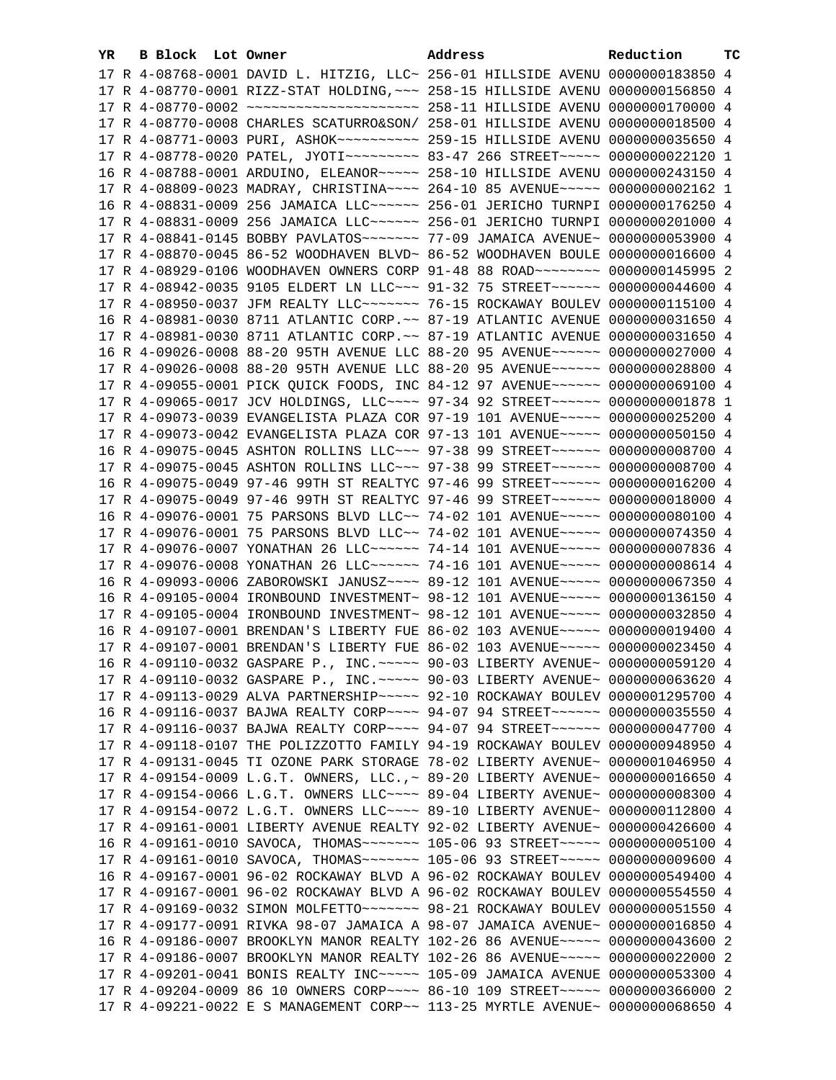| YR. | B Block Lot Owner |  | Address                                                                                                                                                          | Reduction | ТC |
|-----|-------------------|--|------------------------------------------------------------------------------------------------------------------------------------------------------------------|-----------|----|
|     |                   |  | 17 R 4-08768-0001 DAVID L. HITZIG, LLC~ 256-01 HILLSIDE AVENU 0000000183850 4                                                                                    |           |    |
|     |                   |  | 17 R 4-08770-0001 RIZZ-STAT HOLDING, ~~~ 258-15 HILLSIDE AVENU 0000000156850 4                                                                                   |           |    |
|     |                   |  |                                                                                                                                                                  |           |    |
|     |                   |  | 17 R 4-08770-0008 CHARLES SCATURRO&SON/ 258-01 HILLSIDE AVENU 0000000018500 4                                                                                    |           |    |
|     |                   |  |                                                                                                                                                                  |           |    |
|     |                   |  | 17 R 4-08778-0020 PATEL, JYOTI~~~~~~~~~ 83-47 266 STREET~~~~~ 0000000022120 1                                                                                    |           |    |
|     |                   |  | 16 R 4-08788-0001 ARDUINO, ELEANOR~~~~~ 258-10 HILLSIDE AVENU 0000000243150 4                                                                                    |           |    |
|     |                   |  | 17 R 4-08809-0023 MADRAY, CHRISTINA~~~~ 264-10 85 AVENUE~~~~~ 0000000002162 1                                                                                    |           |    |
|     |                   |  | 16 R 4-08831-0009 256 JAMAICA LLC ----- 256-01 JERICHO TURNPI 0000000176250 4                                                                                    |           |    |
|     |                   |  | 17 R 4-08831-0009 256 JAMAICA LLC ----- 256-01 JERICHO TURNPI 0000000201000 4                                                                                    |           |    |
|     |                   |  | 17 R 4-08841-0145 BOBBY PAVLATOS ------ 77-09 JAMAICA AVENUE ~ 0000000053900 4                                                                                   |           |    |
|     |                   |  | 17 R 4-08870-0045 86-52 WOODHAVEN BLVD~ 86-52 WOODHAVEN BOULE 0000000016600 4                                                                                    |           |    |
|     |                   |  | 17 R 4-08929-0106 WOODHAVEN OWNERS CORP 91-48 88 ROAD~~~~~~~~ 0000000145995 2                                                                                    |           |    |
|     |                   |  | 17 R 4-08942-0035 9105 ELDERT LN LLC~~~ 91-32 75 STREET~~~~~~ 0000000044600 4                                                                                    |           |    |
|     |                   |  | 17 R 4-08950-0037 JFM REALTY LLC ------ 76-15 ROCKAWAY BOULEV 0000000115100 4                                                                                    |           |    |
|     |                   |  | 16 R 4-08981-0030 8711 ATLANTIC CORP. ~~ 87-19 ATLANTIC AVENUE 0000000031650 4                                                                                   |           |    |
|     |                   |  | 17 R 4-08981-0030 8711 ATLANTIC CORP. ~~ 87-19 ATLANTIC AVENUE 0000000031650 4                                                                                   |           |    |
|     |                   |  | 16 R 4-09026-0008 88-20 95TH AVENUE LLC 88-20 95 AVENUE~~~~~~ 0000000027000 4                                                                                    |           |    |
|     |                   |  | 17 R 4-09026-0008 88-20 95TH AVENUE LLC 88-20 95 AVENUE~~~~~~ 0000000028800 4                                                                                    |           |    |
|     |                   |  |                                                                                                                                                                  |           |    |
|     |                   |  | 17 R 4-09055-0001 PICK QUICK FOODS, INC 84-12 97 AVENUE~~~~~~ 0000000069100 4                                                                                    |           |    |
|     |                   |  | 17 R 4-09065-0017 JCV HOLDINGS, LLC~~~~ 97-34 92 STREET~~~~~~ 0000000001878 1<br>17 R 4-09073-0039 EVANGELISTA PLAZA COR 97-19 101 AVENUE~~~~~ 0000000025200 4   |           |    |
|     |                   |  |                                                                                                                                                                  |           |    |
|     |                   |  | 17 R 4-09073-0042 EVANGELISTA PLAZA COR 97-13 101 AVENUE~~~~~ 0000000050150 4                                                                                    |           |    |
|     |                   |  | 16 R 4-09075-0045 ASHTON ROLLINS LLC~~~ 97-38 99 STREET~~~~~~ 0000000008700 4                                                                                    |           |    |
|     |                   |  | 17 R 4-09075-0045 ASHTON ROLLINS LLC~~~ 97-38 99 STREET~~~~~~ 0000000008700 4                                                                                    |           |    |
|     |                   |  | 16 R 4-09075-0049 97-46 99TH ST REALTYC 97-46 99 STREET~~~~~~ 0000000016200 4                                                                                    |           |    |
|     |                   |  | 17 R 4-09075-0049 97-46 99TH ST REALTYC 97-46 99 STREET~~~~~~ 0000000018000 4                                                                                    |           |    |
|     |                   |  | 16 R 4-09076-0001 75 PARSONS BLVD LLC~~ 74-02 101 AVENUE~~~~~ 0000000080100 4                                                                                    |           |    |
|     |                   |  | 17 R 4-09076-0001 75 PARSONS BLVD LLC~~ 74-02 101 AVENUE~~~~~ 0000000074350 4                                                                                    |           |    |
|     |                   |  | 17 R 4-09076-0007 YONATHAN 26 LLC ----- 74-14 101 AVENUE ---- 0000000007836 4                                                                                    |           |    |
|     |                   |  | 17 R 4-09076-0008 YONATHAN 26 LLC ----- 74-16 101 AVENUE ---- 0000000008614 4                                                                                    |           |    |
|     |                   |  | 16 R 4-09093-0006 ZABOROWSKI JANUSZ~~~~ 89-12 101 AVENUE~~~~~ 0000000067350 4<br>16 R 4-09105-0004 IRONBOUND INVESTMENT~ 98-12 101 AVENUE~~~~~ 0000000136150 4   |           |    |
|     |                   |  |                                                                                                                                                                  |           |    |
|     |                   |  | 17 R 4-09105-0004 IRONBOUND INVESTMENT~ 98-12 101 AVENUE~~~~~ 0000000032850 4<br>16 R 4-09107-0001 BRENDAN'S LIBERTY FUE 86-02 103 AVENUE~~~~~ 0000000019400 4   |           |    |
|     |                   |  | 17 R 4-09107-0001 BRENDAN'S LIBERTY FUE 86-02 103 AVENUE~~~~~ 0000000023450 4                                                                                    |           |    |
|     |                   |  |                                                                                                                                                                  |           |    |
|     |                   |  | 16 R 4-09110-0032 GASPARE P., INC. ----- 90-03 LIBERTY AVENUE~ 0000000059120 4<br>17 R 4-09110-0032 GASPARE P., INC. ~~~~~ 90-03 LIBERTY AVENUE~ 0000000063620 4 |           |    |
|     |                   |  | 17 R 4-09113-0029 ALVA PARTNERSHIP~~~~~ 92-10 ROCKAWAY BOULEV 0000001295700 4                                                                                    |           |    |
|     |                   |  | 16 R 4-09116-0037 BAJWA REALTY CORP~~~~ 94-07 94 STREET~~~~~~ 0000000035550 4                                                                                    |           |    |
|     |                   |  | 17 R 4-09116-0037 BAJWA REALTY CORP~~~~ 94-07 94 STREET~~~~~~ 0000000047700 4                                                                                    |           |    |
|     |                   |  | 17 R 4-09118-0107 THE POLIZZOTTO FAMILY 94-19 ROCKAWAY BOULEV 0000000948950 4                                                                                    |           |    |
|     |                   |  | 17 R 4-09131-0045 TI OZONE PARK STORAGE 78-02 LIBERTY AVENUE~ 0000001046950 4                                                                                    |           |    |
|     |                   |  | 17 R 4-09154-0009 L.G.T. OWNERS, LLC., ~ 89-20 LIBERTY AVENUE~ 0000000016650 4                                                                                   |           |    |
|     |                   |  | 17 R 4-09154-0066 L.G.T. OWNERS LLC~~~~ 89-04 LIBERTY AVENUE~ 0000000008300 4                                                                                    |           |    |
|     |                   |  | 17 R 4-09154-0072 L.G.T. OWNERS LLC~~~~ 89-10 LIBERTY AVENUE~ 0000000112800 4                                                                                    |           |    |
|     |                   |  | 17 R 4-09161-0001 LIBERTY AVENUE REALTY 92-02 LIBERTY AVENUE~ 0000000426600 4                                                                                    |           |    |
|     |                   |  | 16 R 4-09161-0010 SAVOCA, THOMAS~~~~~~~ 105-06 93 STREET~~~~~ 0000000005100 4                                                                                    |           |    |
|     |                   |  | 17 R 4-09161-0010 SAVOCA, THOMAS~~~~~~~ 105-06 93 STREET~~~~~ 0000000009600 4                                                                                    |           |    |
|     |                   |  | 16 R 4-09167-0001 96-02 ROCKAWAY BLVD A 96-02 ROCKAWAY BOULEV 0000000549400 4                                                                                    |           |    |
|     |                   |  | 17 R 4-09167-0001 96-02 ROCKAWAY BLVD A 96-02 ROCKAWAY BOULEV 0000000554550 4                                                                                    |           |    |
|     |                   |  | 17 R 4-09169-0032 SIMON MOLFETTO~~~~~~~ 98-21 ROCKAWAY BOULEV 0000000051550 4                                                                                    |           |    |
|     |                   |  | 17 R 4-09177-0091 RIVKA 98-07 JAMAICA A 98-07 JAMAICA AVENUE~ 0000000016850 4                                                                                    |           |    |
|     |                   |  | 16 R 4-09186-0007 BROOKLYN MANOR REALTY 102-26 86 AVENUE~~~~~ 0000000043600 2                                                                                    |           |    |
|     |                   |  | 17 R 4-09186-0007 BROOKLYN MANOR REALTY 102-26 86 AVENUE~~~~~ 0000000022000 2                                                                                    |           |    |
|     |                   |  | 17 R 4-09201-0041 BONIS REALTY INC ---- 105-09 JAMAICA AVENUE 0000000053300 4                                                                                    |           |    |
|     |                   |  | 17 R 4-09204-0009 86 10 OWNERS CORP~~~~ 86-10 109 STREET~~~~~ 0000000366000 2                                                                                    |           |    |
|     |                   |  | 17 R 4-09221-0022 E S MANAGEMENT CORP~~ 113-25 MYRTLE AVENUE~ 0000000068650 4                                                                                    |           |    |
|     |                   |  |                                                                                                                                                                  |           |    |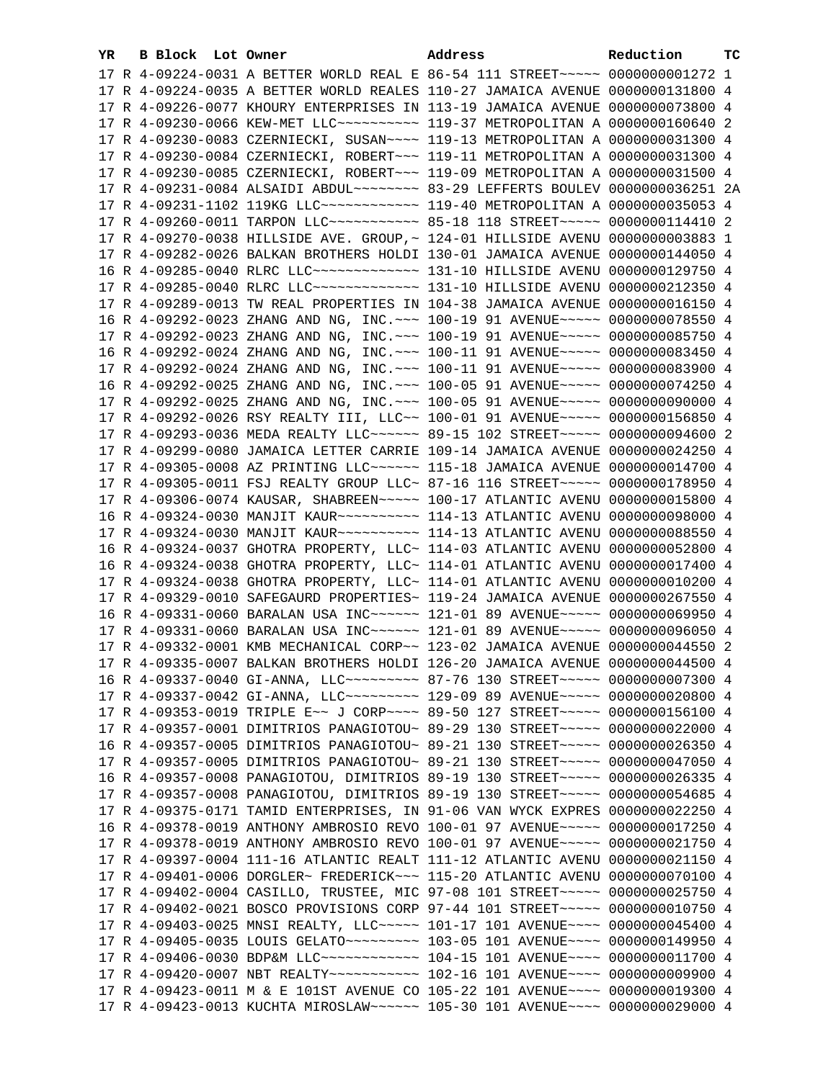| 17 R 4-09224-0031 A BETTER WORLD REAL E 86-54 111 STREET~~~~~ 0000000001272 1<br>17 R 4-09224-0035 A BETTER WORLD REALES 110-27 JAMAICA AVENUE 0000000131800 4<br>17 R 4-09226-0077 KHOURY ENTERPRISES IN 113-19 JAMAICA AVENUE 0000000073800 4<br>17 R 4-09230-0066 KEW-MET LLC --------- 119-37 METROPOLITAN A 0000000160640 2<br>17 R 4-09230-0083 CZERNIECKI, SUSAN~~~~ 119-13 METROPOLITAN A 0000000031300 4 |  |
|-------------------------------------------------------------------------------------------------------------------------------------------------------------------------------------------------------------------------------------------------------------------------------------------------------------------------------------------------------------------------------------------------------------------|--|
|                                                                                                                                                                                                                                                                                                                                                                                                                   |  |
|                                                                                                                                                                                                                                                                                                                                                                                                                   |  |
|                                                                                                                                                                                                                                                                                                                                                                                                                   |  |
|                                                                                                                                                                                                                                                                                                                                                                                                                   |  |
|                                                                                                                                                                                                                                                                                                                                                                                                                   |  |
| 17 R 4-09230-0084 CZERNIECKI, ROBERT~~~ 119-11 METROPOLITAN A 0000000031300 4                                                                                                                                                                                                                                                                                                                                     |  |
| 17 R 4-09230-0085 CZERNIECKI, ROBERT~~~ 119-09 METROPOLITAN A 0000000031500 4                                                                                                                                                                                                                                                                                                                                     |  |
| 17 R 4-09231-0084 ALSAIDI ABDUL~~~~~~~~~ 83-29 LEFFERTS BOULEV 0000000036251 2A                                                                                                                                                                                                                                                                                                                                   |  |
| 17 R 4-09231-1102 119KG LLC ------------ 119-40 METROPOLITAN A 0000000035053 4                                                                                                                                                                                                                                                                                                                                    |  |
| 17 R 4-09260-0011 TARPON LLC ---------- 85-18 118 STREET ----- 0000000114410 2                                                                                                                                                                                                                                                                                                                                    |  |
| 17 R 4-09270-0038 HILLSIDE AVE. GROUP, ~ 124-01 HILLSIDE AVENU 0000000003883 1                                                                                                                                                                                                                                                                                                                                    |  |
|                                                                                                                                                                                                                                                                                                                                                                                                                   |  |
| 17 R 4-09282-0026 BALKAN BROTHERS HOLDI 130-01 JAMAICA AVENUE 0000000144050 4<br>16 R 4-09285-0040 RLRC LLC ------------- 131-10 HILLSIDE AVENU 0000000129750 4                                                                                                                                                                                                                                                   |  |
|                                                                                                                                                                                                                                                                                                                                                                                                                   |  |
| 17 R 4-09285-0040 RLRC LLC ------------- 131-10 HILLSIDE AVENU 0000000212350 4                                                                                                                                                                                                                                                                                                                                    |  |
| 17 R 4-09289-0013 TW REAL PROPERTIES IN 104-38 JAMAICA AVENUE 0000000016150 4                                                                                                                                                                                                                                                                                                                                     |  |
| 16 R 4-09292-0023 ZHANG AND NG, INC. ~~~ 100-19 91 AVENUE~~~~~ 0000000078550 4                                                                                                                                                                                                                                                                                                                                    |  |
| 17 R 4-09292-0023 ZHANG AND NG, INC. ~~~ 100-19 91 AVENUE~~~~~ 0000000085750 4                                                                                                                                                                                                                                                                                                                                    |  |
| 16 R 4-09292-0024 ZHANG AND NG, INC. ~~~ 100-11 91 AVENUE~~~~~ 0000000083450 4                                                                                                                                                                                                                                                                                                                                    |  |
| 17 R 4-09292-0024 ZHANG AND NG, INC. ~~~ 100-11 91 AVENUE~~~~~ 0000000083900 4                                                                                                                                                                                                                                                                                                                                    |  |
| 16 R 4-09292-0025 ZHANG AND NG, INC. ~~~ 100-05 91 AVENUE~~~~~ 0000000074250 4                                                                                                                                                                                                                                                                                                                                    |  |
| 17 R 4-09292-0025 ZHANG AND NG, INC. ~~~ 100-05 91 AVENUE~~~~~ 0000000090000 4                                                                                                                                                                                                                                                                                                                                    |  |
| 17 R 4-09292-0026 RSY REALTY III, LLC~~ 100-01 91 AVENUE~~~~~ 0000000156850 4                                                                                                                                                                                                                                                                                                                                     |  |
| 17 R 4-09293-0036 MEDA REALTY LLC ----- 89-15 102 STREET ---- 0000000094600 2                                                                                                                                                                                                                                                                                                                                     |  |
| 17 R 4-09299-0080 JAMAICA LETTER CARRIE 109-14 JAMAICA AVENUE 0000000024250 4                                                                                                                                                                                                                                                                                                                                     |  |
| 17 R 4-09305-0008 AZ PRINTING LLC ~~~~~~ 115-18 JAMAICA AVENUE 0000000014700 4                                                                                                                                                                                                                                                                                                                                    |  |
| 17 R 4-09305-0011 FSJ REALTY GROUP LLC~ 87-16 116 STREET~~~~~~ 0000000178950 4                                                                                                                                                                                                                                                                                                                                    |  |
| 17 R 4-09306-0074 KAUSAR, SHABREEN~~~~~ 100-17 ATLANTIC AVENU 0000000015800 4                                                                                                                                                                                                                                                                                                                                     |  |
|                                                                                                                                                                                                                                                                                                                                                                                                                   |  |
| 17 R 4-09324-0030 MANJIT KAUR~~~~~~~~~~ 114-13 ATLANTIC AVENU 0000000088550 4                                                                                                                                                                                                                                                                                                                                     |  |
| 16 R 4-09324-0037 GHOTRA PROPERTY, LLC~ 114-03 ATLANTIC AVENU 0000000052800 4                                                                                                                                                                                                                                                                                                                                     |  |
| 16 R 4-09324-0038 GHOTRA PROPERTY, LLC~ 114-01 ATLANTIC AVENU 0000000017400 4                                                                                                                                                                                                                                                                                                                                     |  |
| 17 R 4-09324-0038 GHOTRA PROPERTY, LLC~ 114-01 ATLANTIC AVENU 0000000010200 4                                                                                                                                                                                                                                                                                                                                     |  |
| 17 R 4-09329-0010 SAFEGAURD PROPERTIES~ 119-24 JAMAICA AVENUE 0000000267550 4                                                                                                                                                                                                                                                                                                                                     |  |
| 16 R 4-09331-0060 BARALAN USA INC~~~~~~ 121-01 89 AVENUE~~~~~ 0000000069950 4                                                                                                                                                                                                                                                                                                                                     |  |
| 17 R 4-09331-0060 BARALAN USA INC~~~~~~ 121-01 89 AVENUE~~~~~ 0000000096050 4                                                                                                                                                                                                                                                                                                                                     |  |
| 17 R 4-09332-0001 KMB MECHANICAL CORP~~ 123-02 JAMAICA AVENUE 0000000044550 2                                                                                                                                                                                                                                                                                                                                     |  |
| 17 R 4-09335-0007 BALKAN BROTHERS HOLDI 126-20 JAMAICA AVENUE 0000000044500 4                                                                                                                                                                                                                                                                                                                                     |  |
| 16 R 4-09337-0040 GI-ANNA, LLC~~~~~~~~~~ 87-76 130 STREET~~~~~ 0000000007300 4                                                                                                                                                                                                                                                                                                                                    |  |
| 17 R 4-09337-0042 GI-ANNA, LLC~~~~~~~~~~~~~ 129-09 89 AVENUE~~~~~~ 0000000020800 4                                                                                                                                                                                                                                                                                                                                |  |
| 17 R 4-09353-0019 TRIPLE E~~ J CORP~~~~ 89-50 127 STREET~~~~~ 0000000156100 4                                                                                                                                                                                                                                                                                                                                     |  |
| 17 R 4-09357-0001 DIMITRIOS PANAGIOTOU~ 89-29 130 STREET~~~~~ 0000000022000 4                                                                                                                                                                                                                                                                                                                                     |  |
| 16 R 4-09357-0005 DIMITRIOS PANAGIOTOU~ 89-21 130 STREET~~~~~ 0000000026350 4                                                                                                                                                                                                                                                                                                                                     |  |
| 17 R 4-09357-0005 DIMITRIOS PANAGIOTOU~ 89-21 130 STREET~~~~~ 0000000047050 4                                                                                                                                                                                                                                                                                                                                     |  |
| 16 R 4-09357-0008 PANAGIOTOU, DIMITRIOS 89-19 130 STREET~~~~~ 0000000026335 4                                                                                                                                                                                                                                                                                                                                     |  |
| 17 R 4-09357-0008 PANAGIOTOU, DIMITRIOS 89-19 130 STREET~~~~~ 0000000054685 4                                                                                                                                                                                                                                                                                                                                     |  |
| 17 R 4-09375-0171 TAMID ENTERPRISES, IN 91-06 VAN WYCK EXPRES 0000000022250 4                                                                                                                                                                                                                                                                                                                                     |  |
| 16 R 4-09378-0019 ANTHONY AMBROSIO REVO 100-01 97 AVENUE~~~~~ 0000000017250 4                                                                                                                                                                                                                                                                                                                                     |  |
| 17 R 4-09378-0019 ANTHONY AMBROSIO REVO 100-01 97 AVENUE~~~~~ 0000000021750 4                                                                                                                                                                                                                                                                                                                                     |  |
| 17 R 4-09397-0004 111-16 ATLANTIC REALT 111-12 ATLANTIC AVENU 0000000021150 4                                                                                                                                                                                                                                                                                                                                     |  |
| 17 R 4-09401-0006 DORGLER~ FREDERICK~~~ 115-20 ATLANTIC AVENU 0000000070100 4                                                                                                                                                                                                                                                                                                                                     |  |
| 17 R 4-09402-0004 CASILLO, TRUSTEE, MIC 97-08 101 STREET~~~~~ 0000000025750 4                                                                                                                                                                                                                                                                                                                                     |  |
| 17 R 4-09402-0021 BOSCO PROVISIONS CORP 97-44 101 STREET~~~~~ 0000000010750 4                                                                                                                                                                                                                                                                                                                                     |  |
| 17 R 4-09403-0025 MNSI REALTY, LLC ---- 101-17 101 AVENUE --- 0000000045400 4                                                                                                                                                                                                                                                                                                                                     |  |
| 17 R 4-09405-0035 LOUIS GELATO~~~~~~~~~~~~~~ 103-05 101 AVENUE~~~~~ 0000000149950 4                                                                                                                                                                                                                                                                                                                               |  |
|                                                                                                                                                                                                                                                                                                                                                                                                                   |  |
| 17 R 4-09406-0030 BDP&M LLC ------------- 104-15 101 AVENUE ---- 0000000011700 4                                                                                                                                                                                                                                                                                                                                  |  |
| 17 R 4-09420-0007 NBT REALTY~~~~~~~~~~~~~~~ 102-16 101 AVENUE~~~~~ 0000000009900 4                                                                                                                                                                                                                                                                                                                                |  |
| 17 R 4-09423-0011 M & E 101ST AVENUE CO 105-22 101 AVENUE~~~~ 0000000019300 4                                                                                                                                                                                                                                                                                                                                     |  |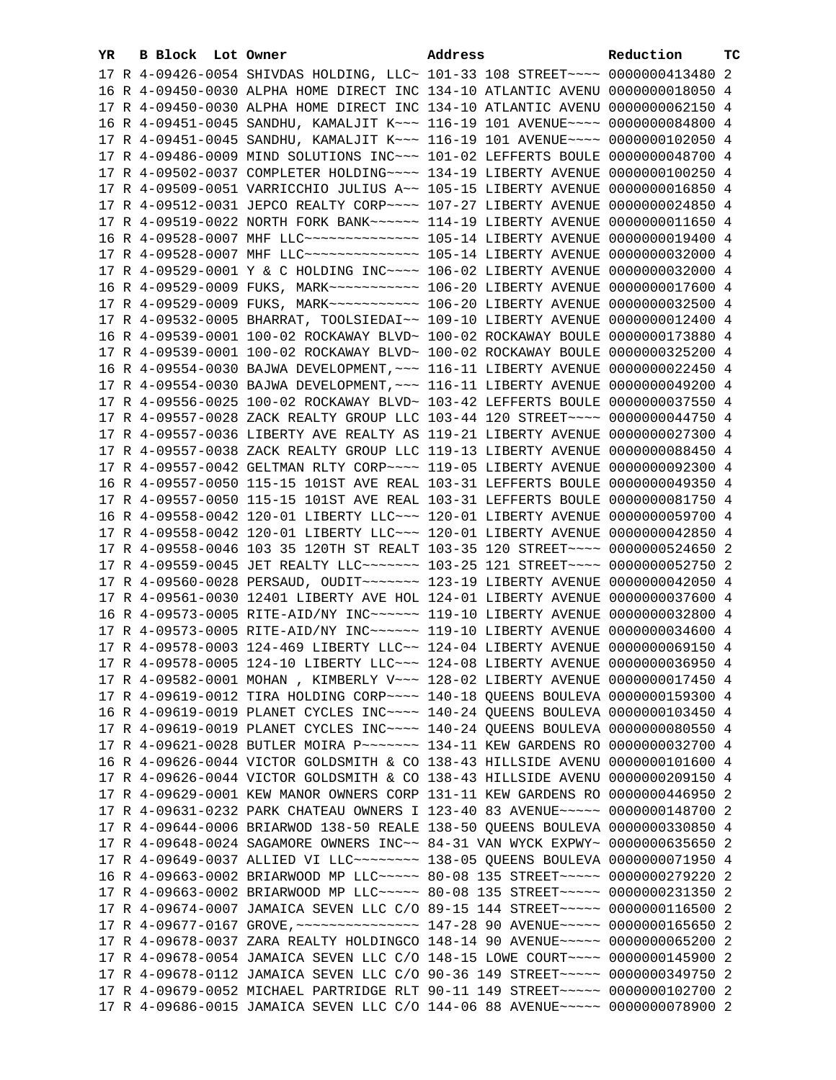| YR | B Block Lot Owner |                                                                                      | Address | Reduction | тC |
|----|-------------------|--------------------------------------------------------------------------------------|---------|-----------|----|
|    |                   | 17 R 4-09426-0054 SHIVDAS HOLDING, LLC~ 101-33 108 STREET~~~~ 0000000413480 2        |         |           |    |
|    |                   | 16 R 4-09450-0030 ALPHA HOME DIRECT INC 134-10 ATLANTIC AVENU 0000000018050 4        |         |           |    |
|    |                   | 17 R 4-09450-0030 ALPHA HOME DIRECT INC 134-10 ATLANTIC AVENU 0000000062150 4        |         |           |    |
|    |                   | 16 R 4-09451-0045 SANDHU, KAMALJIT K~~~ 116-19 101 AVENUE~~~~ 0000000084800 4        |         |           |    |
|    |                   | 17 R 4-09451-0045 SANDHU, KAMALJIT K~~~ 116-19 101 AVENUE~~~~ 0000000102050 4        |         |           |    |
|    |                   | 17 R 4-09486-0009 MIND SOLUTIONS INC~~~ 101-02 LEFFERTS BOULE 0000000048700 4        |         |           |    |
|    |                   | 17 R 4-09502-0037 COMPLETER HOLDING~~~~ 134-19 LIBERTY AVENUE 0000000100250 4        |         |           |    |
|    |                   | 17 R 4-09509-0051 VARRICCHIO JULIUS A~~ 105-15 LIBERTY AVENUE 0000000016850 4        |         |           |    |
|    |                   | 17 R 4-09512-0031 JEPCO REALTY CORP~~~~ 107-27 LIBERTY AVENUE 0000000024850 4        |         |           |    |
|    |                   | 17 R 4-09519-0022 NORTH FORK BANK~~~~~~ 114-19 LIBERTY AVENUE 0000000011650 4        |         |           |    |
|    |                   | 16 R 4-09528-0007 MHF LLC --------------- 105-14 LIBERTY AVENUE 0000000019400 4      |         |           |    |
|    |                   | 17 R 4-09528-0007 MHF LLC -------------- 105-14 LIBERTY AVENUE 0000000032000 4       |         |           |    |
|    |                   | 17 R 4-09529-0001 Y & C HOLDING INC~~~~ 106-02 LIBERTY AVENUE 0000000032000 4        |         |           |    |
|    |                   | 16 R 4-09529-0009 FUKS, MARK ---------- 106-20 LIBERTY AVENUE 0000000017600 4        |         |           |    |
|    |                   | 17 R 4-09529-0009 FUKS, MARK ----------- 106-20 LIBERTY AVENUE 0000000032500 4       |         |           |    |
|    |                   | 17 R 4-09532-0005 BHARRAT, TOOLSIEDAI~~ 109-10 LIBERTY AVENUE 0000000012400 4        |         |           |    |
|    |                   | 16 R 4-09539-0001 100-02 ROCKAWAY BLVD~ 100-02 ROCKAWAY BOULE 0000000173880 4        |         |           |    |
|    |                   |                                                                                      |         |           |    |
|    |                   | 17 R 4-09539-0001 100-02 ROCKAWAY BLVD~ 100-02 ROCKAWAY BOULE 0000000325200 4        |         |           |    |
|    |                   | 16 R 4-09554-0030 BAJWA DEVELOPMENT, ~~~ 116-11 LIBERTY AVENUE 0000000022450 4       |         |           |    |
|    |                   | 17 R 4-09554-0030 BAJWA DEVELOPMENT, ~~~ 116-11 LIBERTY AVENUE 0000000049200 4       |         |           |    |
|    |                   | 17 R 4-09556-0025 100-02 ROCKAWAY BLVD~ 103-42 LEFFERTS BOULE 0000000037550 4        |         |           |    |
|    |                   | 17 R 4-09557-0028 ZACK REALTY GROUP LLC 103-44 120 STREET~~~~ 0000000044750 4        |         |           |    |
|    |                   | 17 R 4-09557-0036 LIBERTY AVE REALTY AS 119-21 LIBERTY AVENUE 0000000027300 4        |         |           |    |
|    |                   | 17 R 4-09557-0038 ZACK REALTY GROUP LLC 119-13 LIBERTY AVENUE 0000000088450 4        |         |           |    |
|    |                   | 17 R 4-09557-0042 GELTMAN RLTY CORP~~~~ 119-05 LIBERTY AVENUE 0000000092300 4        |         |           |    |
|    |                   | 16 R 4-09557-0050 115-15 101ST AVE REAL 103-31 LEFFERTS BOULE 0000000049350 4        |         |           |    |
|    |                   | 17 R 4-09557-0050 115-15 101ST AVE REAL 103-31 LEFFERTS BOULE 0000000081750 4        |         |           |    |
|    |                   | 16 R 4-09558-0042 120-01 LIBERTY LLC ~~~ 120-01 LIBERTY AVENUE 0000000059700 4       |         |           |    |
|    |                   | 17 R 4-09558-0042 120-01 LIBERTY LLC ~~~ 120-01 LIBERTY AVENUE 0000000042850 4       |         |           |    |
|    |                   | 17 R 4-09558-0046 103 35 120TH ST REALT 103-35 120 STREET~~~~ 0000000524650 2        |         |           |    |
|    |                   | 17 R 4-09559-0045 JET REALTY LLC ------ 103-25 121 STREET --- 0000000052750 2        |         |           |    |
|    |                   | 17 R 4-09560-0028 PERSAUD, OUDIT ~~~~~~~ 123-19 LIBERTY AVENUE 0000000042050 4       |         |           |    |
|    |                   | 17 R 4-09561-0030 12401 LIBERTY AVE HOL 124-01 LIBERTY AVENUE 0000000037600 4        |         |           |    |
|    |                   | 16 R 4-09573-0005 RITE-AID/NY INC ~~~~~~ 119-10 LIBERTY AVENUE 0000000032800 4       |         |           |    |
|    |                   | 17 R 4-09573-0005 RITE-AID/NY INC ~~~~~~ 119-10 LIBERTY AVENUE 0000000034600 4       |         |           |    |
|    |                   | 17 R 4-09578-0003 124-469 LIBERTY LLC~~ 124-04 LIBERTY AVENUE 0000000069150 4        |         |           |    |
|    |                   | 17 R 4-09578-0005 124-10 LIBERTY LLC~~~ 124-08 LIBERTY AVENUE 0000000036950 4        |         |           |    |
|    |                   | 17 R 4-09582-0001 MOHAN , KIMBERLY V~~~ 128-02 LIBERTY AVENUE 0000000017450 4        |         |           |    |
|    |                   | 17 R 4-09619-0012 TIRA HOLDING CORP~~~~ 140-18 QUEENS BOULEVA 0000000159300 4        |         |           |    |
|    |                   | 16 R 4-09619-0019 PLANET CYCLES INC~~~~ 140-24 QUEENS BOULEVA 0000000103450 4        |         |           |    |
|    |                   | 17 R 4-09619-0019 PLANET CYCLES INC~~~~ 140-24 QUEENS BOULEVA 0000000080550 4        |         |           |    |
|    |                   | 17 R 4-09621-0028 BUTLER MOIRA P~~~~~~~ 134-11 KEW GARDENS RO 0000000032700 4        |         |           |    |
|    |                   | 16 R 4-09626-0044 VICTOR GOLDSMITH & CO 138-43 HILLSIDE AVENU 0000000101600 4        |         |           |    |
|    |                   | 17 R 4-09626-0044 VICTOR GOLDSMITH & CO 138-43 HILLSIDE AVENU 0000000209150 4        |         |           |    |
|    |                   | 17 R 4-09629-0001 KEW MANOR OWNERS CORP 131-11 KEW GARDENS RO 0000000446950 2        |         |           |    |
|    |                   | 17 R 4-09631-0232 PARK CHATEAU OWNERS I 123-40 83 AVENUE~~~~~ 0000000148700 2        |         |           |    |
|    |                   | 17 R 4-09644-0006 BRIARWOD 138-50 REALE 138-50 QUEENS BOULEVA 0000000330850 4        |         |           |    |
|    |                   | 17 R 4-09648-0024 SAGAMORE OWNERS INC~~ 84-31 VAN WYCK EXPWY~ 0000000635650 2        |         |           |    |
|    |                   | 17 R 4-09649-0037 ALLIED VI LLC~~~~~~~~~~~~~ 138-05 QUEENS BOULEVA 0000000071950 4   |         |           |    |
|    |                   | 16 R 4-09663-0002 BRIARWOOD MP LLC ---- 80-08 135 STREET ---- 0000000279220 2        |         |           |    |
|    |                   | 17 R 4-09663-0002 BRIARWOOD MP LLC ---- 80-08 135 STREET ---- 0000000231350 2        |         |           |    |
|    |                   | 17 R 4-09674-0007 JAMAICA SEVEN LLC C/O 89-15 144 STREET~~~~~ 0000000116500 2        |         |           |    |
|    |                   | 17 R 4-09677-0167 GROVE, ~~~~~~~~~~~~~~~~~~~~ 147-28 90 AVENUE~~~~~~ 0000000165650 2 |         |           |    |
|    |                   | 17 R 4-09678-0037 ZARA REALTY HOLDINGCO 148-14 90 AVENUE~~~~~ 0000000065200 2        |         |           |    |
|    |                   | 17 R 4-09678-0054 JAMAICA SEVEN LLC C/O 148-15 LOWE COURT~~~~ 0000000145900 2        |         |           |    |
|    |                   | 17 R 4-09678-0112 JAMAICA SEVEN LLC C/O 90-36 149 STREET~~~~~ 0000000349750 2        |         |           |    |
|    |                   | 17 R 4-09679-0052 MICHAEL PARTRIDGE RLT 90-11 149 STREET~~~~~ 0000000102700 2        |         |           |    |
|    |                   | 17 R 4-09686-0015 JAMAICA SEVEN LLC C/O 144-06 88 AVENUE~~~~~ 0000000078900 2        |         |           |    |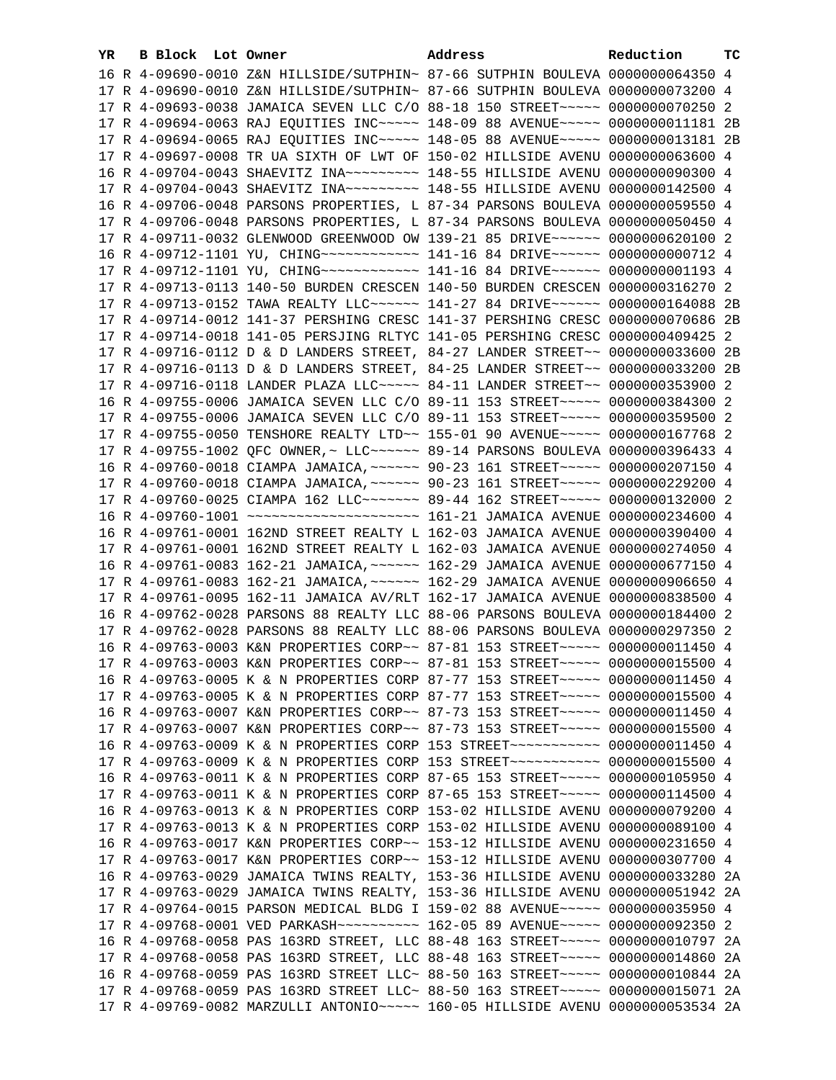| YR. | B Block Lot Owner | Address                                                                                                                                                          | Reduction | тc |
|-----|-------------------|------------------------------------------------------------------------------------------------------------------------------------------------------------------|-----------|----|
|     |                   | 16 R 4-09690-0010 Z&N HILLSIDE/SUTPHIN~ 87-66 SUTPHIN BOULEVA 0000000064350 4                                                                                    |           |    |
|     |                   | 17 R 4-09690-0010 Z&N HILLSIDE/SUTPHIN~ 87-66 SUTPHIN BOULEVA 0000000073200 4                                                                                    |           |    |
|     |                   | 17 R 4-09693-0038 JAMAICA SEVEN LLC C/O 88-18 150 STREET~~~~~ 0000000070250 2                                                                                    |           |    |
|     |                   | 17 R 4-09694-0063 RAJ EQUITIES INC~~~~~ 148-09 88 AVENUE~~~~~ 0000000011181 2B                                                                                   |           |    |
|     |                   | 17 R 4-09694-0065 RAJ EQUITIES INC~~~~~ 148-05 88 AVENUE~~~~~ 0000000013181 2B                                                                                   |           |    |
|     |                   | 17 R 4-09697-0008 TR UA SIXTH OF LWT OF 150-02 HILLSIDE AVENU 0000000063600 4                                                                                    |           |    |
|     |                   | 16 R 4-09704-0043 SHAEVITZ INA~~~~~~~~~ 148-55 HILLSIDE AVENU 0000000090300 4                                                                                    |           |    |
|     |                   | 17 R 4-09704-0043 SHAEVITZ INA~~~~~~~~~~ 148-55 HILLSIDE AVENU 0000000142500 4                                                                                   |           |    |
|     |                   | 16 R 4-09706-0048 PARSONS PROPERTIES, L 87-34 PARSONS BOULEVA 0000000059550 4                                                                                    |           |    |
|     |                   | 17 R 4-09706-0048 PARSONS PROPERTIES, L 87-34 PARSONS BOULEVA 0000000050450 4                                                                                    |           |    |
|     |                   | 17 R 4-09711-0032 GLENWOOD GREENWOOD OW 139-21 85 DRIVE~~~~~~ 0000000620100 2                                                                                    |           |    |
|     |                   | 16 R 4-09712-1101 YU, CHING ------------ 141-16 84 DRIVE ------ 0000000000712 4                                                                                  |           |    |
|     |                   | 17 R 4-09712-1101 YU, CHING ------------ 141-16 84 DRIVE ----- 00000000001193 4                                                                                  |           |    |
|     |                   |                                                                                                                                                                  |           |    |
|     |                   | 17 R 4-09713-0113 140-50 BURDEN CRESCEN 140-50 BURDEN CRESCEN 0000000316270 2<br>17 R 4-09713-0152 TAWA REALTY LLC ----- 141-27 84 DRIVE ----- 0000000164088 2B  |           |    |
|     |                   |                                                                                                                                                                  |           |    |
|     |                   | 17 R 4-09714-0012 141-37 PERSHING CRESC 141-37 PERSHING CRESC 0000000070686 2B                                                                                   |           |    |
|     |                   | 17 R 4-09714-0018 141-05 PERSJING RLTYC 141-05 PERSHING CRESC 0000000409425 2                                                                                    |           |    |
|     |                   | 17 R 4-09716-0112 D & D LANDERS STREET, 84-27 LANDER STREET~~ 0000000033600 2B                                                                                   |           |    |
|     |                   | 17 R 4-09716-0113 D & D LANDERS STREET, 84-25 LANDER STREET~~ 0000000033200 2B                                                                                   |           |    |
|     |                   | 17 R 4-09716-0118 LANDER PLAZA LLC ---- 84-11 LANDER STREET -- 0000000353900 2                                                                                   |           |    |
|     |                   | 16 R 4-09755-0006 JAMAICA SEVEN LLC C/O 89-11 153 STREET~~~~~ 0000000384300 2                                                                                    |           |    |
|     |                   | 17 R 4-09755-0006 JAMAICA SEVEN LLC C/O 89-11 153 STREET~~~~~ 0000000359500 2                                                                                    |           |    |
|     |                   | 17 R 4-09755-0050 TENSHORE REALTY LTD~~ 155-01 90 AVENUE~~~~~ 0000000167768 2<br>17 R 4-09755-1002 QFC OWNER, ~ LLC ~~~~~~ 89-14 PARSONS BOULEVA 0000000396433 4 |           |    |
|     |                   | 16 R 4-09760-0018 CIAMPA JAMAICA, ~~~~~~ 90-23 161 STREET~~~~~ 0000000207150 4                                                                                   |           |    |
|     |                   | 17 R 4-09760-0018 CIAMPA JAMAICA, ~~~~~~ 90-23 161 STREET~~~~~ 0000000229200 4                                                                                   |           |    |
|     |                   | 17 R 4-09760-0025 CIAMPA 162 LLC ------ 89-44 162 STREET ---- 0000000132000 2                                                                                    |           |    |
|     |                   |                                                                                                                                                                  |           |    |
|     |                   | 16 R 4-09761-0001 162ND STREET REALTY L 162-03 JAMAICA AVENUE 0000000390400 4                                                                                    |           |    |
|     |                   | 17 R 4-09761-0001 162ND STREET REALTY L 162-03 JAMAICA AVENUE 0000000274050 4                                                                                    |           |    |
|     |                   | 16 R 4-09761-0083 162-21 JAMAICA, ~~~~~~ 162-29 JAMAICA AVENUE 0000000677150 4                                                                                   |           |    |
|     |                   | 17 R 4-09761-0083 162-21 JAMAICA, ~~~~~~ 162-29 JAMAICA AVENUE 0000000906650 4                                                                                   |           |    |
|     |                   | 17 R 4-09761-0095 162-11 JAMAICA AV/RLT 162-17 JAMAICA AVENUE 0000000838500 4                                                                                    |           |    |
|     |                   | 16 R 4-09762-0028 PARSONS 88 REALTY LLC 88-06 PARSONS BOULEVA 0000000184400 2                                                                                    |           |    |
|     |                   | 17 R 4-09762-0028 PARSONS 88 REALTY LLC 88-06 PARSONS BOULEVA 0000000297350 2                                                                                    |           |    |
|     |                   | 16 R 4-09763-0003 K&N PROPERTIES CORP~~ 87-81 153 STREET~~~~~ 0000000011450 4                                                                                    |           |    |
|     |                   | 17 R 4-09763-0003 K&N PROPERTIES CORP~~ 87-81 153 STREET~~~~~ 00000000015500 4                                                                                   |           |    |
|     |                   | 16 R 4-09763-0005 K & N PROPERTIES CORP 87-77 153 STREET~~~~~ 0000000011450 4                                                                                    |           |    |
|     |                   | 17 R 4-09763-0005 K & N PROPERTIES CORP 87-77 153 STREET~~~~~ 0000000015500 4                                                                                    |           |    |
|     |                   | 16 R 4-09763-0007 K&N PROPERTIES CORP~~ 87-73 153 STREET~~~~~ 0000000011450 4                                                                                    |           |    |
|     |                   | 17 R 4-09763-0007 K&N PROPERTIES CORP~~ 87-73 153 STREET~~~~~ 0000000015500 4                                                                                    |           |    |
|     |                   | 16 R 4-09763-0009 K & N PROPERTIES CORP 153 STREET~~~~~~~~~~~ 0000000011450 4                                                                                    |           |    |
|     |                   | 17 R 4-09763-0009 K & N PROPERTIES CORP 153 STREET~~~~~~~~~~~ 0000000015500 4                                                                                    |           |    |
|     |                   | 16 R 4-09763-0011 K & N PROPERTIES CORP 87-65 153 STREET~~~~~ 0000000105950 4                                                                                    |           |    |
|     |                   | 17 R 4-09763-0011 K & N PROPERTIES CORP 87-65 153 STREET~~~~~ 0000000114500 4                                                                                    |           |    |
|     |                   | 16 R 4-09763-0013 K & N PROPERTIES CORP 153-02 HILLSIDE AVENU 0000000079200 4                                                                                    |           |    |
|     |                   | 17 R 4-09763-0013 K & N PROPERTIES CORP 153-02 HILLSIDE AVENU 0000000089100 4                                                                                    |           |    |
|     |                   | 16 R 4-09763-0017 K&N PROPERTIES CORP~~ 153-12 HILLSIDE AVENU 0000000231650 4                                                                                    |           |    |
|     |                   | 17 R 4-09763-0017 K&N PROPERTIES CORP~~ 153-12 HILLSIDE AVENU 0000000307700 4                                                                                    |           |    |
|     |                   | 16 R 4-09763-0029 JAMAICA TWINS REALTY, 153-36 HILLSIDE AVENU 0000000033280 2A                                                                                   |           |    |
|     |                   | 17 R 4-09763-0029 JAMAICA TWINS REALTY, 153-36 HILLSIDE AVENU 0000000051942 2A                                                                                   |           |    |
|     |                   | 17 R 4-09764-0015 PARSON MEDICAL BLDG I 159-02 88 AVENUE~~~~~ 0000000035950 4                                                                                    |           |    |
|     |                   | 17 R 4-09768-0001 VED PARKASH~~~~~~~~~~~~~~~ 162-05 89 AVENUE~~~~~~ 0000000092350 2                                                                              |           |    |
|     |                   | 16 R 4-09768-0058 PAS 163RD STREET, LLC 88-48 163 STREET~~~~~ 0000000010797 2A                                                                                   |           |    |
|     |                   | 17 R 4-09768-0058 PAS 163RD STREET, LLC 88-48 163 STREET~~~~~ 0000000014860 2A                                                                                   |           |    |
|     |                   | 16 R 4-09768-0059 PAS 163RD STREET LLC~ 88-50 163 STREET~~~~~ 0000000010844 2A                                                                                   |           |    |
|     |                   | 17 R 4-09768-0059 PAS 163RD STREET LLC~ 88-50 163 STREET~~~~~ 0000000015071 2A                                                                                   |           |    |
|     |                   | 17 R 4-09769-0082 MARZULLI ANTONIO~~~~~ 160-05 HILLSIDE AVENU 0000000053534 2A                                                                                   |           |    |
|     |                   |                                                                                                                                                                  |           |    |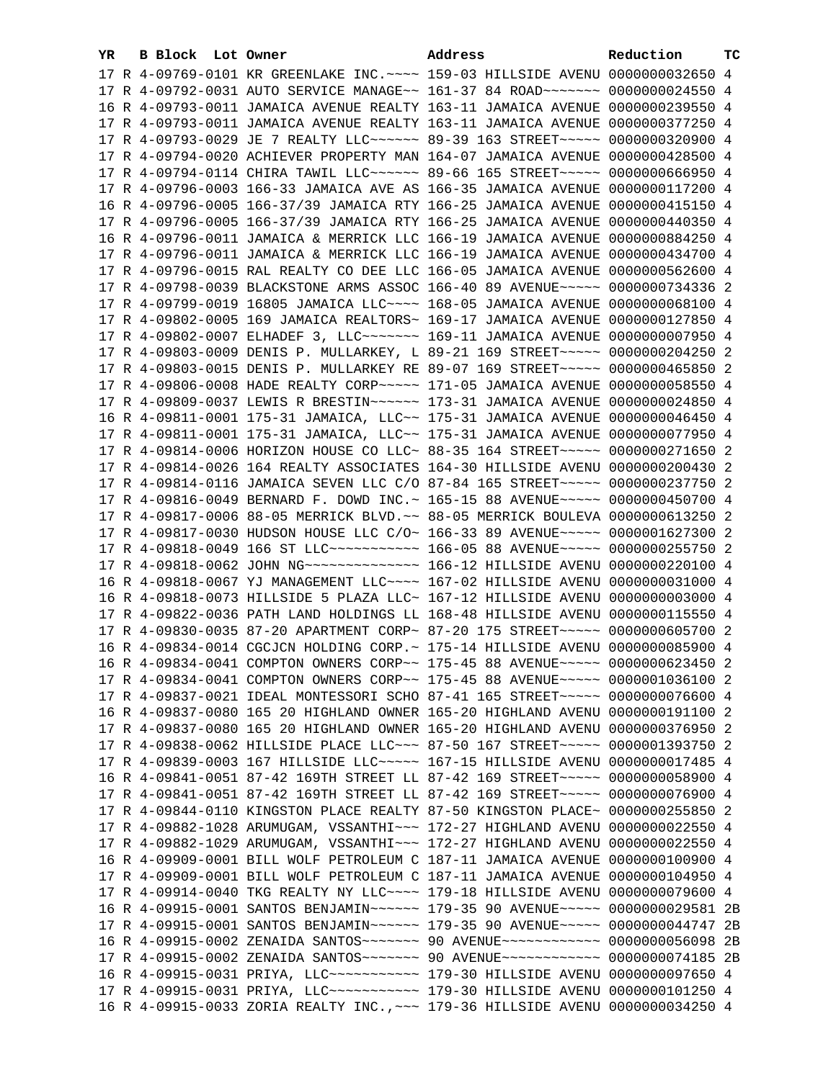| YR. | B Block Lot Owner | Address                                                                                                                                                        | Reduction | тc |
|-----|-------------------|----------------------------------------------------------------------------------------------------------------------------------------------------------------|-----------|----|
|     |                   | 17 R 4-09769-0101 KR GREENLAKE INC. ~~~~ 159-03 HILLSIDE AVENU 0000000032650 4                                                                                 |           |    |
|     |                   | 17 R 4-09792-0031 AUTO SERVICE MANAGE~~ 161-37 84 ROAD~~~~~~~ 0000000024550 4                                                                                  |           |    |
|     |                   | 16 R 4-09793-0011 JAMAICA AVENUE REALTY 163-11 JAMAICA AVENUE 0000000239550 4                                                                                  |           |    |
|     |                   | 17 R 4-09793-0011 JAMAICA AVENUE REALTY 163-11 JAMAICA AVENUE 0000000377250 4                                                                                  |           |    |
|     |                   | 17 R 4-09793-0029 JE 7 REALTY LLC ----- 89-39 163 STREET ---- 0000000320900 4                                                                                  |           |    |
|     |                   | 17 R 4-09794-0020 ACHIEVER PROPERTY MAN 164-07 JAMAICA AVENUE 0000000428500 4                                                                                  |           |    |
|     |                   | 17 R 4-09794-0114 CHIRA TAWIL LLC ----- 89-66 165 STREET ---- 0000000666950 4                                                                                  |           |    |
|     |                   | 17 R 4-09796-0003 166-33 JAMAICA AVE AS 166-35 JAMAICA AVENUE 0000000117200 4                                                                                  |           |    |
|     |                   | 16 R 4-09796-0005 166-37/39 JAMAICA RTY 166-25 JAMAICA AVENUE 0000000415150 4                                                                                  |           |    |
|     |                   | 17 R 4-09796-0005 166-37/39 JAMAICA RTY 166-25 JAMAICA AVENUE 0000000440350 4                                                                                  |           |    |
|     |                   | 16 R 4-09796-0011 JAMAICA & MERRICK LLC 166-19 JAMAICA AVENUE 0000000884250 4                                                                                  |           |    |
|     |                   | 17 R 4-09796-0011 JAMAICA & MERRICK LLC 166-19 JAMAICA AVENUE 0000000434700 4                                                                                  |           |    |
|     |                   |                                                                                                                                                                |           |    |
|     |                   | 17 R 4-09796-0015 RAL REALTY CO DEE LLC 166-05 JAMAICA AVENUE 0000000562600 4                                                                                  |           |    |
|     |                   | 17 R 4-09798-0039 BLACKSTONE ARMS ASSOC 166-40 89 AVENUE~~~~~ 0000000734336 2                                                                                  |           |    |
|     |                   | 17 R 4-09799-0019 16805 JAMAICA LLC~~~~ 168-05 JAMAICA AVENUE 0000000068100 4                                                                                  |           |    |
|     |                   | 17 R 4-09802-0005 169 JAMAICA REALTORS~ 169-17 JAMAICA AVENUE 0000000127850 4                                                                                  |           |    |
|     |                   | 17 R 4-09802-0007 ELHADEF 3, LLC ------ 169-11 JAMAICA AVENUE 0000000007950 4                                                                                  |           |    |
|     |                   | 17 R 4-09803-0009 DENIS P. MULLARKEY, L 89-21 169 STREET~~~~~ 0000000204250 2                                                                                  |           |    |
|     |                   | 17 R 4-09803-0015 DENIS P. MULLARKEY RE 89-07 169 STREET~~~~~ 0000000465850 2                                                                                  |           |    |
|     |                   | 17 R 4-09806-0008 HADE REALTY CORP~~~~~ 171-05 JAMAICA AVENUE 0000000058550 4                                                                                  |           |    |
|     |                   | 17 R 4-09809-0037 LEWIS R BRESTIN~~~~~~ 173-31 JAMAICA AVENUE 0000000024850 4                                                                                  |           |    |
|     |                   | 16 R 4-09811-0001 175-31 JAMAICA, LLC~~ 175-31 JAMAICA AVENUE 0000000046450 4                                                                                  |           |    |
|     |                   | 17 R 4-09811-0001 175-31 JAMAICA, LLC~~ 175-31 JAMAICA AVENUE 0000000077950 4                                                                                  |           |    |
|     |                   | 17 R 4-09814-0006 HORIZON HOUSE CO LLC~ 88-35 164 STREET~~~~~~ 0000000271650 2                                                                                 |           |    |
|     |                   | 17 R 4-09814-0026 164 REALTY ASSOCIATES 164-30 HILLSIDE AVENU 0000000200430 2                                                                                  |           |    |
|     |                   | 17 R 4-09814-0116 JAMAICA SEVEN LLC C/O 87-84 165 STREET~~~~~ 0000000237750 2                                                                                  |           |    |
|     |                   | 17 R 4-09816-0049 BERNARD F. DOWD INC.~ 165-15 88 AVENUE~~~~~ 0000000450700 4                                                                                  |           |    |
|     |                   | 17 R 4-09817-0006 88-05 MERRICK BLVD. ~~ 88-05 MERRICK BOULEVA 0000000613250 2                                                                                 |           |    |
|     |                   | 17 R 4-09817-0030 HUDSON HOUSE LLC C/O~ 166-33 89 AVENUE~~~~~ 0000001627300 2                                                                                  |           |    |
|     |                   | 17 R 4-09818-0049 166 ST LLC ----------- 166-05 88 AVENUE ----- 0000000255750 2                                                                                |           |    |
|     |                   |                                                                                                                                                                |           |    |
|     |                   | 16 R 4-09818-0067 YJ MANAGEMENT LLC~~~~ 167-02 HILLSIDE AVENU 0000000031000 4                                                                                  |           |    |
|     |                   | 16 R 4-09818-0073 HILLSIDE 5 PLAZA LLC~ 167-12 HILLSIDE AVENU 0000000003000 4<br>17 R 4-09822-0036 PATH LAND HOLDINGS LL 168-48 HILLSIDE AVENU 0000000115550 4 |           |    |
|     |                   | 17 R 4-09830-0035 87-20 APARTMENT CORP~ 87-20 175 STREET~~~~~ 0000000605700 2                                                                                  |           |    |
|     |                   |                                                                                                                                                                |           |    |
|     |                   | 16 R 4-09834-0014 CGCJCN HOLDING CORP.~ 175-14 HILLSIDE AVENU 0000000085900 4<br>16 R 4-09834-0041 COMPTON OWNERS CORP~~ 175-45 88 AVENUE~~~~~ 0000000623450 2 |           |    |
|     |                   | 17 R 4-09834-0041 COMPTON OWNERS CORP~~ 175-45 88 AVENUE~~~~~ 0000001036100 2                                                                                  |           |    |
|     |                   | 17 R 4-09837-0021 IDEAL MONTESSORI SCHO 87-41 165 STREET~~~~~ 0000000076600 4                                                                                  |           |    |
|     |                   | 16 R 4-09837-0080 165 20 HIGHLAND OWNER 165-20 HIGHLAND AVENU 0000000191100 2                                                                                  |           |    |
|     |                   | 17 R 4-09837-0080 165 20 HIGHLAND OWNER 165-20 HIGHLAND AVENU 0000000376950 2                                                                                  |           |    |
|     |                   | 17 R 4-09838-0062 HILLSIDE PLACE LLC ~~~ 87-50 167 STREET ~~~~~ 0000001393750 2                                                                                |           |    |
|     |                   | 17 R 4-09839-0003 167 HILLSIDE LLC~~~~~ 167-15 HILLSIDE AVENU 0000000017485 4                                                                                  |           |    |
|     |                   | 16 R 4-09841-0051 87-42 169TH STREET LL 87-42 169 STREET~~~~~ 0000000058900 4                                                                                  |           |    |
|     |                   | 17 R 4-09841-0051 87-42 169TH STREET LL 87-42 169 STREET~~~~~ 0000000076900 4                                                                                  |           |    |
|     |                   | 17 R 4-09844-0110 KINGSTON PLACE REALTY 87-50 KINGSTON PLACE~ 0000000255850 2                                                                                  |           |    |
|     |                   | 17 R 4-09882-1028 ARUMUGAM, VSSANTHI~~~ 172-27 HIGHLAND AVENU 0000000022550 4                                                                                  |           |    |
|     |                   | 17 R 4-09882-1029 ARUMUGAM, VSSANTHI~~~ 172-27 HIGHLAND AVENU 0000000022550 4                                                                                  |           |    |
|     |                   | 16 R 4-09909-0001 BILL WOLF PETROLEUM C 187-11 JAMAICA AVENUE 0000000100900 4                                                                                  |           |    |
|     |                   | 17 R 4-09909-0001 BILL WOLF PETROLEUM C 187-11 JAMAICA AVENUE 0000000104950 4                                                                                  |           |    |
|     |                   | 17 R 4-09914-0040 TKG REALTY NY LLC --- 179-18 HILLSIDE AVENU 0000000079600 4                                                                                  |           |    |
|     |                   | 16 R 4-09915-0001 SANTOS BENJAMIN~~~~~~ 179-35 90 AVENUE~~~~~ 0000000029581 2B                                                                                 |           |    |
|     |                   | 17 R 4-09915-0001 SANTOS BENJAMIN~~~~~~ 179-35 90 AVENUE~~~~~ 0000000044747 2B                                                                                 |           |    |
|     |                   | 16 R 4-09915-0002 ZENAIDA SANTOS~~~~~~~ 90 AVENUE~~~~~~~~~~~~ 0000000056098 2B                                                                                 |           |    |
|     |                   | 17 R 4-09915-0002 ZENAIDA SANTOS~~~~~~~ 90 AVENUE~~~~~~~~~~~~ 0000000074185 2B                                                                                 |           |    |
|     |                   | 16 R 4-09915-0031 PRIYA, LLC ----------- 179-30 HILLSIDE AVENU 0000000097650 4                                                                                 |           |    |
|     |                   | 17 R 4-09915-0031 PRIYA, LLC ---------- 179-30 HILLSIDE AVENU 0000000101250 4                                                                                  |           |    |
|     |                   | 16 R 4-09915-0033 ZORIA REALTY INC., ~~~ 179-36 HILLSIDE AVENU 0000000034250 4                                                                                 |           |    |
|     |                   |                                                                                                                                                                |           |    |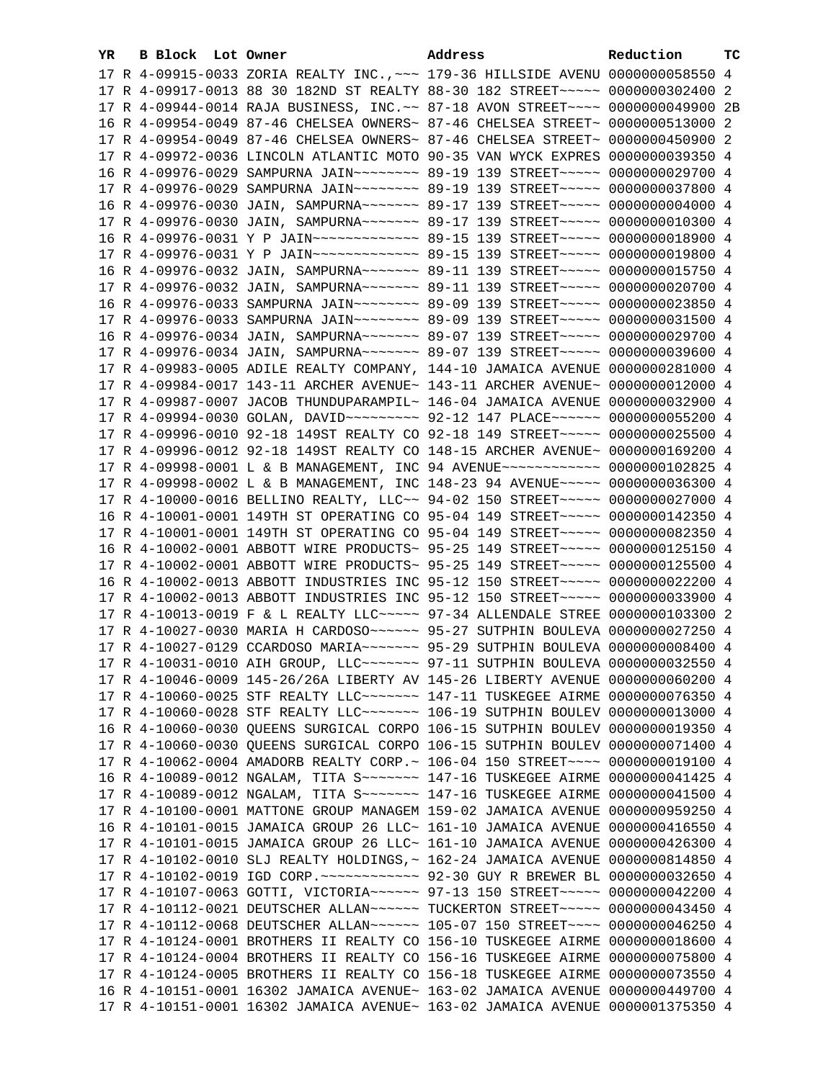| YR. | B Block Lot Owner | Address                                                                             | Reduction | тc |
|-----|-------------------|-------------------------------------------------------------------------------------|-----------|----|
|     |                   | 17 R 4-09915-0033 ZORIA REALTY INC., ~~~ 179-36 HILLSIDE AVENU 0000000058550 4      |           |    |
|     |                   | 17 R 4-09917-0013 88 30 182ND ST REALTY 88-30 182 STREET~~~~~ 0000000302400 2       |           |    |
|     |                   | 17 R 4-09944-0014 RAJA BUSINESS, INC. ~~ 87-18 AVON STREET~~~~ 0000000049900 2B     |           |    |
|     |                   | 16 R 4-09954-0049 87-46 CHELSEA OWNERS~ 87-46 CHELSEA STREET~ 0000000513000 2       |           |    |
|     |                   | 17 R 4-09954-0049 87-46 CHELSEA OWNERS~ 87-46 CHELSEA STREET~ 0000000450900 2       |           |    |
|     |                   | 17 R 4-09972-0036 LINCOLN ATLANTIC MOTO 90-35 VAN WYCK EXPRES 0000000039350 4       |           |    |
|     |                   | 16 R 4-09976-0029 SAMPURNA JAIN~~~~~~~~ 89-19 139 STREET~~~~~ 0000000029700 4       |           |    |
|     |                   | 17 R 4-09976-0029 SAMPURNA JAIN~~~~~~~~ 89-19 139 STREET~~~~~ 0000000037800 4       |           |    |
|     |                   | 16 R 4-09976-0030 JAIN, SAMPURNA~~~~~~~ 89-17 139 STREET~~~~~ 0000000004000 4       |           |    |
|     |                   | 17 R 4-09976-0030 JAIN, SAMPURNA~~~~~~~ 89-17 139 STREET~~~~~ 0000000010300 4       |           |    |
|     |                   | 16 R 4-09976-0031 Y P JAIN~~~~~~~~~~~~~~~~~ 89-15 139 STREET~~~~~~ 0000000018900 4  |           |    |
|     |                   | 17 R 4-09976-0031 Y P JAIN~~~~~~~~~~~~~~~~~~ 89-15 139 STREET~~~~~~ 0000000019800 4 |           |    |
|     |                   |                                                                                     |           |    |
|     |                   | 16 R 4-09976-0032 JAIN, SAMPURNA~~~~~~~ 89-11 139 STREET~~~~~ 0000000015750 4       |           |    |
|     |                   | 17 R 4-09976-0032 JAIN, SAMPURNA~~~~~~~ 89-11 139 STREET~~~~~ 0000000020700 4       |           |    |
|     |                   | 16 R 4-09976-0033 SAMPURNA JAIN~~~~~~~~ 89-09 139 STREET~~~~~ 0000000023850 4       |           |    |
|     |                   | 17 R 4-09976-0033 SAMPURNA JAIN~~~~~~~~ 89-09 139 STREET~~~~~ 0000000031500 4       |           |    |
|     |                   | 16 R 4-09976-0034 JAIN, SAMPURNA~~~~~~~ 89-07 139 STREET~~~~~ 0000000029700 4       |           |    |
|     |                   | 17 R 4-09976-0034 JAIN, SAMPURNA~~~~~~~~ 89-07 139 STREET~~~~~ 0000000039600 4      |           |    |
|     |                   | 17 R 4-09983-0005 ADILE REALTY COMPANY, 144-10 JAMAICA AVENUE 0000000281000 4       |           |    |
|     |                   | 17 R 4-09984-0017 143-11 ARCHER AVENUE~ 143-11 ARCHER AVENUE~ 0000000012000 4       |           |    |
|     |                   | 17 R 4-09987-0007 JACOB THUNDUPARAMPIL~ 146-04 JAMAICA AVENUE 0000000032900 4       |           |    |
|     |                   | 17 R 4-09994-0030 GOLAN, DAVID~~~~~~~~~ 92-12 147 PLACE~~~~~~ 0000000055200 4       |           |    |
|     |                   | 17 R 4-09996-0010 92-18 149ST REALTY CO 92-18 149 STREET~~~~~ 0000000025500 4       |           |    |
|     |                   | 17 R 4-09996-0012 92-18 149ST REALTY CO 148-15 ARCHER AVENUE~ 0000000169200 4       |           |    |
|     |                   | 17 R 4-09998-0001 L & B MANAGEMENT, INC 94 AVENUE~~~~~~~~~~~~ 0000000102825 4       |           |    |
|     |                   | 17 R 4-09998-0002 L & B MANAGEMENT, INC 148-23 94 AVENUE~~~~~ 0000000036300 4       |           |    |
|     |                   | 17 R 4-10000-0016 BELLINO REALTY, LLC~~ 94-02 150 STREET~~~~~~ 0000000027000 4      |           |    |
|     |                   | 16 R 4-10001-0001 149TH ST OPERATING CO 95-04 149 STREET~~~~~ 0000000142350 4       |           |    |
|     |                   | 17 R 4-10001-0001 149TH ST OPERATING CO 95-04 149 STREET~~~~~ 0000000082350 4       |           |    |
|     |                   | 16 R 4-10002-0001 ABBOTT WIRE PRODUCTS~ 95-25 149 STREET~~~~~ 0000000125150 4       |           |    |
|     |                   | 17 R 4-10002-0001 ABBOTT WIRE PRODUCTS~ 95-25 149 STREET~~~~~ 0000000125500 4       |           |    |
|     |                   | 16 R 4-10002-0013 ABBOTT INDUSTRIES INC 95-12 150 STREET~~~~~ 0000000022200 4       |           |    |
|     |                   | 17 R 4-10002-0013 ABBOTT INDUSTRIES INC 95-12 150 STREET~~~~~ 0000000033900 4       |           |    |
|     |                   | 17 R 4-10013-0019 F & L REALTY LLC ~~~~~ 97-34 ALLENDALE STREE 0000000103300 2      |           |    |
|     |                   | 17 R 4-10027-0030 MARIA H CARDOSO ~~~~~~ 95-27 SUTPHIN BOULEVA 0000000027250 4      |           |    |
|     |                   | 17 R 4-10027-0129 CCARDOSO MARIA~~~~~~~ 95-29 SUTPHIN BOULEVA 0000000008400 4       |           |    |
|     |                   | 17 R 4-10031-0010 AIH GROUP, LLC ------- 97-11 SUTPHIN BOULEVA 0000000032550 4      |           |    |
|     |                   | 17 R 4-10046-0009 145-26/26A LIBERTY AV 145-26 LIBERTY AVENUE 0000000060200 4       |           |    |
|     |                   | 17 R 4-10060-0025 STF REALTY LLC ------ 147-11 TUSKEGEE AIRME 0000000076350 4       |           |    |
|     |                   | 17 R 4-10060-0028 STF REALTY LLC ------- 106-19 SUTPHIN BOULEV 0000000013000 4      |           |    |
|     |                   | 16 R 4-10060-0030 QUEENS SURGICAL CORPO 106-15 SUTPHIN BOULEV 0000000019350 4       |           |    |
|     |                   | 17 R 4-10060-0030 QUEENS SURGICAL CORPO 106-15 SUTPHIN BOULEV 0000000071400 4       |           |    |
|     |                   | 17 R 4-10062-0004 AMADORB REALTY CORP.~ 106-04 150 STREET~~~~ 0000000019100 4       |           |    |
|     |                   | 16 R 4-10089-0012 NGALAM, TITA S~~~~~~~ 147-16 TUSKEGEE AIRME 0000000041425 4       |           |    |
|     |                   | 17 R 4-10089-0012 NGALAM, TITA S~~~~~~~ 147-16 TUSKEGEE AIRME 0000000041500 4       |           |    |
|     |                   | 17 R 4-10100-0001 MATTONE GROUP MANAGEM 159-02 JAMAICA AVENUE 0000000959250 4       |           |    |
|     |                   | 16 R 4-10101-0015 JAMAICA GROUP 26 LLC~ 161-10 JAMAICA AVENUE 0000000416550 4       |           |    |
|     |                   | 17 R 4-10101-0015 JAMAICA GROUP 26 LLC~ 161-10 JAMAICA AVENUE 0000000426300 4       |           |    |
|     |                   | 17 R 4-10102-0010 SLJ REALTY HOLDINGS, ~ 162-24 JAMAICA AVENUE 0000000814850 4      |           |    |
|     |                   | 17 R 4-10102-0019 IGD CORP. ~~~~~~~~~~~~~~~~~ 92-30 GUY R BREWER BL 0000000032650 4 |           |    |
|     |                   | 17 R 4-10107-0063 GOTTI, VICTORIA~~~~~~ 97-13 150 STREET~~~~~ 0000000042200 4       |           |    |
|     |                   | 17 R 4-10112-0021 DEUTSCHER ALLAN~~~~~~ TUCKERTON STREET~~~~~ 0000000043450 4       |           |    |
|     |                   | 17 R 4-10112-0068 DEUTSCHER ALLAN~~~~~~ 105-07 150 STREET~~~~ 0000000046250 4       |           |    |
|     |                   | 17 R 4-10124-0001 BROTHERS II REALTY CO 156-10 TUSKEGEE AIRME 0000000018600 4       |           |    |
|     |                   | 17 R 4-10124-0004 BROTHERS II REALTY CO 156-16 TUSKEGEE AIRME 0000000075800 4       |           |    |
|     |                   | 17 R 4-10124-0005 BROTHERS II REALTY CO 156-18 TUSKEGEE AIRME 0000000073550 4       |           |    |
|     |                   | 16 R 4-10151-0001 16302 JAMAICA AVENUE~ 163-02 JAMAICA AVENUE 0000000449700 4       |           |    |
|     |                   | 17 R 4-10151-0001 16302 JAMAICA AVENUE~ 163-02 JAMAICA AVENUE 0000001375350 4       |           |    |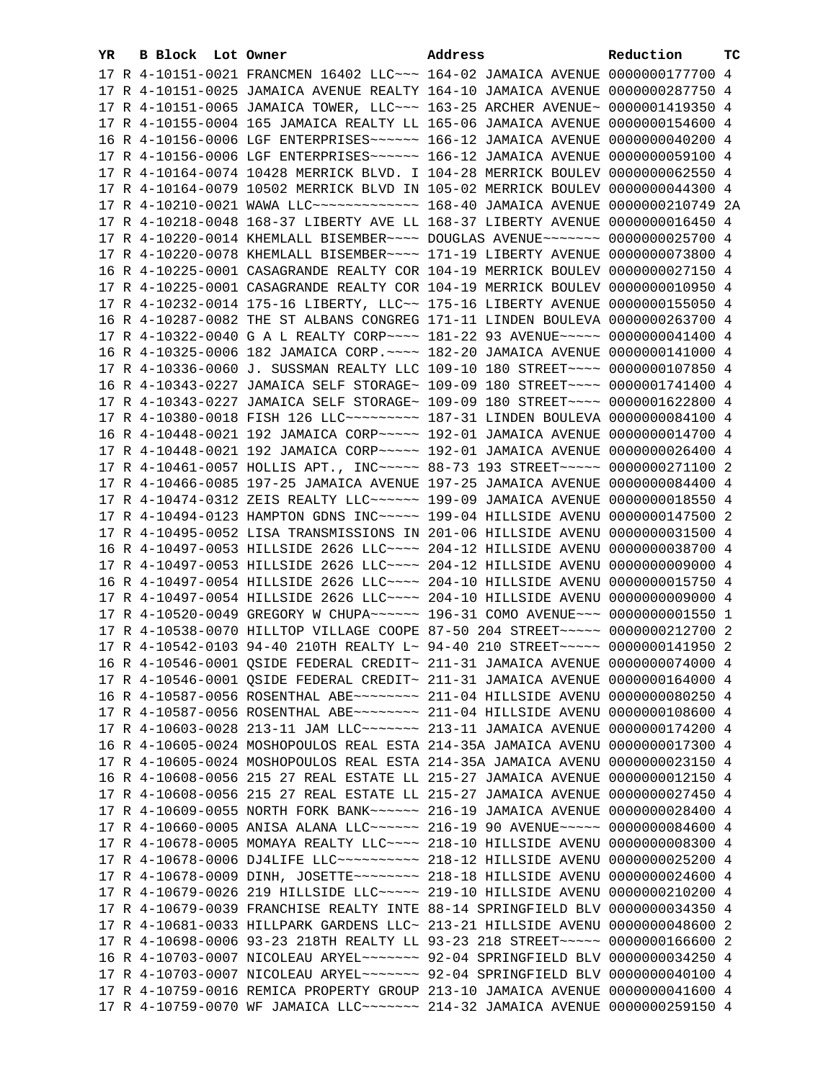| YR. | B Block Lot Owner |                                                                | Address                                                                         | Reduction        | тc |
|-----|-------------------|----------------------------------------------------------------|---------------------------------------------------------------------------------|------------------|----|
|     |                   |                                                                | 17 R 4-10151-0021 FRANCMEN 16402 LLC ~~~ 164-02 JAMAICA AVENUE 0000000177700 4  |                  |    |
|     |                   |                                                                | 17 R 4-10151-0025 JAMAICA AVENUE REALTY 164-10 JAMAICA AVENUE 0000000287750 4   |                  |    |
|     |                   |                                                                | 17 R 4-10151-0065 JAMAICA TOWER, LLC ~~~ 163-25 ARCHER AVENUE ~ 0000001419350 4 |                  |    |
|     |                   | 17 R 4-10155-0004 165 JAMAICA REALTY LL 165-06 JAMAICA AVENUE  |                                                                                 | 0000000154600 4  |    |
|     |                   | 16 R 4-10156-0006 LGF ENTERPRISES~~~~~~ 166-12 JAMAICA AVENUE  |                                                                                 | 0000000040200 4  |    |
|     |                   | 17 R 4-10156-0006 LGF ENTERPRISES~~~~~~ 166-12 JAMAICA AVENUE  |                                                                                 | 0000000059100 4  |    |
|     |                   |                                                                | 17 R 4-10164-0074 10428 MERRICK BLVD. I 104-28 MERRICK BOULEV                   | 0000000062550 4  |    |
|     |                   | 17 R 4-10164-0079 10502 MERRICK BLVD IN 105-02 MERRICK BOULEV  |                                                                                 | 0000000044300 4  |    |
|     |                   | 17 R 4-10210-0021 WAWA LLC ------------- 168-40 JAMAICA AVENUE |                                                                                 | 0000000210749 2A |    |
|     |                   |                                                                |                                                                                 | 0000000016450 4  |    |
|     |                   | 17 R 4-10218-0048 168-37 LIBERTY AVE LL 168-37 LIBERTY AVENUE  |                                                                                 | 0000000025700 4  |    |
|     |                   | 17 R 4-10220-0014 KHEMLALL BISEMBER~~~~ DOUGLAS AVENUE~~~~~~~  |                                                                                 |                  |    |
|     |                   | 17 R 4-10220-0078 KHEMLALL BISEMBER~~~~ 171-19 LIBERTY AVENUE  |                                                                                 | 0000000073800 4  |    |
|     |                   |                                                                | 16 R 4-10225-0001 CASAGRANDE REALTY COR 104-19 MERRICK BOULEV                   | 0000000027150 4  |    |
|     |                   |                                                                | 17 R 4-10225-0001 CASAGRANDE REALTY COR 104-19 MERRICK BOULEV                   | 0000000010950 4  |    |
|     |                   | 17 R 4-10232-0014 175-16 LIBERTY, LLC~~ 175-16 LIBERTY AVENUE  |                                                                                 | 0000000155050 4  |    |
|     |                   |                                                                | 16 R 4-10287-0082 THE ST ALBANS CONGREG 171-11 LINDEN BOULEVA 0000000263700 4   |                  |    |
|     |                   |                                                                | 17 R 4-10322-0040 G A L REALTY CORP~~~~ 181-22 93 AVENUE~~~~~ 0000000041400 4   |                  |    |
|     |                   |                                                                | 16 R 4-10325-0006 182 JAMAICA CORP. ~~~~ 182-20 JAMAICA AVENUE 0000000141000 4  |                  |    |
|     |                   |                                                                | 17 R 4-10336-0060 J. SUSSMAN REALTY LLC 109-10 180 STREET~~~~ 0000000107850 4   |                  |    |
|     |                   |                                                                | 16 R 4-10343-0227 JAMAICA SELF STORAGE~ 109-09 180 STREET~~~~ 0000001741400 4   |                  |    |
|     |                   |                                                                | 17 R 4-10343-0227 JAMAICA SELF STORAGE~ 109-09 180 STREET~~~~ 0000001622800 4   |                  |    |
|     |                   |                                                                | 17 R 4-10380-0018 FISH 126 LLC -------- 187-31 LINDEN BOULEVA 0000000084100 4   |                  |    |
|     |                   |                                                                | 16 R 4-10448-0021 192 JAMAICA CORP~~~~~ 192-01 JAMAICA AVENUE 0000000014700 4   |                  |    |
|     |                   |                                                                | 17 R 4-10448-0021 192 JAMAICA CORP~~~~~ 192-01 JAMAICA AVENUE 0000000026400 4   |                  |    |
|     |                   |                                                                | 17 R 4-10461-0057 HOLLIS APT., INC ~~~~~ 88-73 193 STREET ~~~~~ 0000000271100 2 |                  |    |
|     |                   | 17 R 4-10466-0085 197-25 JAMAICA AVENUE 197-25 JAMAICA AVENUE  |                                                                                 | 0000000084400 4  |    |
|     |                   | 17 R 4-10474-0312 ZEIS REALTY LLC~~~~~~ 199-09 JAMAICA AVENUE  |                                                                                 | 0000000018550 4  |    |
|     |                   | 17 R 4-10494-0123 HAMPTON GDNS INC~~~~~ 199-04 HILLSIDE AVENU  |                                                                                 | 0000000147500 2  |    |
|     |                   | 17 R 4-10495-0052 LISA TRANSMISSIONS IN 201-06 HILLSIDE AVENU  |                                                                                 | 0000000031500 4  |    |
|     |                   | 16 R 4-10497-0053 HILLSIDE 2626 LLC ~~~~ 204-12 HILLSIDE AVENU |                                                                                 | 0000000038700 4  |    |
|     |                   | 17 R 4-10497-0053 HILLSIDE 2626 LLC ~~~~ 204-12 HILLSIDE AVENU |                                                                                 | 0000000009000 4  |    |
|     |                   | 16 R 4-10497-0054 HILLSIDE 2626 LLC ~~~~ 204-10 HILLSIDE AVENU |                                                                                 | 0000000015750 4  |    |
|     |                   |                                                                | 17 R 4-10497-0054 HILLSIDE 2626 LLC~~~~ 204-10 HILLSIDE AVENU 0000000009000 4   |                  |    |
|     |                   |                                                                | 17 R 4-10520-0049 GREGORY W CHUPA~~~~~~ 196-31 COMO AVENUE~~~ 00000000001550 1  |                  |    |
|     |                   |                                                                | 17 R 4-10538-0070 HILLTOP VILLAGE COOPE 87-50 204 STREET~~~~~ 0000000212700 2   |                  |    |
|     |                   |                                                                | 17 R 4-10542-0103 94-40 210TH REALTY L~ 94-40 210 STREET~~~~~~ 0000000141950 2  |                  |    |
|     |                   |                                                                | 16 R 4-10546-0001 QSIDE FEDERAL CREDIT~ 211-31 JAMAICA AVENUE 0000000074000 4   |                  |    |
|     |                   |                                                                | 17 R 4-10546-0001 OSIDE FEDERAL CREDIT~ 211-31 JAMAICA AVENUE 0000000164000 4   |                  |    |
|     |                   |                                                                | 16 R 4-10587-0056 ROSENTHAL ABE~~~~~~~~ 211-04 HILLSIDE AVENU 0000000080250 4   |                  |    |
|     |                   |                                                                | 17 R 4-10587-0056 ROSENTHAL ABE~~~~~~~~ 211-04 HILLSIDE AVENU 0000000108600 4   |                  |    |
|     |                   |                                                                | 17 R 4-10603-0028 213-11 JAM LLC ------- 213-11 JAMAICA AVENUE 0000000174200 4  |                  |    |
|     |                   |                                                                | 16 R 4-10605-0024 MOSHOPOULOS REAL ESTA 214-35A JAMAICA AVENU 0000000017300 4   |                  |    |
|     |                   |                                                                | 17 R 4-10605-0024 MOSHOPOULOS REAL ESTA 214-35A JAMAICA AVENU 0000000023150 4   |                  |    |
|     |                   |                                                                | 16 R 4-10608-0056 215 27 REAL ESTATE LL 215-27 JAMAICA AVENUE 0000000012150 4   |                  |    |
|     |                   |                                                                | 17 R 4-10608-0056 215 27 REAL ESTATE LL 215-27 JAMAICA AVENUE 0000000027450 4   |                  |    |
|     |                   |                                                                | 17 R 4-10609-0055 NORTH FORK BANK~~~~~~ 216-19 JAMAICA AVENUE 0000000028400 4   |                  |    |
|     |                   |                                                                | 17 R 4-10660-0005 ANISA ALANA LLC ----- 216-19 90 AVENUE ---- 0000000084600 4   |                  |    |
|     |                   |                                                                | 17 R 4-10678-0005 MOMAYA REALTY LLC~~~~ 218-10 HILLSIDE AVENU                   | 0000000008300 4  |    |
|     |                   |                                                                | 17 R 4-10678-0006 DJ4LIFE LLC~~~~~~~~~~ 218-12 HILLSIDE AVENU                   | 0000000025200 4  |    |
|     |                   |                                                                | 17 R 4-10678-0009 DINH, JOSETTE~~~~~~~~ 218-18 HILLSIDE AVENU                   | 0000000024600 4  |    |
|     |                   |                                                                | 17 R 4-10679-0026 219 HILLSIDE LLC~~~~~ 219-10 HILLSIDE AVENU                   | 0000000210200 4  |    |
|     |                   |                                                                | 17 R 4-10679-0039 FRANCHISE REALTY INTE 88-14 SPRINGFIELD BLV 0000000034350 4   |                  |    |
|     |                   |                                                                | 17 R 4-10681-0033 HILLPARK GARDENS LLC~ 213-21 HILLSIDE AVENU                   | 0000000048600 2  |    |
|     |                   |                                                                | 17 R 4-10698-0006 93-23 218TH REALTY LL 93-23 218 STREET~~~~~ 0000000166600 2   |                  |    |
|     |                   |                                                                | 16 R 4-10703-0007 NICOLEAU ARYEL~~~~~~~~ 92-04 SPRINGFIELD BLV 0000000034250 4  |                  |    |
|     |                   |                                                                | 17 R 4-10703-0007 NICOLEAU ARYEL~~~~~~~ 92-04 SPRINGFIELD BLV 0000000040100 4   |                  |    |
|     |                   |                                                                | 17 R 4-10759-0016 REMICA PROPERTY GROUP 213-10 JAMAICA AVENUE 0000000041600 4   |                  |    |
|     |                   |                                                                | 17 R 4-10759-0070 WF JAMAICA LLC~~~~~~~ 214-32 JAMAICA AVENUE 0000000259150 4   |                  |    |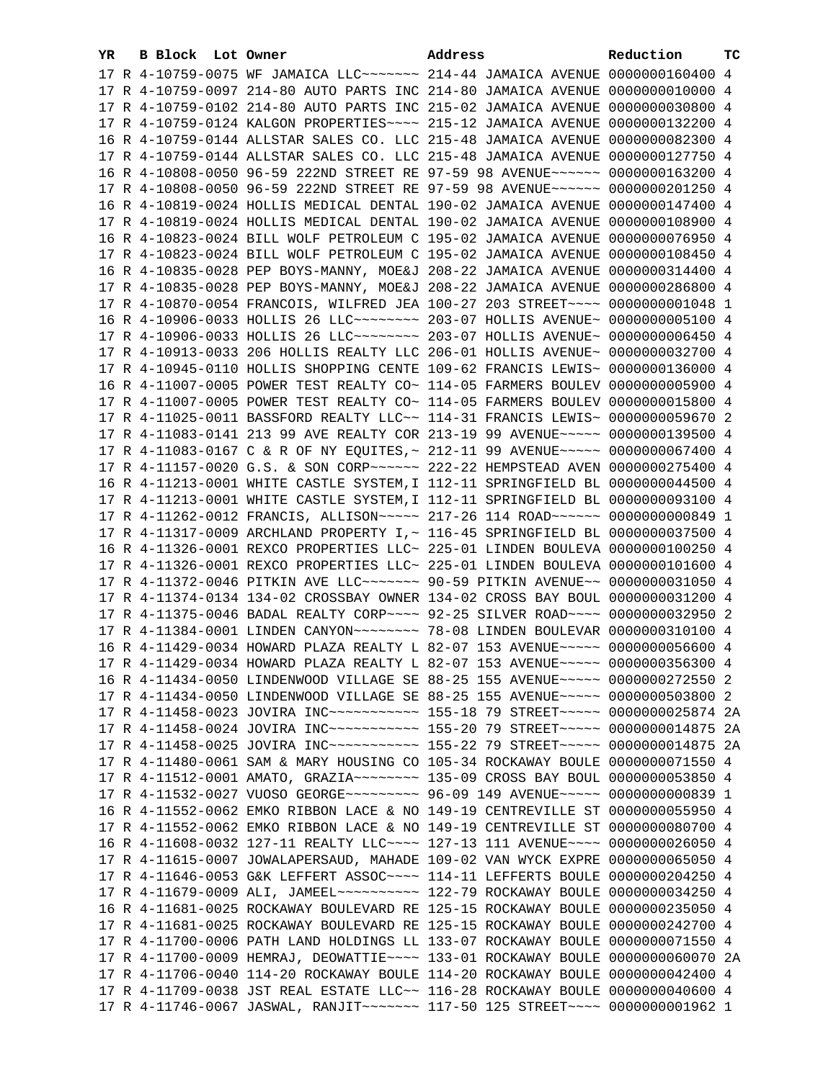| YR | B Block Lot Owner |                                                               | Address                                                                                                                                                        | Reduction       | тc |
|----|-------------------|---------------------------------------------------------------|----------------------------------------------------------------------------------------------------------------------------------------------------------------|-----------------|----|
|    |                   |                                                               | 17 R 4-10759-0075 WF JAMAICA LLC~~~~~~~ 214-44 JAMAICA AVENUE 0000000160400 4                                                                                  |                 |    |
|    |                   |                                                               | 17 R 4-10759-0097 214-80 AUTO PARTS INC 214-80 JAMAICA AVENUE 0000000010000 4                                                                                  |                 |    |
|    |                   |                                                               | 17 R 4-10759-0102 214-80 AUTO PARTS INC 215-02 JAMAICA AVENUE 0000000030800 4                                                                                  |                 |    |
|    |                   | 17 R 4-10759-0124 KALGON PROPERTIES~~~~ 215-12 JAMAICA AVENUE |                                                                                                                                                                | 0000000132200 4 |    |
|    |                   | 16 R 4-10759-0144 ALLSTAR SALES CO. LLC 215-48 JAMAICA AVENUE |                                                                                                                                                                | 0000000082300 4 |    |
|    |                   | 17 R 4-10759-0144 ALLSTAR SALES CO. LLC 215-48 JAMAICA AVENUE |                                                                                                                                                                | 0000000127750 4 |    |
|    |                   | 16 R 4-10808-0050 96-59 222ND STREET RE 97-59 98 AVENUE~~~~~~ |                                                                                                                                                                | 0000000163200 4 |    |
|    |                   |                                                               | 17 R 4-10808-0050 96-59 222ND STREET RE 97-59 98 AVENUE~~~~~~                                                                                                  | 0000000201250 4 |    |
|    |                   |                                                               | 16 R 4-10819-0024 HOLLIS MEDICAL DENTAL 190-02 JAMAICA AVENUE                                                                                                  | 0000000147400 4 |    |
|    |                   | 17 R 4-10819-0024 HOLLIS MEDICAL DENTAL 190-02 JAMAICA AVENUE |                                                                                                                                                                | 0000000108900 4 |    |
|    |                   |                                                               | 16 R 4-10823-0024 BILL WOLF PETROLEUM C 195-02 JAMAICA AVENUE                                                                                                  | 0000000076950 4 |    |
|    |                   | 17 R 4-10823-0024 BILL WOLF PETROLEUM C 195-02 JAMAICA AVENUE |                                                                                                                                                                | 0000000108450 4 |    |
|    |                   | 16 R 4-10835-0028 PEP BOYS-MANNY, MOE&J 208-22 JAMAICA AVENUE |                                                                                                                                                                | 0000000314400 4 |    |
|    |                   |                                                               |                                                                                                                                                                | 0000000286800 4 |    |
|    |                   |                                                               | 17 R 4-10835-0028 PEP BOYS-MANNY, MOE&J 208-22 JAMAICA AVENUE                                                                                                  |                 |    |
|    |                   |                                                               | 17 R 4-10870-0054 FRANCOIS, WILFRED JEA 100-27 203 STREET~~~~                                                                                                  | 0000000001048 1 |    |
|    |                   |                                                               | 16 R 4-10906-0033 HOLLIS 26 LLC ------- 203-07 HOLLIS AVENUE ~ 0000000005100 4                                                                                 |                 |    |
|    |                   |                                                               | 17 R 4-10906-0033 HOLLIS 26 LLC ------- 203-07 HOLLIS AVENUE ~ 0000000006450 4                                                                                 |                 |    |
|    |                   |                                                               | 17 R 4-10913-0033 206 HOLLIS REALTY LLC 206-01 HOLLIS AVENUE~ 0000000032700 4                                                                                  |                 |    |
|    |                   |                                                               | 17 R 4-10945-0110 HOLLIS SHOPPING CENTE 109-62 FRANCIS LEWIS~ 0000000136000 4                                                                                  |                 |    |
|    |                   |                                                               | 16 R 4-11007-0005 POWER TEST REALTY CO~ 114-05 FARMERS BOULEV 0000000005900 4                                                                                  |                 |    |
|    |                   |                                                               | 17 R 4-11007-0005 POWER TEST REALTY CO~ 114-05 FARMERS BOULEV 0000000015800 4                                                                                  |                 |    |
|    |                   |                                                               | 17 R 4-11025-0011 BASSFORD REALTY LLC~~ 114-31 FRANCIS LEWIS~ 0000000059670 2                                                                                  |                 |    |
|    |                   |                                                               | 17 R 4-11083-0141 213 99 AVE REALTY COR 213-19 99 AVENUE~~~~~ 0000000139500 4                                                                                  |                 |    |
|    |                   |                                                               | 17 R 4-11083-0167 C & R OF NY EQUITES, ~ 212-11 99 AVENUE~~~~~ 0000000067400 4                                                                                 |                 |    |
|    |                   |                                                               |                                                                                                                                                                |                 |    |
|    |                   |                                                               | 16 R 4-11213-0001 WHITE CASTLE SYSTEM, I 112-11 SPRINGFIELD BL 0000000044500 4                                                                                 |                 |    |
|    |                   |                                                               | 17 R 4-11213-0001 WHITE CASTLE SYSTEM, I 112-11 SPRINGFIELD BL 0000000093100 4                                                                                 |                 |    |
|    |                   |                                                               | 17 R 4-11262-0012 FRANCIS, ALLISON~~~~~ 217-26 114 ROAD~~~~~~ 0000000000849 1                                                                                  |                 |    |
|    |                   |                                                               | 17 R 4-11317-0009 ARCHLAND PROPERTY I, ~ 116-45 SPRINGFIELD BL 0000000037500 4                                                                                 |                 |    |
|    |                   |                                                               | 16 R 4-11326-0001 REXCO PROPERTIES LLC~ 225-01 LINDEN BOULEVA 0000000100250 4<br>17 R 4-11326-0001 REXCO PROPERTIES LLC~ 225-01 LINDEN BOULEVA 0000000101600 4 |                 |    |
|    |                   |                                                               | 17 R 4-11372-0046 PITKIN AVE LLC ------ 90-59 PITKIN AVENUE -~ 0000000031050 4                                                                                 |                 |    |
|    |                   |                                                               | 17 R 4-11374-0134 134-02 CROSSBAY OWNER 134-02 CROSS BAY BOUL 0000000031200 4                                                                                  |                 |    |
|    |                   |                                                               | 17 R 4-11375-0046 BADAL REALTY CORP~~~~ 92-25 SILVER ROAD~~~~ 0000000032950 2                                                                                  |                 |    |
|    |                   |                                                               | 17 R 4-11384-0001 LINDEN CANYON~~~~~~~~ 78-08 LINDEN BOULEVAR 0000000310100 4                                                                                  |                 |    |
|    |                   |                                                               | 16 R 4-11429-0034 HOWARD PLAZA REALTY L 82-07 153 AVENUE~~~~~ 0000000056600 4                                                                                  |                 |    |
|    |                   |                                                               | 17 R 4-11429-0034 HOWARD PLAZA REALTY L 82-07 153 AVENUE~~~~~ 0000000356300 4                                                                                  |                 |    |
|    |                   |                                                               | 16 R 4-11434-0050 LINDENWOOD VILLAGE SE 88-25 155 AVENUE~~~~~ 0000000272550 2                                                                                  |                 |    |
|    |                   |                                                               | 17 R 4-11434-0050 LINDENWOOD VILLAGE SE 88-25 155 AVENUE~~~~~ 0000000503800 2                                                                                  |                 |    |
|    |                   |                                                               | 17 R 4-11458-0023 JOVIRA INC~~~~~~~~~~~~~~~ 155-18 79 STREET~~~~~~ 0000000025874 2A                                                                            |                 |    |
|    |                   |                                                               | 17 R 4-11458-0024 JOVIRA INC~~~~~~~~~~~~~~~ 155-20 79 STREET~~~~~~ 0000000014875 2A                                                                            |                 |    |
|    |                   |                                                               | 17 R 4-11458-0025 JOVIRA INC~~~~~~~~~~~~~~~ 155-22 79 STREET~~~~~~ 0000000014875 2A                                                                            |                 |    |
|    |                   |                                                               | 17 R 4-11480-0061 SAM & MARY HOUSING CO 105-34 ROCKAWAY BOULE 0000000071550 4                                                                                  |                 |    |
|    |                   |                                                               | 17 R 4-11512-0001 AMATO, GRAZIA~~~~~~~~ 135-09 CROSS BAY BOUL 0000000053850 4                                                                                  |                 |    |
|    |                   |                                                               | 17 R 4-11532-0027 VUOSO GEORGE~~~~~~~~~ 96-09 149 AVENUE~~~~~ 0000000000839 1                                                                                  |                 |    |
|    |                   |                                                               | 16 R 4-11552-0062 EMKO RIBBON LACE & NO 149-19 CENTREVILLE ST 0000000055950 4                                                                                  |                 |    |
|    |                   |                                                               | 17 R 4-11552-0062 EMKO RIBBON LACE & NO 149-19 CENTREVILLE ST 0000000080700 4                                                                                  |                 |    |
|    |                   |                                                               | 16 R 4-11608-0032 127-11 REALTY LLC~~~~ 127-13 111 AVENUE~~~~ 0000000026050 4                                                                                  |                 |    |
|    |                   |                                                               | 17 R 4-11615-0007 JOWALAPERSAUD, MAHADE 109-02 VAN WYCK EXPRE 0000000065050 4                                                                                  |                 |    |
|    |                   |                                                               | 17 R 4-11646-0053 G&K LEFFERT ASSOC~~~~ 114-11 LEFFERTS BOULE 0000000204250 4                                                                                  |                 |    |
|    |                   |                                                               | 17 R 4-11679-0009 ALI, JAMEEL~~~~~~~~~~~~~~~ 122-79 ROCKAWAY BOULE 0000000034250 4                                                                             |                 |    |
|    |                   |                                                               | 16 R 4-11681-0025 ROCKAWAY BOULEVARD RE 125-15 ROCKAWAY BOULE 0000000235050 4                                                                                  |                 |    |
|    |                   |                                                               | 17 R 4-11681-0025 ROCKAWAY BOULEVARD RE 125-15 ROCKAWAY BOULE 0000000242700 4                                                                                  |                 |    |
|    |                   |                                                               | 17 R 4-11700-0006 PATH LAND HOLDINGS LL 133-07 ROCKAWAY BOULE 0000000071550 4                                                                                  |                 |    |
|    |                   |                                                               | 17 R 4-11700-0009 HEMRAJ, DEOWATTIE~~~~ 133-01 ROCKAWAY BOULE 0000000060070 2A                                                                                 |                 |    |
|    |                   |                                                               | 17 R 4-11706-0040 114-20 ROCKAWAY BOULE 114-20 ROCKAWAY BOULE 0000000042400 4                                                                                  |                 |    |
|    |                   |                                                               | 17 R 4-11709-0038 JST REAL ESTATE LLC~~ 116-28 ROCKAWAY BOULE 0000000040600 4                                                                                  |                 |    |
|    |                   |                                                               | 17 R 4-11746-0067 JASWAL, RANJIT~~~~~~~ 117-50 125 STREET~~~~ 00000000001962 1                                                                                 |                 |    |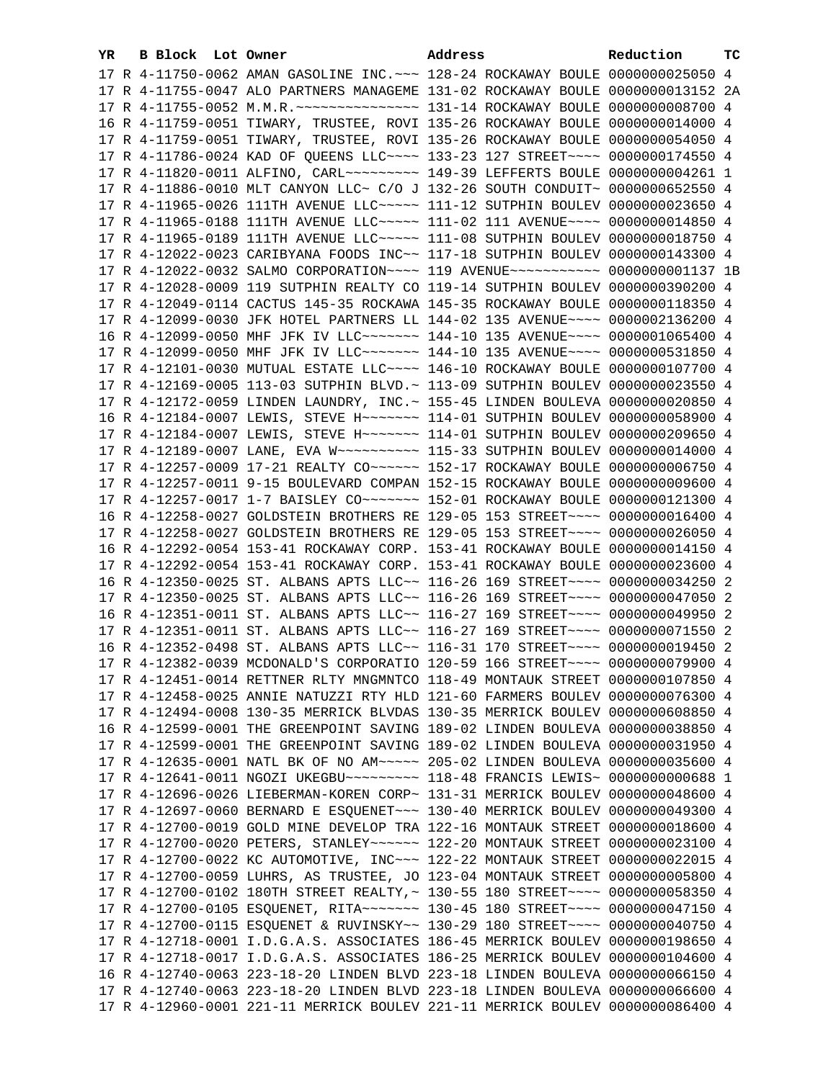| YR. | B Block Lot Owner |                                                                                    | Address | Reduction       | тc |
|-----|-------------------|------------------------------------------------------------------------------------|---------|-----------------|----|
|     |                   | 17 R 4-11750-0062 AMAN GASOLINE INC. ~~~ 128-24 ROCKAWAY BOULE 0000000025050 4     |         |                 |    |
|     |                   | 17 R 4-11755-0047 ALO PARTNERS MANAGEME 131-02 ROCKAWAY BOULE 0000000013152 2A     |         |                 |    |
|     |                   |                                                                                    |         | 0000000008700 4 |    |
|     |                   | 16 R 4-11759-0051 TIWARY, TRUSTEE, ROVI 135-26 ROCKAWAY BOULE 0000000014000 4      |         |                 |    |
|     |                   | 17 R 4-11759-0051 TIWARY, TRUSTEE, ROVI 135-26 ROCKAWAY BOULE                      |         | 0000000054050 4 |    |
|     |                   | 17 R 4-11786-0024 KAD OF QUEENS LLC~~~~ 133-23 127 STREET~~~~                      |         | 0000000174550 4 |    |
|     |                   | 17 R 4-11820-0011 ALFINO, CARL~~~~~~~~~~~~~ 149-39 LEFFERTS BOULE                  |         | 0000000004261 1 |    |
|     |                   | 17 R 4-11886-0010 MLT CANYON LLC~ C/O J 132-26 SOUTH CONDUIT~                      |         | 0000000652550 4 |    |
|     |                   | 17 R 4-11965-0026 111TH AVENUE LLC ~~~~~ 111-12 SUTPHIN BOULEV 0000000023650 4     |         |                 |    |
|     |                   | 17 R 4-11965-0188 111TH AVENUE LLC ~~~~~ 111-02 111 AVENUE ~~~~                    |         | 0000000014850 4 |    |
|     |                   | 17 R 4-11965-0189 111TH AVENUE LLC ~~~~~ 111-08 SUTPHIN BOULEV 0000000018750 4     |         |                 |    |
|     |                   | 17 R 4-12022-0023 CARIBYANA FOODS INC~~ 117-18 SUTPHIN BOULEV 0000000143300 4      |         |                 |    |
|     |                   | 17 R 4-12022-0032 SALMO CORPORATION~~~~ 119 AVENUE~~~~~~~~~~~ 0000000001137 1B     |         |                 |    |
|     |                   | 17 R 4-12028-0009 119 SUTPHIN REALTY CO 119-14 SUTPHIN BOULEV 0000000390200 4      |         |                 |    |
|     |                   | 17 R 4-12049-0114 CACTUS 145-35 ROCKAWA 145-35 ROCKAWAY BOULE 0000000118350 4      |         |                 |    |
|     |                   | 17 R 4-12099-0030 JFK HOTEL PARTNERS LL 144-02 135 AVENUE~~~~ 0000002136200 4      |         |                 |    |
|     |                   | 16 R 4-12099-0050 MHF JFK IV LLC~~~~~~~ 144-10 135 AVENUE~~~~ 0000001065400 4      |         |                 |    |
|     |                   | 17 R 4-12099-0050 MHF JFK IV LLC~~~~~~~~ 144-10 135 AVENUE~~~~ 0000000531850 4     |         |                 |    |
|     |                   | 17 R 4-12101-0030 MUTUAL ESTATE LLC ~~~~ 146-10 ROCKAWAY BOULE 0000000107700 4     |         |                 |    |
|     |                   | 17 R 4-12169-0005 113-03 SUTPHIN BLVD. ~ 113-09 SUTPHIN BOULEV 0000000023550 4     |         |                 |    |
|     |                   | 17 R 4-12172-0059 LINDEN LAUNDRY, INC. ~ 155-45 LINDEN BOULEVA 0000000020850 4     |         |                 |    |
|     |                   | 16 R 4-12184-0007 LEWIS, STEVE H~~~~~~~ 114-01 SUTPHIN BOULEV 0000000058900 4      |         |                 |    |
|     |                   | 17 R 4-12184-0007 LEWIS, STEVE H~~~~~~~ 114-01 SUTPHIN BOULEV 0000000209650 4      |         |                 |    |
|     |                   | 17 R 4-12189-0007 LANE, EVA W~~~~~~~~~~~~~~~ 115-33 SUTPHIN BOULEV 0000000014000 4 |         |                 |    |
|     |                   | 17 R 4-12257-0009 17-21 REALTY CO~~~~~~ 152-17 ROCKAWAY BOULE                      |         | 0000000006750 4 |    |
|     |                   | 17 R 4-12257-0011 9-15 BOULEVARD COMPAN 152-15 ROCKAWAY BOULE                      |         | 0000000009600 4 |    |
|     |                   | 17 R 4-12257-0017 1-7 BAISLEY CO~~~~~~~ 152-01 ROCKAWAY BOULE                      |         | 0000000121300 4 |    |
|     |                   | 16 R 4-12258-0027 GOLDSTEIN BROTHERS RE 129-05 153 STREET~~~~                      |         | 0000000016400 4 |    |
|     |                   | 17 R 4-12258-0027 GOLDSTEIN BROTHERS RE 129-05 153 STREET~~~~                      |         | 0000000026050 4 |    |
|     |                   | 16 R 4-12292-0054 153-41 ROCKAWAY CORP. 153-41 ROCKAWAY BOULE                      |         | 0000000014150 4 |    |
|     |                   | 17 R 4-12292-0054 153-41 ROCKAWAY CORP. 153-41 ROCKAWAY BOULE                      |         | 0000000023600 4 |    |
|     |                   | 16 R 4-12350-0025 ST. ALBANS APTS LLC~~ 116-26 169 STREET~~~~ 0000000034250 2      |         |                 |    |
|     |                   | 17 R 4-12350-0025 ST. ALBANS APTS LLC~~ 116-26 169 STREET~~~~ 0000000047050 2      |         |                 |    |
|     |                   | 16 R 4-12351-0011 ST. ALBANS APTS LLC~~ 116-27 169 STREET~~~~ 0000000049950 2      |         |                 |    |
|     |                   | 17 R 4-12351-0011 ST. ALBANS APTS LLC~~ 116-27 169 STREET~~~~ 0000000071550 2      |         |                 |    |
|     |                   | 16 R 4-12352-0498 ST. ALBANS APTS LLC~~ 116-31 170 STREET~~~~ 0000000019450 2      |         |                 |    |
|     |                   | 17 R 4-12382-0039 MCDONALD'S CORPORATIO 120-59 166 STREET~~~~ 0000000079900 4      |         |                 |    |
|     |                   | 17 R 4-12451-0014 RETTNER RLTY MNGMNTCO 118-49 MONTAUK STREET 0000000107850 4      |         |                 |    |
|     |                   | 17 R 4-12458-0025 ANNIE NATUZZI RTY HLD 121-60 FARMERS BOULEV 0000000076300 4      |         |                 |    |
|     |                   | 17 R 4-12494-0008 130-35 MERRICK BLVDAS 130-35 MERRICK BOULEV 0000000608850 4      |         |                 |    |
|     |                   | 16 R 4-12599-0001 THE GREENPOINT SAVING 189-02 LINDEN BOULEVA 0000000038850 4      |         |                 |    |
|     |                   | 17 R 4-12599-0001 THE GREENPOINT SAVING 189-02 LINDEN BOULEVA 0000000031950 4      |         |                 |    |
|     |                   | 17 R 4-12635-0001 NATL BK OF NO AM~~~~~ 205-02 LINDEN BOULEVA 0000000035600 4      |         |                 |    |
|     |                   | 17 R 4-12641-0011 NGOZI UKEGBU~~~~~~~~~~~~~~ 118-48 FRANCIS LEWIS~ 0000000000688 1 |         |                 |    |
|     |                   | 17 R 4-12696-0026 LIEBERMAN-KOREN CORP~ 131-31 MERRICK BOULEV 0000000048600 4      |         |                 |    |
|     |                   | 17 R 4-12697-0060 BERNARD E ESQUENET~~~ 130-40 MERRICK BOULEV 0000000049300 4      |         |                 |    |
|     |                   | 17 R 4-12700-0019 GOLD MINE DEVELOP TRA 122-16 MONTAUK STREET 0000000018600 4      |         |                 |    |
|     |                   | 17 R 4-12700-0020 PETERS, STANLEY~~~~~~ 122-20 MONTAUK STREET 0000000023100 4      |         |                 |    |
|     |                   | 17 R 4-12700-0022 KC AUTOMOTIVE, INC~~~ 122-22 MONTAUK STREET 0000000022015 4      |         |                 |    |
|     |                   | 17 R 4-12700-0059 LUHRS, AS TRUSTEE, JO 123-04 MONTAUK STREET 0000000005800 4      |         |                 |    |
|     |                   | 17 R 4-12700-0102 180TH STREET REALTY, ~ 130-55 180 STREET~~~~ 0000000058350 4     |         |                 |    |
|     |                   | 17 R 4-12700-0105 ESQUENET, RITA~~~~~~~ 130-45 180 STREET~~~~ 0000000047150 4      |         |                 |    |
|     |                   | 17 R 4-12700-0115 ESQUENET & RUVINSKY~~ 130-29 180 STREET~~~~ 0000000040750 4      |         |                 |    |
|     |                   | 17 R 4-12718-0001 I.D.G.A.S. ASSOCIATES 186-45 MERRICK BOULEV 0000000198650 4      |         |                 |    |
|     |                   | 17 R 4-12718-0017 I.D.G.A.S. ASSOCIATES 186-25 MERRICK BOULEV 0000000104600 4      |         |                 |    |
|     |                   | 16 R 4-12740-0063 223-18-20 LINDEN BLVD 223-18 LINDEN BOULEVA 0000000066150 4      |         |                 |    |
|     |                   | 17 R 4-12740-0063 223-18-20 LINDEN BLVD 223-18 LINDEN BOULEVA 0000000066600 4      |         |                 |    |
|     |                   | 17 R 4-12960-0001 221-11 MERRICK BOULEV 221-11 MERRICK BOULEV 0000000086400 4      |         |                 |    |
|     |                   |                                                                                    |         |                 |    |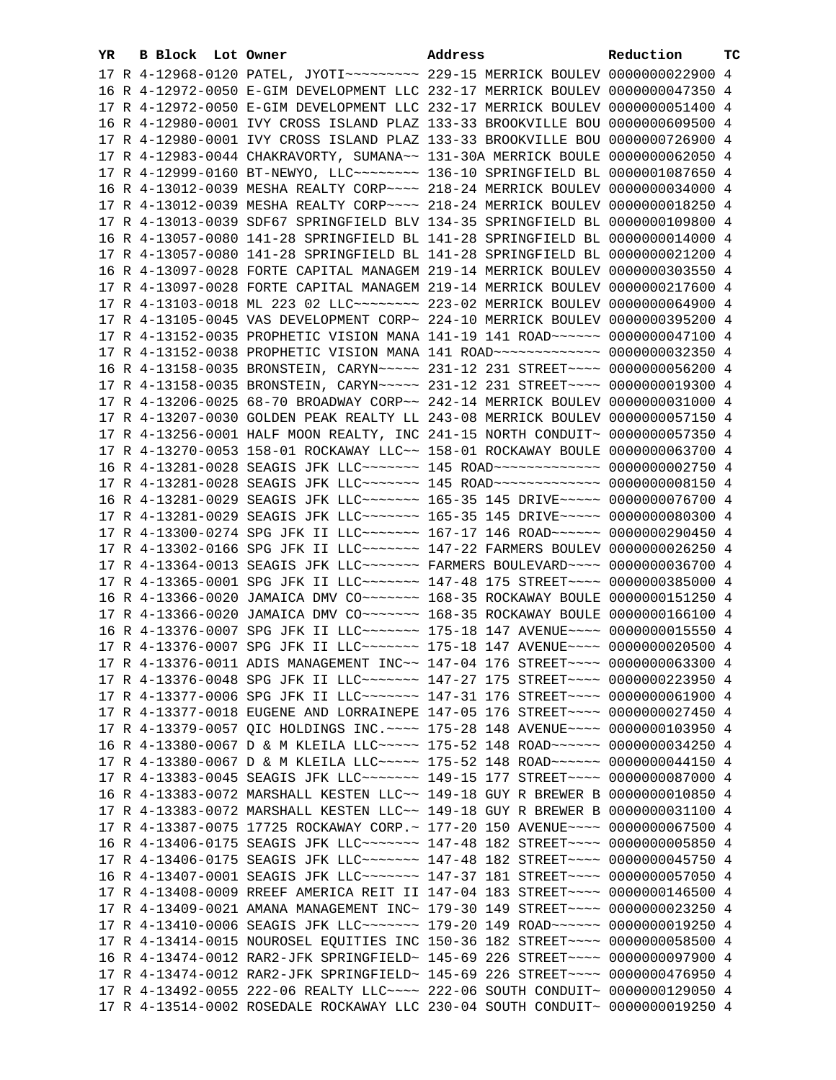| YR | B Block Lot Owner |  | Address                                                                               | Reduction | ТC |
|----|-------------------|--|---------------------------------------------------------------------------------------|-----------|----|
|    |                   |  | 17 R 4-12968-0120 PATEL, JYOTI~~~~~~~~~ 229-15 MERRICK BOULEV 0000000022900 4         |           |    |
|    |                   |  | 16 R 4-12972-0050 E-GIM DEVELOPMENT LLC 232-17 MERRICK BOULEV 0000000047350 4         |           |    |
|    |                   |  | 17 R 4-12972-0050 E-GIM DEVELOPMENT LLC 232-17 MERRICK BOULEV 0000000051400 4         |           |    |
|    |                   |  | 16 R 4-12980-0001 IVY CROSS ISLAND PLAZ 133-33 BROOKVILLE BOU 0000000609500 4         |           |    |
|    |                   |  | 17 R 4-12980-0001 IVY CROSS ISLAND PLAZ 133-33 BROOKVILLE BOU 0000000726900 4         |           |    |
|    |                   |  | 17 R 4-12983-0044 CHAKRAVORTY, SUMANA~~ 131-30A MERRICK BOULE 0000000062050 4         |           |    |
|    |                   |  | 17 R 4-12999-0160 BT-NEWYO, LLC -------- 136-10 SPRINGFIELD BL 0000001087650 4        |           |    |
|    |                   |  | 16 R 4-13012-0039 MESHA REALTY CORP~~~~ 218-24 MERRICK BOULEV 0000000034000 4         |           |    |
|    |                   |  | 17 R 4-13012-0039 MESHA REALTY CORP~~~~ 218-24 MERRICK BOULEV 0000000018250 4         |           |    |
|    |                   |  | 17 R 4-13013-0039 SDF67 SPRINGFIELD BLV 134-35 SPRINGFIELD BL 0000000109800 4         |           |    |
|    |                   |  | 16 R 4-13057-0080 141-28 SPRINGFIELD BL 141-28 SPRINGFIELD BL 0000000014000 4         |           |    |
|    |                   |  |                                                                                       |           |    |
|    |                   |  | 17 R 4-13057-0080 141-28 SPRINGFIELD BL 141-28 SPRINGFIELD BL 0000000021200 4         |           |    |
|    |                   |  | 16 R 4-13097-0028 FORTE CAPITAL MANAGEM 219-14 MERRICK BOULEV 0000000303550 4         |           |    |
|    |                   |  | 17 R 4-13097-0028 FORTE CAPITAL MANAGEM 219-14 MERRICK BOULEV 0000000217600 4         |           |    |
|    |                   |  | 17 R 4-13103-0018 ML 223 02 LLC ------- 223-02 MERRICK BOULEV 0000000064900 4         |           |    |
|    |                   |  | 17 R 4-13105-0045 VAS DEVELOPMENT CORP~ 224-10 MERRICK BOULEV 0000000395200 4         |           |    |
|    |                   |  | 17 R 4-13152-0035 PROPHETIC VISION MANA 141-19 141 ROAD ~~~~~~ 0000000047100 4        |           |    |
|    |                   |  | 17 R 4-13152-0038 PROPHETIC VISION MANA 141 ROAD ~~~~~~~~~~~~~ 0000000032350 4        |           |    |
|    |                   |  | 16 R 4-13158-0035 BRONSTEIN, CARYN~~~~~ 231-12 231 STREET~~~~ 0000000056200 4         |           |    |
|    |                   |  | 17 R 4-13158-0035 BRONSTEIN, CARYN~~~~~ 231-12 231 STREET~~~~ 0000000019300 4         |           |    |
|    |                   |  | 17 R 4-13206-0025 68-70 BROADWAY CORP~~ 242-14 MERRICK BOULEV 0000000031000 4         |           |    |
|    |                   |  | 17 R 4-13207-0030 GOLDEN PEAK REALTY LL 243-08 MERRICK BOULEV 0000000057150 4         |           |    |
|    |                   |  | 17 R 4-13256-0001 HALF MOON REALTY, INC 241-15 NORTH CONDUIT~ 0000000057350 4         |           |    |
|    |                   |  | 17 R 4-13270-0053 158-01 ROCKAWAY LLC~~ 158-01 ROCKAWAY BOULE 0000000063700 4         |           |    |
|    |                   |  | 16 R 4-13281-0028 SEAGIS JFK LLC ------ 145 ROAD ------------ 0000000002750 4         |           |    |
|    |                   |  | 17 R 4-13281-0028 SEAGIS JFK LLC ------ 145 ROAD ------------ 0000000008150 4         |           |    |
|    |                   |  | 16 R 4-13281-0029 SEAGIS JFK LLC ------- 165-35 145 DRIVE ---- 0000000076700 4        |           |    |
|    |                   |  | 17 R 4-13281-0029 SEAGIS JFK LLC ------- 165-35 145 DRIVE ---- 0000000080300 4        |           |    |
|    |                   |  | 17 R 4-13300-0274 SPG JFK II LLC~~~~~~~~ 167-17 146 ROAD~~~~~~ 0000000290450 4        |           |    |
|    |                   |  | 17 R 4-13302-0166 SPG JFK II LLC~~~~~~~~ 147-22 FARMERS BOULEV 0000000026250 4        |           |    |
|    |                   |  | 17 R 4-13364-0013 SEAGIS JFK LLC ------ FARMERS BOULEVARD --- 0000000036700 4         |           |    |
|    |                   |  | 17 R 4-13365-0001 SPG JFK II LLC ------ 147-48 175 STREET --- 0000000385000 4         |           |    |
|    |                   |  | 16 R 4-13366-0020 JAMAICA DMV CO ~~~~~~~~~~~~~~ 168-35 ROCKAWAY BOULE 0000000151250 4 |           |    |
|    |                   |  | 17 R 4-13366-0020 JAMAICA DMV CO~~~~~~~ 168-35 ROCKAWAY BOULE 0000000166100 4         |           |    |
|    |                   |  | 16 R 4-13376-0007 SPG JFK II LLC ------ 175-18 147 AVENUE --- 0000000015550 4         |           |    |
|    |                   |  | 17 R 4-13376-0007 SPG JFK II LLC ------ 175-18 147 AVENUE --- 0000000020500 4         |           |    |
|    |                   |  | 17 R 4-13376-0011 ADIS MANAGEMENT INC~~ 147-04 176 STREET~~~~ 0000000063300 4         |           |    |
|    |                   |  | 17 R 4-13376-0048 SPG JFK II LLC ------- 147-27 175 STREET --- 0000000223950 4        |           |    |
|    |                   |  | 17 R 4-13377-0006 SPG JFK II LLC~~~~~~~ 147-31 176 STREET~~~~ 0000000061900 4         |           |    |
|    |                   |  | 17 R 4-13377-0018 EUGENE AND LORRAINEPE 147-05 176 STREET~~~~ 0000000027450 4         |           |    |
|    |                   |  | 17 R 4-13379-0057 QIC HOLDINGS INC. ~~~~ 175-28 148 AVENUE~~~~ 0000000103950 4        |           |    |
|    |                   |  | 16 R 4-13380-0067 D & M KLEILA LLC ---- 175-52 148 ROAD ----- 0000000034250 4         |           |    |
|    |                   |  | 17 R 4-13380-0067 D & M KLEILA LLC ---- 175-52 148 ROAD ----- 0000000044150 4         |           |    |
|    |                   |  | 17 R 4-13383-0045 SEAGIS JFK LLC ------- 149-15 177 STREET --- 0000000087000 4        |           |    |
|    |                   |  | 16 R 4-13383-0072 MARSHALL KESTEN LLC~~ 149-18 GUY R BREWER B 0000000010850 4         |           |    |
|    |                   |  | 17 R 4-13383-0072 MARSHALL KESTEN LLC~~ 149-18 GUY R BREWER B 0000000031100 4         |           |    |
|    |                   |  | 17 R 4-13387-0075 17725 ROCKAWAY CORP.~ 177-20 150 AVENUE~~~~ 0000000067500 4         |           |    |
|    |                   |  | 16 R 4-13406-0175 SEAGIS JFK LLC ------- 147-48 182 STREET --- 0000000005850 4        |           |    |
|    |                   |  | 17 R 4-13406-0175 SEAGIS JFK LLC ------- 147-48 182 STREET --- 0000000045750 4        |           |    |
|    |                   |  | 16 R 4-13407-0001 SEAGIS JFK LLC ------ 147-37 181 STREET --- 0000000057050 4         |           |    |
|    |                   |  | 17 R 4-13408-0009 RREEF AMERICA REIT II 147-04 183 STREET~~~~ 0000000146500 4         |           |    |
|    |                   |  | 17 R 4-13409-0021 AMANA MANAGEMENT INC~ 179-30 149 STREET~~~~ 0000000023250 4         |           |    |
|    |                   |  | 17 R 4-13410-0006 SEAGIS JFK LLC ------- 179-20 149 ROAD ----- 0000000019250 4        |           |    |
|    |                   |  | 17 R 4-13414-0015 NOUROSEL EQUITIES INC 150-36 182 STREET~~~~ 0000000058500 4         |           |    |
|    |                   |  | 16 R 4-13474-0012 RAR2-JFK SPRINGFIELD~ 145-69 226 STREET~~~~ 0000000097900 4         |           |    |
|    |                   |  | 17 R 4-13474-0012 RAR2-JFK SPRINGFIELD~ 145-69 226 STREET~~~~ 0000000476950 4         |           |    |
|    |                   |  | 17 R 4-13492-0055 222-06 REALTY LLC~~~~ 222-06 SOUTH CONDUIT~ 0000000129050 4         |           |    |
|    |                   |  | 17 R 4-13514-0002 ROSEDALE ROCKAWAY LLC 230-04 SOUTH CONDUIT~ 0000000019250 4         |           |    |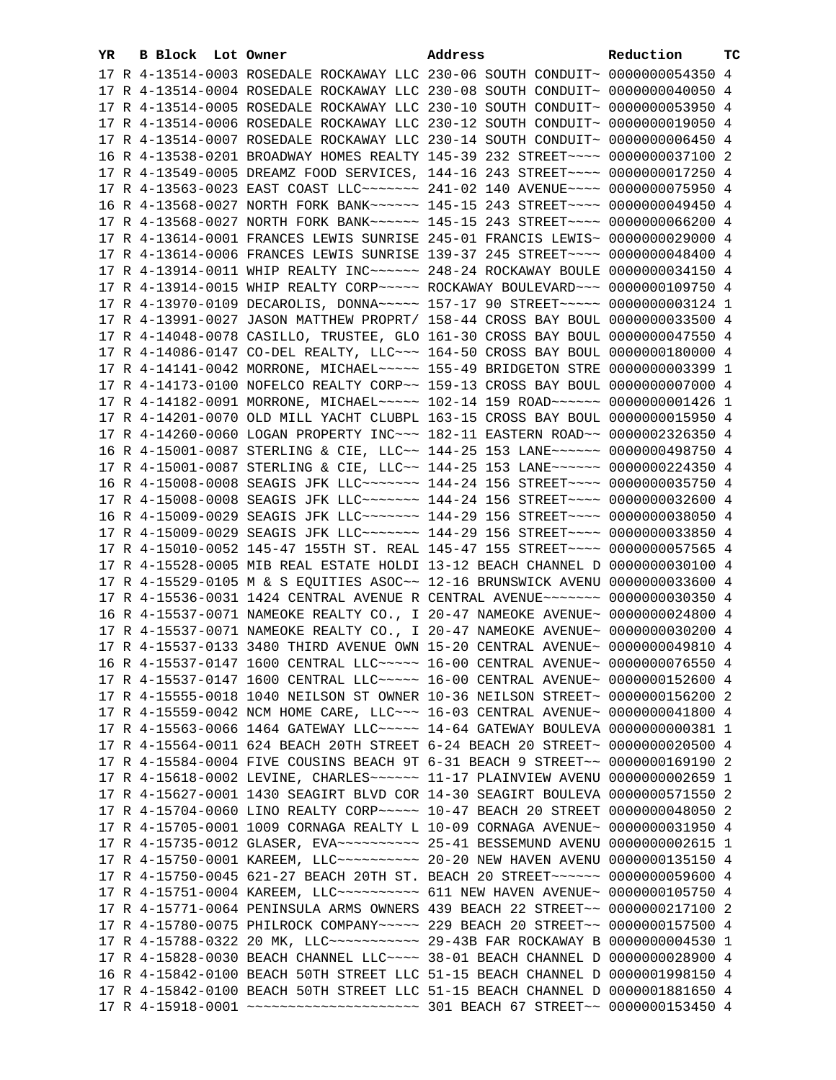| YR. | B Block Lot Owner |  | Address                                                                         | Reduction | тc |
|-----|-------------------|--|---------------------------------------------------------------------------------|-----------|----|
|     |                   |  | 17 R 4-13514-0003 ROSEDALE ROCKAWAY LLC 230-06 SOUTH CONDUIT~ 0000000054350 4   |           |    |
|     |                   |  | 17 R 4-13514-0004 ROSEDALE ROCKAWAY LLC 230-08 SOUTH CONDUIT~ 0000000040050 4   |           |    |
|     |                   |  | 17 R 4-13514-0005 ROSEDALE ROCKAWAY LLC 230-10 SOUTH CONDUIT~ 0000000053950 4   |           |    |
|     |                   |  | 17 R 4-13514-0006 ROSEDALE ROCKAWAY LLC 230-12 SOUTH CONDUIT~ 0000000019050 4   |           |    |
|     |                   |  | 17 R 4-13514-0007 ROSEDALE ROCKAWAY LLC 230-14 SOUTH CONDUIT~ 0000000006450 4   |           |    |
|     |                   |  | 16 R 4-13538-0201 BROADWAY HOMES REALTY 145-39 232 STREET~~~~ 0000000037100 2   |           |    |
|     |                   |  | 17 R 4-13549-0005 DREAMZ FOOD SERVICES, 144-16 243 STREET~~~~ 0000000017250 4   |           |    |
|     |                   |  | 17 R 4-13563-0023 EAST COAST LLC ------ 241-02 140 AVENUE --- 0000000075950 4   |           |    |
|     |                   |  | 16 R 4-13568-0027 NORTH FORK BANK~~~~~~ 145-15 243 STREET~~~~ 0000000049450 4   |           |    |
|     |                   |  | 17 R 4-13568-0027 NORTH FORK BANK~~~~~~ 145-15 243 STREET~~~~ 0000000066200 4   |           |    |
|     |                   |  | 17 R 4-13614-0001 FRANCES LEWIS SUNRISE 245-01 FRANCIS LEWIS~ 0000000029000 4   |           |    |
|     |                   |  | 17 R 4-13614-0006 FRANCES LEWIS SUNRISE 139-37 245 STREET~~~~ 0000000048400 4   |           |    |
|     |                   |  |                                                                                 |           |    |
|     |                   |  | 17 R 4-13914-0011 WHIP REALTY INC ----- 248-24 ROCKAWAY BOULE 0000000034150 4   |           |    |
|     |                   |  | 17 R 4-13914-0015 WHIP REALTY CORP~~~~~ ROCKAWAY BOULEVARD~~~ 0000000109750 4   |           |    |
|     |                   |  | 17 R 4-13970-0109 DECAROLIS, DONNA~~~~~ 157-17 90 STREET~~~~~ 0000000003124 1   |           |    |
|     |                   |  | 17 R 4-13991-0027 JASON MATTHEW PROPRT/ 158-44 CROSS BAY BOUL 0000000033500 4   |           |    |
|     |                   |  | 17 R 4-14048-0078 CASILLO, TRUSTEE, GLO 161-30 CROSS BAY BOUL 0000000047550 4   |           |    |
|     |                   |  | 17 R 4-14086-0147 CO-DEL REALTY, LLC -- 164-50 CROSS BAY BOUL 0000000180000 4   |           |    |
|     |                   |  | 17 R 4-14141-0042 MORRONE, MICHAEL ~~~~~ 155-49 BRIDGETON STRE 0000000003399 1  |           |    |
|     |                   |  | 17 R 4-14173-0100 NOFELCO REALTY CORP~~ 159-13 CROSS BAY BOUL 0000000007000 4   |           |    |
|     |                   |  | 17 R 4-14182-0091 MORRONE, MICHAEL~~~~~ 102-14 159 ROAD~~~~~~ 0000000001426 1   |           |    |
|     |                   |  | 17 R 4-14201-0070 OLD MILL YACHT CLUBPL 163-15 CROSS BAY BOUL 0000000015950 4   |           |    |
|     |                   |  | 17 R 4-14260-0060 LOGAN PROPERTY INC~~~ 182-11 EASTERN ROAD~~ 0000002326350 4   |           |    |
|     |                   |  | 16 R 4-15001-0087 STERLING & CIE, LLC~~ 144-25 153 LANE~~~~~~ 0000000498750 4   |           |    |
|     |                   |  | 17 R 4-15001-0087 STERLING & CIE, LLC~~ 144-25 153 LANE~~~~~~ 0000000224350 4   |           |    |
|     |                   |  | 16 R 4-15008-0008 SEAGIS JFK LLC ------- 144-24 156 STREET --- 0000000035750 4  |           |    |
|     |                   |  | 17 R 4-15008-0008 SEAGIS JFK LLC ------- 144-24 156 STREET --- 0000000032600 4  |           |    |
|     |                   |  | 16 R 4-15009-0029 SEAGIS JFK LLC ------- 144-29 156 STREET --- 0000000038050 4  |           |    |
|     |                   |  | 17 R 4-15009-0029 SEAGIS JFK LLC ------- 144-29 156 STREET --- 0000000033850 4  |           |    |
|     |                   |  | 17 R 4-15010-0052 145-47 155TH ST. REAL 145-47 155 STREET~~~~ 0000000057565 4   |           |    |
|     |                   |  | 17 R 4-15528-0005 MIB REAL ESTATE HOLDI 13-12 BEACH CHANNEL D 0000000030100 4   |           |    |
|     |                   |  | 17 R 4-15529-0105 M & S EQUITIES ASOC~~ 12-16 BRUNSWICK AVENU 0000000033600 4   |           |    |
|     |                   |  | 17 R 4-15536-0031 1424 CENTRAL AVENUE R CENTRAL AVENUE~~~~~~~ 0000000030350 4   |           |    |
|     |                   |  | 16 R 4-15537-0071 NAMEOKE REALTY CO., I 20-47 NAMEOKE AVENUE~ 0000000024800 4   |           |    |
|     |                   |  | 17 R 4-15537-0071 NAMEOKE REALTY CO., I 20-47 NAMEOKE AVENUE~ 0000000030200 4   |           |    |
|     |                   |  | 17 R 4-15537-0133 3480 THIRD AVENUE OWN 15-20 CENTRAL AVENUE~ 0000000049810 4   |           |    |
|     |                   |  | 16 R 4-15537-0147 1600 CENTRAL LLC ---- 16-00 CENTRAL AVENUE ~ 0000000076550 4  |           |    |
|     |                   |  | 17 R 4-15537-0147 1600 CENTRAL LLC ---- 16-00 CENTRAL AVENUE ~ 0000000152600 4  |           |    |
|     |                   |  | 17 R 4-15555-0018 1040 NEILSON ST OWNER 10-36 NEILSON STREET~ 0000000156200 2   |           |    |
|     |                   |  | 17 R 4-15559-0042 NCM HOME CARE, LLC ~~~ 16-03 CENTRAL AVENUE ~ 0000000041800 4 |           |    |
|     |                   |  | 17 R 4-15563-0066 1464 GATEWAY LLC ---- 14-64 GATEWAY BOULEVA 0000000000381 1   |           |    |
|     |                   |  | 17 R 4-15564-0011 624 BEACH 20TH STREET 6-24 BEACH 20 STREET~ 0000000020500 4   |           |    |
|     |                   |  | 17 R 4-15584-0004 FIVE COUSINS BEACH 9T 6-31 BEACH 9 STREET~~ 0000000169190 2   |           |    |
|     |                   |  | 17 R 4-15618-0002 LEVINE, CHARLES~~~~~~ 11-17 PLAINVIEW AVENU 0000000002659 1   |           |    |
|     |                   |  | 17 R 4-15627-0001 1430 SEAGIRT BLVD COR 14-30 SEAGIRT BOULEVA 0000000571550 2   |           |    |
|     |                   |  | 17 R 4-15704-0060 LINO REALTY CORP~~~~~ 10-47 BEACH 20 STREET 0000000048050 2   |           |    |
|     |                   |  | 17 R 4-15705-0001 1009 CORNAGA REALTY L 10-09 CORNAGA AVENUE~ 0000000031950 4   |           |    |
|     |                   |  |                                                                                 |           |    |
|     |                   |  | 17 R 4-15750-0001 KAREEM, LLC ---------- 20-20 NEW HAVEN AVENU 0000000135150 4  |           |    |
|     |                   |  | 17 R 4-15750-0045 621-27 BEACH 20TH ST. BEACH 20 STREET~~~~~~~ 0000000059600 4  |           |    |
|     |                   |  | 17 R 4-15751-0004 KAREEM, LLC ---------- 611 NEW HAVEN AVENUE- 0000000105750 4  |           |    |
|     |                   |  | 17 R 4-15771-0064 PENINSULA ARMS OWNERS 439 BEACH 22 STREET~~ 0000000217100 2   |           |    |
|     |                   |  | 17 R 4-15780-0075 PHILROCK COMPANY~~~~~ 229 BEACH 20 STREET~~ 0000000157500 4   |           |    |
|     |                   |  | 17 R 4-15788-0322 20 MK, LLC ------------ 29-43B FAR ROCKAWAY B 0000000004530 1 |           |    |
|     |                   |  | 17 R 4-15828-0030 BEACH CHANNEL LLC~~~~ 38-01 BEACH CHANNEL D 0000000028900 4   |           |    |
|     |                   |  | 16 R 4-15842-0100 BEACH 50TH STREET LLC 51-15 BEACH CHANNEL D 0000001998150 4   |           |    |
|     |                   |  | 17 R 4-15842-0100 BEACH 50TH STREET LLC 51-15 BEACH CHANNEL D 0000001881650 4   |           |    |
|     |                   |  |                                                                                 |           |    |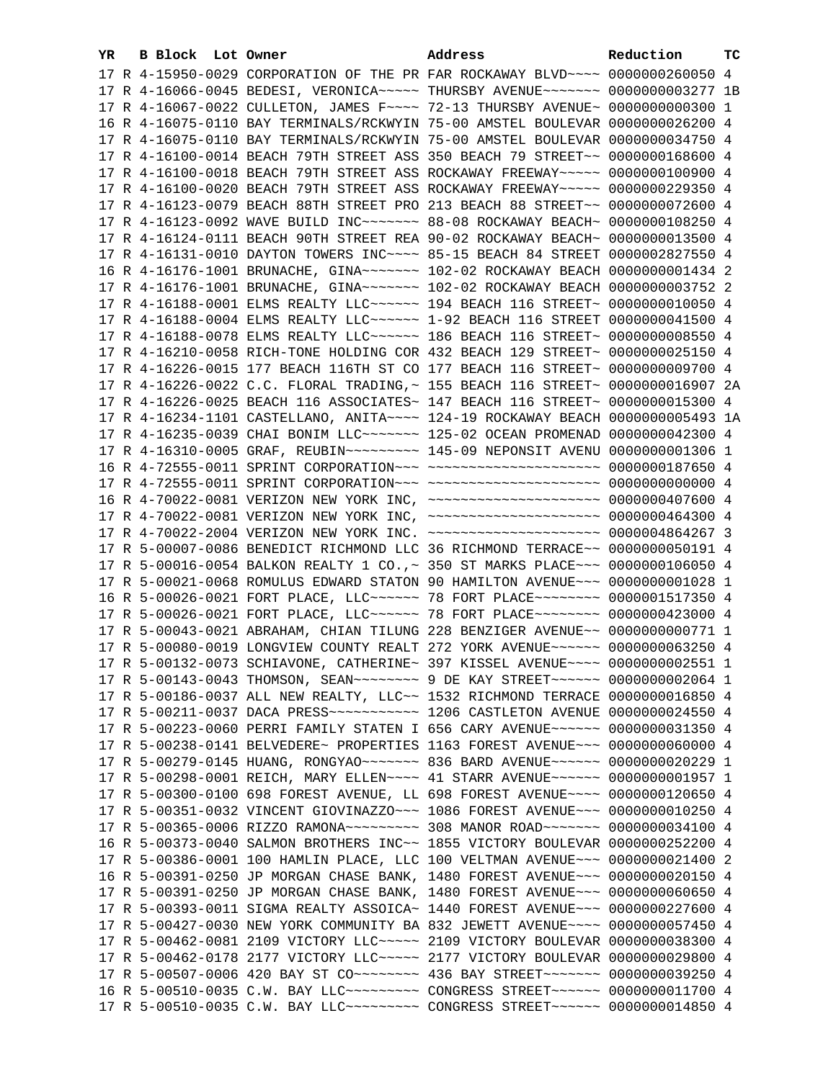| YR. | B Block Lot Owner |  | Address                                                                             | Reduction | тc |
|-----|-------------------|--|-------------------------------------------------------------------------------------|-----------|----|
|     |                   |  | 17 R 4-15950-0029 CORPORATION OF THE PR FAR ROCKAWAY BLVD~~~~ 0000000260050 4       |           |    |
|     |                   |  | 17 R 4-16066-0045 BEDESI, VERONICA~~~~~ THURSBY AVENUE~~~~~~~ 0000000003277 1B      |           |    |
|     |                   |  | 17 R 4-16067-0022 CULLETON, JAMES F~~~~ 72-13 THURSBY AVENUE~ 0000000000300 1       |           |    |
|     |                   |  | 16 R 4-16075-0110 BAY TERMINALS/RCKWYIN 75-00 AMSTEL BOULEVAR 0000000026200 4       |           |    |
|     |                   |  | 17 R 4-16075-0110 BAY TERMINALS/RCKWYIN 75-00 AMSTEL BOULEVAR 0000000034750 4       |           |    |
|     |                   |  | 17 R 4-16100-0014 BEACH 79TH STREET ASS 350 BEACH 79 STREET~~ 0000000168600 4       |           |    |
|     |                   |  | 17 R 4-16100-0018 BEACH 79TH STREET ASS ROCKAWAY FREEWAY~~~~~ 0000000100900 4       |           |    |
|     |                   |  | 17 R 4-16100-0020 BEACH 79TH STREET ASS ROCKAWAY FREEWAY~~~~~ 0000000229350 4       |           |    |
|     |                   |  | 17 R 4-16123-0079 BEACH 88TH STREET PRO 213 BEACH 88 STREET~~ 0000000072600 4       |           |    |
|     |                   |  | 17 R 4-16123-0092 WAVE BUILD INC~~~~~~~~ 88-08 ROCKAWAY BEACH~ 0000000108250 4      |           |    |
|     |                   |  | 17 R 4-16124-0111 BEACH 90TH STREET REA 90-02 ROCKAWAY BEACH~ 0000000013500 4       |           |    |
|     |                   |  | 17 R 4-16131-0010 DAYTON TOWERS INC~~~~ 85-15 BEACH 84 STREET 0000002827550 4       |           |    |
|     |                   |  | 16 R 4-16176-1001 BRUNACHE, GINA~~~~~~~ 102-02 ROCKAWAY BEACH 0000000001434 2       |           |    |
|     |                   |  | 17 R 4-16176-1001 BRUNACHE, GINA~~~~~~~~~~~~ 102-02 ROCKAWAY BEACH 0000000003752 2  |           |    |
|     |                   |  | 17 R 4-16188-0001 ELMS REALTY LLC ~~~~~~ 194 BEACH 116 STREET~ 0000000010050 4      |           |    |
|     |                   |  | 17 R 4-16188-0004 ELMS REALTY LLC ~~~~~~ 1-92 BEACH 116 STREET 0000000041500 4      |           |    |
|     |                   |  | 17 R 4-16188-0078 ELMS REALTY LLC ----- 186 BEACH 116 STREET ~ 00000000008550 4     |           |    |
|     |                   |  | 17 R 4-16210-0058 RICH-TONE HOLDING COR 432 BEACH 129 STREET~ 0000000025150 4       |           |    |
|     |                   |  | 17 R 4-16226-0015 177 BEACH 116TH ST CO 177 BEACH 116 STREET~ 0000000009700 4       |           |    |
|     |                   |  | 17 R 4-16226-0022 C.C. FLORAL TRADING, ~ 155 BEACH 116 STREET~ 00000000016907 2A    |           |    |
|     |                   |  | 17 R 4-16226-0025 BEACH 116 ASSOCIATES~ 147 BEACH 116 STREET~ 0000000015300 4       |           |    |
|     |                   |  | 17 R 4-16234-1101 CASTELLANO, ANITA~~~~ 124-19 ROCKAWAY BEACH 0000000005493 1A      |           |    |
|     |                   |  | 17 R 4-16235-0039 CHAI BONIM LLC~~~~~~~ 125-02 OCEAN PROMENAD 0000000042300 4       |           |    |
|     |                   |  | 17 R 4-16310-0005 GRAF, REUBIN~~~~~~~~~ 145-09 NEPONSIT AVENU 0000000001306 1       |           |    |
|     |                   |  | 16 R 4-72555-0011 SPRINT CORPORATION -- - ---------------------- 0000000187650 4    |           |    |
|     |                   |  |                                                                                     |           |    |
|     |                   |  | 16 R 4-70022-0081 VERIZON NEW YORK INC, ~~~~~~~~~~~~~~~~~~~~~ 0000000407600 4       |           |    |
|     |                   |  | 17 R 4-70022-0081 VERIZON NEW YORK INC, ~~~~~~~~~~~~~~~~~~~~ 0000000464300 4        |           |    |
|     |                   |  | 17 R 4-70022-2004 VERIZON NEW YORK INC. ~~~~~~~~~~~~~~~~~~~~~ 0000004864267 3       |           |    |
|     |                   |  | 17 R 5-00007-0086 BENEDICT RICHMOND LLC 36 RICHMOND TERRACE~~ 0000000050191 4       |           |    |
|     |                   |  | 17 R 5-00016-0054 BALKON REALTY 1 CO., ~ 350 ST MARKS PLACE~~~ 0000000106050 4      |           |    |
|     |                   |  | 17 R 5-00021-0068 ROMULUS EDWARD STATON 90 HAMILTON AVENUE~~~ 00000000001028 1      |           |    |
|     |                   |  | 16 R 5-00026-0021 FORT PLACE, LLC ----- 78 FORT PLACE ------- 0000001517350 4       |           |    |
|     |                   |  | 17 R 5-00026-0021 FORT PLACE, LLC ----- 78 FORT PLACE ------- 0000000423000 4       |           |    |
|     |                   |  | 17 R 5-00043-0021 ABRAHAM, CHIAN TILUNG 228 BENZIGER AVENUE~~ 0000000000771 1       |           |    |
|     |                   |  | 17 R 5-00080-0019 LONGVIEW COUNTY REALT 272 YORK AVENUE~~~~~~ 0000000063250 4       |           |    |
|     |                   |  | 17 R 5-00132-0073 SCHIAVONE, CATHERINE~ 397 KISSEL AVENUE~~~~ 0000000002551 1       |           |    |
|     |                   |  | 17 R 5-00143-0043 THOMSON, SEAN~~~~~~~~~ 9 DE KAY STREET~~~~~~~ 00000000002064 1    |           |    |
|     |                   |  | 17 R 5-00186-0037 ALL NEW REALTY, LLC~~ 1532 RICHMOND TERRACE 0000000016850 4       |           |    |
|     |                   |  | 17 R 5-00211-0037 DACA PRESS ----------- 1206 CASTLETON AVENUE 0000000024550 4      |           |    |
|     |                   |  | 17 R 5-00223-0060 PERRI FAMILY STATEN I 656 CARY AVENUE~~~~~~ 0000000031350 4       |           |    |
|     |                   |  | 17 R 5-00238-0141 BELVEDERE~ PROPERTIES 1163 FOREST AVENUE~~~ 0000000060000 4       |           |    |
|     |                   |  | 17 R 5-00279-0145 HUANG, RONGYAO~~~~~~~~ 836 BARD AVENUE~~~~~~ 0000000020229 1      |           |    |
|     |                   |  | 17 R 5-00298-0001 REICH, MARY ELLEN~~~~ 41 STARR AVENUE~~~~~~ 00000000001957 1      |           |    |
|     |                   |  | 17 R 5-00300-0100 698 FOREST AVENUE, LL 698 FOREST AVENUE~~~~ 0000000120650 4       |           |    |
|     |                   |  | 17 R 5-00351-0032 VINCENT GIOVINAZZO~~~ 1086 FOREST AVENUE~~~ 0000000010250 4       |           |    |
|     |                   |  | 17 R 5-00365-0006 RIZZO RAMONA~~~~~~~~~~ 308 MANOR ROAD~~~~~~~ 0000000034100 4      |           |    |
|     |                   |  | 16 R 5-00373-0040 SALMON BROTHERS INC~~ 1855 VICTORY BOULEVAR 0000000252200 4       |           |    |
|     |                   |  | 17 R 5-00386-0001 100 HAMLIN PLACE, LLC 100 VELTMAN AVENUE~~~ 0000000021400 2       |           |    |
|     |                   |  | 16 R 5-00391-0250 JP MORGAN CHASE BANK, 1480 FOREST AVENUE~~~ 0000000020150 4       |           |    |
|     |                   |  | 17 R 5-00391-0250 JP MORGAN CHASE BANK, 1480 FOREST AVENUE~~~ 0000000060650 4       |           |    |
|     |                   |  | 17 R 5-00393-0011 SIGMA REALTY ASSOICA~ 1440 FOREST AVENUE~~~ 0000000227600 4       |           |    |
|     |                   |  | 17 R 5-00427-0030 NEW YORK COMMUNITY BA 832 JEWETT AVENUE~~~~ 0000000057450 4       |           |    |
|     |                   |  | 17 R 5-00462-0081 2109 VICTORY LLC ---- 2109 VICTORY BOULEVAR 0000000038300 4       |           |    |
|     |                   |  | 17 R 5-00462-0178 2177 VICTORY LLC ~~~~~ 2177 VICTORY BOULEVAR 0000000029800 4      |           |    |
|     |                   |  | 17 R 5-00507-0006 420 BAY ST CO -------- 436 BAY STREET ------ 0000000039250 4      |           |    |
|     |                   |  | 16 R 5-00510-0035 C.W. BAY LLC~~~~~~~~~~~~~ CONGRESS STREET~~~~~~~ 00000000011700 4 |           |    |
|     |                   |  | 17 R 5-00510-0035 C.W. BAY LLC --------- CONGRESS STREET ------ 0000000014850 4     |           |    |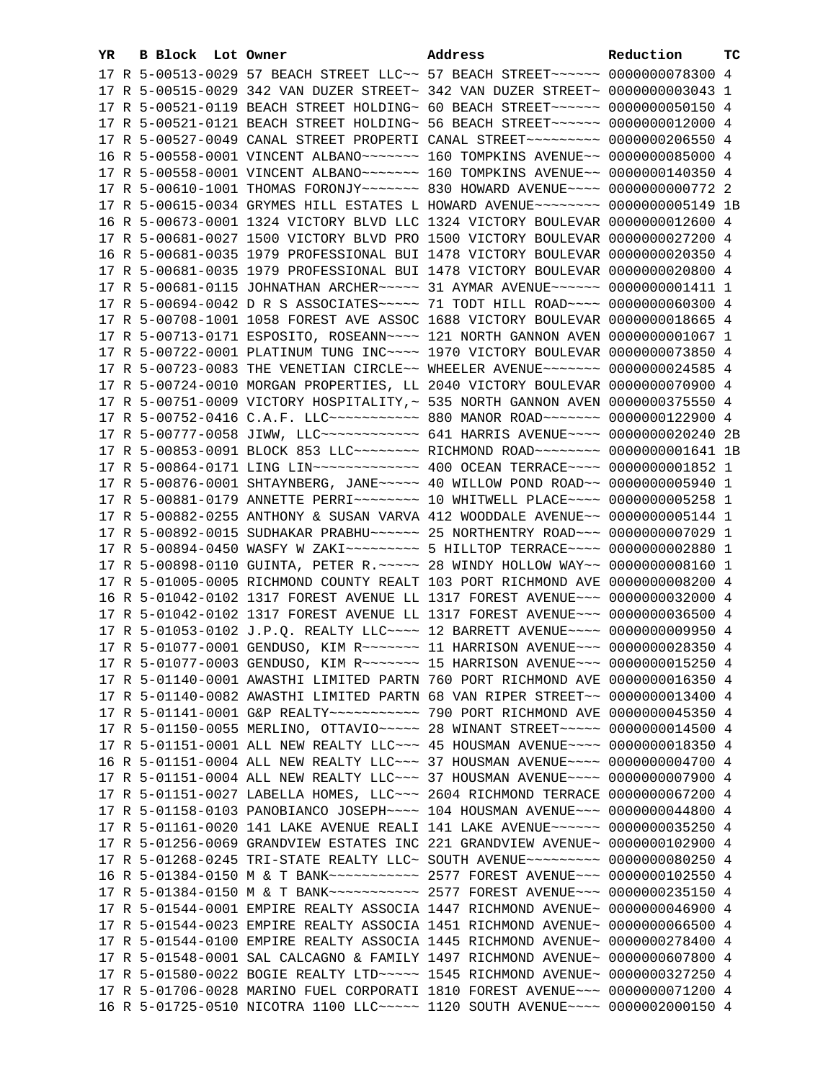| YR | B Block Lot Owner |                                                                              | Address                                                                                                                                                        | Reduction       | тc |
|----|-------------------|------------------------------------------------------------------------------|----------------------------------------------------------------------------------------------------------------------------------------------------------------|-----------------|----|
|    |                   |                                                                              | 17 R 5-00513-0029 57 BEACH STREET LLC~~ 57 BEACH STREET~~~~~~ 0000000078300 4                                                                                  |                 |    |
|    |                   |                                                                              | 17 R 5-00515-0029 342 VAN DUZER STREET~ 342 VAN DUZER STREET~ 0000000003043 1                                                                                  |                 |    |
|    |                   |                                                                              | 17 R 5-00521-0119 BEACH STREET HOLDING~ 60 BEACH STREET~~~~~~~ 0000000050150 4                                                                                 |                 |    |
|    |                   |                                                                              | 17 R 5-00521-0121 BEACH STREET HOLDING~ 56 BEACH STREET~~~~~~ 0000000012000 4                                                                                  |                 |    |
|    |                   |                                                                              | 17 R 5-00527-0049 CANAL STREET PROPERTI CANAL STREET~~~~~~~~~ 0000000206550 4                                                                                  |                 |    |
|    |                   |                                                                              | 16 R 5-00558-0001 VINCENT ALBANO~~~~~~~ 160 TOMPKINS AVENUE~~ 0000000085000 4                                                                                  |                 |    |
|    |                   |                                                                              | 17 R 5-00558-0001 VINCENT ALBANO~~~~~~~ 160 TOMPKINS AVENUE~~ 0000000140350 4                                                                                  |                 |    |
|    |                   |                                                                              | 17 R 5-00610-1001 THOMAS FORONJY~~~~~~~~ 830 HOWARD AVENUE~~~~ 0000000000772 2                                                                                 |                 |    |
|    |                   |                                                                              | 17 R 5-00615-0034 GRYMES HILL ESTATES L HOWARD AVENUE~~~~~~~~ 0000000005149 1B                                                                                 |                 |    |
|    |                   |                                                                              | 16 R 5-00673-0001 1324 VICTORY BLVD LLC 1324 VICTORY BOULEVAR 0000000012600 4                                                                                  |                 |    |
|    |                   |                                                                              | 17 R 5-00681-0027 1500 VICTORY BLVD PRO 1500 VICTORY BOULEVAR 0000000027200 4                                                                                  |                 |    |
|    |                   |                                                                              | 16 R 5-00681-0035 1979 PROFESSIONAL BUI 1478 VICTORY BOULEVAR 0000000020350 4                                                                                  |                 |    |
|    |                   |                                                                              | 17 R 5-00681-0035 1979 PROFESSIONAL BUI 1478 VICTORY BOULEVAR 0000000020800 4                                                                                  |                 |    |
|    |                   |                                                                              |                                                                                                                                                                |                 |    |
|    |                   |                                                                              | 17 R 5-00681-0115 JOHNATHAN ARCHER~~~~~ 31 AYMAR AVENUE~~~~~~ 0000000001411 1<br>17 R 5-00694-0042 D R S ASSOCIATES~~~~~ 71 TODT HILL ROAD~~~~ 0000000060300 4 |                 |    |
|    |                   |                                                                              |                                                                                                                                                                |                 |    |
|    |                   |                                                                              | 17 R 5-00708-1001 1058 FOREST AVE ASSOC 1688 VICTORY BOULEVAR 0000000018665 4                                                                                  |                 |    |
|    |                   |                                                                              | 17 R 5-00713-0171 ESPOSITO, ROSEANN~~~~ 121 NORTH GANNON AVEN 00000000001067 1                                                                                 |                 |    |
|    |                   |                                                                              | 17 R 5-00722-0001 PLATINUM TUNG INC~~~~ 1970 VICTORY BOULEVAR 0000000073850 4                                                                                  |                 |    |
|    |                   |                                                                              | 17 R 5-00723-0083 THE VENETIAN CIRCLE~~ WHEELER AVENUE~~~~~~~~ 0000000024585 4                                                                                 |                 |    |
|    |                   |                                                                              | 17 R 5-00724-0010 MORGAN PROPERTIES, LL 2040 VICTORY BOULEVAR 0000000070900 4                                                                                  |                 |    |
|    |                   |                                                                              | 17 R 5-00751-0009 VICTORY HOSPITALITY, ~ 535 NORTH GANNON AVEN 0000000375550 4                                                                                 |                 |    |
|    |                   |                                                                              | 17 R 5-00752-0416 C.A.F. LLC ---------- 880 MANOR ROAD ------- 0000000122900 4                                                                                 |                 |    |
|    |                   |                                                                              | 17 R 5-00777-0058 JIWW, LLC ------------ 641 HARRIS AVENUE --- 0000000020240 2B                                                                                |                 |    |
|    |                   |                                                                              | 17 R 5-00853-0091 BLOCK 853 LLC~~~~~~~~ RICHMOND ROAD~~~~~~~~ 0000000001641 1B                                                                                 |                 |    |
|    |                   |                                                                              | 17 R 5-00864-0171 LING LIN~~~~~~~~~~~~~~~~~~~~~~~~~ 400 OCEAN TERRACE~~~~~ 00000000001852 1                                                                    |                 |    |
|    |                   |                                                                              | 17 R 5-00876-0001 SHTAYNBERG, JANE~~~~~ 40 WILLOW POND ROAD~~ 0000000005940 1                                                                                  |                 |    |
|    |                   |                                                                              | 17 R 5-00881-0179 ANNETTE PERRI~~~~~~~~~~~~~~ 10 WHITWELL PLACE~~~~~ 0000000005258 1                                                                           |                 |    |
|    |                   |                                                                              | 17 R 5-00882-0255 ANTHONY & SUSAN VARVA 412 WOODDALE AVENUE~~ 0000000005144 1                                                                                  |                 |    |
|    |                   |                                                                              | 17 R 5-00892-0015 SUDHAKAR PRABHU~~~~~~~ 25 NORTHENTRY ROAD~~~ 00000000007029 1                                                                                |                 |    |
|    |                   | 17 R 5-00898-0110 GUINTA, PETER R. $\sim\sim\sim$ 28 WINDY HOLLOW WAY $\sim$ | 17 R 5-00894-0450 WASFY W ZAKI~~~~~~~~~~ 5 HILLTOP TERRACE~~~~ 0000000002880 1                                                                                 | 0000000008160 1 |    |
|    |                   |                                                                              | 17 R 5-01005-0005 RICHMOND COUNTY REALT 103 PORT RICHMOND AVE 0000000008200 4                                                                                  |                 |    |
|    |                   |                                                                              | 16 R 5-01042-0102 1317 FOREST AVENUE LL 1317 FOREST AVENUE~~~ 0000000032000 4                                                                                  |                 |    |
|    |                   |                                                                              | 17 R 5-01042-0102 1317 FOREST AVENUE LL 1317 FOREST AVENUE~~~ 0000000036500 4                                                                                  |                 |    |
|    |                   |                                                                              | 17 R 5-01053-0102 J.P.Q. REALTY LLC --- 12 BARRETT AVENUE -- 00000000009950 4                                                                                  |                 |    |
|    |                   |                                                                              | 17 R 5-01077-0001 GENDUSO, KIM R ~~~~~~~ 11 HARRISON AVENUE ~~~ 0000000028350 4                                                                                |                 |    |
|    |                   |                                                                              | 17 R 5-01077-0003 GENDUSO, KIM R ------ 15 HARRISON AVENUE -- 0000000015250 4                                                                                  |                 |    |
|    |                   |                                                                              | 17 R 5-01140-0001 AWASTHI LIMITED PARTN 760 PORT RICHMOND AVE 0000000016350 4                                                                                  |                 |    |
|    |                   |                                                                              | 17 R 5-01140-0082 AWASTHI LIMITED PARTN 68 VAN RIPER STREET~~ 0000000013400 4                                                                                  |                 |    |
|    |                   |                                                                              |                                                                                                                                                                |                 |    |
|    |                   |                                                                              |                                                                                                                                                                |                 |    |
|    |                   |                                                                              | 17 R 5-01151-0001 ALL NEW REALTY LLC -~~ 45 HOUSMAN AVENUE -~~~ 0000000018350 4                                                                                |                 |    |
|    |                   |                                                                              | 16 R 5-01151-0004 ALL NEW REALTY LLC -~~ 37 HOUSMAN AVENUE -~~~ 0000000004700 4                                                                                |                 |    |
|    |                   |                                                                              | 17 R 5-01151-0004 ALL NEW REALTY LLC -~~ 37 HOUSMAN AVENUE -~~~ 00000000007900 4                                                                               |                 |    |
|    |                   |                                                                              | 17 R 5-01151-0027 LABELLA HOMES, LLC~~~ 2604 RICHMOND TERRACE 0000000067200 4                                                                                  |                 |    |
|    |                   |                                                                              | 17 R 5-01158-0103 PANOBIANCO JOSEPH~~~~ 104 HOUSMAN AVENUE~~~ 0000000044800 4                                                                                  |                 |    |
|    |                   |                                                                              | 17 R 5-01161-0020 141 LAKE AVENUE REALI 141 LAKE AVENUE~~~~~~ 0000000035250 4                                                                                  |                 |    |
|    |                   |                                                                              | 17 R 5-01256-0069 GRANDVIEW ESTATES INC 221 GRANDVIEW AVENUE~ 0000000102900 4                                                                                  |                 |    |
|    |                   |                                                                              | 17 R 5-01268-0245 TRI-STATE REALTY LLC~ SOUTH AVENUE~~~~~~~~~ 0000000080250 4                                                                                  |                 |    |
|    |                   |                                                                              | 16 R 5-01384-0150 M & T BANK~~~~~~~~~~~~~~~~~~~~~~ 2577 FOREST AVENUE~~~~ 0000000102550 4                                                                      |                 |    |
|    |                   |                                                                              | 17 R 5-01384-0150 M & T BANK~~~~~~~~~~~~~~~~~~~~~~ 2577 FOREST AVENUE~~~~ 0000000235150 4                                                                      |                 |    |
|    |                   |                                                                              | 17 R 5-01544-0001 EMPIRE REALTY ASSOCIA 1447 RICHMOND AVENUE~ 0000000046900 4                                                                                  |                 |    |
|    |                   |                                                                              | 17 R 5-01544-0023 EMPIRE REALTY ASSOCIA 1451 RICHMOND AVENUE~ 0000000066500 4                                                                                  |                 |    |
|    |                   |                                                                              | 17 R 5-01544-0100 EMPIRE REALTY ASSOCIA 1445 RICHMOND AVENUE~ 0000000278400 4                                                                                  |                 |    |
|    |                   |                                                                              | 17 R 5-01548-0001 SAL CALCAGNO & FAMILY 1497 RICHMOND AVENUE~ 0000000607800 4                                                                                  |                 |    |
|    |                   |                                                                              | 17 R 5-01580-0022 BOGIE REALTY LTD ~~~~~ 1545 RICHMOND AVENUE~ 0000000327250 4                                                                                 |                 |    |
|    |                   |                                                                              | 17 R 5-01706-0028 MARINO FUEL CORPORATI 1810 FOREST AVENUE~~~ 0000000071200 4                                                                                  |                 |    |
|    |                   |                                                                              | 16 R 5-01725-0510 NICOTRA 1100 LLC ---- 1120 SOUTH AVENUE --- 0000002000150 4                                                                                  |                 |    |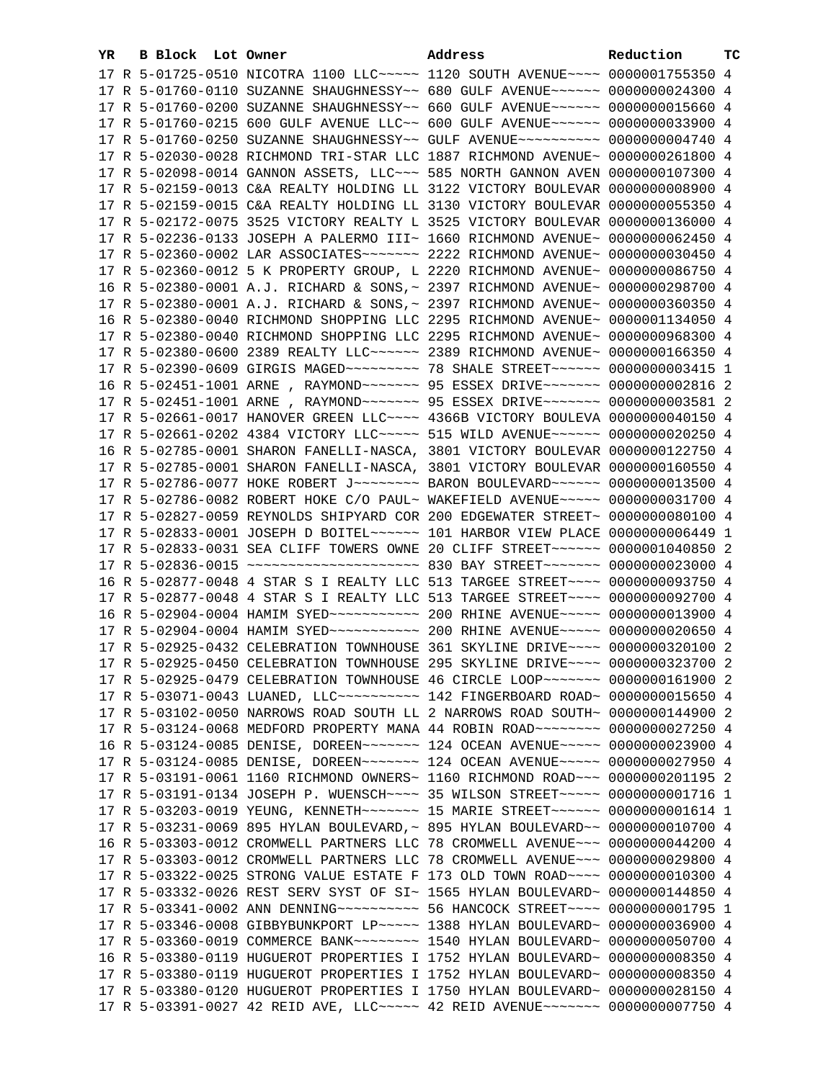| YR. | B Block Lot Owner | Address                                                                                  | Reduction | тc |
|-----|-------------------|------------------------------------------------------------------------------------------|-----------|----|
|     |                   | 17 R 5-01725-0510 NICOTRA 1100 LLC~~~~~ 1120 SOUTH AVENUE~~~~ 0000001755350 4            |           |    |
|     |                   | 17 R 5-01760-0110 SUZANNE SHAUGHNESSY~~ 680 GULF AVENUE~~~~~~ 0000000024300 4            |           |    |
|     |                   | 17 R 5-01760-0200 SUZANNE SHAUGHNESSY~~ 660 GULF AVENUE~~~~~~ 0000000015660 4            |           |    |
|     |                   | 17 R 5-01760-0215 600 GULF AVENUE LLC~~ 600 GULF AVENUE~~~~~~ 0000000033900 4            |           |    |
|     |                   | 17 R 5-01760-0250 SUZANNE SHAUGHNESSY~~ GULF AVENUE~~~~~~~~~~ 0000000004740 4            |           |    |
|     |                   | 17 R 5-02030-0028 RICHMOND TRI-STAR LLC 1887 RICHMOND AVENUE~ 0000000261800 4            |           |    |
|     |                   | 17 R 5-02098-0014 GANNON ASSETS, LLC ~~~ 585 NORTH GANNON AVEN 0000000107300 4           |           |    |
|     |                   | 17 R 5-02159-0013 C&A REALTY HOLDING LL 3122 VICTORY BOULEVAR 0000000008900 4            |           |    |
|     |                   | 17 R 5-02159-0015 C&A REALTY HOLDING LL 3130 VICTORY BOULEVAR 0000000055350 4            |           |    |
|     |                   | 17 R 5-02172-0075 3525 VICTORY REALTY L 3525 VICTORY BOULEVAR 0000000136000 4            |           |    |
|     |                   | 17 R 5-02236-0133 JOSEPH A PALERMO III~ 1660 RICHMOND AVENUE~ 0000000062450 4            |           |    |
|     |                   |                                                                                          |           |    |
|     |                   |                                                                                          |           |    |
|     |                   | 17 R 5-02360-0012 5 K PROPERTY GROUP, L 2220 RICHMOND AVENUE~ 0000000086750 4            |           |    |
|     |                   | 16 R 5-02380-0001 A.J. RICHARD & SONS, ~ 2397 RICHMOND AVENUE~ 0000000298700 4           |           |    |
|     |                   | 17 R 5-02380-0001 A.J. RICHARD & SONS, ~ 2397 RICHMOND AVENUE~ 0000000360350 4           |           |    |
|     |                   | 16 R 5-02380-0040 RICHMOND SHOPPING LLC 2295 RICHMOND AVENUE~ 0000001134050 4            |           |    |
|     |                   | 17 R 5-02380-0040 RICHMOND SHOPPING LLC 2295 RICHMOND AVENUE~ 0000000968300 4            |           |    |
|     |                   | 17 R 5-02380-0600 2389 REALTY LLC ~~~~~~ 2389 RICHMOND AVENUE~ 0000000166350 4           |           |    |
|     |                   | 17 R 5-02390-0609 GIRGIS MAGED ~~~~~~~~~~~~~~~~ 78 SHALE STREET ~~~~~~~~ 0000000003415 1 |           |    |
|     |                   | 16 R 5-02451-1001 ARNE, RAYMOND~~~~~~~ 95 ESSEX DRIVE~~~~~~~ 0000000002816 2             |           |    |
|     |                   | 17 R 5-02451-1001 ARNE, RAYMOND~~~~~~~ 95 ESSEX DRIVE~~~~~~~ 0000000003581 2             |           |    |
|     |                   | 17 R 5-02661-0017 HANOVER GREEN LLC~~~~ 4366B VICTORY BOULEVA 0000000040150 4            |           |    |
|     |                   | 17 R 5-02661-0202 4384 VICTORY LLC ---- 515 WILD AVENUE ----- 0000000020250 4            |           |    |
|     |                   | 16 R 5-02785-0001 SHARON FANELLI-NASCA, 3801 VICTORY BOULEVAR 0000000122750 4            |           |    |
|     |                   | 17 R 5-02785-0001 SHARON FANELLI-NASCA, 3801 VICTORY BOULEVAR 0000000160550 4            |           |    |
|     |                   | 17 R 5-02786-0077 HOKE ROBERT J~~~~~~~~~ BARON BOULEVARD~~~~~~ 0000000013500 4           |           |    |
|     |                   | 17 R 5-02786-0082 ROBERT HOKE C/O PAUL~ WAKEFIELD AVENUE~~~~~ 0000000031700 4            |           |    |
|     |                   | 17 R 5-02827-0059 REYNOLDS SHIPYARD COR 200 EDGEWATER STREET~ 0000000080100 4            |           |    |
|     |                   | 17 R 5-02833-0001 JOSEPH D BOITEL~~~~~~ 101 HARBOR VIEW PLACE 0000000006449 1            |           |    |
|     |                   | 17 R 5-02833-0031 SEA CLIFF TOWERS OWNE 20 CLIFF STREET~~~~~~ 0000001040850 2            |           |    |
|     |                   |                                                                                          |           |    |
|     |                   | 16 R 5-02877-0048 4 STAR S I REALTY LLC 513 TARGEE STREET~~~~ 0000000093750 4            |           |    |
|     |                   | 17 R 5-02877-0048 4 STAR S I REALTY LLC 513 TARGEE STREET~~~~ 0000000092700 4            |           |    |
|     |                   | 16 R 5-02904-0004 HAMIM SYED ---------- 200 RHINE AVENUE ---- 0000000013900 4            |           |    |
|     |                   |                                                                                          |           |    |
|     |                   | 17 R 5-02925-0432 CELEBRATION TOWNHOUSE 361 SKYLINE DRIVE~~~~ 0000000320100 2            |           |    |
|     |                   | 17 R 5-02925-0450 CELEBRATION TOWNHOUSE 295 SKYLINE DRIVE~~~~ 0000000323700 2            |           |    |
|     |                   | 17 R 5-02925-0479 CELEBRATION TOWNHOUSE 46 CIRCLE LOOP~~~~~~~ 0000000161900 2            |           |    |
|     |                   | 17 R 5-03071-0043 LUANED, LLC~~~~~~~~~~~~ 142 FINGERBOARD ROAD~ 0000000015650 4          |           |    |
|     |                   | 17 R 5-03102-0050 NARROWS ROAD SOUTH LL 2 NARROWS ROAD SOUTH~ 0000000144900 2            |           |    |
|     |                   | 17 R 5-03124-0068 MEDFORD PROPERTY MANA 44 ROBIN ROAD ~~~~~~~~~ 0000000027250 4          |           |    |
|     |                   | 16 R 5-03124-0085 DENISE, DOREEN~~~~~~~ 124 OCEAN AVENUE~~~~~ 0000000023900 4            |           |    |
|     |                   | 17 R 5-03124-0085 DENISE, DOREEN~~~~~~~ 124 OCEAN AVENUE~~~~~ 0000000027950 4            |           |    |
|     |                   | 17 R 5-03191-0061 1160 RICHMOND OWNERS~ 1160 RICHMOND ROAD~~~ 0000000201195 2            |           |    |
|     |                   | 17 R 5-03191-0134 JOSEPH P. WUENSCH~~~~ 35 WILSON STREET~~~~~ 0000000001716 1            |           |    |
|     |                   | 17 R 5-03203-0019 YEUNG, KENNETH~~~~~~~~~~~~~ 15 MARIE STREET~~~~~~~~ 00000000001614 1   |           |    |
|     |                   | 17 R 5-03231-0069 895 HYLAN BOULEVARD, ~ 895 HYLAN BOULEVARD ~~ 0000000010700 4          |           |    |
|     |                   | 16 R 5-03303-0012 CROMWELL PARTNERS LLC 78 CROMWELL AVENUE~~~ 0000000044200 4            |           |    |
|     |                   | 17 R 5-03303-0012 CROMWELL PARTNERS LLC 78 CROMWELL AVENUE~~~ 0000000029800 4            |           |    |
|     |                   | 17 R 5-03322-0025 STRONG VALUE ESTATE F 173 OLD TOWN ROAD~~~~ 0000000010300 4            |           |    |
|     |                   | 17 R 5-03332-0026 REST SERV SYST OF SI~ 1565 HYLAN BOULEVARD~ 0000000144850 4            |           |    |
|     |                   | 17 R 5-03341-0002 ANN DENNING~~~~~~~~~~~~~~~ 56 HANCOCK STREET~~~~ 0000000001795 1       |           |    |
|     |                   | 17 R 5-03346-0008 GIBBYBUNKPORT LP ~~~~~ 1388 HYLAN BOULEVARD ~ 0000000036900 4          |           |    |
|     |                   | 17 R 5-03360-0019 COMMERCE BANK~~~~~~~~ 1540 HYLAN BOULEVARD~ 0000000050700 4            |           |    |
|     |                   | 16 R 5-03380-0119 HUGUEROT PROPERTIES I 1752 HYLAN BOULEVARD~ 0000000008350 4            |           |    |
|     |                   | 17 R 5-03380-0119 HUGUEROT PROPERTIES I 1752 HYLAN BOULEVARD~ 0000000008350 4            |           |    |
|     |                   | 17 R 5-03380-0120 HUGUEROT PROPERTIES I 1750 HYLAN BOULEVARD~ 0000000028150 4            |           |    |
|     |                   | 17 R 5-03391-0027 42 REID AVE, LLC ---- 42 REID AVENUE ------ 0000000007750 4            |           |    |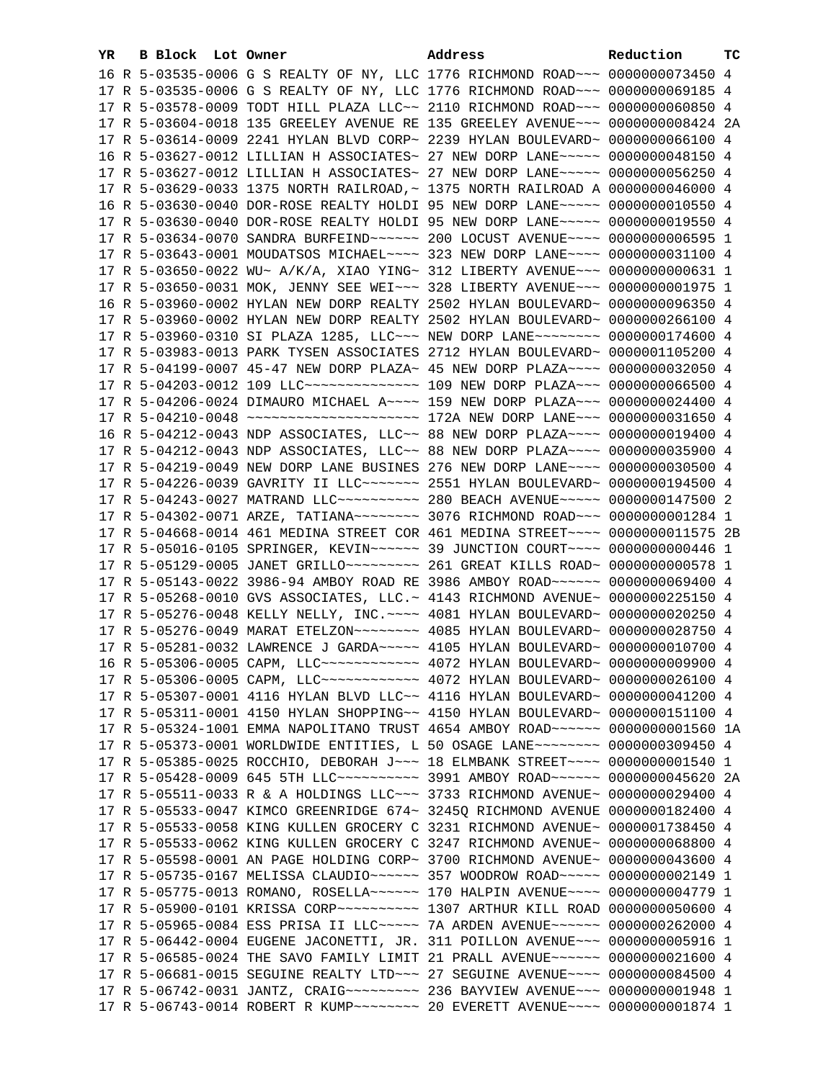| YR. | B Block Lot Owner |  | Address                                                                               | Reduction | тc |
|-----|-------------------|--|---------------------------------------------------------------------------------------|-----------|----|
|     |                   |  | 16 R 5-03535-0006 G S REALTY OF NY, LLC 1776 RICHMOND ROAD~~~ 0000000073450 4         |           |    |
|     |                   |  | 17 R 5-03535-0006 G S REALTY OF NY, LLC 1776 RICHMOND ROAD~~~ 0000000069185 4         |           |    |
|     |                   |  | 17 R 5-03578-0009 TODT HILL PLAZA LLC~~ 2110 RICHMOND ROAD~~~ 0000000060850 4         |           |    |
|     |                   |  | 17 R 5-03604-0018 135 GREELEY AVENUE RE 135 GREELEY AVENUE~~~ 0000000008424 2A        |           |    |
|     |                   |  | 17 R 5-03614-0009 2241 HYLAN BLVD CORP~ 2239 HYLAN BOULEVARD~ 0000000066100 4         |           |    |
|     |                   |  | 16 R 5-03627-0012 LILLIAN H ASSOCIATES~ 27 NEW DORP LANE~~~~~ 0000000048150 4         |           |    |
|     |                   |  | 17 R 5-03627-0012 LILLIAN H ASSOCIATES~ 27 NEW DORP LANE~~~~~ 0000000056250 4         |           |    |
|     |                   |  | 17 R 5-03629-0033 1375 NORTH RAILROAD, ~ 1375 NORTH RAILROAD A 0000000046000 4        |           |    |
|     |                   |  | 16 R 5-03630-0040 DOR-ROSE REALTY HOLDI 95 NEW DORP LANE~~~~~ 0000000010550 4         |           |    |
|     |                   |  | 17 R 5-03630-0040 DOR-ROSE REALTY HOLDI 95 NEW DORP LANE~~~~~ 0000000019550 4         |           |    |
|     |                   |  |                                                                                       |           |    |
|     |                   |  | 17 R 5-03643-0001 MOUDATSOS MICHAEL~~~~ 323 NEW DORP LANE~~~~ 0000000031100 4         |           |    |
|     |                   |  | 17 R 5-03650-0022 WU~ A/K/A, XIAO YING~ 312 LIBERTY AVENUE~~~ 0000000000631 1         |           |    |
|     |                   |  | 17 R 5-03650-0031 MOK, JENNY SEE WEI~~~ 328 LIBERTY AVENUE~~~ 00000000001975 1        |           |    |
|     |                   |  | 16 R 5-03960-0002 HYLAN NEW DORP REALTY 2502 HYLAN BOULEVARD~ 0000000096350 4         |           |    |
|     |                   |  | 17 R 5-03960-0002 HYLAN NEW DORP REALTY 2502 HYLAN BOULEVARD~ 0000000266100 4         |           |    |
|     |                   |  | 17 R 5-03960-0310 SI PLAZA 1285, LLC -- NEW DORP LANE -------- 0000000174600 4        |           |    |
|     |                   |  | 17 R 5-03983-0013 PARK TYSEN ASSOCIATES 2712 HYLAN BOULEVARD~ 0000001105200 4         |           |    |
|     |                   |  | 17 R 5-04199-0007 45-47 NEW DORP PLAZA~ 45 NEW DORP PLAZA~~~~ 0000000032050 4         |           |    |
|     |                   |  | 17 R 5-04203-0012 109 LLC -------------- 109 NEW DORP PLAZA -- 0000000066500 4        |           |    |
|     |                   |  | 17 R 5-04206-0024 DIMAURO MICHAEL A~~~~ 159 NEW DORP PLAZA~~~ 0000000024400 4         |           |    |
|     |                   |  |                                                                                       |           |    |
|     |                   |  | 16 R 5-04212-0043 NDP ASSOCIATES, LLC~~ 88 NEW DORP PLAZA~~~~ 0000000019400 4         |           |    |
|     |                   |  | 17 R 5-04212-0043 NDP ASSOCIATES, LLC~~ 88 NEW DORP PLAZA~~~~ 0000000035900 4         |           |    |
|     |                   |  | 17 R 5-04219-0049 NEW DORP LANE BUSINES 276 NEW DORP LANE~~~~ 0000000030500 4         |           |    |
|     |                   |  | 17 R 5-04226-0039 GAVRITY II LLC~~~~~~~~~~~~~ 2551 HYLAN BOULEVARD~ 0000000194500 4   |           |    |
|     |                   |  | 17 R 5-04243-0027 MATRAND LLC ---------- 280 BEACH AVENUE ---- 0000000147500 2        |           |    |
|     |                   |  | 17 R 5-04302-0071 ARZE, TATIANA~~~~~~~~ 3076 RICHMOND ROAD~~~ 0000000001284 1         |           |    |
|     |                   |  | 17 R 5-04668-0014 461 MEDINA STREET COR 461 MEDINA STREET~~~~ 0000000011575 2B        |           |    |
|     |                   |  | 17 R 5-05016-0105 SPRINGER, KEVIN~~~~~~ 39 JUNCTION COURT~~~~ 0000000000446 1         |           |    |
|     |                   |  |                                                                                       |           |    |
|     |                   |  | 17 R 5-05143-0022 3986-94 AMBOY ROAD RE 3986 AMBOY ROAD~~~~~~ 0000000069400 4         |           |    |
|     |                   |  | 17 R 5-05268-0010 GVS ASSOCIATES, LLC.~ 4143 RICHMOND AVENUE~ 0000000225150 4         |           |    |
|     |                   |  | 17 R 5-05276-0048 KELLY NELLY, INC. ~~~~ 4081 HYLAN BOULEVARD~ 0000000020250 4        |           |    |
|     |                   |  | 17 R 5-05276-0049 MARAT ETELZON~~~~~~~~ 4085 HYLAN BOULEVARD~ 0000000028750 4         |           |    |
|     |                   |  | 17 R 5-05281-0032 LAWRENCE J GARDA~~~~~ 4105 HYLAN BOULEVARD~ 0000000010700 4         |           |    |
|     |                   |  | 16 R 5-05306-0005 CAPM, LLC ------------ 4072 HYLAN BOULEVARD ~ 0000000009900 4       |           |    |
|     |                   |  | 17 R 5-05306-0005 CAPM, LLC~~~~~~~~~~~~~~~~ 4072 HYLAN BOULEVARD~ 0000000026100 4     |           |    |
|     |                   |  | 17 R 5-05307-0001 4116 HYLAN BLVD LLC~~ 4116 HYLAN BOULEVARD~ 0000000041200 4         |           |    |
|     |                   |  | 17 R 5-05311-0001 4150 HYLAN SHOPPING~~ 4150 HYLAN BOULEVARD~ 0000000151100 4         |           |    |
|     |                   |  | 17 R 5-05324-1001 EMMA NAPOLITANO TRUST 4654 AMBOY ROAD ~~~~~~~~~ 0000000001560 1A    |           |    |
|     |                   |  | 17 R 5-05373-0001 WORLDWIDE ENTITIES, L 50 OSAGE LANE~~~~~~~~ 0000000309450 4         |           |    |
|     |                   |  | 17 R 5-05385-0025 ROCCHIO, DEBORAH J~~~ 18 ELMBANK STREET~~~~ 0000000001540 1         |           |    |
|     |                   |  | 17 R 5-05428-0009 645 5TH LLC ---------- 3991 AMBOY ROAD ------ 0000000045620 2A      |           |    |
|     |                   |  | 17 R 5-05511-0033 R & A HOLDINGS LLC~~~ 3733 RICHMOND AVENUE~ 0000000029400 4         |           |    |
|     |                   |  | 17 R 5-05533-0047 KIMCO GREENRIDGE 674~ 3245Q RICHMOND AVENUE 0000000182400 4         |           |    |
|     |                   |  | 17 R 5-05533-0058 KING KULLEN GROCERY C 3231 RICHMOND AVENUE~ 0000001738450 4         |           |    |
|     |                   |  | 17 R 5-05533-0062 KING KULLEN GROCERY C 3247 RICHMOND AVENUE~ 0000000068800 4         |           |    |
|     |                   |  | 17 R 5-05598-0001 AN PAGE HOLDING CORP~ 3700 RICHMOND AVENUE~ 0000000043600 4         |           |    |
|     |                   |  | 17 R 5-05735-0167 MELISSA CLAUDIO~~~~~~ 357 WOODROW ROAD~~~~~ 0000000002149 1         |           |    |
|     |                   |  | 17 R 5-05775-0013 ROMANO, ROSELLA~~~~~~ 170 HALPIN AVENUE~~~~ 0000000004779 1         |           |    |
|     |                   |  | 17 R 5-05900-0101 KRISSA CORP~~~~~~~~~~~~~~~~ 1307 ARTHUR KILL ROAD 0000000050600 4   |           |    |
|     |                   |  | 17 R 5-05965-0084 ESS PRISA II LLC~~~~~ 7A ARDEN AVENUE~~~~~~ 0000000262000 4         |           |    |
|     |                   |  | 17 R 5-06442-0004 EUGENE JACONETTI, JR. 311 POILLON AVENUE~~~ 0000000005916 1         |           |    |
|     |                   |  | 17 R 5-06585-0024 THE SAVO FAMILY LIMIT 21 PRALL AVENUE~~~~~~ 0000000021600 4         |           |    |
|     |                   |  | 17 R 5-06681-0015 SEGUINE REALTY LTD ~~~ 27 SEGUINE AVENUE ~~~~ 0000000084500 4       |           |    |
|     |                   |  | 17 R 5-06742-0031 JANTZ, CRAIG~~~~~~~~~~~~~~~ 236 BAYVIEW AVENUE~~~~ 00000000001948 1 |           |    |
|     |                   |  |                                                                                       |           |    |